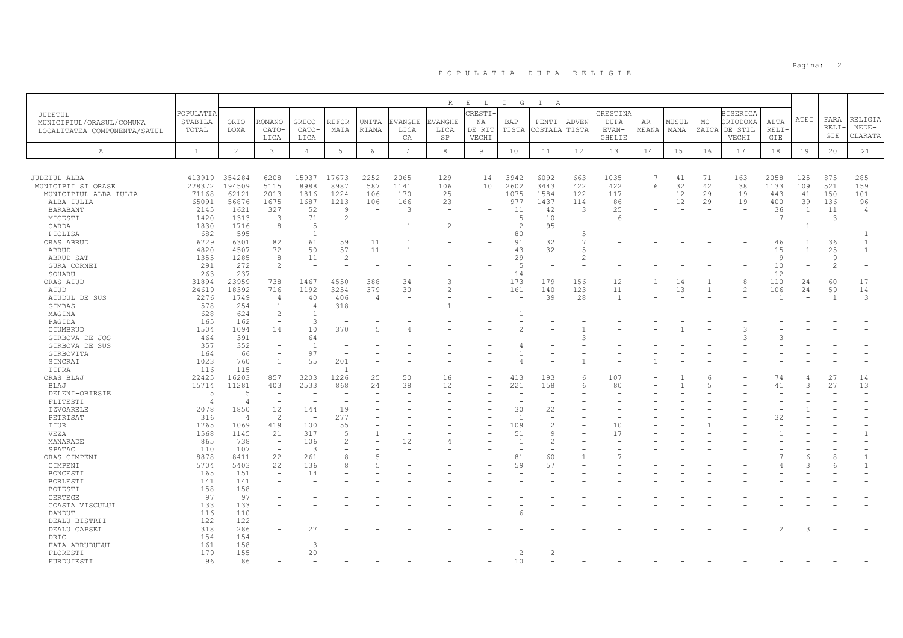|                                            |                             |                         |                                 |                |                          |                          |                 | $R_{\odot}$ | $\mathbf{E}$<br>$\mathbb{L}$ | I G            | $\mathbb{I}$<br>A        |        |                         |          |       |                |                                    |                |                |                      |                    |
|--------------------------------------------|-----------------------------|-------------------------|---------------------------------|----------------|--------------------------|--------------------------|-----------------|-------------|------------------------------|----------------|--------------------------|--------|-------------------------|----------|-------|----------------|------------------------------------|----------------|----------------|----------------------|--------------------|
| <b>JUDETUL</b><br>MUNICIPIUL/ORASUL/COMUNA | <b>POPULATIA</b><br>STABILA | ORTO-                   | -OMANO                          | GRECO-         | REFOR                    | UNITA-                   | EVANGHE-        | EVANGHE     | CRESTI<br>ΝA                 | $BAP-$         | PENTI-                   | ADVEN- | CRESTINA<br><b>DUPA</b> | $AR-$    | MUSUL | $MO-$          | <b>BISERICA</b><br><b>ORTODOXA</b> | ALTA           | ATEI           | FARA<br><b>RELI·</b> | RELIGIA<br>$NEDE-$ |
| LOCALITATEA COMPONENTA/SATUL               | TOTAL                       | <b>DOXA</b>             | CATO-<br>LICA                   | CATO-<br>LICA  | MATA                     | RIANA                    | LICA<br>CA      | LICA<br>SP  | DE RIT<br>VECHI              | TISTA          | COSTALA                  | TISTA  | EVAN-<br><b>GHELIE</b>  | MEANA    | MANA  |                | ZAICA DE STIL<br>VECHI             | RELI·<br>GIE   |                | GIE                  | CLARATA            |
| Α                                          | $\mathbf{1}$                | $\overline{c}$          | $\mathbf{3}$                    | $\overline{4}$ | $5\phantom{.0}$          | 6                        | $7\phantom{.0}$ | 8           | 9                            | 10             | 11                       | 12     | 13                      | 14       | 15    | 16             | 17                                 | 18             | 19             | 20                   | 21                 |
|                                            |                             |                         |                                 |                |                          |                          |                 |             |                              |                |                          |        |                         |          |       |                |                                    |                |                |                      |                    |
| JUDETUL ALBA                               | 413919                      | 354284                  | 6208                            | 15937          | 17673                    | 2252                     | 2065            | 129         | 14                           | 3942           | 6092                     | 663    | 1035                    | 7        | 41    | 71             | 163                                | 2058           | 125            | 875                  | 285                |
| MUNICIPII SI ORASE                         | 228372                      | 194509                  | 5115                            | 8988           | 8987                     | 587                      | 1141            | 106         | 10                           | 2602           | 3443                     | 422    | 422                     | 6        | 32    | 42             | 38                                 | 1133           | 109            | 521                  | 159                |
| MUNICIPIUL ALBA IULIA                      | 71168                       | 62121                   | 2013                            | 1816           | 1224                     | 106                      | 170             | 25          | $\equiv$                     | 1075           | 1584                     | 122    | 117                     | $\equiv$ | 12    | 29             | 19                                 | 443            | 41             | 150                  | 101                |
| ALBA IULIA                                 | 65091                       | 56876                   | 1675                            | 1687           | 1213                     | 106                      | 166             | 23          | $\overline{\phantom{a}}$     | 977            | 1437                     | 114    | 86                      |          | 12    | 29             | 19                                 | 400            | 39             | 136                  | 96                 |
| BARABANT                                   | 2145                        | 1621                    | 327                             | 52             | 9                        | $\overline{\phantom{a}}$ | 3               |             |                              | 11             | 42                       | 3      | 25                      |          |       |                |                                    | 36             | $\overline{1}$ | 11                   | $\overline{4}$     |
| MICESTI                                    | 1420                        | 1313                    | 3                               | 71             | $\overline{2}$           |                          |                 |             |                              | $\overline{5}$ | 10                       |        | 6                       |          |       |                |                                    | $\overline{7}$ |                | $\mathcal{L}$        |                    |
| OARDA                                      | 1830                        | 1716                    | 8                               | 5              |                          |                          |                 |             |                              | 2              | 95                       |        |                         |          |       |                |                                    | $\equiv$       |                |                      |                    |
| PICLISA                                    | 682                         | 595                     | $\overline{\phantom{a}}$        | 1              |                          |                          |                 |             |                              | 80             | $\overline{\phantom{a}}$ | 5      |                         |          |       |                |                                    |                |                |                      | $\mathbf{1}$       |
| ORAS ABRUD                                 | 6729                        | 6301                    | 82                              | 61             | 59                       | 11                       |                 |             |                              | 91             | 32                       |        |                         |          |       |                |                                    | 46             |                | 36                   | $\mathbf{1}$       |
| ABRUD                                      | 4820                        | 4507                    | 72                              | 50             | 57                       | 11                       |                 |             |                              | 43             | 32                       | 5      |                         |          |       |                |                                    | 15             |                | 25                   | $\mathbf{1}$       |
| ABRUD-SAT                                  | 1355                        | 1285                    | 8                               | 11             | $\overline{c}$           |                          |                 |             |                              | 29             | $\equiv$                 |        |                         |          |       |                |                                    | $\overline{9}$ |                | q                    |                    |
| <b>GURA CORNEI</b>                         | 291                         | 272                     | $\overline{c}$                  | <b>1</b>       |                          |                          |                 |             |                              | 5              | $\sim$                   |        |                         |          |       |                |                                    | 10             |                | $\mathcal{P}$        |                    |
| SOHARU                                     | 263                         | 237                     | $\equiv$                        |                |                          |                          |                 |             |                              | 14             |                          |        |                         |          |       |                |                                    | 12             |                |                      |                    |
| ORAS AIUD                                  | 31894                       | 23959                   | 738                             | 1467           | 4550                     | 388                      | 34              | 3           | $\overline{\phantom{a}}$     | 173            | 179                      | 156    | 12                      |          | 14    |                | 8                                  | 110            | 24             | 60                   | 17                 |
| AIUD                                       | 24619                       | 18392                   | 716                             | 1192           | 3254                     | 379                      | 30              | 2           |                              | 161            | 140                      | 123    | 11                      |          | 13    |                | $\overline{\mathcal{L}}$           | 106            | 24             | 59                   | 14                 |
| AIUDUL DE SUS                              | 2276                        | 1749                    | 4                               | 40             | 406                      | $\overline{4}$           |                 |             |                              |                | 39                       | 28     |                         |          |       |                |                                    |                |                | $\overline{1}$       | 3                  |
| GIMBAS                                     | 578                         | 254                     | $\mathbf{1}$                    | $\overline{4}$ | 318                      |                          |                 |             |                              |                |                          |        |                         |          |       |                |                                    |                |                |                      |                    |
| MAGINA                                     | 628                         | 624                     | $\overline{c}$                  | $\overline{1}$ | $\overline{\phantom{a}}$ |                          |                 |             |                              |                |                          |        |                         |          |       |                |                                    |                |                |                      |                    |
| PAGIDA                                     | 165                         | 162                     | $\overline{\phantom{a}}$        | 3              |                          |                          |                 |             |                              |                |                          |        |                         |          |       |                |                                    |                |                |                      |                    |
| CIUMBRUD                                   | 1504                        | 1094                    | 14                              | 10             | 370                      |                          |                 |             |                              |                |                          |        |                         |          |       |                |                                    |                |                |                      |                    |
| GIRBOVA DE JOS                             | 464                         | 391                     |                                 | 64             |                          |                          |                 |             |                              |                |                          |        |                         |          |       |                |                                    |                |                |                      |                    |
| GIRBOVA DE SUS                             | 357                         | 352                     | $\overline{\phantom{a}}$        | $\overline{1}$ |                          |                          |                 |             |                              |                |                          |        |                         |          |       |                |                                    |                |                |                      |                    |
| GIRBOVITA                                  | 164                         | 66                      | $\overline{\phantom{m}}$        | 97             |                          |                          |                 |             |                              |                |                          |        |                         |          |       |                |                                    |                |                |                      |                    |
| SINCRAI                                    | 1023                        | 760                     | $\mathbf{1}$                    | 55             | 201                      |                          |                 |             |                              |                |                          |        |                         |          |       |                |                                    |                |                |                      |                    |
| TIFRA                                      | 116                         | 115                     | $\overline{\phantom{m}}$        |                |                          |                          |                 |             |                              |                |                          |        |                         |          |       |                |                                    |                |                |                      |                    |
| ORAS BLAJ                                  | 22425                       | 16203                   | 857                             | 3203           | 1226                     | 25                       | 50              | 16          |                              | 413            | 193                      | 6      | 107                     |          |       | -6             |                                    | 74             |                | 27                   | 14                 |
|                                            |                             |                         |                                 |                |                          |                          | 38              | 12          |                              | 221            |                          |        | 80                      |          |       | $\overline{5}$ |                                    |                | 3              |                      |                    |
| BLAJ                                       | 15714<br>$\sqrt{2}$         | 11281<br>$\overline{5}$ | 403<br>$\overline{\phantom{a}}$ | 2533           | 868                      | 24                       |                 |             |                              |                | 158                      | 6      |                         |          |       |                |                                    | 41             |                | 27                   | 13                 |
| DELENI-OBIRSIE                             |                             |                         |                                 |                |                          |                          |                 |             |                              |                |                          |        |                         |          |       |                |                                    |                |                |                      |                    |
| FLITESTI                                   | $\overline{4}$              | 4                       | $\overline{\phantom{a}}$        |                | ۰                        |                          |                 |             |                              |                | $\overline{\phantom{a}}$ |        |                         |          |       |                |                                    |                |                |                      |                    |
| IZVOARELE                                  | 2078                        | 1850                    | 12                              | 144            | 19                       |                          |                 |             |                              | 30             | 22                       |        |                         |          |       |                |                                    |                |                |                      |                    |
| PETRISAT                                   | 316                         | $\overline{4}$          | $\overline{c}$                  |                | 277                      |                          |                 |             |                              | $\overline{1}$ | $\overline{\phantom{a}}$ |        |                         |          |       |                |                                    | 32             |                |                      |                    |
| TIUR                                       | 1765                        | 1069                    | 419                             | 100            | 55                       |                          |                 |             |                              | 109            | $\overline{c}$           |        | 10                      |          |       |                |                                    |                |                |                      |                    |
| VEZA                                       | 1568                        | 1145                    | 21                              | 317            | 5                        | $\overline{1}$           |                 |             |                              | 51             | 9                        |        | 17                      |          |       |                |                                    |                |                |                      |                    |
| MANARADE                                   | 865                         | 738                     | $\equiv$                        | 106            | $\overline{2}$           |                          | 12              |             |                              | $\overline{1}$ | $\overline{2}$           |        |                         |          |       |                |                                    |                |                |                      |                    |
| SPATAC                                     | 110                         | 107                     | $\equiv$                        | $\overline{3}$ | ۰                        |                          |                 |             |                              |                | $\overline{\phantom{a}}$ |        |                         |          |       |                |                                    |                |                |                      |                    |
| ORAS CIMPENI                               | 8878                        | 8411                    | 22                              | 261            | 8                        | 5                        |                 |             |                              | 81             | 60                       |        |                         |          |       |                |                                    |                | 6              |                      | $\mathbf{1}$       |
| CIMPENI                                    | 5704                        | 5403                    | 22                              | 136            | 8                        | 5                        |                 |             |                              | 59             | 57                       |        |                         |          |       |                |                                    |                |                |                      | $\mathbf{1}$       |
| BONCESTI                                   | 165                         | 151                     | $\equiv$                        | 14             |                          |                          |                 |             |                              |                |                          |        |                         |          |       |                |                                    |                |                |                      |                    |
| <b>BORLESTI</b>                            | 141                         | 141                     |                                 |                |                          |                          |                 |             |                              |                |                          |        |                         |          |       |                |                                    |                |                |                      |                    |
| <b>BOTESTI</b>                             | 158                         | 158                     |                                 |                |                          |                          |                 |             |                              |                |                          |        |                         |          |       |                |                                    |                |                |                      |                    |
| CERTEGE                                    | 97                          | 97                      |                                 |                |                          |                          |                 |             |                              |                |                          |        |                         |          |       |                |                                    |                |                |                      |                    |
| COASTA VISCULUI                            | 133                         | 133                     |                                 |                |                          |                          |                 |             |                              |                |                          |        |                         |          |       |                |                                    |                |                |                      |                    |
| DANDUT                                     | 116                         | 110                     |                                 |                |                          |                          |                 |             |                              |                |                          |        |                         |          |       |                |                                    |                |                |                      |                    |
| DEALU BISTRII                              | 122                         | 122                     |                                 |                |                          |                          |                 |             |                              |                |                          |        |                         |          |       |                |                                    |                |                |                      |                    |
| DEALU CAPSEI                               | 318                         | 286                     |                                 | 27             |                          |                          |                 |             |                              |                |                          |        |                         |          |       |                |                                    |                |                |                      |                    |
| DRIC                                       | 154                         | 154                     |                                 |                |                          |                          |                 |             |                              |                |                          |        |                         |          |       |                |                                    |                |                |                      |                    |
| FATA ABRUDULUI                             | 161                         | 158                     |                                 | 3              |                          |                          |                 |             |                              |                |                          |        |                         |          |       |                |                                    |                |                |                      |                    |
| FLORESTI                                   | 179                         | 155                     |                                 | 20             |                          |                          |                 |             |                              | 2              | $\overline{c}$           |        |                         |          |       |                |                                    |                |                |                      |                    |
| FURDUIESTI                                 | 96                          | 86                      |                                 |                |                          |                          |                 |             |                              | 10             |                          |        |                         |          |       |                |                                    |                |                |                      |                    |

en die staatste verwys van die stad van die stad van die stad van die stad van die stad van die stad van die s<br>Die stad van die stad van die stad van die stad van die stad van die stad van die stad van die stad van die st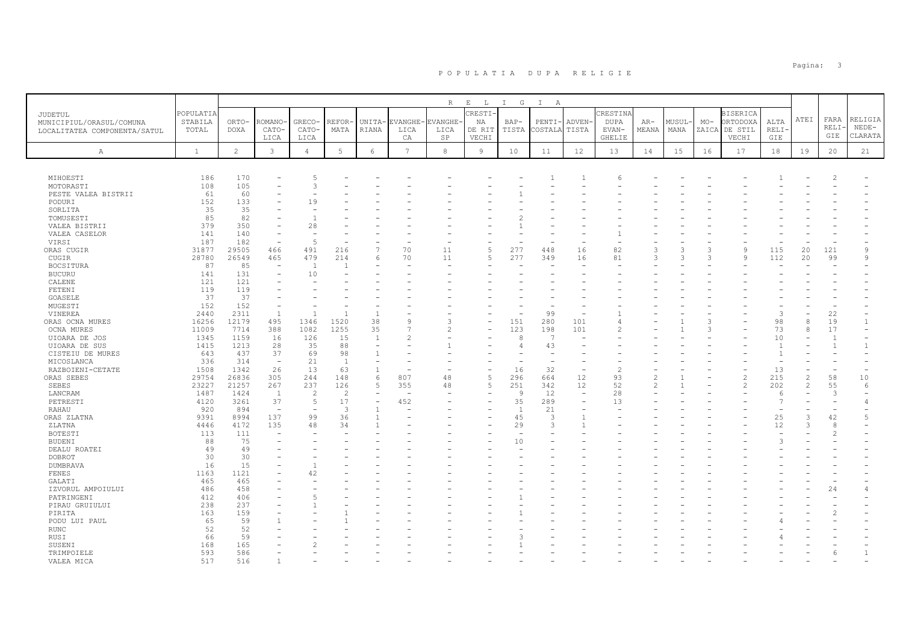|                              |              |                |                          |                |                 |                |                 | $R_{\perp}$    | $E$ $L$ | I G            | $\mathbb{I}$<br>A        |                |                |                |       |       |                          |                |                          |                |                |
|------------------------------|--------------|----------------|--------------------------|----------------|-----------------|----------------|-----------------|----------------|---------|----------------|--------------------------|----------------|----------------|----------------|-------|-------|--------------------------|----------------|--------------------------|----------------|----------------|
| <b>JUDETUL</b>               | POPULATIA    |                |                          |                |                 |                |                 |                | CRESTI- |                |                          |                | CRESTINA       |                |       |       | <b>BISERICA</b>          |                |                          |                |                |
| MUNICIPIUL/ORASUL/COMUNA     | STABILA      | ORTO-          | ROMANO                   | GRECO-         | REFOR           | UNITA-         | EVANGHE-        | <b>EVANGHE</b> | ΝA      | $BAP-$         | PENTI-                   | ADVEN-         | <b>DUPA</b>    | $AR-$          | MUSUL | $MO-$ | ORTODOXA                 | ALTA           | ATEI                     | FARA           | RELIGIA        |
|                              | TOTAL        | <b>DOXA</b>    | CATO-                    | CATO-          | MATA            | RIANA          | LICA            | LICA           | DE RIT  | TISTA          | COSTALA                  | TISTA          | EVAN-          | MEANA          | MANA  |       | ZAICA DE STIL            | RELI·          |                          | RELI·          | $NEDE-$        |
| LOCALITATEA COMPONENTA/SATUL |              |                | LICA                     | LICA           |                 |                | СA              | SP             | VECHI   |                |                          |                | <b>GHELIE</b>  |                |       |       | VECHI                    | GIE            |                          | GIE            | CLARATA        |
|                              |              |                |                          |                |                 |                |                 |                |         |                |                          |                |                |                |       |       |                          |                |                          |                |                |
| Α                            | $\mathbf{1}$ | $\overline{c}$ | $\mathbf{3}$             | $\sqrt{4}$     | $5\phantom{.0}$ | $\epsilon$     | $7\phantom{.0}$ | 8              | 9       | 10             | 11                       | 12             | 13             | 14             | 15    | 16    | 17                       | 18             | 19                       | 20             | 21             |
|                              |              |                |                          |                |                 |                |                 |                |         |                |                          |                |                |                |       |       |                          |                |                          |                |                |
| MIHOESTI                     | 186          | 170            |                          | .5             |                 |                |                 |                |         |                |                          |                |                |                |       |       |                          |                |                          |                |                |
| MOTORASTI                    | 108          | 105            |                          | 3              |                 |                |                 |                |         |                |                          |                |                |                |       |       |                          |                |                          |                |                |
| PESTE VALEA BISTRII          | 61           | 60             |                          |                |                 |                |                 |                |         |                |                          |                |                |                |       |       |                          |                |                          |                |                |
| PODURI                       | 152          | 133            |                          | 19             |                 |                |                 |                |         |                |                          |                |                |                |       |       |                          |                |                          |                |                |
| SORLITA                      | 35           | 35             |                          |                |                 |                |                 |                |         |                |                          |                |                |                |       |       |                          |                |                          |                |                |
| TOMUSESTI                    | 85           | 82             |                          |                |                 |                |                 |                |         |                |                          |                |                |                |       |       |                          |                |                          |                |                |
| VALEA BISTRII                | 379          | 350            |                          | 28             |                 |                |                 |                |         |                |                          |                |                |                |       |       |                          |                |                          |                |                |
| VALEA CASELOR                | 141          | 140            | $\sim$                   |                |                 |                |                 |                |         |                |                          |                |                |                |       |       |                          |                |                          |                |                |
| VIRSI                        | 187          | 182            | $\sim$                   | $\overline{5}$ |                 |                |                 |                |         |                |                          |                |                |                |       |       |                          |                |                          |                |                |
| ORAS CUGIR                   | 31877        | 29505          | 466                      | 491            | 216             | $\overline{7}$ | 70              | 11             | 5       | 277            | 448                      | 16             | 82             | 3              |       | 3     | 9                        | 115            | 20                       | 121            | 9              |
| CUGIR                        | 28780        | 26549          | 465                      | 479            | 214             | 6              | 70              | 11             | 5       | 277            | 349                      | 16             | 81             | $\mathcal{L}$  |       |       | $\mathbf{Q}$             | 112            | 20                       | 99             | 9              |
| <b>BOCSITURA</b>             | 87           | 85             | $\sim$                   | $\overline{1}$ |                 |                |                 |                |         |                |                          |                |                |                |       |       |                          |                |                          |                |                |
| <b>BUCURU</b>                | 141          | 131            |                          | 10             |                 |                |                 |                |         |                |                          |                |                |                |       |       |                          |                |                          |                |                |
| CALENE                       | 121          | 121            | ۳                        |                |                 |                |                 |                |         |                |                          |                |                |                |       |       |                          |                |                          |                |                |
| FETENI                       | 119          | 119            |                          |                |                 |                |                 |                |         |                |                          |                |                |                |       |       |                          |                |                          |                |                |
| GOASELE                      | 37           | 37             |                          |                |                 |                |                 |                |         |                |                          |                |                |                |       |       |                          |                |                          |                |                |
| MUGESTI                      | 152          | 152            |                          |                |                 |                |                 |                |         |                |                          |                |                |                |       |       |                          |                |                          |                |                |
| VINEREA                      | 2440         | 2311           | $\overline{1}$           | $\overline{1}$ |                 | $\overline{1}$ |                 |                |         |                | 99                       |                |                |                |       |       |                          | 3              |                          | 22             |                |
| ORAS OCNA MURES              | 16256        | 12179          | 495                      | 1346           | 1520            | 38             |                 | ٩              |         | 151            | 280                      | 101            |                |                |       |       |                          | 98             | 8                        | 19             | 1              |
| <b>OCNA MURES</b>            | 11009        | 7714           | 388                      | 1082           | 1255            | 35             |                 |                |         | 123            | 198                      | 101            |                |                |       | Р     |                          | 73             | 8                        | 17             |                |
| UIOARA DE JOS                | 1345         | 1159           | 16                       | 126            | 15              | $\overline{1}$ |                 |                |         | 8              | 7                        |                |                |                |       |       |                          | 10             |                          | $\overline{1}$ |                |
| UIOARA DE SUS                | 1415         | 1213           | 28                       | 35             | 88              |                |                 |                |         | $\overline{4}$ | 43                       |                |                |                |       |       |                          | $\mathbf{1}$   |                          | $\overline{1}$ | $\mathbf{1}$   |
| CISTEIU DE MURES             | 643          | 437            | 37                       | 69             | 98              |                |                 |                |         |                |                          |                |                |                |       |       |                          | $\mathbf{1}$   |                          |                |                |
| MICOSLANCA                   | 336          | 314            | $\sim$                   | 21             | $\overline{1}$  |                |                 |                |         |                | $\overline{\phantom{a}}$ |                |                |                |       |       |                          |                |                          |                |                |
| RAZBOIENI-CETATE             | 1508         | 1342           | 26                       | 13             | 63              | $\mathbf{1}$   |                 |                |         | 16             | 32                       |                | $\overline{2}$ |                |       |       |                          | 13             |                          |                |                |
| ORAS SEBES                   | 29754        | 26836          | 305                      | 244            | 148             | 6              | 807             | 48             | 5       | 296            | 664                      | 12             | 93             | $\mathfrak{D}$ |       |       | $\overline{2}$           | 215            | $\overline{\mathcal{L}}$ | 58             | 10             |
| SEBES                        | 23227        | 21257          | 267                      | 237            | 126             | $\overline{5}$ | 355             | 48             | 5       | 251            | 342                      | 12             | 52             | $\mathfrak{D}$ |       |       | $\overline{\mathcal{L}}$ | 202            | $\overline{2}$           | 55             | 6              |
| LANCRAM                      | 1487         | 1424           | $\mathbf{1}$             | $\overline{2}$ | $\mathcal{L}$   |                |                 |                |         | 9              | 12                       | $\sim$         | 28             |                |       |       |                          | 6              |                          | $\mathcal{L}$  |                |
| PETRESTI                     | 4120         | 3261           | 37                       | $\overline{5}$ | 17              | $\overline{a}$ | 452             |                | ۳       | 35             | 289                      | $\sim$         | 13             |                |       |       |                          | $\overline{7}$ |                          |                | $\overline{4}$ |
| RAHAU                        | 920          | 894            | $\overline{\phantom{a}}$ | $\overline{a}$ | 3               |                |                 |                |         | $\overline{1}$ | 21                       |                |                |                |       |       |                          |                |                          |                |                |
| ORAS ZLATNA                  | 9391         | 8994           | 137                      | 99             | 36              |                |                 |                |         | 45             | 3                        | $\overline{1}$ |                |                |       |       |                          | 25             | 3                        | 42             | 5              |
| ZLATNA                       | 4446         | 4172           | 135                      | 48             | 34              |                |                 |                |         | 29             | 3                        |                |                |                |       |       |                          | 12             | $\mathcal{R}$            | $\mathcal{R}$  |                |
| <b>BOTESTI</b>               | 113          | 111            | $\sim$                   |                |                 |                |                 |                |         | <u>.</u>       | $\sim$                   |                |                |                |       |       |                          |                |                          |                |                |
| <b>BUDENI</b>                | 88           | 75             |                          |                |                 |                |                 |                |         | 10             |                          |                |                |                |       |       |                          | 3              |                          |                |                |
| DEALU ROATEI                 | 49           | 49             |                          |                |                 |                |                 |                |         |                |                          |                |                |                |       |       |                          |                |                          |                |                |
| <b>DOBROT</b>                | 30           | 30             |                          |                |                 |                |                 |                |         |                |                          |                |                |                |       |       |                          |                |                          |                |                |
| DUMBRAVA                     | 16           | 15             |                          |                |                 |                |                 |                |         |                |                          |                |                |                |       |       |                          |                |                          |                |                |
| FENES                        | 1163         | 1121           |                          | 42             |                 |                |                 |                |         |                |                          |                |                |                |       |       |                          |                |                          |                |                |
| GALATI                       | 465          | 465            |                          |                |                 |                |                 |                |         |                |                          |                |                |                |       |       |                          |                |                          |                |                |
| IZVORUL AMPOIULUI            | 486          | 458            |                          |                |                 |                |                 |                |         |                |                          |                |                |                |       |       |                          |                |                          | 24             | 4              |
| PATRINGENI                   | 412          | 406            |                          |                |                 |                |                 |                |         |                |                          |                |                |                |       |       |                          |                |                          |                |                |
| PIRAU GRUIULUI               | 238          | 237            |                          |                |                 |                |                 |                |         |                |                          |                |                |                |       |       |                          |                |                          |                |                |
| PIRITA                       | 163          | 159            |                          |                |                 |                |                 |                |         |                |                          |                |                |                |       |       |                          |                |                          |                |                |
| PODU LUI PAUL                | 65           | 59             |                          |                |                 |                |                 |                |         |                |                          |                |                |                |       |       |                          |                |                          |                |                |
| <b>RUNC</b>                  | 52           | 52             |                          |                |                 |                |                 |                |         |                |                          |                |                |                |       |       |                          |                |                          |                |                |
| RUSI                         | 66           | 59             |                          |                |                 |                |                 |                |         |                |                          |                |                |                |       |       |                          |                |                          |                |                |
| SUSENI                       | 168          | 165            |                          |                |                 |                |                 |                |         |                |                          |                |                |                |       |       |                          |                |                          |                |                |
| TRIMPOIELE                   | 593          | 586            |                          |                |                 |                |                 |                |         |                |                          |                |                |                |       |       |                          |                |                          |                | $\mathbf{1}$   |
| VALEA MICA                   | 517          | 516            |                          |                |                 |                |                 |                |         |                |                          |                |                |                |       |       |                          |                |                          |                |                |

en die staatste verwys van die stads van die stads van die stads van die stads van die stads van die stads van <br>'n stads van die stads van die stads van die stads van die stads van die stads van die stads van die stads van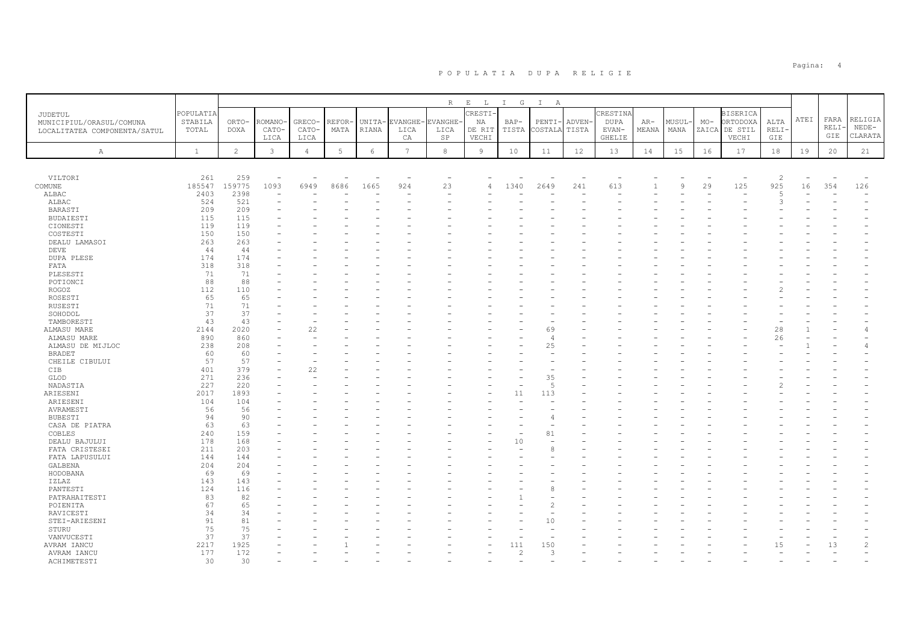|                              |              |                |              |                |        |        |                 | $\mathbb R$              | $\mathbf{E}$<br>$\mathbb{L}$ | $I$ G          | $\mathbb{I}$<br>A |        |               |       |        |                          |                          |                |      |                          |                |
|------------------------------|--------------|----------------|--------------|----------------|--------|--------|-----------------|--------------------------|------------------------------|----------------|-------------------|--------|---------------|-------|--------|--------------------------|--------------------------|----------------|------|--------------------------|----------------|
| JUDETUL                      | POPULATIA    |                |              |                |        |        |                 |                          | CRESTI-                      |                |                   |        | CRESTINA      |       |        |                          | <b>BISERICA</b>          |                |      |                          |                |
| MUNICIPIUL/ORASUL/COMUNA     | STABILA      | ORTO-          | ROMANO       | GRECO-         | REFOR- | UNITA- | <b>EVANGHE</b>  | EVANGHE-                 | NA                           | $BAP-$         | PENTI-            | ADVEN- | <b>DUPA</b>   | AR-   | MUSUL- | $MO-$                    | ORTODOXA                 | ALTA           | ATEI | FARA                     | RELIGIA        |
|                              | TOTAL        | DOXA           | CATO-        | CATO-          | MATA   | RIANA  | LICA            | LICA                     | DE RIT                       | TISTA          | COSTALA           | TISTA  | EVAN-         | MEANA | MANA   | ZAICA                    | DE STIL                  | RELI-          |      | RELI-                    | $NEDE-$        |
| LOCALITATEA COMPONENTA/SATUL |              |                | LICA         | LICA           |        |        | CA              | SP                       | VECHI                        |                |                   |        | <b>GHELIE</b> |       |        |                          | VECHI                    | GIE            |      | GIE                      | CLARATA        |
|                              |              |                |              |                |        |        |                 |                          |                              |                |                   |        |               |       |        |                          |                          |                |      |                          |                |
| A                            | <sup>1</sup> | $\overline{c}$ | $\mathbf{3}$ | $\overline{4}$ | $5 -$  | 6      | $7\overline{ }$ | $^{\rm 8}$               | 9                            | 10             | 11                | 12     | 13            | 14    | 15     | 16                       | 17                       | 18             | 19   | 20                       | 21             |
|                              |              |                |              |                |        |        |                 |                          |                              |                |                   |        |               |       |        |                          |                          |                |      |                          |                |
| VILTORI                      | 261          | 259            |              |                |        |        |                 | $\overline{\phantom{0}}$ |                              |                |                   |        |               |       |        | $\overline{\phantom{0}}$ | $\overline{\phantom{a}}$ | $\overline{c}$ |      | $\overline{\phantom{0}}$ |                |
| COMUNE                       | 185547       | 159775         | 1093         | 6949           | 8686   | 1665   | 924             | 23                       |                              | 1340           | 2649              | 241    | 613           |       | 9      | 29                       | 125                      | 925            | 16   | 354                      | 126            |
| ALBAC                        | 2403         | 2398           |              |                |        |        |                 |                          |                              |                |                   |        |               |       |        |                          | $\equiv$                 | $\overline{5}$ |      |                          | ٠              |
| ALBAC                        | 524          | 521            |              |                |        |        |                 |                          |                              |                |                   |        |               |       |        |                          |                          | 3              |      |                          |                |
| BARASTI                      | 209          | 209            |              |                |        |        |                 |                          |                              |                |                   |        |               |       |        |                          |                          |                |      |                          |                |
| BUDAIESTI                    | 115          | 115            |              |                |        |        |                 |                          |                              |                |                   |        |               |       |        |                          |                          |                |      |                          |                |
| CIONESTI                     | 119          | 119            |              |                |        |        |                 |                          |                              |                |                   |        |               |       |        |                          |                          |                |      |                          |                |
| COSTESTI                     | 150          | 150            |              |                |        |        |                 |                          |                              |                |                   |        |               |       |        |                          |                          |                |      |                          |                |
| DEALU LAMASOI                | 263          | 263            |              |                |        |        |                 |                          |                              |                |                   |        |               |       |        |                          |                          |                |      |                          |                |
| DEVE                         | 44           | 44             |              |                |        |        |                 |                          |                              |                |                   |        |               |       |        |                          |                          |                |      |                          |                |
| DUPA PLESE                   | 174          | 174            |              |                |        |        |                 |                          |                              |                |                   |        |               |       |        |                          |                          |                |      |                          |                |
| FATA                         | 318          | 318            |              |                |        |        |                 |                          |                              |                |                   |        |               |       |        |                          |                          |                |      |                          |                |
| PLESESTI                     | 71           | 71             |              |                |        |        |                 |                          |                              |                |                   |        |               |       |        |                          |                          |                |      |                          |                |
| POTIONCI                     | 88           | 88             |              |                |        |        |                 |                          |                              |                |                   |        |               |       |        |                          |                          |                |      |                          |                |
| ROGOZ                        | 112          | 110            |              |                |        |        |                 |                          |                              |                |                   |        |               |       |        |                          |                          |                |      |                          |                |
| ROSESTI                      | 65           | 65             |              |                |        |        |                 |                          |                              |                |                   |        |               |       |        |                          |                          |                |      |                          |                |
| RUSESTI                      | 71           | 71             |              |                |        |        |                 |                          |                              |                |                   |        |               |       |        |                          |                          |                |      |                          |                |
| SOHODOL                      | 37           | 37             |              |                |        |        |                 |                          |                              |                |                   |        |               |       |        |                          |                          |                |      |                          |                |
| TAMBORESTI                   | 43           | 43             |              |                |        |        |                 |                          |                              |                |                   |        |               |       |        |                          |                          |                |      |                          |                |
| ALMASU MARE                  | 2144         | 2020           |              | 22             |        |        |                 |                          |                              |                | 69                |        |               |       |        |                          |                          | 28             |      |                          |                |
| ALMASU MARE                  | 890          | 860            |              |                |        |        |                 |                          |                              |                | 4                 |        |               |       |        |                          |                          | 26             |      |                          |                |
| ALMASU DE MIJLOC             | 238          | 208            |              |                |        |        |                 |                          |                              |                | 25                |        |               |       |        |                          |                          |                |      |                          |                |
| <b>BRADET</b>                | 60           | 60             |              |                |        |        |                 |                          |                              |                |                   |        |               |       |        |                          |                          |                |      |                          |                |
| CHEILE CIBULUI               | 57           | 57             |              |                |        |        |                 |                          |                              |                |                   |        |               |       |        |                          |                          |                |      |                          |                |
| CIB                          | 401          | 379            |              | 22             |        |        |                 |                          |                              |                |                   |        |               |       |        |                          |                          |                |      |                          |                |
| GLOD                         | 271          | 236            |              |                |        |        |                 |                          |                              |                | 35                |        |               |       |        |                          |                          |                |      |                          |                |
| NADASTIA                     | 227          | 220            |              |                |        |        |                 |                          |                              |                | .5                |        |               |       |        |                          |                          |                |      |                          |                |
| ARIESENI                     | 2017         | 1893           |              |                |        |        |                 |                          |                              | 11             | 113               |        |               |       |        |                          |                          |                |      |                          |                |
| ARIESENI                     | 104          | 104            |              |                |        |        |                 |                          |                              |                |                   |        |               |       |        |                          |                          |                |      |                          |                |
| AVRAMESTI                    | 56           | 56             |              |                |        |        |                 |                          |                              |                |                   |        |               |       |        |                          |                          |                |      |                          |                |
| <b>BUBESTI</b>               | 94           | 90             |              |                |        |        |                 |                          |                              |                |                   |        |               |       |        |                          |                          |                |      |                          |                |
| CASA DE PIATRA               | 63           | 63             |              |                |        |        |                 |                          |                              |                |                   |        |               |       |        |                          |                          |                |      |                          |                |
| COBLES                       | 240          | 159            |              |                |        |        |                 |                          |                              |                | 81                |        |               |       |        |                          |                          |                |      |                          |                |
| DEALU BAJULUI                | 178          | 168            |              |                |        |        |                 |                          |                              | 10             |                   |        |               |       |        |                          |                          |                |      |                          |                |
| FATA CRISTESEI               | 211          | 203            |              |                |        |        |                 |                          |                              |                |                   |        |               |       |        |                          |                          |                |      |                          |                |
| FATA LAPUSULUI               | 144          | 144            |              |                |        |        |                 |                          |                              |                |                   |        |               |       |        |                          |                          |                |      |                          |                |
| GALBENA                      | 204          | 204            |              |                |        |        |                 |                          |                              |                |                   |        |               |       |        |                          |                          |                |      |                          |                |
| HODOBANA                     | 69           | 69             |              |                |        |        |                 |                          |                              |                |                   |        |               |       |        |                          |                          |                |      |                          |                |
| IZLAZ                        | 143          | 143            |              |                |        |        |                 |                          |                              |                |                   |        |               |       |        |                          |                          |                |      |                          |                |
| PANTESTI                     | 124          | 116            |              |                |        |        |                 |                          |                              |                |                   |        |               |       |        |                          |                          |                |      |                          |                |
| PATRAHAITESTI                | 83           | 82             |              |                |        |        |                 |                          |                              |                |                   |        |               |       |        |                          |                          |                |      |                          |                |
| POIENITA                     | 67           | 65             |              |                |        |        |                 |                          |                              |                |                   |        |               |       |        |                          |                          |                |      |                          |                |
| RAVICESTI                    | 34           | 34             |              |                |        |        |                 |                          |                              |                |                   |        |               |       |        |                          |                          |                |      |                          |                |
| STEI-ARIESENI                | 91           | 81             |              |                |        |        |                 |                          |                              |                | 1 <sub>0</sub>    |        |               |       |        |                          |                          |                |      |                          |                |
| STURU                        | 75           | 75             |              |                |        |        |                 |                          |                              |                |                   |        |               |       |        |                          |                          |                |      |                          |                |
| VANVUCESTI                   | 37           | 37             |              |                |        |        |                 |                          |                              |                |                   |        |               |       |        |                          |                          |                |      |                          |                |
| AVRAM IANCU                  | 2217         | 1925           |              |                |        |        |                 |                          |                              | 111            | 150               |        |               |       |        |                          |                          | 1.5            |      | 13                       | $\overline{c}$ |
| AVRAM IANCU                  | 177          | 172            |              |                |        |        |                 |                          |                              | $\overline{c}$ | 3                 |        |               |       |        |                          |                          |                |      |                          |                |
| <b>ACHIMETESTI</b>           | 30           | 30             |              |                |        |        |                 |                          |                              |                |                   |        |               |       |        |                          |                          |                |      |                          |                |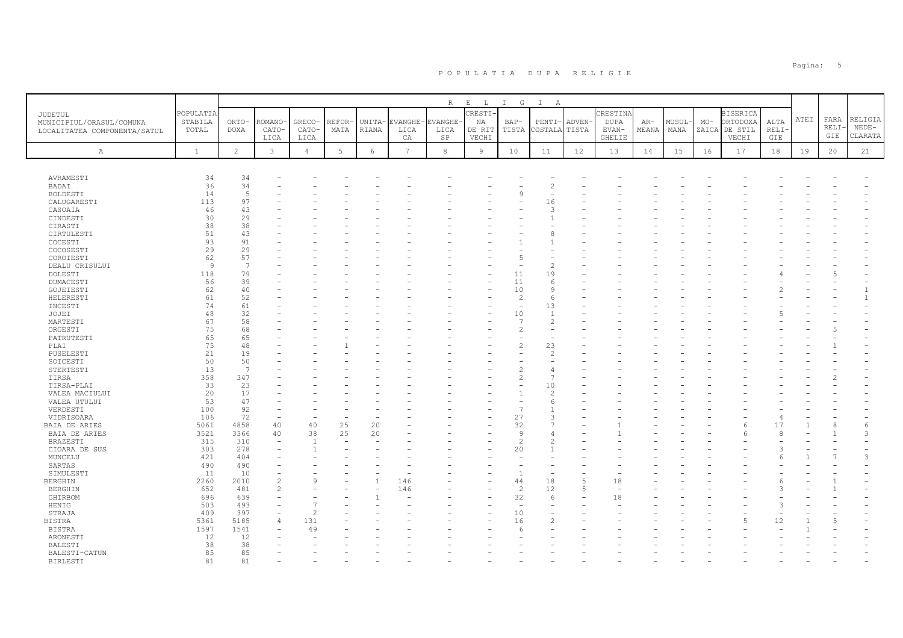|                                  |              |                |                |                |          |            |                 | R              | $\mathbf{E}=-\mathbf{L}$ | $I$ G          | $\mathbb{I}$<br>A |        |             |       |        |       |                 |       |      |       |         |
|----------------------------------|--------------|----------------|----------------|----------------|----------|------------|-----------------|----------------|--------------------------|----------------|-------------------|--------|-------------|-------|--------|-------|-----------------|-------|------|-------|---------|
| <b>JUDETUL</b>                   | POPULATIA    |                |                |                |          |            |                 |                | <b>CRESTI-</b>           |                |                   |        | CRESTINA    |       |        |       | <b>BISERICA</b> |       |      |       |         |
| MUNICIPIUL/ORASUL/COMUNA         | STABILA      | ORTO-          | ROMANO         | GRECO-         | REFOR-   |            | UNITA-EVANGHE-  | <b>EVANGHE</b> | NA                       | $BAP-$         | PENTI-            | ADVEN- | <b>DUPA</b> | AR-   | MUSUL- | $MO-$ | ORTODOXA        | ALTA  | ATEI | FARA  | RELIGIA |
| LOCALITATEA COMPONENTA/SATUL     | TOTAL        | DOXA           | CATO-          | CATO-          | MATA     | RIANA      | LICA            | LICA           | DE RIT                   | TISTA          | COSTALA           | TISTA  | EVAN-       | MEANA | MANA   | ZAICA | DE STIL         | RELI- |      | RELI- | $NEDE-$ |
|                                  |              |                | LICA           | LICA           |          |            | CA              | SP             | VECHI                    |                |                   |        | GHELIE      |       |        |       | VECHI           | GIE   |      | GIE   | CLARATA |
|                                  | $\mathbf{1}$ | $\overline{c}$ | 3              |                | $5 -$    | $\epsilon$ | $7\overline{ }$ | 8              | $\overline{9}$           | 10             | 11                | 12     | 13          | 14    |        |       | 17              | 18    |      |       |         |
| Α                                |              |                |                | $\overline{4}$ |          |            |                 |                |                          |                |                   |        |             |       | 15     | 16    |                 |       | 19   | 20    | 21      |
|                                  |              |                |                |                |          |            |                 |                |                          |                |                   |        |             |       |        |       |                 |       |      |       |         |
| AVRAMESTI                        | 34           | 34             |                |                |          |            |                 |                |                          |                |                   |        |             |       |        |       |                 |       |      |       |         |
| BADAI                            | 36           | 34             |                |                |          |            |                 |                |                          |                |                   |        |             |       |        |       |                 |       |      |       |         |
| BOLDESTI                         | 14           | 5              |                |                |          |            |                 |                |                          | $\alpha$       |                   |        |             |       |        |       |                 |       |      |       |         |
| CALUGARESTI                      | 113          | 97             |                |                |          |            |                 |                |                          |                | 16                |        |             |       |        |       |                 |       |      |       |         |
| CASOAIA                          | 46           | 43             |                |                |          |            |                 |                |                          |                |                   |        |             |       |        |       |                 |       |      |       |         |
| CINDESTI                         | 30           | 29             |                |                |          |            |                 |                |                          |                |                   |        |             |       |        |       |                 |       |      |       |         |
| CIRASTI                          | 38           | 38             |                |                |          |            |                 |                |                          |                |                   |        |             |       |        |       |                 |       |      |       |         |
| CIRTULESTI                       | 51           | 43             |                |                |          |            |                 |                |                          |                |                   |        |             |       |        |       |                 |       |      |       |         |
| COCESTI                          | 93           | 91             |                |                |          |            |                 |                |                          |                |                   |        |             |       |        |       |                 |       |      |       |         |
| COCOSESTI                        | 29           | 29             |                |                |          |            |                 |                |                          |                |                   |        |             |       |        |       |                 |       |      |       |         |
| COROIESTI                        | 62           | 57             |                |                |          |            |                 |                |                          | .5             |                   |        |             |       |        |       |                 |       |      |       |         |
| DEALU CRISULUI                   | 9            | 7              |                |                |          |            |                 |                |                          |                |                   |        |             |       |        |       |                 |       |      |       |         |
| DOLESTI                          | 118          | 79             |                |                |          |            |                 |                |                          | 11             | 19                |        |             |       |        |       |                 |       |      |       |         |
| DUMACESTI                        | 56<br>62     | 39<br>40       |                |                |          |            |                 |                |                          | 11<br>10       | -6<br><b>Q</b>    |        |             |       |        |       |                 |       |      |       |         |
| GOJEIESTI<br>HELERESTI           | 61           | 52             |                |                |          |            |                 |                |                          | $\overline{c}$ | -6                |        |             |       |        |       |                 |       |      |       |         |
| INCESTI                          | 74           | 61             |                |                |          |            |                 |                |                          |                | 13                |        |             |       |        |       |                 |       |      |       |         |
| JOJEI                            | 48           | 32             |                |                |          |            |                 |                |                          | 10             | $\overline{1}$    |        |             |       |        |       |                 |       |      |       |         |
| MARTESTI                         | 67           | 58             |                |                |          |            |                 |                |                          | $\overline{7}$ |                   |        |             |       |        |       |                 |       |      |       |         |
| ORGESTI                          | 75           | 68             |                |                |          |            |                 |                |                          | $\mathcal{P}$  |                   |        |             |       |        |       |                 |       |      |       |         |
| PATRUTESTI                       | 65           | 65             |                |                |          |            |                 |                |                          |                |                   |        |             |       |        |       |                 |       |      |       |         |
| PLAI                             | 75           | 48             |                |                |          |            |                 |                |                          | $\mathfrak{D}$ | 23                |        |             |       |        |       |                 |       |      |       |         |
| PUSELESTI                        | 21           | 19             |                |                |          |            |                 |                |                          |                |                   |        |             |       |        |       |                 |       |      |       |         |
| SOICESTI                         | 50           | 50             |                |                |          |            |                 |                |                          |                |                   |        |             |       |        |       |                 |       |      |       |         |
| STERTESTI                        | 13           | $\overline{7}$ |                |                |          |            |                 |                |                          |                |                   |        |             |       |        |       |                 |       |      |       |         |
| TIRSA                            | 358          | 347            |                |                |          |            |                 |                |                          | $\mathfrak{D}$ |                   |        |             |       |        |       |                 |       |      |       |         |
| TIRSA-PLAI                       | 33           | 23             |                |                |          |            |                 |                |                          |                | 10                |        |             |       |        |       |                 |       |      |       |         |
| VALEA MACIULUI                   | 20           | 17             |                |                |          |            |                 |                |                          |                | $\hat{z}$         |        |             |       |        |       |                 |       |      |       |         |
| VALEA UTULUI                     | 53           | 47             |                |                |          |            |                 |                |                          |                |                   |        |             |       |        |       |                 |       |      |       |         |
| VERDESTI                         | 100          | 92             |                |                |          |            |                 |                |                          | $\overline{7}$ |                   |        |             |       |        |       |                 |       |      |       |         |
| VIDRISOARA                       | 106          | 72             | 40             | 40             |          |            |                 |                |                          | 27             |                   |        |             |       |        |       |                 | 17    |      | 8     |         |
| BAIA DE ARIES<br>BAIA DE ARIES   | 5061<br>3521 | 4858<br>3366   | 40             | 38             | 25<br>25 | 20<br>20   |                 |                |                          | 32<br>9        |                   |        |             |       |        |       | 6               |       |      |       | 6<br>3  |
| BRAZESTI                         | 315          | 310            | $\equiv$       | $\overline{1}$ |          |            |                 |                |                          | $\mathfrak{D}$ |                   |        |             |       |        |       |                 |       |      |       |         |
| CIOARA DE SUS                    | 303          | 278            |                | $\overline{1}$ |          |            |                 |                |                          | 20             |                   |        |             |       |        |       |                 |       |      |       |         |
| MUNCELU                          | 421          | 404            |                |                |          |            |                 |                |                          |                |                   |        |             |       |        |       |                 |       |      |       | 3       |
| SARTAS                           | 490          | 490            |                |                |          |            |                 |                |                          |                |                   |        |             |       |        |       |                 |       |      |       |         |
| SIMULESTI                        | 11           | 10             |                |                |          |            |                 |                |                          | $\overline{1}$ |                   |        |             |       |        |       |                 |       |      |       |         |
| <b>BERGHIN</b>                   | 2260         | 2010           | $\overline{c}$ | $\mathcal{Q}$  |          |            | 146             |                |                          | 44             | 18                | 5      | 18          |       |        |       |                 |       |      |       |         |
| <b>BERGHIN</b>                   | 652          | 481            | $\overline{2}$ |                |          |            | 146             |                |                          | $\overline{2}$ | 12                | 5      | $\sim$      |       |        |       |                 |       |      |       |         |
| GHIRBOM                          | 696          | 639            |                |                |          |            |                 |                |                          | 32             | -6                |        | 18          |       |        |       |                 |       |      |       |         |
| HENIG                            | 503          | 493            |                |                |          |            |                 |                |                          |                |                   |        |             |       |        |       |                 |       |      |       |         |
| STRAJA                           | 409          | 397            |                | $\mathfrak{D}$ |          |            |                 |                |                          | 10             |                   |        |             |       |        |       |                 |       |      |       |         |
| <b>BISTRA</b>                    | 5361         | 5185           |                | 131            |          |            |                 |                |                          | 16             |                   |        |             |       |        |       |                 | 12    |      |       |         |
| <b>BISTRA</b>                    | 1597         | 1541           |                | 49             |          |            |                 |                |                          | -6             |                   |        |             |       |        |       |                 |       |      |       |         |
| ARONESTI                         | 12           | 12             |                |                |          |            |                 |                |                          |                |                   |        |             |       |        |       |                 |       |      |       |         |
| <b>BALESTI</b>                   | 38           | 38             |                |                |          |            |                 |                |                          |                |                   |        |             |       |        |       |                 |       |      |       |         |
| BALESTI-CATUN<br><b>BIRLESTI</b> | 85<br>81     | 85<br>81       |                |                |          |            |                 |                |                          |                |                   |        |             |       |        |       |                 |       |      |       |         |
|                                  |              |                |                |                |          |            |                 |                |                          |                |                   |        |             |       |        |       |                 |       |      |       |         |

en die staatste verwys van die stads van die stads van die stads van die stads van die stads van die stads op die stads van die stads van die stads van die stads van die stads van die stads van die stads van die stads van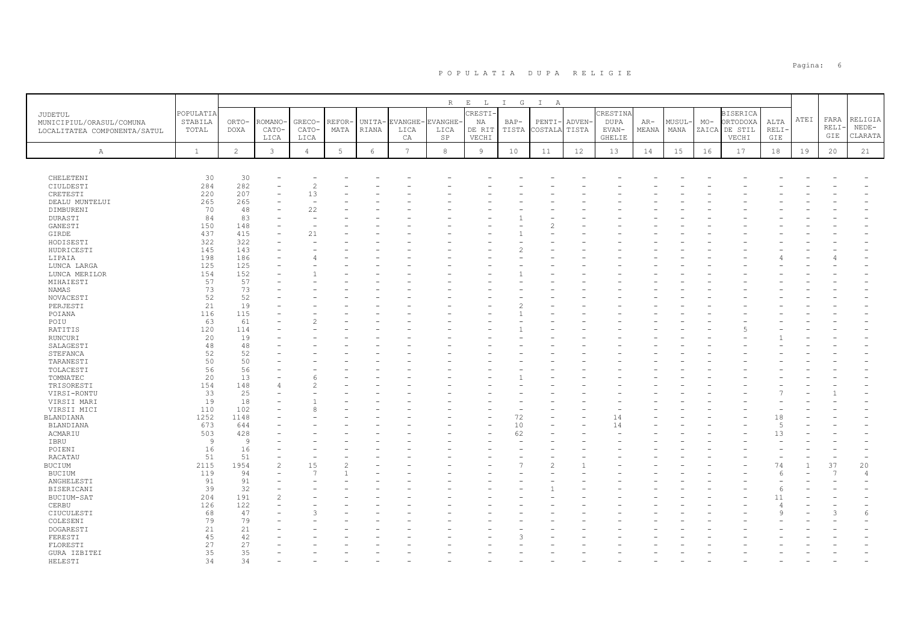|                              |              |                |                |                |        |            |                | R              | $\,$ E<br>$\mathbb L$ | $\mathbb{I}$<br>G | $\mathbb{I}$<br>A |        |          |       |        |       |                 |                      |      |       |                |
|------------------------------|--------------|----------------|----------------|----------------|--------|------------|----------------|----------------|-----------------------|-------------------|-------------------|--------|----------|-------|--------|-------|-----------------|----------------------|------|-------|----------------|
| <b>JUDETUL</b>               | POPULATIA    |                |                |                |        |            |                |                | <b>CRESTI-</b>        |                   |                   |        | CRESTINA |       |        |       | <b>BISERICA</b> |                      |      |       |                |
| MUNICIPIUL/ORASUL/COMUNA     | STABILA      | ORTO-          | ROMANO         | <b>GRECO</b>   | REFOR- |            | UNITA-EVANGHE  | <b>EVANGHE</b> | NA                    | BAP-              | PENTI             | ADVEN- | DUPA     | AR-   | MUSUL- | $MO-$ | ORTODOXA        | ALTA                 | ATEI | FARA  | RELIGIA        |
| LOCALITATEA COMPONENTA/SATUL | TOTAL        | <b>DOXA</b>    | CATO-          | CATO-          | MATA   | RIANA      | LICA           | LICA           | DE RIT                | TISTA             | COSTALA           | TISTA  | EVAN-    | MEANA | MANA   | ZAICA | DE STIL         | RELI-                |      | RELI- | $NEDE-$        |
|                              |              |                | LICA           | LICA           |        |            | CA             | SP             | VECHI                 |                   |                   |        | GHELIE   |       |        |       | VECHI           | GIE                  |      | GIE   | CLARATA        |
|                              |              | $\overline{c}$ |                |                | 5      |            | $\overline{7}$ | $\overline{8}$ |                       |                   |                   |        |          |       |        |       |                 |                      |      |       |                |
| Α                            | $\mathbf{1}$ |                | 3              | $\overline{4}$ |        | $\epsilon$ |                |                | $\overline{9}$        | 10                | 11                | 12     | 13       | 14    | 15     | 16    | 17              | 18                   | 19   | 20    | 21             |
|                              |              |                |                |                |        |            |                |                |                       |                   |                   |        |          |       |        |       |                 |                      |      |       |                |
|                              | 30           |                |                |                |        |            |                |                |                       |                   |                   |        |          |       |        |       |                 |                      |      |       |                |
| CHELETENI<br>CIULDESTI       | 284          | 30<br>282      |                | $\overline{c}$ |        |            |                |                |                       |                   |                   |        |          |       |        |       |                 |                      |      |       |                |
| CRETESTI                     | 220          | 207            |                | 13             |        |            |                |                |                       |                   |                   |        |          |       |        |       |                 |                      |      |       |                |
| DEALU MUNTELUI               | 265          | 265            |                |                |        |            |                |                |                       |                   |                   |        |          |       |        |       |                 |                      |      |       |                |
| DIMBURENI                    | 70           | 48             |                | 22             |        |            |                |                |                       |                   |                   |        |          |       |        |       |                 |                      |      |       |                |
| DURASTI                      | 84           | 83             |                |                |        |            |                |                |                       |                   |                   |        |          |       |        |       |                 |                      |      |       |                |
| GANESTI                      | 150          | 148            |                |                |        |            |                |                |                       |                   |                   |        |          |       |        |       |                 |                      |      |       |                |
| GIRDE                        | 437          | 415            |                | 21             |        |            |                |                |                       |                   |                   |        |          |       |        |       |                 |                      |      |       |                |
| HODISESTI                    | 322          | 322            |                |                |        |            |                |                |                       |                   |                   |        |          |       |        |       |                 |                      |      |       |                |
| HUDRICESTI                   | 145          | 143            |                |                |        |            |                |                |                       |                   |                   |        |          |       |        |       |                 |                      |      |       |                |
| LIPAIA                       | 198          | 186            |                |                |        |            |                |                |                       |                   |                   |        |          |       |        |       |                 |                      |      |       |                |
| LUNCA LARGA                  | 125          | 125            |                |                |        |            |                |                |                       |                   |                   |        |          |       |        |       |                 |                      |      |       |                |
| LUNCA MERILOR                | 154          | 152            |                |                |        |            |                |                |                       |                   |                   |        |          |       |        |       |                 |                      |      |       |                |
| MIHAIESTI                    | 57           | 57             |                |                |        |            |                |                |                       |                   |                   |        |          |       |        |       |                 |                      |      |       |                |
| NAMAS                        | 73           | 73             |                |                |        |            |                |                |                       |                   |                   |        |          |       |        |       |                 |                      |      |       |                |
| NOVACESTI<br>PERJESTI        | 52<br>21     | 52<br>19       |                |                |        |            |                |                |                       |                   |                   |        |          |       |        |       |                 |                      |      |       |                |
| POIANA                       | 116          | 115            |                |                |        |            |                |                |                       |                   |                   |        |          |       |        |       |                 |                      |      |       |                |
| POIU                         | 63           | 61             |                | $\mathcal{D}$  |        |            |                |                |                       |                   |                   |        |          |       |        |       |                 |                      |      |       |                |
| RATITIS                      | 120          | 114            |                |                |        |            |                |                |                       |                   |                   |        |          |       |        |       |                 |                      |      |       |                |
| RUNCURI                      | 20           | 19             |                |                |        |            |                |                |                       |                   |                   |        |          |       |        |       |                 |                      |      |       |                |
| SALAGESTI                    | 48           | 48             |                |                |        |            |                |                |                       |                   |                   |        |          |       |        |       |                 |                      |      |       |                |
| STEFANCA                     | 52           | 52             |                |                |        |            |                |                |                       |                   |                   |        |          |       |        |       |                 |                      |      |       |                |
| TARANESTI                    | 50           | 50             |                |                |        |            |                |                |                       |                   |                   |        |          |       |        |       |                 |                      |      |       |                |
| TOLACESTI                    | 56           | 56             |                |                |        |            |                |                |                       |                   |                   |        |          |       |        |       |                 |                      |      |       |                |
| TOMNATEC                     | 20           | 13             |                |                |        |            |                |                |                       |                   |                   |        |          |       |        |       |                 |                      |      |       |                |
| TRISORESTI                   | 154          | 148            |                | $\hat{z}$      |        |            |                |                |                       |                   |                   |        |          |       |        |       |                 |                      |      |       |                |
| VIRSI-RONTU                  | 33           | 25             |                |                |        |            |                |                |                       |                   |                   |        |          |       |        |       |                 |                      |      |       |                |
| VIRSII MARI                  | 19           | 18             |                |                |        |            |                |                |                       |                   |                   |        |          |       |        |       |                 |                      |      |       |                |
| VIRSII MICI                  | 110          | 102            |                | 8              |        |            |                |                |                       |                   |                   |        |          |       |        |       |                 |                      |      |       |                |
| BLANDIANA                    | 1252         | 1148           |                |                |        |            |                |                |                       | 72                |                   |        | 14       |       |        |       |                 | 18                   |      |       |                |
| BLANDIANA                    | 673<br>503   | 644<br>428     |                |                |        |            |                |                |                       | 10<br>62          |                   |        | 14       |       |        |       |                 | $\overline{5}$<br>13 |      |       |                |
| ACMARIU<br>IBRU              | 9            | $\overline{9}$ |                |                |        |            |                |                |                       |                   |                   |        |          |       |        |       |                 |                      |      |       |                |
| POIENI                       | 16           | 16             |                |                |        |            |                |                |                       |                   |                   |        |          |       |        |       |                 |                      |      |       |                |
| RACATAU                      | 51           | 51             |                |                |        |            |                |                |                       |                   |                   |        |          |       |        |       |                 |                      |      |       |                |
| BUCIUM                       | 2115         | 1954           | $\overline{c}$ | 15             |        |            |                |                |                       |                   |                   |        |          |       |        |       |                 | 74                   |      | 37    | 20             |
| <b>BUCIUM</b>                | 119          | 94             |                | $\overline{7}$ |        |            |                |                |                       |                   |                   |        |          |       |        |       |                 |                      |      | 7     | $\overline{4}$ |
| ANGHELESTI                   | 91           | 91             |                |                |        |            |                |                |                       |                   |                   |        |          |       |        |       |                 |                      |      |       |                |
| BISERICANI                   | 39           | 32             |                |                |        |            |                |                |                       |                   |                   |        |          |       |        |       |                 |                      |      |       |                |
| BUCIUM-SAT                   | 204          | 191            |                |                |        |            |                |                |                       |                   |                   |        |          |       |        |       |                 | 11                   |      |       |                |
| CERBU                        | 126          | 122            |                |                |        |            |                |                |                       |                   |                   |        |          |       |        |       |                 |                      |      |       |                |
| CIUCULESTI                   | 68           | 47             |                | $\mathcal{L}$  |        |            |                |                |                       |                   |                   |        |          |       |        |       |                 |                      |      | €     | $\sqrt{2}$     |
| COLESENI                     | 79           | 79             |                |                |        |            |                |                |                       |                   |                   |        |          |       |        |       |                 |                      |      |       |                |
| DOGARESTI                    | 21           | 21             |                |                |        |            |                |                |                       |                   |                   |        |          |       |        |       |                 |                      |      |       |                |
| FERESTI                      | 45           | 42             |                |                |        |            |                |                |                       |                   |                   |        |          |       |        |       |                 |                      |      |       |                |
| FLORESTI                     | 27           | 27             |                |                |        |            |                |                |                       |                   |                   |        |          |       |        |       |                 |                      |      |       |                |
| GURA IZBITEI                 | 35           | 35<br>34       |                |                |        |            |                |                |                       |                   |                   |        |          |       |        |       |                 |                      |      |       |                |
| HELESTI                      | 34           |                |                |                |        |            |                |                |                       |                   |                   |        |          |       |        |       |                 |                      |      |       |                |

en die staatste koning van die gewone van die gewone van die gewone van die gewone van die gewone van die gewon<br>Gebeure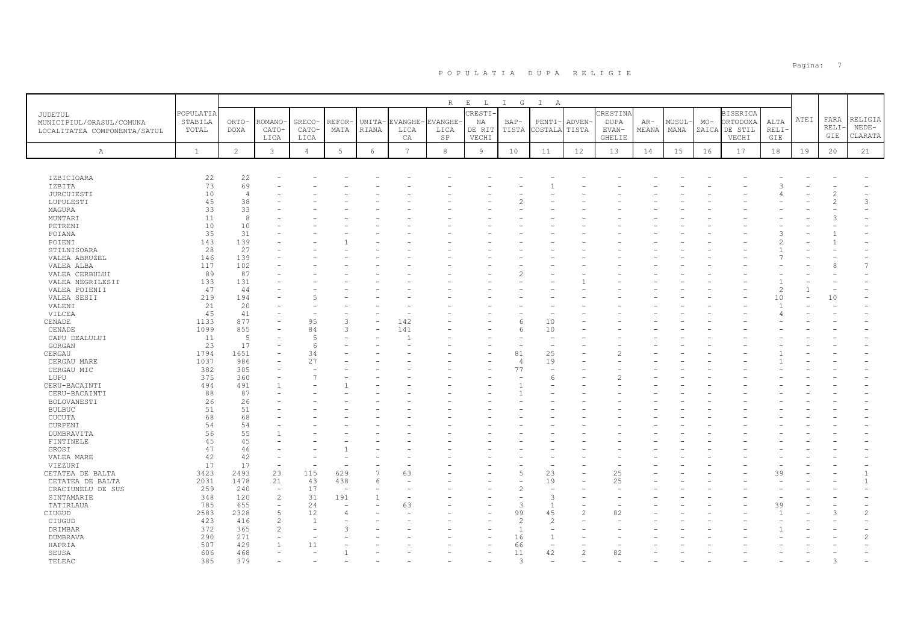|                                                                            |                               |                      |                          |                          |                |                 |                      | R                      | $\mathbf{E}=-\mathbf{L}$ . | $I$ G                    | $\mathbb{I}$<br>A        |                       |                                  |                |                |       |                                              |                |      |                      |                               |
|----------------------------------------------------------------------------|-------------------------------|----------------------|--------------------------|--------------------------|----------------|-----------------|----------------------|------------------------|----------------------------|--------------------------|--------------------------|-----------------------|----------------------------------|----------------|----------------|-------|----------------------------------------------|----------------|------|----------------------|-------------------------------|
| <b>JUDETUL</b><br>MUNICIPIUL/ORASUL/COMUNA<br>LOCALITATEA COMPONENTA/SATUL | POPULATIA<br>STABILA<br>TOTAL | ORTO-<br><b>DOXA</b> | ROMANO<br>CATO-          | GRECO-<br>CATO-          | REFOR·<br>MATA | UNITA-<br>RIANA | EVANGHE-<br>LICA     | <b>EVANGHE</b><br>LICA | CRESTI-<br>NA<br>DE RIT    | $BAP-$<br>TISTA          | PENTI-<br>COSTALA        | <b>ADVEN</b><br>TISTA | CRESTINA<br><b>DUPA</b><br>EVAN- | $AR-$<br>MEANA | MUSUL-<br>MANA | $MO-$ | <b>BISERICA</b><br>ORTODOXA<br>ZAICA DE STIL | ALTA<br>RELI   | ATEI | FARA<br>RELI·<br>GIE | RELIGIA<br>$NEDE-$<br>CLARATA |
| Α                                                                          | $\mathbf{1}$                  | $\overline{2}$       | LICA<br>$\mathbf{3}$     | LICA<br>$\overline{4}$   | 5              | 6               | СA<br>$\overline{7}$ | SP<br>$_{\rm 8}$       | VECHI<br>9                 | 10                       | 11                       | 12                    | <b>GHELIE</b><br>13              | 14             | 15             | 16    | VECHI<br>17                                  | GIE<br>18      | 19   | 20                   | 21                            |
|                                                                            |                               |                      |                          |                          |                |                 |                      |                        |                            |                          |                          |                       |                                  |                |                |       |                                              |                |      |                      |                               |
| IZBICIOARA                                                                 | 22                            | 22                   |                          |                          |                |                 |                      |                        |                            |                          |                          |                       |                                  |                |                |       |                                              |                |      |                      |                               |
| IZBITA                                                                     | 73                            | 69                   |                          |                          |                |                 |                      |                        |                            |                          |                          |                       |                                  |                |                |       |                                              |                |      |                      |                               |
| <b>JURCUIESTI</b>                                                          | 10                            | $\overline{4}$       |                          |                          |                |                 |                      |                        |                            |                          |                          |                       |                                  |                |                |       |                                              |                |      |                      |                               |
| LUPULESTI                                                                  | 45                            | 38                   |                          |                          |                |                 |                      |                        |                            |                          |                          |                       |                                  |                |                |       |                                              |                |      |                      | 3                             |
| MAGURA                                                                     | 33                            | 33                   |                          |                          |                |                 |                      |                        |                            |                          |                          |                       |                                  |                |                |       |                                              |                |      |                      |                               |
| MUNTARI                                                                    | 11                            | 8                    |                          |                          |                |                 |                      |                        |                            |                          |                          |                       |                                  |                |                |       |                                              |                |      |                      |                               |
| PETRENI                                                                    | 10                            | 10                   |                          |                          |                |                 |                      |                        |                            |                          |                          |                       |                                  |                |                |       |                                              |                |      |                      |                               |
| POIANA                                                                     | 35                            | 31                   |                          |                          |                |                 |                      |                        |                            |                          |                          |                       |                                  |                |                |       |                                              |                |      |                      |                               |
| POIENI                                                                     | 143                           | 139                  |                          |                          |                |                 |                      |                        |                            |                          |                          |                       |                                  |                |                |       |                                              |                |      |                      |                               |
|                                                                            |                               |                      |                          |                          |                |                 |                      |                        |                            |                          |                          |                       |                                  |                |                |       |                                              |                |      |                      |                               |
| STILNISOARA                                                                | 28                            | 27                   |                          |                          |                |                 |                      |                        |                            |                          |                          |                       |                                  |                |                |       |                                              |                |      |                      |                               |
| VALEA ABRUZEL                                                              | 146                           | 139                  |                          |                          |                |                 |                      |                        |                            |                          |                          |                       |                                  |                |                |       |                                              |                |      |                      |                               |
| VALEA ALBA                                                                 | 117                           | 102                  |                          |                          |                |                 |                      |                        |                            |                          |                          |                       |                                  |                |                |       |                                              |                |      |                      | $\overline{7}$                |
| VALEA CERBULUI                                                             | 89                            | 87                   |                          |                          |                |                 |                      |                        |                            |                          |                          |                       |                                  |                |                |       |                                              |                |      |                      |                               |
| VALEA NEGRILESII                                                           | 133                           | 131                  |                          |                          |                |                 |                      |                        |                            |                          |                          |                       |                                  |                |                |       |                                              |                |      |                      |                               |
| VALEA POIENII                                                              | 47                            | 44                   |                          |                          |                |                 |                      |                        |                            |                          |                          |                       |                                  |                |                |       |                                              | $\mathfrak{D}$ |      |                      |                               |
| VALEA SESII                                                                | 219                           | 194                  |                          |                          |                |                 |                      |                        |                            |                          |                          |                       |                                  |                |                |       |                                              | 10             |      | 10                   |                               |
| VALENI                                                                     | 21                            | 20                   |                          |                          |                |                 |                      |                        |                            |                          |                          |                       |                                  |                |                |       |                                              |                |      |                      |                               |
| VILCEA                                                                     | 45                            | 41                   |                          |                          |                |                 |                      |                        |                            |                          |                          |                       |                                  |                |                |       |                                              |                |      |                      |                               |
| CENADE                                                                     | 1133                          | 877                  |                          | 95                       | 3              |                 | 142                  |                        |                            | -6                       | 10                       |                       |                                  |                |                |       |                                              |                |      |                      |                               |
| CENADE                                                                     | 1099                          | 855                  |                          | 84                       | 3              |                 | 141                  |                        |                            | 6                        | 10                       |                       |                                  |                |                |       |                                              |                |      |                      |                               |
| CAPU DEALULUI                                                              | 11                            | 5                    |                          | $\overline{5}$           |                |                 |                      |                        |                            |                          | $\overline{\phantom{0}}$ |                       |                                  |                |                |       |                                              |                |      |                      |                               |
| GORGAN                                                                     | 23                            | 17                   | ۰                        | $\epsilon$               |                |                 |                      |                        |                            |                          | $\overline{\phantom{0}}$ |                       |                                  |                |                |       |                                              |                |      |                      |                               |
| CERGAU                                                                     | 1794                          | 1651                 |                          | 34                       |                |                 |                      |                        |                            | 81                       | 25                       |                       |                                  |                |                |       |                                              |                |      |                      |                               |
|                                                                            | 1037                          | 986                  |                          | 27                       |                |                 |                      |                        |                            | $\overline{4}$           | 19                       |                       |                                  |                |                |       |                                              |                |      |                      |                               |
| CERGAU MARE                                                                | 382                           | 305                  |                          |                          |                |                 |                      |                        |                            | 77                       | $\overline{\phantom{0}}$ |                       |                                  |                |                |       |                                              |                |      |                      |                               |
| CERGAU MIC                                                                 |                               |                      |                          |                          |                |                 |                      |                        |                            |                          |                          |                       |                                  |                |                |       |                                              |                |      |                      |                               |
| LUPU                                                                       | 375                           | 360                  |                          |                          |                |                 |                      |                        |                            |                          | 6                        |                       |                                  |                |                |       |                                              |                |      |                      |                               |
| CERU-BACAINTI                                                              | 494                           | 491                  |                          |                          |                |                 |                      |                        |                            |                          |                          |                       |                                  |                |                |       |                                              |                |      |                      |                               |
| CERU-BACAINTI                                                              | 88                            | 87                   |                          |                          |                |                 |                      |                        |                            |                          |                          |                       |                                  |                |                |       |                                              |                |      |                      |                               |
| BOLOVANESTI                                                                | 26                            | 26                   |                          |                          |                |                 |                      |                        |                            |                          |                          |                       |                                  |                |                |       |                                              |                |      |                      |                               |
| <b>BULBUC</b>                                                              | 51                            | 51                   |                          |                          |                |                 |                      |                        |                            |                          |                          |                       |                                  |                |                |       |                                              |                |      |                      |                               |
| <b>CUCUTA</b>                                                              | 68                            | 68                   |                          |                          |                |                 |                      |                        |                            |                          |                          |                       |                                  |                |                |       |                                              |                |      |                      |                               |
| CURPENI                                                                    | 54                            | 54                   |                          |                          |                |                 |                      |                        |                            |                          |                          |                       |                                  |                |                |       |                                              |                |      |                      |                               |
| DUMBRAVITA                                                                 | 56                            | 55                   |                          |                          |                |                 |                      |                        |                            |                          |                          |                       |                                  |                |                |       |                                              |                |      |                      |                               |
| FINTINELE                                                                  | 45                            | 45                   |                          |                          |                |                 |                      |                        |                            |                          |                          |                       |                                  |                |                |       |                                              |                |      |                      |                               |
| GROSI                                                                      | 47                            | 46                   |                          |                          |                |                 |                      |                        |                            |                          |                          |                       |                                  |                |                |       |                                              |                |      |                      |                               |
| VALEA MARE                                                                 | 42                            | 42                   |                          |                          |                |                 |                      |                        |                            |                          |                          |                       |                                  |                |                |       |                                              |                |      |                      |                               |
| VIEZURI                                                                    | 17                            | 17                   | $\overline{\phantom{a}}$ | $\overline{\phantom{a}}$ |                |                 |                      |                        |                            |                          | $\overline{\phantom{0}}$ |                       |                                  |                |                |       |                                              |                |      |                      |                               |
| CETATEA DE BALTA                                                           | 3423                          | 2493                 | 23                       | 115                      | 629            | $\overline{7}$  | 63                   |                        |                            | 5                        | 23                       |                       | 25                               |                |                |       |                                              | 39             |      |                      |                               |
|                                                                            | 2031                          | 1478                 | 21                       | 43                       | 438            | 6               |                      |                        |                            |                          | 19                       |                       | 25                               |                |                |       |                                              |                |      |                      | $\mathbf{1}$                  |
| CETATEA DE BALTA                                                           |                               |                      |                          |                          |                |                 |                      |                        |                            |                          |                          |                       |                                  |                |                |       |                                              |                |      |                      |                               |
| CRACIUNELU DE SUS                                                          | 259                           | 240                  | $\overline{\phantom{a}}$ | 17                       |                |                 |                      |                        |                            | $\overline{\mathcal{L}}$ |                          |                       |                                  |                |                |       |                                              |                |      |                      |                               |
| SINTAMARIE                                                                 | 348                           | 120                  | $\overline{c}$           | 31                       | 191            |                 |                      |                        |                            |                          | 3                        |                       |                                  |                |                |       |                                              |                |      |                      |                               |
| TATIRLAUA                                                                  | 785                           | 655                  | ÷,                       | 24                       |                |                 | 63                   |                        |                            | 3                        | $\mathbf{1}$             |                       |                                  |                |                |       |                                              | 39             |      |                      |                               |
| CIUGUD                                                                     | 2583                          | 2328                 | 5                        | 12                       | 4              |                 |                      |                        |                            | 99                       | 45                       | $\overline{c}$        | 82                               |                |                |       |                                              | $\overline{1}$ |      | -3                   | $\overline{c}$                |
| CIUGUD                                                                     | 423                           | 416                  | $\overline{c}$           | $\overline{1}$           |                |                 |                      |                        |                            | $\overline{c}$           | $\overline{c}$           |                       |                                  |                |                |       |                                              |                |      |                      |                               |
| DRIMBAR                                                                    | 372                           | 365                  | 2                        |                          | ς              |                 |                      |                        |                            | $\overline{1}$           | $\overline{\phantom{m}}$ |                       |                                  |                |                |       |                                              |                |      |                      |                               |
| DUMBRAVA                                                                   | 290                           | 271                  |                          |                          |                |                 |                      |                        |                            | 16                       | $\mathbf{1}$             |                       |                                  |                |                |       |                                              |                |      |                      | $\mathfrak{D}$                |
| HAPRIA                                                                     | 507                           | 429                  |                          | 11                       |                |                 |                      |                        |                            | 66                       | ÷,                       |                       |                                  |                |                |       |                                              |                |      |                      |                               |
| SEUSA                                                                      | 606                           | 468                  |                          |                          |                |                 |                      |                        |                            | 11                       | 42                       | $\overline{c}$        | 82                               |                |                |       |                                              |                |      |                      |                               |
| TELEAC                                                                     | 385                           | 379                  |                          |                          |                |                 |                      |                        |                            | $\overline{a}$           |                          |                       |                                  |                |                |       |                                              |                |      |                      |                               |

en die staatste verwys van die stads van die stads van die stads van die stads van die stads van die stads van die stads van die stads van die stads van die stads van die stads van die stads van die stads van die stads van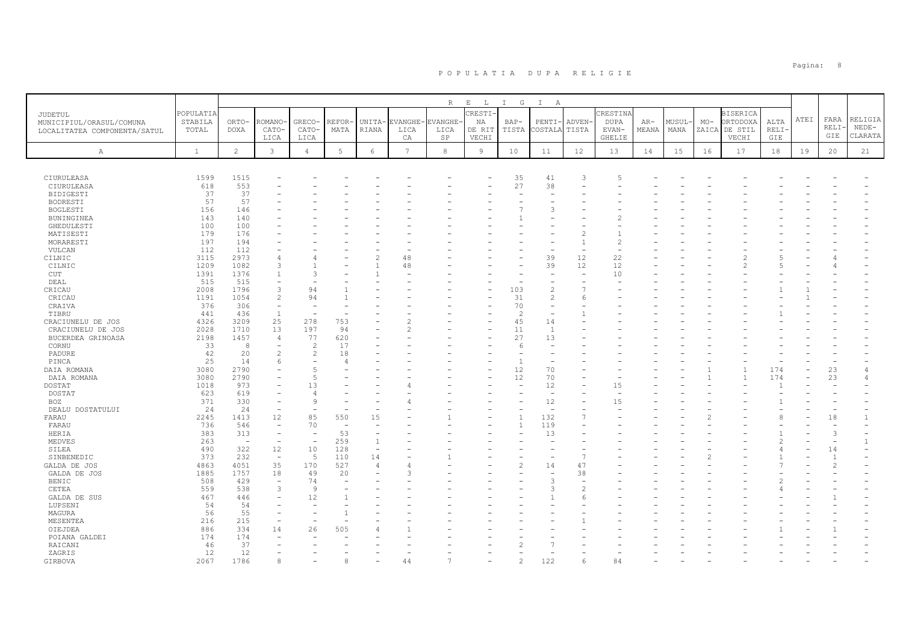|                              |              |                          |                          |                          |                          |                          |                | R              | $\mathbf{E}=-\mathbf{L}$ . | I G            | $\mathbb{I}$<br>A              |                |             |       |       |       |                 |      |      |                |                |
|------------------------------|--------------|--------------------------|--------------------------|--------------------------|--------------------------|--------------------------|----------------|----------------|----------------------------|----------------|--------------------------------|----------------|-------------|-------|-------|-------|-----------------|------|------|----------------|----------------|
| <b>JUDETUL</b>               | POPULATIA    |                          |                          |                          |                          |                          |                |                | CRESTI-                    |                |                                |                | CRESTINA    |       |       |       | <b>BISERICA</b> |      |      |                |                |
| MUNICIPIUL/ORASUL/COMUNA     | STABILA      | ORTO-                    | <b>ROMANO</b>            | GRECO-                   | REFOR-                   | UNITA-                   | EVANGHE-       | <b>EVANGHE</b> | NA                         | $BAP-$         | PENTI-                         | ADVEN-         | <b>DUPA</b> | $AR-$ | MUSUL | $MO-$ | ORTODOXA        | ALTA | ATEI | FARA           | RELIGIA        |
| LOCALITATEA COMPONENTA/SATUL | TOTAL        | <b>DOXA</b>              | CATO-                    | CATO-                    | MATA                     | RIANA                    | LICA           | LICA           | DE RIT                     | TISTA          | COSTALA                        | TISTA          | EVAN-       | MEANA | MANA  |       | ZAICA DE STIL   | RELI |      | RELI·          | $NEDE-$        |
|                              |              |                          | LICA                     | LICA                     |                          |                          | CA             | SP             | VECHI                      |                |                                |                | GHELIE      |       |       |       | VECHI           | GIE  |      | GIE            | CLARATA        |
|                              |              |                          |                          |                          |                          |                          |                |                |                            |                |                                |                |             |       |       |       |                 |      |      |                |                |
| Α                            | $\mathbf{1}$ | $\overline{c}$           | $\mathbf{3}$             | $\overline{4}$           | $5\phantom{.0}$          | $\epsilon$               | $\overline{7}$ | $^{\rm 8}$     | 9                          | 10             | 11                             | 12             | 13          | 14    | 15    | 16    | 17              | 18   | 19   | 20             | 21             |
|                              |              |                          |                          |                          |                          |                          |                |                |                            |                |                                |                |             |       |       |       |                 |      |      |                |                |
| CIURULEASA                   | 1599         | 1515                     |                          |                          |                          |                          |                |                |                            | 35             | 41                             | 3              |             |       |       |       |                 |      |      |                |                |
| CIURULEASA                   | 618          | 553                      |                          |                          |                          |                          |                |                |                            | 27             | 38                             |                |             |       |       |       |                 |      |      |                |                |
| <b>BIDIGESTI</b>             | 37           | 37                       |                          |                          |                          |                          |                |                |                            | ٠              | $\overline{\phantom{0}}$       |                |             |       |       |       |                 |      |      |                |                |
| BODRESTI                     | 57           | 57                       |                          |                          |                          |                          |                |                |                            |                |                                |                |             |       |       |       |                 |      |      |                |                |
| BOGLESTI                     | 156          | 146                      |                          |                          |                          |                          |                |                |                            |                | 3                              |                |             |       |       |       |                 |      |      |                |                |
| BUNINGINEA                   | 143          | 140                      |                          |                          |                          |                          |                |                |                            |                |                                |                |             |       |       |       |                 |      |      |                |                |
| GHEDULESTI                   | 100          | 100                      |                          |                          |                          |                          |                |                |                            |                |                                |                |             |       |       |       |                 |      |      |                |                |
| MATISESTI                    | 179          | 176                      |                          |                          |                          |                          |                |                |                            |                |                                |                |             |       |       |       |                 |      |      |                |                |
| MORARESTI                    | 197          | 194                      |                          |                          |                          |                          |                |                |                            |                |                                |                |             |       |       |       |                 |      |      |                |                |
| VULCAN                       | 112          | 112                      |                          |                          |                          |                          |                |                |                            |                |                                |                |             |       |       |       |                 |      |      |                |                |
| CILNIC                       | 3115         | 2973                     | 4                        |                          |                          |                          | 48             |                |                            |                | 39                             | 12             | 22          |       |       |       |                 |      |      |                |                |
| CILNIC                       | 1209         | 1082                     | 3                        |                          |                          |                          | 48             |                |                            |                | 39                             | 12             | 12          |       |       |       |                 |      |      |                |                |
| CUT                          | 1391         | 1376                     | $\mathbf{1}$             |                          |                          |                          |                |                |                            |                |                                | $\sim$         | 10          |       |       |       |                 |      |      |                |                |
| DEAL                         | 515          | 515                      | $\equiv$                 |                          |                          |                          |                |                |                            |                | $\equiv$                       |                |             |       |       |       |                 |      |      |                |                |
| CRICAU                       | 2008         | 1796                     | 3                        | 94                       |                          |                          |                |                |                            | 103            | $\overline{c}$                 |                |             |       |       |       |                 |      |      |                |                |
| CRICAU                       | 1191         | 1054                     | $\overline{c}$           | 94                       |                          |                          |                |                |                            | 31             | 2                              | 6              |             |       |       |       |                 |      |      |                |                |
| CRAIVA                       | 376          | 306                      | $\equiv$                 |                          |                          |                          |                |                |                            | 70             | $\equiv$                       |                |             |       |       |       |                 |      |      |                |                |
| TIBRU                        | 441          | 436                      | $\mathbf{1}$             |                          |                          |                          |                |                |                            | $\overline{c}$ | $\overline{\phantom{a}}$       |                |             |       |       |       |                 |      |      |                |                |
| CRACIUNELU DE JOS            | 4326         | 3209                     | 25                       | 278                      | 753                      |                          |                |                |                            | 45             | 14                             |                |             |       |       |       |                 |      |      |                |                |
| CRACIUNELU DE JOS            | 2028         | 1710                     | 13                       | 197                      | 94                       |                          |                |                |                            | 11             | $\overline{1}$                 |                |             |       |       |       |                 |      |      |                |                |
| BUCERDEA GRINOASA            | 2198         | 1457                     | 4                        | 77                       | 620                      |                          |                |                |                            | 27             | 13                             |                |             |       |       |       |                 |      |      |                |                |
| CORNU                        | 33           | 8                        | $\overline{\phantom{0}}$ | 2                        | 17                       |                          |                |                |                            | 6              | $\overline{\phantom{a}}$       |                |             |       |       |       |                 |      |      |                |                |
| PADURE                       | 42           | 20                       | $\overline{c}$           | $\overline{c}$           | 18                       |                          |                |                |                            |                |                                |                |             |       |       |       |                 |      |      |                |                |
| PINCA                        | 25           | 14                       | 6                        |                          |                          |                          |                |                |                            | $\overline{1}$ |                                |                |             |       |       |       |                 |      |      |                |                |
| DAIA ROMANA                  | 3080         | 2790                     |                          | 5                        |                          |                          |                |                |                            | 12             | 70                             |                |             |       |       |       |                 | 174  |      | 23             | $\overline{4}$ |
| DAIA ROMANA                  | 3080         | 2790                     |                          | $\sqrt{2}$               |                          |                          |                |                |                            | 12<br>L,       | 70                             |                |             |       |       |       |                 | 174  |      | 23             | 4              |
| DOSTAT                       | 1018         | 973                      |                          | 13                       |                          |                          |                |                |                            |                | 12<br>÷,                       |                | 15          |       |       |       |                 |      |      |                |                |
| DOSTAT                       | 623          | 619                      |                          | 9                        |                          |                          |                |                |                            |                |                                |                |             |       |       |       |                 |      |      |                |                |
| BOZ                          | 371<br>24    | 330<br>24                | ۰<br>$\sim$              | $\overline{\phantom{a}}$ |                          |                          |                |                |                            |                | 12<br>$\overline{\phantom{a}}$ |                | 15          |       |       |       |                 |      |      |                |                |
| DEALU DOSTATULUI<br>FARAU    | 2245         | 1413                     | 12                       | 85                       | 550                      | 15                       |                |                |                            | $\overline{1}$ | 132                            | $\overline{ }$ |             |       |       |       |                 |      |      | 18             | $\mathbf{1}$   |
| FARAU                        | 736          | 546                      | $\equiv$                 | 70                       | $\overline{\phantom{a}}$ |                          |                |                |                            | $\overline{1}$ | 119                            |                |             |       |       |       |                 |      |      |                |                |
| HERIA                        | 383          | 313                      | $\overline{\phantom{a}}$ | $\overline{\phantom{a}}$ | 53                       |                          |                |                |                            |                | 13                             |                |             |       |       |       |                 |      |      | $\mathcal{L}$  |                |
| MEDVES                       | 263          | $\overline{\phantom{a}}$ | $\overline{\phantom{a}}$ | $\overline{\phantom{a}}$ | 259                      | $\overline{1}$           |                |                |                            |                |                                |                |             |       |       |       |                 |      |      |                |                |
| SILEA                        | 490          | 322                      | 12                       | 10                       | 128                      | $\overline{\phantom{a}}$ |                |                |                            |                |                                |                |             |       |       |       |                 |      |      | 14             |                |
| SINBENEDIC                   | 373          | 232                      | $\overline{\phantom{a}}$ | -5                       | 110                      | 14                       |                |                |                            |                |                                |                |             |       |       |       |                 |      |      | $\overline{1}$ |                |
| GALDA DE JOS                 | 4863         | 4051                     | 35                       | 170                      | 527                      | $\overline{4}$           |                |                |                            | $\overline{c}$ | 14                             | 47             |             |       |       |       |                 |      |      |                |                |
| GALDA DE JOS                 | 1885         | 1757                     | 18                       | 49                       | 20                       |                          |                |                |                            |                |                                | 38             |             |       |       |       |                 |      |      |                |                |
| BENIC                        | 508          | 429                      | $\overline{\phantom{a}}$ | 74                       |                          |                          |                |                |                            |                | 3                              | ÷              |             |       |       |       |                 |      |      |                |                |
| CETEA                        | 559          | 538                      | 3                        | Q                        |                          |                          |                |                |                            |                | 3                              | 2              |             |       |       |       |                 |      |      |                |                |
| GALDA DE SUS                 | 467          | 446                      | ۳                        | 12                       |                          |                          |                |                |                            |                |                                |                |             |       |       |       |                 |      |      |                |                |
| LUPSENI                      | 54           | 54                       |                          |                          |                          |                          |                |                |                            |                |                                |                |             |       |       |       |                 |      |      |                |                |
| MAGURA                       | 56           | 55                       | ۳                        |                          |                          |                          |                |                |                            |                |                                |                |             |       |       |       |                 |      |      |                |                |
| MESENTEA                     | 216          | 215                      | ۳                        |                          |                          |                          |                |                |                            |                |                                |                |             |       |       |       |                 |      |      |                |                |
| OIEJDEA                      | 886          | 334                      | 14                       | 26                       | 505                      |                          |                |                |                            |                |                                |                |             |       |       |       |                 |      |      |                |                |
| POIANA GALDEI                | 174          | 174                      |                          |                          |                          |                          |                |                |                            |                |                                |                |             |       |       |       |                 |      |      |                |                |
| RAICANI                      | 46           | 37                       |                          |                          |                          |                          |                |                |                            |                |                                |                |             |       |       |       |                 |      |      |                |                |
| ZAGRIS                       | 12           | 12                       |                          |                          |                          |                          |                |                |                            |                |                                |                |             |       |       |       |                 |      |      |                |                |
| GIRBOVA                      | 2067         | 1786                     | $\alpha$                 |                          |                          |                          | 44             |                |                            |                | 122                            |                | 84          |       |       |       |                 |      |      |                |                |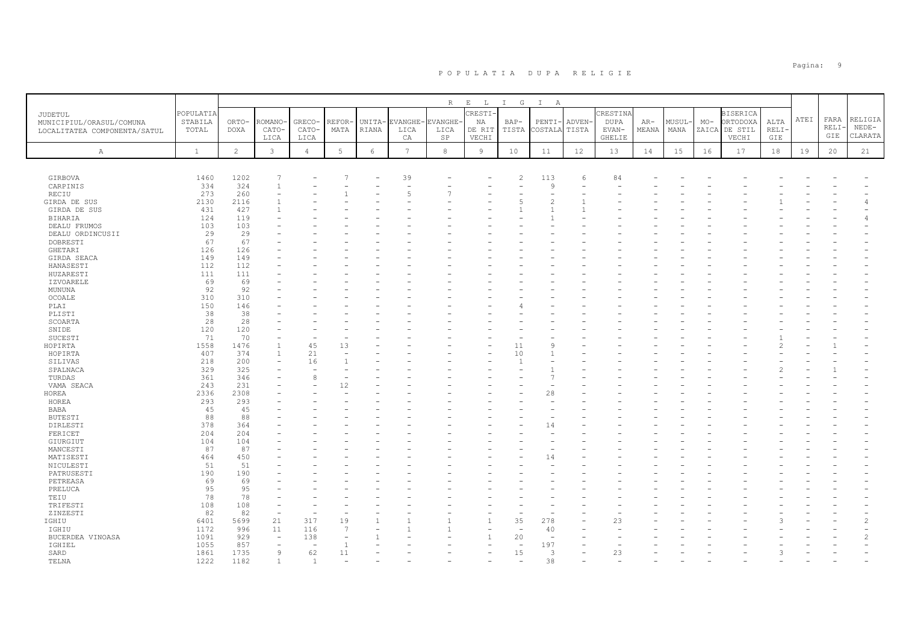|                              |              |                |                          |                          |             |            |                | R              | $\mathbf{E}=-\mathbf{L}$ . | I G                      | $\mathbb{I}$<br>A        |        |             |       |       |       |                 |               |      |       |                |
|------------------------------|--------------|----------------|--------------------------|--------------------------|-------------|------------|----------------|----------------|----------------------------|--------------------------|--------------------------|--------|-------------|-------|-------|-------|-----------------|---------------|------|-------|----------------|
|                              | POPULATIA    |                |                          |                          |             |            |                |                | CRESTI-                    |                          |                          |        | CRESTINA    |       |       |       | <b>BISERICA</b> |               |      |       |                |
| <b>JUDETUL</b>               | STABILA      | ORTO-          | <b>ROMANO</b>            | GRECO-                   | REFOR-      | UNITA-     | EVANGHE-       | <b>EVANGHE</b> | NA                         | $BAP-$                   | PENTI-                   | ADVEN- | <b>DUPA</b> | $AR-$ | MUSUL | $MO-$ | ORTODOXA        | ALTA          | ATEI | FARA  | RELIGIA        |
| MUNICIPIUL/ORASUL/COMUNA     | TOTAL        | <b>DOXA</b>    | CATO-                    | CATO-                    | MATA        | RIANA      | LICA           | LICA           | DE RIT                     | TISTA                    | COSTALA TISTA            |        | EVAN-       | MEANA | MANA  |       | ZAICA DE STIL   | RELI          |      | RELI- | $NEDE-$        |
| LOCALITATEA COMPONENTA/SATUL |              |                | LICA                     | LICA                     |             |            | CA             | SP             | VECHI                      |                          |                          |        | GHELIE      |       |       |       | VECHI           | GIE           |      | GIE   | CLARATA        |
|                              |              |                |                          |                          |             |            |                |                |                            |                          |                          |        |             |       |       |       |                 |               |      |       |                |
| Α                            | $\mathbf{1}$ | $\overline{c}$ | $\mathbf{3}$             | $\overline{4}$           | $\mathbf 5$ | $\epsilon$ | $\overline{7}$ | $^{\rm 8}$     | $\overline{9}$             | 10                       | 11                       | 12     | 13          | 14    | 15    | 16    | 17              | 18            | 19   | 20    | 21             |
|                              |              |                |                          |                          |             |            |                |                |                            |                          |                          |        |             |       |       |       |                 |               |      |       |                |
|                              |              |                |                          |                          |             |            |                |                |                            |                          |                          |        |             |       |       |       |                 |               |      |       |                |
| GIRBOVA                      | 1460         | 1202           |                          |                          |             |            | 39             |                |                            | $\overline{c}$           | 113                      | 6      | 84          |       |       |       |                 |               |      |       |                |
| CARPINIS                     | 334          | 324            | $\mathbf{1}$             |                          |             |            |                |                |                            |                          | 9                        |        |             |       |       |       |                 |               |      |       |                |
| RECIU                        | 273          | 260            | ۳                        |                          |             |            | ц              |                |                            |                          | $\overline{\phantom{a}}$ |        |             |       |       |       |                 |               |      |       |                |
| GIRDA DE SUS                 | 2130         | 2116           |                          |                          |             |            |                |                |                            |                          | $\overline{c}$           |        |             |       |       |       |                 |               |      |       |                |
| GIRDA DE SUS                 | 431          | 427            |                          |                          |             |            |                |                |                            |                          |                          |        |             |       |       |       |                 |               |      |       |                |
| BIHARIA                      | 124          | 119            |                          |                          |             |            |                |                |                            |                          |                          |        |             |       |       |       |                 |               |      |       | $\overline{4}$ |
| DEALU FRUMOS                 | 103          | 103            |                          |                          |             |            |                |                |                            |                          |                          |        |             |       |       |       |                 |               |      |       |                |
| DEALU ORDINCUSII             | 29           | 29             |                          |                          |             |            |                |                |                            |                          |                          |        |             |       |       |       |                 |               |      |       |                |
| DOBRESTI                     | 67           | 67             |                          |                          |             |            |                |                |                            |                          |                          |        |             |       |       |       |                 |               |      |       |                |
| GHETARI                      | 126          | 126            |                          |                          |             |            |                |                |                            |                          |                          |        |             |       |       |       |                 |               |      |       |                |
| GIRDA SEACA                  | 149          | 149            |                          |                          |             |            |                |                |                            |                          |                          |        |             |       |       |       |                 |               |      |       |                |
| HANASESTI                    | 112          | 112            |                          |                          |             |            |                |                |                            |                          |                          |        |             |       |       |       |                 |               |      |       |                |
| HUZARESTI                    | 111          | 111            |                          |                          |             |            |                |                |                            |                          |                          |        |             |       |       |       |                 |               |      |       |                |
| <b>IZVOARELE</b>             | 69           | 69             |                          |                          |             |            |                |                |                            |                          |                          |        |             |       |       |       |                 |               |      |       |                |
| MUNUNA                       | 92           | 92             |                          |                          |             |            |                |                |                            |                          |                          |        |             |       |       |       |                 |               |      |       |                |
| OCOALE                       | 310          | 310            |                          |                          |             |            |                |                |                            |                          |                          |        |             |       |       |       |                 |               |      |       |                |
| PLAI                         | 150          | 146            |                          |                          |             |            |                |                |                            |                          |                          |        |             |       |       |       |                 |               |      |       |                |
| PLISTI                       | 38           | 38             |                          |                          |             |            |                |                |                            |                          |                          |        |             |       |       |       |                 |               |      |       |                |
| SCOARTA                      | 28           | 28             |                          |                          |             |            |                |                |                            |                          |                          |        |             |       |       |       |                 |               |      |       |                |
| SNIDE                        | 120          | 120            |                          |                          |             |            |                |                |                            |                          |                          |        |             |       |       |       |                 |               |      |       |                |
| SUCESTI                      | 71           | 70             |                          |                          |             |            |                |                |                            |                          |                          |        |             |       |       |       |                 |               |      |       |                |
|                              |              | 1476           | $\overline{1}$           | 45                       | 13          |            |                |                |                            | 11                       | Q                        |        |             |       |       |       |                 | $\mathcal{D}$ |      |       |                |
| HOPIRTA                      | 1558         |                |                          |                          |             |            |                |                |                            |                          |                          |        |             |       |       |       |                 |               |      |       |                |
| HOPIRTA                      | 407          | 374            | $\overline{1}$           | 21                       |             |            |                |                |                            | 10                       |                          |        |             |       |       |       |                 |               |      |       |                |
| SILIVAS                      | 218          | 200            | L,                       | 16                       |             |            |                |                |                            | $\overline{1}$           |                          |        |             |       |       |       |                 |               |      |       |                |
| SPALNACA                     | 329          | 325            |                          |                          |             |            |                |                |                            |                          |                          |        |             |       |       |       |                 |               |      |       |                |
| TURDAS                       | 361          | 346            |                          | 8                        |             |            |                |                |                            |                          | 7                        |        |             |       |       |       |                 |               |      |       |                |
| VAMA SEACA                   | 243          | 231            |                          |                          | 12          |            |                |                |                            |                          |                          |        |             |       |       |       |                 |               |      |       |                |
| HOREA                        | 2336         | 2308           |                          |                          |             |            |                |                |                            |                          | 28                       |        |             |       |       |       |                 |               |      |       |                |
| HOREA                        | 293          | 293            |                          |                          |             |            |                |                |                            |                          |                          |        |             |       |       |       |                 |               |      |       |                |
| <b>BABA</b>                  | 45           | 45             |                          |                          |             |            |                |                |                            |                          |                          |        |             |       |       |       |                 |               |      |       |                |
| <b>BUTESTI</b>               | 88           | 88             |                          |                          |             |            |                |                |                            |                          |                          |        |             |       |       |       |                 |               |      |       |                |
| DIRLESTI                     | 378          | 364            |                          |                          |             |            |                |                |                            |                          | 14                       |        |             |       |       |       |                 |               |      |       |                |
| FERICET                      | 204          | 204            |                          |                          |             |            |                |                |                            |                          |                          |        |             |       |       |       |                 |               |      |       |                |
| GIURGIUT                     | 104          | 104            |                          |                          |             |            |                |                |                            |                          |                          |        |             |       |       |       |                 |               |      |       |                |
| MANCESTI                     | 87           | 87             |                          |                          |             |            |                |                |                            |                          |                          |        |             |       |       |       |                 |               |      |       |                |
| MATISESTI                    | 464          | 450            |                          |                          |             |            |                |                |                            |                          | 14                       |        |             |       |       |       |                 |               |      |       |                |
| NICULESTI                    | 51           | 51             |                          |                          |             |            |                |                |                            |                          |                          |        |             |       |       |       |                 |               |      |       |                |
| PATRUSESTI                   | 190          | 190            |                          |                          |             |            |                |                |                            |                          |                          |        |             |       |       |       |                 |               |      |       |                |
| PETREASA                     | 69           | 69             |                          |                          |             |            |                |                |                            |                          |                          |        |             |       |       |       |                 |               |      |       |                |
| PRELUCA                      | 95           | 95             |                          |                          |             |            |                |                |                            |                          |                          |        |             |       |       |       |                 |               |      |       |                |
| TEIU                         | 78           | 78             |                          |                          |             |            |                |                |                            |                          |                          |        |             |       |       |       |                 |               |      |       |                |
| TRIFESTI                     | 108          | 108            |                          |                          |             |            |                |                |                            |                          |                          |        |             |       |       |       |                 |               |      |       |                |
| ZINZESTI                     | 82           | 82             | $\sim$                   |                          |             |            |                |                |                            |                          |                          |        |             |       |       |       |                 |               |      |       |                |
| IGHIU                        | 6401         | 5699           | 21                       | 317                      | 19          |            |                |                |                            | 35                       | 278                      |        | 23          |       |       |       |                 |               |      |       | $\overline{c}$ |
| IGHIU                        | 1172         | 996            | 11                       | 116                      | 7           |            |                |                |                            | $\overline{\phantom{a}}$ | 40                       |        |             |       |       |       |                 |               |      |       |                |
| BUCERDEA VINOASA             | 1091         | 929            | $\overline{\phantom{a}}$ | 138                      |             |            |                |                | $\mathbf{1}$               | 20                       | $\overline{\phantom{0}}$ |        |             |       |       |       |                 |               |      |       | $\mathfrak{D}$ |
| IGHIEL                       | 1055         | 857            |                          | $\overline{\phantom{0}}$ |             |            |                |                |                            | ÷,                       | 197                      |        |             |       |       |       |                 |               |      |       |                |
| SARD                         | 1861         | 1735           | 9                        | 62                       | 11          |            |                |                |                            | 15                       | 3                        |        | 23          |       |       |       |                 | 3             |      |       |                |
| TELNA                        | 1222         | 1182           |                          |                          |             |            |                |                |                            |                          | 38                       |        |             |       |       |       |                 |               |      |       |                |
|                              |              |                |                          |                          |             |            |                |                |                            |                          |                          |        |             |       |       |       |                 |               |      |       |                |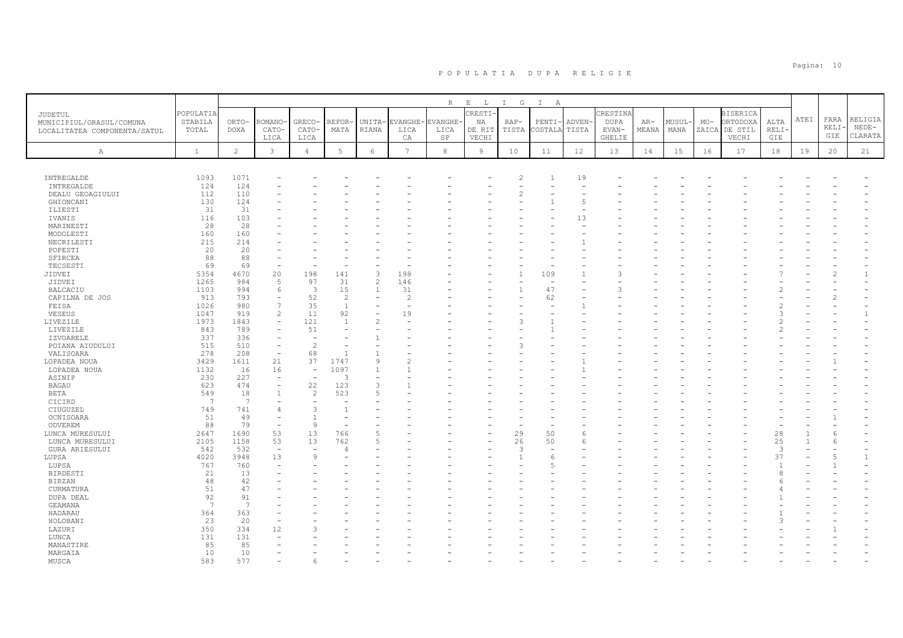|                                     |                      |              |                                          |                      |                       |                |                | $\mathbb R$ | $\mathop{}\mathopen{} E$<br>$\mathbb{L}$ | $I$ G          | $\mathbb{I}$<br>$\mathbb{A}$ |        |                         |       |        |       |                             |        |      |       |              |
|-------------------------------------|----------------------|--------------|------------------------------------------|----------------------|-----------------------|----------------|----------------|-------------|------------------------------------------|----------------|------------------------------|--------|-------------------------|-------|--------|-------|-----------------------------|--------|------|-------|--------------|
| JUDETUL<br>MUNICIPIUL/ORASUL/COMUNA | POPULATIA<br>STABILA | ORTO-        | ROMANO                                   | GRECO-               | REFOR-                | UNITA-         | EVANGHE-       | EVANGHE     | CRESTI-<br>ΝA                            | $BAP-$         | PENTI·                       | ADVEN- | CRESTINA<br><b>DUPA</b> | $AR-$ | MUSUL- | $MO-$ | <b>BISERICA</b><br>ORTODOXA | ALTA   | ATEI | FARA  | RELIGIA      |
| LOCALITATEA COMPONENTA/SATUL        | TOTAL                | <b>DOXA</b>  | CATO-                                    | CATO-                | MATA                  | RIANA          | LICA           | LICA        | DE RIT                                   | TISTA          | COSTALA                      | TISTA  | EVAN-                   | MEANA | MANA   | ZAICA | DE STIL                     | RELI-  |      | RELI- | $NEDE-$      |
|                                     |                      |              | LICA                                     | LICA                 |                       |                | CA             | SP          | VECHI                                    |                |                              |        | GHELIE                  |       |        |       | VECHI                       | GIE    |      | GIE   | CLARATA      |
| $\mathbb{A}$                        | $\mathbf{1}$         | $\mathbf{2}$ | $\mathbf{3}$                             | $\overline{4}$       | $5\phantom{.0}$       | 6              | $\overline{7}$ | 8           | $\overline{9}$                           | 10             | 11                           | 12     | 13                      | 14    | 15     | 16    | 17                          | $1\,8$ | 19   | 20    | 21           |
|                                     |                      |              |                                          |                      |                       |                |                |             |                                          |                |                              |        |                         |       |        |       |                             |        |      |       |              |
|                                     |                      |              |                                          |                      |                       |                |                |             |                                          |                |                              |        |                         |       |        |       |                             |        |      |       |              |
| INTREGALDE                          | 1093                 | 1071         |                                          |                      |                       |                |                |             |                                          | $\overline{2}$ | $\mathbf{1}$                 | 19     |                         |       |        |       |                             |        |      |       |              |
| INTREGALDE                          | 124                  | 124          |                                          |                      |                       |                |                |             |                                          |                |                              | ٠      |                         |       |        |       |                             |        |      |       |              |
| DEALU GEOAGIULUI<br>GHIONCANI       | 112<br>130           | 110<br>124   |                                          |                      |                       |                |                |             |                                          | $\overline{c}$ |                              | 5      |                         |       |        |       |                             |        |      |       |              |
| ILIESTI                             | 31                   | 31           |                                          |                      |                       |                |                |             |                                          |                |                              |        |                         |       |        |       |                             |        |      |       |              |
| IVANIS                              | 116                  | 103          |                                          |                      |                       |                |                |             |                                          |                |                              | 13     |                         |       |        |       |                             |        |      |       |              |
| MARINESTI                           | 28                   | 28           |                                          |                      |                       |                |                |             |                                          |                |                              |        |                         |       |        |       |                             |        |      |       |              |
| MODOLESTI                           | 160                  | 160          |                                          |                      |                       |                |                |             |                                          |                |                              |        |                         |       |        |       |                             |        |      |       |              |
| NECRILESTI                          | 215                  | 214          |                                          |                      |                       |                |                |             |                                          |                |                              |        |                         |       |        |       |                             |        |      |       |              |
| POPESTI                             | 20                   | 20           |                                          |                      |                       |                |                |             |                                          |                |                              |        |                         |       |        |       |                             |        |      |       |              |
| SFIRCEA                             | 88                   | 88           |                                          |                      |                       |                |                |             |                                          |                |                              |        |                         |       |        |       |                             |        |      |       |              |
| TECSESTI<br>JIDVEI                  | 69<br>5354           | 69           | 20                                       | 198                  | 141                   | $\overline{3}$ | 198            |             |                                          |                | 109                          |        |                         |       |        |       |                             |        |      |       |              |
| JIDVEI                              | 1265                 | 4670<br>984  | 5                                        | 97                   | 31                    | $\overline{c}$ | 146            |             |                                          |                |                              |        |                         |       |        |       |                             |        |      |       |              |
| <b>BALCACIU</b>                     | 1103                 | 994          | 6                                        | 3                    | 15                    | 1              | 31             |             |                                          |                | 47                           |        |                         |       |        |       |                             |        |      |       |              |
| CAPILNA DE JOS                      | 913                  | 793          |                                          | 52                   | $\overline{c}$        |                | $\overline{2}$ |             |                                          |                | 62                           |        |                         |       |        |       |                             |        |      |       |              |
| FEISA                               | 1026                 | 980          | $\overline{7}$                           | 35                   | $\mathbf{1}$          |                |                |             |                                          |                |                              |        |                         |       |        |       |                             |        |      |       |              |
| VESEUS                              | 1047                 | 919          | $\overline{c}$                           | $1\,1$               | 92                    |                | 19             |             |                                          |                |                              |        |                         |       |        |       |                             |        |      |       |              |
| LIVEZILE                            | 1973                 | 1843         | ÷,                                       | 121                  | $\overline{1}$        | $\overline{2}$ |                |             |                                          | 3              |                              |        |                         |       |        |       |                             |        |      |       |              |
| LIVEZILE                            | 843                  | 789          |                                          | 51                   |                       |                |                |             |                                          |                |                              |        |                         |       |        |       |                             |        |      |       |              |
| <b>IZVOARELE</b>                    | 337                  | 336          |                                          | ÷,                   |                       |                |                |             |                                          |                |                              |        |                         |       |        |       |                             |        |      |       |              |
| POIANA AIUDULUI                     | 515                  | 510          | $\overline{\phantom{a}}$                 | $\overline{c}$       |                       |                |                |             |                                          | 3              |                              |        |                         |       |        |       |                             |        |      |       |              |
| VALISOARA                           | 278                  | 208          | $\overline{\phantom{a}}$                 | 68                   |                       |                |                |             |                                          |                |                              |        |                         |       |        |       |                             |        |      |       |              |
| LOPADEA NOUA                        | 3429                 | 1611         | 21                                       | 37                   | 1747                  | $\circ$        | $\mathfrak{D}$ |             |                                          |                |                              |        |                         |       |        |       |                             |        |      |       |              |
| LOPADEA NOUA                        | 1132                 | 16           | 16                                       | ÷,<br>÷,             | 1097<br>$\mathcal{R}$ |                |                |             |                                          |                |                              |        |                         |       |        |       |                             |        |      |       |              |
| ASINIP                              | 230                  | 227<br>474   | $\overline{\phantom{a}}$                 |                      |                       | 3              |                |             |                                          |                |                              |        |                         |       |        |       |                             |        |      |       |              |
| <b>BAGAU</b><br>BETA                | 623<br>549           | 18           | $\overline{\phantom{a}}$<br>$\mathbf{1}$ | 22<br>$\overline{c}$ | 123<br>523            | 5              |                |             |                                          |                |                              |        |                         |       |        |       |                             |        |      |       |              |
| CICIRD                              | 7                    | 7            |                                          |                      |                       |                |                |             |                                          |                |                              |        |                         |       |        |       |                             |        |      |       |              |
| CIUGUZEL                            | 749                  | 741          | $\overline{4}$                           | 3                    | $\overline{1}$        |                |                |             |                                          |                |                              |        |                         |       |        |       |                             |        |      |       |              |
| OCNISOARA                           | 51                   | 49           |                                          | $\overline{1}$       |                       |                |                |             |                                          |                |                              |        |                         |       |        |       |                             |        |      |       |              |
| ODVEREM                             | 88                   | 79           | $\overline{\phantom{a}}$                 | 9                    |                       |                |                |             |                                          |                |                              |        |                         |       |        |       |                             |        |      |       |              |
| LUNCA MURESULUI                     | 2647                 | 1690         | 53                                       | 13                   | 766                   |                |                |             |                                          | 29             | 50                           | 6      |                         |       |        |       |                             | 28     |      |       |              |
| LUNCA MURESULUI                     | 2105                 | 1158         | 53                                       | 13                   | 762                   | 5              |                |             |                                          | 26             | 50                           | 6      |                         |       |        |       |                             | 25     |      |       |              |
| GURA ARIESULUI                      | 542                  | 532          | $\overline{\phantom{a}}$                 | $\sim$               |                       |                |                |             |                                          | 3              |                              |        |                         |       |        |       |                             | 3      |      |       |              |
| LUPSA                               | 4020                 | 3948         | 13                                       | 9                    |                       |                |                |             |                                          |                | -6                           |        |                         |       |        |       |                             | 37     |      |       | $\mathbf{1}$ |
| LUPSA                               | 767                  | 760          |                                          |                      |                       |                |                |             |                                          |                | Б                            |        |                         |       |        |       |                             |        |      |       |              |
| BIRDESTI                            | 21                   | 13           |                                          |                      |                       |                |                |             |                                          |                |                              |        |                         |       |        |       |                             |        |      |       |              |
| <b>BIRZAN</b>                       | 48                   | 42           |                                          |                      |                       |                |                |             |                                          |                |                              |        |                         |       |        |       |                             |        |      |       |              |
| CURMATURA                           | 51                   | 47           |                                          |                      |                       |                |                |             |                                          |                |                              |        |                         |       |        |       |                             |        |      |       |              |
| DUPA DEAL                           | 92<br>7              | 91<br>7      |                                          |                      |                       |                |                |             |                                          |                |                              |        |                         |       |        |       |                             |        |      |       |              |
| GEAMANA<br>HADARAU                  | 364                  | 363          |                                          |                      |                       |                |                |             |                                          |                |                              |        |                         |       |        |       |                             |        |      |       |              |
| HOLOBANI                            | 23                   | 20           |                                          |                      |                       |                |                |             |                                          |                |                              |        |                         |       |        |       |                             |        |      |       |              |
| LAZURI                              | 350                  | 334          | 12                                       | ₹                    |                       |                |                |             |                                          |                |                              |        |                         |       |        |       |                             |        |      |       |              |
| LUNCA                               | 131                  | 131          |                                          |                      |                       |                |                |             |                                          |                |                              |        |                         |       |        |       |                             |        |      |       |              |
| MANASTIRE                           | 85                   | 85           |                                          |                      |                       |                |                |             |                                          |                |                              |        |                         |       |        |       |                             |        |      |       |              |
| MARGAIA                             | 10                   | 10           |                                          |                      |                       |                |                |             |                                          |                |                              |        |                         |       |        |       |                             |        |      |       |              |
| MUSCA                               | 583                  | 577          |                                          | 6                    |                       |                |                |             |                                          |                |                              |        |                         |       |        |       |                             |        |      |       |              |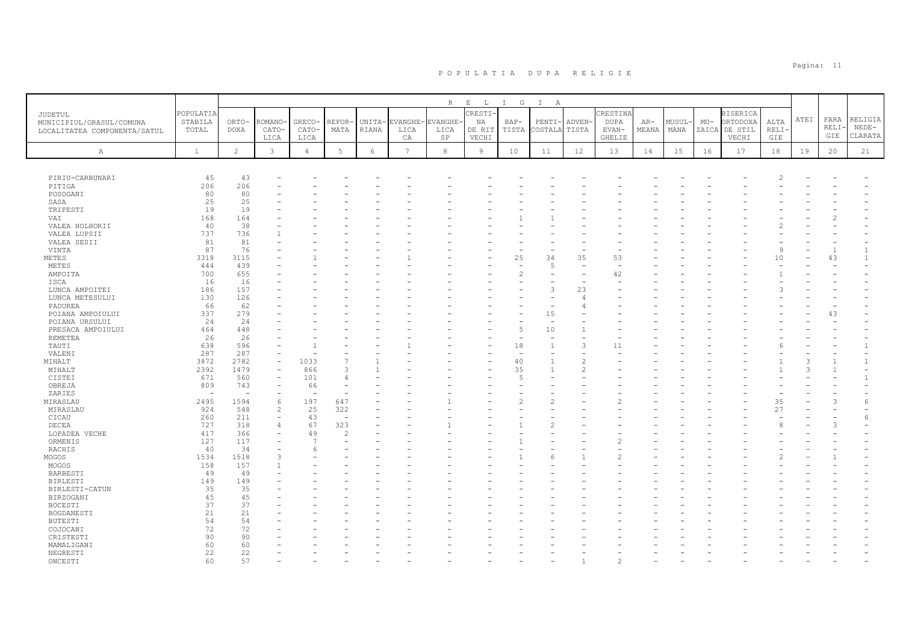|                                            |              |                |                |                |                          |              |                 | $R_{\odot}$    | $\mathbf{E}$<br>$\mathbb L$ | $I$ G                    | $\mathbb{I}$<br>A              |                          |                |       |        |       |                 |       |      |       |              |
|--------------------------------------------|--------------|----------------|----------------|----------------|--------------------------|--------------|-----------------|----------------|-----------------------------|--------------------------|--------------------------------|--------------------------|----------------|-------|--------|-------|-----------------|-------|------|-------|--------------|
|                                            | POPULATIA    |                |                |                |                          |              |                 |                | CRESTI-                     |                          |                                |                          | CRESTIN        |       |        |       | <b>BISERICA</b> |       |      |       |              |
| <b>JUDETUL</b><br>MUNICIPIUL/ORASUL/COMUNA | STABILA      | ORTO-          | ROMANO         | GRECO-         | REFOR-                   | <b>UNITA</b> | <b>EVANGHE</b>  | <b>EVANGHE</b> | ΝA                          | $BAP-$                   | PENTI-                         | ADVEN-                   | <b>DUPA</b>    | $AR-$ | MUSUL- | $MO-$ | ORTODOXA        | ALTA  | ATEI | FARA  | RELIGIA      |
| LOCALITATEA COMPONENTA/SATUL               | TOTAL        | <b>DOXA</b>    | CATO-          | CATO-          | MATA                     | RIANA        | LICA            | LICA           | DE RIT                      | TISTA                    | COSTALA                        | TISTA                    | EVAN-          | MEANA | MANA   | ZAICA | DE STIL         | RELI- |      | RELI- | $NEDE-$      |
|                                            |              |                | LICA           | LICA           |                          |              | CA              | SP             | VECHI                       |                          |                                |                          | <b>GHELIE</b>  |       |        |       | VECHI           | GIE   |      | GIE   | CLARATA      |
|                                            |              |                |                |                |                          |              |                 |                |                             |                          |                                |                          |                |       |        |       |                 |       |      |       |              |
| $\mathbb{A}$                               | $\mathbf{1}$ | $\overline{2}$ | $\mathbf{3}$   | $\overline{4}$ | $5\phantom{.0}$          | 6            | $7\overline{ }$ | 8              | 9                           | 10                       | 11                             | 12                       | 13             | 14    | 15     | 16    | 17              | 18    | 19   | 20    | 21           |
|                                            |              |                |                |                |                          |              |                 |                |                             |                          |                                |                          |                |       |        |       |                 |       |      |       |              |
|                                            | 45           | 43             |                |                |                          |              |                 |                |                             |                          |                                |                          |                |       |        |       |                 |       |      |       |              |
| PIRIU-CARBUNARI<br>PITIGA                  | 206          | 206            |                |                |                          |              |                 |                |                             |                          |                                |                          |                |       |        |       |                 |       |      |       |              |
| POSOGANI                                   | 80           | 80             |                |                |                          |              |                 |                |                             |                          |                                |                          |                |       |        |       |                 |       |      |       |              |
| SASA                                       | 25           | 25             |                |                |                          |              |                 |                |                             |                          |                                |                          |                |       |        |       |                 |       |      |       |              |
| TRIFESTI                                   | 19           | 19             |                |                |                          |              |                 |                |                             |                          |                                |                          |                |       |        |       |                 |       |      |       |              |
| VAI                                        | 168          | 164            |                |                |                          |              |                 |                |                             |                          |                                |                          |                |       |        |       |                 |       |      |       |              |
| VALEA HOLHORII                             | 40           | 38             |                |                |                          |              |                 |                |                             |                          |                                |                          |                |       |        |       |                 |       |      |       |              |
| VALEA LUPSII                               | 737          | 736            |                |                |                          |              |                 |                |                             |                          |                                |                          |                |       |        |       |                 |       |      |       |              |
| VALEA SESII                                | 81           | 81             |                |                |                          |              |                 |                |                             |                          |                                |                          |                |       |        |       |                 |       |      |       |              |
| VINTA                                      | 87           | 76             |                |                |                          |              |                 |                |                             |                          |                                |                          |                |       |        |       |                 | 9     |      |       |              |
| METES                                      | 3318         | 3115           |                |                |                          |              |                 |                |                             | 25                       | 34                             | 35                       | 53             |       |        |       |                 | 10    |      | 43    | $\mathbf{1}$ |
| METES                                      | 444          | 439            |                |                |                          |              |                 |                |                             | $\overline{\phantom{a}}$ | 5                              | $\sim$                   | $\overline{a}$ |       |        |       |                 |       |      |       |              |
| AMPOITA                                    | 700          | 655            |                |                |                          |              |                 |                |                             | $\overline{c}$           |                                |                          | 42             |       |        |       |                 |       |      |       |              |
| ISCA                                       | 16           | 16             |                |                |                          |              |                 |                |                             |                          |                                | $\overline{\phantom{a}}$ |                |       |        |       |                 |       |      |       |              |
| LUNCA AMPOITEI                             | 186          | 157            |                |                |                          |              |                 |                |                             |                          | 3                              | 23                       |                |       |        |       |                 |       |      |       |              |
| LUNCA METESULUI                            | 130          | 126            |                |                |                          |              |                 |                |                             |                          |                                | $\overline{4}$           |                |       |        |       |                 |       |      |       |              |
| PADUREA                                    | 66           | 62             |                |                |                          |              |                 |                |                             |                          |                                | 4                        |                |       |        |       |                 |       |      |       |              |
| POIANA AMPOIULUI                           | 337          | 279<br>24      |                |                |                          |              |                 |                |                             |                          | 15<br>$\overline{\phantom{a}}$ |                          |                |       |        |       |                 |       |      | 43    |              |
| POIANA URSULUI                             | 24           | 448            |                |                |                          |              |                 |                |                             | 5                        | 10                             |                          |                |       |        |       |                 |       |      |       |              |
| PRESACA AMPOIULUI<br><b>REMETEA</b>        | 464<br>26    | 26             |                |                |                          |              |                 |                |                             |                          |                                |                          |                |       |        |       |                 |       |      |       |              |
| TAUTI                                      | 638          | 596            |                |                |                          |              |                 |                |                             | 18                       |                                | 3                        | 11             |       |        |       |                 |       |      |       |              |
| VALENI                                     | 287          | 287            |                |                |                          |              |                 |                |                             | ٠                        |                                |                          |                |       |        |       |                 |       |      |       |              |
| MIHALT                                     | 3872         | 2782           |                | 1033           |                          |              |                 |                |                             | 40                       |                                | $\mathcal{D}$            |                |       |        |       |                 |       |      |       |              |
| MIHALT                                     | 2392         | 1479           |                | 866            | $\mathcal{R}$            |              |                 |                |                             | 35                       | $\overline{1}$                 | $\overline{c}$           |                |       |        |       |                 |       |      |       |              |
| CISTEI                                     | 671          | 560            |                | 101            | Δ                        |              |                 |                |                             | $\overline{5}$           |                                |                          |                |       |        |       |                 |       |      |       |              |
| OBREJA                                     | 809          | 743            |                | 66             |                          |              |                 |                |                             |                          |                                |                          |                |       |        |       |                 |       |      |       |              |
| ZARIES                                     | ÷            |                |                | ÷              |                          |              |                 |                |                             |                          |                                |                          |                |       |        |       |                 |       |      |       |              |
| MIRASLAU                                   | 2495         | 1594           | 6              | 197            | 647                      |              |                 |                |                             | $\overline{\mathcal{L}}$ |                                |                          |                |       |        |       |                 | 35    |      |       | 6            |
| MIRASLAU                                   | 924          | 548            | $\overline{2}$ | 25             | 322                      |              |                 |                |                             |                          |                                |                          |                |       |        |       |                 | 27    |      |       |              |
| CICAU                                      | 260          | 211            |                | 43             | $\overline{\phantom{a}}$ |              |                 |                |                             |                          |                                |                          |                |       |        |       |                 |       |      |       | 6            |
| DECEA                                      | 727          | 318            |                | 67             | 323                      |              |                 |                |                             |                          |                                |                          |                |       |        |       |                 |       |      |       |              |
| LOPADEA VECHE                              | 417          | 366            |                | 49             | 2                        |              |                 |                |                             |                          |                                |                          |                |       |        |       |                 |       |      |       |              |
| ORMENIS                                    | 127          | 117            |                | 7              |                          |              |                 |                |                             |                          |                                |                          |                |       |        |       |                 |       |      |       |              |
| RACHIS                                     | 40           | 34             |                | 6              |                          |              |                 |                |                             |                          |                                |                          |                |       |        |       |                 |       |      |       |              |
| MOGOS                                      | 1534         | 1518           |                |                |                          |              |                 |                |                             |                          | 6                              |                          | 2              |       |        |       |                 |       |      |       |              |
| MOGOS                                      | 158          | 157            |                |                |                          |              |                 |                |                             |                          |                                |                          |                |       |        |       |                 |       |      |       |              |
| BARBESTI                                   | 49           | 49             |                |                |                          |              |                 |                |                             |                          |                                |                          |                |       |        |       |                 |       |      |       |              |
| <b>BIRLESTI</b>                            | 149          | 149            |                |                |                          |              |                 |                |                             |                          |                                |                          |                |       |        |       |                 |       |      |       |              |
| BIRLESTI-CATUN                             | 35<br>45     | 35<br>45       |                |                |                          |              |                 |                |                             |                          |                                |                          |                |       |        |       |                 |       |      |       |              |
| BIRZOGANI<br><b>BOCESTI</b>                | 37           | 37             |                |                |                          |              |                 |                |                             |                          |                                |                          |                |       |        |       |                 |       |      |       |              |
| BOGDANESTI                                 | 21           | 21             |                |                |                          |              |                 |                |                             |                          |                                |                          |                |       |        |       |                 |       |      |       |              |
| <b>BUTESTI</b>                             | 54           | 54             |                |                |                          |              |                 |                |                             |                          |                                |                          |                |       |        |       |                 |       |      |       |              |
| COJOCANI                                   | 72           | 72             |                |                |                          |              |                 |                |                             |                          |                                |                          |                |       |        |       |                 |       |      |       |              |
| CRISTESTI                                  | 90           | 90             |                |                |                          |              |                 |                |                             |                          |                                |                          |                |       |        |       |                 |       |      |       |              |
| MAMALIGANI                                 | 60           | 60             |                |                |                          |              |                 |                |                             |                          |                                |                          |                |       |        |       |                 |       |      |       |              |
| NEGRESTI                                   | 22           | 22             |                |                |                          |              |                 |                |                             |                          |                                |                          |                |       |        |       |                 |       |      |       |              |
| ONCESTI                                    | 60           | 57             |                |                |                          |              |                 |                |                             |                          |                                |                          |                |       |        |       |                 |       |      |       |              |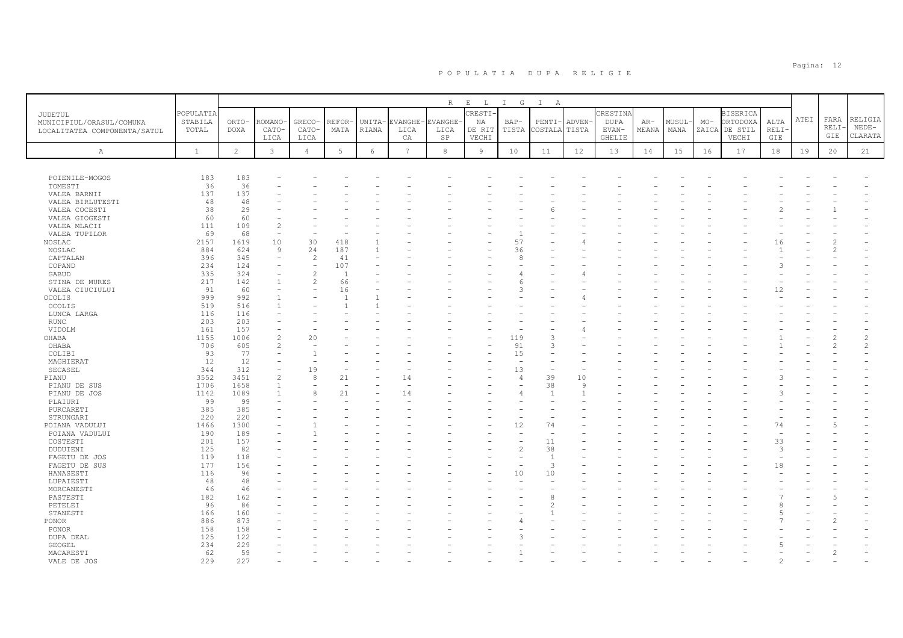|                              |              |                |                          |                               |                                |        |                 | R        | $\,$ E<br>L    | $I$ G               | $\mathbb{I}$<br>A    |         |             |       |        |       |                 |       |      |       |               |
|------------------------------|--------------|----------------|--------------------------|-------------------------------|--------------------------------|--------|-----------------|----------|----------------|---------------------|----------------------|---------|-------------|-------|--------|-------|-----------------|-------|------|-------|---------------|
| <b>JUDETUL</b>               | POPULATIA    |                |                          |                               |                                |        |                 |          | CRESTI-        |                     |                      |         | CRESTINA    |       |        |       | <b>BISERICA</b> |       |      |       |               |
| MUNICIPIUL/ORASUL/COMUNA     | STABILA      | ORTO-          | ROMANO·                  | GRECO-                        | REFOR-                         | UNITA- | <b>EVANGHE-</b> | EVANGHE- | ΝA             | $BAP-$              | PENTI-               | ADVEN-  | <b>DUPA</b> | AR-   | MUSUL- | $MO-$ | ORTODOXA        | ALTA  | ATEI | FARA  | RELIGIA       |
| LOCALITATEA COMPONENTA/SATUL | TOTAL        | DOXA           | CATO-                    | CATO-                         | MATA                           | RIANA  | LICA            | LICA     | DE RIT         | TISTA               | COSTALA              | TISTA   | $EVAN-$     | MEANA | MANA   | ZAICA | DE STIL         | RELI- |      | RELI- | $NEDE-$       |
|                              |              |                | LICA                     | LICA                          |                                |        | СA              | SP       | VECHI          |                     |                      |         | GHELIE      |       |        |       | VECHI           | GIE   |      | GIE   | CLARATA       |
| Α                            | $\mathbf{1}$ | $\overline{2}$ | $\mathbf{3}$             | $\overline{4}$                | 5                              | 6      | $7\overline{ }$ | 8        | $\overline{9}$ | 10                  | 11                   | 12      | 13          | 14    | 15     | 16    | 17              | 18    | 19   | 20    | 21            |
|                              |              |                |                          |                               |                                |        |                 |          |                |                     |                      |         |             |       |        |       |                 |       |      |       |               |
|                              |              |                |                          |                               |                                |        |                 |          |                |                     |                      |         |             |       |        |       |                 |       |      |       |               |
| POIENILE-MOGOS               | 183          | 183            |                          |                               |                                |        |                 |          |                |                     |                      |         |             |       |        |       |                 |       |      |       |               |
| TOMESTI                      | 36           | 36             |                          |                               |                                |        |                 |          |                |                     |                      |         |             |       |        |       |                 |       |      |       |               |
| VALEA BARNII                 | 137          | 137            |                          |                               |                                |        |                 |          |                |                     |                      |         |             |       |        |       |                 |       |      |       |               |
| VALEA BIRLUTESTI             | 48           | 48             |                          |                               |                                |        |                 |          |                |                     |                      |         |             |       |        |       |                 |       |      |       |               |
| VALEA COCESTI                | 38           | 29             |                          |                               |                                |        |                 |          |                |                     |                      |         |             |       |        |       |                 |       |      |       |               |
| VALEA GIOGESTI               | 60           | 60             |                          |                               |                                |        |                 |          |                |                     |                      |         |             |       |        |       |                 |       |      |       |               |
| VALEA MLACII                 | 111          | 109            | $\mathfrak{D}$           |                               |                                |        |                 |          |                |                     |                      |         |             |       |        |       |                 |       |      |       |               |
| VALEA TUPILOR                | 69           | 68             | $\overline{\phantom{a}}$ |                               |                                |        |                 |          |                |                     |                      |         |             |       |        |       |                 |       |      |       |               |
| NOSLAC                       | 2157         | 1619           | 10                       | 30                            | 418                            |        |                 |          |                | 57                  |                      |         |             |       |        |       |                 | 16    |      |       |               |
| NOSLAC                       | 884          | 624            | 9                        | 24                            | 187                            |        |                 |          |                | 36                  |                      |         |             |       |        |       |                 |       |      |       |               |
| CAPTALAN<br>COPAND           | 396<br>234   | 345<br>124     | $\overline{\phantom{a}}$ | $\overline{c}$<br>$\equiv$    | 41<br>107                      |        |                 |          |                | 8                   |                      |         |             |       |        |       |                 |       |      |       |               |
| GABUD                        | 335          | 324            |                          | $\overline{c}$                | $\overline{1}$                 |        |                 |          |                | 4                   |                      |         |             |       |        |       |                 |       |      |       |               |
| STINA DE MURES               | 217          | 142            |                          | $\overline{c}$                | 66                             |        |                 |          |                |                     |                      |         |             |       |        |       |                 |       |      |       |               |
| VALEA CIUCIULUI              | 91           | 60             |                          | $\overline{\phantom{a}}$      | 16                             |        |                 |          |                | 3                   |                      |         |             |       |        |       |                 | 12    |      |       |               |
| OCOLIS                       | 999          | 992            |                          |                               |                                |        |                 |          |                |                     |                      |         |             |       |        |       |                 |       |      |       |               |
| OCOLIS                       | 519          | 516            |                          |                               |                                |        |                 |          |                |                     |                      |         |             |       |        |       |                 |       |      |       |               |
| LUNCA LARGA                  | 116          | 116            |                          |                               |                                |        |                 |          |                |                     |                      |         |             |       |        |       |                 |       |      |       |               |
| <b>RUNC</b>                  | 203          | 203            |                          |                               |                                |        |                 |          |                |                     |                      |         |             |       |        |       |                 |       |      |       |               |
| VIDOLM                       | 161          | 157            |                          |                               |                                |        |                 |          |                |                     |                      |         |             |       |        |       |                 |       |      |       |               |
| OHABA                        | 1155         | 1006           | $\mathfrak{D}$           | 20                            |                                |        |                 |          |                | 119                 | 3                    |         |             |       |        |       |                 |       |      |       | $\mathcal{L}$ |
| OHABA                        | 706          | 605            |                          |                               |                                |        |                 |          |                | 91                  |                      |         |             |       |        |       |                 |       |      |       |               |
| COLIBI                       | 93           | 77             |                          | $\mathbf{1}$                  |                                |        |                 |          |                | 15                  |                      |         |             |       |        |       |                 |       |      |       |               |
| MAGHIERAT                    | 12           | 12             |                          |                               |                                |        |                 |          |                |                     |                      |         |             |       |        |       |                 |       |      |       |               |
| SECASEL                      | 344          | 312            |                          | 19                            |                                |        |                 |          |                | 13                  |                      |         |             |       |        |       |                 |       |      |       |               |
| PIANU                        | 3552         | 3451           | $\overline{c}$           | 8                             | 21<br>$\overline{\phantom{a}}$ |        | 14              |          |                | $\overline{4}$<br>۰ | 39                   | 10<br>9 |             |       |        |       |                 |       |      |       |               |
| PIANU DE SUS                 | 1706<br>1142 | 1658<br>1089   |                          | $\overline{\phantom{a}}$<br>8 | 21                             |        | 14              |          |                |                     | 38<br>$\overline{1}$ |         |             |       |        |       |                 |       |      |       |               |
| PIANU DE JOS<br>PLAIURI      | 99           | 99             |                          |                               |                                |        |                 |          |                |                     |                      |         |             |       |        |       |                 |       |      |       |               |
| PURCARETI                    | 385          | 385            |                          |                               |                                |        |                 |          |                |                     |                      |         |             |       |        |       |                 |       |      |       |               |
| STRUNGARI                    | 220          | 220            |                          |                               |                                |        |                 |          |                | ۰                   |                      |         |             |       |        |       |                 |       |      |       |               |
| POIANA VADULUI               | 1466         | 1300           |                          |                               |                                |        |                 |          |                | 12                  | 74                   |         |             |       |        |       |                 | 74    |      |       |               |
| POIANA VADULUI               | 190          | 189            |                          |                               |                                |        |                 |          |                | ۰                   | $\sim$               |         |             |       |        |       |                 |       |      |       |               |
| COSTESTI                     | 201          | 157            |                          |                               |                                |        |                 |          |                |                     | 11                   |         |             |       |        |       |                 | 33    |      |       |               |
| DUDUIENI                     | 125          | 82             |                          |                               |                                |        |                 |          |                | $\overline{c}$      | 38                   |         |             |       |        |       |                 | 3     |      |       |               |
| FAGETU DE JOS                | 119          | 118            |                          |                               |                                |        |                 |          |                |                     | $\overline{1}$       |         |             |       |        |       |                 |       |      |       |               |
| FAGETU DE SUS                | 177          | 156            |                          |                               |                                |        |                 |          |                | ÷,                  | 3                    |         |             |       |        |       |                 | 18    |      |       |               |
| HANASESTI                    | 116          | 96             |                          |                               |                                |        |                 |          |                | 10                  | 10                   |         |             |       |        |       |                 |       |      |       |               |
| LUPAIESTI                    | 48           | 48             |                          |                               |                                |        |                 |          |                | ÷                   |                      |         |             |       |        |       |                 |       |      |       |               |
| MORCANESTI                   | 46           | 46             |                          |                               |                                |        |                 |          |                |                     |                      |         |             |       |        |       |                 |       |      |       |               |
| PASTESTI<br>PETELEI          | 182<br>96    | 162<br>86      |                          |                               |                                |        |                 |          |                |                     | 8                    |         |             |       |        |       |                 |       |      |       |               |
| STANESTI                     | 166          | 160            |                          |                               |                                |        |                 |          |                |                     |                      |         |             |       |        |       |                 |       |      |       |               |
| <b>PONOR</b>                 | 886          | 873            |                          |                               |                                |        |                 |          |                |                     |                      |         |             |       |        |       |                 |       |      |       |               |
| PONOR                        | 158          | 158            |                          |                               |                                |        |                 |          |                |                     |                      |         |             |       |        |       |                 |       |      |       |               |
| DUPA DEAL                    | 125          | 122            |                          |                               |                                |        |                 |          |                |                     |                      |         |             |       |        |       |                 |       |      |       |               |
| GEOGEL                       | 234          | 229            |                          |                               |                                |        |                 |          |                |                     |                      |         |             |       |        |       |                 |       |      |       |               |
| MACARESTI                    | 62           | 59             |                          |                               |                                |        |                 |          |                |                     |                      |         |             |       |        |       |                 |       |      |       |               |
| VALE DE JOS                  | 229          | 227            |                          |                               |                                |        |                 |          |                |                     |                      |         |             |       |        |       |                 |       |      |       |               |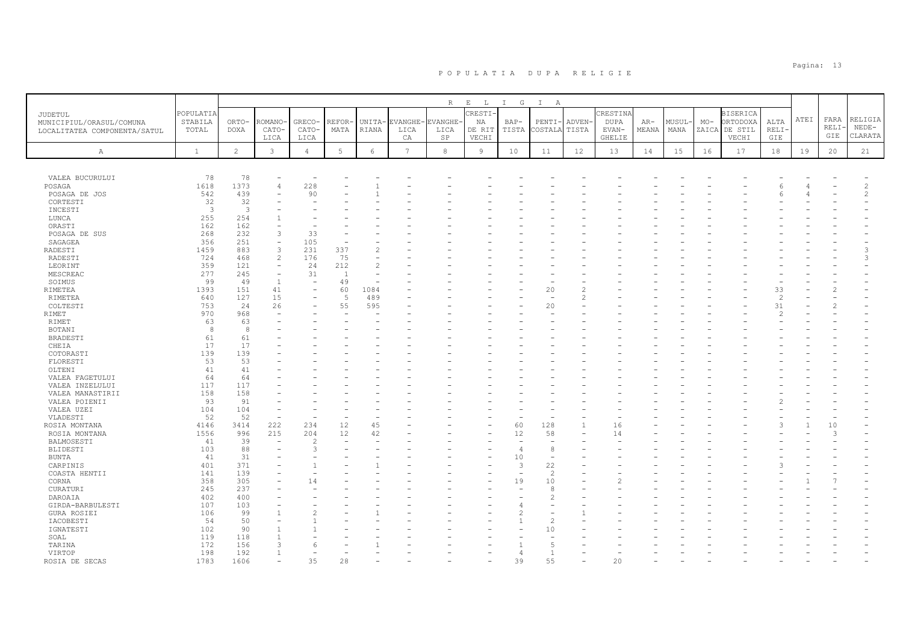|                              |              |                         |                          |                          |                |               |                 | R             | $E$ $L$ | I G            | $\mathbb{I}$<br>A        |        |             |       |        |       |                 |               |      |               |                |
|------------------------------|--------------|-------------------------|--------------------------|--------------------------|----------------|---------------|-----------------|---------------|---------|----------------|--------------------------|--------|-------------|-------|--------|-------|-----------------|---------------|------|---------------|----------------|
| <b>JUDETUL</b>               | POPULATIA    |                         |                          |                          |                |               |                 |               | CRESTI  |                |                          |        | CRESTINA    |       |        |       | <b>BISERICA</b> |               |      |               |                |
| MUNICIPIUL/ORASUL/COMUNA     | STABILA      | ORTO-                   | ROMANO                   | GRECO-                   | REFOR          | UNITA-        | EVANGHE         | <b>VANGHE</b> | NA      | $BAP-$         | $PENTI-$                 | ADVEN- | <b>DUPA</b> | $AR-$ | MUSUL- | $MO-$ | ORTODOXA        | ALTA          | ATEI | FARA          | RELIGIA        |
| LOCALITATEA COMPONENTA/SATUL | TOTAL        | DOXA                    | CATO-                    | CATO-                    | MATA           | RIANA         | LICA            | LICA          | DE RIT  | TISTA          | COSTALA                  | TISTA  | EVAN-       | MEANA | MANA   |       | ZAICA DE STIL   | RELI-         |      | <b>RELI·</b>  | $NEDE-$        |
|                              |              |                         | LICA                     | LICA                     |                |               | СA              | SP            | VECHI   |                |                          |        | GHELIE      |       |        |       | VECHI           | GIE           |      | GIE           | CLARATA        |
| $\mathbb{A}$                 | $\mathbf{1}$ | $\overline{2}$          | 3                        | $\overline{4}$           | 5              | 6             | $7\phantom{.0}$ | $_{\rm 8}$    | 9       | 10             | 11                       | 12     | 13          | 14    | 15     | 16    | 17              | 18            | 19   | 20            | 21             |
|                              |              |                         |                          |                          |                |               |                 |               |         |                |                          |        |             |       |        |       |                 |               |      |               |                |
|                              |              |                         |                          |                          |                |               |                 |               |         |                |                          |        |             |       |        |       |                 |               |      |               |                |
| VALEA BUCURULUI              | 78           | 78                      |                          |                          |                |               |                 |               |         |                |                          |        |             |       |        |       |                 |               |      |               |                |
| POSAGA                       | 1618         | 1373                    | 4                        | 228                      |                |               |                 |               |         |                |                          |        |             |       |        |       |                 |               |      |               | 2              |
| POSAGA DE JOS                | 542          | 439                     |                          | 90                       |                |               |                 |               |         |                |                          |        |             |       |        |       |                 |               |      |               | $\mathfrak{D}$ |
| CORTESTI                     | 32           | 32                      |                          |                          |                |               |                 |               |         |                |                          |        |             |       |        |       |                 |               |      |               |                |
| INCESTI                      | $\mathbf{3}$ | $\overline{\mathbf{3}}$ |                          |                          |                |               |                 |               |         |                |                          |        |             |       |        |       |                 |               |      |               |                |
| LUNCA                        | 255          | 254                     |                          |                          |                |               |                 |               |         |                |                          |        |             |       |        |       |                 |               |      |               |                |
| ORASTI                       | 162          | 162                     |                          |                          |                |               |                 |               |         |                |                          |        |             |       |        |       |                 |               |      |               |                |
| POSAGA DE SUS                | 268          | 232                     | 3                        | 33                       |                |               |                 |               |         |                |                          |        |             |       |        |       |                 |               |      |               |                |
| SAGAGEA                      | 356          | 251                     | $\overline{\phantom{a}}$ | 105                      |                |               |                 |               |         |                |                          |        |             |       |        |       |                 |               |      |               |                |
| RADESTI                      | 1459         | 883                     | 3                        | 231                      | 337            | $\mathcal{L}$ |                 |               |         |                |                          |        |             |       |        |       |                 |               |      |               | 3              |
| RADESTI                      | 724          | 468                     | $\mathfrak{D}$           | 176                      | 75             |               |                 |               |         |                |                          |        |             |       |        |       |                 |               |      |               |                |
| LEORINT                      | 359          | 121                     | $\equiv$                 | 24                       | 212            | $\mathcal{L}$ |                 |               |         |                |                          |        |             |       |        |       |                 |               |      |               |                |
| MESCREAC                     | 277          | 245                     | $\overline{\phantom{a}}$ | 31                       | $\overline{1}$ |               |                 |               |         |                |                          |        |             |       |        |       |                 |               |      |               |                |
| SOIMUS                       | 99           | 49                      | -1                       | $\overline{\phantom{a}}$ | 49             |               |                 |               |         |                |                          |        |             |       |        |       |                 |               |      |               |                |
| RIMETEA                      | 1393         | 151                     | 41                       | $\overline{\phantom{a}}$ | 60             | 1084          |                 |               |         |                | 20                       | 2      |             |       |        |       |                 | 33            |      |               |                |
| RIMETEA                      | 640          | 127                     | 15                       |                          | $\overline{5}$ | 489           |                 |               |         |                |                          | 2      |             |       |        |       |                 | 2             |      |               |                |
| COLTESTI                     | 753          | 24                      | 26                       |                          | 55             | 595           |                 |               |         |                | 20                       |        |             |       |        |       |                 | 31            |      |               |                |
| <b>RIMET</b>                 | 970          | 968                     |                          |                          |                |               |                 |               |         |                |                          |        |             |       |        |       |                 | $\mathcal{P}$ |      |               |                |
| RIMET                        | 63           | 63                      |                          |                          |                |               |                 |               |         |                |                          |        |             |       |        |       |                 |               |      |               |                |
| BOTANI                       | 8            | 8                       |                          |                          |                |               |                 |               |         |                |                          |        |             |       |        |       |                 |               |      |               |                |
| BRADESTI                     | 61           | 61                      |                          |                          |                |               |                 |               |         |                |                          |        |             |       |        |       |                 |               |      |               |                |
| CHEIA                        | 17           | 17                      |                          |                          |                |               |                 |               |         |                |                          |        |             |       |        |       |                 |               |      |               |                |
| COTORASTI                    | 139<br>53    | 139<br>53               |                          |                          |                |               |                 |               |         |                |                          |        |             |       |        |       |                 |               |      |               |                |
| FLORESTI                     | 41           | 41                      |                          |                          |                |               |                 |               |         |                |                          |        |             |       |        |       |                 |               |      |               |                |
| OLTENI                       | 64           | 64                      |                          |                          |                |               |                 |               |         |                |                          |        |             |       |        |       |                 |               |      |               |                |
| VALEA FAGETULUI              | 117          | 117                     |                          |                          |                |               |                 |               |         |                |                          |        |             |       |        |       |                 |               |      |               |                |
| VALEA INZELULUI              | 158          | 158                     |                          |                          |                |               |                 |               |         |                |                          |        |             |       |        |       |                 |               |      |               |                |
| VALEA MANASTIRII             | 93           | 91                      |                          |                          |                |               |                 |               |         |                |                          |        |             |       |        |       |                 |               |      |               |                |
| VALEA POIENII                | 104          | 104                     |                          |                          |                |               |                 |               |         |                |                          |        |             |       |        |       |                 |               |      |               |                |
| VALEA UZEI<br>VLADESTI       | 52           | 52                      | $\equiv$                 |                          |                |               |                 |               |         |                |                          |        |             |       |        |       |                 |               |      |               |                |
| ROSIA MONTANA                | 4146         | 3414                    | 222                      | 234                      | 12             | 45            |                 |               |         | 60             | 128                      |        | 16          |       |        |       |                 |               |      | 10            |                |
| ROSIA MONTANA                | 1556         | 996                     | 215                      | 204                      | 12             | 42            |                 |               |         | 12             | 58                       |        | 14          |       |        |       |                 |               |      | $\mathcal{R}$ |                |
| BALMOSESTI                   | 41           | 39                      | $\sim$                   | $\mathcal{P}$            |                |               |                 |               |         |                |                          |        |             |       |        |       |                 |               |      |               |                |
| BLIDESTI                     | 103          | 88                      |                          | 3                        |                |               |                 |               |         | $\overline{4}$ | 8                        |        |             |       |        |       |                 |               |      |               |                |
| BUNTA                        | 41           | 31                      |                          |                          |                |               |                 |               |         | 10             | ٠                        |        |             |       |        |       |                 |               |      |               |                |
| CARPINIS                     | 401          | 371                     |                          |                          |                |               |                 |               |         | 3              | 22                       |        |             |       |        |       |                 |               |      |               |                |
| COASTA HENTII                | 141          | 139                     |                          |                          |                |               |                 |               |         |                | $\overline{\mathcal{L}}$ |        |             |       |        |       |                 |               |      |               |                |
| CORNA                        | 358          | 305                     |                          | 14                       |                |               |                 |               |         | 19             | 10                       |        |             |       |        |       |                 |               |      |               |                |
| CURATURI                     | 245          | 237                     |                          |                          |                |               |                 |               |         |                | 8                        |        |             |       |        |       |                 |               |      |               |                |
| DAROAIA                      | 402          | 400                     |                          |                          |                |               |                 |               |         |                | $\overline{2}$           |        |             |       |        |       |                 |               |      |               |                |
| GIRDA-BARBULESTI             | 107          | 103                     |                          |                          |                |               |                 |               |         |                |                          |        |             |       |        |       |                 |               |      |               |                |
| <b>GURA ROSIEI</b>           | 106          | 99                      |                          |                          |                |               |                 |               |         |                | $\overline{\phantom{0}}$ |        |             |       |        |       |                 |               |      |               |                |
| IACOBESTI                    | 54           | 50                      |                          |                          |                |               |                 |               |         |                | $\mathcal{D}$            |        |             |       |        |       |                 |               |      |               |                |
| IGNATESTI                    | 102          | 90                      |                          |                          |                |               |                 |               |         |                | 10                       |        |             |       |        |       |                 |               |      |               |                |
| SOAL                         | 119          | 118                     |                          |                          |                |               |                 |               |         |                |                          |        |             |       |        |       |                 |               |      |               |                |
| TARINA                       | 172          | 156                     | 3                        |                          |                |               |                 |               |         |                | 5                        |        |             |       |        |       |                 |               |      |               |                |
| VIRTOP                       | 198          | 192                     |                          |                          |                |               |                 |               |         |                | $\mathbf{1}$             |        |             |       |        |       |                 |               |      |               |                |
| ROSIA DE SECAS               | 1783         | 1606                    |                          | 35                       | 28             |               |                 |               |         | 39             | 55                       |        | 20          |       |        |       |                 |               |      |               |                |
|                              |              |                         |                          |                          |                |               |                 |               |         |                |                          |        |             |       |        |       |                 |               |      |               |                |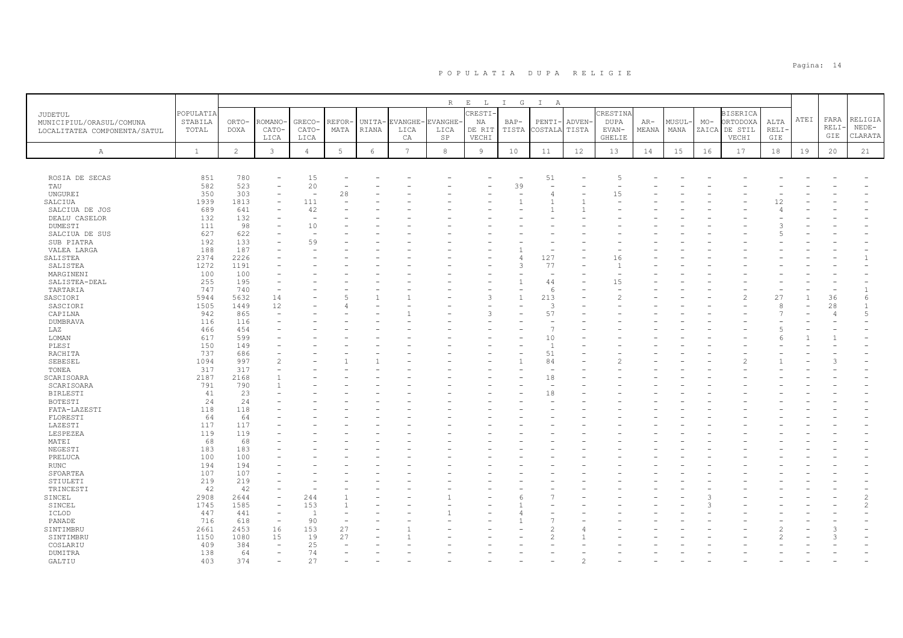|                               |              |                |                          |                          |        |              |                | R              | $\mathbf{E}=-\mathbf{L}$ | $I$ G          | $\mathbb{I}$<br>A |        |                |       |        |       |                          |             |      |                |                |
|-------------------------------|--------------|----------------|--------------------------|--------------------------|--------|--------------|----------------|----------------|--------------------------|----------------|-------------------|--------|----------------|-------|--------|-------|--------------------------|-------------|------|----------------|----------------|
| JUDETUL                       | POPULATIA    |                |                          |                          |        |              |                |                | CRESTI-                  |                |                   |        | CRESTINA       |       |        |       | <b>BISERICA</b>          |             |      |                |                |
| MUNICIPIUL/ORASUL/COMUNA      | STABILA      | ORTO-          | ROMANO                   | GRECO-                   | REFOR- | UNITA-       | <b>EVANGHE</b> | <b>EVANGHE</b> | NA                       | BAP-           | PENTI             | ADVEN- | DUPA           | $AR-$ | MUSUL- | $MO-$ | ORTODOXA                 | ALTA        | ATEI | FARA           | RELIGIA        |
| LOCALITATEA COMPONENTA/SATUL  | TOTAL        | <b>DOXA</b>    | CATO-                    | CATO-                    | MATA   | <b>RIANA</b> | LICA           | LICA           | DE RIT                   | TISTA          | COSTALA           | TISTA  | EVAN-          | MEANA | MANA   | ZAICA | DE STIL                  | <b>RELI</b> |      | RELI-          | $NEDE-$        |
|                               |              |                | LICA                     | LICA                     |        |              | CA             | SP             | VECHI                    |                |                   |        | GHELIE         |       |        |       | VECHI                    | GIE         |      | GIE            | CLARATA        |
| Α                             | $\mathbf{1}$ | $\overline{c}$ | 3                        | $\overline{4}$           | 5      | 6            | $\overline{7}$ | $^{\rm 8}$     | 9                        | 10             | 11                | 12     | 13             | 14    | 15     | 16    | 17                       | 18          | 19   | 20             | 21             |
|                               |              |                |                          |                          |        |              |                |                |                          |                |                   |        |                |       |        |       |                          |             |      |                |                |
|                               |              |                |                          |                          |        |              |                |                |                          |                |                   |        |                |       |        |       |                          |             |      |                |                |
| ROSIA DE SECAS                | 851          | 780            |                          | 15                       |        |              |                |                |                          |                | 51                |        | 5              |       |        |       |                          |             |      |                |                |
| TAU                           | 582          | 523            |                          | 20                       |        |              |                |                |                          | 39             |                   |        |                |       |        |       |                          |             |      |                |                |
| <b>UNGUREI</b>                | 350          | 303            |                          | ÷                        | 28     |              |                |                |                          |                |                   |        | 15             |       |        |       |                          |             |      |                |                |
| SALCIUA                       | 1939         | 1813           |                          | 111                      |        |              |                |                |                          |                |                   |        | ÷              |       |        |       |                          | 12          |      |                |                |
| SALCIUA DE JOS                | 689          | 641            |                          | 42                       |        |              |                |                |                          |                |                   |        |                |       |        |       |                          |             |      |                |                |
| DEALU CASELOR                 | 132          | 132            |                          |                          |        |              |                |                |                          |                |                   |        |                |       |        |       |                          |             |      |                |                |
| DUMESTI                       | 111          | 98             |                          | 10                       |        |              |                |                |                          |                |                   |        |                |       |        |       |                          |             |      |                |                |
| SALCIUA DE SUS                | 627          | 622            |                          | $\overline{\phantom{a}}$ |        |              |                |                |                          |                |                   |        |                |       |        |       |                          |             |      |                |                |
| SUB PIATRA                    | 192<br>188   | 133<br>187     |                          | 59                       |        |              |                |                |                          |                |                   |        |                |       |        |       |                          |             |      |                |                |
| VALEA LARGA                   | 2374         | 2226           |                          |                          |        |              |                |                |                          |                | 127               |        | 16             |       |        |       |                          |             |      |                |                |
| SALISTEA<br>SALISTEA          | 1272         | 1191           |                          |                          |        |              |                |                |                          | 3              | 77                |        | $\overline{1}$ |       |        |       |                          |             |      |                |                |
| MARGINENI                     | 100          | 100            |                          |                          |        |              |                |                |                          |                |                   |        |                |       |        |       |                          |             |      |                |                |
| SALISTEA-DEAL                 | 255          | 195            |                          |                          |        |              |                |                |                          | $\overline{1}$ | 44                |        | 15             |       |        |       |                          |             |      |                |                |
| TARTARIA                      | 747          | 740            |                          |                          |        |              |                |                |                          |                | -6                |        |                |       |        |       |                          |             |      |                | $\mathbf{1}$   |
| SASCIORI                      | 5944         | 5632           | 14                       |                          |        |              |                |                |                          | $\overline{1}$ | 213               |        |                |       |        |       | $\overline{\mathcal{L}}$ | 27          |      | 36             | 6              |
| SASCIORI                      | 1505         | 1449           | 12                       |                          |        |              |                |                |                          |                | -3                |        |                |       |        |       |                          |             |      | 28             |                |
| CAPILNA                       | 942          | 865            | $\overline{\phantom{m}}$ |                          |        |              |                |                |                          |                | 57                |        |                |       |        |       |                          |             |      | $\overline{4}$ | $\overline{5}$ |
| DUMBRAVA                      | 116          | 116            |                          |                          |        |              |                |                |                          |                |                   |        |                |       |        |       |                          |             |      |                |                |
| LAZ                           | 466          | 454            |                          |                          |        |              |                |                |                          |                |                   |        |                |       |        |       |                          |             |      |                |                |
| LOMAN                         | 617          | 599            |                          |                          |        |              |                |                |                          |                | 10                |        |                |       |        |       |                          |             |      |                |                |
| PLESI                         | 150          | 149            |                          |                          |        |              |                |                |                          |                | $\overline{1}$    |        |                |       |        |       |                          |             |      |                |                |
| RACHITA                       | 737          | 686            |                          |                          |        |              |                |                |                          |                | 51                |        |                |       |        |       |                          |             |      |                |                |
| SEBESEL                       | 1094         | 997            |                          |                          |        |              |                |                |                          |                | 84                |        |                |       |        |       |                          |             |      |                |                |
| TONEA                         | 317          | 317            |                          |                          |        |              |                |                |                          |                |                   |        |                |       |        |       |                          |             |      |                |                |
| SCARISOARA                    | 2187         | 2168           |                          |                          |        |              |                |                |                          |                | 18                |        |                |       |        |       |                          |             |      |                |                |
| SCARISOARA<br><b>BIRLESTI</b> | 791<br>41    | 790<br>23      |                          |                          |        |              |                |                |                          |                | 18                |        |                |       |        |       |                          |             |      |                |                |
| BOTESTI                       | 24           | 24             |                          |                          |        |              |                |                |                          |                |                   |        |                |       |        |       |                          |             |      |                |                |
| FATA-LAZESTI                  | 118          | 118            |                          |                          |        |              |                |                |                          |                |                   |        |                |       |        |       |                          |             |      |                |                |
| FLORESTI                      | 64           | 64             |                          |                          |        |              |                |                |                          |                |                   |        |                |       |        |       |                          |             |      |                |                |
| LAZESTI                       | 117          | 117            |                          |                          |        |              |                |                |                          |                |                   |        |                |       |        |       |                          |             |      |                |                |
| LESPEZEA                      | 119          | 119            |                          |                          |        |              |                |                |                          |                |                   |        |                |       |        |       |                          |             |      |                |                |
| MATEI                         | 68           | 68             |                          |                          |        |              |                |                |                          |                |                   |        |                |       |        |       |                          |             |      |                |                |
| NEGESTI                       | 183          | 183            |                          |                          |        |              |                |                |                          |                |                   |        |                |       |        |       |                          |             |      |                |                |
| PRELUCA                       | 100          | 100            |                          |                          |        |              |                |                |                          |                |                   |        |                |       |        |       |                          |             |      |                |                |
| <b>RUNC</b>                   | 194          | 194            |                          |                          |        |              |                |                |                          |                |                   |        |                |       |        |       |                          |             |      |                |                |
| SFOARTEA                      | 107          | 107            |                          |                          |        |              |                |                |                          |                |                   |        |                |       |        |       |                          |             |      |                |                |
| STIULETI                      | 219          | 219            |                          |                          |        |              |                |                |                          |                |                   |        |                |       |        |       |                          |             |      |                |                |
| TRINCESTI                     | 42           | 42             |                          |                          |        |              |                |                |                          |                |                   |        |                |       |        |       |                          |             |      |                |                |
| SINCEL                        | 2908         | 2644           | $\overline{\phantom{0}}$ | 244                      |        |              |                |                |                          |                |                   |        |                |       |        |       |                          |             |      |                | $\mathfrak{D}$ |
| SINCEL                        | 1745         | 1585           | $\overline{\phantom{a}}$ | 153                      |        |              |                |                |                          |                |                   |        |                |       |        |       |                          |             |      |                |                |
| ICLOD<br>PANADE               | 447<br>716   | 441<br>618     | $\overline{\phantom{a}}$ | $\overline{1}$<br>90     |        |              |                |                |                          |                |                   |        |                |       |        |       |                          |             |      |                |                |
| SINTIMBRU                     | 2661         | 2453           | 16                       | 153                      | 27     |              |                |                |                          |                |                   |        |                |       |        |       |                          |             |      | 3              |                |
| SINTIMBRU                     | 1150         | 1080           | 15                       | 19                       | 27     |              |                |                |                          |                |                   |        |                |       |        |       |                          |             |      | 3              |                |
| COSLARIU                      | 409          | 384            |                          | 25                       |        |              |                |                |                          |                |                   |        |                |       |        |       |                          |             |      |                |                |
| DUMITRA                       | 138          | 64             |                          | 74                       |        |              |                |                |                          |                |                   |        |                |       |        |       |                          |             |      |                |                |
| GALTIU                        | 403          | 374            |                          | 27                       |        |              |                |                |                          |                |                   |        |                |       |        |       |                          |             |      |                |                |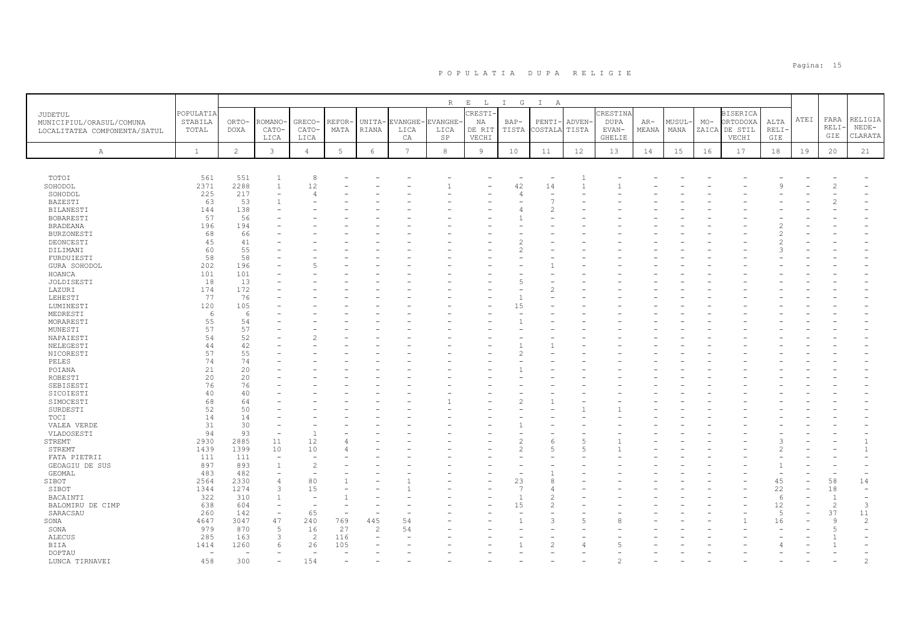|                              |              |                |                          |                          |                 |                          |                 | R          | $\mathbf{E}$<br>$\mathbb{L}$ | $I$ G                    | $\mathbb{I}$<br>A |                |             |       |        |       |                 |                |      |                |                          |
|------------------------------|--------------|----------------|--------------------------|--------------------------|-----------------|--------------------------|-----------------|------------|------------------------------|--------------------------|-------------------|----------------|-------------|-------|--------|-------|-----------------|----------------|------|----------------|--------------------------|
| JUDETUL                      | POPULATIA    |                |                          |                          |                 |                          |                 |            | RESTI-                       |                          |                   |                | CRESTINA    |       |        |       | <b>BISERICA</b> |                |      |                |                          |
| MUNICIPIUL/ORASUL/COMUNA     | STABILA      | ORTO-          | ROMANO                   | GRECO-                   | REFOR-          | UNITA-                   | EVANGHE-        | EVANGHE-   | NA                           | $BAP-$                   | PENTI             | ADVEN-         | <b>DUPA</b> | AR-   | MUSUL- | $MO-$ | ORTODOXA        | ALTA           | ATEI | FARA           | RELIGIA                  |
| LOCALITATEA COMPONENTA/SATUL | TOTAL        | <b>DOXA</b>    | CATO-                    | CATO-                    | MATA            | RIANA                    | LICA            | LICA       | DE RIT                       | TISTA                    | COSTALA TISTA     |                | EVAN-       | MEANA | MANA   | ZAICA | DE STIL         | RELI-          |      | RELI-          | $NEDE-$                  |
|                              |              |                | LICA                     | LICA                     |                 |                          | CA              | SP         | VECHI                        |                          |                   |                | GHELIE      |       |        |       | VECHI           | GIE            |      | GIE            | CLARATA                  |
|                              |              |                |                          |                          |                 |                          |                 |            |                              |                          |                   |                |             |       |        |       |                 |                |      |                |                          |
| A                            | $\mathbf{1}$ | $\overline{c}$ | $\mathbf{3}$             | $\overline{4}$           | $5\overline{)}$ | 6                        | $7\overline{ }$ | $^{\rm 8}$ | 9                            | 10                       | 11                | 12             | 13          | 14    | 15     | 16    | 17              | 18             | 19   | 20             | 21                       |
|                              |              |                |                          |                          |                 |                          |                 |            |                              |                          |                   |                |             |       |        |       |                 |                |      |                |                          |
| TOTOI                        | 561          | 551            | $\overline{1}$           | 8                        |                 |                          |                 |            |                              | $\overline{\phantom{a}}$ | ٠                 | $\overline{1}$ |             |       |        |       |                 |                |      |                |                          |
| SOHODOL                      | 2371         | 2288           | $\overline{1}$           | 12                       |                 |                          |                 |            |                              | 42                       | 14                | $\overline{1}$ |             |       |        |       |                 |                |      | $\overline{c}$ |                          |
| SOHODOL                      | 225          | 217            |                          | $\overline{4}$           |                 |                          |                 |            |                              | $\overline{4}$           |                   |                |             |       |        |       |                 |                |      |                |                          |
| BAZESTI                      | 63           | 53             |                          |                          |                 |                          |                 |            |                              |                          |                   |                |             |       |        |       |                 |                |      |                |                          |
| <b>BILANESTI</b>             | 144          | 138            |                          |                          |                 |                          |                 |            |                              |                          |                   |                |             |       |        |       |                 |                |      |                |                          |
| BOBARESTI                    | 57           | 56             |                          |                          |                 |                          |                 |            |                              |                          |                   |                |             |       |        |       |                 |                |      |                |                          |
| <b>BRADEANA</b>              | 196          | 194            |                          |                          |                 |                          |                 |            |                              |                          |                   |                |             |       |        |       |                 |                |      |                |                          |
| <b>BURZONESTI</b>            | 68           | 66             |                          |                          |                 |                          |                 |            |                              |                          |                   |                |             |       |        |       |                 |                |      |                |                          |
| DEONCESTI                    | 45           | 41             |                          |                          |                 |                          |                 |            |                              |                          |                   |                |             |       |        |       |                 |                |      |                |                          |
| DILIMANI                     | 60           | 55             |                          |                          |                 |                          |                 |            |                              | 2                        |                   |                |             |       |        |       |                 |                |      |                |                          |
| FURDUIESTI                   | 58           | 58             |                          |                          |                 |                          |                 |            |                              |                          |                   |                |             |       |        |       |                 |                |      |                |                          |
| GURA SOHODOL                 | 202          | 196            |                          | 5                        |                 |                          |                 |            |                              |                          |                   |                |             |       |        |       |                 |                |      |                |                          |
| HOANCA                       | 101          | 101            |                          |                          |                 |                          |                 |            |                              |                          |                   |                |             |       |        |       |                 |                |      |                |                          |
| JOLDISESTI                   | 18           | 13             |                          |                          |                 |                          |                 |            |                              | 5                        |                   |                |             |       |        |       |                 |                |      |                |                          |
| LAZURI                       | 174          | 172            |                          |                          |                 |                          |                 |            |                              |                          |                   |                |             |       |        |       |                 |                |      |                |                          |
| LEHESTI                      | 77           | 76             |                          |                          |                 |                          |                 |            |                              |                          |                   |                |             |       |        |       |                 |                |      |                |                          |
| LUMINESTI                    | 120          | 105            |                          |                          |                 |                          |                 |            |                              | 15                       |                   |                |             |       |        |       |                 |                |      |                |                          |
| MEDRESTI                     | 6            | 6              |                          |                          |                 |                          |                 |            |                              |                          |                   |                |             |       |        |       |                 |                |      |                |                          |
| MORARESTI                    | 55           | 54             |                          |                          |                 |                          |                 |            |                              |                          |                   |                |             |       |        |       |                 |                |      |                |                          |
| MUNESTI                      | 57           | 57             |                          |                          |                 |                          |                 |            |                              |                          |                   |                |             |       |        |       |                 |                |      |                |                          |
| NAPAIESTI                    | 54           | 52             |                          |                          |                 |                          |                 |            |                              |                          |                   |                |             |       |        |       |                 |                |      |                |                          |
| NELEGESTI                    | 44           | 42             |                          |                          |                 |                          |                 |            |                              |                          |                   |                |             |       |        |       |                 |                |      |                |                          |
| NICORESTI                    | 57           | 55             |                          |                          |                 |                          |                 |            |                              |                          |                   |                |             |       |        |       |                 |                |      |                |                          |
| PELES                        | 74           | 74             |                          |                          |                 |                          |                 |            |                              |                          |                   |                |             |       |        |       |                 |                |      |                |                          |
| POIANA                       | 21           | 20             |                          |                          |                 |                          |                 |            |                              |                          |                   |                |             |       |        |       |                 |                |      |                |                          |
| ROBESTI                      | 20           | 20             |                          |                          |                 |                          |                 |            |                              |                          |                   |                |             |       |        |       |                 |                |      |                |                          |
| SEBISESTI                    | 76           | 76             |                          |                          |                 |                          |                 |            |                              |                          |                   |                |             |       |        |       |                 |                |      |                |                          |
| SICOIESTI                    | 40           | 40             |                          |                          |                 |                          |                 |            |                              |                          |                   |                |             |       |        |       |                 |                |      |                |                          |
| SIMOCESTI                    | 68           | 64             |                          |                          |                 |                          |                 |            |                              | $\overline{c}$           |                   |                |             |       |        |       |                 |                |      |                |                          |
| SURDESTI                     | 52           | 50             |                          |                          |                 |                          |                 |            |                              |                          |                   |                |             |       |        |       |                 |                |      |                |                          |
| TOCI                         | 14<br>31     | 14<br>30       |                          |                          |                 |                          |                 |            |                              |                          |                   |                |             |       |        |       |                 |                |      |                |                          |
| VALEA VERDE<br>VLADOSESTI    | 94           | 93             |                          | $\mathbf{1}$             |                 |                          |                 |            |                              |                          |                   |                |             |       |        |       |                 |                |      |                |                          |
| STREMT                       | 2930         | 2885           | 11                       | 12                       |                 |                          |                 |            |                              | $\overline{c}$           |                   | $\overline{5}$ |             |       |        |       |                 |                |      |                |                          |
| STREMT                       | 1439         | 1399           | 10                       | 10                       |                 |                          |                 |            |                              | $\overline{2}$           |                   | $\overline{5}$ |             |       |        |       |                 |                |      |                | $\overline{1}$           |
| FATA PIETRII                 | 111          | 111            | $\overline{\phantom{a}}$ |                          |                 |                          |                 |            |                              |                          |                   |                |             |       |        |       |                 |                |      |                |                          |
| GEOAGIU DE SUS               | 897          | 893            | $\overline{1}$           | $\overline{c}$           |                 |                          |                 |            |                              |                          |                   |                |             |       |        |       |                 |                |      |                |                          |
| GEOMAL                       | 483          | 482            |                          | $\rightarrow$            |                 |                          |                 |            |                              |                          |                   |                |             |       |        |       |                 |                |      |                | ٠                        |
| SIBOT                        | 2564         | 2330           |                          | 80                       |                 |                          |                 |            |                              | 23                       |                   |                |             |       |        |       |                 | 45             |      | 58             | 14                       |
| SIBOT                        | 1344         | 1274           |                          | 15                       |                 |                          |                 |            |                              | 7                        |                   |                |             |       |        |       |                 | 22             |      | 18             | $\equiv$                 |
| BACAINTI                     | 322          | 310            |                          | $\overline{\phantom{0}}$ |                 |                          |                 |            |                              |                          |                   |                |             |       |        |       |                 | 6              |      | $\overline{1}$ | $\overline{\phantom{a}}$ |
| BALOMIRU DE CIMP             | 638          | 604            | $\overline{\phantom{a}}$ | $\overline{\phantom{a}}$ |                 |                          |                 |            |                              | 15                       |                   |                |             |       |        |       |                 | 12             |      | $\overline{c}$ | 3                        |
| SARACSAU                     | 260          | 142            |                          | 65                       |                 | $\overline{\phantom{0}}$ |                 |            |                              |                          |                   |                |             |       |        |       |                 | $\overline{5}$ |      | 37             | 11                       |
| SONA                         | 4647         | 3047           | 47                       | 240                      | 769             | 445                      | 54              |            |                              |                          | З                 | 5              |             |       |        |       |                 | 16             |      | 9              | $\overline{c}$           |
| SONA                         | 979          | 870            | 5                        | 16                       | 27              | $\overline{c}$           | 54              |            |                              |                          |                   |                |             |       |        |       |                 |                |      | $\overline{5}$ |                          |
| <b>ALECUS</b>                | 285          | 163            | $\mathcal{R}$            | $\overline{\mathcal{L}}$ | 116             |                          |                 |            |                              |                          |                   |                |             |       |        |       |                 |                |      |                |                          |
| BIIA                         | 1414         | 1260           |                          | 26                       | 105             |                          |                 |            |                              |                          |                   |                |             |       |        |       |                 |                |      |                |                          |
| DOPTAU                       | $\sim$       |                |                          | ÷                        |                 |                          |                 |            |                              |                          |                   |                |             |       |        |       |                 |                |      |                |                          |
| LUNCA TIRNAVEI               | 458          | 300            |                          | 154                      |                 |                          |                 |            |                              |                          |                   |                |             |       |        |       |                 |                |      |                |                          |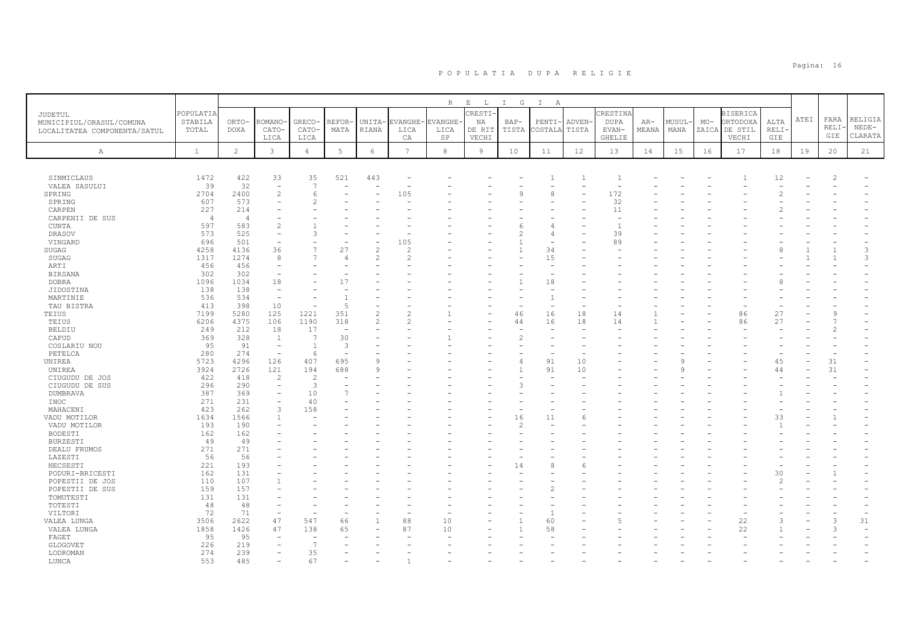|                              |                |                |                          |                |                          |                          |                | $\mathbb R$ | $\,$ E<br>$\mathbb{L}$ | I G            | $\mathbb{I}$<br>A |              |                          |       |       |       |                 |       |      |       |         |
|------------------------------|----------------|----------------|--------------------------|----------------|--------------------------|--------------------------|----------------|-------------|------------------------|----------------|-------------------|--------------|--------------------------|-------|-------|-------|-----------------|-------|------|-------|---------|
|                              | POPULATIA      |                |                          |                |                          |                          |                |             | CRESTI                 |                |                   |              | CRESTINA                 |       |       |       | <b>BISERICA</b> |       |      |       |         |
| JUDETUL                      | STABILA        | ORTO-          | ROMANO                   | GRECO-         | REFOR-                   | UNITA-                   | EVANGHE        | EVANGHE-    | ΝA                     | $BAP-$         | PENTI             | ADVEN-       | DUPA                     | AR-   | MUSUL | $MO-$ | ORTODOXA        | ALTA  | ATEI | FARA  | RELIGIA |
| MUNICIPIUL/ORASUL/COMUNA     | TOTAL          | DOXA           | CATO-                    | CATO-          | MATA                     | RIANA                    | LICA           | LICA        | DE RIT                 | TISTA          | <b>COSTALA</b>    | TISTA        | EVAN-                    | MEANA | MANA  | ZAICA | DE STIL         | RELI- |      | RELI- | $NEDE-$ |
| LOCALITATEA COMPONENTA/SATUL |                |                | LICA                     | LICA           |                          |                          | CA             | SP          | VECHI                  |                |                   |              | <b>GHELIE</b>            |       |       |       | VECHI           | GIE   |      | GIE   | CLARATA |
|                              |                |                |                          |                |                          |                          |                |             |                        |                |                   |              |                          |       |       |       |                 |       |      |       |         |
| A                            | $\mathbf{1}$   | $\overline{c}$ | $\mathbf{3}$             | $\overline{4}$ | $5\phantom{.0}$          | 6                        | $\overline{7}$ | $_{\rm 8}$  | 9                      | 10             | 11                | 12           | 13                       | 14    | 15    | 16    | 17              | 18    | 19   | 20    | 21      |
|                              |                |                |                          |                |                          |                          |                |             |                        |                |                   |              |                          |       |       |       |                 |       |      |       |         |
| SINMICLAUS                   | 1472           | 422            | 33                       | 35             | 521                      | 443                      |                |             |                        |                |                   | $\mathbf{1}$ | -1                       |       |       |       |                 | 12    |      | 2     |         |
| VALEA SASULUI                | 39             | 32             | $\overline{\phantom{a}}$ | 7              | ٠                        |                          |                |             |                        |                |                   |              | $\overline{\phantom{0}}$ |       |       |       |                 |       |      |       |         |
| SPRING                       | 2704           | 2400           | $\overline{c}$           | 6              |                          |                          | 105            |             |                        | $\mathsf{Q}$   | 8                 |              | 172                      |       |       |       |                 |       |      |       |         |
| SPRING                       | 607            | 573            |                          | $\overline{2}$ |                          |                          |                |             |                        |                |                   |              | 32                       |       |       |       |                 |       |      |       |         |
| CARPEN                       | 227            | 214            |                          |                |                          |                          |                |             |                        |                |                   |              | 11                       |       |       |       |                 |       |      |       |         |
| CARPENII DE SUS              | $\overline{4}$ | $\overline{4}$ |                          |                |                          |                          |                |             |                        |                |                   |              |                          |       |       |       |                 |       |      |       |         |
| <b>CUNTA</b>                 | 597            | 583            | $\mathfrak{D}$           |                |                          |                          |                |             |                        |                |                   |              | $\overline{1}$           |       |       |       |                 |       |      |       |         |
| DRASOV                       | 573            | 525            | $\overline{\phantom{a}}$ | 3              |                          |                          |                |             |                        | $\mathfrak{D}$ |                   |              | 39                       |       |       |       |                 |       |      |       |         |
| VINGARD                      | 696            | 501            |                          |                |                          |                          | 105            |             |                        |                |                   |              | 89                       |       |       |       |                 |       |      |       |         |
| SUGAG                        | 4258           | 4136           | 36                       | $\overline{7}$ | 27                       | $\overline{c}$           | $\overline{c}$ |             |                        | $\mathbf{1}$   | 34                |              |                          |       |       |       |                 |       |      |       | 3       |
| SUGAG                        | 1317           | 1274           | 8                        | $\overline{7}$ | $\angle$                 | $\overline{2}$           | $\overline{c}$ |             |                        |                | 15                |              |                          |       |       |       |                 |       |      |       | 3       |
| ARTI                         | 456            | 456            | $\overline{\phantom{0}}$ |                |                          |                          |                |             |                        |                |                   |              |                          |       |       |       |                 |       |      |       |         |
| <b>BIRSANA</b>               | 302            | 302            |                          |                |                          |                          |                |             |                        |                |                   |              |                          |       |       |       |                 |       |      |       |         |
| <b>DOBRA</b>                 | 1096           | 1034           | 18                       |                | 17                       |                          |                |             |                        |                | 18                |              |                          |       |       |       |                 |       |      |       |         |
| JIDOSTINA                    | 138            | 138            | $\overline{\phantom{a}}$ |                |                          |                          |                |             |                        |                |                   |              |                          |       |       |       |                 |       |      |       |         |
| MARTINIE                     | 536            | 534            | $\overline{\phantom{a}}$ | ÷,             |                          |                          |                |             |                        |                |                   |              |                          |       |       |       |                 |       |      |       |         |
| TAU BISTRA                   | 413            | 398            | 10                       |                | 5                        |                          |                |             |                        |                |                   |              |                          |       |       |       |                 |       |      |       |         |
| TEIUS                        | 7199           | 5280           | 125                      | 1221           | 351                      | $\overline{\mathcal{L}}$ | $\mathfrak{D}$ |             |                        | 46             | 16                | 18           | 14                       |       |       |       | 86              | 27    |      | 9     |         |
| TEIUS                        | 6206           | 4375           | 106                      | 1190           | 318                      | $\overline{\mathcal{L}}$ | $\mathfrak{D}$ |             |                        | 44             | 16                | 18           | 14                       |       |       |       | 86              | 27    |      |       |         |
| <b>BELDIU</b>                | 249            | 212            | 18                       | 17             | $\overline{\phantom{a}}$ |                          |                |             |                        |                |                   |              |                          |       |       |       |                 |       |      |       |         |
| CAPUD                        | 369            | 328            | -1                       | -7             | 30                       |                          |                |             |                        | $\overline{c}$ |                   |              |                          |       |       |       |                 |       |      |       |         |
| COSLARIU NOU                 | 95             | 91             | $\overline{\phantom{a}}$ | $\mathbf{1}$   | 3                        |                          |                |             |                        |                |                   |              |                          |       |       |       |                 |       |      |       |         |
| PETELCA                      | 280            | 274            | $\overline{\phantom{a}}$ | 6              |                          |                          |                |             |                        |                |                   |              |                          |       |       |       |                 |       |      |       |         |
| UNIREA                       | 5723           | 4296           | 126                      | 407            | 695                      | 9                        |                |             |                        | $\overline{4}$ | 91                | 10           |                          |       |       |       |                 | 45    |      | 31    |         |
| UNIREA                       | 3924           | 2726           | 121                      | 194            | 688                      | $\circ$                  |                |             |                        | $\mathbf{1}$   | 91                | 10           |                          |       |       |       |                 | 44    |      | 31    |         |
| CIUGUDU DE JOS               | 422            | 418            | $\overline{2}$           | $\overline{2}$ |                          |                          |                |             |                        |                |                   |              |                          |       |       |       |                 |       |      |       |         |
| CIUGUDU DE SUS               | 296            | 290            |                          | 3              |                          |                          |                |             |                        | $\mathcal{R}$  |                   |              |                          |       |       |       |                 |       |      |       |         |
| <b>DUMBRAVA</b>              | 387            | 369            |                          | 10             |                          |                          |                |             |                        |                |                   |              |                          |       |       |       |                 |       |      |       |         |
| INOC                         | 271            | 231            |                          | 40             |                          |                          |                |             |                        |                |                   |              |                          |       |       |       |                 |       |      |       |         |
| MAHACENI                     | 423            | 262            | 3                        | 158            |                          |                          |                |             |                        |                |                   |              |                          |       |       |       |                 |       |      |       |         |
| VADU MOTILOR                 | 1634           | 1566           |                          |                |                          |                          |                |             |                        | 16             | 11                |              |                          |       |       |       |                 | 33    |      |       |         |
| VADU MOTILOR                 | 193            | 190            |                          |                |                          |                          |                |             |                        | $\mathfrak{D}$ |                   |              |                          |       |       |       |                 |       |      |       |         |
| BODESTI                      | 162            | 162            |                          |                |                          |                          |                |             |                        |                |                   |              |                          |       |       |       |                 |       |      |       |         |
| <b>BURZESTI</b>              | 49             | 49             |                          |                |                          |                          |                |             |                        |                |                   |              |                          |       |       |       |                 |       |      |       |         |
| DEALU FRUMOS                 | 271            | 271            |                          |                |                          |                          |                |             |                        |                |                   |              |                          |       |       |       |                 |       |      |       |         |
| LAZESTI                      | 56             | 56             |                          |                |                          |                          |                |             |                        |                |                   |              |                          |       |       |       |                 |       |      |       |         |
| NECSESTI                     | 221            | 193            |                          |                |                          |                          |                |             |                        | 14             |                   |              |                          |       |       |       |                 |       |      |       |         |
| PODURI-BRICESTI              | 162            | 131            |                          |                |                          |                          |                |             |                        |                |                   |              |                          |       |       |       |                 | 30    |      |       |         |
| POPESTII DE JOS              | 110            | 107            |                          |                |                          |                          |                |             |                        |                |                   |              |                          |       |       |       |                 |       |      |       |         |
| POPESTII DE SUS              | 159            | 157            |                          |                |                          |                          |                |             |                        |                |                   |              |                          |       |       |       |                 |       |      |       |         |
| TOMUTESTI                    | 131            | 131            |                          |                |                          |                          |                |             |                        |                |                   |              |                          |       |       |       |                 |       |      |       |         |
| TOTESTI                      | 48             | 48             |                          |                |                          |                          |                |             |                        |                |                   |              |                          |       |       |       |                 |       |      |       |         |
| VILTORI                      | 72             | 71<br>2622     | 47                       | 547            | 66                       | $\mathbf{1}$             | 88             | 10          |                        |                | 60                |              |                          |       |       |       | 22              |       |      | 3     | 31      |
| VALEA LUNGA                  | 3506<br>1858   | 1426           | 47                       | 138            | 65                       |                          | 87             | 10          |                        |                | 58                |              |                          |       |       |       | 22              |       |      | 3     |         |
| VALEA LUNGA<br>FAGET         | 95             | 95             |                          |                |                          |                          |                |             |                        |                |                   |              |                          |       |       |       |                 |       |      |       |         |
| GLOGOVET                     | 226            | 219            |                          | $\overline{7}$ |                          |                          |                |             |                        |                |                   |              |                          |       |       |       |                 |       |      |       |         |
| LODROMAN                     | 274            | 239            |                          | 35             |                          |                          |                |             |                        |                |                   |              |                          |       |       |       |                 |       |      |       |         |
| LUNCA                        | 553            | 485            |                          | 67             |                          |                          |                |             |                        |                |                   |              |                          |       |       |       |                 |       |      |       |         |
|                              |                |                |                          |                |                          |                          |                |             |                        |                |                   |              |                          |       |       |       |                 |       |      |       |         |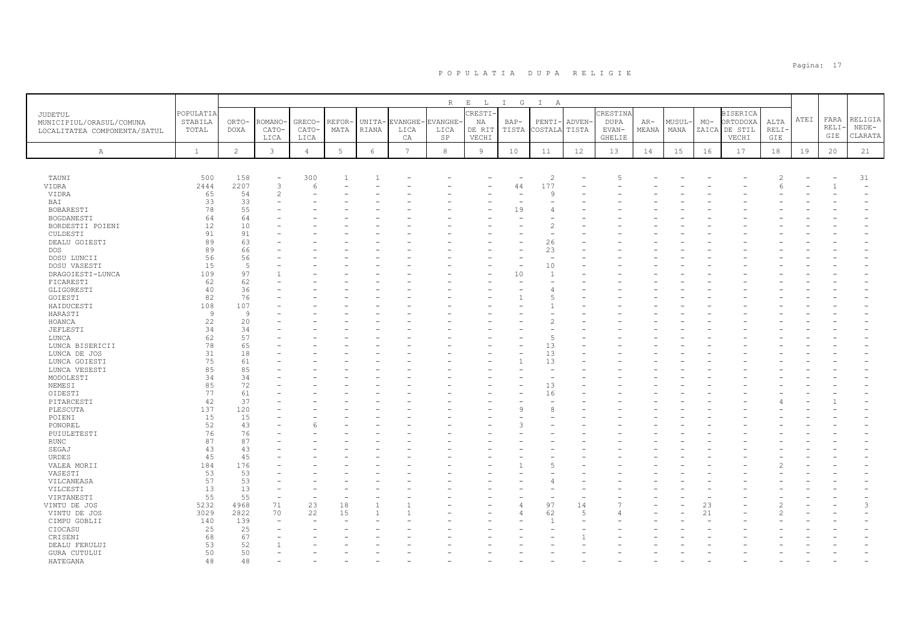|                              |                |                |               |                |                 |        |                 | R          | $\,$ E<br>$\mathbb{L}$ | $I$ G        | $\mathbf{I}$<br>A |                |               |       |        |       |                 |       |      |       |                          |
|------------------------------|----------------|----------------|---------------|----------------|-----------------|--------|-----------------|------------|------------------------|--------------|-------------------|----------------|---------------|-------|--------|-------|-----------------|-------|------|-------|--------------------------|
| JUDETUL                      | POPULATIA      |                |               |                |                 |        |                 |            | CRESTI-                |              |                   |                | CRESTINA      |       |        |       | <b>BISERICA</b> |       |      |       |                          |
| MUNICIPIUL/ORASUL/COMUNA     | STABILA        | ORTO-          | ROMANO        | GRECO-         | REFOR-          | UNITA- | EVANGHE-        | EVANGHE-   | NA                     | $BAP-$       | PENTI-            | ADVEN-         | <b>DUPA</b>   | AR-   | MUSUL- | $MO-$ | ORTODOXA        | ALTA  | ATEI | FARA  | RELIGIA                  |
|                              | TOTAL          | <b>DOXA</b>    | CATO-         | CATO-          | MATA            | RIANA  | LICA            | LICA       | DE RIT                 | TISTA        | COSTALA TISTA     |                | EVAN-         | MEANA | MANA   | ZAICA | DE STIL         | RELI- |      | RELI- | $NEDE-$                  |
| LOCALITATEA COMPONENTA/SATUL |                |                | LICA          | LICA           |                 |        | CA              | SP         | VECHI                  |              |                   |                | <b>GHELIE</b> |       |        |       | VECHI           | GIE   |      | GIE   | CLARATA                  |
|                              |                |                |               |                |                 |        |                 |            |                        |              |                   |                |               |       |        |       |                 |       |      |       |                          |
| $\mathbb{A}$                 | $\mathbf{1}$   | $\overline{c}$ | $\mathbf{3}$  | $\overline{4}$ | $5\overline{)}$ | 6      | $7\overline{ }$ | $^{\rm 8}$ | 9                      | 10           | 11                | 12             | 13            | 14    | 15     | 16    | 17              | 18    | 19   | 20    | 21                       |
|                              |                |                |               |                |                 |        |                 |            |                        |              |                   |                |               |       |        |       |                 |       |      |       |                          |
| TAUNI                        | 500            | 158            |               | 300            |                 |        |                 |            |                        |              | $\overline{2}$    |                | 5             |       |        |       |                 | 2     |      |       | 31                       |
| VIDRA                        | 2444           | 2207           | 3             | 6              |                 |        |                 |            |                        | 44           | 177               |                |               |       |        |       |                 |       |      |       | $\overline{\phantom{0}}$ |
| VIDRA                        | 65             | 54             | $\mathcal{P}$ |                |                 |        |                 |            |                        |              | $\circ$           |                |               |       |        |       |                 |       |      |       |                          |
| BAI                          | 33             | 33             |               |                |                 |        |                 |            |                        |              |                   |                |               |       |        |       |                 |       |      |       |                          |
| BOBARESTI                    | 78             | 55             |               |                |                 |        |                 |            |                        | 19           |                   |                |               |       |        |       |                 |       |      |       |                          |
| BOGDANESTI                   | 64             | 64             |               |                |                 |        |                 |            |                        |              |                   |                |               |       |        |       |                 |       |      |       |                          |
| BORDESTII POIENI             | 12             | 10             |               |                |                 |        |                 |            |                        |              |                   |                |               |       |        |       |                 |       |      |       |                          |
| CULDESTI                     | 91             | 91             |               |                |                 |        |                 |            |                        |              |                   |                |               |       |        |       |                 |       |      |       |                          |
|                              | 89             | 63             |               |                |                 |        |                 |            |                        |              |                   |                |               |       |        |       |                 |       |      |       |                          |
| DEALU GOIESTI                |                |                |               |                |                 |        |                 |            |                        |              | 26                |                |               |       |        |       |                 |       |      |       |                          |
| <b>DOS</b>                   | 89             | 66             |               |                |                 |        |                 |            |                        |              | 23                |                |               |       |        |       |                 |       |      |       |                          |
| DOSU LUNCII                  | 56             | 56             |               |                |                 |        |                 |            |                        |              | $\sim$            |                |               |       |        |       |                 |       |      |       |                          |
| DOSU VASESTI                 | 15             | 5              |               |                |                 |        |                 |            |                        |              | 10                |                |               |       |        |       |                 |       |      |       |                          |
| DRAGOIESTI-LUNCA             | 109            | 97             |               |                |                 |        |                 |            |                        | 10           | $\overline{1}$    |                |               |       |        |       |                 |       |      |       |                          |
| FICARESTI                    | 62             | 62             |               |                |                 |        |                 |            |                        |              |                   |                |               |       |        |       |                 |       |      |       |                          |
| GLIGORESTI                   | 40             | 36             |               |                |                 |        |                 |            |                        |              |                   |                |               |       |        |       |                 |       |      |       |                          |
| GOIESTI                      | 82             | 76             |               |                |                 |        |                 |            |                        |              |                   |                |               |       |        |       |                 |       |      |       |                          |
| HAIDUCESTI                   | 108            | 107            |               |                |                 |        |                 |            |                        |              |                   |                |               |       |        |       |                 |       |      |       |                          |
| HARASTI                      | $\overline{9}$ | 9              |               |                |                 |        |                 |            |                        |              |                   |                |               |       |        |       |                 |       |      |       |                          |
| HOANCA                       | 22             | 20             |               |                |                 |        |                 |            |                        |              |                   |                |               |       |        |       |                 |       |      |       |                          |
| JEFLESTI                     | 34             | 34             |               |                |                 |        |                 |            |                        |              |                   |                |               |       |        |       |                 |       |      |       |                          |
| LUNCA                        | 62             | 57             |               |                |                 |        |                 |            |                        |              | $\overline{5}$    |                |               |       |        |       |                 |       |      |       |                          |
| LUNCA BISERICII              | 78             | 65             |               |                |                 |        |                 |            |                        |              | 13                |                |               |       |        |       |                 |       |      |       |                          |
| LUNCA DE JOS                 | 31             | 18             |               |                |                 |        |                 |            |                        |              | 13                |                |               |       |        |       |                 |       |      |       |                          |
| LUNCA GOIESTI                | 75             | 61             |               |                |                 |        |                 |            |                        |              | 13                |                |               |       |        |       |                 |       |      |       |                          |
| LUNCA VESESTI                | 85             | 85             |               |                |                 |        |                 |            |                        |              |                   |                |               |       |        |       |                 |       |      |       |                          |
| MODOLESTI                    | 34             | 34             |               |                |                 |        |                 |            |                        |              |                   |                |               |       |        |       |                 |       |      |       |                          |
| NEMESI                       | 85             | 72             |               |                |                 |        |                 |            |                        |              | 13                |                |               |       |        |       |                 |       |      |       |                          |
| OIDESTI                      | 77             | 61             |               |                |                 |        |                 |            |                        |              | 16                |                |               |       |        |       |                 |       |      |       |                          |
| PITARCESTI                   | 42             | 37             |               |                |                 |        |                 |            |                        |              |                   |                |               |       |        |       |                 |       |      |       |                          |
| PLESCUTA                     | 137            | 120            |               |                |                 |        |                 |            |                        | $\mathsf{Q}$ |                   |                |               |       |        |       |                 |       |      |       |                          |
| POIENI                       | 15             | 15             |               |                |                 |        |                 |            |                        |              |                   |                |               |       |        |       |                 |       |      |       |                          |
| PONOREL                      | 52             | 43             |               |                |                 |        |                 |            |                        |              |                   |                |               |       |        |       |                 |       |      |       |                          |
| PUIULETESTI                  | 76             | 76             |               |                |                 |        |                 |            |                        |              |                   |                |               |       |        |       |                 |       |      |       |                          |
| <b>RUNC</b>                  | 87             | 87             |               |                |                 |        |                 |            |                        |              |                   |                |               |       |        |       |                 |       |      |       |                          |
| SEGAJ                        | 43             | 43             |               |                |                 |        |                 |            |                        |              |                   |                |               |       |        |       |                 |       |      |       |                          |
| URDES                        | 45             | 45             |               |                |                 |        |                 |            |                        |              |                   |                |               |       |        |       |                 |       |      |       |                          |
| VALEA MORII                  | 184            | 176            |               |                |                 |        |                 |            |                        |              |                   |                |               |       |        |       |                 |       |      |       |                          |
| VASESTI                      | 53             | 53             |               |                |                 |        |                 |            |                        |              |                   |                |               |       |        |       |                 |       |      |       |                          |
| VILCANEASA                   | 57             | 53             |               |                |                 |        |                 |            |                        |              |                   |                |               |       |        |       |                 |       |      |       |                          |
| VILCESTI                     | 13             | 13             |               |                |                 |        |                 |            |                        |              |                   |                |               |       |        |       |                 |       |      |       |                          |
| VIRTANESTI                   | 55             | 55             |               | ٠              |                 |        |                 |            |                        |              |                   |                |               |       |        |       |                 |       |      |       |                          |
| VINTU DE JOS                 | 5232           | 4968           | 71            | 23             | 18              |        |                 |            |                        |              | 97                | 14             |               |       |        | 23    |                 |       |      |       | 3                        |
| VINTU DE JOS                 | 3029           | 2822           | 70            | 22             | 15              |        |                 |            |                        | $\Delta$     | 62                | $\overline{5}$ |               |       |        | 21    |                 |       |      |       |                          |
| CIMPU GOBLII                 | 140            | 139            |               |                |                 |        |                 |            |                        |              |                   |                |               |       |        |       |                 |       |      |       |                          |
| CIOCASU                      | 25             | 25             |               |                |                 |        |                 |            |                        |              |                   |                |               |       |        |       |                 |       |      |       |                          |
| CRISENI                      | 68             | 67             |               |                |                 |        |                 |            |                        |              |                   |                |               |       |        |       |                 |       |      |       |                          |
| DEALU FERULUI                | 53             | 52             |               |                |                 |        |                 |            |                        |              |                   |                |               |       |        |       |                 |       |      |       |                          |
| GURA CUTULUI                 | 50             | 50             |               |                |                 |        |                 |            |                        |              |                   |                |               |       |        |       |                 |       |      |       |                          |
| HATEGANA                     | 48             | 48             |               |                |                 |        |                 |            |                        |              |                   |                |               |       |        |       |                 |       |      |       |                          |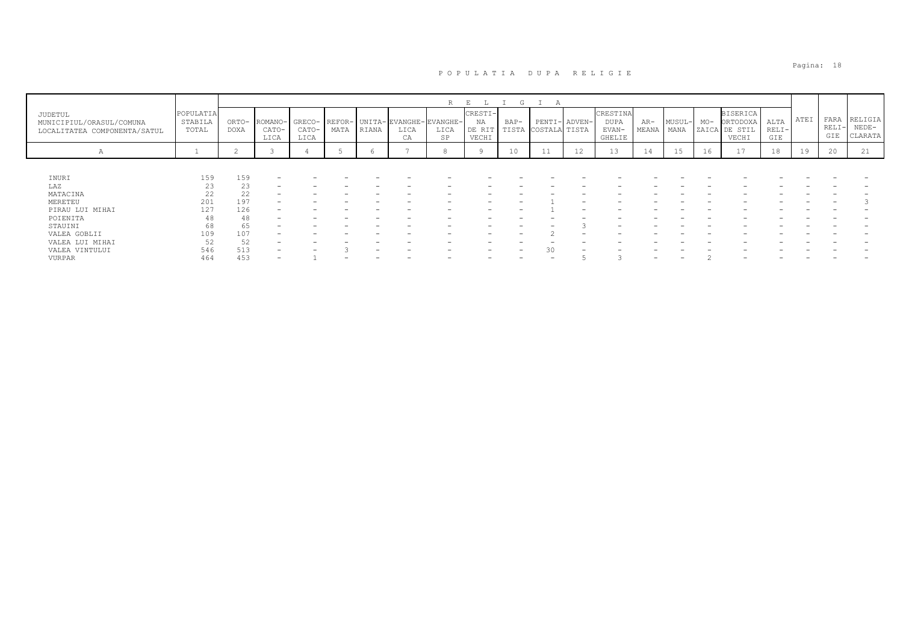|                                                                     |                               |                      |                          |                         |                |       |                                      | R          |                                  | (             |                                |    |                                     |                |                |       |                                                       |                        |      |                      |                               |
|---------------------------------------------------------------------|-------------------------------|----------------------|--------------------------|-------------------------|----------------|-------|--------------------------------------|------------|----------------------------------|---------------|--------------------------------|----|-------------------------------------|----------------|----------------|-------|-------------------------------------------------------|------------------------|------|----------------------|-------------------------------|
| JUDETUL<br>MUNICIPIUL/ORASUL/COMUNA<br>LOCALITATEA COMPONENTA/SATUL | POPULATIA<br>STABILA<br>TOTAL | ORTO-<br><b>DOXA</b> | ROMANO-<br>CATO-<br>LICA | GRECO-<br>CATO-<br>LICA | REFOR-<br>MATA | RIANA | UNITA-EVANGHE-EVANGHE-<br>LICA<br>СA | LICA<br>SP | CRESTI-<br>NA<br>DE RIT<br>VECHI | BAP-<br>TISTA | PENTI- ADVEN-<br>COSTALA TISTA |    | CRESTINA<br>DUPA<br>EVAN-<br>GHELIE | $AR-$<br>MEANA | MUSUL-<br>MANA | $MO-$ | <b>BISERICA</b><br>ORTODOXA<br>ZAICA DE STIL<br>VECHI | ALTA<br>$RELI-$<br>GIE | ATEI | FARA<br>RELI-<br>GIE | RELIGIA<br>$NEDE-$<br>CLARATA |
| $\mathcal{A}$                                                       |                               | ∠                    |                          |                         |                |       |                                      | 8          |                                  | 10            | 11                             | 12 | 13                                  | 14             | 15             | 16    | 17                                                    | 18                     | 19   | 20                   | 21                            |
|                                                                     |                               |                      |                          |                         |                |       |                                      |            |                                  |               |                                |    |                                     |                |                |       |                                                       |                        |      |                      |                               |
| INURI                                                               | 159                           | 159                  |                          |                         |                |       |                                      |            |                                  |               |                                |    |                                     |                |                |       |                                                       |                        |      |                      |                               |
| LAZ                                                                 | 23                            | 23                   |                          |                         |                |       |                                      |            |                                  |               |                                |    |                                     |                |                |       |                                                       |                        |      |                      |                               |
| MATACINA                                                            | 22                            | 22                   |                          |                         |                |       |                                      |            |                                  |               |                                |    |                                     |                |                |       |                                                       |                        |      |                      |                               |
| MERETEU                                                             | 201                           | 197                  |                          |                         |                |       |                                      |            |                                  |               |                                |    |                                     |                |                |       |                                                       |                        |      |                      |                               |
| PIRAU LUI MIHAI                                                     | 127                           | 126                  |                          |                         |                |       |                                      |            |                                  |               |                                |    |                                     |                |                |       |                                                       |                        |      |                      |                               |
| POIENITA                                                            | 48                            | 48                   |                          |                         |                |       |                                      |            |                                  |               |                                |    |                                     |                |                |       |                                                       |                        |      |                      |                               |
| STAUINI                                                             | 68                            | 65                   |                          |                         |                |       |                                      |            |                                  |               |                                |    |                                     |                |                |       |                                                       |                        |      |                      |                               |
| VALEA GOBLII                                                        | 109                           | 107                  |                          |                         |                |       |                                      |            | -                                | -             |                                |    |                                     |                |                |       |                                                       |                        |      |                      |                               |
| VALEA LUI MIHAI                                                     | 52                            | 52                   | -                        |                         |                |       |                                      |            |                                  |               |                                |    |                                     |                |                |       |                                                       |                        |      |                      |                               |
| VALEA VINTULUI                                                      | 546                           | 513                  |                          |                         |                |       |                                      |            |                                  |               |                                |    |                                     |                |                |       |                                                       |                        |      |                      |                               |
| VURPAR                                                              | 464                           | 453                  |                          |                         |                |       |                                      |            |                                  |               |                                |    |                                     |                |                |       |                                                       |                        |      |                      |                               |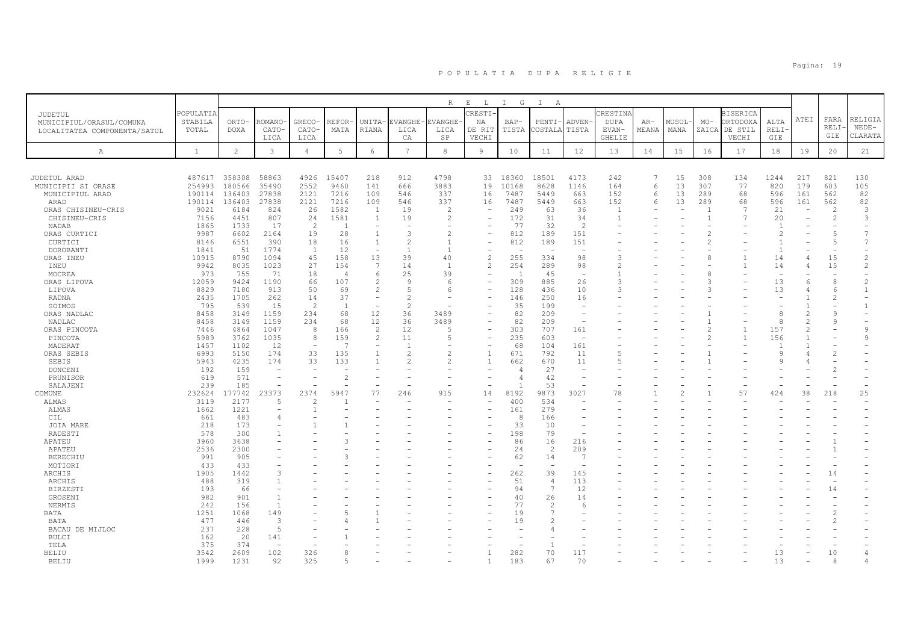|                                       |                  |                       |                   |                          |                       |                          |                          | $R_{\odot}$    | $\mathbf{E}$<br>$\mathbb{L}$ | $\mathbb{I}$<br>G     | $\mathbb{I}$<br>A        |                                |                 |          |                          |                |                 |                |               |                |                          |
|---------------------------------------|------------------|-----------------------|-------------------|--------------------------|-----------------------|--------------------------|--------------------------|----------------|------------------------------|-----------------------|--------------------------|--------------------------------|-----------------|----------|--------------------------|----------------|-----------------|----------------|---------------|----------------|--------------------------|
| JUDETUL                               | POPULATIA        |                       |                   |                          |                       |                          |                          |                | <b>RESTI-</b>                |                       |                          |                                | <b>CRESTINA</b> |          |                          |                | <b>BISERICA</b> |                |               |                |                          |
| MUNICIPIUL/ORASUL/COMUNA              | STABILA          | ORTO-                 | ROMANO            | GRECO-                   | REFOR·                | UNITA-                   | EVANGHE                  | VANGHE         | ΝA                           | $BAP-$                | PENTI                    | ADVEN-                         | <b>DUPA</b>     | $AR-$    | MUSUL-                   | $MO-$          | ORTODOXA        | ALTA           | ATEI          | FARA           | RELIGIA                  |
| LOCALITATEA COMPONENTA/SATUL          | TOTAL            | <b>DOXA</b>           | CATO-             | CATO                     | MATA                  | RIANA                    | LICA                     | LICA           | DE RIT                       | TISTA                 | COSTALA                  | TISTA                          | EVAN-           | MEANA    | MANA                     | ZAICA          | DE STIL         | RELI           |               | RELI-          | $NEDE-$                  |
|                                       |                  |                       | LICA              | LICA                     |                       |                          | CA                       | $_{\rm SP}$    | VECHI                        |                       |                          |                                | <b>GHELIE</b>   |          |                          |                | VECHI           | GIE            |               | GIE            | CLARATA                  |
| $\mathbb{A}$                          | $\mathbf{1}$     | $\mathbf{2}^{\prime}$ | $\mathbf{3}$      | $\overline{4}$           | 5                     | $\epsilon$               | $7\phantom{.0}$          | $_{\rm 8}$     | 9                            | 10                    | 11                       | 12                             | 13              | 14       | 15                       | 16             | 17              | 18             | 19            | 20             | 21                       |
|                                       |                  |                       |                   |                          |                       |                          |                          |                |                              |                       |                          |                                |                 |          |                          |                |                 |                |               |                |                          |
|                                       |                  |                       |                   |                          |                       |                          |                          |                |                              |                       |                          |                                |                 |          |                          |                |                 |                |               |                |                          |
| JUDETUL ARAD                          | 487617<br>254993 | 358308<br>180566      | 58863<br>35490    | 4926<br>2552             | 15407<br>9460         | 218<br>141               | 912<br>666               | 4798<br>3883   | 33<br>19                     | 18360<br>10168        | 18501<br>8628            | 4173<br>1146                   | 242<br>164      | 6        | 15<br>13                 | 308<br>307     | 134<br>77       | 1244<br>820    | 217<br>179    | 821<br>603     | 130<br>105               |
| MUNICIPII SI ORASE<br>MUNICIPIUL ARAD | 190114           | 136403                | 27838             | 2121                     | 7216                  | 109                      | 546                      | 337            | 16                           | 7487                  | 5449                     | 663                            | 152             | $\kappa$ | 13                       | 289            | 68              | 596            | 161           | 562            | 82                       |
| ARAD                                  | 190114           | 136403                | 27838             | 2121                     | 7216                  | 109                      | 546                      | 337            | 16                           | 7487                  | 5449                     | 663                            | 152             | 6        | 13                       | 289            | 68              | 596            | 161           | 562            | 82                       |
| ORAS CHISINEU-CRIS                    | 9021             | 6184                  | 824               | 26                       | 1582                  | <sup>1</sup>             | 19                       | 2              |                              | 249                   | 63                       | 36                             | $\overline{1}$  |          | $\overline{\phantom{a}}$ | $\mathbf{1}$   | $\overline{7}$  | 21             | $\sim$        | $\overline{2}$ | 3                        |
| CHISINEU-CRIS                         | 7156             | 4451                  | 807               | 24                       | 1581                  | $\mathbf{1}$             | 19                       | $\mathcal{L}$  |                              | 172                   | 31                       | 34                             | $\mathbf{1}$    |          |                          | $\mathbf{1}$   | $\overline{7}$  | 20             |               | 2              | 3                        |
| NADAB                                 | 1865             | 1733                  | 17                | 2                        | -1                    | $\overline{\phantom{a}}$ |                          |                |                              | 77                    | 32                       | 2                              |                 |          |                          |                |                 |                |               |                |                          |
| ORAS CURTICI                          | 9987             | 6602                  | 2164              | 19                       | 28                    | $\mathbf{1}$             | 3                        |                |                              | 812                   | 189                      | 151                            |                 |          |                          | $\overline{2}$ |                 |                |               | 5              | 7                        |
| CURTICI                               | 8146             | 6551                  | 390               | 18                       | 16                    | $\mathbf{1}$             |                          |                |                              | 812                   | 189                      | 151                            |                 |          |                          | $\overline{2}$ |                 |                |               | 5              | 7                        |
| DOROBANTI                             | 1841             | 51                    | 1774              | 1                        | 12                    | $\overline{\phantom{a}}$ | $\mathbf{1}$             |                |                              |                       | $\overline{\phantom{a}}$ | $\overline{a}$                 |                 |          |                          |                |                 | $\overline{1}$ |               | ۰              |                          |
| ORAS INEU                             | 10915            | 8790                  | 1094              | 45                       | 158                   | 13                       | 39                       | 40             |                              | 255                   | 334                      | 98                             | 3               |          |                          | 8              |                 | 14             |               | 15             | $\overline{c}$           |
| INEU                                  | 9942             | 8035                  | 1023              | 27                       | 154                   | 7                        | 14                       | $\overline{1}$ | $\mathfrak{D}$               | 254<br>$\overline{1}$ | 289                      | 98                             | $\overline{2}$  |          |                          |                |                 | 14             |               | 15             | $\overline{c}$           |
| MOCREA                                | 973<br>12059     | 755<br>9424           | 71<br>1190        | 18<br>66                 | $\overline{4}$<br>107 | 6<br>$\overline{c}$      | 25<br>$\mathcal{Q}$      | 39<br>-6       | $\equiv$                     | 309                   | 45<br>885                | $\overline{\phantom{0}}$<br>26 | 3               |          |                          | 8<br>3         |                 | 13             | 6             | 8              | $\overline{c}$           |
| ORAS LIPOVA<br>LIPOVA                 | 8829             | 7180                  | 913               | 50                       | 69                    | $\overline{c}$           |                          |                |                              | 128                   | 436                      | 10                             | 3               |          |                          | 3              |                 | 13             |               | 6              | $\mathbf{1}$             |
| RADNA                                 | 2435             | 1705                  | 262               | 14                       | 37                    | $\overline{\phantom{a}}$ | $\mathcal{L}$            |                |                              | 146                   | 250                      | 16                             |                 |          |                          |                |                 |                |               | $\overline{c}$ | $\overline{\phantom{0}}$ |
| SOIMOS                                | 795              | 539                   | 15                | 2                        | $\overline{1}$        | $\overline{\phantom{a}}$ | $\overline{\mathcal{L}}$ |                |                              | 35                    | 199                      | $\overline{a}$                 |                 |          |                          |                |                 |                |               |                | 1                        |
| ORAS NADLAC                           | 8458             | 3149                  | 1159              | 234                      | 68                    | 12                       | 36                       | 3489           |                              | 82                    | 209                      | $\overline{\phantom{a}}$       |                 |          |                          |                |                 | 8              | 2             | 9              |                          |
| NADLAC                                | 8458             | 3149                  | 1159              | 234                      | 68                    | 12                       | 36                       | 3489           |                              | 82                    | 209                      | $\overline{\phantom{a}}$       |                 |          |                          |                |                 | 8              |               | 9              |                          |
| ORAS PINCOTA                          | 7446             | 4864                  | 1047              | 8                        | 166                   | 2                        | 12                       | -5             |                              | 303                   | 707                      | 161                            |                 |          |                          | $\mathcal{P}$  | $\overline{1}$  | 157            | $\mathcal{P}$ |                | $\mathsf{Q}$             |
| PINCOTA                               | 5989             | 3762                  | 1035              | 8                        | 159                   | $\overline{c}$           | 11                       |                |                              | 235                   | 603                      | $\overline{\phantom{a}}$       |                 |          |                          | 2              | $\overline{1}$  | 156            |               |                | 9                        |
| MADERAT                               | 1457             | 1102                  | 12                | $\overline{\phantom{a}}$ | - 7                   | $\overline{\phantom{a}}$ | -1                       |                |                              | 68                    | 104                      | 161                            |                 |          |                          |                |                 |                |               |                |                          |
| ORAS SEBIS                            | 6993             | 5150                  | 174               | 33                       | 135                   | $\overline{1}$           |                          |                | $\overline{1}$               | 671                   | 792                      | 11                             | 5               |          |                          |                |                 | Q              |               | 2              |                          |
| SEBIS                                 | 5943             | 4235                  | 174               | 33                       | 133                   |                          |                          |                |                              | 662                   | 670                      | 11                             | 5               |          |                          |                |                 |                |               |                |                          |
| DONCENI                               | 192              | 159                   |                   |                          |                       |                          |                          |                |                              |                       | 27<br>42                 |                                |                 |          |                          |                |                 |                |               | $\overline{c}$ |                          |
| PRUNISOR<br>SALAJENI                  | 619<br>239       | 571<br>185            | $\qquad \qquad -$ |                          |                       |                          |                          |                |                              |                       | 53                       | $\overline{\phantom{a}}$       |                 |          |                          |                |                 |                |               |                |                          |
| COMUNE                                | 232624           | 177742                | 23373             | 2374                     | 5947                  | 77                       | 246                      | 915            | 14                           | 8192                  | 9873                     | 3027                           | 78              |          | $\overline{c}$           |                | 57              | 424            | 38            | 218            | 25                       |
| ALMAS                                 | 3119             | 2177                  | 5                 | $\mathcal{P}$            |                       |                          |                          |                |                              | 400                   | 534                      |                                |                 |          |                          |                |                 |                |               |                |                          |
| ALMAS                                 | 1662             | 1221                  | ÷                 |                          |                       |                          |                          |                |                              | 161                   | 279                      | $\overline{\phantom{a}}$       |                 |          |                          |                |                 |                |               |                |                          |
| CIL                                   | 661              | 483                   | 4                 |                          |                       |                          |                          |                |                              | -8                    | 166                      |                                |                 |          |                          |                |                 |                |               |                |                          |
| JOIA MARE                             | 218              | 173                   |                   |                          |                       |                          |                          |                |                              | 33                    | 10                       | $\overline{\phantom{a}}$       |                 |          |                          |                |                 |                |               |                |                          |
| RADESTI                               | 578              | 300                   |                   |                          |                       |                          |                          |                |                              | 198                   | 79                       | $\overline{\phantom{a}}$       |                 |          |                          |                |                 |                |               |                |                          |
| APATEU                                | 3960             | 3638                  |                   |                          |                       |                          |                          |                |                              | 86                    | 16                       | 216                            |                 |          |                          |                |                 |                |               |                |                          |
| APATEU                                | 2536             | 2300                  |                   |                          |                       |                          |                          |                |                              | 24                    | $\overline{2}$           | 209                            |                 |          |                          |                |                 |                |               |                |                          |
| <b>BERECHIU</b>                       | 991              | 905                   |                   |                          |                       |                          |                          |                |                              | 62                    | 14                       | $\overline{7}$                 |                 |          |                          |                |                 |                |               |                |                          |
| MOTIORI                               | 433              | 433                   | 3                 |                          |                       |                          |                          |                |                              |                       |                          | $\overline{\phantom{a}}$       |                 |          |                          |                |                 |                |               |                |                          |
| ARCHIS                                | 1905<br>488      | 1442<br>319           | 1                 |                          |                       |                          |                          |                |                              | 262<br>51             | 39<br>$\overline{4}$     | 145<br>113                     |                 |          |                          |                |                 |                |               | 14             |                          |
| ARCHIS<br><b>BIRZESTI</b>             | 193              | 66                    |                   |                          |                       |                          |                          |                |                              | 94                    | $\overline{7}$           | 12                             |                 |          |                          |                |                 |                |               | 14             |                          |
| GROSENI                               | 982              | 901                   | $\overline{1}$    |                          |                       |                          |                          |                |                              | 40                    | 26                       | 14                             |                 |          |                          |                |                 |                |               |                |                          |
| NERMIS                                | 242              | 156                   | $\overline{1}$    |                          |                       |                          |                          |                |                              | 77                    |                          | -6                             |                 |          |                          |                |                 |                |               |                |                          |
| BATA                                  | 1251             | 1068                  | 149               |                          |                       |                          |                          |                |                              | 19                    |                          |                                |                 |          |                          |                |                 |                |               | $\mathfrak{D}$ |                          |
| BATA                                  | 477              | 446                   | 3                 |                          |                       |                          |                          |                |                              | 19                    |                          |                                |                 |          |                          |                |                 |                |               | $\overline{c}$ |                          |
| BACAU DE MIJLOC                       | 237              | 228                   | 5                 |                          |                       |                          |                          |                |                              |                       |                          |                                |                 |          |                          |                |                 |                |               |                |                          |
| <b>BULCI</b>                          | 162              | 20                    | 141               |                          |                       |                          |                          |                |                              |                       |                          |                                |                 |          |                          |                |                 |                |               |                |                          |
| TELA                                  | 375              | 374                   |                   |                          |                       |                          |                          |                |                              |                       |                          |                                |                 |          |                          |                |                 |                |               |                |                          |
| BELIU                                 | 3542             | 2609                  | 102               | 326                      |                       |                          |                          |                |                              | 282                   | 70                       | 117                            |                 |          |                          |                |                 | 13             |               | 10             | 4                        |
| <b>BELIU</b>                          | 1999             | 1231                  | 92                | 325                      |                       |                          |                          |                |                              | 183                   | 67                       | 70                             |                 |          |                          |                |                 | 13             |               | 8              |                          |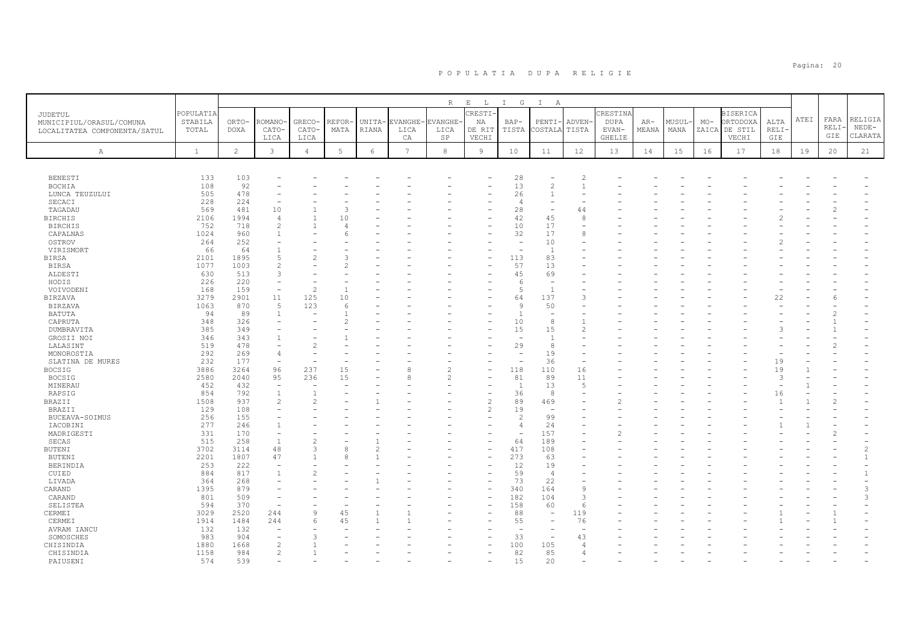|                              |              |                |                                |                          |          |               |                 | $\mathbb R$              | $\mathbf{E}$<br>$\mathbb{L}$ | $\mathbb{I}$<br>G        | $\mathbb{I}$<br>A        |                          |               |       |       |       |                 |        |      |       |                          |
|------------------------------|--------------|----------------|--------------------------------|--------------------------|----------|---------------|-----------------|--------------------------|------------------------------|--------------------------|--------------------------|--------------------------|---------------|-------|-------|-------|-----------------|--------|------|-------|--------------------------|
| JUDETUL                      | POPULATIA    |                |                                |                          |          |               |                 |                          | <b>RESTI</b>                 |                          |                          |                          | CRESTINA      |       |       |       | <b>BISERICA</b> |        |      |       |                          |
| MUNICIPIUL/ORASUL/COMUNA     | STABILA      | ORTO-          | <b>COMANO</b>                  | GRECO-                   | REFOR·   | UNITA-        | <b>EVANGHE</b>  | EVANGHE-                 | ΝA                           | $BAP-$                   | PENTI-                   | ADVEN-                   | <b>DUPA</b>   | $AR-$ | MUSUL | $MO-$ | ORTODOXA        | ALTA   | ATEI | FARA  | RELIGIA                  |
| LOCALITATEA COMPONENTA/SATUL | TOTAL        | DOXA           | CATO-                          | CATO-                    | MATA     | RIANA         | LICA            | LICA                     | DE RIT                       | TISTA                    | COSTALA                  | TISTA                    | EVAN-         | MEANA | MANA  | ZAICA | DE STIL         | RELI-  |      | RELI- | $NEDE-$                  |
|                              |              |                | LICA                           | LICA                     |          |               | CA              | SP                       | VECHI                        |                          |                          |                          | <b>GHELIE</b> |       |       |       | VECHI           | GIE    |      | GIE   | CLARATA                  |
| Α                            | $\mathbf{1}$ | $\overline{c}$ | $\mathbf{3}$                   | 4                        | 5        | 6             | $7\phantom{.0}$ | 8                        | 9                            | 10                       | 11                       | 12                       | 13            | 14    | 15    | 16    | 17              | $1\,8$ | 19   | 20    | 21                       |
|                              |              |                |                                |                          |          |               |                 |                          |                              |                          |                          |                          |               |       |       |       |                 |        |      |       |                          |
|                              |              |                |                                |                          |          |               |                 |                          |                              |                          |                          |                          |               |       |       |       |                 |        |      |       |                          |
| <b>BENESTI</b>               | 133          | 103            |                                |                          |          |               |                 |                          |                              | 28                       |                          | $\overline{2}$           |               |       |       |       |                 |        |      |       |                          |
| <b>BOCHIA</b>                | 108          | 92             |                                |                          |          |               |                 |                          |                              | 13                       | $\overline{2}$           | $\overline{1}$           |               |       |       |       |                 |        |      |       |                          |
| LUNCA TEUZULUI               | 505          | 478            |                                |                          |          |               |                 |                          |                              | 26                       | $\overline{1}$           |                          |               |       |       |       |                 |        |      |       |                          |
| SECACI<br>TAGADAU            | 228<br>569   | 224<br>481     | 10                             |                          | ß        |               |                 |                          |                              | 4<br>28                  | $\overline{\phantom{a}}$ | 44                       |               |       |       |       |                 |        |      |       |                          |
| <b>BIRCHIS</b>               | 2106         | 1994           | $\overline{4}$                 |                          | 10       |               |                 |                          |                              | 42                       | 45                       | 8                        |               |       |       |       |                 |        |      |       |                          |
| <b>BIRCHIS</b>               | 752          | 718            |                                |                          |          |               |                 |                          |                              | 10                       | 17                       |                          |               |       |       |       |                 |        |      |       |                          |
| CAPALNAS                     | 1024         | 960            |                                |                          |          |               |                 |                          |                              | 32                       | 17                       | 8                        |               |       |       |       |                 |        |      |       |                          |
| OSTROV                       | 264          | 252            |                                |                          |          |               |                 |                          |                              |                          | 10                       |                          |               |       |       |       |                 |        |      |       |                          |
| VIRISMORT                    | 66           | 64             |                                |                          |          |               |                 |                          |                              | $\overline{\phantom{a}}$ | $\overline{1}$           |                          |               |       |       |       |                 |        |      |       |                          |
| <b>BIRSA</b>                 | 2101         | 1895           |                                | $\overline{2}$           |          |               |                 |                          |                              | 113                      | 83                       |                          |               |       |       |       |                 |        |      |       |                          |
| BIRSA                        | 1077         | 1003           | $\mathfrak{D}$                 |                          |          |               |                 |                          |                              | 57                       | 13                       |                          |               |       |       |       |                 |        |      |       |                          |
| ALDESTI                      | 630          | 513            | 3                              |                          |          |               |                 |                          |                              | 45                       | 69                       |                          |               |       |       |       |                 |        |      |       |                          |
| HODIS                        | 226          | 220            | $\sim$                         | $\overline{\phantom{a}}$ |          |               |                 |                          |                              | 6                        | ÷.                       |                          |               |       |       |       |                 |        |      |       |                          |
| VOIVODENI                    | 168<br>3279  | 159<br>2901    | $\overline{\phantom{m}}$<br>11 | $\overline{c}$           | 10       |               |                 |                          |                              | 5                        | $\overline{1}$<br>137    | 3                        |               |       |       |       |                 |        |      |       |                          |
| BIRZAVA<br><b>BIRZAVA</b>    | 1063         | 870            | 5                              | 125<br>123               | 6        |               |                 |                          |                              | 64<br>$\mathsf{Q}$       | 50                       |                          |               |       |       |       |                 | 22     |      |       |                          |
| BATUTA                       | 94           | 89             | -1                             |                          |          |               |                 |                          |                              | $\overline{1}$           | $\overline{\phantom{a}}$ |                          |               |       |       |       |                 |        |      |       |                          |
| CAPRUTA                      | 348          | 326            |                                |                          |          |               |                 |                          |                              | 10                       | -8                       |                          |               |       |       |       |                 |        |      |       |                          |
| DUMBRAVITA                   | 385          | 349            |                                |                          |          |               |                 |                          |                              | 15                       | 15                       | $\overline{2}$           |               |       |       |       |                 |        |      |       |                          |
| GROSII NOI                   | 346          | 343            |                                |                          |          |               |                 |                          |                              |                          | $\mathbf{1}$             |                          |               |       |       |       |                 |        |      |       |                          |
| LALASINT                     | 519          | 478            |                                | $\overline{c}$           |          |               |                 |                          |                              | 29                       | 8                        |                          |               |       |       |       |                 |        |      |       |                          |
| MONOROSTIA                   | 292          | 269            | $\overline{4}$                 | $\overline{\phantom{a}}$ |          |               |                 |                          |                              | $\overline{\phantom{a}}$ | 19                       |                          |               |       |       |       |                 |        |      |       |                          |
| SLATINA DE MURES             | 232          | 177            | $\overline{\phantom{a}}$       |                          |          |               |                 |                          |                              | $\overline{\phantom{a}}$ | 36                       | $\overline{\phantom{0}}$ |               |       |       |       |                 | 19     |      |       |                          |
| <b>BOCSIG</b>                | 3886         | 3264           | 96                             | 237                      | 15       |               |                 | 2                        |                              | 118                      | 110                      | 16                       |               |       |       |       |                 | 19     |      |       |                          |
| <b>BOCSIG</b>                | 2580         | 2040           | 95                             | 236                      | 15       |               | g               | $\overline{\mathcal{L}}$ |                              | 81                       | 89                       | 11                       |               |       |       |       |                 | 3      |      |       |                          |
| MINERAU                      | 452          | 432            | $\overline{\phantom{a}}$       |                          |          |               |                 |                          |                              | $\overline{1}$           | 13                       | 5                        |               |       |       |       |                 |        |      |       |                          |
| RAPSIG                       | 854          | 792            |                                |                          |          |               |                 |                          |                              | 36                       | 8                        |                          |               |       |       |       |                 | 16     |      |       |                          |
| BRAZII                       | 1508         | 937            | $\overline{\mathcal{L}}$       | $\mathcal{L}$            |          |               |                 |                          | $\overline{\mathcal{L}}$     | 89                       | 469<br>÷                 |                          |               |       |       |       |                 |        |      |       |                          |
| BRAZII<br>BUCEAVA-SOIMUS     | 129<br>256   | 108<br>155     |                                |                          |          |               |                 |                          |                              | 19<br>$\overline{2}$     | 99                       |                          |               |       |       |       |                 |        |      |       |                          |
| IACOBINI                     | 277          | 246            |                                |                          |          |               |                 |                          |                              | $\overline{4}$           | 24                       |                          |               |       |       |       |                 |        |      |       |                          |
| MADRIGESTI                   | 331          | 170            | $\overline{\phantom{a}}$       |                          |          |               |                 |                          |                              | ۰                        | 157                      |                          |               |       |       |       |                 |        |      |       |                          |
| SECAS                        | 515          | 258            | -1                             | $\overline{2}$           |          |               |                 |                          |                              | 64                       | 189                      |                          |               |       |       |       |                 |        |      |       |                          |
| <b>BUTENI</b>                | 3702         | 3114           | 48                             | 3                        | 8        | $\mathcal{D}$ |                 |                          |                              | 417                      | 108                      |                          |               |       |       |       |                 |        |      |       | $\overline{\mathcal{L}}$ |
| <b>BUTENI</b>                | 2201         | 1807           | 47                             | $\overline{1}$           |          |               |                 |                          |                              | 273                      | 63                       |                          |               |       |       |       |                 |        |      |       | 1                        |
| BERINDIA                     | 253          | 222            | $\overline{\phantom{a}}$       |                          |          |               |                 |                          |                              | 12                       | 19                       |                          |               |       |       |       |                 |        |      |       |                          |
| CUIED                        | 884          | 817            |                                | $\mathcal{L}$            |          |               |                 |                          |                              | 59                       | $\overline{4}$           |                          |               |       |       |       |                 |        |      |       |                          |
| LIVADA                       | 364          | 268            |                                |                          |          |               |                 |                          |                              | 73                       | 22                       | $\overline{\phantom{a}}$ |               |       |       |       |                 |        |      |       |                          |
| CARAND                       | 1395         | 879            |                                |                          |          |               |                 |                          |                              | 340                      | 164                      | 9                        |               |       |       |       |                 |        |      |       | 3                        |
| CARAND                       | 801          | 509            |                                |                          |          |               |                 |                          |                              | 182                      | 104                      | 3                        |               |       |       |       |                 |        |      |       | 3                        |
| SELISTEA                     | 594          | 370            |                                |                          |          |               |                 |                          |                              | 158                      | 60                       | 6                        |               |       |       |       |                 |        |      |       |                          |
| CERMEI<br>CERMEI             | 3029<br>1914 | 2520<br>1484   | 244<br>244                     | 9<br>6                   | 45<br>45 |               |                 |                          |                              | 88<br>55                 | $\overline{\phantom{a}}$ | 119<br>76                |               |       |       |       |                 |        |      |       |                          |
| AVRAM IANCU                  | 132          | 132            |                                |                          |          |               |                 |                          |                              | $\sim$                   |                          | $\overline{\phantom{a}}$ |               |       |       |       |                 |        |      |       |                          |
| SOMOSCHES                    | 983          | 904            |                                | 3                        |          |               |                 |                          |                              | 33                       |                          | 43                       |               |       |       |       |                 |        |      |       |                          |
| CHISINDIA                    | 1880         | 1668           |                                |                          |          |               |                 |                          |                              | 100                      | 105                      | 4                        |               |       |       |       |                 |        |      |       |                          |
| CHISINDIA                    | 1158         | 984            | $\overline{c}$                 |                          |          |               |                 |                          |                              | 82                       | 85                       | 4                        |               |       |       |       |                 |        |      |       |                          |
| PATUSENT                     | 574          | 539            |                                |                          |          |               |                 |                          |                              | 1.5                      | 20                       |                          |               |       |       |       |                 |        |      |       |                          |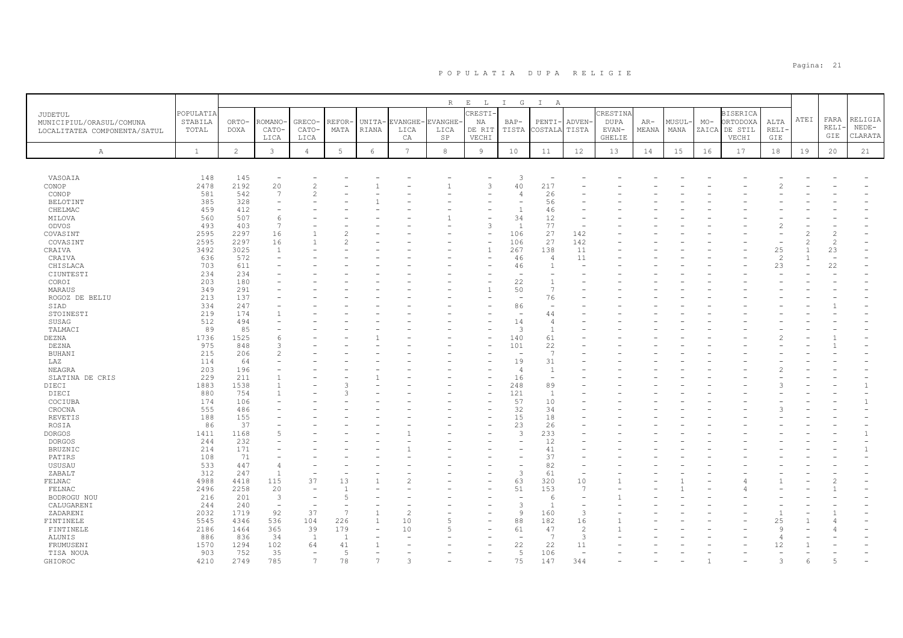|                              |              |                |                          |                          |                 |                                          |                 | R              | $\mathbf{E}$<br>$\mathbb{L}$ | G<br>$\mathbb{I}$              | $\mathbb{I}$<br>A        |                          |          |       |              |       |                 |                    |      |                |                |
|------------------------------|--------------|----------------|--------------------------|--------------------------|-----------------|------------------------------------------|-----------------|----------------|------------------------------|--------------------------------|--------------------------|--------------------------|----------|-------|--------------|-------|-----------------|--------------------|------|----------------|----------------|
| <b>JUDETUL</b>               | POPULATIA    |                |                          |                          |                 |                                          |                 |                | RESTI-                       |                                |                          |                          | CRESTINA |       |              |       | <b>BISERICA</b> |                    |      |                |                |
| MUNICIPIUL/ORASUL/COMUNA     | STABILA      | ORTO-          | ROMANO                   | GRECO-                   | REFOR-          |                                          | UNITA-EVANGHE-  | <b>EVANGHE</b> | NA                           | $BAP-$                         | PENTI-                   | ADVEN-                   | DUPA     | $AR-$ | <b>MUSUL</b> | $MO-$ | ORTODOXA        | ALTA               | ATEI | FARA           | RELIGIA        |
| LOCALITATEA COMPONENTA/SATUL | TOTAL        | DOXA           | CATO-                    | CATO-                    | MATA            | RIANA                                    | LICA            | LICA           | DE RIT                       | TISTA                          | COSTALA                  | TISTA                    | EVAN-    | MEANA | MANA         | ZAICA | DE STIL         | <b>RELI</b>        |      | RELI-          | $NEDE-$        |
|                              |              |                | LICA                     | LICA                     |                 |                                          | CA              | $_{\rm SP}$    | VECHI                        |                                |                          |                          | GHELIE   |       |              |       | VECHI           | GIE                |      | GIE            | CLARATA        |
|                              |              |                |                          |                          |                 |                                          | $7\overline{ }$ |                |                              |                                |                          |                          |          |       |              |       |                 |                    |      |                |                |
| Α                            | $\mathbf{1}$ | $\overline{2}$ | 3                        | $\overline{4}$           | $5\overline{)}$ | $\epsilon$                               |                 | $\,8\,$        | $\overline{9}$               | 10                             | 11                       | 12                       | 13       | 14    | 15           | 16    | 17              | 18                 | 19   | 20             | 21             |
|                              |              |                |                          |                          |                 |                                          |                 |                |                              |                                |                          |                          |          |       |              |       |                 |                    |      |                |                |
| VASOAIA                      | 148          | 145            |                          |                          |                 |                                          |                 |                |                              |                                |                          |                          |          |       |              |       |                 |                    |      |                |                |
| CONOP                        | 2478         | 2192           | 20                       | $\overline{c}$           |                 |                                          |                 |                |                              | 3<br>40                        | 217                      |                          |          |       |              |       |                 |                    |      |                |                |
| CONOP                        | 581          | 542            | 7                        | $\mathcal{L}$            |                 |                                          |                 |                |                              |                                | 26                       |                          |          |       |              |       |                 |                    |      |                |                |
| BELOTINT                     | 385          | 328            |                          |                          |                 |                                          |                 |                |                              |                                | 56                       |                          |          |       |              |       |                 |                    |      |                |                |
| CHELMAC                      | 459          | 412            |                          |                          |                 |                                          |                 |                |                              | $\mathbf{1}$                   | 46                       |                          |          |       |              |       |                 |                    |      |                |                |
| MILOVA                       | 560          | 507            | 6                        |                          |                 |                                          |                 |                |                              | 34                             | 12                       |                          |          |       |              |       |                 |                    |      |                |                |
| ODVOS                        | 493          | 403            | 7                        |                          |                 |                                          |                 |                |                              | 1                              | 77                       | $\overline{\phantom{a}}$ |          |       |              |       |                 |                    |      |                |                |
| COVASINT                     | 2595         | 2297           | 16                       |                          |                 |                                          |                 |                |                              | 106                            | 27                       | 142                      |          |       |              |       |                 |                    |      | $\overline{c}$ |                |
| COVASINT                     | 2595         | 2297           | 16                       |                          |                 |                                          |                 |                |                              | 106                            | 27                       | 142                      |          |       |              |       |                 |                    |      | $\overline{c}$ |                |
| CRAIVA                       | 3492         | 3025           | $\overline{1}$           |                          |                 |                                          |                 |                |                              | 267                            | 138                      | 11                       |          |       |              |       |                 | 25                 |      | 23             |                |
| CRAIVA                       | 636          | 572            |                          |                          |                 |                                          |                 |                |                              | 46                             | -4                       | 11                       |          |       |              |       |                 | $\mathcal{P}$      |      |                |                |
| CHISLACA                     | 703          | 611            |                          |                          |                 |                                          |                 |                |                              | 46                             | $\overline{1}$           |                          |          |       |              |       |                 | 23                 |      | 22             |                |
| CIUNTESTI                    | 234          | 234            |                          |                          |                 |                                          |                 |                |                              |                                |                          |                          |          |       |              |       |                 |                    |      |                |                |
| COROI                        | 203          | 180<br>291     |                          |                          |                 |                                          |                 |                |                              | 22                             |                          |                          |          |       |              |       |                 |                    |      |                |                |
| MARAUS<br>ROGOZ DE BELIU     | 349<br>213   | 137            |                          |                          |                 |                                          |                 |                |                              | 50<br>$\overline{\phantom{a}}$ | 76                       |                          |          |       |              |       |                 |                    |      |                |                |
| SIAD                         | 334          | 247            |                          |                          |                 |                                          |                 |                |                              | 86                             |                          |                          |          |       |              |       |                 |                    |      |                |                |
| STOINESTI                    | 219          | 174            |                          |                          |                 |                                          |                 |                |                              |                                | 44                       |                          |          |       |              |       |                 |                    |      |                |                |
| SUSAG                        | 512          | 494            |                          |                          |                 |                                          |                 |                |                              | 14                             |                          |                          |          |       |              |       |                 |                    |      |                |                |
| TALMACI                      | 89           | 85             |                          |                          |                 |                                          |                 |                |                              | 3                              | $\overline{1}$           |                          |          |       |              |       |                 |                    |      |                |                |
| DEZNA                        | 1736         | 1525           | 6                        |                          |                 |                                          |                 |                |                              | 140                            | 61                       |                          |          |       |              |       |                 |                    |      |                |                |
| DEZNA                        | 975          | 848            | $\mathcal{L}$            |                          |                 |                                          |                 |                |                              | 101                            | 22                       |                          |          |       |              |       |                 |                    |      |                |                |
| BUHANI                       | 215          | 206            |                          |                          |                 |                                          |                 |                |                              |                                | $\overline{7}$           |                          |          |       |              |       |                 |                    |      |                |                |
| LAZ                          | 114          | 64             |                          |                          |                 |                                          |                 |                |                              | 19                             | 31                       |                          |          |       |              |       |                 |                    |      |                |                |
| NEAGRA                       | 203          | 196            |                          |                          |                 |                                          |                 |                |                              | $\overline{4}$                 | -1                       |                          |          |       |              |       |                 |                    |      |                |                |
| SLATINA DE CRIS              | 229          | 211            |                          |                          |                 |                                          |                 |                |                              | 16                             | $\overline{\phantom{a}}$ |                          |          |       |              |       |                 |                    |      |                |                |
| DIECI                        | 1883         | 1538           |                          |                          |                 |                                          |                 |                |                              | 248                            | 89                       |                          |          |       |              |       |                 |                    |      |                | $\overline{1}$ |
| DIECI                        | 880          | 754            |                          |                          |                 |                                          |                 |                |                              | 121                            | -1                       |                          |          |       |              |       |                 |                    |      |                |                |
| COCIUBA                      | 174          | 106            |                          |                          |                 |                                          |                 |                |                              | 57                             | 10                       |                          |          |       |              |       |                 |                    |      |                | $\mathbf{1}$   |
| CROCNA<br>REVETIS            | 555<br>188   | 486<br>155     |                          |                          |                 |                                          |                 |                |                              | 32<br>15                       | 34<br>18                 |                          |          |       |              |       |                 |                    |      |                |                |
| ROSIA                        | 86           | 37             |                          |                          |                 |                                          |                 |                |                              | 23                             | 26                       |                          |          |       |              |       |                 |                    |      |                |                |
| <b>DORGOS</b>                | 1411         | 1168           | 5                        |                          |                 |                                          |                 |                |                              | 3                              | 233                      |                          |          |       |              |       |                 |                    |      |                | $\mathbf{1}$   |
| <b>DORGOS</b>                | 244          | 232            |                          |                          |                 |                                          |                 |                |                              |                                | 12                       |                          |          |       |              |       |                 |                    |      |                |                |
| BRUZNIC                      | 214          | 171            |                          |                          |                 |                                          |                 |                |                              |                                | 41                       |                          |          |       |              |       |                 |                    |      |                |                |
| PATIRS                       | 108          | 71             |                          |                          |                 |                                          |                 |                |                              |                                | 37                       |                          |          |       |              |       |                 |                    |      |                |                |
| USUSAU                       | 533          | 447            | 4                        |                          |                 |                                          |                 |                |                              |                                | 82                       |                          |          |       |              |       |                 |                    |      |                |                |
| ZABALT                       | 312          | 247            | $\overline{1}$           |                          |                 |                                          |                 |                |                              | 3                              | 61                       | $\overline{\phantom{a}}$ |          |       |              |       |                 |                    |      |                |                |
| FELNAC                       | 4988         | 4418           | 115                      | 37                       | 13              |                                          |                 |                |                              | 63                             | 320                      | 10                       |          |       |              |       |                 |                    |      |                |                |
| FELNAC                       | 2496         | 2258           | 20                       |                          | $\overline{1}$  |                                          |                 |                |                              | 51                             | 153                      | $\overline{7}$           |          |       |              |       |                 |                    |      |                |                |
| BODROGU NOU                  | 216          | 201            | $\mathbf{3}$             |                          | $\overline{5}$  |                                          |                 |                |                              |                                | -6                       |                          |          |       |              |       |                 |                    |      |                |                |
| CALUGARENI                   | 244          | 240            | $\overline{\phantom{a}}$ | $\overline{\phantom{a}}$ |                 |                                          |                 |                |                              | 3                              | $\overline{1}$           | $\overline{\phantom{a}}$ |          |       |              |       |                 |                    |      |                |                |
| ZADARENI                     | 2032         | 1719           | 92                       | 37                       | -7              | $\overline{1}$                           | 2               |                |                              | $\overline{9}$                 | 160                      | 3                        |          |       |              |       |                 |                    |      |                |                |
| FINTINELE                    | 5545         | 4346           | 536                      | 104                      | 226<br>179      | $\mathbf{1}$<br>$\overline{\phantom{m}}$ | 10              |                |                              | 88                             | 182                      | 16<br>2                  |          |       |              |       |                 | 25<br>$\mathsf{Q}$ |      |                |                |
| FINTINELE<br>ALUNIS          | 2186<br>886  | 1464<br>836    | 365<br>34                | 39<br>$\mathbf{1}$       | $\overline{1}$  |                                          | 10              |                |                              | 61                             | 47<br>-7                 | 3                        |          |       |              |       |                 |                    |      |                |                |
| FRUMUSENI                    | 1570         | 1294           | 102                      | 64                       | 41              |                                          |                 |                |                              | 22                             | 22                       | 11                       |          |       |              |       |                 | 12                 |      |                |                |
| TISA NOUA                    | 903          | 752            | 35                       |                          | $\overline{5}$  |                                          |                 |                |                              | 5                              | 106                      | $\overline{\phantom{0}}$ |          |       |              |       |                 |                    |      |                |                |
| GHIOROC                      | 4210         | 2749           | 785                      | $\overline{7}$           | 78              | $\overline{7}$                           |                 |                |                              | 75                             | 147                      | 344                      |          |       |              |       |                 |                    | 6    | $\overline{a}$ |                |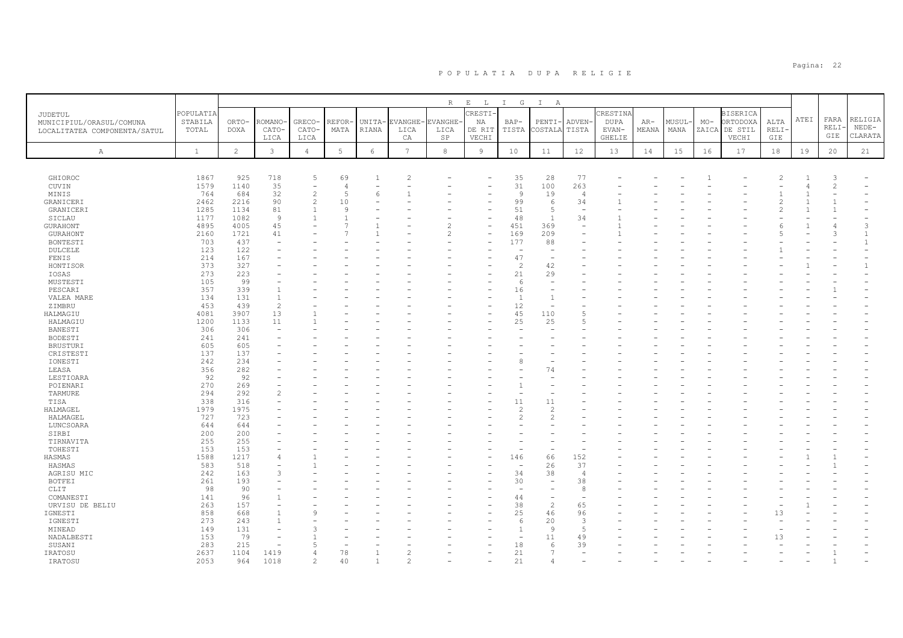|                              |                  |                      |                          |                    |                |                        |                 | R                      | $\mathbf{E}=-\mathbf{L}$ | I G                      | $\mathbb{I}$<br>A              |                          |                      |                |                |       |                           |               |      |               |              |
|------------------------------|------------------|----------------------|--------------------------|--------------------|----------------|------------------------|-----------------|------------------------|--------------------------|--------------------------|--------------------------------|--------------------------|----------------------|----------------|----------------|-------|---------------------------|---------------|------|---------------|--------------|
| JUDETUL                      | POPULATIA        |                      |                          |                    |                |                        |                 |                        | CRESTI.                  |                          |                                |                          | CRESTINA             |                |                |       | <b>BISERICA</b>           |               | ATEI | FARA          | RELIGIA      |
| MUNICIPIUL/ORASUL/COMUNA     | STABILA<br>TOTAL | ORTO-<br><b>DOXA</b> | ROMANO·<br>CATO-         | GRECO-<br>CATO-    | REFOR<br>MATA  | UNITA-<br><b>RIANA</b> | EVANGHE<br>LICA | <b>EVANGHE</b><br>LICA | NA<br>DE RIT             | $BAP-$<br>TISTA          | PENTI-<br>COSTALA              | ADVEN-<br>TISTA          | <b>DUPA</b><br>EVAN- | $AR-$<br>MEANA | MUSUL-<br>MANA | $MO-$ | ORTODOXA<br>ZAICA DE STIL | ALTA<br>RELI· |      | RELI·         | $NEDE-$      |
| LOCALITATEA COMPONENTA/SATUL |                  |                      | LICA                     | LICA               |                |                        | CA              | SP                     | VECHI                    |                          |                                |                          | <b>GHELIE</b>        |                |                |       | VECHI                     | GIE           |      | GIE           | CLARATA      |
|                              |                  |                      |                          |                    |                |                        |                 |                        |                          |                          |                                |                          |                      |                |                |       |                           |               |      |               |              |
| Α                            | $\mathbf{1}$     | $\overline{c}$       | $\mathbf{3}$             | $\overline{4}$     | $\mathbf 5$    | 6                      | $7\overline{ }$ | 8                      | $\overline{9}$           | 10                       | 11                             | 12                       | 13                   | 14             | 15             | 16    | 17                        | 18            | 19   | 20            | 21           |
|                              |                  |                      |                          |                    |                |                        |                 |                        |                          |                          |                                |                          |                      |                |                |       |                           |               |      |               |              |
| GHIOROC                      | 1867             | 925                  | 718                      | 5                  | 69             | -1                     | 2               |                        |                          | 35                       | 28                             | 77                       |                      |                |                |       |                           |               |      | 3             |              |
| CUVIN                        | 1579             | 1140                 | 35                       |                    | $\overline{4}$ |                        |                 |                        |                          | 31                       | 100                            | 263                      |                      |                |                |       |                           |               |      | $\mathcal{L}$ |              |
| MINIS                        | 764              | 684                  | 32                       | $\overline{c}$     | $\overline{5}$ | 6                      |                 |                        |                          | $\overline{9}$           | 19                             | $\overline{4}$           |                      |                |                |       |                           |               |      |               |              |
| GRANICERI                    | 2462             | 2216                 | 90                       | $\overline{2}$     | 10             |                        |                 |                        |                          | 99                       | 6                              | 34                       |                      |                |                |       |                           |               |      |               |              |
| GRANICERI                    | 1285             | 1134                 | 81                       | $\overline{1}$     | 9              |                        |                 |                        |                          | 51                       | $\overline{5}$                 | $\overline{\phantom{a}}$ |                      |                |                |       |                           |               |      |               |              |
| SICLAU                       | 1177             | 1082                 | 9                        | $\mathbf{1}$       |                |                        |                 |                        |                          | 48                       | $\overline{1}$                 | 34                       |                      |                |                |       |                           |               |      |               |              |
| GURAHONT                     | 4895             | 4005                 | 45                       |                    |                |                        |                 | 2                      | $\overline{\phantom{a}}$ | 451                      | 369                            | $\overline{\phantom{a}}$ |                      |                |                |       |                           |               |      |               | 3            |
| GURAHONT                     | 2160             | 1721                 | 41                       |                    |                |                        |                 | $\overline{c}$         |                          | 169                      | 209                            |                          |                      |                |                |       |                           |               |      |               | 1            |
| BONTESTI                     | 703              | 437                  |                          |                    |                |                        |                 |                        |                          | 177                      | 88<br>$\overline{\phantom{0}}$ |                          |                      |                |                |       |                           |               |      |               | $\mathbf{1}$ |
| DULCELE<br>FENIS             | 123<br>214       | 122<br>167           |                          |                    |                |                        |                 |                        |                          | 47                       | $\overline{\phantom{0}}$       |                          |                      |                |                |       |                           |               |      |               |              |
| HONTISOR                     | 373              | 327                  |                          |                    |                |                        |                 |                        |                          | $\overline{2}$           | 42                             |                          |                      |                |                |       |                           |               |      |               | $\mathbf{1}$ |
| IOSAS                        | 273              | 223                  |                          |                    |                |                        |                 |                        |                          | 21                       | 29                             |                          |                      |                |                |       |                           |               |      |               |              |
| MUSTESTI                     | 105              | -99                  |                          |                    |                |                        |                 |                        |                          | 6                        |                                |                          |                      |                |                |       |                           |               |      |               |              |
| PESCARI                      | 357              | 339                  |                          |                    |                |                        |                 |                        |                          | 16                       | $\overline{\phantom{0}}$       |                          |                      |                |                |       |                           |               |      |               |              |
| VALEA MARE                   | 134              | 131                  | $\overline{1}$           |                    |                |                        |                 |                        |                          | $\overline{1}$           | $\mathbf{1}$                   |                          |                      |                |                |       |                           |               |      |               |              |
| ZIMBRU                       | 453              | 439                  | $\overline{c}$           |                    |                |                        |                 |                        |                          | 12                       | $\overline{\phantom{0}}$       |                          |                      |                |                |       |                           |               |      |               |              |
| HALMAGIU                     | 4081             | 3907                 | 13                       |                    |                |                        |                 |                        |                          | 45                       | 110                            |                          |                      |                |                |       |                           |               |      |               |              |
| HALMAGIU                     | 1200             | 1133                 | 11                       |                    |                |                        |                 |                        |                          | 25                       | 25                             | 5                        |                      |                |                |       |                           |               |      |               |              |
| BANESTI                      | 306              | 306                  | $\overline{\phantom{a}}$ |                    |                |                        |                 |                        |                          |                          |                                |                          |                      |                |                |       |                           |               |      |               |              |
| BODESTI                      | 241              | 241                  |                          |                    |                |                        |                 |                        |                          |                          |                                |                          |                      |                |                |       |                           |               |      |               |              |
| <b>BRUSTURI</b>              | 605              | 605                  |                          |                    |                |                        |                 |                        |                          |                          |                                |                          |                      |                |                |       |                           |               |      |               |              |
| CRISTESTI                    | 137              | 137                  |                          |                    |                |                        |                 |                        |                          |                          |                                |                          |                      |                |                |       |                           |               |      |               |              |
| IONESTI                      | 242              | 234                  |                          |                    |                |                        |                 |                        |                          |                          |                                |                          |                      |                |                |       |                           |               |      |               |              |
| LEASA                        | 356              | 282                  |                          |                    |                |                        |                 |                        |                          |                          | 74                             |                          |                      |                |                |       |                           |               |      |               |              |
| LESTIOARA                    | 92               | 92                   |                          |                    |                |                        |                 |                        |                          |                          |                                |                          |                      |                |                |       |                           |               |      |               |              |
| POIENARI                     | 270              | 269                  |                          |                    |                |                        |                 |                        |                          |                          |                                |                          |                      |                |                |       |                           |               |      |               |              |
| TARMURE                      | 294              | 292                  | $\overline{c}$           |                    |                |                        |                 |                        |                          |                          |                                |                          |                      |                |                |       |                           |               |      |               |              |
| TISA                         | 338<br>1979      | 316<br>1975          |                          |                    |                |                        |                 |                        |                          | 11<br>2                  | 11<br>$\mathcal{L}$            |                          |                      |                |                |       |                           |               |      |               |              |
| HALMAGEL<br>HALMAGEL         | 727              | 723                  |                          |                    |                |                        |                 |                        |                          | $\mathfrak{D}$           | $\mathfrak{D}$                 |                          |                      |                |                |       |                           |               |      |               |              |
| LUNCSOARA                    | 644              | 644                  |                          |                    |                |                        |                 |                        |                          |                          |                                |                          |                      |                |                |       |                           |               |      |               |              |
| SIRBI                        | 200              | 200                  |                          |                    |                |                        |                 |                        |                          |                          |                                |                          |                      |                |                |       |                           |               |      |               |              |
| TIRNAVITA                    | 255              | 255                  |                          |                    |                |                        |                 |                        |                          |                          |                                |                          |                      |                |                |       |                           |               |      |               |              |
| TOHESTI                      | 153              | 153                  |                          |                    |                |                        |                 |                        |                          |                          |                                |                          |                      |                |                |       |                           |               |      |               |              |
| HASMAS                       | 1588             | 1217                 | $\Delta$                 |                    |                |                        |                 |                        |                          | 146                      | 66                             | 152                      |                      |                |                |       |                           |               |      |               |              |
| HASMAS                       | 583              | 518                  |                          |                    |                |                        |                 |                        |                          | $\overline{\phantom{a}}$ | 26                             | 37                       |                      |                |                |       |                           |               |      |               |              |
| AGRISU MIC                   | 242              | 163                  | 3                        |                    |                |                        |                 |                        |                          | 34                       | 38                             | 4                        |                      |                |                |       |                           |               |      |               |              |
| <b>BOTFEI</b>                | 261              | 193                  |                          |                    |                |                        |                 |                        |                          | 30                       |                                | 38                       |                      |                |                |       |                           |               |      |               |              |
| CLIT                         | 98               | 90                   |                          |                    |                |                        |                 |                        |                          | $\sim$                   | $\sim$                         | 8                        |                      |                |                |       |                           |               |      |               |              |
| COMANESTI                    | 141              | 96                   |                          |                    |                |                        |                 |                        |                          | 44                       | $\sim$                         |                          |                      |                |                |       |                           |               |      |               |              |
| URVISU DE BELIU              | 263              | 157                  |                          |                    |                |                        |                 |                        |                          | 38                       | 2                              | 65                       |                      |                |                |       |                           |               |      |               |              |
| IGNESTI                      | 858              | 668                  |                          | Q                  |                |                        |                 |                        |                          | 25                       | 46                             | 96                       |                      |                |                |       |                           | 13            |      |               |              |
| IGNESTI                      | 273              | 243                  | $\overline{1}$           |                    |                |                        |                 |                        |                          | 6                        | 20                             | 3                        |                      |                |                |       |                           |               |      |               |              |
| MINEAD                       | 149              | 131                  |                          |                    |                |                        |                 |                        |                          | $\overline{1}$           | Q                              | $\overline{5}$           |                      |                |                |       |                           |               |      |               |              |
| NADALBESTI                   | 153              | 79                   |                          |                    |                |                        |                 |                        |                          | $\sim$                   | 11                             | 49                       |                      |                |                |       |                           | 13            |      |               |              |
| SUSANI                       | 283              | 215                  | ٠                        |                    |                |                        |                 |                        |                          | 18                       | 6<br>$\overline{7}$            | 39                       |                      |                |                |       |                           |               |      |               |              |
| IRATOSU                      | 2637<br>2053     | 1104                 | 1419<br>1018             | 4<br>$\mathcal{L}$ | 78<br>40       | -1                     | $\mathfrak{D}$  |                        |                          | 21<br>21                 |                                |                          |                      |                |                |       |                           |               |      |               |              |
| IRATOSU                      |                  | 964                  |                          |                    |                |                        |                 |                        |                          |                          | $\overline{4}$                 |                          |                      |                |                |       |                           |               |      |               |              |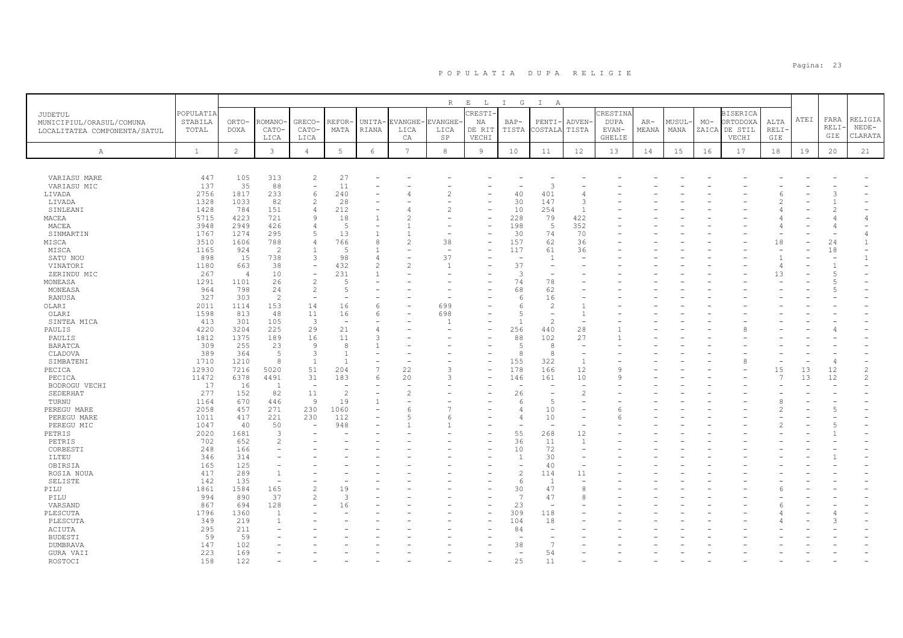|                              |              |                |                          |                          |                          |                                                                                                                                                               |                 | R              | $\,$ E<br>$\mathbb{L}$ | G<br>$\mathbb{I}$        | $\mathbb{I}$<br>A        |                          |               |       |       |       |                 |             |      |                |                     |
|------------------------------|--------------|----------------|--------------------------|--------------------------|--------------------------|---------------------------------------------------------------------------------------------------------------------------------------------------------------|-----------------|----------------|------------------------|--------------------------|--------------------------|--------------------------|---------------|-------|-------|-------|-----------------|-------------|------|----------------|---------------------|
| JUDETUL                      | POPULATIA    |                |                          |                          |                          |                                                                                                                                                               |                 |                | <b>CRESTI-</b>         |                          |                          |                          | CRESTINA      |       |       |       | <b>BISERICA</b> |             |      |                |                     |
| MUNICIPIUL/ORASUL/COMUNA     | STABILA      | ORTO-          | ROMANO                   | <b>GRECO</b>             | REFOR-                   |                                                                                                                                                               | UNITA-EVANGHE   | <b>EVANGHE</b> | NA                     | $BAP-$                   | PENTI·                   | ADVEN-                   | <b>DUPA</b>   | $AR-$ | MUSUL | $MO-$ | ORTODOXA        | ALTA        | ATEI | FARA           | RELIGIA             |
| LOCALITATEA COMPONENTA/SATUL | TOTAL        | DOXA           | CATO-                    | CATO-                    | MATA                     | RIANA                                                                                                                                                         | LICA            | LICA           | DE RIT                 | TISTA                    | COSTALA                  | TISTA                    | EVAN-         | MEANA | MANA  | ZAICA | DE STIL         | <b>RELI</b> |      | RELI-          | $NEDE-$             |
|                              |              |                | LICA                     | LICA                     |                          |                                                                                                                                                               | CA              | SP             | VECHI                  |                          |                          |                          | <b>GHELIE</b> |       |       |       | VECHI           | GIE         |      | GIE            | CLARATA             |
| Α                            | $\,$ 1       | $\overline{c}$ | 3                        | $\overline{4}$           | $5\overline{)}$          | $\epsilon$                                                                                                                                                    | $7\overline{ }$ | 8              | $\overline{9}$         | 10                       | 11                       | 12                       | 13            | 14    | 15    | 16    | 17              | 18          | 19   | 20             | 21                  |
|                              |              |                |                          |                          |                          |                                                                                                                                                               |                 |                |                        |                          |                          |                          |               |       |       |       |                 |             |      |                |                     |
|                              |              |                |                          |                          |                          |                                                                                                                                                               |                 |                |                        |                          |                          |                          |               |       |       |       |                 |             |      |                |                     |
| VARIASU MARE                 | 447          | 105            | 313                      | 2                        | 27                       |                                                                                                                                                               |                 |                |                        |                          |                          |                          |               |       |       |       |                 |             |      |                |                     |
| VARIASU MIC                  | 137          | 35             | 88                       | $\overline{\phantom{a}}$ | 11                       |                                                                                                                                                               |                 |                |                        |                          | 3                        |                          |               |       |       |       |                 |             |      |                |                     |
| LIVADA                       | 2756         | 1817           | 233                      | 6                        | 240                      |                                                                                                                                                               |                 |                |                        | 40                       | 401                      |                          |               |       |       |       |                 |             |      |                |                     |
| LIVADA                       | 1328         | 1033           | 82                       | 2                        | 28                       |                                                                                                                                                               |                 |                |                        | 30                       | 147                      | 3                        |               |       |       |       |                 |             |      |                |                     |
| SINLEANI                     | 1428         | 784            | 151                      | $\overline{4}$           | 212                      | $\overline{\phantom{m}}$                                                                                                                                      |                 |                |                        | 10                       | 254                      | $\overline{1}$           |               |       |       |       |                 |             |      |                |                     |
| MACEA                        | 5715         | 4223           | 721                      | 9                        | 18                       | $\overline{1}$                                                                                                                                                |                 |                |                        | 228                      | 79                       | 422                      |               |       |       |       |                 |             |      |                |                     |
| MACEA                        | 3948         | 2949           | 426                      | $\overline{4}$           | 5                        |                                                                                                                                                               |                 |                |                        | 198                      | 5                        | 352                      |               |       |       |       |                 |             |      | 4              |                     |
| SINMARTIN                    | 1767<br>3510 | 1274<br>1606   | 295<br>788               | 5<br>$\overline{4}$      | 13<br>766                | $\mathbf{1}$<br>8                                                                                                                                             |                 | 38             |                        | 30<br>157                | 74<br>62                 | 70<br>36                 |               |       |       |       |                 | 18          |      |                | 4<br>$\overline{1}$ |
| MISCA                        | 1165         | 924            | $\overline{2}$           | $\overline{1}$           | $\overline{5}$           | $\overline{1}$                                                                                                                                                |                 | $\overline{a}$ |                        | 117                      | 61                       | 36                       |               |       |       |       |                 |             |      | 24<br>18       |                     |
| MISCA<br>SATU NOU            | 898          | 15             | 738                      | 3                        | 98                       | 4                                                                                                                                                             |                 | 37             |                        |                          | -1                       |                          |               |       |       |       |                 |             |      | ٠              |                     |
| VINATORI                     | 1180         | 663            | 38                       | $\overline{\phantom{a}}$ | 432                      | $\mathfrak{D}_{1}^{2}(\mathfrak{D}_{1})=\mathfrak{D}_{2}^{2}(\mathfrak{D}_{2})=\mathfrak{D}_{2}^{2}(\mathfrak{D}_{1})=\mathfrak{D}_{2}^{2}(\mathfrak{D}_{2})$ |                 | $\overline{1}$ |                        | 37                       |                          |                          |               |       |       |       |                 |             |      |                |                     |
| ZERINDU MIC                  | 267          | $\overline{4}$ | 10                       | $\equiv$                 | 231                      |                                                                                                                                                               |                 |                |                        | 3                        |                          |                          |               |       |       |       |                 | 13          |      | 5              |                     |
| MONEASA                      | 1291         | 1101           | 26                       | 2                        | -5                       |                                                                                                                                                               |                 |                |                        | 74                       | 78                       |                          |               |       |       |       |                 |             |      |                |                     |
| MONEASA                      | 964          | 798            | 24                       | 2                        | $\overline{5}$           |                                                                                                                                                               |                 |                |                        | 68                       | 62                       |                          |               |       |       |       |                 |             |      |                |                     |
| RANUSA                       | 327          | 303            | 2                        | $\overline{\phantom{a}}$ |                          |                                                                                                                                                               |                 |                |                        | 6                        | 16                       |                          |               |       |       |       |                 |             |      |                |                     |
| OLARI                        | 2011         | 1114           | 153                      | 14                       | 16                       | 6                                                                                                                                                             |                 | 699            |                        |                          | $\overline{2}$           |                          |               |       |       |       |                 |             |      |                |                     |
| OLARI                        | 1598         | 813            | 48                       | 11                       | 16                       | 6                                                                                                                                                             |                 | 698            |                        | 5                        |                          | -1                       |               |       |       |       |                 |             |      |                |                     |
| SINTEA MICA                  | 413          | 301            | 105                      | 3                        | $\overline{\phantom{a}}$ |                                                                                                                                                               |                 |                |                        |                          | $\overline{\mathcal{L}}$ | $\sim$                   |               |       |       |       |                 |             |      |                |                     |
| PAULIS                       | 4220         | 3204           | 225                      | 29                       | 21                       | $\overline{4}$                                                                                                                                                |                 |                |                        | 256                      | 440                      | 28                       |               |       |       |       |                 |             |      |                |                     |
| PAULIS                       | 1812         | 1375           | 189                      | 16                       | 11                       | 3                                                                                                                                                             |                 |                |                        | 88                       | 102                      | 27                       |               |       |       |       |                 |             |      |                |                     |
| <b>BARATCA</b>               | 309          | 255            | 23                       | 9                        | 8                        |                                                                                                                                                               |                 |                |                        | $\overline{5}$           | 8                        | $\sim$                   |               |       |       |       |                 |             |      |                |                     |
| CLADOVA                      | 389          | 364            | 5                        | 3                        | $\overline{1}$           |                                                                                                                                                               |                 |                |                        | 8                        | 8                        |                          |               |       |       |       |                 |             |      |                |                     |
| SIMBATENI                    | 1710         | 1210           | 8                        | $\overline{1}$           | $\overline{1}$           |                                                                                                                                                               |                 |                |                        | 155                      | 322                      | $\overline{1}$           |               |       |       |       | 8               |             |      | $\overline{4}$ |                     |
| PECICA                       | 12930        | 7216           | 5020                     | 51                       | 204                      | $\overline{7}$                                                                                                                                                | 22              | $\mathcal{R}$  |                        | 178                      | 166                      | 12                       | 9             |       |       |       |                 | 15          | 13   | 12             | $\overline{c}$      |
| PECICA                       | 11472        | 6378           | 4491                     | 31                       | 183                      | 6                                                                                                                                                             | 20              |                |                        | 146                      | 161                      | 10                       | $\mathcal{Q}$ |       |       |       |                 |             | 13   | 12             | 2                   |
| BODROGU VECHI                | 17           | 16             | -1                       | $\overline{\phantom{a}}$ |                          |                                                                                                                                                               |                 |                |                        |                          |                          |                          |               |       |       |       |                 |             |      |                |                     |
| SEDERHAT                     | 277          | 152            | 82                       | 11                       | $\overline{c}$           |                                                                                                                                                               |                 |                |                        | 26                       |                          | $\overline{c}$           |               |       |       |       |                 |             |      |                |                     |
| TURNU                        | 1164         | 670            | 446                      | $\overline{9}$           | 19                       | $\mathbf{1}$                                                                                                                                                  |                 |                |                        | 6                        | $\overline{5}$           |                          |               |       |       |       |                 |             |      |                |                     |
| PEREGU MARE                  | 2058         | 457            | 271                      | 230                      | 1060                     |                                                                                                                                                               |                 |                |                        |                          | 10                       |                          | 6             |       |       |       |                 |             |      |                |                     |
| PEREGU MARE                  | 1011<br>1047 | 417<br>40      | 221<br>50                | 230                      | 112<br>948               |                                                                                                                                                               |                 |                |                        |                          | 10                       |                          | 6             |       |       |       |                 |             |      | 5              |                     |
| PEREGU MIC<br>PETRIS         | 2020         | 1681           | 3                        |                          |                          |                                                                                                                                                               |                 |                |                        | 55                       | 268                      | 12                       |               |       |       |       |                 |             |      |                |                     |
| PETRIS                       | 702          | 652            | $\overline{c}$           |                          |                          |                                                                                                                                                               |                 |                |                        | 36                       | 11                       | $\overline{1}$           |               |       |       |       |                 |             |      |                |                     |
| CORBESTI                     | 248          | 166            |                          |                          |                          |                                                                                                                                                               |                 |                |                        | 10                       | 72                       | $\overline{\phantom{a}}$ |               |       |       |       |                 |             |      |                |                     |
| <b>ILTEU</b>                 | 346          | 314            |                          |                          |                          |                                                                                                                                                               |                 |                |                        | $\overline{1}$           | 30                       |                          |               |       |       |       |                 |             |      |                |                     |
| OBIRSIA                      | 165          | 125            |                          |                          |                          |                                                                                                                                                               |                 |                |                        | $\overline{\phantom{0}}$ | 40                       | $\overline{\phantom{a}}$ |               |       |       |       |                 |             |      |                |                     |
| ROSIA NOUA                   | 417          | 289            |                          |                          |                          |                                                                                                                                                               |                 |                |                        | $\overline{c}$           | 114                      | 11                       |               |       |       |       |                 |             |      |                |                     |
| SELISTE                      | 142          | 135            | $\overline{\phantom{a}}$ |                          |                          |                                                                                                                                                               |                 |                |                        | 6                        | -1                       | $\overline{\phantom{a}}$ |               |       |       |       |                 |             |      |                |                     |
| PILU                         | 1861         | 1584           | 165                      | $\mathfrak{D}$           | 19                       |                                                                                                                                                               |                 |                |                        | 30                       | 47                       | 8                        |               |       |       |       |                 |             |      |                |                     |
| PILU                         | 994          | 890            | 37                       | $\overline{\mathcal{L}}$ | 3                        |                                                                                                                                                               |                 |                |                        | $\overline{7}$           | 47                       | 8                        |               |       |       |       |                 |             |      |                |                     |
| VARSAND                      | 867          | 694            | 128                      |                          | 16                       |                                                                                                                                                               |                 |                |                        | 23                       |                          |                          |               |       |       |       |                 |             |      |                |                     |
| PLESCUTA                     | 1796         | 1360           | $\overline{1}$           |                          |                          |                                                                                                                                                               |                 |                |                        | 309                      | 118                      |                          |               |       |       |       |                 |             |      |                |                     |
| PLESCUTA                     | 349          | 219            |                          |                          |                          |                                                                                                                                                               |                 |                |                        | 104                      | 18                       |                          |               |       |       |       |                 |             |      | 3              |                     |
| ACIUTA                       | 295          | 211            |                          |                          |                          |                                                                                                                                                               |                 |                |                        | 84                       |                          |                          |               |       |       |       |                 |             |      |                |                     |
| <b>BUDESTI</b>               | 59           | 59             |                          |                          |                          |                                                                                                                                                               |                 |                |                        |                          |                          |                          |               |       |       |       |                 |             |      |                |                     |
| <b>DUMBRAVA</b>              | 147          | 102            |                          |                          |                          |                                                                                                                                                               |                 |                |                        | 38                       |                          |                          |               |       |       |       |                 |             |      |                |                     |
| GURA VAII                    | 223          | 169            |                          |                          |                          |                                                                                                                                                               |                 |                |                        |                          | 54                       |                          |               |       |       |       |                 |             |      |                |                     |
| ROSTOCI                      | 158          | 122            |                          |                          |                          |                                                                                                                                                               |                 |                |                        | 25                       | 11                       |                          |               |       |       |       |                 |             |      |                |                     |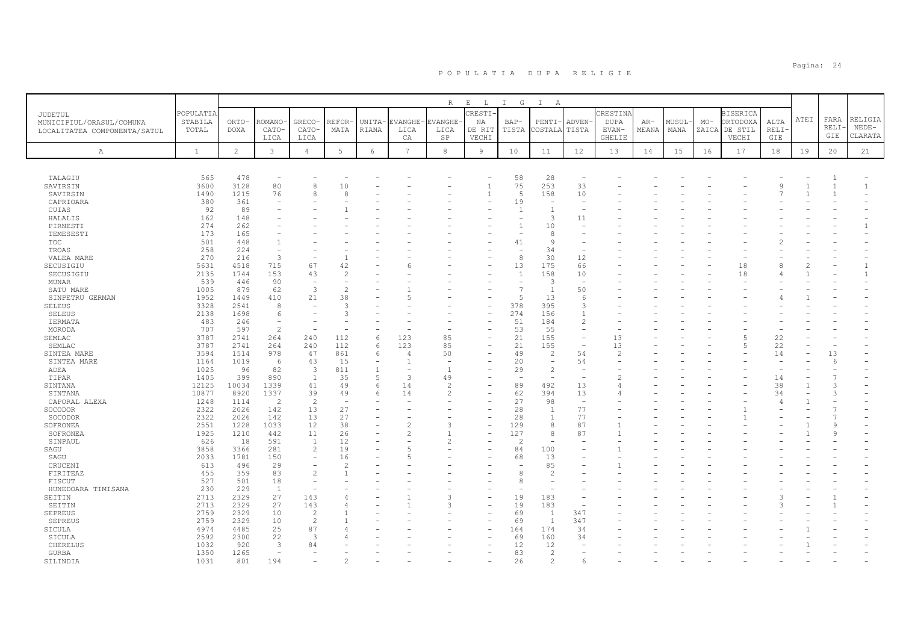|                              |              |                |                |                          |                 |                               |                | R              | $\,$ E<br>$\mathbb{L}$ | G<br>$\mathbb{I}$                          | $\mathbb{I}$<br>A        |                                                      |                |       |       |       |                 |      |      |         |              |
|------------------------------|--------------|----------------|----------------|--------------------------|-----------------|-------------------------------|----------------|----------------|------------------------|--------------------------------------------|--------------------------|------------------------------------------------------|----------------|-------|-------|-------|-----------------|------|------|---------|--------------|
| JUDETUL                      | POPULATIA    |                |                |                          |                 |                               |                |                | <b>CRESTI-</b>         |                                            |                          |                                                      | CRESTINA       |       |       |       | <b>BISERICA</b> |      |      |         |              |
| MUNICIPIUL/ORASUL/COMUNA     | STABILA      | ORTO-          | ROMANO         | <b>GRECO</b>             | REFOR-          | UNITA-                        | <b>EVANGHE</b> | <b>EVANGHE</b> | NA                     | $BAP-$                                     | PENTI                    | ADVEN-                                               | <b>DUPA</b>    | $AR-$ | MUSUL | $MO-$ | ORTODOXA        | ALTA | ATEI | FARA    | RELIGIA      |
| LOCALITATEA COMPONENTA/SATUL | TOTAL        | DOXA           | CATO-          | CATO-                    | MATA            | RIANA                         | LICA           | LICA           | DE RIT                 | TISTA                                      | COSTALA                  | TISTA                                                | EVAN-          | MEANA | MANA  | ZAICA | DE STIL         | RELI |      | RELI-   | $NEDE-$      |
|                              |              |                | LICA           | LICA                     |                 |                               | CA             | SP             | VECHI                  |                                            |                          |                                                      | <b>GHELIE</b>  |       |       |       | VECHI           | GIE  |      | GIE     | CLARATA      |
|                              | $\mathbf{1}$ | $\overline{c}$ | 3              | $\overline{4}$           | $5\phantom{.0}$ | $\epsilon$                    | $\overline{7}$ | 8              | $\overline{9}$         | 10                                         | 11                       | 12                                                   | 13             | 14    | 15    |       | 17              | 18   | 19   |         | 21           |
| Α                            |              |                |                |                          |                 |                               |                |                |                        |                                            |                          |                                                      |                |       |       | 16    |                 |      |      | 20      |              |
|                              |              |                |                |                          |                 |                               |                |                |                        |                                            |                          |                                                      |                |       |       |       |                 |      |      |         |              |
| TALAGIU                      | 565          | 478            |                |                          |                 |                               |                |                |                        | 58                                         | 28                       | $\overline{\phantom{a}}$                             |                |       |       |       |                 |      |      |         |              |
| SAVIRSIN                     | 3600         | 3128           | 80             | 8                        | 10              |                               |                |                |                        | 75                                         | 253                      | 33                                                   |                |       |       |       |                 |      |      |         | $\mathbf{1}$ |
| SAVIRSIN                     | 1490         | 1215           | 76             | 8                        | 8               |                               |                |                |                        | $\overline{5}$                             | 158                      | 10                                                   |                |       |       |       |                 |      |      |         |              |
| CAPRIOARA                    | 380          | 361            |                |                          |                 |                               |                |                |                        | 19                                         |                          |                                                      |                |       |       |       |                 |      |      |         |              |
| CUIAS                        | 92           | 89             |                |                          |                 |                               |                |                |                        | 1                                          |                          | $\overline{\phantom{a}}$                             |                |       |       |       |                 |      |      |         |              |
| HALALIS                      | 162          | 148            |                |                          |                 |                               |                |                |                        |                                            | 3                        | 11                                                   |                |       |       |       |                 |      |      |         |              |
| PIRNESTI                     | 274          | 262            |                |                          |                 |                               |                |                |                        | $\overline{1}$                             | 10                       |                                                      |                |       |       |       |                 |      |      |         |              |
| TEMESESTI                    | 173          | 165            |                |                          |                 |                               |                |                |                        |                                            | 8                        |                                                      |                |       |       |       |                 |      |      |         |              |
| TOC                          | 501          | 448            |                |                          |                 |                               |                |                |                        | 41                                         | $\alpha$                 |                                                      |                |       |       |       |                 |      |      |         |              |
| TROAS                        | 258          | 224            |                |                          |                 |                               |                |                |                        |                                            | 34                       | $\overline{\phantom{a}}$                             |                |       |       |       |                 |      |      |         |              |
| VALEA MARE                   | 270          | 216            | 3              |                          |                 |                               |                |                |                        | 8                                          | 30                       | 12                                                   |                |       |       |       |                 |      |      |         |              |
| SECUSIGIU                    | 5631         | 4518           | 715            | 67                       | 42              |                               |                |                |                        | 13                                         | 175                      | 66                                                   |                |       |       |       | 18              |      |      |         |              |
| SECUSIGIU                    | 2135         | 1744           | 153            | 43                       |                 |                               |                |                |                        | $\overline{1}$                             | 158                      | 10                                                   |                |       |       |       | 18              |      |      |         |              |
| <b>MUNAR</b>                 | 539          | 446            | 90             | $\overline{\phantom{m}}$ |                 |                               |                |                |                        | $\overline{\phantom{m}}$<br>$\overline{7}$ | 3                        | $\overline{\phantom{a}}$                             |                |       |       |       |                 |      |      |         |              |
| SATU MARE                    | 1005         | 879            | 62             | 3                        | $\mathcal{L}$   |                               |                |                |                        |                                            | $\overline{1}$           | 50                                                   |                |       |       |       |                 |      |      |         |              |
| SINPETRU GERMAN              | 1952         | 1449           | 410            | 21                       | 38              |                               |                |                |                        | 5                                          | 13                       | 6                                                    |                |       |       |       |                 |      |      |         |              |
| <b>SELEUS</b>                | 3328         | 2541           | 8              |                          | 3               |                               |                |                |                        | 378                                        | 395                      | 3                                                    |                |       |       |       |                 |      |      |         |              |
| <b>SELEUS</b>                | 2138         | 1698           | 6<br>$\equiv$  |                          | $\mathcal{L}$   |                               |                |                |                        | 274                                        | 156                      | $\mathbf{1}$                                         |                |       |       |       |                 |      |      |         |              |
| IERMATA                      | 483          | 246            | $\overline{c}$ |                          |                 |                               |                |                |                        | 51                                         | 184                      | $\mathbf{2}$                                         |                |       |       |       |                 |      |      |         |              |
| MORODA                       | 707<br>3787  | 597            |                |                          |                 |                               |                |                |                        | 53                                         | 55                       | $\overline{\phantom{a}}$<br>$\overline{\phantom{a}}$ |                |       |       |       | 5               |      |      |         |              |
| SEMLAC                       | 3787         | 2741           | 264            | 240                      | 112             | 6                             | 123<br>123     | 85<br>85       |                        | 21<br>21                                   | 155<br>155               | $\overline{a}$                                       | 13             |       |       |       | 5               | 22   |      |         |              |
| SEMLAC                       |              | 2741           | 264            | 240                      | 112             | 6                             |                |                |                        |                                            | $\overline{2}$           | 54                                                   | 13             |       |       |       |                 | 22   |      |         |              |
| SINTEA MARE                  | 3594         | 1514           | 978<br>6       | 47                       | 861             | 6<br>$\overline{\phantom{a}}$ | 4              | 50             |                        | 49                                         | $\overline{\phantom{a}}$ |                                                      | $\overline{2}$ |       |       |       |                 | 14   |      | 13<br>6 |              |
| SINTEA MARE<br>ADEA          | 1164<br>1025 | 1019<br>96     | 82             | 43<br>3                  | 15<br>811       | $\mathbf{1}$                  |                | $\overline{1}$ |                        | 20<br>29                                   | $\overline{c}$           | 54                                                   |                |       |       |       |                 |      |      |         |              |
| TIPAR                        | 1405         | 399            | 890            | $\mathbf{1}$             | 35              | 5                             | 3              | 49             |                        |                                            |                          | $\overline{\phantom{a}}$                             |                |       |       |       |                 | 14   |      |         |              |
| SINTANA                      | 12125        | 10034          | 1339           | 41                       | 49              | 6                             | 14             | $\overline{c}$ |                        | 89                                         | 492                      | 13                                                   | 4              |       |       |       |                 | 38   |      | 3       |              |
| SINTANA                      | 10877        | 8920           | 1337           | 39                       | 49              | 6                             | 14             | $\mathcal{P}$  |                        | 62                                         | 394                      | 13                                                   |                |       |       |       |                 | 34   |      | 3       |              |
| CAPORAL ALEXA                | 1248         | 1114           | $\overline{2}$ | 2                        |                 |                               |                |                |                        | 27                                         | 98                       | $\overline{\phantom{a}}$                             |                |       |       |       |                 |      |      |         |              |
| SOCODOR                      | 2322         | 2026           | 142            | 13                       | 27              |                               |                |                |                        | 28                                         | -1                       | 77                                                   |                |       |       |       |                 |      |      |         |              |
| SOCODOR                      | 2322         | 2026           | 142            | 13                       | 27              |                               |                |                |                        | 28                                         | $\overline{1}$           | 77                                                   |                |       |       |       |                 |      |      |         |              |
| SOFRONEA                     | 2551         | 1228           | 1033           | 12                       | 38              |                               |                |                |                        | 129                                        | $\mathcal{R}$            | 87                                                   |                |       |       |       |                 |      |      | q       |              |
| SOFRONEA                     | 1925         | 1210           | 442            | 11                       | 26              |                               |                |                |                        | 127                                        | 8                        | 87                                                   |                |       |       |       |                 |      |      | 9       |              |
| SINPAUL                      | 626          | 18             | 591            | 1                        | 12              |                               |                |                |                        | $\mathcal{L}$                              |                          |                                                      |                |       |       |       |                 |      |      |         |              |
| SAGU                         | 3858         | 3366           | 281            | 2                        | 19              |                               |                |                |                        | 84                                         | 100                      |                                                      |                |       |       |       |                 |      |      |         |              |
| SAGU                         | 2033         | 1781           | 150            | $\sim$                   | 16              |                               |                |                |                        | 68                                         | 13                       |                                                      |                |       |       |       |                 |      |      |         |              |
| CRUCENI                      | 613          | 496            | 29             | $\overline{\phantom{a}}$ | 2               |                               |                |                |                        |                                            | 85                       |                                                      |                |       |       |       |                 |      |      |         |              |
| FIRITEAZ                     | 455          | 359            | 83             | $\overline{c}$           |                 |                               |                |                |                        | 8                                          |                          |                                                      |                |       |       |       |                 |      |      |         |              |
| FISCUT                       | 527          | 501            | 18             | $\overline{\phantom{a}}$ |                 |                               |                |                |                        | 8                                          |                          |                                                      |                |       |       |       |                 |      |      |         |              |
| HUNEDOARA TIMISANA           | 230          | 229            | 1              |                          |                 |                               |                |                |                        |                                            |                          |                                                      |                |       |       |       |                 |      |      |         |              |
| SEITIN                       | 2713         | 2329           | 27             | 143                      |                 |                               |                |                |                        | 19                                         | 183                      |                                                      |                |       |       |       |                 |      |      |         |              |
| SEITIN                       | 2713         | 2329           | 27             | 143                      |                 |                               |                |                |                        | 19                                         | 183                      |                                                      |                |       |       |       |                 |      |      |         |              |
| <b>SEPREUS</b>               | 2759         | 2329           | 10             | $\overline{2}$           |                 |                               |                |                |                        | 69                                         | -1                       | 347                                                  |                |       |       |       |                 |      |      |         |              |
| SEPREUS                      | 2759         | 2329           | 10             | $\overline{2}$           |                 |                               |                |                |                        | 69                                         | $\overline{1}$           | 347                                                  |                |       |       |       |                 |      |      |         |              |
| SICULA                       | 4974         | 4485           | 25             | 87                       |                 |                               |                |                |                        | 164                                        | 174                      | 34                                                   |                |       |       |       |                 |      |      |         |              |
| SICULA                       | 2592         | 2300           | 22             | 3                        |                 |                               |                |                |                        | 69                                         | 160                      | 34                                                   |                |       |       |       |                 |      |      |         |              |
| CHERELUS                     | 1032         | 920            | 3              | 84                       |                 |                               |                |                |                        | 12                                         | 12                       |                                                      |                |       |       |       |                 |      |      |         |              |
| GURBA                        | 1350         | 1265           |                |                          |                 |                               |                |                |                        | 83                                         | 2                        |                                                      |                |       |       |       |                 |      |      |         |              |
| SILINDIA                     | 1031         | 801            | 194            |                          |                 |                               |                |                |                        | 26                                         | 2                        |                                                      |                |       |       |       |                 |      |      |         |              |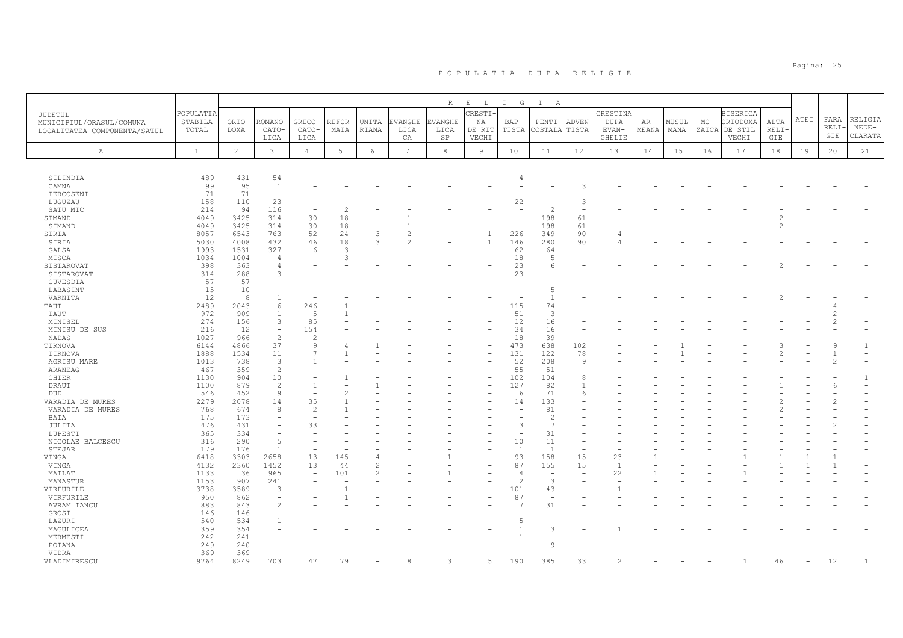|                                                                     |                               |                      |                          |                          |               |                 |                  | $R_{\perp}$            | $E$ $L$                  | $I$ G                    | $\mathbb{I}$<br>$\mathbb{A}$ |                          |                           |                |                |       |                                              |              |      |               |                    |
|---------------------------------------------------------------------|-------------------------------|----------------------|--------------------------|--------------------------|---------------|-----------------|------------------|------------------------|--------------------------|--------------------------|------------------------------|--------------------------|---------------------------|----------------|----------------|-------|----------------------------------------------|--------------|------|---------------|--------------------|
| JUDETUL<br>MUNICIPIUL/ORASUL/COMUNA<br>LOCALITATEA COMPONENTA/SATUL | POPULATIA<br>STABILA<br>TOTAL | ORTO-<br><b>DOXA</b> | <b>COMANO</b><br>CATO-   | GRECO-<br>CATO-          | REFOR<br>MATA | UNITA-<br>RIANA | EVANGHE-<br>LICA | <b>EVANGHE</b><br>LICA | CRESTI-<br>NA<br>DE RIT  | BAP-<br>TISTA            | $PENTI-$<br>COSTALA          | <b>ADVEN</b><br>TISTA    | CRESTINA<br>DUPA<br>EVAN- | $AR-$<br>MEANA | MUSUL-<br>MANA | $MO-$ | <b>BISERICA</b><br>ORTODOXA<br>ZAICA DE STIL | ALTA<br>RELI | ATEI | FARA<br>RELI  | RELIGIA<br>$NEDE-$ |
|                                                                     |                               |                      | LICA                     | LICA                     |               |                 | CA               | SP                     | VECHI                    |                          |                              |                          | GHELIE                    |                |                |       | VECHI                                        | GIE          |      | GIE           | CLARATA            |
| Α                                                                   | <sup>1</sup>                  | 2                    | 3                        | $\overline{4}$           | 5             | 6               | $7\phantom{.0}$  | 8                      | $\overline{9}$           | 10                       | 11                           | 12                       | 13                        | 14             | 15             | 16    | 17                                           | 18           | 19   | 20            | 21                 |
| SILINDIA                                                            | 489                           | 431                  | 54                       |                          |               |                 |                  |                        |                          |                          |                              |                          |                           |                |                |       |                                              |              |      |               |                    |
| CAMNA                                                               | 99                            | 95                   | $\mathbf{1}$             |                          |               |                 |                  |                        |                          |                          |                              | 3                        |                           |                |                |       |                                              |              |      |               |                    |
| IERCOSENI                                                           | 71                            | 71                   | $\sim$                   |                          |               |                 |                  |                        |                          |                          |                              |                          |                           |                |                |       |                                              |              |      |               |                    |
| LUGUZAU                                                             | 158                           | 110                  | 23                       |                          |               |                 |                  |                        |                          | 22                       |                              | ß                        |                           |                |                |       |                                              |              |      |               |                    |
| SATU MIC                                                            | 214                           | 94                   | 116                      |                          |               |                 |                  |                        |                          | ÷                        | $\mathcal{D}$                |                          |                           |                |                |       |                                              |              |      |               |                    |
| SIMAND                                                              | 4049                          | 3425                 | 314                      | 30                       | 18            |                 |                  |                        |                          | ۳                        | 198                          | 61                       |                           |                |                |       |                                              |              |      |               |                    |
| SIMAND                                                              | 4049                          | 3425                 | 314                      | 30                       | 18            |                 |                  |                        |                          |                          | 198                          | 61                       |                           |                |                |       |                                              |              |      |               |                    |
| SIRIA                                                               | 8057                          | 6543                 | 763                      | 52                       | 24            | 3               |                  |                        | $\overline{1}$           | 226                      | 349                          | 90                       |                           |                |                |       |                                              |              |      |               |                    |
| SIRIA                                                               | 5030                          | 4008                 | 432                      | 46                       | 18            | 3               |                  |                        | $\mathbf{1}$             | 146                      | 280                          | 90                       |                           |                |                |       |                                              |              |      |               |                    |
| GALSA                                                               | 1993                          | 1531                 | 327                      | 6                        | 3             |                 |                  |                        |                          | 62                       | 64                           | ÷.                       |                           |                |                |       |                                              |              |      |               |                    |
| MISCA                                                               | 1034                          | 1004                 | $\overline{4}$           |                          | ς             |                 |                  |                        |                          | 18                       | 5                            |                          |                           |                |                |       |                                              |              |      |               |                    |
| SISTAROVAT                                                          | 398                           | 363                  | $\overline{4}$           |                          |               |                 |                  |                        |                          | 23                       | 6                            |                          |                           |                |                |       |                                              |              |      |               |                    |
| SISTAROVAT                                                          | 314                           | 288                  | 3                        |                          |               |                 |                  |                        |                          | 23                       |                              |                          |                           |                |                |       |                                              |              |      |               |                    |
| CUVESDIA                                                            | 57                            | 57                   |                          |                          |               |                 |                  |                        |                          |                          |                              |                          |                           |                |                |       |                                              |              |      |               |                    |
| LABASINT                                                            | 15                            | 10                   |                          |                          |               |                 |                  |                        |                          |                          | 5                            |                          |                           |                |                |       |                                              |              |      |               |                    |
| VARNITA                                                             | 12                            | 8                    | $\overline{1}$           |                          |               |                 |                  |                        |                          |                          | $\mathbf{1}$                 |                          |                           |                |                |       |                                              |              |      |               |                    |
| TAUT                                                                | 2489                          | 2043                 | 6                        | 246                      |               |                 |                  |                        |                          | 115                      | 74                           |                          |                           |                |                |       |                                              |              |      |               |                    |
| TAUT                                                                | 972                           | 909                  | $\overline{1}$           | -5                       |               |                 |                  |                        |                          | 51                       | 3                            |                          |                           |                |                |       |                                              |              |      |               |                    |
| MINISEL                                                             | 274                           | 156                  | 3                        | 85                       |               |                 |                  |                        |                          | 12                       | 16                           |                          |                           |                |                |       |                                              |              |      |               |                    |
| MINISU DE SUS                                                       | 216                           | 12                   | $\sim$                   | 154                      |               |                 |                  |                        |                          | 34                       | 16                           |                          |                           |                |                |       |                                              |              |      |               |                    |
| NADAS                                                               | 1027                          | 966                  | 2                        | 2                        |               |                 |                  |                        |                          | 18                       | 39                           |                          |                           |                |                |       |                                              |              |      |               |                    |
| TIRNOVA                                                             | 6144                          | 4866                 | 37                       | 9                        |               |                 |                  |                        | $\overline{\phantom{0}}$ | 473                      | 638                          | 102                      |                           |                |                |       |                                              |              |      | $\mathcal{Q}$ | $\mathbf{1}$       |
| TIRNOVA                                                             | 1888                          | 1534                 | 11                       |                          |               |                 |                  |                        |                          | 131                      | 122                          | 78                       |                           |                |                |       |                                              |              |      |               |                    |
| AGRISU MARE                                                         | 1013                          | 738                  | $\overline{3}$           |                          |               |                 |                  |                        |                          | 52                       | 208                          | $\mathbf{Q}$             |                           |                |                |       |                                              |              |      |               |                    |
| ARANEAG                                                             | 467                           | 359                  | $\overline{c}$           |                          |               |                 |                  |                        |                          | 55                       | 51                           |                          |                           |                |                |       |                                              |              |      |               |                    |
| CHIER                                                               | 1130                          | 904                  | 10                       |                          |               |                 |                  |                        | ۰                        | 102                      | 104                          | 8                        |                           |                |                |       |                                              |              |      |               | $\mathbf{1}$       |
| DRAUT                                                               | 1100                          | 879                  | $\overline{2}$           |                          |               |                 |                  |                        |                          | 127                      | 82                           | $\mathbf{1}$             |                           |                |                |       |                                              |              |      |               |                    |
| DUD                                                                 | 546                           | 452                  | $\overline{9}$           |                          |               |                 |                  |                        |                          | 6                        | 71                           | $\sqrt{2}$               |                           |                |                |       |                                              |              |      |               |                    |
| VARADIA DE MURES                                                    | 2279                          | 2078                 | 14                       | 35                       |               |                 |                  |                        |                          | 14                       | 133                          |                          |                           |                |                |       |                                              |              |      |               |                    |
| VARADIA DE MURES                                                    | 768                           | 674                  | 8                        | $\overline{c}$           |               |                 |                  |                        |                          | $\overline{\phantom{a}}$ | 81                           |                          |                           |                |                |       |                                              |              |      |               |                    |
| BAIA                                                                | 175                           | 173                  |                          |                          |               |                 |                  |                        |                          |                          | $\overline{c}$               |                          |                           |                |                |       |                                              |              |      |               |                    |
| JULITA                                                              | 476                           | 431                  |                          | 33                       |               |                 |                  |                        |                          | 3                        | $\overline{7}$               |                          |                           |                |                |       |                                              |              |      |               |                    |
| LUPESTI                                                             | 365                           | 334                  |                          |                          |               |                 |                  |                        |                          |                          | 31                           |                          |                           |                |                |       |                                              |              |      |               |                    |
| NICOLAE BALCESCU                                                    | 316                           | 290                  | 5                        |                          |               |                 |                  |                        |                          | 10                       | 11                           |                          |                           |                |                |       |                                              |              |      |               |                    |
| STEJAR                                                              | 179                           | 176                  | $\overline{1}$           |                          |               |                 |                  |                        |                          | $\overline{1}$           | $\overline{1}$               | ÷                        |                           |                |                |       |                                              |              |      |               |                    |
| VINGA                                                               | 6418                          | 3303                 | 2658                     | 13                       | 145           |                 |                  |                        |                          | 93                       | 158                          | 15                       | 23                        |                |                |       |                                              |              |      |               |                    |
| VINGA                                                               | 4132                          | 2360                 | 1452                     | 13                       | 44            |                 |                  |                        |                          | 87                       | 155                          | 15                       | $\overline{1}$            |                |                |       |                                              |              |      |               |                    |
| MAILAT                                                              | 1133                          | 36                   | 965                      | $\overline{\phantom{a}}$ | 101           |                 |                  |                        |                          | $\overline{4}$           | $\overline{\phantom{a}}$     | $\overline{\phantom{a}}$ | 22                        |                |                |       |                                              |              |      |               |                    |
| MANASTUR                                                            | 1153                          | 907                  | 241                      |                          |               |                 |                  |                        |                          | $\overline{c}$           | 3                            |                          |                           |                |                |       |                                              |              |      |               |                    |
| VIRFURILE                                                           | 3738                          | 3589                 | 3                        |                          |               |                 |                  |                        |                          | 101                      | 43                           |                          |                           |                |                |       |                                              |              |      |               |                    |
| VIRFURILE                                                           | 950                           | 862                  | $\overline{\phantom{0}}$ |                          |               |                 |                  |                        |                          | 87                       | $\overline{\phantom{a}}$     |                          |                           |                |                |       |                                              |              |      |               |                    |
| AVRAM IANCU                                                         | 883                           | 843                  | $\overline{c}$           |                          |               |                 |                  |                        |                          | J.                       | 31                           |                          |                           |                |                |       |                                              |              |      |               |                    |
| GROSI                                                               | 146                           | 146                  |                          |                          |               |                 |                  |                        |                          |                          |                              |                          |                           |                |                |       |                                              |              |      |               |                    |
| LAZURI                                                              | 540                           | 534                  |                          |                          |               |                 |                  |                        |                          |                          |                              |                          |                           |                |                |       |                                              |              |      |               |                    |
| MAGULICEA                                                           | 359                           | 354                  |                          |                          |               |                 |                  |                        |                          |                          | 3                            |                          |                           |                |                |       |                                              |              |      |               |                    |
| MERMESTI                                                            | 242                           | 241                  |                          |                          |               |                 |                  |                        |                          |                          |                              |                          |                           |                |                |       |                                              |              |      |               |                    |
| POIANA                                                              | 249                           | 240                  |                          |                          |               |                 |                  |                        |                          |                          | Q                            |                          |                           |                |                |       |                                              |              |      |               |                    |
| VIDRA                                                               | 369                           | 369                  |                          |                          |               |                 |                  |                        |                          |                          |                              |                          |                           |                |                |       |                                              |              |      |               |                    |
| VLADIMIRESCU                                                        | 9764                          | 8249                 | 703                      | 47                       | 79            |                 |                  |                        | 气                        | 190                      | 385                          | 33                       |                           |                |                |       |                                              | 46           |      | 12            |                    |
|                                                                     |                               |                      |                          |                          |               |                 |                  |                        |                          |                          |                              |                          |                           |                |                |       |                                              |              |      |               |                    |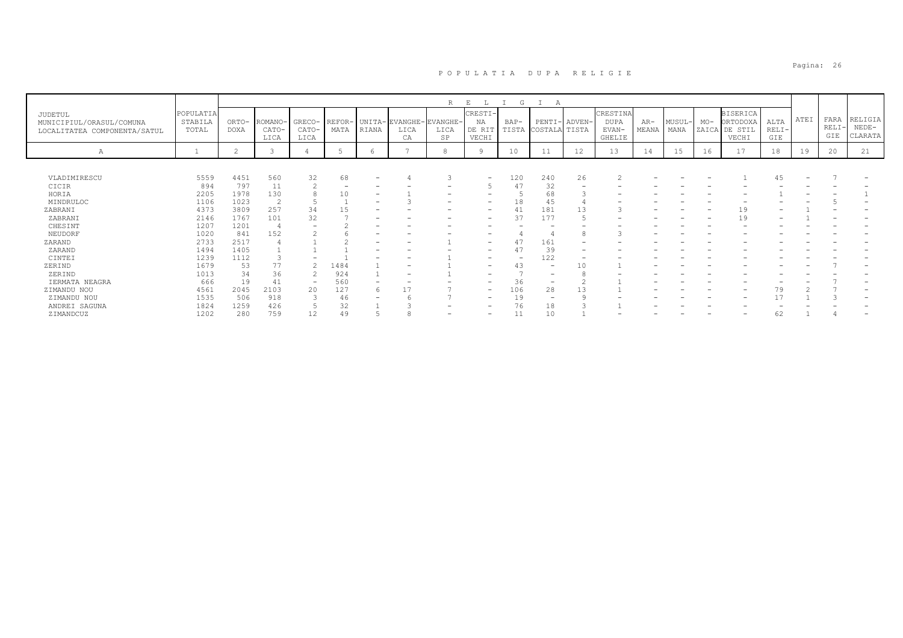|                                                                     |                               |                      |                          |                          |      |                          |                                             | R          | E<br>L                           | G                        | А                             |        |                                            |                |                |       |                                                       |                        |      |                      |                               |
|---------------------------------------------------------------------|-------------------------------|----------------------|--------------------------|--------------------------|------|--------------------------|---------------------------------------------|------------|----------------------------------|--------------------------|-------------------------------|--------|--------------------------------------------|----------------|----------------|-------|-------------------------------------------------------|------------------------|------|----------------------|-------------------------------|
| JUDETUL<br>MUNICIPIUL/ORASUL/COMUNA<br>LOCALITATEA COMPONENTA/SATUL | POPULATIA<br>STABILA<br>TOTAL | ORTO-<br><b>DOXA</b> | ROMANO-<br>CATO-<br>LICA | GRECO-<br>CATO-<br>LICA  | MATA | RIANA                    | REFOR- UNITA-EVANGHE-EVANGHE-<br>LICA<br>CA | LICA<br>SP | CRESTI-<br>NA<br>DE RIT<br>VECHI | BAP-                     | PENTI-<br>TISTA COSTALA TISTA | ADVEN- | CRESTINA<br><b>DUPA</b><br>EVAN-<br>GHELIE | $AR-$<br>MEANA | MUSUL-<br>MANA | $MO-$ | <b>BISERICA</b><br>ORTODOXA<br>ZAICA DE STIL<br>VECHI | ALTA<br>$RELI-$<br>GIE | ATEI | FARA<br>RELI-<br>GIE | RELIGIA<br>$NEDE-$<br>CLARATA |
| Α                                                                   |                               |                      |                          |                          |      |                          |                                             | 8          |                                  | 10                       | 11                            | 12     | 13                                         | 14             | 15             | 16    | 17                                                    | 18                     | 19   | 20                   | 21                            |
|                                                                     |                               |                      |                          |                          |      |                          |                                             |            |                                  |                          |                               |        |                                            |                |                |       |                                                       |                        |      |                      |                               |
| VLADIMIRESCU                                                        | 5559                          | 4451                 | 560                      | 32                       | 68   | $\overline{\phantom{a}}$ |                                             |            | $\overline{\phantom{m}}$         | 120                      | 240                           | 26     |                                            |                |                |       |                                                       |                        | -    |                      |                               |
| CICIR                                                               | 894                           | 797                  | 11                       |                          |      |                          |                                             |            |                                  |                          | 32                            |        |                                            |                |                |       |                                                       |                        |      |                      |                               |
| HORIA                                                               | 2205                          | 1978                 | 130                      |                          | 10   |                          |                                             |            |                                  |                          | 68                            |        |                                            |                |                |       |                                                       |                        |      |                      |                               |
| MINDRULOC                                                           | 1106                          | 1023                 | $\overline{c}$           |                          |      | $\overline{\phantom{0}}$ |                                             |            |                                  | 18                       | 45                            |        |                                            |                |                |       |                                                       |                        |      |                      |                               |
| ZABRANI                                                             | 4373                          | 3809                 | 257                      | 34                       | 15   |                          |                                             |            |                                  |                          | 181                           | 13     |                                            |                |                |       | 19                                                    |                        |      |                      |                               |
| ZABRANI                                                             | 2146                          | 1767                 | 101                      | 32                       |      |                          |                                             |            |                                  | 37                       | 177                           |        |                                            |                |                |       | 19                                                    |                        |      |                      |                               |
| CHESINT                                                             | 1207                          | 1201                 |                          |                          |      |                          |                                             |            |                                  |                          |                               |        |                                            |                |                |       |                                                       |                        |      |                      |                               |
| NEUDORF                                                             | 1020                          | 841                  | 152                      |                          |      |                          |                                             |            |                                  |                          |                               | 8      |                                            |                |                |       |                                                       |                        |      |                      |                               |
| ZARAND                                                              | 2733                          | 2517                 |                          |                          |      |                          |                                             |            | $\overline{\phantom{0}}$         |                          | 161                           |        |                                            |                |                |       |                                                       |                        |      |                      |                               |
| ZARAND                                                              | 1494                          | 1405                 |                          |                          |      |                          |                                             |            |                                  |                          | 39                            |        |                                            |                |                |       |                                                       |                        |      |                      |                               |
| CINTEI                                                              | 1239                          | 1112                 |                          |                          |      |                          |                                             |            |                                  | $\overline{\phantom{a}}$ | 122                           |        |                                            |                |                |       |                                                       |                        |      |                      |                               |
| ZERIND                                                              | 1679                          | 53                   | 77                       |                          | 1484 |                          |                                             |            | -                                | 43                       | $\qquad \qquad -$             | 10     |                                            |                |                |       |                                                       |                        |      |                      |                               |
| ZERIND                                                              | 1013                          | 34                   | 36                       |                          | 924  |                          |                                             |            |                                  |                          |                               |        |                                            |                |                |       |                                                       |                        |      |                      |                               |
| IERMATA NEAGRA                                                      | 666                           | 19                   | 41                       | $\overline{\phantom{0}}$ | 560  |                          |                                             |            | $\overline{\phantom{0}}$         | 36                       | -                             |        |                                            |                |                |       |                                                       |                        |      |                      |                               |
| ZIMANDU NOU                                                         | 4561                          | 2045                 | 2103                     | 20                       | 127  | 6                        |                                             |            | $\overline{\phantom{a}}$         | 106                      | 28                            | 13     |                                            |                |                |       |                                                       | 79                     |      |                      |                               |
| ZIMANDU NOU                                                         | 1535                          | 506                  | 918                      |                          | 46   |                          |                                             |            | $\overline{\phantom{0}}$         | 19                       |                               |        |                                            |                |                |       |                                                       |                        |      |                      |                               |
| ANDREI SAGUNA                                                       | 1824                          | 1259                 | 426                      |                          | 32   |                          |                                             |            | -                                | 76                       | 18                            |        |                                            |                |                |       |                                                       |                        |      |                      |                               |
| ZIMANDCUZ                                                           | 1202                          | 280                  | 759                      | 12                       | 49   |                          |                                             |            | $\overline{\phantom{0}}$         |                          | 10                            |        |                                            |                |                |       |                                                       | 62                     |      |                      |                               |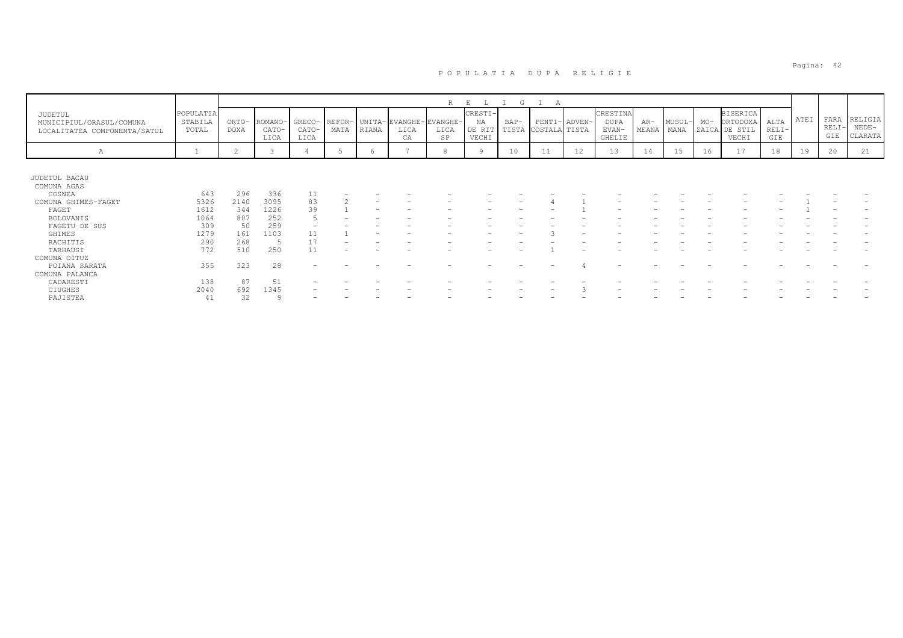|                                                                     |                               |                      |                          |                         |      |       |                                      | R                      | E                                | G    |                     |               |                                     |              |                |       |                                                       |                        |      |                        |                               |
|---------------------------------------------------------------------|-------------------------------|----------------------|--------------------------|-------------------------|------|-------|--------------------------------------|------------------------|----------------------------------|------|---------------------|---------------|-------------------------------------|--------------|----------------|-------|-------------------------------------------------------|------------------------|------|------------------------|-------------------------------|
| JUDETUL<br>MUNICIPIUL/ORASUL/COMUNA<br>LOCALITATEA COMPONENTA/SATUL | POPULATIA<br>STABILA<br>TOTAL | ORTO-<br><b>DOXA</b> | ROMANO-<br>CATO-<br>LICA | GRECO-<br>CATO-<br>LICA | MATA | RIANA | REFOR- UNITA-EVANGHE-I<br>LICA<br>CA | EVANGHE-<br>LICA<br>SP | CRESTI-<br>NA<br>DE RIT<br>VECHI | BAP- | TISTA COSTALA TISTA | PENTI- ADVEN- | CRESTINA<br>DUPA<br>EVAN-<br>GHELIE | AR-<br>MEANA | MUSUL-<br>MANA | $MO-$ | <b>BISERICA</b><br>ORTODOXA<br>ZAICA DE STIL<br>VECHI | ALTA<br>$RELI-$<br>GIE | ATEI | FARA<br>$RELI-$<br>GIE | RELIGIA<br>$NEDE-$<br>CLARATA |
| Α                                                                   |                               | 2                    |                          |                         |      | 6     |                                      | 8                      | Q                                | 10   | 11                  | 12            | 13                                  | 14           | 15             | 16    | 17                                                    | 18                     | 19   | 20                     | 21                            |
|                                                                     |                               |                      |                          |                         |      |       |                                      |                        |                                  |      |                     |               |                                     |              |                |       |                                                       |                        |      |                        |                               |
| JUDETUL BACAU                                                       |                               |                      |                          |                         |      |       |                                      |                        |                                  |      |                     |               |                                     |              |                |       |                                                       |                        |      |                        |                               |
| COMUNA AGAS                                                         |                               |                      |                          |                         |      |       |                                      |                        |                                  |      |                     |               |                                     |              |                |       |                                                       |                        |      |                        |                               |
| COSNEA                                                              | 643                           | 296                  | 336                      | 11                      |      |       |                                      |                        |                                  |      |                     |               |                                     |              |                |       |                                                       |                        |      |                        |                               |
| COMUNA GHIMES-FAGET                                                 | 5326                          | 2140                 | 3095                     | 83                      |      |       |                                      |                        |                                  |      |                     |               |                                     |              |                |       |                                                       |                        |      |                        |                               |
| FAGET                                                               | 1612                          | 344                  | 1226                     | 39                      |      |       |                                      |                        |                                  |      |                     |               |                                     |              |                |       |                                                       |                        |      |                        |                               |
| <b>BOLOVANIS</b>                                                    | 1064                          | 807                  | 252                      |                         |      |       |                                      |                        |                                  |      |                     |               |                                     |              |                |       |                                                       |                        |      |                        |                               |
| FAGETU DE SUS                                                       | 309                           | 50                   | 259                      |                         |      |       |                                      |                        |                                  |      |                     |               |                                     |              |                |       |                                                       |                        |      |                        |                               |
| GHIMES                                                              | 1279                          | 161                  | 1103                     |                         |      |       |                                      |                        |                                  |      |                     |               |                                     |              |                |       |                                                       |                        |      |                        |                               |
| RACHITIS                                                            | 290                           | 268                  |                          |                         |      |       |                                      |                        |                                  |      |                     |               |                                     |              |                |       |                                                       |                        |      |                        |                               |
| TARHAUSI                                                            | 772                           | 510                  | 250                      |                         |      |       |                                      |                        |                                  |      |                     |               |                                     |              |                |       |                                                       |                        |      |                        |                               |
| COMUNA OITUZ                                                        |                               |                      |                          |                         |      |       |                                      |                        |                                  |      |                     |               |                                     |              |                |       |                                                       |                        |      |                        |                               |
| POIANA SARATA                                                       | 355                           | 323                  | 28                       |                         |      |       |                                      |                        |                                  |      |                     |               | -                                   |              |                |       |                                                       |                        |      |                        |                               |
| COMUNA PALANCA                                                      |                               |                      |                          |                         |      |       |                                      |                        |                                  |      |                     |               |                                     |              |                |       |                                                       |                        |      |                        |                               |
| CADARESTI                                                           | 138                           | 87                   | 51                       |                         |      |       |                                      |                        |                                  |      |                     |               |                                     |              |                |       |                                                       |                        |      |                        |                               |
| CIUGHES                                                             | 2040                          | 692                  | 1345                     |                         |      |       |                                      |                        |                                  |      |                     |               |                                     |              |                |       |                                                       |                        |      |                        |                               |
| PAJISTEA                                                            | 41                            | 32                   |                          |                         |      |       |                                      |                        |                                  |      |                     |               |                                     |              |                |       |                                                       |                        |      |                        |                               |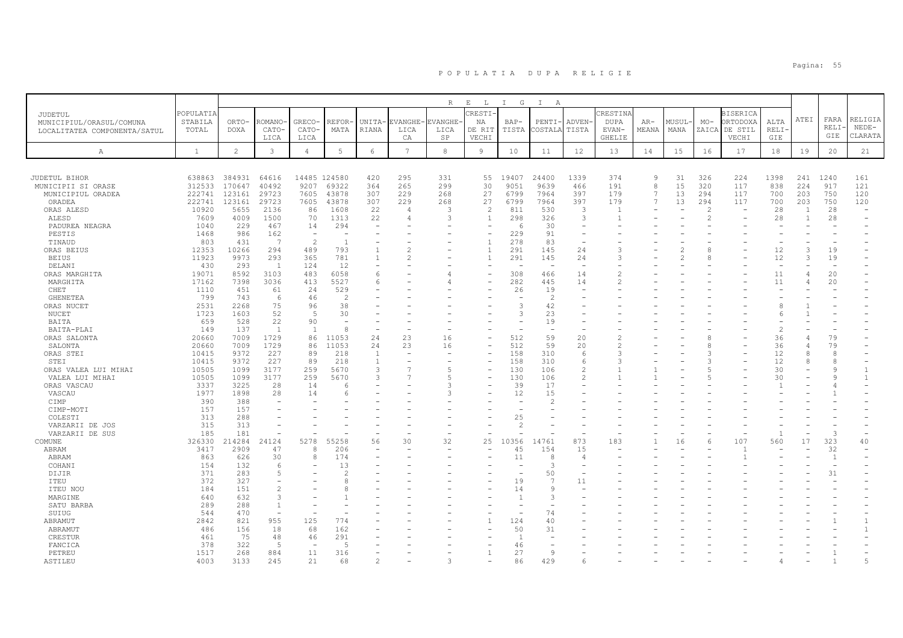|                              |                |                |                     |                                |                |                          |             | $R_{\parallel}$ | $\,$ E<br>$\mathbb{L}$ | $\mathbb{I}$<br>G    | $\mathbb{I}$<br>A        |                                      |                |                |        |                |                          |                          |                |                |                          |
|------------------------------|----------------|----------------|---------------------|--------------------------------|----------------|--------------------------|-------------|-----------------|------------------------|----------------------|--------------------------|--------------------------------------|----------------|----------------|--------|----------------|--------------------------|--------------------------|----------------|----------------|--------------------------|
| JUDETUL                      | POPULATIA      |                |                     |                                |                |                          |             |                 | RESTI-                 |                      |                          |                                      | CRESTINA       |                |        |                | <b>BISERICA</b>          |                          |                |                |                          |
| MUNICIPIUL/ORASUL/COMUNA     | STABILA        | ORTO-          | <b>ROMANO</b>       | GRECO-                         | REFOR·         | UNITA-                   | EVANGHE     | <b>VANGHE</b>   | ΝA                     | $BAP-$               | PENTI-                   | ADVEN-                               | <b>DUPA</b>    | $AR-$          | MUSUL· | $MO-$          | ORTODOXA                 | ALTA                     | ATEI           | FARA           | RELIGIA                  |
| LOCALITATEA COMPONENTA/SATUL | TOTAL          | DOXA           | CATO-               | CATO-                          | MATA           | RIANA                    | LICA        | LICA            | DE RIT                 | TISTA                | COSTALA                  | TISTA                                | EVAN-          | MEANA          | MANA   | ZAICA          | DE STIL                  | RELI-                    |                | RELI-<br>GIE   | $NEDE-$                  |
|                              |                |                | LICA                | LICA                           |                |                          | CA          | SP              | VECHI                  |                      |                          |                                      | <b>GHELIE</b>  |                |        |                | VECHI                    | GIE                      |                |                | CLARATA                  |
| Α                            | $\mathbf{1}$   | $\overline{c}$ | $\mathbf{3}$        | $\overline{4}$                 | 5              | $\epsilon$               | $7^{\circ}$ | $_{\rm 8}$      | 9                      | 10                   | 11                       | 12                                   | 13             | 14             | 15     | 16             | 17                       | 18                       | 19             | 20             | 21                       |
|                              |                |                |                     |                                |                |                          |             |                 |                        |                      |                          |                                      |                |                |        |                |                          |                          |                |                |                          |
| JUDETUL BIHOR                | 638863         | 384931         | 64616               | 14485 124580                   |                | 420                      | 295         | 331             | 55                     | 19407                | 24400                    | 1339                                 | 374            | 9              | 31     | 326            | 224                      | 1398                     | 241            | 1240           | 161                      |
| MUNICIPII SI ORASE           | 312533         | 170647         | 40492               | 9207                           | 69322          | 364                      | 265         | 299             | 30                     | 9051                 | 9639                     | 466                                  | 191            | 8              | 15     | 320            | 117                      | 838                      | 224            | 917            | 121                      |
| MUNICIPIUL ORADEA            | 222741         | 123161         | 29723               | 7605                           | 43878          | 307                      | 229         | 268             | 27                     | 6799                 | 7964                     | 397                                  | 179            | 7              | 13     | 294            | 117                      | 700                      | 203            | 750            | 120                      |
| ORADEA                       | 222741         | 123161         | 29723               | 7605                           | 43878          | 307                      | 229         | 268             | 27                     | 6799                 | 7964                     | 397                                  | 179            | $\overline{7}$ | 13     | 294            | 117                      | 700                      | 203            | 750            | 120                      |
| ORAS ALESD                   | 10920          | 5655           | 2136                | 86                             | 1608           | 22                       |             | 3               | $\mathcal{L}$          | 811                  | 530                      | 3                                    | $\overline{1}$ |                |        | 2              | $\overline{\phantom{m}}$ | 28                       | $\overline{1}$ | 28             | $\overline{\phantom{0}}$ |
| ALESD                        | 7609           | 4009           | 1500                | 70                             | 1313           | 22                       |             | $\mathcal{L}$   | $\overline{1}$         | 298                  | 326                      | 3                                    | $\overline{1}$ |                |        | $\overline{2}$ |                          | 28                       | $\mathbf{1}$   | 28             |                          |
| PADUREA NEAGRA               | 1040<br>1468   | 229<br>986     | 467                 | 14<br>$\overline{\phantom{a}}$ | 294            | $\overline{\phantom{a}}$ |             |                 |                        | $\epsilon$<br>229    | 30<br>91                 | $\equiv$<br>$\overline{\phantom{a}}$ |                |                |        |                |                          |                          |                |                |                          |
| PESTIS<br>TINAUD             | 803            | 431            | 162<br>7            | $\mathfrak{D}$                 | $\overline{1}$ |                          |             |                 | $\overline{1}$         | 278                  | 83                       | $\overline{a}$                       |                |                |        |                |                          | $\overline{\phantom{a}}$ |                |                |                          |
| ORAS BEIUS                   | 12353          | 10266          | 294                 | 489                            | 793            | $\overline{1}$           |             |                 |                        | 291                  | 145                      | 24                                   | 3              |                |        | 8              |                          | 12                       | $\mathcal{L}$  | 19             |                          |
| <b>BEIUS</b>                 | 11923          | 9973           | 293                 | 365                            | 781            | $\mathbf{1}$             |             |                 |                        | 291                  | 145                      | 24                                   | 3              |                |        | 8              |                          | 12                       | 3              | 19             |                          |
| DELANI                       | 430            | 293            | - 1                 | 124                            | 12             |                          |             |                 |                        |                      |                          |                                      |                |                |        |                |                          | $\overline{\phantom{a}}$ |                |                |                          |
| ORAS MARGHITA                | 19071          | 8592           | 3103                | 483                            | 6058           | 6                        |             |                 |                        | 308                  | 466                      | 14                                   |                |                |        |                |                          | 11                       |                | 20             |                          |
| MARGHITA                     | 17162          | 7398           | 3036                | 413                            | 5527           | 6                        |             |                 |                        | 282                  | 445                      | 14                                   | $\overline{2}$ |                |        |                |                          | 11                       |                | 20             |                          |
| CHET                         | 1110           | 451            | 61                  | 24                             | 529            |                          |             |                 |                        | 26                   | 19                       |                                      |                |                |        |                |                          |                          |                |                |                          |
| <b>GHENETEA</b>              | 799            | 743            | 6                   | 46                             | $\overline{2}$ |                          |             |                 |                        |                      | $\overline{2}$           |                                      |                |                |        |                |                          |                          |                |                |                          |
| ORAS NUCET                   | 2531           | 2268           | 75                  | 96                             | 38             |                          |             |                 |                        | 3                    | 42                       |                                      |                |                |        |                |                          | 8                        |                |                |                          |
| NUCET                        | 1723           | 1603           | 52                  | $\overline{5}$                 | 30             |                          |             |                 |                        | $\mathcal{R}$        | 23                       |                                      |                |                |        |                |                          | 6                        |                |                |                          |
| BAITA                        | 659            | 528            | 22                  | 90                             | $\sim$         |                          |             |                 |                        |                      | 19                       |                                      |                |                |        |                |                          |                          |                |                |                          |
| BAITA-PLAI                   | 149            | 137            | $\overline{1}$      | $\mathbf{1}$                   | 8              | $\overline{a}$           |             |                 |                        |                      | $\overline{\phantom{a}}$ |                                      |                |                |        |                |                          | $\overline{c}$           |                |                |                          |
| ORAS SALONTA                 | 20660          | 7009           | 1729                | 86                             | 11053          | 24                       | 23          | 16              |                        | 512                  | 59                       | 20                                   | $\mathfrak{D}$ |                |        |                |                          | 36                       |                | 79             |                          |
| SALONTA                      | 20660          | 7009           | 1729                | 86                             | 11053          | 24                       | 23          | 16              |                        | 512                  | 59                       | 20                                   | $\mathcal{D}$  |                |        | 8              |                          | 36                       |                | 79             |                          |
| ORAS STEI                    | 10415          | 9372           | 227                 | 89                             | 218            | 1                        |             |                 |                        | 158                  | 310<br>310               | 6                                    | 3<br>3         |                |        |                |                          | 12                       |                |                |                          |
| STEI<br>ORAS VALEA LUI MIHAI | 10415<br>10505 | 9372<br>1099   | 227<br>3177         | 89<br>259                      | 218<br>5670    | 1<br>3                   |             |                 |                        | 158<br>130           | 106                      | 6<br>$\overline{c}$                  |                |                |        | 3              |                          | 12<br>30                 |                | 8              | $\mathbf{1}$             |
| VALEA LUI MIHAI              | 10505          | 1099           | 3177                | 259                            | 5670           | 3                        |             |                 |                        | 130                  | 106                      | $\mathbf{2}$                         |                |                |        |                |                          | 30                       |                |                |                          |
| ORAS VASCAU                  | 3337           | 3225           | 28                  | 14                             |                |                          |             |                 |                        | 39                   | 17                       |                                      |                |                |        |                |                          |                          |                |                |                          |
| VASCAU                       | 1977           | 1898           | 28                  | 14                             |                |                          |             |                 |                        | 12                   | 15                       |                                      |                |                |        |                |                          |                          |                |                |                          |
| CIMP                         | 390            | 388            |                     |                                |                |                          |             |                 |                        |                      | $\mathcal{L}$            |                                      |                |                |        |                |                          |                          |                |                |                          |
| CIMP-MOTI                    | 157            | 157            |                     |                                |                |                          |             |                 |                        |                      |                          |                                      |                |                |        |                |                          |                          |                |                |                          |
| COLESTI                      | 313            | 288            |                     |                                |                |                          |             |                 |                        | 25                   |                          |                                      |                |                |        |                |                          |                          |                |                |                          |
| VARZARII DE JOS              | 315            | 313            |                     |                                |                |                          |             |                 |                        | $\mathfrak{D}$       |                          |                                      |                |                |        |                |                          |                          |                |                |                          |
| VARZARII DE SUS              | 185            | 181            |                     |                                |                |                          |             |                 |                        |                      |                          |                                      |                |                |        |                |                          |                          |                | 3              |                          |
| COMUNE                       | 326330         | 214284         | 24124               | 5278                           | 55258          | 56                       | 30          | 32              | 25                     | 10356                | 4761                     | 873                                  | 183            |                | 16     | 6              | 107                      | 560                      | 17             | 323            | 40                       |
| ABRAM                        | 3417           | 2909           | 47                  | 8                              | 206            |                          |             |                 |                        | 45                   | 154                      | 15                                   |                |                |        |                | $\overline{1}$           |                          |                | 32             |                          |
| ABRAM                        | 863            | 626            | 30                  | 8                              | 174            |                          |             |                 |                        | 11                   | $\mathcal{R}$            | $\overline{4}$                       |                |                |        |                |                          |                          |                | $\overline{1}$ |                          |
| COHANI                       | 154            | 132            | 6                   |                                | 13             |                          |             |                 |                        |                      | 3                        |                                      |                |                |        |                |                          |                          |                |                |                          |
| DIJIR                        | 371            | 283            | 5                   |                                |                |                          |             |                 |                        |                      | 50<br>$\overline{7}$     |                                      |                |                |        |                |                          |                          |                | 31             |                          |
| ITEU                         | 372            | 327            |                     |                                |                |                          |             |                 |                        | 19                   | $\alpha$                 | 11                                   |                |                |        |                |                          |                          |                |                |                          |
| ITEU NOU                     | 184            | 151<br>632     | $\mathfrak{D}$<br>3 |                                |                |                          |             |                 |                        | 14<br>$\overline{1}$ | 3                        |                                      |                |                |        |                |                          |                          |                |                |                          |
| MARGINE<br>SATU BARBA        | 640<br>289     | 288            | $\mathbf{1}$        |                                |                |                          |             |                 |                        |                      |                          |                                      |                |                |        |                |                          |                          |                |                |                          |
| SUIUG                        | 544            | 470            | $\equiv$            |                                |                |                          |             |                 |                        |                      | 74                       |                                      |                |                |        |                |                          |                          |                |                |                          |
| ABRAMUT                      | 2842           | 821            | 955                 | 125                            | 774            |                          |             |                 |                        | 124                  | 40                       |                                      |                |                |        |                |                          |                          |                |                |                          |
| ABRAMUT                      | 486            | 156            | 18                  | 68                             | 162            |                          |             |                 |                        | 50                   | 31                       |                                      |                |                |        |                |                          |                          |                |                |                          |
| CRESTUR                      | 461            | 75             | 48                  | 46                             | 291            |                          |             |                 |                        | $\overline{1}$       |                          |                                      |                |                |        |                |                          |                          |                |                |                          |
| FANCICA                      | 378            | 322            | -5                  |                                | $-5$           |                          |             |                 |                        | 46                   |                          |                                      |                |                |        |                |                          |                          |                |                |                          |
| PETREU                       | 1517           | 268            | 884                 | 11                             | 316            |                          |             |                 |                        | 27                   | Q                        |                                      |                |                |        |                |                          |                          |                |                |                          |
| ASTILEU                      | 4003           | 3133           | 245                 | 21                             | 68             |                          |             |                 |                        | 86                   | 429                      |                                      |                |                |        |                |                          |                          |                |                |                          |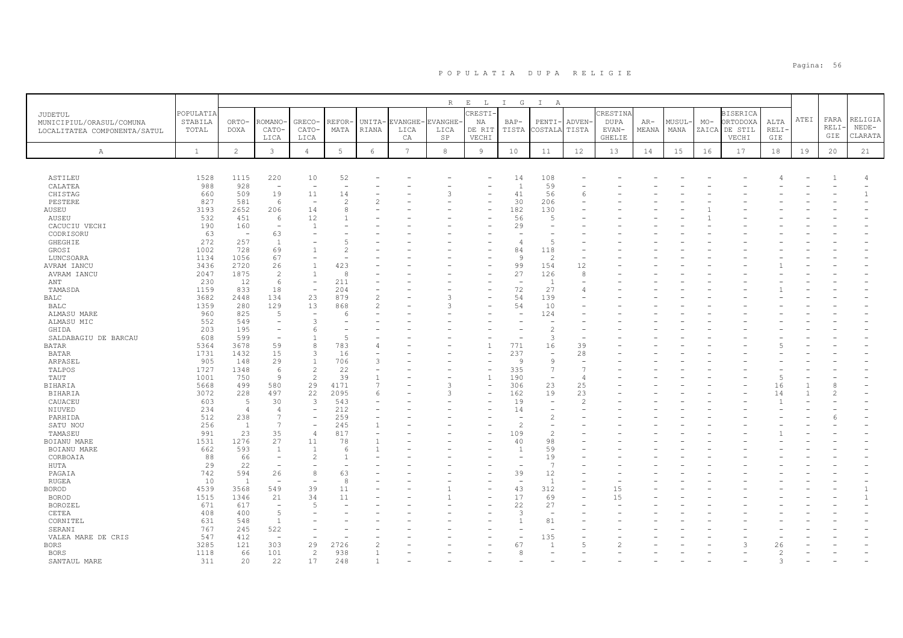| $\mathbb R$<br>$\mathop{}\mathopen{} E$<br>$\mathbb{L}$<br>I G<br>$\mathbb{I}$<br>A<br>RESTI-<br>CRESTIN<br><b>POPULATIA</b><br><b>BISERICA</b><br><b>JUDETUL</b><br>ATEI<br>FARA<br>RELIGIA<br>ORTODOXA<br>STABILA<br>ORTO-<br>ROMANO<br>GRECO-<br>REFOR·<br><b>EVANGHE</b><br>EVANGHE-<br>ADVEN-<br><b>DUPA</b><br>MUSUL<br>$MO-$<br>ALTA<br>UNITA-<br>ΝA<br>$BAP-$<br>$PENTI-$<br>$AR-$<br>MUNICIPIUL/ORASUL/COMUNA<br>RELI-<br>$NEDE-$<br>TOTAL<br>DOXA<br>CATO-<br>CATO-<br>MATA<br>RIANA<br>LICA<br>LICA<br>DE RIT<br>TISTA<br>COSTALA<br>TISTA<br>EVAN-<br>MEANA<br>MANA<br>ZAICA<br>DE STIL<br>RELI-<br>LOCALITATEA COMPONENTA/SATUL<br>GIE<br>CLARATA<br>LICA<br>LICA<br>SP<br>VECHI<br><b>GHELIE</b><br>VECHI<br>GIE<br>CA<br>$\overline{c}$<br>$\mathbf{3}$<br>$5\phantom{.0}$<br>$7\phantom{.0}$<br>$^{\rm 8}$<br>12<br>$1\,8$<br>$\mathbf{1}$<br>6<br>9<br>10<br>11<br>13<br>14<br>15<br>17<br>19<br>20<br>21<br>$\overline{4}$<br>16<br>Α<br>ASTILEU<br>1528<br>1115<br>220<br>10<br>52<br>14<br>108<br>CALATEA<br>988<br>928<br>59<br>$\overline{1}$<br>$\overline{\phantom{a}}$<br>$\overline{\phantom{a}}$<br>$\overline{\phantom{a}}$<br>660<br>509<br>19<br>11<br>3<br>41<br>56<br>CHISTAG<br>14<br>6<br>581<br>30<br>PESTERE<br>827<br>6<br>$\overline{c}$<br>206<br>$\overline{\phantom{a}}$<br>AUSEU<br>3193<br>2652<br>206<br>14<br>182<br>130<br>8<br>532<br>451<br>12<br>56<br>AUSEU<br>6<br>$\sqrt{2}$<br>190<br>29<br>CACUCIU VECHI<br>160<br>$\mathbf{1}$<br>$\overline{\phantom{a}}$<br>63<br>CODRISORU<br>63<br>$\overline{\phantom{a}}$<br>272<br>257<br>$\overline{1}$<br><b>GHEGHIE</b><br>$\overline{2}$<br>4<br>1002<br>728<br>69<br>84<br>118<br>GROSI<br>2<br>1056<br>67<br>$\overline{c}$<br>1134<br>9<br>LUNCSOARA<br>$\overline{\phantom{0}}$<br>3436<br>2720<br>26<br>$\mathbf{1}$<br>423<br>99<br>154<br>12<br>AVRAM IANCU<br>2047<br>1875<br>$\overline{c}$<br>8<br>27<br>126<br>8<br>AVRAM IANCU<br>$\mathbf{1}$<br>12<br>211<br>230<br>6<br>ANT<br>- 1<br>$\overline{\phantom{a}}$<br>٠<br>833<br>18<br>204<br>72<br>27<br>1159<br>TAMASDA<br>$\overline{\phantom{a}}$<br>4<br>54<br>3682<br>134<br>23<br>879<br>$\mathfrak{D}$<br>3<br>139<br><b>BALC</b><br>2448<br>129<br>13<br>54<br>1359<br>280<br>868<br>10<br>BALC<br>2<br>Э<br>825<br>960<br>124<br>ALMASU MARE<br>-5<br>$\overline{\phantom{a}}$<br>-6<br>$\overline{\phantom{a}}$<br>552<br>549<br>3<br>ALMASU MIC<br>203<br>195<br>$\overline{c}$<br>GHIDA<br>6<br>608<br>599<br>$\overline{2}$<br>3<br>SALDABAGIU DE BARCAU<br>3678<br>59<br>5364<br>8<br>783<br>771<br>16<br>39<br><b>BATAR</b><br>15<br>237<br>1731<br>1432<br>3<br>16<br>28<br><b>BATAR</b><br>$\overline{\phantom{a}}$<br>29<br>ARPASEL<br>905<br>148<br>$\mathbf{1}$<br>706<br>9<br>9<br>3<br>$\overline{\phantom{a}}$<br>$\mathbf{2}$<br>335<br>TALPOS<br>1727<br>1348<br>22<br>-7<br>-6<br>$\mathbf{2}$<br>39<br>190<br>TAUT<br>1001<br>750<br>-9<br>5<br>$\overline{\phantom{a}}$<br>$\overline{4}$<br>1<br>23<br>5668<br>499<br>580<br>29<br>4171<br>3<br>306<br>25<br>BIHARIA<br>7<br>16<br>23<br>3072<br>228<br>497<br>22<br>2095<br>162<br>19<br><b>BIHARIA</b><br>6<br>3<br>14<br>5<br>30<br>3<br>19<br>CAUACEU<br>603<br>543<br>$\overline{c}$<br>$\overline{\phantom{0}}$<br>212<br>NIUVED<br>234<br>$\overline{4}$<br>14<br>$\overline{4}$<br>$\overline{\phantom{a}}$<br>512<br>238<br>259<br>PARHIDA<br>7<br>$\overline{\phantom{a}}$<br>٠<br>256<br>245<br>$\overline{c}$<br>SATU NOU<br>$\mathbf{1}$<br>$\overline{7}$<br>$\overline{\phantom{a}}$<br>23<br>35<br>817<br>TAMASEU<br>991<br>$\overline{4}$<br>109<br>$\overline{2}$<br>27<br>1531<br>1276<br>11<br>78<br>40<br>98<br><b>BOIANU MARE</b><br>662<br>593<br>59<br>$\overline{1}$<br>$\overline{1}$<br>6<br>$\overline{1}$<br>BOIANU MARE<br>88<br>66<br>$\overline{2}$<br>19<br>CORBOAIA<br>29<br>22<br>-7<br>HUTA<br>$\overline{\phantom{0}}$<br>۰<br>$\overline{\phantom{0}}$<br>742<br>594<br>26<br>8<br>63<br>39<br>12<br>PAGAIA<br>8<br>$\overline{1}$<br><b>RUGEA</b><br>10<br>$\overline{1}$<br>$\overline{\phantom{a}}$<br>$\overline{\phantom{a}}$<br>$\overline{\phantom{a}}$<br>39<br>11<br>43<br>312<br>4539<br>3568<br>549<br>15<br><b>BOROD</b><br>21<br>17<br>1515<br>1346<br>34<br>11<br>69<br>15<br><b>BOROD</b><br>617<br>22<br>27<br>671<br>BOROZEL<br>5<br>$\overline{\phantom{a}}$<br>5<br>CETEA<br>408<br>400<br>3<br>$\overline{\phantom{a}}$<br>631<br>548<br>81<br>CORNITEL<br>$\overline{1}$<br>522<br>767<br>245<br>SERANI<br>$\overline{\phantom{a}}$<br>$\overline{\phantom{a}}$<br>547<br>412<br>135<br>VALEA MARE DE CRIS<br>3285<br>121<br>303<br>29<br>67<br><b>BORS</b><br>2726<br>$\overline{5}$<br>$\mathcal{L}$<br>26<br>938<br>1118<br>66<br>101<br>2<br>$\mathcal{D}$<br><b>BORS</b><br>1<br>8<br>311<br>22<br>248<br>SANTAUL MARE<br>20<br>17 |  |  |  |  |  |  |  |  |  |  |  |
|------------------------------------------------------------------------------------------------------------------------------------------------------------------------------------------------------------------------------------------------------------------------------------------------------------------------------------------------------------------------------------------------------------------------------------------------------------------------------------------------------------------------------------------------------------------------------------------------------------------------------------------------------------------------------------------------------------------------------------------------------------------------------------------------------------------------------------------------------------------------------------------------------------------------------------------------------------------------------------------------------------------------------------------------------------------------------------------------------------------------------------------------------------------------------------------------------------------------------------------------------------------------------------------------------------------------------------------------------------------------------------------------------------------------------------------------------------------------------------------------------------------------------------------------------------------------------------------------------------------------------------------------------------------------------------------------------------------------------------------------------------------------------------------------------------------------------------------------------------------------------------------------------------------------------------------------------------------------------------------------------------------------------------------------------------------------------------------------------------------------------------------------------------------------------------------------------------------------------------------------------------------------------------------------------------------------------------------------------------------------------------------------------------------------------------------------------------------------------------------------------------------------------------------------------------------------------------------------------------------------------------------------------------------------------------------------------------------------------------------------------------------------------------------------------------------------------------------------------------------------------------------------------------------------------------------------------------------------------------------------------------------------------------------------------------------------------------------------------------------------------------------------------------------------------------------------------------------------------------------------------------------------------------------------------------------------------------------------------------------------------------------------------------------------------------------------------------------------------------------------------------------------------------------------------------------------------------------------------------------------------------------------------------------------------------------------------------------------------------------------------------------------------------------------------------------------------------------------------------------------------------------------------------------------------------------------------------------------------------------------------------------------------------------------------------------------------------------------------------------------------------------------------------------------------------------------------------------------------------------------------------------------------------------------------------------------------------------------------------------------------------------------------------------------------------------------------------------------------------------------------------------------------------------------------------------------------------------------------------------------------------------------------------------------------------------------------------------------------------------------------------------------------------------------------------------------------------------------|--|--|--|--|--|--|--|--|--|--|--|
|                                                                                                                                                                                                                                                                                                                                                                                                                                                                                                                                                                                                                                                                                                                                                                                                                                                                                                                                                                                                                                                                                                                                                                                                                                                                                                                                                                                                                                                                                                                                                                                                                                                                                                                                                                                                                                                                                                                                                                                                                                                                                                                                                                                                                                                                                                                                                                                                                                                                                                                                                                                                                                                                                                                                                                                                                                                                                                                                                                                                                                                                                                                                                                                                                                                                                                                                                                                                                                                                                                                                                                                                                                                                                                                                                                                                                                                                                                                                                                                                                                                                                                                                                                                                                                                                                                                                                                                                                                                                                                                                                                                                                                                                                                                                                                                                                                                |  |  |  |  |  |  |  |  |  |  |  |
|                                                                                                                                                                                                                                                                                                                                                                                                                                                                                                                                                                                                                                                                                                                                                                                                                                                                                                                                                                                                                                                                                                                                                                                                                                                                                                                                                                                                                                                                                                                                                                                                                                                                                                                                                                                                                                                                                                                                                                                                                                                                                                                                                                                                                                                                                                                                                                                                                                                                                                                                                                                                                                                                                                                                                                                                                                                                                                                                                                                                                                                                                                                                                                                                                                                                                                                                                                                                                                                                                                                                                                                                                                                                                                                                                                                                                                                                                                                                                                                                                                                                                                                                                                                                                                                                                                                                                                                                                                                                                                                                                                                                                                                                                                                                                                                                                                                |  |  |  |  |  |  |  |  |  |  |  |
|                                                                                                                                                                                                                                                                                                                                                                                                                                                                                                                                                                                                                                                                                                                                                                                                                                                                                                                                                                                                                                                                                                                                                                                                                                                                                                                                                                                                                                                                                                                                                                                                                                                                                                                                                                                                                                                                                                                                                                                                                                                                                                                                                                                                                                                                                                                                                                                                                                                                                                                                                                                                                                                                                                                                                                                                                                                                                                                                                                                                                                                                                                                                                                                                                                                                                                                                                                                                                                                                                                                                                                                                                                                                                                                                                                                                                                                                                                                                                                                                                                                                                                                                                                                                                                                                                                                                                                                                                                                                                                                                                                                                                                                                                                                                                                                                                                                |  |  |  |  |  |  |  |  |  |  |  |
|                                                                                                                                                                                                                                                                                                                                                                                                                                                                                                                                                                                                                                                                                                                                                                                                                                                                                                                                                                                                                                                                                                                                                                                                                                                                                                                                                                                                                                                                                                                                                                                                                                                                                                                                                                                                                                                                                                                                                                                                                                                                                                                                                                                                                                                                                                                                                                                                                                                                                                                                                                                                                                                                                                                                                                                                                                                                                                                                                                                                                                                                                                                                                                                                                                                                                                                                                                                                                                                                                                                                                                                                                                                                                                                                                                                                                                                                                                                                                                                                                                                                                                                                                                                                                                                                                                                                                                                                                                                                                                                                                                                                                                                                                                                                                                                                                                                |  |  |  |  |  |  |  |  |  |  |  |
|                                                                                                                                                                                                                                                                                                                                                                                                                                                                                                                                                                                                                                                                                                                                                                                                                                                                                                                                                                                                                                                                                                                                                                                                                                                                                                                                                                                                                                                                                                                                                                                                                                                                                                                                                                                                                                                                                                                                                                                                                                                                                                                                                                                                                                                                                                                                                                                                                                                                                                                                                                                                                                                                                                                                                                                                                                                                                                                                                                                                                                                                                                                                                                                                                                                                                                                                                                                                                                                                                                                                                                                                                                                                                                                                                                                                                                                                                                                                                                                                                                                                                                                                                                                                                                                                                                                                                                                                                                                                                                                                                                                                                                                                                                                                                                                                                                                |  |  |  |  |  |  |  |  |  |  |  |
|                                                                                                                                                                                                                                                                                                                                                                                                                                                                                                                                                                                                                                                                                                                                                                                                                                                                                                                                                                                                                                                                                                                                                                                                                                                                                                                                                                                                                                                                                                                                                                                                                                                                                                                                                                                                                                                                                                                                                                                                                                                                                                                                                                                                                                                                                                                                                                                                                                                                                                                                                                                                                                                                                                                                                                                                                                                                                                                                                                                                                                                                                                                                                                                                                                                                                                                                                                                                                                                                                                                                                                                                                                                                                                                                                                                                                                                                                                                                                                                                                                                                                                                                                                                                                                                                                                                                                                                                                                                                                                                                                                                                                                                                                                                                                                                                                                                |  |  |  |  |  |  |  |  |  |  |  |
|                                                                                                                                                                                                                                                                                                                                                                                                                                                                                                                                                                                                                                                                                                                                                                                                                                                                                                                                                                                                                                                                                                                                                                                                                                                                                                                                                                                                                                                                                                                                                                                                                                                                                                                                                                                                                                                                                                                                                                                                                                                                                                                                                                                                                                                                                                                                                                                                                                                                                                                                                                                                                                                                                                                                                                                                                                                                                                                                                                                                                                                                                                                                                                                                                                                                                                                                                                                                                                                                                                                                                                                                                                                                                                                                                                                                                                                                                                                                                                                                                                                                                                                                                                                                                                                                                                                                                                                                                                                                                                                                                                                                                                                                                                                                                                                                                                                |  |  |  |  |  |  |  |  |  |  |  |
|                                                                                                                                                                                                                                                                                                                                                                                                                                                                                                                                                                                                                                                                                                                                                                                                                                                                                                                                                                                                                                                                                                                                                                                                                                                                                                                                                                                                                                                                                                                                                                                                                                                                                                                                                                                                                                                                                                                                                                                                                                                                                                                                                                                                                                                                                                                                                                                                                                                                                                                                                                                                                                                                                                                                                                                                                                                                                                                                                                                                                                                                                                                                                                                                                                                                                                                                                                                                                                                                                                                                                                                                                                                                                                                                                                                                                                                                                                                                                                                                                                                                                                                                                                                                                                                                                                                                                                                                                                                                                                                                                                                                                                                                                                                                                                                                                                                |  |  |  |  |  |  |  |  |  |  |  |
|                                                                                                                                                                                                                                                                                                                                                                                                                                                                                                                                                                                                                                                                                                                                                                                                                                                                                                                                                                                                                                                                                                                                                                                                                                                                                                                                                                                                                                                                                                                                                                                                                                                                                                                                                                                                                                                                                                                                                                                                                                                                                                                                                                                                                                                                                                                                                                                                                                                                                                                                                                                                                                                                                                                                                                                                                                                                                                                                                                                                                                                                                                                                                                                                                                                                                                                                                                                                                                                                                                                                                                                                                                                                                                                                                                                                                                                                                                                                                                                                                                                                                                                                                                                                                                                                                                                                                                                                                                                                                                                                                                                                                                                                                                                                                                                                                                                |  |  |  |  |  |  |  |  |  |  |  |
|                                                                                                                                                                                                                                                                                                                                                                                                                                                                                                                                                                                                                                                                                                                                                                                                                                                                                                                                                                                                                                                                                                                                                                                                                                                                                                                                                                                                                                                                                                                                                                                                                                                                                                                                                                                                                                                                                                                                                                                                                                                                                                                                                                                                                                                                                                                                                                                                                                                                                                                                                                                                                                                                                                                                                                                                                                                                                                                                                                                                                                                                                                                                                                                                                                                                                                                                                                                                                                                                                                                                                                                                                                                                                                                                                                                                                                                                                                                                                                                                                                                                                                                                                                                                                                                                                                                                                                                                                                                                                                                                                                                                                                                                                                                                                                                                                                                |  |  |  |  |  |  |  |  |  |  |  |
|                                                                                                                                                                                                                                                                                                                                                                                                                                                                                                                                                                                                                                                                                                                                                                                                                                                                                                                                                                                                                                                                                                                                                                                                                                                                                                                                                                                                                                                                                                                                                                                                                                                                                                                                                                                                                                                                                                                                                                                                                                                                                                                                                                                                                                                                                                                                                                                                                                                                                                                                                                                                                                                                                                                                                                                                                                                                                                                                                                                                                                                                                                                                                                                                                                                                                                                                                                                                                                                                                                                                                                                                                                                                                                                                                                                                                                                                                                                                                                                                                                                                                                                                                                                                                                                                                                                                                                                                                                                                                                                                                                                                                                                                                                                                                                                                                                                |  |  |  |  |  |  |  |  |  |  |  |
|                                                                                                                                                                                                                                                                                                                                                                                                                                                                                                                                                                                                                                                                                                                                                                                                                                                                                                                                                                                                                                                                                                                                                                                                                                                                                                                                                                                                                                                                                                                                                                                                                                                                                                                                                                                                                                                                                                                                                                                                                                                                                                                                                                                                                                                                                                                                                                                                                                                                                                                                                                                                                                                                                                                                                                                                                                                                                                                                                                                                                                                                                                                                                                                                                                                                                                                                                                                                                                                                                                                                                                                                                                                                                                                                                                                                                                                                                                                                                                                                                                                                                                                                                                                                                                                                                                                                                                                                                                                                                                                                                                                                                                                                                                                                                                                                                                                |  |  |  |  |  |  |  |  |  |  |  |
|                                                                                                                                                                                                                                                                                                                                                                                                                                                                                                                                                                                                                                                                                                                                                                                                                                                                                                                                                                                                                                                                                                                                                                                                                                                                                                                                                                                                                                                                                                                                                                                                                                                                                                                                                                                                                                                                                                                                                                                                                                                                                                                                                                                                                                                                                                                                                                                                                                                                                                                                                                                                                                                                                                                                                                                                                                                                                                                                                                                                                                                                                                                                                                                                                                                                                                                                                                                                                                                                                                                                                                                                                                                                                                                                                                                                                                                                                                                                                                                                                                                                                                                                                                                                                                                                                                                                                                                                                                                                                                                                                                                                                                                                                                                                                                                                                                                |  |  |  |  |  |  |  |  |  |  |  |
|                                                                                                                                                                                                                                                                                                                                                                                                                                                                                                                                                                                                                                                                                                                                                                                                                                                                                                                                                                                                                                                                                                                                                                                                                                                                                                                                                                                                                                                                                                                                                                                                                                                                                                                                                                                                                                                                                                                                                                                                                                                                                                                                                                                                                                                                                                                                                                                                                                                                                                                                                                                                                                                                                                                                                                                                                                                                                                                                                                                                                                                                                                                                                                                                                                                                                                                                                                                                                                                                                                                                                                                                                                                                                                                                                                                                                                                                                                                                                                                                                                                                                                                                                                                                                                                                                                                                                                                                                                                                                                                                                                                                                                                                                                                                                                                                                                                |  |  |  |  |  |  |  |  |  |  |  |
|                                                                                                                                                                                                                                                                                                                                                                                                                                                                                                                                                                                                                                                                                                                                                                                                                                                                                                                                                                                                                                                                                                                                                                                                                                                                                                                                                                                                                                                                                                                                                                                                                                                                                                                                                                                                                                                                                                                                                                                                                                                                                                                                                                                                                                                                                                                                                                                                                                                                                                                                                                                                                                                                                                                                                                                                                                                                                                                                                                                                                                                                                                                                                                                                                                                                                                                                                                                                                                                                                                                                                                                                                                                                                                                                                                                                                                                                                                                                                                                                                                                                                                                                                                                                                                                                                                                                                                                                                                                                                                                                                                                                                                                                                                                                                                                                                                                |  |  |  |  |  |  |  |  |  |  |  |
|                                                                                                                                                                                                                                                                                                                                                                                                                                                                                                                                                                                                                                                                                                                                                                                                                                                                                                                                                                                                                                                                                                                                                                                                                                                                                                                                                                                                                                                                                                                                                                                                                                                                                                                                                                                                                                                                                                                                                                                                                                                                                                                                                                                                                                                                                                                                                                                                                                                                                                                                                                                                                                                                                                                                                                                                                                                                                                                                                                                                                                                                                                                                                                                                                                                                                                                                                                                                                                                                                                                                                                                                                                                                                                                                                                                                                                                                                                                                                                                                                                                                                                                                                                                                                                                                                                                                                                                                                                                                                                                                                                                                                                                                                                                                                                                                                                                |  |  |  |  |  |  |  |  |  |  |  |
|                                                                                                                                                                                                                                                                                                                                                                                                                                                                                                                                                                                                                                                                                                                                                                                                                                                                                                                                                                                                                                                                                                                                                                                                                                                                                                                                                                                                                                                                                                                                                                                                                                                                                                                                                                                                                                                                                                                                                                                                                                                                                                                                                                                                                                                                                                                                                                                                                                                                                                                                                                                                                                                                                                                                                                                                                                                                                                                                                                                                                                                                                                                                                                                                                                                                                                                                                                                                                                                                                                                                                                                                                                                                                                                                                                                                                                                                                                                                                                                                                                                                                                                                                                                                                                                                                                                                                                                                                                                                                                                                                                                                                                                                                                                                                                                                                                                |  |  |  |  |  |  |  |  |  |  |  |
|                                                                                                                                                                                                                                                                                                                                                                                                                                                                                                                                                                                                                                                                                                                                                                                                                                                                                                                                                                                                                                                                                                                                                                                                                                                                                                                                                                                                                                                                                                                                                                                                                                                                                                                                                                                                                                                                                                                                                                                                                                                                                                                                                                                                                                                                                                                                                                                                                                                                                                                                                                                                                                                                                                                                                                                                                                                                                                                                                                                                                                                                                                                                                                                                                                                                                                                                                                                                                                                                                                                                                                                                                                                                                                                                                                                                                                                                                                                                                                                                                                                                                                                                                                                                                                                                                                                                                                                                                                                                                                                                                                                                                                                                                                                                                                                                                                                |  |  |  |  |  |  |  |  |  |  |  |
|                                                                                                                                                                                                                                                                                                                                                                                                                                                                                                                                                                                                                                                                                                                                                                                                                                                                                                                                                                                                                                                                                                                                                                                                                                                                                                                                                                                                                                                                                                                                                                                                                                                                                                                                                                                                                                                                                                                                                                                                                                                                                                                                                                                                                                                                                                                                                                                                                                                                                                                                                                                                                                                                                                                                                                                                                                                                                                                                                                                                                                                                                                                                                                                                                                                                                                                                                                                                                                                                                                                                                                                                                                                                                                                                                                                                                                                                                                                                                                                                                                                                                                                                                                                                                                                                                                                                                                                                                                                                                                                                                                                                                                                                                                                                                                                                                                                |  |  |  |  |  |  |  |  |  |  |  |
|                                                                                                                                                                                                                                                                                                                                                                                                                                                                                                                                                                                                                                                                                                                                                                                                                                                                                                                                                                                                                                                                                                                                                                                                                                                                                                                                                                                                                                                                                                                                                                                                                                                                                                                                                                                                                                                                                                                                                                                                                                                                                                                                                                                                                                                                                                                                                                                                                                                                                                                                                                                                                                                                                                                                                                                                                                                                                                                                                                                                                                                                                                                                                                                                                                                                                                                                                                                                                                                                                                                                                                                                                                                                                                                                                                                                                                                                                                                                                                                                                                                                                                                                                                                                                                                                                                                                                                                                                                                                                                                                                                                                                                                                                                                                                                                                                                                |  |  |  |  |  |  |  |  |  |  |  |
|                                                                                                                                                                                                                                                                                                                                                                                                                                                                                                                                                                                                                                                                                                                                                                                                                                                                                                                                                                                                                                                                                                                                                                                                                                                                                                                                                                                                                                                                                                                                                                                                                                                                                                                                                                                                                                                                                                                                                                                                                                                                                                                                                                                                                                                                                                                                                                                                                                                                                                                                                                                                                                                                                                                                                                                                                                                                                                                                                                                                                                                                                                                                                                                                                                                                                                                                                                                                                                                                                                                                                                                                                                                                                                                                                                                                                                                                                                                                                                                                                                                                                                                                                                                                                                                                                                                                                                                                                                                                                                                                                                                                                                                                                                                                                                                                                                                |  |  |  |  |  |  |  |  |  |  |  |
|                                                                                                                                                                                                                                                                                                                                                                                                                                                                                                                                                                                                                                                                                                                                                                                                                                                                                                                                                                                                                                                                                                                                                                                                                                                                                                                                                                                                                                                                                                                                                                                                                                                                                                                                                                                                                                                                                                                                                                                                                                                                                                                                                                                                                                                                                                                                                                                                                                                                                                                                                                                                                                                                                                                                                                                                                                                                                                                                                                                                                                                                                                                                                                                                                                                                                                                                                                                                                                                                                                                                                                                                                                                                                                                                                                                                                                                                                                                                                                                                                                                                                                                                                                                                                                                                                                                                                                                                                                                                                                                                                                                                                                                                                                                                                                                                                                                |  |  |  |  |  |  |  |  |  |  |  |
|                                                                                                                                                                                                                                                                                                                                                                                                                                                                                                                                                                                                                                                                                                                                                                                                                                                                                                                                                                                                                                                                                                                                                                                                                                                                                                                                                                                                                                                                                                                                                                                                                                                                                                                                                                                                                                                                                                                                                                                                                                                                                                                                                                                                                                                                                                                                                                                                                                                                                                                                                                                                                                                                                                                                                                                                                                                                                                                                                                                                                                                                                                                                                                                                                                                                                                                                                                                                                                                                                                                                                                                                                                                                                                                                                                                                                                                                                                                                                                                                                                                                                                                                                                                                                                                                                                                                                                                                                                                                                                                                                                                                                                                                                                                                                                                                                                                |  |  |  |  |  |  |  |  |  |  |  |
|                                                                                                                                                                                                                                                                                                                                                                                                                                                                                                                                                                                                                                                                                                                                                                                                                                                                                                                                                                                                                                                                                                                                                                                                                                                                                                                                                                                                                                                                                                                                                                                                                                                                                                                                                                                                                                                                                                                                                                                                                                                                                                                                                                                                                                                                                                                                                                                                                                                                                                                                                                                                                                                                                                                                                                                                                                                                                                                                                                                                                                                                                                                                                                                                                                                                                                                                                                                                                                                                                                                                                                                                                                                                                                                                                                                                                                                                                                                                                                                                                                                                                                                                                                                                                                                                                                                                                                                                                                                                                                                                                                                                                                                                                                                                                                                                                                                |  |  |  |  |  |  |  |  |  |  |  |
|                                                                                                                                                                                                                                                                                                                                                                                                                                                                                                                                                                                                                                                                                                                                                                                                                                                                                                                                                                                                                                                                                                                                                                                                                                                                                                                                                                                                                                                                                                                                                                                                                                                                                                                                                                                                                                                                                                                                                                                                                                                                                                                                                                                                                                                                                                                                                                                                                                                                                                                                                                                                                                                                                                                                                                                                                                                                                                                                                                                                                                                                                                                                                                                                                                                                                                                                                                                                                                                                                                                                                                                                                                                                                                                                                                                                                                                                                                                                                                                                                                                                                                                                                                                                                                                                                                                                                                                                                                                                                                                                                                                                                                                                                                                                                                                                                                                |  |  |  |  |  |  |  |  |  |  |  |
|                                                                                                                                                                                                                                                                                                                                                                                                                                                                                                                                                                                                                                                                                                                                                                                                                                                                                                                                                                                                                                                                                                                                                                                                                                                                                                                                                                                                                                                                                                                                                                                                                                                                                                                                                                                                                                                                                                                                                                                                                                                                                                                                                                                                                                                                                                                                                                                                                                                                                                                                                                                                                                                                                                                                                                                                                                                                                                                                                                                                                                                                                                                                                                                                                                                                                                                                                                                                                                                                                                                                                                                                                                                                                                                                                                                                                                                                                                                                                                                                                                                                                                                                                                                                                                                                                                                                                                                                                                                                                                                                                                                                                                                                                                                                                                                                                                                |  |  |  |  |  |  |  |  |  |  |  |
|                                                                                                                                                                                                                                                                                                                                                                                                                                                                                                                                                                                                                                                                                                                                                                                                                                                                                                                                                                                                                                                                                                                                                                                                                                                                                                                                                                                                                                                                                                                                                                                                                                                                                                                                                                                                                                                                                                                                                                                                                                                                                                                                                                                                                                                                                                                                                                                                                                                                                                                                                                                                                                                                                                                                                                                                                                                                                                                                                                                                                                                                                                                                                                                                                                                                                                                                                                                                                                                                                                                                                                                                                                                                                                                                                                                                                                                                                                                                                                                                                                                                                                                                                                                                                                                                                                                                                                                                                                                                                                                                                                                                                                                                                                                                                                                                                                                |  |  |  |  |  |  |  |  |  |  |  |
|                                                                                                                                                                                                                                                                                                                                                                                                                                                                                                                                                                                                                                                                                                                                                                                                                                                                                                                                                                                                                                                                                                                                                                                                                                                                                                                                                                                                                                                                                                                                                                                                                                                                                                                                                                                                                                                                                                                                                                                                                                                                                                                                                                                                                                                                                                                                                                                                                                                                                                                                                                                                                                                                                                                                                                                                                                                                                                                                                                                                                                                                                                                                                                                                                                                                                                                                                                                                                                                                                                                                                                                                                                                                                                                                                                                                                                                                                                                                                                                                                                                                                                                                                                                                                                                                                                                                                                                                                                                                                                                                                                                                                                                                                                                                                                                                                                                |  |  |  |  |  |  |  |  |  |  |  |
|                                                                                                                                                                                                                                                                                                                                                                                                                                                                                                                                                                                                                                                                                                                                                                                                                                                                                                                                                                                                                                                                                                                                                                                                                                                                                                                                                                                                                                                                                                                                                                                                                                                                                                                                                                                                                                                                                                                                                                                                                                                                                                                                                                                                                                                                                                                                                                                                                                                                                                                                                                                                                                                                                                                                                                                                                                                                                                                                                                                                                                                                                                                                                                                                                                                                                                                                                                                                                                                                                                                                                                                                                                                                                                                                                                                                                                                                                                                                                                                                                                                                                                                                                                                                                                                                                                                                                                                                                                                                                                                                                                                                                                                                                                                                                                                                                                                |  |  |  |  |  |  |  |  |  |  |  |
|                                                                                                                                                                                                                                                                                                                                                                                                                                                                                                                                                                                                                                                                                                                                                                                                                                                                                                                                                                                                                                                                                                                                                                                                                                                                                                                                                                                                                                                                                                                                                                                                                                                                                                                                                                                                                                                                                                                                                                                                                                                                                                                                                                                                                                                                                                                                                                                                                                                                                                                                                                                                                                                                                                                                                                                                                                                                                                                                                                                                                                                                                                                                                                                                                                                                                                                                                                                                                                                                                                                                                                                                                                                                                                                                                                                                                                                                                                                                                                                                                                                                                                                                                                                                                                                                                                                                                                                                                                                                                                                                                                                                                                                                                                                                                                                                                                                |  |  |  |  |  |  |  |  |  |  |  |
|                                                                                                                                                                                                                                                                                                                                                                                                                                                                                                                                                                                                                                                                                                                                                                                                                                                                                                                                                                                                                                                                                                                                                                                                                                                                                                                                                                                                                                                                                                                                                                                                                                                                                                                                                                                                                                                                                                                                                                                                                                                                                                                                                                                                                                                                                                                                                                                                                                                                                                                                                                                                                                                                                                                                                                                                                                                                                                                                                                                                                                                                                                                                                                                                                                                                                                                                                                                                                                                                                                                                                                                                                                                                                                                                                                                                                                                                                                                                                                                                                                                                                                                                                                                                                                                                                                                                                                                                                                                                                                                                                                                                                                                                                                                                                                                                                                                |  |  |  |  |  |  |  |  |  |  |  |
|                                                                                                                                                                                                                                                                                                                                                                                                                                                                                                                                                                                                                                                                                                                                                                                                                                                                                                                                                                                                                                                                                                                                                                                                                                                                                                                                                                                                                                                                                                                                                                                                                                                                                                                                                                                                                                                                                                                                                                                                                                                                                                                                                                                                                                                                                                                                                                                                                                                                                                                                                                                                                                                                                                                                                                                                                                                                                                                                                                                                                                                                                                                                                                                                                                                                                                                                                                                                                                                                                                                                                                                                                                                                                                                                                                                                                                                                                                                                                                                                                                                                                                                                                                                                                                                                                                                                                                                                                                                                                                                                                                                                                                                                                                                                                                                                                                                |  |  |  |  |  |  |  |  |  |  |  |
|                                                                                                                                                                                                                                                                                                                                                                                                                                                                                                                                                                                                                                                                                                                                                                                                                                                                                                                                                                                                                                                                                                                                                                                                                                                                                                                                                                                                                                                                                                                                                                                                                                                                                                                                                                                                                                                                                                                                                                                                                                                                                                                                                                                                                                                                                                                                                                                                                                                                                                                                                                                                                                                                                                                                                                                                                                                                                                                                                                                                                                                                                                                                                                                                                                                                                                                                                                                                                                                                                                                                                                                                                                                                                                                                                                                                                                                                                                                                                                                                                                                                                                                                                                                                                                                                                                                                                                                                                                                                                                                                                                                                                                                                                                                                                                                                                                                |  |  |  |  |  |  |  |  |  |  |  |
|                                                                                                                                                                                                                                                                                                                                                                                                                                                                                                                                                                                                                                                                                                                                                                                                                                                                                                                                                                                                                                                                                                                                                                                                                                                                                                                                                                                                                                                                                                                                                                                                                                                                                                                                                                                                                                                                                                                                                                                                                                                                                                                                                                                                                                                                                                                                                                                                                                                                                                                                                                                                                                                                                                                                                                                                                                                                                                                                                                                                                                                                                                                                                                                                                                                                                                                                                                                                                                                                                                                                                                                                                                                                                                                                                                                                                                                                                                                                                                                                                                                                                                                                                                                                                                                                                                                                                                                                                                                                                                                                                                                                                                                                                                                                                                                                                                                |  |  |  |  |  |  |  |  |  |  |  |
|                                                                                                                                                                                                                                                                                                                                                                                                                                                                                                                                                                                                                                                                                                                                                                                                                                                                                                                                                                                                                                                                                                                                                                                                                                                                                                                                                                                                                                                                                                                                                                                                                                                                                                                                                                                                                                                                                                                                                                                                                                                                                                                                                                                                                                                                                                                                                                                                                                                                                                                                                                                                                                                                                                                                                                                                                                                                                                                                                                                                                                                                                                                                                                                                                                                                                                                                                                                                                                                                                                                                                                                                                                                                                                                                                                                                                                                                                                                                                                                                                                                                                                                                                                                                                                                                                                                                                                                                                                                                                                                                                                                                                                                                                                                                                                                                                                                |  |  |  |  |  |  |  |  |  |  |  |
|                                                                                                                                                                                                                                                                                                                                                                                                                                                                                                                                                                                                                                                                                                                                                                                                                                                                                                                                                                                                                                                                                                                                                                                                                                                                                                                                                                                                                                                                                                                                                                                                                                                                                                                                                                                                                                                                                                                                                                                                                                                                                                                                                                                                                                                                                                                                                                                                                                                                                                                                                                                                                                                                                                                                                                                                                                                                                                                                                                                                                                                                                                                                                                                                                                                                                                                                                                                                                                                                                                                                                                                                                                                                                                                                                                                                                                                                                                                                                                                                                                                                                                                                                                                                                                                                                                                                                                                                                                                                                                                                                                                                                                                                                                                                                                                                                                                |  |  |  |  |  |  |  |  |  |  |  |
|                                                                                                                                                                                                                                                                                                                                                                                                                                                                                                                                                                                                                                                                                                                                                                                                                                                                                                                                                                                                                                                                                                                                                                                                                                                                                                                                                                                                                                                                                                                                                                                                                                                                                                                                                                                                                                                                                                                                                                                                                                                                                                                                                                                                                                                                                                                                                                                                                                                                                                                                                                                                                                                                                                                                                                                                                                                                                                                                                                                                                                                                                                                                                                                                                                                                                                                                                                                                                                                                                                                                                                                                                                                                                                                                                                                                                                                                                                                                                                                                                                                                                                                                                                                                                                                                                                                                                                                                                                                                                                                                                                                                                                                                                                                                                                                                                                                |  |  |  |  |  |  |  |  |  |  |  |
|                                                                                                                                                                                                                                                                                                                                                                                                                                                                                                                                                                                                                                                                                                                                                                                                                                                                                                                                                                                                                                                                                                                                                                                                                                                                                                                                                                                                                                                                                                                                                                                                                                                                                                                                                                                                                                                                                                                                                                                                                                                                                                                                                                                                                                                                                                                                                                                                                                                                                                                                                                                                                                                                                                                                                                                                                                                                                                                                                                                                                                                                                                                                                                                                                                                                                                                                                                                                                                                                                                                                                                                                                                                                                                                                                                                                                                                                                                                                                                                                                                                                                                                                                                                                                                                                                                                                                                                                                                                                                                                                                                                                                                                                                                                                                                                                                                                |  |  |  |  |  |  |  |  |  |  |  |
|                                                                                                                                                                                                                                                                                                                                                                                                                                                                                                                                                                                                                                                                                                                                                                                                                                                                                                                                                                                                                                                                                                                                                                                                                                                                                                                                                                                                                                                                                                                                                                                                                                                                                                                                                                                                                                                                                                                                                                                                                                                                                                                                                                                                                                                                                                                                                                                                                                                                                                                                                                                                                                                                                                                                                                                                                                                                                                                                                                                                                                                                                                                                                                                                                                                                                                                                                                                                                                                                                                                                                                                                                                                                                                                                                                                                                                                                                                                                                                                                                                                                                                                                                                                                                                                                                                                                                                                                                                                                                                                                                                                                                                                                                                                                                                                                                                                |  |  |  |  |  |  |  |  |  |  |  |
|                                                                                                                                                                                                                                                                                                                                                                                                                                                                                                                                                                                                                                                                                                                                                                                                                                                                                                                                                                                                                                                                                                                                                                                                                                                                                                                                                                                                                                                                                                                                                                                                                                                                                                                                                                                                                                                                                                                                                                                                                                                                                                                                                                                                                                                                                                                                                                                                                                                                                                                                                                                                                                                                                                                                                                                                                                                                                                                                                                                                                                                                                                                                                                                                                                                                                                                                                                                                                                                                                                                                                                                                                                                                                                                                                                                                                                                                                                                                                                                                                                                                                                                                                                                                                                                                                                                                                                                                                                                                                                                                                                                                                                                                                                                                                                                                                                                |  |  |  |  |  |  |  |  |  |  |  |
|                                                                                                                                                                                                                                                                                                                                                                                                                                                                                                                                                                                                                                                                                                                                                                                                                                                                                                                                                                                                                                                                                                                                                                                                                                                                                                                                                                                                                                                                                                                                                                                                                                                                                                                                                                                                                                                                                                                                                                                                                                                                                                                                                                                                                                                                                                                                                                                                                                                                                                                                                                                                                                                                                                                                                                                                                                                                                                                                                                                                                                                                                                                                                                                                                                                                                                                                                                                                                                                                                                                                                                                                                                                                                                                                                                                                                                                                                                                                                                                                                                                                                                                                                                                                                                                                                                                                                                                                                                                                                                                                                                                                                                                                                                                                                                                                                                                |  |  |  |  |  |  |  |  |  |  |  |
|                                                                                                                                                                                                                                                                                                                                                                                                                                                                                                                                                                                                                                                                                                                                                                                                                                                                                                                                                                                                                                                                                                                                                                                                                                                                                                                                                                                                                                                                                                                                                                                                                                                                                                                                                                                                                                                                                                                                                                                                                                                                                                                                                                                                                                                                                                                                                                                                                                                                                                                                                                                                                                                                                                                                                                                                                                                                                                                                                                                                                                                                                                                                                                                                                                                                                                                                                                                                                                                                                                                                                                                                                                                                                                                                                                                                                                                                                                                                                                                                                                                                                                                                                                                                                                                                                                                                                                                                                                                                                                                                                                                                                                                                                                                                                                                                                                                |  |  |  |  |  |  |  |  |  |  |  |
|                                                                                                                                                                                                                                                                                                                                                                                                                                                                                                                                                                                                                                                                                                                                                                                                                                                                                                                                                                                                                                                                                                                                                                                                                                                                                                                                                                                                                                                                                                                                                                                                                                                                                                                                                                                                                                                                                                                                                                                                                                                                                                                                                                                                                                                                                                                                                                                                                                                                                                                                                                                                                                                                                                                                                                                                                                                                                                                                                                                                                                                                                                                                                                                                                                                                                                                                                                                                                                                                                                                                                                                                                                                                                                                                                                                                                                                                                                                                                                                                                                                                                                                                                                                                                                                                                                                                                                                                                                                                                                                                                                                                                                                                                                                                                                                                                                                |  |  |  |  |  |  |  |  |  |  |  |
|                                                                                                                                                                                                                                                                                                                                                                                                                                                                                                                                                                                                                                                                                                                                                                                                                                                                                                                                                                                                                                                                                                                                                                                                                                                                                                                                                                                                                                                                                                                                                                                                                                                                                                                                                                                                                                                                                                                                                                                                                                                                                                                                                                                                                                                                                                                                                                                                                                                                                                                                                                                                                                                                                                                                                                                                                                                                                                                                                                                                                                                                                                                                                                                                                                                                                                                                                                                                                                                                                                                                                                                                                                                                                                                                                                                                                                                                                                                                                                                                                                                                                                                                                                                                                                                                                                                                                                                                                                                                                                                                                                                                                                                                                                                                                                                                                                                |  |  |  |  |  |  |  |  |  |  |  |
|                                                                                                                                                                                                                                                                                                                                                                                                                                                                                                                                                                                                                                                                                                                                                                                                                                                                                                                                                                                                                                                                                                                                                                                                                                                                                                                                                                                                                                                                                                                                                                                                                                                                                                                                                                                                                                                                                                                                                                                                                                                                                                                                                                                                                                                                                                                                                                                                                                                                                                                                                                                                                                                                                                                                                                                                                                                                                                                                                                                                                                                                                                                                                                                                                                                                                                                                                                                                                                                                                                                                                                                                                                                                                                                                                                                                                                                                                                                                                                                                                                                                                                                                                                                                                                                                                                                                                                                                                                                                                                                                                                                                                                                                                                                                                                                                                                                |  |  |  |  |  |  |  |  |  |  |  |
|                                                                                                                                                                                                                                                                                                                                                                                                                                                                                                                                                                                                                                                                                                                                                                                                                                                                                                                                                                                                                                                                                                                                                                                                                                                                                                                                                                                                                                                                                                                                                                                                                                                                                                                                                                                                                                                                                                                                                                                                                                                                                                                                                                                                                                                                                                                                                                                                                                                                                                                                                                                                                                                                                                                                                                                                                                                                                                                                                                                                                                                                                                                                                                                                                                                                                                                                                                                                                                                                                                                                                                                                                                                                                                                                                                                                                                                                                                                                                                                                                                                                                                                                                                                                                                                                                                                                                                                                                                                                                                                                                                                                                                                                                                                                                                                                                                                |  |  |  |  |  |  |  |  |  |  |  |
|                                                                                                                                                                                                                                                                                                                                                                                                                                                                                                                                                                                                                                                                                                                                                                                                                                                                                                                                                                                                                                                                                                                                                                                                                                                                                                                                                                                                                                                                                                                                                                                                                                                                                                                                                                                                                                                                                                                                                                                                                                                                                                                                                                                                                                                                                                                                                                                                                                                                                                                                                                                                                                                                                                                                                                                                                                                                                                                                                                                                                                                                                                                                                                                                                                                                                                                                                                                                                                                                                                                                                                                                                                                                                                                                                                                                                                                                                                                                                                                                                                                                                                                                                                                                                                                                                                                                                                                                                                                                                                                                                                                                                                                                                                                                                                                                                                                |  |  |  |  |  |  |  |  |  |  |  |
|                                                                                                                                                                                                                                                                                                                                                                                                                                                                                                                                                                                                                                                                                                                                                                                                                                                                                                                                                                                                                                                                                                                                                                                                                                                                                                                                                                                                                                                                                                                                                                                                                                                                                                                                                                                                                                                                                                                                                                                                                                                                                                                                                                                                                                                                                                                                                                                                                                                                                                                                                                                                                                                                                                                                                                                                                                                                                                                                                                                                                                                                                                                                                                                                                                                                                                                                                                                                                                                                                                                                                                                                                                                                                                                                                                                                                                                                                                                                                                                                                                                                                                                                                                                                                                                                                                                                                                                                                                                                                                                                                                                                                                                                                                                                                                                                                                                |  |  |  |  |  |  |  |  |  |  |  |
|                                                                                                                                                                                                                                                                                                                                                                                                                                                                                                                                                                                                                                                                                                                                                                                                                                                                                                                                                                                                                                                                                                                                                                                                                                                                                                                                                                                                                                                                                                                                                                                                                                                                                                                                                                                                                                                                                                                                                                                                                                                                                                                                                                                                                                                                                                                                                                                                                                                                                                                                                                                                                                                                                                                                                                                                                                                                                                                                                                                                                                                                                                                                                                                                                                                                                                                                                                                                                                                                                                                                                                                                                                                                                                                                                                                                                                                                                                                                                                                                                                                                                                                                                                                                                                                                                                                                                                                                                                                                                                                                                                                                                                                                                                                                                                                                                                                |  |  |  |  |  |  |  |  |  |  |  |
|                                                                                                                                                                                                                                                                                                                                                                                                                                                                                                                                                                                                                                                                                                                                                                                                                                                                                                                                                                                                                                                                                                                                                                                                                                                                                                                                                                                                                                                                                                                                                                                                                                                                                                                                                                                                                                                                                                                                                                                                                                                                                                                                                                                                                                                                                                                                                                                                                                                                                                                                                                                                                                                                                                                                                                                                                                                                                                                                                                                                                                                                                                                                                                                                                                                                                                                                                                                                                                                                                                                                                                                                                                                                                                                                                                                                                                                                                                                                                                                                                                                                                                                                                                                                                                                                                                                                                                                                                                                                                                                                                                                                                                                                                                                                                                                                                                                |  |  |  |  |  |  |  |  |  |  |  |
|                                                                                                                                                                                                                                                                                                                                                                                                                                                                                                                                                                                                                                                                                                                                                                                                                                                                                                                                                                                                                                                                                                                                                                                                                                                                                                                                                                                                                                                                                                                                                                                                                                                                                                                                                                                                                                                                                                                                                                                                                                                                                                                                                                                                                                                                                                                                                                                                                                                                                                                                                                                                                                                                                                                                                                                                                                                                                                                                                                                                                                                                                                                                                                                                                                                                                                                                                                                                                                                                                                                                                                                                                                                                                                                                                                                                                                                                                                                                                                                                                                                                                                                                                                                                                                                                                                                                                                                                                                                                                                                                                                                                                                                                                                                                                                                                                                                |  |  |  |  |  |  |  |  |  |  |  |
|                                                                                                                                                                                                                                                                                                                                                                                                                                                                                                                                                                                                                                                                                                                                                                                                                                                                                                                                                                                                                                                                                                                                                                                                                                                                                                                                                                                                                                                                                                                                                                                                                                                                                                                                                                                                                                                                                                                                                                                                                                                                                                                                                                                                                                                                                                                                                                                                                                                                                                                                                                                                                                                                                                                                                                                                                                                                                                                                                                                                                                                                                                                                                                                                                                                                                                                                                                                                                                                                                                                                                                                                                                                                                                                                                                                                                                                                                                                                                                                                                                                                                                                                                                                                                                                                                                                                                                                                                                                                                                                                                                                                                                                                                                                                                                                                                                                |  |  |  |  |  |  |  |  |  |  |  |
|                                                                                                                                                                                                                                                                                                                                                                                                                                                                                                                                                                                                                                                                                                                                                                                                                                                                                                                                                                                                                                                                                                                                                                                                                                                                                                                                                                                                                                                                                                                                                                                                                                                                                                                                                                                                                                                                                                                                                                                                                                                                                                                                                                                                                                                                                                                                                                                                                                                                                                                                                                                                                                                                                                                                                                                                                                                                                                                                                                                                                                                                                                                                                                                                                                                                                                                                                                                                                                                                                                                                                                                                                                                                                                                                                                                                                                                                                                                                                                                                                                                                                                                                                                                                                                                                                                                                                                                                                                                                                                                                                                                                                                                                                                                                                                                                                                                |  |  |  |  |  |  |  |  |  |  |  |
|                                                                                                                                                                                                                                                                                                                                                                                                                                                                                                                                                                                                                                                                                                                                                                                                                                                                                                                                                                                                                                                                                                                                                                                                                                                                                                                                                                                                                                                                                                                                                                                                                                                                                                                                                                                                                                                                                                                                                                                                                                                                                                                                                                                                                                                                                                                                                                                                                                                                                                                                                                                                                                                                                                                                                                                                                                                                                                                                                                                                                                                                                                                                                                                                                                                                                                                                                                                                                                                                                                                                                                                                                                                                                                                                                                                                                                                                                                                                                                                                                                                                                                                                                                                                                                                                                                                                                                                                                                                                                                                                                                                                                                                                                                                                                                                                                                                |  |  |  |  |  |  |  |  |  |  |  |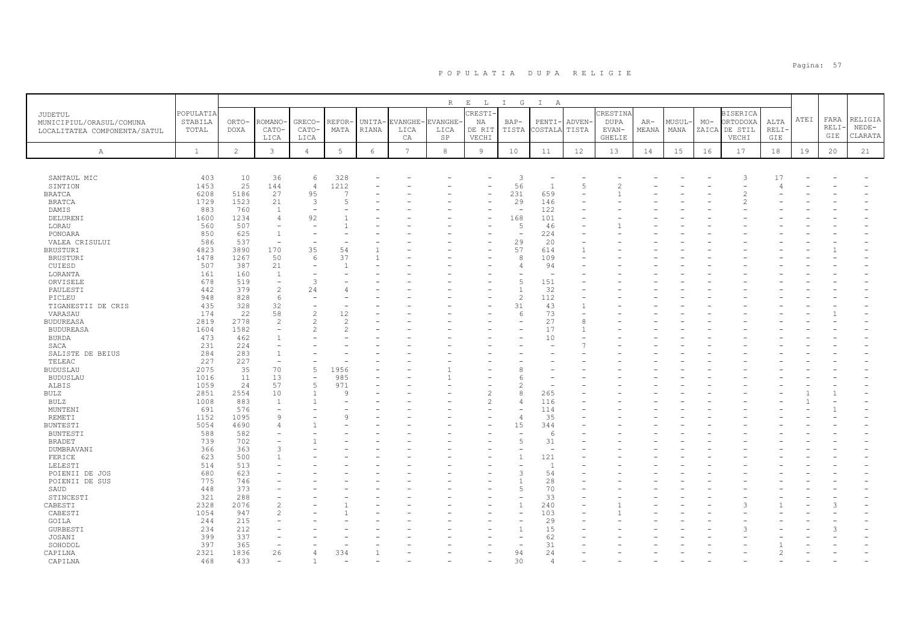|                                   |              |                |                                          |                          |                                                                                                                        |        |                 | R              | $\mathbf{E}$ $\qquad$ $\mathbf{L}$ | I G                      | $\mathbb{I}$<br>A        |                |                |       |        |       |                 |             |      |       |         |
|-----------------------------------|--------------|----------------|------------------------------------------|--------------------------|------------------------------------------------------------------------------------------------------------------------|--------|-----------------|----------------|------------------------------------|--------------------------|--------------------------|----------------|----------------|-------|--------|-------|-----------------|-------------|------|-------|---------|
| JUDETUL                           | POPULATIA    |                |                                          |                          |                                                                                                                        |        |                 |                | CRESTI-                            |                          |                          |                | CRESTINA       |       |        |       | <b>BISERICA</b> |             |      |       |         |
| MUNICIPIUL/ORASUL/COMUNA          | STABILA      | ORTO-          | <b>ROMANO</b>                            | GRECO-                   | REFOR                                                                                                                  | UNITA- | EVANGHE·        | <b>EVANGHE</b> | ΝA                                 | $BAP-$                   | PENTI-                   | ADVEN-         | <b>DUPA</b>    | AR-   | MUSUL- | $MO-$ | ORTODOXA        | ALTA        | ATEI | FARA  | RELIGIA |
| LOCALITATEA COMPONENTA/SATUL      | TOTAL        | DOXA           | CATO-                                    | CATO-                    | MATA                                                                                                                   | RIANA  | LICA            | LICA           | DE RIT                             | TISTA                    | COSTALA                  | TISTA          | EVAN-          | MEANA | MANA   |       | ZAICA DE STIL   | <b>RELI</b> |      | RELI· | $NEDE-$ |
|                                   |              |                | LICA                                     | LICA                     |                                                                                                                        |        | CA              | $_{\rm SP}$    | VECHI                              |                          |                          |                | GHELIE         |       |        |       | VECHI           | GIE         |      | GIE   | CLARATA |
| $\mathbb{A}$                      | $\mathbf{1}$ | $\overline{2}$ | $\mathbf{3}$                             | $\overline{4}$           | 5                                                                                                                      | 6      | $7\phantom{.0}$ | 8              | $\overline{9}$                     | 10                       | 11                       | 12             | 13             | 14    | 15     | 16    | 17              | 18          | 19   | 20    | 21      |
|                                   |              |                |                                          |                          |                                                                                                                        |        |                 |                |                                    |                          |                          |                |                |       |        |       |                 |             |      |       |         |
|                                   |              |                |                                          |                          |                                                                                                                        |        |                 |                |                                    |                          |                          |                |                |       |        |       |                 |             |      |       |         |
| SANTAUL MIC                       | 403          | 10             | 36                                       | 6                        | 328                                                                                                                    |        |                 |                |                                    | 3                        |                          |                |                |       |        |       | 3               | 17          |      |       |         |
| SINTION                           | 1453         | 25             | 144                                      | $\overline{4}$           | 1212                                                                                                                   |        |                 |                |                                    | 56                       | $\overline{1}$           | $\overline{5}$ | $\overline{2}$ |       |        |       |                 |             |      |       |         |
| <b>BRATCA</b>                     | 6208         | 5186           | 27                                       | 95                       | $\overline{ }$                                                                                                         |        |                 |                |                                    | 231                      | 659                      |                |                |       |        |       |                 |             |      |       |         |
| <b>BRATCA</b>                     | 1729         | 1523           | 21                                       | 3                        | 5                                                                                                                      |        |                 |                |                                    | 29                       | 146                      |                |                |       |        |       |                 |             |      |       |         |
| DAMIS                             | 883          | 760            | 1                                        |                          |                                                                                                                        |        |                 |                |                                    | ÷,                       | 122                      |                |                |       |        |       |                 |             |      |       |         |
| DELURENI                          | 1600         | 1234           | $\overline{4}$                           | 92                       |                                                                                                                        |        |                 |                |                                    | 168                      | 101                      |                |                |       |        |       |                 |             |      |       |         |
| LORAU                             | 560          | 507            | $\overline{\phantom{a}}$                 |                          |                                                                                                                        |        |                 |                |                                    | 5                        | 46                       |                |                |       |        |       |                 |             |      |       |         |
| PONOARA                           | 850          | 625<br>537     | $\mathbf{1}$<br>$\overline{\phantom{a}}$ |                          |                                                                                                                        |        |                 |                |                                    | ۰                        | 224                      |                |                |       |        |       |                 |             |      |       |         |
| VALEA CRISULUI<br><b>BRUSTURI</b> | 586<br>4823  | 3890           | 170                                      | 35                       | 54                                                                                                                     |        |                 |                |                                    | 29<br>57                 | 20<br>614                |                |                |       |        |       |                 |             |      |       |         |
| <b>BRUSTURI</b>                   | 1478         | 1267           | 50                                       | 6                        | 37                                                                                                                     |        |                 |                |                                    | 8                        | 109                      |                |                |       |        |       |                 |             |      |       |         |
| CUIESD                            | 507          | 387            | 21                                       |                          |                                                                                                                        |        |                 |                |                                    | 4                        | 94                       |                |                |       |        |       |                 |             |      |       |         |
| LORANTA                           | 161          | 160            | <sup>1</sup>                             |                          |                                                                                                                        |        |                 |                |                                    |                          | $\overline{\phantom{a}}$ |                |                |       |        |       |                 |             |      |       |         |
| ORVISELE                          | 678          | 519            | $\overline{\phantom{a}}$                 | 3                        |                                                                                                                        |        |                 |                |                                    | 5                        | 151                      |                |                |       |        |       |                 |             |      |       |         |
| PAULESTI                          | 442          | 379            | $\overline{2}$                           | 24                       |                                                                                                                        |        |                 |                |                                    | $\overline{1}$           | 32                       |                |                |       |        |       |                 |             |      |       |         |
| PICLEU                            | 948          | 828            | 6                                        |                          |                                                                                                                        |        |                 |                |                                    | $\overline{c}$           | 112                      |                |                |       |        |       |                 |             |      |       |         |
| TIGANESTII DE CRIS                | 435          | 328            | 32                                       |                          |                                                                                                                        |        |                 |                |                                    | 31                       | 43                       |                |                |       |        |       |                 |             |      |       |         |
| VARASAU                           | 174          | 22             | 58                                       | $\overline{c}$           | 12                                                                                                                     |        |                 |                |                                    | 6                        | 73                       |                |                |       |        |       |                 |             |      |       |         |
| <b>BUDUREASA</b>                  | 2819         | 2778           | $\overline{c}$                           | $\overline{\mathcal{L}}$ | $\mathfrak{D}_{1}^{2}(\mathfrak{D}_{1})=\mathfrak{D}_{2}^{2}(\mathfrak{D}_{2})=\mathfrak{D}_{2}^{2}(\mathfrak{D}_{1})$ |        |                 |                |                                    |                          | 27                       | 8              |                |       |        |       |                 |             |      |       |         |
| <b>BUDUREASA</b>                  | 1604         | 1582           | $\overline{\phantom{a}}$                 | $\mathfrak{D}_{1}^{(1)}$ | 2                                                                                                                      |        |                 |                |                                    |                          | 17                       |                |                |       |        |       |                 |             |      |       |         |
| <b>BURDA</b>                      | 473          | 462            | $\overline{1}$                           |                          |                                                                                                                        |        |                 |                |                                    |                          | 10                       |                |                |       |        |       |                 |             |      |       |         |
| SACA                              | 231          | 224            |                                          |                          |                                                                                                                        |        |                 |                |                                    |                          |                          |                |                |       |        |       |                 |             |      |       |         |
| SALISTE DE BEIUS                  | 284          | 283            | $\overline{1}$                           |                          |                                                                                                                        |        |                 |                |                                    |                          |                          |                |                |       |        |       |                 |             |      |       |         |
| TELEAC                            | 227          | 227            | $\overline{\phantom{a}}$                 |                          |                                                                                                                        |        |                 |                |                                    |                          |                          |                |                |       |        |       |                 |             |      |       |         |
| <b>BUDUSLAU</b>                   | 2075         | 35<br>11       | 70                                       | $\overline{5}$           | 1956                                                                                                                   |        |                 |                |                                    |                          |                          |                |                |       |        |       |                 |             |      |       |         |
| <b>BUDUSLAU</b>                   | 1016         |                | 13<br>57                                 | $\overline{5}$           | 985<br>971                                                                                                             |        |                 |                |                                    |                          |                          |                |                |       |        |       |                 |             |      |       |         |
| ALBIS                             | 1059         | 24<br>2554     |                                          | $\mathbf{1}$             | 9                                                                                                                      |        |                 |                | $\overline{c}$                     | 8                        | 265                      |                |                |       |        |       |                 |             |      |       |         |
| BULZ<br>BULZ                      | 2851<br>1008 | 883            | 10<br>1                                  |                          |                                                                                                                        |        |                 |                | 2                                  | $\overline{4}$           | 116                      |                |                |       |        |       |                 |             |      |       |         |
| MUNTENI                           | 691          | 576            | $\overline{\phantom{a}}$                 |                          |                                                                                                                        |        |                 |                |                                    |                          | 114                      |                |                |       |        |       |                 |             |      |       |         |
| REMETI                            | 1152         | 1095           | $\mathsf{Q}$                             |                          | $\circ$                                                                                                                |        |                 |                |                                    | $\overline{4}$           | 35                       |                |                |       |        |       |                 |             |      |       |         |
| <b>BUNTESTI</b>                   | 5054         | 4690           | $\overline{4}$                           |                          |                                                                                                                        |        |                 |                |                                    | 15                       | 344                      |                |                |       |        |       |                 |             |      |       |         |
| <b>BUNTESTI</b>                   | 588          | 582            |                                          |                          |                                                                                                                        |        |                 |                |                                    | $\overline{\phantom{a}}$ | -6                       |                |                |       |        |       |                 |             |      |       |         |
| <b>BRADET</b>                     | 739          | 702            |                                          |                          |                                                                                                                        |        |                 |                |                                    | 5                        | 31                       |                |                |       |        |       |                 |             |      |       |         |
| DUMBRAVANI                        | 366          | 363            | 3                                        |                          |                                                                                                                        |        |                 |                |                                    |                          | $\overline{\phantom{a}}$ |                |                |       |        |       |                 |             |      |       |         |
| FERICE                            | 623          | 500            |                                          |                          |                                                                                                                        |        |                 |                |                                    | $\overline{1}$           | 121                      |                |                |       |        |       |                 |             |      |       |         |
| LELESTI                           | 514          | 513            |                                          |                          |                                                                                                                        |        |                 |                |                                    |                          | $\overline{1}$           |                |                |       |        |       |                 |             |      |       |         |
| POIENII DE JOS                    | 680          | 623            |                                          |                          |                                                                                                                        |        |                 |                |                                    | 3                        | 54                       |                |                |       |        |       |                 |             |      |       |         |
| POIENII DE SUS                    | 775          | 746            |                                          |                          |                                                                                                                        |        |                 |                |                                    |                          | 28                       |                |                |       |        |       |                 |             |      |       |         |
| SAUD                              | 448          | 373            |                                          |                          |                                                                                                                        |        |                 |                |                                    | 5                        | 70                       |                |                |       |        |       |                 |             |      |       |         |
| STINCESTI                         | 321          | 288            |                                          |                          |                                                                                                                        |        |                 |                |                                    |                          | 33                       |                |                |       |        |       |                 |             |      |       |         |
| CABESTI                           | 2328         | 2076           | $\overline{c}$                           |                          |                                                                                                                        |        |                 |                |                                    | $\overline{1}$           | 240                      |                |                |       |        |       |                 |             |      |       |         |
| CABESTI                           | 1054         | 947            | $\mathfrak{D}$                           |                          |                                                                                                                        |        |                 |                |                                    | $\overline{\phantom{a}}$ | 103                      |                |                |       |        |       |                 |             |      |       |         |
| GOILA                             | 244<br>234   | 215<br>212     |                                          |                          |                                                                                                                        |        |                 |                |                                    | $\overline{1}$           | 29<br>15                 |                |                |       |        |       |                 |             |      |       |         |
| <b>GURBESTI</b>                   | 399          | 337            |                                          |                          |                                                                                                                        |        |                 |                |                                    |                          | 62                       |                |                |       |        |       |                 |             |      |       |         |
| JOSANI<br>SOHODOL                 | 397          | 365            | $\overline{\phantom{m}}$                 |                          |                                                                                                                        |        |                 |                |                                    | ۰                        | 31                       |                |                |       |        |       |                 |             |      |       |         |
| CAPILNA                           | 2321         | 1836           | 26                                       | 4                        | 334                                                                                                                    |        |                 |                |                                    | 94                       | 24                       |                |                |       |        |       |                 |             |      |       |         |
| CAPILNA                           | 468          | 433            | $\overline{\phantom{0}}$                 |                          |                                                                                                                        |        |                 |                |                                    | 30                       | $\overline{4}$           |                |                |       |        |       |                 |             |      |       |         |
|                                   |              |                |                                          |                          |                                                                                                                        |        |                 |                |                                    |                          |                          |                |                |       |        |       |                 |             |      |       |         |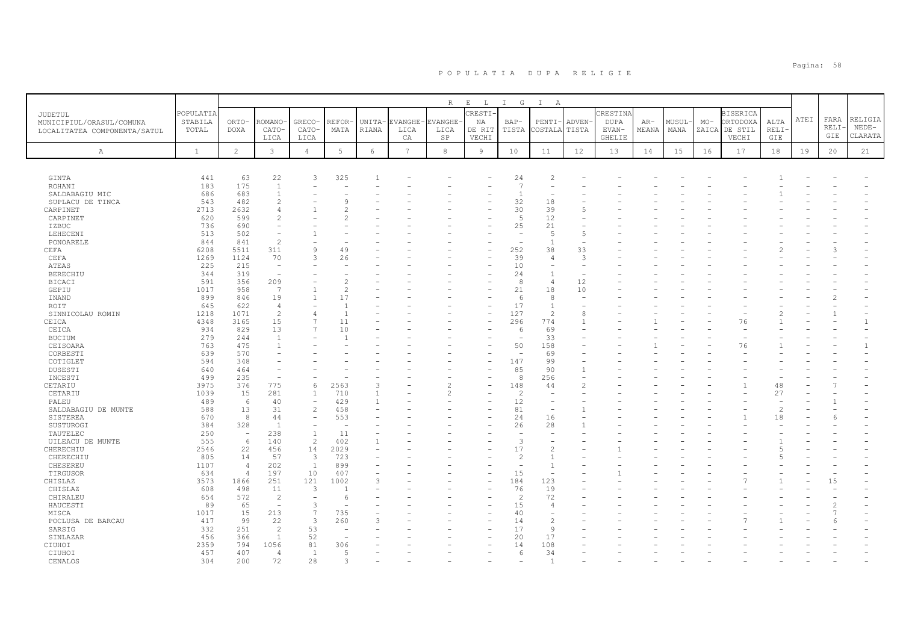|                              |              |                                  |                          |                          |               |              |                 | R          | $\mathop{}\mathopen{} E$<br>$\mathbb{L}$ | $I$ G                    | $\mathbb{I}$<br>A               |                |             |       |        |       |                 |                |      |       |         |
|------------------------------|--------------|----------------------------------|--------------------------|--------------------------|---------------|--------------|-----------------|------------|------------------------------------------|--------------------------|---------------------------------|----------------|-------------|-------|--------|-------|-----------------|----------------|------|-------|---------|
| JUDETUL                      | POPULATIA    |                                  |                          |                          |               |              |                 |            | CRESTI                                   |                          |                                 |                | CRESTIN     |       |        |       | <b>BISERICA</b> |                |      |       |         |
| MUNICIPIUL/ORASUL/COMUNA     | STABILA      | ORTO-                            | ROMANO                   | GRECO-                   | REFOR-        | UNITA-       | :VANGHE-        | EVANGHE-   | ΝA                                       | $BAP-$                   | PENTI                           | ADVEN-         | <b>DUPA</b> | AR-   | MUSUL- | $MO-$ | ORTODOXA        | ALTA           | ATEI | FARA  | RELIGIA |
| LOCALITATEA COMPONENTA/SATUL | TOTAL        | <b>DOXA</b>                      | CATO-                    | CATO-                    | MATA          | <b>RIANA</b> | LICA            | LICA       | DE RIT                                   | TISTA                    | COSTALA                         | TISTA          | EVAN-       | MEANA | MANA   | ZAICA | DE STIL         | RELI-          |      | RELI- | $NEDE-$ |
|                              |              |                                  | LICA                     | LICA                     |               |              | CA              | SP         | VECHI                                    |                          |                                 |                | GHELIE      |       |        |       | VECHI           | GIE            |      | GIE   | CLARATA |
|                              |              |                                  |                          |                          |               |              |                 |            |                                          |                          |                                 |                |             |       |        |       |                 |                |      |       |         |
| Α                            | $\mathbf{1}$ | $\overline{c}$                   | $\mathbf{3}$             | $\overline{4}$           | 5             | 6            | $7\overline{ }$ | $^{\rm 8}$ | 9                                        | 10                       | 11                              | 12             | 13          | 14    | 15     | 16    | 17              | $1\,8$         | 19   | 20    | 21      |
|                              |              |                                  |                          |                          |               |              |                 |            |                                          |                          |                                 |                |             |       |        |       |                 |                |      |       |         |
|                              |              |                                  |                          |                          |               |              |                 |            |                                          |                          |                                 |                |             |       |        |       |                 |                |      |       |         |
| <b>GINTA</b>                 | 441          | 63                               | 22                       | 3                        | 325           |              |                 |            |                                          | 24                       | $\overline{c}$                  |                |             |       |        |       |                 |                |      |       |         |
| ROHANI                       | 183          | 175                              | $\overline{1}$           |                          |               |              |                 |            |                                          | $\overline{7}$           |                                 |                |             |       |        |       |                 |                |      |       |         |
| SALDABAGIU MIC               | 686          | 683                              | $\overline{1}$           |                          |               |              |                 |            |                                          | $\mathbf{1}$             |                                 |                |             |       |        |       |                 |                |      |       |         |
| SUPLACU DE TINCA             | 543          | 482                              | $\overline{c}$           |                          |               |              |                 |            |                                          | 32                       | 18                              |                |             |       |        |       |                 |                |      |       |         |
| CARPINET                     | 2713         | 2632                             |                          |                          |               |              |                 |            |                                          | 30                       | 39                              | 5              |             |       |        |       |                 |                |      |       |         |
| CARPINET                     | 620          | 599                              |                          |                          |               |              |                 |            |                                          | $\overline{5}$           | 12                              |                |             |       |        |       |                 |                |      |       |         |
| IZBUC                        | 736          | 690                              |                          |                          |               |              |                 |            |                                          | 25                       | 21                              |                |             |       |        |       |                 |                |      |       |         |
| LEHECENI                     | 513<br>844   | 502<br>841                       | $\overline{c}$           |                          |               |              |                 |            |                                          | L,                       | .5<br>$\overline{1}$            | 5<br>L,        |             |       |        |       |                 |                |      |       |         |
| PONOARELE                    |              | 5511                             | 311                      | 9                        |               |              |                 |            |                                          |                          |                                 |                |             |       |        |       |                 |                |      |       |         |
| CEFA                         | 6208         | 1124                             | 70                       | 3                        | 49            |              |                 |            |                                          | 252<br>39                | 38<br>$\overline{4}$            | 33<br>3        |             |       |        |       |                 |                |      |       |         |
| CEFA<br>ATEAS                | 1269<br>225  | 215                              | $\overline{\phantom{a}}$ |                          | 26            |              |                 |            |                                          | 10                       |                                 |                |             |       |        |       |                 |                |      |       |         |
| <b>BERECHIU</b>              | 344          | 319                              | $\overline{\phantom{a}}$ |                          |               |              |                 |            |                                          | 24                       | $\overline{1}$                  |                |             |       |        |       |                 |                |      |       |         |
| <b>BICACI</b>                | 591          | 356                              | 209                      |                          | 2             |              |                 |            |                                          | 8                        | $\overline{4}$                  | 12             |             |       |        |       |                 |                |      |       |         |
| GEPIU                        | 1017         | 958                              | 7                        |                          | $\mathcal{L}$ |              |                 |            |                                          | 21                       | 18                              | 10             |             |       |        |       |                 |                |      |       |         |
| INAND                        | 899          | 846                              | 19                       | 1                        | 17            |              |                 |            |                                          | 6                        | 8                               |                |             |       |        |       |                 |                |      |       |         |
| ROIT                         | 645          | 622                              | $\overline{4}$           |                          |               |              |                 |            |                                          | 17                       | $\overline{1}$                  |                |             |       |        |       |                 |                |      |       |         |
| SINNICOLAU ROMIN             | 1218         | 1071                             | $\overline{c}$           | 4                        | $\mathbf{1}$  |              |                 |            |                                          | 127                      | $\overline{c}$                  | 8              |             |       |        |       |                 |                |      |       |         |
| CEICA                        | 4348         | 3165                             | 15                       | $\overline{7}$           | 11            |              |                 |            |                                          | 296                      | 774                             | $\mathbf{1}$   |             |       |        |       | 76              |                |      |       |         |
| CEICA                        | 934          | 829                              | 13                       | $\overline{7}$           | 10            |              |                 |            |                                          | 6                        | 69                              |                |             |       |        |       |                 |                |      |       |         |
| <b>BUCIUM</b>                | 279          | 244                              | $\overline{1}$           |                          |               |              |                 |            |                                          | $\overline{\phantom{a}}$ | 33                              |                |             |       |        |       |                 |                |      |       |         |
| CEISOARA                     | 763          | 475                              | $\overline{1}$           |                          |               |              |                 |            |                                          | 50                       | 158                             |                |             |       |        |       | 76              |                |      |       |         |
| CORBESTI                     | 639          | 570                              |                          |                          |               |              |                 |            |                                          | ÷.                       | 69                              |                |             |       |        |       |                 |                |      |       |         |
| COTIGLET                     | 594          | 348                              |                          |                          |               |              |                 |            |                                          | 147                      | 99                              |                |             |       |        |       |                 |                |      |       |         |
| DUSESTI                      | 640          | 464                              |                          |                          |               |              |                 |            |                                          | 85                       | 90                              | 1              |             |       |        |       |                 |                |      |       |         |
| INCESTI                      | 499          | 235                              |                          |                          |               |              |                 |            |                                          | 8                        | 256                             |                |             |       |        |       |                 |                |      |       |         |
| CETARIU                      | 3975         | 376                              | 775                      | 6                        | 2563          | ₹            |                 |            |                                          | 148                      | 44                              | $\mathfrak{D}$ |             |       |        |       |                 | 48             |      |       |         |
| CETARIU                      | 1039         | 15                               | 281                      | $\mathbf{1}$             | 710           |              |                 | 2          |                                          | $\overline{c}$           |                                 |                |             |       |        |       |                 | 27             |      |       |         |
| PALEU                        | 489          | 6                                | 40                       | $\overline{\phantom{a}}$ | 429           |              |                 |            |                                          | 12                       |                                 |                |             |       |        |       |                 |                |      |       |         |
| SALDABAGIU DE MUNTE          | 588          | 13                               | 31                       | $\overline{2}$           | 458           |              |                 |            |                                          | 81                       | $\overline{\phantom{0}}$        |                |             |       |        |       |                 | $\overline{c}$ |      |       |         |
| SISTEREA                     | 670          | 8                                | 44                       | $\overline{\phantom{0}}$ | 553           |              |                 |            |                                          | 24                       | 16                              |                |             |       |        |       |                 | 18             |      |       |         |
| SUSTUROGI                    | 384          | 328                              | $\overline{1}$           | Ē,                       |               |              |                 |            |                                          | 26                       | 28                              | $\mathbf{1}$   |             |       |        |       |                 |                |      |       |         |
| TAUTELEC                     | 250          | $\overline{\phantom{a}}$         | 238                      | $\mathbf{1}$             | 11            |              |                 |            |                                          |                          |                                 |                |             |       |        |       |                 |                |      |       |         |
| UILEACU DE MUNTE             | 555          | $6\,$                            | 140                      | $\overline{c}$           | 402           |              |                 |            |                                          | 3                        |                                 |                |             |       |        |       |                 |                |      |       |         |
| CHERECHIU                    | 2546         | 22                               | 456                      | 14                       | 2029          |              |                 |            |                                          | 17                       | $\overline{2}$                  |                |             |       |        |       |                 |                |      |       |         |
| CHERECHIU                    | 805          | 14                               | 57                       | 3                        | 723           |              |                 |            |                                          | $\overline{c}$<br>۰      | $\overline{1}$                  |                |             |       |        |       |                 |                |      |       |         |
| CHESEREU                     | 1107         | $\overline{4}$<br>$\overline{4}$ | 202                      | $\overline{1}$           | 899           |              |                 |            |                                          |                          | $\overline{1}$                  |                |             |       |        |       |                 |                |      |       |         |
| TIRGUSOR                     | 634<br>3573  | 1866                             | 197<br>251               | 10<br>121                | 407<br>1002   |              |                 |            |                                          | 15<br>184                | $\overline{\phantom{a}}$<br>123 |                |             |       |        |       |                 |                |      | 15    |         |
| CHISLAZ<br>CHISLAZ           | 608          | 498                              | 11                       | -3                       |               |              |                 |            |                                          | 76                       | 19                              |                |             |       |        |       |                 |                |      |       |         |
| CHIRALEU                     | 654          | 572                              | $\overline{2}$           | $\sim$                   | 6             |              |                 |            |                                          | $\overline{c}$           | 72                              |                |             |       |        |       |                 |                |      |       |         |
| HAUCESTI                     | 89           | 65                               | $\overline{\phantom{a}}$ | 3                        |               |              |                 |            |                                          | 15                       | $\overline{4}$                  |                |             |       |        |       |                 |                |      |       |         |
| MISCA                        | 1017         | 15                               | 213                      | 7                        | 735           |              |                 |            |                                          | 40                       | ٠                               |                |             |       |        |       |                 |                |      |       |         |
| POCLUSA DE BARCAU            | 417          | 99                               | 22                       | 3                        | 260           |              |                 |            |                                          | 14                       | $\overline{2}$                  |                |             |       |        |       |                 |                |      |       |         |
| SARSIG                       | 332          | 251                              | $\overline{c}$           | 53                       | $\sim$        |              |                 |            |                                          | 17                       | $\mathcal{Q}$                   |                |             |       |        |       |                 |                |      |       |         |
| SINLAZAR                     | 456          | 366                              | $\overline{1}$           | 52                       |               |              |                 |            |                                          | 20                       | 17                              |                |             |       |        |       |                 |                |      |       |         |
| CIUHOI                       | 2359         | 794                              | 1056                     | 81                       | 306           |              |                 |            |                                          | 14                       | 108                             |                |             |       |        |       |                 |                |      |       |         |
| CIUHOI                       | 457          | 407                              | 4                        | 1                        | 5             |              |                 |            |                                          | 6                        | 34                              |                |             |       |        |       |                 |                |      |       |         |
| CENALOS                      | 304          | 200                              | 72                       | 28                       | 3             |              |                 |            |                                          |                          | $\overline{1}$                  |                |             |       |        |       |                 |                |      |       |         |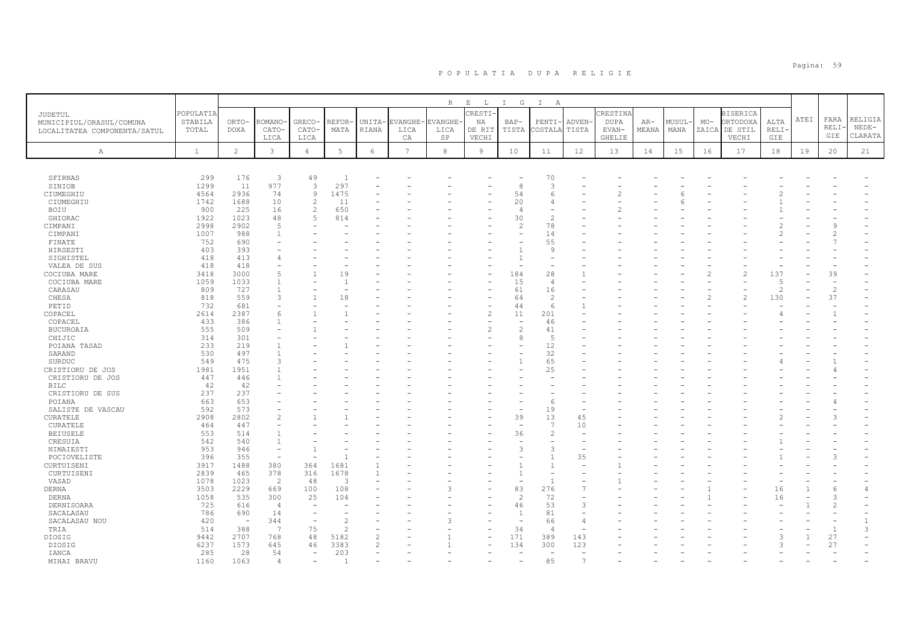|                              |              |                                 |                          |                          |                |                |                 | R           | $\mathbb E$ $\qquad$ L $\qquad$ | I G                      | $\mathbb{I}$<br>A             |                |             |       |       |       |                          |                |      |                |              |
|------------------------------|--------------|---------------------------------|--------------------------|--------------------------|----------------|----------------|-----------------|-------------|---------------------------------|--------------------------|-------------------------------|----------------|-------------|-------|-------|-------|--------------------------|----------------|------|----------------|--------------|
| <b>JUDETUL</b>               | POPULATIA    |                                 |                          |                          |                |                |                 |             | CRESTI.                         |                          |                               |                | CRESTINA    |       |       |       | <b>BISERICA</b>          |                |      |                |              |
| MUNICIPIUL/ORASUL/COMUNA     | STABILA      | ORTO-                           | ROMANO·                  | GRECO-                   | REFOR          | UNITA-         | EVANGHE-        | EVANGHE     | NA                              | $BAP-$                   | PENTI-                        | ADVEN-         | <b>DUPA</b> | AR-   | MUSUL | $MO-$ | ORTODOXA                 | ALTA           | ATEI | FARA           | RELIGIA      |
| LOCALITATEA COMPONENTA/SATUL | TOTAL        | DOXA                            | CATO-                    | CATO-                    | MATA           | RIANA          | LICA            | LICA        | DE RIT                          | TISTA                    | COSTALA TISTA                 |                | EVAN-       | MEANA | MANA  |       | ZAICA DE STIL            | RELI·          |      | RELI           | $NEDE-$      |
|                              |              |                                 | LICA                     | LICA                     |                |                | CA              | $_{\rm SP}$ | VECHI                           |                          |                               |                | GHELIE      |       |       |       | VECHI                    | GIE            |      | GIE            | CLARATA      |
|                              |              |                                 |                          |                          |                |                |                 |             |                                 |                          |                               |                |             |       |       |       |                          |                |      |                |              |
| Α                            | $\mathbf{1}$ | $\overline{2}$                  | $\mathbf{3}$             | $\overline{4}$           | 5              | $6\,$          | $7\phantom{.0}$ | 8           | $\overline{9}$                  | 10                       | 11                            | 12             | 13          | 14    | 15    | 16    | 17                       | 18             | 19   | 20             | 21           |
|                              |              |                                 |                          |                          |                |                |                 |             |                                 |                          |                               |                |             |       |       |       |                          |                |      |                |              |
|                              |              |                                 |                          |                          |                |                |                 |             |                                 |                          |                               |                |             |       |       |       |                          |                |      |                |              |
| SFIRNAS                      | 299          | 176                             | 3                        | 49                       | $\overline{1}$ |                |                 |             |                                 |                          | 70                            |                |             |       |       |       |                          |                |      |                |              |
| SINIOB                       | 1299         | 11                              | 977                      | $\overline{3}$           | 297            |                |                 |             |                                 | 8                        | 3                             |                |             |       |       |       |                          |                |      |                |              |
| CIUMEGHIU                    | 4564         | 2936                            | 74                       | $\circ$                  | 1475           |                |                 |             |                                 | 54                       | -6                            |                |             |       |       |       |                          |                |      |                |              |
| CIUMEGHIU                    | 1742         | 1688                            | 10                       | $\overline{c}$           | 11             |                |                 |             |                                 | 20                       | 4<br>$\overline{\phantom{a}}$ |                |             |       |       |       |                          |                |      |                |              |
| BOIU                         | 900          | 225                             | 16                       | 2<br>5                   | 650            |                |                 |             |                                 | $\overline{4}$           | $\overline{c}$                |                |             |       |       |       |                          |                |      |                |              |
| GHIORAC                      | 1922         | 1023                            | 48<br>$\overline{5}$     |                          | 814            |                |                 |             |                                 | 30                       |                               |                |             |       |       |       |                          |                |      |                |              |
| CIMPANI                      | 2998         | 2902                            |                          |                          |                |                |                 |             |                                 | $\overline{c}$           | 78                            |                |             |       |       |       |                          |                |      |                |              |
| CIMPANI                      | 1007         | 988                             | $\overline{1}$           |                          |                |                |                 |             |                                 |                          | 14                            |                |             |       |       |       |                          |                |      |                |              |
| FINATE                       | 752          | 690                             |                          |                          |                |                |                 |             |                                 |                          | 55                            |                |             |       |       |       |                          |                |      |                |              |
| HIRSESTI                     | 403          | 393                             |                          |                          |                |                |                 |             |                                 |                          | 9                             |                |             |       |       |       |                          |                |      |                |              |
| SIGHISTEL                    | 418          | 413                             | $\Delta$                 |                          |                |                |                 |             |                                 |                          | $\overline{\phantom{m}}$      |                |             |       |       |       |                          |                |      |                |              |
| VALEA DE SUS                 | 418          | 418                             |                          |                          |                |                |                 |             |                                 |                          |                               |                |             |       |       |       | $\overline{\mathcal{C}}$ |                |      |                |              |
| COCIUBA MARE                 | 3418         | 3000                            | $\overline{5}$           |                          | 19             |                |                 |             | $\overline{\phantom{a}}$        | 184                      | 28                            |                |             |       |       |       |                          | 137            |      | 39             |              |
| COCIUBA MARE                 | 1059         | 1033                            |                          |                          |                |                |                 |             |                                 | 15                       | $\overline{4}$                |                |             |       |       |       |                          | .5             |      |                |              |
| CARASAU                      | 809          | 727                             |                          |                          |                |                |                 |             |                                 | 61                       | 16                            |                |             |       |       |       |                          | $\overline{c}$ |      | $\overline{c}$ |              |
| CHESA                        | 818          | 559                             | 3                        |                          | 18             |                |                 |             |                                 | 64                       | $\overline{c}$                |                |             |       |       |       | $\overline{\mathcal{L}}$ | 130            |      | 37             |              |
| PETID                        | 732          | 681                             | $\overline{\phantom{0}}$ |                          |                |                |                 |             | ۰                               | 44                       | 6                             |                |             |       |       |       |                          |                |      |                |              |
| COPACEL                      | 2614         | 2387                            | 6                        |                          |                |                |                 |             | $\overline{c}$                  | 11                       | 201                           |                |             |       |       |       |                          |                |      |                |              |
| COPACEL                      | 433          | 386                             |                          |                          |                |                |                 |             |                                 | ۰                        | 46                            |                |             |       |       |       |                          |                |      |                |              |
| BUCUROAIA                    | 555          | 509                             |                          |                          |                |                |                 |             | $\overline{2}$                  | $\overline{c}$           | 41                            |                |             |       |       |       |                          |                |      |                |              |
| CHIJIC                       | 314          | 301                             |                          |                          |                |                |                 |             |                                 | 8                        | $\overline{5}$                |                |             |       |       |       |                          |                |      |                |              |
| POIANA TASAD                 | 233          | 219                             |                          |                          |                |                |                 |             |                                 |                          | 12                            |                |             |       |       |       |                          |                |      |                |              |
| SARAND                       | 530          | 497                             |                          |                          |                |                |                 |             |                                 |                          | 32                            |                |             |       |       |       |                          |                |      |                |              |
| SURDUC                       | 549          | 475                             | 3                        |                          |                |                |                 |             |                                 |                          | 65                            |                |             |       |       |       |                          |                |      |                |              |
| CRISTIORU DE JOS             | 1981         | 1951                            |                          |                          |                |                |                 |             |                                 |                          | 25                            |                |             |       |       |       |                          |                |      |                |              |
| CRISTIORU DE JOS             | 447          | 446                             |                          |                          |                |                |                 |             |                                 |                          |                               |                |             |       |       |       |                          |                |      |                |              |
| <b>BILC</b>                  | 42           | 42                              |                          |                          |                |                |                 |             |                                 |                          |                               |                |             |       |       |       |                          |                |      |                |              |
| CRISTIORU DE SUS             | 237          | 237                             |                          |                          |                |                |                 |             |                                 |                          |                               |                |             |       |       |       |                          |                |      |                |              |
| POIANA                       | 663          | 653                             |                          |                          |                |                |                 |             |                                 |                          | 6                             |                |             |       |       |       |                          |                |      |                |              |
| SALISTE DE VASCAU            | 592          | 573                             |                          |                          |                |                |                 |             |                                 |                          | 19                            |                |             |       |       |       |                          |                |      |                |              |
| CURATELE                     | 2908         | 2802                            | $\overline{c}$           |                          |                |                |                 |             |                                 | 39                       | 13                            | 45             |             |       |       |       |                          |                |      |                |              |
| CURATELE                     | 464          | 447                             |                          |                          |                |                |                 |             |                                 | $\overline{\phantom{a}}$ | $\overline{7}$                | 10             |             |       |       |       |                          |                |      |                |              |
| <b>BEIUSELE</b>              | 553          | 514                             |                          |                          |                |                |                 |             |                                 | 36                       | $\overline{c}$                |                |             |       |       |       |                          |                |      |                |              |
| CRESUIA                      | 542          | 540                             | $\overline{1}$           |                          |                |                |                 |             |                                 |                          |                               |                |             |       |       |       |                          |                |      |                |              |
| NIMAIESTI                    | 953          | 946                             | $\overline{\phantom{0}}$ | $\mathbf{1}$             |                |                |                 |             |                                 | 3                        | 3                             |                |             |       |       |       |                          |                |      |                |              |
| POCIOVELISTE                 | 396          | 355                             | $\equiv$                 | $\overline{\phantom{0}}$ |                |                |                 |             |                                 |                          |                               | 35             |             |       |       |       |                          |                |      |                |              |
|                              | 3917         | 1488                            |                          |                          |                |                |                 |             |                                 |                          | $\mathbf{1}$                  |                |             |       |       |       |                          |                |      |                |              |
| CURTUISENI                   |              |                                 | 380                      | 364                      | 1681           |                |                 |             |                                 |                          |                               |                |             |       |       |       |                          |                |      |                |              |
| CURTUISENI                   | 2839         | 465                             | 378                      | 316                      | 1678           |                |                 |             |                                 |                          |                               |                |             |       |       |       |                          |                |      |                |              |
| VASAD                        | 1078         | 1023                            | $\overline{c}$           | 48                       | 3              |                |                 |             |                                 |                          |                               |                |             |       |       |       |                          |                |      |                |              |
| <b>DERNA</b>                 | 3503         | 2229                            | 669                      | 100                      | 108            |                |                 | ٩           |                                 | 83                       | 276                           |                |             |       |       |       |                          | 16             |      |                |              |
| DERNA                        | 1058         | 535                             | 300                      | 25                       | 104            |                |                 |             |                                 | $\overline{c}$           | 72                            |                |             |       |       |       |                          | 16             |      |                |              |
| DERNISOARA                   | 725          | 616                             | $\overline{4}$           |                          |                |                |                 |             |                                 | 46                       | 53                            | 3              |             |       |       |       |                          |                |      |                |              |
| SACALASAU                    | 786          | 690                             | 14                       |                          |                |                |                 |             |                                 | $\overline{1}$           | 81                            |                |             |       |       |       |                          |                |      |                |              |
| SACALASAU NOU                | 420          | $\hspace{0.1mm}-\hspace{0.1mm}$ | 344                      | $\overline{\phantom{a}}$ | $\overline{c}$ |                |                 | Р           |                                 | $\overline{\phantom{a}}$ | 66                            | $\overline{4}$ |             |       |       |       |                          |                |      |                | $\mathbf{1}$ |
| TRIA                         | 514          | 388                             | 7                        | 75                       | $\overline{c}$ |                |                 |             |                                 | 34                       | $\overline{4}$                |                |             |       |       |       |                          |                |      | $\overline{1}$ | 3            |
| DIOSIG                       | 9442         | 2707                            | 768                      | 48                       | 5182           | $\overline{c}$ |                 |             | ۰                               | 171                      | 389                           | 143            |             |       |       |       |                          | $\mathcal{L}$  |      | 27             |              |
| DIOSIG                       | 6237         | 1573                            | 645                      | 46                       | 3383           | $\overline{c}$ |                 |             |                                 | 134                      | 300                           | 123            |             |       |       |       |                          | $\mathcal{L}$  |      | 27             |              |
| IANCA                        | 285          | 28                              | 54                       | $\overline{\phantom{m}}$ | 203            |                |                 |             |                                 | ۰                        | $\overline{\phantom{a}}$      |                |             |       |       |       |                          |                |      |                |              |
| MIHAI BRAVU                  | 1160         | 1063                            | $\overline{4}$           |                          |                |                |                 |             |                                 |                          | 85                            | -7             |             |       |       |       |                          |                |      |                |              |
|                              |              |                                 |                          |                          |                |                |                 |             |                                 |                          |                               |                |             |       |       |       |                          |                |      |                |              |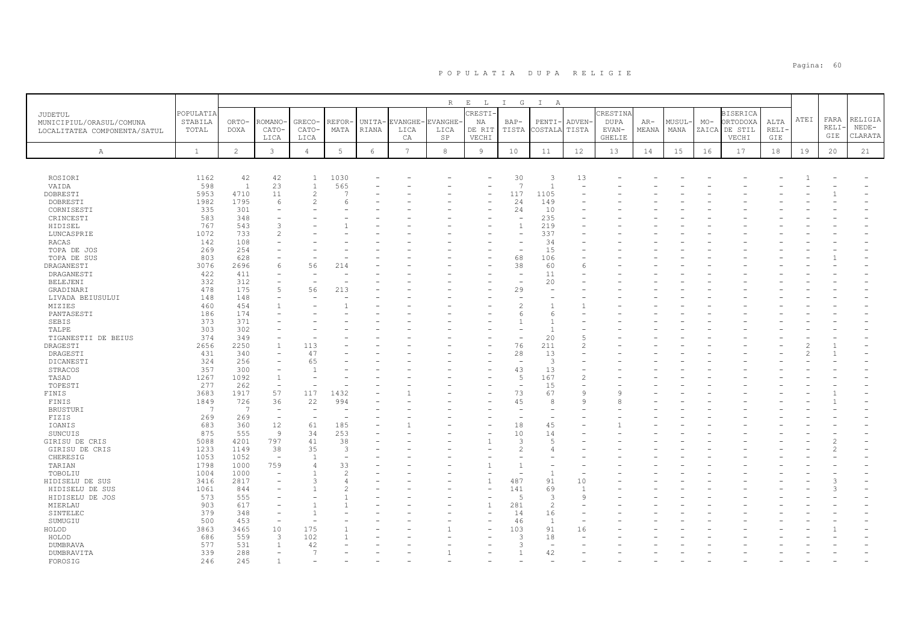|                              |              |                 |                                |                                |                 |            |         | R          | $\mathbb E$ $\qquad$ L | $\mathbbm{I}$<br>G       | $\mathbb{I}$<br>$\mathbb{A}$ |                          |               |       |       |       |                 |             |      |      |         |
|------------------------------|--------------|-----------------|--------------------------------|--------------------------------|-----------------|------------|---------|------------|------------------------|--------------------------|------------------------------|--------------------------|---------------|-------|-------|-------|-----------------|-------------|------|------|---------|
| <b>JUDETUL</b>               | POPULATIA    |                 |                                |                                |                 |            |         |            | <b>RESTI</b>           |                          |                              |                          | CRESTINA      |       |       |       | <b>BISERICA</b> |             |      |      |         |
| MUNICIPIUL/ORASUL/COMUNA     | STABILA      | ORTO-           | <b>COMANO</b>                  | <b>GRECO</b>                   | REFOR·          | UNITA-     | EVANGHE | VANGHE     | ΝA                     | BAP-                     | PENTI                        | <b>ADVEN</b>             | <b>DUPA</b>   | AR-   | MUSUL | $MO-$ | ORTODOXA        | ALTA        | ATEI | FARA | RELIGIA |
| LOCALITATEA COMPONENTA/SATUL | TOTAL        | <b>DOXA</b>     | CATO-                          | CATO-                          | MATA            | RIANA      | LICA    | LICA       | DE RIT                 | TISTA                    | COSTALA                      | TISTA                    | EVAN-         | MEANA | MANA  | ZAICA | DE STIL         | <b>RELI</b> |      | RELI | $NEDE-$ |
|                              |              |                 | LICA                           | LICA                           |                 |            | CA      | SP         | VECHI                  |                          |                              |                          | <b>GHELIE</b> |       |       |       | VECHI           | GIE         |      | GIE  | CLARATA |
| Α                            | $\mathbf{1}$ | $\overline{2}$  | $\mathbf{3}$                   | $\overline{4}$                 | $5\phantom{.0}$ | $\epsilon$ | 7       | $^{\rm 8}$ | $\overline{9}$         | 10                       | 11                           | 12                       | 13            | 14    | 15    | 16    | 17              | 18          | 19   | 20   | 21      |
|                              |              |                 |                                |                                |                 |            |         |            |                        |                          |                              |                          |               |       |       |       |                 |             |      |      |         |
|                              |              |                 |                                |                                |                 |            |         |            |                        |                          |                              |                          |               |       |       |       |                 |             |      |      |         |
| ROSIORI                      | 1162         | 42              | 42                             | $\mathbf{1}$                   | 1030            |            |         |            |                        | 30                       | 3                            | 13                       |               |       |       |       |                 |             |      |      |         |
| VAIDA                        | 598          | 1               | 23                             | $\overline{1}$                 | 565             |            |         |            |                        | $\overline{7}$           | $\overline{1}$               |                          |               |       |       |       |                 |             |      |      |         |
| DOBRESTI                     | 5953         | 4710            | 11                             | $\overline{c}$                 | $\overline{a}$  |            |         |            |                        | 117                      | 1105                         |                          |               |       |       |       |                 |             |      |      |         |
| DOBRESTI                     | 1982         | 1795            | 6                              | $\overline{c}$                 |                 |            |         |            |                        | 24                       | 149                          |                          |               |       |       |       |                 |             |      |      |         |
| CORNISESTI<br>CRINCESTI      | 335<br>583   | 301<br>348      |                                |                                |                 |            |         |            |                        | 24                       | 10<br>235                    |                          |               |       |       |       |                 |             |      |      |         |
| HIDISEL                      | 767          | 543             | 3                              |                                |                 |            |         |            |                        | $\overline{1}$           | 219                          |                          |               |       |       |       |                 |             |      |      |         |
| LUNCASPRIE                   | 1072         | 733             | 2                              |                                |                 |            |         |            |                        |                          | 337                          |                          |               |       |       |       |                 |             |      |      |         |
| <b>RACAS</b>                 | 142          | 108             |                                |                                |                 |            |         |            |                        |                          | 34                           |                          |               |       |       |       |                 |             |      |      |         |
| TOPA DE JOS                  | 269          | 254             |                                |                                |                 |            |         |            |                        |                          | 15                           |                          |               |       |       |       |                 |             |      |      |         |
| TOPA DE SUS                  | 803          | 628             |                                | $\overline{\phantom{a}}$       |                 |            |         |            |                        | 68                       | 106                          |                          |               |       |       |       |                 |             |      |      |         |
| DRAGANESTI                   | 3076         | 2696            | 6                              | 56                             | 214             |            |         |            |                        | 38                       | 60                           | -6                       |               |       |       |       |                 |             |      |      |         |
| DRAGANESTI                   | 422          | 411             |                                |                                |                 |            |         |            |                        | $\overline{\phantom{a}}$ | 11                           |                          |               |       |       |       |                 |             |      |      |         |
| BELEJENI                     | 332          | 312             |                                |                                |                 |            |         |            |                        |                          | 20                           |                          |               |       |       |       |                 |             |      |      |         |
| GRADINARI                    | 478          | 175             | $\overline{5}$                 | 56                             | 213             |            |         |            |                        | 29                       |                              |                          |               |       |       |       |                 |             |      |      |         |
| LIVADA BEIUSULUI             | 148          | 148             |                                |                                |                 |            |         |            |                        |                          |                              |                          |               |       |       |       |                 |             |      |      |         |
| MIZIES                       | 460          | 454             |                                |                                |                 |            |         |            |                        | $\overline{c}$           |                              |                          |               |       |       |       |                 |             |      |      |         |
| PANTASESTI                   | 186          | 174<br>371      |                                |                                |                 |            |         |            |                        | 6<br>$\overline{1}$      | -6<br>$\mathbf{1}$           |                          |               |       |       |       |                 |             |      |      |         |
| SEBIS<br>TALPE               | 373<br>303   | 302             |                                |                                |                 |            |         |            |                        |                          | -1                           |                          |               |       |       |       |                 |             |      |      |         |
| TIGANESTII DE BEIUS          | 374          | 349             |                                |                                |                 |            |         |            |                        | ÷,                       | 20                           | $\overline{5}$           |               |       |       |       |                 |             |      |      |         |
| DRAGESTI                     | 2656         | 2250            |                                | 113                            |                 |            |         |            |                        | 76                       | 211                          | 2                        |               |       |       |       |                 |             |      |      |         |
| DRAGESTI                     | 431          | 340             |                                | 47                             |                 |            |         |            |                        | 28                       | 13                           |                          |               |       |       |       |                 |             |      |      |         |
| DICANESTI                    | 324          | 256             |                                | 65                             |                 |            |         |            |                        |                          | -3                           |                          |               |       |       |       |                 |             |      |      |         |
| STRACOS                      | 357          | 300             |                                | $\mathbf{1}$                   |                 |            |         |            |                        | 43                       | 13                           |                          |               |       |       |       |                 |             |      |      |         |
| TASAD                        | 1267         | 1092            | $\overline{1}$                 |                                |                 |            |         |            |                        | 5                        | 167                          | 2                        |               |       |       |       |                 |             |      |      |         |
| TOPESTI                      | 277          | 262             | $\overline{\phantom{0}}$       | ÷,                             |                 |            |         |            |                        | $\sim$                   | 15                           | $\overline{\phantom{a}}$ |               |       |       |       |                 |             |      |      |         |
| FINIS                        | 3683         | 1917            | 57                             | 117                            | 1432            |            |         |            |                        | 73                       | 67                           | $\mathsf{Q}$             | q             |       |       |       |                 |             |      |      |         |
| FINIS                        | 1849         | 726             | 36                             | 22                             | 994             |            |         |            |                        | 45                       | 8                            | Q                        | 8             |       |       |       |                 |             |      |      |         |
| <b>BRUSTURI</b>              | 7            | $7\phantom{.0}$ | $\overline{a}$                 | ٠                              |                 |            |         |            |                        |                          |                              |                          |               |       |       |       |                 |             |      |      |         |
| FIZIS                        | 269<br>683   | 269<br>360      | $\overline{\phantom{a}}$<br>12 | $\overline{\phantom{a}}$<br>61 | 185             |            |         |            |                        | 18                       | 45                           |                          |               |       |       |       |                 |             |      |      |         |
| IOANIS<br>SUNCUIS            | 875          | 555             | 9                              | 34                             | 253             |            |         |            |                        | 10                       | 14                           |                          |               |       |       |       |                 |             |      |      |         |
| GIRISU DE CRIS               | 5088         | 4201            | 797                            | 41                             | 38              |            |         |            |                        | 3                        | 5                            |                          |               |       |       |       |                 |             |      |      |         |
| GIRISU DE CRIS               | 1233         | 1149            | 38                             | 35                             | 3               |            |         |            |                        | $\mathfrak{D}$           |                              |                          |               |       |       |       |                 |             |      |      |         |
| CHERESIG                     | 1053         | 1052            | $\overline{a}$                 | $\overline{1}$                 |                 |            |         |            |                        |                          |                              |                          |               |       |       |       |                 |             |      |      |         |
| TARIAN                       | 1798         | 1000            | 759                            | $\overline{4}$                 | 33              |            |         |            |                        | $\overline{1}$           |                              |                          |               |       |       |       |                 |             |      |      |         |
| TOBOLIU                      | 1004         | 1000            |                                |                                | $\mathcal{D}$   |            |         |            |                        |                          | -1                           |                          |               |       |       |       |                 |             |      |      |         |
| HIDISELU DE SUS              | 3416         | 2817            |                                | $\mathcal{L}$                  | $\angle$        |            |         |            |                        | 487                      | 91                           | 10                       |               |       |       |       |                 |             |      |      |         |
| HIDISELU DE SUS              | 1061         | 844             |                                |                                |                 |            |         |            |                        | 141                      | 69                           | $\overline{1}$           |               |       |       |       |                 |             |      | 3    |         |
| HIDISELU DE JOS              | 573          | 555             |                                |                                |                 |            |         |            |                        | 5                        | $\mathcal{R}$                | 9                        |               |       |       |       |                 |             |      |      |         |
| MIERLAU                      | 903          | 617             |                                |                                |                 |            |         |            | $\overline{1}$         | 281                      | 2                            |                          |               |       |       |       |                 |             |      |      |         |
| SINTELEC                     | 379          | 348             |                                | $\overline{1}$                 |                 |            |         |            |                        | 14                       | 16                           |                          |               |       |       |       |                 |             |      |      |         |
| SUMUGIU                      | 500          | 453<br>3465     |                                | 175                            |                 |            |         |            |                        | 46<br>103                | <sup>1</sup><br>91           |                          |               |       |       |       |                 |             |      |      |         |
| HOLOD<br>HOLOD               | 3863<br>686  | 559             | 10<br>3                        | 102                            |                 |            |         |            |                        | $\mathcal{R}$            | 18                           | 16                       |               |       |       |       |                 |             |      |      |         |
| DUMBRAVA                     | 577          | 531             |                                | 42                             |                 |            |         |            |                        | 3                        | ÷,                           |                          |               |       |       |       |                 |             |      |      |         |
| DUMBRAVITA                   | 339          | 288             |                                | $\overline{7}$                 |                 |            |         |            |                        | $\mathbf{1}$             | 42                           |                          |               |       |       |       |                 |             |      |      |         |
| FOROSIG                      | 246          | 245             |                                |                                |                 |            |         |            |                        |                          |                              |                          |               |       |       |       |                 |             |      |      |         |
|                              |              |                 |                                |                                |                 |            |         |            |                        |                          |                              |                          |               |       |       |       |                 |             |      |      |         |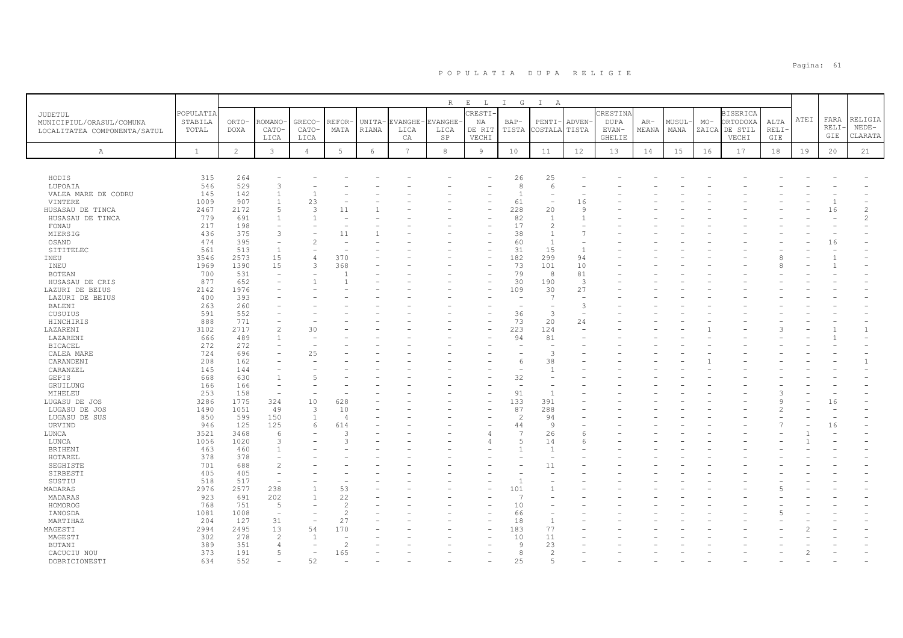|                                |                  |               |                                |                          |                       |                 |                  | $R_{\perp}$     | $\mathbf{E}$<br>L.       | $\mathbb{I}$<br>G              | $\mathbb{I}$<br>A                  |                       |               |              |               |       |                           |               |      |      |                |
|--------------------------------|------------------|---------------|--------------------------------|--------------------------|-----------------------|-----------------|------------------|-----------------|--------------------------|--------------------------------|------------------------------------|-----------------------|---------------|--------------|---------------|-------|---------------------------|---------------|------|------|----------------|
| JUDETUL                        | POPULATIA        |               |                                |                          |                       |                 |                  |                 | CRESTI                   |                                |                                    |                       | CRESTINA      |              |               |       | <b>BISERICA</b>           |               | ATEI | FARA | RELIGIA        |
| MUNICIPIUL/ORASUL/COMUNA       | STABILA<br>TOTAL | ORTO-<br>DOXA | ROMANO-<br>CATO-               | GRECO-<br>CATO-          | REFOR<br>MATA         | UNITA-<br>RIANA | EVANGHE-<br>LICA | EVANGHE<br>LICA | ΝA<br>DE RIT             | BAP-<br>TISTA                  | PENTI-<br>COSTALA                  | <b>ADVEN</b><br>TISTA | DUPA<br>EVAN- | AR-<br>MEANA | MUSUL<br>MANA | $MO-$ | ORTODOXA<br>ZAICA DE STIL | ALTA<br>RELI- |      | RELI | $NEDE-$        |
| LOCALITATEA COMPONENTA/SATUL   |                  |               | LICA                           | LICA                     |                       |                 | CA               | SP              | VECHI                    |                                |                                    |                       | GHELIE        |              |               |       | VECHI                     | GIE           |      | GIE  | CLARATA        |
| $\mathbb{A}$                   | $\mathbf{1}$     | $\mathbf{2}$  | 3                              | $\overline{4}$           | 5                     | 6               | $7\overline{ }$  | 8               | 9                        | 10                             | 11                                 | 12                    | 13            | 14           | 15            | 16    | 17                        | 18            | 19   | 20   | 21             |
|                                |                  |               |                                |                          |                       |                 |                  |                 |                          |                                |                                    |                       |               |              |               |       |                           |               |      |      |                |
|                                |                  |               |                                |                          |                       |                 |                  |                 |                          |                                |                                    |                       |               |              |               |       |                           |               |      |      |                |
| HODIS                          | 315              | 264           |                                |                          |                       |                 |                  |                 |                          | 26                             | 25                                 |                       |               |              |               |       |                           |               |      |      |                |
| LUPOAIA                        | 546              | 529           | 3                              |                          |                       |                 |                  |                 |                          | 8                              | 6                                  |                       |               |              |               |       |                           |               |      |      |                |
| VALEA MARE DE CODRU<br>VINTERE | 145<br>1009      | 142<br>907    | $\mathbf{1}$<br>$\overline{1}$ | 23                       |                       |                 |                  |                 |                          | 61                             | $\overline{\phantom{a}}$<br>$\sim$ | 16                    |               |              |               |       |                           |               |      |      |                |
| HUSASAU DE TINCA               | 2467             | 2172          | 5                              | 3                        | 11                    |                 |                  |                 |                          | 228                            | 20                                 | -9                    |               |              |               |       |                           |               |      | 16   | $\overline{c}$ |
| HUSASAU DE TINCA               | 779              | 691           | $\mathbf{1}$                   |                          |                       |                 |                  |                 |                          | 82                             | $\overline{1}$                     |                       |               |              |               |       |                           |               |      |      | $\overline{c}$ |
| FONAU                          | 217              | 198           | $\overline{\phantom{a}}$       |                          |                       |                 |                  |                 |                          | 17                             | $\mathbf{2}$                       |                       |               |              |               |       |                           |               |      |      |                |
| MIERSIG                        | 436              | 375           | 3                              |                          | 11                    |                 |                  |                 |                          | 38                             | $\mathbf{1}$                       |                       |               |              |               |       |                           |               |      |      |                |
| OSAND                          | 474              | 395           | $\overline{\phantom{m}}$       |                          |                       |                 |                  |                 | $\overline{\phantom{a}}$ | 60                             | $\overline{1}$                     |                       |               |              |               |       |                           |               |      | 16   |                |
| SITITELEC                      | 561              | 513           | $\overline{1}$                 |                          |                       |                 |                  |                 |                          | 31                             | 15                                 | $\overline{1}$        |               |              |               |       |                           |               |      |      |                |
| INEU                           | 3546             | 2573          | 15                             | $\overline{4}$           | 370                   |                 |                  |                 | ÷                        | 182                            | 299                                | 94                    |               |              |               |       |                           |               |      |      |                |
| INEU                           | 1969             | 1390          | 15                             | 3                        | 368                   |                 |                  |                 |                          | 73                             | 101                                | 10                    |               |              |               |       |                           |               |      |      |                |
| <b>BOTEAN</b>                  | 700              | 531           | $\overline{\phantom{m}}$       |                          |                       |                 |                  |                 | $\overline{\phantom{a}}$ | 79                             | 8                                  | 81                    |               |              |               |       |                           |               |      |      |                |
| HUSASAU DE CRIS                | 877              | 652           |                                |                          |                       |                 |                  |                 |                          | 30                             | 190                                | 3                     |               |              |               |       |                           |               |      |      |                |
| LAZURI DE BEIUS                | 2142             | 1976          |                                |                          |                       |                 |                  |                 | ۰                        | 109                            | 30                                 | 27                    |               |              |               |       |                           |               |      |      |                |
| LAZURI DE BEIUS                | 400              | 393           |                                |                          |                       |                 |                  |                 |                          |                                | $\overline{7}$                     | 3                     |               |              |               |       |                           |               |      |      |                |
| BALENI<br>CUSUIUS              | 263<br>591       | 260<br>552    |                                |                          |                       |                 |                  |                 |                          | 36                             | $\overline{\phantom{a}}$<br>3      |                       |               |              |               |       |                           |               |      |      |                |
| HINCHIRIS                      | 888              | 771           |                                |                          |                       |                 |                  |                 | $\overline{\phantom{a}}$ | 73                             | 20                                 | 24                    |               |              |               |       |                           |               |      |      |                |
| LAZARENI                       | 3102             | 2717          | $\mathfrak{D}$                 | 30                       |                       |                 |                  |                 |                          | 223                            | 124                                |                       |               |              |               |       |                           |               |      |      | $\mathbf{1}$   |
| LAZARENI                       | 666              | 489           | $\overline{1}$                 |                          |                       |                 |                  |                 |                          | 94                             | 81                                 |                       |               |              |               |       |                           |               |      |      |                |
| <b>BICACEL</b>                 | 272              | 272           |                                |                          |                       |                 |                  |                 |                          |                                |                                    |                       |               |              |               |       |                           |               |      |      |                |
| CALEA MARE                     | 724              | 696           | $\equiv$                       | 25                       |                       |                 |                  |                 |                          |                                | 3                                  |                       |               |              |               |       |                           |               |      |      |                |
| CARANDENI                      | 208              | 162           |                                |                          |                       |                 |                  |                 |                          | -6                             | 38                                 |                       |               |              |               |       |                           |               |      |      |                |
| CARANZEL                       | 145              | 144           |                                |                          |                       |                 |                  |                 |                          | ٠                              | $\overline{1}$                     |                       |               |              |               |       |                           |               |      |      |                |
| <b>GEPIS</b>                   | 668              | 630           | $\mathbf{1}$                   |                          |                       |                 |                  |                 |                          | 32                             |                                    |                       |               |              |               |       |                           |               |      |      |                |
| GRUILUNG                       | 166              | 166           | $\overline{\phantom{a}}$       |                          |                       |                 |                  |                 |                          | ÷                              |                                    |                       |               |              |               |       |                           |               |      |      |                |
| MIHELEU                        | 253              | 158           | ÷                              |                          |                       |                 |                  |                 |                          | 91                             | $\mathbf{1}$                       |                       |               |              |               |       |                           |               |      |      |                |
| LUGASU DE JOS                  | 3286             | 1775          | 324                            | 10                       | 628                   |                 |                  |                 |                          | 133                            | 391                                |                       |               |              |               |       |                           | -9            |      | 16   |                |
| LUGASU DE JOS                  | 1490             | 1051          | 49                             | 3                        | 10                    |                 |                  |                 |                          | 87<br>$\overline{\mathcal{L}}$ | 288                                |                       |               |              |               |       |                           |               |      |      |                |
| LUGASU DE SUS                  | 850<br>946       | 599<br>125    | 150<br>125                     | $\overline{1}$<br>6      | $\overline{4}$<br>614 |                 |                  |                 |                          | 44                             | 94<br>$\mathbf{Q}$                 |                       |               |              |               |       |                           |               |      | 16   |                |
| URVIND<br>LUNCA                | 3521             | 3468          | 6                              |                          | 3                     |                 |                  |                 |                          | $\overline{7}$                 | 26                                 | 6                     |               |              |               |       |                           |               |      |      |                |
| LUNCA                          | 1056             | 1020          | 3                              |                          | 3                     |                 |                  |                 | 4                        | 5                              | 14                                 |                       |               |              |               |       |                           |               |      |      |                |
| BRIHENI                        | 463              | 460           | $\mathbf{1}$                   |                          |                       |                 |                  |                 |                          |                                | $\mathbf{1}$                       |                       |               |              |               |       |                           |               |      |      |                |
| HOTAREL                        | 378              | 378           |                                |                          |                       |                 |                  |                 |                          |                                |                                    |                       |               |              |               |       |                           |               |      |      |                |
| SEGHISTE                       | 701              | 688           | $\mathfrak{D}$                 |                          |                       |                 |                  |                 |                          |                                | 11                                 |                       |               |              |               |       |                           |               |      |      |                |
| SIRBESTI                       | 405              | 405           | $\overline{\phantom{a}}$       |                          |                       |                 |                  |                 |                          |                                |                                    |                       |               |              |               |       |                           |               |      |      |                |
| SUSTIU                         | 518              | 517           | $\overline{\phantom{a}}$       |                          |                       |                 |                  |                 |                          | $\overline{1}$                 |                                    |                       |               |              |               |       |                           |               |      |      |                |
| MADARAS                        | 2976             | 2577          | 238                            | $\mathbf{1}$             | 53                    |                 |                  |                 |                          | 101                            |                                    |                       |               |              |               |       |                           |               |      |      |                |
| MADARAS                        | 923              | 691           | 202                            | $\overline{1}$           | 22                    |                 |                  |                 |                          | -7                             |                                    |                       |               |              |               |       |                           |               |      |      |                |
| HOMOROG                        | 768              | 751           | 5                              |                          | $\overline{2}$        |                 |                  |                 |                          | 10                             |                                    |                       |               |              |               |       |                           |               |      |      |                |
| IANOSDA                        | 1081             | 1008          | $\sim$                         |                          | 2                     |                 |                  |                 |                          | 66                             | $\overline{\phantom{a}}$           |                       |               |              |               |       |                           |               |      |      |                |
| MARTIHAZ                       | 204              | 127           | 31                             |                          | 27                    |                 |                  |                 |                          | 18                             | $\overline{1}$                     |                       |               |              |               |       |                           |               |      |      |                |
| MAGESTI                        | 2994             | 2495          | 13                             | 54                       | 170                   |                 |                  |                 |                          | 183                            | 77                                 |                       |               |              |               |       |                           |               |      |      |                |
| MAGESTI                        | 302              | 278           | $\mathbf{2}$                   | $\overline{1}$           |                       |                 |                  |                 |                          | 10                             | 11                                 |                       |               |              |               |       |                           |               |      |      |                |
| BUTANI                         | 389              | 351           | $\overline{4}$<br>5            | $\overline{\phantom{a}}$ | $\overline{c}$        |                 |                  |                 |                          | 9<br>8                         | 23                                 |                       |               |              |               |       |                           |               |      |      |                |
| CACUCIU NOU                    | 373<br>634       | 191<br>552    | $\overline{\phantom{a}}$       | 52                       | 165                   |                 |                  |                 |                          | 25                             | $\overline{2}$<br>5                |                       |               |              |               |       |                           |               |      |      |                |
| DOBRICIONESTI                  |                  |               |                                |                          |                       |                 |                  |                 |                          |                                |                                    |                       |               |              |               |       |                           |               |      |      |                |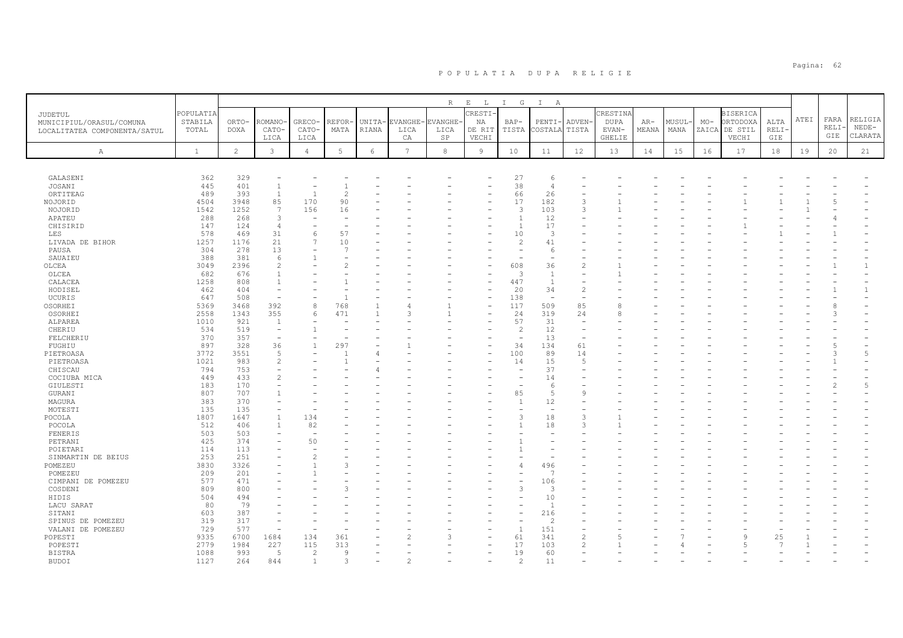|                              |              |                |                |                          |                |        |                 | $\mathbb R$ | $\mathbf{E}$<br>$\mathbb{L}$ | $\mathbb{I}$<br>G        | $\mathbb{I}$<br>A        |                                |               |       |       |       |                 |       |      |       |         |
|------------------------------|--------------|----------------|----------------|--------------------------|----------------|--------|-----------------|-------------|------------------------------|--------------------------|--------------------------|--------------------------------|---------------|-------|-------|-------|-----------------|-------|------|-------|---------|
| JUDETUL                      | POPULATIA    |                |                |                          |                |        |                 |             | RESTI                        |                          |                          |                                | CRESTINA      |       |       |       | <b>BISERICA</b> |       |      |       |         |
| MUNICIPIUL/ORASUL/COMUNA     | STABILA      | ORTO-          | <b>COMANO</b>  | <b>GRECO</b>             | REFOR·         | UNITA- | <b>EVANGHE</b>  | EVANGHE-    | ΝA                           | $BAP-$                   | PENTI-                   | ADVEN-                         | <b>DUPA</b>   | $AR-$ | MUSUL | $MO-$ | ORTODOXA        | ALTA  | ATEI | FARA  | RELIGIA |
| LOCALITATEA COMPONENTA/SATUL | TOTAL        | <b>DOXA</b>    | CATO-          | CATO-                    | MATA           | RIANA  | LICA            | LICA        | DE RIT                       | TISTA                    | COSTALA                  | TISTA                          | EVAN-         | MEANA | MANA  | ZAICA | DE STIL         | RELI- |      | RELI- | $NEDE-$ |
|                              |              |                | LICA           | LICA                     |                |        | CA              | SP          | VECHI                        |                          |                          |                                | <b>GHELIE</b> |       |       |       | VECHI           | GIE   |      | GIE   | CLARATA |
|                              |              |                |                |                          |                |        |                 |             |                              |                          |                          |                                |               |       |       |       |                 |       |      |       |         |
| Α                            | $\mathbf{1}$ | $\overline{c}$ | $\mathbf{3}$   | 4                        | 5              | 6      | $7\phantom{.0}$ | 8           | 9                            | 10                       | 11                       | 12                             | 13            | 14    | 15    | 16    | 17              | 18    | 19   | 20    | 21      |
|                              |              |                |                |                          |                |        |                 |             |                              |                          |                          |                                |               |       |       |       |                 |       |      |       |         |
|                              |              |                |                |                          |                |        |                 |             |                              |                          |                          |                                |               |       |       |       |                 |       |      |       |         |
| GALASENI                     | 362          | 329            |                |                          |                |        |                 |             |                              | 27                       | 6                        |                                |               |       |       |       |                 |       |      |       |         |
| JOSANI                       | 445          | 401            | $\overline{1}$ |                          |                |        |                 |             |                              | 38                       | $\overline{4}$           |                                |               |       |       |       |                 |       |      |       |         |
| ORTITEAG                     | 489          | 393            | $\overline{1}$ | $\overline{1}$           | $\overline{c}$ |        |                 |             |                              | 66                       | 26                       |                                |               |       |       |       |                 |       |      |       |         |
| NOJORID                      | 4504         | 3948           | 85             | 170                      | 90             |        |                 |             |                              | 17                       | 182                      | 3                              |               |       |       |       |                 |       |      |       |         |
| NOJORID                      | 1542         | 1252           | 7              | 156                      | 16             |        |                 |             |                              | 3                        | 103                      | 3                              |               |       |       |       |                 |       |      |       |         |
| APATEU                       | 288          | 268            | 3              |                          |                |        |                 |             |                              | $\overline{1}$           | 12                       |                                |               |       |       |       |                 |       |      |       |         |
| CHISIRID                     | 147          | 124            | $\overline{4}$ | $\overline{\phantom{a}}$ |                |        |                 |             |                              | $\mathbf{1}$             | 17                       |                                |               |       |       |       |                 |       |      |       |         |
| LES                          | 578          | 469            | 31             | 6                        | 57             |        |                 |             |                              | 10                       | 3                        |                                |               |       |       |       |                 |       |      |       |         |
| LIVADA DE BIHOR              | 1257         | 1176           | 21             | $\overline{7}$           | 10             |        |                 |             |                              | $\overline{c}$           | 41                       |                                |               |       |       |       |                 |       |      |       |         |
| PAUSA                        | 304          | 278            | 13             | $\overline{\phantom{m}}$ | $\overline{7}$ |        |                 |             |                              | $\overline{\phantom{m}}$ | -6                       |                                |               |       |       |       |                 |       |      |       |         |
| SAUAIEU                      | 388          | 381            | 6              |                          |                |        |                 |             |                              |                          |                          |                                |               |       |       |       |                 |       |      |       |         |
| OLCEA                        | 3049         | 2396           | $\mathfrak{D}$ |                          |                |        |                 |             |                              | 608                      | 36                       | $\mathcal{L}$                  |               |       |       |       |                 |       |      |       |         |
| OLCEA                        | 682          | 676            |                |                          |                |        |                 |             |                              | 3                        | $\overline{1}$           |                                |               |       |       |       |                 |       |      |       |         |
| CALACEA                      | 1258         | 808            |                |                          |                |        |                 |             |                              | 447                      | $\overline{1}$           | $\sim$                         |               |       |       |       |                 |       |      |       |         |
| HODISEL                      | 462          | 404            |                |                          |                |        |                 |             |                              | 20                       | 34                       | $\overline{c}$                 |               |       |       |       |                 |       |      |       | -1      |
| UCURIS                       | 647          | 508            |                |                          |                |        |                 |             |                              | 138                      | $\overline{\phantom{a}}$ | $\overline{\phantom{a}}$       |               |       |       |       |                 |       |      |       |         |
| OSORHEI                      | 5369         | 3468           | 392            | 8                        | 768            |        |                 |             |                              | 117                      | 509                      | 85                             | 8             |       |       |       |                 |       |      |       |         |
| OSORHEI                      | 2558         | 1343           | 355            | 6                        | 471            |        | Р               |             |                              | 24                       | 319                      | 24                             | 8             |       |       |       |                 |       |      |       |         |
| ALPAREA                      | 1010         | 921            | -1             |                          |                |        |                 |             |                              | 57                       | 31                       | $\overline{\phantom{a}}$<br>÷, |               |       |       |       |                 |       |      |       |         |
| CHERIU                       | 534          | 519            |                |                          |                |        |                 |             |                              | $\overline{c}$           | 12                       |                                |               |       |       |       |                 |       |      |       |         |
| FELCHERIU                    | 370          | 357            |                |                          |                |        |                 |             |                              |                          | 13                       | $\overline{\phantom{a}}$       |               |       |       |       |                 |       |      |       |         |
| FUGHIU                       | 897          | 328<br>3551    | 36<br>-5       | $\overline{1}$           | 297            |        |                 |             |                              | 34                       | 134                      | 61                             |               |       |       |       |                 |       |      |       | 5       |
| PIETROASA                    | 3772<br>1021 | 983            | $\overline{c}$ |                          |                |        |                 |             |                              | 100<br>14                | 89<br>15                 | 14<br>5                        |               |       |       |       |                 |       |      |       |         |
| PIETROASA<br>CHISCAU         | 794          | 753            |                |                          |                |        |                 |             |                              |                          | 37                       |                                |               |       |       |       |                 |       |      |       |         |
| COCIUBA MICA                 | 449          | 433            |                |                          |                |        |                 |             |                              |                          | 14                       |                                |               |       |       |       |                 |       |      |       |         |
| GIULESTI                     | 183          | 170            |                |                          |                |        |                 |             |                              | $\overline{\phantom{a}}$ | 6                        |                                |               |       |       |       |                 |       |      |       | 5       |
| GURANI                       | 807          | 707            |                |                          |                |        |                 |             |                              | 85                       | 5                        | 9                              |               |       |       |       |                 |       |      |       |         |
| MAGURA                       | 383          | 370            |                |                          |                |        |                 |             |                              | $\overline{1}$           | 12                       |                                |               |       |       |       |                 |       |      |       |         |
| MOTESTI                      | 135          | 135            |                |                          |                |        |                 |             |                              |                          | $\overline{\phantom{a}}$ |                                |               |       |       |       |                 |       |      |       |         |
| POCOLA                       | 1807         | 1647           |                | 134                      |                |        |                 |             |                              | 3                        | 18                       | 3                              |               |       |       |       |                 |       |      |       |         |
| POCOLA                       | 512          | 406            |                | 82                       |                |        |                 |             |                              |                          | 18                       | 3                              |               |       |       |       |                 |       |      |       |         |
| FENERIS                      | 503          | 503            |                |                          |                |        |                 |             |                              |                          |                          |                                |               |       |       |       |                 |       |      |       |         |
| PETRANI                      | 425          | 374            |                | 50                       |                |        |                 |             |                              |                          |                          |                                |               |       |       |       |                 |       |      |       |         |
| POIETARI                     | 114          | 113            |                |                          |                |        |                 |             |                              |                          |                          |                                |               |       |       |       |                 |       |      |       |         |
| SINMARTIN DE BEIUS           | 253          | 251            |                | $\overline{c}$           |                |        |                 |             |                              |                          |                          |                                |               |       |       |       |                 |       |      |       |         |
| POMEZEU                      | 3830         | 3326           |                |                          | F              |        |                 |             |                              | $\overline{4}$           | 496                      |                                |               |       |       |       |                 |       |      |       |         |
| POMEZEU                      | 209          | 201            |                |                          |                |        |                 |             |                              |                          | J.                       |                                |               |       |       |       |                 |       |      |       |         |
| CIMPANI DE POMEZEU           | 577          | 471            |                |                          |                |        |                 |             |                              | ۰                        | 106                      |                                |               |       |       |       |                 |       |      |       |         |
| COSDENI                      | 809          | 800            |                |                          |                |        |                 |             |                              | 3                        | 3                        |                                |               |       |       |       |                 |       |      |       |         |
| HIDIS                        | 504          | 494            |                |                          |                |        |                 |             |                              |                          | 10                       |                                |               |       |       |       |                 |       |      |       |         |
| LACU SARAT                   | 80           | 79             |                |                          |                |        |                 |             |                              |                          | $\overline{1}$           |                                |               |       |       |       |                 |       |      |       |         |
| SITANI                       | 603          | 387            |                |                          |                |        |                 |             |                              |                          | 216                      |                                |               |       |       |       |                 |       |      |       |         |
| SPINUS DE POMEZEU            | 319          | 317            |                |                          |                |        |                 |             |                              |                          | 2                        |                                |               |       |       |       |                 |       |      |       |         |
| VALANI DE POMEZEU            | 729          | 577            |                | ٠                        |                |        |                 |             |                              | $\overline{1}$           | 151                      | $\overline{\phantom{a}}$       |               |       |       |       |                 |       |      |       |         |
| POPESTI                      | 9335         | 6700           | 1684           | 134                      | 361            |        |                 |             |                              | 61                       | 341                      | $\overline{2}$                 |               |       |       |       | $\mathsf{Q}$    | 25    |      |       |         |
| POPESTI                      | 2779         | 1984           | 227            | 115                      | 313            |        |                 |             |                              | 17                       | 103                      | $\overline{2}$                 |               |       |       |       | $\overline{5}$  |       |      |       |         |
| <b>BISTRA</b>                | 1088         | 993            | -5             | $\mathbf{2}$             | 9              |        |                 |             |                              | 19                       | 60                       |                                |               |       |       |       |                 |       |      |       |         |
| <b>BUDOT</b>                 | 1127         | 264            | 844            |                          | $\mathcal{R}$  |        |                 |             |                              | $\mathcal{P}$            | 11                       |                                |               |       |       |       |                 |       |      |       |         |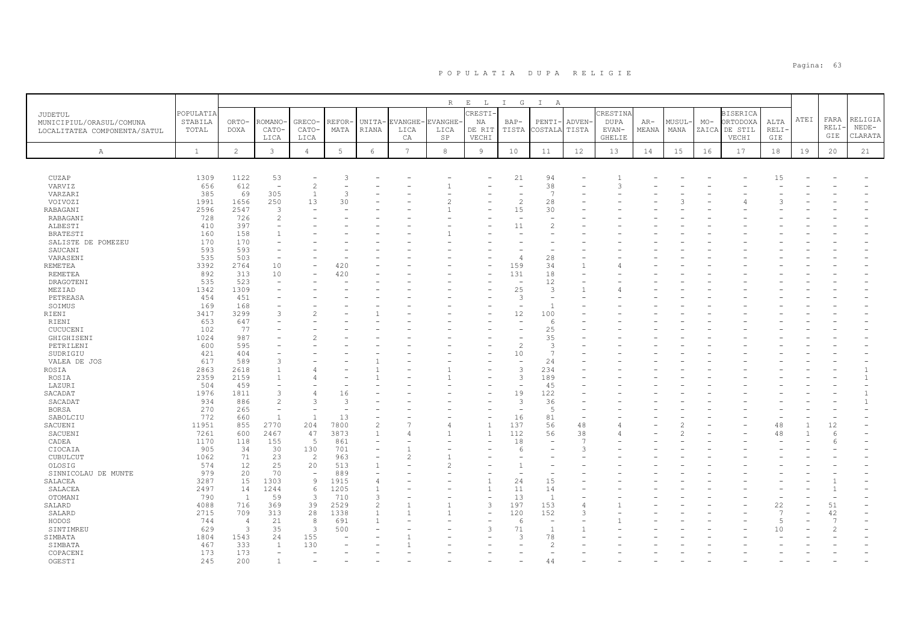|                              |              |                     |                                |                          |             |                                          |                 | $\mathbb R$ | $\mathbf{E}$<br>$\mathbb{L}$ | G<br>$\mathbb{I}$                          | $\mathbb{I}$<br>A   |                          |               |       |       |       |                 |                     |      |       |         |
|------------------------------|--------------|---------------------|--------------------------------|--------------------------|-------------|------------------------------------------|-----------------|-------------|------------------------------|--------------------------------------------|---------------------|--------------------------|---------------|-------|-------|-------|-----------------|---------------------|------|-------|---------|
| JUDETUL                      | POPULATIA    |                     |                                |                          |             |                                          |                 |             | RESTI                        |                                            |                     |                          | CRESTINA      |       |       |       | <b>BISERICA</b> |                     |      |       |         |
| MUNICIPIUL/ORASUL/COMUNA     | STABILA      | ORTO-               | <b>COMANO</b>                  | <b>GRECO</b>             | REFOR·      | UNITA-                                   | EVANGHE         | EVANGHE-    | ΝA                           | $BAP-$                                     | PENTI-              | ADVEN-                   | <b>DUPA</b>   | $AR-$ | MUSUL | $MO-$ | ORTODOXA        | ALTA                | ATEI | FARA  | RELIGIA |
| LOCALITATEA COMPONENTA/SATUL | TOTAL        | <b>DOXA</b>         | CATO-                          | CATO-                    | MATA        | RIANA                                    | LICA            | LICA        | DE RIT                       | TISTA                                      | COSTALA             | TISTA                    | EVAN-         | MEANA | MANA  | ZAICA | DE STIL         | RELI-               |      | RELI- | $NEDE-$ |
|                              |              |                     | LICA                           | LICA                     |             |                                          | CA              | SP          | VECHI                        |                                            |                     |                          | <b>GHELIE</b> |       |       |       | VECHI           | GIE                 |      | GIE   | CLARATA |
| Α                            | $\mathbf{1}$ | $\overline{c}$      | $\mathbf{3}$                   | 4                        | 5           | 6                                        | $7\phantom{.0}$ | 8           | 9                            | 10                                         | 11                  | 12                       | 13            | 14    | 15    | 16    | 17              | $1\,8$              | 19   | 20    | 21      |
|                              |              |                     |                                |                          |             |                                          |                 |             |                              |                                            |                     |                          |               |       |       |       |                 |                     |      |       |         |
|                              |              |                     |                                |                          |             |                                          |                 |             |                              |                                            |                     |                          |               |       |       |       |                 |                     |      |       |         |
| CUZAP                        | 1309         | 1122                | 53                             | ٠                        | -3          |                                          |                 |             |                              | 21                                         | 94                  |                          |               |       |       |       |                 | 15                  |      |       |         |
| VARVIZ                       | 656          | 612                 | $\overline{a}$                 | 2                        |             |                                          |                 |             |                              | $\overline{\phantom{a}}$                   | 38<br>-7            |                          | 3             |       |       |       |                 |                     |      |       |         |
| VARZARI<br>VOIVOZI           | 385<br>1991  | 69<br>1656          | 305<br>250                     | $\overline{1}$<br>13     | 3<br>30     |                                          |                 |             |                              | $\overline{\phantom{a}}$<br>$\overline{c}$ | 28                  |                          |               |       |       |       |                 |                     |      |       |         |
| <b>RABAGANI</b>              | 2596         | 2547                | 3                              |                          |             |                                          |                 |             |                              | 15                                         | 30                  |                          |               |       |       |       |                 |                     |      |       |         |
| RABAGANI                     | 728          | 726                 | $\overline{c}$                 |                          |             |                                          |                 |             |                              |                                            |                     |                          |               |       |       |       |                 |                     |      |       |         |
| ALBESTI                      | 410          | 397                 |                                |                          |             |                                          |                 |             |                              | 11                                         |                     |                          |               |       |       |       |                 |                     |      |       |         |
| <b>BRATESTI</b>              | 160          | 158                 |                                |                          |             |                                          |                 |             |                              |                                            |                     |                          |               |       |       |       |                 |                     |      |       |         |
| SALISTE DE POMEZEU           | 170          | 170                 |                                |                          |             |                                          |                 |             |                              |                                            |                     |                          |               |       |       |       |                 |                     |      |       |         |
| SAUCANI                      | 593          | 593                 |                                |                          |             |                                          |                 |             |                              |                                            |                     |                          |               |       |       |       |                 |                     |      |       |         |
| VARASENI                     | 535          | 503                 |                                |                          |             |                                          |                 |             |                              | $\sqrt{2}$                                 | 28                  |                          |               |       |       |       |                 |                     |      |       |         |
| <b>REMETEA</b>               | 3392         | 2764                | 10                             |                          | 420         |                                          |                 |             |                              | 159                                        | 34                  |                          |               |       |       |       |                 |                     |      |       |         |
| REMETEA<br>DRAGOTENI         | 892<br>535   | 313<br>523          | 10<br>$\overline{\phantom{a}}$ |                          | 420         |                                          |                 |             |                              | 131<br>۰                                   | 18<br>12            |                          |               |       |       |       |                 |                     |      |       |         |
| MEZIAD                       | 1342         | 1309                |                                |                          |             |                                          |                 |             |                              | 25                                         | 3                   |                          |               |       |       |       |                 |                     |      |       |         |
| PETREASA                     | 454          | 451                 |                                |                          |             |                                          |                 |             |                              | 3                                          |                     |                          |               |       |       |       |                 |                     |      |       |         |
| SOIMUS                       | 169          | 168                 |                                |                          |             |                                          |                 |             |                              |                                            | $\overline{1}$      |                          |               |       |       |       |                 |                     |      |       |         |
| RIENI                        | 3417         | 3299                | $\mathcal{R}$                  | $\mathfrak{D}$           |             |                                          |                 |             |                              | 12                                         | 100                 |                          |               |       |       |       |                 |                     |      |       |         |
| RIENI                        | 653          | 647                 |                                |                          |             |                                          |                 |             |                              |                                            | -6                  |                          |               |       |       |       |                 |                     |      |       |         |
| CUCUCENI                     | 102          | 77                  |                                |                          |             |                                          |                 |             |                              |                                            | 25                  |                          |               |       |       |       |                 |                     |      |       |         |
| GHIGHISENI                   | 1024         | 987                 |                                | $\overline{2}$           |             |                                          |                 |             |                              |                                            | 35                  |                          |               |       |       |       |                 |                     |      |       |         |
| PETRILENI                    | 600          | 595                 |                                |                          |             |                                          |                 |             |                              | $\overline{c}$                             | 3<br>$\overline{7}$ |                          |               |       |       |       |                 |                     |      |       |         |
| SUDRIGIU<br>VALEA DE JOS     | 421<br>617   | 404<br>589          | 3                              |                          |             |                                          |                 |             |                              | 10<br>$\overline{\phantom{a}}$             | 24                  |                          |               |       |       |       |                 |                     |      |       |         |
| ROSIA                        | 2863         | 2618                |                                |                          |             |                                          |                 |             |                              | 3                                          | 234                 |                          |               |       |       |       |                 |                     |      |       |         |
| ROSIA                        | 2359         | 2159                |                                |                          |             |                                          |                 |             |                              | 3                                          | 189                 |                          |               |       |       |       |                 |                     |      |       |         |
| LAZURI                       | 504          | 459                 |                                |                          |             |                                          |                 |             |                              | $\overline{\phantom{a}}$                   | 45                  |                          |               |       |       |       |                 |                     |      |       |         |
| SACADAT                      | 1976         | 1811                | 3                              | 4                        | 16          |                                          |                 |             |                              | 19                                         | 122                 |                          |               |       |       |       |                 |                     |      |       |         |
| SACADAT                      | 934          | 886                 | $\mathfrak{D}$                 | 3                        | 3           |                                          |                 |             |                              | 3                                          | 36                  |                          |               |       |       |       |                 |                     |      |       |         |
| <b>BORSA</b>                 | 270          | 265                 | $\overline{\phantom{a}}$       | $\overline{\phantom{a}}$ | ÷           |                                          |                 |             |                              | ۰                                          | $\overline{5}$      |                          |               |       |       |       |                 |                     |      |       |         |
| SABOLCIU                     | 772          | 660                 | $\overline{1}$                 | $\mathbf{1}$             | 13          |                                          |                 |             |                              | 16                                         | 81                  | $\overline{\phantom{a}}$ |               |       |       |       |                 |                     |      |       |         |
| SACUENI                      | 11951        | 855                 | 2770                           | 204                      | 7800        | $\overline{c}$                           |                 |             | $\mathbf{1}$                 | 137                                        | 56                  | 48                       |               |       |       |       |                 | 48                  |      | 12    |         |
| SACUENI                      | 7261<br>1170 | 600<br>118          | 2467<br>155                    | 47<br>5                  | 3873<br>861 | $\mathbf{1}$<br>$\overline{\phantom{a}}$ | Δ               |             | $\overline{1}$               | 112<br>18                                  | 56                  | 38<br>7                  |               |       |       |       |                 | 48                  |      | 6     |         |
| CADEA<br>CIOCAIA             | 905          | 34                  | 30                             | 130                      | 701         | $\overline{\phantom{a}}$                 |                 |             |                              | 6                                          |                     | 3                        |               |       |       |       |                 |                     |      |       |         |
| CUBULCUT                     | 1062         | 71                  | 23                             | 2                        | 963         |                                          | 2               |             |                              |                                            |                     |                          |               |       |       |       |                 |                     |      |       |         |
| OLOSIG                       | 574          | 12                  | 25                             | 20                       | 513         | $\mathbf{1}$                             |                 | 2           |                              | $\mathbf{1}$                               |                     |                          |               |       |       |       |                 |                     |      |       |         |
| SINNICOLAU DE MUNTE          | 979          | 20                  | 70                             | $\overline{\phantom{a}}$ | 889         |                                          |                 |             |                              |                                            |                     |                          |               |       |       |       |                 |                     |      |       |         |
| SALACEA                      | 3287         | 15                  | 1303                           | $\overline{9}$           | 1915        | $\overline{4}$                           |                 |             |                              | 24                                         | 15                  |                          |               |       |       |       |                 |                     |      |       |         |
| SALACEA                      | 2497         | 14                  | 1244                           | 6                        | 1205        | 1                                        |                 |             | 1                            | 11                                         | 14                  |                          |               |       |       |       |                 |                     |      |       |         |
| OTOMANI                      | 790          | $\mathbf{1}$        | 59                             | 3                        | 710         | 3                                        |                 |             |                              | 13                                         | $\overline{1}$      |                          |               |       |       |       |                 |                     |      |       |         |
| SALARD                       | 4088         | 716                 | 369                            | 39                       | 2529        | $\mathbf{2}$                             |                 |             | 3                            | 197                                        | 153                 | 4                        |               |       |       |       |                 | 22                  |      | 51    |         |
| SALARD                       | 2715         | 709                 | 313                            | 28                       | 1338        | $\mathbf{1}$                             |                 |             |                              | 120                                        | 152                 | 3                        |               |       |       |       |                 | 7<br>$\overline{5}$ |      | 42    |         |
| HODOS<br>SINTIMREU           | 744<br>629   | $\overline{4}$<br>3 | 21<br>35                       | 8<br>3                   | 691<br>500  | $\mathbf{1}$                             |                 |             | 3                            | 6<br>71                                    | $\overline{1}$      |                          |               |       |       |       |                 | 10                  |      |       |         |
| SIMBATA                      | 1804         | 1543                | 24                             | 155                      |             |                                          |                 |             |                              | 3                                          | 78                  |                          |               |       |       |       |                 |                     |      |       |         |
| SIMBATA                      | 467          | 333                 | $\overline{1}$                 | 130                      |             |                                          |                 |             |                              |                                            | 2                   |                          |               |       |       |       |                 |                     |      |       |         |
| COPACENI                     | 173          | 173                 |                                |                          |             |                                          |                 |             |                              |                                            |                     |                          |               |       |       |       |                 |                     |      |       |         |
| OGESTI                       | 245          | 200                 |                                |                          |             |                                          |                 |             |                              |                                            | Δ2                  |                          |               |       |       |       |                 |                     |      |       |         |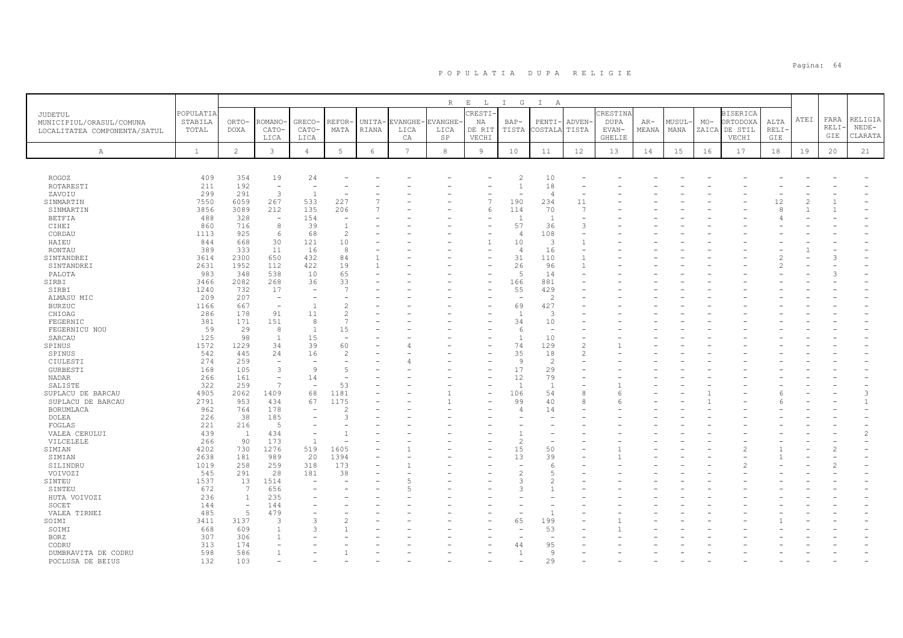|                              |              |                          |                          |                          |                          |            |         | R             | $E$ L  | I G            | $\mathbb{I}$<br>A        |        |          |       |        |       |                 |       |      |       |                |
|------------------------------|--------------|--------------------------|--------------------------|--------------------------|--------------------------|------------|---------|---------------|--------|----------------|--------------------------|--------|----------|-------|--------|-------|-----------------|-------|------|-------|----------------|
| JUDETUL                      | POPULATIA    |                          |                          |                          |                          |            |         |               | CRESTI |                |                          |        | CRESTINA |       |        |       | <b>BISERICA</b> |       |      |       |                |
| MUNICIPIUL/ORASUL/COMUNA     | STABILA      | ORTO-                    | ROMANO                   | GRECO-                   | REFOR                    | UNITA-     | EVANGHE | <b>VANGHE</b> | ΝA     | $BAP-$         | PENTI-                   | ADVEN- | DUPA     | $AR-$ | MUSUL- | $MO-$ | ORTODOXA        | ALTA  | ATEI | FARA  | RELIGIA        |
| LOCALITATEA COMPONENTA/SATUL | TOTAL        | DOXA                     | CATO-                    | CATO-                    | MATA                     | RIANA      | LICA    | LICA          | DE RIT | TISTA          | COSTALA                  | TISTA  | EVAN-    | MEANA | MANA   |       | ZAICA DE STIL   | RELI· |      | RELI· | $NEDE-$        |
|                              |              |                          | LICA                     | LICA                     |                          |            | СA      | SP            | VECHI  |                |                          |        | GHELIE   |       |        |       | VECHI           | GIE   |      | GIE   | CLARATA        |
| А                            | $\mathbf{1}$ | $\overline{c}$           | 3                        | $\overline{4}$           | 5                        | $\epsilon$ | 7       | $^{\rm 8}$    | 9      | 10             | 11                       | 12     | 13       | 14    | 15     | 16    | 17              | 18    | 19   | 20    | 21             |
|                              |              |                          |                          |                          |                          |            |         |               |        |                |                          |        |          |       |        |       |                 |       |      |       |                |
| ROGOZ                        | 409          | 354                      | 19                       | 24                       |                          |            |         |               |        | $\overline{c}$ | 10                       |        |          |       |        |       |                 |       |      |       |                |
| ROTARESTI                    | 211          | 192                      | $\sim$                   |                          |                          |            |         |               |        | $\mathbf{1}$   | 18                       |        |          |       |        |       |                 |       |      |       |                |
| ZAVOIU                       | 299          | 291                      | $\overline{3}$           | $\overline{1}$           |                          |            |         |               |        |                | $\overline{4}$           |        |          |       |        |       |                 |       |      |       |                |
| SINMARTIN                    | 7550         | 6059                     | 267                      | 533                      | 227                      |            |         |               |        | 190            | 234                      | 11     |          |       |        |       |                 | 12    |      |       |                |
| SINMARTIN                    | 3856         | 3089                     | 212                      | 135                      | 206                      |            |         |               | 6      | 114            | 70                       | 7      |          |       |        |       |                 | 8     |      |       |                |
| <b>BETFIA</b>                | 488          | 328                      | $\sim$                   | 154                      |                          |            |         |               |        |                | $\overline{1}$           |        |          |       |        |       |                 |       |      |       |                |
| CIHEI                        | 860          | 716                      | 8                        | 39                       |                          |            |         |               |        | 57             | 36                       | 3      |          |       |        |       |                 |       |      |       |                |
| CORDAU                       | 1113         | 925                      | 6                        | 68                       | $\overline{\mathcal{L}}$ |            |         |               |        | $\overline{4}$ | 108                      |        |          |       |        |       |                 |       |      |       |                |
| HAIEU                        | 844          | 668                      | 30                       | 121                      | 10                       |            |         |               |        | 10             | 3                        |        |          |       |        |       |                 |       |      |       |                |
| RONTAU                       | 389          | 333                      | 11                       | 16                       | $\mathcal{R}$            |            |         |               |        | $\overline{4}$ | 16                       |        |          |       |        |       |                 |       |      |       |                |
| SINTANDREI                   | 3614         | 2300                     | 650                      | 432                      | 84                       |            |         |               |        | 31             | 110                      |        |          |       |        |       |                 |       |      |       |                |
| SINTANDREI                   | 2631         | 1952                     | 112                      | 422                      | 19                       |            |         |               |        | 26<br>5        | 96                       |        |          |       |        |       |                 |       |      |       |                |
| PALOTA<br>SIRBI              | 983<br>3466  | 348<br>2082              | 538<br>268               | 10<br>36                 | 65<br>33                 |            |         |               |        | 166            | 14<br>881                |        |          |       |        |       |                 |       |      |       |                |
| SIRBI                        | 1240         | 732                      | 17                       |                          |                          |            |         |               |        | 55             | 429                      |        |          |       |        |       |                 |       |      |       |                |
| ALMASU MIC                   | 209          | 207                      | $\overline{\phantom{a}}$ |                          |                          |            |         |               |        | ۰              | $\overline{c}$           |        |          |       |        |       |                 |       |      |       |                |
| <b>BURZUC</b>                | 1166         | 667                      | $\overline{\phantom{a}}$ | $\overline{1}$           |                          |            |         |               |        | 69             | 427                      |        |          |       |        |       |                 |       |      |       |                |
| CHIOAG                       | 286          | 178                      | 91                       | 11                       |                          |            |         |               |        | $\overline{1}$ | 3                        |        |          |       |        |       |                 |       |      |       |                |
| FEGERNIC                     | 381          | 171                      | 151                      | 8                        |                          |            |         |               |        | 34             | 10                       |        |          |       |        |       |                 |       |      |       |                |
| FEGERNICU NOU                | 59           | 29                       | 8                        | $\overline{1}$           | 15                       |            |         |               |        | 6              | $\overline{\phantom{a}}$ |        |          |       |        |       |                 |       |      |       |                |
| SARCAU                       | 125          | 98                       | $\overline{1}$           | 15                       |                          |            |         |               |        | -1             | 10                       |        |          |       |        |       |                 |       |      |       |                |
| SPINUS                       | 1572         | 1229                     | 34                       | 39                       | 60                       |            |         |               |        | 74             | 129                      | 2      |          |       |        |       |                 |       |      |       |                |
| SPINUS                       | 542          | 445                      | 24                       | 16                       |                          |            |         |               |        | 35             | 18                       | 2      |          |       |        |       |                 |       |      |       |                |
| CIULESTI                     | 274          | 259                      | $\sim$                   |                          |                          |            |         |               |        | -9             | $\overline{2}$           |        |          |       |        |       |                 |       |      |       |                |
| <b>GURBESTI</b>              | 168          | 105                      | $\overline{3}$           | 9                        |                          |            |         |               |        | 17             | 29                       |        |          |       |        |       |                 |       |      |       |                |
| NADAR                        | 266          | 161                      | $\equiv$                 | 14                       |                          |            |         |               |        | 12             | 79                       |        |          |       |        |       |                 |       |      |       |                |
| SALISTE                      | 322          | 259                      | 7                        | $\overline{\phantom{a}}$ | 53                       |            |         |               |        | $\overline{1}$ | $\overline{1}$           |        |          |       |        |       |                 |       |      |       |                |
| SUPLACU DE BARCAU            | 4905         | 2062                     | 1409                     | 68                       | 1181                     |            |         |               |        | 106            | 54                       | 8      |          |       |        |       |                 |       |      |       | 3              |
| SUPLACU DE BARCAU            | 2791         | 953                      | 434                      | 67                       | 1175                     |            |         |               |        | 99             | 40                       | 8      |          |       |        |       |                 |       |      |       | $\mathbf{1}$   |
| BORUMLACA                    | 962          | 764                      | 178                      |                          |                          |            |         |               |        | 4              | 14                       |        |          |       |        |       |                 |       |      |       |                |
| DOLEA                        | 226          | 38                       | 185                      |                          |                          |            |         |               |        |                |                          |        |          |       |        |       |                 |       |      |       |                |
| FOGLAS                       | 221<br>439   | 216                      | 5<br>434                 |                          |                          |            |         |               |        |                |                          |        |          |       |        |       |                 |       |      |       | $\mathfrak{D}$ |
| VALEA CERULUI<br>VILCELELE   | 266          | $\mathbf{1}$<br>90       | 173                      | $\overline{1}$           |                          |            |         |               |        |                |                          |        |          |       |        |       |                 |       |      |       |                |
| SIMIAN                       | 4202         | 730                      | 1276                     | 519                      | 1605                     |            |         |               |        | 15             | 50                       |        |          |       |        |       |                 |       |      |       |                |
| SIMIAN                       | 2638         | 181                      | 989                      | 20                       | 1394                     |            |         |               |        | 13             | 39                       |        |          |       |        |       |                 |       |      |       |                |
| SILINDRU                     | 1019         | 258                      | 259                      | 318                      | 173                      |            |         |               |        |                | 6                        |        |          |       |        |       |                 |       |      |       |                |
| VOIVOZI                      | 545          | 291                      | 28                       | 181                      | 38                       |            |         |               |        |                | 5                        |        |          |       |        |       |                 |       |      |       |                |
| SINTEU                       | 1537         | 13                       | 1514                     |                          |                          |            |         |               |        |                |                          |        |          |       |        |       |                 |       |      |       |                |
| SINTEU                       | 672          | 7                        | 656                      |                          |                          |            |         |               |        |                |                          |        |          |       |        |       |                 |       |      |       |                |
| HUTA VOIVOZI                 | 236          | $\mathbf{1}$             | 235                      |                          |                          |            |         |               |        |                |                          |        |          |       |        |       |                 |       |      |       |                |
| SOCET                        | 144          | $\overline{\phantom{a}}$ | 144                      |                          |                          |            |         |               |        |                |                          |        |          |       |        |       |                 |       |      |       |                |
| VALEA TIRNEI                 | 485          | $\overline{5}$           | 479                      |                          |                          |            |         |               |        |                |                          |        |          |       |        |       |                 |       |      |       |                |
| SOIMI                        | 3411         | 3137                     | 3                        |                          |                          |            |         |               |        | 65             | 199                      |        |          |       |        |       |                 |       |      |       |                |
| SOIMI                        | 668          | 609                      |                          | $\mathcal{L}$            |                          |            |         |               |        |                | 53                       |        |          |       |        |       |                 |       |      |       |                |
| <b>BORZ</b>                  | 307          | 306                      |                          |                          |                          |            |         |               |        |                |                          |        |          |       |        |       |                 |       |      |       |                |
| CODRU                        | 313          | 174                      |                          |                          |                          |            |         |               |        | 44             | 95                       |        |          |       |        |       |                 |       |      |       |                |
| DUMBRAVITA DE CODRU          | 598          | 586                      |                          |                          |                          |            |         |               |        |                | 9                        |        |          |       |        |       |                 |       |      |       |                |
| POCLUSA DE BEIUS             | 132          | 103                      |                          |                          |                          |            |         |               |        |                | 29                       |        |          |       |        |       |                 |       |      |       |                |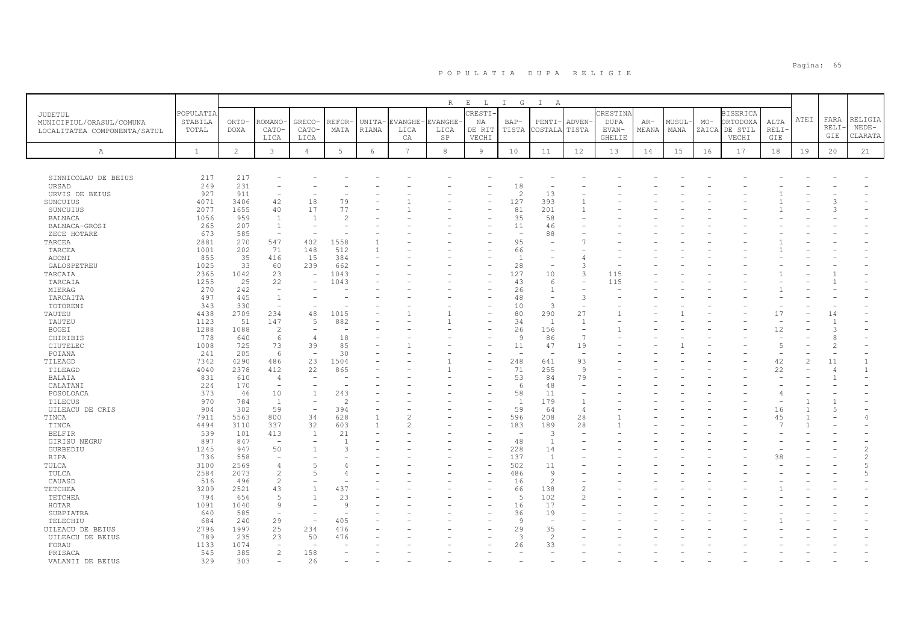|                              |              |                |                          |                          |               |        |                 | $R_{\perp}$    | $\mathbf{E}$<br>L | $\mathbb{I}$<br>G        | $\mathbb{I}$<br>A        |                          |          |       |       |       |                 |          |      |                      |                              |
|------------------------------|--------------|----------------|--------------------------|--------------------------|---------------|--------|-----------------|----------------|-------------------|--------------------------|--------------------------|--------------------------|----------|-------|-------|-------|-----------------|----------|------|----------------------|------------------------------|
| <b>JUDETUL</b>               | POPULATIA    |                |                          |                          |               |        |                 |                | CRESTI            |                          |                          |                          | CRESTINA |       |       |       | <b>BISERICA</b> |          |      |                      |                              |
| MUNICIPIUL/ORASUL/COMUNA     | STABILA      | ORTO-          | ROMANO·                  | GRECO-                   | <b>REFOR-</b> | UNITA- | EVANGHE-        | <b>EVANGHE</b> | ΝA                | BAP-                     | PENTI-                   | <b>ADVEN</b>             | DUPA     | AR-   | MUSUL | $MO-$ | ORTODOXA        | ALTA     | ATEI | FARA                 | RELIGIA                      |
| LOCALITATEA COMPONENTA/SATUL | TOTAL        | DOXA           | CATO-                    | CATO-                    | MATA          | RIANA  | LICA            | LICA           | DE RIT            | TISTA                    | COSTALA                  | TISTA                    | EVAN-    | MEANA | MANA  |       | ZAICA DE STIL   | RELI-    |      | RELI                 | $NEDE-$                      |
|                              |              |                | LICA                     | LICA                     |               |        | CA              | SP             | VECHI             |                          |                          |                          | GHELIE   |       |       |       | VECHI           | GIE      |      | GIE                  | CLARATA                      |
| Α                            | $\mathbf{1}$ | $\overline{2}$ | 3                        | $\overline{4}$           | 5             | 6      | $7\phantom{.0}$ | 8              | 9                 | 10                       | 11                       | 12                       | 13       | 14    | 15    | 16    | 17              | 18       | 19   | 20                   | 21                           |
|                              |              |                |                          |                          |               |        |                 |                |                   |                          |                          |                          |          |       |       |       |                 |          |      |                      |                              |
|                              |              |                |                          |                          |               |        |                 |                |                   |                          |                          |                          |          |       |       |       |                 |          |      |                      |                              |
| SINNICOLAU DE BEIUS          | 217          | 217            |                          |                          |               |        |                 |                |                   |                          |                          |                          |          |       |       |       |                 |          |      |                      |                              |
| URSAD                        | 249          | 231            |                          |                          |               |        |                 |                |                   | 18                       |                          |                          |          |       |       |       |                 |          |      |                      |                              |
| URVIS DE BEIUS               | 927          | 911            | $\overline{\phantom{a}}$ |                          |               |        |                 |                |                   | $\overline{c}$           | 13                       |                          |          |       |       |       |                 |          |      |                      |                              |
| SUNCUIUS                     | 4071         | 3406           | 42                       | 18                       | 79            |        |                 |                |                   | 127                      | 393                      |                          |          |       |       |       |                 |          |      |                      |                              |
| SUNCUIUS<br><b>BALNACA</b>   | 2077<br>1056 | 1655<br>959    | 40<br>$\overline{1}$     | 17<br>$\overline{1}$     | 77            |        |                 |                |                   | 81<br>35                 | 201<br>58                |                          |          |       |       |       |                 |          |      |                      |                              |
| BALNACA-GROSI                | 265          | 207            | $\overline{1}$           |                          |               |        |                 |                |                   | 11                       | 46                       |                          |          |       |       |       |                 |          |      |                      |                              |
| ZECE HOTARE                  | 673          | 585            | $\overline{\phantom{a}}$ |                          |               |        |                 |                |                   | $\overline{\phantom{a}}$ | 88                       |                          |          |       |       |       |                 |          |      |                      |                              |
| TARCEA                       | 2881         | 270            | 547                      | 402                      | 1558          |        |                 |                |                   | 95                       | $\overline{\phantom{0}}$ |                          |          |       |       |       |                 |          |      |                      |                              |
| TARCEA                       | 1001         | 202            | 71                       | 148                      | 512           |        |                 |                |                   | 66                       |                          |                          |          |       |       |       |                 |          |      |                      |                              |
| ADONI                        | 855          | 35             | 416                      | 15                       | 384           |        |                 |                |                   | $\overline{1}$           | $\sim$                   |                          |          |       |       |       |                 |          |      |                      |                              |
| GALOSPETREU                  | 1025         | 33             | 60                       | 239                      | 662           |        |                 |                |                   | 28                       |                          | 3                        |          |       |       |       |                 |          |      |                      |                              |
| TARCAIA                      | 2365         | 1042           | 23                       | $\overline{\phantom{a}}$ | 1043          |        |                 |                |                   | 127                      | 10                       | 3                        | 115      |       |       |       |                 |          |      |                      |                              |
| TARCAIA                      | 1255         | 25             | 22                       |                          | 1043          |        |                 |                |                   | 43                       | 6                        |                          | 115      |       |       |       |                 |          |      |                      |                              |
| MIERAG                       | 270          | 242            | $\overline{\phantom{a}}$ |                          |               |        |                 |                |                   | 26                       | $\mathbf{1}$             |                          |          |       |       |       |                 |          |      |                      |                              |
| TARCAITA                     | 497          | 445            | $\overline{1}$           |                          |               |        |                 |                |                   | 48                       | $\overline{\phantom{a}}$ | 3                        |          |       |       |       |                 |          |      |                      |                              |
| TOTORENI                     | 343          | 330            | ÷,                       |                          |               |        |                 |                |                   | 10                       | 3                        | $\overline{\phantom{a}}$ |          |       |       |       |                 |          |      |                      |                              |
| TAUTEU                       | 4438         | 2709           | 234                      | 48                       | 1015          |        |                 |                |                   | 80                       | 290                      | 27                       |          |       |       |       |                 | 17       |      | 14                   |                              |
| TAUTEU                       | 1123         | 51             | 147                      | 5                        | 882           |        |                 |                |                   | 34                       | $\overline{1}$           | $\overline{1}$           |          |       |       |       |                 |          |      |                      |                              |
| BOGEI                        | 1288         | 1088           | $\overline{c}$           |                          |               |        |                 |                |                   | 26                       | 156                      | $\overline{\phantom{a}}$ |          |       |       |       |                 | 12       |      |                      |                              |
| CHIRIBIS                     | 778          | 640            | 6                        | $\overline{4}$           | 18            |        |                 |                |                   | 9                        | 86                       | $\overline{7}$           |          |       |       |       |                 |          |      | £                    |                              |
| CIUTELEC                     | 1008         | 725            | 73                       | 39                       | 85            |        |                 |                |                   | 11                       | 47                       | 19                       |          |       |       |       |                 | 5        |      |                      |                              |
| POIANA                       | 241          | 205            | 6                        | $\overline{\phantom{a}}$ | 30            |        |                 |                |                   | $\sim$                   | $\overline{\phantom{a}}$ | $\overline{\phantom{a}}$ |          |       |       |       |                 |          |      |                      |                              |
| TILEAGD<br>TILEAGD           | 7342<br>4040 | 4290<br>2378   | 486<br>412               | 23<br>22                 | 1504<br>865   |        |                 |                |                   | 248<br>71                | 641<br>255               | 93<br>$\overline{9}$     |          |       |       |       |                 | 42<br>22 | 2    | 11<br>$\overline{4}$ | $\mathbf{1}$<br>$\mathbf{1}$ |
| BALAIA                       | 831          | 610            | 4                        |                          |               |        |                 |                |                   | 53                       | 84                       | 79                       |          |       |       |       |                 |          |      |                      |                              |
| CALATANI                     | 224          | 170            | $\equiv$                 | $\overline{\phantom{a}}$ |               |        |                 |                |                   | 6                        | 48                       |                          |          |       |       |       |                 |          |      |                      |                              |
| POSOLOACA                    | 373          | 46             | 10                       | $\overline{1}$           | 243           |        |                 |                |                   | 58                       | 11                       |                          |          |       |       |       |                 |          |      |                      |                              |
| TILECUS                      | 970          | 784            | $\mathbf{1}$             |                          | $\mathcal{D}$ |        |                 |                |                   | 1                        | 179                      | $\overline{1}$           |          |       |       |       |                 |          |      |                      |                              |
| UILEACU DE CRIS              | 904          | 302            | 59                       |                          | 394           |        |                 |                |                   | 59                       | 64                       | $\overline{4}$           |          |       |       |       |                 | 16       |      |                      |                              |
| TINCA                        | 7911         | 5563           | 800                      | 34                       | 628           |        |                 |                |                   | 596                      | 208                      | 28                       |          |       |       |       |                 | 45       |      |                      | $\overline{4}$               |
| TINCA                        | 4494         | 3110           | 337                      | 32                       | 603           |        |                 |                |                   | 183                      | 189                      | 28                       |          |       |       |       |                 |          |      |                      |                              |
| <b>BELFIR</b>                | 539          | 101            | 413                      |                          | 21            |        |                 |                |                   |                          | 3                        |                          |          |       |       |       |                 |          |      |                      |                              |
| GIRISU NEGRU                 | 897          | 847            |                          |                          |               |        |                 |                |                   | 48                       | 1                        |                          |          |       |       |       |                 |          |      |                      |                              |
| GURBEDIU                     | 1245         | 947            | 50                       |                          | २             |        |                 |                | ۰                 | 228                      | 14                       |                          |          |       |       |       |                 |          |      |                      | $\mathfrak{D}$               |
| RIPA                         | 736          | 558            |                          |                          |               |        |                 |                |                   | 137                      | $\overline{1}$           |                          |          |       |       |       |                 | 38       |      |                      | $\overline{c}$               |
| TULCA                        | 3100         | 2569           | $\overline{4}$           |                          |               |        |                 |                |                   | 502                      | 11                       |                          |          |       |       |       |                 |          |      |                      | $\overline{5}$               |
| TULCA                        | 2584         | 2073           | $\overline{c}$           |                          |               |        |                 |                |                   | 486                      | 9                        |                          |          |       |       |       |                 |          |      |                      | $\overline{5}$               |
| CAUASD                       | 516          | 496            | $\overline{c}$           |                          |               |        |                 |                |                   | 16                       | $\mathbf{2}$             |                          |          |       |       |       |                 |          |      |                      |                              |
| TETCHEA                      | 3209<br>794  | 2521<br>656    | 43<br>5                  |                          | 437<br>23     |        |                 |                |                   | 66<br>.5                 | 138<br>102               | 2<br>$\mathcal{D}$       |          |       |       |       |                 |          |      |                      |                              |
| TETCHEA<br>HOTAR             | 1091         | 1040           | 9                        |                          | $\mathcal{Q}$ |        |                 |                |                   | 16                       | 17                       |                          |          |       |       |       |                 |          |      |                      |                              |
| SUBPIATRA                    | 640          | 585            | $\overline{\phantom{a}}$ |                          |               |        |                 |                |                   | 36                       | 19                       |                          |          |       |       |       |                 |          |      |                      |                              |
| TELECHIU                     | 684          | 240            | 29                       |                          | 405           |        |                 |                |                   | 9                        |                          |                          |          |       |       |       |                 |          |      |                      |                              |
| UILEACU DE BEIUS             | 2796         | 1997           | 25                       | 234                      | 476           |        |                 |                |                   | 29                       | 35                       |                          |          |       |       |       |                 |          |      |                      |                              |
| UILEACU DE BEIUS             | 789          | 235            | 23                       | 50                       | 476           |        |                 |                |                   | 3                        | $\overline{c}$           |                          |          |       |       |       |                 |          |      |                      |                              |
| FORAU                        | 1133         | 1074           | ÷,                       |                          |               |        |                 |                |                   | 26                       | 33                       |                          |          |       |       |       |                 |          |      |                      |                              |
| PRISACA                      | 545          | 385            | $\mathbf{2}$             | 158                      |               |        |                 |                |                   |                          |                          |                          |          |       |       |       |                 |          |      |                      |                              |
| VALANII DE BEIUS             | 329          | 303            | $\equiv$                 | 26                       |               |        |                 |                |                   |                          |                          |                          |          |       |       |       |                 |          |      |                      |                              |
|                              |              |                |                          |                          |               |        |                 |                |                   |                          |                          |                          |          |       |       |       |                 |          |      |                      |                              |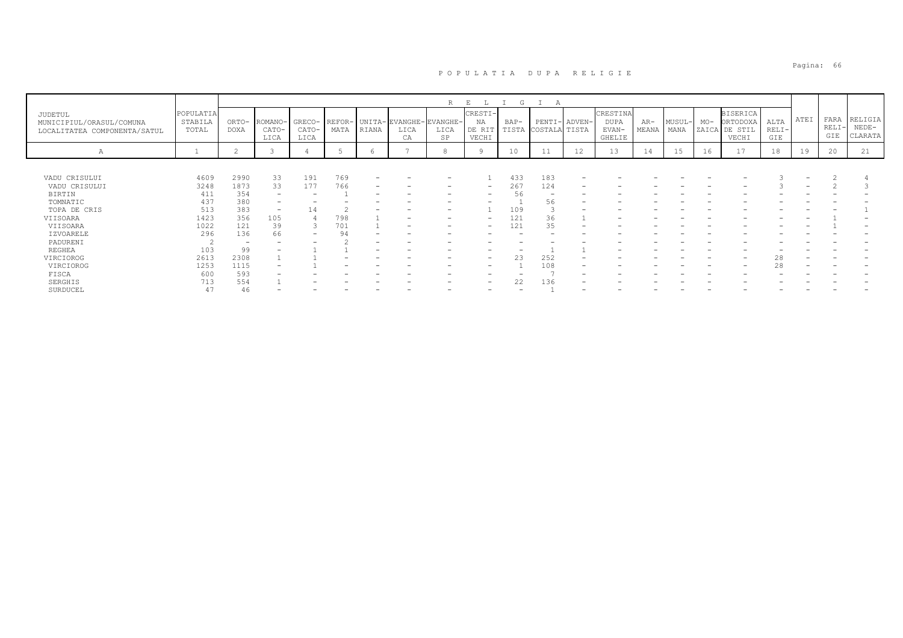|                                                                     |                               |                          |                          |                         |                |       |                              | R                      | E<br>L                           | G    | A                             |        |                                     |                |                |       |                                                       |                        |      |                      |                               |
|---------------------------------------------------------------------|-------------------------------|--------------------------|--------------------------|-------------------------|----------------|-------|------------------------------|------------------------|----------------------------------|------|-------------------------------|--------|-------------------------------------|----------------|----------------|-------|-------------------------------------------------------|------------------------|------|----------------------|-------------------------------|
| JUDETUL<br>MUNICIPIUL/ORASUL/COMUNA<br>LOCALITATEA COMPONENTA/SATUL | POPULATIA<br>STABILA<br>TOTAL | ORTO-<br><b>DOXA</b>     | ROMANO-<br>CATO-<br>LICA | GRECO-<br>CATO-<br>LICA | REFOR-<br>MATA | RIANA | UNITA-EVANGHE-<br>LICA<br>CA | EVANGHE-<br>LICA<br>SP | CRESTI-<br>NA<br>DE RIT<br>VECHI | BAP- | PENTI-<br>TISTA COSTALA TISTA | ADVEN- | CRESTINA<br>DUPA<br>EVAN-<br>GHELIE | $AR-$<br>MEANA | MUSUL-<br>MANA | $MO-$ | <b>BISERICA</b><br>ORTODOXA<br>ZAICA DE STIL<br>VECHI | ALTA<br>$RELI-$<br>GIE | ATEI | FARA<br>RELI-<br>GIE | RELIGIA<br>$NEDE-$<br>CLARATA |
| Α                                                                   |                               | $\sim$<br>$\epsilon$     |                          |                         |                | O     |                              | 8                      | 9                                | 10   | 11                            | 12     | 13                                  | 14             | 15             | 16    | 17                                                    | 18                     | 19   | 20                   | 21                            |
|                                                                     |                               |                          |                          |                         |                |       |                              |                        |                                  |      |                               |        |                                     |                |                |       |                                                       |                        |      |                      |                               |
| VADU CRISULUI                                                       | 4609                          | 2990                     | 33                       | 191                     | 769            |       |                              |                        |                                  | 433  | 183                           |        |                                     |                |                |       |                                                       |                        |      |                      |                               |
| VADU CRISULUI                                                       | 3248                          | 1873                     | 33                       | 177                     | 766            |       |                              |                        | $\overline{\phantom{0}}$         | 267  | 124                           |        |                                     |                |                |       |                                                       |                        |      |                      |                               |
| <b>BIRTIN</b>                                                       | 411                           | 354                      | $\overline{\phantom{0}}$ |                         |                |       |                              |                        |                                  | 56   |                               |        |                                     |                |                |       |                                                       |                        |      |                      |                               |
| TOMNATIC                                                            | 437                           | 380                      | $\overline{\phantom{0}}$ |                         |                |       |                              |                        |                                  |      | 56                            |        |                                     |                |                |       |                                                       |                        |      |                      |                               |
| TOPA DE CRIS                                                        | 513                           | 383                      | $\overline{\phantom{0}}$ | $\perp$ 4               |                |       |                              |                        |                                  | 109  |                               |        |                                     |                |                |       |                                                       |                        |      |                      |                               |
| VIISOARA                                                            | 1423                          | 356                      | 105                      |                         | 798            |       |                              |                        | $\qquad \qquad$                  | 121  | 36                            |        |                                     |                |                |       |                                                       |                        |      |                      |                               |
| VIISOARA                                                            | 1022                          | 121                      | 39                       |                         | 701            |       | $\overline{\phantom{0}}$     |                        | $\overline{\phantom{0}}$         | 121  | 35                            |        |                                     |                |                |       |                                                       |                        |      |                      |                               |
| IZVOARELE                                                           | 296                           | 136                      | 66                       | -                       |                |       |                              |                        |                                  |      |                               |        |                                     |                |                |       |                                                       |                        |      |                      |                               |
| PADURENI                                                            |                               | $\overline{\phantom{0}}$ |                          |                         |                |       |                              |                        |                                  |      |                               |        |                                     |                |                |       |                                                       |                        |      |                      |                               |
| REGHEA                                                              | 103                           | 99                       |                          |                         |                |       |                              |                        |                                  |      |                               |        |                                     |                |                |       |                                                       |                        |      |                      |                               |
| VIRCIOROG                                                           | 2613                          | 2308                     |                          |                         |                |       |                              |                        | -                                |      | 252                           |        |                                     |                |                |       |                                                       |                        |      |                      |                               |
| VIRCIOROG                                                           | 1253                          | 1115                     |                          |                         |                |       |                              |                        |                                  |      | 108                           |        |                                     |                |                |       |                                                       | 28                     |      |                      |                               |
| FISCA                                                               | 600                           | 593                      |                          |                         |                |       |                              |                        |                                  |      |                               |        |                                     |                |                |       |                                                       |                        |      |                      |                               |
| SERGHIS                                                             | 713                           | 554                      |                          |                         |                |       |                              |                        | -                                | 22   | 136                           |        |                                     |                |                |       |                                                       |                        |      |                      |                               |
| SURDUCEL                                                            | 47                            | 46                       |                          |                         |                |       |                              |                        |                                  |      |                               |        |                                     |                |                |       |                                                       |                        |      |                      |                               |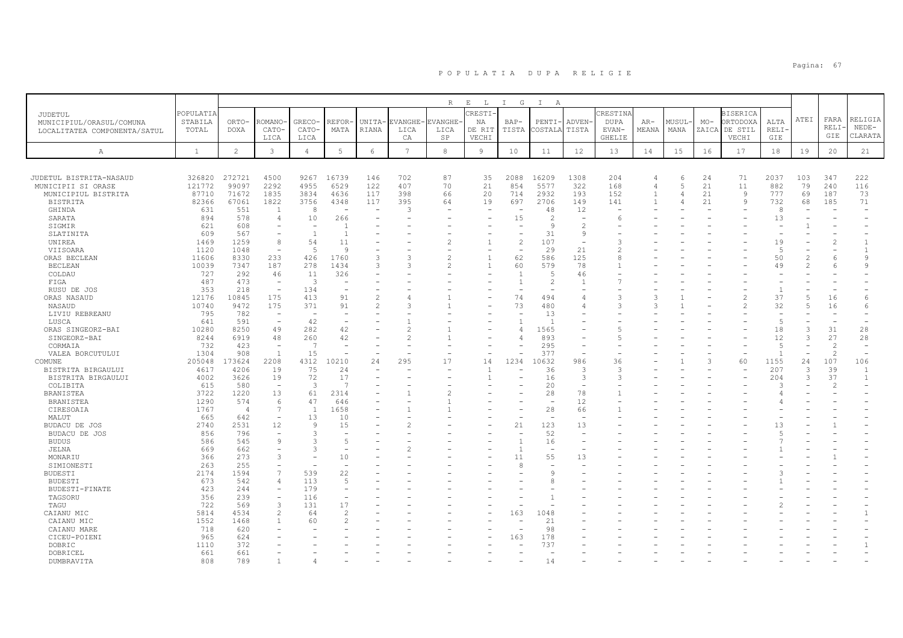|                                |              |                       |                                             |                          |                          |                          |                 | $R_{\perp}$              | $\mathbf{E}^-$<br>$\mathbb{L}$ | I G            | $\mathbb{I}$<br>A        |                          |               |                |        |       |                          |                          |                          |                |                          |
|--------------------------------|--------------|-----------------------|---------------------------------------------|--------------------------|--------------------------|--------------------------|-----------------|--------------------------|--------------------------------|----------------|--------------------------|--------------------------|---------------|----------------|--------|-------|--------------------------|--------------------------|--------------------------|----------------|--------------------------|
| <b>JUDETUL</b>                 | POPULATIA    |                       |                                             |                          |                          |                          |                 |                          | CRESTI                         |                |                          |                          | CRESTINA      |                |        |       | <b>BISERICA</b>          |                          |                          |                |                          |
| MUNICIPIUL/ORASUL/COMUNA       | STABILA      | ORTO-                 | ROMANO                                      | GRECO-                   | REFOR                    | UNITA-                   | EVANGHE-        | EVANGHE                  | NA                             | BAP-           | PENTI-                   | ADVEN-                   | <b>DUPA</b>   | $AR-$          | MUSUL- | $MO-$ | ORTODOXA                 | ALTA                     | ATEI                     | FARA           | RELIGIA                  |
| LOCALITATEA COMPONENTA/SATUL   | TOTAL        | <b>DOXA</b>           | CATO-                                       | CATO-                    | MATA                     | RIANA                    | LICA            | LICA                     | DE RIT                         | TISTA          | COSTALA                  | TISTA                    | EVAN-         | MEANA          | MANA   | ZAICA | DE STIL                  | RELI·                    |                          | RELI           | $NEDE-$                  |
|                                |              |                       | LICA                                        | LICA                     |                          |                          | CA              | SP                       | VECHI                          |                |                          |                          | <b>GHELIE</b> |                |        |       | VECHI                    | GIE                      |                          | GIE            | CLARATA                  |
| А                              | $\mathbf{1}$ | $\overline{2}$        | 3                                           | $\overline{4}$           | 5                        | 6                        | $7\phantom{.0}$ | 8                        | 9                              | 10             | 11                       | 12                       | 13            | 14             | 15     | 16    | 17                       | 18                       | 19                       | 20             | 21                       |
|                                |              |                       |                                             |                          |                          |                          |                 |                          |                                |                |                          |                          |               |                |        |       |                          |                          |                          |                |                          |
| JUDETUL BISTRITA-NASAUD        | 326820       | 272721                | 4500                                        | 9267                     | 16739                    | 146                      | 702             | 87                       | 35                             | 2088           | 16209                    | 1308                     | 204           |                | 6      | 24    | 71                       | 2037                     | 103                      | 347            | 222                      |
| MUNICIPII SI ORASE             | 121772       | 99097                 | 2292                                        | 4955                     | 6529                     | 122                      | 407             | 70                       | 21                             | 854            | 5577                     | 322                      | 168           | 4              | 5      | 21    | 11                       | 882                      | 79                       | 240            | 116                      |
| MUNICIPIUL BISTRITA            | 87710        | 71672                 | 1835                                        | 3834                     | 4636                     | 117                      | 398             | 66                       | 20                             | 714            | 2932                     | 193                      | 152           | $\mathbf{1}$   |        | 21    | $\mathcal{Q}$            | 777                      | 69                       | 187            | 73                       |
| <b>BISTRITA</b>                | 82366        | 67061                 | 1822                                        | 3756                     | 4348                     | 117                      | 395             | 64                       | 19                             | 697            | 2706                     | 149                      | 141           | $\overline{1}$ | 4      | 21    | 9                        | 732                      | 68                       | 185            | 71                       |
| GHINDA                         | 631          | 551                   | $\overline{1}$                              | 8                        | $\overline{\phantom{a}}$ | $\overline{\phantom{a}}$ | 3               |                          |                                | ۰              | 48                       | 12                       |               |                |        |       |                          | $\mathcal{R}$            |                          |                |                          |
| SARATA                         | 894          | 578                   | 4                                           | 10                       | 266                      |                          |                 |                          |                                | 15             | $\overline{c}$           |                          |               |                |        |       |                          | 13                       |                          |                |                          |
| SIGMIR                         | 621          | 608                   |                                             |                          |                          |                          |                 |                          |                                |                | 9                        | 2                        |               |                |        |       |                          |                          |                          |                |                          |
| SLATINITA                      | 609          | 567                   | $\overline{\phantom{a}}$                    | $\overline{1}$           |                          |                          |                 |                          |                                |                | 31                       | 9                        |               |                |        |       |                          |                          |                          |                |                          |
| UNIREA                         | 1469         | 1259                  | 8                                           | 54                       | 11                       |                          |                 | 2                        |                                | $\overline{c}$ | 107                      | $\overline{\phantom{a}}$ |               |                |        |       |                          | 19                       |                          |                | $\mathbf{1}$             |
| VIISOARA                       | 1120         | 1048                  | $\overline{\phantom{a}}$                    | -5                       | 9                        |                          |                 |                          |                                | ۰              | 29                       | 21                       | 2             |                |        |       |                          | $\overline{5}$           |                          |                | $\mathbf{1}$             |
| ORAS BECLEAN                   | 11606        | 8330                  | 233                                         | 426                      | 1760                     | 3                        |                 | $\overline{\mathcal{L}}$ | $\mathbf{1}$                   | 62             | 586                      | 125                      | Ŕ             |                |        |       |                          | 50                       | $\overline{\mathcal{L}}$ | -6             | 9                        |
| <b>BECLEAN</b>                 | 10039        | 7347                  | 187                                         | 278                      | 1434                     | 3                        | 3               | 2                        | $\mathbf{1}$                   | 60             | 579                      | 78                       |               |                |        |       |                          | 49                       |                          |                | 9                        |
| COLDAU                         | 727          | 292                   | 46                                          | 11                       | 326                      |                          |                 |                          |                                | $\overline{1}$ | 5                        | 46                       |               |                |        |       |                          |                          |                          |                |                          |
| FIGA                           | 487          | 473                   | $\overline{\phantom{a}}$                    | $\overline{3}$           | ÷                        |                          |                 |                          |                                |                | $\overline{c}$           |                          |               |                |        |       |                          |                          |                          |                |                          |
| RUSU DE JOS                    | 353          | 218                   | $\equiv$                                    | 134                      |                          |                          |                 |                          |                                |                |                          |                          |               |                |        |       |                          | $\mathbf{1}$             |                          |                |                          |
| ORAS NASAUD                    | 12176        | 10845                 | 175                                         | 413                      | 91                       | $\overline{\mathcal{L}}$ |                 |                          |                                | 74             | 494                      |                          | 3             | 3              |        |       | $\overline{\mathcal{C}}$ | 37                       | 5                        | 16             | 6                        |
| NASAUD                         | 10740        | 9472                  | 175                                         | 371                      | 91                       | $\overline{\mathcal{L}}$ |                 |                          |                                | 73             | 480                      |                          | ς             |                |        |       | 2                        | 32                       | 5                        | 16             | 6                        |
| LIVIU REBREANU                 | 795          | 782                   | $\overline{\phantom{a}}$                    | $\overline{\phantom{a}}$ |                          |                          |                 |                          |                                | ۰              | 13                       |                          |               |                |        |       |                          | $\overline{\phantom{a}}$ |                          |                |                          |
| LUSCA                          | 641          | 591                   | $\qquad \qquad -$                           | 42                       |                          |                          |                 |                          |                                |                | $\overline{1}$           |                          |               |                |        |       |                          | $\overline{5}$           |                          |                |                          |
| ORAS SINGEORZ-BAI              | 10280        | 8250                  | 49                                          | 282                      | 42                       |                          |                 |                          |                                | 4              | 1565                     |                          |               |                |        |       |                          | 18                       | 3                        | 31             | 28                       |
| SINGEORZ-BAI                   | 8244         | 6919                  | 48                                          | 260                      | 42                       |                          |                 |                          |                                | 4              | 893                      |                          | 5             |                |        |       |                          | 12                       | 3                        | 27             | 28                       |
| CORMAIA                        | 732          | 423                   | $\overline{\phantom{a}}$                    | - 7                      | L.                       |                          |                 |                          |                                |                | 295                      | ٠                        |               |                |        |       |                          | $\overline{5}$           |                          | $\overline{c}$ | $\overline{\phantom{m}}$ |
| VALEA BORCUTULUI               | 1304         | 908                   | 1                                           | 15                       |                          |                          |                 |                          |                                |                | 377                      |                          |               |                |        |       |                          | $\overline{1}$           |                          | $\mathcal{L}$  | $\overline{\phantom{a}}$ |
| COMUNE                         | 205048       | 173624                | 2208                                        | 4312                     | 10210                    | 24                       | 295             | 17                       | 14                             | 1234           | 10632                    | 986                      | 36            |                |        | P     | 60                       | 1155                     | 24                       | 107            | 106                      |
| BISTRITA BIRGAULUI             | 4617         | 4206                  | 19                                          | 75                       | 24                       |                          |                 |                          |                                |                | 36                       | 3                        | 3             |                |        |       |                          | 207                      | 3                        | 39             | -1                       |
| BISTRITA BIRGAULUI             | 4002         | 3626                  | 19                                          | 72                       | 17<br>- 7                |                          |                 |                          |                                |                | 16                       | 3                        | 3             |                |        |       |                          | 204                      | 3                        | 37             | 1                        |
| COLIBITA                       | 615          | 580                   | $\overline{\phantom{m}}$                    | -3                       |                          |                          |                 |                          |                                |                | 20                       |                          |               |                |        |       |                          | $\mathcal{A}$            |                          | $\mathcal{L}$  |                          |
| BRANISTEA                      | 3722         | 1220                  | 13                                          | 61                       | 2314                     |                          |                 |                          |                                |                | 28                       | 78                       |               |                |        |       |                          |                          |                          |                |                          |
| BRANISTEA                      | 1290         | 574<br>$\overline{4}$ | 6                                           | 47<br>$\overline{1}$     | 646                      |                          |                 |                          |                                |                | $\overline{\phantom{a}}$ | 12                       |               |                |        |       |                          |                          |                          |                |                          |
| CIRESOAIA                      | 1767         |                       | $7\overline{ }$<br>$\overline{\phantom{a}}$ |                          | 1658                     |                          |                 |                          |                                |                | 28                       | 66                       |               |                |        |       |                          |                          |                          |                |                          |
| MALUT                          | 665<br>2740  | 642<br>2531           | 12                                          | 13<br>9                  | 10<br>15                 |                          |                 |                          |                                | 21             | 123                      | 13                       |               |                |        |       |                          | 13                       |                          |                |                          |
| BUDACU DE JOS<br>BUDACU DE JOS | 856          | 796                   | $\overline{\phantom{0}}$                    | 3                        |                          |                          |                 |                          |                                | ÷              | 52                       |                          |               |                |        |       |                          |                          |                          |                |                          |
| <b>BUDUS</b>                   | 586          | 545                   | $\mathcal{G}$                               | 3                        | 5                        |                          |                 |                          |                                |                | 16                       |                          |               |                |        |       |                          |                          |                          |                |                          |
| JELNA                          | 669          | 662                   | $\overline{\phantom{a}}$                    | -3                       |                          |                          |                 |                          |                                |                | $\overline{\phantom{a}}$ |                          |               |                |        |       |                          |                          |                          |                |                          |
| MONARIU                        | 366          | 273                   | 3                                           |                          | 10                       |                          |                 |                          |                                | 11             | 55                       | 13                       |               |                |        |       |                          |                          |                          |                |                          |
| SIMIONESTI                     | 263          | 255                   | $\equiv$                                    |                          | <b>1</b>                 |                          |                 |                          |                                | 8              | $\overline{\phantom{a}}$ |                          |               |                |        |       |                          |                          |                          |                |                          |
| <b>BUDESTI</b>                 | 2174         | 1594                  | $\overline{7}$                              | 539                      | 22                       |                          |                 |                          |                                |                | $\mathsf{Q}$             |                          |               |                |        |       |                          |                          |                          |                |                          |
| <b>BUDESTI</b>                 | 673          | 542                   | 4                                           | 113                      | 5                        |                          |                 |                          |                                |                | 8                        |                          |               |                |        |       |                          |                          |                          |                |                          |
| BUDESTI-FINATE                 | 423          | 244                   | $\equiv$                                    | 179                      |                          |                          |                 |                          |                                |                |                          |                          |               |                |        |       |                          |                          |                          |                |                          |
| TAGSORU                        | 356          | 239                   | $\overline{\phantom{a}}$                    | 116                      | L.                       |                          |                 |                          |                                |                |                          |                          |               |                |        |       |                          |                          |                          |                |                          |
| TAGU                           | 722          | 569                   | 3                                           | 131                      | 17                       |                          |                 |                          |                                |                |                          |                          |               |                |        |       |                          |                          |                          |                |                          |
| CAIANU MIC                     | 5814         | 4534                  | $\overline{c}$                              | 64                       | $\mathfrak{D}$           |                          |                 |                          |                                | 163            | 1048                     |                          |               |                |        |       |                          |                          |                          |                |                          |
| CAIANU MIC                     | 1552         | 1468                  | $\mathbf{1}$                                | 60                       | $\overline{\mathcal{L}}$ |                          |                 |                          |                                |                | 21                       |                          |               |                |        |       |                          |                          |                          |                |                          |
| CAIANU MARE                    | 718          | 620                   |                                             |                          |                          |                          |                 |                          |                                |                | 98                       |                          |               |                |        |       |                          |                          |                          |                |                          |
| CICEU-POIENI                   | 965          | 624                   |                                             |                          |                          |                          |                 |                          |                                | 163            | 178                      |                          |               |                |        |       |                          |                          |                          |                |                          |
| DOBRIC                         | 1110         | 372                   |                                             |                          |                          |                          |                 |                          |                                |                | 737                      |                          |               |                |        |       |                          |                          |                          |                | $\mathbf{1}$             |
| DOBRICEL                       | 661          | 661                   |                                             |                          |                          |                          |                 |                          |                                |                |                          |                          |               |                |        |       |                          |                          |                          |                |                          |
| DUMBRAVITA                     | 808          | 789                   |                                             |                          |                          |                          |                 |                          |                                |                | 14                       |                          |               |                |        |       |                          |                          |                          |                |                          |
|                                |              |                       |                                             |                          |                          |                          |                 |                          |                                |                |                          |                          |               |                |        |       |                          |                          |                          |                |                          |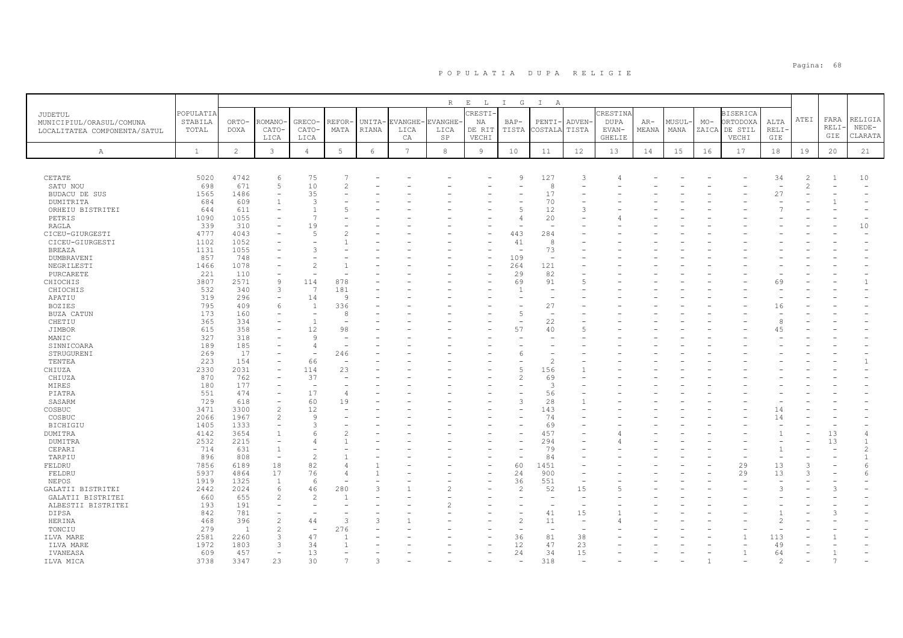|                              |              |                |                |                          |                          |        |                 | R              | $\mathbf{E}$<br>$\mathbb{L}$ | I G                      | $\mathbf{I}$<br>A        |                          |             |       |        |       |                 |             |                |       |                |
|------------------------------|--------------|----------------|----------------|--------------------------|--------------------------|--------|-----------------|----------------|------------------------------|--------------------------|--------------------------|--------------------------|-------------|-------|--------|-------|-----------------|-------------|----------------|-------|----------------|
| JUDETUL                      | POPULATIA    |                |                |                          |                          |        |                 |                | <b>CRESTI-</b>               |                          |                          |                          | CRESTINA    |       |        |       | <b>BISERICA</b> |             |                |       |                |
| MUNICIPIUL/ORASUL/COMUNA     | STABILA      | ORTO-          | ROMANO         | GRECO-                   | REFOR-                   | UNITA- | EVANGHE         | <b>EVANGHE</b> | ΝA                           | $BAP-$                   | PENTI                    | ADVEN-                   | <b>DUPA</b> | $AR-$ | MUSUL· | $MO-$ | ORTODOXA        | ALTA        | ATEI           | FARA  | RELIGIA        |
| LOCALITATEA COMPONENTA/SATUL | TOTAL        | <b>DOXA</b>    | CATO-          | CATO-                    | MATA                     | RIANA  | LICA            | LICA           | DE RIT                       | TISTA                    | COSTALA                  | TISTA                    | EVAN-       | MEANA | MANA   | ZAICA | DE STIL         | <b>RELI</b> |                | RELI· | $NEDE-$        |
|                              |              |                | LICA           | LICA                     |                          |        | CA              | SP             | VECHI                        |                          |                          |                          | GHELIE      |       |        |       | VECHI           | GIE         |                | GIE   | CLARATA        |
|                              |              |                |                |                          |                          |        |                 |                |                              |                          |                          |                          |             |       |        |       |                 |             |                |       |                |
| $\mathbb{A}$                 | $\mathbf{1}$ | $\overline{2}$ | $\mathbf{3}$   | $\overline{4}$           | 5                        | 6      | $7\overline{ }$ | $^{\rm 8}$     | 9                            | 10                       | 11                       | 12                       | 13          | 14    | 15     | 16    | 17              | 18          | 19             | 20    | 21             |
|                              |              |                |                |                          |                          |        |                 |                |                              |                          |                          |                          |             |       |        |       |                 |             |                |       |                |
| CETATE                       | 5020         | 4742           | 6              | 75                       |                          |        |                 |                |                              | 9                        | 127                      | 3                        |             |       |        |       |                 | 34          | $\overline{2}$ | 1     | 10             |
| SATU NOU                     | 698          | 671            | 5              | 10                       | $\overline{c}$           |        |                 |                |                              |                          | 8                        |                          |             |       |        |       |                 |             | $\overline{c}$ |       |                |
| BUDACU DE SUS                | 1565         | 1486           |                | 35                       |                          |        |                 |                |                              |                          | 17                       |                          |             |       |        |       |                 | 27          |                |       |                |
| DUMITRITA                    | 684          | 609            |                | 3                        |                          |        |                 |                |                              | $\overline{\phantom{a}}$ | 70                       |                          |             |       |        |       |                 |             |                |       |                |
| ORHEIU BISTRITEI             | 644          | 611            |                | $\mathbf{1}$             |                          |        |                 |                |                              | 5                        | 12                       | 3                        |             |       |        |       |                 |             |                |       |                |
| PETRIS                       | 1090         | 1055           |                | 7                        |                          |        |                 |                |                              | $\overline{4}$           | 20                       |                          |             |       |        |       |                 |             |                |       |                |
| RAGLA                        | 339          | 310            |                | 19                       |                          |        |                 |                |                              |                          | $\overline{\phantom{a}}$ |                          |             |       |        |       |                 |             |                |       | 10             |
| CICEU-GIURGESTI              | 4777         | 4043           |                | 5                        |                          |        |                 |                |                              | 443                      | 284                      |                          |             |       |        |       |                 |             |                |       |                |
| CICEU-GIURGESTI              | 1102         | 1052           |                |                          |                          |        |                 |                |                              | 41                       | 8                        |                          |             |       |        |       |                 |             |                |       |                |
| <b>BREAZA</b>                | 1131         | 1055           |                | 3                        |                          |        |                 |                |                              | ÷,                       | 73                       |                          |             |       |        |       |                 |             |                |       |                |
| DUMBRAVENI                   | 857          | 748            |                |                          |                          |        |                 |                |                              | 109                      | $\overline{\phantom{a}}$ |                          |             |       |        |       |                 |             |                |       |                |
| NEGRILESTI                   | 1466         | 1078           |                | $\mathfrak{D}$           |                          |        |                 |                |                              | 264                      | 121                      |                          |             |       |        |       |                 |             |                |       |                |
| PURCARETE                    | 221          | 110            |                |                          |                          |        |                 |                |                              | 29                       | 82                       |                          |             |       |        |       |                 |             |                |       |                |
| CHIOCHIS                     | 3807         | 2571           | 9              | 114                      | 878                      |        |                 |                |                              | 69                       | 91                       | $\overline{5}$           |             |       |        |       |                 | 69          |                |       | $\mathbf{1}$   |
| CHIOCHIS                     | 532          | 340            | 3              | 7                        | 181                      |        |                 |                |                              | $\mathbf{1}$             |                          |                          |             |       |        |       |                 |             |                |       |                |
| APATIU                       | 319          | 296            |                | 14                       | -9                       |        |                 |                |                              |                          |                          |                          |             |       |        |       |                 |             |                |       |                |
| <b>BOZIES</b>                | 795          | 409            | 6              | $\mathbf{1}$             | 336                      |        |                 |                |                              |                          | 27                       |                          |             |       |        |       |                 | 16          |                |       |                |
| BUZA CATUN                   | 173          | 160            |                | $\overline{\phantom{a}}$ | 8                        |        |                 |                |                              | 5                        | $\overline{\phantom{a}}$ |                          |             |       |        |       |                 |             |                |       |                |
| CHETIU                       | 365          | 334            |                | $\mathbf{1}$             |                          |        |                 |                |                              |                          | 22                       |                          |             |       |        |       |                 | 8           |                |       |                |
| JIMBOR                       | 615          | 358            |                | 12                       | 98                       |        |                 |                |                              | 57                       | 40                       | $\overline{5}$           |             |       |        |       |                 | 4.5         |                |       |                |
| MANIC                        | 327          | 318            |                | 9                        |                          |        |                 |                |                              |                          |                          |                          |             |       |        |       |                 |             |                |       |                |
| SINNICOARA                   | 189          | 185            |                | 4                        |                          |        |                 |                |                              |                          |                          |                          |             |       |        |       |                 |             |                |       |                |
| STRUGURENI                   | 269          | 17             |                | $\overline{\phantom{0}}$ | 246                      |        |                 |                |                              | 6                        |                          |                          |             |       |        |       |                 |             |                |       |                |
| TENTEA                       | 223          | 154            |                | 66                       | $\overline{\phantom{0}}$ |        |                 |                |                              | $\overline{\phantom{a}}$ | $\overline{2}$           |                          |             |       |        |       |                 |             |                |       |                |
| CHIUZA                       | 2330         | 2031           |                | 114                      | 23                       |        |                 |                |                              | 5                        | 156                      |                          |             |       |        |       |                 |             |                |       |                |
| CHIUZA                       | 870          | 762            |                | 37                       |                          |        |                 |                |                              | $\overline{c}$           | 69                       |                          |             |       |        |       |                 |             |                |       |                |
| MIRES                        | 180          | 177            |                | $\overline{\phantom{a}}$ |                          |        |                 |                |                              |                          | 3                        |                          |             |       |        |       |                 |             |                |       |                |
| PIATRA                       | 551          | 474            |                | 17                       | $\overline{4}$           |        |                 |                |                              |                          | 56                       |                          |             |       |        |       |                 |             |                |       |                |
| SASARM                       | 729<br>3471  | 618<br>3300    | $\mathfrak{D}$ | 60<br>12                 | 19                       |        |                 |                |                              | 3                        | 28<br>143                |                          |             |       |        |       |                 |             |                |       |                |
| COSBUC<br>COSBUC             | 2066         | 1967           | $\mathfrak{D}$ | $\overline{9}$           |                          |        |                 |                |                              |                          | 74                       |                          |             |       |        |       |                 | 14<br>14    |                |       |                |
| BICHIGIU                     | 1405         | 1333           |                | 3                        |                          |        |                 |                |                              |                          | 69                       |                          |             |       |        |       |                 |             |                |       |                |
| <b>DUMITRA</b>               | 4142         | 3654           |                | 6                        |                          |        |                 |                |                              | $\overline{\phantom{a}}$ | 457                      |                          |             |       |        |       |                 |             |                | 13    | 4              |
| DUMITRA                      | 2532         | 2215           |                | 4                        |                          |        |                 |                |                              |                          | 294                      |                          |             |       |        |       |                 |             |                | 13    |                |
| CEPARI                       | 714          | 631            | $\overline{1}$ | $\overline{\phantom{0}}$ |                          |        |                 |                |                              | ۰                        | 79                       |                          |             |       |        |       |                 |             |                |       | $\mathfrak{D}$ |
| TARPIU                       | 896          | 808            | $\equiv$       | $\mathcal{D}$            |                          |        |                 |                |                              |                          | 84                       |                          |             |       |        |       |                 |             |                |       |                |
| FELDRU                       | 7856         | 6189           | 18             | 82                       | $\overline{4}$           |        |                 |                |                              | 60                       | 1451                     |                          |             |       |        |       | 29              | 13          | 3              |       | 6              |
| FELDRU                       | 5937         | 4864           | 17             | 76                       | $\overline{4}$           |        |                 |                |                              | 24                       | 900                      | $\overline{\phantom{a}}$ |             |       |        |       | 29              | 13          | 3              |       |                |
| NEPOS                        | 1919         | 1325           | $\overline{1}$ | 6                        |                          |        |                 |                |                              | 36                       | 551                      | $\overline{\phantom{a}}$ |             |       |        |       |                 |             |                |       |                |
| GALATII BISTRITEI            | 2442         | 2024           | 6              | 46                       | 280                      | 3      |                 | 2              |                              | $\overline{c}$           | 52                       | 15                       | 5           |       |        |       |                 |             |                | 3     |                |
| GALATII BISTRITEI            | 660          | 655            | $\mathfrak{D}$ | $\mathcal{D}$            |                          |        |                 |                |                              | $\overline{\phantom{m}}$ |                          | $\overline{\phantom{a}}$ |             |       |        |       |                 |             |                |       |                |
| ALBESTII BISTRITEI           | 193          | 191            |                |                          |                          |        |                 |                |                              |                          |                          |                          |             |       |        |       |                 |             |                |       |                |
| DIPSA                        | 842          | 781            |                |                          |                          |        |                 |                |                              | $\overline{\phantom{a}}$ | 41                       | 15                       |             |       |        |       |                 |             |                | 3     |                |
| HERINA                       | 468          | 396            |                | 44                       | 3                        | 3      |                 |                |                              | $\overline{c}$           | 11                       | $\overline{\phantom{a}}$ |             |       |        |       |                 |             |                |       |                |
| TONCIU                       | 279          | $\overline{1}$ |                | $\overline{\phantom{a}}$ | 276                      |        |                 |                |                              | $\overline{\phantom{m}}$ | $\overline{\phantom{a}}$ | $\overline{\phantom{a}}$ |             |       |        |       |                 |             |                |       |                |
| ILVA MARE                    | 2581         | 2260           |                | 47                       |                          |        |                 |                |                              | 36                       | 81                       | 38                       |             |       |        |       |                 | 113         |                |       |                |
| ILVA MARE                    | 1972         | 1803           | $\mathcal{R}$  | 34                       |                          |        |                 |                |                              | 12                       | 47                       | 23                       |             |       |        |       |                 | 49          |                |       |                |
| IVANEASA                     | 609          | 457            |                | 13                       |                          |        |                 |                |                              | 24                       | 34                       | 15                       |             |       |        |       | 1               | 64          |                |       |                |
| ILVA MICA                    | 3738         | 3347           | 23             | 30                       |                          |        |                 |                |                              |                          | 318                      |                          |             |       |        |       |                 | $\bigcirc$  |                |       |                |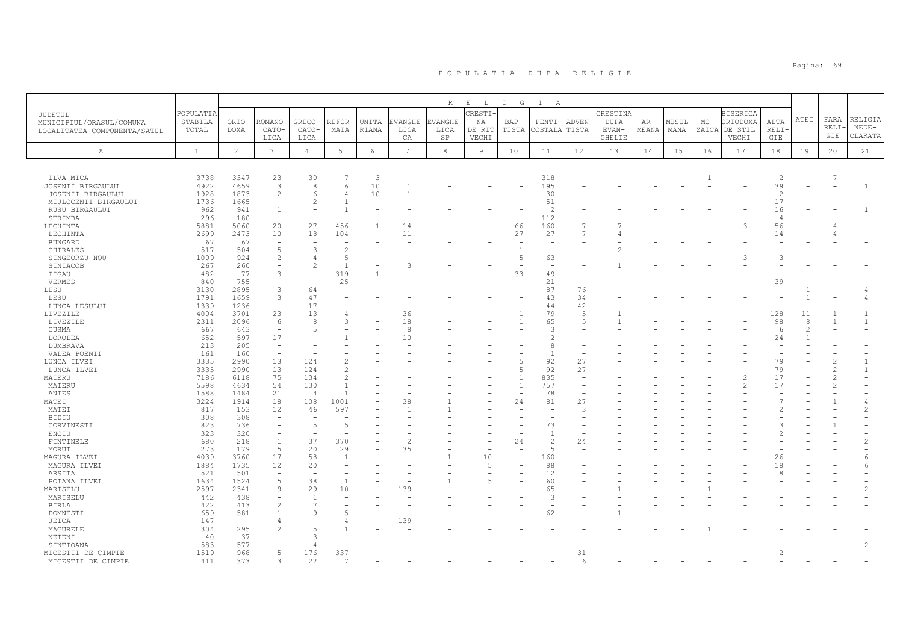|                              |              |                          |                          |                          |                                                                                                                                                               |            |         | R             | $E$ L  | I G            | $\mathbb{I}$<br>A |        |          |       |        |       |                 |                |      |               |                |
|------------------------------|--------------|--------------------------|--------------------------|--------------------------|---------------------------------------------------------------------------------------------------------------------------------------------------------------|------------|---------|---------------|--------|----------------|-------------------|--------|----------|-------|--------|-------|-----------------|----------------|------|---------------|----------------|
| JUDETUL                      | POPULATIA    |                          |                          |                          |                                                                                                                                                               |            |         |               | CRESTI |                |                   |        | CRESTINA |       |        |       | <b>BISERICA</b> |                |      |               |                |
| MUNICIPIUL/ORASUL/COMUNA     | STABILA      | ORTO-                    | ROMANO                   | GRECO-                   | REFOR                                                                                                                                                         | UNITA-     | EVANGHE | <b>VANGHE</b> | ΝA     | $BAP-$         | PENTI-            | ADVEN- | DUPA     | $AR-$ | MUSUL· | $MO-$ | ORTODOXA        | ALTA           | ATEI | FARA          | RELIGIA        |
| LOCALITATEA COMPONENTA/SATUL | TOTAL        | DOXA                     | CATO-                    | CATO-                    | MATA                                                                                                                                                          | RIANA      | LICA    | LICA          | DE RIT | TISTA          | COSTALA           | TISTA  | EVAN-    | MEANA | MANA   |       | ZAICA DE STIL   | RELI-          |      | RELI·         | $NEDE-$        |
|                              |              |                          | LICA                     | LICA                     |                                                                                                                                                               |            | СA      | SP            | VECHI  |                |                   |        | GHELIE   |       |        |       | VECHI           | GIE            |      | GIE           | CLARATA        |
|                              | $\mathbf{1}$ | $\overline{2}$           | 3                        | $\overline{4}$           | 5                                                                                                                                                             | $\epsilon$ | 7       | $^{\rm 8}$    | 9      | 10             | 11                | 12     | 13       | 14    | 15     | 16    | 17              | 18             | 19   | 20            | 21             |
| А                            |              |                          |                          |                          |                                                                                                                                                               |            |         |               |        |                |                   |        |          |       |        |       |                 |                |      |               |                |
|                              |              |                          |                          |                          |                                                                                                                                                               |            |         |               |        |                |                   |        |          |       |        |       |                 |                |      |               |                |
| ILVA MICA                    | 3738         | 3347                     | 23                       | 30                       |                                                                                                                                                               | 3          |         |               |        |                | 318               |        |          |       |        |       |                 | 2              |      |               |                |
| JOSENII BIRGAULUI            | 4922         | 4659                     | $\overline{3}$           | 8                        |                                                                                                                                                               | 10         |         |               |        |                | 195               |        |          |       |        |       |                 | 39             |      |               | $\mathbf{1}$   |
| JOSENII BIRGAULUI            | 1928         | 1873                     | $\mathfrak{D}$           | $\epsilon$               |                                                                                                                                                               | 10         |         |               |        |                | 30                |        |          |       |        |       |                 | 2              |      |               |                |
| MIJLOCENII BIRGAULUI         | 1736         | 1665                     |                          |                          |                                                                                                                                                               |            |         |               |        |                | 51                |        |          |       |        |       |                 | 17             |      |               |                |
| RUSU BIRGAULUI               | 962          | 941                      |                          |                          |                                                                                                                                                               |            |         |               |        |                | $\overline{c}$    |        |          |       |        |       |                 | 16             |      |               | $\mathbf{1}$   |
| STRIMBA                      | 296          | 180                      | $\overline{\phantom{a}}$ |                          |                                                                                                                                                               |            |         |               |        | ÷              | 112               |        |          |       |        |       |                 | $\overline{4}$ |      |               |                |
| LECHINTA                     | 5881         | 5060                     | 20                       | 27                       | 456                                                                                                                                                           |            | 14      |               |        | 66             | 160               |        |          |       |        |       | 3               | 56             |      |               |                |
| LECHINTA                     | 2699         | 2473                     | 10                       | 18                       | 104                                                                                                                                                           |            | 11      |               |        | 27             | 27                |        |          |       |        |       |                 | 14             |      |               |                |
| <b>BUNGARD</b>               | 67           | 67                       | $\overline{\phantom{a}}$ |                          |                                                                                                                                                               |            |         |               |        |                |                   |        |          |       |        |       |                 |                |      |               |                |
| CHIRALES                     | 517          | 504                      | 5                        | 3                        | -2                                                                                                                                                            |            |         |               |        | п              |                   |        |          |       |        |       |                 |                |      |               |                |
| SINGEORZU NOU                | 1009         | 924                      | $\overline{\mathcal{L}}$ |                          |                                                                                                                                                               |            |         |               |        | 5              | 63                |        |          |       |        |       |                 |                |      |               |                |
| SINIACOB                     | 267          | 260                      |                          | $\mathcal{L}$            |                                                                                                                                                               |            |         |               |        |                |                   |        |          |       |        |       |                 |                |      |               |                |
| TIGAU                        | 482          | 77                       | 3                        | $\overline{\phantom{a}}$ | 319                                                                                                                                                           |            |         |               |        | 33             | 49                |        |          |       |        |       |                 |                |      |               |                |
| VERMES                       | 840          | 755                      | $\overline{\phantom{a}}$ |                          | 25                                                                                                                                                            |            |         |               |        |                | 21                |        |          |       |        |       |                 | 39             |      |               |                |
| LESU                         | 3130         | 2895                     | 3                        | 64                       |                                                                                                                                                               |            |         |               |        |                | 87                | 76     |          |       |        |       |                 |                |      |               |                |
| LESU                         | 1791         | 1659                     | 3                        | 47                       |                                                                                                                                                               |            |         |               |        |                | 43                | 34     |          |       |        |       |                 |                |      |               | 4              |
| LUNCA LESULUI                | 1339         | 1236                     | $\overline{\phantom{a}}$ | 17                       |                                                                                                                                                               |            |         |               |        |                | 44                | 42     |          |       |        |       |                 |                |      |               |                |
| LIVEZILE                     | 4004         | 3701                     | 23                       | 13                       |                                                                                                                                                               |            | 36      |               |        |                | 79                | 5      |          |       |        |       |                 | 128            | 11   |               | $\mathbf{1}$   |
| LIVEZILE                     | 2311         | 2096                     | 6                        | 8                        |                                                                                                                                                               |            | 18      |               |        |                | 65                | 5      |          |       |        |       |                 | 98             | 8    |               | $\mathbf{1}$   |
| CUSMA                        | 667          | 643                      | $\overline{\phantom{a}}$ | -5                       |                                                                                                                                                               |            | -8      |               |        |                | 3                 |        |          |       |        |       |                 | -6             |      |               |                |
| DOROLEA                      | 652          | 597                      | 17                       |                          |                                                                                                                                                               |            | 10      |               |        |                | $\mathfrak{D}$    |        |          |       |        |       |                 | 24             |      |               |                |
| DUMBRAVA                     | 213          | 205                      | $\overline{\phantom{a}}$ |                          |                                                                                                                                                               |            |         |               |        |                | 8                 |        |          |       |        |       |                 |                |      |               |                |
| VALEA POENII                 | 161          | 160                      | $\overline{\phantom{a}}$ |                          |                                                                                                                                                               |            |         |               |        |                | $\mathbf{1}$      |        |          |       |        |       |                 |                |      |               |                |
| LUNCA ILVEI                  | 3335         | 2990                     | 13                       | 124                      |                                                                                                                                                               |            |         |               |        |                | 92                | 27     |          |       |        |       |                 | 79             |      | $\mathcal{P}$ |                |
| LUNCA ILVEI                  | 3335         | 2990                     | 13                       | 124                      | $\mathfrak{D}_{1}^{2}(\mathfrak{D}_{1})=\mathfrak{D}_{2}^{2}(\mathfrak{D}_{2})=\mathfrak{D}_{2}^{2}(\mathfrak{D}_{1})=\mathfrak{D}_{2}^{2}(\mathfrak{D}_{2})$ |            |         |               |        | 5              | 92                | 27     |          |       |        |       |                 | 79             |      | $\mathcal{P}$ | $\mathbf{1}$   |
| MAIERU                       | 7186         | 6118                     | 75                       | 134                      |                                                                                                                                                               |            |         |               |        |                | 835               |        |          |       |        |       |                 | 17             |      |               |                |
| MAIERU                       | 5598         | 4634                     | 54                       | 130                      |                                                                                                                                                               |            |         |               |        | $\overline{1}$ | 757               |        |          |       |        |       |                 | 17             |      |               |                |
| ANIES                        | 1588         | 1484                     | 21                       | $\overline{4}$           |                                                                                                                                                               |            |         |               |        |                | 78                |        |          |       |        |       |                 |                |      |               |                |
| MATEI                        | 3224         | 1914                     | 18                       | 108                      | 1001                                                                                                                                                          |            | 38      |               |        | 24             | 81                | 27     |          |       |        |       |                 |                |      |               | 4              |
| MATEI                        | 817          | 153                      | 12                       | 46                       | 597                                                                                                                                                           |            |         |               |        |                |                   | З      |          |       |        |       |                 | $\mathcal{L}$  |      |               | 2              |
| <b>BIDIU</b>                 | 308          | 308                      | $\overline{\phantom{a}}$ | $\overline{\phantom{a}}$ |                                                                                                                                                               |            |         |               |        |                | $\sim$            |        |          |       |        |       |                 |                |      |               |                |
| CORVINESTI                   | 823          | 736                      | $\overline{\phantom{a}}$ | $\overline{5}$           | -5                                                                                                                                                            |            |         |               |        |                | 73                |        |          |       |        |       |                 | 3              |      |               |                |
| ENCIU                        | 323          | 320                      | ۰                        |                          |                                                                                                                                                               |            |         |               |        |                | $\overline{1}$    |        |          |       |        |       |                 | $\mathfrak{D}$ |      |               |                |
| FINTINELE                    | 680          | 218                      | $\mathbf{1}$             | 37                       | 370                                                                                                                                                           |            |         |               |        | 24             | $\overline{c}$    | 24     |          |       |        |       |                 |                |      |               | 2              |
| MORUT                        | 273          | 179                      | 5                        | 20                       | 29                                                                                                                                                            |            | 35      |               |        |                | 5                 |        |          |       |        |       |                 |                |      |               |                |
| MAGURA ILVEI                 | 4039         | 3760                     | 17                       | 58                       | $\mathbf{1}$                                                                                                                                                  |            |         |               | 10     |                | 160               |        |          |       |        |       |                 | 26             |      |               | 6              |
| MAGURA ILVEI                 | 1884         | 1735                     | 12                       | 20                       |                                                                                                                                                               |            |         |               | 5      |                | 88                |        |          |       |        |       |                 | 18             |      |               | 6              |
| ARSITA                       | 521          | 501                      | $\overline{\phantom{a}}$ |                          |                                                                                                                                                               |            |         |               |        |                | 12                |        |          |       |        |       |                 | $\mathcal{R}$  |      |               |                |
| POIANA ILVEI                 | 1634         | 1524                     | 5                        | 38                       |                                                                                                                                                               |            |         |               |        |                | 60                |        |          |       |        |       |                 |                |      |               |                |
| MARISELU                     | 2597         | 2341                     | 9                        | 29                       | 10                                                                                                                                                            |            | 139     |               |        |                | 65                |        |          |       |        |       |                 |                |      |               |                |
| MARISELU                     | 442          | 438                      |                          |                          |                                                                                                                                                               |            |         |               |        |                | 3                 |        |          |       |        |       |                 |                |      |               |                |
| <b>BIRLA</b>                 | 422          | 413                      | $\overline{c}$           |                          |                                                                                                                                                               |            |         |               |        |                |                   |        |          |       |        |       |                 |                |      |               |                |
| DOMNESTI                     | 659          | 581                      |                          | 9                        |                                                                                                                                                               |            |         |               |        |                | 62                |        |          |       |        |       |                 |                |      |               |                |
| JEICA                        | 147          | $\overline{\phantom{a}}$ |                          |                          |                                                                                                                                                               |            | 139     |               |        |                |                   |        |          |       |        |       |                 |                |      |               |                |
| MAGURELE                     | 304          | 295                      | $\mathfrak{D}$           | $\overline{5}$           |                                                                                                                                                               |            |         |               |        |                |                   |        |          |       |        |       |                 |                |      |               |                |
| NETENI                       | 40           | 37                       |                          |                          |                                                                                                                                                               |            |         |               |        |                |                   |        |          |       |        |       |                 |                |      |               |                |
| SINTIOANA                    | 583          | 577                      | ۳                        | $\overline{4}$           |                                                                                                                                                               |            |         |               |        |                |                   |        |          |       |        |       |                 |                |      |               | $\mathfrak{D}$ |
| MICESTII DE CIMPIE           | 1519         | 968                      | 5                        | 176                      | 337                                                                                                                                                           |            |         |               |        |                |                   | 31     |          |       |        |       |                 |                |      |               |                |
| MICESTII DE CIMPIE           | 411          | 373                      | 3                        | 22                       |                                                                                                                                                               |            |         |               |        |                |                   | 6      |          |       |        |       |                 |                |      |               |                |
|                              |              |                          |                          |                          |                                                                                                                                                               |            |         |               |        |                |                   |        |          |       |        |       |                 |                |      |               |                |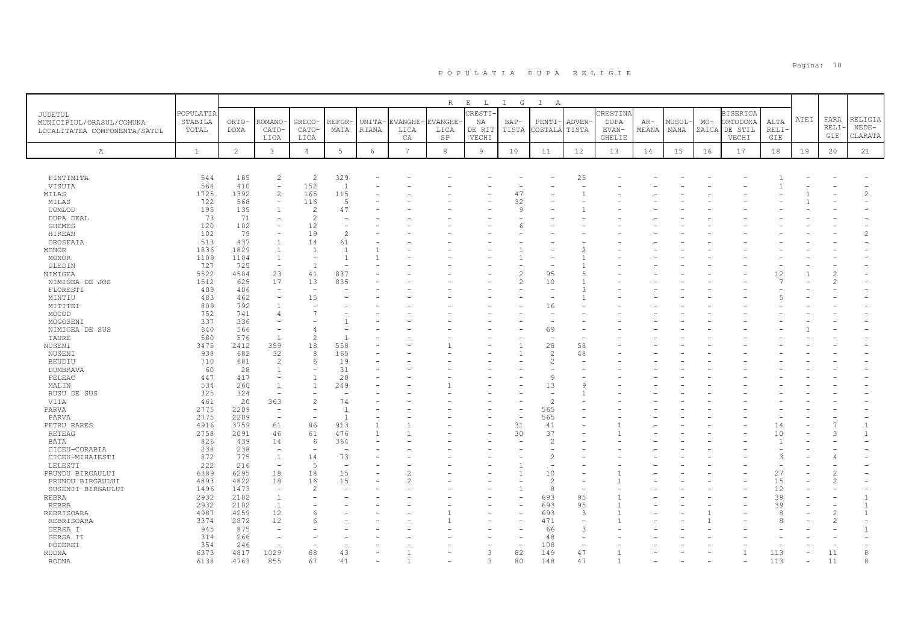|                              |              |                |                                                      |                          |                          |                |                 | R             | $\mathbf{E}=-\mathbf{L}$ . | I G                      | $\mathbb{I}$<br>A        |              |               |       |       |       |                 |                      |      |                |                |
|------------------------------|--------------|----------------|------------------------------------------------------|--------------------------|--------------------------|----------------|-----------------|---------------|----------------------------|--------------------------|--------------------------|--------------|---------------|-------|-------|-------|-----------------|----------------------|------|----------------|----------------|
| JUDETUL                      | POPULATIA    |                |                                                      |                          |                          |                |                 |               | CRESTI-                    |                          |                          |              | CRESTINA      |       |       |       | <b>BISERICA</b> |                      |      |                |                |
| MUNICIPIUL/ORASUL/COMUNA     | STABILA      | ORTO-          | ROMANO                                               | GRECO-                   | REFOR                    | UNITA-         | VANGHE          | <b>VANGHE</b> | ΝA                         | $BAP-$                   | PENTI-                   | <b>ADVEN</b> | <b>DUPA</b>   | $AR-$ | MUSUL | $MO-$ | ORTODOXA        | ALTA                 | ATEI | FARA           | RELIGIA        |
| LOCALITATEA COMPONENTA/SATUL | TOTAL        | <b>DOXA</b>    | CATO-                                                | CATO-                    | MATA                     | RIANA          | LICA            | LICA          | DE RIT                     | TISTA                    | COSTALA                  | TISTA        | EVAN-         | MEANA | MANA  |       | ZAICA DE STIL   | RELI·                |      | RELI·          | $NEDE-$        |
|                              |              |                | LICA                                                 | LICA                     |                          |                | CA              | SP            | VECHI                      |                          |                          |              | <b>GHELIE</b> |       |       |       | VECHI           | GIE                  |      | GIE            | CLARATA        |
|                              |              |                |                                                      |                          |                          |                | $7\overline{ }$ |               |                            |                          |                          |              |               |       |       |       |                 |                      |      |                |                |
| Α                            | $\mathbf{1}$ | $\overline{c}$ | $\mathbf{3}$                                         | $\overline{4}$           | $5\phantom{.0}$          | $\epsilon$     |                 | 8             | $\overline{9}$             | 10                       | 11                       | 12           | 13            | 14    | 15    | 16    | 17              | 18                   | 19   | 20             | 21             |
|                              |              |                |                                                      |                          |                          |                |                 |               |                            |                          |                          |              |               |       |       |       |                 |                      |      |                |                |
| FINTINITA                    | 544          | 185            | $\overline{c}$                                       | $\overline{c}$           | 329                      |                |                 |               |                            |                          |                          | 25           |               |       |       |       |                 |                      |      |                |                |
| VISUIA                       | 564          | 410            | $\qquad \qquad -$                                    | 152                      | $\overline{1}$           |                |                 |               |                            |                          |                          |              |               |       |       |       |                 |                      |      |                |                |
| MILAS                        | 1725         | 1392           | $\overline{c}$                                       | 165                      | 115                      |                |                 |               |                            | 47                       |                          |              |               |       |       |       |                 |                      |      |                | $\overline{c}$ |
| MILAS                        | 722          | 568            | $\overline{\phantom{a}}$                             | 116                      | $\overline{5}$           |                |                 |               |                            | 32                       |                          |              |               |       |       |       |                 |                      |      |                |                |
| COMLOD                       | 195          | 135            | $\mathbf{1}$                                         | $\overline{2}$           | 47                       |                |                 |               |                            | $\mathsf{Q}$             |                          |              |               |       |       |       |                 |                      |      |                |                |
| DUPA DEAL                    | 73           | 71             |                                                      | $\overline{c}$           |                          |                |                 |               |                            |                          |                          |              |               |       |       |       |                 |                      |      |                |                |
| GHEMES                       | 120          | 102            | $\equiv$                                             | 12                       |                          |                |                 |               |                            |                          |                          |              |               |       |       |       |                 |                      |      |                |                |
| HIREAN                       | 102          | 79             | $\overline{\phantom{0}}$                             | 19                       | $\mathcal{L}$            |                |                 |               |                            |                          |                          |              |               |       |       |       |                 |                      |      |                | 2              |
| OROSFAIA                     | 513          | 437            | $\mathbf{1}$                                         | 14                       | 61                       |                |                 |               |                            |                          |                          |              |               |       |       |       |                 |                      |      |                |                |
| <b>MONOR</b>                 | 1836         | 1829           | $\mathbf{1}$                                         | $\overline{1}$           | $\overline{1}$           |                |                 |               |                            |                          |                          | 2            |               |       |       |       |                 |                      |      |                |                |
| MONOR                        | 1109         | 1104           | $\mathbf{1}$                                         |                          |                          |                |                 |               |                            |                          |                          |              |               |       |       |       |                 |                      |      |                |                |
| GLEDIN                       | 727          | 725            | $\overline{\phantom{a}}$                             | $\overline{1}$           |                          |                |                 |               |                            |                          |                          |              |               |       |       |       |                 |                      |      |                |                |
| NIMIGEA                      | 5522         | 4504           | 23                                                   | 41                       | 837                      |                |                 |               |                            |                          | 95                       | Б            |               |       |       |       |                 | 12                   |      |                |                |
| NIMIGEA DE JOS               | 1512         | 625            | 17                                                   | 13                       | 835                      |                |                 |               |                            | $\overline{\mathcal{C}}$ | 10                       |              |               |       |       |       |                 | 7                    |      |                |                |
| FLORESTI                     | 409          | 406            | ÷                                                    |                          |                          |                |                 |               |                            |                          |                          |              |               |       |       |       |                 |                      |      |                |                |
| MINTIU                       | 483          | 462            | ÷                                                    | 15                       |                          |                |                 |               |                            |                          |                          |              |               |       |       |       |                 |                      |      |                |                |
| MITITEI                      | 809          | 792            | 1                                                    |                          |                          |                |                 |               |                            |                          | 16                       |              |               |       |       |       |                 |                      |      |                |                |
| MOCOD                        | 752          | 741            | 4                                                    | $\overline{7}$           |                          |                |                 |               |                            |                          | $\overline{\phantom{a}}$ |              |               |       |       |       |                 |                      |      |                |                |
| MOGOSENI                     | 337          | 336            | ۰                                                    |                          |                          |                |                 |               |                            |                          |                          |              |               |       |       |       |                 |                      |      |                |                |
| NIMIGEA DE SUS               | 640          | 566            | $\overline{\phantom{a}}$                             | $\overline{4}$           |                          |                |                 |               |                            |                          | 69                       |              |               |       |       |       |                 |                      |      |                |                |
| TAURE                        | 580          | 576            | $\overline{1}$                                       | $\overline{2}$           |                          |                |                 |               |                            |                          |                          |              |               |       |       |       |                 |                      |      |                |                |
| NUSENI                       | 3475         | 2412           | 399                                                  | 18                       | 558                      |                |                 |               |                            |                          | 28                       | 58           |               |       |       |       |                 |                      |      |                |                |
| NUSENI                       | 938          | 682            | 32                                                   | 8                        | 165                      |                |                 |               |                            | $\mathbf{1}$             | $\overline{2}$           | 48           |               |       |       |       |                 |                      |      |                |                |
| <b>BEUDIU</b>                | 710          | 681            | $\overline{\phantom{a}}$                             | 6                        | 19                       |                |                 |               |                            |                          | $\overline{c}$           |              |               |       |       |       |                 |                      |      |                |                |
| <b>DUMBRAVA</b>              | 60           | 28             | $\mathbf{1}$                                         | $\overline{1}$           | 31                       |                |                 |               |                            |                          |                          |              |               |       |       |       |                 |                      |      |                |                |
| FELEAC                       | 447          | 417            | $\overline{\phantom{a}}$                             |                          | 20                       |                |                 |               |                            |                          | 9                        |              |               |       |       |       |                 |                      |      |                |                |
| MALIN                        | 534          | 260            | 1<br>÷                                               | $\overline{1}$           | 249                      |                |                 |               |                            |                          | 13                       | S            |               |       |       |       |                 |                      |      |                |                |
| RUSU DE SUS                  | 325          | 324            |                                                      |                          |                          |                |                 |               |                            |                          | $\sim$                   |              |               |       |       |       |                 |                      |      |                |                |
| VITA                         | 461          | 20             | 363                                                  | $\overline{c}$           | 74                       |                |                 |               |                            |                          | $\overline{c}$           |              |               |       |       |       |                 |                      |      |                |                |
| PARVA                        | 2775<br>2775 | 2209<br>2209   | $\overline{\phantom{a}}$<br>$\overline{\phantom{a}}$ |                          |                          |                |                 |               |                            |                          | 565<br>565               |              |               |       |       |       |                 |                      |      |                |                |
| PARVA                        | 4916         | 3759           | 61                                                   | 86                       | 913                      | $\overline{1}$ |                 |               |                            | 31                       |                          |              |               |       |       |       |                 |                      |      |                | $\mathbf{1}$   |
| PETRU RARES                  |              | 2091           |                                                      |                          |                          | $\overline{1}$ |                 |               |                            |                          | 41<br>37                 |              |               |       |       |       |                 | 14                   |      | 3              | $\overline{1}$ |
| RETEAG<br>BATA               | 2758<br>826  | 439            | 46<br>14                                             | 61<br>6                  | 476<br>364               |                |                 |               |                            | 30                       | $\overline{c}$           |              |               |       |       |       |                 | 10<br>$\overline{1}$ |      |                |                |
| CICEU-CORABIA                | 238          | 238            | $\overline{\phantom{m}}$                             | $\overline{\phantom{0}}$ |                          |                |                 |               |                            |                          | ۰                        |              |               |       |       |       |                 |                      |      |                |                |
| CICEU-MIHAIESTI              | 872          | 775            | $\mathbf{1}$                                         | 14                       | 73                       |                |                 |               |                            |                          | $\overline{2}$           |              |               |       |       |       |                 | 3                    |      |                |                |
| LELESTI                      | 222          | 216            | $\overline{\phantom{a}}$                             | $\sqrt{2}$               | $\overline{\phantom{0}}$ |                |                 |               |                            |                          | $\overline{\phantom{a}}$ |              |               |       |       |       |                 |                      |      |                |                |
| PRUNDU BIRGAULUI             | 6389         | 6295           | 18                                                   | 18                       | 15                       |                |                 |               |                            |                          | 10                       |              |               |       |       |       |                 | 27                   |      |                |                |
| PRUNDU BIRGAULUI             | 4893         | 4822           | 18                                                   | 16                       | 15                       |                |                 |               |                            |                          | $\overline{c}$           |              |               |       |       |       |                 | 15                   |      |                |                |
| SUSENII BIRGAULUI            | 1496         | 1473           | $\sim$                                               | $\mathcal{P}$            |                          |                |                 |               |                            |                          | 8                        |              |               |       |       |       |                 | 12                   |      |                |                |
| <b>REBRA</b>                 | 2932         | 2102           | $\mathbf{1}$                                         |                          |                          |                |                 |               |                            | ۰                        | 693                      | 95           |               |       |       |       |                 | 39                   |      |                | $\mathbf{1}$   |
| REBRA                        | 2932         | 2102           | <sup>1</sup>                                         |                          |                          |                |                 |               |                            |                          | 693                      | 95           |               |       |       |       |                 | 39                   |      |                | $\mathbf{1}$   |
| REBRISOARA                   | 4987         | 4259           | 12                                                   | -6                       |                          |                |                 |               |                            |                          | 693                      | 3            |               |       |       |       |                 | $\mathcal{R}$        |      | $\overline{c}$ | $\mathbf{1}$   |
| REBRISOARA                   | 3374         | 2872           | 12                                                   |                          |                          |                |                 |               |                            |                          | 471                      |              |               |       |       |       |                 | 8                    |      | $\mathcal{D}$  |                |
| GERSA I                      | 945          | 875            | $\overline{\phantom{m}}$                             |                          |                          |                |                 |               |                            |                          | 66                       | 3            |               |       |       |       |                 |                      |      |                |                |
| GERSA II                     | 314          | 266            |                                                      |                          |                          |                |                 |               |                            |                          | 48                       |              |               |       |       |       |                 |                      |      |                |                |
| PODEREI                      | 354          | 246            |                                                      |                          |                          |                |                 |               |                            | $\overline{\phantom{m}}$ | 108                      |              |               |       |       |       |                 |                      |      |                |                |
| <b>RODNA</b>                 | 6373         | 4817           | 1029                                                 | 68                       | 43                       |                |                 |               | 3                          | 82                       | 149                      | 47           |               |       |       |       | 1               | 113                  |      | $11\,$         | 8              |
| <b>RODNA</b>                 | 6138         | 4763           | 855                                                  | 67                       | 41                       |                |                 |               | ₹                          | 80                       | 148                      | 47           |               |       |       |       |                 | 113                  |      | 11             | 8              |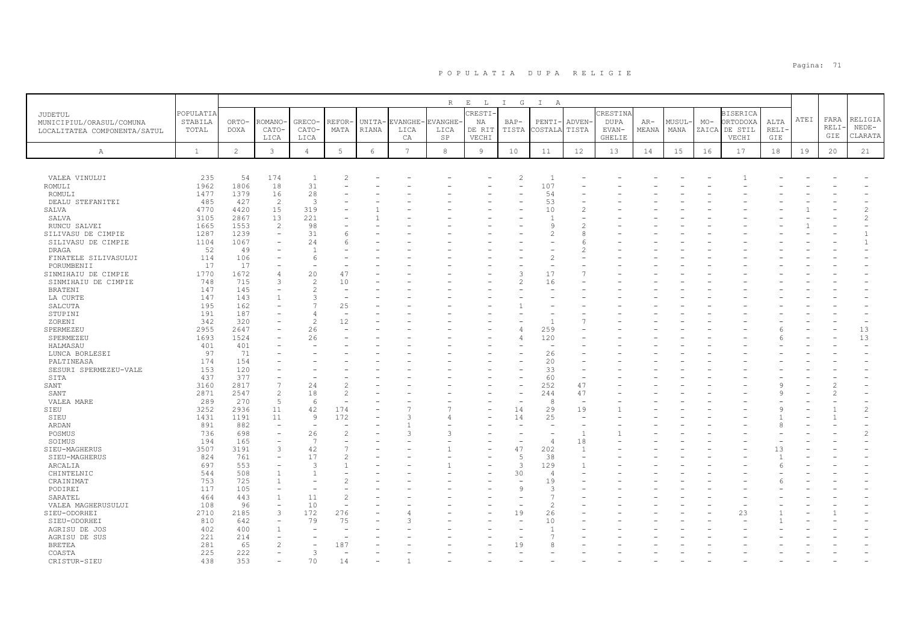|                                    |              |                |                          |                |       |            |         | R             | $\mathbf{E}=-\mathbf{L}$ . | I G            | $\mathbb{I}$<br>A |                          |          |       |        |       |                 |              |      |       |                |
|------------------------------------|--------------|----------------|--------------------------|----------------|-------|------------|---------|---------------|----------------------------|----------------|-------------------|--------------------------|----------|-------|--------|-------|-----------------|--------------|------|-------|----------------|
| JUDETUL                            | POPULATIA    |                |                          |                |       |            |         |               | CRESTI                     |                |                   |                          | CRESTINA |       |        |       | <b>BISERICA</b> |              |      |       |                |
| MUNICIPIUL/ORASUL/COMUNA           | STABILA      | ORTO-          | ROMANC                   | GRECO-         | REFOR | UNITA-     | EVANGHE | <b>VANGHE</b> | ΝA                         | $BAP-$         | PENTI-            | ADVEN-                   | DUPA     | AR-   | MUSUL- | $MO-$ | ORTODOXA        | ALTA         | ATEI | FARA  | RELIGIA        |
| LOCALITATEA COMPONENTA/SATUL       | TOTAL        | <b>DOXA</b>    | CATO-                    | CATO-          | MATA  | RIANA      | LICA    | LICA          | DE RIT                     | TISTA          | COSTALA           | TISTA                    | EVAN-    | MEANA | MANA   |       | ZAICA DE STIL   | RELI         |      | RELI· | $NEDE-$        |
|                                    |              |                | LICA                     | LICA           |       |            | CA      | SP            | VECHI                      |                |                   |                          | GHELIE   |       |        |       | VECHI           | GIE          |      | GIE   | CLARATA        |
|                                    |              |                |                          |                |       |            |         |               |                            |                |                   |                          |          |       |        |       |                 |              |      |       |                |
| A                                  | $\mathbf{1}$ | $\overline{c}$ | $\mathbf{3}$             | $\overline{4}$ | 5     | $\epsilon$ | 7       | 8             | 9                          | 10             | 11                | 12                       | 13       | 14    | 15     | 16    | 17              | 18           | 19   | 20    | 21             |
|                                    |              |                |                          |                |       |            |         |               |                            |                |                   |                          |          |       |        |       |                 |              |      |       |                |
|                                    |              |                |                          |                |       |            |         |               |                            |                |                   |                          |          |       |        |       |                 |              |      |       |                |
| VALEA VINULUI                      | 235          | 54             | 174                      | $\mathbf{1}$   |       |            |         |               |                            | $\overline{c}$ | -1                |                          |          |       |        |       |                 |              |      |       |                |
| ROMULI                             | 1962         | 1806           | 18                       | 31<br>28       |       |            |         |               |                            |                | 107               |                          |          |       |        |       |                 |              |      |       |                |
| ROMULI                             | 1477<br>485  | 1379           | 16                       | 3              |       |            |         |               |                            |                | 54                |                          |          |       |        |       |                 |              |      |       |                |
| DEALU STEFANITEI<br>SALVA          | 4770         | 427<br>4420    | $\overline{2}$<br>15     | 319            |       |            |         |               |                            |                | 53<br>10          |                          |          |       |        |       |                 |              |      |       | $\mathfrak{D}$ |
| SALVA                              | 3105         | 2867           | 13                       | 221            |       |            |         |               |                            |                |                   |                          |          |       |        |       |                 |              |      |       | $\overline{c}$ |
|                                    | 1665         | 1553           | $\overline{c}$           | 98             |       |            |         |               |                            |                | 9                 |                          |          |       |        |       |                 |              |      |       |                |
| RUNCU SALVEI<br>SILIVASU DE CIMPIE | 1287         | 1239           |                          | 31             |       |            |         |               |                            |                | $\mathfrak{D}$    | 8                        |          |       |        |       |                 |              |      |       |                |
| SILIVASU DE CIMPIE                 | 1104         | 1067           |                          | 24             |       |            |         |               |                            |                |                   | F                        |          |       |        |       |                 |              |      |       |                |
| DRAGA                              | 52           | 49             |                          |                |       |            |         |               |                            |                |                   |                          |          |       |        |       |                 |              |      |       |                |
| FINATELE SILIVASULUI               | 114          | 106            |                          | $\epsilon$     |       |            |         |               |                            |                | $\overline{2}$    |                          |          |       |        |       |                 |              |      |       |                |
| PORUMBENII                         | 17           | 17             |                          |                |       |            |         |               |                            |                |                   |                          |          |       |        |       |                 |              |      |       |                |
| SINMIHAIU DE CIMPIE                | 1770         | 1672           | $\Delta$                 | 20             | 47    |            |         |               |                            | 3              | 17                |                          |          |       |        |       |                 |              |      |       |                |
| SINMIHAIU DE CIMPIE                | 748          | 715            | 3                        | $\overline{c}$ | 10    |            |         |               |                            | 2              | 16                |                          |          |       |        |       |                 |              |      |       |                |
| <b>BRATENI</b>                     | 147          | 145            |                          | $\overline{c}$ |       |            |         |               |                            |                |                   |                          |          |       |        |       |                 |              |      |       |                |
| LA CURTE                           | 147          | 143            | $\mathbf{1}$             | 3              |       |            |         |               |                            |                |                   |                          |          |       |        |       |                 |              |      |       |                |
| SALCUTA                            | 195          | 162            |                          | $\mathcal{L}$  | 25    |            |         |               |                            |                |                   |                          |          |       |        |       |                 |              |      |       |                |
| STUPINI                            | 191          | 187            |                          |                |       |            |         |               |                            |                |                   |                          |          |       |        |       |                 |              |      |       |                |
| ZORENI                             | 342          | 320            |                          | $\overline{c}$ | 12    |            |         |               |                            |                | $\overline{1}$    |                          |          |       |        |       |                 |              |      |       |                |
| SPERMEZEU                          | 2955         | 2647           |                          | 26             |       |            |         |               |                            |                | 259               |                          |          |       |        |       |                 |              |      |       | 13             |
| SPERMEZEU                          | 1693         | 1524           |                          | 26             |       |            |         |               |                            |                | 120               |                          |          |       |        |       |                 |              |      |       | 13             |
| HALMASAU                           | 401          | 401            |                          |                |       |            |         |               |                            |                |                   |                          |          |       |        |       |                 |              |      |       |                |
| LUNCA BORLESEI                     | 97           | 71             |                          |                |       |            |         |               |                            |                | 26                |                          |          |       |        |       |                 |              |      |       |                |
| PALTINEASA                         | 174          | 154            |                          |                |       |            |         |               |                            |                | 20                |                          |          |       |        |       |                 |              |      |       |                |
| SESURI SPERMEZEU-VALE              | 153          | 120            |                          |                |       |            |         |               |                            |                | 33                |                          |          |       |        |       |                 |              |      |       |                |
| SITA                               | 437          | 377            |                          |                |       |            |         |               |                            |                | 60                |                          |          |       |        |       |                 |              |      |       |                |
| SANT                               | 3160         | 2817           |                          | 24             |       |            |         |               |                            |                | 252               | 47                       |          |       |        |       |                 |              |      |       |                |
| SANT                               | 2871         | 2547           | $\overline{c}$           | 18             |       |            |         |               |                            |                | 244               | 47                       |          |       |        |       |                 | $\alpha$     |      |       |                |
| VALEA MARE                         | 289          | 270            | 5                        | 6              |       |            |         |               |                            |                | 8                 | $\overline{\phantom{a}}$ |          |       |        |       |                 |              |      |       |                |
| SIEU                               | 3252         | 2936           | 11                       | 42             | 174   |            |         |               |                            | 14             | 29                | 19                       |          |       |        |       |                 | Q            |      |       | $\overline{c}$ |
| SIEU                               | 1431         | 1191           | 11                       | -9             | 172   |            |         |               |                            | 14             | 25                |                          |          |       |        |       |                 |              |      |       |                |
| ARDAN                              | 891          | 882            | $\overline{\phantom{a}}$ |                |       |            |         |               |                            |                |                   |                          |          |       |        |       |                 |              |      |       |                |
| POSMUS                             | 736          | 698            |                          | 26             |       |            |         |               |                            |                |                   | $\overline{1}$           |          |       |        |       |                 |              |      |       |                |
| SOIMUS                             | 194          | 165            |                          | 7              |       |            |         |               |                            |                | 4                 | 18                       |          |       |        |       |                 |              |      |       |                |
| SIEU-MAGHERUS                      | 3507         | 3191           | 3                        | 42             |       |            |         |               |                            | 47             | 202               | $\overline{1}$           |          |       |        |       |                 | 13           |      |       |                |
| SIEU-MAGHERUS                      | 824          | 761            | $\overline{\phantom{a}}$ | 17             |       |            |         |               |                            | 5              | 38                |                          |          |       |        |       |                 | $\mathbf{1}$ |      |       |                |
| ARCALIA                            | 697          | 553            |                          | $\mathcal{R}$  |       |            |         |               |                            | 3              | 129               |                          |          |       |        |       |                 |              |      |       |                |
| CHINTELNIC                         | 544          | 508            |                          | $\overline{1}$ |       |            |         |               |                            | 30             | $\overline{4}$    |                          |          |       |        |       |                 |              |      |       |                |
| CRAINIMAT                          | 753          | 725            |                          |                |       |            |         |               |                            |                | 19                |                          |          |       |        |       |                 |              |      |       |                |
| PODIREI                            | 117          | 105            |                          |                |       |            |         |               |                            | 9              | 3                 |                          |          |       |        |       |                 |              |      |       |                |
| SARATEL                            | 464          | 443            | $\mathbf{1}$             | 11             |       |            |         |               |                            |                | $\overline{7}$    |                          |          |       |        |       |                 |              |      |       |                |
| VALEA MAGHERUSULUI                 | 108          | 96             | $\equiv$                 | 10             |       |            |         |               |                            |                | $\overline{c}$    |                          |          |       |        |       |                 |              |      |       |                |
| SIEU-ODORHEI                       | 2710         | 2185           | 3                        | 172            | 276   |            |         |               |                            | 19             | 26                |                          |          |       |        |       | 23              |              |      |       |                |
| SIEU-ODORHEI                       | 810          | 642            |                          | 79             | 75    |            |         |               |                            | ۰              | 10                |                          |          |       |        |       |                 |              |      |       |                |
| AGRISU DE JOS                      | 402          | 400            |                          |                |       |            |         |               |                            |                |                   |                          |          |       |        |       |                 |              |      |       |                |
| AGRISU DE SUS                      | 221          | 214            |                          |                |       |            |         |               |                            |                |                   |                          |          |       |        |       |                 |              |      |       |                |
| <b>BRETEA</b>                      | 281          | 65             |                          |                | 187   |            |         |               |                            | 19             | 8                 |                          |          |       |        |       |                 |              |      |       |                |
| COASTA                             | 225          | 222            |                          | 3              |       |            |         |               |                            |                |                   |                          |          |       |        |       |                 |              |      |       |                |
| CRISTUR-SIEU                       | 438          | 353            |                          | 70             | 14    |            |         |               |                            |                |                   |                          |          |       |        |       |                 |              |      |       |                |
|                                    |              |                |                          |                |       |            |         |               |                            |                |                   |                          |          |       |        |       |                 |              |      |       |                |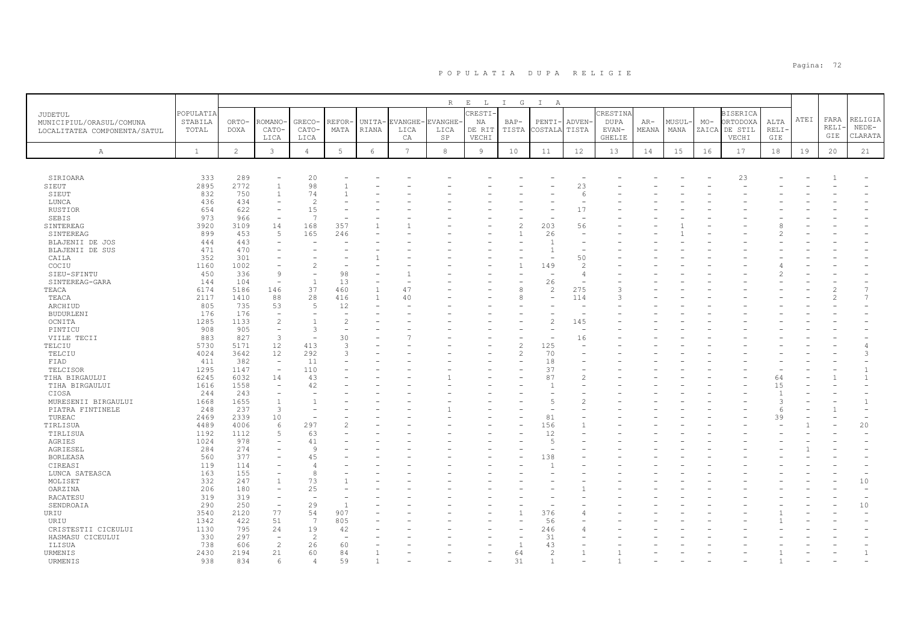|                                                          |              |                |                          |                          |                          |              |                 | $\mathbb R$ | $\mathop{}\mathopen{} E$<br>$\mathbb{L}$ | $I$ G          | $\mathbb{I}$<br>A |                          |               |       |        |       |                 |         |      |       |                |
|----------------------------------------------------------|--------------|----------------|--------------------------|--------------------------|--------------------------|--------------|-----------------|-------------|------------------------------------------|----------------|-------------------|--------------------------|---------------|-------|--------|-------|-----------------|---------|------|-------|----------------|
|                                                          | POPULATIA    |                |                          |                          |                          |              |                 |             | RESTI-                                   |                |                   |                          | CRESTIN       |       |        |       | <b>BISERICA</b> |         |      |       |                |
| <b>JUDETUL</b>                                           | STABILA      | ORTO-          | ROMANO                   | GRECO-                   | REFOR-                   | UNITA-       | <b>EVANGHE</b>  | EVANGHE-    | ΝA                                       | $BAP-$         | PENTI-            | ADVEN-                   | <b>DUPA</b>   | $AR-$ | MUSUL- | $MO-$ | ORTODOXA        | ALTA    | ATEI | FARA  | RELIGIA        |
| MUNICIPIUL/ORASUL/COMUNA<br>LOCALITATEA COMPONENTA/SATUL | TOTAL        | <b>DOXA</b>    | CATO-                    | CATO-                    | MATA                     | RIANA        | LICA            | LICA        | DE RIT                                   | TISTA          | COSTALA           | TISTA                    | EVAN-         | MEANA | MANA   | ZAICA | DE STIL         | RELI-   |      | RELI- | $NEDE-$        |
|                                                          |              |                | LICA                     | LICA                     |                          |              | CA              | SP          | VECHI                                    |                |                   |                          | <b>GHELIE</b> |       |        |       | VECHI           | GIE     |      | GIE   | CLARATA        |
|                                                          |              |                |                          |                          |                          |              |                 |             |                                          |                |                   |                          |               |       |        |       |                 |         |      |       |                |
| $\mathbb{A}$                                             | $\mathbf{1}$ | $\overline{c}$ | $\mathbf{3}$             | $\overline{4}$           | $5\phantom{.0}$          | 6            | $7\overline{ }$ | $^{\rm 8}$  | 9                                        | 10             | 11                | 12                       | 13            | 14    | 15     | 16    | 17              | 18      | 19   | 20    | 21             |
|                                                          |              |                |                          |                          |                          |              |                 |             |                                          |                |                   |                          |               |       |        |       |                 |         |      |       |                |
|                                                          |              |                |                          |                          |                          |              |                 |             |                                          |                |                   |                          |               |       |        |       |                 |         |      |       |                |
| SIRIOARA                                                 | 333          | 289            |                          | 20                       |                          |              |                 |             |                                          |                |                   |                          |               |       |        |       | 23              |         |      |       |                |
| SIEUT                                                    | 2895         | 2772           | $\overline{1}$           | 98                       |                          |              |                 |             |                                          |                |                   | 23                       |               |       |        |       |                 |         |      |       |                |
| SIEUT                                                    | 832          | 750            |                          | 74                       |                          |              |                 |             |                                          |                |                   | 6                        |               |       |        |       |                 |         |      |       |                |
| LUNCA                                                    | 436          | 434            |                          | $\overline{c}$           |                          |              |                 |             |                                          |                |                   |                          |               |       |        |       |                 |         |      |       |                |
| RUSTIOR                                                  | 654          | 622            |                          | 15                       |                          |              |                 |             |                                          |                |                   | 17                       |               |       |        |       |                 |         |      |       |                |
| SEBIS                                                    | 973          | 966            |                          | $\overline{7}$           |                          |              |                 |             |                                          |                |                   |                          |               |       |        |       |                 |         |      |       |                |
| SINTEREAG                                                | 3920         | 3109           | 14                       | 168                      | 357                      |              |                 |             |                                          | $\overline{c}$ | 203               | 56                       |               |       |        |       |                 |         |      |       |                |
| SINTEREAG                                                | 899          | 453            | $\sqrt{2}$               | 165                      | 246                      |              |                 |             |                                          | $\mathbf{1}$   | 26                | $\overline{\phantom{a}}$ |               |       |        |       |                 |         |      |       |                |
| BLAJENII DE JOS                                          | 444          | 443            |                          |                          |                          |              |                 |             |                                          |                |                   |                          |               |       |        |       |                 |         |      |       |                |
| BLAJENII DE SUS                                          | 471          | 470            |                          | $\overline{\phantom{0}}$ |                          |              |                 |             |                                          |                | $\overline{1}$    | $\overline{\phantom{0}}$ |               |       |        |       |                 |         |      |       |                |
| CAILA                                                    | 352          | 301            |                          |                          |                          |              |                 |             |                                          |                |                   | 50                       |               |       |        |       |                 |         |      |       |                |
| COCIU                                                    | 1160         | 1002           |                          | $\overline{c}$           |                          |              |                 |             |                                          |                | 149               | $\overline{c}$           |               |       |        |       |                 |         |      |       |                |
| SIEU-SFINTU                                              | 450          | 336            | $\overline{9}$           | $\sim$                   | 98                       |              |                 |             |                                          |                |                   | 4                        |               |       |        |       |                 |         |      |       |                |
| SINTEREAG-GARA                                           | 144          | 104            | $\overline{\phantom{a}}$ | $\overline{1}$           | 13                       | ٠            |                 |             |                                          | ٠              | 26                | $\overline{\phantom{a}}$ |               |       |        |       |                 |         |      |       |                |
| TEACA                                                    | 6174         | 5186           | 146                      | 37                       | 460                      | $\mathbf{1}$ | 47              |             |                                          | 8              | $\overline{c}$    | 275                      |               |       |        |       |                 |         |      |       |                |
| TEACA                                                    | 2117         | 1410           | 88                       | 28                       | 416                      | $\mathbf{1}$ | 40              |             |                                          | 8              | ÷                 | 114                      | 3             |       |        |       |                 |         |      |       |                |
| ARCHIUD                                                  | 805          | 735            | 53                       | 5                        | 12                       |              |                 |             |                                          |                |                   |                          |               |       |        |       |                 |         |      |       |                |
| <b>BUDURLENI</b>                                         | 176          | 176            | $\overline{\phantom{a}}$ | $\overline{\phantom{a}}$ | $\overline{\phantom{a}}$ |              |                 |             |                                          |                |                   | $\overline{\phantom{0}}$ |               |       |        |       |                 |         |      |       |                |
| OCNITA                                                   | 1285         | 1133           | $\overline{c}$           | $\overline{1}$           | $\overline{c}$           |              |                 |             |                                          |                |                   | 145                      |               |       |        |       |                 |         |      |       |                |
| PINTICU                                                  | 908          | 905            | $\overline{\phantom{a}}$ | 3                        |                          |              |                 |             |                                          |                |                   | $\overline{\phantom{a}}$ |               |       |        |       |                 |         |      |       |                |
| VIILE TECII                                              | 883          | 827            | $\overline{3}$           | $\overline{\phantom{a}}$ | 30                       |              |                 |             |                                          |                |                   | 16                       |               |       |        |       |                 |         |      |       |                |
| TELCIU                                                   | 5730         | 5171           | 12                       | 413                      | 3                        |              |                 |             |                                          | $\overline{c}$ | 125               |                          |               |       |        |       |                 |         |      |       |                |
| TELCIU                                                   | 4024         | 3642           | 12                       | 292                      | 3                        |              |                 |             |                                          | $\overline{c}$ | 70                |                          |               |       |        |       |                 |         |      |       | 3              |
| FIAD                                                     | 411          | 382            | $\overline{\phantom{a}}$ | 11<br>110                |                          |              |                 |             |                                          |                | 18<br>37          |                          |               |       |        |       |                 |         |      |       |                |
| TELCISOR                                                 | 1295         | 1147           |                          |                          |                          |              |                 |             |                                          |                | 87                |                          |               |       |        |       |                 |         |      |       |                |
| TIHA BIRGAULUI                                           | 6245         | 6032           | 14                       | 43                       |                          |              |                 |             |                                          |                | $\overline{1}$    | $\overline{c}$           |               |       |        |       |                 | 64      |      |       |                |
| TIHA BIRGAULUI                                           | 1616<br>244  | 1558<br>243    |                          | 42                       |                          |              |                 |             |                                          |                |                   |                          |               |       |        |       |                 | 15      |      |       |                |
| CIOSA                                                    |              |                | $\overline{1}$           | $\mathbf{1}$             |                          |              |                 |             |                                          |                | 5                 |                          |               |       |        |       |                 | 3       |      |       |                |
| MURESENII BIRGAULUI                                      | 1668         | 1655           | $\overline{3}$           | ÷                        |                          |              |                 |             |                                          |                |                   | $\overline{c}$           |               |       |        |       |                 |         |      |       |                |
| PIATRA FINTINELE<br>TUREAC                               | 248<br>2469  | 237<br>2339    | 10                       |                          |                          |              |                 |             |                                          |                | 81                |                          |               |       |        |       |                 | 6<br>39 |      |       |                |
|                                                          | 4489         | 4006           | 6                        | 297                      |                          |              |                 |             |                                          |                | 156               |                          |               |       |        |       |                 |         |      |       | 20             |
| TIRLISUA<br>TIRLISUA                                     | 1192         | 1112           | $\sqrt{2}$               | 63                       |                          |              |                 |             |                                          |                | 12                |                          |               |       |        |       |                 |         |      |       |                |
| AGRIES                                                   | 1024         | 978            |                          | 41                       |                          |              |                 |             |                                          |                | $\overline{5}$    |                          |               |       |        |       |                 |         |      |       |                |
| AGRIESEL                                                 | 284          | 274            |                          | 9                        |                          |              |                 |             |                                          |                |                   |                          |               |       |        |       |                 |         |      |       |                |
| <b>BORLEASA</b>                                          | 560          | 377            |                          | 45                       |                          |              |                 |             |                                          |                | 138               |                          |               |       |        |       |                 |         |      |       |                |
| CIREASI                                                  | 119          | 114            |                          | $\overline{4}$           |                          |              |                 |             |                                          |                |                   |                          |               |       |        |       |                 |         |      |       |                |
| LUNCA SATEASCA                                           | 163          | 155            |                          | 8                        |                          |              |                 |             |                                          |                |                   |                          |               |       |        |       |                 |         |      |       |                |
| MOLISET                                                  | 332          | 247            |                          | 73                       |                          |              |                 |             |                                          |                |                   |                          |               |       |        |       |                 |         |      |       | 10             |
| OARZINA                                                  | 206          | 180            |                          | 25                       |                          |              |                 |             |                                          |                |                   |                          |               |       |        |       |                 |         |      |       |                |
| RACATESU                                                 | 319          | 319            | $\equiv$                 | $\overline{\phantom{a}}$ |                          |              |                 |             |                                          |                |                   |                          |               |       |        |       |                 |         |      |       |                |
| SENDROAIA                                                | 290          | 250            | $\overline{\phantom{a}}$ | 29                       | $\overline{1}$           |              |                 |             |                                          |                |                   |                          |               |       |        |       |                 |         |      |       | $10$           |
| URIU                                                     | 3540         | 2120           | 77                       | 54                       | 907                      |              |                 |             |                                          |                | 376               |                          |               |       |        |       |                 |         |      |       |                |
| URIU                                                     | 1342         | 422            | 51                       | $\overline{7}$           | 805                      |              |                 |             |                                          |                | 56                |                          |               |       |        |       |                 |         |      |       |                |
| CRISTESTII CICEULUI                                      | 1130         | 795            | 24                       | 19                       | 42                       |              |                 |             |                                          |                | 246               |                          |               |       |        |       |                 |         |      |       |                |
| HASMASU CICEULUI                                         | 330          | 297            |                          | $\overline{2}$           |                          |              |                 |             |                                          |                | 31                |                          |               |       |        |       |                 |         |      |       |                |
| ILISUA                                                   | 738          | 606            | $\overline{c}$           | 26                       | 60                       |              |                 |             |                                          | $\overline{1}$ | 43                |                          |               |       |        |       |                 |         |      |       |                |
| URMENIS                                                  | 2430         | 2194           | 21                       | 60                       | 84                       |              |                 |             |                                          | 64             | $\overline{2}$    | $\mathbf{1}$             |               |       |        |       |                 |         |      |       | $\overline{1}$ |
| URMENIS                                                  | 938          | 834            | 6                        | $\overline{4}$           | 59                       |              |                 |             |                                          | 31             |                   |                          |               |       |        |       |                 |         |      |       |                |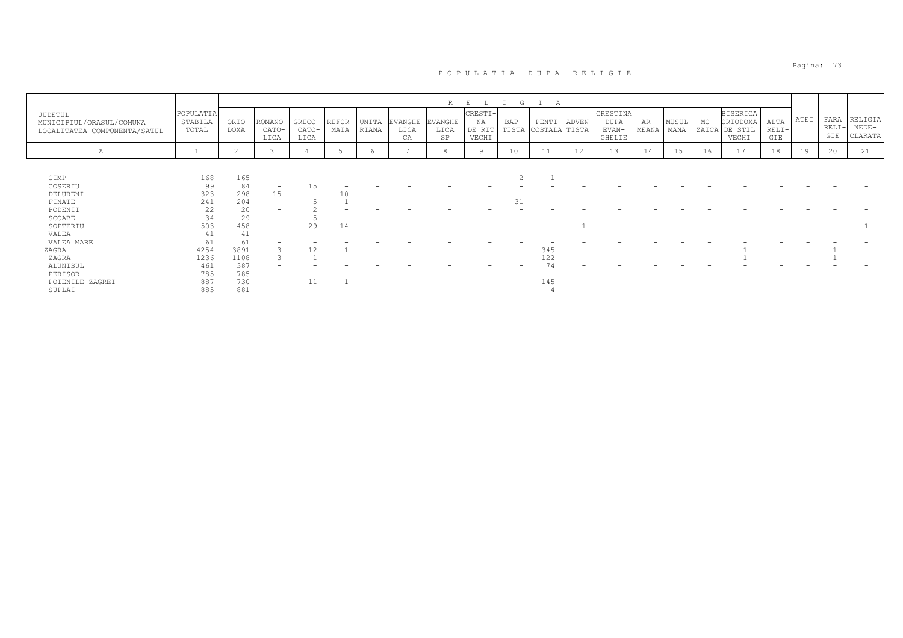|                                                                     |                               |               |                          |                          |                |       |                                        | R          | E                                | G             |               |               |                                                   |                |                |       |                                                       |                        |      |                        |                               |
|---------------------------------------------------------------------|-------------------------------|---------------|--------------------------|--------------------------|----------------|-------|----------------------------------------|------------|----------------------------------|---------------|---------------|---------------|---------------------------------------------------|----------------|----------------|-------|-------------------------------------------------------|------------------------|------|------------------------|-------------------------------|
| JUDETUL<br>MUNICIPIUL/ORASUL/COMUNA<br>LOCALITATEA COMPONENTA/SATUL | POPULATIA<br>STABILA<br>TOTAL | ORTO-<br>DOXA | ROMANO-<br>CATO-<br>LICA | GRECO-<br>CATO-<br>LICA  | REFOR-<br>MATA | RIANA | UNITA- EVANGHE- EVANGHE-<br>LICA<br>CA | LICA<br>SP | CRESTI-<br>NA<br>DE RIT<br>VECHI | BAP-<br>TISTA | COSTALA TISTA | PENTI- ADVEN- | CRESTINA<br><b>DUPA</b><br>EVAN-<br><b>GHELIE</b> | $AR-$<br>MEANA | MUSUL-<br>MANA | $MO-$ | <b>BISERICA</b><br>ORTODOXA<br>ZAICA DE STIL<br>VECHI | ALTA<br>$RELI-$<br>GIE | ATEI | FARA<br>$RELI-$<br>GIE | RELIGIA<br>$NEDE-$<br>CLARATA |
| А                                                                   | <b>+</b>                      | ∠             |                          |                          |                | h     |                                        | 8          |                                  | 10            | 11            | 12            | 13                                                | 14             | 15             | 16    | 17                                                    | 18                     | 19   | 20                     | 21                            |
|                                                                     |                               |               |                          |                          |                |       |                                        |            |                                  |               |               |               |                                                   |                |                |       |                                                       |                        |      |                        |                               |
| CIMP                                                                | 168                           | 165           |                          |                          |                |       |                                        |            |                                  |               |               |               |                                                   |                |                |       |                                                       |                        |      |                        |                               |
| COSERIU                                                             | 99                            | 84            | $\overline{\phantom{a}}$ | 15                       |                |       |                                        |            |                                  |               |               |               |                                                   |                |                |       |                                                       |                        |      |                        |                               |
| DELURENI                                                            | 323                           | 298           | 15                       | $\overline{\phantom{0}}$ |                |       |                                        |            |                                  |               |               |               |                                                   |                |                |       |                                                       |                        |      |                        |                               |
| FINATE                                                              | 241                           | 204           | $\overline{\phantom{a}}$ |                          |                |       |                                        |            |                                  |               |               |               |                                                   |                |                |       |                                                       |                        |      |                        |                               |
| PODENII                                                             | 22                            | 20            | $\overline{\phantom{0}}$ |                          |                |       |                                        |            |                                  |               |               |               |                                                   |                |                |       |                                                       |                        |      |                        |                               |
| SCOABE                                                              | 34                            | 29            |                          |                          |                |       |                                        |            |                                  |               |               |               |                                                   |                |                |       |                                                       |                        |      |                        |                               |
| SOPTERIU                                                            | 503                           | 458           | -                        | 29                       | 14             |       |                                        |            |                                  |               |               |               |                                                   |                |                |       |                                                       |                        |      |                        |                               |
| VALEA                                                               | 41                            | 41            |                          |                          |                |       |                                        |            |                                  |               |               |               |                                                   |                |                |       |                                                       |                        |      |                        |                               |
| VALEA MARE                                                          | 61                            | 61            |                          |                          |                |       |                                        |            |                                  |               |               |               |                                                   |                |                |       |                                                       |                        |      |                        |                               |
| ZAGRA                                                               | 4254                          | 3891          |                          | 12                       |                |       |                                        |            |                                  | -             | 345           |               |                                                   |                |                |       |                                                       |                        |      |                        |                               |
| ZAGRA                                                               | 1236                          | 1108          |                          |                          |                |       |                                        |            | -                                | -             | 122           |               |                                                   |                |                |       |                                                       |                        |      |                        |                               |
| ALUNISUL                                                            | 461                           | 387           |                          |                          |                |       |                                        |            |                                  |               | 74            |               |                                                   |                |                |       |                                                       |                        |      |                        |                               |
| PERISOR                                                             | 785                           | 785           | -                        |                          |                |       |                                        |            |                                  |               |               |               |                                                   |                |                |       |                                                       |                        |      |                        |                               |
| POIENILE ZAGREI                                                     | 887                           | 730           | -                        |                          |                |       |                                        |            |                                  | -             | 145           |               |                                                   |                |                |       |                                                       |                        |      |                        |                               |
| SUPLAI                                                              | 885                           | 881           | $\overline{\phantom{0}}$ |                          |                |       |                                        |            |                                  |               |               |               |                                                   |                |                |       |                                                       |                        |      |                        |                               |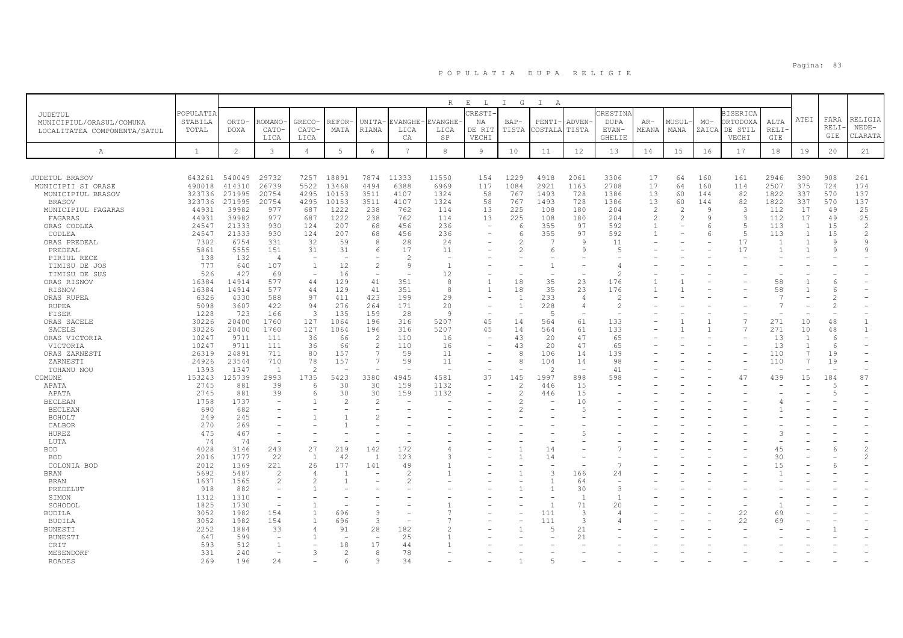|                              |                |                |                          |                |               |                                  |                | $\mathbb R$    | $\mathbf{E}$<br>$\mathbb{L}$ | $\mathbb{I}$<br>G        | $\mathbb{I}$<br>A |                          |                          |                |                          |       |                 |                |                                  |                |                |
|------------------------------|----------------|----------------|--------------------------|----------------|---------------|----------------------------------|----------------|----------------|------------------------------|--------------------------|-------------------|--------------------------|--------------------------|----------------|--------------------------|-------|-----------------|----------------|----------------------------------|----------------|----------------|
| JUDETUL                      | POPULATIA      |                |                          |                |               |                                  |                |                | CRESTI-                      |                          |                   |                          | CRESTINA                 |                |                          |       | <b>BISERICA</b> |                |                                  |                |                |
| MUNICIPIUL/ORASUL/COMUNA     | STABILA        | ORTO-          | ROMANO                   | GRECO-         | REFOR         | UNITA-                           | <b>EVANGHE</b> | <b>EVANGHE</b> | ΝA                           | BAP-                     | PENTI             | ADVEN-                   | <b>DUPA</b>              | $AR-$          | MUSUL-                   | $MO-$ | ORTODOXA        | ALTA           | ATEI                             | FARA           | RELIGIA        |
| LOCALITATEA COMPONENTA/SATUL | TOTAL          | <b>DOXA</b>    | CATO-                    | CATO-          | MATA          | RIANA                            | LICA           | LICA           | DE RIT                       | TISTA                    | COSTALZ           | TISTA                    | EVAN-                    | MEANA          | MANA                     | ZAICA | DE STIL         | <b>RELI</b>    |                                  | RELI-          | $NEDE-$        |
|                              |                |                | LICA                     | LICA           |               |                                  | CA             | SP             | VECHI                        |                          |                   |                          | <b>GHELIE</b>            |                |                          |       | VECHI           | GIE            |                                  | GIE            | CLARATA        |
| А                            | <sup>1</sup>   | $\overline{2}$ | $\mathbf{3}$             | $\overline{4}$ | 5             | 6                                | 7              | 8              | $\overline{9}$               | 10                       | 11                | 12                       | 13                       | 14             | 15                       | 16    | 17              | 18             | 19                               | 20             | 21             |
|                              |                |                |                          |                |               |                                  |                |                |                              |                          |                   |                          |                          |                |                          |       |                 |                |                                  |                |                |
|                              |                |                |                          |                |               |                                  |                |                |                              |                          |                   |                          |                          |                |                          |       |                 |                |                                  |                |                |
| JUDETUL BRASOV               |                | 643261 540049  | 29732                    |                | 7257 18891    | 7874                             | 11333          | 11550          | 154                          | 1229                     | 4918              | 2061                     | 3306                     | 17             | 64                       | 160   | 161             | 2946           | 390                              | 908            | 261            |
| MUNICIPII SI ORASE           | 490018         | 414310         | 26739                    | 5522           | 13468         | 4494                             | 6388           | 6969           | 117                          | 1084                     | 2921              | 1163                     | 2708                     | 17             | 64                       | 160   | 114             | 2507           | 375                              | 724            | 174            |
| MUNICIPIUL BRASOV            | 323736         | 271995         | 20754                    | 4295           | 10153         | 3511                             | 4107           | 1324           | 58                           | 767                      | 1493              | 728                      | 1386                     | 13             | 60                       | 144   | 82              | 1822           | 337                              | 570            | 137            |
| <b>BRASOV</b>                | 323736         | 271995         | 20754                    | 4295           | 10153         | 3511                             | 4107           | 1324           | 58                           | 767                      | 1493              | 728                      | 1386                     | 13             | 60                       | 144   | 82              | 1822           | 337                              | 570            | 137            |
| MUNICIPIUL FAGARAS           | 44931          | 39982          | 977                      | 687            | 1222          | 238                              | 762            | 114            | 13                           | 225                      | 108               | 180                      | 204                      | $\mathcal{L}$  | $\overline{\mathcal{L}}$ | Q     | 3               | 112            | 17                               | 49             | 25             |
| FAGARAS                      | 44931          | 39982          | 977                      | 687            | 1222          | 238                              | 762            | 114            | 13                           | 225                      | 108               | 180                      | 204                      | $\mathfrak{D}$ |                          | Q     | $\overline{3}$  | 112            | 17                               | 49             | 25             |
| ORAS CODLEA                  | 24547          | 21333          | 930                      | 124            | 207           | 68                               | 456            | 236            |                              | -6                       | 355               | 97                       | 592                      |                |                          |       | 5               | 113            | -1                               | 15             | $\overline{c}$ |
| CODLEA                       | 24547          | 21333          | 930                      | 124            | 207           | 68                               | 456            | 236            |                              | -6                       | 355               | 97                       | 592                      |                |                          | -6    | 5               | 113            | -1                               | 15             | 2              |
| ORAS PREDEAL                 | 7302           | 6754           | 331                      | 32             | 59            | 8                                | 28             | 24             |                              | $\mathcal{P}$            |                   | $\mathbf{Q}$             | 11                       |                |                          |       | 17              | $\overline{1}$ | $\overline{1}$                   | $\mathsf{Q}$   | $\mathsf{Q}$   |
| PREDEAL                      | 5861           | 5555           | 151                      | 31             | 31            | 6                                | 17             | 11             |                              | $\mathcal{L}$            | 6                 | Q                        | $\overline{5}$           |                |                          |       | 17              | $\overline{1}$ |                                  | 9              | q              |
| PIRIUL RECE                  | 138            | 132            | $\overline{4}$           |                |               |                                  |                |                |                              |                          |                   |                          |                          |                |                          |       |                 |                |                                  |                |                |
| TIMISU DE JOS                | 777            | 640            | 107                      | $\overline{1}$ | 12            | $\mathcal{L}$                    | -9             |                |                              |                          |                   |                          | $\overline{4}$           |                |                          |       |                 |                |                                  |                |                |
| TIMISU DE SUS                | 526            | 427            | 69                       |                | 16            | $\overline{\phantom{a}}$         |                | 12             |                              |                          |                   |                          |                          |                |                          |       |                 |                |                                  |                |                |
| ORAS RISNOV                  | 16384          | 14914          | 577                      | 44             | 129           | 41                               | 351            | 8              |                              | 18                       | 35                | 23                       | 176                      |                |                          |       |                 | 58             |                                  | 6              |                |
| RISNOV                       | 16384          | 14914          | 577                      | 44             | 129           | 41                               | 351            | 8              |                              | 18                       | 35                | 23                       | 176                      |                |                          |       |                 | 58             |                                  | 6              |                |
| ORAS RUPEA                   | 6326           | 4330           | 588                      | 97             | 411           | 423                              | 199            | 29             |                              | $\overline{1}$           | 233               | $\overline{4}$           | $\mathcal{L}$            |                |                          |       |                 | 7              |                                  | 2              |                |
| <b>RUPEA</b>                 | 5098           | 3607           | 422                      | 94             | 276           | 264                              | 171            | 20             |                              | $\overline{1}$           | 228               | $\overline{4}$           | $\overline{c}$           |                |                          |       |                 |                |                                  | $\overline{2}$ |                |
| FISER                        | 1228           | 723            | 166                      | -3             | 135           | 159                              | 28             | <sup>9</sup>   |                              | $\overline{\phantom{a}}$ | -5                | $\overline{\phantom{a}}$ | $\overline{\phantom{a}}$ |                |                          |       |                 |                |                                  |                |                |
| ORAS SACELE                  | 30226          | 20400          | 1760                     | 127            | 1064          | 196                              | 316<br>316     | 5207           | 45<br>45                     | 14                       | 564               | 61                       | 133                      |                |                          |       | $\overline{7}$  | 271            | 10                               | 48             | 1              |
| SACELE                       | 30226          | 20400          | 1760                     | 127            | 1064          | 196                              |                | 5207           |                              | 14                       | 564               | 61                       | 133                      |                |                          |       |                 | 271            | 10                               | 48             | $\mathbf{1}$   |
| ORAS VICTORIA                | 10247          | 9711<br>9711   | 111                      | 36             | 66            | $\overline{c}$<br>$\overline{c}$ | 110<br>110     | 16             |                              | 43                       | 20                | 47                       | 65<br>65                 |                |                          |       |                 | 13<br>13       | $\overline{1}$<br>$\overline{1}$ | 6<br>6         |                |
| VICTORIA                     | 10247          | 24891          | 111<br>711               | 36<br>80       | 66<br>157     | 7                                | 59             | 16<br>11       |                              | 43<br>8                  | 20<br>106         | 47<br>14                 | 139                      |                |                          |       |                 | 110            | 7                                | 19             |                |
| ORAS ZARNESTI<br>ZARNESTI    | 26319<br>24926 | 23544          | 710                      | 78             | 157           | $\overline{7}$                   | 59             | 11             |                              | $\mathcal{R}$            | 104               | 14                       | 98                       |                |                          |       |                 | 110            | $\overline{7}$                   | 19             |                |
| TOHANU NOU                   | 1393           | 1347           | $\overline{1}$           | $\mathcal{L}$  |               |                                  |                |                |                              |                          | $\mathcal{P}$     | $\overline{\phantom{a}}$ | 41                       |                |                          |       |                 |                |                                  |                |                |
| COMUNE                       | 153243         | 125739         | 2993                     | 1735           | 5423          | 3380                             | 4945           | 4581           | 37                           | 145                      | 1997              | 898                      | 598                      |                |                          |       | 47              | 439            | 15                               | 184            | 87             |
| APATA                        | 2745           | 881            | 39                       | -6             | 30            | 30                               | 159            | 1132           |                              | $\overline{2}$           | 446               | 15                       |                          |                |                          |       |                 |                |                                  | .5             |                |
| APATA                        | 2745           | 881            | 39                       | 6              | 30            | 30                               | 159            | 1132           |                              | $\mathcal{L}$            | 446               | 15                       |                          |                |                          |       |                 |                |                                  | 5              |                |
| <b>BECLEAN</b>               | 1758           | 1737           | ۰                        |                | $\mathcal{L}$ | $\mathcal{D}$                    |                |                |                              | $\mathfrak{D}$           |                   | 10                       |                          |                |                          |       |                 |                |                                  |                |                |
| <b>BECLEAN</b>               | 690            | 682            | ۰                        |                |               |                                  |                |                |                              |                          |                   | -5                       |                          |                |                          |       |                 |                |                                  |                |                |
| <b>BOHOLT</b>                | 249            | 245            |                          |                |               | $\mathcal{P}$                    |                |                |                              |                          |                   |                          |                          |                |                          |       |                 |                |                                  |                |                |
| CALBOR                       | 270            | 269            |                          |                |               |                                  |                |                |                              |                          |                   |                          |                          |                |                          |       |                 |                |                                  |                |                |
| HUREZ                        | 475            | 467            | $\equiv$                 |                |               |                                  |                |                |                              |                          |                   |                          |                          |                |                          |       |                 |                |                                  |                |                |
| LUTA                         | 74             | 74             | $\overline{\phantom{a}}$ |                |               |                                  |                |                |                              |                          |                   |                          |                          |                |                          |       |                 |                |                                  |                |                |
| BOD                          | 4028           | 3146           | 243                      | 27             | 219           | 142                              | 172            |                |                              | $\overline{1}$           | 14                |                          |                          |                |                          |       |                 | 45             |                                  | 6              | $\overline{c}$ |
| <b>BOD</b>                   | 2016           | 1777           | 22                       | 1              | 42            | $\overline{1}$                   | 123            |                |                              |                          | 14                |                          |                          |                |                          |       |                 | 30             |                                  |                | $\overline{c}$ |
| COLONIA BOD                  | 2012           | 1369           | 221                      | 26             | 177           | 141                              | 49             |                |                              |                          |                   |                          | $\overline{7}$           |                |                          |       |                 | 15             |                                  | 6              |                |
| BRAN                         | 5692           | 5487           | $\mathfrak{D}$           | $\overline{4}$ |               |                                  |                |                |                              |                          |                   | 166                      | 24                       |                |                          |       |                 |                |                                  |                |                |
| <b>BRAN</b>                  | 1637           | 1565           | $\overline{c}$           | $\mathcal{L}$  |               |                                  |                |                |                              |                          |                   | 64                       | $\overline{\phantom{a}}$ |                |                          |       |                 |                |                                  |                |                |
| PREDELUT                     | 918            | 882            | $\equiv$                 |                |               |                                  |                |                |                              |                          |                   | 30                       | 3                        |                |                          |       |                 |                |                                  |                |                |
| SIMON                        | 1312           | 1310           | $\overline{\phantom{a}}$ |                |               |                                  |                |                |                              |                          |                   | $\overline{1}$           | $\overline{1}$           |                |                          |       |                 |                |                                  |                |                |
| SOHODOL                      | 1825           | 1730           | $\overline{\phantom{a}}$ |                |               |                                  |                |                |                              |                          |                   | 71                       | 20                       |                |                          |       |                 |                |                                  |                |                |
| BUDILA                       | 3052           | 1982           | 154                      | $\overline{1}$ | 696           | 3                                |                |                |                              |                          | 111               | $\overline{3}$           | $\overline{4}$           |                |                          |       | 22              | 69             |                                  |                |                |
| BUDILA                       | 3052           | 1982           | 154                      | $\overline{1}$ | 696           | 3                                |                |                |                              |                          | 111               | 3                        | $\overline{4}$           |                |                          |       | 22              | 69             |                                  |                |                |
| BUNESTI                      | 2252           | 1884           | 33                       | $\overline{4}$ | 91            | 28                               | 182            |                |                              |                          |                   | 21                       |                          |                |                          |       |                 |                |                                  |                |                |
| <b>BUNESTI</b>               | 647            | 599            | $\sim$                   |                |               | $\overline{\phantom{0}}$         | 25             |                |                              |                          |                   | 21                       |                          |                |                          |       |                 |                |                                  |                |                |
| CRIT                         | 593            | 512            | $\mathbf{1}$             |                | 18            | 17                               | 44             |                |                              |                          |                   |                          |                          |                |                          |       |                 |                |                                  |                |                |
| MESENDORF                    | 331            | 240            | $\overline{\phantom{0}}$ | 3              | 2             | 8                                | 78             |                |                              |                          |                   |                          |                          |                |                          |       |                 |                |                                  |                |                |
| <b>ROADES</b>                | 269            | 196            | 24                       |                | 6             | $\mathcal{A}$                    | 34             |                |                              |                          |                   |                          |                          |                |                          |       |                 |                |                                  |                |                |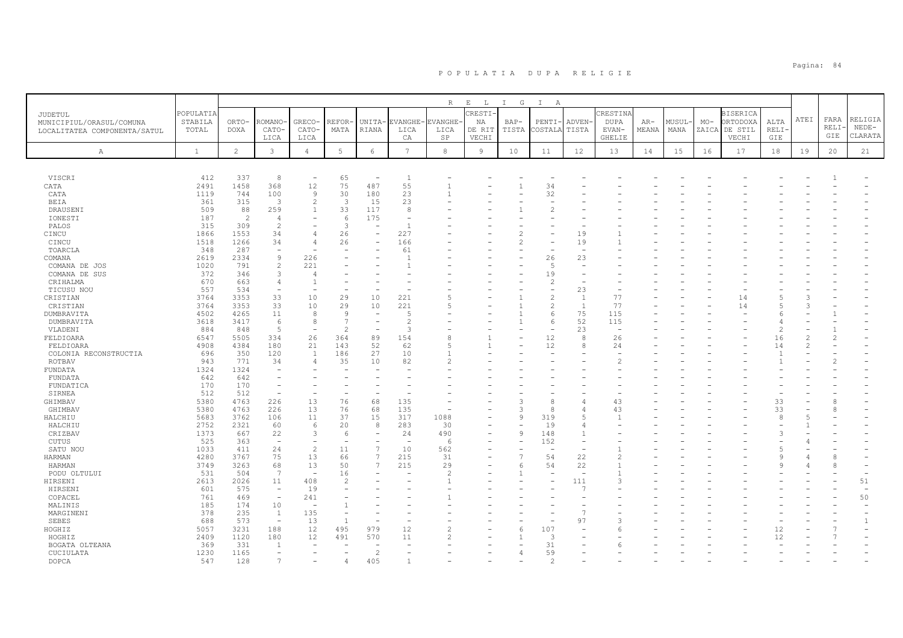|                              |              |                |                                |                               |                                |                                 |                                | R                 | $\,$ E<br>$\mathbb{L}$ | G<br>$\mathbb{I}$ | $\mathbb{I}$<br>A |                                          |               |       |       |       |                 |             |               |       |         |
|------------------------------|--------------|----------------|--------------------------------|-------------------------------|--------------------------------|---------------------------------|--------------------------------|-------------------|------------------------|-------------------|-------------------|------------------------------------------|---------------|-------|-------|-------|-----------------|-------------|---------------|-------|---------|
| JUDETUL                      | POPULATIA    |                |                                |                               |                                |                                 |                                |                   | <b>CRESTI-</b>         |                   |                   |                                          | CRESTINA      |       |       |       | <b>BISERICA</b> |             |               |       |         |
| MUNICIPIUL/ORASUL/COMUNA     | STABILA      | ORTO-          | ROMANO                         | <b>GRECO</b>                  | REFOR-                         | UNITA-                          | <b>EVANGHE</b>                 | <b>EVANGHE</b>    | NA                     | $BAP-$            | PENTI             | ADVEN-                                   | <b>DUPA</b>   | $AR-$ | MUSUL | $MO-$ | ORTODOXA        | ALTA        | ${\tt ATEI}$  | FARA  | RELIGIA |
| LOCALITATEA COMPONENTA/SATUL | TOTAL        | DOXA           | CATO-                          | CATO-                         | MATA                           | <b>RIANA</b>                    | LICA                           | LICA              | DE RIT                 | TISTA             | COSTALA           | TISTA                                    | EVAN-         | MEANA | MANA  | ZAICA | DE STIL         | <b>RELI</b> |               | RELI- | $NEDE-$ |
|                              |              |                | LICA                           | LICA                          |                                |                                 | CA                             | $_{\rm SP}$       | VECHI                  |                   |                   |                                          | GHELIE        |       |       |       | VECHI           | GIE         |               | GIE   | CLARATA |
| Α                            | $\mathbf{1}$ | $\overline{c}$ | 3                              | $\overline{4}$                | $5 -$                          | $\epsilon$                      | $7\phantom{.0}$                | 8                 | $\overline{9}$         | 10                | 11                | 12                                       | 13            | 14    | 15    | 16    | 17              | 18          | 19            | 20    | 21      |
|                              |              |                |                                |                               |                                |                                 |                                |                   |                        |                   |                   |                                          |               |       |       |       |                 |             |               |       |         |
|                              |              |                |                                |                               |                                |                                 |                                |                   |                        |                   |                   |                                          |               |       |       |       |                 |             |               |       |         |
| VISCRI                       | 412          | 337            | 8                              | $\overline{\phantom{a}}$      | 65                             | $\overline{\phantom{a}}$        | $\mathbf{1}$                   |                   |                        |                   |                   |                                          |               |       |       |       |                 |             |               |       |         |
| CATA                         | 2491         | 1458           | 368                            | 12                            | 75                             | 487                             | 55                             | $\overline{1}$    |                        | $\overline{1}$    | 34                |                                          |               |       |       |       |                 |             |               |       |         |
| CATA                         | 1119         | 744            | 100                            | 9                             | 30                             | 180                             | 23                             |                   |                        |                   | 32                |                                          |               |       |       |       |                 |             |               |       |         |
| BEIA                         | 361          | 315            | 3                              | 2                             | 3                              | 15                              | 23                             |                   |                        |                   |                   |                                          |               |       |       |       |                 |             |               |       |         |
| DRAUSENI                     | 509          | 88             | 259                            | 1                             | 33                             | 117                             | 8                              |                   |                        |                   |                   |                                          |               |       |       |       |                 |             |               |       |         |
| IONESTI                      | 187          | $\overline{c}$ | 4<br>$\overline{c}$            |                               | 6<br>3                         | 175<br>$\overline{\phantom{a}}$ |                                |                   |                        |                   |                   |                                          |               |       |       |       |                 |             |               |       |         |
| PALOS<br>CINCU               | 315<br>1866  | 309<br>1553    | 34                             | $\overline{4}$                | 26                             | $\overline{\phantom{a}}$        | 227                            |                   |                        | $\mathfrak{D}$    |                   | 19                                       |               |       |       |       |                 |             |               |       |         |
| CINCU                        | 1518         | 1266           | 34                             | $\overline{4}$                | 26                             | $\overline{\phantom{m}}$        | 166                            |                   |                        |                   |                   | 19                                       |               |       |       |       |                 |             |               |       |         |
| TOARCLA                      | 348          | 287            | $\overline{\phantom{a}}$       | $\overline{\phantom{a}}$      |                                |                                 | 61                             |                   |                        |                   |                   | $\overline{\phantom{a}}$                 |               |       |       |       |                 |             |               |       |         |
| COMANA                       | 2619         | 2334           | 9                              | 226                           |                                |                                 |                                |                   |                        |                   | 26                | 23                                       |               |       |       |       |                 |             |               |       |         |
| COMANA DE JOS                | 1020         | 791            | $\overline{c}$                 | 221                           |                                |                                 |                                |                   |                        |                   | -5                | $\overline{\phantom{a}}$                 |               |       |       |       |                 |             |               |       |         |
| COMANA DE SUS                | 372          | 346            | 3                              | $\overline{4}$                |                                |                                 |                                |                   |                        |                   | 19                |                                          |               |       |       |       |                 |             |               |       |         |
| CRIHALMA                     | 670          | 663            | 4                              | $\overline{1}$                |                                |                                 |                                |                   |                        |                   |                   |                                          |               |       |       |       |                 |             |               |       |         |
| TICUSU NOU                   | 557          | 534            | $\overline{\phantom{a}}$       |                               |                                |                                 |                                |                   |                        |                   |                   | 23                                       |               |       |       |       |                 |             |               |       |         |
| CRISTIAN                     | 3764         | 3353           | 33                             | 10                            | 29                             | 10                              | 221                            |                   |                        |                   |                   | 1                                        | 77            |       |       |       | 14              |             |               |       |         |
| CRISTIAN                     | 3764         | 3353           | 33                             | 10                            | 29                             | 10                              | 221                            |                   |                        |                   |                   | $\overline{1}$                           | 77            |       |       |       | 14              |             |               |       |         |
| DUMBRAVITA                   | 4502         | 4265           | 11                             | 8                             | 9                              | $\overline{\phantom{a}}$        | $\overline{5}$                 |                   |                        |                   |                   | 75                                       | 115           |       |       |       |                 |             |               |       |         |
| DUMBRAVITA                   | 3618         | 3417           | 6                              | 8                             | 7                              | $\overline{\phantom{m}}$        | 2                              |                   |                        |                   |                   | 52                                       | 115           |       |       |       |                 |             |               |       |         |
| VLADENI                      | 884          | 848            | 5                              | $\overline{\phantom{a}}$      | $\overline{\mathcal{L}}$       | $\overline{\phantom{a}}$        | 3                              |                   |                        |                   |                   | 23                                       | $\sim$        |       |       |       |                 | 2           |               |       |         |
| FELDIOARA                    | 6547         | 5505           | 334                            | 26                            | 364                            | 89                              | 154                            |                   |                        |                   | 12                | 8                                        | 26            |       |       |       |                 | 16          |               | 2     |         |
| FELDIOARA                    | 4908         | 4384           | 180                            | 21                            | 143                            | 52                              | 62                             | 5                 |                        |                   | 12                | 8                                        | 24            |       |       |       |                 | 14          | $\mathcal{L}$ |       |         |
| COLONIA RECONSTRUCTIA        | 696          | 350            | 120                            | 1                             | 186                            | 27                              | 10                             |                   |                        |                   |                   |                                          |               |       |       |       |                 |             |               |       |         |
| ROTBAV                       | 943          | 771            | 34                             | $\overline{4}$                | 35                             | 10                              | 82                             |                   |                        |                   |                   |                                          |               |       |       |       |                 |             |               |       |         |
| FUNDATA                      | 1324         | 1324           |                                |                               |                                |                                 |                                |                   |                        |                   |                   |                                          |               |       |       |       |                 |             |               |       |         |
| FUNDATA                      | 642          | 642            |                                |                               |                                |                                 |                                |                   |                        |                   |                   |                                          |               |       |       |       |                 |             |               |       |         |
| FUNDATICA                    | 170          | 170            |                                |                               |                                |                                 |                                |                   |                        |                   |                   |                                          |               |       |       |       |                 |             |               |       |         |
| SIRNEA                       | 512          | 512            | $\overline{\phantom{m}}$       |                               |                                |                                 |                                |                   |                        |                   |                   |                                          |               |       |       |       |                 |             |               |       |         |
| GHIMBAV                      | 5380         | 4763           | 226                            | 13                            | 76                             | 68                              | 135                            |                   |                        | 3                 |                   |                                          | 43            |       |       |       |                 | 33          |               | 8     |         |
| GHIMBAV                      | 5380         | 4763           | 226                            | 13                            | 76                             | 68                              | 135                            |                   |                        | $\mathcal{L}$     | $\alpha$          |                                          | 43            |       |       |       |                 | 33          |               | 8     |         |
| HALCHIU                      | 5683         | 3762           | 106                            | 11                            | 37                             | 15                              | 317                            | 1088              |                        | $\mathsf{Q}$      | 319               | .5                                       | $\mathbf{1}$  |       |       |       |                 | 8           |               |       |         |
| HALCHIU                      | 2752         | 2321           | 60                             | 6                             | 20                             | 8                               | 283                            | 30                |                        | $\mathsf{Q}$      | 19                | $\overline{4}$                           |               |       |       |       |                 |             |               |       |         |
| CRIZBAV                      | 1373         | 667            | 22<br>$\overline{\phantom{a}}$ | 3<br>$\overline{\phantom{a}}$ | -6<br>$\overline{\phantom{a}}$ | $\overline{\phantom{0}}$        | 24<br>$\overline{\phantom{m}}$ | 490<br>$\sqrt{2}$ |                        |                   | 148               | $\mathbf{1}$<br>$\overline{\phantom{a}}$ |               |       |       |       |                 |             |               |       |         |
| <b>CUTUS</b>                 | 525          | 363            |                                |                               |                                | $\overline{\phantom{a}}$        |                                |                   |                        |                   | 152               | $\overline{\phantom{0}}$                 |               |       |       |       |                 |             |               |       |         |
| SATU NOU                     | 1033         | 411<br>3767    | 24<br>75                       | $\overline{c}$<br>13          | 11                             | 7<br>7                          | 10<br>215                      | 562               |                        |                   | 54                |                                          | $\mathcal{D}$ |       |       |       |                 |             |               | 8     |         |
| HARMAN<br>HARMAN             | 4280<br>3749 | 3263           | 68                             | 13                            | 66<br>50                       | 7                               | 215                            | 31<br>29          |                        |                   | 54                | 22<br>22                                 |               |       |       |       |                 |             |               | 8     |         |
| PODU OLTULUI                 | 531          | 504            | 7                              | $\overline{\phantom{a}}$      | 16                             |                                 |                                | $\mathfrak{D}$    |                        |                   |                   | $\sim$                                   |               |       |       |       |                 |             |               |       |         |
| HIRSENI                      | 2613         | 2026           | 11                             | 408                           | $\overline{2}$                 |                                 |                                |                   |                        |                   |                   | 111                                      | 3             |       |       |       |                 |             |               |       | 51      |
| HIRSENI                      | 601          | 575            | $\overline{\phantom{a}}$       | 19                            |                                |                                 |                                |                   |                        |                   |                   | C.                                       |               |       |       |       |                 |             |               |       | $\sim$  |
| COPACEL                      | 761          | 469            | $\overline{\phantom{a}}$       | 241                           |                                |                                 |                                |                   |                        |                   |                   |                                          |               |       |       |       |                 |             |               |       | 50      |
| MALINIS                      | 185          | 174            | 10                             |                               |                                |                                 |                                |                   |                        |                   |                   |                                          |               |       |       |       |                 |             |               |       |         |
| MARGINENI                    | 378          | 235            | <sup>1</sup>                   | 135                           |                                |                                 |                                |                   |                        |                   |                   | $\overline{7}$                           |               |       |       |       |                 |             |               |       |         |
| <b>SEBES</b>                 | 688          | 573            | $\overline{\phantom{a}}$       | 13                            | $\overline{1}$                 |                                 |                                |                   |                        |                   |                   | 97                                       |               |       |       |       |                 |             |               |       |         |
| HOGHIZ                       | 5057         | 3231           | 188                            | 12                            | 495                            | 979                             | 12                             |                   |                        | 6                 | 107               |                                          | 6             |       |       |       |                 | 12          |               |       |         |
| HOGHIZ                       | 2409         | 1120           | 180                            | 12                            | 491                            | 570                             | 11                             |                   |                        |                   |                   |                                          |               |       |       |       |                 | 12          |               |       |         |
| BOGATA OLTEANA               | 369          | 331            | $\overline{1}$                 |                               |                                |                                 |                                |                   |                        |                   | 31                |                                          |               |       |       |       |                 |             |               |       |         |
| CUCIULATA                    | 1230         | 1165           |                                |                               |                                | 2                               |                                |                   |                        | $\overline{4}$    | 59                |                                          |               |       |       |       |                 |             |               |       |         |
| DOPCA                        | 547          | 128            |                                |                               |                                | 405                             |                                |                   |                        |                   | $\hat{ }$         |                                          |               |       |       |       |                 |             |               |       |         |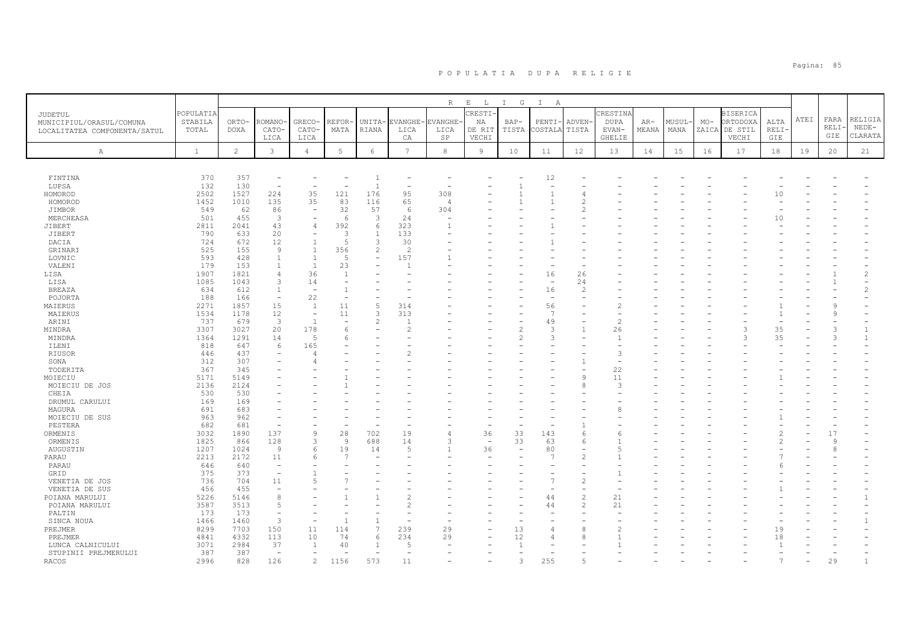|                              |              |              |                          |                          |                 |                          |                 | $R_{\perp}$    | $E$ $L$                  | $\mathbb{I}$<br>G        | $\mathbb{I}$<br>A        |                |               |       |       |       |                 |       |      |         |                |
|------------------------------|--------------|--------------|--------------------------|--------------------------|-----------------|--------------------------|-----------------|----------------|--------------------------|--------------------------|--------------------------|----------------|---------------|-------|-------|-------|-----------------|-------|------|---------|----------------|
| JUDETUL                      | POPULATIA    |              |                          |                          |                 |                          |                 |                | CRESTI                   |                          |                          |                | CRESTINA      |       |       |       | <b>BISERICA</b> |       |      |         |                |
| MUNICIPIUL/ORASUL/COMUNA     | STABILA      | ORTO-        | ROMANO·                  | GRECO-                   | <b>REFOR</b>    | UNITA-                   | EVANGHE-        | <b>EVANGHE</b> | ΝA                       | $BAP-$                   | $PENTI-$                 | <b>ADVEN</b>   | DUPA          | $AR-$ | MUSUL | $MO-$ | ORTODOXA        | ALTA  | ATEI | FARA    | RELIGIA        |
| LOCALITATEA COMPONENTA/SATUL | TOTAL        | DOXA         | CATO-                    | CATO-                    | MATA            | RIANA                    | LICA            | LICA           | DE RIT                   | TISTA                    | COSTALA                  | TISTA          | EVAN-         | MEANA | MANA  |       | ZAICA DE STIL   | RELI- |      | RELI    | $NEDE-$        |
|                              |              |              | LICA                     | LICA                     |                 |                          | CA              | SP             | VECHI                    |                          |                          |                | <b>GHELIE</b> |       |       |       | VECHI           | GIE   |      | GIE     | CLARATA        |
| Α                            | $\mathbf{1}$ | $\mathbf{2}$ | $\mathbf{3}$             | $\overline{4}$           | $5\phantom{.0}$ | $6\overline{6}$          | $7\overline{ }$ | $^{\rm 8}$     | 9                        | 10                       | 11                       | 12             | 13            | 14    | 15    | 16    | 17              | 18    | 19   | 20      | 21             |
|                              |              |              |                          |                          |                 |                          |                 |                |                          |                          |                          |                |               |       |       |       |                 |       |      |         |                |
|                              |              |              |                          |                          |                 |                          |                 |                |                          |                          |                          |                |               |       |       |       |                 |       |      |         |                |
| FINTINA                      | 370          | 357          |                          |                          |                 | -1                       |                 |                |                          |                          | 12                       |                |               |       |       |       |                 |       |      |         |                |
| LUPSA                        | 132          | 130          |                          |                          |                 | $\overline{1}$           |                 |                |                          |                          |                          |                |               |       |       |       |                 |       |      |         |                |
| HOMOROD                      | 2502         | 1527         | 224                      | 35                       | 121             | 176                      | 95              | 308            |                          |                          |                          |                |               |       |       |       |                 | 10    |      |         |                |
| HOMOROD                      | 1452         | 1010         | 135                      | 35                       | 83              | 116                      | 65              | 4              |                          |                          |                          |                |               |       |       |       |                 |       |      |         |                |
| JIMBOR                       | 549          | 62           | 86                       | $\overline{\phantom{a}}$ | 32              | 57                       | 6               | 304            |                          |                          |                          |                |               |       |       |       |                 |       |      |         |                |
| MERCHEASA                    | 501          | 455          | $\mathbf{3}$             |                          | 6               | 3                        | 24              |                |                          |                          |                          |                |               |       |       |       |                 | 10    |      |         |                |
| JIBERT                       | 2811         | 2041         | 43                       | $\overline{4}$           | 392             | 6                        | 323             |                |                          |                          |                          |                |               |       |       |       |                 |       |      |         |                |
| JIBERT                       | 790          | 633          | 20                       | $\overline{\phantom{a}}$ | 3               | -1                       | 133             |                |                          |                          |                          |                |               |       |       |       |                 |       |      |         |                |
| DACIA                        | 724          | 672          | 12                       | $\overline{1}$           | 5               | 3                        | 30              |                |                          |                          |                          |                |               |       |       |       |                 |       |      |         |                |
| GRINARI                      | 525          | 155          | $\overline{9}$           | $\overline{1}$           | 356             | $\overline{c}$           | $\overline{c}$  |                |                          |                          |                          |                |               |       |       |       |                 |       |      |         |                |
| LOVNIC                       | 593          | 428          | $\overline{1}$           | $\overline{1}$           | $\overline{5}$  | $\overline{\phantom{m}}$ | 157             |                |                          |                          |                          |                |               |       |       |       |                 |       |      |         |                |
| VALENI                       | 179          | 153          | $\overline{1}$           | $\mathbf{1}$             | 23              |                          |                 |                |                          |                          |                          |                |               |       |       |       |                 |       |      |         |                |
| LISA                         | 1907         | 1821         | $\overline{4}$           | 36                       | $\overline{1}$  |                          |                 |                |                          |                          | 16                       | 26             |               |       |       |       |                 |       |      |         | $\overline{c}$ |
| LISA                         | 1085         | 1043         | 3                        | 14                       |                 |                          |                 |                |                          |                          | $\overline{\phantom{a}}$ | 24             |               |       |       |       |                 |       |      |         |                |
| <b>BREAZA</b>                | 634          | 612          | $\overline{1}$           | $\overline{\phantom{0}}$ |                 |                          |                 |                |                          |                          | 16                       | 2              |               |       |       |       |                 |       |      |         |                |
| POJORTA                      | 188          | 166          | $\overline{\phantom{a}}$ | 22                       |                 |                          |                 |                |                          |                          | $\sim$                   |                |               |       |       |       |                 |       |      |         |                |
| MAIERUS                      | 2271         | 1857         | 15                       | 1                        | 11              | 5                        | 314             |                |                          |                          | 56                       |                |               |       |       |       |                 |       |      |         |                |
| MAIERUS                      | 1534         | 1178         | 12                       | $\overline{\phantom{a}}$ | 11              | 3                        | 313             |                |                          |                          | $\overline{7}$           |                |               |       |       |       |                 |       |      |         |                |
| ARINI                        | 737          | 679          | $\overline{3}$           | $\overline{1}$           |                 | $\overline{c}$           |                 |                |                          |                          | 49                       |                |               |       |       |       |                 |       |      |         |                |
| MINDRA                       | 3307         | 3027         | 20                       | 178                      | 6               |                          |                 |                |                          | 2                        | 3                        |                | 26            |       |       |       | 3               | 35    |      |         | $\mathbf{1}$   |
| MINDRA                       | 1364         | 1291         | 14                       | $\overline{5}$           | հ               |                          |                 |                |                          |                          | 3                        |                |               |       |       |       |                 | 35    |      |         | $\mathbf{1}$   |
| ILENI                        | 818          | 647          | 6                        | 165                      |                 |                          |                 |                |                          |                          |                          |                |               |       |       |       |                 |       |      |         |                |
| RIUSOR                       | 446          | 437          |                          |                          |                 |                          |                 |                |                          |                          |                          |                | 3             |       |       |       |                 |       |      |         |                |
| SONA                         | 312          | 307          |                          |                          |                 |                          |                 |                |                          |                          |                          |                |               |       |       |       |                 |       |      |         |                |
| TODERITA                     | 367          | 345          |                          |                          |                 |                          |                 |                |                          |                          |                          |                | 22            |       |       |       |                 |       |      |         |                |
| MOIECIU                      | 5171         | 5149         |                          |                          |                 |                          |                 |                |                          |                          |                          | 9              | 11            |       |       |       |                 |       |      |         |                |
| MOIECIU DE JOS               | 2136         | 2124         |                          |                          |                 |                          |                 |                |                          |                          |                          |                | 3             |       |       |       |                 |       |      |         |                |
| CHEIA                        | 530          | 530          |                          |                          |                 |                          |                 |                |                          |                          |                          |                |               |       |       |       |                 |       |      |         |                |
| DRUMUL CARULUI               | 169          | 169          |                          |                          |                 |                          |                 |                |                          |                          |                          |                |               |       |       |       |                 |       |      |         |                |
| MAGURA                       | 691          | 683          |                          |                          |                 |                          |                 |                |                          |                          |                          |                |               |       |       |       |                 |       |      |         |                |
| MOIECIU DE SUS               | 963          | 962          |                          |                          |                 |                          |                 |                |                          |                          |                          |                |               |       |       |       |                 |       |      |         |                |
| PESTERA                      | 682          | 681          | $\overline{\phantom{0}}$ |                          |                 |                          |                 |                |                          |                          |                          |                |               |       |       |       |                 |       |      |         |                |
| ORMENIS                      | 3032         | 1890         | 137                      | 9                        | 28              | 702                      | 19              |                | 36                       | 33                       | 143                      | 6              |               |       |       |       |                 |       |      | 17      |                |
| ORMENIS                      | 1825         | 866          | 128                      | 3                        | Q               | 688                      | 14              | ٦              | $\overline{\phantom{a}}$ | 33                       | 63                       | 6              |               |       |       |       |                 |       |      | $\circ$ |                |
| AUGUSTIN                     | 1207         | 1024         | $\overline{9}$           | 6                        | 19              | 14                       | $\overline{5}$  |                | 36                       | $\overline{\phantom{0}}$ | 80                       |                |               |       |       |       |                 |       |      |         |                |
| PARAU                        | 2213         | 2172         | 11                       | 6                        |                 |                          |                 |                |                          |                          | 7                        |                |               |       |       |       |                 |       |      |         |                |
| PARAU                        | 646          | 640          | $\overline{\phantom{0}}$ |                          |                 |                          |                 |                |                          |                          |                          |                |               |       |       |       |                 |       |      |         |                |
| GRID                         | 375          | 373          | $\overline{\phantom{a}}$ |                          |                 |                          |                 |                |                          |                          |                          |                |               |       |       |       |                 |       |      |         |                |
| VENETIA DE JOS               | 736          | 704          | 11                       |                          |                 |                          |                 |                |                          |                          | $\overline{7}$           |                |               |       |       |       |                 |       |      |         |                |
| VENETIA DE SUS               | 456          | 455          |                          |                          |                 |                          |                 |                |                          |                          |                          |                |               |       |       |       |                 |       |      |         |                |
| POIANA MARULUI               | 5226         | 5146         | 8                        |                          |                 |                          |                 |                |                          |                          | 44                       | $\overline{c}$ | 21            |       |       |       |                 |       |      |         |                |
| POIANA MARULUI               | 3587         | 3513         | 5                        |                          |                 |                          |                 |                |                          |                          | 44                       | $\overline{c}$ | 21            |       |       |       |                 |       |      |         |                |
| PALTIN                       | 173          | 173          | $\overline{\phantom{a}}$ |                          |                 |                          |                 |                |                          |                          |                          |                |               |       |       |       |                 |       |      |         |                |
| SINCA NOUA                   | 1466         | 1460         | $\overline{3}$           |                          |                 |                          |                 |                |                          |                          |                          |                |               |       |       |       |                 |       |      |         | $\mathbf{1}$   |
| PREJMER                      | 8299         | 7703         | 150                      | 11                       | 114             | $\overline{7}$           | 239             | 29             |                          | 13                       | $\overline{4}$           | 8              |               |       |       |       |                 | 19    |      |         |                |
| PREJMER                      | 4841         | 4332         | 113                      | 10                       | 74              | 6                        | 234             | 29             |                          | 12                       |                          |                |               |       |       |       |                 | 18    |      |         |                |
| LUNCA CALNICULUI             | 3071         | 2984         | 37                       |                          | 40              |                          |                 |                |                          |                          |                          |                |               |       |       |       |                 |       |      |         |                |
| STUPINII PREJMERULUI         | 387          | 387          | $\overline{\phantom{a}}$ |                          |                 |                          |                 |                |                          |                          |                          |                |               |       |       |       |                 |       |      |         |                |
| RACOS                        | 2996         | 828          | 126                      | 2                        | 1156            | 573                      | 11              |                |                          |                          | 255                      |                |               |       |       |       |                 |       |      | 29      |                |
|                              |              |              |                          |                          |                 |                          |                 |                |                          |                          |                          |                |               |       |       |       |                 |       |      |         |                |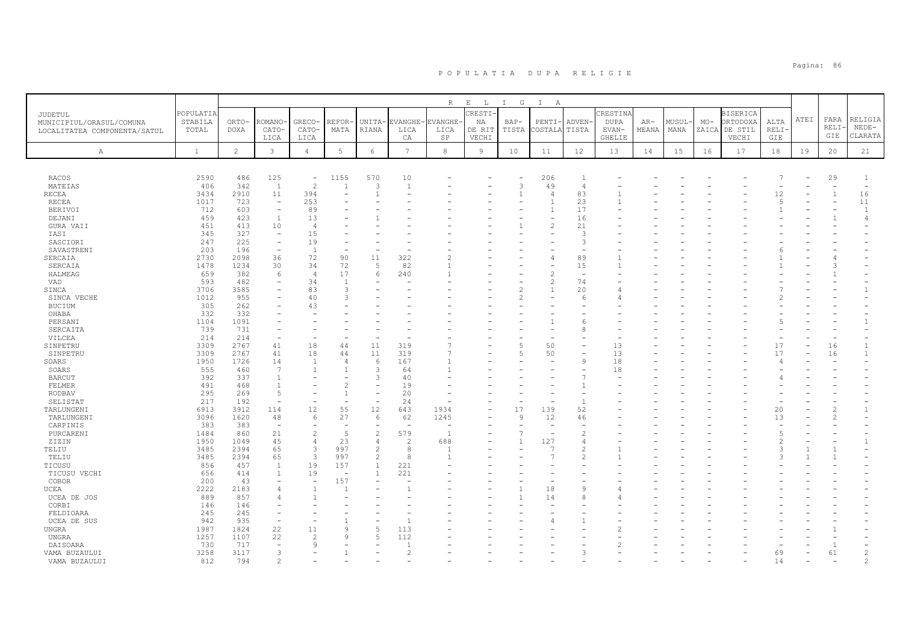|                              |             |                |                                            |                          |                          |                          |                          | R              | $\,$ E<br>$\mathbb{L}$ | G<br>$\mathbb{I}$ | $\mathbb{I}$<br>A |                |               |       |        |       |                 |                |      |              |                                |
|------------------------------|-------------|----------------|--------------------------------------------|--------------------------|--------------------------|--------------------------|--------------------------|----------------|------------------------|-------------------|-------------------|----------------|---------------|-------|--------|-------|-----------------|----------------|------|--------------|--------------------------------|
| JUDETUL                      | POPULATIA   |                |                                            |                          |                          |                          |                          |                | <b>CRESTI-</b>         |                   |                   |                | CRESTINA      |       |        |       | <b>BISERICA</b> |                |      |              |                                |
| MUNICIPIUL/ORASUL/COMUNA     | STABILA     | ORTO-          | ROMANO                                     | GRECO-                   | REFOR-                   |                          | UNITA-EVANGHE-           | <b>EVANGHE</b> | NA                     | $BAP-$            | PENTI·            | ADVEN-         | <b>DUPA</b>   | $AR-$ | MUSUL- | $MO-$ | ORTODOXA        | ALTA           | ATEI | FARA         | RELIGIA                        |
| LOCALITATEA COMPONENTA/SATUL | TOTAL       | DOXA           | CATO-                                      | CATO-                    | MATA                     | RIANA                    | LICA                     | LICA           | DE RIT                 | TISTA             | COSTALA           | TISTA          | EVAN-         | MEANA | MANA   | ZAICA | DE STIL         | <b>RELI</b>    |      | RELI-        | $NEDE-$                        |
|                              |             |                | LICA                                       | LICA                     |                          |                          | CA                       | SP             | VECHI                  |                   |                   |                | <b>GHELIE</b> |       |        |       | VECHI           | GIE            |      | GIE          | CLARATA                        |
| Α                            | $\,$ 1      | $\overline{c}$ | 3                                          | $\overline{4}$           | $5\phantom{.0}$          | $\epsilon$               | $7\overline{ }$          | 8              | $\overline{9}$         | 10                | 11                | 12             | 13            | 14    | 15     | 16    | 17              | 18             | 19   | 20           | 21                             |
|                              |             |                |                                            |                          |                          |                          |                          |                |                        |                   |                   |                |               |       |        |       |                 |                |      |              |                                |
|                              |             |                |                                            |                          |                          |                          |                          |                |                        |                   |                   |                |               |       |        |       |                 |                |      |              |                                |
| RACOS                        | 2590        | 486            | 125                                        | $\overline{\phantom{a}}$ | 1155                     | 570                      | 10                       |                |                        |                   | 206               | $\mathbf{1}$   |               |       |        |       |                 |                |      | 29           | -1                             |
| MATEIAS                      | 406         | 342            | $\mathbf{1}$                               | $\overline{c}$           | $\mathbf{1}$             | 3                        | $\mathbf{1}$             |                |                        | 3                 | 49                | $\overline{4}$ |               |       |        |       |                 |                |      |              | $\overline{\phantom{0}}$       |
| <b>RECEA</b>                 | 3434        | 2910           | 11                                         | 394                      |                          | $\overline{1}$           |                          |                |                        | $\overline{1}$    |                   | 83             |               |       |        |       |                 | 12             |      | $\mathbf{1}$ | 16                             |
| RECEA                        | 1017        | 723            | $\overline{a}$                             | 253                      |                          |                          |                          |                |                        |                   |                   | 23             |               |       |        |       |                 | $\overline{5}$ |      | ٠            | 11                             |
| <b>BERIVOI</b>               | 712<br>459  | 603<br>423     | $\overline{\phantom{a}}$<br>$\overline{1}$ | 89<br>13                 |                          |                          |                          |                |                        |                   |                   | 17<br>16       |               |       |        |       |                 |                |      |              | $\mathbf{1}$<br>$\overline{4}$ |
| DEJANI                       |             | 413            | 10                                         | $\overline{4}$           |                          |                          |                          |                |                        |                   |                   | 21             |               |       |        |       |                 |                |      |              |                                |
| GURA VAII<br>IASI            | 451<br>345  | 327            | $\overline{\phantom{a}}$                   | 15                       |                          |                          |                          |                |                        |                   |                   | 3              |               |       |        |       |                 |                |      |              |                                |
| SASCIORI                     | 247         | 225            | $\equiv$                                   | 19                       |                          |                          |                          |                |                        |                   |                   | 3              |               |       |        |       |                 |                |      |              |                                |
| SAVASTRENI                   | 203         | 196            | $\overline{\phantom{a}}$                   | <sup>1</sup>             |                          |                          |                          |                |                        |                   |                   |                |               |       |        |       |                 |                |      |              |                                |
| SERCAIA                      | 2730        | 2098           | 36                                         | 72                       | 90                       | 11                       | 322                      |                |                        |                   |                   | 89             |               |       |        |       |                 |                |      |              |                                |
| SERCAIA                      | 1478        | 1234           | 30                                         | 34                       | 72                       | 5                        | 82                       |                |                        |                   |                   | 15             |               |       |        |       |                 |                |      |              |                                |
| HALMEAG                      | 659         | 382            | 6                                          | $\overline{4}$           | 17                       | 6                        | 240                      |                |                        |                   |                   | $\sim$         |               |       |        |       |                 |                |      |              |                                |
| VAD                          | 593         | 482            | $\overline{\phantom{a}}$                   | 34                       | $\overline{1}$           |                          |                          |                |                        |                   |                   | 74             |               |       |        |       |                 |                |      |              |                                |
| SINCA                        | 3706        | 3585           |                                            | 83                       | $\mathcal{R}$            |                          |                          |                |                        |                   |                   | 20             |               |       |        |       |                 |                |      |              | $\mathbf{1}$                   |
| SINCA VECHE                  | 1012        | 955            | -                                          | 40                       | $\mathcal{R}$            |                          |                          |                |                        | $\mathcal{D}$     |                   | 6              |               |       |        |       |                 |                |      |              |                                |
| BUCIUM                       | 305         | 262            |                                            | 43                       |                          |                          |                          |                |                        |                   |                   |                |               |       |        |       |                 |                |      |              |                                |
| OHABA                        | 332         | 332            |                                            |                          |                          |                          |                          |                |                        |                   |                   |                |               |       |        |       |                 |                |      |              |                                |
| PERSANI                      | 1104        | 1091           |                                            |                          |                          |                          |                          |                |                        |                   |                   |                |               |       |        |       |                 |                |      |              |                                |
| SERCAITA                     | 739         | 731            |                                            |                          |                          |                          |                          |                |                        |                   |                   | 8              |               |       |        |       |                 |                |      |              |                                |
| VILCEA                       | 214         | 214            |                                            |                          |                          |                          |                          |                |                        |                   |                   |                |               |       |        |       |                 |                |      |              |                                |
| SINPETRU                     | 3309        | 2767           | 41                                         | 18                       | 44                       | 11                       | 319                      |                |                        |                   | 50                |                | 13            |       |        |       |                 | 17             |      | 16           | $\overline{1}$                 |
| SINPETRU                     | 3309        | 2767           | 41                                         | 18                       | 44                       | 11                       | 319                      |                |                        | -5                | 50                |                | 13            |       |        |       |                 | 17             |      | 16           | -1                             |
| SOARS                        | 1950        | 1726           | 14                                         | $\overline{1}$           | $\sqrt{2}$               | 6                        | 167                      |                |                        |                   |                   | 9              | 18            |       |        |       |                 |                |      |              |                                |
| SOARS                        | 555         | 460            | 7                                          | $\mathbf{1}$             | $\mathbf{1}$             | 3                        | 64                       |                |                        |                   |                   |                | 18            |       |        |       |                 |                |      |              |                                |
| <b>BARCUT</b>                | 392         | 337            | $\overline{1}$                             |                          |                          | 3                        | 40                       |                |                        |                   |                   |                |               |       |        |       |                 |                |      |              |                                |
| FELMER                       | 491         | 468            | -1<br>$\overline{5}$                       |                          | $\overline{1}$           | $\overline{\phantom{a}}$ | 19                       |                |                        |                   |                   |                |               |       |        |       |                 |                |      |              |                                |
| RODBAV                       | 295         | 269<br>192     | $\overline{\phantom{a}}$                   |                          |                          | $\overline{\phantom{m}}$ | 20<br>24                 |                |                        |                   |                   | $\mathbf{1}$   |               |       |        |       |                 |                |      |              |                                |
| SELISTAT<br>TARLUNGENI       | 217<br>6913 | 3912           | 114                                        | 12                       | 55                       | 12                       | 643                      | 1934           |                        | 17                | 139               | 52             |               |       |        |       |                 | 20             |      | 2            |                                |
| TARLUNGENI                   | 3096        | 1620           | 48                                         | 6                        | 27                       | 6                        | 62                       | 1245           |                        | $\mathsf{Q}$      | 12                | 46             |               |       |        |       |                 | 13             |      | 2            |                                |
| CARPINIS                     | 383         | 383            | $\overline{\phantom{a}}$                   |                          |                          |                          | $\overline{\phantom{a}}$ |                |                        |                   |                   |                |               |       |        |       |                 |                |      |              |                                |
| PURCARENI                    | 1484        | 860            | 21                                         | 2                        | 5                        | $\mathbf{2}$             | 579                      | $\overline{1}$ |                        | $\overline{7}$    |                   | $\mathcal{L}$  |               |       |        |       |                 |                |      |              |                                |
| ZIZIN                        | 1950        | 1049           | 45                                         | $\overline{4}$           | 23                       | 4                        | 2                        | 688            |                        |                   | 127               |                |               |       |        |       |                 |                |      |              | $\mathbf{1}$                   |
| TELIU                        | 3485        | 2394           | 65                                         | 3                        | 997                      | 2                        | 8                        | -1             |                        |                   |                   | $\mathfrak{D}$ |               |       |        |       |                 |                |      |              |                                |
| TELIU                        | 3485        | 2394           | 65                                         | 3                        | 997                      | $\overline{c}$           | 8                        |                |                        |                   |                   | $\overline{c}$ |               |       |        |       |                 |                |      |              |                                |
| TICUSU                       | 856         | 457            | $\overline{1}$                             | 19                       | 157                      | $\overline{1}$           | 221                      |                |                        |                   |                   |                |               |       |        |       |                 |                |      |              |                                |
| TICUSU VECHI                 | 656         | 414            | $\overline{1}$                             | 19                       | $\overline{\phantom{a}}$ | 1                        | 221                      |                |                        |                   |                   |                |               |       |        |       |                 |                |      |              |                                |
| COBOR                        | 200         | 43             | $\overline{\phantom{a}}$                   | $\overline{\phantom{a}}$ | 157                      |                          |                          |                |                        |                   |                   |                |               |       |        |       |                 |                |      |              |                                |
| UCEA                         | 2222        | 2183           |                                            | $\mathbf{1}$             | -1                       |                          |                          |                |                        |                   | 18                | 9              |               |       |        |       |                 |                |      |              |                                |
| UCEA DE JOS                  | 889         | 857            | 4                                          | $\overline{1}$           |                          |                          |                          |                |                        |                   | 14                | $\mathcal{R}$  |               |       |        |       |                 |                |      |              |                                |
| CORBI                        | 146         | 146            |                                            |                          |                          |                          |                          |                |                        |                   |                   |                |               |       |        |       |                 |                |      |              |                                |
| FELDIOARA                    | 245         | 245            |                                            |                          |                          |                          |                          |                |                        |                   |                   |                |               |       |        |       |                 |                |      |              |                                |
| UCEA DE SUS                  | 942         | 935            | $\equiv$                                   |                          |                          |                          |                          |                |                        |                   |                   |                |               |       |        |       |                 |                |      |              |                                |
| UNGRA                        | 1987        | 1824           | 22                                         | 11                       | 9                        | 5                        | 113                      |                |                        |                   |                   |                |               |       |        |       |                 |                |      |              |                                |
| UNGRA                        | 1257        | 1107           | 22                                         | 2                        | <sup>o</sup>             | 5                        | 112                      |                |                        |                   |                   |                |               |       |        |       |                 |                |      |              |                                |
| DAISOARA                     | 730         | 717            |                                            | $\circ$                  |                          |                          |                          |                |                        |                   |                   |                |               |       |        |       |                 |                |      |              |                                |
| VAMA BUZAULUI                | 3258        | 3117           | 3                                          |                          | $\mathbf{1}$             |                          | 2                        |                |                        |                   |                   | 3              |               |       |        |       |                 | 69             |      | 61           | $\overline{c}$                 |
| VAMA BUZAULUI                | 812         | 794            |                                            |                          |                          |                          |                          |                |                        |                   |                   |                |               |       |        |       |                 | 14             |      |              |                                |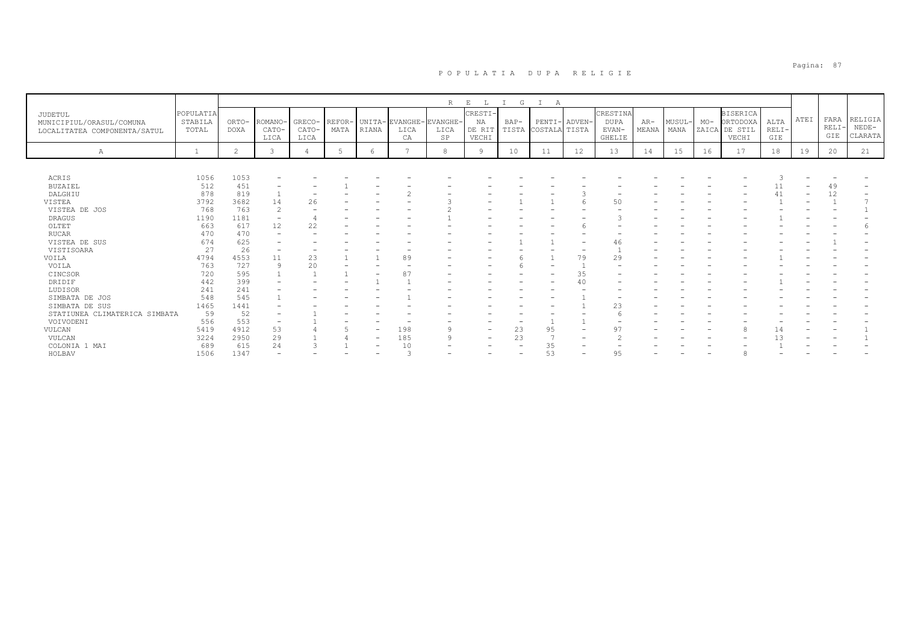|                                                                     |                               |                      |                          |                          |                |                          |                              | R                               | E<br>L                           | G      | А                                   |                          |                                            |                |                      |                |                                                 |                        |      |                     |                               |
|---------------------------------------------------------------------|-------------------------------|----------------------|--------------------------|--------------------------|----------------|--------------------------|------------------------------|---------------------------------|----------------------------------|--------|-------------------------------------|--------------------------|--------------------------------------------|----------------|----------------------|----------------|-------------------------------------------------|------------------------|------|---------------------|-------------------------------|
| JUDETUL<br>MUNICIPIUL/ORASUL/COMUNA<br>LOCALITATEA COMPONENTA/SATUL | POPULATIA<br>STABILA<br>TOTAL | ORTO-<br><b>DOXA</b> | ROMANO-<br>CATO-<br>LICA | GRECO-<br>CATO-<br>LICA  | REFOR-<br>MATA | RIANA                    | UNITA-EVANGHE-<br>LICA<br>CA | EVANGHE-<br>LICA<br>$_{\rm SP}$ | CRESTI-<br>NA<br>DE RIT<br>VECHI | $BAP-$ | PENTI- ADVEN<br>TISTA COSTALA TISTA |                          | CRESTINA<br><b>DUPA</b><br>EVAN-<br>GHELIE | $AR-$<br>MEANA | <b>MUSUL</b><br>MANA | $MO-$<br>ZAICA | <b>BISERICA</b><br>ORTODOXA<br>DE STIL<br>VECHI | ALTA<br>$RELI-$<br>GIE | ATEI | FARA<br>RELI<br>GIE | RELIGIA<br>$NEDE-$<br>CLARATA |
| Α                                                                   |                               | $\overline{c}$       | 3                        |                          |                | 6                        |                              | 8                               | <b>Q</b>                         | 10     | 11                                  | 12                       | 13                                         | 14             | 15                   | 16             | 17                                              | 18                     | 19   | 20                  | 21                            |
|                                                                     |                               |                      |                          |                          |                |                          |                              |                                 |                                  |        |                                     |                          |                                            |                |                      |                |                                                 |                        |      |                     |                               |
| ACRIS                                                               | 1056                          | 1053                 |                          |                          |                |                          |                              |                                 |                                  |        |                                     |                          |                                            |                |                      |                |                                                 |                        |      |                     |                               |
| <b>BUZAIEL</b>                                                      | 512                           | 451                  |                          |                          |                |                          |                              |                                 |                                  |        |                                     |                          |                                            |                |                      |                |                                                 |                        |      | 49                  |                               |
| DALGHIU                                                             | 878                           | 819                  |                          | $\overline{\phantom{0}}$ |                |                          | $\sim$                       |                                 |                                  |        |                                     |                          |                                            |                |                      |                |                                                 | 41                     |      | 12                  |                               |
| VISTEA                                                              | 3792                          | 3682                 | 14                       | 26                       |                |                          |                              |                                 |                                  |        |                                     |                          | 50                                         |                |                      |                |                                                 |                        |      |                     |                               |
| VISTEA DE JOS                                                       | 768                           | 763                  | 2                        |                          |                |                          |                              |                                 |                                  |        |                                     |                          |                                            |                |                      |                |                                                 |                        |      |                     |                               |
| <b>DRAGUS</b>                                                       | 1190                          | 1181                 | $\overline{\phantom{a}}$ |                          |                |                          |                              |                                 |                                  |        |                                     |                          |                                            |                |                      |                |                                                 |                        |      |                     |                               |
| OLTET                                                               | 663                           | 617                  | 12                       | 22                       |                |                          |                              |                                 |                                  |        |                                     |                          |                                            |                |                      |                |                                                 |                        |      |                     |                               |
| <b>RUCAR</b>                                                        | 470                           | 470                  | $\overline{\phantom{0}}$ |                          |                |                          |                              |                                 |                                  |        |                                     |                          |                                            |                |                      |                |                                                 |                        |      |                     |                               |
| VISTEA DE SUS                                                       | 674                           | 625                  | $\overline{\phantom{0}}$ |                          |                |                          |                              |                                 |                                  |        |                                     |                          | 46                                         |                |                      |                |                                                 |                        |      |                     |                               |
| VISTISOARA                                                          | 27                            | 26                   | $\qquad \qquad -$        |                          |                |                          |                              |                                 |                                  |        |                                     | $\overline{\phantom{a}}$ |                                            |                |                      |                |                                                 |                        |      |                     |                               |
| VOILA                                                               | 4794                          | 4553                 | 11                       | 23                       |                |                          | 89                           |                                 |                                  |        |                                     | 79                       | 29                                         |                |                      |                |                                                 |                        |      |                     |                               |
| VOILA                                                               | 763                           | 727                  | 9                        | 20                       |                |                          |                              |                                 |                                  |        |                                     |                          |                                            |                |                      |                |                                                 |                        |      |                     |                               |
| CINCSOR                                                             | 720                           | 595                  |                          |                          |                |                          | $8^{\circ}$                  |                                 |                                  |        |                                     | 35                       |                                            |                |                      |                |                                                 |                        |      |                     |                               |
| DRIDIF                                                              | 442                           | 399                  |                          |                          |                |                          |                              |                                 |                                  |        |                                     | 40                       |                                            |                |                      |                |                                                 |                        |      |                     |                               |
| LUDISOR                                                             | 241                           | 241                  | $\overline{\phantom{0}}$ |                          |                |                          |                              |                                 |                                  |        |                                     |                          |                                            |                |                      |                |                                                 |                        |      |                     |                               |
| SIMBATA DE JOS                                                      | 548                           | 545                  |                          |                          |                |                          |                              |                                 |                                  |        |                                     |                          |                                            |                |                      |                |                                                 |                        |      |                     |                               |
| SIMBATA DE SUS                                                      | 1465                          | 1441                 |                          |                          |                |                          |                              |                                 |                                  |        |                                     |                          | 23                                         |                |                      |                |                                                 |                        |      |                     |                               |
| STATIUNEA CLIMATERICA SIMBATA                                       | 59                            | 52                   |                          |                          |                |                          |                              |                                 |                                  |        |                                     |                          |                                            |                |                      |                |                                                 |                        |      |                     |                               |
| VOIVODENI                                                           | 556                           | 553                  | $\qquad \qquad -$        |                          |                |                          |                              |                                 |                                  |        |                                     |                          |                                            |                |                      |                |                                                 |                        |      |                     |                               |
| VULCAN                                                              | 5419                          | 4912                 | 53                       |                          |                | $\overline{\phantom{a}}$ | 198                          |                                 | $\qquad \qquad$                  | 23     | 95                                  |                          | 97                                         |                |                      |                |                                                 |                        |      |                     |                               |
| VULCAN                                                              | 3224                          | 2950                 | 29                       |                          |                | $\overline{\phantom{a}}$ | 185                          | ი                               | $\overline{\phantom{0}}$         | 23     |                                     |                          |                                            |                |                      |                |                                                 |                        |      |                     |                               |
| COLONIA 1 MAI                                                       | 689                           | 615                  | 24                       |                          |                | $\overline{\phantom{0}}$ | 10                           |                                 | $\overline{\phantom{0}}$         |        | 35                                  |                          |                                            |                |                      |                |                                                 |                        |      |                     |                               |
| HOLBAV                                                              | 1506                          | 1347                 |                          |                          |                |                          |                              |                                 |                                  |        | 53                                  |                          | 95                                         |                |                      |                |                                                 |                        |      |                     |                               |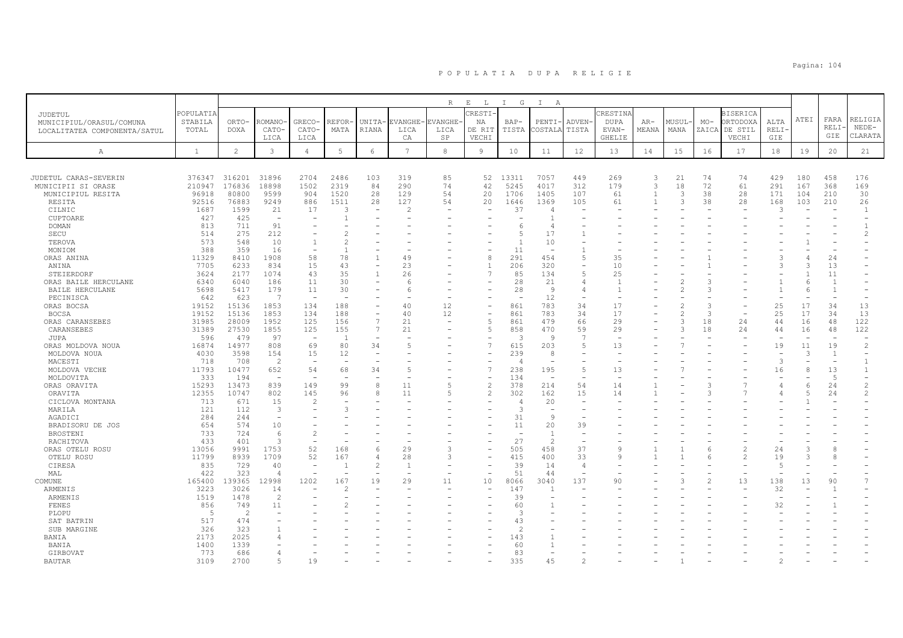|                                 |                       |                      |                               |                          |                |                          |                 | $\mathbb R$    | $\mathbf{E}$<br>$\mathbb{L}$ | I G                      | $\mathbb{I}$<br>$\mathbb{A}$ |                          |               |                |                                 |       |                 |                          |              |                |                |
|---------------------------------|-----------------------|----------------------|-------------------------------|--------------------------|----------------|--------------------------|-----------------|----------------|------------------------------|--------------------------|------------------------------|--------------------------|---------------|----------------|---------------------------------|-------|-----------------|--------------------------|--------------|----------------|----------------|
| JUDETUL                         | POPULATIA             |                      |                               |                          |                |                          |                 |                | CRESTI-                      |                          |                              |                          | CRESTINA      |                |                                 |       | <b>BISERICA</b> |                          |              |                |                |
| MUNICIPIUL/ORASUL/COMUNA        | STABILA               | ORTO-                | ROMANO                        | GRECO-                   | REFOR-         | UNITA-                   | EVANGHE         | EVANGHE        | NA                           | BAP-                     | PENTI                        | <b>ADVEN</b>             | <b>DUPA</b>   | $AR-$          | MUSUL-                          | $MO-$ | <b>DRTODOXA</b> | ALTA                     | ATEI         | FARA           | RELIGIA        |
| LOCALITATEA COMPONENTA/SATUL    | TOTAL                 | <b>DOXA</b>          | CATO-                         | CATO-                    | MATA           | <b>RIANA</b>             | LICA            | LICA           | DE RIT                       | TISTA                    | COSTALA                      | TISTA                    | EVAN-         | MEANA          | MANA                            | ZAICA | DE STIL         | <b>RELI</b>              |              | <b>RELI</b>    | $NEDE-$        |
|                                 |                       |                      | LICA                          | LICA                     |                |                          | CA              | SP             | VECHI                        |                          |                              |                          | <b>GHELIE</b> |                |                                 |       | VECHI           | GIE                      |              | GIE            | CLARATA        |
| А                               | $\mathbf{1}$          | $\overline{c}$       | 3                             | $\overline{4}$           | 5              | 6                        | $7\phantom{.0}$ | 8              | 9                            | 10                       | 11                           | 12                       | 13            | 14             | 15                              | 16    | 17              | 18                       | 19           | 20             | 21             |
|                                 |                       |                      |                               |                          |                |                          |                 |                |                              |                          |                              |                          |               |                |                                 |       |                 |                          |              |                |                |
|                                 |                       |                      |                               |                          |                |                          |                 |                |                              |                          |                              |                          |               |                |                                 |       |                 |                          |              |                |                |
| JUDETUL CARAS-SEVERIN           | 376347                | 316201               | 31896                         | 2704                     | 2486           | 103                      | 319             | 85             | 52                           | 13311                    | 7057                         | 449                      | 269           | $\overline{3}$ | 21                              | 74    | 74              | 429                      | 180          | 458            | 176            |
| MUNICIPII SI ORASE              | 210947                | 176836               | 18898                         | 1502                     | 2319           | 84                       | 290             | 74             | 42                           | 5245                     | 4017                         | 312                      | 179           | $\overline{3}$ | 18                              | 72    | 61              | 291                      | 167          | 368            | 169            |
| MUNICIPIUL RESITA               | 96918                 | 80800                | 9599                          | 904                      | 1520           | 28                       | 129             | 54             | 20                           | 1706                     | 1405                         | 107                      | 61            | $\overline{1}$ | 3                               | 38    | 28              | 171                      | 104          | 210            | 30             |
| RESITA<br>CILNIC                | 92516<br>1687         | 76883<br>1599        | 9249<br>21                    | 886<br>17                | 1511<br>3      | 28                       | 127<br>2        | 54             | 20                           | 1646<br>37               | 1369<br>$\overline{4}$       | 105                      | 61            | $\overline{1}$ | 3                               | 38    | 28              | 168<br>3                 | 103          | 210            | 26<br>-1       |
| CUPTOARE                        | 427                   | 425                  |                               |                          |                |                          |                 |                |                              |                          |                              |                          |               |                |                                 |       |                 |                          |              |                |                |
| <b>DOMAN</b>                    | 813                   | 711                  | 91                            | $\overline{\phantom{a}}$ |                |                          |                 |                |                              | $\epsilon$               | 4                            |                          |               |                |                                 |       |                 |                          |              |                |                |
| SECU                            | 514                   | 275                  | 212                           |                          |                |                          |                 |                |                              | 5                        | 17                           |                          |               |                |                                 |       |                 |                          |              |                | $\overline{c}$ |
| TEROVA                          | 573                   | 548                  | 10                            | $\mathbf{1}$             | $\overline{c}$ |                          |                 |                |                              | $\overline{1}$           | 10                           |                          |               |                |                                 |       |                 |                          |              |                |                |
| MONIOM                          | 388                   | 359                  | 16                            |                          | $\overline{1}$ |                          |                 |                |                              | 11                       |                              |                          |               |                |                                 |       |                 |                          |              |                |                |
| ORAS ANINA                      | 11329                 | 8410                 | 1908                          | 58                       | 78             | 1                        | 49              |                | 8                            | 291                      | 454                          | $\overline{5}$           | 35            |                |                                 |       |                 | ς                        |              | 24             |                |
| ANINA                           | 7705                  | 6233                 | 834                           | 15                       | 43             |                          | 23              |                | -1                           | 206                      | 320                          |                          | 10            |                |                                 |       |                 | 3                        |              | 13             |                |
| STEIERDORF                      | 3624                  | 2177                 | 1074                          | 43                       | 35             | 1                        | 26              |                | $\overline{7}$               | 85                       | 134                          | 5                        | 25            |                |                                 |       |                 |                          |              | 11             |                |
| ORAS BAILE HERCULANE            | 6340                  | 6040                 | 186                           | 11                       | 30             |                          | 6               |                |                              | 28                       | 21                           | 4                        | -1            |                |                                 |       |                 |                          | 6            | -1             |                |
| BAILE HERCULANE                 | 5698                  | 5417                 | 179                           | 11                       | 30             |                          | 6               |                |                              | 28                       | 9                            | 4                        | -1            |                | $\mathcal{D}$                   |       |                 |                          | 6            |                |                |
| PECINISCA                       | 642                   | 623                  | 7                             | ÷.                       |                |                          |                 |                |                              |                          | 12                           |                          |               |                |                                 |       |                 |                          |              |                |                |
| ORAS BOCSA                      | 19152<br>19152        | 15136<br>15136       | 1853<br>1853                  | 134<br>134               | 188<br>188     | $\overline{\phantom{a}}$ | 40<br>40        | 12<br>12       | L,<br>÷                      | 861<br>861               | 783<br>783                   | 34<br>34                 | 17<br>17      |                | $\overline{2}$<br>$\mathcal{D}$ | 3     |                 | 25<br>25                 | 17<br>17     | 34<br>34       | 13<br>13       |
| <b>BOCSA</b><br>ORAS CARANSEBES | 31985                 | 28009                | 1952                          | 125                      | 156            | $\overline{7}$           | 21              | $\sim$         | 5                            | 861                      | 479                          | 66                       | 29            |                | 3                               | 18    | 24              | 44                       | 16           | 48             | 122            |
| CARANSEBES                      | 31389                 | 27530                | 1855                          | 125                      | 155            | 7                        | 21              |                | 5                            | 858                      | 470                          | 59                       | 29            |                | 3                               | 18    | 24              | 44                       | 16           | 48             | 122            |
| JUPA                            | 596                   | 479                  | 97                            | $\overline{\phantom{a}}$ | $\overline{1}$ | $\overline{\phantom{0}}$ |                 |                |                              | 3                        | 9                            | 7                        |               |                |                                 |       |                 |                          |              |                |                |
| ORAS MOLDOVA NOUA               | 16874                 | 14977                | 808                           | 69                       | 80             | 34                       | 5               |                | $\overline{7}$               | 615                      | 203                          | 5                        | 13            |                |                                 |       |                 | 19                       | 11           | 19             | $\overline{c}$ |
| MOLDOVA NOUA                    | 4030                  | 3598                 | 154                           | 15                       | 12             | $\overline{\phantom{a}}$ |                 |                |                              | 239                      | 8                            |                          |               |                |                                 |       |                 | $\overline{\phantom{a}}$ | 3            | $\overline{1}$ |                |
| MACESTI                         | 718                   | 708                  | $\overline{2}$                |                          |                |                          |                 |                |                              | Δ                        |                              |                          |               |                |                                 |       |                 | $\mathcal{L}$            |              |                | -1             |
| MOLDOVA VECHE                   | 11793                 | 10477                | 652                           | 54                       | 68             | 34                       | $\overline{2}$  |                | $\overline{7}$               | 238                      | 195                          | 5                        | 13            |                |                                 |       |                 | 16                       | $\mathsf{R}$ | 13             | $\mathbf{1}$   |
| MOLDOVITA                       | 333                   | 194                  |                               |                          |                |                          |                 |                |                              | 134                      | $\overline{\phantom{a}}$     |                          |               |                |                                 |       |                 |                          |              | $\overline{5}$ |                |
| ORAS ORAVITA                    | 15293                 | 13473                | 839                           | 149                      | 99             | 8                        | 11              | $\overline{5}$ | $\overline{2}$               | 378                      | 214                          | 54                       | 14            |                |                                 |       |                 | $\overline{4}$           | 6            | 24             | $\overline{2}$ |
| ORAVITA                         | 12355                 | 10747                | 802                           | 145                      | 96             | 8                        | 11              | 5              | $\overline{c}$               | 302                      | 162                          | 15                       | 14            |                |                                 |       |                 |                          |              | 24             | $\mathfrak{D}$ |
| CICLOVA MONTANA                 | 713                   | 671                  | 15                            | $\overline{c}$           |                |                          |                 |                |                              | 4                        | 20                           | $\sim$                   |               |                |                                 |       |                 |                          |              |                |                |
| MARILA<br>AGADICI               | 121<br>284            | 112<br>244           | 3<br>$\overline{\phantom{a}}$ |                          | Э              |                          |                 |                |                              | 3<br>31                  | -9                           | $\overline{\phantom{0}}$ |               |                |                                 |       |                 |                          |              |                |                |
| BRADISORU DE JOS                | 654                   | 574                  | 10                            |                          |                |                          |                 |                |                              | 11                       | 20                           | 39                       |               |                |                                 |       |                 |                          |              |                |                |
| <b>BROSTENI</b>                 | 733                   | 724                  | -6                            | $\mathfrak{D}$           |                |                          |                 |                |                              | $\sim$                   | $\overline{1}$               | ÷                        |               |                |                                 |       |                 |                          |              |                |                |
| RACHITOVA                       | 433                   | 401                  | $\mathcal{R}$                 |                          |                |                          |                 |                |                              | 27                       | $\overline{\mathcal{L}}$     |                          |               |                |                                 |       |                 |                          |              |                |                |
| ORAS OTELU ROSU                 | 13056                 | 9991                 | 1753                          | 52                       | 168            | 6                        | 29              | 3              |                              | 505                      | 458                          | 37                       | $\mathsf{Q}$  |                |                                 |       | $\overline{a}$  | 24                       |              |                |                |
| OTELU ROSU                      | 11799                 | 8939                 | 1709                          | 52                       | 167            | 4                        | 28              | 3              |                              | 415                      | 400                          | 33                       | 9             |                |                                 |       | $\overline{c}$  | 19                       |              |                |                |
| CIRESA                          | 835                   | 729                  | 40                            | $\sim$                   | $\overline{1}$ | $\mathfrak{D}$           |                 |                |                              | 39                       | 14                           | $\overline{4}$           |               |                |                                 |       |                 | $\overline{5}$           |              |                |                |
| MAL                             | 422                   | 323                  | $\overline{4}$                |                          | ٠              |                          |                 |                | ۰                            | 51                       | 44                           | $\overline{\phantom{0}}$ |               |                |                                 |       |                 |                          |              |                |                |
| COMUNE                          | 165400                | 139365               | 12998                         | 1202                     | 167            | 19                       | 29              | 11             | 10                           | 8066                     | 3040                         | 137                      | 90            |                |                                 |       | 13              | 138                      | 13           | 90             |                |
| ARMENIS                         | 3223                  | 3026                 | 14                            |                          | 2              |                          |                 |                |                              | 147                      |                              |                          |               |                |                                 |       |                 | 32                       |              |                |                |
| ARMENIS                         | 1519                  | 1478                 | $\overline{2}$                |                          |                |                          |                 |                |                              | 39                       |                              |                          |               |                |                                 |       |                 |                          |              |                |                |
| <b>FENES</b>                    | 856<br>$\overline{5}$ | 749<br>$\mathcal{P}$ | 11                            |                          | 2              |                          |                 |                |                              | 60<br>$\mathcal{R}$      |                              |                          |               |                |                                 |       |                 | 32                       |              |                |                |
| PLOPU<br>SAT BATRIN             | 517                   | 474                  |                               |                          |                |                          |                 |                |                              | 43                       |                              |                          |               |                |                                 |       |                 |                          |              |                |                |
| SUB MARGINE                     | 326                   | 323                  |                               |                          |                |                          |                 |                |                              | $\overline{\mathcal{L}}$ |                              |                          |               |                |                                 |       |                 |                          |              |                |                |
| BANIA                           | 2173                  | 2025                 |                               |                          |                |                          |                 |                |                              | 143                      |                              |                          |               |                |                                 |       |                 |                          |              |                |                |
| BANIA                           | 1400                  | 1339                 |                               |                          |                |                          |                 |                |                              | 60                       |                              |                          |               |                |                                 |       |                 |                          |              |                |                |
| GIRBOVAT                        | 773                   | 686                  |                               |                          |                |                          |                 |                |                              | 83                       |                              |                          |               |                |                                 |       |                 |                          |              |                |                |
| <b>BAUTAR</b>                   | 3109                  | 2700                 | $-5$                          | 19                       |                |                          |                 |                |                              | 335                      | 45                           | 2                        |               |                |                                 |       |                 | $\mathfrak{D}$           |              |                |                |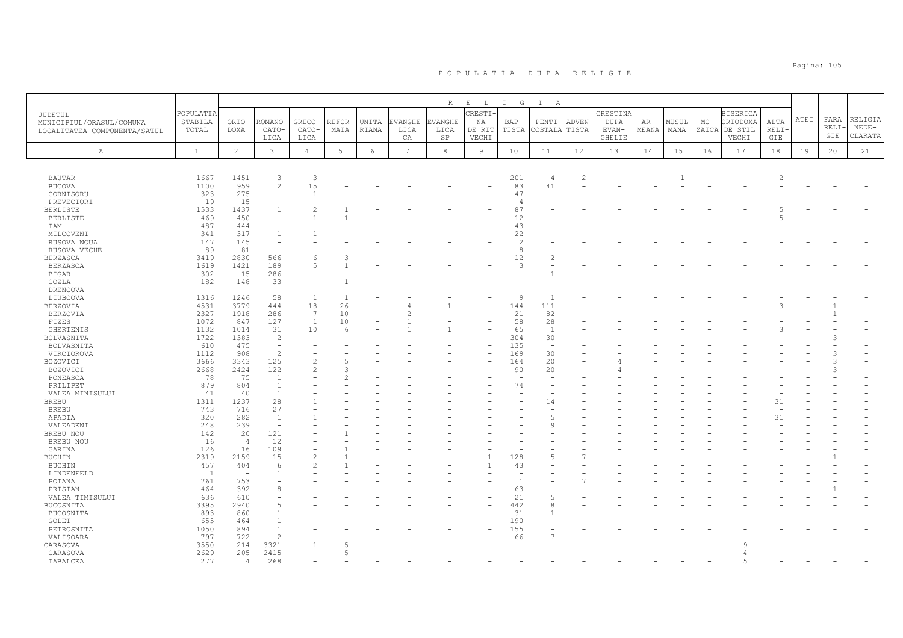|                              |              |                          |                          |                 |       |            |                 | R       | $E$ $L$        | I G            | $\mathbb{I}$<br>$\overline{A}$ |                |               |       |        |       |                 |      |      |       |         |
|------------------------------|--------------|--------------------------|--------------------------|-----------------|-------|------------|-----------------|---------|----------------|----------------|--------------------------------|----------------|---------------|-------|--------|-------|-----------------|------|------|-------|---------|
| JUDETUL                      | POPULATIA    |                          |                          |                 |       |            |                 |         | CRESTI-        |                |                                |                | CRESTINA      |       |        |       | <b>BISERICA</b> |      |      |       |         |
| MUNICIPIUL/ORASUL/COMUNA     | STABILA      | ORTO-                    | <b>ROMANO</b>            | GRECO-          | REFOR | UNITA-     | EVANGHE-        | EVANGHE | ΝA             | BAP-           | PENTI-                         | <b>ADVEN</b>   | DUPA          | AR-   | MUSUL– | $MO-$ | ORTODOXA        | ALTA | ATEI | FARA  | RELIGIA |
| LOCALITATEA COMPONENTA/SATUL | TOTAL        | <b>DOXA</b>              | CATO-                    | CATO-           | MATA  | RIANA      | LICA            | LICA    | DE RIT         | TISTA          | COSTALA                        | TISTA          | EVAN-         | MEANA | MANA   |       | ZAICA DE STIL   | RELI |      | RELI· | $NEDE-$ |
|                              |              |                          | LICA                     | LICA            |       |            | CA              | SP      | VECHI          |                |                                |                | <b>GHELIE</b> |       |        |       | VECHI           | GIE  |      | GIE   | CLARATA |
| Α                            | $\mathbf{1}$ | $\overline{c}$           | 3                        | $\overline{4}$  | 5     | $\epsilon$ | $7\phantom{.0}$ | 8       | $\overline{9}$ | 10             | 11                             | 12             | 13            | 14    | 15     | 16    | 17              | 18   | 19   | 20    | 21      |
|                              |              |                          |                          |                 |       |            |                 |         |                |                |                                |                |               |       |        |       |                 |      |      |       |         |
|                              |              |                          |                          |                 |       |            |                 |         |                |                |                                |                |               |       |        |       |                 |      |      |       |         |
| <b>BAUTAR</b>                | 1667         | 1451                     | 3                        | 3               |       |            |                 |         |                | 201            | 4                              | $\overline{2}$ |               |       |        |       |                 |      |      |       |         |
| <b>BUCOVA</b>                | 1100         | 959                      | $\mathbf{2}$             | 15              |       |            |                 |         |                | 83             | 41                             |                |               |       |        |       |                 |      |      |       |         |
| CORNISORU                    | 323          | 275                      | $\equiv$                 |                 |       |            |                 |         |                | 47             |                                |                |               |       |        |       |                 |      |      |       |         |
| PREVECIORI                   | 19           | 15                       | ۳                        |                 |       |            |                 |         |                | $\overline{4}$ |                                |                |               |       |        |       |                 |      |      |       |         |
| <b>BERLISTE</b>              | 1533         | 1437                     | $\mathbf{1}$             |                 |       |            |                 |         |                | 87             |                                |                |               |       |        |       |                 |      |      |       |         |
| <b>BERLISTE</b>              | 469          | 450                      |                          |                 |       |            |                 |         |                | 12             |                                |                |               |       |        |       |                 |      |      |       |         |
| IAM                          | 487          | 444                      |                          |                 |       |            |                 |         |                | 43             |                                |                |               |       |        |       |                 |      |      |       |         |
| MILCOVENI                    | 341          | 317                      | $\mathbf{1}$             |                 |       |            |                 |         |                | 22             |                                |                |               |       |        |       |                 |      |      |       |         |
| RUSOVA NOUA                  | 147          | 145                      |                          |                 |       |            |                 |         |                | 2              |                                |                |               |       |        |       |                 |      |      |       |         |
| RUSOVA VECHE                 | 89           | 81                       | $\sim$                   |                 |       |            |                 |         |                | 8              |                                |                |               |       |        |       |                 |      |      |       |         |
| <b>BERZASCA</b>              | 3419         | 2830                     | 566                      |                 |       |            |                 |         |                | 12             | $\overline{2}$                 |                |               |       |        |       |                 |      |      |       |         |
| <b>BERZASCA</b>              | 1619         | 1421                     | 189                      | $\overline{5}$  |       |            |                 |         |                | 3              |                                |                |               |       |        |       |                 |      |      |       |         |
| <b>BIGAR</b>                 | 302          | 15                       | 286                      |                 |       |            |                 |         |                |                |                                |                |               |       |        |       |                 |      |      |       |         |
| COZLA                        | 182          | 148                      | 33                       |                 |       |            |                 |         |                |                |                                |                |               |       |        |       |                 |      |      |       |         |
| <b>DRENCOVA</b>              | $\equiv$     | $\overline{\phantom{a}}$ | $\overline{\phantom{a}}$ |                 |       |            |                 |         |                |                |                                |                |               |       |        |       |                 |      |      |       |         |
| LIUBCOVA                     | 1316         | 1246                     | 58                       | $\overline{1}$  |       |            |                 |         |                | 9              |                                |                |               |       |        |       |                 |      |      |       |         |
| <b>BERZOVIA</b>              | 4531         | 3779                     | 444                      | 18              | 26    |            |                 |         |                | 144            | 111                            |                |               |       |        |       |                 |      |      |       |         |
| <b>BERZOVIA</b>              | 2327         | 1918                     | 286                      | $7\overline{ }$ | 10    |            |                 |         | ۳              | 21             | 82                             |                |               |       |        |       |                 |      |      |       |         |
| FIZES                        | 1072         | 847                      | 127                      | <sup>1</sup>    | 10    |            |                 |         |                | 58             | 28                             |                |               |       |        |       |                 |      |      |       |         |
| <b>GHERTENIS</b>             | 1132         | 1014                     | 31                       | 10              | 6     |            |                 |         | ۳              | 65             | $\overline{1}$                 |                |               |       |        |       |                 |      |      |       |         |
| BOLVASNITA                   | 1722         | 1383                     | 2                        |                 |       |            |                 |         |                | 304            | 30                             |                |               |       |        |       |                 |      |      |       |         |
| BOLVASNITA                   | 610          | 475                      | $\overline{\phantom{a}}$ |                 |       |            |                 |         | ۰              | 135            | $\overline{\phantom{a}}$       |                |               |       |        |       |                 |      |      |       |         |
| VIRCIOROVA                   | 1112         | 908                      | $\overline{c}$           |                 |       |            |                 |         |                | 169            | 30                             |                |               |       |        |       |                 |      |      |       |         |
| BOZOVICI                     | 3666         | 3343                     | 125                      | $\overline{2}$  |       |            |                 |         |                | 164            | 20                             |                |               |       |        |       |                 |      |      | 3     |         |
| BOZOVICI                     | 2668         | 2424                     | 122                      | $\overline{c}$  |       |            |                 |         |                | 90             | 20                             |                |               |       |        |       |                 |      |      |       |         |
| PONEASCA                     | 78           | 75                       | $\mathbf{1}$             |                 |       |            |                 |         |                | ٠              | $\overline{\phantom{a}}$       |                |               |       |        |       |                 |      |      |       |         |
| PRILIPET                     | 879          | 804                      | $\overline{1}$           |                 |       |            |                 |         |                | 74             |                                |                |               |       |        |       |                 |      |      |       |         |
| VALEA MINISULUI              | 41           | 40                       | $\overline{1}$           |                 |       |            |                 |         |                |                | ÷.                             |                |               |       |        |       |                 |      |      |       |         |
| <b>BREBU</b>                 | 1311         | 1237                     | 28                       |                 |       |            |                 |         |                |                | 14                             |                |               |       |        |       |                 | 31   |      |       |         |
| <b>BREBU</b>                 | 743          | 716                      | 27                       |                 |       |            |                 |         |                |                | $\overline{\phantom{a}}$       |                |               |       |        |       |                 |      |      |       |         |
| APADIA                       | 320          | 282                      | <sup>1</sup>             |                 |       |            |                 |         |                |                | $\overline{5}$                 |                |               |       |        |       |                 | 31   |      |       |         |
| VALEADENI                    | 248          | 239                      | $\sim$                   |                 |       |            |                 |         |                |                | Q                              |                |               |       |        |       |                 |      |      |       |         |
| BREBU NOU                    | 142          | 20                       | 121                      |                 |       |            |                 |         |                |                |                                |                |               |       |        |       |                 |      |      |       |         |
| BREBU NOU                    | 16           | $\overline{4}$           | 12                       |                 |       |            |                 |         |                |                |                                |                |               |       |        |       |                 |      |      |       |         |
| GARINA                       | 126          | 16                       | 109                      |                 |       |            |                 |         |                |                |                                |                |               |       |        |       |                 |      |      |       |         |
| BUCHIN                       | 2319         | 2159                     | 15                       | $\mathcal{L}$   |       |            |                 |         |                | 128            | 5                              |                |               |       |        |       |                 |      |      |       |         |
| <b>BUCHIN</b>                | 457          | 404                      | 6                        |                 |       |            |                 |         | 1              | 43             |                                |                |               |       |        |       |                 |      |      |       |         |
| LINDENFELD                   | <sup>1</sup> | $\overline{\phantom{0}}$ |                          |                 |       |            |                 |         |                |                |                                |                |               |       |        |       |                 |      |      |       |         |
| POIANA                       | 761          | 753                      |                          |                 |       |            |                 |         |                |                |                                |                |               |       |        |       |                 |      |      |       |         |
| PRISIAN                      | 464          | 392                      | 8                        |                 |       |            |                 |         |                | 63             |                                |                |               |       |        |       |                 |      |      |       |         |
| VALEA TIMISULUI              | 636          | 610                      |                          |                 |       |            |                 |         |                | 21             | $\overline{2}$                 |                |               |       |        |       |                 |      |      |       |         |
| BUCOSNITA                    | 3395         | 2940                     | 5                        |                 |       |            |                 |         |                | 442            | 8                              |                |               |       |        |       |                 |      |      |       |         |
| BUCOSNITA                    | 893          | 860                      |                          |                 |       |            |                 |         |                | 31             |                                |                |               |       |        |       |                 |      |      |       |         |
| GOLET                        | 655          | 464                      | $\mathbf{1}$             |                 |       |            |                 |         |                | 190            |                                |                |               |       |        |       |                 |      |      |       |         |
| PETROSNITA                   | 1050         | 894                      | $\mathbf{1}$             |                 |       |            |                 |         |                | 155            |                                |                |               |       |        |       |                 |      |      |       |         |
| VALISOARA                    | 797          | 722                      | $\mathfrak{D}$           |                 |       |            |                 |         |                | 66             |                                |                |               |       |        |       |                 |      |      |       |         |
| CARASOVA                     | 3550         | 214                      | 3321                     |                 |       |            |                 |         |                |                |                                |                |               |       |        |       |                 |      |      |       |         |
| CARASOVA                     | 2629         | 205                      | 2415                     |                 |       |            |                 |         |                |                |                                |                |               |       |        |       |                 |      |      |       |         |
| IABALCEA                     | 277          | $\overline{4}$           | 268                      |                 |       |            |                 |         |                |                |                                |                |               |       |        |       |                 |      |      |       |         |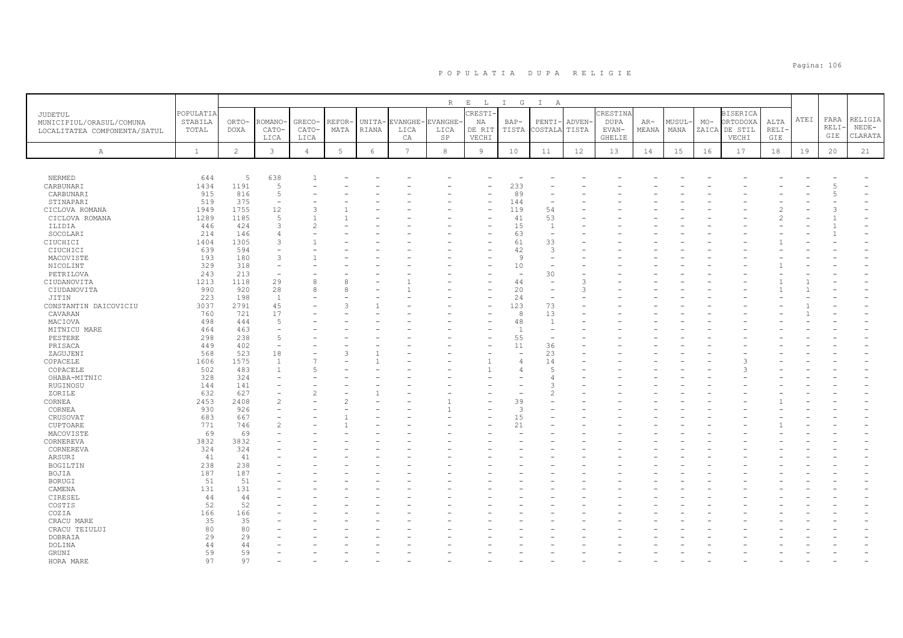|                              |              |             |                |                |        |        |                | $\mathbb R$ | $\mathbf E$<br>L | $\mathbb{I}$<br>G        | $\mathbb{I}$<br>$\overline{A}$ |        |          |       |        |       |                 |       |      |       |         |
|------------------------------|--------------|-------------|----------------|----------------|--------|--------|----------------|-------------|------------------|--------------------------|--------------------------------|--------|----------|-------|--------|-------|-----------------|-------|------|-------|---------|
| JUDETUL                      | POPULATIA    |             |                |                |        |        |                |             | CRESTI-          |                          |                                |        | CRESTINA |       |        |       | <b>BISERICA</b> |       |      |       |         |
| MUNICIPIUL/ORASUL/COMUNA     | STABILA      | ORTO-       | ROMANO         | GRECO-         | REFOR- | UNITA- | <b>EVANGHE</b> | EVANGHE·    | ΝA               | $BAP-$                   | PENTI                          | ADVEN- | DUPA     | AR-   | MUSUL- | $MO-$ | ORTODOXA        | ALTA  | ATEI | FARA  | RELIGIA |
| LOCALITATEA COMPONENTA/SATUL | TOTAL        | <b>DOXA</b> | CATO-          | CATO-          | MATA   | RIANA  | LICA           | LICA        | DE RIT           | TISTA                    | COSTALA                        | TISTA  | EVAN-    | MEANA | MANA   | ZAICA | DE STIL         | RELI- |      | RELI- | $NEDE-$ |
|                              |              |             | LICA           | LICA           |        |        | CA             | SP          | VECHI            |                          |                                |        | GHELIE   |       |        |       | VECHI           | GIE   |      | GIE   | CLARATA |
|                              |              |             |                |                |        |        |                |             |                  |                          |                                |        |          |       |        |       |                 |       |      |       |         |
| $\mathbb{A}$                 | $\mathbf{1}$ | 2           | 3              | 4              | 5      | 6      | 7              | 8           | $\overline{9}$   | 10                       | 11                             | 12     | 13       | 14    | 15     | 16    | 17              | 18    | 19   | 20    | 21      |
|                              |              |             |                |                |        |        |                |             |                  |                          |                                |        |          |       |        |       |                 |       |      |       |         |
| NERMED                       | 644          | 5           | 638            |                |        |        |                |             |                  |                          |                                |        |          |       |        |       |                 |       |      |       |         |
| CARBUNARI                    | 1434         | 1191        | $\overline{5}$ |                |        |        |                |             |                  | 233                      |                                |        |          |       |        |       |                 |       |      |       |         |
| CARBUNARI                    | 915          | 816         | .5             |                |        |        |                |             |                  | 89                       |                                |        |          |       |        |       |                 |       |      |       |         |
| STINAPARI                    | 519          | 375         | $\overline{a}$ |                |        |        |                |             |                  | 144                      |                                |        |          |       |        |       |                 |       |      |       |         |
| CICLOVA ROMANA               | 1949         | 1755        | 12             | 3              |        |        |                |             |                  | 119                      | 54                             |        |          |       |        |       |                 |       |      |       |         |
| CICLOVA ROMANA               | 1289         | 1185        | -5             |                |        |        |                |             |                  | 41                       | 53                             |        |          |       |        |       |                 |       |      |       |         |
| ILIDIA                       | 446          | 424         | 3              | $\mathfrak{D}$ |        |        |                |             |                  | 15                       | $\overline{1}$                 |        |          |       |        |       |                 |       |      |       |         |
| SOCOLARI                     | 214          | 146         | $\overline{4}$ |                |        |        |                |             |                  | 63                       | $\sim$                         |        |          |       |        |       |                 |       |      |       |         |
| CIUCHICI                     | 1404         | 1305        | 3              |                |        |        |                |             |                  | 61                       | 33                             |        |          |       |        |       |                 |       |      |       |         |
| CIUCHICI                     | 639          | 594         |                |                |        |        |                |             |                  | 42                       | $\mathcal{R}$                  |        |          |       |        |       |                 |       |      |       |         |
| MACOVISTE                    | 193          | 180         | 3              |                |        |        |                |             |                  | 9                        |                                |        |          |       |        |       |                 |       |      |       |         |
| NICOLINT                     | 329          | 318         | $\sim$         |                |        |        |                |             |                  | 10                       |                                |        |          |       |        |       |                 |       |      |       |         |
| PETRILOVA                    | 243          | 213         |                |                |        |        |                |             |                  |                          | 30                             |        |          |       |        |       |                 |       |      |       |         |
| CIUDANOVITA                  | 1213         | 1118        | 29             | 8              | 8      |        |                |             |                  | 44                       |                                |        |          |       |        |       |                 |       |      |       |         |
| CIUDANOVITA                  | 990          | 920         | 28             | 8              | 8      |        |                |             |                  | 20                       |                                |        |          |       |        |       |                 |       |      |       |         |
| JITIN                        | 223          | 198         | $\overline{1}$ |                |        |        |                |             |                  | 24                       | $\overline{\phantom{0}}$       |        |          |       |        |       |                 |       |      |       |         |
| CONSTANTIN DAICOVICIU        | 3037         | 2791        | 45             |                | 3      |        |                |             |                  | 123                      | 73                             |        |          |       |        |       |                 |       |      |       |         |
| CAVARAN                      | 760          | 721         | 17             |                |        |        |                |             |                  | 8                        | 13                             |        |          |       |        |       |                 |       |      |       |         |
| MACIOVA                      | 498          | 444         | 5              |                |        |        |                |             |                  | 48                       | $\mathbf{1}$                   |        |          |       |        |       |                 |       |      |       |         |
| MITNICU MARE                 | 464          | 463         | $\sim$         |                |        |        |                |             |                  | $\overline{1}$           |                                |        |          |       |        |       |                 |       |      |       |         |
| PESTERE                      | 298          | 238         | $\overline{5}$ |                |        |        |                |             |                  | 55                       |                                |        |          |       |        |       |                 |       |      |       |         |
| PRISACA                      | 449          | 402         | $\overline{a}$ |                |        |        |                |             |                  | 11                       | 36                             |        |          |       |        |       |                 |       |      |       |         |
| ZAGUJENI                     | 568          | 523         | 18             |                |        |        |                |             |                  | $\overline{\phantom{a}}$ | 23                             |        |          |       |        |       |                 |       |      |       |         |
| COPACELE                     | 1606         | 1575        | $\overline{1}$ |                |        |        |                |             |                  | $\overline{4}$           | 14                             |        |          |       |        |       |                 |       |      |       |         |
| COPACELE                     | 502          | 483         |                | 5              |        |        |                |             |                  | $\Delta$                 | .5                             |        |          |       |        |       |                 |       |      |       |         |
| OHABA-MITNIC                 | 328          | 324         |                |                |        |        |                |             |                  |                          |                                |        |          |       |        |       |                 |       |      |       |         |
| RUGINOSU                     | 144          | 141         |                |                |        |        |                |             |                  |                          |                                |        |          |       |        |       |                 |       |      |       |         |
| ZORILE                       | 632          | 627         |                | 2              |        |        |                |             |                  |                          |                                |        |          |       |        |       |                 |       |      |       |         |
| CORNEA                       | 2453         | 2408        | $\overline{c}$ |                |        |        |                |             |                  | 39                       |                                |        |          |       |        |       |                 |       |      |       |         |
| CORNEA                       | 930          | 926         |                |                |        |        |                |             |                  | 3                        |                                |        |          |       |        |       |                 |       |      |       |         |
| CRUSOVAT                     | 683          | 667         |                |                |        |        |                |             |                  | 15                       |                                |        |          |       |        |       |                 |       |      |       |         |
| CUPTOARE                     | 771          | 746         | $\overline{c}$ |                |        |        |                |             |                  | 21                       |                                |        |          |       |        |       |                 |       |      |       |         |
| MACOVISTE                    | 69           | 69          |                |                |        |        |                |             |                  |                          |                                |        |          |       |        |       |                 |       |      |       |         |
| CORNEREVA                    | 3832         | 3832        |                |                |        |        |                |             |                  |                          |                                |        |          |       |        |       |                 |       |      |       |         |
| CORNEREVA                    | 324          | 324         |                |                |        |        |                |             |                  |                          |                                |        |          |       |        |       |                 |       |      |       |         |
| ARSURI                       | 41           | 41          |                |                |        |        |                |             |                  |                          |                                |        |          |       |        |       |                 |       |      |       |         |
| BOGILTIN                     | 238          | 238         |                |                |        |        |                |             |                  |                          |                                |        |          |       |        |       |                 |       |      |       |         |
| BOJIA                        | 187          | 187         |                |                |        |        |                |             |                  |                          |                                |        |          |       |        |       |                 |       |      |       |         |
| <b>BORUGI</b>                | 51           | 51          |                |                |        |        |                |             |                  |                          |                                |        |          |       |        |       |                 |       |      |       |         |
| CAMENA                       | 131          | 131         |                |                |        |        |                |             |                  |                          |                                |        |          |       |        |       |                 |       |      |       |         |
| CIRESEL                      | 44           | 44          |                |                |        |        |                |             |                  |                          |                                |        |          |       |        |       |                 |       |      |       |         |
| COSTIS                       | 52           | 52          |                |                |        |        |                |             |                  |                          |                                |        |          |       |        |       |                 |       |      |       |         |
| COZIA                        | 166          | 166         |                |                |        |        |                |             |                  |                          |                                |        |          |       |        |       |                 |       |      |       |         |
| CRACU MARE                   | 35           | 35          |                |                |        |        |                |             |                  |                          |                                |        |          |       |        |       |                 |       |      |       |         |
| CRACU TEIULUI                | 80           | 80          |                |                |        |        |                |             |                  |                          |                                |        |          |       |        |       |                 |       |      |       |         |
| DOBRAIA                      | 29           | 29          |                |                |        |        |                |             |                  |                          |                                |        |          |       |        |       |                 |       |      |       |         |
| DOLINA                       | 44           | 44          |                |                |        |        |                |             |                  |                          |                                |        |          |       |        |       |                 |       |      |       |         |
| GRUNI                        | 59           | 59          |                |                |        |        |                |             |                  |                          |                                |        |          |       |        |       |                 |       |      |       |         |
| HORA MARE                    | 97           | 97          |                |                |        |        |                |             |                  |                          |                                |        |          |       |        |       |                 |       |      |       |         |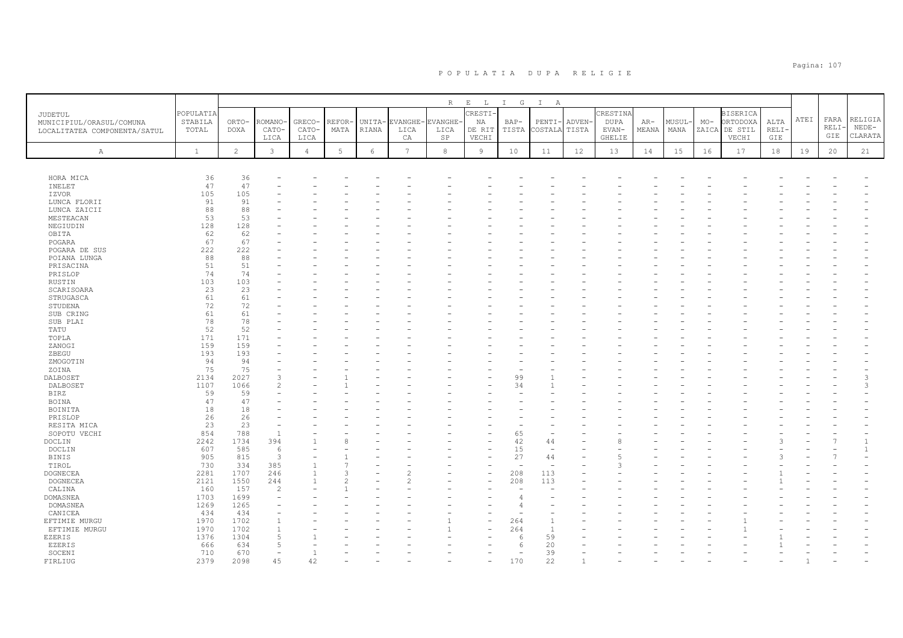|                                                          |                      |                |                |                |                 |              |                 | $\, {\mathbb R}$ | $\mathbf{E}$<br>$\mathbb{L}$ | $I$ G                           | $\mathbb{I}$<br>A               |              |                         |       |        |       |                             |        |      |       |               |
|----------------------------------------------------------|----------------------|----------------|----------------|----------------|-----------------|--------------|-----------------|------------------|------------------------------|---------------------------------|---------------------------------|--------------|-------------------------|-------|--------|-------|-----------------------------|--------|------|-------|---------------|
| <b>JUDETUL</b>                                           | POPULATIA<br>STABILA | ORTO-          | ROMANO         | GRECO-         | REFOR-          | UNITA-       | <b>EVANGHE</b>  | EVANGHE-         | CRESTI-<br>ΝA                | $BAP-$                          | PENTI-                          | ADVEN-       | CRESTINA<br><b>DUPA</b> | $AR-$ | MUSUL- | $MO-$ | <b>BISERICA</b><br>ORTODOXA | ALTA   | ATEI | FARA  | RELIGIA       |
| MUNICIPIUL/ORASUL/COMUNA<br>LOCALITATEA COMPONENTA/SATUL | TOTAL                | <b>DOXA</b>    | CATO-          | CATO-          | MATA            | <b>RIANA</b> | LICA            | LICA             | DE RIT                       | TISTA                           | COSTALA                         | TISTA        | EVAN-                   | MEANA | MANA   | ZAICA | DE STIL                     | RELI-  |      | RELI- | $NEDE-$       |
|                                                          |                      |                | LICA           | LICA           |                 |              | CA              | SP               | VECHI                        |                                 |                                 |              | GHELIE                  |       |        |       | VECHI                       | GIE    |      | GIE   | CLARATA       |
| Α                                                        | $\mathbf{1}$         | $\overline{c}$ | $\mathbf{3}$   | $\overline{4}$ | $5\phantom{.0}$ | 6            | $7\phantom{.0}$ | $^{\rm 8}$       | 9                            | 10                              | 11                              | 12           | 13                      | 14    | 15     | 16    | 17                          | $1\,8$ | 19   | 20    | 21            |
|                                                          |                      |                |                |                |                 |              |                 |                  |                              |                                 |                                 |              |                         |       |        |       |                             |        |      |       |               |
|                                                          |                      |                |                |                |                 |              |                 |                  |                              |                                 |                                 |              |                         |       |        |       |                             |        |      |       |               |
| HORA MICA                                                | 36                   | 36             |                |                |                 |              |                 |                  |                              |                                 |                                 |              |                         |       |        |       |                             |        |      |       |               |
| INELET                                                   | 47                   | 47             |                |                |                 |              |                 |                  |                              |                                 |                                 |              |                         |       |        |       |                             |        |      |       |               |
| IZVOR                                                    | 105                  | 105            |                |                |                 |              |                 |                  |                              |                                 |                                 |              |                         |       |        |       |                             |        |      |       |               |
| LUNCA FLORII<br>LUNCA ZAICII                             | 91<br>88             | 91<br>88       |                |                |                 |              |                 |                  |                              |                                 |                                 |              |                         |       |        |       |                             |        |      |       |               |
| MESTEACAN                                                | 53                   | 53             |                |                |                 |              |                 |                  |                              |                                 |                                 |              |                         |       |        |       |                             |        |      |       |               |
| NEGIUDIN                                                 | 128                  | 128            |                |                |                 |              |                 |                  |                              |                                 |                                 |              |                         |       |        |       |                             |        |      |       |               |
| OBITA                                                    | 62                   | 62             |                |                |                 |              |                 |                  |                              |                                 |                                 |              |                         |       |        |       |                             |        |      |       |               |
| POGARA                                                   | 67                   | 67             |                |                |                 |              |                 |                  |                              |                                 |                                 |              |                         |       |        |       |                             |        |      |       |               |
| POGARA DE SUS                                            | 222                  | 222            |                |                |                 |              |                 |                  |                              |                                 |                                 |              |                         |       |        |       |                             |        |      |       |               |
| POIANA LUNGA                                             | 88                   | 88             |                |                |                 |              |                 |                  |                              |                                 |                                 |              |                         |       |        |       |                             |        |      |       |               |
| PRISACINA                                                | 51                   | 51             |                |                |                 |              |                 |                  |                              |                                 |                                 |              |                         |       |        |       |                             |        |      |       |               |
| PRISLOP                                                  | 74<br>103            | 74<br>103      |                |                |                 |              |                 |                  |                              |                                 |                                 |              |                         |       |        |       |                             |        |      |       |               |
| RUSTIN<br>SCARISOARA                                     | 23                   | 23             |                |                |                 |              |                 |                  |                              |                                 |                                 |              |                         |       |        |       |                             |        |      |       |               |
| STRUGASCA                                                | 61                   | 61             |                |                |                 |              |                 |                  |                              |                                 |                                 |              |                         |       |        |       |                             |        |      |       |               |
| STUDENA                                                  | 72                   | 72             |                |                |                 |              |                 |                  |                              |                                 |                                 |              |                         |       |        |       |                             |        |      |       |               |
| SUB CRING                                                | 61                   | 61             |                |                |                 |              |                 |                  |                              |                                 |                                 |              |                         |       |        |       |                             |        |      |       |               |
| SUB PLAI                                                 | 78                   | 78             |                |                |                 |              |                 |                  |                              |                                 |                                 |              |                         |       |        |       |                             |        |      |       |               |
| TATU                                                     | 52                   | 52             |                |                |                 |              |                 |                  |                              |                                 |                                 |              |                         |       |        |       |                             |        |      |       |               |
| TOPLA                                                    | 171                  | 171            |                |                |                 |              |                 |                  |                              |                                 |                                 |              |                         |       |        |       |                             |        |      |       |               |
| ZANOGI                                                   | 159                  | 159            |                |                |                 |              |                 |                  |                              |                                 |                                 |              |                         |       |        |       |                             |        |      |       |               |
| ZBEGU                                                    | 193                  | 193            |                |                |                 |              |                 |                  |                              |                                 |                                 |              |                         |       |        |       |                             |        |      |       |               |
| ZMOGOTIN                                                 | 94                   | 94             |                |                |                 |              |                 |                  |                              |                                 |                                 |              |                         |       |        |       |                             |        |      |       |               |
| ZOINA<br>DALBOSET                                        | 75<br>2134           | 75<br>2027     | $\mathcal{R}$  |                |                 |              |                 |                  |                              | 99                              |                                 |              |                         |       |        |       |                             |        |      |       | 3             |
| DALBOSET                                                 | 1107                 | 1066           | $\mathfrak{D}$ |                |                 |              |                 |                  |                              | 34                              |                                 |              |                         |       |        |       |                             |        |      |       | $\mathcal{R}$ |
| <b>BIRZ</b>                                              | 59                   | 59             |                |                |                 |              |                 |                  |                              |                                 |                                 |              |                         |       |        |       |                             |        |      |       |               |
| <b>BOINA</b>                                             | 47                   | 47             |                |                |                 |              |                 |                  |                              |                                 |                                 |              |                         |       |        |       |                             |        |      |       |               |
| BOINITA                                                  | 18                   | 18             |                |                |                 |              |                 |                  |                              |                                 |                                 |              |                         |       |        |       |                             |        |      |       |               |
| PRISLOP                                                  | 26                   | 26             |                |                |                 |              |                 |                  |                              |                                 |                                 |              |                         |       |        |       |                             |        |      |       |               |
| RESITA MICA                                              | 23                   | 23             |                |                |                 |              |                 |                  |                              |                                 |                                 |              |                         |       |        |       |                             |        |      |       |               |
| SOPOTU VECHI                                             | 854                  | 788            | $\overline{1}$ |                |                 |              |                 |                  |                              | 65                              |                                 |              |                         |       |        |       |                             |        |      |       |               |
| DOCLIN                                                   | 2242                 | 1734           | 394            |                |                 |              |                 |                  |                              | 42                              | 44                              |              |                         |       |        |       |                             |        |      |       |               |
| DOCLIN                                                   | 607                  | 585            | - 6            |                |                 |              |                 |                  |                              | 15                              | $\overline{\phantom{a}}$        |              |                         |       |        |       |                             |        |      |       |               |
| <b>BINIS</b>                                             | 905                  | 815            | $\overline{3}$ |                |                 |              |                 |                  |                              | 27                              | 44                              |              |                         |       |        |       |                             |        |      |       |               |
| TIROL<br><b>DOGNECEA</b>                                 | 730<br>2281          | 334<br>1707    | 385<br>246     |                | 7<br>3          |              |                 |                  |                              | $\overline{\phantom{a}}$<br>208 | $\overline{\phantom{a}}$<br>113 |              |                         |       |        |       |                             |        |      |       |               |
| DOGNECEA                                                 | 2121                 | 1550           | 244            | $\mathbf{1}$   | 2               |              |                 |                  |                              | 208                             | 113                             |              |                         |       |        |       |                             |        |      |       |               |
| CALINA                                                   | 160                  | 157            | $\overline{2}$ |                |                 |              |                 |                  |                              |                                 |                                 |              |                         |       |        |       |                             |        |      |       |               |
| <b>DOMASNEA</b>                                          | 1703                 | 1699           |                |                |                 |              |                 |                  |                              | 4                               |                                 |              |                         |       |        |       |                             |        |      |       |               |
| DOMASNEA                                                 | 1269                 | 1265           |                |                |                 |              |                 |                  |                              | 4                               |                                 |              |                         |       |        |       |                             |        |      |       |               |
| CANICEA                                                  | 434                  | 434            |                |                |                 |              |                 |                  |                              |                                 |                                 |              |                         |       |        |       |                             |        |      |       |               |
| EFTIMIE MURGU                                            | 1970                 | 1702           |                |                |                 |              |                 |                  |                              | 264                             |                                 |              |                         |       |        |       |                             |        |      |       |               |
| EFTIMIE MURGU                                            | 1970                 | 1702           |                |                |                 |              |                 |                  |                              | 264                             | $\overline{1}$                  |              |                         |       |        |       |                             |        |      |       |               |
| EZERIS                                                   | 1376                 | 1304           |                |                |                 |              |                 |                  |                              | 6                               | 59                              |              |                         |       |        |       |                             |        |      |       |               |
| EZERIS                                                   | 666                  | 634            | $\overline{5}$ |                |                 |              |                 |                  |                              | 6                               | 20                              |              |                         |       |        |       |                             |        |      |       |               |
| SOCENI                                                   | 710                  | 670            |                |                |                 |              |                 |                  |                              |                                 | 39                              |              |                         |       |        |       |                             |        |      |       |               |
| FIRLIUG                                                  | 2379                 | 2098           | 45             | 42             |                 |              |                 |                  |                              | 170                             | 22                              | $\mathbf{1}$ |                         |       |        |       |                             |        |      |       |               |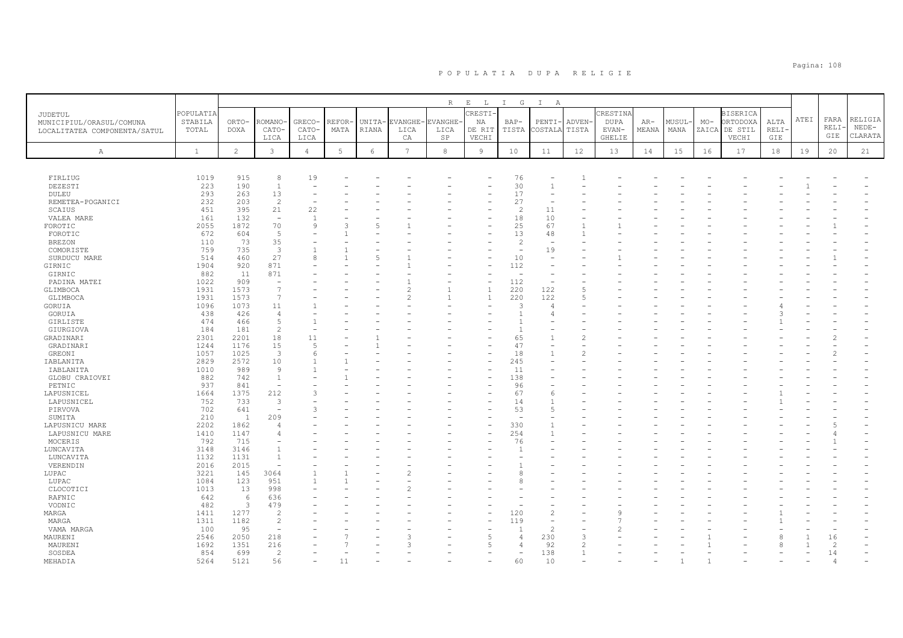|                                                                            |                               |                      |                          |                          |                |                 |                       | R                      | $\mathbf{E}=-\mathbf{L}$ . | I G                      | $\mathbb{I}$<br>A        |                       |                                  |                |                |       |                                              |                     |      |                     |                               |
|----------------------------------------------------------------------------|-------------------------------|----------------------|--------------------------|--------------------------|----------------|-----------------|-----------------------|------------------------|----------------------------|--------------------------|--------------------------|-----------------------|----------------------------------|----------------|----------------|-------|----------------------------------------------|---------------------|------|---------------------|-------------------------------|
| <b>JUDETUL</b><br>MUNICIPIUL/ORASUL/COMUNA<br>LOCALITATEA COMPONENTA/SATUL | POPULATIA<br>STABILA<br>TOTAL | ORTO-<br><b>DOXA</b> | <b>COMANO</b><br>CATO-   | GRECO-<br>CATO-          | REFOR·<br>MATA | UNITA-<br>RIANA | EVANGHE-<br>LICA      | <b>EVANGHE</b><br>LICA | CRESTI-<br>NA<br>DE RIT    | $BAP-$<br>TISTA          | PENTI-<br>COSTALA        | <b>ADVEN</b><br>TISTA | CRESTINA<br><b>DUPA</b><br>EVAN- | $AR-$<br>MEANA | MUSUL-<br>MANA | $MO-$ | <b>BISERICA</b><br>ORTODOXA<br>ZAICA DE STIL | ALTA<br><b>RELI</b> | ATEI | FARA<br>RELI<br>GIE | RELIGIA<br>$NEDE-$<br>CLARATA |
| Α                                                                          | $\mathbf{1}$                  | $\mathbf{2}^{\circ}$ | LICA<br>$\mathbf{3}$     | LICA<br>$\overline{4}$   | 5              | $\epsilon$      | СA<br>$7\overline{ }$ | <b>SP</b><br>8         | VECHI<br>9                 | 10                       | 11                       | 12                    | <b>GHELIE</b><br>13              | 14             | 15             | 16    | VECHI<br>17                                  | GIE<br>18           | 19   | 20                  | 21                            |
|                                                                            |                               |                      |                          |                          |                |                 |                       |                        |                            |                          |                          |                       |                                  |                |                |       |                                              |                     |      |                     |                               |
| FIRLIUG                                                                    | 1019                          | 915                  | 8                        | 19                       |                |                 |                       |                        |                            | 76                       |                          |                       |                                  |                |                |       |                                              |                     |      |                     |                               |
| DEZESTI                                                                    | 223                           | 190                  | 1                        | $\overline{\phantom{a}}$ |                |                 |                       |                        |                            | 30                       |                          |                       |                                  |                |                |       |                                              |                     |      |                     |                               |
| DULEU                                                                      | 293                           | 263                  | 13                       |                          |                |                 |                       |                        |                            | 17                       |                          |                       |                                  |                |                |       |                                              |                     |      |                     |                               |
| REMETEA-POGANICI                                                           | 232                           | 203                  | 2                        |                          |                |                 |                       |                        |                            | 27                       |                          |                       |                                  |                |                |       |                                              |                     |      |                     |                               |
| SCAIUS                                                                     | 451                           | 395                  | 21                       | 22                       |                |                 |                       |                        |                            | $\overline{c}$           | 11                       |                       |                                  |                |                |       |                                              |                     |      |                     |                               |
| VALEA MARE                                                                 | 161                           | 132                  | $\overline{\phantom{a}}$ |                          |                |                 |                       |                        |                            | 18                       | 10                       |                       |                                  |                |                |       |                                              |                     |      |                     |                               |
| FOROTIC                                                                    | 2055                          | 1872                 | 70                       | $\alpha$                 |                |                 |                       |                        |                            | 25                       | 67                       |                       |                                  |                |                |       |                                              |                     |      |                     |                               |
| FOROTIC                                                                    | 672                           | 604                  | 5                        |                          |                |                 |                       |                        |                            | 13                       | 48                       |                       |                                  |                |                |       |                                              |                     |      |                     |                               |
| <b>BREZON</b>                                                              | 110                           | 73                   | 35                       |                          |                |                 |                       |                        |                            | $\overline{c}$           |                          |                       |                                  |                |                |       |                                              |                     |      |                     |                               |
| COMORISTE                                                                  | 759                           | 735                  | $\overline{\mathbf{3}}$  |                          |                |                 |                       |                        |                            | $\overline{\phantom{a}}$ | 19                       |                       |                                  |                |                |       |                                              |                     |      |                     |                               |
| SURDUCU MARE                                                               | 514                           | 460                  | 27                       | 8                        |                | 5               |                       |                        |                            | 10                       |                          |                       |                                  |                |                |       |                                              |                     |      |                     |                               |
| GIRNIC                                                                     | 1904                          | 920                  | 871                      |                          |                |                 |                       |                        |                            | 112                      |                          |                       |                                  |                |                |       |                                              |                     |      |                     |                               |
| GIRNIC                                                                     | 882                           | 11                   | 871                      |                          |                |                 |                       |                        |                            | ÷                        |                          |                       |                                  |                |                |       |                                              |                     |      |                     |                               |
|                                                                            | 1022                          | 909                  | $\overline{\phantom{a}}$ |                          |                |                 |                       |                        | Ĭ.                         | 112                      | $\overline{\phantom{a}}$ |                       |                                  |                |                |       |                                              |                     |      |                     |                               |
| PADINA MATEI                                                               |                               |                      | $\overline{7}$           |                          |                |                 |                       |                        |                            |                          |                          |                       |                                  |                |                |       |                                              |                     |      |                     |                               |
| GLIMBOCA                                                                   | 1931                          | 1573                 |                          |                          |                |                 |                       |                        | $\overline{1}$             | 220                      | 122                      | F                     |                                  |                |                |       |                                              |                     |      |                     |                               |
| GLIMBOCA                                                                   | 1931                          | 1573                 | $\overline{7}$           |                          |                |                 |                       |                        | $\overline{1}$             | 220                      | 122                      | $\overline{2}$        |                                  |                |                |       |                                              |                     |      |                     |                               |
| GORUIA                                                                     | 1096                          | 1073                 | 11                       |                          |                |                 |                       |                        |                            | 3                        | $\overline{4}$           |                       |                                  |                |                |       |                                              |                     |      |                     |                               |
| GORUIA                                                                     | 438                           | 426                  | $\overline{4}$           |                          |                |                 |                       |                        |                            | $\mathbf{1}$             | 4                        |                       |                                  |                |                |       |                                              |                     |      |                     |                               |
| GIRLISTE                                                                   | 474                           | 466                  | 5                        |                          |                |                 |                       |                        |                            |                          |                          |                       |                                  |                |                |       |                                              |                     |      |                     |                               |
| GIURGIOVA                                                                  | 184                           | 181                  | $\overline{c}$           |                          |                |                 |                       |                        |                            |                          |                          |                       |                                  |                |                |       |                                              |                     |      |                     |                               |
| GRADINARI                                                                  | 2301                          | 2201                 | 18                       | 11                       |                |                 |                       |                        |                            | 65                       |                          | $\mathcal{D}$         |                                  |                |                |       |                                              |                     |      |                     |                               |
| GRADINARI                                                                  | 1244                          | 1176                 | 15                       | $\overline{5}$           |                |                 |                       |                        |                            | 47                       |                          |                       |                                  |                |                |       |                                              |                     |      |                     |                               |
| GREONI                                                                     | 1057                          | 1025                 | $\overline{3}$           | 6                        |                |                 |                       |                        |                            | 18                       |                          |                       |                                  |                |                |       |                                              |                     |      |                     |                               |
| IABLANITA                                                                  | 2829                          | 2572                 | 10                       |                          |                |                 |                       |                        |                            | 245                      |                          |                       |                                  |                |                |       |                                              |                     |      |                     |                               |
| IABLANITA                                                                  | 1010                          | 989                  | 9                        |                          |                |                 |                       |                        |                            | 11                       |                          |                       |                                  |                |                |       |                                              |                     |      |                     |                               |
| GLOBU CRAIOVEI                                                             | 882                           | 742                  | $\mathbf{1}$             |                          |                |                 |                       |                        |                            | 138                      |                          |                       |                                  |                |                |       |                                              |                     |      |                     |                               |
| PETNIC                                                                     | 937                           | 841                  | $\overline{\phantom{a}}$ |                          |                |                 |                       |                        |                            | 96                       |                          |                       |                                  |                |                |       |                                              |                     |      |                     |                               |
| LAPUSNICEL                                                                 | 1664                          | 1375                 | 212                      |                          |                |                 |                       |                        |                            | 67                       | 6                        |                       |                                  |                |                |       |                                              |                     |      |                     |                               |
|                                                                            |                               |                      |                          |                          |                |                 |                       |                        |                            |                          |                          |                       |                                  |                |                |       |                                              |                     |      |                     |                               |
| LAPUSNICEL                                                                 | 752                           | 733                  | 3                        |                          |                |                 |                       |                        |                            | 14                       |                          |                       |                                  |                |                |       |                                              |                     |      |                     |                               |
| PIRVOVA                                                                    | 702                           | 641                  | $\overline{\phantom{a}}$ |                          |                |                 |                       |                        |                            | 53                       | $\overline{5}$           |                       |                                  |                |                |       |                                              |                     |      |                     |                               |
| SUMITA                                                                     | 210                           | $\mathbf{1}$         | 209                      |                          |                |                 |                       |                        |                            |                          |                          |                       |                                  |                |                |       |                                              |                     |      |                     |                               |
| LAPUSNICU MARE                                                             | 2202                          | 1862                 | 4                        |                          |                |                 |                       |                        | ۰                          | 330                      |                          |                       |                                  |                |                |       |                                              |                     |      |                     |                               |
| LAPUSNICU MARE                                                             | 1410                          | 1147                 | $\overline{4}$           |                          |                |                 |                       |                        | $\overline{\phantom{0}}$   | 254                      |                          |                       |                                  |                |                |       |                                              |                     |      |                     |                               |
| MOCERIS                                                                    | 792                           | 715                  |                          |                          |                |                 |                       |                        |                            | 76                       |                          |                       |                                  |                |                |       |                                              |                     |      |                     |                               |
| LUNCAVITA                                                                  | 3148                          | 3146                 | $\overline{1}$           |                          |                |                 |                       |                        |                            |                          |                          |                       |                                  |                |                |       |                                              |                     |      |                     |                               |
| LUNCAVITA                                                                  | 1132                          | 1131                 | $\mathbf{1}$             |                          |                |                 |                       |                        |                            |                          |                          |                       |                                  |                |                |       |                                              |                     |      |                     |                               |
| VERENDIN                                                                   | 2016                          | 2015                 | $\sim$                   |                          |                |                 |                       |                        |                            |                          |                          |                       |                                  |                |                |       |                                              |                     |      |                     |                               |
| LUPAC                                                                      | 3221                          | 145                  | 3064                     |                          |                |                 |                       |                        |                            |                          |                          |                       |                                  |                |                |       |                                              |                     |      |                     |                               |
| LUPAC                                                                      | 1084                          | 123                  | 951                      |                          |                |                 |                       |                        |                            |                          |                          |                       |                                  |                |                |       |                                              |                     |      |                     |                               |
| CLOCOTICI                                                                  | 1013                          | 13                   | 998                      |                          |                |                 |                       |                        |                            |                          |                          |                       |                                  |                |                |       |                                              |                     |      |                     |                               |
| RAFNIC                                                                     | 642                           | 6                    | 636                      |                          |                |                 |                       |                        |                            |                          |                          |                       |                                  |                |                |       |                                              |                     |      |                     |                               |
|                                                                            |                               |                      |                          |                          |                |                 |                       |                        |                            |                          |                          |                       |                                  |                |                |       |                                              |                     |      |                     |                               |
| VODNIC                                                                     | 482                           | 3                    | 479                      |                          |                |                 |                       |                        |                            |                          |                          |                       |                                  |                |                |       |                                              |                     |      |                     |                               |
| MARGA                                                                      | 1411                          | 1277                 | $\overline{c}$           |                          |                |                 |                       |                        |                            | 120                      | $\overline{2}$           |                       |                                  |                |                |       |                                              |                     |      |                     |                               |
| MARGA                                                                      | 1311                          | 1182                 | $\overline{c}$           |                          |                |                 |                       |                        |                            | 119                      |                          |                       |                                  |                |                |       |                                              |                     |      |                     |                               |
| VAMA MARGA                                                                 | 100                           | 95                   | ÷,                       |                          |                |                 |                       |                        |                            | $\mathbf{1}$             | $\overline{c}$           |                       |                                  |                |                |       |                                              |                     |      |                     |                               |
| MAURENI                                                                    | 2546                          | 2050                 | 218                      |                          |                |                 |                       |                        | 5                          | $\overline{4}$           | 230                      | 3                     |                                  |                |                |       |                                              |                     |      | 16                  |                               |
| MAURENI                                                                    | 1692                          | 1351                 | 216                      |                          |                |                 |                       |                        | 5                          | $\Delta$                 | 92                       | $\overline{c}$        |                                  |                |                |       |                                              |                     |      | $\overline{c}$      |                               |
| SOSDEA                                                                     | 854                           | 699                  | $\overline{c}$           |                          |                |                 |                       |                        |                            |                          | 138                      | $\overline{1}$        |                                  |                |                |       |                                              |                     |      | 14                  |                               |
| MEHADIA                                                                    | 5264                          | 5121                 | 56                       |                          |                |                 |                       |                        |                            | 60                       | 10                       |                       |                                  |                |                |       |                                              |                     |      |                     |                               |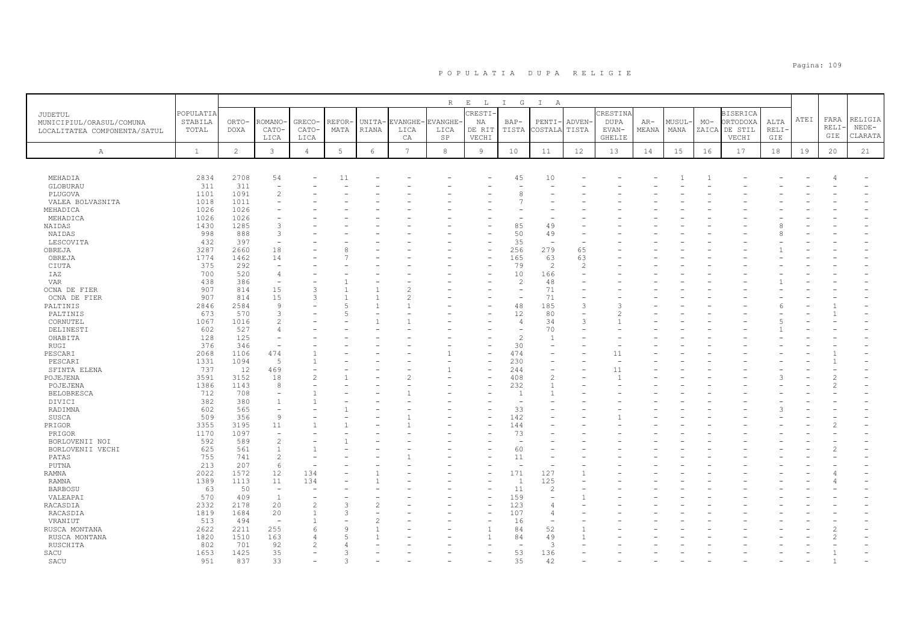|                                     |              |                |                                           |                |       |            |                | $\mathbb R$ | $\mathbf{E}=-\mathbf{L}$ | I G                      | $\mathbb{I}$<br>A        |                |             |       |       |       |                 |             |      |              |         |
|-------------------------------------|--------------|----------------|-------------------------------------------|----------------|-------|------------|----------------|-------------|--------------------------|--------------------------|--------------------------|----------------|-------------|-------|-------|-------|-----------------|-------------|------|--------------|---------|
|                                     | POPULATIA    |                |                                           |                |       |            |                |             | CRESTI-                  |                          |                          |                | CRESTINA    |       |       |       | <b>BISERICA</b> |             |      |              |         |
| JUDETUL<br>MUNICIPIUL/ORASUL/COMUNA | STABILA      | ORTO-          | <b>ROMANO</b>                             | GRECO-         | REFOR | UNITA-     | EVANGHE-       | EVANGHE     | ΝA                       | BAP-                     | PENTI-                   | <b>ADVEN</b>   | <b>DUPA</b> | AR-   | MUSUL | $MO-$ | ORTODOXA        | ALTA        | ATEI | FARA         | RELIGIA |
| LOCALITATEA COMPONENTA/SATUL        | TOTAL        | DOXA           | CATO-                                     | CATO-          | MATA  | RIANA      | LICA           | LICA        | DE RIT                   | TISTA                    | COSTALA                  | TISTA          | EVAN-       | MEANA | MANA  |       | ZAICA DE STIL   | <b>RELI</b> |      | RELI·        | $NEDE-$ |
|                                     |              |                | LICA                                      | LICA           |       |            | CA             | $_{\rm SP}$ | VECHI                    |                          |                          |                | GHELIE      |       |       |       | VECHI           | GIE         |      | GIE          | CLARATA |
|                                     |              |                |                                           |                |       |            |                |             |                          |                          |                          |                |             |       |       |       |                 |             |      |              |         |
| Α                                   | $\mathbf{1}$ | $\overline{2}$ | $\mathbf{3}$                              | $\overline{4}$ | 5     | $\epsilon$ | $\overline{7}$ | $^{\rm 8}$  | 9                        | 10                       | 11                       | 12             | 13          | 14    | 15    | 16    | 17              | 18          | 19   | 20           | 21      |
|                                     |              |                |                                           |                |       |            |                |             |                          |                          |                          |                |             |       |       |       |                 |             |      |              |         |
| MEHADIA                             | 2834         | 2708           | 54                                        |                | 11    |            |                |             |                          | 45                       | 10                       |                |             |       |       |       |                 |             |      |              |         |
| GLOBURAU                            | 311          | 311            | $\overline{\phantom{0}}$                  |                |       |            |                |             |                          |                          |                          |                |             |       |       |       |                 |             |      |              |         |
| PLUGOVA                             | 1101         | 1091           | $\overline{c}$                            |                |       |            |                |             |                          | 8                        |                          |                |             |       |       |       |                 |             |      |              |         |
| VALEA BOLVASNITA                    | 1018         | 1011           |                                           |                |       |            |                |             |                          |                          |                          |                |             |       |       |       |                 |             |      |              |         |
| MEHADICA                            | 1026         | 1026           |                                           |                |       |            |                |             |                          |                          |                          |                |             |       |       |       |                 |             |      |              |         |
| MEHADICA                            | 1026         | 1026           |                                           |                |       |            |                |             |                          |                          |                          |                |             |       |       |       |                 |             |      |              |         |
| NAIDAS                              | 1430         | 1285           | 3                                         |                |       |            |                |             |                          | 85                       | 49                       |                |             |       |       |       |                 |             |      |              |         |
| NAIDAS                              | 998          | 888            | 3                                         |                |       |            |                |             |                          | 50                       | 49                       |                |             |       |       |       |                 |             |      |              |         |
| LESCOVITA                           | 432          | 397            | $\overline{\phantom{a}}$                  |                |       |            |                |             |                          | 35                       | $\overline{\phantom{a}}$ |                |             |       |       |       |                 |             |      |              |         |
| OBREJA                              | 3287         | 2660           | 18                                        |                |       |            |                |             | ۰                        | 256                      | 279                      | 65             |             |       |       |       |                 |             |      |              |         |
| OBREJA                              | 1774         | 1462           | 14                                        |                |       |            |                |             | ۰                        | 165                      | 63                       | 63             |             |       |       |       |                 |             |      |              |         |
| CIUTA                               | 375          | 292            |                                           |                |       |            |                |             |                          | 79                       | 2                        | $\overline{2}$ |             |       |       |       |                 |             |      |              |         |
| IAZ                                 | 700          | 520            | $\overline{4}$                            |                |       |            |                |             |                          | 10                       | 166                      |                |             |       |       |       |                 |             |      |              |         |
| <b>VAR</b>                          | 438          | 386            | $\overline{\phantom{a}}$                  |                |       |            |                |             |                          | $\overline{c}$           | 48                       |                |             |       |       |       |                 |             |      |              |         |
| OCNA DE FIER                        | 907          | 814            | 15                                        | 3              |       |            |                |             |                          | $\overline{\phantom{0}}$ | 71                       |                |             |       |       |       |                 |             |      |              |         |
| OCNA DE FIER                        | 907          | 814            | 15                                        | 3              |       |            |                |             |                          |                          | 71                       |                |             |       |       |       |                 |             |      |              |         |
| PALTINIS                            | 2846         | 2584           | $\mathsf{Q}$                              |                |       |            |                |             |                          | 48                       | 185                      | 3              | ς           |       |       |       |                 |             |      |              |         |
| PALTINIS                            | 673          | 570            | 3                                         |                |       |            |                |             |                          | 12                       | 80                       |                | 2           |       |       |       |                 |             |      |              |         |
| CORNUTEL                            | 1067         | 1016           | $\mathfrak{D}$                            |                |       |            |                |             |                          | $\overline{4}$           | 34                       | 3              |             |       |       |       |                 |             |      |              |         |
| DELINESTI                           | 602          | 527            | $\overline{4}$                            |                |       |            |                |             |                          |                          | 70                       |                |             |       |       |       |                 |             |      |              |         |
| OHABITA                             | 128          | 125            |                                           |                |       |            |                |             |                          | $\overline{c}$           | $\mathbf{1}$             |                |             |       |       |       |                 |             |      |              |         |
| RUGI                                | 376          | 346            | $\overline{\phantom{a}}$                  |                |       |            |                |             |                          | 30                       |                          |                |             |       |       |       |                 |             |      |              |         |
| PESCARI                             | 2068         | 1106           | 474                                       |                |       |            |                |             |                          | 474                      |                          |                | 11          |       |       |       |                 |             |      |              |         |
| PESCARI                             | 1331         | 1094           | 5                                         |                |       |            |                |             |                          | 230                      |                          |                |             |       |       |       |                 |             |      | $\mathbf{1}$ |         |
| SFINTA ELENA                        | 737          | 12             | 469                                       |                |       |            |                |             |                          | 244                      |                          |                | 11          |       |       |       |                 |             |      |              |         |
| POJEJENA                            | 3591         | 3152           | 18                                        | $\overline{2}$ |       |            |                |             |                          | 408                      | $\mathbf{2}$             |                |             |       |       |       |                 |             |      |              |         |
| POJEJENA                            | 1386         | 1143           | 8                                         |                |       |            |                |             | ۰                        | 232                      | $\mathbf{1}$             |                |             |       |       |       |                 |             |      |              |         |
| <b>BELOBRESCA</b>                   | 712          | 708            | $\overline{\phantom{0}}$                  |                |       |            |                |             |                          | $\overline{1}$           |                          |                |             |       |       |       |                 |             |      |              |         |
| DIVICI                              | 382          | 380            | $\mathbf{1}$                              |                |       |            |                |             |                          |                          |                          |                |             |       |       |       |                 |             |      |              |         |
| RADIMNA                             | 602<br>509   | 565<br>356     | $\overline{\phantom{0}}$<br>$\mathcal{G}$ |                |       |            |                |             |                          | 33<br>142                |                          |                |             |       |       |       |                 |             |      |              |         |
| SUSCA                               | 3355         | 3195           | 11                                        |                |       |            |                |             |                          | 144                      |                          |                |             |       |       |       |                 |             |      |              |         |
| PRIGOR<br>PRIGOR                    | 1170         | 1097           | L,                                        |                |       |            |                |             |                          | 73                       |                          |                |             |       |       |       |                 |             |      |              |         |
|                                     | 592          | 589            | $\overline{c}$                            |                |       |            |                |             |                          |                          |                          |                |             |       |       |       |                 |             |      |              |         |
| BORLOVENII NOI<br>BORLOVENII VECHI  | 625          | 561            | $\mathbf{1}$                              |                |       |            |                |             |                          | 60                       |                          |                |             |       |       |       |                 |             |      |              |         |
| PATAS                               | 755          | 741            | $\overline{c}$                            |                |       |            |                |             |                          | 11                       |                          |                |             |       |       |       |                 |             |      |              |         |
| PUTNA                               | 213          | 207            | 6                                         |                |       |            |                |             |                          | ÷                        |                          |                |             |       |       |       |                 |             |      |              |         |
| RAMNA                               | 2022         | 1572           | 12                                        | 134            |       |            |                |             |                          | 171                      | 127                      |                |             |       |       |       |                 |             |      |              |         |
| <b>RAMNA</b>                        | 1389         | 1113           | 11                                        | 134            |       |            |                |             | $\overline{\phantom{0}}$ | $\overline{1}$           | 125                      |                |             |       |       |       |                 |             |      |              |         |
| <b>BARBOSU</b>                      | 63           | 50             | $\overline{\phantom{a}}$                  |                |       |            |                |             |                          | 11                       | 2                        |                |             |       |       |       |                 |             |      |              |         |
| VALEAPAI                            | 570          | 409            | $\mathbf{1}$                              |                |       |            |                |             | ۰                        | 159                      | ÷,                       |                |             |       |       |       |                 |             |      |              |         |
| RACASDIA                            | 2332         | 2178           | 20                                        | $\overline{c}$ | 3     |            |                |             |                          | 123                      | 4                        |                |             |       |       |       |                 |             |      |              |         |
| RACASDIA                            | 1819         | 1684           | 20                                        |                | २     |            |                |             | ۰                        | 107                      | $\overline{4}$           |                |             |       |       |       |                 |             |      |              |         |
| VRANIUT                             | 513          | 494            | ÷,                                        |                |       |            |                |             |                          | 16                       |                          |                |             |       |       |       |                 |             |      |              |         |
| RUSCA MONTANA                       | 2622         | 2211           | 255                                       | $\epsilon$     | Q     |            |                |             | $\mathbf{1}$             | 84                       | 52                       |                |             |       |       |       |                 |             |      |              |         |
| RUSCA MONTANA                       | 1820         | 1510           | 163                                       |                |       |            |                |             | $\mathbf{1}$             | 84                       | 49                       |                |             |       |       |       |                 |             |      |              |         |
| RUSCHITA                            | 802          | 701            | 92                                        |                |       |            |                |             |                          | $\overline{\phantom{a}}$ | 3                        |                |             |       |       |       |                 |             |      |              |         |
| SACU                                | 1653         | 1425           | 35                                        |                | 3     |            |                |             |                          | 53                       | 136                      |                |             |       |       |       |                 |             |      |              |         |
| SACU                                | 951          | 837            | 33                                        |                | 3     |            |                |             | ۰                        | 35                       | 42                       |                |             |       |       |       |                 |             |      |              |         |
|                                     |              |                |                                           |                |       |            |                |             |                          |                          |                          |                |             |       |       |       |                 |             |      |              |         |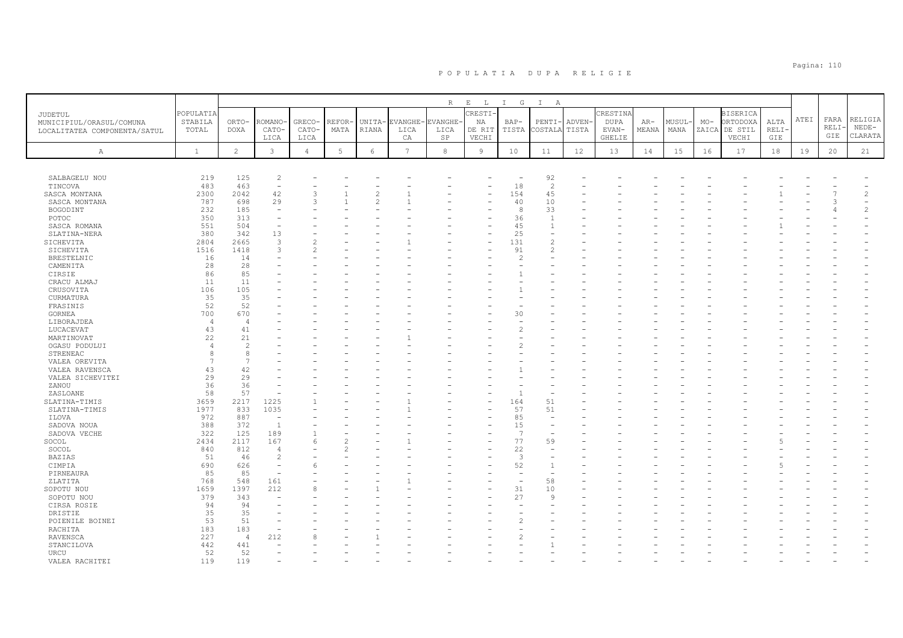|                              |              |                      |                               |                |        |                          |                | R              | $\mathbf{E}=-\mathbf{L}$ . | $I$ G                          | $\mathbb{I}$<br>A        |              |               |       |        |       |                 |       |      |      |                |
|------------------------------|--------------|----------------------|-------------------------------|----------------|--------|--------------------------|----------------|----------------|----------------------------|--------------------------------|--------------------------|--------------|---------------|-------|--------|-------|-----------------|-------|------|------|----------------|
| JUDETUL                      | POPULATIA    |                      |                               |                |        |                          |                |                | CRESTI-                    |                                |                          |              | CRESTINA      |       |        |       | <b>BISERICA</b> |       |      |      |                |
| MUNICIPIUL/ORASUL/COMUNA     | STABILA      | ORTO-                | ROMANO                        | GRECO-         | REFOR· | UNITA-                   | <b>EVANGHE</b> | <b>EVANGHE</b> | NA                         | $BAP-$                         | PENTI-                   | <b>ADVEN</b> | <b>DUPA</b>   | $AR-$ | MUSUL- | $MO-$ | ORTODOXA        | ALTA  | ATEI | FARA | RELIGIA        |
| LOCALITATEA COMPONENTA/SATUL | TOTAL        | DOXA                 | CATO-                         | CATO-          | MATA   | RIANA                    | LICA           | LICA           | DE RIT                     | TISTA                          | COSTALA                  | TISTA        | EVAN-         | MEANA | MANA   |       | ZAICA DE STIL   | RELI· |      | RELI | $NEDE-$        |
|                              |              |                      | LICA                          | LICA           |        |                          | CA             | SP             | VECHI                      |                                |                          |              | <b>GHELIE</b> |       |        |       | VECHI           | GIE   |      | GIE  | CLARATA        |
| Α                            | $\mathbf{1}$ | $\mathbf{2}^{\circ}$ | $\mathbf{3}$                  | $\overline{4}$ | 5      | $\epsilon$               | $\overline{7}$ | $^{\rm 8}$     | $\mathcal{G}$              | 10                             | 11                       | 12           | 13            | 14    | 15     | 16    | 17              | 18    | 19   | 20   | 21             |
|                              |              |                      |                               |                |        |                          |                |                |                            |                                |                          |              |               |       |        |       |                 |       |      |      |                |
|                              |              |                      |                               |                |        |                          |                |                |                            |                                |                          |              |               |       |        |       |                 |       |      |      |                |
| SALBAGELU NOU                | 219          | 125                  | $\overline{c}$<br>÷,          |                |        |                          |                |                |                            | $\overline{\phantom{a}}$<br>18 | 92                       |              |               |       |        |       |                 |       |      |      |                |
| TINCOVA<br>SASCA MONTANA     | 483<br>2300  | 463<br>2042          | 42                            | 3              |        | $\overline{c}$           |                |                |                            | 154                            | 2<br>45                  |              |               |       |        |       |                 |       |      |      | $\overline{c}$ |
| SASCA MONTANA                | 787          | 698                  | 29                            | $\mathcal{L}$  |        | $\mathfrak{D}_{1}^{(1)}$ |                |                |                            | 40                             | 10                       |              |               |       |        |       |                 |       |      |      |                |
| BOGODINT                     | 232          | 185                  | $\sim$                        |                |        |                          |                |                |                            | -8                             | 33                       |              |               |       |        |       |                 |       |      |      | $\mathfrak{D}$ |
| POTOC                        | 350          | 313                  | $\overline{\phantom{0}}$      |                |        |                          |                |                |                            | 36                             | $\mathbf{1}$             |              |               |       |        |       |                 |       |      |      |                |
| SASCA ROMANA                 | 551          | 504                  | $\overline{\phantom{a}}$      |                |        |                          |                |                |                            | 45                             | $\mathbf{1}$             |              |               |       |        |       |                 |       |      |      |                |
| SLATINA-NERA                 | 380          | 342                  | 13                            |                |        |                          |                |                |                            | 25                             |                          |              |               |       |        |       |                 |       |      |      |                |
| SICHEVITA                    | 2804         | 2665                 | $\mathbf{3}$                  |                |        |                          |                |                |                            | 131                            | $\overline{c}$           |              |               |       |        |       |                 |       |      |      |                |
| SICHEVITA                    | 1516         | 1418                 | 3                             |                |        |                          |                |                |                            | 91                             | $\overline{2}$           |              |               |       |        |       |                 |       |      |      |                |
| BRESTELNIC                   | 16           | 14                   |                               |                |        |                          |                |                |                            | $\mathcal{P}$                  |                          |              |               |       |        |       |                 |       |      |      |                |
| CAMENITA                     | 28           | 28                   |                               |                |        |                          |                |                |                            |                                |                          |              |               |       |        |       |                 |       |      |      |                |
| CIRSIE                       | 86           | 85                   |                               |                |        |                          |                |                |                            |                                |                          |              |               |       |        |       |                 |       |      |      |                |
| CRACU ALMAJ                  | 11           | 11                   |                               |                |        |                          |                |                |                            |                                |                          |              |               |       |        |       |                 |       |      |      |                |
| CRUSOVITA                    | 106          | 105                  |                               |                |        |                          |                |                |                            |                                |                          |              |               |       |        |       |                 |       |      |      |                |
| CURMATURA                    | 35           | 35                   |                               |                |        |                          |                |                |                            |                                |                          |              |               |       |        |       |                 |       |      |      |                |
| FRASINIS                     | 52           | 52<br>670            |                               |                |        |                          |                |                |                            |                                |                          |              |               |       |        |       |                 |       |      |      |                |
| GORNEA                       | 700          |                      |                               |                |        |                          |                |                |                            | 30                             |                          |              |               |       |        |       |                 |       |      |      |                |
| LIBORAJDEA<br>LUCACEVAT      | 4<br>43      | $\overline{4}$<br>41 |                               |                |        |                          |                |                |                            |                                |                          |              |               |       |        |       |                 |       |      |      |                |
| MARTINOVAT                   | 22           | 21                   |                               |                |        |                          |                |                |                            |                                |                          |              |               |       |        |       |                 |       |      |      |                |
| OGASU PODULUI                |              | $\mathcal{D}$        |                               |                |        |                          |                |                |                            |                                |                          |              |               |       |        |       |                 |       |      |      |                |
| STRENEAC                     | 8            | 8                    |                               |                |        |                          |                |                |                            |                                |                          |              |               |       |        |       |                 |       |      |      |                |
| VALEA OREVITA                | 7            |                      |                               |                |        |                          |                |                |                            |                                |                          |              |               |       |        |       |                 |       |      |      |                |
| VALEA RAVENSCA               | 43           | 42                   |                               |                |        |                          |                |                |                            |                                |                          |              |               |       |        |       |                 |       |      |      |                |
| VALEA SICHEVITEI             | 29           | 29                   |                               |                |        |                          |                |                |                            |                                |                          |              |               |       |        |       |                 |       |      |      |                |
| ZANOU                        | 36           | 36                   |                               |                |        |                          |                |                |                            |                                |                          |              |               |       |        |       |                 |       |      |      |                |
| ZASLOANE                     | 58           | 57                   |                               |                |        |                          |                |                |                            |                                |                          |              |               |       |        |       |                 |       |      |      |                |
| SLATINA-TIMIS                | 3659         | 2217                 | 1225                          |                |        |                          |                |                |                            | 164                            | 51                       |              |               |       |        |       |                 |       |      |      |                |
| SLATINA-TIMIS                | 1977         | 833                  | 1035                          |                |        |                          |                |                |                            | 57                             | 51                       |              |               |       |        |       |                 |       |      |      |                |
| ILOVA                        | 972          | 887                  | $\overline{\phantom{a}}$      |                |        |                          |                |                |                            | 85                             | $\overline{\phantom{a}}$ |              |               |       |        |       |                 |       |      |      |                |
| SADOVA NOUA                  | 388          | 372                  | $\overline{1}$                |                |        |                          |                |                |                            | 15                             |                          |              |               |       |        |       |                 |       |      |      |                |
| SADOVA VECHE                 | 322          | 125                  | 189                           |                |        |                          |                |                |                            | $\overline{7}$                 |                          |              |               |       |        |       |                 |       |      |      |                |
| SOCOL                        | 2434         | 2117                 | 167                           |                |        |                          |                |                |                            | 77                             | 59                       |              |               |       |        |       |                 |       |      |      |                |
| SOCOL                        | 840          | 812                  | $\overline{4}$                |                | っ      |                          |                |                |                            | 22                             | $\overline{\phantom{a}}$ |              |               |       |        |       |                 |       |      |      |                |
| <b>BAZIAS</b>                | 51           | 46                   | $\overline{c}$                |                |        |                          |                |                |                            | 3                              |                          |              |               |       |        |       |                 |       |      |      |                |
| CIMPIA                       | 690          | 626<br>85            | $\overline{\phantom{a}}$<br>۰ |                |        |                          |                |                |                            | 52                             | $\mathbf{1}$             |              |               |       |        |       |                 |       |      |      |                |
| PIRNEAURA<br>ZLATITA         | 85<br>768    | 548                  | 161                           |                |        |                          |                |                |                            | ÷,                             | 58                       |              |               |       |        |       |                 |       |      |      |                |
| SOPOTU NOU                   | 1659         | 1397                 | 212                           |                |        |                          |                |                |                            | 31                             | 10                       |              |               |       |        |       |                 |       |      |      |                |
| SOPOTU NOU                   | 379          | 343                  |                               |                |        |                          |                |                |                            | 27                             | Q                        |              |               |       |        |       |                 |       |      |      |                |
| CIRSA ROSIE                  | 94           | 94                   |                               |                |        |                          |                |                |                            |                                |                          |              |               |       |        |       |                 |       |      |      |                |
| DRISTIE                      | 35           | 35                   |                               |                |        |                          |                |                |                            |                                |                          |              |               |       |        |       |                 |       |      |      |                |
| POIENILE BOINEI              | 53           | 51                   |                               |                |        |                          |                |                |                            |                                |                          |              |               |       |        |       |                 |       |      |      |                |
| RACHITA                      | 183          | 183                  | L,                            |                |        |                          |                |                |                            |                                |                          |              |               |       |        |       |                 |       |      |      |                |
| RAVENSCA                     | 227          | $\overline{4}$       | 212                           |                |        |                          |                |                |                            |                                |                          |              |               |       |        |       |                 |       |      |      |                |
| STANCILOVA                   | 442          | 441                  |                               |                |        |                          |                |                |                            |                                |                          |              |               |       |        |       |                 |       |      |      |                |
| URCU                         | 52           | 52                   |                               |                |        |                          |                |                |                            |                                |                          |              |               |       |        |       |                 |       |      |      |                |
| VALEA RACHITEI               | 119          | 119                  |                               |                |        |                          |                |                |                            |                                |                          |              |               |       |        |       |                 |       |      |      |                |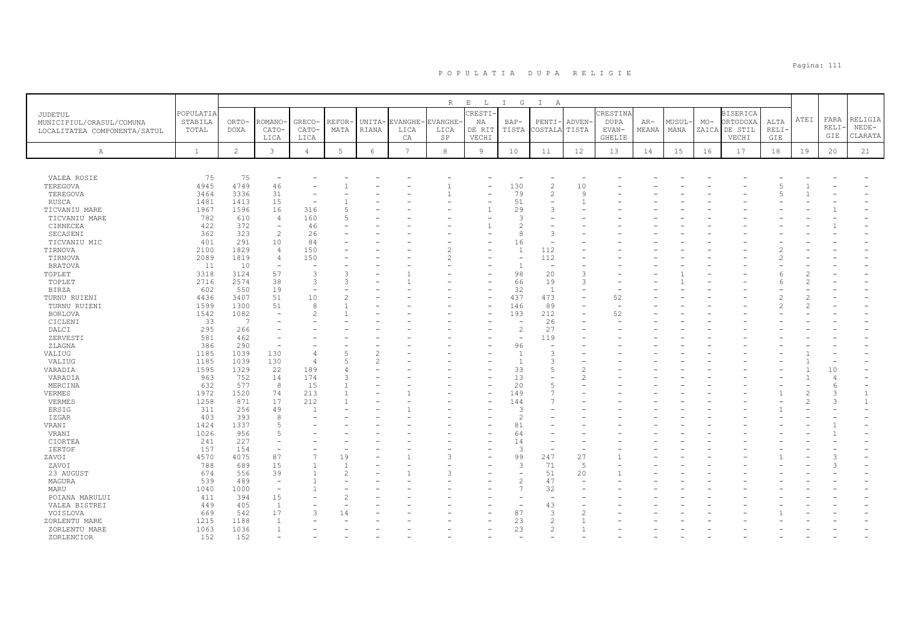|                                                                     |                               |                      |                                |                         |                |                 |                              |                                   | $\mathbf{E}$                                     |                          |                                        |                       |                                            |                |                |                |                                                 |                      |      |                      |                               |
|---------------------------------------------------------------------|-------------------------------|----------------------|--------------------------------|-------------------------|----------------|-----------------|------------------------------|-----------------------------------|--------------------------------------------------|--------------------------|----------------------------------------|-----------------------|--------------------------------------------|----------------|----------------|----------------|-------------------------------------------------|----------------------|------|----------------------|-------------------------------|
| JUDETUL<br>MUNICIPIUL/ORASUL/COMUNA<br>LOCALITATEA COMPONENTA/SATUL | POPULATIA<br>STABILA<br>TOTAL | ORTO-<br><b>DOXA</b> | ROMANO<br>CATO-<br>LICA        | GRECO-<br>CATO-<br>LICA | REFOR-<br>MATA | UNITA-<br>RIANA | <b>VANGHE-</b><br>LICA<br>CA | R<br><b>EVANGHE</b><br>LICA<br>SP | $\mathbb{L}$<br>CRESTI-<br>NA<br>DE RIT<br>VECHI | $I$ G<br>$BAP-$<br>TISTA | $\mathbb{I}$<br>A<br>PENTI-<br>COSTALA | <b>ADVEN</b><br>TISTA | CRESTINA<br><b>DUPA</b><br>EVAN-<br>GHELIE | $AR-$<br>MEANA | MUSUL-<br>MANA | $MO-$<br>ZAICA | <b>BISERICA</b><br>ORTODOXA<br>DE STIL<br>VECHI | ALTA<br>RELI-<br>GIE | ATEI | FARA<br>RELI·<br>GIE | RELIGIA<br>$NEDE-$<br>CLARATA |
| Α                                                                   | $\mathbf{1}$                  | $\overline{c}$       | 3                              | $\overline{4}$          | 5              | 6               | $7\phantom{.0}$              | 8                                 | 9                                                | 10                       | 11                                     | 12                    | 13                                         | 14             | 15             | 16             | 17                                              | 18                   | 19   | 20                   | 21                            |
|                                                                     |                               |                      |                                |                         |                |                 |                              |                                   |                                                  |                          |                                        |                       |                                            |                |                |                |                                                 |                      |      |                      |                               |
|                                                                     |                               |                      |                                |                         |                |                 |                              |                                   |                                                  |                          |                                        |                       |                                            |                |                |                |                                                 |                      |      |                      |                               |
| VALEA ROSIE<br>TEREGOVA                                             | 75<br>4945                    | 75<br>4749           | $\overline{\phantom{a}}$<br>46 |                         |                |                 |                              |                                   |                                                  | 130                      | $\overline{c}$                         | 10                    |                                            |                |                |                |                                                 |                      |      |                      |                               |
| TEREGOVA                                                            | 3464                          | 3336                 | 31                             |                         |                |                 |                              |                                   |                                                  | 79                       | $\overline{2}$                         | 9                     |                                            |                |                |                |                                                 |                      |      |                      |                               |
| <b>RUSCA</b>                                                        | 1481                          | 1413                 | 15                             | ٠                       |                |                 |                              |                                   |                                                  | 51                       |                                        |                       |                                            |                |                |                |                                                 |                      |      |                      |                               |
| TICVANIU MARE                                                       | 1967                          | 1596                 | 16                             | 316                     | 5              |                 |                              |                                   |                                                  | 29                       | 3                                      |                       |                                            |                |                |                |                                                 |                      |      |                      |                               |
| TICVANIU MARE                                                       | 782                           | 610                  | $\overline{4}$                 | 160                     |                |                 |                              |                                   |                                                  | 3                        |                                        |                       |                                            |                |                |                |                                                 |                      |      |                      |                               |
| CIRNECEA                                                            | 422                           | 372                  | $\overline{\phantom{a}}$       | 46                      |                |                 |                              |                                   |                                                  | 2                        |                                        |                       |                                            |                |                |                |                                                 |                      |      |                      |                               |
| SECASENI                                                            | 362                           | 323                  | $\mathcal{L}$                  | 26                      |                |                 |                              |                                   |                                                  | 8                        | 3                                      |                       |                                            |                |                |                |                                                 |                      |      |                      |                               |
| TICVANIU MIC                                                        | 401                           | 291                  | 10                             | 84                      |                |                 |                              |                                   |                                                  | 16                       |                                        |                       |                                            |                |                |                |                                                 |                      |      |                      |                               |
| TIRNOVA                                                             | 2100                          | 1829                 | $\overline{a}$                 | 150                     |                |                 |                              |                                   |                                                  | $\mathbf{1}$             | 112                                    |                       |                                            |                |                |                |                                                 |                      |      |                      |                               |
| TIRNOVA                                                             | 2089                          | 1819                 | $\overline{4}$                 | 150                     |                |                 |                              |                                   |                                                  | ۰                        | 112                                    |                       |                                            |                |                |                |                                                 |                      |      |                      |                               |
| <b>BRATOVA</b>                                                      | 11                            | 10                   |                                |                         |                |                 |                              |                                   |                                                  |                          | $\overline{\phantom{a}}$               |                       |                                            |                |                |                |                                                 |                      |      |                      |                               |
| TOPLET                                                              | 3318                          | 3124                 | 57                             | 3                       | ٩              |                 |                              |                                   |                                                  | 98                       | 20                                     | 3                     |                                            |                |                |                |                                                 |                      |      |                      |                               |
| TOPLET                                                              | 2716                          | 2574                 | 38                             | 3                       |                |                 |                              |                                   |                                                  | 66                       | 19                                     | 3                     |                                            |                |                |                |                                                 |                      |      |                      |                               |
| <b>BIRZA</b>                                                        | 602                           | 550                  | 19                             | $\rightarrow$           |                |                 |                              |                                   |                                                  | 32                       | $\overline{1}$                         |                       |                                            |                |                |                |                                                 |                      |      |                      |                               |
| TURNU RUIENI                                                        | 4436                          | 3407                 | 51                             | 10                      |                |                 |                              |                                   |                                                  | 437                      | 473                                    | -                     | 52                                         |                |                |                |                                                 |                      |      |                      |                               |
| TURNU RUIENI                                                        | 1599                          | 1300                 | 51                             | 8                       |                |                 |                              |                                   |                                                  | 146                      | 89                                     |                       |                                            |                |                |                |                                                 |                      |      |                      |                               |
| BORLOVA                                                             | 1542                          | 1082                 |                                | $\mathfrak{D}$          |                |                 |                              |                                   |                                                  | 193                      | 212                                    |                       | 52                                         |                |                |                |                                                 |                      |      |                      |                               |
| CICLENI                                                             | 33                            | 7                    |                                |                         |                |                 |                              |                                   |                                                  |                          | 26                                     |                       |                                            |                |                |                |                                                 |                      |      |                      |                               |
| DALCI                                                               | 295                           | 266                  |                                |                         |                |                 |                              |                                   |                                                  | $\overline{c}$           | 27                                     |                       |                                            |                |                |                |                                                 |                      |      |                      |                               |
| ZERVESTI                                                            | 581                           | 462                  |                                |                         |                |                 |                              |                                   |                                                  | $\overline{\phantom{a}}$ | 119                                    |                       |                                            |                |                |                |                                                 |                      |      |                      |                               |
| ZLAGNA                                                              | 386                           | 290                  |                                |                         |                |                 |                              |                                   |                                                  | 96                       |                                        |                       |                                            |                |                |                |                                                 |                      |      |                      |                               |
| VALIUG                                                              | 1185                          | 1039                 | 130                            | $\overline{4}$          |                |                 |                              |                                   |                                                  |                          | 3                                      |                       |                                            |                |                |                |                                                 |                      |      |                      |                               |
| VALIUG                                                              | 1185                          | 1039                 | 130                            | $\overline{4}$          |                |                 |                              |                                   |                                                  |                          | 3                                      |                       |                                            |                |                |                |                                                 |                      |      |                      |                               |
| VARADIA                                                             | 1595                          | 1329                 | 22                             | 189                     |                |                 |                              |                                   |                                                  | 33                       | 5                                      |                       |                                            |                |                |                |                                                 |                      |      | 10                   |                               |
| VARADIA                                                             | 963                           | 752                  | 14                             | 174                     | Р              |                 |                              |                                   |                                                  | 13                       |                                        |                       |                                            |                |                |                |                                                 |                      |      |                      |                               |
| MERCINA                                                             | 632                           | 577                  | 8                              | 15                      |                |                 |                              |                                   |                                                  | 20                       | 5                                      |                       |                                            |                |                |                |                                                 |                      |      |                      |                               |
| VERMES                                                              | 1972                          | 1520                 | 74                             | 213                     |                |                 |                              |                                   |                                                  | 149                      |                                        |                       |                                            |                |                |                |                                                 |                      |      |                      |                               |
| VERMES                                                              | 1258                          | 871                  | 17                             | 212                     |                |                 |                              |                                   |                                                  | 144                      |                                        |                       |                                            |                |                |                |                                                 |                      |      |                      |                               |
| ERSIG                                                               | 311                           | 256                  | 49                             | $\overline{1}$          |                |                 |                              |                                   |                                                  | 3                        |                                        |                       |                                            |                |                |                |                                                 |                      |      |                      |                               |
| IZGAR                                                               | 403                           | 393                  |                                |                         |                |                 |                              |                                   |                                                  | $\mathfrak{D}$           |                                        |                       |                                            |                |                |                |                                                 |                      |      |                      |                               |
| VRANI                                                               | 1424                          | 1337                 |                                |                         |                |                 |                              |                                   |                                                  | 81                       |                                        |                       |                                            |                |                |                |                                                 |                      |      |                      |                               |
| VRANI                                                               | 1026                          | 956                  |                                |                         |                |                 |                              |                                   |                                                  | 64                       |                                        |                       |                                            |                |                |                |                                                 |                      |      |                      |                               |
| CIORTEA                                                             | 241                           | 227                  |                                |                         |                |                 |                              |                                   |                                                  | 14                       |                                        |                       |                                            |                |                |                |                                                 |                      |      |                      |                               |
| <b>IERTOF</b>                                                       | 157                           | 154                  |                                |                         |                |                 |                              |                                   |                                                  | 3                        |                                        |                       |                                            |                |                |                |                                                 |                      |      |                      |                               |
| ZAVOI                                                               | 4570                          | 4075                 | 87                             |                         | 19             |                 |                              | 3                                 |                                                  | 99                       | 247                                    | 27                    |                                            |                |                |                |                                                 |                      |      |                      |                               |
| ZAVOI                                                               | 788                           | 689                  | 15                             |                         |                |                 |                              |                                   |                                                  | 3                        | 71                                     | 5                     |                                            |                |                |                |                                                 |                      |      |                      |                               |
| 23 AUGUST                                                           | 674                           | 556                  | 39                             |                         |                |                 |                              | 3                                 |                                                  |                          | 51                                     | 20                    |                                            |                |                |                |                                                 |                      |      |                      |                               |
| MAGURA                                                              | 539                           | 489                  | $\overline{\phantom{a}}$       |                         |                |                 |                              |                                   |                                                  | $\overline{c}$           | 47                                     |                       |                                            |                |                |                |                                                 |                      |      |                      |                               |
| MARU                                                                | 1040                          | 1000                 | $\overline{\phantom{a}}$       |                         |                |                 |                              |                                   |                                                  |                          | 32                                     |                       |                                            |                |                |                |                                                 |                      |      |                      |                               |
| POIANA MARULUI                                                      | 411                           | 394                  | 15                             |                         |                |                 |                              |                                   |                                                  |                          |                                        |                       |                                            |                |                |                |                                                 |                      |      |                      |                               |
| VALEA BISTREI                                                       | 449                           | 405                  | $\overline{1}$                 |                         |                |                 |                              |                                   |                                                  |                          | 43                                     |                       |                                            |                |                |                |                                                 |                      |      |                      |                               |
| VOISLOVA                                                            | 669                           | 542                  | 17                             | 3                       | 14             |                 |                              |                                   |                                                  | 87                       | 3                                      |                       |                                            |                |                |                |                                                 |                      |      |                      |                               |
| ZORLENTU MARE                                                       | 1215                          | 1188                 | $\overline{1}$                 |                         |                |                 |                              |                                   |                                                  | 23                       | $\overline{2}$                         |                       |                                            |                |                |                |                                                 |                      |      |                      |                               |
| ZORLENTU MARE                                                       | 1063                          | 1036                 | $\overline{1}$                 |                         |                |                 |                              |                                   |                                                  | 23                       | $\mathfrak{D}$                         |                       |                                            |                |                |                |                                                 |                      |      |                      |                               |
| ZORLENCIOR                                                          | 152                           | 152                  |                                |                         |                |                 |                              |                                   |                                                  |                          |                                        |                       |                                            |                |                |                |                                                 |                      |      |                      |                               |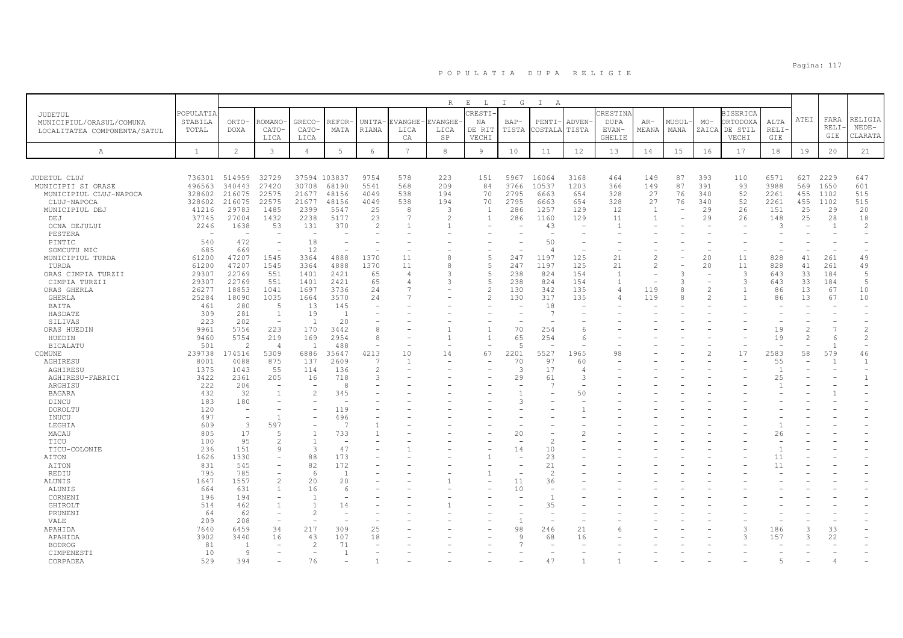|                              |                  |                          |                          |                |                |                          |                 | $\mathbb R$    | $\mathbf{E}$<br>$\mathbb{L}$ | $\mathbb{I}$<br>G | $\mathbb{I}$<br>A        |                          |                |                |        |                          |                         |                          |               |                |                |
|------------------------------|------------------|--------------------------|--------------------------|----------------|----------------|--------------------------|-----------------|----------------|------------------------------|-------------------|--------------------------|--------------------------|----------------|----------------|--------|--------------------------|-------------------------|--------------------------|---------------|----------------|----------------|
| JUDETUL                      | <b>POPULATIA</b> |                          |                          |                |                |                          |                 |                | RESTI-                       |                   |                          |                          | CRESTINA       |                |        |                          | <b>BISERICA</b>         |                          |               |                |                |
| MUNICIPIUL/ORASUL/COMUNA     | STABILA          | ORTO-                    | <b>ROMANO</b>            | <b>GRECO</b>   | REFOR·         | UNITA-                   | EVANGHE         | <b>VANGHE</b>  | ΝA                           | $BAP-$            | PENTI·                   | ADVEN-                   | <b>DUPA</b>    | AR-            | MUSUL· | $MO-$                    | ORTODOXA                | ALTA                     | ATEI          | FARA           | RELIGIA        |
| LOCALITATEA COMPONENTA/SATUL | TOTAL            | <b>DOXA</b>              | CATO-                    | CATO           | MATA           | RIANA                    | LICA            | LICA           | DE RIT                       | TISTA             | COSTALA                  | TISTA                    | EVAN-          | MEANA          | MANA   | ZAICA                    | DE STIL                 | RELI-                    |               | RELI-          | $NEDE-$        |
|                              |                  |                          | LICA                     | LICA           |                |                          | CA              | SP             | VECHI                        |                   |                          |                          | <b>GHELIE</b>  |                |        |                          | VECHI                   | GIE                      |               | GIE            | CLARATA        |
|                              |                  |                          |                          |                |                |                          |                 |                |                              |                   |                          |                          |                |                |        |                          |                         |                          |               |                |                |
| $\mathbb{A}$                 | <sup>1</sup>     | $\mathbf{2}$             | 3                        | $\overline{4}$ | 5              | 6                        | $7\phantom{.0}$ | $\,8\,$        | 9                            | 10                | 11                       | 12                       | 13             | 14             | 15     | 16                       | 17                      | 18                       | 19            | 20             | 21             |
|                              |                  |                          |                          |                |                |                          |                 |                |                              |                   |                          |                          |                |                |        |                          |                         |                          |               |                |                |
| JUDETUL CLUJ                 | 736301           | 514959                   | 32729                    | 37594 103837   |                | 9754                     | 578             | 223            | 151                          | 5967              | 16064                    | 3168                     | 464            | 149            | 87     | 393                      | 110                     | 6571                     | 627           | 2229           | 647            |
| MUNICIPII SI ORASE           | 496563           | 340443                   | 27420                    | 30708          | 68190          | 5541                     | 568             | 209            | 84                           | 3766              | 10537                    | 1203                     | 366            | 149            | 87     | 391                      | 93                      | 3988                     | 569           | 1650           | 601            |
| MUNICIPIUL CLUJ-NAPOCA       | 328602           | 216075                   | 22575                    | 21677          | 48156          | 4049                     | 538             | 194            | 70                           | 2795              | 6663                     | 654                      | 328            | 27             | 76     | 340                      | 52                      | 2261                     | 455           | 1102           | 515            |
| CLUJ-NAPOCA                  | 328602           | 216075                   | 22575                    | 21677          | 48156          | 4049                     | 538             | 194            | 70                           | 2795              | 6663                     | 654                      | 328            | 27             | 76     | 340                      | 52                      | 2261                     | 455           | 1102           | 515            |
| MUNICIPIUL DEJ               | 41216            | 29783                    | 1485                     | 2399           | 5547           | 25                       | 8               | $\mathcal{L}$  | $\overline{1}$               | 286               | 1257                     | 129                      | 12             | <sup>1</sup>   |        | 29                       | 26                      | 151                      | 25            | 29             | 20             |
| DEJ                          | 37745            | 27004                    | 1432                     | 2238           | 5177           | 23                       |                 | $\mathfrak{D}$ | $\overline{1}$               | 286               | 1160                     | 129                      | 11             | $\overline{1}$ |        | 29                       | 26                      | 148                      | 25            | 28             | 18             |
| OCNA DEJULUI                 | 2246             | 1638                     | 53                       | 131            | 370            | 2                        |                 |                |                              |                   | 43                       | $\overline{\phantom{a}}$ | $\overline{1}$ |                |        |                          | $\sim$                  | 3                        |               | $\overline{1}$ | $\overline{c}$ |
| PESTERA                      |                  |                          |                          |                |                |                          |                 |                |                              |                   |                          |                          |                |                |        |                          |                         |                          |               |                |                |
| PINTIC                       | 540              | 472                      |                          | 18             |                |                          |                 |                |                              |                   | 50                       |                          |                |                |        |                          |                         |                          |               |                |                |
| SOMCUTU MIC                  | 685              | 669                      | ۰                        | 12             |                |                          |                 |                |                              |                   | $\angle$                 |                          |                |                |        |                          |                         |                          |               |                |                |
| MUNICIPIUL TURDA             | 61200            | 47207                    | 1545                     | 3364           | 4888           | 1370                     | 11              |                |                              | 247               | 1197                     | 125                      | 21             |                |        | 20                       | 11                      | 828                      | 41            | 261            | 49             |
| TURDA                        | 61200            | 47207                    | 1545                     | 3364           | 4888           | 1370                     | 11              | R              | -5                           | 247               | 1197                     | 125                      | 21             | $\mathcal{P}$  |        | 20                       | 11                      | 828                      | 41            | 261            | 49             |
| ORAS CIMPIA TURZII           | 29307            | 22769                    | 551                      | 1401           | 2421           | 65                       |                 |                |                              | 238               | 824                      | 154                      | $\overline{1}$ |                | 3      |                          | 3                       | 643                      | 33            | 184            | 5              |
| CIMPIA TURZII                | 29307            | 22769                    | 551                      | 1401           | 2421           | 65                       |                 |                |                              | 238               | 824                      | 154                      | $\overline{1}$ |                | 3      | $\overline{\phantom{a}}$ | $\overline{\mathbf{3}}$ | 643                      | 33            | 184            | 5              |
| ORAS GHERLA                  | 26277            | 18853                    | 1041                     | 1697           | 3736           | 24                       |                 |                |                              | 130               | 342                      | 135                      | 4              | 119            | 8      | $\mathcal{D}$            | $\mathbf{1}$            | 86                       | 13            | 67             | 10             |
| <b>GHERLA</b>                | 25284            | 18090                    | 1035                     | 1664           | 3570           | 24                       |                 |                | $\mathcal{P}$                | 130               | 317                      | 135                      | Δ              | 119            | 8      | $\mathcal{D}$            | $\overline{1}$          | 86                       | 13            | 67             | 10             |
| BAITA                        | 461              | 280                      | .5                       | 13             | 145            |                          |                 |                |                              |                   | 18                       |                          |                |                |        |                          |                         |                          |               |                |                |
| HASDATE                      | 309              | 281                      | $\mathbf{1}$             | 19             | -1             |                          |                 |                |                              |                   | -7                       |                          |                |                |        |                          |                         |                          |               |                |                |
| SILIVAS                      | 223              | 202                      | ÷,                       | $\overline{1}$ | 20             |                          |                 |                |                              |                   |                          |                          |                |                |        |                          |                         |                          |               |                |                |
| ORAS HUEDIN                  | 9961             | 5756                     | 223                      | 170            | 3442           | 8                        |                 |                |                              | 70                | 254                      | 6                        |                |                |        |                          |                         | 19                       | $\mathcal{L}$ |                | $\overline{c}$ |
| HUEDIN                       | 9460             | 5754                     | 219                      | 169            | 2954           | 8                        |                 |                |                              | 65                | 254                      | 6                        |                |                |        |                          |                         | 19                       | $\mathcal{L}$ | 6              | $\overline{2}$ |
| <b>BICALATU</b>              | 501              | $\overline{2}$           | $\overline{4}$           | $\overline{1}$ | 488            | $\overline{\phantom{a}}$ |                 |                |                              | $\overline{5}$    |                          |                          |                |                |        |                          |                         | $\overline{\phantom{a}}$ |               |                |                |
| COMUNE                       | 239738           | 174516                   | 5309                     | 6886           | 35647          | 4213                     | 10              | 14             | 67                           | 2201              | 5527                     | 1965                     | 98             |                |        | 2                        | 17                      | 2583                     | 58            | 579            | 46             |
| AGHIRESU                     | 8001             | 4088                     | 875                      | 137            | 2609           | 7                        | $\mathbf{1}$    |                |                              | 70                | 97                       | 60                       |                |                |        |                          |                         | 55                       |               | 1              | $\overline{1}$ |
| AGHIRESU                     | 1375             | 1043                     | 55                       | 114            | 136            | 2                        |                 |                |                              | 3                 | 17                       | $\overline{4}$           |                |                |        |                          |                         | $\overline{1}$           |               |                |                |
| AGHIRESU-FABRICI             | 3422             | 2361                     | 205                      | 16             | 718            | 3                        |                 |                |                              | 29                | 61                       | 3                        |                |                |        |                          |                         | 25                       |               |                | $\mathbf{1}$   |
| ARGHISU                      | 222              | 206                      |                          |                | 8              |                          |                 |                |                              |                   | 7                        |                          |                |                |        |                          |                         |                          |               |                |                |
| <b>BAGARA</b>                | 432              | 32                       | $\mathbf{1}$             |                | 345            |                          |                 |                |                              |                   |                          | 50                       |                |                |        |                          |                         |                          |               |                |                |
| DINCU                        | 183              | 180                      |                          |                |                |                          |                 |                |                              | 3                 |                          |                          |                |                |        |                          |                         |                          |               |                |                |
| DOROLTU                      | 120              | $\overline{\phantom{a}}$ | ۰                        |                | 119            |                          |                 |                |                              |                   |                          |                          |                |                |        |                          |                         |                          |               |                |                |
| INUCU                        | 497              |                          |                          |                | 496            |                          |                 |                |                              |                   |                          |                          |                |                |        |                          |                         |                          |               |                |                |
| LEGHIA                       | 609              | -3                       | 597                      |                | $\mathcal{L}$  |                          |                 |                |                              |                   |                          |                          |                |                |        |                          |                         |                          |               |                |                |
| MACAU                        | 805              | 17                       | 5                        | $\mathbf{1}$   | 733            |                          |                 |                |                              | 20                |                          | $\mathcal{L}$            |                |                |        |                          |                         | 26                       |               |                |                |
| TICU                         | 100              | 95                       | $\mathfrak{D}$           | $\overline{1}$ |                |                          |                 |                |                              |                   |                          |                          |                |                |        |                          |                         |                          |               |                |                |
| TICU-COLONIE                 | 236              | 151                      | 9                        | 3              | 47             |                          |                 |                |                              | 14                | 10                       |                          |                |                |        |                          |                         |                          |               |                |                |
| AITON                        | 1626             | 1330                     | $\equiv$                 | 88             | 173            |                          |                 |                |                              |                   | 23                       |                          |                |                |        |                          |                         | 11                       |               |                |                |
| AITON                        | 831              | 545                      | $\overline{\phantom{a}}$ | 82             | 172            |                          |                 |                |                              |                   | 21                       |                          |                |                |        |                          |                         | 11                       |               |                |                |
| REDIU                        | 795              | 785                      | $\equiv$                 | $\epsilon$     | -1             |                          |                 |                |                              |                   | $\overline{\mathcal{L}}$ |                          |                |                |        |                          |                         |                          |               |                |                |
| ALUNIS                       | 1647             | 1557                     | $\overline{c}$           | 20             | 20             |                          |                 |                |                              | 11                | 36                       |                          |                |                |        |                          |                         |                          |               |                |                |
| ALUNIS                       | 664              | 631                      | $\mathbf{1}$             | 16             |                |                          |                 |                |                              | 10                |                          |                          |                |                |        |                          |                         |                          |               |                |                |
| CORNENI                      | 196              | 194                      | $\overline{\phantom{a}}$ |                |                |                          |                 |                |                              |                   |                          |                          |                |                |        |                          |                         |                          |               |                |                |
| GHIROLT                      | 514              | 462                      | $\mathbf{1}$             | $\overline{1}$ | 14             |                          |                 |                |                              |                   | 35                       |                          |                |                |        |                          |                         |                          |               |                |                |
| PRUNENI                      | 64               | 62                       | $\equiv$                 | $\mathcal{P}$  |                |                          |                 |                |                              |                   |                          |                          |                |                |        |                          |                         |                          |               |                |                |
| VALE                         | 209              | 208                      | $\sim$                   |                |                |                          |                 |                |                              | $\overline{1}$    |                          |                          |                |                |        |                          |                         |                          |               |                |                |
| APAHIDA                      | 7640             | 6459                     | 34                       | 217            | 309            | 25                       |                 |                |                              | 98                | 246                      | 21                       | 6              |                |        |                          | 3                       | 186                      | 3             | 33             |                |
| APAHIDA                      | 3902             | 3440                     | 16                       | 43             | 107            | 18                       |                 |                |                              | 9                 | 68                       | 16                       |                |                |        |                          | $\mathcal{L}$           | 157                      | 3             | 22             |                |
| <b>BODROG</b>                | 81               | $\overline{1}$           |                          | $\mathcal{D}$  | 71             |                          |                 |                |                              |                   |                          |                          |                |                |        |                          |                         |                          |               |                |                |
| CIMPENESTI                   | 10               | 9                        |                          |                | $\overline{1}$ |                          |                 |                |                              |                   |                          |                          |                |                |        |                          |                         |                          |               |                |                |
| CORPADEA                     | 529              | 394                      |                          | 76             |                |                          |                 |                |                              |                   | 4.                       |                          |                |                |        |                          |                         |                          |               |                |                |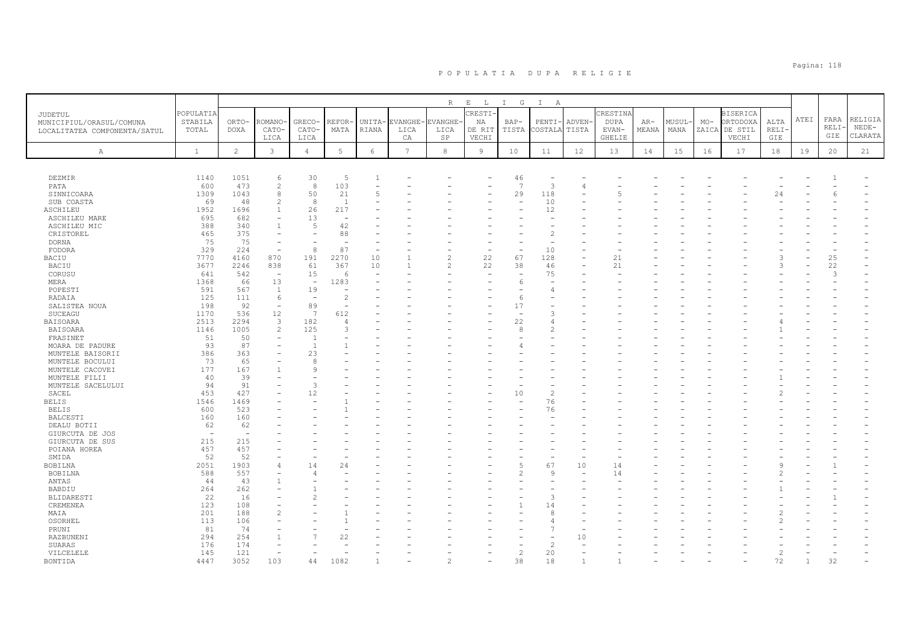|                              |                          |                |                          |                                |                                 |                          |                 | $R_{\odot}$                     | $\mathbf{E}=-\mathbf{L}$ | $\mathbb{I}$<br>G | $\mathbb{I}$<br>A |        |               |       |       |       |                 |                |      |          |         |
|------------------------------|--------------------------|----------------|--------------------------|--------------------------------|---------------------------------|--------------------------|-----------------|---------------------------------|--------------------------|-------------------|-------------------|--------|---------------|-------|-------|-------|-----------------|----------------|------|----------|---------|
| JUDETUL                      | POPULATIA                |                |                          |                                |                                 |                          |                 |                                 | CRESTI                   |                   |                   |        | CRESTINA      |       |       |       | <b>BISERICA</b> |                |      |          |         |
| MUNICIPIUL/ORASUL/COMUNA     | STABILA                  | ORTO-          | ROMANO                   | <b>GRECO</b>                   | <b>REFOR-</b>                   | UNITA-                   | EVANGHE         | VANGHE                          | ΝA                       | BAP-              | PENTI             | ADVEN- | DUPA          | AR-   | MUSUL | $MO-$ | ORTODOXA        | ALTA           | ATEI | FARA     | RELIGIA |
| LOCALITATEA COMPONENTA/SATUL | TOTAL                    | <b>DOXA</b>    | CATO-                    | CATO-                          | MATA                            | RIANA                    | LICA            | LICA                            | DE RIT                   | TISTA             | <b>COSTALA</b>    | TISTA  | EVAN-         | MEANA | MANA  | ZAICA | DE STIL         | <b>RELI</b>    |      | RELI     | $NEDE-$ |
|                              |                          |                | LICA                     | LICA                           |                                 |                          | CA              | SP                              | VECHI                    |                   |                   |        | <b>GHELIE</b> |       |       |       | VECHI           | GIE            |      | GIE      | CLARATA |
|                              |                          |                |                          |                                |                                 |                          |                 |                                 |                          |                   |                   |        |               |       |       |       |                 |                |      |          |         |
| $\mathbb{A}$                 | $\mathbf{1}$             | $\overline{c}$ | $\mathbf{3}$             | $\overline{4}$                 | $5\phantom{.0}$                 | 6                        | $7\phantom{.0}$ | 8                               | $\overline{9}$           | 10                | 11                | 12     | 13            | 14    | 15    | 16    | 17              | 18             | 19   | 20       | 21      |
|                              |                          |                |                          |                                |                                 |                          |                 |                                 |                          |                   |                   |        |               |       |       |       |                 |                |      |          |         |
|                              |                          |                |                          |                                |                                 |                          |                 |                                 |                          |                   |                   |        |               |       |       |       |                 |                |      |          |         |
| DEZMIR                       | 1140                     | 1051           | 6                        | 30                             | 5                               | $\mathbf{1}$             |                 |                                 |                          | 46                |                   |        |               |       |       |       |                 |                |      |          |         |
| PATA                         | 600                      | 473            | $\overline{2}$           | 8                              | 103                             | $\overline{\phantom{a}}$ |                 |                                 |                          | 7                 | 3                 | 4      |               |       |       |       |                 |                |      |          |         |
| SINNICOARA                   | 1309                     | 1043           | 8                        | 50                             | 21                              | 5                        |                 |                                 |                          | 29                | 118               |        |               |       |       |       |                 | 24             |      |          |         |
| SUB COASTA                   | 69                       | 48             | $\overline{c}$           | 8                              | $\overline{1}$                  |                          |                 |                                 |                          |                   | 10                |        |               |       |       |       |                 |                |      |          |         |
| ASCHILEU                     | 1952                     | 1696<br>682    |                          | 26<br>13                       | 217<br>$\overline{\phantom{a}}$ |                          |                 |                                 |                          |                   | 12                |        |               |       |       |       |                 |                |      |          |         |
| <b>ASCHILEU MARE</b>         | 695                      |                |                          | 5                              |                                 |                          |                 |                                 |                          |                   |                   |        |               |       |       |       |                 |                |      |          |         |
| ASCHILEU MIC                 | 388                      | 340            |                          | $\overline{\phantom{a}}$       | 42                              |                          |                 |                                 |                          |                   |                   |        |               |       |       |       |                 |                |      |          |         |
| CRISTOREL                    | 465<br>75                | 375<br>75      |                          |                                | 88                              |                          |                 |                                 |                          |                   |                   |        |               |       |       |       |                 |                |      |          |         |
| <b>DORNA</b>                 |                          |                |                          | 8                              | 87                              |                          |                 |                                 |                          |                   |                   |        |               |       |       |       |                 |                |      |          |         |
| FODORA                       | 329                      | 224            | $\overline{\phantom{0}}$ |                                |                                 | $\overline{\phantom{a}}$ |                 |                                 |                          |                   | 10                |        |               |       |       |       |                 |                |      |          |         |
| BACIU                        | 7770<br>3677             | 4160<br>2246   | 870<br>838               | 191<br>61                      | 2270<br>367                     | 10                       |                 | $\overline{c}$<br>$\mathcal{P}$ | 22<br>22                 | 67<br>38          | 128               |        | 21<br>21      |       |       |       |                 |                |      | 25<br>22 |         |
| <b>BACIU</b>                 |                          | 542            | $\overline{a}$           |                                |                                 | 10                       |                 |                                 |                          |                   | 46<br>75          |        |               |       |       |       |                 |                |      | 3        |         |
| CORUSU                       | 641                      |                |                          | 15<br>$\overline{\phantom{a}}$ | -6                              |                          |                 |                                 |                          |                   |                   |        |               |       |       |       |                 |                |      |          |         |
| MERA                         | 1368                     | 66             | 13                       |                                | 1283                            |                          |                 |                                 |                          | 6                 |                   |        |               |       |       |       |                 |                |      |          |         |
| POPESTI                      | 591                      | 567            | <sup>1</sup>             | 19                             |                                 |                          |                 |                                 |                          |                   |                   |        |               |       |       |       |                 |                |      |          |         |
| RADAIA                       | 125                      | 111            | 6                        | $\overline{\phantom{a}}$       | $\overline{2}$                  |                          |                 |                                 |                          | 6                 |                   |        |               |       |       |       |                 |                |      |          |         |
| SALISTEA NOUA                | 198                      | 92             | $\overline{a}$           | 89<br>7                        |                                 |                          |                 |                                 |                          | 17                |                   |        |               |       |       |       |                 |                |      |          |         |
| SUCEAGU                      | 1170                     | 536            | 12                       |                                | 612                             |                          |                 |                                 |                          |                   |                   |        |               |       |       |       |                 |                |      |          |         |
| <b>BAISOARA</b>              | 2513                     | 2294           | 3                        | 182                            | $\overline{4}$                  |                          |                 |                                 |                          | 22                |                   |        |               |       |       |       |                 |                |      |          |         |
| <b>BAISOARA</b>              | 1146                     | 1005           | 2                        | 125                            | 3                               |                          |                 |                                 |                          | 8                 |                   |        |               |       |       |       |                 |                |      |          |         |
| FRASINET                     | 51                       | 50             |                          | $\mathbf{1}$                   |                                 |                          |                 |                                 |                          |                   |                   |        |               |       |       |       |                 |                |      |          |         |
| MOARA DE PADURE              | 93                       | 87             |                          | $\overline{1}$                 |                                 |                          |                 |                                 |                          |                   |                   |        |               |       |       |       |                 |                |      |          |         |
| MUNTELE BAISORII             | 386                      | 363            |                          | 23                             |                                 |                          |                 |                                 |                          |                   |                   |        |               |       |       |       |                 |                |      |          |         |
| MUNTELE BOCULUI              | 73<br>177                | 65<br>167      |                          | 8<br>9                         |                                 |                          |                 |                                 |                          |                   |                   |        |               |       |       |       |                 |                |      |          |         |
| MUNTELE CACOVEI              |                          | 39             |                          |                                |                                 |                          |                 |                                 |                          |                   |                   |        |               |       |       |       |                 |                |      |          |         |
| MUNTELE FILII                | 40                       |                |                          | 3                              |                                 |                          |                 |                                 |                          |                   |                   |        |               |       |       |       |                 |                |      |          |         |
| MUNTELE SACELULUI            | 94                       | 91<br>427      |                          |                                |                                 |                          |                 |                                 |                          | 10                |                   |        |               |       |       |       |                 |                |      |          |         |
| SACEL                        | 453                      |                |                          | 12                             |                                 |                          |                 |                                 |                          |                   |                   |        |               |       |       |       |                 |                |      |          |         |
| <b>BELIS</b>                 | 1546                     | 1469           |                          |                                |                                 |                          |                 |                                 |                          |                   | 76                |        |               |       |       |       |                 |                |      |          |         |
| <b>BELIS</b><br>BALCESTI     | 600<br>160               | 523<br>160     |                          |                                |                                 |                          |                 |                                 |                          |                   | 76                |        |               |       |       |       |                 |                |      |          |         |
|                              | 62                       | 62             |                          |                                |                                 |                          |                 |                                 |                          |                   |                   |        |               |       |       |       |                 |                |      |          |         |
| DEALU BOTII                  | $\overline{\phantom{a}}$ | $\overline{a}$ |                          |                                |                                 |                          |                 |                                 |                          |                   |                   |        |               |       |       |       |                 |                |      |          |         |
| GIURCUTA DE JOS              | 215                      | 215            |                          |                                |                                 |                          |                 |                                 |                          |                   |                   |        |               |       |       |       |                 |                |      |          |         |
| GIURCUTA DE SUS              | 457                      | 457            |                          |                                |                                 |                          |                 |                                 |                          |                   |                   |        |               |       |       |       |                 |                |      |          |         |
| POIANA HOREA                 | 52                       | 52             |                          |                                |                                 |                          |                 |                                 |                          |                   |                   |        |               |       |       |       |                 |                |      |          |         |
| SMIDA<br><b>BOBILNA</b>      | 2051                     | 1903           | 4                        | 14                             | 24                              |                          |                 |                                 |                          | 5                 | 67                | 10     | 14            |       |       |       |                 |                |      |          |         |
| <b>BOBILNA</b>               | 588                      | 557            |                          | 4                              |                                 |                          |                 |                                 |                          | $\mathfrak{D}$    | Q                 |        | 14            |       |       |       |                 |                |      |          |         |
|                              | 44                       | 43             |                          |                                |                                 |                          |                 |                                 |                          |                   |                   |        |               |       |       |       |                 |                |      |          |         |
| ANTAS                        |                          | 262            |                          |                                |                                 |                          |                 |                                 |                          |                   |                   |        |               |       |       |       |                 |                |      |          |         |
| BABDIU                       | 264                      |                |                          | $\mathfrak{D}_{1}^{(1)}$       |                                 |                          |                 |                                 |                          |                   | P                 |        |               |       |       |       |                 |                |      |          |         |
| BLIDARESTI                   | 22                       | 16             |                          |                                |                                 |                          |                 |                                 |                          |                   |                   |        |               |       |       |       |                 |                |      |          |         |
| CREMENEA                     | 123<br>201               | 108            |                          |                                |                                 |                          |                 |                                 |                          |                   | 14                |        |               |       |       |       |                 |                |      |          |         |
| MAIA<br>OSORHEL              | 113                      | 188<br>106     |                          |                                |                                 |                          |                 |                                 |                          |                   |                   |        |               |       |       |       |                 |                |      |          |         |
| PRUNI                        | 81                       | 74             |                          |                                |                                 |                          |                 |                                 |                          |                   |                   |        |               |       |       |       |                 |                |      |          |         |
| RAZBUNENI                    | 294                      | 254            |                          | $\overline{7}$                 | 22                              |                          |                 |                                 |                          |                   |                   | 10     |               |       |       |       |                 |                |      |          |         |
| SUARAS                       | 176                      | 174            |                          |                                |                                 |                          |                 |                                 |                          |                   |                   |        |               |       |       |       |                 |                |      |          |         |
| VILCELELE                    | 145                      | 121            |                          |                                |                                 |                          |                 |                                 |                          | $\overline{c}$    | 20                |        |               |       |       |       |                 | $\overline{c}$ |      |          |         |
| <b>BONTIDA</b>               | 4447                     | 3052           | 103                      | 44                             | 1082                            |                          |                 |                                 |                          | 38                | 18                |        |               |       |       |       |                 | 72             |      |          |         |
|                              |                          |                |                          |                                |                                 |                          |                 |                                 |                          |                   |                   |        |               |       |       |       |                 |                |      |          |         |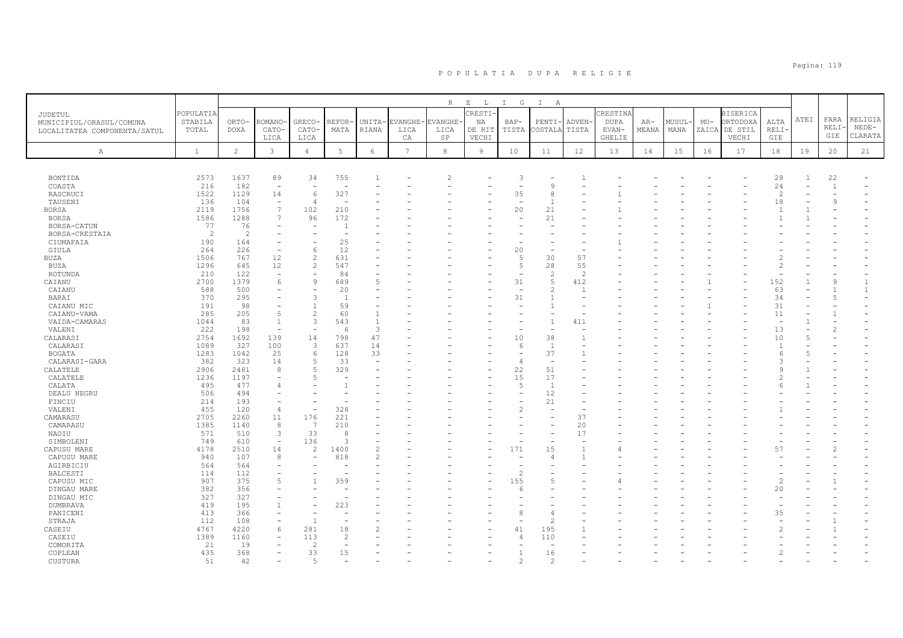|                              |                |                |                          |                                            |                          |                |                 | R              | $\mathbf{E}=-\mathbf{L}$ | $I$ G                    | $\mathbb{I}$<br>A    |                |               |       |       |       |                 |                |                |              |         |
|------------------------------|----------------|----------------|--------------------------|--------------------------------------------|--------------------------|----------------|-----------------|----------------|--------------------------|--------------------------|----------------------|----------------|---------------|-------|-------|-------|-----------------|----------------|----------------|--------------|---------|
| JUDETUL                      | POPULATIA      |                |                          |                                            |                          |                |                 |                | RESTI-                   |                          |                      |                | CRESTINA      |       |       |       | <b>BISERICA</b> |                |                |              |         |
| MUNICIPIUL/ORASUL/COMUNA     | STABILA        | ORTO-          | <b>ROMANO</b>            | <b>GRECO</b>                               | REFOR                    | UNITA-         | <b>EVANGHE</b>  | <b>EVANGHE</b> | NA                       | $BAP-$                   | PENTI                | ADVEN-         | <b>DUPA</b>   | $AR-$ | MUSUL | $MO-$ | ORTODOXA        | ALTA           | ATEI           | FARA         | RELIGIA |
| LOCALITATEA COMPONENTA/SATUL | TOTAL          | DOXA           | CATO-                    | CATO-                                      | MATA                     | RIANA          | LICA            | LICA           | DE RIT                   | TISTA                    | COSTAL               | TISTA          | EVAN-         | MEANA | MANA  | ZAICA | DE STIL         | RELI           |                | RELI         | $NEDE-$ |
|                              |                |                | LICA                     | LICA                                       |                          |                | CA              | SP             | VECHI                    |                          |                      |                | <b>GHELIE</b> |       |       |       | VECHI           | GIE            |                | GIE          | CLARATA |
| Α                            | $\mathbf{1}$   | $\overline{2}$ | 3                        | $\overline{4}$                             | $5 -$                    | $\epsilon$     | $7\phantom{.0}$ | $^{\rm 8}$     | $\overline{9}$           | 10                       | 11                   | 12             | 13            | 14    | 15    | 16    | 17              | 18             | 19             | 20           | 21      |
|                              |                |                |                          |                                            |                          |                |                 |                |                          |                          |                      |                |               |       |       |       |                 |                |                |              |         |
|                              |                |                |                          |                                            |                          |                |                 |                |                          |                          |                      |                |               |       |       |       |                 |                |                |              |         |
| BONTIDA                      | 2573           | 1637           | 89                       | 34                                         | 755                      |                |                 |                |                          | 3                        |                      |                |               |       |       |       |                 | 28             | 1              | 22           |         |
| COASTA                       | 216            | 182            |                          |                                            |                          |                |                 |                |                          |                          |                      |                |               |       |       |       |                 | 24             |                | $\mathbf{1}$ |         |
| RASCRUCI                     | 1522           | 1129           | 14                       | $\kappa$                                   | 327                      |                |                 |                |                          | 35                       | 8                    |                |               |       |       |       |                 | $\overline{c}$ |                |              |         |
| TAUSENI                      | 136            | 104            |                          | $\overline{4}$                             |                          |                |                 |                |                          |                          |                      |                |               |       |       |       |                 | 18             |                | 9            |         |
| <b>BORSA</b>                 | 2119           | 1756           | 7                        | 102                                        | 210                      |                |                 |                |                          | 20                       | 21                   |                |               |       |       |       |                 | $\overline{1}$ |                |              |         |
| <b>BORSA</b>                 | 1586           | 1288           | $\overline{7}$           | 96                                         | 172                      |                |                 |                |                          |                          | 21                   |                |               |       |       |       |                 |                |                |              |         |
| BORSA-CATUN                  | 77             | 76             | $\qquad \qquad -$        | $\overline{\phantom{a}}$                   | $\overline{1}$           |                |                 |                |                          |                          |                      |                |               |       |       |       |                 |                |                |              |         |
| BORSA-CRESTAIA               | $\overline{c}$ | $\overline{2}$ |                          |                                            |                          |                |                 |                |                          |                          |                      |                |               |       |       |       |                 |                |                |              |         |
| CIUMAFAIA                    | 190<br>264     | 164<br>226     |                          | 6                                          | 25<br>12                 |                |                 |                |                          | 20                       |                      |                |               |       |       |       |                 |                |                |              |         |
| GIULA<br><b>BUZA</b>         | 1506           | 767            | 12                       | $\overline{c}$                             | 631                      |                |                 |                |                          | $\overline{5}$           | 30                   | 57             |               |       |       |       |                 |                |                |              |         |
| BUZA                         | 1296           | 645            | 12                       | 2                                          | 547                      |                |                 |                |                          | 5                        | 28                   | 55             |               |       |       |       |                 |                |                |              |         |
| ROTUNDA                      | 210            | 122            | $\overline{\phantom{a}}$ | $\overline{\phantom{a}}$                   | 84                       |                |                 |                |                          | $\overline{\phantom{a}}$ | $\mathcal{L}$        | 2              |               |       |       |       |                 |                |                |              |         |
| CAIANU                       | 2700           | 1379           | 6                        | $\overline{9}$                             | 689                      | 5              |                 |                |                          | 31                       |                      | 412            |               |       |       |       |                 | 152            |                | 9            |         |
| CAIANU                       | 588            | 500            |                          | $\overline{\phantom{a}}$                   | 20                       |                |                 |                |                          |                          | $\hat{z}$            | $\mathbf{1}$   |               |       |       |       |                 | 63             |                |              |         |
| BARAI                        | 370            | 295            |                          | 3                                          | $\overline{1}$           |                |                 |                |                          | 31                       |                      |                |               |       |       |       |                 | 34             |                | 5            |         |
| CAIANU MIC                   | 191            | 98             |                          | $\overline{1}$                             | 59                       |                |                 |                |                          |                          |                      |                |               |       |       |       |                 | 31             |                |              |         |
| CAIANU-VAMA                  | 285            | 205            | 5                        | $\mathbf{2}$                               | 60                       | $\overline{1}$ |                 |                |                          |                          |                      |                |               |       |       |       |                 | 11             |                |              |         |
| VAIDA-CAMARAS                | 1044           | 83             | $\overline{1}$           | 3                                          | 543                      | $\overline{1}$ |                 |                |                          |                          |                      | 411            |               |       |       |       |                 |                |                |              |         |
| VALENI                       | 222            | 198            | $\equiv$                 |                                            | $\epsilon$               | 3              |                 |                |                          |                          |                      |                |               |       |       |       |                 | 13             |                | 2            |         |
| CALARASI                     | 2754           | 1692           | 139                      | 14                                         | 798                      | 47             |                 |                |                          | 10                       | 38                   |                |               |       |       |       |                 | 10             | $\overline{5}$ |              |         |
| CALARASI                     | 1089           | 327            | 100                      | 3                                          | 637                      | 14             |                 |                |                          | $\epsilon$               | $\overline{1}$       |                |               |       |       |       |                 |                |                |              |         |
| <b>BOGATA</b>                | 1283           | 1042           | 25                       | 6                                          | 128                      | 33             |                 |                |                          |                          | 37                   |                |               |       |       |       |                 |                | 5              |              |         |
| CALARASI-GARA                | 382            | 323            | 14                       | 5                                          | 33                       | ٠              |                 |                |                          |                          |                      |                |               |       |       |       |                 |                |                |              |         |
| CALATELE                     | 2906           | 2481           | 8                        | 5                                          | 329                      |                |                 |                |                          | 22                       | 51                   |                |               |       |       |       |                 |                |                |              |         |
| CALATELE                     | 1236           | 1197<br>477    |                          | $\overline{5}$                             |                          |                |                 |                |                          | 15<br>$\overline{5}$     | 17<br>$\overline{1}$ |                |               |       |       |       |                 |                |                |              |         |
| CALATA<br>DEALU NEGRU        | 495<br>506     | 494            |                          |                                            |                          |                |                 |                |                          |                          | 12                   |                |               |       |       |       |                 |                |                |              |         |
| FINCIU                       | 214            | 193            |                          |                                            |                          |                |                 |                |                          | $\overline{\phantom{m}}$ | 21                   |                |               |       |       |       |                 |                |                |              |         |
| VALENI                       | 455            | 120            | $\overline{4}$           | $\overline{\phantom{0}}$                   | 328                      |                |                 |                |                          | $\overline{c}$           |                      |                |               |       |       |       |                 |                |                |              |         |
| CAMARASU                     | 2705           | 2260           | 11                       | 176                                        | 221                      |                |                 |                |                          |                          |                      | 37             |               |       |       |       |                 |                |                |              |         |
| CAMARASU                     | 1385           | 1140           | 8                        | 7                                          | 210                      |                |                 |                |                          |                          |                      | 20             |               |       |       |       |                 |                |                |              |         |
| NAOIU                        | 571            | 510            | $\overline{3}$           | 33                                         | $\mathcal{R}$            |                |                 |                |                          |                          |                      | 17             |               |       |       |       |                 |                |                |              |         |
| SIMBOLENI                    | 749            | 610            |                          | 136                                        | $\mathcal{R}$            |                |                 |                |                          |                          |                      |                |               |       |       |       |                 |                |                |              |         |
| CAPUSU MARE                  | 4178           | 2510           | 14                       | 2                                          | 1400                     | $\overline{2}$ |                 |                |                          | 171                      | 15                   | $\overline{1}$ |               |       |       |       |                 | 57             |                |              |         |
| CAPUSU MARE                  | 940            | 107            | 8                        | $\overline{\phantom{a}}$                   | 818                      | $\overline{c}$ |                 |                |                          |                          |                      | $\mathbf{1}$   |               |       |       |       |                 |                |                |              |         |
| AGIRBICIU                    | 564            | 564            |                          |                                            |                          |                |                 |                |                          |                          |                      |                |               |       |       |       |                 |                |                |              |         |
| BALCESTI                     | 114            | 112            |                          |                                            |                          |                |                 |                |                          | $\mathfrak{D}$           |                      |                |               |       |       |       |                 |                |                |              |         |
| CAPUSU MIC                   | 907            | 375            | 5                        | $\mathbf{1}$                               | 359                      |                |                 |                |                          | 155                      |                      |                |               |       |       |       |                 | 2              |                |              |         |
| DINGAU MARE                  | 382            | 356            |                          |                                            |                          |                |                 |                |                          |                          |                      |                |               |       |       |       |                 | 20             |                |              |         |
| DINGAU MIC                   | 327            | 327            |                          |                                            |                          |                |                 |                |                          |                          |                      |                |               |       |       |       |                 |                |                |              |         |
| DUMBRAVA                     | 419            | 195            | $\mathbf{1}$             |                                            | 223                      |                |                 |                |                          |                          |                      |                |               |       |       |       |                 |                |                |              |         |
| PANICENI                     | 413            | 366            |                          | $\overline{\phantom{0}}$<br>$\overline{1}$ |                          |                |                 |                |                          | $\mathcal{R}$            |                      |                |               |       |       |       |                 | 35             |                |              |         |
| STRAJA                       | 112<br>4767    | 108<br>4220    | 6                        | 281                                        | 18                       |                |                 |                |                          | 41                       | -2<br>195            |                |               |       |       |       |                 |                |                |              |         |
| CASEIU<br>CASEIU             | 1389           | 1160           |                          | 113                                        | $\overline{2}$           |                |                 |                |                          | $\overline{a}$           | 110                  |                |               |       |       |       |                 |                |                |              |         |
| COMORITA                     | 21             | 19             |                          | 2                                          | $\overline{\phantom{0}}$ |                |                 |                |                          |                          |                      |                |               |       |       |       |                 |                |                |              |         |
| COPLEAN                      | 435            | 368            |                          | 33                                         | 15                       |                |                 |                |                          | $\overline{1}$           | 16                   |                |               |       |       |       |                 |                |                |              |         |
| CUSTURA                      | 51             | 42             |                          | $-5$                                       |                          |                |                 |                |                          | $\mathfrak{D}$           | 2                    |                |               |       |       |       |                 |                |                |              |         |
|                              |                |                |                          |                                            |                          |                |                 |                |                          |                          |                      |                |               |       |       |       |                 |                |                |              |         |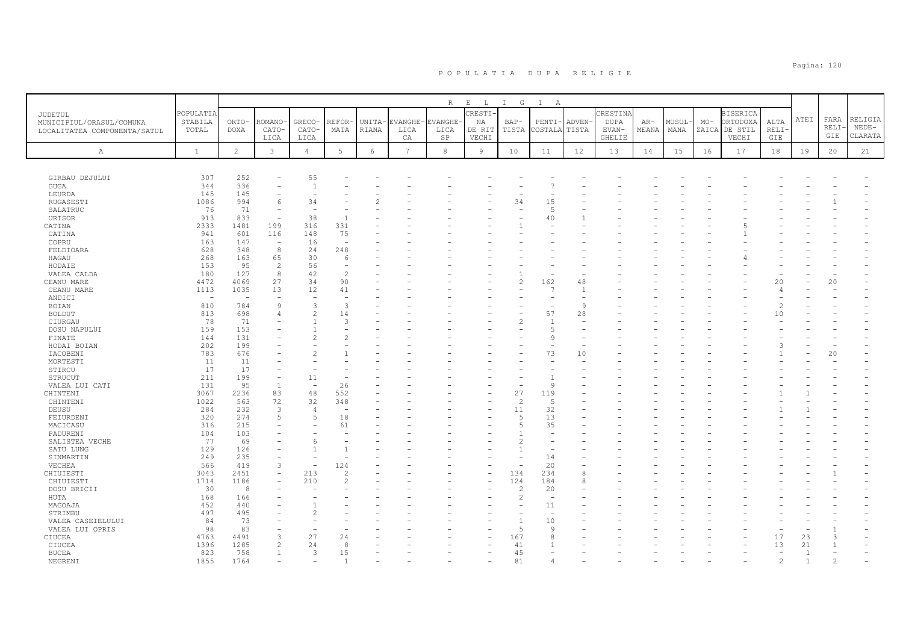|                                                                            |                               |                          |                          |                          |                                                                                                                                                                                                                                                                                                                                                                                                                                                                                   |                 |                        | R                            | $\mathbf{E}=-\mathbf{L}$ .       | I G             | $\mathbb{I}$<br>A        |                       |                                                   |                |                |       |                                                       |                     |      |                      |                               |
|----------------------------------------------------------------------------|-------------------------------|--------------------------|--------------------------|--------------------------|-----------------------------------------------------------------------------------------------------------------------------------------------------------------------------------------------------------------------------------------------------------------------------------------------------------------------------------------------------------------------------------------------------------------------------------------------------------------------------------|-----------------|------------------------|------------------------------|----------------------------------|-----------------|--------------------------|-----------------------|---------------------------------------------------|----------------|----------------|-------|-------------------------------------------------------|---------------------|------|----------------------|-------------------------------|
| <b>JUDETUL</b><br>MUNICIPIUL/ORASUL/COMUNA<br>LOCALITATEA COMPONENTA/SATUL | POPULATIA<br>STABILA<br>TOTAL | ORTO-<br><b>DOXA</b>     | ROMANO<br>CATO-<br>LICA  | GRECO-<br>CATO-<br>LICA  | REFOR·<br>MATA                                                                                                                                                                                                                                                                                                                                                                                                                                                                    | UNITA-<br>RIANA | EVANGHE-<br>LICA<br>СA | <b>EVANGHE</b><br>LICA<br>SP | CRESTI-<br>NA<br>DE RIT<br>VECHI | $BAP-$<br>TISTA | PENTI-<br>COSTALA        | <b>ADVEN</b><br>TISTA | CRESTINA<br><b>DUPA</b><br>EVAN-<br><b>GHELIE</b> | $AR-$<br>MEANA | MUSUL-<br>MANA | $MO-$ | <b>BISERICA</b><br>ORTODOXA<br>ZAICA DE STIL<br>VECHI | ALTA<br>RELI<br>GIE | ATEI | FARA<br>RELI·<br>GIE | RELIGIA<br>$NEDE-$<br>CLARATA |
| Α                                                                          | $\mathbf{1}$                  | $\mathbf{2}^{\circ}$     | $\mathbf{3}$             | $\overline{4}$           | 5                                                                                                                                                                                                                                                                                                                                                                                                                                                                                 | $\epsilon$      | $\overline{7}$         | $^{\rm 8}$                   | 9                                | 10              | 11                       | 12                    | 13                                                | 14             | 15             | 16    | 17                                                    | 18                  | 19   | 20                   | 21                            |
|                                                                            |                               |                          |                          |                          |                                                                                                                                                                                                                                                                                                                                                                                                                                                                                   |                 |                        |                              |                                  |                 |                          |                       |                                                   |                |                |       |                                                       |                     |      |                      |                               |
| GIRBAU DEJULUI                                                             | 307                           | 252                      |                          | 55                       |                                                                                                                                                                                                                                                                                                                                                                                                                                                                                   |                 |                        |                              |                                  |                 |                          |                       |                                                   |                |                |       |                                                       |                     |      |                      |                               |
| GUGA                                                                       | 344                           | 336                      | ۰                        | $\overline{1}$           |                                                                                                                                                                                                                                                                                                                                                                                                                                                                                   |                 |                        |                              |                                  |                 |                          |                       |                                                   |                |                |       |                                                       |                     |      |                      |                               |
| LEURDA                                                                     | 145                           | 145                      | ۳                        |                          |                                                                                                                                                                                                                                                                                                                                                                                                                                                                                   |                 |                        |                              |                                  |                 |                          |                       |                                                   |                |                |       |                                                       |                     |      |                      |                               |
| RUGASESTI                                                                  | 1086                          | 994                      | 6                        | 34                       |                                                                                                                                                                                                                                                                                                                                                                                                                                                                                   |                 |                        |                              |                                  | 34              | 15                       |                       |                                                   |                |                |       |                                                       |                     |      |                      |                               |
| SALATRUC                                                                   | 76                            | 71                       | $\overline{\phantom{a}}$ |                          |                                                                                                                                                                                                                                                                                                                                                                                                                                                                                   |                 |                        |                              |                                  |                 | $\overline{5}$           |                       |                                                   |                |                |       |                                                       |                     |      |                      |                               |
| URISOR                                                                     | 913                           | 833                      | $\sim$                   | 38                       |                                                                                                                                                                                                                                                                                                                                                                                                                                                                                   |                 |                        |                              |                                  |                 | 40                       |                       |                                                   |                |                |       |                                                       |                     |      |                      |                               |
| CATINA                                                                     | 2333                          | 1481                     | 199                      | 316                      | 331                                                                                                                                                                                                                                                                                                                                                                                                                                                                               |                 |                        |                              |                                  |                 |                          |                       |                                                   |                |                |       |                                                       |                     |      |                      |                               |
| CATINA                                                                     | 941                           | 601                      | 116                      | 148                      | 75                                                                                                                                                                                                                                                                                                                                                                                                                                                                                |                 |                        |                              |                                  |                 |                          |                       |                                                   |                |                |       |                                                       |                     |      |                      |                               |
| COPRU                                                                      | 163                           | 147                      | ÷,                       | 16                       |                                                                                                                                                                                                                                                                                                                                                                                                                                                                                   |                 |                        |                              |                                  |                 |                          |                       |                                                   |                |                |       |                                                       |                     |      |                      |                               |
| FELDIOARA                                                                  | 628                           | 348                      | 8                        | 24                       | 248                                                                                                                                                                                                                                                                                                                                                                                                                                                                               |                 |                        |                              |                                  |                 |                          |                       |                                                   |                |                |       |                                                       |                     |      |                      |                               |
| HAGAU                                                                      | 268                           | 163                      | 65                       | 30                       | 6                                                                                                                                                                                                                                                                                                                                                                                                                                                                                 |                 |                        |                              |                                  |                 |                          |                       |                                                   |                |                |       |                                                       |                     |      |                      |                               |
| HODAIE                                                                     | 153                           | 95                       | 2                        | 56                       | $\overline{\phantom{a}}$                                                                                                                                                                                                                                                                                                                                                                                                                                                          |                 |                        |                              |                                  |                 |                          |                       |                                                   |                |                |       |                                                       |                     |      |                      |                               |
| VALEA CALDA                                                                | 180                           | 127                      | 8                        | 42                       | $\overline{c}$                                                                                                                                                                                                                                                                                                                                                                                                                                                                    |                 |                        |                              |                                  |                 |                          |                       |                                                   |                |                |       |                                                       |                     |      |                      |                               |
| CEANU MARE                                                                 | 4472                          | 4069                     | 27                       | 34                       | 90                                                                                                                                                                                                                                                                                                                                                                                                                                                                                |                 |                        |                              |                                  | $\overline{c}$  | 162                      | 48                    |                                                   |                |                |       |                                                       | 20                  |      | 20                   |                               |
| CEANU MARE                                                                 | 1113                          | 1035                     | 13                       | 12                       | 41                                                                                                                                                                                                                                                                                                                                                                                                                                                                                |                 |                        |                              |                                  |                 | 7                        | -1                    |                                                   |                |                |       |                                                       |                     |      |                      |                               |
| ANDICI                                                                     | $\overline{\phantom{a}}$      | $\overline{\phantom{a}}$ | $\overline{\phantom{0}}$ |                          |                                                                                                                                                                                                                                                                                                                                                                                                                                                                                   |                 |                        |                              |                                  |                 |                          |                       |                                                   |                |                |       |                                                       |                     |      |                      |                               |
| BOIAN                                                                      | 810                           | 784                      | $\mathcal{G}$            | 3                        | 3                                                                                                                                                                                                                                                                                                                                                                                                                                                                                 |                 |                        |                              |                                  |                 |                          | Q                     |                                                   |                |                |       |                                                       | $\mathcal{L}$       |      |                      |                               |
| BOLDUT                                                                     | 813                           | 698                      | $\overline{4}$           | $\overline{2}$           | 14                                                                                                                                                                                                                                                                                                                                                                                                                                                                                |                 |                        |                              |                                  |                 | 57                       | 28                    |                                                   |                |                |       |                                                       | 10                  |      |                      |                               |
| CIURGAU                                                                    | 78                            | 71                       |                          |                          | 3                                                                                                                                                                                                                                                                                                                                                                                                                                                                                 |                 |                        |                              |                                  | 2               | $\mathbf{1}$             |                       |                                                   |                |                |       |                                                       |                     |      |                      |                               |
| DOSU NAPULUI                                                               | 159                           | 153                      |                          |                          |                                                                                                                                                                                                                                                                                                                                                                                                                                                                                   |                 |                        |                              |                                  |                 | 5                        |                       |                                                   |                |                |       |                                                       |                     |      |                      |                               |
| FINATE                                                                     | 144                           | 131                      |                          | $\mathcal{L}$            |                                                                                                                                                                                                                                                                                                                                                                                                                                                                                   |                 |                        |                              |                                  |                 | 9                        |                       |                                                   |                |                |       |                                                       |                     |      |                      |                               |
| HODAI BOIAN                                                                | 202                           | 199                      |                          |                          |                                                                                                                                                                                                                                                                                                                                                                                                                                                                                   |                 |                        |                              |                                  |                 | $\sim$                   |                       |                                                   |                |                |       |                                                       |                     |      |                      |                               |
| IACOBENI                                                                   | 783                           | 676                      |                          |                          |                                                                                                                                                                                                                                                                                                                                                                                                                                                                                   |                 |                        |                              |                                  |                 | 73                       | 10                    |                                                   |                |                |       |                                                       |                     |      | 20                   |                               |
| MORTESTI                                                                   | 11                            | 11                       |                          |                          |                                                                                                                                                                                                                                                                                                                                                                                                                                                                                   |                 |                        |                              |                                  |                 |                          |                       |                                                   |                |                |       |                                                       |                     |      |                      |                               |
| STIRCU                                                                     | 17                            | 17                       |                          |                          |                                                                                                                                                                                                                                                                                                                                                                                                                                                                                   |                 |                        |                              |                                  |                 |                          |                       |                                                   |                |                |       |                                                       |                     |      |                      |                               |
| STRUCUT                                                                    | 211                           | 199                      | $\overline{\phantom{0}}$ | 11                       |                                                                                                                                                                                                                                                                                                                                                                                                                                                                                   |                 |                        |                              |                                  |                 |                          |                       |                                                   |                |                |       |                                                       |                     |      |                      |                               |
| VALEA LUI CATI                                                             | 131                           | 95                       | $\mathbf{1}$             | $\overline{\phantom{a}}$ | 26                                                                                                                                                                                                                                                                                                                                                                                                                                                                                |                 |                        |                              |                                  |                 | 9                        |                       |                                                   |                |                |       |                                                       |                     |      |                      |                               |
| CHINTENI                                                                   | 3067                          | 2236                     | 83                       | 48                       | 552                                                                                                                                                                                                                                                                                                                                                                                                                                                                               |                 |                        |                              |                                  | 27              | 119                      |                       |                                                   |                |                |       |                                                       |                     |      |                      |                               |
| CHINTENI                                                                   | 1022                          | 563                      | 72                       | 32                       | 348                                                                                                                                                                                                                                                                                                                                                                                                                                                                               |                 |                        |                              |                                  | $\overline{c}$  | 5                        |                       |                                                   |                |                |       |                                                       |                     |      |                      |                               |
| DEUSU                                                                      | 284                           | 232                      | 3                        | $\overline{4}$           |                                                                                                                                                                                                                                                                                                                                                                                                                                                                                   |                 |                        |                              |                                  | 11              | 32                       |                       |                                                   |                |                |       |                                                       |                     |      |                      |                               |
| FEIURDENI                                                                  | 320                           | 274                      | 5                        | 5                        | 18                                                                                                                                                                                                                                                                                                                                                                                                                                                                                |                 |                        |                              |                                  | $\overline{5}$  | 13                       |                       |                                                   |                |                |       |                                                       |                     |      |                      |                               |
| MACICASU                                                                   | 316                           | 215                      | ÷                        |                          | 61                                                                                                                                                                                                                                                                                                                                                                                                                                                                                |                 |                        |                              |                                  | 5               | 35                       |                       |                                                   |                |                |       |                                                       |                     |      |                      |                               |
| PADURENI                                                                   | 104                           | 103                      | ۰                        |                          |                                                                                                                                                                                                                                                                                                                                                                                                                                                                                   |                 |                        |                              |                                  |                 | $\overline{\phantom{0}}$ |                       |                                                   |                |                |       |                                                       |                     |      |                      |                               |
| SALISTEA VECHE                                                             | 77                            | 69                       |                          | 6                        |                                                                                                                                                                                                                                                                                                                                                                                                                                                                                   |                 |                        |                              |                                  |                 |                          |                       |                                                   |                |                |       |                                                       |                     |      |                      |                               |
| SATU LUNG                                                                  | 129                           | 126                      |                          |                          |                                                                                                                                                                                                                                                                                                                                                                                                                                                                                   |                 |                        |                              |                                  |                 |                          |                       |                                                   |                |                |       |                                                       |                     |      |                      |                               |
| SINMARTIN                                                                  | 249                           | 235                      |                          |                          |                                                                                                                                                                                                                                                                                                                                                                                                                                                                                   |                 |                        |                              |                                  |                 | 14                       |                       |                                                   |                |                |       |                                                       |                     |      |                      |                               |
| VECHEA                                                                     | 566                           | 419                      | 3                        | $\overline{\phantom{a}}$ | 124                                                                                                                                                                                                                                                                                                                                                                                                                                                                               |                 |                        |                              |                                  |                 | 20                       |                       |                                                   |                |                |       |                                                       |                     |      |                      |                               |
| CHIUIESTI                                                                  | 3043                          | 2451                     |                          | 213                      |                                                                                                                                                                                                                                                                                                                                                                                                                                                                                   |                 |                        |                              |                                  | 134             | 234                      | 8                     |                                                   |                |                |       |                                                       |                     |      |                      |                               |
| CHIUIESTI                                                                  | 1714                          | 1186                     |                          | 210                      | $\mathcal{D}_{\mathcal{L}}^{\mathcal{L}}(\mathcal{D}_{\mathcal{L}}^{\mathcal{L}}(\mathcal{D}_{\mathcal{L}}^{\mathcal{L}}(\mathcal{D}_{\mathcal{L}}^{\mathcal{L}}(\mathcal{D}_{\mathcal{L}}^{\mathcal{L}}(\mathcal{D}_{\mathcal{L}}^{\mathcal{L}}(\mathcal{D}_{\mathcal{L}}^{\mathcal{L}}(\mathcal{D}_{\mathcal{L}}^{\mathcal{L}}(\mathcal{D}_{\mathcal{L}}^{\mathcal{L}}(\mathcal{D}_{\mathcal{L}}^{\mathcal{L}}(\mathcal{D}_{\mathcal{L}}^{\mathcal{L}}(\mathcal{D}_{\mathcal{L$ |                 |                        |                              |                                  | 124             | 184                      | 8                     |                                                   |                |                |       |                                                       |                     |      |                      |                               |
| DOSU BRICII                                                                | 30                            | $\mathcal{R}$            |                          |                          |                                                                                                                                                                                                                                                                                                                                                                                                                                                                                   |                 |                        |                              |                                  | $\mathcal{P}$   | 20                       |                       |                                                   |                |                |       |                                                       |                     |      |                      |                               |
| HUTA                                                                       | 168                           | 166                      |                          |                          |                                                                                                                                                                                                                                                                                                                                                                                                                                                                                   |                 |                        |                              |                                  | $\overline{c}$  | ÷,                       |                       |                                                   |                |                |       |                                                       |                     |      |                      |                               |
| MAGOAJA                                                                    | 452                           | 440                      |                          |                          |                                                                                                                                                                                                                                                                                                                                                                                                                                                                                   |                 |                        |                              |                                  |                 | 11                       |                       |                                                   |                |                |       |                                                       |                     |      |                      |                               |
| STRIMBU                                                                    | 497                           | 495                      |                          | $\mathcal{P}$            |                                                                                                                                                                                                                                                                                                                                                                                                                                                                                   |                 |                        |                              |                                  |                 | $\overline{\phantom{a}}$ |                       |                                                   |                |                |       |                                                       |                     |      |                      |                               |
| VALEA CASEIELULUI                                                          | 84                            | 73                       |                          |                          |                                                                                                                                                                                                                                                                                                                                                                                                                                                                                   |                 |                        |                              |                                  |                 | 10                       |                       |                                                   |                |                |       |                                                       |                     |      |                      |                               |
| VALEA LUI OPRIS                                                            | 98                            | 83                       |                          |                          |                                                                                                                                                                                                                                                                                                                                                                                                                                                                                   |                 |                        |                              |                                  | 5               | Q                        |                       |                                                   |                |                |       |                                                       |                     |      |                      |                               |
| CIUCEA                                                                     | 4763                          | 4491                     | 3                        | 27                       | 24                                                                                                                                                                                                                                                                                                                                                                                                                                                                                |                 |                        |                              |                                  | 167             | 8                        |                       |                                                   |                |                |       |                                                       | 17                  | 23   |                      |                               |
| CIUCEA                                                                     | 1396                          | 1285                     | $\overline{c}$           | 24                       | 8                                                                                                                                                                                                                                                                                                                                                                                                                                                                                 |                 |                        |                              |                                  | 41              |                          |                       |                                                   |                |                |       |                                                       | 13                  | 21   |                      |                               |
| <b>BUCEA</b>                                                               | 823                           | 758                      | $\overline{1}$           | 3                        | 15                                                                                                                                                                                                                                                                                                                                                                                                                                                                                |                 |                        |                              |                                  | 45              |                          |                       |                                                   |                |                |       |                                                       |                     |      |                      |                               |
| NEGRENT                                                                    | 1855                          | 1764                     |                          |                          |                                                                                                                                                                                                                                                                                                                                                                                                                                                                                   |                 |                        |                              |                                  | 81              |                          |                       |                                                   |                |                |       |                                                       |                     |      |                      |                               |
|                                                                            |                               |                          |                          |                          |                                                                                                                                                                                                                                                                                                                                                                                                                                                                                   |                 |                        |                              |                                  |                 |                          |                       |                                                   |                |                |       |                                                       |                     |      |                      |                               |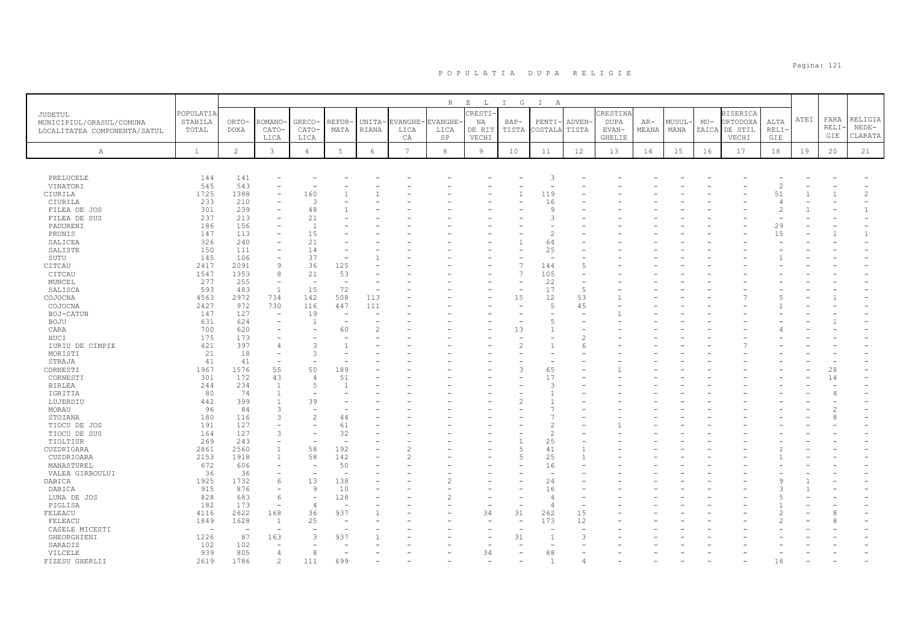|                                                                     |                               |                      |                          |                          |               |                 |                       | $R_{\perp}$                 | $E$ $L$                         | $\mathbb{I}$<br>$\mathbb{G}$ | $\mathbb{I}$<br>A        |                 |                                            |                |                |       |                                                       |                      |      |                      |                               |
|---------------------------------------------------------------------|-------------------------------|----------------------|--------------------------|--------------------------|---------------|-----------------|-----------------------|-----------------------------|---------------------------------|------------------------------|--------------------------|-----------------|--------------------------------------------|----------------|----------------|-------|-------------------------------------------------------|----------------------|------|----------------------|-------------------------------|
| JUDETUL<br>MUNICIPIUL/ORASUL/COMUNA<br>LOCALITATEA COMPONENTA/SATUL | POPULATIA<br>STABILA<br>TOTAL | ORTO-<br><b>DOXA</b> | ROMANO<br>CATO-<br>LICA  | GRECO-<br>CATO-<br>LICA  | REFOR<br>MATA | UNITA-<br>RIANA | EVANGHE<br>LICA<br>CA | <b>VANGHE</b><br>LICA<br>SP | CRESTI<br>ΝA<br>DE RIT<br>VECHI | BAP-<br>TISTA                | PENTI-<br>COSTALA        | ADVEN-<br>TISTA | CRESTINA<br><b>DUPA</b><br>EVAN-<br>GHELIE | $AR-$<br>MEANA | MUSUL·<br>MANA | $MO-$ | <b>BISERICA</b><br>ORTODOXA<br>ZAICA DE STIL<br>VECHI | ALTA<br>RELI·<br>GIE | ATEI | FARA<br>RELI·<br>GIE | RELIGIA<br>$NEDE-$<br>CLARATA |
| A                                                                   | $\mathbf{1}$                  | $\overline{c}$       | $\mathbf{3}$             | $\overline{4}$           | 5             | $\epsilon$      | 7                     | 8                           | 9                               | 10                           | 11                       | 12              | 13                                         | 14             | 15             | 16    | 17                                                    | 18                   | 19   | 20                   | 21                            |
|                                                                     |                               |                      |                          |                          |               |                 |                       |                             |                                 |                              |                          |                 |                                            |                |                |       |                                                       |                      |      |                      |                               |
| PRELUCELE                                                           | 144                           | 141                  |                          |                          |               |                 |                       |                             |                                 |                              | 3                        |                 |                                            |                |                |       |                                                       |                      |      |                      |                               |
| VINATORI                                                            | 545                           | 543                  |                          |                          |               |                 |                       |                             |                                 |                              |                          |                 |                                            |                |                |       |                                                       | $\overline{c}$       |      |                      |                               |
| CIURILA                                                             | 1725                          | 1388                 |                          | 160                      |               |                 |                       |                             |                                 | 1                            | 119                      |                 |                                            |                |                |       |                                                       | 51                   |      |                      | $\overline{c}$                |
| CIURILA                                                             | 233                           | 210                  |                          | 3                        |               |                 |                       |                             |                                 |                              | 16                       |                 |                                            |                |                |       |                                                       | 4                    |      |                      |                               |
| FILEA DE JOS                                                        | 301                           | 239                  |                          | 48                       |               |                 |                       |                             |                                 |                              | 9                        |                 |                                            |                |                |       |                                                       | $\overline{2}$       |      |                      | $\mathbf{1}$                  |
| FILEA DE SUS                                                        | 237                           | 213                  |                          | 21                       |               |                 |                       |                             |                                 |                              | 3                        |                 |                                            |                |                |       |                                                       |                      |      |                      |                               |
| PADURENI                                                            | 186                           | 156                  |                          | $\overline{1}$           |               |                 |                       |                             |                                 |                              |                          |                 |                                            |                |                |       |                                                       | 29                   |      |                      |                               |
| PRUNIS                                                              | 147                           | 113                  |                          | 15                       |               |                 |                       |                             |                                 |                              | $\overline{2}$           |                 |                                            |                |                |       |                                                       | 15                   |      |                      | $\mathbf{1}$                  |
| SALICEA                                                             | 326                           | 240                  |                          | 21                       |               |                 |                       |                             |                                 |                              | 64                       |                 |                                            |                |                |       |                                                       |                      |      |                      |                               |
| SALISTE                                                             | 150                           | 111                  |                          | 14                       |               |                 |                       |                             |                                 |                              | 25                       |                 |                                            |                |                |       |                                                       |                      |      |                      |                               |
| SUTU                                                                | 145                           | 106                  | $\overline{\phantom{a}}$ | 37                       |               |                 |                       |                             |                                 |                              | $\sim$                   |                 |                                            |                |                |       |                                                       |                      |      |                      |                               |
| CITCAU                                                              | 2417                          | 2091                 | 9                        | 36                       | 125           |                 |                       |                             |                                 | 7                            | 144                      | 5               |                                            |                |                |       |                                                       |                      |      |                      |                               |
| CITCAU                                                              | 1547                          | 1353                 | 8                        | 21                       | 53            |                 |                       |                             |                                 | $\overline{7}$               | 105                      |                 |                                            |                |                |       |                                                       |                      |      |                      |                               |
| MUNCEL                                                              | 277                           | 255                  |                          |                          |               |                 |                       |                             |                                 |                              | 22                       |                 |                                            |                |                |       |                                                       |                      |      |                      |                               |
| SALISCA                                                             | 593                           | 483                  | <sup>1</sup>             | 15                       | 72            |                 |                       |                             |                                 | $\overline{\phantom{a}}$     | 17                       | .5              |                                            |                |                |       |                                                       |                      |      |                      |                               |
| COJOCNA                                                             | 4563                          | 2972                 | 734                      | 142                      | 508           | 113             |                       |                             |                                 | 15                           | 12                       | 53              |                                            |                |                |       |                                                       |                      |      |                      |                               |
| COJOCNA                                                             | 2427                          | 972                  | 730                      | 116                      | 447           | 111             |                       |                             |                                 | ۰                            | 5                        | 45              |                                            |                |                |       |                                                       |                      |      |                      |                               |
| BOJ-CATUN                                                           | 147                           | 127                  |                          | 19                       |               |                 |                       |                             |                                 |                              |                          |                 |                                            |                |                |       |                                                       |                      |      |                      |                               |
| BOJU                                                                | 631                           | 624                  | ۰                        | $\mathbf{1}$             |               |                 |                       |                             |                                 |                              | 5                        |                 |                                            |                |                |       |                                                       |                      |      |                      |                               |
| CARA                                                                | 700                           | 620                  |                          |                          | 60            |                 |                       |                             |                                 | 13                           | 1                        |                 |                                            |                |                |       |                                                       |                      |      |                      |                               |
| HUCI                                                                | 175                           | 173                  |                          |                          |               |                 |                       |                             |                                 |                              |                          |                 |                                            |                |                |       |                                                       |                      |      |                      |                               |
| IURIU DE CIMPIE                                                     | 421                           | 397                  |                          | $\mathcal{L}$            |               |                 |                       |                             |                                 | 2                            |                          | 6               |                                            |                |                |       |                                                       |                      |      |                      |                               |
| MORISTI                                                             | 21                            | 18                   |                          | $\mathcal{L}$            |               |                 |                       |                             |                                 |                              |                          |                 |                                            |                |                |       |                                                       |                      |      |                      |                               |
| STRAJA                                                              | 41                            | 41                   | $\overline{\phantom{a}}$ |                          |               |                 |                       |                             |                                 |                              |                          |                 |                                            |                |                |       |                                                       |                      |      |                      |                               |
| CORNESTI                                                            | 1967                          | 1576                 | 55                       | 50                       | 189           |                 |                       |                             |                                 | Р                            | 65                       |                 |                                            |                |                |       |                                                       |                      |      | 28                   |                               |
| CORNESTI                                                            | 301                           | 172                  | 43                       | $\overline{4}$           | 51            |                 |                       |                             |                                 |                              | 17                       |                 |                                            |                |                |       |                                                       |                      |      | 14                   |                               |
| <b>BIRLEA</b>                                                       | 244                           | 234                  | $\overline{1}$           | $\overline{5}$           |               |                 |                       |                             |                                 |                              | 3                        |                 |                                            |                |                |       |                                                       |                      |      |                      |                               |
| IGRITIA                                                             | 80                            | 74                   | $\overline{1}$           |                          |               |                 |                       |                             |                                 |                              |                          |                 |                                            |                |                |       |                                                       |                      |      |                      |                               |
| LUJERDIU                                                            | 442                           | 399                  |                          | 39                       |               |                 |                       |                             |                                 |                              |                          |                 |                                            |                |                |       |                                                       |                      |      |                      |                               |
| MORAU                                                               | 96                            | 84                   | 3                        |                          |               |                 |                       |                             |                                 |                              |                          |                 |                                            |                |                |       |                                                       |                      |      |                      |                               |
| STOIANA                                                             | 180                           | 116                  | 3                        | $\mathcal{L}$            | 44            |                 |                       |                             |                                 |                              |                          |                 |                                            |                |                |       |                                                       |                      |      |                      |                               |
| TIOCU DE JOS                                                        | 191                           | 127                  |                          |                          | 61            |                 |                       |                             |                                 |                              | $\overline{2}$           |                 |                                            |                |                |       |                                                       |                      |      |                      |                               |
| TIOCU DE SUS                                                        | 164                           | 127                  | 3                        |                          | 32            |                 |                       |                             |                                 |                              | $\overline{c}$           |                 |                                            |                |                |       |                                                       |                      |      |                      |                               |
| TIOLTIUR                                                            | 269                           | 243                  |                          |                          |               |                 |                       |                             |                                 |                              | 25                       |                 |                                            |                |                |       |                                                       |                      |      |                      |                               |
| CUZDRIOARA                                                          | 2861                          | 2560                 | $\overline{1}$           | 58                       | 192           |                 |                       |                             |                                 | 5                            | 41                       |                 |                                            |                |                |       |                                                       |                      |      |                      |                               |
| CUZDRIOARA                                                          | 2153                          | 1918                 | $\overline{1}$           | 58                       | 142           |                 |                       |                             |                                 | 5                            | 25                       |                 |                                            |                |                |       |                                                       |                      |      |                      |                               |
| MANASTUREL                                                          | 672                           | 606                  |                          |                          | 50            |                 |                       |                             |                                 |                              | 16                       |                 |                                            |                |                |       |                                                       |                      |      |                      |                               |
| VALEA GIRBOULUI                                                     | 36                            | 36                   |                          | $\overline{\phantom{a}}$ |               |                 |                       |                             |                                 |                              | $\overline{\phantom{a}}$ |                 |                                            |                |                |       |                                                       |                      |      |                      |                               |
| DABICA                                                              | 1925                          | 1732                 | 6                        | 13                       | 138           |                 |                       |                             |                                 |                              | 24                       |                 |                                            |                |                |       |                                                       |                      |      |                      |                               |
| DABICA                                                              | 915                           | 876                  | $\overline{\phantom{a}}$ | 9                        | 10            |                 |                       |                             |                                 |                              | 16                       |                 |                                            |                |                |       |                                                       |                      |      |                      |                               |
| LUNA DE JOS                                                         | 828                           | 683                  | 6                        |                          | 128           |                 |                       |                             |                                 |                              | $\overline{4}$           |                 |                                            |                |                |       |                                                       |                      |      |                      |                               |
| PIGLISA                                                             | 182                           | 173                  | $\overline{\phantom{a}}$ | $\overline{4}$           |               |                 |                       |                             |                                 |                              | $\overline{4}$           |                 |                                            |                |                |       |                                                       |                      |      |                      |                               |
| FELEACU                                                             | 4116                          | 2622                 | 168                      | 36                       | 937           |                 |                       |                             | 34                              | 31                           | 262                      | 15              |                                            |                |                |       |                                                       |                      |      |                      |                               |
| FELEACU                                                             | 1849                          | 1628                 | -1                       | 25                       |               |                 |                       |                             |                                 | ٠                            | 173                      | 12              |                                            |                |                |       |                                                       |                      |      |                      |                               |
| CASELE MICESTI                                                      | $\sim$                        |                      |                          |                          |               |                 |                       |                             |                                 |                              |                          |                 |                                            |                |                |       |                                                       |                      |      |                      |                               |
| GHEORGHIENI                                                         | 1226                          | 87                   | 163                      | 3                        | 937           |                 |                       |                             |                                 | 31                           | $\mathbf{1}$             |                 |                                            |                |                |       |                                                       |                      |      |                      |                               |
| SARADIS                                                             | 102                           | 102                  |                          |                          |               |                 |                       |                             |                                 |                              | $\overline{\phantom{a}}$ |                 |                                            |                |                |       |                                                       |                      |      |                      |                               |
| VILCELE                                                             | 939                           | 805                  | 4                        | 8                        |               |                 |                       |                             | 34                              |                              | 88                       |                 |                                            |                |                |       |                                                       |                      |      |                      |                               |
| FIZESU GHERLII                                                      | 2619                          | 1786                 | $\overline{c}$           | 111                      | 699           |                 |                       |                             |                                 |                              | $\overline{1}$           |                 |                                            |                |                |       |                                                       | 16                   |      |                      |                               |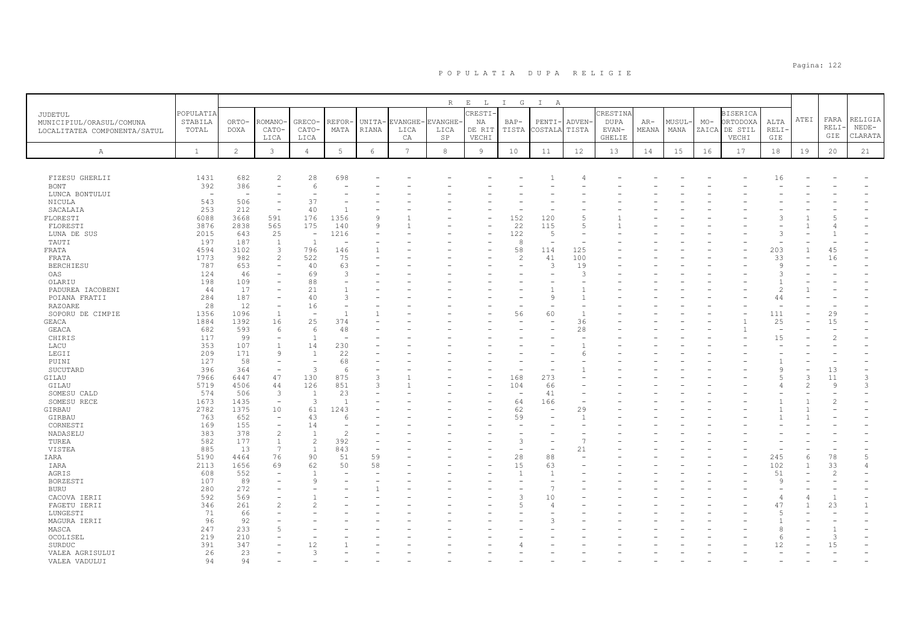|                                                                     |                               |                      |                                |                                |                 |                 |                  | $\mathbb R$     | $\mathbf E$                  | I G             | $\mathbb{I}$             |                                |                                  |                |                |                |                                        |                          |      |               |                    |
|---------------------------------------------------------------------|-------------------------------|----------------------|--------------------------------|--------------------------------|-----------------|-----------------|------------------|-----------------|------------------------------|-----------------|--------------------------|--------------------------------|----------------------------------|----------------|----------------|----------------|----------------------------------------|--------------------------|------|---------------|--------------------|
| JUDETUL<br>MUNICIPIUL/ORASUL/COMUNA<br>LOCALITATEA COMPONENTA/SATUL | POPULATIA<br>STABILA<br>TOTAL | ORTO-<br><b>DOXA</b> | ROMANO<br>CATO-                | GRECO-<br>CATO-                | REFOR-<br>MATA  | UNITA-<br>RIANA | EVANGHE-<br>LICA | EVANGHE<br>LICA | L<br>CRESTI-<br>NA<br>DE RIT | $BAP-$<br>TISTA | A<br>PENTI·<br>COSTALA   | ADVEN-<br>TISTA                | CRESTINA<br><b>DUPA</b><br>EVAN- | $AR-$<br>MEANA | MUSUL-<br>MANA | $MO-$<br>ZAICA | <b>BISERICA</b><br>ORTODOXA<br>DE STIL | ALTA<br>RELI-            | ATEI | FARA<br>RELI- | RELIGIA<br>$NEDE-$ |
|                                                                     |                               |                      | LICA                           | LICA                           |                 |                 | CA               | SP              | VECHI                        |                 |                          |                                | GHELIE                           |                |                |                | VECHI                                  | GIE                      |      | GIE           | CLARATA            |
| A                                                                   | $\mathbf{1}$                  | $\mathbf{2}$         | $\mathbf{3}$                   | $\overline{4}$                 | $5\phantom{.0}$ | 6               | $7\phantom{.0}$  | 8               | 9                            | 10              | 11                       | 12                             | 13                               | 14             | 15             | 16             | 17                                     | $1\,8$                   | 19   | 20            | 21                 |
|                                                                     |                               |                      |                                |                                |                 |                 |                  |                 |                              |                 |                          |                                |                                  |                |                |                |                                        |                          |      |               |                    |
| FIZESU GHERLII                                                      | 1431                          | 682                  | 2                              | 28                             | 698             |                 |                  |                 |                              |                 |                          |                                |                                  |                |                |                |                                        | 16                       |      |               |                    |
| <b>BONT</b>                                                         | 392                           | 386                  |                                | 6                              |                 |                 |                  |                 |                              |                 |                          |                                |                                  |                |                |                |                                        |                          |      |               |                    |
| LUNCA BONTULUI                                                      |                               | ÷,                   |                                |                                |                 |                 |                  |                 |                              |                 |                          |                                |                                  |                |                |                |                                        |                          |      |               |                    |
| NICULA                                                              | 543                           | 506                  |                                | 37                             |                 |                 |                  |                 |                              |                 |                          |                                |                                  |                |                |                |                                        |                          |      |               |                    |
| SACALAIA                                                            | 253                           | 212                  | 591                            | 40<br>176                      | 1356            | 9               |                  |                 |                              | 152             | 120                      | 5                              |                                  |                |                |                |                                        |                          |      |               |                    |
| FLORESTI<br>FLORESTI                                                | 6088<br>3876                  | 3668<br>2838         | 565                            | 175                            | 140             | $\circ$         |                  |                 |                              | 22              | 115                      | 5                              |                                  |                |                |                |                                        |                          |      |               |                    |
| LUNA DE SUS                                                         | 2015                          | 643                  | 25                             | $\sim$                         | 1216            |                 |                  |                 |                              | 122             | 5                        |                                |                                  |                |                |                |                                        |                          |      |               |                    |
| TAUTI                                                               | 197                           | 187                  | $\mathbf{1}$                   | $\overline{1}$                 |                 |                 |                  |                 |                              | 8               | $\overline{\phantom{a}}$ |                                |                                  |                |                |                |                                        |                          |      |               |                    |
| FRATA                                                               | 4594                          | 3102                 | 3                              | 796                            | 146             |                 |                  |                 |                              | 58              | 114                      | 125                            |                                  |                |                |                |                                        | 203                      |      | 45            |                    |
| FRATA                                                               | 1773                          | 982                  | $\overline{c}$                 | 522                            | 75              |                 |                  |                 |                              | $\overline{c}$  | 41                       | 100                            |                                  |                |                |                |                                        | 33                       |      | 16            |                    |
| <b>BERCHIESU</b>                                                    | 787                           | 653                  |                                | 40                             | 63              |                 |                  |                 |                              |                 | 3                        | 19                             |                                  |                |                |                |                                        | 9                        |      |               |                    |
| OAS                                                                 | 124                           | 46                   |                                | 69                             | 3               |                 |                  |                 |                              |                 |                          | 3                              |                                  |                |                |                |                                        |                          |      |               |                    |
| OLARIU                                                              | 198                           | 109                  |                                | 88                             |                 |                 |                  |                 |                              |                 |                          |                                |                                  |                |                |                |                                        |                          |      |               |                    |
| PADUREA IACOBENI                                                    | 44                            | 17                   |                                | 21                             |                 |                 |                  |                 |                              |                 |                          |                                |                                  |                |                |                |                                        | 2                        |      |               |                    |
| POIANA FRATII                                                       | 284<br>28                     | 187                  |                                | 40                             | 3               |                 |                  |                 |                              | ۰               | $\circ$                  | 1<br>÷                         |                                  |                |                |                |                                        | 44<br>$\sim$             |      |               |                    |
| <b>RAZOARE</b><br>SOPORU DE CIMPIE                                  | 1356                          | 12<br>1096           | $\overline{1}$                 | 16<br>$\overline{\phantom{0}}$ |                 |                 |                  |                 |                              | 56              | 60                       |                                |                                  |                |                |                |                                        | 111                      |      | 29            |                    |
| GEACA                                                               | 1884                          | 1392                 | 16                             | 25                             | 374             |                 |                  |                 |                              |                 |                          | 36                             |                                  |                |                |                |                                        | 25                       |      | 15            |                    |
| GEACA                                                               | 682                           | 593                  | 6                              | 6                              | 48              |                 |                  |                 |                              |                 |                          | 28                             |                                  |                |                |                |                                        | $\overline{\phantom{a}}$ |      |               |                    |
| CHIRIS                                                              | 117                           | 99                   | $\overline{\phantom{a}}$       | $\overline{1}$                 |                 |                 |                  |                 |                              |                 |                          |                                |                                  |                |                |                |                                        | 15                       |      |               |                    |
| LACU                                                                | 353                           | 107                  | $\mathbf{1}$                   | 14                             | 230             |                 |                  |                 |                              |                 |                          |                                |                                  |                |                |                |                                        |                          |      |               |                    |
| LEGII                                                               | 209                           | 171                  | $\overline{9}$                 | $\overline{1}$                 | 22              |                 |                  |                 |                              |                 |                          | 6                              |                                  |                |                |                |                                        |                          |      |               |                    |
| PUINI                                                               | 127                           | 58                   | $\overline{\phantom{a}}$       | ۰                              | 68              |                 |                  |                 |                              |                 |                          |                                |                                  |                |                |                |                                        |                          |      |               |                    |
| SUCUTARD                                                            | 396                           | 364                  | $\overline{\phantom{a}}$       | $\overline{3}$                 | -6              |                 |                  |                 |                              |                 |                          |                                |                                  |                |                |                |                                        | 9                        |      | 13            |                    |
| GILAU                                                               | 7966                          | 6447                 | 47                             | 130                            | 875             | 3               |                  |                 |                              | 168             | 273                      |                                |                                  |                |                |                |                                        |                          |      | 11            | 3                  |
| GILAU                                                               | 5719                          | 4506                 | 44                             | 126                            | 851             | 3               |                  |                 |                              | 104             | 66                       |                                |                                  |                |                |                |                                        |                          |      | $\mathbf Q$   | 3                  |
| SOMESU CALD                                                         | 574                           | 506                  | 3                              | $\overline{1}$                 | 23              |                 |                  |                 |                              |                 | 41                       |                                |                                  |                |                |                |                                        |                          |      |               |                    |
| SOMESU RECE<br>GIRBAU                                               | 1673<br>2782                  | 1435<br>1375         | $\overline{\phantom{a}}$<br>10 | $\overline{3}$<br>61           | - 1<br>1243     |                 |                  |                 |                              | 64<br>62        | 166                      | $\overline{\phantom{a}}$<br>29 |                                  |                |                |                |                                        |                          |      |               |                    |
| GIRBAU                                                              | 763                           | 652                  | $\overline{\phantom{a}}$       | 43                             | 6               |                 |                  |                 |                              | 59              |                          |                                |                                  |                |                |                |                                        |                          |      |               |                    |
| CORNESTI                                                            | 169                           | 155                  | $\overline{\phantom{a}}$       | 14                             |                 |                 |                  |                 |                              |                 |                          |                                |                                  |                |                |                |                                        |                          |      |               |                    |
| NADASELU                                                            | 383                           | 378                  | $\overline{c}$                 | <sup>1</sup>                   | $\overline{c}$  |                 |                  |                 |                              |                 |                          |                                |                                  |                |                |                |                                        |                          |      |               |                    |
| TUREA                                                               | 582                           | 177                  | $\mathbf{1}$                   | $\overline{c}$                 | 392             |                 |                  |                 |                              | 3               |                          |                                |                                  |                |                |                |                                        |                          |      |               |                    |
| VISTEA                                                              | 885                           | 13                   | 7                              | $\overline{1}$                 | 843             |                 |                  |                 |                              |                 |                          | 21                             |                                  |                |                |                |                                        |                          |      |               |                    |
| IARA                                                                | 5190                          | 4464                 | 76                             | 90                             | 51              | 59              |                  |                 |                              | 28              | 88                       |                                |                                  |                |                |                |                                        | 245                      |      | 78            |                    |
| IARA                                                                | 2113                          | 1656                 | 69                             | 62                             | 50              | 58              |                  |                 |                              | 15              | 63                       |                                |                                  |                |                |                |                                        | 102                      |      | 33            | 4                  |
| AGRIS                                                               | 608                           | 552                  |                                |                                |                 |                 |                  |                 |                              |                 |                          |                                |                                  |                |                |                |                                        | 51                       |      |               |                    |
| BORZESTI                                                            | 107                           | 89                   |                                | 9                              |                 |                 |                  |                 |                              |                 |                          |                                |                                  |                |                |                |                                        | 9                        |      |               |                    |
| <b>BURU</b>                                                         | 280                           | 272                  |                                |                                |                 |                 |                  |                 |                              |                 |                          |                                |                                  |                |                |                |                                        |                          |      |               |                    |
| CACOVA IERII                                                        | 592<br>346                    | 569<br>261           | 2                              |                                |                 |                 |                  |                 |                              | 3<br>5          | 10<br>Δ                  |                                |                                  |                |                |                |                                        | $\overline{4}$<br>47     |      | 23            |                    |
| FAGETU IERII<br>LUNGESTI                                            | 71                            | 66                   |                                |                                |                 |                 |                  |                 |                              |                 |                          |                                |                                  |                |                |                |                                        | 5                        |      |               |                    |
| MAGURA IERII                                                        | 96                            | 92                   |                                |                                |                 |                 |                  |                 |                              |                 | Р                        |                                |                                  |                |                |                |                                        |                          |      |               |                    |
| MASCA                                                               | 247                           | 233                  | $\overline{5}$                 |                                |                 |                 |                  |                 |                              |                 |                          |                                |                                  |                |                |                |                                        | 8                        |      |               |                    |
| OCOLISEL                                                            | 219                           | 210                  |                                |                                |                 |                 |                  |                 |                              |                 |                          |                                |                                  |                |                |                |                                        | 6                        |      | 3             |                    |
| SURDUC                                                              | 391                           | 347                  |                                | 12                             |                 |                 |                  |                 |                              |                 |                          |                                |                                  |                |                |                |                                        | 12                       |      | 15            |                    |
| VALEA AGRISULUI                                                     | 26                            | 23                   |                                | 3                              |                 |                 |                  |                 |                              |                 |                          |                                |                                  |                |                |                |                                        |                          |      |               |                    |
| VALEA VADULUI                                                       | 94                            | 94                   |                                |                                |                 |                 |                  |                 |                              |                 |                          |                                |                                  |                |                |                |                                        |                          |      |               |                    |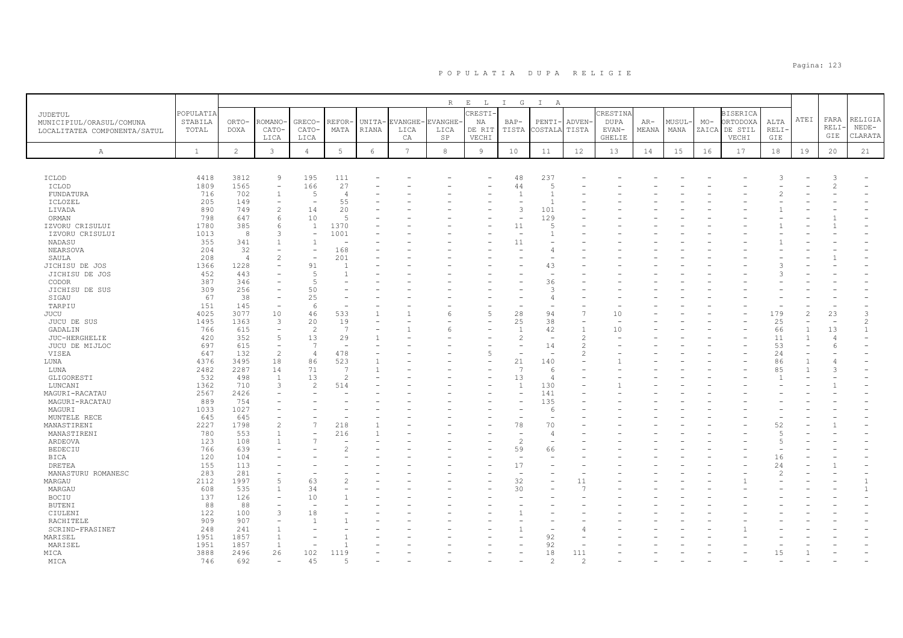|                                                          |                      |                |                          |                          |                          |                |                 | $R_{\perp}$   | $E$ $L$       | I G            | I A                      |                |                  |       |        |       |                             |               |                |                          |                |
|----------------------------------------------------------|----------------------|----------------|--------------------------|--------------------------|--------------------------|----------------|-----------------|---------------|---------------|----------------|--------------------------|----------------|------------------|-------|--------|-------|-----------------------------|---------------|----------------|--------------------------|----------------|
| JUDETUL                                                  | POPULATIA<br>STABILA | ORTO-          | ROMANO                   | GRECO-                   | REFOR                    | UNITA-         | EVANGHE·        | <b>VANGHE</b> | CRESTI-<br>ΝA | BAP-           | PENTI-                   | <b>ADVEN</b>   | CRESTINA<br>DUPA | AR-   | MUSUL· | $MO-$ | <b>BISERICA</b><br>ORTODOXA | ALTA          | ATEI           | FARA                     | RELIGIA        |
| MUNICIPIUL/ORASUL/COMUNA<br>LOCALITATEA COMPONENTA/SATUL | TOTAL                | <b>DOXA</b>    | CATO-                    | CATO-                    | MATA                     | RIANA          | LICA            | LICA          | DE RIT        | TISTA          | COSTALA                  | TISTA          | EVAN-            | MEANA | MANA   |       | ZAICA DE STIL               | <b>RELI</b>   |                | RELI·                    | $NEDE-$        |
|                                                          |                      |                | LICA                     | LICA                     |                          |                | СA              | SP            | VECHI         |                |                          |                | <b>GHELIE</b>    |       |        |       | VECHI                       | GIE           |                | GIE                      | CLARATA        |
| $\mathbb{A}$                                             | $\mathbf{1}$         | $\overline{2}$ | 3                        | $\overline{4}$           | 5                        | $\epsilon$     | $7\phantom{.0}$ | 8             | 9             | 10             | 11                       | 12             | 13               | 14    | 15     | 16    | 17                          | 18            | 19             | 20                       | 21             |
|                                                          |                      |                |                          |                          |                          |                |                 |               |               |                |                          |                |                  |       |        |       |                             |               |                |                          |                |
|                                                          | 4418                 | 3812           | $\overline{9}$           | 195                      |                          |                |                 |               |               | 48             | 237                      |                |                  |       |        |       |                             |               |                | 3                        |                |
| ICLOD<br>ICLOD                                           | 1809                 | 1565           | ۰                        | 166                      | 111<br>27                |                |                 |               |               | 44             | 5                        |                |                  |       |        |       |                             |               |                | $\overline{2}$           |                |
| FUNDATURA                                                | 716                  | 702            | $\mathbf{1}$             | $\overline{5}$           | $\Delta$                 |                |                 |               |               | $\mathbf{1}$   | $\overline{1}$           |                |                  |       |        |       |                             |               |                |                          |                |
| ICLOZEL                                                  | 205                  | 149            | $\overline{\phantom{a}}$ | $\overline{\phantom{a}}$ | 55                       |                |                 |               |               |                |                          |                |                  |       |        |       |                             |               |                |                          |                |
| LIVADA                                                   | 890                  | 749            | $\overline{2}$           | 14                       | 20                       |                |                 |               |               | 3              | 101                      |                |                  |       |        |       |                             |               |                |                          |                |
| ORMAN                                                    | 798                  | 647            | 6                        | 10                       | $\overline{5}$           |                |                 |               |               |                | 129                      |                |                  |       |        |       |                             |               |                |                          |                |
| IZVORU CRISULUI                                          | 1780                 | 385            | 6                        | $\mathbf{1}$             | 1370                     |                |                 |               |               | 11             | 5                        |                |                  |       |        |       |                             |               |                |                          |                |
| IZVORU CRISULUI                                          | 1013                 | 8              | 3                        | $\overline{\phantom{a}}$ | 1001                     |                |                 |               |               | ٠              |                          |                |                  |       |        |       |                             |               |                |                          |                |
| NADASU                                                   | 355                  | 341            |                          | $\overline{1}$           |                          |                |                 |               |               | 11             |                          |                |                  |       |        |       |                             |               |                |                          |                |
| NEARSOVA                                                 | 204                  | 32             |                          | $\overline{\phantom{0}}$ | 168                      |                |                 |               |               |                | $\overline{4}$           |                |                  |       |        |       |                             |               |                |                          |                |
| SAULA                                                    | 208                  | $\overline{4}$ | $\overline{2}$           |                          | 201                      |                |                 |               |               |                |                          |                |                  |       |        |       |                             |               |                |                          |                |
| JICHISU DE JOS                                           | 1366                 | 1228           |                          | 91                       |                          |                |                 |               |               |                | 43                       |                |                  |       |        |       |                             |               |                |                          |                |
| JICHISU DE JOS                                           | 452                  | 443            |                          | -5                       |                          |                |                 |               |               |                | ÷                        |                |                  |       |        |       |                             |               |                |                          |                |
| CODOR                                                    | 387                  | 346            |                          | $\overline{5}$           |                          |                |                 |               |               |                | 36                       |                |                  |       |        |       |                             |               |                |                          |                |
| JICHISU DE SUS                                           | 309                  | 256            |                          | 50                       |                          |                |                 |               |               |                | 3                        |                |                  |       |        |       |                             |               |                |                          |                |
| SIGAU                                                    | 67                   | 38             | ۳                        | 25                       |                          |                |                 |               |               |                | $\overline{4}$           |                |                  |       |        |       |                             |               |                |                          |                |
| TARPIU                                                   | 151                  | 145            | $\overline{\phantom{a}}$ | 6                        |                          |                |                 |               |               |                |                          |                |                  |       |        |       |                             |               |                |                          |                |
| <b>JUCU</b>                                              | 4025                 | 3077           | 10                       | 46                       | 533                      |                |                 |               | 5             | 28             | 94                       | 7              | 10               |       |        |       |                             | 179           |                | 23                       | 3              |
| JUCU DE SUS                                              | 1495                 | 1363           | 3                        | 20                       | 19                       |                |                 |               |               | 25             | 38                       | ٠              |                  |       |        |       |                             | 25            |                | $\overline{\phantom{a}}$ | $\mathfrak{D}$ |
| GADALIN                                                  | 766                  | 615            | $\overline{\phantom{a}}$ | 2                        | $\overline{7}$           |                |                 |               |               | $\overline{1}$ | 42                       | $\overline{1}$ | 10               |       |        |       |                             | 66            | $\overline{1}$ | 13                       | $\mathbf{1}$   |
| JUC-HERGHELIE                                            | 420                  | 352            | 5                        | 13                       | 29                       |                |                 |               |               | 2              |                          | $\overline{c}$ |                  |       |        |       |                             | 11            |                | $\overline{\phantom{a}}$ |                |
| JUCU DE MIJLOC                                           | 697                  | 615            | $\overline{\phantom{a}}$ | $\overline{7}$           | $\overline{\phantom{a}}$ |                |                 |               |               | ۰              | 14                       | 2              |                  |       |        |       |                             | 53            |                | -6                       |                |
| VISEA                                                    | 647                  | 132            | $\overline{c}$           | $\overline{4}$           | 478                      |                |                 |               | 5             |                |                          | 2              |                  |       |        |       |                             | 24            |                |                          |                |
| LUNA                                                     | 4376                 | 3495           | 18                       | 86                       | 523                      | $\overline{1}$ |                 |               |               | 21             | 140                      |                |                  |       |        |       |                             | 86            |                |                          |                |
| LUNA                                                     | 2482                 | 2287           | 14                       | 71                       | 7                        |                |                 |               |               | 7              | -6                       |                |                  |       |        |       |                             | 85            |                | 3                        |                |
| GLIGORESTI                                               | 532                  | 498            | $\mathbf{1}$             | 13                       | $\overline{c}$           |                |                 |               |               | 13             | $\overline{4}$           |                |                  |       |        |       |                             |               |                |                          |                |
| LUNCANI                                                  | 1362                 | 710            | 3                        | $\mathcal{L}$            | 514                      |                |                 |               |               | $\overline{1}$ | 130                      |                |                  |       |        |       |                             |               |                |                          |                |
| MAGURI-RACATAU                                           | 2567                 | 2426           |                          |                          |                          |                |                 |               |               | ÷              | 141                      |                |                  |       |        |       |                             |               |                |                          |                |
| MAGURI-RACATAU                                           | 889                  | 754            |                          |                          |                          |                |                 |               |               |                | 135                      |                |                  |       |        |       |                             |               |                |                          |                |
| MAGURI                                                   | 1033                 | 1027           |                          |                          |                          |                |                 |               |               |                | 6                        |                |                  |       |        |       |                             |               |                |                          |                |
| MUNTELE RECE                                             | 645                  | 645            |                          |                          |                          |                |                 |               |               |                |                          |                |                  |       |        |       |                             |               |                |                          |                |
| MANASTIRENI                                              | 2227                 | 1798           | $\overline{2}$           | $\overline{7}$           | 218                      |                |                 |               |               | 78             | 70                       |                |                  |       |        |       |                             | 52            |                |                          |                |
| MANASTIRENI                                              | 780                  | 553            |                          |                          | 216                      |                |                 |               |               |                | $\overline{4}$           |                |                  |       |        |       |                             | .5            |                |                          |                |
| ARDEOVA                                                  | 123                  | 108            |                          | $\overline{7}$           |                          |                |                 |               |               | $\overline{c}$ | $\overline{\phantom{0}}$ |                |                  |       |        |       |                             | .5            |                |                          |                |
| <b>BEDECIU</b>                                           | 766                  | 639            |                          |                          |                          |                |                 |               |               | 59             | 66                       |                |                  |       |        |       |                             |               |                |                          |                |
| BICA                                                     | 120                  | 104            |                          |                          |                          |                |                 |               |               |                |                          |                |                  |       |        |       |                             | 16            |                |                          |                |
| <b>DRETEA</b>                                            | 155                  | 113            |                          |                          |                          |                |                 |               |               | 17             |                          |                |                  |       |        |       |                             | 24            |                |                          |                |
| MANASTURU ROMANESC                                       | 283                  | 281            | L.                       |                          |                          |                |                 |               |               |                |                          |                |                  |       |        |       |                             | $\mathcal{P}$ |                |                          |                |
| MARGAU                                                   | 2112                 | 1997           | 5                        | 63                       |                          |                |                 |               |               | 32             |                          | 11             |                  |       |        |       |                             |               |                |                          | $\mathbf{1}$   |
| MARGAU                                                   | 608                  | 535            | $\mathbf{1}$             | 34                       |                          |                |                 |               |               | 30             |                          | 7              |                  |       |        |       |                             |               |                |                          | $\mathbf{1}$   |
| <b>BOCIU</b>                                             | 137                  | 126            |                          | 10                       |                          |                |                 |               |               |                |                          |                |                  |       |        |       |                             |               |                |                          |                |
| <b>BUTENI</b>                                            | 88                   | 88             |                          |                          |                          |                |                 |               |               |                |                          |                |                  |       |        |       |                             |               |                |                          |                |
| CIULENI                                                  | 122                  | 100            | 3                        | 18                       |                          |                |                 |               |               |                |                          |                |                  |       |        |       |                             |               |                |                          |                |
| RACHITELE                                                | 909                  | 907            | $\overline{\phantom{a}}$ | -1                       |                          |                |                 |               |               |                |                          |                |                  |       |        |       |                             |               |                |                          |                |
| SCRIND-FRASINET                                          | 248                  | 241            | $\overline{1}$           |                          |                          |                |                 |               |               |                |                          |                |                  |       |        |       |                             |               |                |                          |                |
| MARISEL                                                  | 1951                 | 1857           | $\overline{1}$           |                          |                          |                |                 |               |               |                | 92                       |                |                  |       |        |       |                             |               |                |                          |                |
| MARISEL                                                  | 1951                 | 1857           | 1                        |                          |                          |                |                 |               |               |                | 92                       |                |                  |       |        |       |                             |               |                |                          |                |
| MICA                                                     | 3888                 | 2496           | 26                       | 102                      | 1119                     |                |                 |               |               |                | 18                       | 111            |                  |       |        |       |                             | 15            |                |                          |                |
| MICA                                                     | 746                  | 692            |                          | 45                       |                          |                |                 |               |               |                | $\mathcal{P}$            | 2              |                  |       |        |       |                             |               |                |                          |                |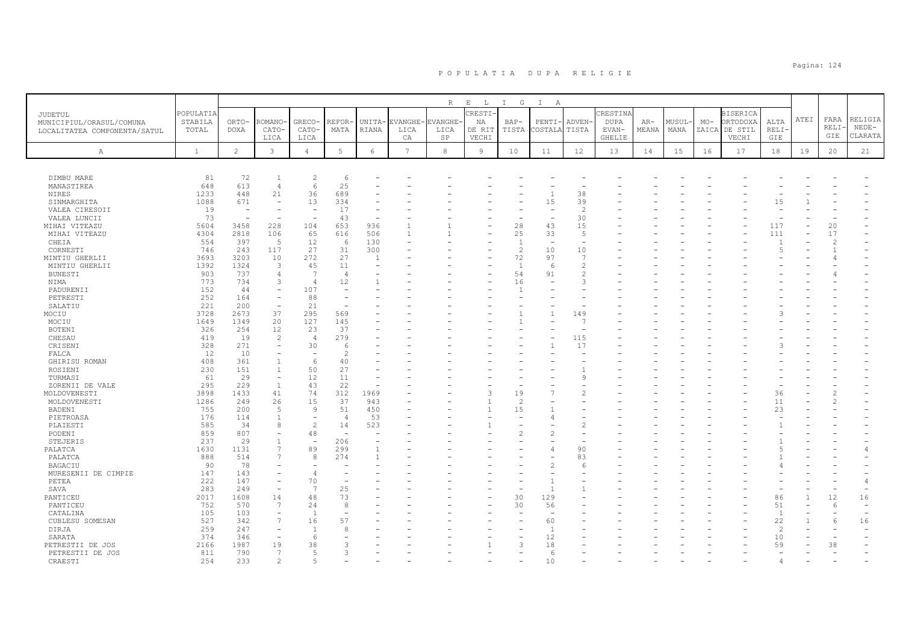|                                  |              |                       |                                            |                                |                                |              |                | R             | $\mathbf{E}$<br>$\mathbb{L}$ | $I$ G              | $\mathbb{I}$<br>A              |                      |               |       |       |       |                 |                          |      |               |         |
|----------------------------------|--------------|-----------------------|--------------------------------------------|--------------------------------|--------------------------------|--------------|----------------|---------------|------------------------------|--------------------|--------------------------------|----------------------|---------------|-------|-------|-------|-----------------|--------------------------|------|---------------|---------|
| JUDETUL                          | POPULATIA    |                       |                                            |                                |                                |              |                |               | <b>RESTI</b>                 |                    |                                |                      | CRESTIN       |       |       |       | <b>BISERICA</b> |                          |      |               |         |
| MUNICIPIUL/ORASUL/COMUNA         | STABILA      | ORTO-                 | <b>ROMANO</b>                              | <b>GRECO</b>                   | REFOR                          | UNITA-       | EVANGHE        | <b>VANGHE</b> | ΝA                           | $BAP-$             | PENTI                          | ADVEN-               | <b>DUPA</b>   | $AR-$ | MUSUL | $MO-$ | ORTODOXA        | ALTA                     | ATEI | FARA          | RELIGIA |
| LOCALITATEA COMPONENTA/SATUL     | TOTAL        | <b>DOXA</b>           | CATO-                                      | CATO-                          | MATA                           | RIANA        | LICA           | LICA          | DE RIT                       | TISTA              | COSTALA                        | TISTA                | EVAN-         | MEANA | MANA  | ZAICA | DE STIL         | RELI-                    |      | RELI          | NEDE-   |
|                                  |              |                       | LICA                                       | LICA                           |                                |              | CA             | SP            | VECHI                        |                    |                                |                      | <b>GHELIE</b> |       |       |       | VECHI           | GIE                      |      | GIE           | CLARATA |
| Α                                | $\mathbf{1}$ | $\overline{c}$        | $\mathbf{3}$                               | $\overline{4}$                 | $5\phantom{.0}$                | $\epsilon$   | $\overline{7}$ | $_{\rm 8}$    | 9                            | 10                 | 11                             | 12                   | 13            | 14    | 15    | 16    | 17              | 18                       | 19   | 20            | 21      |
|                                  |              |                       |                                            |                                |                                |              |                |               |                              |                    |                                |                      |               |       |       |       |                 |                          |      |               |         |
| DIMBU MARE                       | 81           | 72                    |                                            | $\overline{c}$                 | 6                              |              |                |               |                              |                    |                                |                      |               |       |       |       |                 |                          |      |               |         |
| MANASTIREA                       | 648          | 613                   | 4                                          | 6                              | 25                             |              |                |               |                              |                    |                                |                      |               |       |       |       |                 |                          |      |               |         |
| <b>NIRES</b>                     | 1233         | 448                   | 21                                         | 36                             | 689                            |              |                |               |                              |                    |                                | 38                   |               |       |       |       |                 |                          |      |               |         |
| SINMARGHITA                      | 1088<br>19   | 671<br>$\overline{a}$ |                                            | 13<br>$\overline{\phantom{m}}$ | 334<br>17                      |              |                |               |                              |                    | 15                             | 39<br>$\overline{c}$ |               |       |       |       |                 | 15                       |      |               |         |
| VALEA CIRESOII<br>VALEA LUNCII   | 73           |                       |                                            |                                | 43                             |              |                |               |                              |                    |                                | 30                   |               |       |       |       |                 |                          |      |               |         |
| MIHAI VITEAZU                    | 5604         | 3458                  | 228                                        | 104                            | 653                            | 936          |                |               |                              | 28                 | 43                             | 15                   |               |       |       |       |                 | 117                      |      | 20            |         |
| MIHAI VITEAZU                    | 4304         | 2818                  | 106                                        | 65                             | 616                            | 506          | $\mathbf{1}$   |               |                              | 25                 | 33                             | $\overline{5}$       |               |       |       |       |                 | 111                      |      | 17            |         |
| CHEIA                            | 554          | 397                   | - 5                                        | 12                             | 6                              | 130          |                |               |                              | $\overline{1}$     | ÷,                             | ÷,                   |               |       |       |       |                 |                          |      | $\mathcal{D}$ |         |
| CORNESTI                         | 746          | 243                   | 117                                        | 27<br>272                      | 31                             | 300          |                |               |                              | $\overline{c}$     | 10                             | 10<br>$\overline{7}$ |               |       |       |       |                 | Б                        |      |               |         |
| MINTIU GHERLII<br>MINTIU GHERLII | 3693<br>1392 | 3203<br>1324          | 10<br>3                                    | 45                             | 27<br>11                       | $\mathbf{1}$ |                |               |                              | 72<br>$\mathbf{1}$ | 97<br>-6                       | $\overline{2}$       |               |       |       |       |                 |                          |      |               |         |
| <b>BUNESTI</b>                   | 903          | 737                   | $\overline{4}$                             | $\overline{7}$                 | $\overline{4}$                 |              |                |               |                              | 54                 | 91                             | $\overline{c}$       |               |       |       |       |                 |                          |      |               |         |
| NIMA                             | 773          | 734                   | 3                                          | $\Delta$                       | 12                             |              |                |               |                              | 16                 |                                | 3                    |               |       |       |       |                 |                          |      |               |         |
| PADURENII                        | 152          | 44                    | ÷                                          | 107                            |                                |              |                |               |                              | $\overline{1}$     |                                |                      |               |       |       |       |                 |                          |      |               |         |
| PETRESTI                         | 252          | 164                   |                                            | 88                             |                                |              |                |               |                              |                    |                                |                      |               |       |       |       |                 |                          |      |               |         |
| SALATIU<br>MOCIU                 | 221<br>3728  | 200<br>2673           | 37                                         | 21<br>295                      | 569                            |              |                |               |                              |                    |                                | 149                  |               |       |       |       |                 |                          |      |               |         |
| MOCIU                            | 1649         | 1349                  | 20                                         | 127                            | 145                            |              |                |               |                              |                    |                                | 7                    |               |       |       |       |                 |                          |      |               |         |
| BOTENI                           | 326          | 254                   | 12                                         | 23                             | 37                             |              |                |               |                              |                    |                                |                      |               |       |       |       |                 |                          |      |               |         |
| CHESAU                           | 419          | 19                    | $\overline{c}$                             | $\overline{4}$                 | 279                            |              |                |               |                              |                    |                                | 115                  |               |       |       |       |                 |                          |      |               |         |
| CRISENI                          | 328          | 271                   |                                            | 30                             | -6                             |              |                |               |                              |                    |                                | 17                   |               |       |       |       |                 |                          |      |               |         |
| FALCA                            | 12           | 10                    | $\overline{\phantom{a}}$                   | $\overline{\phantom{a}}$       | $\overline{2}$                 |              |                |               |                              |                    |                                |                      |               |       |       |       |                 |                          |      |               |         |
| GHIRISU ROMAN<br>ROSIENI         | 408<br>230   | 361<br>151            | $\overline{1}$                             | 6<br>50                        | 40<br>27                       |              |                |               |                              |                    |                                |                      |               |       |       |       |                 |                          |      |               |         |
| TURMASI                          | 61           | 29                    | $\equiv$                                   | 12                             | 11                             |              |                |               |                              |                    |                                | 9                    |               |       |       |       |                 |                          |      |               |         |
| ZORENII DE VALE                  | 295          | 229                   | $\overline{1}$                             | 43                             | 22                             | ÷,           |                |               |                              |                    |                                |                      |               |       |       |       |                 |                          |      |               |         |
| MOLDOVENESTI                     | 3898         | 1433                  | 41                                         | 74                             | 312                            | 1969         |                |               | -3                           | 19                 |                                | $\overline{2}$       |               |       |       |       |                 | 36                       |      |               |         |
| MOLDOVENESTI                     | 1286         | 249                   | 26                                         | 15                             | 37                             | 943          |                |               |                              | $\overline{c}$     |                                |                      |               |       |       |       |                 | 11                       |      |               |         |
| BADENI<br>PIETROASA              | 755<br>176   | 200<br>114            | .5                                         | 9<br>$\overline{\phantom{a}}$  | 51<br>$\overline{4}$           | 450<br>53    |                |               | $\mathbf{1}$                 | 15                 |                                |                      |               |       |       |       |                 | 23                       |      |               |         |
| PLAIESTI                         | 585          | 34                    | 8                                          | $\mathcal{L}$                  | 14                             | 523          |                |               |                              |                    |                                | $\overline{2}$       |               |       |       |       |                 |                          |      |               |         |
| PODENI                           | 859          | 807                   |                                            | 48                             | ÷,                             |              |                |               |                              | 2                  |                                |                      |               |       |       |       |                 |                          |      |               |         |
| STEJERIS                         | 237          | 29                    | $\overline{1}$                             | ÷,                             | 206                            |              |                |               |                              |                    |                                |                      |               |       |       |       |                 |                          |      |               |         |
| PALATCA                          | 1630         | 1131                  | $\overline{7}$                             | 89                             | 299                            |              |                |               |                              |                    |                                | 90                   |               |       |       |       |                 |                          |      |               |         |
| PALATCA                          | 888          | 514<br>78             | $\overline{7}$                             | 8                              | 274                            |              |                |               |                              |                    |                                | 83                   |               |       |       |       |                 |                          |      |               |         |
| BAGACIU<br>MURESENII DE CIMPIE   | 90<br>147    | 143                   |                                            | $\Delta$                       |                                |              |                |               |                              |                    |                                | 6                    |               |       |       |       |                 |                          |      |               |         |
| PETEA                            | 222          | 147                   | $\overline{\phantom{a}}$                   | 70                             | $\overline{\phantom{a}}$       |              |                |               |                              |                    |                                |                      |               |       |       |       |                 |                          |      |               |         |
| SAVA                             | 283          | 249                   |                                            | $\overline{7}$                 | 25                             |              |                |               |                              |                    | $\overline{1}$                 |                      |               |       |       |       |                 |                          |      |               |         |
| PANTICEU                         | 2017         | 1608                  | 14                                         | 48                             | 73                             |              |                |               |                              | 30                 | 129                            |                      |               |       |       |       |                 | 86                       |      | 12            | 16      |
| PANTICEU                         | 752          | 570                   | 7                                          | 24                             | 8                              |              |                |               |                              | 30                 | 56                             |                      |               |       |       |       |                 | 51                       |      | 6             |         |
| CATALINA<br>CUBLESU SOMESAN      | 105<br>527   | 103<br>342            | $\overline{\phantom{a}}$<br>$\overline{7}$ | $\overline{1}$<br>16           | $\overline{\phantom{a}}$<br>57 |              |                |               |                              |                    | $\overline{\phantom{a}}$<br>60 |                      |               |       |       |       |                 | <sup>1</sup><br>22       |      | 6             | 16      |
| DIRJA                            | 259          | 247                   |                                            | $\overline{1}$                 | -8                             |              |                |               |                              |                    | $\overline{1}$                 |                      |               |       |       |       |                 | $\overline{\mathcal{L}}$ |      |               |         |
| SARATA                           | 374          | 346                   |                                            | 6                              |                                |              |                |               |                              |                    | 12                             |                      |               |       |       |       |                 | 10                       |      |               |         |
| PETRESTII DE JOS                 | 2166         | 1987                  | 19                                         | 38                             | 3                              |              |                |               |                              | 3                  | 18                             |                      |               |       |       |       |                 | 59                       |      | 38            |         |
| PETRESTII DE JOS                 | 811          | 790                   | 7                                          | $\overline{5}$                 | 3                              |              |                |               |                              |                    | 6                              |                      |               |       |       |       |                 |                          |      |               |         |
| CRAESTI                          | 254          | 233                   | 2                                          | $\overline{a}$                 |                                |              |                |               |                              |                    | 10                             |                      |               |       |       |       |                 |                          |      |               |         |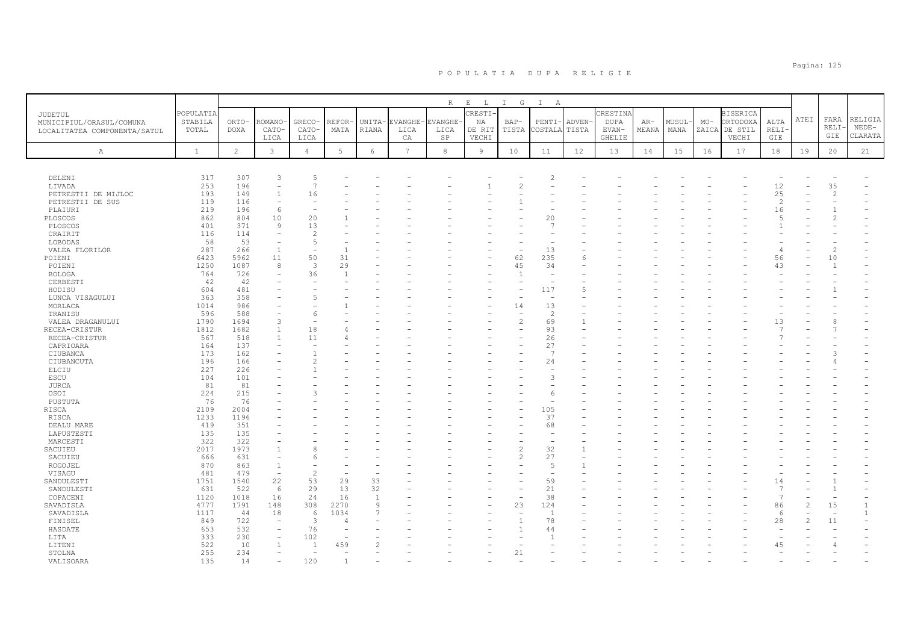|                                            |                      |             |                          |                          |                          |                    |                 | R              | $\,$ E $\,$<br>$\mathbb L$ | $I$ G          | $\mathbb{I}$<br>A        |        |                        |       |       |       |                             |                      |      |                          |         |
|--------------------------------------------|----------------------|-------------|--------------------------|--------------------------|--------------------------|--------------------|-----------------|----------------|----------------------------|----------------|--------------------------|--------|------------------------|-------|-------|-------|-----------------------------|----------------------|------|--------------------------|---------|
| <b>JUDETUL</b><br>MUNICIPIUL/ORASUL/COMUNA | POPULATIA<br>STABILA | ORTO-       | ROMANO                   | GRECO-                   | REFOR·                   | UNITA-             | <b>EVANGHE</b>  | <b>EVANGHE</b> | RESTI-<br>ΝA               | $BAP-$         | PENTI-                   | ADVEN- | CRESTIN<br><b>DUPA</b> | $AR-$ | MUSUL | $MO-$ | <b>BISERICA</b><br>ORTODOXA | ALTA                 | ATEI | FARA                     | RELIGIA |
| LOCALITATEA COMPONENTA/SATUL               | TOTAL                | <b>DOXA</b> | CATO-                    | CATO-                    | MATA                     | RIANA              | LICA            | LICA           | DE RIT                     | TISTA          | COSTALA                  | TISTA  | EVAN-                  | MEANA | MANA  | ZAICA | DE STIL                     | RELI-                |      | RELI·                    | $NEDE-$ |
|                                            |                      |             | LICA                     | LICA                     |                          |                    | CA              | SP             | VECHI                      |                |                          |        | GHELIE                 |       |       |       | VECHI                       | GIE                  |      | GIE                      | CLARATA |
| $\mathbb{A}$                               | $\mathbf{1}$         | 2           | 3                        | $\overline{4}$           | $5\phantom{.0}$          | 6                  | $7\overline{ }$ | $^{\rm 8}$     | 9                          | 10             | 11                       | 12     | 13                     | 14    | 15    | 16    | 17                          | 18                   | 19   | 20                       | 21      |
|                                            |                      |             |                          |                          |                          |                    |                 |                |                            |                |                          |        |                        |       |       |       |                             |                      |      |                          |         |
|                                            |                      |             |                          |                          |                          |                    |                 |                |                            |                |                          |        |                        |       |       |       |                             |                      |      |                          |         |
| DELENI                                     | 317                  | 307         | 3                        | 5                        |                          |                    |                 |                |                            |                |                          |        |                        |       |       |       |                             |                      |      |                          |         |
| LIVADA                                     | 253                  | 196         |                          | $\overline{7}$           |                          |                    |                 |                |                            | $\overline{c}$ |                          |        |                        |       |       |       |                             | 12                   |      | 35                       |         |
| PETRESTII DE MIJLOC                        | 193                  | 149         | $\overline{1}$           | 16                       |                          |                    |                 |                |                            |                |                          |        |                        |       |       |       |                             | 25                   |      | $\overline{c}$           |         |
| PETRESTII DE SUS                           | 119                  | 116<br>196  | 6                        | $\overline{\phantom{0}}$ |                          |                    |                 |                |                            |                |                          |        |                        |       |       |       |                             | $\overline{c}$       |      |                          |         |
| PLAIURI<br>PLOSCOS                         | 219<br>862           | 804         | 10                       | 20                       |                          |                    |                 |                |                            |                | 20                       |        |                        |       |       |       |                             | 16<br>$\overline{5}$ |      | 2                        |         |
| PLOSCOS                                    | 401                  | 371         | $\mathcal{Q}$            | 13                       |                          |                    |                 |                |                            |                | $\mathcal{L}$            |        |                        |       |       |       |                             |                      |      |                          |         |
| CRAIRIT                                    | 116                  | 114         | $\equiv$                 | $\overline{c}$           |                          |                    |                 |                |                            |                |                          |        |                        |       |       |       |                             |                      |      |                          |         |
| LOBODAS                                    | 58                   | 53          | $\overline{\phantom{a}}$ | 5                        |                          |                    |                 |                |                            |                |                          |        |                        |       |       |       |                             |                      |      |                          |         |
| VALEA FLORILOR                             | 287                  | 266         | $\mathbf{1}$             |                          | $\mathbf{1}$             |                    |                 |                |                            |                | 13                       |        |                        |       |       |       |                             | 4                    |      | $\mathfrak{D}$           |         |
| POIENI                                     | 6423                 | 5962        | 11                       | 50                       | 31                       |                    |                 |                |                            | 62             | 235                      | 6      |                        |       |       |       |                             | 56                   |      | 10                       |         |
| POIENI                                     | 1250                 | 1087        | 8                        | 3                        | 29                       |                    |                 |                |                            | 45             | 34                       |        |                        |       |       |       |                             | 43                   |      |                          |         |
| <b>BOLOGA</b>                              | 764                  | 726<br>42   | $\equiv$                 | 36                       | $\overline{1}$           |                    |                 |                |                            | $\overline{1}$ | $\overline{\phantom{a}}$ |        |                        |       |       |       |                             |                      |      |                          |         |
| CERBESTI<br>HODISU                         | 42<br>604            | 481         |                          | $\overline{\phantom{a}}$ |                          |                    |                 |                |                            | ۰              | 117                      | 5      |                        |       |       |       |                             |                      |      |                          |         |
| LUNCA VISAGULUI                            | 363                  | 358         |                          | 5                        |                          |                    |                 |                |                            |                |                          |        |                        |       |       |       |                             |                      |      |                          |         |
| MORLACA                                    | 1014                 | 986         |                          | $\overline{\phantom{a}}$ |                          |                    |                 |                |                            | 14             | 13                       |        |                        |       |       |       |                             |                      |      |                          |         |
| TRANISU                                    | 596                  | 588         |                          | 6                        |                          |                    |                 |                |                            |                | $\overline{c}$           |        |                        |       |       |       |                             |                      |      |                          |         |
| VALEA DRAGANULUI                           | 1790                 | 1694        | 3                        | $\overline{\phantom{a}}$ |                          |                    |                 |                |                            | $\overline{c}$ | 69                       |        |                        |       |       |       |                             | 13                   |      |                          |         |
| RECEA-CRISTUR                              | 1812                 | 1682        |                          | 18                       |                          |                    |                 |                |                            |                | 93                       |        |                        |       |       |       |                             |                      |      |                          |         |
| RECEA-CRISTUR                              | 567                  | 518         | $\overline{1}$           | 11                       |                          |                    |                 |                |                            | ÷              | 26                       |        |                        |       |       |       |                             |                      |      |                          |         |
| CAPRIOARA                                  | 164                  | 137<br>162  |                          | $\mathbf{1}$             |                          |                    |                 |                |                            |                | 27<br>$\overline{7}$     |        |                        |       |       |       |                             |                      |      |                          |         |
| CIUBANCA<br>CIUBANCUTA                     | 173<br>196           | 166         |                          | $\mathcal{D}$            |                          |                    |                 |                |                            |                | 24                       |        |                        |       |       |       |                             |                      |      |                          |         |
| ELCIU                                      | 227                  | 226         |                          |                          |                          |                    |                 |                |                            |                |                          |        |                        |       |       |       |                             |                      |      |                          |         |
| ESCU                                       | 104                  | 101         |                          |                          |                          |                    |                 |                |                            |                | 3                        |        |                        |       |       |       |                             |                      |      |                          |         |
| JURCA                                      | 81                   | 81          |                          |                          |                          |                    |                 |                |                            |                |                          |        |                        |       |       |       |                             |                      |      |                          |         |
| OSOI                                       | 224                  | 215         |                          | 3                        |                          |                    |                 |                |                            |                | 6                        |        |                        |       |       |       |                             |                      |      |                          |         |
| PUSTUTA                                    | 76                   | 76          |                          |                          |                          |                    |                 |                |                            |                |                          |        |                        |       |       |       |                             |                      |      |                          |         |
| <b>RISCA</b>                               | 2109                 | 2004        |                          |                          |                          |                    |                 |                |                            |                | 105                      |        |                        |       |       |       |                             |                      |      |                          |         |
| RISCA                                      | 1233<br>419          | 1196<br>351 |                          |                          |                          |                    |                 |                |                            |                | 37<br>68                 |        |                        |       |       |       |                             |                      |      |                          |         |
| DEALU MARE<br>LAPUSTESTI                   | 135                  | 135         |                          |                          |                          |                    |                 |                |                            |                |                          |        |                        |       |       |       |                             |                      |      |                          |         |
| MARCESTI                                   | 322                  | 322         |                          |                          |                          |                    |                 |                |                            |                |                          |        |                        |       |       |       |                             |                      |      |                          |         |
| SACUIEU                                    | 2017                 | 1973        |                          | 8                        |                          |                    |                 |                |                            | $\overline{c}$ | 32                       |        |                        |       |       |       |                             |                      |      |                          |         |
| SACUIEU                                    | 666                  | 631         |                          | 6                        |                          |                    |                 |                |                            | $\overline{c}$ | 27                       |        |                        |       |       |       |                             |                      |      |                          |         |
| ROGOJEL                                    | 870                  | 863         | $\overline{1}$           | $\sim$                   |                          |                    |                 |                |                            | ۰              | $\sqrt{2}$               |        |                        |       |       |       |                             |                      |      |                          |         |
| VISAGU                                     | 481                  | 479         | $\overline{\phantom{a}}$ | $\overline{c}$           |                          |                    |                 |                |                            |                |                          |        |                        |       |       |       |                             |                      |      |                          |         |
| SANDULESTI                                 | 1751                 | 1540        | 22                       | 53                       | 29                       | 33                 |                 |                |                            | ۰              | 59                       |        |                        |       |       |       |                             | 14                   |      |                          |         |
| SANDULESTI                                 | 631                  | 522<br>1018 | 6<br>16                  | 29<br>24                 | 13<br>16                 | 32<br>$\mathbf{1}$ |                 |                |                            | ۰              | 21<br>38                 |        |                        |       |       |       |                             | 7<br>$\overline{7}$  |      | $\overline{\phantom{0}}$ |         |
| COPACENI<br>SAVADISLA                      | 1120<br>4777         | 1791        | 148                      | 308                      | 2270                     | $\overline{9}$     |                 |                |                            | 23             | 124                      |        |                        |       |       |       |                             | 86                   |      | 15                       |         |
| SAVADISLA                                  | 1117                 | 44          | 18                       | 6                        | 1034                     | $\overline{7}$     |                 |                |                            | ÷              | $\overline{1}$           |        |                        |       |       |       |                             | 6                    |      | $\sim$                   |         |
| FINISEL                                    | 849                  | 722         | $\overline{\phantom{a}}$ | 3                        | $\overline{4}$           |                    |                 |                |                            | $\mathbf{1}$   | 78                       |        |                        |       |       |       |                             | 28                   |      | 11                       |         |
| HASDATE                                    | 653                  | 532         |                          | 76                       |                          |                    |                 |                |                            | $\overline{1}$ | 44                       |        |                        |       |       |       |                             | $\sim$               |      |                          |         |
| LITA                                       | 333                  | 230         |                          | 102                      | $\overline{\phantom{a}}$ |                    |                 |                |                            |                |                          |        |                        |       |       |       |                             |                      |      |                          |         |
| LITENI                                     | 522                  | 10          |                          | $\overline{1}$           | 459                      |                    |                 |                |                            | ۰              |                          |        |                        |       |       |       |                             | 45                   |      |                          |         |
| STOLNA                                     | 255                  | 234         |                          | $\sim$                   |                          |                    |                 |                |                            | 21             |                          |        |                        |       |       |       |                             |                      |      |                          |         |
| VALISOARA                                  | 135                  | 14          |                          | 120                      | $\overline{1}$           |                    |                 |                |                            |                |                          |        |                        |       |       |       |                             |                      |      |                          |         |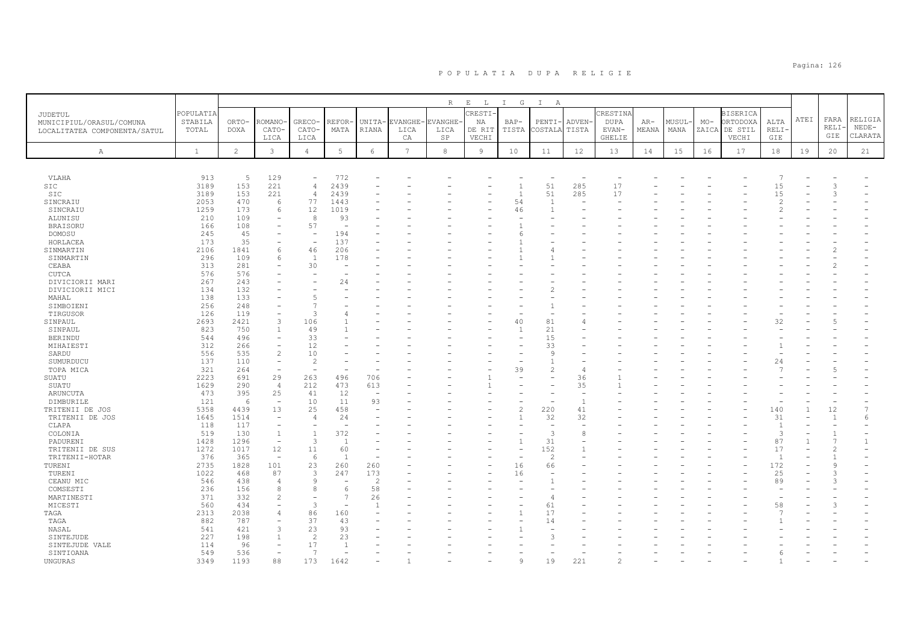|                                     | POPULATIA    |                |                          |                          |                 |                |                 | R       | $\mathbf{E}$<br>$\mathbb{L}$<br>CRESTI | $I$ G                    | $\mathbf{I}$<br>A |                                 | CRESTINA      |       |       |       | <b>BISERICA</b> |                |      |       |              |
|-------------------------------------|--------------|----------------|--------------------------|--------------------------|-----------------|----------------|-----------------|---------|----------------------------------------|--------------------------|-------------------|---------------------------------|---------------|-------|-------|-------|-----------------|----------------|------|-------|--------------|
| JUDETUL<br>MUNICIPIUL/ORASUL/COMUNA | STABILA      | ORTO-          | <b>COMANO</b>            | <b>GRECO</b>             | REFOR           | UNITA-         | EVANGHE         | EVANGHE | ΝA                                     | $BAP-$                   | PENTI             | ADVEN-                          | <b>DUPA</b>   | AR-   | MUSUL | $MO-$ | ORTODOXA        | ALTA           | ATEI | FARA  | RELIGIA      |
| LOCALITATEA COMPONENTA/SATUL        | TOTAL        | <b>DOXA</b>    | CATO-                    | CATO-                    | MATA            | RIANA          | LICA            | LICA    | DE RIT                                 | TISTA                    | COSTALA           | TISTA                           | EVAN-         | MEANA | MANA  | ZAICA | DE STIL         | RELI-          |      | RELI- | $NEDE-$      |
|                                     |              |                | LICA                     | LICA                     |                 |                | CA              | SP      | VECHI                                  |                          |                   |                                 | <b>GHELIE</b> |       |       |       | VECHI           | GIE            |      | GIE   | CLARATA      |
| Α                                   | $\mathbf{1}$ | $\overline{c}$ | $\mathbf{3}$             | $\overline{4}$           | $5\phantom{.0}$ | 6              | $7\overline{ }$ | 8       | 9                                      | 10                       | 11                | 12                              | 13            | 14    | 15    | 16    | 17              | 18             | 19   | 20    | 21           |
|                                     |              |                |                          |                          |                 |                |                 |         |                                        |                          |                   |                                 |               |       |       |       |                 |                |      |       |              |
|                                     |              |                |                          | $\overline{\phantom{a}}$ |                 |                |                 |         |                                        |                          |                   |                                 |               |       |       |       |                 |                |      |       |              |
| VLAHA<br>SIC                        | 913<br>3189  | 5<br>153       | 129<br>221               | $\overline{4}$           | 772<br>2439     |                |                 |         |                                        | $\mathbf{1}$             | 51                | $\overline{\phantom{a}}$<br>285 | 17            |       |       |       |                 | 15             |      |       |              |
| SIC                                 | 3189         | 153            | 221                      | $\overline{4}$           | 2439            |                |                 |         |                                        | $\overline{1}$           | 51                | 285                             | 17            |       |       |       |                 | 15             |      |       |              |
| SINCRAIU                            | 2053         | 470            | 6                        | 77                       | 1443            |                |                 |         |                                        | 54                       | $\overline{1}$    | $\overline{\phantom{0}}$        |               |       |       |       |                 | 2              |      |       |              |
| SINCRAIU                            | 1259         | 173            | 6                        | 12                       | 1019            |                |                 |         |                                        | 46                       |                   |                                 |               |       |       |       |                 |                |      |       |              |
| ALUNISU                             | 210          | 109            | $\overline{\phantom{0}}$ | 8                        | 93              |                |                 |         |                                        |                          |                   |                                 |               |       |       |       |                 |                |      |       |              |
| <b>BRAISORU</b>                     | 166          | 108            |                          | 57                       |                 |                |                 |         |                                        |                          |                   |                                 |               |       |       |       |                 |                |      |       |              |
| DOMOSU                              | 245          | 45             |                          | $\overline{\phantom{a}}$ | 194             |                |                 |         |                                        | 6                        |                   |                                 |               |       |       |       |                 |                |      |       |              |
| HORLACEA                            | 173          | 35             |                          | ÷,                       | 137             |                |                 |         |                                        |                          |                   |                                 |               |       |       |       |                 |                |      |       |              |
| SINMARTIN                           | 2106         | 1841           | 6                        | 46                       | 206             |                |                 |         |                                        |                          |                   |                                 |               |       |       |       |                 |                |      |       |              |
| SINMARTIN                           | 296          | 109            | 6                        | $\overline{1}$           | 178             |                |                 |         |                                        |                          |                   |                                 |               |       |       |       |                 |                |      |       |              |
| CEABA                               | 313          | 281            |                          | 30                       |                 |                |                 |         |                                        |                          |                   |                                 |               |       |       |       |                 |                |      |       |              |
| <b>CUTCA</b>                        | 576          | 576            |                          |                          |                 |                |                 |         |                                        |                          |                   |                                 |               |       |       |       |                 |                |      |       |              |
| DIVICIORII MARI                     | 267          | 243            |                          |                          | 24              |                |                 |         |                                        |                          |                   |                                 |               |       |       |       |                 |                |      |       |              |
| DIVICIORII MICI                     | 134          | 132            |                          |                          |                 |                |                 |         |                                        |                          |                   |                                 |               |       |       |       |                 |                |      |       |              |
| MAHAL                               | 138          | 133            |                          | 5                        |                 |                |                 |         |                                        |                          |                   |                                 |               |       |       |       |                 |                |      |       |              |
| SIMBOIENI                           | 256          | 248            |                          | 7                        |                 |                |                 |         |                                        |                          |                   |                                 |               |       |       |       |                 |                |      |       |              |
| TIRGUSOR                            | 126          | 119            | 3                        | $\mathcal{L}$            |                 |                |                 |         |                                        |                          |                   |                                 |               |       |       |       |                 |                |      |       |              |
| SINPAUL                             | 2693         | 2421           |                          | 106                      |                 |                |                 |         |                                        | 40                       | 81                | $\overline{4}$                  |               |       |       |       |                 | 32             |      |       |              |
| SINPAUL                             | 823<br>544   | 750<br>496     |                          | 49<br>33                 |                 |                |                 |         |                                        | 1                        | 21                |                                 |               |       |       |       |                 |                |      |       |              |
| <b>BERINDU</b><br>MIHAIESTI         | 312          | 266            | $\overline{\phantom{a}}$ | 12                       |                 |                |                 |         |                                        |                          | 15<br>33          |                                 |               |       |       |       |                 |                |      |       |              |
| SARDU                               | 556          | 535            | $\overline{c}$           | 10                       |                 |                |                 |         |                                        |                          | -9                |                                 |               |       |       |       |                 |                |      |       |              |
| SUMURDUCU                           | 137          | 110            | $\overline{\phantom{a}}$ | $\overline{2}$           |                 |                |                 |         |                                        |                          |                   |                                 |               |       |       |       |                 | 24             |      |       |              |
| TOPA MICA                           | 321          | 264            | $\overline{a}$           | ٠                        |                 |                |                 |         |                                        | 39                       | $\overline{2}$    | $\overline{4}$                  |               |       |       |       |                 |                |      |       |              |
| SUATU                               | 2223         | 691            | 29                       | 263                      | 496             | 706            |                 |         |                                        |                          |                   | 36                              |               |       |       |       |                 |                |      |       |              |
| SUATU                               | 1629         | 290            | $\overline{4}$           | 212                      | 473             | 613            |                 |         |                                        |                          |                   | 35                              |               |       |       |       |                 |                |      |       |              |
| <b>ARUNCUTA</b>                     | 473          | 395            | 25                       | 41                       | 12              | $\sim$         |                 |         |                                        |                          |                   |                                 |               |       |       |       |                 |                |      |       |              |
| DIMBURILE                           | 121          | 6              | $\overline{\phantom{a}}$ | 10                       | 11              | 93             |                 |         |                                        |                          |                   | $\overline{1}$                  |               |       |       |       |                 |                |      |       |              |
| TRITENII DE JOS                     | 5358         | 4439           | 13                       | 25                       | 458             |                |                 |         |                                        | $\overline{c}$           | 220               | 41                              |               |       |       |       |                 | 140            |      | 12    |              |
| TRITENII DE JOS                     | 1645         | 1514           | $\overline{\phantom{a}}$ | $\overline{4}$           | 24              |                |                 |         |                                        | $\overline{1}$           | 32                | 32                              |               |       |       |       |                 | 31             |      |       | 6            |
| CLAPA                               | 118          | 117            |                          |                          | ÷.              |                |                 |         |                                        |                          | $\sim$            |                                 |               |       |       |       |                 | $\overline{1}$ |      |       |              |
| COLONIA                             | 519          | 130            | 1                        | $\mathbf{1}$             | 372             |                |                 |         |                                        | $\sim$                   | 3                 | 8                               |               |       |       |       |                 | 3              |      |       |              |
| PADURENI                            | 1428         | 1296           | $\overline{\phantom{0}}$ | 3                        | $\overline{1}$  |                |                 |         |                                        | $\mathbf{1}$             | 31                |                                 |               |       |       |       |                 | 87             |      |       | $\mathbf{1}$ |
| TRITENII DE SUS                     | 1272         | 1017           | 12                       | 11                       | 60              |                |                 |         |                                        | $\overline{\phantom{m}}$ | 152               |                                 |               |       |       |       |                 | 17             |      | 2     |              |
| TRITENII-HOTAR                      | 376          | 365            | $\sim$                   | 6                        | $\overline{1}$  |                |                 |         |                                        |                          | 2                 |                                 |               |       |       |       |                 | $\overline{1}$ |      |       |              |
| TURENI                              | 2735         | 1828           | 101                      | 23                       | 260             | 260            |                 |         |                                        | 16                       | 66                |                                 |               |       |       |       |                 | 172            |      |       |              |
| TURENI                              | 1022         | 468            | 87                       | 3                        | 247             | 173            |                 |         |                                        | 16                       |                   |                                 |               |       |       |       |                 | 25             |      |       |              |
| CEANU MIC                           | 546          | 438            | $\overline{4}$           | 9                        |                 | $\overline{2}$ |                 |         |                                        |                          |                   |                                 |               |       |       |       |                 | 89             |      |       |              |
| COMSESTI                            | 236          | 156            | 8                        | 8                        | 6               | 58             |                 |         |                                        |                          |                   |                                 |               |       |       |       |                 |                |      |       |              |
| MARTINESTI                          | 371          | 332            | $\overline{c}$           | $\overline{\phantom{a}}$ | $\overline{7}$  | 26             |                 |         |                                        |                          | 4                 |                                 |               |       |       |       |                 |                |      |       |              |
| MICESTI                             | 560          | 434            |                          | 3                        |                 | $\mathbf{1}$   |                 |         |                                        |                          | 61                |                                 |               |       |       |       |                 | 58             |      |       |              |
| TAGA<br>TAGA                        | 2313<br>882  | 2038<br>787    | 4                        | 86<br>37                 | 160             |                |                 |         |                                        |                          | 17<br>14          |                                 |               |       |       |       |                 |                |      |       |              |
| NASAL                               | 541          | 421            | 3                        | 23                       | 43<br>93        |                |                 |         |                                        |                          |                   |                                 |               |       |       |       |                 |                |      |       |              |
| SINTEJUDE                           | 227          | 198            |                          | $\overline{2}$           | 23              |                |                 |         |                                        |                          |                   |                                 |               |       |       |       |                 |                |      |       |              |
| SINTEJUDE VALE                      | 114          | 96             |                          | 17                       | $\overline{1}$  |                |                 |         |                                        |                          |                   |                                 |               |       |       |       |                 |                |      |       |              |
| SINTIOANA                           | 549          | 536            |                          | 7                        |                 |                |                 |         |                                        |                          |                   |                                 |               |       |       |       |                 | 6              |      |       |              |
| <b>UNGURAS</b>                      | 3349         | 1193           | 88                       | 173                      | 1642            |                |                 |         |                                        |                          | 19                | $22^{\circ}$                    |               |       |       |       |                 |                |      |       |              |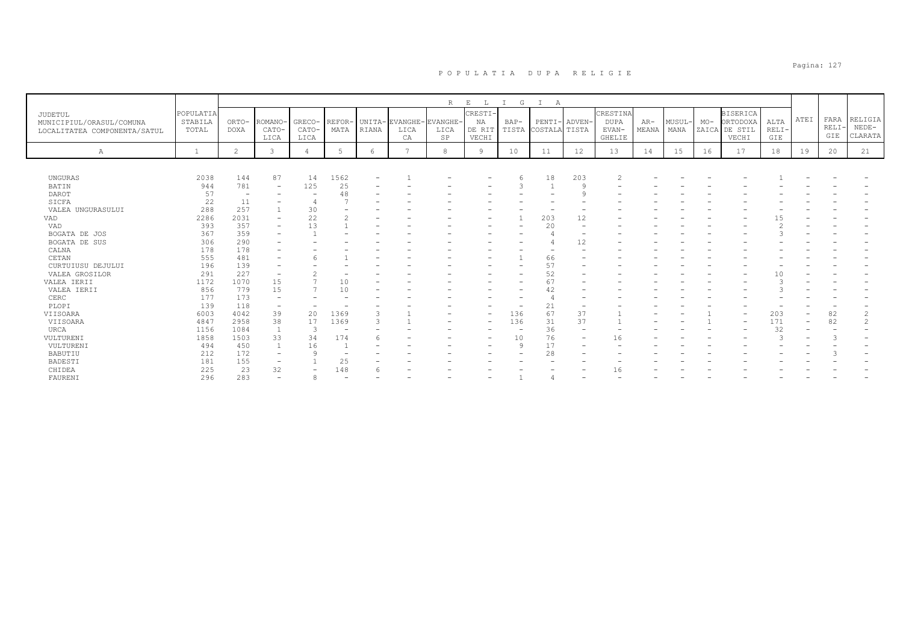|                                                                     |                               |                      |                          |                         |                      |                          |                                      | $R_{\perp}$ | $\mathbb E$<br>L.                | G<br>$\mathbb{I}$ | $\mathbb{I}$<br>А              |                          |                                            |                |                |       |                                                       |                        |                          |                     |                               |
|---------------------------------------------------------------------|-------------------------------|----------------------|--------------------------|-------------------------|----------------------|--------------------------|--------------------------------------|-------------|----------------------------------|-------------------|--------------------------------|--------------------------|--------------------------------------------|----------------|----------------|-------|-------------------------------------------------------|------------------------|--------------------------|---------------------|-------------------------------|
| JUDETUL<br>MUNICIPIUL/ORASUL/COMUNA<br>LOCALITATEA COMPONENTA/SATUL | POPULATIA<br>STABILA<br>TOTAL | ORTO-<br><b>DOXA</b> | ROMANO-<br>CATO-<br>LICA | GRECO-<br>CATO-<br>LICA | <b>REFOR</b><br>MATA | RIANA                    | UNITA-EVANGHE-EVANGHE-<br>LICA<br>CA | LICA<br>SP  | CRESTI-<br>NA<br>DE RIT<br>VECHI | $BAP-$<br>TISTA   | PENTI- ADVEN-<br>COSTALA TISTA |                          | CRESTINA<br>DUPA<br>EVAN-<br><b>GHELIE</b> | $AR-$<br>MEANA | MUSUL-<br>MANA | $MO-$ | <b>BISERICA</b><br>ORTODOXA<br>ZAICA DE STIL<br>VECHI | ALTA<br>$RELI-$<br>GIE | ATEI                     | FARA<br>RELI<br>GIE | RELIGIA<br>$NEDE-$<br>CLARATA |
| Α                                                                   |                               | $\overline{2}$       | 3                        |                         | -5                   | 6                        | $\overline{ }$                       | 8           | 9                                | 10                | 11                             | 12                       | 13                                         | 14             | 15             | 16    | 17                                                    | 18                     | 19                       | 20                  | 21                            |
|                                                                     |                               |                      |                          |                         |                      |                          |                                      |             |                                  |                   |                                |                          |                                            |                |                |       |                                                       |                        |                          |                     |                               |
| UNGURAS                                                             | 2038                          | 144                  | 87                       | 14                      | 1562                 | $\overline{\phantom{a}}$ |                                      |             |                                  |                   | 18                             | 203                      |                                            |                |                |       |                                                       |                        |                          |                     |                               |
| BATIN                                                               | 944                           | 781                  | $\overline{\phantom{0}}$ | 125                     | 25                   |                          |                                      |             |                                  |                   |                                | $\circ$                  |                                            |                |                |       |                                                       |                        |                          |                     |                               |
| DAROT                                                               | 57                            |                      |                          |                         | 48                   |                          |                                      |             |                                  |                   |                                | c                        |                                            |                |                |       |                                                       |                        |                          |                     |                               |
| SICFA                                                               | 22                            | 11                   |                          |                         |                      |                          |                                      |             |                                  |                   |                                |                          |                                            |                |                |       |                                                       |                        |                          |                     |                               |
| VALEA UNGURASULUI                                                   | 288                           | 257                  |                          | 30                      |                      |                          |                                      |             |                                  |                   |                                |                          |                                            |                |                |       |                                                       |                        |                          |                     |                               |
| VAD                                                                 | 2286                          | 2031                 |                          | 22                      |                      |                          |                                      |             |                                  |                   | 203                            | 12                       |                                            |                |                |       |                                                       | -5                     |                          |                     |                               |
| VAD                                                                 | 393                           | 357                  |                          | 13                      |                      |                          |                                      |             |                                  |                   | 20                             |                          |                                            |                |                |       |                                                       |                        |                          |                     |                               |
| BOGATA DE JOS                                                       | 367                           | 359                  |                          |                         |                      |                          |                                      |             |                                  |                   |                                |                          |                                            |                |                |       |                                                       |                        |                          |                     |                               |
| BOGATA DE SUS                                                       | 306                           | 290                  |                          |                         |                      |                          |                                      |             |                                  |                   |                                | 12                       |                                            |                |                |       |                                                       |                        |                          |                     |                               |
| CALNA                                                               | 178                           | 178                  |                          |                         |                      |                          |                                      |             |                                  |                   | ۰                              |                          |                                            |                |                |       |                                                       |                        |                          |                     |                               |
| CETAN                                                               | 555                           | 481                  |                          |                         |                      |                          |                                      |             |                                  |                   | 66                             |                          |                                            |                |                |       |                                                       |                        |                          |                     |                               |
| CURTUIUSU DEJULUI                                                   | 196                           | 139                  |                          |                         |                      |                          |                                      |             |                                  |                   | 57                             |                          |                                            |                |                |       |                                                       |                        |                          |                     |                               |
| VALEA GROSILOR                                                      | 291                           | 227                  | $\overline{\phantom{a}}$ |                         |                      |                          |                                      |             |                                  |                   | 52                             |                          |                                            |                |                |       |                                                       | ١O                     |                          |                     |                               |
| VALEA IERII                                                         | 1172                          | 1070                 | 15                       |                         | 10                   |                          |                                      |             |                                  |                   | 67                             |                          |                                            |                |                |       |                                                       |                        |                          |                     |                               |
| VALEA IERII                                                         | 856                           | 779                  | 15                       |                         | 10                   |                          |                                      |             |                                  |                   | 42                             |                          |                                            |                |                |       |                                                       |                        |                          |                     |                               |
| CERC                                                                | 177                           | 173                  |                          |                         |                      |                          |                                      |             |                                  |                   |                                |                          |                                            |                |                |       |                                                       |                        |                          |                     |                               |
| PLOPI                                                               | 139                           | 118                  | $\overline{\phantom{a}}$ |                         |                      |                          |                                      |             |                                  |                   | 21                             |                          |                                            |                |                |       |                                                       |                        |                          |                     |                               |
| VIISOARA                                                            | 6003                          | 4042                 | 39                       | 20                      | 1369                 | 3                        |                                      |             | $\overline{\phantom{a}}$         | 136               | 67                             | 37                       |                                            |                |                |       |                                                       | 203                    |                          | 82                  | $\overline{c}$                |
| VIISOARA                                                            | 4847                          | 2958                 | 38                       | 17                      | 1369                 | $\mathcal{R}$            |                                      |             | $\overline{\phantom{a}}$         | 136               | 31                             | 37                       |                                            |                |                |       |                                                       | 171                    | $\overline{\phantom{0}}$ | 82                  | $\overline{\mathcal{L}}$      |
| URCA                                                                | 1156                          | 1084                 | -1                       | 3                       |                      |                          |                                      |             |                                  |                   | 36                             | $\overline{\phantom{a}}$ |                                            |                |                |       |                                                       | 32                     |                          |                     |                               |
| VULTURENI                                                           | 1858                          | 1503                 | 33                       | 34                      | 174                  |                          |                                      |             | $\qquad \qquad$                  | 10                | 76                             | ۰                        | 16                                         |                |                |       |                                                       | 3                      |                          | 3                   |                               |
| VULTURENI                                                           | 494                           | 450                  | $\overline{1}$           | 16                      |                      |                          |                                      |             | $\overline{\phantom{a}}$         | $\mathsf{Q}$      | 17                             |                          |                                            |                |                |       |                                                       |                        |                          |                     |                               |
| BABUTIU                                                             | 212                           | 172                  | $\overline{\phantom{0}}$ | $\circ$                 |                      |                          |                                      |             |                                  |                   | 28                             |                          |                                            |                |                |       |                                                       |                        |                          |                     |                               |
| BADESTI                                                             | 181                           | 155                  | $\overline{\phantom{0}}$ |                         | 25                   |                          |                                      |             |                                  |                   |                                |                          |                                            |                |                |       |                                                       |                        |                          |                     |                               |
| CHIDEA                                                              | 225                           | 23                   | 32                       | ۰                       | 148                  |                          |                                      |             |                                  |                   |                                |                          |                                            |                |                |       |                                                       |                        |                          |                     |                               |
| FAURENI                                                             | 296                           | 283                  |                          | 8                       |                      |                          |                                      |             |                                  |                   |                                |                          |                                            |                |                |       |                                                       |                        |                          |                     |                               |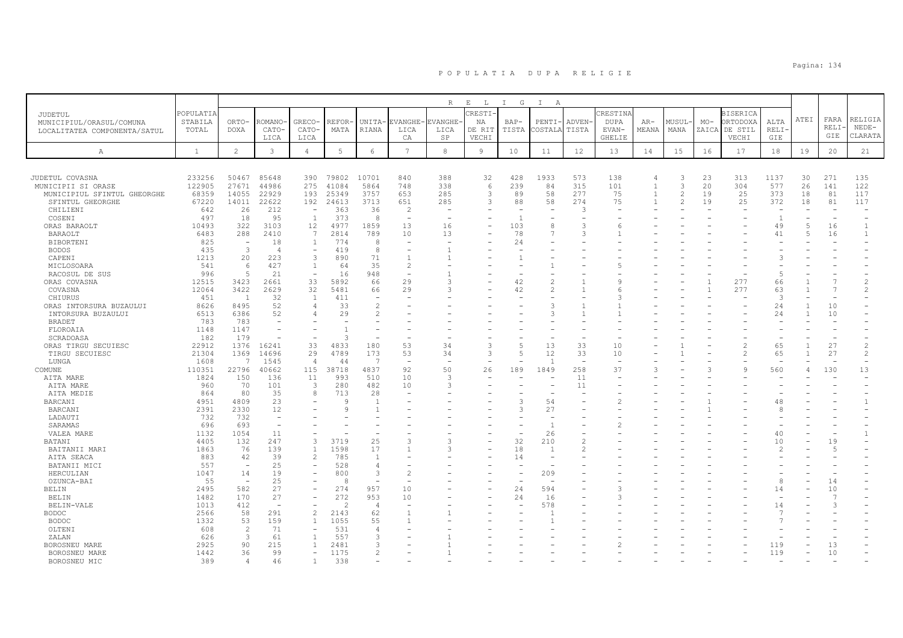|                              |              |                          |                                                      |                                          |                 |                          |                                            | R              | $\,$ E<br>$\mathbb{L}$ | G<br>$\mathbb{I}$ | $\mathbb{I}$<br>A |                          |                          |                |                |               |                 |                |                |                          |                          |
|------------------------------|--------------|--------------------------|------------------------------------------------------|------------------------------------------|-----------------|--------------------------|--------------------------------------------|----------------|------------------------|-------------------|-------------------|--------------------------|--------------------------|----------------|----------------|---------------|-----------------|----------------|----------------|--------------------------|--------------------------|
| JUDETUL                      | POPULATIA    |                          |                                                      |                                          |                 |                          |                                            |                | RESTI-                 |                   |                   |                          | CRESTINA                 |                |                |               | <b>BISERICA</b> |                |                |                          |                          |
| MUNICIPIUL/ORASUL/COMUNA     | STABILA      | ORTO-                    | ROMANO                                               | <b>GRECO</b>                             | REFOR           | UNITA-                   | <b>EVANGHE</b>                             | <b>EVANGHE</b> | ΝA                     | BAP-              | PENTI             | ADVEN-                   | <b>DUPA</b>              | $AR-$          | MUSUL          | $MO-$         | ORTODOXA        | ALTA           | ATEI           | FARA                     | RELIGIA                  |
| LOCALITATEA COMPONENTA/SATUL | TOTAL        | <b>DOXA</b>              | CATO-                                                | CATO-                                    | MATA            | RIANA                    | LICA                                       | LICA           | DE RIT                 | TISTA             | COSTALA           | TISTA                    | EVAN-                    | MEANA          | MANA           | ZAICA         | DE STIL         | <b>RELI</b>    |                | <b>RELI</b>              | $NEDE-$                  |
|                              |              |                          | LICA                                                 | LICA                                     |                 |                          | CA                                         | SP             | VECHI                  |                   |                   |                          | <b>GHELIE</b>            |                |                |               | VECHI           | GIE            |                | GIE                      | CLARATA                  |
| Α                            | <sup>1</sup> | $\overline{2}$           | 3                                                    | $\overline{4}$                           | $5\phantom{.0}$ | 6                        | $\overline{7}$                             | 8              | 9                      | 10                | 11                | 12                       | 13                       | 14             | 15             | 16            | 17              | 18             | 19             | 20                       | 21                       |
|                              |              |                          |                                                      |                                          |                 |                          |                                            |                |                        |                   |                   |                          |                          |                |                |               |                 |                |                |                          |                          |
|                              |              |                          |                                                      |                                          |                 |                          |                                            |                |                        |                   |                   |                          |                          |                |                |               |                 |                |                |                          |                          |
| JUDETUL COVASNA              | 233256       | 50467                    | 85648                                                | 390                                      | 79802           | 10701                    | 840                                        | 388            | 32                     | 428               | 1933              | 573                      | 138                      |                | 3              | 23            | 313             | 1137           | 30             | 271                      | 135                      |
| MUNICIPII SI ORASE           | 122905       | 27671                    | 44986                                                | 275                                      | 41084           | 5864                     | 748                                        | 338            | 6                      | 239               | 84                | 315                      | 101                      | $\overline{1}$ | 3              | 20            | 304             | 577            | 26             | 141                      | 122                      |
| MUNICIPIUL SFINTUL GHEORGHE  | 68359        | 14055                    | 22929                                                | 193                                      | 25349           | 3757                     | 653                                        | 285            | 3                      | 89                | 58                | 277                      | 75                       |                | $\overline{2}$ | 19            | 25              | 373            | 18             | 81                       | 117                      |
| SFINTUL GHEORGHE             | 67220        | 14011                    | 22622                                                | 192                                      | 24613           | 3713                     | 651                                        | 285            | 3                      | 88                | 58                | 274                      | 75                       |                | $\mathfrak{D}$ | 19            | 25              | 372            | 18             | 81                       | 117                      |
| CHILIENI<br>COSENI           | 642<br>497   | 26<br>18                 | 212<br>95                                            | $\overline{\phantom{a}}$<br>$\mathbf{1}$ | 363<br>373      | 36<br>8                  | $\overline{2}$<br>$\overline{\phantom{a}}$ |                |                        | $\overline{1}$    |                   | 3                        |                          |                |                |               |                 | $\overline{1}$ |                | ÷,                       |                          |
| ORAS BARAOLT                 | 10493        | 322                      | 3103                                                 | 12                                       | 4977            | 1859                     | 13                                         | 16             |                        | 103               |                   | 3                        | 6                        |                |                |               |                 | 49             | 5              | 16                       | -1                       |
| BARAOLT                      | 6483         | 288                      | 2410                                                 | 7                                        | 2814            | 789                      | 10                                         | 13             |                        | 78                |                   | 3                        |                          |                |                |               |                 | 41             | $\overline{5}$ | 16                       | $\overline{1}$           |
| <b>BIBORTENI</b>             | 825          | $\sim$                   | 18                                                   | $\overline{1}$                           | 774             | 8                        |                                            |                |                        | 24                |                   |                          |                          |                |                |               |                 |                |                |                          |                          |
| <b>BODOS</b>                 | 435          | $\overline{3}$           | $\overline{4}$                                       | $\overline{\phantom{a}}$                 | 419             | 8                        |                                            |                |                        |                   |                   |                          |                          |                |                |               |                 |                |                |                          |                          |
| CAPENI                       | 1213         | 20                       | 223                                                  | 3                                        | 890             | 71                       |                                            |                |                        |                   |                   |                          |                          |                |                |               |                 |                |                |                          |                          |
| MICLOSOARA                   | 541          | -6                       | 427                                                  | $\overline{1}$                           | 64              | 35                       | $\mathfrak{D}_{1}^{(1)}$                   |                |                        |                   |                   |                          |                          |                |                |               |                 |                |                |                          |                          |
| RACOSUL DE SUS               | 996          | $\overline{5}$           | 21                                                   | $\overline{\phantom{a}}$                 | 16              | 948                      |                                            |                |                        |                   |                   |                          |                          |                |                |               |                 |                |                |                          |                          |
| ORAS COVASNA                 | 12515        | 3423                     | 2661                                                 | 33                                       | 5892            | 66                       | 29                                         | $\mathcal{R}$  |                        | 42                |                   |                          | $\circ$                  |                |                |               | 277             | 66             |                |                          |                          |
| COVASNA                      | 12064        | 3422                     | 2629                                                 | 32                                       | 5481            | 66                       | 29                                         |                |                        | 42                |                   |                          | h                        |                |                |               | 277             | 63             |                | 7                        | 2                        |
| CHIURUS                      | 451          | 1                        | 32                                                   | $\overline{1}$                           | 411             | $\overline{\phantom{m}}$ |                                            |                |                        |                   |                   |                          | 3                        |                |                |               |                 | $\mathcal{F}$  |                |                          |                          |
| ORAS INTORSURA BUZAULUI      | 8626         | 8495                     | 52                                                   | $\overline{4}$                           | 33              | $\mathbf{2}$             |                                            |                |                        |                   |                   |                          |                          |                |                |               |                 | 24             |                | 10                       |                          |
| INTORSURA BUZAULUI           | 6513         | 6386                     | 52                                                   | 4                                        | 29              | 2                        |                                            |                |                        |                   |                   |                          |                          |                |                |               |                 | 24             |                | 10                       |                          |
| <b>BRADET</b>                | 783<br>1148  | 783<br>1147              |                                                      |                                          |                 |                          |                                            |                |                        |                   |                   |                          |                          |                |                |               |                 |                |                |                          |                          |
| FLOROAIA<br>SCRADOASA        | 182          | 179                      |                                                      |                                          | २               |                          |                                            |                |                        |                   |                   |                          |                          |                |                |               |                 |                |                |                          |                          |
| ORAS TIRGU SECUIESC          | 22912        | 1376                     | 16241                                                | 33                                       | 4833            | 180                      | 53                                         | 34             |                        | $\overline{5}$    | 13                | 33                       | 10                       |                |                |               | $\overline{c}$  | 65             |                | 27                       | $\overline{c}$           |
| TIRGU SECUIESC               | 21304        | 1369                     | 14696                                                | 29                                       | 4789            | 173                      | 53                                         | 34             |                        | $\overline{5}$    | 12                | 33                       | 10                       |                |                |               | $\mathcal{D}$   | 65             |                | 27                       | $\overline{c}$           |
| LUNGA                        | 1608         | $\overline{7}$           | 1545                                                 | $\overline{4}$                           | 44              | 7                        | $\overline{\phantom{a}}$                   |                |                        |                   | r.                | $\overline{\phantom{0}}$ | $\overline{\phantom{a}}$ |                |                |               |                 |                |                | $\overline{\phantom{a}}$ | $\overline{\phantom{0}}$ |
| COMUNE                       | 110351       | 22796                    | 40662                                                | 115                                      | 38718           | 4837                     | 92                                         | 50             | 26                     | 189               | 1849              | 258                      | 37                       |                |                | $\mathcal{L}$ | 9               | 560            |                | 130                      | 13                       |
| AITA MARE                    | 1824         | 150                      | 136                                                  | 11                                       | 993             | 510                      | 10                                         | $\mathcal{L}$  |                        |                   |                   | 11                       | $\overline{\phantom{0}}$ |                |                |               |                 |                |                |                          |                          |
| AITA MARE                    | 960          | 70                       | 101                                                  | 3                                        | 280             | 482                      | 10                                         | $\mathcal{R}$  |                        |                   |                   | 11                       |                          |                |                |               |                 |                |                |                          |                          |
| AITA MEDIE                   | 864          | 80                       | 35                                                   | 8                                        | 713             | 28                       |                                            |                |                        |                   |                   |                          |                          |                |                |               |                 |                |                |                          |                          |
| <b>BARCANI</b>               | 4951         | 4809                     | 23                                                   |                                          | Q               | $\overline{1}$           |                                            |                |                        | 3                 | 54                |                          | 2                        |                |                |               |                 | 48             |                |                          |                          |
| <b>BARCANI</b>               | 2391         | 2330                     | 12                                                   |                                          |                 | $\mathbf{1}$             |                                            |                |                        | 3                 | 27                |                          |                          |                |                |               |                 |                |                |                          |                          |
| LADAUTI                      | 732          | 732                      | $\overline{\phantom{a}}$<br>$\overline{\phantom{a}}$ |                                          |                 |                          |                                            |                |                        |                   |                   |                          |                          |                |                |               |                 |                |                |                          |                          |
| SARAMAS                      | 696<br>1132  | 693<br>1054              | 11                                                   |                                          |                 | $\overline{\phantom{m}}$ |                                            |                |                        |                   | 26                |                          |                          |                |                |               |                 | 40             |                | ٠                        |                          |
| VALEA MARE<br>BATANI         | 4405         | 132                      | 247                                                  | 3                                        | 3719            | 25                       | Р                                          |                |                        | 32                | 210               | $\mathcal{L}$            |                          |                |                |               |                 | 10             |                | 19                       |                          |
| BAITANII MARI                | 1863         | 76                       | 139                                                  | $\mathbf{1}$                             | 1598            | 17                       |                                            |                |                        | 18                | $\overline{1}$    | $\mathfrak{D}$           |                          |                |                |               |                 | $\mathcal{P}$  |                | $\overline{5}$           |                          |
| AITA SEACA                   | 883          | 42                       | 39                                                   | 2                                        | 785             | $\mathbf{1}$             |                                            |                |                        | 14                |                   |                          |                          |                |                |               |                 |                |                |                          |                          |
| BATANII MICI                 | 557          | $\overline{\phantom{a}}$ | 25                                                   | $\overline{\phantom{a}}$                 | 528             | $\overline{4}$           |                                            |                |                        |                   |                   |                          |                          |                |                |               |                 |                |                |                          |                          |
| HERCULIAN                    | 1047         | 14                       | 19                                                   |                                          | 800             | 3                        | 2                                          |                |                        |                   | 209               |                          |                          |                |                |               |                 |                |                |                          |                          |
| OZUNCA-BAI                   | 55           | $\overline{\phantom{a}}$ | 25                                                   |                                          | 8               | $\overline{\phantom{a}}$ |                                            |                |                        |                   |                   |                          |                          |                |                |               |                 | 8              |                | 14                       |                          |
| BELIN                        | 2495         | 582                      | 27                                                   |                                          | 274             | 957                      | 10                                         |                |                        | 24                | 594               |                          | 3                        |                |                |               |                 | 14             |                | 10                       |                          |
| BELIN                        | 1482         | 170                      | 27                                                   | $\overline{\phantom{a}}$                 | 272             | 953                      | 10                                         |                |                        | 24                | 16                |                          | $\mathcal{L}$            |                |                |               |                 |                |                |                          |                          |
| BELIN-VALE                   | 1013         | 412                      |                                                      |                                          | 2               | $\overline{4}$           |                                            |                |                        |                   | 578               |                          |                          |                |                |               |                 | 14             |                | 3                        |                          |
| <b>BODOC</b>                 | 2566         | 58                       | 291                                                  | 2                                        | 2143            | 62                       |                                            |                |                        |                   |                   |                          |                          |                |                |               |                 |                |                |                          |                          |
| <b>BODOC</b>                 | 1332         | 53                       | 159                                                  | $\mathbf{1}$                             | 1055            | 55                       | $\mathbf{1}$                               |                |                        |                   |                   |                          |                          |                |                |               |                 |                |                |                          |                          |
| OLTENI                       | 608          | $\overline{2}$           | 71                                                   | $\overline{\phantom{a}}$                 | 531             | $\overline{4}$           |                                            |                |                        |                   |                   |                          |                          |                |                |               |                 |                |                |                          |                          |
| ZALAN<br>BOROSNEU MARE       | 626<br>2925  | -3<br>90                 | 61<br>215                                            | $\overline{1}$<br>$\overline{1}$         | 557<br>2481     | 3<br>3                   |                                            |                |                        |                   |                   |                          |                          |                |                |               |                 | 119            |                | 13                       |                          |
| BOROSNEU MARE                | 1442         | 36                       | 99                                                   |                                          | 1175            | $\overline{2}$           |                                            |                |                        |                   |                   |                          |                          |                |                |               |                 | 119            |                | 10                       |                          |
| BOROSNEU MTC                 | 389          | $\overline{4}$           | 46                                                   |                                          | 338             |                          |                                            |                |                        |                   |                   |                          |                          |                |                |               |                 |                |                |                          |                          |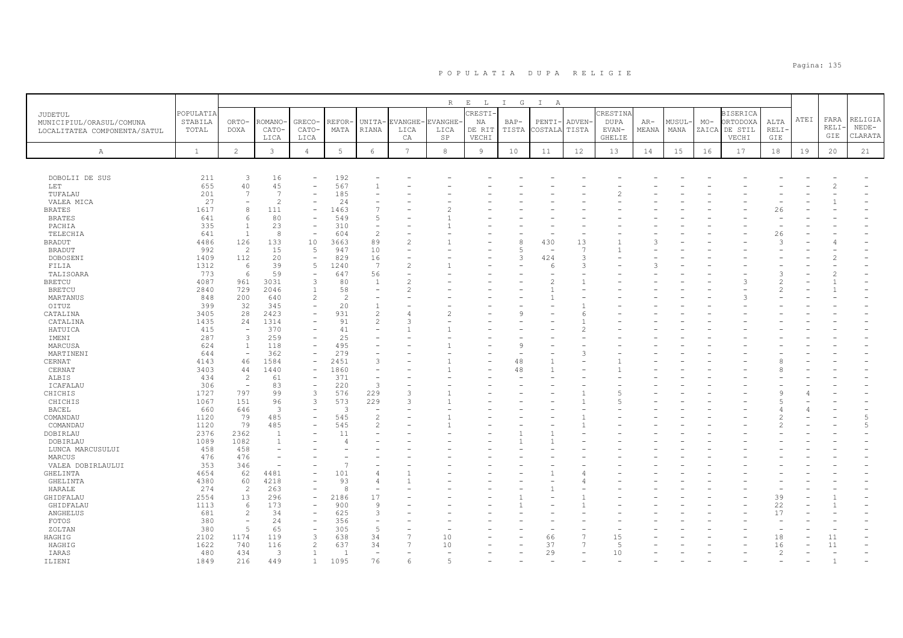|                              |              |                          |                          |                                  |                 |                                |                 | R       | $\mathbb E$ $\qquad$ L $\qquad$ | $\mathbb{I}$<br>G | $\mathbb{I}$<br>A |               |               |               |        |       |                 |               |      |              |                |
|------------------------------|--------------|--------------------------|--------------------------|----------------------------------|-----------------|--------------------------------|-----------------|---------|---------------------------------|-------------------|-------------------|---------------|---------------|---------------|--------|-------|-----------------|---------------|------|--------------|----------------|
| JUDETUL                      | POPULATIA    |                          |                          |                                  |                 |                                |                 |         | CRESTI                          |                   |                   |               | CRESTINA      |               |        |       | <b>BISERICA</b> |               |      |              |                |
| MUNICIPIUL/ORASUL/COMUNA     | STABILA      | ORTO-                    | -ROMANO                  | GRECO-                           | REFOR           | UNITA-                         | EVANGHE-        | EVANGHE | NA                              | BAP-              | PENTI-            | ADVEN-        | <b>DUPA</b>   | $AR-$         | MUSUL- | $MO-$ | ORTODOXA        | ALTA          | ATEI | FARA         | RELIGIA        |
| LOCALITATEA COMPONENTA/SATUL | TOTAL        | <b>DOXA</b>              | CATO-                    | CATO-                            | MATA            | RIANA                          | LICA            | LICA    | DE RIT                          | TISTA             | COSTALA           | TISTA         | EVAN-         | MEANA         | MANA   |       | ZAICA DE STIL   | RELI·         |      | RELI         | $NEDE-$        |
|                              |              |                          | LICA                     | LICA                             |                 |                                | CA              | SP      | VECHI                           |                   |                   |               | <b>GHELIE</b> |               |        |       | VECHI           | GIE           |      | GIE          | CLARATA        |
| $\mathbb{A}$                 | $\mathbf{1}$ | $\overline{2}$           | $\mathbf{3}$             | $\overline{4}$                   | $5\phantom{.0}$ | 6                              | $7\overline{ }$ | 8       | 9                               | 10                | 11                | 12            | 13            | 14            | 15     | 16    | 17              | 18            | 19   | 20           | 21             |
|                              |              |                          |                          |                                  |                 |                                |                 |         |                                 |                   |                   |               |               |               |        |       |                 |               |      |              |                |
|                              |              |                          |                          |                                  |                 |                                |                 |         |                                 |                   |                   |               |               |               |        |       |                 |               |      |              |                |
| DOBOLII DE SUS               | 211          | 3                        | 16                       |                                  | 192             |                                |                 |         |                                 |                   |                   |               |               |               |        |       |                 |               |      |              |                |
| LET                          | 655          | 40                       | 45                       |                                  | 567             | $\overline{1}$                 |                 |         |                                 |                   |                   |               |               |               |        |       |                 |               |      |              |                |
| TUFALAU                      | 201          | 7                        | $\overline{7}$           |                                  | 185             |                                |                 |         |                                 |                   |                   |               |               |               |        |       |                 |               |      |              |                |
| VALEA MICA                   | 27           | 8                        | $\overline{c}$           | L.                               | 24              | $\overline{7}$                 |                 |         |                                 |                   |                   |               |               |               |        |       |                 |               |      |              |                |
| BRATES                       | 1617         | 6                        | 111<br>80                |                                  | 1463<br>549     | 5                              |                 |         |                                 |                   |                   |               |               |               |        |       |                 | 26            |      |              |                |
| <b>BRATES</b>                | 641<br>335   | $\overline{1}$           | 23                       | $\overline{\phantom{0}}$         | 310             | $\overline{\phantom{a}}$       |                 |         |                                 |                   |                   |               |               |               |        |       |                 |               |      |              |                |
| PACHIA<br>TELECHIA           | 641          | $\overline{1}$           | 8                        |                                  | 604             | $\overline{c}$                 |                 |         |                                 |                   |                   |               |               |               |        |       |                 | 26            |      |              |                |
| <b>BRADUT</b>                | 4486         | 126                      | 133                      | 10                               | 3663            | 89                             |                 |         |                                 | 8                 | 430               | 13            |               |               |        |       |                 | $\mathcal{L}$ |      |              |                |
| <b>BRADUT</b>                | 992          | $\overline{2}$           | 15                       | 5                                | 947             | 10                             |                 |         |                                 |                   |                   | 7             |               |               |        |       |                 |               |      |              |                |
| DOBOSENI                     | 1409         | 112                      | 20                       | $\sim$                           | 829             | 16                             |                 |         |                                 | З                 | 424               | $\mathcal{L}$ |               |               |        |       |                 |               |      |              |                |
| FILIA                        | 1312         | 6                        | 39                       | 5                                | 1240            | 7                              | $\overline{2}$  |         |                                 |                   | 6                 | 3             |               | $\mathcal{A}$ |        |       |                 |               |      |              |                |
| TALISOARA                    | 773          | 6                        | 59                       | $\overline{\phantom{a}}$         | 647             | 56                             |                 |         |                                 |                   |                   |               |               |               |        |       |                 |               |      |              |                |
| <b>BRETCU</b>                | 4087         | 961                      | 3031                     | 3                                | 80              | 1                              |                 |         |                                 |                   | $\overline{c}$    |               |               |               |        |       | 3               |               |      |              |                |
| <b>BRETCU</b>                | 2840         | 729                      | 2046                     | $\overline{1}$                   | 58              | L.                             |                 |         |                                 |                   | $\mathbf{1}$      |               |               |               |        |       |                 | $\mathcal{P}$ |      |              |                |
| MARTANUS                     | 848          | 200                      | 640                      | $\overline{c}$                   | $\overline{c}$  |                                |                 |         |                                 |                   |                   |               |               |               |        |       |                 |               |      |              |                |
| OITUZ                        | 399          | 32                       | 345                      | ÷,                               | 20              | $\mathbf{1}$                   |                 |         |                                 |                   |                   |               |               |               |        |       |                 |               |      |              |                |
| CATALINA                     | 3405         | 28                       | 2423                     | Ē,                               | 931             | $\overline{c}$                 |                 | 2       |                                 |                   |                   |               |               |               |        |       |                 |               |      |              |                |
| CATALINA                     | 1435         | 24                       | 1314                     | L.                               | 91              | $\overline{c}$                 | 3               |         |                                 |                   |                   |               |               |               |        |       |                 |               |      |              |                |
| HATUICA                      | 415          | $\sim$                   | 370                      |                                  | 41              |                                |                 |         |                                 |                   |                   |               |               |               |        |       |                 |               |      |              |                |
| IMENI                        | 287          | 3                        | 259                      |                                  | 25              |                                |                 |         |                                 |                   |                   |               |               |               |        |       |                 |               |      |              |                |
| MARCUSA                      | 624          | $\mathbf{1}$             | 118                      | L.                               | 495             |                                |                 |         |                                 |                   |                   |               |               |               |        |       |                 |               |      |              |                |
| MARTINENI                    | 644          | $\overline{\phantom{a}}$ | 362                      | $\overline{\phantom{a}}$         | 279             |                                |                 |         |                                 |                   |                   | Р             |               |               |        |       |                 |               |      |              |                |
| CERNAT                       | 4143<br>3403 | 46<br>44                 | 1584<br>1440             | $\qquad \qquad -$<br>L.          | 2451            | 3<br>$\overline{\phantom{a}}$  |                 |         |                                 | 48<br>48          | $\mathbf{1}$      |               |               |               |        |       |                 |               |      |              |                |
| CERNAT<br>ALBIS              | 434          | $\overline{2}$           | 61                       |                                  | 1860<br>371     |                                |                 |         |                                 |                   |                   |               |               |               |        |       |                 |               |      |              |                |
| ICAFALAU                     | 306          | $\overline{\phantom{a}}$ | 83                       | $\sim$                           | 220             | $\overline{3}$                 |                 |         |                                 |                   |                   |               |               |               |        |       |                 |               |      |              |                |
| CHICHIS                      | 1727         | 797                      | 99                       | 3                                | 576             | 229                            | 3               |         |                                 |                   |                   |               | 5             |               |        |       |                 |               |      |              |                |
| CHICHIS                      | 1067         | 151                      | 96                       | $\overline{3}$                   | 573             | 229                            | ς               |         |                                 |                   |                   |               | ц             |               |        |       |                 |               |      |              |                |
| <b>BACEL</b>                 | 660          | 646                      | 3                        |                                  | $\mathcal{R}$   |                                |                 |         |                                 |                   |                   |               |               |               |        |       |                 |               |      |              |                |
| COMANDAU                     | 1120         | 79                       | 485                      | Ē,                               | 545             | $\overline{c}$                 |                 |         |                                 |                   |                   |               |               |               |        |       |                 | $\mathcal{D}$ |      |              | $\overline{5}$ |
| COMANDAU                     | 1120         | 79                       | 485                      |                                  | 545             | $\mathfrak{D}$                 |                 |         |                                 |                   |                   |               |               |               |        |       |                 |               |      |              | $\overline{5}$ |
| DOBIRLAU                     | 2376         | 2362                     | $\overline{1}$           |                                  | 11              |                                |                 |         |                                 |                   |                   |               |               |               |        |       |                 |               |      |              |                |
| DOBIRLAU                     | 1089         | 1082                     | $\mathbf{1}$             |                                  | 4               |                                |                 |         |                                 |                   |                   |               |               |               |        |       |                 |               |      |              |                |
| LUNCA MARCUSULUI             | 458          | 458                      | $\overline{\phantom{m}}$ |                                  |                 |                                |                 |         |                                 |                   |                   |               |               |               |        |       |                 |               |      |              |                |
| MARCUS                       | 476          | 476                      |                          |                                  |                 |                                |                 |         |                                 |                   |                   |               |               |               |        |       |                 |               |      |              |                |
| VALEA DOBIRLAULUI            | 353          | 346                      |                          |                                  |                 |                                |                 |         |                                 |                   |                   |               |               |               |        |       |                 |               |      |              |                |
| GHELINTA                     | 4654         | 62                       | 4481                     |                                  | 101             |                                |                 |         |                                 |                   |                   |               |               |               |        |       |                 |               |      |              |                |
| GHELINTA                     | 4380         | 60                       | 4218                     |                                  | 93              | $\overline{A}$                 |                 |         |                                 |                   |                   |               |               |               |        |       |                 |               |      |              |                |
| HARALE                       | 274          | $\overline{2}$           | 263                      |                                  | 8               |                                |                 |         |                                 |                   |                   |               |               |               |        |       |                 |               |      |              |                |
| GHIDFALAU                    | 2554         | 13                       | 296                      | $\overline{\phantom{a}}$         | 2186            | 17                             |                 |         |                                 |                   |                   |               |               |               |        |       |                 | 39            |      |              |                |
| GHIDFALAU                    | 1113         | 6                        | 173                      | L.                               | 900             | 9                              |                 |         |                                 |                   |                   |               |               |               |        |       |                 | 22            |      |              |                |
| ANGHELUS                     | 681          | $\overline{c}$           | 34                       | $\qquad \qquad -$                | 625             | $\overline{3}$                 |                 |         |                                 |                   |                   |               |               |               |        |       |                 | 17            |      |              |                |
| FOTOS                        | 380          |                          | 24                       | ۰                                | 356             | $\overline{\phantom{a}}$       |                 |         |                                 |                   |                   |               |               |               |        |       |                 |               |      |              |                |
| ZOLTAN                       | 380          | 5                        | 65                       | $\overline{\phantom{a}}$         | 305             | 5                              |                 |         |                                 |                   |                   |               |               |               |        |       |                 |               |      |              |                |
| HAGHIG                       | 2102         | 1174                     | 119                      | $\overline{3}$<br>$\overline{c}$ | 638             | 34                             |                 | 10      |                                 |                   | 66                |               | 15            |               |        |       |                 | 18            |      | 11           |                |
| HAGHIG                       | 1622         | 740                      | 116                      |                                  | 637             | 34<br>$\overline{\phantom{a}}$ |                 | 10      |                                 |                   | 37                |               | 5             |               |        |       |                 | 16            |      | 11           |                |
| IARAS                        | 480          | 434                      | 3                        | 1                                |                 |                                |                 | 5       |                                 |                   | 29                |               | 10            |               |        |       |                 | 2             |      | $\mathbf{1}$ |                |
| ILIENI                       | 1849         | 216                      | 449                      | $\mathbf{1}$                     | 1095            | 76                             | 6               |         |                                 |                   |                   |               |               |               |        |       |                 |               |      |              |                |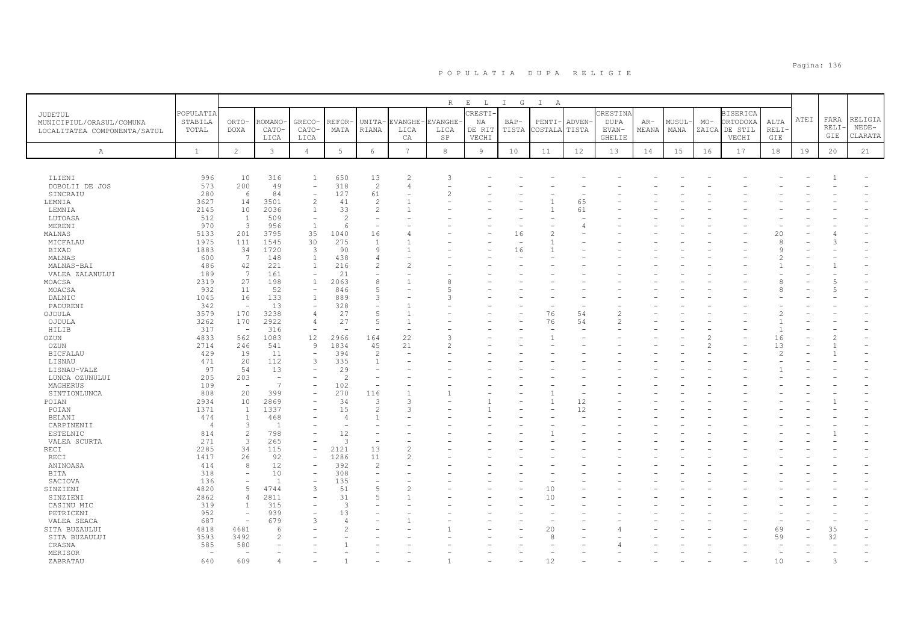|                              |                                 |                          |                          |                          |                          |                          |                | R              | $\mathbf{E}=-\mathbf{L}$ | $\mathbb{I}$<br>G | $\mathbb{I}$<br>A |          |               |       |        |                          |                 |               |      |      |         |
|------------------------------|---------------------------------|--------------------------|--------------------------|--------------------------|--------------------------|--------------------------|----------------|----------------|--------------------------|-------------------|-------------------|----------|---------------|-------|--------|--------------------------|-----------------|---------------|------|------|---------|
| JUDETUL                      | POPULATIA                       |                          |                          |                          |                          |                          |                |                | CRESTI-                  |                   |                   |          | CRESTINA      |       |        |                          | <b>BISERICA</b> |               |      |      |         |
| MUNICIPIUL/ORASUL/COMUNA     | STABILA                         | ORTO-                    | ROMANO                   | <b>GRECO</b>             | REFOR                    | UNITA-                   | EVANGHE-       | <b>EVANGHE</b> | NA                       | $BAP-$            | PENTI             | ADVEN-   | <b>DUPA</b>   | AR-   | MUSUL- | $MO-$                    | ORTODOXA        | ALTA          | ATEI | FARA | RELIGIA |
| LOCALITATEA COMPONENTA/SATUL | TOTAL                           | <b>DOXA</b>              | CATO-                    | CATO-                    | MATA                     | <b>RIANA</b>             | LICA           | LICA           | DE RIT                   | TISTA             | COSTALA           | TISTA    | EVAN-         | MEANA | MANA   | ZAICA                    | DE STIL         | <b>RELI</b>   |      | RELI | $NEDE-$ |
|                              |                                 |                          | LICA                     | LICA                     |                          |                          | CA             | SP             | VECHI                    |                   |                   |          | <b>GHELIE</b> |       |        |                          | VECHI           | GIE           |      | GIE  | CLARATA |
| Α                            | <sup>1</sup>                    | $\overline{c}$           | 3                        | $\overline{4}$           | $5\phantom{.0}$          | 6                        | $\overline{7}$ | $^{\rm 8}$     | 9                        | 10                | 11                | 12       | 13            | 14    | 15     | 16                       | 17              | 18            | 19   | 20   | 21      |
|                              |                                 |                          |                          |                          |                          |                          |                |                |                          |                   |                   |          |               |       |        |                          |                 |               |      |      |         |
|                              |                                 |                          |                          |                          |                          |                          |                |                |                          |                   |                   |          |               |       |        |                          |                 |               |      |      |         |
| ILIENI                       | 996                             | 10                       | 316                      | 1                        | 650                      | 13                       | 2              |                |                          |                   |                   |          |               |       |        |                          |                 |               |      |      |         |
| DOBOLII DE JOS               | 573                             | 200                      | 49                       | $\overline{\phantom{a}}$ | 318                      | 2                        | 4              |                |                          |                   |                   |          |               |       |        |                          |                 |               |      |      |         |
| SINCRAIU                     | 280                             | 6                        | 84                       | $\overline{a}$           | 127                      | 61                       |                |                |                          |                   |                   |          |               |       |        |                          |                 |               |      |      |         |
| LEMNIA                       | 3627                            | 14                       | 3501                     | 2                        | 41                       | 2                        |                |                |                          |                   |                   | 65       |               |       |        |                          |                 |               |      |      |         |
| LEMNIA                       | 2145                            | 10                       | 2036                     | 1                        | 33                       | $\overline{c}$           |                |                |                          |                   |                   | 61       |               |       |        |                          |                 |               |      |      |         |
| LUTOASA                      | 512                             | $\mathbf{1}$             | 509                      | $\overline{\phantom{a}}$ | $\overline{\mathcal{L}}$ | $\overline{\phantom{a}}$ |                |                |                          |                   |                   |          |               |       |        |                          |                 |               |      |      |         |
| MERENI                       | 970                             | $\overline{3}$           | 956                      | $\mathbf{1}$             | 6                        | $\equiv$                 |                |                |                          |                   |                   |          |               |       |        |                          |                 |               |      |      |         |
| MALNAS                       | 5133                            | 201                      | 3795                     | 35<br>30                 | 1040                     | 16                       |                |                |                          | 16                |                   |          |               |       |        |                          |                 | 20            |      |      |         |
| MICFALAU                     | 1975                            | 111<br>34                | 1545<br>1720             | 3                        | 275<br>90                | $\overline{1}$<br>9      |                |                |                          | 16                |                   |          |               |       |        |                          |                 | £<br>Q        |      | 3    |         |
| <b>BIXAD</b>                 | 1883                            | 7                        | 148                      | 1                        |                          | 4                        |                |                |                          |                   |                   |          |               |       |        |                          |                 |               |      |      |         |
| MALNAS<br>MALNAS-BAI         | 600<br>486                      | 42                       | 221                      | $\overline{1}$           | 438<br>216               | 2                        |                |                |                          |                   |                   |          |               |       |        |                          |                 |               |      |      |         |
| VALEA ZALANULUI              | 189                             | 7                        | 161                      | $\overline{\phantom{a}}$ | 21                       | $\overline{\phantom{a}}$ |                |                |                          |                   |                   |          |               |       |        |                          |                 |               |      |      |         |
| MOACSA                       | 2319                            | 27                       | 198                      | $\mathbf{1}$             | 2063                     | 8                        |                |                |                          |                   |                   |          |               |       |        |                          |                 |               |      |      |         |
| MOACSA                       | 932                             | 11                       | 52                       | $\overline{\phantom{a}}$ | 846                      | 5                        |                |                |                          |                   |                   |          |               |       |        |                          |                 |               |      |      |         |
| DALNIC                       | 1045                            | 16                       | 133                      | $\mathbf{1}$             | 889                      | 3                        |                |                |                          |                   |                   |          |               |       |        |                          |                 |               |      |      |         |
| PADURENI                     | 342                             | $\sim$                   | 13                       | $\overline{\phantom{a}}$ | 328                      | $\overline{\phantom{0}}$ |                |                |                          |                   |                   |          |               |       |        |                          |                 |               |      |      |         |
| OJDULA                       | 3579                            | 170                      | 3238                     | $\overline{4}$           | 27                       | 5                        |                |                |                          |                   | 76                | 54       | $\mathcal{D}$ |       |        |                          |                 |               |      |      |         |
| OJDULA                       | 3262                            | 170                      | 2922                     | $\overline{4}$           | 27                       | 5                        | $\overline{1}$ |                |                          |                   | 76                | 54       | $\mathcal{D}$ |       |        |                          |                 |               |      |      |         |
| HILIB                        | 317                             | $\overline{\phantom{a}}$ | 316                      | $\overline{\phantom{a}}$ |                          | $\overline{\phantom{a}}$ |                |                |                          |                   |                   |          |               |       |        |                          |                 |               |      |      |         |
| OZUN                         | 4833                            | 562                      | 1083                     | 12                       | 2966                     | 164                      | 22             |                |                          |                   |                   |          |               |       |        | 2                        |                 | 16            |      | 2    |         |
| OZUN                         | 2714                            | 246                      | 541                      | $\overline{9}$           | 1834                     | 45                       | 21             |                |                          |                   |                   |          |               |       |        | $\mathfrak{D}_{1}^{(1)}$ |                 | 13            |      |      |         |
| <b>BICFALAU</b>              | 429                             | 19                       | 11                       | $\overline{\phantom{a}}$ | 394                      | 2                        |                |                |                          |                   |                   |          |               |       |        |                          |                 | $\mathcal{D}$ |      |      |         |
| LISNAU                       | 471                             | 20                       | 112                      | 3                        | 335                      | $\overline{1}$           |                |                |                          |                   |                   |          |               |       |        |                          |                 |               |      |      |         |
| LISNAU-VALE                  | 97                              | 54                       | 13                       |                          | 29                       |                          |                |                |                          |                   |                   |          |               |       |        |                          |                 |               |      |      |         |
| LUNCA OZUNULUI               | 205                             | 203                      | $\overline{\phantom{0}}$ |                          | $\overline{c}$           | $\overline{\phantom{a}}$ |                |                |                          |                   |                   |          |               |       |        |                          |                 |               |      |      |         |
| MAGHERUS                     | 109                             | $\overline{\phantom{a}}$ | $\overline{7}$           | $\overline{\phantom{a}}$ | 102                      | $\overline{\phantom{m}}$ |                |                |                          |                   |                   |          |               |       |        |                          |                 |               |      |      |         |
| SINTIONLUNCA                 | 808                             | 20                       | 399                      |                          | 270                      | 116                      |                |                |                          |                   |                   |          |               |       |        |                          |                 |               |      |      |         |
| POIAN                        | 2934<br>1371                    | 10<br>$\mathbf{1}$       | 2869<br>1337             | $\overline{\phantom{a}}$ | 34<br>15                 | 3<br>$\overline{c}$      | З              |                |                          |                   |                   | 12<br>12 |               |       |        |                          |                 |               |      |      |         |
| POIAN<br><b>BELANI</b>       | 474                             | <sup>1</sup>             | 468                      |                          | $\overline{4}$           | $\mathbf{1}$             |                |                |                          |                   |                   |          |               |       |        |                          |                 |               |      |      |         |
| CARPINENII                   | $\overline{4}$                  | 3                        | $\overline{1}$           |                          |                          |                          |                |                |                          |                   |                   |          |               |       |        |                          |                 |               |      |      |         |
| ESTELNIC                     | 814                             | $\overline{2}$           | 798                      | $\overline{\phantom{a}}$ | 12                       | $\overline{\phantom{a}}$ |                |                |                          |                   |                   |          |               |       |        |                          |                 |               |      |      |         |
| VALEA SCURTA                 | 271                             | $\overline{3}$           | 265                      |                          | 3                        | ÷,                       |                |                |                          |                   |                   |          |               |       |        |                          |                 |               |      |      |         |
| RECI                         | 2285                            | 34                       | 115                      | $\overline{\phantom{a}}$ | 2121                     | 13                       | $\overline{2}$ |                |                          |                   |                   |          |               |       |        |                          |                 |               |      |      |         |
| RECI                         | 1417                            | 26                       | 92                       |                          | 1286                     | 11                       |                |                |                          |                   |                   |          |               |       |        |                          |                 |               |      |      |         |
| ANINOASA                     | 414                             | 8                        | 12                       | $\overline{\phantom{a}}$ | 392                      | 2                        |                |                |                          |                   |                   |          |               |       |        |                          |                 |               |      |      |         |
| BITA                         | 318                             |                          | 10                       |                          | 308                      |                          |                |                |                          |                   |                   |          |               |       |        |                          |                 |               |      |      |         |
| SACIOVA                      | 136                             | $\overline{\phantom{0}}$ | $\overline{1}$           | $\overline{\phantom{a}}$ | 135                      | $\overline{\phantom{a}}$ |                |                |                          |                   |                   |          |               |       |        |                          |                 |               |      |      |         |
| SINZIENI                     | 4820                            | $\overline{5}$           | 4744                     | 3                        | 51                       | $\overline{5}$           |                |                |                          |                   | 10                |          |               |       |        |                          |                 |               |      |      |         |
| SINZIENI                     | 2862                            | $\overline{4}$           | 2811                     | $\overline{\phantom{a}}$ | 31                       | 5                        |                |                |                          |                   | 10                |          |               |       |        |                          |                 |               |      |      |         |
| CASINU MIC                   | 319                             | $\mathbf{1}$             | 315                      |                          | 3                        |                          |                |                |                          |                   |                   |          |               |       |        |                          |                 |               |      |      |         |
| PETRICENI                    | 952                             | $\sim$                   | 939                      |                          | 13                       |                          |                |                |                          |                   |                   |          |               |       |        |                          |                 |               |      |      |         |
| VALEA SEACA                  | 687                             |                          | 679                      | 3                        | $\overline{4}$           |                          |                |                |                          |                   |                   |          |               |       |        |                          |                 |               |      |      |         |
| SITA BUZAULUI                | 4818                            | 4681                     | 6                        |                          |                          |                          |                |                |                          |                   | 20                |          |               |       |        |                          |                 | 69            |      | 35   |         |
| SITA BUZAULUI                | 3593                            | 3492                     |                          |                          |                          |                          |                |                |                          |                   |                   |          |               |       |        |                          |                 | 59            |      | 32   |         |
| CRASNA                       | 585                             | 580                      |                          |                          |                          |                          |                |                |                          |                   |                   |          |               |       |        |                          |                 |               |      |      |         |
| MERISOR<br>ZABRATAU          | $\overline{\phantom{a}}$<br>640 | 609                      |                          |                          |                          |                          |                |                |                          |                   |                   |          |               |       |        |                          |                 | 10            |      |      |         |
|                              |                                 |                          |                          |                          |                          |                          |                |                |                          |                   |                   |          |               |       |        |                          |                 |               |      |      |         |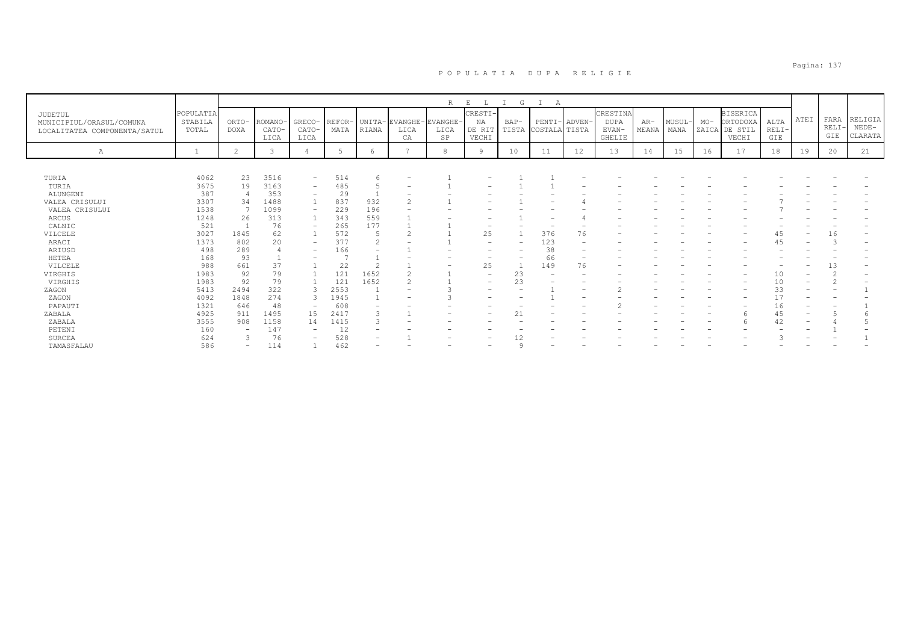|                                                                     |                               |                          |                          |                          |                |                          |                              | R                               | E<br>L                           | G                        | А                             |                          |                                            |                |                |       |                                                       |                        |                          |                            |                               |
|---------------------------------------------------------------------|-------------------------------|--------------------------|--------------------------|--------------------------|----------------|--------------------------|------------------------------|---------------------------------|----------------------------------|--------------------------|-------------------------------|--------------------------|--------------------------------------------|----------------|----------------|-------|-------------------------------------------------------|------------------------|--------------------------|----------------------------|-------------------------------|
| JUDETUL<br>MUNICIPIUL/ORASUL/COMUNA<br>LOCALITATEA COMPONENTA/SATUL | POPULATIA<br>STABILA<br>TOTAL | ORTO-<br><b>DOXA</b>     | ROMANO-<br>CATO-<br>LICA | GRECO-<br>CATO-<br>LICA  | REFOR-<br>MATA | RIANA                    | UNITA-EVANGHE-<br>LICA<br>СA | EVANGHE-<br>LICA<br>$_{\rm SP}$ | CRESTI-<br>NA<br>DE RIT<br>VECHI | BAP-                     | PENTI-<br>TISTA COSTALA TISTA | ADVEN-                   | CRESTINA<br><b>DUPA</b><br>EVAN-<br>GHELIE | $AR-$<br>MEANA | MUSUL-<br>MANA | $MO-$ | <b>BISERICA</b><br>ORTODOXA<br>ZAICA DE STIL<br>VECHI | ALTA<br>$RELI-$<br>GIE | ATEI                     | FARA<br><b>RELI</b><br>GIE | RELIGIA<br>$NEDE-$<br>CLARATA |
| Α                                                                   |                               | $\overline{2}$           | 3                        |                          | -5             | 6                        | $\overline{ }$               | 8                               | <b>q</b>                         | 10                       | 11                            | 12                       | 13                                         | 14             | 15             | 16    | 17                                                    | 18                     | 19                       | 20                         | 21                            |
|                                                                     |                               |                          |                          |                          |                |                          |                              |                                 |                                  |                          |                               |                          |                                            |                |                |       |                                                       |                        |                          |                            |                               |
| TURIA                                                               | 4062                          | 23                       | 3516                     | $\overline{\phantom{0}}$ | 514            | 6                        |                              |                                 |                                  |                          |                               |                          |                                            |                |                |       |                                                       |                        |                          |                            |                               |
| TURIA                                                               | 3675                          | 19                       | 3163                     | $\qquad \qquad -$        | 485            | 5                        |                              |                                 |                                  |                          |                               |                          |                                            |                |                |       |                                                       |                        |                          |                            |                               |
| ALUNGENI                                                            | 387                           |                          | 353                      | $\qquad \qquad -$        | 29             |                          |                              |                                 |                                  |                          |                               |                          |                                            |                |                |       |                                                       |                        |                          |                            |                               |
| VALEA CRISULUI                                                      | 3307                          | 34                       | 1488                     |                          | 837            | 932                      |                              |                                 |                                  |                          |                               |                          |                                            |                |                |       |                                                       |                        |                          |                            |                               |
| VALEA CRISULUI                                                      | 1538                          |                          | 1099                     | $\overline{\phantom{a}}$ | 229            | 196                      |                              |                                 |                                  |                          |                               |                          |                                            |                |                |       |                                                       |                        |                          |                            |                               |
| ARCUS                                                               | 1248                          | 26                       | 313                      |                          | 343            | 559                      |                              |                                 |                                  |                          |                               |                          |                                            |                |                |       |                                                       |                        |                          |                            |                               |
| CALNIC                                                              | 521                           |                          | 76                       | $\overline{\phantom{0}}$ | 265            | 177                      |                              |                                 |                                  |                          |                               |                          |                                            |                |                |       |                                                       |                        |                          |                            |                               |
| VILCELE                                                             | 3027                          | 1845                     | 62                       |                          | 572            | 5                        |                              |                                 | 25                               |                          | 376                           | 76                       |                                            |                |                |       |                                                       | 45                     |                          | 16                         |                               |
| ARACI                                                               | 1373                          | 802                      | 20                       | $\qquad \qquad -$        | 377            | $\overline{2}$           |                              |                                 | $\overline{\phantom{0}}$         | $\overline{\phantom{0}}$ | 123                           |                          |                                            |                |                |       |                                                       | 45                     | $\overline{\phantom{0}}$ |                            |                               |
| ARIUSD                                                              | 498                           | 289                      | 4                        | $\qquad \qquad -$        | 166            |                          |                              |                                 |                                  |                          | 38                            | $\overline{\phantom{0}}$ |                                            |                |                |       |                                                       |                        |                          |                            |                               |
| HETEA                                                               | 168                           | 93                       |                          |                          |                |                          |                              |                                 |                                  | -                        | 66                            | -                        |                                            |                |                |       |                                                       |                        |                          |                            |                               |
| VILCELE                                                             | 988                           | 661                      | 37                       |                          | 22             | $\mathcal{L}$            |                              |                                 | 25                               |                          | 149                           | 76                       |                                            |                |                |       |                                                       |                        |                          | 13                         |                               |
| VIRGHIS                                                             | 1983                          | 92                       | 79                       |                          | 121            | 1652                     |                              |                                 |                                  | 23                       |                               |                          |                                            |                |                |       |                                                       | 10                     |                          |                            |                               |
| VIRGHIS                                                             | 1983                          | 92                       | 79                       |                          | 121            | 1652                     |                              |                                 | $\overline{\phantom{m}}$         | 23                       | $\overline{\phantom{0}}$      |                          |                                            |                |                |       |                                                       | 10                     |                          |                            |                               |
| ZAGON                                                               | 5413                          | 2494                     | 322                      | 3                        | 2553           |                          |                              |                                 | $\qquad \qquad$                  | ۰                        |                               | $\qquad \qquad -$        |                                            |                |                |       |                                                       | 33                     |                          |                            |                               |
| ZAGON                                                               | 4092                          | 1848                     | 274                      | $\mathcal{L}$            | 1945           |                          |                              |                                 |                                  |                          |                               |                          |                                            |                |                |       |                                                       |                        |                          |                            |                               |
| PAPAUTI                                                             | 1321                          | 646                      | 48                       | $\qquad \qquad -$        | 608            | $\overline{\phantom{0}}$ |                              |                                 |                                  |                          |                               | $\overline{\phantom{0}}$ |                                            |                |                |       |                                                       | 16                     | -                        |                            |                               |
| ZABALA                                                              | 4925                          | 911                      | 1495                     | 15                       | 2417           | 3                        |                              |                                 |                                  | 21                       |                               |                          |                                            |                |                |       |                                                       | 45                     | -                        |                            |                               |
| ZABALA                                                              | 3555                          | 908                      | 1158                     | 14                       | 1415           |                          |                              |                                 |                                  |                          |                               |                          |                                            |                |                |       |                                                       | 42                     |                          |                            |                               |
| PETENI                                                              | 160                           | $\overline{\phantom{0}}$ | 147                      |                          | 12             |                          |                              |                                 |                                  |                          |                               |                          |                                            |                |                |       |                                                       |                        |                          |                            |                               |
| SURCEA                                                              | 624                           |                          | 76                       |                          | 528            |                          |                              |                                 |                                  | 12                       |                               |                          |                                            |                |                |       |                                                       |                        |                          |                            |                               |
| TAMASFALAU                                                          | 586                           | $\overline{\phantom{a}}$ | 114                      |                          | 462            |                          |                              |                                 |                                  |                          |                               |                          |                                            |                |                |       |                                                       |                        |                          |                            |                               |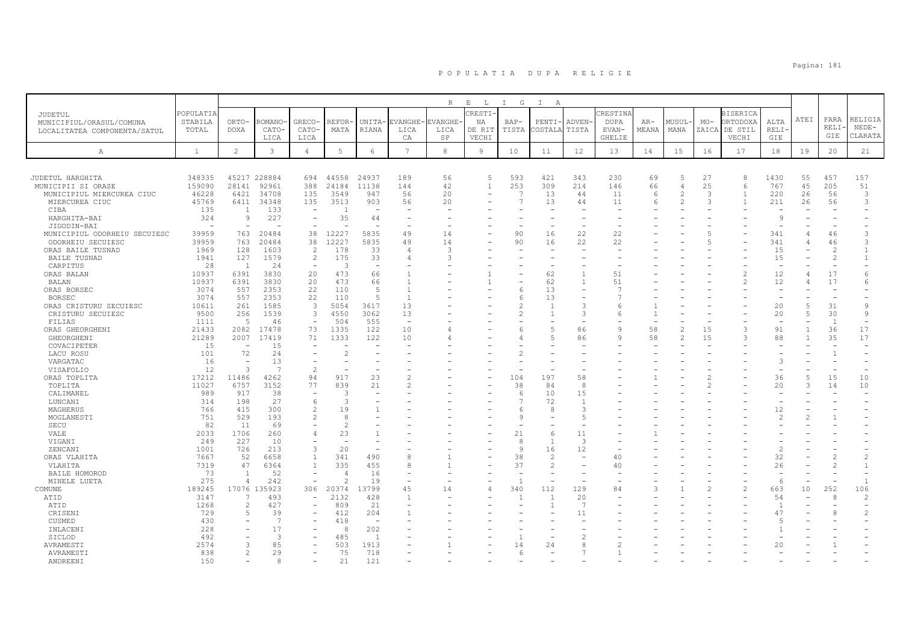|                              |                          |                          |                      |                          |                          |                          |                 | $\mathbb R$   | $\mathbf{E}$<br>L | $I$ G          | $\mathbb{I}$<br>A        |                          |                          |       |                          |               |                          |                          |      |                |                |
|------------------------------|--------------------------|--------------------------|----------------------|--------------------------|--------------------------|--------------------------|-----------------|---------------|-------------------|----------------|--------------------------|--------------------------|--------------------------|-------|--------------------------|---------------|--------------------------|--------------------------|------|----------------|----------------|
| JUDETUL                      | POPULATIA                |                          |                      |                          |                          |                          |                 |               | CRESTI            |                |                          |                          | CRESTINA                 |       |                          |               | <b>BISERICA</b>          |                          |      |                |                |
| MUNICIPIUL/ORASUL/COMUNA     | STABILA                  | ORTO-                    | ROMANO-              | GRECO-                   | REFOR                    | <b>UNITA</b>             | EVANGHE-        | EVANGHE       | ΝA                | BAP-           | PENTI-                   | <b>ADVEN</b>             | DUPA                     | AR-   | MUSUL-                   | $MO-$         | ORTODOXA                 | ALTA                     | ATEI | FARA           | RELIGIA        |
| LOCALITATEA COMPONENTA/SATUL | TOTAL                    | <b>DOXA</b>              | CATO-                | CATO-                    | MATA                     | <b>RIANA</b>             | LICA            | LICA          | DE RIT            | TISTA          | COSTALA                  | TISTA                    | EVAN-                    | MEANA | MANA                     |               | ZAICA DE STIL            | RELI·                    |      | RELI·          | $NEDE-$        |
|                              |                          |                          | LICA                 | LICA                     |                          |                          | CA              | SP            | VECHI             |                |                          |                          | <b>GHELIE</b>            |       |                          |               | VECHI                    | GIE                      |      | GIE            | CLARATA        |
| A                            | $\mathbf{1}$             | $\overline{c}$           | $\mathbf{3}$         | $\overline{4}$           | 5                        | 6                        | $7\phantom{.0}$ | 8             | 9                 | 10             | 11                       | 12                       | 13                       | 14    | 15                       | 16            | 17                       | 18                       | 19   | 20             | 21             |
|                              |                          |                          |                      |                          |                          |                          |                 |               |                   |                |                          |                          |                          |       |                          |               |                          |                          |      |                |                |
| JUDETUL HARGHITA             | 348335                   |                          | 45217 228884         | 694                      | 44558                    | 24937                    | 189             | 56            | 5                 | 593            | 421                      | 343                      | 230                      | 69    | 5                        | 27            | 8                        | 1430                     | 55   | 457            | 157            |
| MUNICIPII SI ORASE           | 159090                   | 28141                    | 92961                | 388                      | 24184                    | 11138                    | 144             | 42            | $\mathbf{1}$      | 253            | 309                      | 214                      | 146                      | 66    | 4                        | 25            | 6                        | 767                      | 45   | 205            | 51             |
| MUNICIPIUL MIERCUREA CIUC    | 46228                    | 6421                     | 34708                | 135                      | 3549                     | 947                      | 56              | 20            |                   | $\overline{7}$ | 13                       | 44                       | 11                       | 6     | 2                        | 3             | $\mathbf{1}$             | 220                      | 26   | 56             | 3              |
| MIERCUREA CIUC               | 45769                    | 6411                     | 34348                | 135                      | 3513                     | 903                      | 56              | 20            |                   | $\overline{7}$ | 13                       | 44                       | 11                       | 6     | $\overline{\phantom{a}}$ | $\mathcal{R}$ | $\overline{1}$           | 211                      | 26   | 56             | 3              |
| CIBA                         | 135                      | $\overline{1}$           | 133                  | $\overline{\phantom{a}}$ | $\overline{1}$           | $\overline{\phantom{a}}$ |                 |               |                   |                |                          |                          |                          |       |                          |               |                          |                          |      |                |                |
| HARGHITA-BAI                 | 324                      | $\mathsf{Q}$             | 227                  | $\overline{\phantom{a}}$ | 35                       | 44                       |                 |               |                   |                |                          |                          |                          |       |                          |               |                          | $\mathcal{Q}$            |      |                |                |
| JIGODIN-BAI                  | $\overline{\phantom{a}}$ |                          |                      | $\overline{\phantom{a}}$ | $\sim$                   | $\sim$                   |                 |               |                   |                | $\overline{\phantom{a}}$ |                          |                          |       |                          |               |                          | $\overline{\phantom{a}}$ |      |                |                |
| MUNICIPIUL ODORHEIU SECUIESC | 39959                    | 763                      | 20484                | 38                       | 12227                    | 5835                     | 49              | 14            |                   | 90             | 16                       | 22                       | 22                       |       |                          | -5            |                          | 341                      | 4    | 46             | 3              |
| ODORHEIU SECUIESC            | 39959                    | 763                      | 20484                | 38                       | 12227                    | 5835                     | 49              | 14            |                   | 90             | 16                       | 22                       | 22                       |       |                          |               |                          | 341                      | 4    | 46             | 3              |
| ORAS BAILE TUSNAD            | 1969                     | 128                      | 1603                 | 2                        | 178                      | 33                       | 4               | 3             |                   |                | $\overline{\phantom{a}}$ |                          | $\overline{\phantom{a}}$ |       |                          |               |                          | 15                       |      | $\mathfrak{D}$ | $\mathbf{1}$   |
| <b>BAILE TUSNAD</b>          | 1941                     | 127                      | 1579                 | $\overline{c}$           | 175                      | 33                       | 4               | 3             |                   |                |                          |                          |                          |       |                          |               |                          | 15                       |      | $\overline{c}$ | $\mathbf{1}$   |
| CARPITUS                     | 28                       | - 1                      | 24                   | $\overline{\phantom{a}}$ | 3                        | $\overline{\phantom{a}}$ |                 |               |                   |                | $\overline{\phantom{a}}$ |                          |                          |       |                          |               |                          | $\overline{\phantom{0}}$ |      |                |                |
| ORAS BALAN                   | 10937                    | 6391                     | 3830                 | 20                       | 473                      | 66                       |                 |               |                   |                | 62                       | $\mathbf{1}$             | 51                       |       |                          |               |                          | 12                       | 4    | 17             | 6              |
| BALAN                        | 10937                    | 6391                     | 3830                 | 20                       | 473                      | 66                       |                 |               |                   |                | 62                       | $\overline{1}$           | 51                       |       |                          |               | $\overline{\mathcal{L}}$ | 12                       | 4    | 17             | 6              |
| ORAS BORSEC                  | 3074                     | 557                      | 2353                 | 22                       | 110                      | -5                       |                 |               |                   |                | 13                       | $\overline{\phantom{a}}$ | $\overline{7}$           |       |                          |               |                          | $\sim$                   |      |                |                |
| <b>BORSEC</b>                | 3074                     | 557                      | 2353                 | 22                       | 110                      | 5                        | $\overline{1}$  |               |                   | 6              | 13                       |                          |                          |       |                          |               |                          | $\overline{\phantom{a}}$ |      |                |                |
| ORAS CRISTURU SECUIESC       | 10611                    | 261                      | 1585                 | $\overline{3}$           | 5054                     | 3617                     | 13              |               |                   |                | $\mathbf{1}$             | 3                        | 6                        |       |                          |               |                          | 20                       | 5    | 31             | 9              |
| CRISTURU SECUIESC            | 9500                     | 256                      | 1539                 | $\overline{3}$           | 4550                     | 3062                     | 13              |               |                   |                | $\mathbf{1}$             | 3                        | 6                        |       |                          |               |                          | 20                       | 5    | 30             | 9              |
| FILIAS                       | 1111                     | 5                        | 46                   | $\overline{\phantom{0}}$ | 504                      | 555                      | $\sim$          |               |                   |                |                          |                          |                          |       |                          |               |                          |                          |      | $\overline{1}$ | $\equiv$       |
| ORAS GHEORGHENI              | 21433                    | 2082                     | 17478                | 73                       | 1335                     | 122                      | 10              |               |                   |                | $\overline{5}$           | 86                       | 9                        | 58    |                          | 15            | 3                        | 91                       |      | 36             | 17             |
| GHEORGHENI                   | 21289                    | 2007                     | 17419                | 71                       | 1333                     | 122                      | 10              |               |                   |                | .5                       | 86                       | q                        | 58    |                          | 15            | 3                        | 88                       |      | 35             | 17             |
| COVACIPETER                  | 15                       | $\overline{\phantom{a}}$ | 15                   | $\overline{\phantom{a}}$ | $\sim$                   |                          |                 |               |                   |                |                          |                          |                          |       |                          |               |                          |                          |      |                |                |
| LACU ROSU                    | 101                      | 72                       | 24                   |                          | $\mathcal{L}$            |                          |                 |               |                   |                |                          |                          |                          |       |                          |               |                          |                          |      | $\overline{1}$ |                |
| VARGATAC                     | 16                       | $\overline{\phantom{a}}$ | 13<br>$\overline{7}$ |                          |                          |                          |                 |               |                   |                |                          |                          |                          |       |                          |               |                          | 3                        |      |                |                |
| VISAFOLIO                    | 12                       | 3                        |                      | $\overline{c}$           |                          |                          |                 |               |                   |                |                          |                          |                          |       |                          |               |                          |                          |      |                |                |
| ORAS TOPLITA                 | 17212<br>11027           | 11486<br>6757            | 4262<br>3152         | 94<br>77                 | 917<br>839               | 23<br>21                 | 2               |               |                   | 104<br>38      | 197<br>84                | 58<br>8                  |                          |       |                          |               |                          | 36<br>20                 | 3    | 15<br>14       | 10<br>10       |
| TOPLITA                      | 989                      | 917                      | 38                   |                          | 3                        | $\sim$                   |                 |               |                   | 6              | 10                       | 15                       |                          |       |                          |               |                          |                          |      |                |                |
| CALIMANEL<br>LUNCANI         | 314                      | 198                      | 27                   | 6                        | 3                        |                          |                 |               |                   |                | 72                       | $\overline{1}$           |                          |       |                          |               |                          |                          |      |                |                |
| MAGHERUS                     | 766                      | 415                      | 300                  | $\overline{c}$           | 19                       |                          |                 |               |                   | r              | 8                        | 3                        |                          |       |                          |               |                          | 12                       |      |                |                |
| MOGLANESTI                   | 751                      | 529                      | 193                  | $\mathfrak{D}_{1}^{(1)}$ | 8                        |                          |                 |               |                   | <b>Q</b>       |                          |                          |                          |       |                          |               |                          | $\mathcal{L}$            |      |                |                |
| SECU                         | 82                       | 11                       | 69                   |                          | $\mathcal{D}$            |                          |                 |               |                   |                |                          |                          |                          |       |                          |               |                          |                          |      |                |                |
| VALE                         | 2033                     | 1706                     | 260                  | $\overline{4}$           | 23                       |                          |                 |               |                   | 21             | 6                        | 11                       |                          |       |                          |               |                          |                          |      |                |                |
| VIGANI                       | 249                      | 227                      | 10                   |                          | $\overline{\phantom{a}}$ | $\overline{\phantom{a}}$ |                 |               |                   | 8              | $\overline{1}$           | $\overline{3}$           |                          |       |                          |               |                          |                          |      |                |                |
| ZENCANI                      | 1001                     | 726                      | 213                  | 3                        | 20                       |                          |                 |               |                   | 9              | 16                       | 12                       |                          |       |                          |               |                          | $\mathcal{L}$            |      |                |                |
| ORAS VLAHITA                 | 7667                     | 52                       | 6658                 | $\mathbf{1}$             | 341                      | 490                      | 8               |               |                   | 38             | 2                        |                          | 40                       |       |                          |               |                          | 32                       |      |                | $\overline{c}$ |
| VLAHITA                      | 7319                     | 47                       | 6364                 | $\mathbf{1}$             | 335                      | 455                      | 8               |               |                   | 37             | $\mathbf{2}$             |                          | 40                       |       |                          |               |                          | 26                       |      |                | $\mathbf{1}$   |
| BAILE HOMOROD                | 73                       | $\overline{1}$           | 52                   | $\overline{\phantom{a}}$ | $\Delta$                 | 16                       |                 | $\rightarrow$ |                   |                | $\overline{\phantom{a}}$ |                          |                          |       |                          |               |                          | $\overline{\phantom{m}}$ |      |                |                |
| MINELE LUETA                 | 275                      | $\overline{4}$           | 242                  | ÷,                       | $\mathcal{D}$            | 19                       |                 |               |                   | $\overline{1}$ |                          |                          |                          |       |                          |               |                          | 6                        |      |                | $\overline{1}$ |
| COMUNE                       | 189245                   |                          | 17076 135923         | 306                      | 20374                    | 13799                    | 45              | 14            |                   | 340            | 112                      | 129                      | 84                       |       |                          |               | $\overline{c}$           | 663                      | 10   | 252            | 106            |
| ATID                         | 3147                     |                          | 493                  | $\overline{\phantom{a}}$ | 2132                     | 428                      | $\mathbf{1}$    |               |                   |                | $\mathbf{1}$             | 20                       |                          |       |                          |               |                          | 54                       |      | 8              | $\overline{c}$ |
| ATID                         | 1268                     | $\overline{c}$           | 427                  | $\overline{\phantom{a}}$ | 809                      | 21                       |                 |               |                   |                | $\mathbf{1}$             | -7                       |                          |       |                          |               |                          | $\overline{1}$           |      |                |                |
| CRISENI                      | 729                      | 5                        | 39                   |                          | 412                      | 204                      |                 |               |                   |                |                          | 11                       |                          |       |                          |               |                          | 47                       |      |                | $\overline{c}$ |
| CUSMED                       | 430                      |                          | 7                    |                          | 418                      | $\overline{\phantom{a}}$ |                 |               |                   |                |                          |                          |                          |       |                          |               |                          | -5                       |      |                |                |
| INLACENI                     | 228                      |                          | 17                   |                          | 8                        | 202                      |                 |               |                   |                |                          |                          |                          |       |                          |               |                          | -1.                      |      |                |                |
| SICLOD                       | 492                      |                          | 3                    |                          | 485                      | $\overline{1}$           |                 |               |                   |                |                          |                          |                          |       |                          |               |                          |                          |      |                |                |
| AVRAMESTI                    | 2574                     | 3                        | 85                   |                          | 503                      | 1913                     |                 |               |                   | 14             | 24                       | 8                        |                          |       |                          |               |                          | 20                       |      |                |                |
| AVRAMESTI                    | 838                      | 2                        | 29                   |                          | 75                       | 718                      |                 |               |                   | 6              |                          |                          |                          |       |                          |               |                          |                          |      |                |                |
| ANDREENI                     | 150                      |                          | 8                    |                          | 21                       | 121                      |                 |               |                   |                |                          |                          |                          |       |                          |               |                          |                          |      |                |                |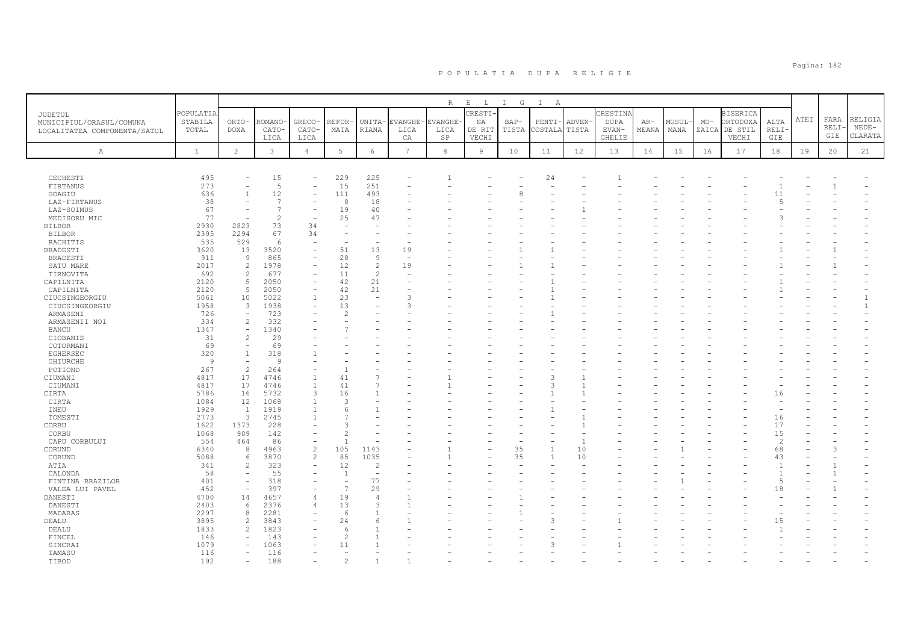|                                  |                  |                                            |                 |                                          |                          |                     |                    | $\mathbb R$            | $\mathbf{E}$<br>$\mathbb{L}$ | $I$ G         | $\mathbb{I}$<br>A |                 |                              |                |                |                |                     |                |      |      |                                |
|----------------------------------|------------------|--------------------------------------------|-----------------|------------------------------------------|--------------------------|---------------------|--------------------|------------------------|------------------------------|---------------|-------------------|-----------------|------------------------------|----------------|----------------|----------------|---------------------|----------------|------|------|--------------------------------|
| <b>JUDETUL</b>                   | POPULATIA        |                                            |                 |                                          |                          |                     |                    |                        | CRESTI-                      |               |                   |                 | CRESTINA                     |                |                |                | <b>BISERICA</b>     |                | ATEI | FARA | RELIGIA                        |
| MUNICIPIUL/ORASUL/COMUNA         | STABILA<br>TOTAL | ORTO-<br><b>DOXA</b>                       | ROMANO<br>CATO- | GRECO-<br>CATO-                          | REFOR-<br>MATA           | UNITA-<br>RIANA     | EVANGHE-<br>LICA   | <b>EVANGHE</b><br>LICA | ΝA<br>DE RIT                 | BAP-<br>TISTA | PENTI<br>COSTALA  | ADVEN-<br>TISTA | <b>DUPA</b><br>${\tt EVAN}-$ | $AR-$<br>MEANA | MUSUL-<br>MANA | $MO-$<br>ZAICA | ORTODOXA<br>DE STIL | ALTA<br>RELI-  |      | RELI | $NEDE-$                        |
| LOCALITATEA COMPONENTA/SATUL     |                  |                                            | LICA            | LICA                                     |                          |                     | CA                 | SP                     | VECHI                        |               |                   |                 | <b>GHELIE</b>                |                |                |                | VECHI               | GIE            |      | GIE  | CLARATA                        |
|                                  |                  |                                            |                 |                                          |                          |                     |                    |                        |                              |               |                   |                 |                              |                |                |                |                     |                |      |      |                                |
| А                                | <sup>1</sup>     | $\overline{2}$                             | $\mathbf{3}$    | $\overline{4}$                           | 5                        | 6                   | $\overline{7}$     | $^{\rm 8}$             | 9                            | 10            | 11                | 12              | 13                           | 14             | 15             | 16             | 17                  | 18             | 19   | 20   | 21                             |
|                                  |                  |                                            |                 |                                          |                          |                     |                    |                        |                              |               |                   |                 |                              |                |                |                |                     |                |      |      |                                |
| CECHESTI                         | 495              |                                            | 15              | $\overline{\phantom{a}}$                 | 229                      | 225                 |                    |                        |                              |               | 24                |                 |                              |                |                |                |                     |                |      |      |                                |
| FIRTANUS                         | 273              |                                            | 5               | $\qquad \qquad -$                        | 15                       | 251                 |                    |                        |                              |               |                   |                 |                              |                |                |                |                     |                |      |      |                                |
| GOAGIU                           | 636              | $\mathbf{1}$                               | 12              | $\overline{\phantom{a}}$                 | 111                      | 493                 |                    |                        |                              | 8             |                   |                 |                              |                |                |                |                     | 11             |      |      |                                |
| LAZ-FIRTANUS                     | 38               |                                            | $\overline{7}$  | ۰                                        | 8                        | 18                  |                    |                        |                              |               |                   |                 |                              |                |                |                |                     | $\overline{5}$ |      |      |                                |
| LAZ-SOIMUS                       | 67               |                                            | $\overline{7}$  | $\overline{\phantom{a}}$                 | 19                       | 40                  |                    |                        |                              |               |                   |                 |                              |                |                |                |                     |                |      |      |                                |
| MEDISORU MIC                     | 77               | $\overline{\phantom{a}}$                   | $\overline{2}$  | $\overline{\phantom{a}}$                 | 25<br>÷,                 | 47                  |                    |                        |                              |               |                   |                 |                              |                |                |                |                     |                |      |      |                                |
| <b>BILBOR</b><br><b>BILBOR</b>   | 2930<br>2395     | 2823<br>2294                               | 73<br>67        | 34<br>34                                 |                          |                     |                    |                        |                              |               |                   |                 |                              |                |                |                |                     |                |      |      |                                |
| RACHITIS                         | 535              | 529                                        | 6               | $\overline{\phantom{a}}$                 | $\overline{\phantom{a}}$ |                     |                    |                        |                              |               |                   |                 |                              |                |                |                |                     |                |      |      |                                |
| <b>BRADESTI</b>                  | 3620             | 13                                         | 3520            | $\overline{\phantom{a}}$                 | 51                       | 13                  | 19                 |                        |                              |               |                   |                 |                              |                |                |                |                     |                |      |      |                                |
| BRADESTI                         | 911              | Q                                          | 865             | $\overline{\phantom{a}}$                 | 28                       | 9                   | $\rightarrow$      |                        |                              |               |                   |                 |                              |                |                |                |                     |                |      |      |                                |
| SATU MARE                        | 2017             | 2                                          | 1978            | $\overline{\phantom{0}}$                 | 12                       | $\overline{c}$      | 19                 |                        |                              |               |                   |                 |                              |                |                |                |                     |                |      |      |                                |
| TIRNOVITA                        | 692              | $\overline{c}$                             | 677             | $\overline{\phantom{a}}$                 | 11                       | $\overline{c}$      |                    |                        |                              |               |                   |                 |                              |                |                |                |                     |                |      |      |                                |
| CAPILNITA                        | 2120             | 5                                          | 2050            | $\qquad \qquad -$                        | 42                       | 21                  |                    |                        |                              |               |                   |                 |                              |                |                |                |                     |                |      |      |                                |
| CAPILNITA                        | 2120             | 5                                          | 2050            | $\qquad \qquad -$                        | 42                       | 21                  |                    |                        |                              |               |                   |                 |                              |                |                |                |                     |                |      |      |                                |
| CIUCSINGEORGIU<br>CIUCSINGEORGIU | 5061<br>1958     | 10<br>$\overline{3}$                       | 5022<br>1938    | $\mathbf{1}$<br>$\overline{\phantom{a}}$ | 23<br>13                 |                     | 3<br>$\mathcal{R}$ |                        |                              |               |                   |                 |                              |                |                |                |                     |                |      |      | $\mathbf{1}$<br>$\overline{1}$ |
| ARMASENI                         | 726              | $\overline{\phantom{a}}$                   | 723             |                                          | $\overline{c}$           |                     |                    |                        |                              |               |                   |                 |                              |                |                |                |                     |                |      |      |                                |
| ARMASENII NOI                    | 334              | $\overline{c}$                             | 332             |                                          |                          |                     |                    |                        |                              |               |                   |                 |                              |                |                |                |                     |                |      |      |                                |
| <b>BANCU</b>                     | 1347             | $\equiv$                                   | 1340            |                                          |                          |                     |                    |                        |                              |               |                   |                 |                              |                |                |                |                     |                |      |      |                                |
| CIOBANIS                         | 31               | $\overline{c}$                             | 29              |                                          |                          |                     |                    |                        |                              |               |                   |                 |                              |                |                |                |                     |                |      |      |                                |
| COTORMANI                        | 69               |                                            | 69              |                                          |                          |                     |                    |                        |                              |               |                   |                 |                              |                |                |                |                     |                |      |      |                                |
| EGHERSEC                         | 320              | $\overline{1}$                             | 318             |                                          |                          |                     |                    |                        |                              |               |                   |                 |                              |                |                |                |                     |                |      |      |                                |
| <b>GHIURCHE</b><br>POTIOND       | 9<br>267         | $\overline{\phantom{m}}$<br>$\overline{c}$ | Q<br>264        |                                          |                          |                     |                    |                        |                              |               |                   |                 |                              |                |                |                |                     |                |      |      |                                |
| CIUMANI                          | 4817             | 17                                         | 4746            | $\mathbf{1}$                             | 41                       |                     |                    |                        |                              |               | 3                 |                 |                              |                |                |                |                     |                |      |      |                                |
| CIUMANI                          | 4817             | 17                                         | 4746            | $\overline{1}$                           | 41                       |                     |                    |                        |                              |               | 3                 |                 |                              |                |                |                |                     |                |      |      |                                |
| CIRTA                            | 5786             | 16                                         | 5732            | 3                                        | 16                       |                     |                    |                        |                              |               |                   |                 |                              |                |                |                |                     | 16             |      |      |                                |
| CIRTA                            | 1084             | 12                                         | 1068            | 1                                        | 3                        |                     |                    |                        |                              |               |                   |                 |                              |                |                |                |                     |                |      |      |                                |
| INEU                             | 1929             | 1                                          | 1919            | 1                                        | 6                        |                     |                    |                        |                              |               |                   |                 |                              |                |                |                |                     |                |      |      |                                |
| TOMESTI                          | 2773             | $\overline{3}$                             | 2745            | $\mathbf{1}$                             |                          |                     |                    |                        |                              |               |                   |                 |                              |                |                |                |                     | 16             |      |      |                                |
| CORBU                            | 1622             | 1373<br>909                                | 228             |                                          | $\mathcal{P}$            |                     |                    |                        |                              |               |                   |                 |                              |                |                |                |                     | 17<br>15       |      |      |                                |
| CORBU<br>CAPU CORBULUI           | 1068<br>554      | 464                                        | 142<br>86       | $\overline{\phantom{0}}$                 |                          |                     |                    |                        |                              |               |                   |                 |                              |                |                |                |                     | $\overline{c}$ |      |      |                                |
| CORUND                           | 6340             | 8                                          | 4963            | $\overline{c}$                           | 105                      | 1143                |                    |                        |                              | 35            |                   | 10              |                              |                |                |                |                     | 68             |      |      |                                |
| CORUND                           | 5088             | 6                                          | 3870            | $\overline{2}$                           | 85                       | 1035                |                    |                        |                              | 35            | $\overline{1}$    | 10              |                              |                |                |                |                     | 43             |      |      |                                |
| ATIA                             | 341              | $\overline{c}$                             | 323             | $\overline{\phantom{a}}$                 | 12                       | $\overline{2}$      |                    |                        |                              |               |                   |                 |                              |                |                |                |                     | $\overline{1}$ |      |      |                                |
| CALONDA                          | 58               |                                            | 55              |                                          | 1                        |                     |                    |                        |                              |               |                   |                 |                              |                |                |                |                     | $\overline{1}$ |      |      |                                |
| FINTINA BRAZILOR                 | 401              | $\bar{\phantom{a}}$                        | 318             | $\overline{\phantom{a}}$                 | ÷,                       | 77                  |                    |                        |                              |               |                   |                 |                              |                |                |                |                     | $\overline{5}$ |      |      |                                |
| VALEA LUI PAVEL                  | 452              | $\overline{a}$                             | 397             | L,                                       | $\overline{7}$           | 29                  |                    |                        |                              |               |                   |                 |                              |                |                |                |                     | 18             |      |      |                                |
| DANESTI                          | 4700             | 14                                         | 4657            | 4                                        | 19<br>13                 | $\overline{4}$<br>3 | $\mathbf{1}$       |                        |                              |               |                   |                 |                              |                |                |                |                     |                |      |      |                                |
| DANESTI<br>MADARAS               | 2403<br>2297     | 6<br>$\mathcal{R}$                         | 2376<br>2281    | 4<br>$\overline{\phantom{a}}$            | 6                        |                     |                    |                        |                              |               |                   |                 |                              |                |                |                |                     |                |      |      |                                |
| DEALU                            | 3895             | $\overline{c}$                             | 3843            |                                          | 24                       | 6                   |                    |                        |                              |               |                   |                 |                              |                |                |                |                     | 1.5            |      |      |                                |
| DEALU                            | 1833             | $\overline{c}$                             | 1823            |                                          | 6                        |                     |                    |                        |                              |               |                   |                 |                              |                |                |                |                     |                |      |      |                                |
| FINCEL                           | 146              | $\overline{\phantom{a}}$                   | 143             |                                          | $\overline{c}$           |                     |                    |                        |                              |               |                   |                 |                              |                |                |                |                     |                |      |      |                                |
| SINCRAI                          | 1079             | $\equiv$                                   | 1063            | $\overline{\phantom{a}}$                 | 11                       |                     |                    |                        |                              |               | 3                 |                 |                              |                |                |                |                     |                |      |      |                                |
| TAMASU                           | 116              |                                            | 116             |                                          |                          |                     |                    |                        |                              |               |                   |                 |                              |                |                |                |                     |                |      |      |                                |
| TIBOD                            | 192              | $\overline{\phantom{a}}$                   | 188             | -                                        | $\overline{c}$           |                     | $\overline{1}$     |                        |                              |               |                   |                 |                              |                |                |                |                     |                |      |      |                                |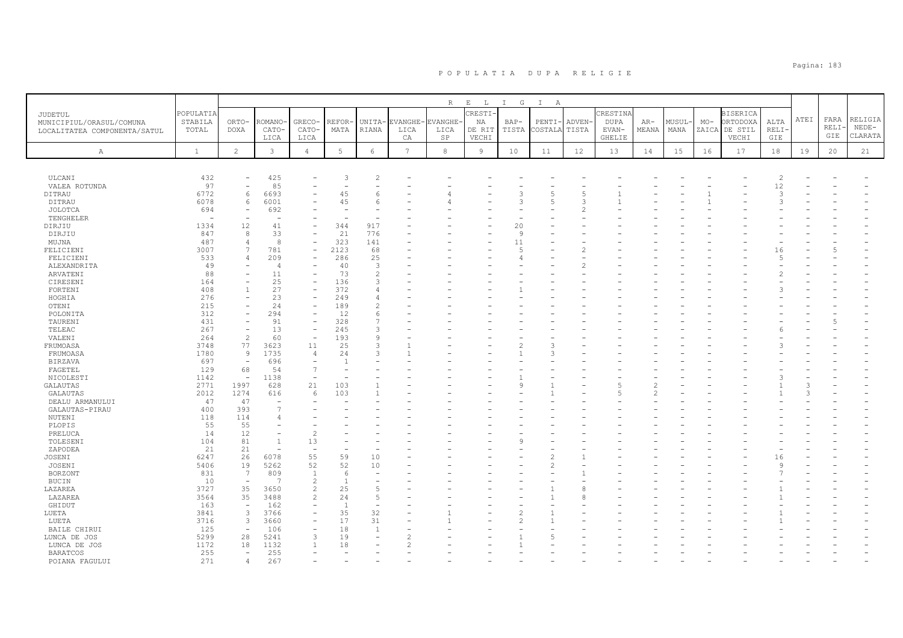|                                                                            |                               |                          |                                  |                                |                      |                     |                        | R                            | $\mathbf{E}=-\mathbf{L}$ .       | I G             | $\mathbb{I}$<br>$\mathbb{A}$     |                       |                                                   |                |                |       |                                                       |                      |      |                      |                               |
|----------------------------------------------------------------------------|-------------------------------|--------------------------|----------------------------------|--------------------------------|----------------------|---------------------|------------------------|------------------------------|----------------------------------|-----------------|----------------------------------|-----------------------|---------------------------------------------------|----------------|----------------|-------|-------------------------------------------------------|----------------------|------|----------------------|-------------------------------|
| <b>JUDETUL</b><br>MUNICIPIUL/ORASUL/COMUNA<br>LOCALITATEA COMPONENTA/SATUL | POPULATIA<br>STABILA<br>TOTAL | ORTO-<br><b>DOXA</b>     | ROMANO<br>CATO-<br>LICA          | GRECO-<br>CATO-<br>LICA        | <b>REFOR</b><br>MATA | UNITA-<br>RIANA     | EVANGHE-<br>LICA<br>СA | <b>EVANGHE</b><br>LICA<br>SP | CRESTI-<br>NA<br>DE RIT<br>VECHI | $BAP-$<br>TISTA | PENTI-<br>COSTALA                | <b>ADVEN</b><br>TISTA | CRESTINA<br><b>DUPA</b><br>EVAN-<br><b>GHELIE</b> | $AR-$<br>MEANA | MUSUL-<br>MANA | $MO-$ | <b>BISERICA</b><br>ORTODOXA<br>ZAICA DE STIL<br>VECHI | ALTA<br>RELI·<br>GIE | ATEI | FARA<br>RELI·<br>GIE | RELIGIA<br>$NEDE-$<br>CLARATA |
| Α                                                                          | $\mathbf{1}$                  | $\mathbf{2}^{\prime}$    | $\mathbf{3}$                     | $\overline{4}$                 | 5                    | $\epsilon$          | $\overline{7}$         | 8                            | 9                                | 10              | 11                               | 12                    | 13                                                | 14             | 15             | 16    | 17                                                    | 18                   | 19   | 20                   | 21                            |
|                                                                            |                               |                          |                                  |                                |                      |                     |                        |                              |                                  |                 |                                  |                       |                                                   |                |                |       |                                                       |                      |      |                      |                               |
| ULCANI                                                                     | 432                           | $\overline{\phantom{0}}$ | 425                              |                                | 3                    | $\overline{2}$      |                        |                              |                                  |                 |                                  |                       |                                                   |                |                |       |                                                       | $\overline{c}$       |      |                      |                               |
| VALEA ROTUNDA                                                              | 97                            | $\overline{\phantom{0}}$ | 85                               |                                |                      |                     |                        |                              |                                  |                 |                                  |                       |                                                   |                |                |       |                                                       | 12                   |      |                      |                               |
| DITRAU                                                                     | 6772                          | 6                        | 6693                             |                                | 45                   | 6                   |                        |                              |                                  |                 | 5                                | 5                     |                                                   |                |                |       |                                                       | 3                    |      |                      |                               |
| DITRAU                                                                     | 6078                          | 6                        | 6001                             |                                | 45                   | 6                   |                        |                              |                                  | 3               | 5                                | 3                     |                                                   |                |                |       |                                                       | 3                    |      |                      |                               |
| JOLOTCA                                                                    | 694                           |                          | 692                              |                                |                      |                     |                        |                              |                                  |                 |                                  |                       |                                                   |                |                |       |                                                       |                      |      |                      |                               |
| TENGHELER                                                                  |                               |                          | ۰                                |                                |                      |                     |                        |                              |                                  |                 |                                  |                       |                                                   |                |                |       |                                                       |                      |      |                      |                               |
| DIRJIU                                                                     | 1334                          | 12                       | 41                               | $\equiv$                       | 344                  | 917                 |                        |                              |                                  | 20              |                                  |                       |                                                   |                |                |       |                                                       |                      |      |                      |                               |
| DIRJIU                                                                     | 847                           | 8                        | 33                               | $\overline{a}$                 | 21                   | 776                 |                        |                              |                                  | 9               |                                  |                       |                                                   |                |                |       |                                                       |                      |      |                      |                               |
| MUJNA                                                                      | 487                           | $\overline{4}$           | 8                                | $\equiv$                       | 323                  | 141                 |                        |                              |                                  | 11              |                                  |                       |                                                   |                |                |       |                                                       |                      |      |                      |                               |
| FELICIENI                                                                  | 3007                          | $\overline{7}$           | 781                              | $\overline{\phantom{a}}$       | 2123                 | 68                  |                        |                              |                                  | $\overline{2}$  |                                  | $\mathcal{D}$         |                                                   |                |                |       |                                                       | 16                   |      |                      |                               |
| FELICIENI                                                                  | 533<br>49                     | $\overline{4}$           | 209                              | $\equiv$                       | 286<br>40            | 25                  |                        |                              |                                  |                 |                                  |                       |                                                   |                |                |       |                                                       | 5                    |      |                      |                               |
| ALEXANDRITA                                                                | 88                            |                          | $\overline{4}$<br>11             |                                | 73                   | 3<br>$\overline{c}$ |                        |                              |                                  |                 |                                  |                       |                                                   |                |                |       |                                                       |                      |      |                      |                               |
| ARVATENI<br>CIRESENI                                                       | 164                           |                          | 25                               | $\overline{\phantom{a}}$       | 136                  | 3                   |                        |                              |                                  |                 |                                  |                       |                                                   |                |                |       |                                                       |                      |      |                      |                               |
| FORTENI                                                                    | 408                           | $\overline{1}$           | 27                               |                                | 372                  | $\overline{4}$      |                        |                              |                                  |                 |                                  |                       |                                                   |                |                |       |                                                       | $\mathcal{A}$        |      |                      |                               |
| HOGHIA                                                                     | 276                           |                          | 23                               | $\overline{\phantom{a}}$       | 249                  | $\overline{4}$      |                        |                              |                                  |                 |                                  |                       |                                                   |                |                |       |                                                       |                      |      |                      |                               |
| OTENI                                                                      | 215                           | $\equiv$                 | 24                               |                                | 189                  |                     |                        |                              |                                  |                 |                                  |                       |                                                   |                |                |       |                                                       |                      |      |                      |                               |
| POLONITA                                                                   | 312                           | $\overline{\phantom{m}}$ | 294                              | $\overline{\phantom{a}}$       | 12                   | -6                  |                        |                              |                                  |                 |                                  |                       |                                                   |                |                |       |                                                       |                      |      |                      |                               |
| TAURENI                                                                    | 431                           | $\overline{\phantom{a}}$ | 91                               |                                | 328                  |                     |                        |                              |                                  |                 |                                  |                       |                                                   |                |                |       |                                                       |                      |      |                      |                               |
| TELEAC                                                                     | 267                           | $\qquad \qquad -$        | 13                               | $\overline{\phantom{a}}$       | 245                  | 3                   |                        |                              |                                  |                 |                                  |                       |                                                   |                |                |       |                                                       |                      |      |                      |                               |
| VALENI                                                                     | 264                           | $\overline{c}$           | 60                               | $\overline{\phantom{a}}$       | 193                  | <sup>o</sup>        |                        |                              |                                  |                 |                                  |                       |                                                   |                |                |       |                                                       |                      |      |                      |                               |
| FRUMOASA                                                                   | 3748                          | 77                       | 3623                             | 11                             | 25                   | 3                   |                        |                              |                                  |                 | 3                                |                       |                                                   |                |                |       |                                                       |                      |      |                      |                               |
| FRUMOASA                                                                   | 1780                          | $\overline{9}$           | 1735                             | $\overline{4}$                 | 24                   | 3                   |                        |                              |                                  |                 | 3                                |                       |                                                   |                |                |       |                                                       |                      |      |                      |                               |
| <b>BIRZAVA</b>                                                             | 697                           | $\overline{\phantom{a}}$ | 696                              | $\overline{\phantom{a}}$       |                      |                     |                        |                              |                                  |                 |                                  |                       |                                                   |                |                |       |                                                       |                      |      |                      |                               |
| FAGETEL                                                                    | 129                           | 68                       | 54                               | $\overline{7}$                 |                      |                     |                        |                              |                                  |                 |                                  |                       |                                                   |                |                |       |                                                       |                      |      |                      |                               |
| NICOLESTI                                                                  | 1142                          | $\sim$                   | 1138                             | $\overline{\phantom{a}}$       |                      |                     |                        |                              |                                  |                 |                                  |                       |                                                   |                |                |       |                                                       |                      |      |                      |                               |
| <b>GALAUTAS</b>                                                            | 2771                          | 1997                     | 628                              | 21                             | 103                  |                     |                        |                              |                                  | 9               |                                  |                       |                                                   |                |                |       |                                                       |                      |      |                      |                               |
| <b>GALAUTAS</b>                                                            | 2012                          | 1274                     | 616                              | 6                              | 103                  |                     |                        |                              |                                  |                 |                                  |                       |                                                   |                |                |       |                                                       |                      |      |                      |                               |
| DEALU ARMANULUI                                                            | 47                            | 47                       | $\overline{\phantom{a}}$         |                                |                      |                     |                        |                              |                                  |                 |                                  |                       |                                                   |                |                |       |                                                       |                      |      |                      |                               |
| GALAUTAS-PIRAU                                                             | 400                           | 393                      | $\overline{7}$                   |                                |                      |                     |                        |                              |                                  |                 |                                  |                       |                                                   |                |                |       |                                                       |                      |      |                      |                               |
| NUTENI                                                                     | 118                           | 114                      | $\overline{4}$                   |                                |                      |                     |                        |                              |                                  |                 |                                  |                       |                                                   |                |                |       |                                                       |                      |      |                      |                               |
| PLOPIS                                                                     | 55                            | 55                       |                                  |                                |                      |                     |                        |                              |                                  |                 |                                  |                       |                                                   |                |                |       |                                                       |                      |      |                      |                               |
| PRELUCA                                                                    | 14                            | 12                       | $\overline{\phantom{a}}$         | $\overline{c}$                 |                      |                     |                        |                              |                                  |                 |                                  |                       |                                                   |                |                |       |                                                       |                      |      |                      |                               |
| TOLESENI                                                                   | 104                           | 81                       | $\overline{1}$                   | 13                             |                      |                     |                        |                              |                                  |                 |                                  |                       |                                                   |                |                |       |                                                       |                      |      |                      |                               |
| ZAPODEA                                                                    | 21<br>6247                    | 21<br>26                 | $\overline{\phantom{a}}$<br>6078 | $\overline{\phantom{a}}$<br>55 |                      |                     |                        |                              |                                  |                 |                                  |                       |                                                   |                |                |       |                                                       |                      |      |                      |                               |
| JOSENI<br>JOSENI                                                           | 5406                          | 19                       | 5262                             | 52                             | 59<br>52             | 10<br>10            |                        |                              |                                  |                 | $\overline{2}$<br>$\mathfrak{D}$ |                       |                                                   |                |                |       |                                                       | 16<br>-9             |      |                      |                               |
| BORZONT                                                                    | 831                           | 7                        | 809                              | $\mathbf{1}$                   | 6                    |                     |                        |                              |                                  |                 |                                  |                       |                                                   |                |                |       |                                                       |                      |      |                      |                               |
| BUCIN                                                                      | 10                            | $\overline{\phantom{a}}$ | $\overline{7}$                   | $\overline{c}$                 |                      |                     |                        |                              |                                  |                 |                                  |                       |                                                   |                |                |       |                                                       |                      |      |                      |                               |
| LAZAREA                                                                    | 3727                          | 35                       | 3650                             | $\overline{c}$                 | 25                   | -5                  |                        |                              |                                  |                 |                                  | ۶                     |                                                   |                |                |       |                                                       |                      |      |                      |                               |
| LAZAREA                                                                    | 3564                          | 35                       | 3488                             | $\overline{c}$                 | 24                   | -5                  |                        |                              |                                  |                 |                                  | ۶                     |                                                   |                |                |       |                                                       |                      |      |                      |                               |
| GHIDUT                                                                     | 163                           | $\overline{\phantom{a}}$ | 162                              |                                | $\overline{1}$       |                     |                        |                              |                                  |                 |                                  |                       |                                                   |                |                |       |                                                       |                      |      |                      |                               |
| LUETA                                                                      | 3841                          | 3                        | 3766                             | $\overline{\phantom{a}}$       | 35                   | 32                  |                        |                              |                                  |                 |                                  |                       |                                                   |                |                |       |                                                       |                      |      |                      |                               |
| LUETA                                                                      | 3716                          | 3                        | 3660                             |                                | 17                   | 31                  |                        |                              |                                  |                 |                                  |                       |                                                   |                |                |       |                                                       |                      |      |                      |                               |
| BAILE CHIRUI                                                               | 125                           | $\overline{\phantom{a}}$ | 106                              | $\overline{\phantom{a}}$       | 18                   | $\overline{1}$      |                        |                              |                                  |                 |                                  |                       |                                                   |                |                |       |                                                       |                      |      |                      |                               |
| LUNCA DE JOS                                                               | 5299                          | 28                       | 5241                             | 3                              | 19                   |                     |                        |                              |                                  |                 |                                  |                       |                                                   |                |                |       |                                                       |                      |      |                      |                               |
| LUNCA DE JOS                                                               | 1172                          | 18                       | 1132                             |                                | 18                   |                     |                        |                              |                                  |                 |                                  |                       |                                                   |                |                |       |                                                       |                      |      |                      |                               |
| <b>BARATCOS</b>                                                            | 255                           | $\overline{\phantom{a}}$ | 255                              |                                |                      |                     |                        |                              |                                  |                 |                                  |                       |                                                   |                |                |       |                                                       |                      |      |                      |                               |
| POTANA FAGULUI                                                             | 271                           | 4                        | 267                              |                                |                      |                     |                        |                              |                                  |                 |                                  |                       |                                                   |                |                |       |                                                       |                      |      |                      |                               |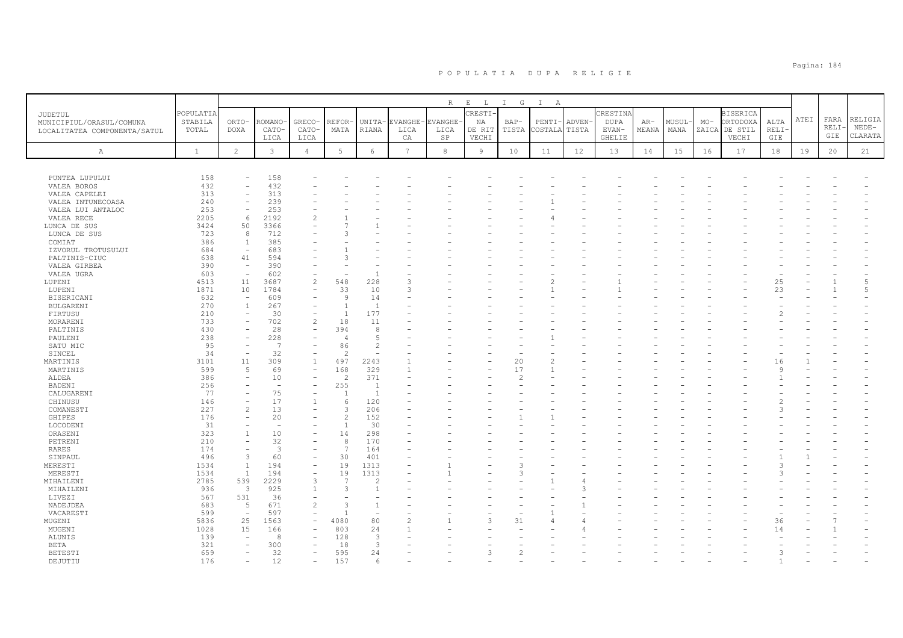|                              |              |                                               |                |                               |                          |                                            |                 | R          | $\begin{tabular}{cccccc} E & L & I & G \end{tabular}$ |               | $\mathbb{I}$<br>A |        |               |       |        |       |                 |       |      |       |         |
|------------------------------|--------------|-----------------------------------------------|----------------|-------------------------------|--------------------------|--------------------------------------------|-----------------|------------|-------------------------------------------------------|---------------|-------------------|--------|---------------|-------|--------|-------|-----------------|-------|------|-------|---------|
| JUDETUL                      | POPULATIA    |                                               |                |                               |                          |                                            |                 |            | CRESTI-                                               |               |                   |        | CRESTINA      |       |        |       | <b>BISERICA</b> |       |      |       |         |
| MUNICIPIUL/ORASUL/COMUNA     | STABILA      | ORTO-                                         | ROMANO-        | GRECO-                        | REFOR·                   | UNITA-                                     | <b>EVANGHE</b>  | VANGHE     | ΝA                                                    | $BAP-$        | PENTI-            | ADVEN- | <b>DUPA</b>   | $AR-$ | MUSUL- | $MO-$ | ORTODOXA        | ALTA  | ATEI | FARA  | RELIGIA |
| LOCALITATEA COMPONENTA/SATUL | TOTAL        | DOXA                                          | CATO-          | CATO-                         | MATA                     | RIANA                                      | LICA            | LICA       | DE RIT                                                | TISTA         | COSTALA           | TISTA  | EVAN-         | MEANA | MANA   | ZAICA | DE STIL         | RELI- |      | RELI- | $NEDE-$ |
|                              |              |                                               | LICA           | LICA                          |                          |                                            | CA              | SP         | VECHI                                                 |               |                   |        | <b>GHELIE</b> |       |        |       | VECHI           | GIE   |      | GIE   | CLARATA |
|                              |              |                                               |                |                               |                          |                                            |                 |            |                                                       |               |                   |        |               |       |        |       |                 |       |      |       |         |
| A                            | $\mathbf{1}$ | $\overline{c}$                                | $\mathbf{3}$   | $\overline{4}$                | 5                        | $\epsilon$                                 | $7\phantom{.0}$ | $^{\rm 8}$ | $\overline{9}$                                        | 10            | 11                | 12     | 13            | 14    | 15     | 16    | 17              | 18    | 19   | 20    | 21      |
|                              |              |                                               |                |                               |                          |                                            |                 |            |                                                       |               |                   |        |               |       |        |       |                 |       |      |       |         |
| PUNTEA LUPULUI               | 158          | $\overline{\phantom{a}}$                      | 158            |                               |                          |                                            |                 |            |                                                       |               |                   |        |               |       |        |       |                 |       |      |       |         |
| VALEA BOROS                  | 432          | $\equiv$                                      | 432            |                               |                          |                                            |                 |            |                                                       |               |                   |        |               |       |        |       |                 |       |      |       |         |
| VALEA CAPELEI                | 313          | $\overline{\phantom{a}}$                      | 313            |                               |                          |                                            |                 |            |                                                       |               |                   |        |               |       |        |       |                 |       |      |       |         |
| VALEA INTUNECOASA            | 240          | $\overline{\phantom{m}}$                      | 239            |                               |                          |                                            |                 |            |                                                       |               |                   |        |               |       |        |       |                 |       |      |       |         |
| VALEA LUI ANTALOC            | 253          | $\overline{\phantom{a}}$                      | 253            |                               |                          |                                            |                 |            |                                                       |               |                   |        |               |       |        |       |                 |       |      |       |         |
| VALEA RECE                   | 2205         | 6                                             | 2192           | $\mathcal{P}$                 |                          |                                            |                 |            |                                                       |               |                   |        |               |       |        |       |                 |       |      |       |         |
| LUNCA DE SUS                 | 3424         | 50                                            | 3366           |                               |                          |                                            |                 |            |                                                       |               |                   |        |               |       |        |       |                 |       |      |       |         |
| LUNCA DE SUS                 | 723          | 8                                             | 712            |                               |                          |                                            |                 |            |                                                       |               |                   |        |               |       |        |       |                 |       |      |       |         |
| COMIAT                       | 386          | $\overline{1}$                                | 385            |                               |                          |                                            |                 |            |                                                       |               |                   |        |               |       |        |       |                 |       |      |       |         |
| IZVORUL TROTUSULUI           | 684          | $\overline{\phantom{0}}$                      | 683            |                               |                          |                                            |                 |            |                                                       |               |                   |        |               |       |        |       |                 |       |      |       |         |
| PALTINIS-CIUC                | 638          | 41                                            | 594            |                               |                          |                                            |                 |            |                                                       |               |                   |        |               |       |        |       |                 |       |      |       |         |
| VALEA GIRBEA                 | 390          | $\overline{\phantom{a}}$                      | 390            |                               |                          |                                            |                 |            |                                                       |               |                   |        |               |       |        |       |                 |       |      |       |         |
| VALEA UGRA                   | 603          | $\overline{\phantom{a}}$                      | 602            |                               |                          | $\overline{1}$                             |                 |            |                                                       |               |                   |        |               |       |        |       |                 |       |      |       |         |
| LUPENI                       | 4513         | 11                                            | 3687           | $\overline{c}$                | 548                      | 228                                        |                 |            |                                                       |               |                   |        |               |       |        |       |                 | 25    |      |       | 5       |
| LUPENI                       | 1871         | 10                                            | 1784           | $\overline{\phantom{a}}$      | 33                       | 10                                         | 3               |            |                                                       |               |                   |        |               |       |        |       |                 | 23    |      |       | 5       |
| BISERICANI                   | 632          | $\overline{\phantom{a}}$                      | 609            |                               | 9                        | 14                                         |                 |            |                                                       |               |                   |        |               |       |        |       |                 |       |      |       |         |
| <b>BULGARENI</b>             | 270          | $\overline{1}$                                | 267<br>30      | $\overline{\phantom{a}}$      | $\overline{1}$           | $\overline{1}$<br>177                      |                 |            |                                                       |               |                   |        |               |       |        |       |                 |       |      |       |         |
| FIRTUSU                      | 210          | $\overline{\phantom{a}}$<br>$\qquad \qquad -$ |                | $\overline{\phantom{a}}$      |                          |                                            |                 |            |                                                       |               |                   |        |               |       |        |       |                 |       |      |       |         |
| MORARENI                     | 733<br>430   |                                               | 702<br>28      | $\overline{c}$<br>$\equiv$    | 18<br>394                | 11<br>8                                    |                 |            |                                                       |               |                   |        |               |       |        |       |                 |       |      |       |         |
| PALTINIS<br>PAULENI          | 238          | $\overline{\phantom{a}}$                      | 228            |                               | $\overline{4}$           | 5                                          |                 |            |                                                       |               |                   |        |               |       |        |       |                 |       |      |       |         |
| SATU MIC                     | 95           | $\overline{\phantom{a}}$                      | 7              |                               | 86                       | $\overline{c}$                             |                 |            |                                                       |               |                   |        |               |       |        |       |                 |       |      |       |         |
| SINCEL                       | 34           | $\overline{\phantom{m}}$                      | 32             |                               | $\overline{\mathcal{L}}$ | $\overline{\phantom{a}}$                   |                 |            |                                                       |               |                   |        |               |       |        |       |                 |       |      |       |         |
| MARTINIS                     | 3101         | 11                                            | 309            | $\mathbf{1}$                  | 497                      | 2243                                       |                 |            |                                                       | 20            |                   |        |               |       |        |       |                 | 16    |      |       |         |
| MARTINIS                     | 599          | 5                                             | 69             | $\overline{\phantom{a}}$      | 168                      | 329                                        | $\mathbf{1}$    |            |                                                       | 17            |                   |        |               |       |        |       |                 |       |      |       |         |
| ALDEA                        | 386          | $\overline{\phantom{a}}$                      | 10             | $\equiv$                      | $\mathcal{L}$            | 371                                        |                 |            |                                                       | $\mathcal{D}$ |                   |        |               |       |        |       |                 |       |      |       |         |
| BADENI                       | 256          |                                               | ٠              |                               | 255                      | 1                                          |                 |            |                                                       |               |                   |        |               |       |        |       |                 |       |      |       |         |
| CALUGARENI                   | 77           | $\overline{\phantom{0}}$                      | 75             |                               |                          | 1                                          |                 |            |                                                       |               |                   |        |               |       |        |       |                 |       |      |       |         |
| CHINUSU                      | 146          | $\equiv$                                      | 17             | $\mathbf{1}$                  | $\epsilon$               | 120                                        |                 |            |                                                       |               |                   |        |               |       |        |       |                 |       |      |       |         |
| COMANESTI                    | 227          | $\overline{c}$                                | 13             | $\equiv$                      |                          | 206                                        |                 |            |                                                       |               |                   |        |               |       |        |       |                 |       |      |       |         |
| GHIPES                       | 176          | $\overline{\phantom{m}}$                      | 20             |                               | $\mathcal{D}$            | 152                                        |                 |            |                                                       |               |                   |        |               |       |        |       |                 |       |      |       |         |
| LOCODENI                     | 31           |                                               | $\sim$         |                               |                          | 30                                         |                 |            |                                                       |               |                   |        |               |       |        |       |                 |       |      |       |         |
| ORASENI                      | 323          | $\overline{1}$                                | 10             | $\overline{\phantom{a}}$      | 14                       | 298                                        |                 |            |                                                       |               |                   |        |               |       |        |       |                 |       |      |       |         |
| PETRENI                      | 210          | $\overline{\phantom{m}}$                      | 32             |                               |                          | 170                                        |                 |            |                                                       |               |                   |        |               |       |        |       |                 |       |      |       |         |
| <b>RARES</b>                 | 174          | $\overline{\phantom{a}}$                      | $\overline{3}$ |                               | $\overline{7}$           | 164                                        |                 |            |                                                       |               |                   |        |               |       |        |       |                 |       |      |       |         |
| SINPAUL                      | 496          | $\overline{3}$                                | 60             | $\overline{\phantom{a}}$      | 30                       | 401                                        |                 |            |                                                       |               |                   |        |               |       |        |       |                 |       |      |       |         |
| MERESTI                      | 1534         | $\mathbf{1}$                                  | 194            | $\overline{\phantom{a}}$      | 19                       | 1313                                       |                 |            |                                                       | 3             |                   |        |               |       |        |       |                 |       |      |       |         |
| MERESTI                      | 1534         | $\mathbf{1}$                                  | 194            | $\overline{\phantom{a}}$      | 19                       | 1313                                       |                 |            |                                                       |               |                   |        |               |       |        |       |                 |       |      |       |         |
| MIHAILENI                    | 2785         | 539                                           | 2229           | 3                             | $\overline{7}$           | 2                                          |                 |            |                                                       |               |                   |        |               |       |        |       |                 |       |      |       |         |
| MIHAILENI                    | 936          | $\overline{3}$                                | 925            | $\mathbf{1}$                  |                          | $\overline{1}$                             |                 |            |                                                       |               |                   |        |               |       |        |       |                 |       |      |       |         |
| LIVEZI                       | 567          | 531                                           | 36             | $\overline{\phantom{a}}$      |                          |                                            |                 |            |                                                       |               |                   |        |               |       |        |       |                 |       |      |       |         |
| NADEJDEA                     | 683          | 5                                             | 671            | 2<br>$\overline{\phantom{a}}$ |                          | $\overline{1}$<br>$\overline{\phantom{a}}$ |                 |            |                                                       |               |                   |        |               |       |        |       |                 |       |      |       |         |
| VACARESTI<br>MUGENI          | 599<br>5836  | $\overline{\phantom{a}}$<br>25                | 597<br>1563    |                               | 4080                     | 80                                         |                 |            | 3                                                     | 31            |                   |        |               |       |        |       |                 | 36    |      |       |         |
| MUGENI                       | 1028         | 15                                            | 166            | $\overline{\phantom{a}}$      | 803                      | 24                                         |                 |            |                                                       |               |                   |        |               |       |        |       |                 | 14    |      |       |         |
| ALUNIS                       | 139          | $\overline{\phantom{a}}$                      | 8              |                               | 128                      | 3                                          |                 |            |                                                       |               |                   |        |               |       |        |       |                 |       |      |       |         |
| <b>BETA</b>                  | 321          |                                               | 300            |                               | 18                       | 3                                          |                 |            |                                                       |               |                   |        |               |       |        |       |                 |       |      |       |         |
| <b>BETESTI</b>               | 659          | $\overline{\phantom{m}}$                      | 32             | $\overline{\phantom{a}}$      | 595                      | 24                                         |                 |            | 3                                                     | $\mathcal{P}$ |                   |        |               |       |        |       |                 |       |      |       |         |
| DEJUTIU                      | 176          | $\overline{\phantom{m}}$                      | 12             | $\overline{\phantom{a}}$      | 157                      | 6                                          |                 |            |                                                       |               |                   |        |               |       |        |       |                 |       |      |       |         |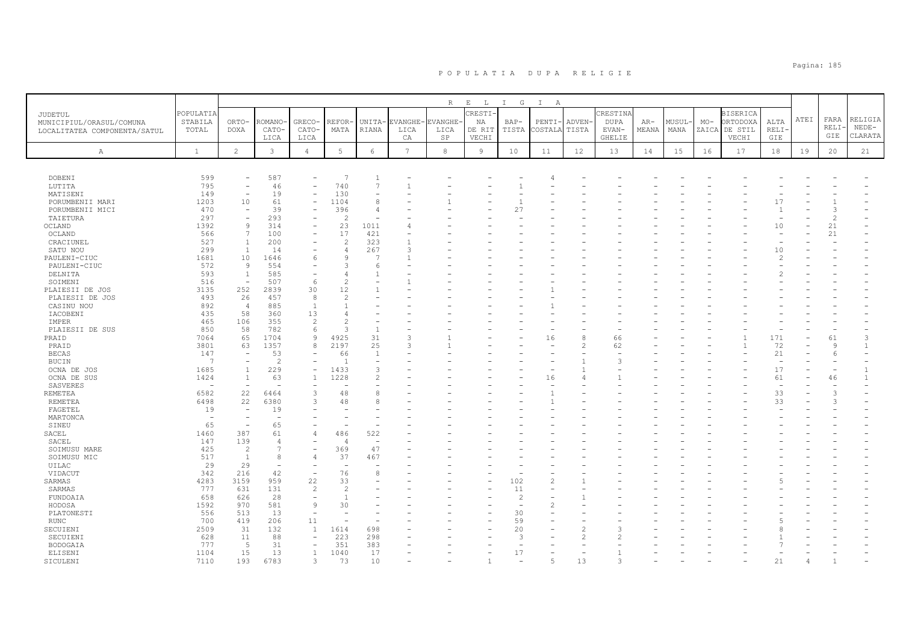|                                    |                                |                                |                          |                          |                |                                |                | $\, {\mathbb R}$ | $\mathbf{E}$<br>L | $\mathbb{I}$<br>G | $\mathbb{I}$<br>A |                                                                                                                                                                                                                                                                                                                                                                                                                            |                |       |        |       |                 |                          |      |         |         |
|------------------------------------|--------------------------------|--------------------------------|--------------------------|--------------------------|----------------|--------------------------------|----------------|------------------|-------------------|-------------------|-------------------|----------------------------------------------------------------------------------------------------------------------------------------------------------------------------------------------------------------------------------------------------------------------------------------------------------------------------------------------------------------------------------------------------------------------------|----------------|-------|--------|-------|-----------------|--------------------------|------|---------|---------|
| JUDETUL                            | POPULATIA                      |                                |                          |                          |                |                                |                |                  | CRESTI-           |                   |                   |                                                                                                                                                                                                                                                                                                                                                                                                                            | CRESTINA       |       |        |       | <b>BISERICA</b> |                          |      |         |         |
| MUNICIPIUL/ORASUL/COMUNA           | STABILA                        | ORTO-                          | ROMANO·                  | GRECO-                   | REFOR-         | UNITA-                         | <b>EVANGHE</b> | EVANGHE-         | ΝA                | $BAP-$            | PENTI             | ADVEN-                                                                                                                                                                                                                                                                                                                                                                                                                     | <b>DUPA</b>    | $AR-$ | MUSUL· | $MO-$ | ORTODOXA        | ALTA                     | ATEI | FARA    | RELIGIA |
| LOCALITATEA COMPONENTA/SATUL       | TOTAL                          | DOXA                           | CATO-                    | CATO-                    | MATA           | <b>RIANA</b>                   | LICA           | LICA             | DE RIT            | TISTA             | COSTALA           | TISTA                                                                                                                                                                                                                                                                                                                                                                                                                      | EVAN-          | MEANA | MANA   | ZAICA | DE STIL         | RELI-                    |      | RELI-   | $NEDE-$ |
|                                    |                                |                                | LICA                     | LICA                     |                |                                | CA             | SP               | VECHI             |                   |                   |                                                                                                                                                                                                                                                                                                                                                                                                                            | <b>GHELIE</b>  |       |        |       | VECHI           | GIE                      |      | GIE     | CLARATA |
|                                    |                                |                                |                          |                          |                |                                |                |                  |                   |                   |                   |                                                                                                                                                                                                                                                                                                                                                                                                                            |                |       |        |       |                 |                          |      |         |         |
| А                                  | <sup>1</sup>                   | $\overline{2}$                 | 3                        | $\overline{4}$           | 5              | 6                              | $\overline{7}$ | 8                | $\overline{9}$    | 10                | 11                | 12                                                                                                                                                                                                                                                                                                                                                                                                                         | 13             | 14    | 15     | 16    | 17              | 18                       | 19   | 20      | 21      |
|                                    |                                |                                |                          |                          |                |                                |                |                  |                   |                   |                   |                                                                                                                                                                                                                                                                                                                                                                                                                            |                |       |        |       |                 |                          |      |         |         |
|                                    |                                |                                |                          |                          |                |                                |                |                  |                   |                   |                   |                                                                                                                                                                                                                                                                                                                                                                                                                            |                |       |        |       |                 |                          |      |         |         |
| <b>DOBENI</b>                      | 599                            | $\overline{\phantom{a}}$       | 587                      |                          | -7             | $\mathbf{1}$<br>$\overline{7}$ |                |                  |                   |                   |                   |                                                                                                                                                                                                                                                                                                                                                                                                                            |                |       |        |       |                 |                          |      |         |         |
| LUTITA                             | 795                            | $\overline{\phantom{a}}$       | 46                       | $\overline{\phantom{a}}$ | 740            |                                |                |                  |                   |                   |                   |                                                                                                                                                                                                                                                                                                                                                                                                                            |                |       |        |       |                 |                          |      |         |         |
| MATISENI                           | 149<br>1203                    | $\overline{\phantom{a}}$<br>10 | 19<br>61                 | $\overline{\phantom{a}}$ | 130<br>1104    | 8                              |                |                  |                   |                   |                   |                                                                                                                                                                                                                                                                                                                                                                                                                            |                |       |        |       |                 | 17                       |      |         |         |
| PORUMBENII MARI<br>PORUMBENII MICI | 470                            | $\sim$                         | 39                       |                          | 396            | $\overline{4}$                 |                |                  |                   | 27                |                   |                                                                                                                                                                                                                                                                                                                                                                                                                            |                |       |        |       |                 |                          |      | 3       |         |
| TAIETURA                           | 297                            | $\overline{\phantom{a}}$       | 293                      | $\overline{\phantom{a}}$ | 2              | $\overline{\phantom{a}}$       |                |                  |                   |                   |                   |                                                                                                                                                                                                                                                                                                                                                                                                                            |                |       |        |       |                 |                          |      | 2       |         |
| OCLAND                             | 1392                           | 9                              | 314                      | $\overline{\phantom{a}}$ | 23             | 1011                           |                |                  |                   |                   |                   |                                                                                                                                                                                                                                                                                                                                                                                                                            |                |       |        |       |                 | 10                       |      | 21      |         |
| OCLAND                             | 566                            | 7                              | 100                      | $\overline{\phantom{a}}$ | 17             | 421                            |                |                  |                   |                   |                   |                                                                                                                                                                                                                                                                                                                                                                                                                            |                |       |        |       |                 | ÷.                       |      | 21      |         |
| CRACIUNEL                          | 527                            | $\overline{1}$                 | 200                      |                          | $\overline{c}$ | 323                            |                |                  |                   |                   |                   |                                                                                                                                                                                                                                                                                                                                                                                                                            |                |       |        |       |                 |                          |      |         |         |
| SATU NOU                           | 299                            | <sup>1</sup>                   | 14                       | $\overline{\phantom{a}}$ | $\overline{4}$ | 267                            | 3              |                  |                   |                   |                   |                                                                                                                                                                                                                                                                                                                                                                                                                            |                |       |        |       |                 | 10                       |      |         |         |
| PAULENI-CIUC                       | 1681                           | 10                             | 1646                     | 6                        | Q              | -7                             |                |                  |                   |                   |                   |                                                                                                                                                                                                                                                                                                                                                                                                                            |                |       |        |       |                 | 2                        |      |         |         |
| PAULENI-CIUC                       | 572                            | $\overline{9}$                 | 554                      |                          | $\mathcal{R}$  | -6                             |                |                  |                   |                   |                   |                                                                                                                                                                                                                                                                                                                                                                                                                            |                |       |        |       |                 |                          |      |         |         |
| DELNITA                            | 593                            | $\mathbf{1}$                   | 585                      |                          |                | $\mathbf{1}$                   |                |                  |                   |                   |                   |                                                                                                                                                                                                                                                                                                                                                                                                                            |                |       |        |       |                 |                          |      |         |         |
| SOIMENI                            | 516                            | $\overline{\phantom{a}}$       | 507                      | 6                        | $\overline{2}$ |                                |                |                  |                   |                   |                   |                                                                                                                                                                                                                                                                                                                                                                                                                            |                |       |        |       |                 |                          |      |         |         |
| PLAIESII DE JOS                    | 3135                           | 252                            | 2839                     | 30                       | 12             |                                |                |                  |                   |                   |                   |                                                                                                                                                                                                                                                                                                                                                                                                                            |                |       |        |       |                 |                          |      |         |         |
| PLAIESII DE JOS                    | 493                            | 26                             | 457                      | 8                        | $\mathcal{D}$  |                                |                |                  |                   |                   |                   |                                                                                                                                                                                                                                                                                                                                                                                                                            |                |       |        |       |                 |                          |      |         |         |
| CASINU NOU                         | 892                            | $\overline{4}$                 | 885                      | $\mathbf{1}$             | $\mathbf{1}$   |                                |                |                  |                   |                   |                   |                                                                                                                                                                                                                                                                                                                                                                                                                            |                |       |        |       |                 |                          |      |         |         |
| IACOBENI                           | 435                            | 58                             | 360                      | 13                       | $\Delta$       |                                |                |                  |                   |                   |                   |                                                                                                                                                                                                                                                                                                                                                                                                                            |                |       |        |       |                 |                          |      |         |         |
| IMPER                              | 465                            | 106                            | 355                      | 2                        | 2              |                                |                |                  |                   |                   |                   |                                                                                                                                                                                                                                                                                                                                                                                                                            |                |       |        |       |                 |                          |      |         |         |
| PLAIESII DE SUS                    | 850                            | 58                             | 782                      | 6                        | $\mathcal{R}$  | $\mathbf{1}$                   |                |                  |                   |                   |                   |                                                                                                                                                                                                                                                                                                                                                                                                                            |                |       |        |       |                 |                          |      |         |         |
| PRAID                              | 7064                           | 65                             | 1704                     | 9                        | 4925           | 31                             | 3              |                  |                   |                   | 16                | 8                                                                                                                                                                                                                                                                                                                                                                                                                          | 66             |       |        |       |                 | 171                      |      | 61      | 3       |
| PRAID                              | 3801                           | 63                             | 1357                     | 8                        | 2197           | 25                             | 3              |                  |                   |                   |                   | $\overline{2}$                                                                                                                                                                                                                                                                                                                                                                                                             | 62             |       |        |       |                 | 72                       |      | $\circ$ |         |
| <b>BECAS</b>                       | 147                            | $\overline{\phantom{a}}$       | 53                       |                          | 66             | $\overline{1}$                 |                |                  |                   |                   |                   |                                                                                                                                                                                                                                                                                                                                                                                                                            |                |       |        |       |                 | 21                       |      | 6       |         |
| BUCIN                              | $\overline{7}$                 |                                | $\overline{2}$           |                          | $\overline{1}$ | $\overline{\phantom{a}}$       |                |                  |                   |                   |                   |                                                                                                                                                                                                                                                                                                                                                                                                                            | 3              |       |        |       |                 | $\overline{\phantom{0}}$ |      |         |         |
| OCNA DE JOS                        | 1685                           | 1                              | 229                      | $\overline{\phantom{a}}$ | 1433           | 3                              |                |                  |                   |                   |                   |                                                                                                                                                                                                                                                                                                                                                                                                                            |                |       |        |       |                 | 17                       |      |         |         |
| OCNA DE SUS                        | 1424                           | $\overline{1}$                 | 63                       | $\overline{1}$           | 1228           | $\overline{2}$                 |                |                  |                   |                   | 16                |                                                                                                                                                                                                                                                                                                                                                                                                                            |                |       |        |       |                 | 61                       |      | 46      |         |
| SASVERES                           | ۰                              | $\overline{\phantom{a}}$       |                          |                          |                |                                |                |                  |                   |                   |                   |                                                                                                                                                                                                                                                                                                                                                                                                                            |                |       |        |       |                 | $\overline{\phantom{a}}$ |      |         |         |
| <b>REMETEA</b>                     | 6582                           | 22                             | 6464                     | 3                        | 48             | 8                              |                |                  |                   |                   |                   |                                                                                                                                                                                                                                                                                                                                                                                                                            |                |       |        |       |                 | 33                       |      | 3       |         |
| REMETEA                            | 6498                           | 22                             | 6380                     | 3                        | 48             | 8                              |                |                  |                   |                   |                   |                                                                                                                                                                                                                                                                                                                                                                                                                            |                |       |        |       |                 | 33                       |      |         |         |
| FAGETEL                            | 19<br>$\overline{\phantom{a}}$ | $\overline{\phantom{a}}$       | 19                       |                          |                |                                |                |                  |                   |                   |                   |                                                                                                                                                                                                                                                                                                                                                                                                                            |                |       |        |       |                 |                          |      |         |         |
| MARTONCA<br>SINEU                  | 65                             | $\overline{\phantom{a}}$       | 65                       |                          |                |                                |                |                  |                   |                   |                   |                                                                                                                                                                                                                                                                                                                                                                                                                            |                |       |        |       |                 |                          |      |         |         |
| SACEL                              | 1460                           | 387                            | 61                       | $\overline{4}$           | 486            | 522                            |                |                  |                   |                   |                   |                                                                                                                                                                                                                                                                                                                                                                                                                            |                |       |        |       |                 |                          |      |         |         |
| SACEL                              | 147                            | 139                            | $\overline{4}$           |                          | $\sqrt{2}$     | $\overline{\phantom{a}}$       |                |                  |                   |                   |                   |                                                                                                                                                                                                                                                                                                                                                                                                                            |                |       |        |       |                 |                          |      |         |         |
| SOIMUSU MARE                       | 425                            | -2                             | $\overline{7}$           | $\overline{\phantom{a}}$ | 369            | 47                             |                |                  |                   |                   |                   |                                                                                                                                                                                                                                                                                                                                                                                                                            |                |       |        |       |                 |                          |      |         |         |
| SOIMUSU MIC                        | 517                            | $\overline{1}$                 | 8                        | $\overline{4}$           | 37             | 467                            |                |                  |                   |                   |                   |                                                                                                                                                                                                                                                                                                                                                                                                                            |                |       |        |       |                 |                          |      |         |         |
| UILAC                              | 29                             | 29                             | $\overline{\phantom{a}}$ | $\overline{\phantom{a}}$ | $\overline{a}$ |                                |                |                  |                   |                   |                   |                                                                                                                                                                                                                                                                                                                                                                                                                            |                |       |        |       |                 |                          |      |         |         |
| VIDACUT                            | 342                            | 216                            | 42                       | $\overline{\phantom{0}}$ | 76             | 8                              |                |                  |                   |                   |                   |                                                                                                                                                                                                                                                                                                                                                                                                                            |                |       |        |       |                 |                          |      |         |         |
| SARMAS                             | 4283                           | 3159                           | 959                      | 22                       | 33             |                                |                |                  |                   | 102               |                   |                                                                                                                                                                                                                                                                                                                                                                                                                            |                |       |        |       |                 |                          |      |         |         |
| SARMAS                             | 777                            | 631                            | 131                      | 2                        | $\mathfrak{D}$ |                                |                |                  |                   | 11                |                   |                                                                                                                                                                                                                                                                                                                                                                                                                            |                |       |        |       |                 |                          |      |         |         |
| FUNDOAIA                           | 658                            | 626                            | 28                       | $\equiv$                 | $\overline{1}$ |                                |                |                  |                   | $\overline{c}$    |                   |                                                                                                                                                                                                                                                                                                                                                                                                                            |                |       |        |       |                 |                          |      |         |         |
| HODOSA                             | 1592                           | 970                            | 581                      | $\overline{9}$           | 30             |                                |                |                  |                   |                   |                   |                                                                                                                                                                                                                                                                                                                                                                                                                            |                |       |        |       |                 |                          |      |         |         |
| PLATONESTI                         | 556                            | 513                            | 13                       | $\overline{\phantom{a}}$ |                |                                |                |                  |                   | 30                |                   |                                                                                                                                                                                                                                                                                                                                                                                                                            |                |       |        |       |                 |                          |      |         |         |
| RUNC                               | 700                            | 419                            | 206                      | 11                       |                |                                |                |                  |                   | 59                |                   |                                                                                                                                                                                                                                                                                                                                                                                                                            |                |       |        |       |                 |                          |      |         |         |
| SECUIENI                           | 2509                           | 31                             | 132                      | 1                        | 1614           | 698                            |                |                  |                   | 20                |                   | $\overline{c}$                                                                                                                                                                                                                                                                                                                                                                                                             | 3              |       |        |       |                 |                          |      |         |         |
| SECUIENI                           | 628                            | 11                             | 88                       | $\overline{\phantom{a}}$ | 223            | 298                            |                |                  |                   | $\mathcal{R}$     |                   | $\mathfrak{D}_{1}^{2}(\mathfrak{D}_{1})=\mathfrak{D}_{2}^{2}(\mathfrak{D}_{2})=\mathfrak{D}_{2}^{2}(\mathfrak{D}_{1})=\mathfrak{D}_{2}^{2}(\mathfrak{D}_{2})=\mathfrak{D}_{2}^{2}(\mathfrak{D}_{1})=\mathfrak{D}_{2}^{2}(\mathfrak{D}_{2})=\mathfrak{D}_{2}^{2}(\mathfrak{D}_{1})=\mathfrak{D}_{2}^{2}(\mathfrak{D}_{2})=\mathfrak{D}_{2}^{2}(\mathfrak{D}_{1})=\mathfrak{D}_{2}^{2}(\mathfrak{D}_{2})=\mathfrak{D}_{2}^{$ | $\mathfrak{D}$ |       |        |       |                 |                          |      |         |         |
| BODOGAIA                           | 777                            | 5                              | 31                       | $\equiv$                 | 351            | 383                            |                |                  |                   |                   |                   |                                                                                                                                                                                                                                                                                                                                                                                                                            |                |       |        |       |                 |                          |      |         |         |
| ELISENI                            | 1104                           | 15                             | 13                       | $\mathbf{1}$             | 1040           | 17                             |                |                  |                   | 17                |                   |                                                                                                                                                                                                                                                                                                                                                                                                                            |                |       |        |       |                 |                          |      |         |         |
| SICULENI                           | 7110                           | 193                            | 6783                     | 3                        | 73             | 10                             |                |                  |                   |                   |                   | 13                                                                                                                                                                                                                                                                                                                                                                                                                         |                |       |        |       |                 | 2.1                      |      |         |         |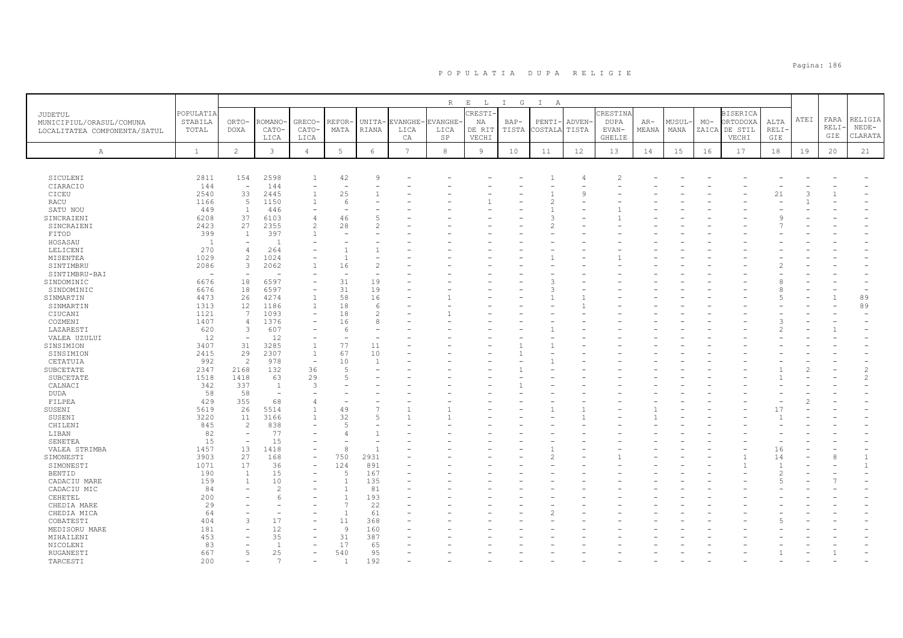|                              |                                  |                                 |                          |                                          |                                |                      |                | $\mathbb R$    | $\mathop{}\mathopen{} E$<br>$\mathbb{L}$ | I G   | $\mathbf{I}$<br>A |        |                          |       |        |       |                  |              |      |      |                |
|------------------------------|----------------------------------|---------------------------------|--------------------------|------------------------------------------|--------------------------------|----------------------|----------------|----------------|------------------------------------------|-------|-------------------|--------|--------------------------|-------|--------|-------|------------------|--------------|------|------|----------------|
| <b>JUDETUL</b>               | POPULATIA                        |                                 |                          |                                          |                                |                      |                |                | CRESTI-                                  |       |                   |        | CRESTINA                 |       |        |       | <b>BISERICA</b>  |              | ATEI | FARA | RELIGIA        |
| MUNICIPIUL/ORASUL/COMUNA     | STABILA                          | ORTO-                           | ROMANO                   | GRECO-                                   | REFOR-                         | UNITA-               | EVANGHE-       | <b>EVANGHE</b> | ΝA                                       | BAP-  | PENTI             | ADVEN- | <b>DUPA</b>              | $AR-$ | MUSUL- | $MO-$ | ORTODOXA         | ALTA         |      | RELI | $NEDE-$        |
| LOCALITATEA COMPONENTA/SATUL | TOTAL                            | <b>DOXA</b>                     | CATO-                    | CATO-                                    | MATA                           | RIANA                | LICA           | LICA<br>SP     | DE RIT<br>VECHI                          | TISTA | COSTALA           | TISTA  | $EVAN-$<br><b>GHELIE</b> | MEANA | MANA   | ZAICA | DE STIL<br>VECHI | RELI-<br>GIE |      | GIE  | CLARATA        |
|                              |                                  |                                 | LICA                     | LICA                                     |                                |                      | CA             |                |                                          |       |                   |        |                          |       |        |       |                  |              |      |      |                |
| $\mathbb{A}$                 | <sup>1</sup>                     | $\overline{2}$                  | $\mathbf{3}$             | $\overline{4}$                           | 5                              | 6                    | $\overline{7}$ | 8              | $\overline{9}$                           | 10    | 11                | 12     | 13                       | 14    | 15     | 16    | 17               | 18           | 19   | 20   | 21             |
|                              |                                  |                                 |                          |                                          |                                |                      |                |                |                                          |       |                   |        |                          |       |        |       |                  |              |      |      |                |
|                              |                                  |                                 |                          |                                          |                                |                      |                |                |                                          |       |                   |        |                          |       |        |       |                  |              |      |      |                |
| SICULENI                     | 2811                             | 154<br>$\overline{\phantom{a}}$ | 2598                     | 1<br>$\overline{\phantom{0}}$            | 42<br>$\overline{\phantom{a}}$ | 9                    |                |                |                                          |       |                   |        | 2                        |       |        |       |                  |              |      |      |                |
| CIARACIO<br>CICEU            | 144<br>2540                      | 33                              | 144<br>2445              | $\mathbf{1}$                             | 25                             |                      |                |                |                                          |       |                   |        |                          |       |        |       |                  | 21           |      |      |                |
| RACU                         | 1166                             | 5                               | 1150                     | 1                                        | 6                              |                      |                |                |                                          |       | $\mathcal{D}$     |        |                          |       |        |       |                  |              |      |      |                |
| SATU NOU                     | 449                              | $\overline{1}$                  | 446                      |                                          |                                |                      |                |                |                                          |       |                   |        |                          |       |        |       |                  |              |      |      |                |
| SINCRAIENI                   | 6208                             | 37                              | 6103                     | 4                                        | 46                             |                      |                |                |                                          |       | 3                 |        |                          |       |        |       |                  |              |      |      |                |
| SINCRAIENI                   | 2423                             | 27                              | 2355                     | $\overline{c}$                           | 28                             |                      |                |                |                                          |       |                   |        |                          |       |        |       |                  |              |      |      |                |
| FITOD                        | 399                              | 1                               | 397                      | 1                                        |                                |                      |                |                |                                          |       |                   |        |                          |       |        |       |                  |              |      |      |                |
| HOSASAU                      | -1                               |                                 | $\overline{1}$           |                                          |                                |                      |                |                |                                          |       |                   |        |                          |       |        |       |                  |              |      |      |                |
| LELICENI                     | 270                              | $\varDelta$                     | 264                      | Ē,                                       | $\mathbf{1}$                   |                      |                |                |                                          |       |                   |        |                          |       |        |       |                  |              |      |      |                |
| MISENTEA                     | 1029                             | $\mathfrak{D}$                  | 1024                     | $\overline{a}$                           |                                |                      |                |                |                                          |       |                   |        |                          |       |        |       |                  |              |      |      |                |
| SINTIMBRU<br>SINTIMBRU-BAI   | 2086<br>$\overline{\phantom{m}}$ | 3<br>$\overline{\phantom{a}}$   | 2062                     | 1                                        | 16<br>$\overline{\phantom{a}}$ | 2                    |                |                |                                          |       |                   |        |                          |       |        |       |                  |              |      |      |                |
| SINDOMINIC                   | 6676                             | 18                              | 6597                     | $\overline{\phantom{0}}$                 | 31                             | 19                   |                |                |                                          |       |                   |        |                          |       |        |       |                  |              |      |      |                |
| SINDOMINIC                   | 6676                             | 18                              | 6597                     | $\qquad \qquad -$                        | 31                             | 19                   |                |                |                                          |       | 3                 |        |                          |       |        |       |                  |              |      |      |                |
| SINMARTIN                    | 4473                             | 26                              | 4274                     | $\mathbf{1}$                             | 58                             | 16                   |                |                |                                          |       |                   |        |                          |       |        |       |                  |              |      |      | 89             |
| SINMARTIN                    | 1313                             | 12                              | 1186                     | $\mathbf{1}$                             | 18                             | 6                    |                |                |                                          |       |                   |        |                          |       |        |       |                  |              |      |      | 89             |
| CIUCANI                      | 1121                             | $7\overline{ }$                 | 1093                     | $\overline{\phantom{a}}$                 | 18                             | $\overline{2}$       |                |                |                                          |       |                   |        |                          |       |        |       |                  |              |      |      |                |
| COZMENI                      | 1407                             | $\overline{4}$                  | 1376                     | $\overline{\phantom{a}}$                 | 16                             | 8                    |                |                |                                          |       |                   |        |                          |       |        |       |                  |              |      |      |                |
| LAZARESTI                    | 620                              | 3                               | 607                      |                                          | 6                              |                      |                |                |                                          |       |                   |        |                          |       |        |       |                  |              |      |      |                |
| VALEA UZULUI                 | 12                               | $\overline{\phantom{a}}$        | 12                       | -                                        | $\overline{\phantom{a}}$       |                      |                |                |                                          |       |                   |        |                          |       |        |       |                  |              |      |      |                |
| SINSIMION                    | 3407                             | 31                              | 3285                     | $\mathbf{1}$                             | 77                             | 11                   |                |                |                                          |       |                   |        |                          |       |        |       |                  |              |      |      |                |
| SINSIMION<br>CETATUIA        | 2415<br>992                      | 29<br>2                         | 2307<br>978              | $\mathbf{1}$<br>$\overline{\phantom{a}}$ | 67<br>10                       | 10<br>$\overline{1}$ |                |                |                                          |       |                   |        |                          |       |        |       |                  |              |      |      |                |
| SUBCETATE                    | 2347                             | 2168                            | 132                      | 36                                       | $\overline{5}$                 |                      |                |                |                                          |       |                   |        |                          |       |        |       |                  |              |      |      | $\overline{c}$ |
| SUBCETATE                    | 1518                             | 1418                            | 63                       | 29                                       | 5                              |                      |                |                |                                          |       |                   |        |                          |       |        |       |                  |              |      |      | $\overline{c}$ |
| CALNACI                      | 342                              | 337                             | $\overline{1}$           | 3                                        |                                |                      |                |                |                                          |       |                   |        |                          |       |        |       |                  |              |      |      |                |
| DUDA                         | 58                               | 58                              | $\overline{\phantom{m}}$ |                                          |                                |                      |                |                |                                          |       |                   |        |                          |       |        |       |                  |              |      |      |                |
| FILPEA                       | 429                              | 355                             | 68                       | 4                                        |                                |                      |                |                |                                          |       |                   |        |                          |       |        |       |                  |              |      |      |                |
| SUSENI                       | 5619                             | 26                              | 5514                     | $\mathbf{1}$                             | 49                             |                      |                |                |                                          |       |                   |        |                          |       |        |       |                  | 17           |      |      |                |
| SUSENI                       | 3220                             | 11                              | 3166                     | 1                                        | 32                             | 5                    |                |                |                                          |       |                   |        |                          |       |        |       |                  |              |      |      |                |
| CHILENI                      | 845                              | 2<br>$\equiv$                   | 838<br>77                |                                          | 5                              |                      |                |                |                                          |       |                   |        |                          |       |        |       |                  |              |      |      |                |
| LIBAN<br>SENETEA             | 82<br>15                         | $\overline{\phantom{a}}$        | 15                       |                                          |                                |                      |                |                |                                          |       |                   |        |                          |       |        |       |                  |              |      |      |                |
| VALEA STRIMBA                | 1457                             | 13                              | 1418                     | $\overline{\phantom{a}}$                 | 8                              |                      |                |                |                                          |       |                   |        |                          |       |        |       |                  | 16           |      |      |                |
| SIMONESTI                    | 3903                             | 27                              | 168                      | $\overline{\phantom{0}}$                 | 750                            | 2931                 |                |                |                                          |       |                   |        |                          |       |        |       |                  | 14           |      |      |                |
| SIMONESTI                    | 1071                             | 17                              | 36                       | $\overline{\phantom{a}}$                 | 124                            | 891                  |                |                |                                          |       |                   |        |                          |       |        |       |                  |              |      |      |                |
| <b>BENTID</b>                | 190                              | $\overline{1}$                  | 15                       |                                          | $\overline{5}$                 | 167                  |                |                |                                          |       |                   |        |                          |       |        |       |                  |              |      |      |                |
| CADACIU MARE                 | 159                              | $\overline{1}$                  | 10                       | $\overline{\phantom{a}}$                 | $\mathbf{1}$                   | 135                  |                |                |                                          |       |                   |        |                          |       |        |       |                  |              |      |      |                |
| CADACIU MIC                  | 84                               |                                 | 2                        |                                          |                                | 81                   |                |                |                                          |       |                   |        |                          |       |        |       |                  |              |      |      |                |
| CEHETEL                      | 200                              |                                 |                          |                                          | $\overline{1}$                 | 193                  |                |                |                                          |       |                   |        |                          |       |        |       |                  |              |      |      |                |
| CHEDIA MARE                  | 29                               |                                 |                          |                                          | $\overline{7}$                 | 22                   |                |                |                                          |       |                   |        |                          |       |        |       |                  |              |      |      |                |
| CHEDIA MICA<br>COBATESTI     | 64<br>404                        | 3                               | 17                       | $\overline{\phantom{0}}$                 | $\overline{1}$<br>11           | 61<br>368            |                |                |                                          |       |                   |        |                          |       |        |       |                  |              |      |      |                |
| MEDISORU MARE                | 181                              |                                 | 12                       |                                          | $\overline{9}$                 | 160                  |                |                |                                          |       |                   |        |                          |       |        |       |                  |              |      |      |                |
| MIHAILENI                    | 453                              |                                 | 35                       |                                          | 31                             | 387                  |                |                |                                          |       |                   |        |                          |       |        |       |                  |              |      |      |                |
| NICOLENI                     | 83                               |                                 | $\overline{1}$           | $\overline{\phantom{a}}$                 | 17                             | 65                   |                |                |                                          |       |                   |        |                          |       |        |       |                  |              |      |      |                |
| RUGANESTI                    | 667                              | 5                               | 25                       | $\overline{\phantom{0}}$                 | 540                            | 95                   |                |                |                                          |       |                   |        |                          |       |        |       |                  |              |      |      |                |
| TARCESTI                     | 200                              |                                 | 7                        | -                                        | $\overline{1}$                 | 192                  |                |                |                                          |       |                   |        |                          |       |        |       |                  |              |      |      |                |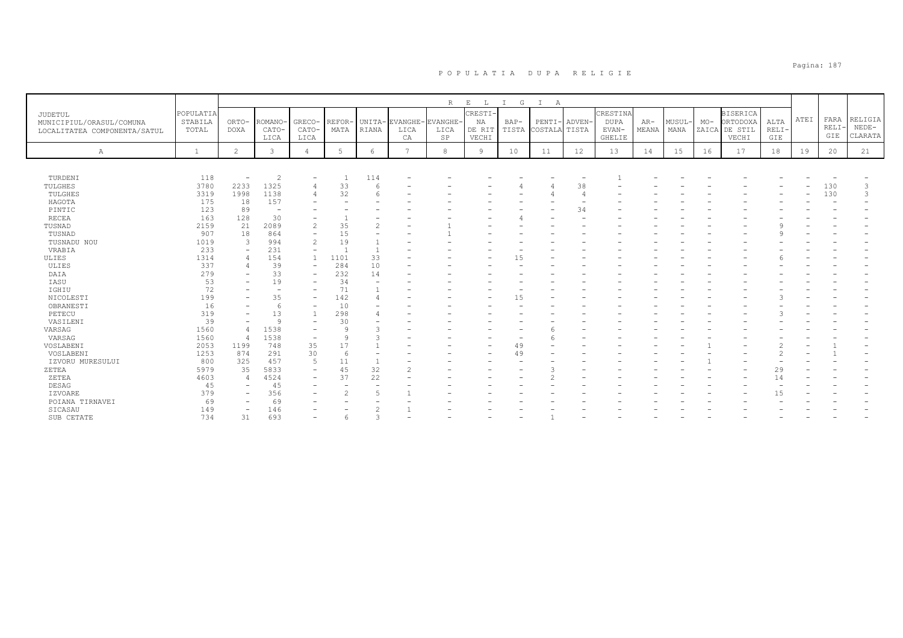| R<br>$\mathbf E$<br>$\mathbb{L}$<br>$\mathbb{I}$<br>G<br>$\mathbb{I}$<br>А<br><b>CRESTI</b><br>CRESTINA<br>POPULATIA<br><b>BISERICA</b><br>JUDETUL<br>ATEI<br>RELIGIA<br>FARA<br>$MO-$<br>ORTODOXA<br>ALTA<br>STABILA<br>ORTO-<br>ROMANO-<br>GRECO-<br><b>REFOR</b><br>UNITA-<br>EVANGHE-<br>EVANGHE-<br>NA<br>PENTI-<br>ADVEN-<br><b>DUPA</b><br>MUSUL<br>$BAP-$<br>$AR-$<br>MUNICIPIUL/ORASUL/COMUNA<br><b>RELI</b><br>$NEDE-$<br>$RELI-$<br>CATO-<br>MATA<br>DE RIT<br>TISTA<br>COSTALA TISTA<br>EVAN-<br>MEANA<br>MANA<br>ZAICA DE STIL<br>TOTAL<br><b>DOXA</b><br>CATO-<br>RIANA<br>LICA<br>LICA<br>LOCALITATEA COMPONENTA/SATUL<br>GIE<br>CLARATA<br>VECHI<br>GIE<br>LICA<br>SP<br>GHELIE<br>VECHI<br>LICA<br>CA<br>$\overline{2}$<br>3<br>6<br>$\overline{7}$<br>8<br>12<br>16<br>17<br>18<br>21<br>Α<br>$\mathbf{1}$<br>$\overline{4}$<br>5<br>9<br>10<br>11<br>13<br>14<br>15<br>19<br>20<br>TURDENI<br>118<br>2<br>114<br>$\overline{\phantom{a}}$<br>$\overline{\phantom{0}}$<br>3780<br>1325<br>33<br>TULGHES<br>2233<br>6<br>38<br>130<br>3<br>4<br>1998<br>1138<br>32<br>130<br>3<br>TULGHES<br>3319<br>175<br>157<br>HAGOTA<br>18<br>123<br>PINTIC<br>89<br>34<br>$\overline{\phantom{a}}$<br>163<br>30<br><b>RECEA</b><br>128<br>2159<br>2089<br>TUSNAD<br>21<br>$\mathcal{L}$<br>35<br>$\mathcal{L}$<br>907<br>TUSNAD<br>18<br>864<br>15<br>994<br>$\overline{2}$<br>19<br>TUSNADU NOU<br>1019<br>$\mathcal{L}$<br>231<br>233<br>VRABIA<br>$\overline{\phantom{a}}$<br>1314<br>154<br>1101<br>33<br>ULIES<br>$\overline{1}$<br>15<br>337<br>39<br>284<br>ULIES<br>10<br>$\overline{\phantom{a}}$<br>33<br>DAIA<br>279<br>232<br>14<br>$\overline{\phantom{0}}$<br>53<br>19<br>IASU<br>34<br>72<br>71<br>IGHIU<br>$\overline{\phantom{a}}$<br>199<br>35<br>142<br>NICOLESTI<br>15<br>$\overline{\phantom{0}}$<br>OBRANESTI<br>16<br>10<br>6<br>۰<br>319<br>13<br>PETECU<br>298<br>39<br>VASILENI<br>Q<br>30<br>1560<br>1538<br>VARSAG<br>$\circ$<br>1538<br>1560<br>VARSAG<br>$\mathsf{Q}$<br>$\overline{4}$<br>2053<br>1199<br>748<br>35<br>17<br>VOSLABENI<br>49<br>$\sim$<br>291<br>30<br>VOSLABENI<br>1253<br>874<br>$\hat{ }$<br>6<br>49<br>800<br>457<br>$\overline{5}$<br>IZVORU MURESULUI<br>325<br>11<br>$\overline{\phantom{a}}$<br>5979<br>5833<br>45<br>32<br>ZETEA<br>35<br>29<br>22<br>4603<br>4524<br>37<br>14<br>ZETEA<br>$\Delta$<br>45<br>45<br>DESAG<br>379<br>356<br><b>IZVOARE</b><br>5<br>15<br>POIANA TIRNAVEI<br>69<br>69<br>149<br>146<br>SICASAU<br>734<br>693<br>SUB CETATE<br>31<br>$\overline{a}$ |  |  |  |  |  |  |  |  |  |  |  |
|------------------------------------------------------------------------------------------------------------------------------------------------------------------------------------------------------------------------------------------------------------------------------------------------------------------------------------------------------------------------------------------------------------------------------------------------------------------------------------------------------------------------------------------------------------------------------------------------------------------------------------------------------------------------------------------------------------------------------------------------------------------------------------------------------------------------------------------------------------------------------------------------------------------------------------------------------------------------------------------------------------------------------------------------------------------------------------------------------------------------------------------------------------------------------------------------------------------------------------------------------------------------------------------------------------------------------------------------------------------------------------------------------------------------------------------------------------------------------------------------------------------------------------------------------------------------------------------------------------------------------------------------------------------------------------------------------------------------------------------------------------------------------------------------------------------------------------------------------------------------------------------------------------------------------------------------------------------------------------------------------------------------------------------------------------------------------------------------------------------------------------------------------------------------------------------------------------------------------------------------------------------------------------------------------------------------------------------------------------------------------------------------------------------------------------------------------------------------------------------------------------------------------------------------|--|--|--|--|--|--|--|--|--|--|--|
|                                                                                                                                                                                                                                                                                                                                                                                                                                                                                                                                                                                                                                                                                                                                                                                                                                                                                                                                                                                                                                                                                                                                                                                                                                                                                                                                                                                                                                                                                                                                                                                                                                                                                                                                                                                                                                                                                                                                                                                                                                                                                                                                                                                                                                                                                                                                                                                                                                                                                                                                                |  |  |  |  |  |  |  |  |  |  |  |
|                                                                                                                                                                                                                                                                                                                                                                                                                                                                                                                                                                                                                                                                                                                                                                                                                                                                                                                                                                                                                                                                                                                                                                                                                                                                                                                                                                                                                                                                                                                                                                                                                                                                                                                                                                                                                                                                                                                                                                                                                                                                                                                                                                                                                                                                                                                                                                                                                                                                                                                                                |  |  |  |  |  |  |  |  |  |  |  |
|                                                                                                                                                                                                                                                                                                                                                                                                                                                                                                                                                                                                                                                                                                                                                                                                                                                                                                                                                                                                                                                                                                                                                                                                                                                                                                                                                                                                                                                                                                                                                                                                                                                                                                                                                                                                                                                                                                                                                                                                                                                                                                                                                                                                                                                                                                                                                                                                                                                                                                                                                |  |  |  |  |  |  |  |  |  |  |  |
|                                                                                                                                                                                                                                                                                                                                                                                                                                                                                                                                                                                                                                                                                                                                                                                                                                                                                                                                                                                                                                                                                                                                                                                                                                                                                                                                                                                                                                                                                                                                                                                                                                                                                                                                                                                                                                                                                                                                                                                                                                                                                                                                                                                                                                                                                                                                                                                                                                                                                                                                                |  |  |  |  |  |  |  |  |  |  |  |
|                                                                                                                                                                                                                                                                                                                                                                                                                                                                                                                                                                                                                                                                                                                                                                                                                                                                                                                                                                                                                                                                                                                                                                                                                                                                                                                                                                                                                                                                                                                                                                                                                                                                                                                                                                                                                                                                                                                                                                                                                                                                                                                                                                                                                                                                                                                                                                                                                                                                                                                                                |  |  |  |  |  |  |  |  |  |  |  |
|                                                                                                                                                                                                                                                                                                                                                                                                                                                                                                                                                                                                                                                                                                                                                                                                                                                                                                                                                                                                                                                                                                                                                                                                                                                                                                                                                                                                                                                                                                                                                                                                                                                                                                                                                                                                                                                                                                                                                                                                                                                                                                                                                                                                                                                                                                                                                                                                                                                                                                                                                |  |  |  |  |  |  |  |  |  |  |  |
|                                                                                                                                                                                                                                                                                                                                                                                                                                                                                                                                                                                                                                                                                                                                                                                                                                                                                                                                                                                                                                                                                                                                                                                                                                                                                                                                                                                                                                                                                                                                                                                                                                                                                                                                                                                                                                                                                                                                                                                                                                                                                                                                                                                                                                                                                                                                                                                                                                                                                                                                                |  |  |  |  |  |  |  |  |  |  |  |
|                                                                                                                                                                                                                                                                                                                                                                                                                                                                                                                                                                                                                                                                                                                                                                                                                                                                                                                                                                                                                                                                                                                                                                                                                                                                                                                                                                                                                                                                                                                                                                                                                                                                                                                                                                                                                                                                                                                                                                                                                                                                                                                                                                                                                                                                                                                                                                                                                                                                                                                                                |  |  |  |  |  |  |  |  |  |  |  |
|                                                                                                                                                                                                                                                                                                                                                                                                                                                                                                                                                                                                                                                                                                                                                                                                                                                                                                                                                                                                                                                                                                                                                                                                                                                                                                                                                                                                                                                                                                                                                                                                                                                                                                                                                                                                                                                                                                                                                                                                                                                                                                                                                                                                                                                                                                                                                                                                                                                                                                                                                |  |  |  |  |  |  |  |  |  |  |  |
|                                                                                                                                                                                                                                                                                                                                                                                                                                                                                                                                                                                                                                                                                                                                                                                                                                                                                                                                                                                                                                                                                                                                                                                                                                                                                                                                                                                                                                                                                                                                                                                                                                                                                                                                                                                                                                                                                                                                                                                                                                                                                                                                                                                                                                                                                                                                                                                                                                                                                                                                                |  |  |  |  |  |  |  |  |  |  |  |
|                                                                                                                                                                                                                                                                                                                                                                                                                                                                                                                                                                                                                                                                                                                                                                                                                                                                                                                                                                                                                                                                                                                                                                                                                                                                                                                                                                                                                                                                                                                                                                                                                                                                                                                                                                                                                                                                                                                                                                                                                                                                                                                                                                                                                                                                                                                                                                                                                                                                                                                                                |  |  |  |  |  |  |  |  |  |  |  |
|                                                                                                                                                                                                                                                                                                                                                                                                                                                                                                                                                                                                                                                                                                                                                                                                                                                                                                                                                                                                                                                                                                                                                                                                                                                                                                                                                                                                                                                                                                                                                                                                                                                                                                                                                                                                                                                                                                                                                                                                                                                                                                                                                                                                                                                                                                                                                                                                                                                                                                                                                |  |  |  |  |  |  |  |  |  |  |  |
|                                                                                                                                                                                                                                                                                                                                                                                                                                                                                                                                                                                                                                                                                                                                                                                                                                                                                                                                                                                                                                                                                                                                                                                                                                                                                                                                                                                                                                                                                                                                                                                                                                                                                                                                                                                                                                                                                                                                                                                                                                                                                                                                                                                                                                                                                                                                                                                                                                                                                                                                                |  |  |  |  |  |  |  |  |  |  |  |
|                                                                                                                                                                                                                                                                                                                                                                                                                                                                                                                                                                                                                                                                                                                                                                                                                                                                                                                                                                                                                                                                                                                                                                                                                                                                                                                                                                                                                                                                                                                                                                                                                                                                                                                                                                                                                                                                                                                                                                                                                                                                                                                                                                                                                                                                                                                                                                                                                                                                                                                                                |  |  |  |  |  |  |  |  |  |  |  |
|                                                                                                                                                                                                                                                                                                                                                                                                                                                                                                                                                                                                                                                                                                                                                                                                                                                                                                                                                                                                                                                                                                                                                                                                                                                                                                                                                                                                                                                                                                                                                                                                                                                                                                                                                                                                                                                                                                                                                                                                                                                                                                                                                                                                                                                                                                                                                                                                                                                                                                                                                |  |  |  |  |  |  |  |  |  |  |  |
|                                                                                                                                                                                                                                                                                                                                                                                                                                                                                                                                                                                                                                                                                                                                                                                                                                                                                                                                                                                                                                                                                                                                                                                                                                                                                                                                                                                                                                                                                                                                                                                                                                                                                                                                                                                                                                                                                                                                                                                                                                                                                                                                                                                                                                                                                                                                                                                                                                                                                                                                                |  |  |  |  |  |  |  |  |  |  |  |
|                                                                                                                                                                                                                                                                                                                                                                                                                                                                                                                                                                                                                                                                                                                                                                                                                                                                                                                                                                                                                                                                                                                                                                                                                                                                                                                                                                                                                                                                                                                                                                                                                                                                                                                                                                                                                                                                                                                                                                                                                                                                                                                                                                                                                                                                                                                                                                                                                                                                                                                                                |  |  |  |  |  |  |  |  |  |  |  |
|                                                                                                                                                                                                                                                                                                                                                                                                                                                                                                                                                                                                                                                                                                                                                                                                                                                                                                                                                                                                                                                                                                                                                                                                                                                                                                                                                                                                                                                                                                                                                                                                                                                                                                                                                                                                                                                                                                                                                                                                                                                                                                                                                                                                                                                                                                                                                                                                                                                                                                                                                |  |  |  |  |  |  |  |  |  |  |  |
|                                                                                                                                                                                                                                                                                                                                                                                                                                                                                                                                                                                                                                                                                                                                                                                                                                                                                                                                                                                                                                                                                                                                                                                                                                                                                                                                                                                                                                                                                                                                                                                                                                                                                                                                                                                                                                                                                                                                                                                                                                                                                                                                                                                                                                                                                                                                                                                                                                                                                                                                                |  |  |  |  |  |  |  |  |  |  |  |
|                                                                                                                                                                                                                                                                                                                                                                                                                                                                                                                                                                                                                                                                                                                                                                                                                                                                                                                                                                                                                                                                                                                                                                                                                                                                                                                                                                                                                                                                                                                                                                                                                                                                                                                                                                                                                                                                                                                                                                                                                                                                                                                                                                                                                                                                                                                                                                                                                                                                                                                                                |  |  |  |  |  |  |  |  |  |  |  |
|                                                                                                                                                                                                                                                                                                                                                                                                                                                                                                                                                                                                                                                                                                                                                                                                                                                                                                                                                                                                                                                                                                                                                                                                                                                                                                                                                                                                                                                                                                                                                                                                                                                                                                                                                                                                                                                                                                                                                                                                                                                                                                                                                                                                                                                                                                                                                                                                                                                                                                                                                |  |  |  |  |  |  |  |  |  |  |  |
|                                                                                                                                                                                                                                                                                                                                                                                                                                                                                                                                                                                                                                                                                                                                                                                                                                                                                                                                                                                                                                                                                                                                                                                                                                                                                                                                                                                                                                                                                                                                                                                                                                                                                                                                                                                                                                                                                                                                                                                                                                                                                                                                                                                                                                                                                                                                                                                                                                                                                                                                                |  |  |  |  |  |  |  |  |  |  |  |
|                                                                                                                                                                                                                                                                                                                                                                                                                                                                                                                                                                                                                                                                                                                                                                                                                                                                                                                                                                                                                                                                                                                                                                                                                                                                                                                                                                                                                                                                                                                                                                                                                                                                                                                                                                                                                                                                                                                                                                                                                                                                                                                                                                                                                                                                                                                                                                                                                                                                                                                                                |  |  |  |  |  |  |  |  |  |  |  |
|                                                                                                                                                                                                                                                                                                                                                                                                                                                                                                                                                                                                                                                                                                                                                                                                                                                                                                                                                                                                                                                                                                                                                                                                                                                                                                                                                                                                                                                                                                                                                                                                                                                                                                                                                                                                                                                                                                                                                                                                                                                                                                                                                                                                                                                                                                                                                                                                                                                                                                                                                |  |  |  |  |  |  |  |  |  |  |  |
|                                                                                                                                                                                                                                                                                                                                                                                                                                                                                                                                                                                                                                                                                                                                                                                                                                                                                                                                                                                                                                                                                                                                                                                                                                                                                                                                                                                                                                                                                                                                                                                                                                                                                                                                                                                                                                                                                                                                                                                                                                                                                                                                                                                                                                                                                                                                                                                                                                                                                                                                                |  |  |  |  |  |  |  |  |  |  |  |
|                                                                                                                                                                                                                                                                                                                                                                                                                                                                                                                                                                                                                                                                                                                                                                                                                                                                                                                                                                                                                                                                                                                                                                                                                                                                                                                                                                                                                                                                                                                                                                                                                                                                                                                                                                                                                                                                                                                                                                                                                                                                                                                                                                                                                                                                                                                                                                                                                                                                                                                                                |  |  |  |  |  |  |  |  |  |  |  |
|                                                                                                                                                                                                                                                                                                                                                                                                                                                                                                                                                                                                                                                                                                                                                                                                                                                                                                                                                                                                                                                                                                                                                                                                                                                                                                                                                                                                                                                                                                                                                                                                                                                                                                                                                                                                                                                                                                                                                                                                                                                                                                                                                                                                                                                                                                                                                                                                                                                                                                                                                |  |  |  |  |  |  |  |  |  |  |  |
|                                                                                                                                                                                                                                                                                                                                                                                                                                                                                                                                                                                                                                                                                                                                                                                                                                                                                                                                                                                                                                                                                                                                                                                                                                                                                                                                                                                                                                                                                                                                                                                                                                                                                                                                                                                                                                                                                                                                                                                                                                                                                                                                                                                                                                                                                                                                                                                                                                                                                                                                                |  |  |  |  |  |  |  |  |  |  |  |
|                                                                                                                                                                                                                                                                                                                                                                                                                                                                                                                                                                                                                                                                                                                                                                                                                                                                                                                                                                                                                                                                                                                                                                                                                                                                                                                                                                                                                                                                                                                                                                                                                                                                                                                                                                                                                                                                                                                                                                                                                                                                                                                                                                                                                                                                                                                                                                                                                                                                                                                                                |  |  |  |  |  |  |  |  |  |  |  |
|                                                                                                                                                                                                                                                                                                                                                                                                                                                                                                                                                                                                                                                                                                                                                                                                                                                                                                                                                                                                                                                                                                                                                                                                                                                                                                                                                                                                                                                                                                                                                                                                                                                                                                                                                                                                                                                                                                                                                                                                                                                                                                                                                                                                                                                                                                                                                                                                                                                                                                                                                |  |  |  |  |  |  |  |  |  |  |  |
|                                                                                                                                                                                                                                                                                                                                                                                                                                                                                                                                                                                                                                                                                                                                                                                                                                                                                                                                                                                                                                                                                                                                                                                                                                                                                                                                                                                                                                                                                                                                                                                                                                                                                                                                                                                                                                                                                                                                                                                                                                                                                                                                                                                                                                                                                                                                                                                                                                                                                                                                                |  |  |  |  |  |  |  |  |  |  |  |
|                                                                                                                                                                                                                                                                                                                                                                                                                                                                                                                                                                                                                                                                                                                                                                                                                                                                                                                                                                                                                                                                                                                                                                                                                                                                                                                                                                                                                                                                                                                                                                                                                                                                                                                                                                                                                                                                                                                                                                                                                                                                                                                                                                                                                                                                                                                                                                                                                                                                                                                                                |  |  |  |  |  |  |  |  |  |  |  |
|                                                                                                                                                                                                                                                                                                                                                                                                                                                                                                                                                                                                                                                                                                                                                                                                                                                                                                                                                                                                                                                                                                                                                                                                                                                                                                                                                                                                                                                                                                                                                                                                                                                                                                                                                                                                                                                                                                                                                                                                                                                                                                                                                                                                                                                                                                                                                                                                                                                                                                                                                |  |  |  |  |  |  |  |  |  |  |  |
|                                                                                                                                                                                                                                                                                                                                                                                                                                                                                                                                                                                                                                                                                                                                                                                                                                                                                                                                                                                                                                                                                                                                                                                                                                                                                                                                                                                                                                                                                                                                                                                                                                                                                                                                                                                                                                                                                                                                                                                                                                                                                                                                                                                                                                                                                                                                                                                                                                                                                                                                                |  |  |  |  |  |  |  |  |  |  |  |
|                                                                                                                                                                                                                                                                                                                                                                                                                                                                                                                                                                                                                                                                                                                                                                                                                                                                                                                                                                                                                                                                                                                                                                                                                                                                                                                                                                                                                                                                                                                                                                                                                                                                                                                                                                                                                                                                                                                                                                                                                                                                                                                                                                                                                                                                                                                                                                                                                                                                                                                                                |  |  |  |  |  |  |  |  |  |  |  |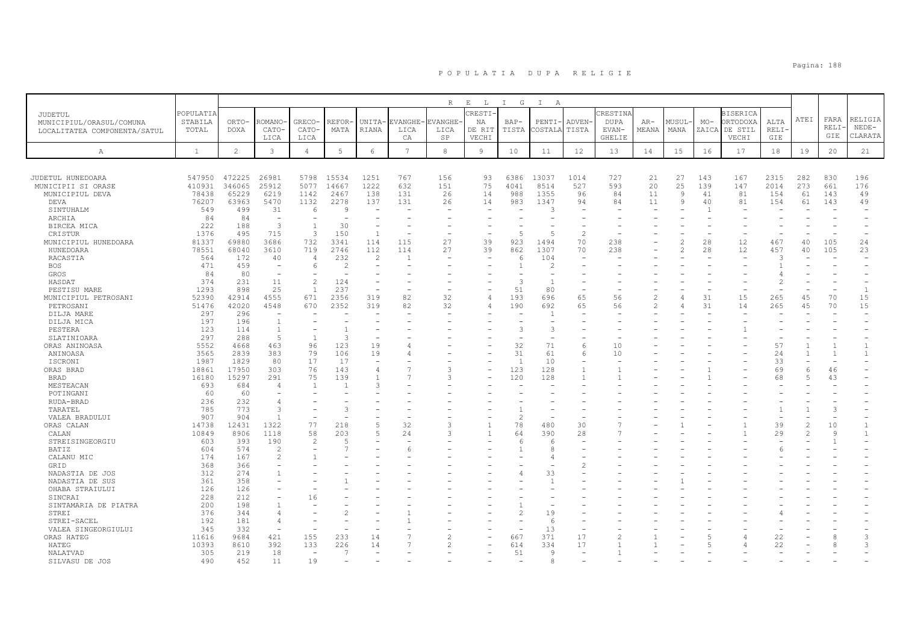|                                     | POPULATIA    |              |                          |                                 |                          |                          |                | R        | $\mathbf{E}$<br>$\mathbb{L}$<br>CRESTI- | I G            | $\mathbb{I}$<br>A |                          | CRESTINA       |       |                          |       | <b>BISERICA</b> |       |      |             |                |
|-------------------------------------|--------------|--------------|--------------------------|---------------------------------|--------------------------|--------------------------|----------------|----------|-----------------------------------------|----------------|-------------------|--------------------------|----------------|-------|--------------------------|-------|-----------------|-------|------|-------------|----------------|
| JUDETUL<br>MUNICIPIUL/ORASUL/COMUNA | STABILA      | ORTO-        | <b>COMANO</b>            | GRECO-                          | REFOR·                   | UNITA-                   | EVANGHE-       | EVANGHE- | ΝA                                      | $BAP-$         | PENTI-            | ADVEN-                   | <b>DUPA</b>    | $AR-$ | MUSUL-                   | $MO-$ | ORTODOXA        | ALTA  | ATEI | FARA        | RELIGIA        |
| LOCALITATEA COMPONENTA/SATUL        | TOTAL        | <b>DOXA</b>  | CATO-                    | CATO-                           | MATA                     | RIANA                    | LICA           | LICA     | DE RIT                                  | TISTA          | COSTALA           | TISTA                    | EVAN-          | MEANA | MANA                     | ZAICA | DE STIL         | RELI- |      | <b>RELI</b> | $NEDE-$        |
|                                     |              |              | LICA                     | LICA                            |                          |                          | CA             | SP       | VECHI                                   |                |                   |                          | <b>GHELIE</b>  |       |                          |       | VECHI           | GIE   |      | GIE         | CLARATA        |
| А                                   | $\mathbf{1}$ | 2            | $\mathbf{3}$             | $\overline{4}$                  | 5                        | 6                        | $\overline{7}$ | 8        | 9                                       | 10             | 11                | 12                       | 13             | 14    | 15                       | 16    | 17              | 18    | 19   | 20          | 21             |
|                                     |              |              |                          |                                 |                          |                          |                |          |                                         |                |                   |                          |                |       |                          |       |                 |       |      |             |                |
| JUDETUL HUNEDOARA                   | 547950       | 472225       | 26981                    | 5798                            | 15534                    | 1251                     | 767            | 156      | 93                                      | 6386           | 13037             | 1014                     | 727            | 21    | 27                       | 143   | 167             | 2315  | 282  | 830         | 196            |
| MUNICIPII SI ORASE                  | 410931       | 346065       | 25912                    | 5077                            | 14667                    | 1222                     | 632            | 151      | 75                                      | 4041           | 8514              | 527                      | 593            | 20    | 25                       | 139   | 147             | 2014  | 273  | 661         | 176            |
| MUNICIPIUL DEVA                     | 78438        | 65229        | 6219                     | 1142                            | 2467                     | 138                      | 131            | 26       | 14                                      | 988            | 1355              | 96                       | 84             | 11    | $\overline{9}$           | 41    | 81              | 154   | 61   | 143         | 49             |
| DEVA                                | 76207        | 63963        | 5470                     | 1132                            | 2278                     | 137                      | 131            | 26       | 14                                      | 983            | 1347              | 94                       | 84             | 11    | 9                        | 40    | 81              | 154   | 61   | 143         | 49             |
| SINTUHALM                           | 549          | 499          | 31                       | 6                               | 9                        |                          |                | $\sim$   |                                         |                | Р                 |                          |                |       |                          |       |                 |       |      |             |                |
| ARCHIA                              | 84           | 84           | $\sim$                   | $\overline{\phantom{m}}$        | $\overline{\phantom{a}}$ | $\overline{\phantom{0}}$ |                |          |                                         |                |                   |                          |                |       |                          |       |                 |       |      |             |                |
| BIRCEA MICA                         | 222          | 188          | 3                        | $\overline{1}$                  | 30                       |                          |                |          |                                         |                |                   |                          |                |       |                          |       |                 |       |      |             |                |
| CRISTUR                             | 1376         | 495          | 715                      | 3                               | 150                      | $\mathbf{1}$             |                |          |                                         | $\overline{5}$ | 5                 | $\mathfrak{D}$           |                |       |                          |       |                 |       |      |             |                |
| MUNICIPIUL HUNEDOARA                | 81337        | 69880        | 3686                     | 732                             | 3341                     | 114                      | 115            | 27       | 39                                      | 923            | 1494              | 70                       | 238            |       | $\overline{\mathcal{L}}$ | 28    | 12              | 467   | 40   | 105         | 24             |
| HUNEDOARA                           | 78551        | 68040        | 3610                     | 719                             | 2746                     | 112                      | 114            | 27       | 39                                      | 862            | 1307              | 70                       | 238            |       | $\mathcal{L}$            | 28    | 12              | 457   | 40   | 105         | 23             |
| RACASTIA                            | 564          | 172          | 40                       | $\overline{4}$                  | 232                      | 2                        | -1             |          |                                         | 6              | 104               |                          |                |       |                          |       |                 | 3     |      |             |                |
| <b>BOS</b>                          | 471          | 459          | $\overline{a}$           | 6                               | $\overline{c}$           |                          |                |          |                                         | $\mathbf{1}$   | 2                 |                          |                |       |                          |       |                 |       |      |             |                |
| GROS                                | 84           | 80           |                          |                                 |                          |                          |                |          |                                         |                |                   |                          |                |       |                          |       |                 |       |      |             |                |
| HASDAT                              | 374          | 231          | 11                       | $\overline{c}$                  | 124                      | $\overline{\phantom{a}}$ |                |          |                                         | 3              | $\overline{1}$    |                          |                |       |                          |       |                 | 2     |      |             |                |
| PESTISU MARE                        | 1293         | 898          | 25                       | $\overline{1}$                  | 237                      | ÷,                       |                |          |                                         | 51             | 80                |                          |                |       |                          |       |                 |       |      |             | $\overline{1}$ |
| MUNICIPIUL PETROSANI                | 52390        | 42914        | 4555                     | 671                             | 2356                     | 319                      | 82             | 32       |                                         | 193            | 696               | 65                       | 56             |       | $\overline{4}$           | 31    | 15              | 265   | 45   | 70          | 15             |
| PETROSANI<br>DILJA MARE             | 51476<br>297 | 42020<br>296 | 4548                     | 670<br>$\overline{\phantom{a}}$ | 2352                     | 319                      | 82             | 32       |                                         | 190            | 692               | 65                       | 56             | 2     | 4                        | 31    | 14              | 265   | 45   | 70          | 15             |
| DILJA MICA                          | 197          | 196          | $\overline{1}$           |                                 |                          |                          |                |          |                                         |                |                   |                          |                |       |                          |       |                 |       |      |             |                |
| PESTERA                             | 123          | 114          | $\overline{1}$           | $\overline{\phantom{m}}$        |                          |                          |                |          |                                         | 3              | З                 |                          |                |       |                          |       |                 |       |      |             |                |
| SLATINIOARA                         | 297          | 288          | -5                       | $\mathbf{1}$                    | 3                        |                          |                |          |                                         |                |                   |                          |                |       |                          |       |                 |       |      |             |                |
| ORAS ANINOASA                       | 5552         | 4668         | 463                      | 96                              | 123                      | 19                       |                |          |                                         | 32             | 71                | 6                        | 10             |       |                          |       |                 | 57    |      |             |                |
| ANINOASA                            | 3565         | 2839         | 383                      | 79                              | 106                      | 19                       | 4              |          |                                         | 31             | 61                | 6                        | 10             |       |                          |       |                 | 24    |      |             |                |
| ISCRONI                             | 1987         | 1829         | 80                       | 17                              | 17                       | $\overline{\phantom{a}}$ |                |          |                                         | $\overline{1}$ | 10                | $\overline{\phantom{0}}$ |                |       |                          |       |                 | 33    |      |             |                |
| ORAS BRAD                           | 18861        | 17950        | 303                      | 76                              | 143                      | 4                        |                | 3        |                                         | 123            | 128               | $\mathbf{1}$             |                |       |                          |       |                 | 69    | 6    | 46          |                |
| <b>BRAD</b>                         | 16180        | 15297        | 291                      | 75                              | 139                      |                          |                | 3        |                                         | 120            | 128               |                          |                |       |                          |       |                 | 68    |      | 43          |                |
| MESTEACAN                           | 693          | 684          | $\overline{4}$           | $\mathbf{1}$                    | -1                       | 3                        |                |          |                                         |                |                   |                          |                |       |                          |       |                 |       |      |             |                |
| POTINGANI                           | 60           | 60           |                          |                                 |                          |                          |                |          |                                         |                |                   |                          |                |       |                          |       |                 |       |      |             |                |
| RUDA-BRAD                           | 236          | 232          | 4                        |                                 |                          |                          |                |          |                                         |                |                   |                          |                |       |                          |       |                 |       |      |             |                |
| TARATEL                             | 785          | 773          | 3                        |                                 | 3                        |                          |                |          |                                         |                |                   |                          |                |       |                          |       |                 |       |      |             |                |
| VALEA BRADULUI                      | 907          | 904          |                          | $\overline{\phantom{a}}$        |                          |                          |                |          |                                         | $\overline{2}$ |                   |                          |                |       |                          |       |                 |       |      |             |                |
| ORAS CALAN                          | 14738        | 12431        | 1322                     | 77                              | 218                      | 5                        | 32             | 3        |                                         | 78             | 480               | 30                       |                |       |                          |       |                 | 39    |      | 10          |                |
| CALAN                               | 10849        | 8906         | 1118                     | 58                              | 203                      | 5                        | 24             | 3        |                                         | 64             | 390               | 28                       |                |       |                          |       |                 | 29    |      | 9           |                |
| STREISINGEORGIU                     | 603          | 393          | 190                      | $\overline{2}$                  | F                        |                          |                |          |                                         | 6              | 6                 |                          |                |       |                          |       |                 |       |      |             |                |
| BATIZ                               | 604          | 574          | $\overline{c}$           |                                 |                          |                          | 6              |          |                                         |                | 8                 |                          |                |       |                          |       |                 |       |      |             |                |
| CALANU MIC                          | 174          | 167          | $\overline{c}$           |                                 |                          |                          |                |          |                                         |                |                   |                          |                |       |                          |       |                 |       |      |             |                |
| GRID                                | 368          | 366<br>274   | $\overline{\phantom{0}}$ |                                 |                          |                          |                |          |                                         |                |                   |                          |                |       |                          |       |                 |       |      |             |                |
| NADASTIA DE JOS                     | 312<br>361   | 358          |                          |                                 |                          |                          |                |          |                                         |                | 33                |                          |                |       |                          |       |                 |       |      |             |                |
| NADASTIA DE SUS<br>OHABA STRAIULUI  | 126          | 126          |                          |                                 |                          |                          |                |          |                                         |                |                   |                          |                |       |                          |       |                 |       |      |             |                |
| SINCRAI                             | 228          | 212          |                          | 16                              |                          |                          |                |          |                                         |                |                   |                          |                |       |                          |       |                 |       |      |             |                |
| SINTAMARIA DE PIATRA                | 200          | 198          |                          |                                 |                          |                          |                |          |                                         |                |                   |                          |                |       |                          |       |                 |       |      |             |                |
| STREI                               | 376          | 344          | $\overline{4}$           |                                 |                          |                          |                |          |                                         | $\overline{c}$ | 19                |                          |                |       |                          |       |                 |       |      |             |                |
| STREI-SACEL                         | 192          | 181          | $\overline{4}$           |                                 |                          |                          |                |          |                                         |                | -6                |                          |                |       |                          |       |                 |       |      |             |                |
| VALEA SINGEORGIULUI                 | 345          | 332          | $\overline{a}$           | $\overline{\phantom{a}}$        |                          |                          |                |          |                                         |                | 13                | $\overline{\phantom{a}}$ |                |       |                          |       |                 |       |      |             |                |
| ORAS HATEG                          | 11616        | 9684         | 421                      | 155                             | 233                      | 14                       |                |          |                                         | 667            | 371               | 17                       | $\mathfrak{D}$ |       |                          |       | 4               | 22    |      |             | 3              |
| HATEG                               | 10393        | 8610         | 392                      | 133                             | 226                      | 14                       |                |          |                                         | 614            | 334               | 17                       |                |       |                          |       | 4               | 22    |      |             | $\mathcal{L}$  |
| NALATVAD                            | 305          | 219          | 18                       | $\overline{\phantom{a}}$        | -7                       |                          |                |          |                                         | 51             | <sup>o</sup>      |                          |                |       |                          |       |                 |       |      |             |                |
| SILVASU DE JOS                      | 490          | 452          | 11                       | 19                              |                          |                          |                |          |                                         |                | 8                 |                          |                |       |                          |       |                 |       |      |             |                |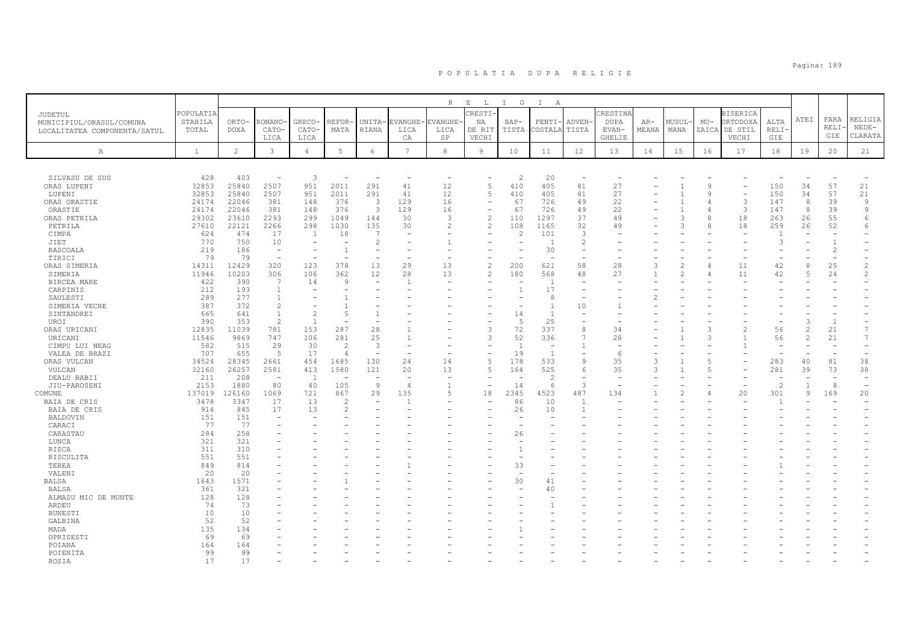|                              |                  |                |                                  |                          |                          |                          |                 | $\, {\mathbb R}$         | $\mathbf{E}$<br>$\mathbb{L}$ | $\mathbb{I}$<br>G | $\mathbb{I}$<br>A                |                          |                          |               |                |               |                          |                |                |          |                |
|------------------------------|------------------|----------------|----------------------------------|--------------------------|--------------------------|--------------------------|-----------------|--------------------------|------------------------------|-------------------|----------------------------------|--------------------------|--------------------------|---------------|----------------|---------------|--------------------------|----------------|----------------|----------|----------------|
| <b>JUDETUL</b>               | <b>POPULATIA</b> |                |                                  |                          |                          |                          |                 |                          | RESTI <sup>.</sup>           |                   |                                  |                          | CRESTINA                 |               |                |               | <b>BISERICA</b>          |                |                |          |                |
| MUNICIPIUL/ORASUL/COMUNA     | STABILA          | ORTO-          | ROMANO                           | <b>GRECO</b>             | REFOR-                   | UNITA-                   | <b>EVANGHE</b>  | EVANGHE-                 | ΝA                           | $BAP-$            | PENTI                            | ADVEN-                   | <b>DUPA</b>              | $AR-$         | MUSUL          | $MO-$         | ORTODOXA                 | ALTA           | ATEI           | FARA     | RELIGIA        |
| LOCALITATEA COMPONENTA/SATUL | TOTAL            | DOXA           | CATO-                            | CATO-                    | MATA                     | RIANA                    | LICA            | LICA                     | DE RIT                       | TISTA             | COSTALA                          | TISTA                    | EVAN-                    | MEANA         | MANA           | ZAICA         | DE STIL                  | RELI-          |                | RELI-    | $NEDE-$        |
|                              |                  |                | LICA                             | LICA                     |                          |                          | CA              | SP                       | VECHI                        |                   |                                  |                          | <b>GHELIE</b>            |               |                |               | VECHI                    | GIE            |                | GIE      | CLARATA        |
| Α                            | $\mathbf{1}$     | $\overline{c}$ | 3                                | $\overline{4}$           | 5                        | $\epsilon$               | $7\overline{ }$ | $^{\rm 8}$               | $\overline{9}$               | 10                | 11                               | 12                       | 13                       | 14            | 15             | 16            | 17                       | 18             | 19             | 20       | 21             |
|                              |                  |                |                                  |                          |                          |                          |                 |                          |                              |                   |                                  |                          |                          |               |                |               |                          |                |                |          |                |
|                              |                  |                |                                  |                          |                          |                          |                 |                          |                              |                   |                                  |                          |                          |               |                |               |                          |                |                |          |                |
| SILVASU DE SUS               | 428              | 403            | $\overline{\phantom{a}}$         | 3                        | $\overline{\phantom{a}}$ | $\overline{\phantom{m}}$ |                 | $\overline{\phantom{a}}$ | $\overline{5}$               | $\overline{c}$    | 20                               | $\overline{\phantom{a}}$ |                          |               |                | $\mathcal{Q}$ |                          |                | 34             |          |                |
| ORAS LUPENI<br>LUPENI        | 32853<br>32853   | 25840<br>25840 | 2507<br>2507                     | 951<br>951               | 2011<br>2011             | 291<br>291               | 41<br>41        | 12<br>12                 | $\overline{5}$               | 410<br>410        | 405<br>405                       | 81<br>81                 | 27<br>27                 |               |                | $\circ$       | $\overline{\phantom{a}}$ | 150<br>150     | 34             | 57<br>57 | 21<br>21       |
| ORAS ORASTIE                 | 24174            | 22046          | 381                              | 148                      | 376                      | 3                        | 129             | 16                       |                              | 67                | 726                              | 49                       | 22                       |               |                |               | 3                        | 147            | 8              | 39       | $\overline{9}$ |
| ORASTIE                      | 24174            | 22046          | 381                              | 148                      | 376                      | 3                        | 129             | 16                       | $\overline{\phantom{a}}$     | 67                | 726                              | 49                       | 22                       |               |                |               | $\mathcal{L}$            | 147            | 8              | 39       | $\mathcal{Q}$  |
| ORAS PETRILA                 | 29302            | 23610          | 2293                             | 299                      | 1049                     | 144                      | 30              | 3                        | $\overline{c}$               | 110               | 1297                             | 37                       | 49                       |               | $\mathcal{R}$  | Я             | 18                       | 263            | 26             | 55       | 6              |
| PETRILA                      | 27610            | 22121          | 2266                             | 298                      | 1030                     | 135                      | 30              | $\overline{c}$           | $\overline{c}$               | 108               | 1165                             | 32                       | 49                       |               | 3              |               | 18                       | 259            | 26             | 52       |                |
| CIMPA                        | 624              | 474            | 17                               | <sup>1</sup>             | 18                       | 7                        |                 |                          |                              | $\overline{2}$    | 101                              | 3                        |                          |               |                |               |                          |                |                |          |                |
| JIET                         | 770              | 750            | 10                               |                          |                          | $\overline{c}$           |                 |                          |                              |                   | -1                               | 2                        |                          |               |                |               |                          | 3              |                |          |                |
| RASCOALA                     | 219              | 186            | $\sim$                           | $\overline{\phantom{a}}$ | $\overline{1}$           | $\overline{\phantom{m}}$ |                 |                          |                              |                   | 30                               | $\overline{\phantom{m}}$ |                          |               |                |               |                          |                |                | 2        |                |
| TIRICI                       | 79               | 79             | $\overline{a}$                   |                          |                          | $\overline{\phantom{a}}$ |                 |                          |                              |                   |                                  |                          |                          |               |                |               |                          |                |                |          |                |
| ORAS SIMERIA                 | 14311            | 12429          | 320                              | 123                      | 378                      | 13                       | 29              | 13                       | $\overline{c}$               | 200               | 621                              | 58                       | 28                       | 3             | $\mathfrak{D}$ |               | 11                       | 42             | $\mathcal{R}$  | 25       | $\mathcal{D}$  |
| SIMERIA                      | 11946            | 10203          | 306                              | 106                      | 362                      | 12                       | 28              | 13                       |                              | 180               | 568                              | 48                       | 27                       |               |                |               | 11                       | 42             |                | 24       | $\mathfrak{D}$ |
| BIRCEA MARE                  | 422              | 390            | $\overline{7}$                   | 14                       | Q                        | $\overline{\phantom{a}}$ |                 |                          |                              |                   | $\overline{1}$                   | $\overline{\phantom{a}}$ |                          |               |                |               |                          |                |                |          |                |
| CARPINIS                     | 212              | 193            | -1                               |                          |                          |                          |                 |                          |                              | $\mathbf{1}$      | 17                               |                          |                          |               |                |               |                          |                |                |          |                |
| SAULESTI                     | 289              | 277            | $\overline{1}$                   |                          |                          |                          |                 |                          |                              |                   | 8                                |                          |                          |               |                |               |                          |                |                |          |                |
| SIMERIA VECHE                | 387<br>665       | 372<br>641     | $\overline{c}$<br>$\overline{1}$ | 2                        | .5                       | $\overline{1}$           |                 |                          |                              | 14                | $\overline{1}$<br>$\overline{1}$ | 10                       |                          |               |                |               |                          |                |                |          |                |
| SINTANDREI<br>UROI           | 390              | 353            | $\overline{c}$                   | $\overline{1}$           |                          |                          |                 |                          |                              | 5                 | 25                               |                          |                          |               |                |               |                          |                |                | 1        |                |
| ORAS URICANI                 | 12835            | 11039          | 781                              | 153                      | 287                      | 28                       |                 |                          | 3                            | 72                | 337                              | 8                        | 34                       |               |                | 3             | $\overline{c}$           | 56             | $\mathcal{L}$  | 21       |                |
| URICANI                      | 11546            | 9869           | 747                              | 106                      | 281                      | 25                       |                 |                          | 3                            | 52                | 336                              | 7                        | 28                       |               |                | 3             |                          | 56             | $\mathcal{L}$  | 21       |                |
| CIMPU LUI NEAG               | 582              | 515            | 29                               | 30                       | $\overline{2}$           | 3                        |                 |                          |                              | $\overline{1}$    | $\overline{\phantom{m}}$         | $\mathbf{1}$             | $\overline{\phantom{m}}$ |               |                |               |                          | ٠              |                |          |                |
| VALEA DE BRAZI               | 707              | 655            | - 5                              | 17                       | $\overline{4}$           | $\overline{\phantom{m}}$ |                 |                          |                              | 19                | $\overline{1}$                   | $\overline{\phantom{a}}$ | 6                        |               |                |               |                          |                |                |          |                |
| ORAS VULCAN                  | 34524            | 28345          | 2661                             | 454                      | 1685                     | 130                      | 24              | 14                       | 5                            | 178               | 533                              | 9                        | 35                       | Э             |                | 5             |                          | 283            | 40             | 81       | 38             |
| VULCAN                       | 32160            | 26257          | 2581                             | 413                      | 1580                     | 121                      | 20              | 13                       | $\overline{5}$               | 164               | 525                              | 6                        | 35                       | $\mathcal{R}$ |                | 5             |                          | 281            | 39             | 73       | 38             |
| DEALU BABII                  | 211              | 208            | $\sim$                           | $\overline{1}$           | ÷,                       | $\overline{\phantom{a}}$ | $\sim$          | $\sim$                   |                              | ÷.                | $\overline{\mathcal{L}}$         | $\overline{\phantom{a}}$ | $\overline{\phantom{a}}$ |               |                |               |                          | $\sim$         |                |          | $\rightarrow$  |
| JIU-PAROSENI                 | 2153             | 1880           | 80                               | 40                       | 105                      | $\overline{9}$           | $\overline{4}$  | $\overline{1}$           | $\overline{\phantom{a}}$     | 14                | 6                                | 3                        |                          |               |                |               |                          | $\overline{c}$ | $\overline{1}$ | 8        | $\rightarrow$  |
| COMUNE                       | 137019           | 126160         | 1069                             | 721                      | 867                      | 29                       | 135             | 5                        | 18                           | 2345              | 4523                             | 487                      | 134                      |               |                |               | 20                       | 301            | $\mathcal{Q}$  | 169      | 20             |
| BAIA DE CRIS                 | 3478             | 3347           | 17                               | 13                       | $\mathcal{D}$            |                          |                 |                          |                              | 86                | 10                               | $\overline{1}$           |                          |               |                |               |                          |                |                |          |                |
| BAIA DE CRIS                 | 914              | 845            | 17                               | 13                       |                          |                          |                 |                          |                              | 26                | 10                               | $\overline{1}$           |                          |               |                |               |                          |                |                |          |                |
| BALDOVIN                     | 151              | 151            | $\overline{\phantom{a}}$         |                          |                          |                          |                 |                          |                              |                   |                                  |                          |                          |               |                |               |                          |                |                |          |                |
| CARACI                       | 77               | 77             |                                  |                          |                          |                          |                 |                          |                              |                   |                                  |                          |                          |               |                |               |                          |                |                |          |                |
| CARASTAU<br>LUNCA            | 284<br>321       | 258<br>321     |                                  |                          |                          |                          |                 |                          |                              | 26                |                                  |                          |                          |               |                |               |                          |                |                |          |                |
| RISCA                        | 311              | 310            |                                  |                          |                          |                          |                 |                          |                              | $\overline{1}$    |                                  |                          |                          |               |                |               |                          |                |                |          |                |
| RISCULITA                    | 551              | 551            |                                  |                          |                          |                          |                 |                          |                              |                   |                                  |                          |                          |               |                |               |                          |                |                |          |                |
| TEBEA                        | 849              | 814            |                                  |                          |                          |                          |                 |                          |                              | 33                |                                  |                          |                          |               |                |               |                          |                |                |          |                |
| VALENI                       | 20               | 20             |                                  |                          |                          |                          |                 |                          |                              |                   |                                  |                          |                          |               |                |               |                          |                |                |          |                |
| <b>BALSA</b>                 | 1643             | 1571           |                                  |                          |                          |                          |                 |                          |                              | 30                | 41                               |                          |                          |               |                |               |                          |                |                |          |                |
| BALSA                        | 361              | 321            |                                  |                          |                          |                          |                 |                          |                              |                   | 40                               |                          |                          |               |                |               |                          |                |                |          |                |
| ALMASU MIC DE MUNTE          | 128              | 128            |                                  |                          |                          |                          |                 |                          |                              |                   |                                  |                          |                          |               |                |               |                          |                |                |          |                |
| ARDEU                        | 74               | 73             |                                  |                          |                          |                          |                 |                          |                              |                   |                                  |                          |                          |               |                |               |                          |                |                |          |                |
| BUNESTI                      | 10               | 10             |                                  |                          |                          |                          |                 |                          |                              |                   |                                  |                          |                          |               |                |               |                          |                |                |          |                |
| GALBINA                      | 52               | 52             |                                  |                          |                          |                          |                 |                          |                              |                   |                                  |                          |                          |               |                |               |                          |                |                |          |                |
| MADA                         | 135              | 134            |                                  |                          |                          |                          |                 |                          |                              |                   |                                  |                          |                          |               |                |               |                          |                |                |          |                |
| OPRISESTI                    | 69               | 69             |                                  |                          |                          |                          |                 |                          |                              |                   |                                  |                          |                          |               |                |               |                          |                |                |          |                |
| POIANA                       | 164              | 164            |                                  |                          |                          |                          |                 |                          |                              |                   |                                  |                          |                          |               |                |               |                          |                |                |          |                |
| POIENITA<br><b>ROSTA</b>     | 99<br>17         | 99<br>17       |                                  |                          |                          |                          |                 |                          |                              |                   |                                  |                          |                          |               |                |               |                          |                |                |          |                |
|                              |                  |                |                                  |                          |                          |                          |                 |                          |                              |                   |                                  |                          |                          |               |                |               |                          |                |                |          |                |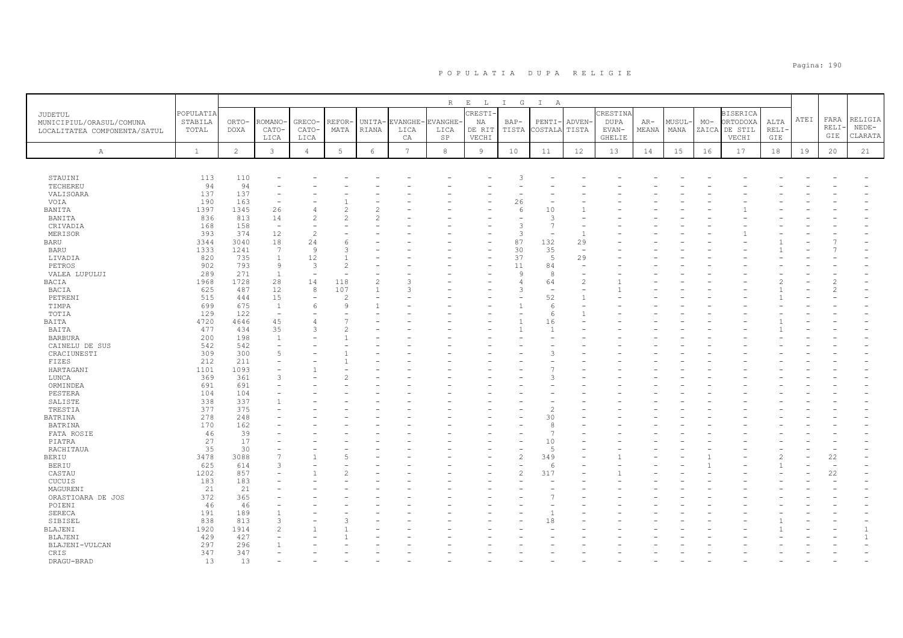|                                  |              |                |                   |                |                 |                |                 | R        | $\mathbf{E}=-\mathbf{L}$ . | $I$ G              | $\mathbb{I}$<br>A |                |               |       |       |       |                 |      |      |       |         |
|----------------------------------|--------------|----------------|-------------------|----------------|-----------------|----------------|-----------------|----------|----------------------------|--------------------|-------------------|----------------|---------------|-------|-------|-------|-----------------|------|------|-------|---------|
| <b>JUDETUL</b>                   | POPULATIA    |                |                   |                |                 |                |                 |          | CRESTI-                    |                    |                   |                | CRESTINA      |       |       |       | <b>BISERICA</b> |      |      |       |         |
| MUNICIPIUL/ORASUL/COMUNA         | STABILA      | ORTO-          | <b>ROMANO</b>     | GRECO-         | REFOR-          | UNITA-         | EVANGHE-        | EVANGHE- | ΝA                         | BAP-               | $PENTI-$          | ADVEN-         | DUPA          | $AR-$ | MUSUL | $MO-$ | ORTODOXA        | ALTA | ATEI | FARA  | RELIGIA |
| LOCALITATEA COMPONENTA/SATUL     | TOTAL        | <b>DOXA</b>    | CATO-             | CATO-          | MATA            | RIANA          | LICA            | LICA     | DE RIT                     | TISTA              | COSTALA TISTA     |                | EVAN-         | MEANA | MANA  |       | ZAICA DE STIL   | RELI |      | RELI· | $NEDE-$ |
|                                  |              |                | LICA              | LICA           |                 |                | CA              | SP       | VECHI                      |                    |                   |                | <b>GHELIE</b> |       |       |       | VECHI           | GIE  |      | GIE   | CLARATA |
|                                  |              |                |                   |                |                 |                |                 |          |                            |                    |                   |                |               |       |       |       |                 |      |      |       |         |
| Α                                | $\mathbf{1}$ | $\overline{c}$ | $\mathbf{3}$      | $\overline{4}$ | $5\phantom{.0}$ | $\epsilon$     | $7\overline{ }$ | 8        | 9                          | 10                 | 11                | 12             | 13            | 14    | 15    | 16    | 17              | 18   | 19   | 20    | 21      |
|                                  |              |                |                   |                |                 |                |                 |          |                            |                    |                   |                |               |       |       |       |                 |      |      |       |         |
| STAUINI                          | 113          | 110            |                   |                |                 |                |                 |          |                            | 3                  |                   |                |               |       |       |       |                 |      |      |       |         |
| TECHEREU                         | 94           | 94             |                   |                |                 |                |                 |          |                            |                    |                   |                |               |       |       |       |                 |      |      |       |         |
| VALISOARA                        | 137          | 137            |                   |                |                 |                |                 |          |                            |                    |                   |                |               |       |       |       |                 |      |      |       |         |
| VOIA                             | 190          | 163            |                   |                |                 |                |                 |          |                            | 26                 |                   |                |               |       |       |       |                 |      |      |       |         |
| BANITA                           | 1397         | 1345           | 26                | 4              |                 |                |                 |          |                            | 6                  | 10                |                |               |       |       |       |                 |      |      |       |         |
| BANITA                           | 836          | 813            | 14                |                |                 |                |                 |          |                            |                    | 3                 |                |               |       |       |       |                 |      |      |       |         |
| CRIVADIA                         | 168          | 158            | $\sim$            |                |                 |                |                 |          |                            | 3                  | $\overline{7}$    |                |               |       |       |       |                 |      |      |       |         |
| MERISOR                          | 393          | 374            | 12                | $\mathfrak{D}$ |                 |                |                 |          |                            | 3                  |                   | $\overline{1}$ |               |       |       |       |                 |      |      |       |         |
| <b>BARU</b>                      | 3344         | 3040           | 18                | 24             | 6               |                |                 |          |                            | 87                 | 132               | 29             |               |       |       |       |                 |      |      |       |         |
| BARU                             | 1333         | 1241           | 7                 | $\overline{9}$ | ς               |                |                 |          |                            | 30                 | 35                |                |               |       |       |       |                 |      |      |       |         |
| LIVADIA                          | 820          | 735            | $\mathbf{1}$      | 12<br>3        |                 |                |                 |          | ۰                          | 37                 | 5                 | 29             |               |       |       |       |                 |      |      |       |         |
| PETROS                           | 902<br>289   | 793<br>271     | 9<br>$\mathbf{1}$ |                | 2               |                |                 |          |                            | 11<br>$\mathsf{Q}$ | 84<br>8           |                |               |       |       |       |                 |      |      |       |         |
| VALEA LUPULUI<br><b>BACIA</b>    | 1968         | 1728           | 28                | 14             | 118             | $\overline{c}$ |                 |          |                            | 4                  | 64                | $\overline{c}$ |               |       |       |       |                 |      |      |       |         |
| BACIA                            | 625          | 487            | 12                | 8              | 107             |                | 3               |          |                            | 3                  | $\sim$            |                |               |       |       |       |                 |      |      |       |         |
| PETRENI                          | 515          | 444            | 15                |                | 2               |                |                 |          |                            |                    | 52                | $\overline{1}$ |               |       |       |       |                 |      |      |       |         |
| TIMPA                            | 699          | 675            | $\mathbf{1}$      | 6              | $\mathcal{Q}$   |                |                 |          |                            |                    | 6                 |                |               |       |       |       |                 |      |      |       |         |
| TOTIA                            | 129          | 122            | ÷,                |                |                 |                |                 |          |                            |                    | 6                 |                |               |       |       |       |                 |      |      |       |         |
| BAITA                            | 4720         | 4646           | 45                |                |                 |                |                 |          |                            |                    | 16                |                |               |       |       |       |                 |      |      |       |         |
| BAITA                            | 477          | 434            | 35                | 3              |                 |                |                 |          |                            |                    | $\mathbf{1}$      |                |               |       |       |       |                 |      |      |       |         |
| <b>BARBURA</b>                   | 200          | 198            | 1                 |                |                 |                |                 |          |                            |                    |                   |                |               |       |       |       |                 |      |      |       |         |
| CAINELU DE SUS                   | 542          | 542            |                   |                |                 |                |                 |          |                            |                    |                   |                |               |       |       |       |                 |      |      |       |         |
| CRACIUNESTI                      | 309          | 300            | 5                 |                |                 |                |                 |          |                            |                    | 3                 |                |               |       |       |       |                 |      |      |       |         |
| FIZES                            | 212          | 211            |                   |                |                 |                |                 |          |                            |                    |                   |                |               |       |       |       |                 |      |      |       |         |
| HARTAGANI                        | 1101         | 1093           |                   |                |                 |                |                 |          |                            |                    |                   |                |               |       |       |       |                 |      |      |       |         |
| LUNCA                            | 369          | 361            | 3                 |                |                 |                |                 |          |                            |                    | 3                 |                |               |       |       |       |                 |      |      |       |         |
| ORMINDEA                         | 691          | 691            |                   |                |                 |                |                 |          |                            |                    |                   |                |               |       |       |       |                 |      |      |       |         |
| PESTERA                          | 104          | 104            |                   |                |                 |                |                 |          |                            |                    |                   |                |               |       |       |       |                 |      |      |       |         |
| SALISTE                          | 338          | 337            |                   |                |                 |                |                 |          |                            |                    |                   |                |               |       |       |       |                 |      |      |       |         |
| TRESTIA                          | 377          | 375            |                   |                |                 |                |                 |          |                            |                    | 2                 |                |               |       |       |       |                 |      |      |       |         |
| <b>BATRINA</b><br><b>BATRINA</b> | 278<br>170   | 248<br>162     |                   |                |                 |                |                 |          |                            |                    | 30<br>8           |                |               |       |       |       |                 |      |      |       |         |
| FATA ROSIE                       | 46           | 39             |                   |                |                 |                |                 |          |                            |                    | $\overline{7}$    |                |               |       |       |       |                 |      |      |       |         |
| PIATRA                           | 27           | 17             |                   |                |                 |                |                 |          |                            |                    | 10                |                |               |       |       |       |                 |      |      |       |         |
| RACHITAUA                        | 35           | 30             |                   |                |                 |                |                 |          |                            |                    | 5                 |                |               |       |       |       |                 |      |      |       |         |
| BERIU                            | 3478         | 3088           | $\overline{7}$    |                |                 |                |                 |          |                            | $\mathfrak{D}$     | 349               |                |               |       |       |       |                 |      |      | 22    |         |
| <b>BERIU</b>                     | 625          | 614            | 3                 |                |                 |                |                 |          |                            |                    | 6                 |                |               |       |       |       |                 |      |      |       |         |
| CASTAU                           | 1202         | 857            |                   |                |                 |                |                 |          |                            | $\overline{c}$     | 317               |                |               |       |       |       |                 |      |      | 22    |         |
| CUCUIS                           | 183          | 183            |                   |                |                 |                |                 |          |                            |                    |                   |                |               |       |       |       |                 |      |      |       |         |
| MAGURENI                         | 21           | 21             |                   |                |                 |                |                 |          |                            |                    |                   |                |               |       |       |       |                 |      |      |       |         |
| ORASTIOARA DE JOS                | 372          | 365            |                   |                |                 |                |                 |          |                            |                    |                   |                |               |       |       |       |                 |      |      |       |         |
| POIENI                           | 46           | 46             |                   |                |                 |                |                 |          |                            |                    |                   |                |               |       |       |       |                 |      |      |       |         |
| SERECA                           | 191          | 189            |                   |                |                 |                |                 |          |                            |                    |                   |                |               |       |       |       |                 |      |      |       |         |
| SIBISEL                          | 838          | 813            | 3                 |                |                 |                |                 |          |                            |                    | 18                |                |               |       |       |       |                 |      |      |       |         |
| BLAJENI                          | 1920         | 1914           | $\mathfrak{D}$    |                |                 |                |                 |          |                            |                    |                   |                |               |       |       |       |                 |      |      |       |         |
| BLAJENI                          | 429          | 427            |                   |                |                 |                |                 |          |                            |                    |                   |                |               |       |       |       |                 |      |      |       |         |
| BLAJENI-VULCAN                   | 297          | 296            |                   |                |                 |                |                 |          |                            |                    |                   |                |               |       |       |       |                 |      |      |       |         |
| CRIS                             | 347          | 347            |                   |                |                 |                |                 |          |                            |                    |                   |                |               |       |       |       |                 |      |      |       |         |
| DRAGU-BRAD                       | 13           | 13             |                   |                |                 |                |                 |          |                            |                    |                   |                |               |       |       |       |                 |      |      |       |         |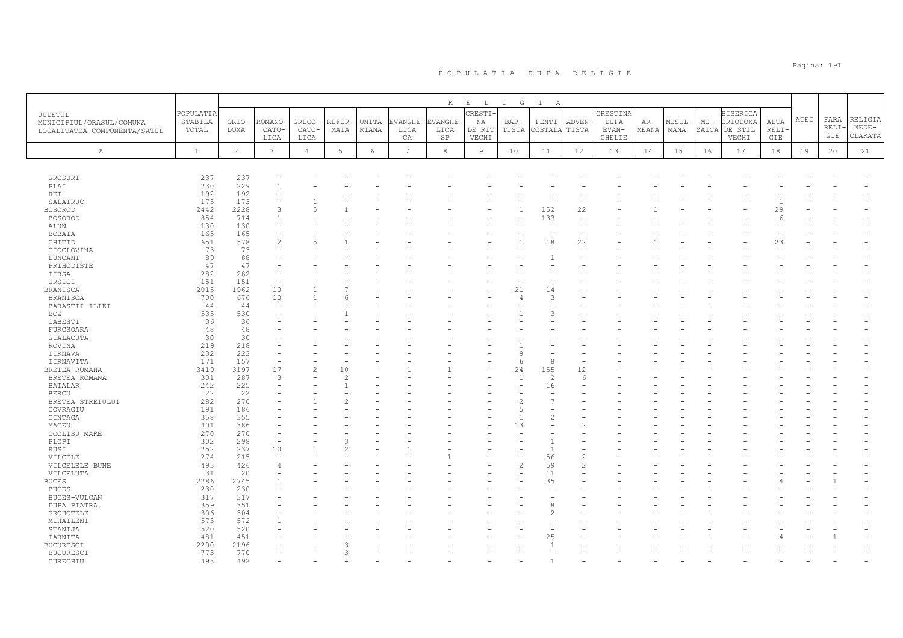|                              |              |                |                |                |                |            |                | R              | $\mathbf{E}=-\mathbf{L}$ . | $I$ G          | $\mathbb{I}$<br>A |               |                        |       |        |       |                        |              |      |       |         |
|------------------------------|--------------|----------------|----------------|----------------|----------------|------------|----------------|----------------|----------------------------|----------------|-------------------|---------------|------------------------|-------|--------|-------|------------------------|--------------|------|-------|---------|
| JUDETUL                      | POPULATIA    |                |                |                |                |            |                |                | CRESTI-                    |                |                   |               | CRESTINA               |       |        |       | <b>BISERICA</b>        |              | ATEI | FARA  | RELIGIA |
| MUNICIPIUL/ORASUL/COMUNA     | STABILA      | ORTO-          | <b>ROMANO</b>  | GRECO-         | <b>REFOR-</b>  | UNITA-     | EVANGHE-       | <b>EVANGHE</b> | NA                         | $BAP-$         | PENTI-            | <b>ADVEN</b>  | <b>DUPA</b>            | $AR-$ | MUSUL- | $MO-$ | ORTODOXA               | ALTA         |      | RELI· | $NEDE-$ |
| LOCALITATEA COMPONENTA/SATUL | TOTAL        | <b>DOXA</b>    | CATO-<br>LICA  | CATO-<br>LICA  | MATA           | RIANA      | LICA<br>CA     | LICA<br>SP     | DE RIT<br>VECHI            | TISTA          | COSTALA           | TISTA         | EVAN-<br><b>GHELIE</b> | MEANA | MANA   |       | ZAICA DE STIL<br>VECHI | RELI·<br>GIE |      | GIE   | CLARATA |
|                              |              |                |                |                |                |            |                |                |                            |                |                   |               |                        |       |        |       |                        |              |      |       |         |
| Α                            | $\mathbf{1}$ | $\overline{c}$ | $\mathbf{3}$   | $\overline{4}$ | $\mathbf 5$    | $\epsilon$ | $\overline{7}$ | $^{\rm 8}$     | 9                          | 10             | 11                | 12            | 13                     | 14    | 15     | 16    | 17                     | $1\,8$       | 19   | 20    | 21      |
|                              |              |                |                |                |                |            |                |                |                            |                |                   |               |                        |       |        |       |                        |              |      |       |         |
| GROSURI                      | 237          | 237            |                |                |                |            |                |                |                            |                |                   |               |                        |       |        |       |                        |              |      |       |         |
| PLAI                         | 230          | 229            | $\overline{1}$ |                |                |            |                |                |                            |                |                   |               |                        |       |        |       |                        |              |      |       |         |
| RET                          | 192          | 192            |                |                |                |            |                |                |                            |                |                   |               |                        |       |        |       |                        |              |      |       |         |
| SALATRUC                     | 175          | 173            |                |                |                |            |                |                |                            |                |                   |               |                        |       |        |       |                        |              |      |       |         |
| <b>BOSOROD</b>               | 2442         | 2228           | 3              |                |                |            |                |                |                            |                | 152               | 22            |                        |       |        |       |                        | 29           |      |       |         |
| <b>BOSOROD</b>               | 854          | 714            | 1              |                |                |            |                |                |                            |                | 133<br>÷,         |               |                        |       |        |       |                        | -6           |      |       |         |
| ALUN                         | 130<br>165   | 130<br>165     |                |                |                |            |                |                |                            |                |                   |               |                        |       |        |       |                        |              |      |       |         |
| BOBAIA<br>CHITID             | 651          | 578            | $\overline{c}$ | $\overline{5}$ |                |            |                |                |                            |                | 18                | 22            |                        |       |        |       |                        | 23           |      |       |         |
| CIOCLOVINA                   | 73           | 73             |                |                |                |            |                |                |                            |                |                   |               |                        |       |        |       |                        |              |      |       |         |
| LUNCANI                      | 89           | 88             |                |                |                |            |                |                |                            |                |                   |               |                        |       |        |       |                        |              |      |       |         |
| PRIHODISTE                   | 47           | 47             |                |                |                |            |                |                |                            |                |                   |               |                        |       |        |       |                        |              |      |       |         |
| TIRSA                        | 282          | 282            |                |                |                |            |                |                |                            |                |                   |               |                        |       |        |       |                        |              |      |       |         |
| URSICI                       | 151          | 151            |                |                |                |            |                |                |                            |                |                   |               |                        |       |        |       |                        |              |      |       |         |
| <b>BRANISCA</b>              | 2015         | 1962           | 10             |                |                |            |                |                |                            | 21             | 14                |               |                        |       |        |       |                        |              |      |       |         |
| <b>BRANISCA</b>              | 700          | 676            | 10             |                |                |            |                |                |                            | $\Delta$       | 3                 |               |                        |       |        |       |                        |              |      |       |         |
| BARASTII ILIEI               | 44           | 44             |                |                |                |            |                |                |                            |                |                   |               |                        |       |        |       |                        |              |      |       |         |
| BOZ                          | 535          | 530            |                |                |                |            |                |                |                            |                | 3                 |               |                        |       |        |       |                        |              |      |       |         |
| CABESTI                      | 36           | 36             |                |                |                |            |                |                |                            |                |                   |               |                        |       |        |       |                        |              |      |       |         |
| FURCSOARA                    | 48           | 48             |                |                |                |            |                |                |                            |                |                   |               |                        |       |        |       |                        |              |      |       |         |
| GIALACUTA                    | 30           | 30             |                |                |                |            |                |                |                            |                |                   |               |                        |       |        |       |                        |              |      |       |         |
| ROVINA                       | 219          | 218            |                |                |                |            |                |                |                            |                |                   |               |                        |       |        |       |                        |              |      |       |         |
| TIRNAVA                      | 232          | 223            |                |                |                |            |                |                |                            | C              |                   |               |                        |       |        |       |                        |              |      |       |         |
| TIRNAVITA                    | 171          | 157            | ۰              |                |                |            |                |                |                            | -6             | 8                 |               |                        |       |        |       |                        |              |      |       |         |
| BRETEA ROMANA                | 3419         | 3197           | 17             | $\overline{c}$ | 10             |            |                |                |                            | 24             | 155               | 12            |                        |       |        |       |                        |              |      |       |         |
| BRETEA ROMANA                | 301          | 287            | 3              |                | $\mathfrak{D}$ |            |                |                |                            | $\overline{1}$ | $\overline{c}$    | -6            |                        |       |        |       |                        |              |      |       |         |
| <b>BATALAR</b>               | 242          | 225<br>22      |                |                |                |            |                |                |                            |                | 16                |               |                        |       |        |       |                        |              |      |       |         |
| <b>BERCU</b>                 | 22<br>282    | 270            |                |                |                |            |                |                |                            |                | 7                 |               |                        |       |        |       |                        |              |      |       |         |
| BRETEA STREIULUI<br>COVRAGIU | 191          | 186            |                |                |                |            |                |                |                            |                | $\sim$            |               |                        |       |        |       |                        |              |      |       |         |
| GINTAGA                      | 358          | 355            |                |                |                |            |                |                |                            |                | $\overline{c}$    |               |                        |       |        |       |                        |              |      |       |         |
| MACEU                        | 401          | 386            |                |                |                |            |                |                |                            | 13             |                   |               |                        |       |        |       |                        |              |      |       |         |
| OCOLISU MARE                 | 270          | 270            |                |                |                |            |                |                |                            |                |                   |               |                        |       |        |       |                        |              |      |       |         |
| PLOPI                        | 302          | 298            |                |                |                |            |                |                |                            |                |                   |               |                        |       |        |       |                        |              |      |       |         |
| RUSI                         | 252          | 237            | 10             |                |                |            |                |                |                            |                | $\mathbf{1}$      |               |                        |       |        |       |                        |              |      |       |         |
| VILCELE                      | 274          | 215            | $\sim$         |                |                |            |                |                |                            |                | 56                | 2             |                        |       |        |       |                        |              |      |       |         |
| VILCELELE BUNE               | 493          | 426            | 4              |                |                |            |                |                |                            | $\overline{c}$ | 59                | $\mathcal{D}$ |                        |       |        |       |                        |              |      |       |         |
| VILCELUTA                    | 31           | 20             |                |                |                |            |                |                |                            |                | 11                |               |                        |       |        |       |                        |              |      |       |         |
| <b>BUCES</b>                 | 2786         | 2745           |                |                |                |            |                |                |                            |                | 35                |               |                        |       |        |       |                        |              |      |       |         |
| <b>BUCES</b>                 | 230          | 230            |                |                |                |            |                |                |                            |                | $\sim$            |               |                        |       |        |       |                        |              |      |       |         |
| BUCES-VULCAN                 | 317          | 317            |                |                |                |            |                |                |                            |                |                   |               |                        |       |        |       |                        |              |      |       |         |
| DUPA PIATRA                  | 359          | 351            |                |                |                |            |                |                |                            |                | 8                 |               |                        |       |        |       |                        |              |      |       |         |
| GROHOTELE                    | 306          | 304            |                |                |                |            |                |                |                            |                | $\overline{c}$    |               |                        |       |        |       |                        |              |      |       |         |
| MIHAILENI                    | 573          | 572            |                |                |                |            |                |                |                            |                |                   |               |                        |       |        |       |                        |              |      |       |         |
| STANIJA                      | 520          | 520            |                |                |                |            |                |                |                            |                |                   |               |                        |       |        |       |                        |              |      |       |         |
| TARNITA                      | 481          | 451            |                |                |                |            |                |                |                            |                | 25                |               |                        |       |        |       |                        |              |      |       |         |
| <b>BUCURESCI</b>             | 2200         | 2196           |                |                |                |            |                |                |                            |                |                   |               |                        |       |        |       |                        |              |      |       |         |
| <b>BUCURESCI</b>             | 773          | 770            |                |                |                |            |                |                |                            |                |                   |               |                        |       |        |       |                        |              |      |       |         |
| CURECHIU                     | 493          | 492            |                |                |                |            |                |                |                            |                |                   |               |                        |       |        |       |                        |              |      |       |         |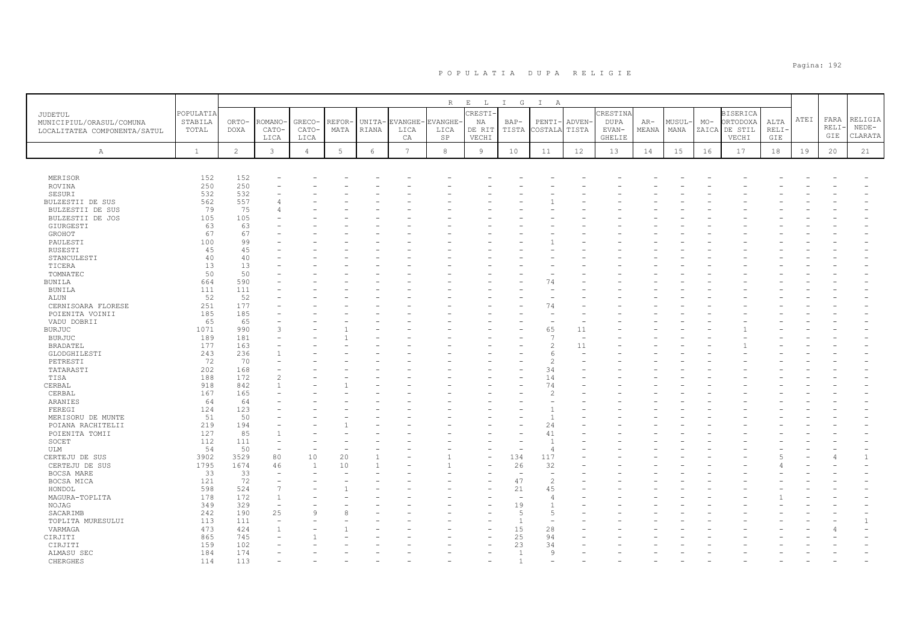| JUDETUL<br>MUNICIPIUL/ORASUL/COMUNA<br>LOCALITATEA COMPONENTA/SATUL | POPULATIA<br>STABILA<br>TOTAL | ORTO-<br><b>DOXA</b> | ROMANO<br>CATO-<br>LICA | GRECO-<br>CATO-<br>LICA | REFOR<br>MATA | UNITA-<br>RIANA | EVANGHE·<br>LICA<br>CA | <b>VANGHE</b><br>LICA<br>SP | $R$ $E$ $L$<br>CRESTI<br>ΝA<br>DE RIT<br>VECHI | I G<br>BAP-<br>TISTA     | $\mathbb{I}$<br>A<br>PENTI-<br>COSTALA | <b>ADVEN</b><br>TISTA | CRESTINA<br><b>DUPA</b><br>EVAN-<br>GHELIE | $AR-$<br>MEANA | MUSUL-<br>MANA | $MO-$ | <b>BISERICA</b><br>ORTODOXA<br>ZAICA DE STIL<br>VECHI | ALTA<br><b>RELI</b><br>GIE | ATEI | FARA<br>RELI·<br>GIE | RELIGIA<br>$NEDE-$<br>CLARATA |
|---------------------------------------------------------------------|-------------------------------|----------------------|-------------------------|-------------------------|---------------|-----------------|------------------------|-----------------------------|------------------------------------------------|--------------------------|----------------------------------------|-----------------------|--------------------------------------------|----------------|----------------|-------|-------------------------------------------------------|----------------------------|------|----------------------|-------------------------------|
| Α                                                                   | $\mathbf{1}$                  | 2                    | $\mathbf{3}$            | $\overline{4}$          | 5             | $6\phantom{.}6$ | $\overline{7}$         | 8                           | $\overline{9}$                                 | 10                       | 11                                     | 12                    | 13                                         | 14             | 15             | 16    | 17                                                    | 18                         | 19   | 20                   | 21                            |
|                                                                     |                               |                      |                         |                         |               |                 |                        |                             |                                                |                          |                                        |                       |                                            |                |                |       |                                                       |                            |      |                      |                               |
| MERISOR                                                             | 152                           | 152                  |                         |                         |               |                 |                        |                             |                                                |                          |                                        |                       |                                            |                |                |       |                                                       |                            |      |                      |                               |
| ROVINA                                                              | 250                           | 250                  |                         |                         |               |                 |                        |                             |                                                |                          |                                        |                       |                                            |                |                |       |                                                       |                            |      |                      |                               |
| SESURI                                                              | 532                           | 532                  |                         |                         |               |                 |                        |                             |                                                |                          |                                        |                       |                                            |                |                |       |                                                       |                            |      |                      |                               |
| BULZESTII DE SUS                                                    | 562                           | 557                  |                         |                         |               |                 |                        |                             |                                                |                          |                                        |                       |                                            |                |                |       |                                                       |                            |      |                      |                               |
| BULZESTII DE SUS                                                    | 79                            | 75                   |                         |                         |               |                 |                        |                             |                                                |                          |                                        |                       |                                            |                |                |       |                                                       |                            |      |                      |                               |
| BULZESTII DE JOS                                                    | 105                           | 105                  |                         |                         |               |                 |                        |                             |                                                |                          |                                        |                       |                                            |                |                |       |                                                       |                            |      |                      |                               |
| GIURGESTI                                                           | 63                            | 63                   |                         |                         |               |                 |                        |                             |                                                |                          |                                        |                       |                                            |                |                |       |                                                       |                            |      |                      |                               |
| GROHOT                                                              | 67                            | 67                   |                         |                         |               |                 |                        |                             |                                                |                          |                                        |                       |                                            |                |                |       |                                                       |                            |      |                      |                               |
| PAULESTI                                                            | 100                           | 99                   |                         |                         |               |                 |                        |                             |                                                |                          |                                        |                       |                                            |                |                |       |                                                       |                            |      |                      |                               |
| RUSESTI                                                             | 45                            | 45                   |                         |                         |               |                 |                        |                             |                                                |                          |                                        |                       |                                            |                |                |       |                                                       |                            |      |                      |                               |
| STANCULESTI                                                         | 40                            | 40                   |                         |                         |               |                 |                        |                             |                                                |                          |                                        |                       |                                            |                |                |       |                                                       |                            |      |                      |                               |
| TICERA                                                              | 13                            | 13                   |                         |                         |               |                 |                        |                             |                                                |                          |                                        |                       |                                            |                |                |       |                                                       |                            |      |                      |                               |
| TOMNATEC                                                            | 50                            | 50                   |                         |                         |               |                 |                        |                             |                                                |                          |                                        |                       |                                            |                |                |       |                                                       |                            |      |                      |                               |
| <b>BUNILA</b>                                                       | 664                           | 590                  |                         |                         |               |                 |                        |                             |                                                |                          | 74                                     |                       |                                            |                |                |       |                                                       |                            |      |                      |                               |
| BUNILA                                                              | 111                           | 111                  |                         |                         |               |                 |                        |                             |                                                |                          |                                        |                       |                                            |                |                |       |                                                       |                            |      |                      |                               |
| ALUN                                                                | 52                            | 52                   |                         |                         |               |                 |                        |                             |                                                |                          |                                        |                       |                                            |                |                |       |                                                       |                            |      |                      |                               |
| CERNISOARA FLORESE                                                  | 251                           | 177                  |                         |                         |               |                 |                        |                             |                                                |                          | 74                                     |                       |                                            |                |                |       |                                                       |                            |      |                      |                               |
| POIENITA VOINII                                                     | 185                           | 185                  |                         |                         |               |                 |                        |                             |                                                |                          |                                        |                       |                                            |                |                |       |                                                       |                            |      |                      |                               |
| VADU DOBRII                                                         | 65                            | 65                   |                         |                         |               |                 |                        |                             |                                                |                          |                                        |                       |                                            |                |                |       |                                                       |                            |      |                      |                               |
| <b>BURJUC</b>                                                       | 1071                          | 990                  |                         |                         |               |                 |                        |                             |                                                |                          | 65                                     | 11                    |                                            |                |                |       |                                                       |                            |      |                      |                               |
| <b>BURJUC</b>                                                       | 189                           | 181                  |                         |                         |               |                 |                        |                             |                                                |                          | $\overline{7}$                         |                       |                                            |                |                |       |                                                       |                            |      |                      |                               |
| <b>BRADATEL</b>                                                     | 177                           | 163                  |                         |                         |               |                 |                        |                             |                                                |                          | $\overline{c}$                         | 11                    |                                            |                |                |       |                                                       |                            |      |                      |                               |
| GLODGHILESTI                                                        | 243                           | 236                  |                         |                         |               |                 |                        |                             |                                                |                          | 6                                      |                       |                                            |                |                |       |                                                       |                            |      |                      |                               |
| PETRESTI                                                            | 72                            | 70                   |                         |                         |               |                 |                        |                             |                                                |                          | $\overline{c}$                         |                       |                                            |                |                |       |                                                       |                            |      |                      |                               |
| TATARASTI                                                           | 202                           | 168                  |                         |                         |               |                 |                        |                             |                                                |                          | 34                                     |                       |                                            |                |                |       |                                                       |                            |      |                      |                               |
| TISA                                                                | 188                           | 172                  |                         |                         |               |                 |                        |                             |                                                |                          | 14                                     |                       |                                            |                |                |       |                                                       |                            |      |                      |                               |
| CERBAL                                                              | 918                           | 842                  |                         |                         |               |                 |                        |                             |                                                |                          | 74                                     |                       |                                            |                |                |       |                                                       |                            |      |                      |                               |
| CERBAL                                                              | 167                           | 165                  |                         |                         |               |                 |                        |                             |                                                |                          | $\overline{\mathcal{L}}$               |                       |                                            |                |                |       |                                                       |                            |      |                      |                               |
| ARANIES                                                             | 64                            | 64                   |                         |                         |               |                 |                        |                             |                                                |                          | ۰                                      |                       |                                            |                |                |       |                                                       |                            |      |                      |                               |
| FEREGI                                                              | 124                           | 123                  |                         |                         |               |                 |                        |                             |                                                |                          | $\mathbf{1}$                           |                       |                                            |                |                |       |                                                       |                            |      |                      |                               |
| MERISORU DE MUNTE                                                   | 51                            | 50                   |                         |                         |               |                 |                        |                             |                                                |                          | $\overline{1}$                         |                       |                                            |                |                |       |                                                       |                            |      |                      |                               |
|                                                                     | 219                           | 194                  |                         |                         |               |                 |                        |                             |                                                |                          | 24                                     |                       |                                            |                |                |       |                                                       |                            |      |                      |                               |
| POIANA RACHITELII                                                   | 127                           | 85                   |                         |                         |               |                 |                        |                             |                                                |                          | 41                                     |                       |                                            |                |                |       |                                                       |                            |      |                      |                               |
| POIENITA TOMII                                                      |                               |                      |                         |                         |               |                 |                        |                             |                                                |                          |                                        |                       |                                            |                |                |       |                                                       |                            |      |                      |                               |
| SOCET                                                               | 112                           | 111                  |                         |                         |               |                 |                        |                             |                                                |                          | $\mathbf{1}$                           |                       |                                            |                |                |       |                                                       |                            |      |                      |                               |
| ULM                                                                 | 54                            | 50                   | ÷,                      |                         |               |                 |                        |                             |                                                |                          | $\overline{4}$                         |                       |                                            |                |                |       |                                                       |                            |      |                      |                               |
| CERTEJU DE SUS                                                      | 3902                          | 3529                 | 80                      | 10                      | 20            |                 |                        |                             |                                                | 134                      | 117                                    |                       |                                            |                |                |       |                                                       |                            |      |                      | $\mathbf{1}$                  |
| CERTEJU DE SUS                                                      | 1795                          | 1674                 | 46                      | $\overline{1}$          | 10            |                 |                        |                             |                                                | 26                       | 32                                     |                       |                                            |                |                |       |                                                       |                            |      |                      |                               |
| BOCSA MARE                                                          | 33                            | 33                   | ۰                       |                         |               |                 |                        |                             |                                                |                          | $\overline{\phantom{a}}$               |                       |                                            |                |                |       |                                                       |                            |      |                      |                               |
| BOCSA MICA                                                          | 121                           | 72                   |                         |                         |               |                 |                        |                             |                                                | 47                       | $\overline{c}$                         |                       |                                            |                |                |       |                                                       |                            |      |                      |                               |
| HONDOL                                                              | 598                           | 524                  | $\overline{7}$          |                         |               |                 |                        |                             |                                                | 21                       | 45                                     |                       |                                            |                |                |       |                                                       |                            |      |                      |                               |
| MAGURA-TOPLITA                                                      | 178                           | 172                  | $\mathbf{1}$            |                         |               |                 |                        |                             |                                                | $\overline{\phantom{a}}$ | $\overline{4}$                         |                       |                                            |                |                |       |                                                       |                            |      |                      |                               |
| NOJAG                                                               | 349                           | 329                  |                         |                         |               |                 |                        |                             |                                                | 19                       | $\mathbf{1}$                           |                       |                                            |                |                |       |                                                       |                            |      |                      |                               |
| SACARIMB                                                            | 242                           | 190                  | 25                      |                         |               |                 |                        |                             |                                                | .5                       | 5                                      |                       |                                            |                |                |       |                                                       |                            |      |                      |                               |
| TOPLITA MURESULUI                                                   | 113                           | 111                  |                         |                         |               |                 |                        |                             |                                                | $\mathbf{1}$             |                                        |                       |                                            |                |                |       |                                                       |                            |      |                      | $\mathbf{1}$                  |
| VARMAGA                                                             | 473                           | 424                  |                         |                         |               |                 |                        |                             |                                                | 15                       | 28                                     |                       |                                            |                |                |       |                                                       |                            |      |                      |                               |
| CIRJITI                                                             | 865                           | 745                  |                         |                         |               |                 |                        |                             |                                                | 25                       | 94                                     |                       |                                            |                |                |       |                                                       |                            |      |                      |                               |
| CIRJITI                                                             | 159                           | 102                  |                         |                         |               |                 |                        |                             |                                                | 23                       | 34                                     |                       |                                            |                |                |       |                                                       |                            |      |                      |                               |
| ALMASU SEC                                                          | 184                           | 174                  |                         |                         |               |                 |                        |                             |                                                | $\overline{1}$           | 9                                      |                       |                                            |                |                |       |                                                       |                            |      |                      |                               |
| <b>CHERGHES</b>                                                     | 114                           | 113                  |                         |                         |               |                 |                        |                             |                                                |                          |                                        |                       |                                            |                |                |       |                                                       |                            |      |                      |                               |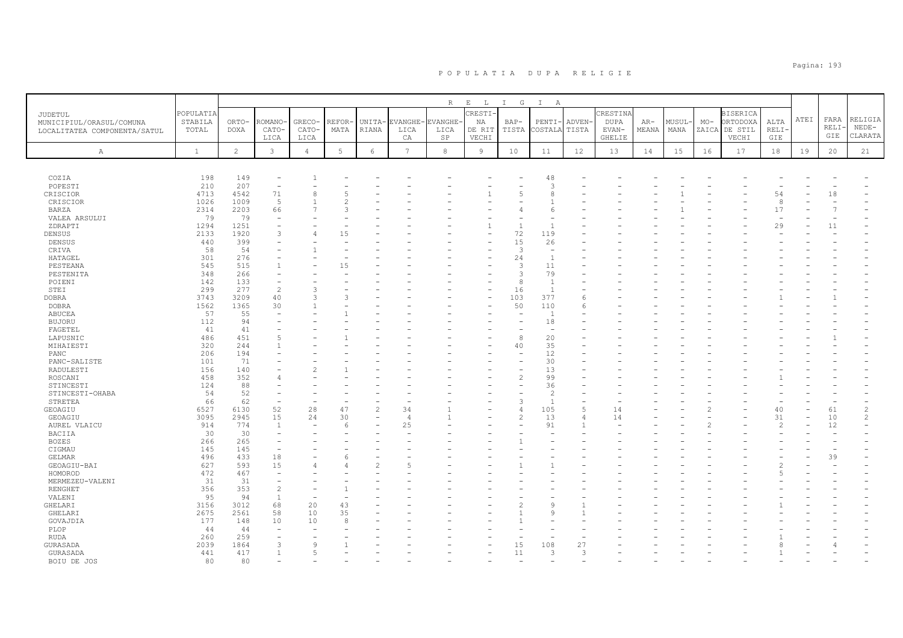|                                                                     |                               |                      |                          |                        |               |                          |                       | $R_{\perp}$            | $\mathbf{E}=-\mathbf{L}$ . | I G                      | $\mathbb{I}$<br>$\overline{A}$ |                       |                           |                |                |       |                                              |                |      |                     |                               |
|---------------------------------------------------------------------|-------------------------------|----------------------|--------------------------|------------------------|---------------|--------------------------|-----------------------|------------------------|----------------------------|--------------------------|--------------------------------|-----------------------|---------------------------|----------------|----------------|-------|----------------------------------------------|----------------|------|---------------------|-------------------------------|
| JUDETUL<br>MUNICIPIUL/ORASUL/COMUNA<br>LOCALITATEA COMPONENTA/SATUL | POPULATIA<br>STABILA<br>TOTAL | ORTO-<br><b>DOXA</b> | <b>COMANO</b><br>CATO-   | GRECO-<br>CATO-        | REFOR<br>MATA | UNITA-<br>RIANA          | EVANGHE-<br>LICA      | <b>EVANGHE</b><br>LICA | CRESTI-<br>NA<br>DE RIT    | $BAP-$<br>TISTA          | $PENTI-$<br>COSTALA            | <b>ADVEN</b><br>TISTA | CRESTINA<br>DUPA<br>EVAN- | $AR-$<br>MEANA | MUSUL-<br>MANA | $MO-$ | <b>BISERICA</b><br>ORTODOXA<br>ZAICA DE STIL | ALTA<br>RELI·  | ATEI | FARA<br>RELI<br>GIE | RELIGIA<br>$NEDE-$<br>CLARATA |
| Α                                                                   | $\mathbf{1}$                  | 2                    | LICA<br>$\mathbf{3}$     | LICA<br>$\overline{4}$ | 5             | 6                        | СA<br>$7\overline{ }$ | SP<br>8                | VECHI<br>$\overline{9}$    | 10                       | 11                             | 12                    | GHELIE<br>13              | 14             | 15             | 16    | VECHI<br>17                                  | GIE<br>18      | 19   | 20                  | 21                            |
|                                                                     |                               |                      |                          |                        |               |                          |                       |                        |                            |                          |                                |                       |                           |                |                |       |                                              |                |      |                     |                               |
| COZIA                                                               | 198                           | 149                  |                          |                        |               |                          |                       |                        |                            |                          | 48                             |                       |                           |                |                |       |                                              |                |      |                     |                               |
| POPESTI                                                             | 210                           | 207                  | $\overline{\phantom{a}}$ |                        |               |                          |                       |                        |                            |                          | 3                              |                       |                           |                |                |       |                                              |                |      |                     |                               |
| CRISCIOR                                                            | 4713                          | 4542                 | 71                       | $\mathsf{R}$           |               |                          |                       |                        |                            | $\overline{2}$           | 8                              |                       |                           |                |                |       |                                              | 54             |      | 18                  |                               |
| CRISCIOR                                                            | 1026                          | 1009                 | 5                        |                        |               |                          |                       |                        |                            |                          |                                |                       |                           |                |                |       |                                              | 8              |      |                     |                               |
| BARZA                                                               | 2314                          | 2203                 | 66                       |                        |               |                          |                       |                        |                            |                          | 6                              |                       |                           |                |                |       |                                              | 17             |      |                     |                               |
| VALEA ARSULUI                                                       | 79                            | 79                   | $\overline{\phantom{a}}$ |                        |               |                          |                       |                        |                            |                          | $\overline{\phantom{0}}$       |                       |                           |                |                |       |                                              |                |      |                     |                               |
| ZDRAPTI                                                             | 1294                          | 1251                 |                          |                        |               |                          |                       |                        | $\mathbf{1}$               | $\overline{1}$           | $\mathbf{1}$                   |                       |                           |                |                |       |                                              | 29             |      | 11                  |                               |
| DENSUS                                                              | 2133                          | 1920                 | 3                        | 4                      | 15            |                          |                       |                        | $\overline{\phantom{0}}$   | 72                       | 119                            |                       |                           |                |                |       |                                              |                |      |                     |                               |
| DENSUS                                                              | 440                           | 399                  |                          |                        |               |                          |                       |                        |                            | 15                       | 26                             |                       |                           |                |                |       |                                              |                |      |                     |                               |
|                                                                     | 58                            | 54                   |                          |                        |               |                          |                       |                        |                            | 3                        | ÷,                             |                       |                           |                |                |       |                                              |                |      |                     |                               |
| CRIVA                                                               |                               |                      |                          |                        |               |                          |                       |                        |                            |                          | $\mathbf{1}$                   |                       |                           |                |                |       |                                              |                |      |                     |                               |
| HATAGEL                                                             | 301                           | 276                  |                          |                        |               |                          |                       |                        |                            | 24                       |                                |                       |                           |                |                |       |                                              |                |      |                     |                               |
| PESTEANA                                                            | 545                           | 515                  | $\mathbf{1}$             |                        | 15            |                          |                       |                        |                            | 3                        | 11                             |                       |                           |                |                |       |                                              |                |      |                     |                               |
| PESTENITA                                                           | 348                           | 266                  |                          |                        |               |                          |                       |                        |                            | 3                        | 79                             |                       |                           |                |                |       |                                              |                |      |                     |                               |
| POIENI                                                              | 142                           | 133                  | ÷,                       |                        |               |                          |                       |                        |                            | 8                        | $\mathbf{1}$                   |                       |                           |                |                |       |                                              |                |      |                     |                               |
| STEI                                                                | 299                           | 277                  | $\overline{c}$           | 3                      |               |                          |                       |                        |                            | 16                       | $\overline{1}$                 |                       |                           |                |                |       |                                              |                |      |                     |                               |
| <b>DOBRA</b>                                                        | 3743                          | 3209                 | 40                       | $\mathcal{R}$          | ς             |                          |                       |                        | ۰                          | 103                      | 377                            | 6                     |                           |                |                |       |                                              |                |      |                     |                               |
| <b>DOBRA</b>                                                        | 1562                          | 1365                 | 30                       |                        |               |                          |                       |                        |                            | 50                       | 110                            | 6                     |                           |                |                |       |                                              |                |      |                     |                               |
| ABUCEA                                                              | 57                            | 55                   | $\overline{\phantom{a}}$ |                        |               |                          |                       |                        |                            | $\overline{\phantom{a}}$ | $\overline{1}$                 |                       |                           |                |                |       |                                              |                |      |                     |                               |
| <b>BUJORU</b>                                                       | 112                           | 94                   |                          |                        |               |                          |                       |                        |                            |                          | 18                             |                       |                           |                |                |       |                                              |                |      |                     |                               |
| FAGETEL                                                             | 41                            | 41                   |                          |                        |               |                          |                       |                        |                            |                          | $\sim$                         |                       |                           |                |                |       |                                              |                |      |                     |                               |
| LAPUSNIC                                                            | 486                           | 451                  | 5                        |                        |               |                          |                       |                        |                            | 8                        | 20                             |                       |                           |                |                |       |                                              |                |      |                     |                               |
| MIHAIESTI                                                           | 320                           | 244                  |                          |                        |               |                          |                       |                        |                            | 40                       | 35                             |                       |                           |                |                |       |                                              |                |      |                     |                               |
| PANC                                                                | 206                           | 194                  |                          |                        |               |                          |                       |                        |                            |                          | 12                             |                       |                           |                |                |       |                                              |                |      |                     |                               |
| PANC-SALISTE                                                        | 101                           | 71                   |                          |                        |               |                          |                       |                        |                            |                          | 30                             |                       |                           |                |                |       |                                              |                |      |                     |                               |
| RADULESTI                                                           | 156                           | 140                  |                          |                        |               |                          |                       |                        |                            |                          | 13                             |                       |                           |                |                |       |                                              |                |      |                     |                               |
| ROSCANI                                                             | 458                           | 352                  |                          |                        |               |                          |                       |                        |                            | $\overline{c}$           | 99                             |                       |                           |                |                |       |                                              |                |      |                     |                               |
| STINCESTI                                                           | 124                           | 88                   |                          |                        |               |                          |                       |                        |                            | ۰                        | 36                             |                       |                           |                |                |       |                                              |                |      |                     |                               |
| STINCESTI-OHABA                                                     | 54                            | 52                   |                          |                        |               |                          |                       |                        |                            |                          | $\overline{c}$                 |                       |                           |                |                |       |                                              |                |      |                     |                               |
| STRETEA                                                             | 66                            | 62                   | $\overline{\phantom{a}}$ |                        |               |                          |                       |                        |                            | 3                        | $\mathbf{1}$                   |                       |                           |                |                |       |                                              |                |      |                     |                               |
|                                                                     | 6527                          | 6130                 | 52                       | 28                     | 47            | 2                        | 34                    |                        |                            | $\overline{4}$           | 105                            | 5                     | 14                        |                |                |       |                                              | 40             |      | 61                  | $\overline{c}$                |
| GEOAGIU<br>GEOAGIU                                                  | 3095                          | 2945                 | 15                       | 24                     | 30            | $\overline{\phantom{a}}$ | $\overline{4}$        |                        |                            | $\overline{c}$           | 13                             | 4                     | 14                        |                |                |       |                                              | 31             |      | 10                  | 2                             |
|                                                                     | 914                           | 774                  | 1                        |                        |               |                          | 25                    |                        |                            |                          | 91                             |                       |                           |                |                |       |                                              | $\mathfrak{D}$ |      | 12                  |                               |
| AUREL VLAICU                                                        |                               |                      |                          |                        | 6             |                          |                       |                        |                            |                          | ÷                              |                       |                           |                |                |       |                                              |                |      |                     |                               |
| BACIIA                                                              | 30                            | 30                   | $\overline{\phantom{a}}$ |                        |               |                          |                       |                        |                            |                          |                                |                       |                           |                |                |       |                                              |                |      |                     |                               |
| <b>BOZES</b>                                                        | 266                           | 265                  | ۰                        |                        |               |                          |                       |                        |                            |                          |                                |                       |                           |                |                |       |                                              |                |      |                     |                               |
| CIGMAU                                                              | 145                           | 145                  | $\overline{\phantom{0}}$ |                        |               |                          |                       |                        |                            |                          |                                |                       |                           |                |                |       |                                              |                |      |                     |                               |
| GELMAR                                                              | 496                           | 433                  | 18                       |                        | 6             |                          |                       |                        |                            |                          |                                |                       |                           |                |                |       |                                              |                |      | 39                  |                               |
| GEOAGIU-BAI                                                         | 627                           | 593                  | 15                       |                        |               | $\mathcal{P}$            |                       |                        |                            |                          |                                |                       |                           |                |                |       |                                              |                |      |                     |                               |
| HOMOROD                                                             | 472                           | 467                  | $\overline{\phantom{a}}$ |                        |               |                          |                       |                        |                            |                          |                                |                       |                           |                |                |       |                                              |                |      |                     |                               |
| MERMEZEU-VALENI                                                     | 31                            | 31                   | $\qquad \qquad -$        |                        |               |                          |                       |                        |                            |                          |                                |                       |                           |                |                |       |                                              |                |      |                     |                               |
| RENGHET                                                             | 356                           | 353                  | $\overline{c}$           |                        |               |                          |                       |                        |                            |                          |                                |                       |                           |                |                |       |                                              |                |      |                     |                               |
| VALENI                                                              | 95                            | 94                   | $\mathbf{1}$             |                        |               |                          |                       |                        |                            |                          |                                |                       |                           |                |                |       |                                              |                |      |                     |                               |
| GHELARI                                                             | 3156                          | 3012                 | 68                       | 20                     | 43            |                          |                       |                        |                            |                          | 9                              |                       |                           |                |                |       |                                              |                |      |                     |                               |
| GHELARI                                                             | 2675                          | 2561                 | 58                       | 10                     | 35            |                          |                       |                        |                            |                          | Q                              |                       |                           |                |                |       |                                              |                |      |                     |                               |
| GOVAJDIA                                                            | 177                           | 148                  | 10                       | 10                     | 8             |                          |                       |                        |                            |                          |                                |                       |                           |                |                |       |                                              |                |      |                     |                               |
| PLOP                                                                | 44                            | 44                   | $\overline{\phantom{a}}$ |                        |               |                          |                       |                        |                            |                          |                                |                       |                           |                |                |       |                                              |                |      |                     |                               |
| <b>RUDA</b>                                                         | 260                           | 259                  |                          |                        |               |                          |                       |                        |                            |                          |                                |                       |                           |                |                |       |                                              |                |      |                     |                               |
| GURASADA                                                            | 2039                          | 1864                 | 3                        | $\mathsf{Q}$           |               |                          |                       |                        |                            | 15                       | 108                            | 27                    |                           |                |                |       |                                              |                |      |                     |                               |
| GURASADA                                                            | 441                           | 417                  | $\overline{1}$           | $\overline{5}$         |               |                          |                       |                        |                            | 11                       | 3                              | 3                     |                           |                |                |       |                                              |                |      |                     |                               |
| BOTU DE JOS                                                         | 80                            | 80                   |                          |                        |               |                          |                       |                        |                            |                          |                                |                       |                           |                |                |       |                                              |                |      |                     |                               |
|                                                                     |                               |                      |                          |                        |               |                          |                       |                        |                            |                          |                                |                       |                           |                |                |       |                                              |                |      |                     |                               |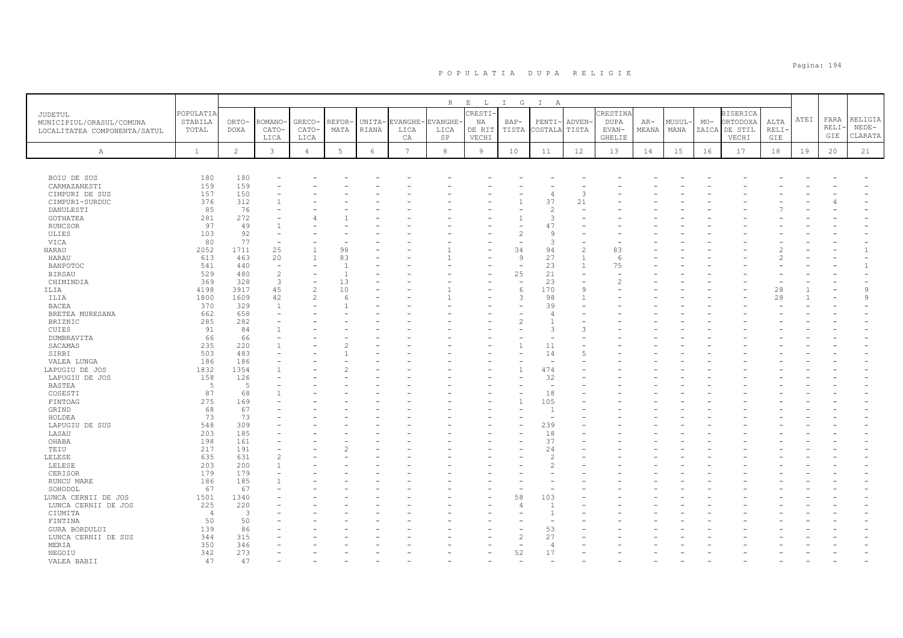|                                                                     |                               |                         |                          |                         |               |                 |                        | R                           | $E$ $L$                          | I G                      | $I$ A                    |                       |                                     |                |                |       |                                                       |                      |             |                      |                               |
|---------------------------------------------------------------------|-------------------------------|-------------------------|--------------------------|-------------------------|---------------|-----------------|------------------------|-----------------------------|----------------------------------|--------------------------|--------------------------|-----------------------|-------------------------------------|----------------|----------------|-------|-------------------------------------------------------|----------------------|-------------|----------------------|-------------------------------|
| JUDETUL<br>MUNICIPIUL/ORASUL/COMUNA<br>LOCALITATEA COMPONENTA/SATUL | POPULATIA<br>STABILA<br>TOTAL | ORTO-<br>DOXA           | ROMANO<br>CATO-<br>LICA  | GRECO-<br>CATO-<br>LICA | REFOR<br>MATA | UNITA-<br>RIANA | EVANGHE-<br>LICA<br>СA | <b>VANGHE</b><br>LICA<br>SP | CRESTI-<br>NA<br>DE RIT<br>VECHI | $BAP-$<br>TISTA          | $PENTI-$<br>COSTALA      | <b>ADVEN</b><br>TISTA | CRESTINA<br>DUPA<br>EVAN-<br>GHELIE | $AR-$<br>MEANA | MUSUL-<br>MANA | $MO-$ | <b>BISERICA</b><br>ORTODOXA<br>ZAICA DE STIL<br>VECHI | ALTA<br>RELI-<br>GIE | <b>ATEI</b> | FARA<br>RELI-<br>GIE | RELIGIA<br>$NEDE-$<br>CLARATA |
| $\mathbb{A}$                                                        | $\mathbf{1}$                  | $\overline{2}$          | 3                        | $\overline{4}$          | 5             | 6               | 7                      | 8                           | 9                                | 10                       | 11                       | 12                    | 13                                  | 14             | 15             | 16    | 17                                                    | 18                   | 19          | 20                   | 21                            |
|                                                                     |                               |                         |                          |                         |               |                 |                        |                             |                                  |                          |                          |                       |                                     |                |                |       |                                                       |                      |             |                      |                               |
| BOIU DE SUS                                                         | 180                           | 180                     |                          |                         |               |                 |                        |                             |                                  |                          |                          |                       |                                     |                |                |       |                                                       |                      |             |                      |                               |
| CARMAZANESTI                                                        | 159                           | 159                     |                          |                         |               |                 |                        |                             |                                  |                          |                          |                       |                                     |                |                |       |                                                       |                      |             |                      |                               |
| CIMPURI DE SUS                                                      | 157                           | 150                     |                          |                         |               |                 |                        |                             |                                  |                          | 4                        | 3                     |                                     |                |                |       |                                                       |                      |             |                      |                               |
| CIMPURI-SURDUC                                                      | 376                           | 312                     |                          |                         |               |                 |                        |                             |                                  |                          | 37                       | 21                    |                                     |                |                |       |                                                       |                      |             |                      |                               |
| DANULESTI                                                           | 85                            | 76                      |                          |                         |               |                 |                        |                             |                                  |                          | $\mathcal{D}$            |                       |                                     |                |                |       |                                                       |                      |             |                      |                               |
| GOTHATEA                                                            | 281                           | 272                     |                          |                         |               |                 |                        |                             |                                  |                          | 3                        |                       |                                     |                |                |       |                                                       |                      |             |                      |                               |
| <b>RUNCSOR</b>                                                      | 97                            | 49                      |                          |                         |               |                 |                        |                             |                                  |                          | 47                       |                       |                                     |                |                |       |                                                       |                      |             |                      |                               |
| ULIES                                                               | 103                           | 92                      |                          |                         |               |                 |                        |                             |                                  | $\overline{\mathcal{L}}$ | 9                        |                       |                                     |                |                |       |                                                       |                      |             |                      |                               |
| VICA                                                                | 80                            | 77                      |                          |                         |               |                 |                        |                             |                                  |                          | 3                        |                       |                                     |                |                |       |                                                       |                      |             |                      |                               |
| HARAU                                                               | 2052                          | 1711                    | 25                       |                         | 98            |                 |                        |                             |                                  | 34                       | 94                       | $\overline{c}$        | 83                                  |                |                |       |                                                       |                      |             |                      |                               |
| HARAU                                                               | 613                           | 463                     | 20                       | $\mathbf{1}$            | 83            |                 |                        |                             |                                  | $\overline{9}$           | 27                       | $\overline{1}$        | 6                                   |                |                |       |                                                       |                      |             |                      |                               |
| <b>BANPOTOC</b>                                                     | 541                           | 440                     | $\overline{\phantom{a}}$ |                         | -1            |                 |                        |                             |                                  | $\overline{\phantom{a}}$ | 23                       | $\overline{1}$        | 75                                  |                |                |       |                                                       |                      |             |                      |                               |
| <b>BIRSAU</b>                                                       | 529                           | 480                     | $\overline{c}$           |                         |               |                 |                        |                             |                                  | 25                       | 21                       |                       |                                     |                |                |       |                                                       |                      |             |                      |                               |
| CHIMINDIA                                                           | 369                           | 328                     | $\mathbf{3}$             |                         | 13            |                 |                        |                             |                                  | ÷,                       | 23                       |                       |                                     |                |                |       |                                                       |                      |             |                      |                               |
| ILIA                                                                | 4198                          | 3917                    | 45                       | $\overline{c}$          | 10            |                 |                        |                             |                                  | 6                        | 170                      | 9                     |                                     |                |                |       |                                                       | 28                   |             |                      | 9                             |
| ILIA                                                                | 1800                          | 1609                    | 42                       | $\mathcal{P}$           | $\epsilon$    |                 |                        |                             |                                  | 3                        | 98                       | $\mathbf{1}$          |                                     |                |                |       |                                                       | 28                   |             |                      | $\mathsf{Q}$                  |
| <b>BACEA</b>                                                        | 370                           | 329                     | $\overline{1}$           |                         |               |                 |                        |                             |                                  |                          | 39                       |                       |                                     |                |                |       |                                                       |                      |             |                      |                               |
| BRETEA MURESANA                                                     | 662                           | 658                     |                          |                         |               |                 |                        |                             |                                  |                          | $\overline{4}$           |                       |                                     |                |                |       |                                                       |                      |             |                      |                               |
| BRIZNIC                                                             | 285                           | 282                     |                          |                         |               |                 |                        |                             |                                  |                          | $\mathbf{1}$             |                       |                                     |                |                |       |                                                       |                      |             |                      |                               |
| <b>CUIES</b>                                                        | 91                            | 84                      |                          |                         |               |                 |                        |                             |                                  |                          | 3                        |                       |                                     |                |                |       |                                                       |                      |             |                      |                               |
| DUMBRAVITA                                                          | 66                            | 66                      |                          |                         |               |                 |                        |                             |                                  |                          |                          |                       |                                     |                |                |       |                                                       |                      |             |                      |                               |
| SACAMAS                                                             | 235                           | 220                     |                          |                         |               |                 |                        |                             |                                  |                          | 11                       |                       |                                     |                |                |       |                                                       |                      |             |                      |                               |
| SIRBI                                                               | 503                           | 483                     |                          |                         |               |                 |                        |                             |                                  |                          | 14                       |                       |                                     |                |                |       |                                                       |                      |             |                      |                               |
| VALEA LUNGA                                                         | 186                           | 186                     |                          |                         |               |                 |                        |                             |                                  |                          |                          |                       |                                     |                |                |       |                                                       |                      |             |                      |                               |
| LAPUGIU DE JOS                                                      | 1832                          | 1354                    |                          |                         |               |                 |                        |                             |                                  |                          | 474                      |                       |                                     |                |                |       |                                                       |                      |             |                      |                               |
| LAPUGIU DE JOS                                                      | 158                           | 126                     |                          |                         |               |                 |                        |                             |                                  |                          | 32                       |                       |                                     |                |                |       |                                                       |                      |             |                      |                               |
| <b>BASTEA</b>                                                       | 5                             | 5                       |                          |                         |               |                 |                        |                             |                                  |                          | $\overline{\phantom{a}}$ |                       |                                     |                |                |       |                                                       |                      |             |                      |                               |
| COSESTI                                                             | 87                            | 68                      |                          |                         |               |                 |                        |                             |                                  |                          | 18                       |                       |                                     |                |                |       |                                                       |                      |             |                      |                               |
| FINTOAG                                                             | 275                           | 169                     |                          |                         |               |                 |                        |                             |                                  | $\mathbf{1}$             | 105                      |                       |                                     |                |                |       |                                                       |                      |             |                      |                               |
| GRIND                                                               | 68                            | 67                      |                          |                         |               |                 |                        |                             |                                  |                          | $\overline{1}$           |                       |                                     |                |                |       |                                                       |                      |             |                      |                               |
| HOLDEA                                                              | 73                            | 73                      |                          |                         |               |                 |                        |                             |                                  |                          | $\overline{\phantom{a}}$ |                       |                                     |                |                |       |                                                       |                      |             |                      |                               |
| LAPUGIU DE SUS                                                      | 548                           | 309                     |                          |                         |               |                 |                        |                             |                                  |                          | 239                      |                       |                                     |                |                |       |                                                       |                      |             |                      |                               |
| LASAU                                                               | 203                           | 185                     |                          |                         |               |                 |                        |                             |                                  |                          | 18                       |                       |                                     |                |                |       |                                                       |                      |             |                      |                               |
| OHABA                                                               | 198                           | 161                     |                          |                         |               |                 |                        |                             |                                  |                          | 37                       |                       |                                     |                |                |       |                                                       |                      |             |                      |                               |
| TEIU                                                                | 217                           | 191                     |                          |                         |               |                 |                        |                             |                                  |                          | 24                       |                       |                                     |                |                |       |                                                       |                      |             |                      |                               |
| LELESE                                                              | 635                           | 631                     | $\overline{\mathcal{C}}$ |                         |               |                 |                        |                             |                                  |                          | $\mathcal{L}$            |                       |                                     |                |                |       |                                                       |                      |             |                      |                               |
| LELESE                                                              | 203                           | 200                     |                          |                         |               |                 |                        |                             |                                  |                          | $\mathfrak{D}$           |                       |                                     |                |                |       |                                                       |                      |             |                      |                               |
| CERISOR                                                             | 179                           | 179                     |                          |                         |               |                 |                        |                             |                                  |                          |                          |                       |                                     |                |                |       |                                                       |                      |             |                      |                               |
| RUNCU MARE                                                          | 186                           | 185                     |                          |                         |               |                 |                        |                             |                                  |                          |                          |                       |                                     |                |                |       |                                                       |                      |             |                      |                               |
| SOHODOL                                                             | 67                            | 67                      |                          |                         |               |                 |                        |                             |                                  |                          |                          |                       |                                     |                |                |       |                                                       |                      |             |                      |                               |
| LUNCA CERNII DE JOS                                                 | 1501                          | 1340                    |                          |                         |               |                 |                        |                             |                                  | 58                       | 103                      |                       |                                     |                |                |       |                                                       |                      |             |                      |                               |
| LUNCA CERNII DE JOS                                                 | 225                           | 220                     |                          |                         |               |                 |                        |                             |                                  | 4                        |                          |                       |                                     |                |                |       |                                                       |                      |             |                      |                               |
| CIUMITA                                                             | $\overline{4}$                | $\overline{\mathbf{3}}$ |                          |                         |               |                 |                        |                             |                                  |                          | $\overline{1}$           |                       |                                     |                |                |       |                                                       |                      |             |                      |                               |
| FINTINA                                                             | 50                            | 50                      |                          |                         |               |                 |                        |                             |                                  |                          |                          |                       |                                     |                |                |       |                                                       |                      |             |                      |                               |
| GURA BORDULUI                                                       | 139                           | 86                      |                          |                         |               |                 |                        |                             |                                  |                          | 53                       |                       |                                     |                |                |       |                                                       |                      |             |                      |                               |
| LUNCA CERNII DE SUS                                                 | 344                           | 315                     |                          |                         |               |                 |                        |                             |                                  | $\overline{\mathcal{L}}$ | 27                       |                       |                                     |                |                |       |                                                       |                      |             |                      |                               |
| MERIA                                                               | 350                           | 346                     |                          |                         |               |                 |                        |                             |                                  |                          | $\overline{4}$           |                       |                                     |                |                |       |                                                       |                      |             |                      |                               |
| NEGOIU                                                              | 342                           | 273                     |                          |                         |               |                 |                        |                             |                                  | 52                       | 17                       |                       |                                     |                |                |       |                                                       |                      |             |                      |                               |
| VALEA BABII                                                         | 47                            | 47                      |                          |                         |               |                 |                        |                             |                                  |                          |                          |                       |                                     |                |                |       |                                                       |                      |             |                      |                               |
|                                                                     |                               |                         |                          |                         |               |                 |                        |                             |                                  |                          |                          |                       |                                     |                |                |       |                                                       |                      |             |                      |                               |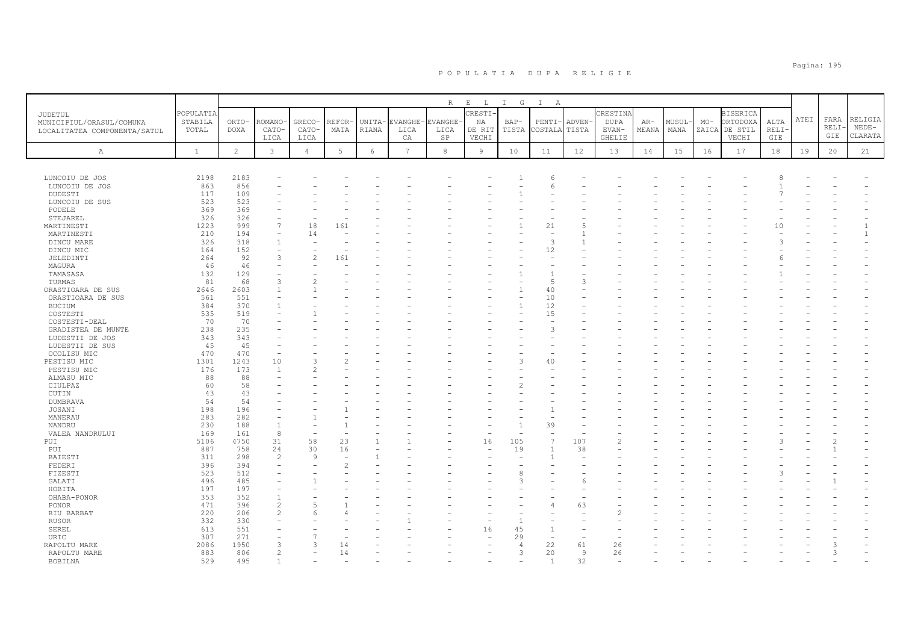|                                                                     |                               |                      |                                |                         |               |                 |                 | R                             | $\mathbf{E}$<br>$\mathbb{L}$    | $\mathbb{I}$<br>$\mathbb{G}$ | $\mathbb{I}$<br>A        |                 |                                     |                |                |       |                                                       |                      |      |                      |                               |
|---------------------------------------------------------------------|-------------------------------|----------------------|--------------------------------|-------------------------|---------------|-----------------|-----------------|-------------------------------|---------------------------------|------------------------------|--------------------------|-----------------|-------------------------------------|----------------|----------------|-------|-------------------------------------------------------|----------------------|------|----------------------|-------------------------------|
| JUDETUL<br>MUNICIPIUL/ORASUL/COMUNA<br>LOCALITATEA COMPONENTA/SATUL | POPULATIA<br>STABILA<br>TOTAL | ORTO-<br><b>DOXA</b> | <b>COMANO</b><br>CATO-<br>LICA | GRECO-<br>CATO-<br>LICA | REFOR<br>MATA | UNITA-<br>RIANA | LICA<br>СA      | EVANGHE-EVANGHE<br>LICA<br>SP | CRESTI<br>ΝA<br>DE RIT<br>VECHI | $BAP-$<br>TISTA              | $PENTI-$<br>COSTALA      | ADVEN-<br>TISTA | CRESTINA<br>DUPA<br>EVAN-<br>GHELIE | $AR-$<br>MEANA | MUSUL·<br>MANA | $MO-$ | <b>BISERICA</b><br>ORTODOXA<br>ZAICA DE STIL<br>VECHI | ALTA<br>RELI·<br>GIE | ATEI | FARA<br>RELI·<br>GIE | RELIGIA<br>$NEDE-$<br>CLARATA |
| $\mathbb{A}$                                                        | $\mathbf{1}$                  | 2                    | $\mathbf{3}$                   | $\overline{4}$          | 5             | 6               | $7\phantom{.0}$ | 8                             | $\overline{9}$                  | 10                           | 11                       | 12              | 13                                  | 14             | 15             | 16    | 17                                                    | 18                   | 19   | 20                   | 21                            |
|                                                                     |                               |                      |                                |                         |               |                 |                 |                               |                                 |                              |                          |                 |                                     |                |                |       |                                                       |                      |      |                      |                               |
| LUNCOIU DE JOS                                                      | 2198                          | 2183                 |                                |                         |               |                 |                 |                               |                                 |                              |                          |                 |                                     |                |                |       |                                                       |                      |      |                      |                               |
| LUNCOIU DE JOS                                                      | 863                           | 856                  |                                |                         |               |                 |                 |                               |                                 |                              | 6                        |                 |                                     |                |                |       |                                                       |                      |      |                      |                               |
| DUDESTI                                                             | 117                           | 109                  |                                |                         |               |                 |                 |                               |                                 |                              |                          |                 |                                     |                |                |       |                                                       |                      |      |                      |                               |
| LUNCOIU DE SUS                                                      | 523                           | 523                  |                                |                         |               |                 |                 |                               |                                 |                              |                          |                 |                                     |                |                |       |                                                       |                      |      |                      |                               |
| PODELE                                                              | 369                           | 369                  |                                |                         |               |                 |                 |                               |                                 |                              |                          |                 |                                     |                |                |       |                                                       |                      |      |                      |                               |
| STEJAREL                                                            | 326                           | 326                  |                                |                         |               |                 |                 |                               |                                 |                              |                          |                 |                                     |                |                |       |                                                       |                      |      |                      |                               |
| MARTINESTI                                                          | 1223                          | 999                  | $\overline{7}$                 | 18                      | 161           |                 |                 |                               |                                 |                              | 21                       |                 |                                     |                |                |       |                                                       | 10                   |      |                      |                               |
| MARTINESTI                                                          | 210                           | 194                  | $\equiv$                       | 14                      |               |                 |                 |                               |                                 |                              | $\overline{\phantom{a}}$ |                 |                                     |                |                |       |                                                       |                      |      |                      | $\mathbf{1}$                  |
| DINCU MARE                                                          | 326                           | 318                  | $\overline{1}$                 |                         |               |                 |                 |                               |                                 |                              | 3                        |                 |                                     |                |                |       |                                                       | 3                    |      |                      |                               |
| DINCU MIC                                                           | 164                           | 152                  |                                |                         |               |                 |                 |                               |                                 |                              | 12                       |                 |                                     |                |                |       |                                                       |                      |      |                      |                               |
| JELEDINTI                                                           | 264                           | 92                   | 3                              | $\mathfrak{D}$          | 161           |                 |                 |                               |                                 |                              |                          |                 |                                     |                |                |       |                                                       |                      |      |                      |                               |
| MAGURA                                                              | 46                            | 46                   |                                |                         |               |                 |                 |                               |                                 |                              |                          |                 |                                     |                |                |       |                                                       |                      |      |                      |                               |
| TAMASASA                                                            | 132                           | 129                  |                                |                         |               |                 |                 |                               |                                 |                              |                          |                 |                                     |                |                |       |                                                       |                      |      |                      |                               |
| TURMAS                                                              | 81                            | 68                   | $\mathcal{R}$                  | $\mathcal{P}$           |               |                 |                 |                               |                                 |                              | 5                        | $\mathcal{R}$   |                                     |                |                |       |                                                       |                      |      |                      |                               |
| ORASTIOARA DE SUS                                                   | 2646                          | 2603                 |                                |                         |               |                 |                 |                               |                                 |                              | 40                       |                 |                                     |                |                |       |                                                       |                      |      |                      |                               |
| ORASTIOARA DE SUS                                                   | 561                           | 551                  |                                |                         |               |                 |                 |                               |                                 |                              | 10                       |                 |                                     |                |                |       |                                                       |                      |      |                      |                               |
| <b>BUCIUM</b>                                                       | 384                           | 370                  |                                |                         |               |                 |                 |                               |                                 | $\overline{1}$               | 12                       |                 |                                     |                |                |       |                                                       |                      |      |                      |                               |
| COSTESTI                                                            | 535                           | 519                  |                                |                         |               |                 |                 |                               |                                 |                              | 15                       |                 |                                     |                |                |       |                                                       |                      |      |                      |                               |
| COSTESTI-DEAL                                                       | 70                            | 70                   |                                |                         |               |                 |                 |                               |                                 |                              |                          |                 |                                     |                |                |       |                                                       |                      |      |                      |                               |
| GRADISTEA DE MUNTE                                                  | 238                           | 235                  |                                |                         |               |                 |                 |                               |                                 |                              | R                        |                 |                                     |                |                |       |                                                       |                      |      |                      |                               |
| LUDESTII DE JOS                                                     | 343                           | 343                  |                                |                         |               |                 |                 |                               |                                 |                              |                          |                 |                                     |                |                |       |                                                       |                      |      |                      |                               |
| LUDESTII DE SUS                                                     | 45                            | 45                   |                                |                         |               |                 |                 |                               |                                 |                              |                          |                 |                                     |                |                |       |                                                       |                      |      |                      |                               |
| OCOLISU MIC                                                         | 470                           | 470                  |                                |                         |               |                 |                 |                               |                                 |                              |                          |                 |                                     |                |                |       |                                                       |                      |      |                      |                               |
| PESTISU MIC                                                         | 1301                          | 1243                 | 10                             |                         |               |                 |                 |                               |                                 |                              | 40                       |                 |                                     |                |                |       |                                                       |                      |      |                      |                               |
| PESTISU MIC                                                         | 176                           | 173                  | $\overline{1}$                 |                         |               |                 |                 |                               |                                 |                              |                          |                 |                                     |                |                |       |                                                       |                      |      |                      |                               |
| ALMASU MIC                                                          | 88                            | 88                   |                                |                         |               |                 |                 |                               |                                 |                              |                          |                 |                                     |                |                |       |                                                       |                      |      |                      |                               |
| CIULPAZ                                                             | 60                            | 58                   |                                |                         |               |                 |                 |                               |                                 |                              |                          |                 |                                     |                |                |       |                                                       |                      |      |                      |                               |
| CUTIN                                                               | 43                            | 43                   |                                |                         |               |                 |                 |                               |                                 |                              |                          |                 |                                     |                |                |       |                                                       |                      |      |                      |                               |
| DUMBRAVA                                                            | 54                            | 54                   |                                |                         |               |                 |                 |                               |                                 |                              |                          |                 |                                     |                |                |       |                                                       |                      |      |                      |                               |
| JOSANI                                                              | 198                           | 196                  |                                |                         |               |                 |                 |                               |                                 |                              |                          |                 |                                     |                |                |       |                                                       |                      |      |                      |                               |
| MANERAU                                                             | 283                           | 282                  |                                |                         |               |                 |                 |                               |                                 |                              |                          |                 |                                     |                |                |       |                                                       |                      |      |                      |                               |
| NANDRU                                                              | 230                           | 188                  | $\overline{1}$                 |                         |               |                 |                 |                               |                                 |                              | 39                       |                 |                                     |                |                |       |                                                       |                      |      |                      |                               |
| VALEA NANDRULUI                                                     | 169                           | 161                  | 8                              |                         |               |                 |                 |                               |                                 |                              | $\equiv$                 |                 |                                     |                |                |       |                                                       |                      |      |                      |                               |
| PUI                                                                 | 5106                          | 4750                 | 31                             | 58                      | 23            |                 |                 |                               | 16                              | 105                          | $\overline{7}$           | 107             |                                     |                |                |       |                                                       |                      |      |                      |                               |
| PUI                                                                 | 887                           | 758                  | 24                             | 30                      | 16            |                 |                 |                               |                                 | 19                           |                          | 38              |                                     |                |                |       |                                                       |                      |      |                      |                               |
| BAIESTI                                                             | 311                           | 298                  | $\overline{2}$                 | 9                       |               |                 |                 |                               |                                 |                              |                          |                 |                                     |                |                |       |                                                       |                      |      |                      |                               |
| FEDERI                                                              | 396                           | 394                  | $\equiv$                       |                         |               |                 |                 |                               |                                 |                              |                          |                 |                                     |                |                |       |                                                       |                      |      |                      |                               |
| FIZESTI                                                             | 523                           | 512                  |                                |                         |               |                 |                 |                               |                                 |                              |                          |                 |                                     |                |                |       |                                                       |                      |      |                      |                               |
| GALATI                                                              | 496                           | 485                  |                                |                         |               |                 |                 |                               |                                 |                              |                          |                 |                                     |                |                |       |                                                       |                      |      |                      |                               |
| HOBITA                                                              | 197                           | 197                  |                                |                         |               |                 |                 |                               |                                 |                              |                          |                 |                                     |                |                |       |                                                       |                      |      |                      |                               |
| OHABA-PONOR                                                         | 353                           | 352                  |                                |                         |               |                 |                 |                               |                                 |                              |                          |                 |                                     |                |                |       |                                                       |                      |      |                      |                               |
| PONOR                                                               | 471                           | 396                  | $\overline{2}$                 |                         |               |                 |                 |                               |                                 |                              |                          | 63              |                                     |                |                |       |                                                       |                      |      |                      |                               |
| RIU BARBAT                                                          | 220                           | 206                  | $\mathcal{D}$                  |                         |               |                 |                 |                               |                                 |                              |                          |                 |                                     |                |                |       |                                                       |                      |      |                      |                               |
| <b>RUSOR</b>                                                        | 332                           | 330                  |                                |                         |               |                 |                 |                               |                                 |                              |                          |                 |                                     |                |                |       |                                                       |                      |      |                      |                               |
|                                                                     | 613                           | 551                  |                                |                         |               |                 |                 |                               |                                 | 45                           |                          |                 |                                     |                |                |       |                                                       |                      |      |                      |                               |
| SEREL                                                               |                               |                      |                                |                         |               |                 |                 |                               | 16                              |                              |                          |                 |                                     |                |                |       |                                                       |                      |      |                      |                               |
| URIC                                                                | 307                           | 271                  |                                |                         |               |                 |                 |                               |                                 | 29<br>$\Delta$               |                          |                 |                                     |                |                |       |                                                       |                      |      |                      |                               |
| RAPOLTU MARE                                                        | 2086                          | 1950                 |                                | 3                       | 14            |                 |                 |                               |                                 |                              | 22                       | 61              | 26                                  |                |                |       |                                                       |                      |      |                      |                               |
| RAPOLTU MARE                                                        | 883                           | 806                  | $\mathfrak{D}$                 |                         | 14            |                 |                 |                               |                                 | 3                            | 20                       | $\overline{9}$  | 26                                  |                |                |       |                                                       |                      |      | $\mathcal{L}$        |                               |
| <b>BOBTINA</b>                                                      | 529                           | 495                  |                                |                         |               |                 |                 |                               |                                 |                              |                          | 32              |                                     |                |                |       |                                                       |                      |      |                      |                               |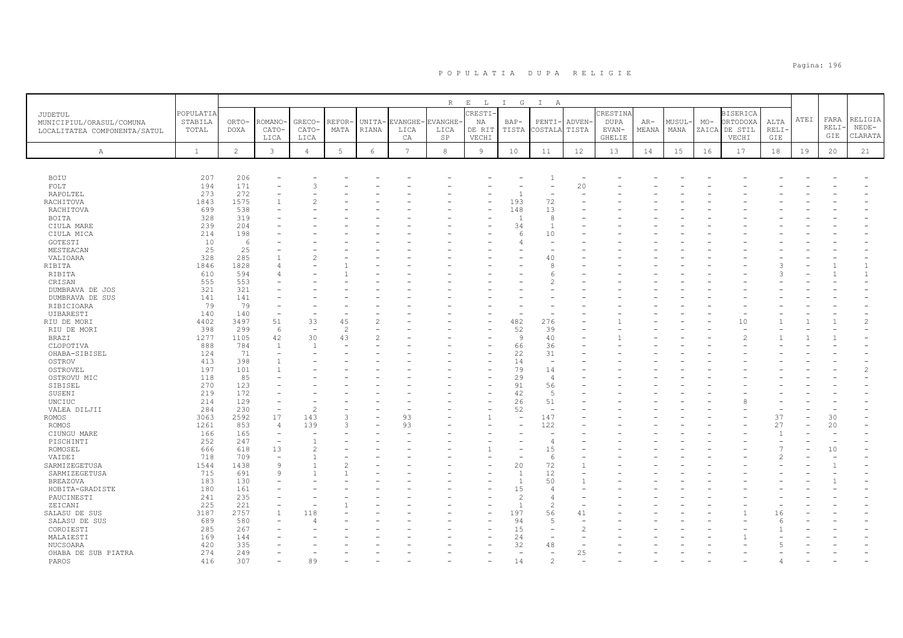|                                    |              |                |                |                |                 |                |               | R             | $\mathbf{E}=-\mathbf{L}$ | I G                      | $\mathbb{I}$<br>A        |               |               |       |        |       |                 |                      |      |      |                |
|------------------------------------|--------------|----------------|----------------|----------------|-----------------|----------------|---------------|---------------|--------------------------|--------------------------|--------------------------|---------------|---------------|-------|--------|-------|-----------------|----------------------|------|------|----------------|
| <b>JUDETUL</b>                     | POPULATIA    |                |                |                |                 |                |               |               | CRESTI                   |                          |                          |               | CRESTINA      |       |        |       | <b>BISERICA</b> |                      |      |      |                |
| MUNICIPIUL/ORASUL/COMUNA           | STABILA      | ORTO-          | ROMANO         | GRECO-         | REFOR           | UNITA-         | <b>VANGHE</b> | <b>VANGHE</b> | ΝA                       | $BAP-$                   | PENTI-                   | <b>ADVEN</b>  | <b>DUPA</b>   | $AR-$ | MUSUL· | $MO-$ | ORTODOXA        | ALTA                 | ATEI | FARA | RELIGIA        |
| LOCALITATEA COMPONENTA/SATUL       | TOTAL        | DOXA           | CATO-          | CATO-          | MATA            | RIANA          | LICA          | LICA          | DE RIT                   | TISTA                    | COSTALA                  | TISTA         | EVAN-         | MEANA | MANA   |       | ZAICA DE STIL   | RELI·                |      | RELI | $NEDE-$        |
|                                    |              |                | LICA           | LICA           |                 |                | СA            | SP            | VECHI                    |                          |                          |               | <b>GHELIE</b> |       |        |       | VECHI           | GIE                  |      | GIE  | CLARATA        |
| $\mathbb{A}$                       | $\mathbf{1}$ | $\overline{2}$ | $\mathbf{3}$   | $\overline{4}$ | $5\phantom{.0}$ | $\epsilon$     | 7             | $^{\rm 8}$    | $\overline{9}$           | 10                       | 11                       | 12            | 13            | 14    | 15     | 16    | 17              | 18                   | 19   | 20   | 21             |
|                                    |              |                |                |                |                 |                |               |               |                          |                          |                          |               |               |       |        |       |                 |                      |      |      |                |
| BOIU                               | 207          | 206            |                |                |                 |                |               |               |                          |                          |                          |               |               |       |        |       |                 |                      |      |      |                |
| FOLT                               | 194          | 171            |                | 3              |                 |                |               |               |                          |                          |                          | 20            |               |       |        |       |                 |                      |      |      |                |
| RAPOLTEL                           | 273          | 272            |                |                |                 |                |               |               |                          | $\mathbf{1}$             | ÷,                       |               |               |       |        |       |                 |                      |      |      |                |
| RACHITOVA                          | 1843         | 1575           |                |                |                 |                |               |               |                          | 193                      | 72                       |               |               |       |        |       |                 |                      |      |      |                |
| RACHITOVA                          | 699          | 538            |                |                |                 |                |               |               |                          | 148                      | 13                       |               |               |       |        |       |                 |                      |      |      |                |
| BOITA                              | 328          | 319            |                |                |                 |                |               |               |                          | $\overline{1}$           | 8                        |               |               |       |        |       |                 |                      |      |      |                |
| CIULA MARE                         | 239          | 204            |                |                |                 |                |               |               |                          | 34                       | $\mathbf{1}$             |               |               |       |        |       |                 |                      |      |      |                |
| CIULA MICA                         | 214          | 198            |                |                |                 |                |               |               |                          | 6                        | 10                       |               |               |       |        |       |                 |                      |      |      |                |
| GOTESTI                            | 10           | - 6            |                |                |                 |                |               |               |                          |                          |                          |               |               |       |        |       |                 |                      |      |      |                |
| MESTEACAN                          | 25           | 25             |                |                |                 |                |               |               |                          |                          |                          |               |               |       |        |       |                 |                      |      |      |                |
| VALIOARA                           | 328          | 285            |                | $\mathcal{L}$  |                 |                |               |               |                          |                          | 40                       |               |               |       |        |       |                 |                      |      |      |                |
| RIBITA                             | 1846         | 1828           |                |                |                 |                |               |               |                          |                          | 8                        |               |               |       |        |       |                 |                      |      |      |                |
| RIBITA                             | 610          | 594            |                |                |                 |                |               |               |                          |                          | 6                        |               |               |       |        |       |                 |                      |      |      | $\mathbf{1}$   |
| CRISAN                             | 555<br>321   | 553<br>321     |                |                |                 |                |               |               |                          |                          | $\mathfrak{D}$           |               |               |       |        |       |                 |                      |      |      |                |
| DUMBRAVA DE JOS<br>DUMBRAVA DE SUS | 141          | 141            |                |                |                 |                |               |               |                          |                          |                          |               |               |       |        |       |                 |                      |      |      |                |
| RIBICIOARA                         | 79           | 79             |                |                |                 |                |               |               |                          |                          |                          |               |               |       |        |       |                 |                      |      |      |                |
| UIBARESTI                          | 140          | 140            |                |                |                 |                |               |               |                          |                          |                          |               |               |       |        |       |                 |                      |      |      |                |
| RIU DE MORI                        | 4402         | 3497           | 51             | 33             | 45              | $\mathfrak{D}$ |               |               |                          | 482                      | 276                      |               |               |       |        |       | 10              |                      |      |      | $\mathfrak{D}$ |
| RIU DE MORI                        | 398          | 299            | 6              |                | $\mathcal{P}$   |                |               |               |                          | 52                       | 39                       |               |               |       |        |       |                 |                      |      |      |                |
| <b>BRAZI</b>                       | 1277         | 1105           | 42             | 30             | 43              |                |               |               |                          | -9                       | 40                       |               |               |       |        |       |                 |                      |      |      |                |
| CLOPOTIVA                          | 888          | 784            | $\overline{1}$ | $\overline{1}$ |                 |                |               |               |                          | 66                       | 36                       |               |               |       |        |       |                 |                      |      |      |                |
| OHABA-SIBISEL                      | 124          | 71             | ÷              |                |                 |                |               |               |                          | 22                       | 31                       |               |               |       |        |       |                 |                      |      |      |                |
| OSTROV                             | 413          | 398            |                |                |                 |                |               |               |                          | 14                       | $\sim$                   |               |               |       |        |       |                 |                      |      |      |                |
| OSTROVEL                           | 197          | 101            |                |                |                 |                |               |               |                          | 79                       | 14                       |               |               |       |        |       |                 |                      |      |      | $\mathfrak{D}$ |
| OSTROVU MIC                        | 118          | 85             |                |                |                 |                |               |               |                          | 29                       | $\overline{4}$           |               |               |       |        |       |                 |                      |      |      |                |
| SIBISEL                            | 270          | 123            |                |                |                 |                |               |               |                          | 91                       | 56                       |               |               |       |        |       |                 |                      |      |      |                |
| SUSENI                             | 219          | 172            |                |                |                 |                |               |               |                          | 42                       | $\overline{5}$           |               |               |       |        |       |                 |                      |      |      |                |
| UNCIUC                             | 214          | 129            |                |                |                 |                |               |               |                          | 26                       | 51                       |               |               |       |        |       |                 |                      |      |      |                |
| VALEA DILJII                       | 284          | 230            |                | $\overline{2}$ |                 |                |               |               |                          | 52                       | $\overline{\phantom{a}}$ |               |               |       |        |       |                 |                      |      |      |                |
| ROMOS                              | 3063         | 2592           | 17             | 143            | 3               |                | 93            |               |                          | $\overline{\phantom{a}}$ | 147                      |               |               |       |        |       |                 | 37                   |      | 30   |                |
| <b>ROMOS</b>                       | 1261         | 853            | $\overline{4}$ | 139            | 3               |                | 93            |               |                          |                          | 122                      |               |               |       |        |       |                 | 27<br>$\overline{1}$ |      | 20   |                |
| CIUNGU MARE                        | 166          | 165            |                |                |                 |                |               |               |                          |                          | L.                       |               |               |       |        |       |                 |                      |      |      |                |
| PISCHINTI<br>ROMOSEL               | 252<br>666   | 247<br>618     | 13             | $\mathcal{D}$  |                 |                |               |               |                          |                          | $\overline{4}$<br>15     |               |               |       |        |       |                 |                      |      | 10   |                |
| VAIDEI                             | 718          | 709            |                |                |                 |                |               |               |                          |                          | 6                        |               |               |       |        |       |                 |                      |      |      |                |
| SARMIZEGETUSA                      | 1544         | 1438           | 9              |                |                 |                |               |               |                          | 20                       | 72                       |               |               |       |        |       |                 |                      |      |      |                |
| SARMIZEGETUSA                      | 715          | 691            | $\mathsf{Q}$   |                |                 |                |               |               |                          | $\overline{1}$           | 12                       |               |               |       |        |       |                 |                      |      |      |                |
| <b>BREAZOVA</b>                    | 183          | 130            |                |                |                 |                |               |               |                          | $\overline{1}$           | 50                       |               |               |       |        |       |                 |                      |      |      |                |
| HOBITA-GRADISTE                    | 180          | 161            |                |                |                 |                |               |               |                          | 15                       | $\overline{4}$           |               |               |       |        |       |                 |                      |      |      |                |
| PAUCINESTI                         | 241          | 235            |                |                |                 |                |               |               |                          | $\overline{\mathcal{L}}$ | $\overline{4}$           |               |               |       |        |       |                 |                      |      |      |                |
| ZEICANI                            | 225          | 221            |                |                |                 |                |               |               |                          | $\overline{1}$           | $\overline{2}$           |               |               |       |        |       |                 |                      |      |      |                |
| SALASU DE SUS                      | 3187         | 2757           |                | 118            |                 |                |               |               |                          | 197                      | 56                       | 41            |               |       |        |       |                 | 16                   |      |      |                |
| SALASU DE SUS                      | 689          | 580            |                |                |                 |                |               |               |                          | 94                       | 5                        |               |               |       |        |       |                 |                      |      |      |                |
| COROIESTI                          | 285          | 267            |                |                |                 |                |               |               |                          | 15                       | L.                       | $\mathcal{D}$ |               |       |        |       |                 |                      |      |      |                |
| MALAIESTI                          | 169          | 144            |                |                |                 |                |               |               |                          | 24                       |                          |               |               |       |        |       |                 |                      |      |      |                |
| NUCSOARA                           | 420          | 335            |                |                |                 |                |               |               |                          | 32                       | 48                       |               |               |       |        |       |                 |                      |      |      |                |
| OHABA DE SUB PIATRA                | 274          | 249            |                |                |                 |                |               |               |                          |                          |                          | 25            |               |       |        |       |                 |                      |      |      |                |
| PAROS                              | 416          | 307            |                | 89             |                 |                |               |               |                          | 14                       | $\overline{c}$           |               |               |       |        |       |                 |                      |      |      |                |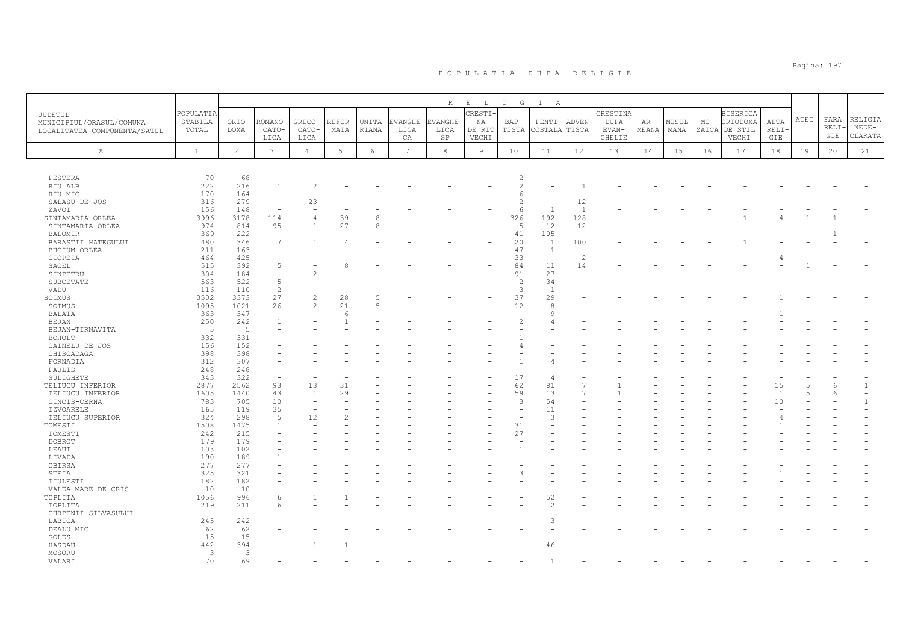|                                                                     |                               |                      |                          |                          |               |                 |                  | $R_{\perp}$            | $\mathbf{E}=-\mathbf{L}$ | I G             | $\mathbb{I}$<br>A        |                          |                           |              |                |       |                                              |                |      |              |                    |
|---------------------------------------------------------------------|-------------------------------|----------------------|--------------------------|--------------------------|---------------|-----------------|------------------|------------------------|--------------------------|-----------------|--------------------------|--------------------------|---------------------------|--------------|----------------|-------|----------------------------------------------|----------------|------|--------------|--------------------|
| JUDETUL<br>MUNICIPIUL/ORASUL/COMUNA<br>LOCALITATEA COMPONENTA/SATUL | POPULATIA<br>STABILA<br>TOTAL | ORTO-<br><b>DOXA</b> | <b>COMANO</b><br>CATO-   | GRECO-<br>CATO-          | REFOR<br>MATA | UNITA-<br>RIANA | EVANGHE-<br>LICA | <b>EVANGHE</b><br>LICA | CRESTI-<br>NA<br>DE RIT  | $BAP-$<br>TISTA | $PENTI-$<br>COSTALA      | <b>ADVEN</b><br>TISTA    | CRESTINA<br>DUPA<br>EVAN- | AR-<br>MEANA | MUSUL-<br>MANA | $MO-$ | <b>BISERICA</b><br>ORTODOXA<br>ZAICA DE STIL | ALTA<br>RELI-  | ATEI | FARA<br>RELI | RELIGIA<br>$NEDE-$ |
|                                                                     |                               |                      | LICA                     | LICA                     |               |                 | CA               | SP                     | VECHI                    |                 |                          |                          | GHELIE                    |              |                |       | VECHI                                        | GIE            |      | GIE          | CLARATA            |
| Α                                                                   | <sup>1</sup>                  | 2                    | $\mathbf{3}$             | $\overline{4}$           | 5             | 6               | $7\overline{ }$  | 8                      | $\overline{9}$           | 10              | 11                       | 12                       | 13                        | 14           | 15             | 16    | 17                                           | 18             | 19   | 20           | 21                 |
|                                                                     |                               |                      |                          |                          |               |                 |                  |                        |                          |                 |                          |                          |                           |              |                |       |                                              |                |      |              |                    |
| PESTERA                                                             | 70                            | 68                   |                          |                          |               |                 |                  |                        |                          |                 |                          |                          |                           |              |                |       |                                              |                |      |              |                    |
| RIU ALB                                                             | 222                           | 216                  | $\mathbf{1}$             | $\overline{c}$           |               |                 |                  |                        |                          | 2               |                          |                          |                           |              |                |       |                                              |                |      |              |                    |
| RIU MIC                                                             | 170                           | 164                  | ÷                        |                          |               |                 |                  |                        |                          | 6               |                          |                          |                           |              |                |       |                                              |                |      |              |                    |
| SALASU DE JOS                                                       | 316                           | 279                  | ÷,                       | 23                       |               |                 |                  |                        |                          | 2               |                          | 12                       |                           |              |                |       |                                              |                |      |              |                    |
| ZAVOI                                                               | 156                           | 148                  | $\overline{\phantom{a}}$ |                          |               |                 |                  |                        |                          | 6               | $\mathbf{1}$             | $\overline{1}$           |                           |              |                |       |                                              |                |      |              |                    |
| SINTAMARIA-ORLEA                                                    | 3996                          | 3178                 | 114                      | $\overline{4}$           | 39            |                 |                  |                        | ۰                        | 326             | 192                      | 128                      |                           |              |                |       |                                              |                |      |              |                    |
| SINTAMARIA-ORLEA                                                    | 974                           | 814                  | 95                       |                          | 27            | $\beta$         |                  |                        |                          | 5               | 12                       | 12                       |                           |              |                |       |                                              |                |      |              |                    |
| <b>BALOMIR</b>                                                      | 369                           | 222                  | $\equiv$                 |                          |               |                 |                  |                        |                          | 41              | 105                      | $\overline{\phantom{a}}$ |                           |              |                |       |                                              |                |      |              |                    |
| BARASTII HATEGULUI                                                  | 480                           | 346                  | $\overline{7}$           |                          |               |                 |                  |                        |                          | 20              | $\mathbf{1}$             | 100                      |                           |              |                |       |                                              |                |      |              |                    |
| BUCIUM-ORLEA                                                        | 211                           | 163                  |                          |                          |               |                 |                  |                        |                          | 47              | $\mathbf{1}$             | ÷,                       |                           |              |                |       |                                              |                |      |              |                    |
| CIOPEIA                                                             | 464                           | 425                  |                          |                          |               |                 |                  |                        |                          | 33              | ÷,                       | $\overline{c}$           |                           |              |                |       |                                              |                |      |              |                    |
| SACEL                                                               | 515                           | 392                  | 5                        |                          |               |                 |                  |                        |                          | 84              | 11                       | 14                       |                           |              |                |       |                                              |                |      |              |                    |
| SINPETRU                                                            | 304                           | 184                  |                          | 2                        |               |                 |                  |                        |                          | 91              | 27                       |                          |                           |              |                |       |                                              |                |      |              |                    |
| SUBCETATE                                                           | 563                           | 522                  | 5                        |                          |               |                 |                  |                        |                          | $\overline{c}$  | 34                       |                          |                           |              |                |       |                                              |                |      |              |                    |
| VADU                                                                | 116                           | 110                  | $\overline{c}$           |                          |               |                 |                  |                        |                          | 3               | $\overline{1}$           |                          |                           |              |                |       |                                              |                |      |              |                    |
| SOIMUS                                                              | 3502                          | 3373                 | 27                       | $\overline{c}$           | 28            | $\overline{5}$  |                  |                        |                          | 37              | 29                       |                          |                           |              |                |       |                                              |                |      |              |                    |
| SOIMUS                                                              | 1095                          | 1021                 | 26                       | $\overline{c}$           | 21            | $\overline{5}$  |                  |                        |                          | 12              | 8                        |                          |                           |              |                |       |                                              |                |      |              |                    |
| BALATA                                                              | 363                           | 347                  | ÷,                       |                          | $\epsilon$    |                 |                  |                        |                          | ÷               | Q                        |                          |                           |              |                |       |                                              |                |      |              |                    |
| BEJAN                                                               | 250                           | 242                  | $\overline{1}$           |                          |               |                 |                  |                        |                          |                 | $\overline{4}$           |                          |                           |              |                |       |                                              |                |      |              |                    |
| BEJAN-TIRNAVITA                                                     | - 5                           | -5                   |                          |                          |               |                 |                  |                        |                          |                 |                          |                          |                           |              |                |       |                                              |                |      |              |                    |
| BOHOLT                                                              | 332                           | 331                  |                          |                          |               |                 |                  |                        |                          |                 |                          |                          |                           |              |                |       |                                              |                |      |              |                    |
| CAINELU DE JOS                                                      | 156                           | 152                  |                          |                          |               |                 |                  |                        |                          |                 |                          |                          |                           |              |                |       |                                              |                |      |              |                    |
| CHISCADAGA                                                          | 398                           | 398                  |                          |                          |               |                 |                  |                        |                          |                 |                          |                          |                           |              |                |       |                                              |                |      |              |                    |
| FORNADIA                                                            | 312                           | 307                  |                          |                          |               |                 |                  |                        |                          |                 |                          |                          |                           |              |                |       |                                              |                |      |              |                    |
| PAULIS                                                              | 248                           | 248                  | ۰                        |                          |               |                 |                  |                        |                          |                 |                          |                          |                           |              |                |       |                                              |                |      |              |                    |
| SULIGHETE                                                           | 343                           | 322                  | $\overline{\phantom{a}}$ |                          |               |                 |                  |                        |                          | 17              | $\overline{4}$           |                          |                           |              |                |       |                                              |                |      |              |                    |
| TELIUCU INFERIOR                                                    | 2877                          | 2562                 | 93                       | 13                       | 31            |                 |                  |                        | ۰                        | 62              | 81                       | $\overline{7}$           |                           |              |                |       |                                              | 15             |      |              | $\mathbf{1}$       |
| TELIUCU INFERIOR                                                    | 1605                          | 1440                 | 43                       | $\overline{1}$           | 29            |                 |                  |                        |                          | 59              | 13                       | 7                        |                           |              |                |       |                                              | $\overline{1}$ |      |              |                    |
| CINCIS-CERNA                                                        | 783                           | 705                  | 10                       | $\overline{\phantom{a}}$ |               |                 |                  |                        |                          | 3               | 54                       |                          |                           |              |                |       |                                              | 10             |      |              | $\mathbf{1}$       |
| <b>IZVOARELE</b>                                                    | 165                           | 119                  | 35                       |                          |               |                 |                  |                        |                          |                 | 11                       |                          |                           |              |                |       |                                              |                |      |              |                    |
| TELIUCU SUPERIOR                                                    | 324                           | 298                  | 5                        | 12                       |               |                 |                  |                        |                          |                 | 3                        |                          |                           |              |                |       |                                              |                |      |              |                    |
| TOMESTI                                                             | 1508                          | 1475                 | $\overline{1}$           |                          |               |                 |                  |                        |                          | 31              |                          |                          |                           |              |                |       |                                              |                |      |              |                    |
| TOMESTI                                                             | 242                           | 215                  | ۳                        |                          |               |                 |                  |                        |                          | 27              |                          |                          |                           |              |                |       |                                              |                |      |              |                    |
| <b>DOBROT</b>                                                       | 179                           | 179                  |                          |                          |               |                 |                  |                        |                          |                 |                          |                          |                           |              |                |       |                                              |                |      |              |                    |
| LEAUT                                                               | 103                           | 102                  |                          |                          |               |                 |                  |                        |                          |                 |                          |                          |                           |              |                |       |                                              |                |      |              |                    |
|                                                                     | 190                           | 189                  |                          |                          |               |                 |                  |                        |                          |                 |                          |                          |                           |              |                |       |                                              |                |      |              |                    |
| LIVADA                                                              | 277                           | 277                  |                          |                          |               |                 |                  |                        |                          |                 |                          |                          |                           |              |                |       |                                              |                |      |              |                    |
| OBIRSA                                                              | 325                           | 321                  |                          |                          |               |                 |                  |                        |                          |                 |                          |                          |                           |              |                |       |                                              |                |      |              |                    |
| STEIA                                                               |                               |                      |                          |                          |               |                 |                  |                        |                          |                 |                          |                          |                           |              |                |       |                                              |                |      |              |                    |
| TIULESTI                                                            | 182                           | 182                  |                          |                          |               |                 |                  |                        |                          |                 |                          |                          |                           |              |                |       |                                              |                |      |              |                    |
| VALEA MARE DE CRIS                                                  | 10                            | 10                   |                          |                          |               |                 |                  |                        |                          |                 |                          |                          |                           |              |                |       |                                              |                |      |              |                    |
| TOPLITA                                                             | 1056                          | 996                  | 6                        |                          |               |                 |                  |                        |                          |                 | 52                       |                          |                           |              |                |       |                                              |                |      |              |                    |
| TOPLITA                                                             | 219                           | 211                  | 6                        |                          |               |                 |                  |                        |                          |                 | 2                        |                          |                           |              |                |       |                                              |                |      |              |                    |
| CURPENII SILVASULUI                                                 | $\overline{\phantom{a}}$      | $\equiv$             |                          |                          |               |                 |                  |                        |                          |                 | $\overline{\phantom{0}}$ |                          |                           |              |                |       |                                              |                |      |              |                    |
| DABICA                                                              | 245                           | 242                  |                          |                          |               |                 |                  |                        |                          |                 | 3                        |                          |                           |              |                |       |                                              |                |      |              |                    |
| DEALU MIC                                                           | 62                            | 62                   |                          |                          |               |                 |                  |                        |                          |                 |                          |                          |                           |              |                |       |                                              |                |      |              |                    |
| GOLES                                                               | 15                            | 15                   |                          |                          |               |                 |                  |                        |                          |                 |                          |                          |                           |              |                |       |                                              |                |      |              |                    |
| HASDAU                                                              | 442                           | 394                  |                          |                          |               |                 |                  |                        |                          |                 | 46                       |                          |                           |              |                |       |                                              |                |      |              |                    |
| MOSORU                                                              | 3                             | 3                    |                          |                          |               |                 |                  |                        |                          |                 |                          |                          |                           |              |                |       |                                              |                |      |              |                    |
| VALART                                                              | 70                            | 69                   |                          |                          |               |                 |                  |                        |                          |                 |                          |                          |                           |              |                |       |                                              |                |      |              |                    |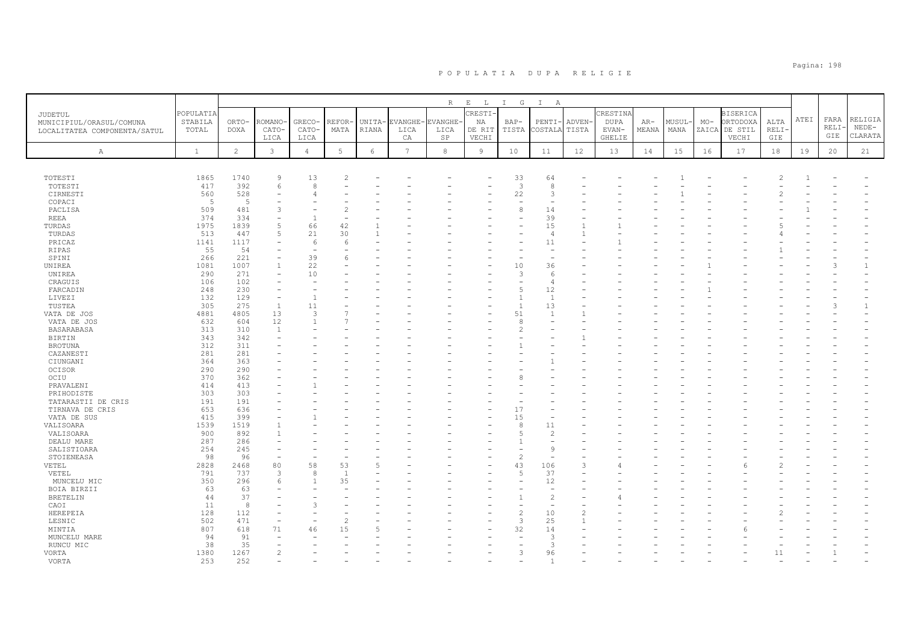|                                                                     |                               |                      |                          |                          |                |                 |                       |                                                    |                                            | $I$ G                | $\mathbb{I}$           |                       |                                                   |                |                |       |                                                       |                             |      |                      |                               |
|---------------------------------------------------------------------|-------------------------------|----------------------|--------------------------|--------------------------|----------------|-----------------|-----------------------|----------------------------------------------------|--------------------------------------------|----------------------|------------------------|-----------------------|---------------------------------------------------|----------------|----------------|-------|-------------------------------------------------------|-----------------------------|------|----------------------|-------------------------------|
| JUDETUL<br>MUNICIPIUL/ORASUL/COMUNA<br>LOCALITATEA COMPONENTA/SATUL | POPULATIA<br>STABILA<br>TOTAL | ORTO-<br><b>DOXA</b> | ROMANO<br>CATO-<br>LICA  | GRECO-<br>CATO-<br>LICA  | REFOR<br>MATA  | UNITA-<br>RIANA | EVANGHE<br>LICA<br>CA | $R_{\perp}$<br><b>VANGHE-</b><br>LICA<br><b>SP</b> | $E$ $L$<br>CRESTI<br>NA<br>DE RIT<br>VECHI | BAP-<br>TISTA        | A<br>PENTI-<br>COSTALA | <b>ADVEN</b><br>TISTA | CRESTINA<br><b>DUPA</b><br>EVAN-<br><b>GHELIE</b> | $AR-$<br>MEANA | MUSUL-<br>MANA | $MO-$ | <b>BISERICA</b><br>ORTODOXA<br>ZAICA DE STIL<br>VECHI | ALTA<br>RELI·<br><b>GIE</b> | ATEI | FARA<br>RELI·<br>GIE | RELIGIA<br>$NEDE-$<br>CLARATA |
| $\mathbb{A}$                                                        | $\mathbf{1}$                  | $\overline{2}$       | 3                        | $\overline{4}$           | 5              | $\epsilon$      | $7\phantom{.0}$       | 8                                                  | $\overline{9}$                             | 10                   | 11                     | 12                    | 13                                                | 14             | 15             | 16    | 17                                                    | 18                          | 19   | 20                   | 21                            |
|                                                                     | 1865                          | 1740                 | $\mathsf{Q}$             | 13                       |                |                 |                       |                                                    |                                            |                      |                        |                       |                                                   |                |                |       |                                                       |                             |      |                      |                               |
| TOTESTI<br>TOTESTI                                                  | 417                           | 392                  | 6                        | 8                        |                |                 |                       |                                                    |                                            | 33<br>$\overline{3}$ | 64<br>8                |                       |                                                   |                |                |       |                                                       |                             |      |                      |                               |
| CIRNESTI                                                            | 560                           | 528                  |                          |                          |                |                 |                       |                                                    |                                            | 22                   | 3                      |                       |                                                   |                |                |       |                                                       |                             |      |                      |                               |
| COPACI                                                              | 5                             | 5                    |                          |                          |                |                 |                       |                                                    |                                            | ÷                    | ٠                      |                       |                                                   |                |                |       |                                                       |                             |      |                      |                               |
| PACLISA                                                             | 509                           | 481                  | 3                        |                          |                |                 |                       |                                                    |                                            | 8                    | 14                     |                       |                                                   |                |                |       |                                                       |                             |      |                      |                               |
| <b>REEA</b>                                                         | 374                           | 334                  | $\overline{\phantom{a}}$ | $\overline{1}$           |                |                 |                       |                                                    |                                            |                      | 39                     |                       |                                                   |                |                |       |                                                       |                             |      |                      |                               |
| TURDAS                                                              | 1975                          | 1839                 | 5                        | 66                       | 42             |                 |                       |                                                    |                                            |                      | 15                     |                       |                                                   |                |                |       |                                                       |                             |      |                      |                               |
| TURDAS                                                              | 513                           | 447                  | 5                        | 21                       | 30             |                 |                       |                                                    |                                            |                      | $\overline{4}$         | $\overline{1}$        |                                                   |                |                |       |                                                       |                             |      |                      |                               |
| PRICAZ                                                              | 1141                          | 1117                 |                          | 6                        |                |                 |                       |                                                    |                                            |                      | 11                     |                       |                                                   |                |                |       |                                                       |                             |      |                      |                               |
| RIPAS                                                               | 55                            | 54                   | $\equiv$                 | $\overline{\phantom{a}}$ |                |                 |                       |                                                    |                                            |                      | $\sim$                 |                       |                                                   |                |                |       |                                                       |                             |      |                      |                               |
| SPINI                                                               | 266                           | 221                  |                          | 39                       |                |                 |                       |                                                    |                                            |                      |                        |                       |                                                   |                |                |       |                                                       |                             |      |                      |                               |
| UNIREA                                                              | 1081                          | 1007                 |                          | 22<br>10                 |                |                 |                       |                                                    |                                            | 10<br>3              | 36<br>6                |                       |                                                   |                |                |       |                                                       |                             |      |                      | $\mathbf{1}$                  |
| UNIREA                                                              | 290<br>106                    | 271<br>102           |                          |                          |                |                 |                       |                                                    |                                            |                      | $\overline{4}$         |                       |                                                   |                |                |       |                                                       |                             |      |                      |                               |
| CRAGUIS                                                             | 248                           | 230                  |                          |                          |                |                 |                       |                                                    |                                            |                      | 12                     |                       |                                                   |                |                |       |                                                       |                             |      |                      |                               |
| FARCADIN<br>LIVEZI                                                  | 132                           | 129                  |                          |                          |                |                 |                       |                                                    |                                            |                      | $\overline{1}$         |                       |                                                   |                |                |       |                                                       |                             |      |                      |                               |
| TUSTEA                                                              | 305                           | 275                  | $\mathbf{1}$             | 11                       |                |                 |                       |                                                    |                                            | $\mathbf{1}$         | 13                     |                       |                                                   |                |                |       |                                                       |                             |      | 3                    | $\mathbf{1}$                  |
| VATA DE JOS                                                         | 4881                          | 4805                 | 13                       | $\mathcal{L}$            |                |                 |                       |                                                    |                                            | 51                   | $\mathbf{1}$           |                       |                                                   |                |                |       |                                                       |                             |      |                      |                               |
| VATA DE JOS                                                         | 632                           | 604                  | 12                       | $\overline{1}$           |                |                 |                       |                                                    |                                            | 8                    |                        |                       |                                                   |                |                |       |                                                       |                             |      |                      |                               |
| BASARABASA                                                          | 313                           | 310                  | $\overline{1}$           |                          |                |                 |                       |                                                    |                                            |                      |                        |                       |                                                   |                |                |       |                                                       |                             |      |                      |                               |
| BIRTIN                                                              | 343                           | 342                  |                          |                          |                |                 |                       |                                                    |                                            |                      |                        |                       |                                                   |                |                |       |                                                       |                             |      |                      |                               |
| <b>BROTUNA</b>                                                      | 312                           | 311                  |                          |                          |                |                 |                       |                                                    |                                            |                      |                        |                       |                                                   |                |                |       |                                                       |                             |      |                      |                               |
| CAZANESTI                                                           | 281                           | 281                  |                          |                          |                |                 |                       |                                                    |                                            |                      |                        |                       |                                                   |                |                |       |                                                       |                             |      |                      |                               |
| CIUNGANI                                                            | 364                           | 363                  |                          |                          |                |                 |                       |                                                    |                                            |                      |                        |                       |                                                   |                |                |       |                                                       |                             |      |                      |                               |
| OCISOR                                                              | 290                           | 290                  |                          |                          |                |                 |                       |                                                    |                                            |                      |                        |                       |                                                   |                |                |       |                                                       |                             |      |                      |                               |
| OCIU                                                                | 370                           | 362                  |                          |                          |                |                 |                       |                                                    |                                            |                      |                        |                       |                                                   |                |                |       |                                                       |                             |      |                      |                               |
| PRAVALENI                                                           | 414                           | 413                  |                          |                          |                |                 |                       |                                                    |                                            |                      |                        |                       |                                                   |                |                |       |                                                       |                             |      |                      |                               |
| PRIHODISTE                                                          | 303                           | 303                  |                          |                          |                |                 |                       |                                                    |                                            |                      |                        |                       |                                                   |                |                |       |                                                       |                             |      |                      |                               |
| TATARASTII DE CRIS                                                  | 191                           | 191                  |                          |                          |                |                 |                       |                                                    |                                            |                      |                        |                       |                                                   |                |                |       |                                                       |                             |      |                      |                               |
| TIRNAVA DE CRIS                                                     | 653                           | 636                  |                          |                          |                |                 |                       |                                                    |                                            | 17                   |                        |                       |                                                   |                |                |       |                                                       |                             |      |                      |                               |
| VATA DE SUS                                                         | 415                           | 399                  |                          |                          |                |                 |                       |                                                    |                                            | 15                   |                        |                       |                                                   |                |                |       |                                                       |                             |      |                      |                               |
| VALISOARA                                                           | 1539                          | 1519                 |                          |                          |                |                 |                       |                                                    |                                            | 8                    | 11                     |                       |                                                   |                |                |       |                                                       |                             |      |                      |                               |
| VALISOARA                                                           | 900                           | 892                  |                          |                          |                |                 |                       |                                                    |                                            |                      | $\mathcal{D}$          |                       |                                                   |                |                |       |                                                       |                             |      |                      |                               |
| DEALU MARE                                                          | 287                           | 286                  |                          |                          |                |                 |                       |                                                    |                                            |                      |                        |                       |                                                   |                |                |       |                                                       |                             |      |                      |                               |
| SALISTIOARA                                                         | 254                           | 245                  |                          |                          |                |                 |                       |                                                    |                                            |                      | $\mathbf{Q}$           |                       |                                                   |                |                |       |                                                       |                             |      |                      |                               |
| STOIENEASA<br>VETEL                                                 | 98<br>2828                    | 96<br>2468           | 80                       | 58                       | 53             |                 |                       |                                                    |                                            | $\overline{c}$<br>43 | 106                    | 3                     |                                                   |                |                |       |                                                       |                             |      |                      |                               |
| VETEL                                                               | 791                           | 737                  | $\mathcal{B}$            | 8                        | $\overline{1}$ |                 |                       |                                                    |                                            | 5                    | 37                     |                       |                                                   |                |                |       |                                                       |                             |      |                      |                               |
| MUNCELU MIC                                                         | 350                           | 296                  | 6                        | $\overline{1}$           | 35             |                 |                       |                                                    |                                            |                      | 12                     |                       |                                                   |                |                |       |                                                       |                             |      |                      |                               |
| BOIA BIRZII                                                         | 63                            | 63                   |                          |                          |                |                 |                       |                                                    |                                            |                      |                        |                       |                                                   |                |                |       |                                                       |                             |      |                      |                               |
| <b>BRETELIN</b>                                                     | 44                            | 37                   |                          |                          |                |                 |                       |                                                    |                                            |                      | $\overline{c}$         |                       |                                                   |                |                |       |                                                       |                             |      |                      |                               |
| CAOI                                                                | 11                            | 8                    |                          |                          |                |                 |                       |                                                    |                                            |                      |                        |                       |                                                   |                |                |       |                                                       |                             |      |                      |                               |
| HEREPEIA                                                            | 128                           | 112                  |                          |                          |                |                 |                       |                                                    |                                            | $\overline{c}$       | 10                     | $\overline{c}$        |                                                   |                |                |       |                                                       |                             |      |                      |                               |
| LESNIC                                                              | 502                           | 471                  |                          |                          |                |                 |                       |                                                    |                                            | 3                    | 25                     |                       |                                                   |                |                |       |                                                       |                             |      |                      |                               |
| MINTIA                                                              | 807                           | 618                  | 71                       | 46                       | 15             |                 |                       |                                                    |                                            | 32                   | 14                     |                       |                                                   |                |                |       |                                                       |                             |      |                      |                               |
| MUNCELU MARE                                                        | 94                            | 91                   |                          |                          |                |                 |                       |                                                    |                                            |                      | 3                      |                       |                                                   |                |                |       |                                                       |                             |      |                      |                               |
| RUNCU MIC                                                           | 38                            | 35                   |                          |                          |                |                 |                       |                                                    |                                            |                      | 3                      |                       |                                                   |                |                |       |                                                       |                             |      |                      |                               |
| VORTA                                                               | 1380                          | 1267                 | $\overline{2}$           |                          |                |                 |                       |                                                    |                                            | 3                    | 96                     |                       |                                                   |                |                |       |                                                       | 11                          |      | $\overline{1}$       |                               |
| <b>VORTA</b>                                                        | 253                           | 2.52                 |                          |                          |                |                 |                       |                                                    |                                            |                      |                        |                       |                                                   |                |                |       |                                                       |                             |      |                      |                               |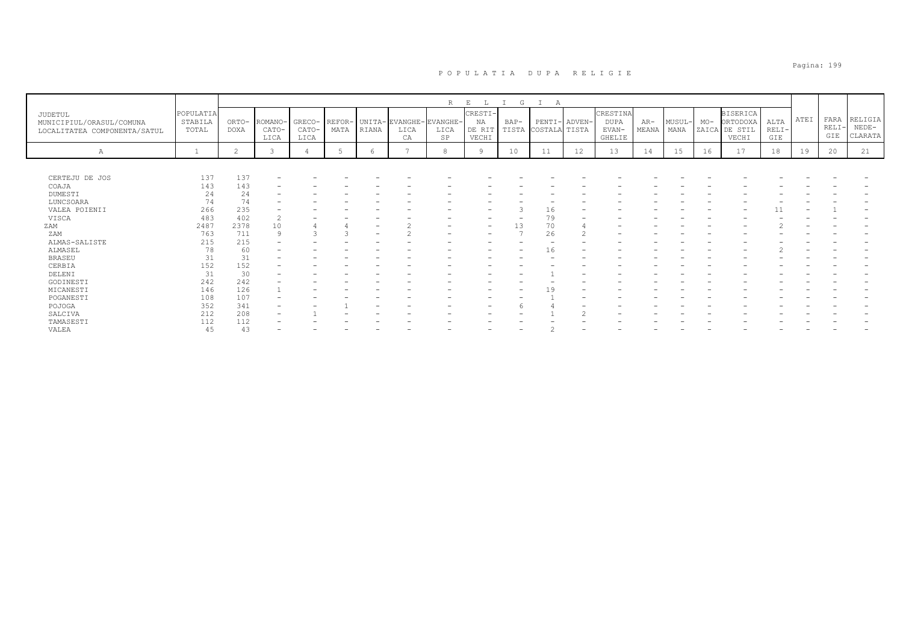|                                                                     |                               |                      |                          |                         |                |                          |                                        | $\mathbb R$ | $\mathbf E$                      | G             | Α                              |    |                                              |                |                |       |                                                       |                        |      |                        |                               |
|---------------------------------------------------------------------|-------------------------------|----------------------|--------------------------|-------------------------|----------------|--------------------------|----------------------------------------|-------------|----------------------------------|---------------|--------------------------------|----|----------------------------------------------|----------------|----------------|-------|-------------------------------------------------------|------------------------|------|------------------------|-------------------------------|
| JUDETUL<br>MUNICIPIUL/ORASUL/COMUNA<br>LOCALITATEA COMPONENTA/SATUL | POPULATIA<br>STABILA<br>TOTAL | ORTO-<br><b>DOXA</b> | ROMANO-<br>CATO-<br>LICA | GRECO-<br>CATO-<br>LICA | REFOR-<br>MATA | RIANA                    | UNITA- EVANGHE- EVANGHE-<br>LICA<br>CA | LICA<br>SP  | CRESTI-<br>NA<br>DE RIT<br>VECHI | BAP-<br>TISTA | PENTI- ADVEN-<br>COSTALA TISTA |    | CRESTINA<br><b>DUPA</b><br>$EVAN-$<br>GHELIE | $AR-$<br>MEANA | MUSUL-<br>MANA | $MO-$ | <b>BISERICA</b><br>ORTODOXA<br>ZAICA DE STIL<br>VECHI | ALTA<br>$RELI-$<br>GIE | ATEI | FARA<br>$RELI-$<br>GIE | RELIGIA<br>$NEDE-$<br>CLARATA |
| Α                                                                   |                               | $\overline{c}$       |                          |                         |                | $\epsilon$               |                                        | 8           | $\Omega$                         | 10            | 11                             | 12 | 13                                           | 14             | 15             | 16    | 17                                                    | 18                     | 19   | 20                     | 21                            |
|                                                                     |                               |                      |                          |                         |                |                          |                                        |             |                                  |               |                                |    |                                              |                |                |       |                                                       |                        |      |                        |                               |
| CERTEJU DE JOS                                                      | 137                           | 137                  |                          |                         |                |                          |                                        |             |                                  |               |                                |    |                                              |                |                |       |                                                       |                        |      |                        |                               |
| COAJA                                                               | 143                           | 143                  |                          |                         |                |                          |                                        |             |                                  |               |                                |    |                                              |                |                |       |                                                       |                        |      |                        |                               |
| DUMESTI                                                             | 24                            | 24                   |                          |                         |                |                          |                                        |             |                                  |               |                                |    |                                              |                |                |       |                                                       |                        |      |                        |                               |
| LUNCSOARA                                                           | 74                            | 74                   |                          |                         |                |                          |                                        |             |                                  |               |                                |    |                                              |                |                |       |                                                       |                        |      |                        |                               |
| VALEA POIENII                                                       | 266                           | 235                  | -                        |                         |                |                          |                                        |             |                                  |               | 16                             |    |                                              |                |                |       |                                                       |                        |      |                        |                               |
| VISCA                                                               | 483                           | 402                  | $\sim$<br>∠              |                         |                |                          |                                        |             |                                  |               | 79                             |    |                                              |                |                |       |                                                       |                        |      |                        |                               |
| ZAM                                                                 | 2487                          | 2378                 | 10                       |                         |                | $\overline{\phantom{0}}$ |                                        |             | $\overline{\phantom{a}}$         | 13            | 70                             |    |                                              |                |                |       |                                                       |                        |      |                        |                               |
| ZAM                                                                 | 763                           | 711                  | 9                        |                         |                |                          |                                        |             |                                  |               | 26                             |    |                                              |                |                |       |                                                       |                        |      |                        |                               |
| ALMAS-SALISTE                                                       | 215                           | 215                  | $\overline{\phantom{0}}$ |                         |                |                          |                                        |             |                                  |               |                                |    |                                              |                |                |       |                                                       |                        |      |                        |                               |
| ALMASEL                                                             | 78                            | 60                   |                          |                         |                |                          |                                        |             |                                  |               | 16                             |    |                                              |                |                |       |                                                       |                        |      |                        |                               |
| <b>BRASEU</b>                                                       | 31                            | 31                   | $\overline{\phantom{0}}$ |                         |                |                          |                                        |             |                                  |               |                                |    |                                              |                |                |       |                                                       |                        |      |                        |                               |
| CERBIA                                                              | 152                           | 152                  |                          |                         |                |                          |                                        |             |                                  |               |                                |    |                                              |                |                |       |                                                       |                        |      |                        |                               |
| DELENI                                                              | 31                            | 30                   | -                        |                         |                |                          |                                        |             |                                  |               |                                |    |                                              |                |                |       |                                                       |                        |      |                        |                               |
| GODINESTI                                                           | 242                           | 242                  |                          |                         |                |                          |                                        |             |                                  |               |                                |    |                                              |                |                |       |                                                       |                        |      |                        |                               |
| MICANESTI                                                           | 146                           | 126                  |                          |                         |                |                          |                                        |             |                                  |               | 1 Q                            |    |                                              |                |                |       |                                                       |                        |      |                        |                               |
| POGANESTI                                                           | 108                           | 107                  |                          |                         |                |                          |                                        |             |                                  |               |                                |    |                                              |                |                |       |                                                       |                        |      |                        |                               |
| POJOGA                                                              | 352                           | 341                  | $\overline{\phantom{a}}$ |                         |                |                          |                                        |             |                                  |               |                                |    |                                              |                |                |       |                                                       |                        |      |                        |                               |
| SALCIVA                                                             | 212                           | 208                  | $\overline{\phantom{0}}$ |                         |                |                          |                                        |             |                                  |               |                                |    |                                              |                |                |       |                                                       |                        |      |                        |                               |
| TAMASESTI                                                           | 112                           | 112                  |                          |                         |                |                          |                                        |             |                                  |               |                                |    |                                              |                |                |       |                                                       |                        |      |                        |                               |
| VALEA                                                               | 45                            | 43                   |                          |                         |                |                          |                                        |             |                                  |               |                                |    |                                              |                |                |       |                                                       |                        |      |                        |                               |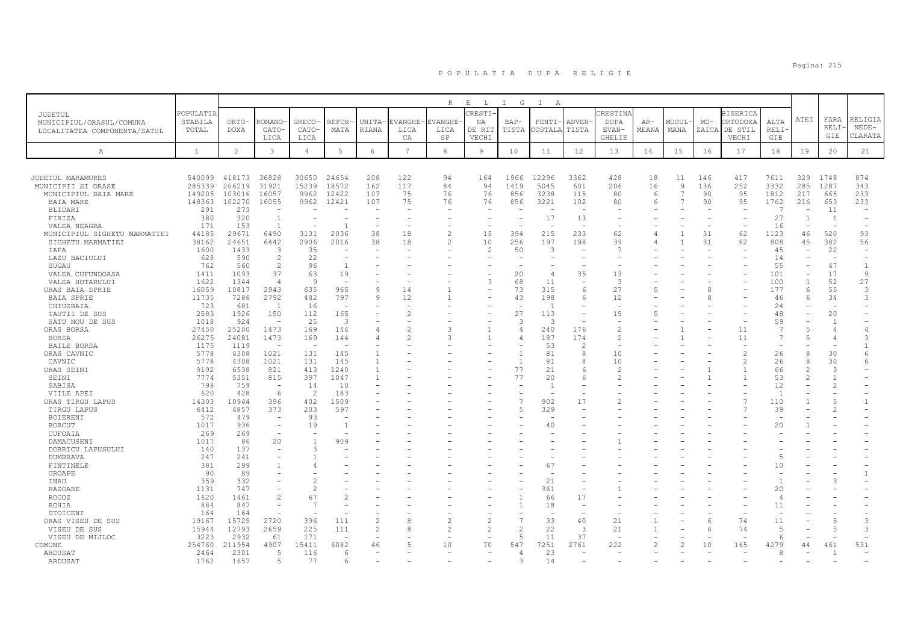|                                |               |                |                          |                          |                          |                                  |                 | R              | $\,$ E $\,$<br>$\mathbb{L}$ | $\mathbb{I}$<br>G | $\mathbb{I}$<br>A |                          |                          |       |                |       |                          |                          |                          |                                |                |
|--------------------------------|---------------|----------------|--------------------------|--------------------------|--------------------------|----------------------------------|-----------------|----------------|-----------------------------|-------------------|-------------------|--------------------------|--------------------------|-------|----------------|-------|--------------------------|--------------------------|--------------------------|--------------------------------|----------------|
| JUDETUL                        | POPULATIA     |                |                          |                          |                          |                                  |                 |                | RESTI <sup>.</sup>          |                   |                   |                          | CRESTINA                 |       |                |       | <b>BISERICA</b>          |                          |                          |                                |                |
| MUNICIPIUL/ORASUL/COMUNA       | STABILA       | ORTO-          | <b>ROMANO</b>            | GRECO-                   | REFOR                    | UNITA-                           | EVANGHE         | <b>EVANGHE</b> | ΝA                          | $BAP-$            | PENTI             | <b>ADVEN</b>             | <b>DUPA</b>              | AR-   | MUSUL          | $MO-$ | ORTODOXA                 | ALTA                     | ATEI                     | FARA                           | RELIGIA        |
| LOCALITATEA COMPONENTA/SATUL   | TOTAL         | <b>DOXA</b>    | CATO-                    | CATO-                    | MATA                     | RIANA                            | LICA            | LICA           | DE RIT                      | TISTA             | COSTALA           | TISTA                    | EVAN-                    | MEANA | MANA           | ZAICA | DE STIL                  | RELI-                    |                          | RELI-                          | $NEDE-$        |
|                                |               |                | LICA                     | LICA                     |                          |                                  | CA              | $_{\rm SP}$    | VECHI                       |                   |                   |                          | GHELIE                   |       |                |       | VECHI                    | GIE                      |                          | GIE                            | CLARATA        |
| Α                              | $\mathbf{1}$  | $\overline{c}$ | 3                        | $\overline{4}$           | 5                        | 6                                | $7\phantom{.0}$ | 8              | 9                           | 10                | 11                | 12                       | 13                       | 14    | 15             | 16    | 17                       | 18                       | 19                       | 20                             | 21             |
|                                |               |                |                          |                          |                          |                                  |                 |                |                             |                   |                   |                          |                          |       |                |       |                          |                          |                          |                                |                |
|                                |               |                |                          |                          |                          |                                  |                 |                |                             |                   |                   |                          |                          |       |                |       |                          |                          |                          |                                |                |
| JUDETUL MARAMURES              | 540099        | 418173         | 36828                    | 30650                    | 24654                    | 208                              | 122             | 94             | 164                         | 1966              | 12296             | 3362                     | 428                      | 18    | 11             | 146   | 417                      | 7611                     | 329                      | 1748                           | 874            |
| MUNICIPII SI ORASE             | 285339        | 206219         | 31921                    | 15239                    | 18572                    | 162                              | 117             | 84             | 94                          | 1419              | 5045              | 601                      | 206                      | 16    | $\overline{9}$ | 136   | 252                      | 3332                     | 285                      | 1287                           | 343            |
| MUNICIPIUL BAIA MARE           | 149205        | 103016         | 16057                    | 9962                     | 12422                    | 107                              | 75              | 76             | 76                          | 856               | 3238              | 115                      | 80                       | 6     | $\overline{7}$ | 90    | 95                       | 1812                     | 217                      | 665                            | 233            |
| <b>BAIA MARE</b>               | 148363        | 102270         | 16055                    | 9962                     | 12421                    | 107                              | 75              | 76             | 76                          | 856               | 3221              | 102                      | 80                       | 6     | $\overline{7}$ | 90    | 95                       | 1762                     | 216                      | 653                            | 233            |
| <b>BLIDARI</b>                 | 291           | 273            | <b>11-</b>               |                          |                          |                                  |                 |                |                             |                   |                   | $\overline{\phantom{a}}$ |                          |       |                |       |                          | $\overline{7}$           | $\overline{\phantom{a}}$ | 11                             | <u>_</u>       |
| FIRIZA                         | 380           | 320            | $\overline{1}$           |                          |                          |                                  |                 |                |                             |                   | 17                | 13                       |                          |       |                |       |                          | 27                       |                          | $\overline{1}$                 |                |
| VALEA NEAGRA                   | 171           | 153            | $\overline{1}$           |                          | $\overline{1}$           | $\equiv$                         |                 |                |                             |                   |                   | $\overline{\phantom{m}}$ |                          |       |                |       | $\overline{\phantom{a}}$ | 16                       |                          | $\sim$                         |                |
| MUNICIPIUL SIGHETU MARMATIEI   | 44185         | 29671          | 6490                     | 3131                     | 2036                     | 38                               | 18              | $\mathcal{L}$  | 15                          | 394               | 215               | 233                      | 62                       |       | $\mathbf{1}$   | 31    | 62                       | 1123                     | 46                       | 520                            | 93             |
| SIGHETU MARMATIEI              | 38162         | 24651          | 6442                     | 2906                     | 2016                     | 38                               | 18              | $\mathcal{P}$  | 10                          | 256               | 197               | 198                      | 39                       |       |                | 31    | 62                       | 808                      | 45                       | 382                            | 56             |
| IAPA                           | 1600          | 1433           | 3<br>$\overline{c}$      | 35                       |                          |                                  |                 |                | $\overline{c}$              | 50                | 3                 |                          | 7                        |       |                |       |                          | 45                       |                          | 22<br>$\overline{\phantom{a}}$ | $\sim$         |
| LAZU BACIULUI<br>SUGAU         | 628<br>762    | 590<br>560     | $\overline{c}$           | 22<br>96                 | -1                       |                                  |                 |                |                             |                   |                   |                          |                          |       |                |       |                          | 14<br>55                 |                          | 47                             | -1             |
| VALEA CUFUNDOASA               | 1411          | 1093           | 37                       | 63                       | 19                       |                                  |                 |                |                             | 20                | $\overline{4}$    | 35                       | 13                       |       |                |       |                          | 101                      |                          | 17                             | 9              |
| VALEA HOTARULUI                | 1622          | 1344           | $\overline{4}$           | $\mathcal{Q}$            |                          |                                  |                 |                | 3                           | 68                | 11                |                          | $\overline{3}$           |       |                |       |                          | 100                      |                          | 52                             | 27             |
| ORAS BAIA SPRIE                | 16059         | 10817          | 2943                     | 635                      | 965                      | 9                                | 14              |                |                             | 73                | 315               | 6                        | 27                       |       |                | 8     |                          | 177                      | 6                        | 55                             | 3              |
| BAIA SPRIE                     | 11735         | 7286           | 2792                     | 482                      | 797                      | 9                                | 12              |                |                             | 43                | 198               | 6                        | 12                       |       |                | 8     |                          | 46                       | 6                        | 34                             | 3              |
| CHIUZBAIA                      | 723           | 681            | -1                       | 16                       | $\overline{\phantom{a}}$ |                                  |                 |                |                             |                   | - 1               | $\overline{\phantom{m}}$ |                          |       |                |       |                          | 24                       |                          |                                |                |
| TAUTII DE SUS                  | 2583          | 1926           | 150                      | 112                      | 165                      |                                  |                 |                |                             | 27                | 113               |                          | 15                       |       |                |       |                          | 48                       |                          | 20                             |                |
| SATU NOU DE SUS                | 1018          | 924            | $\overline{\phantom{a}}$ | 25                       | 3                        |                                  |                 |                |                             | 3                 | -3                | $\overline{\phantom{m}}$ | $\overline{\phantom{a}}$ |       |                |       |                          | 59                       |                          |                                |                |
| ORAS BORSA                     | 27450         | 25200          | 1473                     | 169                      | 144                      |                                  |                 |                |                             | 4                 | 240               | 176                      | $\mathcal{L}$            |       |                |       | 11                       | $\overline{7}$           | 5                        |                                |                |
| <b>BORSA</b>                   | 26275         | 24081          | 1473                     | 169                      | 144                      | Δ                                | 2               |                |                             | $\Delta$          | 187               | 174                      | $\overline{\mathcal{L}}$ |       |                |       | 11                       | $\overline{7}$           | $\overline{5}$           | 4                              | $\mathcal{R}$  |
| <b>BAILE BORSA</b>             | 1175          | 1119           | $\sim$                   | $\sim$                   |                          |                                  |                 |                |                             |                   | 53                | $\mathfrak{D}$           | $\sim$                   |       |                |       |                          |                          |                          |                                |                |
| ORAS CAVNIC                    | 5778          | 4308           | 1021                     | 131                      | 145                      |                                  |                 |                |                             | $\overline{1}$    | 81                | 8                        | 10                       |       |                |       | $\overline{2}$           | 26                       | $\mathcal{R}$            | 30                             | 6              |
| CAVNIC                         | 5778          | 4308           | 1021                     | 131                      | 145                      |                                  |                 |                |                             |                   | 81                | 8                        | 10                       |       |                |       | $\overline{c}$           | 26                       | 8                        | 30                             | 6              |
| ORAS SEINI                     | 9192          | 6538           | 821                      | 413                      | 1240                     | $\mathbf{1}$                     |                 |                |                             | 77                | 21                | 6                        | $\mathcal{L}$            |       |                |       | $\overline{1}$           | 66                       | $\mathcal{P}$            | 3                              |                |
| SEINI                          | 7774          | 5351           | 815                      | 397                      | 1047                     |                                  |                 |                |                             | 77                | 20                | 6                        |                          |       |                |       |                          | 53                       |                          |                                |                |
| SABISA                         | 798<br>620    | 759<br>428     | <b>1920</b><br>6         | 14<br>$\mathcal{D}$      | 10<br>183                |                                  |                 |                |                             |                   | $\overline{1}$    |                          |                          |       |                |       |                          | 12<br>$\overline{1}$     |                          |                                |                |
| VIILE APEI<br>ORAS TIRGU LAPUS | 14303         | 10944          | 396                      | 402                      | 1509                     |                                  |                 |                |                             | $\overline{7}$    | 902               | 17                       |                          |       |                |       | $\overline{7}$           | 110                      |                          |                                | $\overline{1}$ |
| TIRGU LAPUS                    | 6412          | 4857           | 373                      | 203                      | 597                      |                                  |                 |                |                             | 5                 | 329               |                          |                          |       |                |       |                          | 39                       |                          |                                |                |
| <b>BOIERENI</b>                | 572           | 479            | $\overline{\phantom{a}}$ | 93                       | <b>1</b>                 |                                  |                 |                |                             |                   |                   |                          |                          |       |                |       |                          | $\overline{a}$           |                          |                                |                |
| <b>BORCUT</b>                  | 1017          | 936            | $\overline{\phantom{a}}$ | 19                       | -1                       |                                  |                 |                |                             |                   | 40                |                          |                          |       |                |       |                          | 20                       |                          |                                |                |
| CUFOAIA                        | 269           | 269            | $\overline{\phantom{a}}$ |                          |                          |                                  |                 |                |                             |                   |                   |                          |                          |       |                |       |                          |                          |                          |                                |                |
| DAMACUSENI                     | 1017          | 86             | 20                       |                          | 909                      |                                  |                 |                |                             |                   |                   |                          |                          |       |                |       |                          |                          |                          |                                |                |
| DOBRICU LAPUSULUI              | 140           | 137            | $\overline{\phantom{a}}$ | $\mathcal{L}$            |                          |                                  |                 |                |                             |                   |                   |                          |                          |       |                |       |                          |                          |                          |                                |                |
| <b>DUMBRAVA</b>                | 247           | 241            |                          |                          |                          |                                  |                 |                |                             |                   |                   |                          |                          |       |                |       |                          | $\overline{5}$           |                          |                                |                |
| FINTINELE                      | 381           | 299            |                          |                          |                          |                                  |                 |                |                             |                   | 67                |                          |                          |       |                |       |                          | 10                       |                          |                                |                |
| GROAPE                         | 90            | 89             |                          |                          |                          |                                  |                 |                |                             |                   |                   |                          |                          |       |                |       |                          |                          |                          |                                |                |
| INAU                           | 359           | 332            |                          |                          |                          |                                  |                 |                |                             |                   | 21                |                          |                          |       |                |       |                          |                          |                          |                                |                |
| <b>RAZOARE</b>                 | 1131          | 747            |                          | $\mathcal{L}$            |                          |                                  |                 |                |                             |                   | 361               |                          |                          |       |                |       |                          | 20                       |                          |                                |                |
| ROGOZ                          | 1620          | 1461           | $\overline{c}$           | 67                       |                          |                                  |                 |                |                             | $\mathbf{1}$      | 66                | 17                       |                          |       |                |       |                          | $\overline{4}$           |                          |                                |                |
| ROHIA                          | 884           | 847            |                          | 7                        |                          |                                  |                 |                |                             |                   | 18                |                          |                          |       |                |       |                          | 11                       |                          |                                |                |
| STOICENI                       | 164           | 164            | $\equiv$                 | $\overline{\phantom{a}}$ |                          |                                  |                 |                |                             | $\overline{7}$    |                   | $\sim$                   |                          |       |                |       |                          | $\overline{\phantom{a}}$ |                          |                                |                |
| ORAS VISEU DE SUS              | 19167         | 15725          | 2720                     | 396                      | 111                      | $\mathfrak{D}$<br>$\mathfrak{D}$ |                 |                |                             | $\mathfrak{D}$    | 33                | 40                       | 21                       |       |                |       | 74                       | 11<br>5                  |                          | 5                              | 3<br>3         |
| VISEU DE SUS                   | 15944<br>3223 | 12793<br>2932  | 2659                     | 225<br>171               | 111                      |                                  |                 |                |                             | 5                 | 22<br>11          | 3<br>37                  | 21<br>$\sim$             |       |                | 6     | 74                       | 6                        |                          |                                |                |
| VISEU DE MIJLOC<br>COMUNE      | 254760        | 211954         | 61<br>4907               | 15411                    | 6082                     | 46                               |                 | 10             | 70                          | 547               | 7251              | 2761                     | 222                      |       |                | 10    | 165                      | 4279                     | 44                       | 461                            | 531            |
| ARDUSAT                        | 2464          | 2301           | 5                        | 116                      |                          |                                  |                 |                |                             |                   | 23                |                          |                          |       |                |       |                          | 8                        |                          |                                |                |
| ARDUSAT                        | 1762          | 1657           | 5                        | 77                       | -6                       |                                  |                 |                |                             | 3                 | 14                |                          |                          |       |                |       |                          |                          |                          |                                |                |
|                                |               |                |                          |                          |                          |                                  |                 |                |                             |                   |                   |                          |                          |       |                |       |                          |                          |                          |                                |                |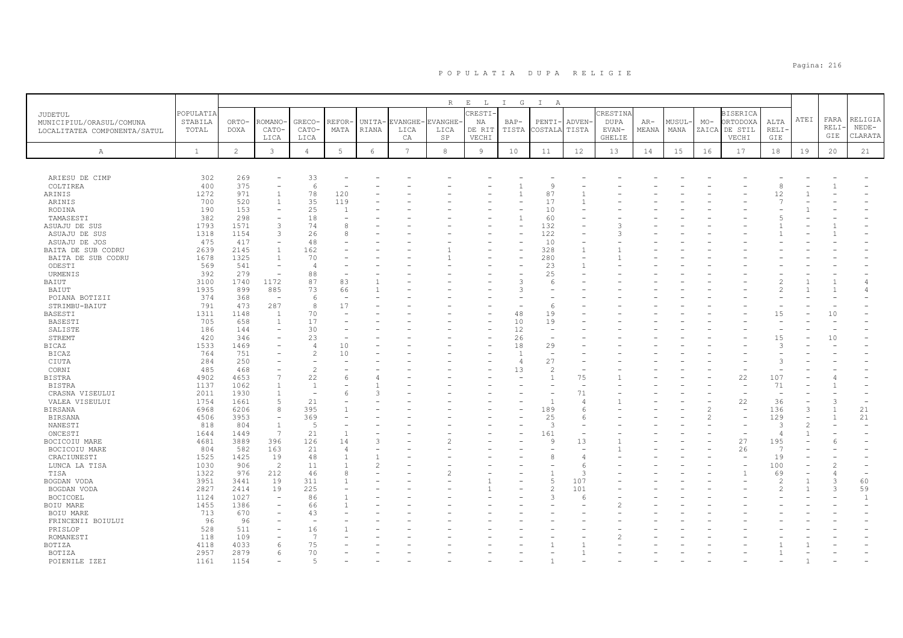|                                                                     |                               |                      |                          |                         |                      |                 |                        | R                            | $E$ $L$                          | I G             | $\mathbb{I}$<br>A             |                          |                                                   |                |                |       |                                                       |                                   |      |                      |                               |
|---------------------------------------------------------------------|-------------------------------|----------------------|--------------------------|-------------------------|----------------------|-----------------|------------------------|------------------------------|----------------------------------|-----------------|-------------------------------|--------------------------|---------------------------------------------------|----------------|----------------|-------|-------------------------------------------------------|-----------------------------------|------|----------------------|-------------------------------|
| JUDETUL<br>MUNICIPIUL/ORASUL/COMUNA<br>LOCALITATEA COMPONENTA/SATUL | POPULATIA<br>STABILA<br>TOTAL | ORTO-<br>DOXA        | ROMANO<br>CATO-<br>LICA  | GRECO-<br>CATO-<br>LICA | <b>REFOR</b><br>MATA | UNITA-<br>RIANA | EVANGHE-<br>LICA<br>СA | EVANGHE<br>LICA<br><b>SP</b> | CRESTI-<br>NA<br>DE RIT<br>VECHI | $BAP-$<br>TISTA | PENTI-<br>COSTALA             | <b>ADVEN</b><br>TISTA    | CRESTINA<br><b>DUPA</b><br>EVAN-<br><b>GHELIE</b> | $AR-$<br>MEANA | MUSUL-<br>MANA | $MO-$ | <b>BISERICA</b><br>ORTODOXA<br>ZAICA DE STIL<br>VECHI | ALTA<br><b>RELI</b><br><b>GIE</b> | ATEI | FARA<br>RELI·<br>GIE | RELIGIA<br>$NEDE-$<br>CLARATA |
| Α                                                                   | $\mathbf{1}$                  | $\mathbf{2}^{\circ}$ | $\mathbf{3}$             | $\overline{4}$          | 5                    | $\epsilon$      | $7\overline{ }$        | 8                            | 9                                | 10              | 11                            | 12                       | 13                                                | 14             | 15             | 16    | 17                                                    | 18                                | 19   | 20                   | 21                            |
|                                                                     |                               |                      |                          |                         |                      |                 |                        |                              |                                  |                 |                               |                          |                                                   |                |                |       |                                                       |                                   |      |                      |                               |
| ARIESU DE CIMP                                                      | 302                           | 269                  |                          | 33                      |                      |                 |                        |                              |                                  |                 |                               |                          |                                                   |                |                |       |                                                       |                                   |      |                      |                               |
| COLTIREA                                                            | 400                           | 375                  | ۰                        | 6                       |                      |                 |                        |                              |                                  |                 | 9                             |                          |                                                   |                |                |       |                                                       | 8                                 |      |                      |                               |
| ARINIS                                                              | 1272                          | 971                  | $\overline{1}$           | 78                      | 120                  |                 |                        |                              |                                  |                 | 87                            |                          |                                                   |                |                |       |                                                       | 12                                |      |                      |                               |
| ARINIS                                                              | 700                           | 520                  | $\mathbf{1}$             | 35                      | 119                  |                 |                        |                              |                                  |                 | 17                            |                          |                                                   |                |                |       |                                                       | $\overline{7}$                    |      |                      |                               |
| RODINA                                                              | 190                           | 153                  | ۰                        | 25                      |                      |                 |                        |                              |                                  |                 | 10                            |                          |                                                   |                |                |       |                                                       |                                   |      |                      |                               |
| TAMASESTI                                                           | 382                           | 298                  | $\sim$                   | 18                      |                      |                 |                        |                              |                                  | $\overline{1}$  | 60                            |                          |                                                   |                |                |       |                                                       |                                   |      |                      |                               |
| ASUAJU DE SUS                                                       | 1793                          | 1571                 | 3                        | 74                      | 8                    |                 |                        |                              |                                  |                 | 132                           |                          |                                                   |                |                |       |                                                       |                                   |      |                      |                               |
| ASUAJU DE SUS                                                       | 1318                          | 1154                 | 3                        | 26                      | 8                    |                 |                        |                              |                                  |                 | 122                           |                          |                                                   |                |                |       |                                                       |                                   |      |                      |                               |
| ASUAJU DE JOS                                                       | 475                           | 417                  | ÷,                       | 48                      |                      |                 |                        |                              |                                  |                 | 10                            |                          |                                                   |                |                |       |                                                       |                                   |      |                      |                               |
| BAITA DE SUB CODRU                                                  | 2639                          | 2145                 | $\mathbf{1}$             | 162                     |                      |                 |                        |                              |                                  |                 | 328                           |                          |                                                   |                |                |       |                                                       |                                   |      |                      |                               |
| BAITA DE SUB CODRU                                                  | 1678                          | 1325                 | $\overline{1}$           | 70                      |                      |                 |                        |                              |                                  |                 | 280                           |                          |                                                   |                |                |       |                                                       |                                   |      |                      |                               |
| ODESTI                                                              | 569                           | 541                  | $\overline{\phantom{a}}$ | $\overline{4}$          |                      |                 |                        |                              |                                  |                 | 23                            |                          |                                                   |                |                |       |                                                       |                                   |      |                      |                               |
| URMENIS                                                             | 392                           | 279                  | ÷,                       | 88                      |                      |                 |                        |                              |                                  |                 | 25                            |                          |                                                   |                |                |       |                                                       |                                   |      |                      |                               |
| BAIUT                                                               | 3100                          | 1740                 | 1172                     | 87                      | 83                   |                 |                        |                              |                                  | 3               | 6                             |                          |                                                   |                |                |       |                                                       | $\overline{c}$                    |      |                      | $\overline{4}$                |
| BAIUT                                                               | 1935                          | 899                  | 885                      | 73                      | 66                   |                 |                        |                              |                                  | ß               |                               |                          |                                                   |                |                |       |                                                       | $\mathfrak{D}$                    |      |                      |                               |
| POIANA BOTIZII                                                      | 374                           | 368                  | $\sim$                   | 6                       |                      |                 |                        |                              |                                  |                 |                               |                          |                                                   |                |                |       |                                                       |                                   |      |                      |                               |
| STRIMBU-BAIUT                                                       | 791                           | 473                  | 287                      | 8                       | 17                   |                 |                        |                              |                                  |                 | 6                             |                          |                                                   |                |                |       |                                                       |                                   |      |                      |                               |
| BASESTI                                                             | 1311                          | 1148                 | $\overline{1}$           | 70                      |                      |                 |                        |                              |                                  | 48              | 19                            |                          |                                                   |                |                |       |                                                       | 15                                |      | 10                   |                               |
| BASESTI                                                             | 705                           | 658                  | 1                        | 17                      |                      |                 |                        |                              |                                  | 10              | 19                            |                          |                                                   |                |                |       |                                                       |                                   |      |                      |                               |
| SALISTE                                                             | 186                           | 144                  | $\overline{\phantom{0}}$ | 30                      |                      |                 |                        |                              |                                  | 12              | $\overline{\phantom{a}}$      |                          |                                                   |                |                |       |                                                       | $\overline{\phantom{a}}$          |      |                      |                               |
| STREMT                                                              | 420                           | 346                  | ۰                        | 23                      |                      |                 |                        |                              |                                  | 26              | $\overline{\phantom{a}}$      |                          |                                                   |                |                |       |                                                       | 15                                |      | 10                   |                               |
| <b>BICAZ</b>                                                        | 1533                          | 1469                 |                          | $\overline{4}$          | 10                   |                 |                        |                              |                                  | 18              | 29                            |                          |                                                   |                |                |       |                                                       | 3                                 |      |                      |                               |
| <b>BICAZ</b>                                                        | 764                           | 751                  |                          | $\overline{c}$          | 10                   |                 |                        |                              |                                  | $\overline{1}$  | $\overline{\phantom{a}}$      |                          |                                                   |                |                |       |                                                       |                                   |      |                      |                               |
| CIUTA                                                               | 284                           | 250                  |                          |                         |                      |                 |                        |                              |                                  | $\overline{4}$  | 27                            |                          |                                                   |                |                |       |                                                       | 3                                 |      |                      |                               |
| CORNI                                                               | 485                           | 468                  |                          | $\overline{c}$          |                      |                 |                        |                              |                                  | 13              | 2                             |                          |                                                   |                |                |       |                                                       |                                   |      |                      |                               |
| <b>BISTRA</b>                                                       | 4902                          | 4653                 | 7                        | 22                      | 6                    |                 |                        |                              |                                  |                 | $\mathbf{1}$                  | 75                       |                                                   |                |                |       | 22                                                    | 107                               |      |                      |                               |
| <b>BISTRA</b>                                                       | 1137                          | 1062                 | $\mathbf{1}$             | $\overline{1}$          |                      |                 |                        |                              |                                  |                 | $\overline{\phantom{0}}$      |                          |                                                   |                |                |       | $\overline{\phantom{a}}$                              | 71                                |      |                      |                               |
| CRASNA VISEULUI                                                     | 2011                          | 1930                 |                          |                         |                      |                 |                        |                              |                                  |                 |                               | 71                       |                                                   |                |                |       |                                                       |                                   |      |                      |                               |
| VALEA VISEULUI                                                      | 1754                          | 1661                 | 5                        | 21                      |                      |                 |                        |                              |                                  |                 | $\overline{1}$                | $\overline{4}$           |                                                   |                |                |       | 22                                                    | 36                                |      | 3                    |                               |
| <b>BIRSANA</b>                                                      | 6968                          | 6206                 | 8                        | 395                     |                      |                 |                        |                              |                                  |                 | 189                           | 6                        |                                                   |                |                |       | $\rightarrow$                                         | 136                               | 3    |                      | 21                            |
| <b>BIRSANA</b>                                                      | 4506                          | 3953                 | $\overline{\phantom{a}}$ | 369                     |                      |                 |                        |                              |                                  |                 | 25                            | 6                        |                                                   |                |                | 2     |                                                       | 129                               |      | $\overline{1}$       | 21                            |
| NANESTI                                                             | 818                           | 804                  | $\overline{1}$           | $\overline{5}$          |                      |                 |                        |                              |                                  |                 | 3                             |                          |                                                   |                |                |       |                                                       | 3                                 |      |                      |                               |
| ONCESTI                                                             | 1644                          | 1449                 | 7                        | 21                      |                      | $\mathcal{R}$   |                        |                              |                                  |                 | 161<br>Q                      |                          |                                                   |                |                |       | $\sim$                                                | 4                                 |      |                      |                               |
| BOCICOIU MARE                                                       | 4681                          | 3889                 | 396                      | 126                     | 14                   |                 |                        |                              |                                  |                 |                               | 13                       |                                                   |                |                |       | 27                                                    | 195<br>$\overline{7}$             |      |                      |                               |
| BOCICOIU MARE                                                       | 804                           | 582                  | 163                      | 21                      | $\overline{4}$       |                 |                        |                              |                                  |                 |                               | $\overline{\phantom{a}}$ |                                                   |                |                |       | 26                                                    |                                   |      |                      |                               |
| CRACIUNESTI                                                         | 1525<br>1030                  | 1425<br>906          | 19<br>2                  | 48<br>11                |                      | $\mathcal{P}$   |                        |                              |                                  |                 | 8<br>$\overline{\phantom{0}}$ | $\angle$                 |                                                   |                |                |       |                                                       | 19<br>100                         |      | $\mathcal{P}$        |                               |
| LUNCA LA TISA                                                       |                               | 976                  |                          | 46                      |                      |                 |                        |                              |                                  |                 |                               | -6<br>3                  |                                                   |                |                |       |                                                       |                                   |      |                      |                               |
| TISA                                                                | 1322                          |                      | 212                      | 311                     |                      |                 |                        |                              |                                  |                 | 5                             | 107                      |                                                   |                |                |       |                                                       | 69<br>$\overline{c}$              |      | 3                    |                               |
| BOGDAN VODA                                                         | 3951                          | 3441                 | 19                       |                         |                      |                 |                        |                              |                                  |                 |                               |                          |                                                   |                |                |       |                                                       |                                   |      |                      | 60                            |
| BOGDAN VODA                                                         | 2827                          | 2414                 | 19                       | 225                     |                      |                 |                        |                              |                                  |                 | $\mathfrak{D}$                | 101                      |                                                   |                |                |       |                                                       | $\mathfrak{D}$                    |      | $\mathcal{R}$        | 59                            |
| <b>BOCICOEL</b>                                                     | 1124                          | 1027                 | $\sim$                   | 86                      |                      |                 |                        |                              |                                  |                 | 3                             | 6                        |                                                   |                |                |       |                                                       |                                   |      |                      | $\mathbf{1}$                  |
| BOIU MARE                                                           | 1455                          | 1386                 |                          | 66                      |                      |                 |                        |                              |                                  |                 |                               |                          |                                                   |                |                |       |                                                       |                                   |      |                      |                               |
| BOIU MARE                                                           | 713                           | 670                  |                          | 43                      |                      |                 |                        |                              |                                  |                 |                               |                          |                                                   |                |                |       |                                                       |                                   |      |                      |                               |
| FRINCENII BOIULUI                                                   | 96                            | 96                   |                          |                         |                      |                 |                        |                              |                                  |                 |                               |                          |                                                   |                |                |       |                                                       |                                   |      |                      |                               |
| PRISLOP                                                             | 528                           | 511                  | $\overline{\phantom{0}}$ | 16                      |                      |                 |                        |                              |                                  |                 |                               |                          |                                                   |                |                |       |                                                       |                                   |      |                      |                               |
| ROMANESTI                                                           | 118                           | 109                  |                          | 7                       |                      |                 |                        |                              |                                  |                 |                               |                          |                                                   |                |                |       |                                                       |                                   |      |                      |                               |
| <b>BOTIZA</b>                                                       | 4118                          | 4033                 | 6                        | 75                      |                      |                 |                        |                              |                                  |                 |                               |                          |                                                   |                |                |       |                                                       |                                   |      |                      |                               |
| BOTIZA                                                              | 2957                          | 2879                 | 6                        | 70                      |                      |                 |                        |                              |                                  |                 |                               |                          |                                                   |                |                |       |                                                       |                                   |      |                      |                               |
| POTENTLE TZET                                                       | 1161                          | 1154                 |                          |                         |                      |                 |                        |                              |                                  |                 |                               |                          |                                                   |                |                |       |                                                       |                                   |      |                      |                               |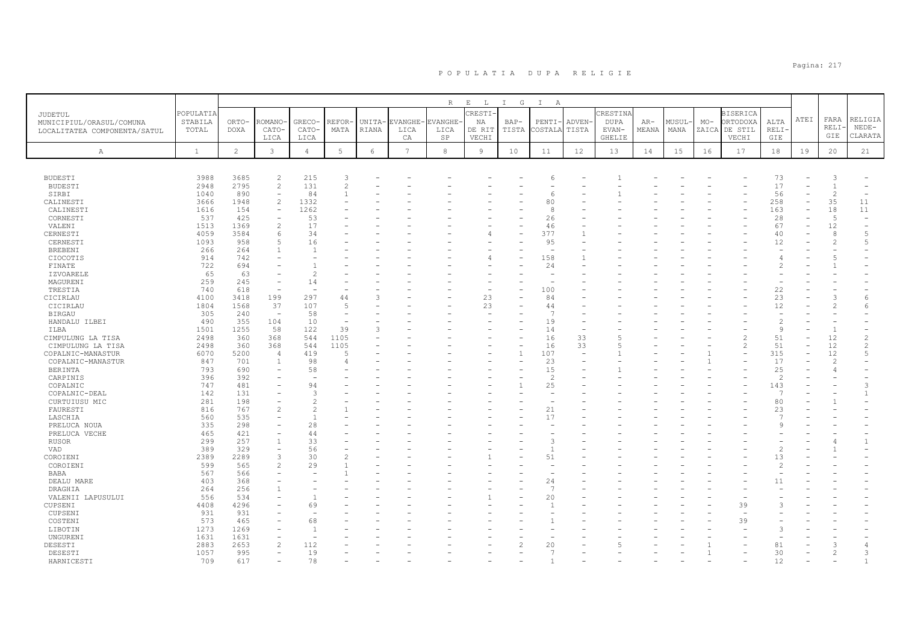|                                |              |                |                          |                          |                |               |                 | R             | $E$ L          | I G          | $\mathbb{I}$<br>A        |        |               |       |        |       |                 |                |      |                |                                            |
|--------------------------------|--------------|----------------|--------------------------|--------------------------|----------------|---------------|-----------------|---------------|----------------|--------------|--------------------------|--------|---------------|-------|--------|-------|-----------------|----------------|------|----------------|--------------------------------------------|
| <b>JUDETUL</b>                 | POPULATIA    |                |                          |                          |                |               |                 |               | CRESTI-        |              |                          |        | CRESTINA      |       |        |       | <b>BISERICA</b> |                |      |                |                                            |
| MUNICIPIUL/ORASUL/COMUNA       | STABILA      | ORTO-          | ROMANC                   | GRECO-                   | REFOR          | UNITA-        | EVANGHE         | <b>VANGHE</b> | ΝA             | BAP-         | PENTI-                   | ADVEN  | <b>DUPA</b>   | $AR-$ | MUSUL· | $MO-$ | ORTODOXA        | ALTA           | ATEI | FARA           | RELIGIA                                    |
| LOCALITATEA COMPONENTA/SATUL   | TOTAL        | <b>DOXA</b>    | CATO-                    | CATO-                    | MATA           | <b>RIANA</b>  | LICA            | LICA          | DE RIT         | TISTA        | COSTALA                  | TISTA  | EVAN-         | MEANA | MANA   |       | ZAICA DE STIL   | <b>RELI</b>    |      | <b>RELI·</b>   | $NEDE-$                                    |
|                                |              |                | LICA                     | LICA                     |                |               | СA              | SP            | VECHI          |              |                          |        | <b>GHELIE</b> |       |        |       | VECHI           | GIE            |      | GIE            | CLARATA                                    |
| $\mathbb{A}$                   | $\mathbf{1}$ | $\overline{2}$ | 3                        | $\overline{4}$           | 5              | $\epsilon$    | $7\phantom{.0}$ | $_{\rm 8}$    | $\overline{9}$ | 10           | 11                       | 12     | 13            | 14    | 15     | 16    | 17              | 18             | 19   | 20             | 21                                         |
|                                |              |                |                          |                          |                |               |                 |               |                |              |                          |        |               |       |        |       |                 |                |      |                |                                            |
|                                |              |                |                          |                          |                |               |                 |               |                |              |                          |        |               |       |        |       |                 |                |      |                |                                            |
| <b>BUDESTI</b>                 | 3988         | 3685           | $\overline{c}$           | 215                      | 3              |               |                 |               |                |              | 6                        |        |               |       |        |       |                 | 73             |      | 3              |                                            |
| <b>BUDESTI</b>                 | 2948         | 2795           | $\overline{c}$           | 131                      | $\mathcal{D}$  |               |                 |               |                |              |                          |        |               |       |        |       |                 | 17             |      | $\overline{1}$ |                                            |
| SIRBI                          | 1040         | 890            | $\overline{\phantom{a}}$ | 84                       |                |               |                 |               |                |              | 6                        |        |               |       |        |       |                 | 56             |      | 2              | $\overline{\phantom{0}}$                   |
| CALINESTI                      | 3666         | 1948           | $\overline{c}$           | 1332                     |                |               |                 |               |                |              | 80                       |        |               |       |        |       |                 | 258            |      | 35             | 11                                         |
| CALINESTI                      | 1616         | 154            |                          | 1262                     |                |               |                 |               |                |              | 8                        |        |               |       |        |       |                 | 163            |      | 18             | 11                                         |
| CORNESTI                       | 537          | 425            | $\overline{c}$           | 53<br>17                 |                |               |                 |               |                |              | 26                       |        |               |       |        |       |                 | 28             |      | $\overline{5}$ |                                            |
| VALENI                         | 1513         | 1369           |                          | 34                       |                |               |                 |               |                |              | 46<br>377                |        |               |       |        |       |                 | 67             |      | 12<br>8        | $\overline{\phantom{a}}$<br>$\overline{5}$ |
| CERNESTI<br>CERNESTI           | 4059<br>1093 | 3584<br>958    | 6<br>5                   | 16                       |                |               |                 |               |                |              | 95                       |        |               |       |        |       |                 | 40<br>12       |      | 2              | 5                                          |
| <b>BREBENI</b>                 | 266          | 264            | $\mathbf{1}$             | $\overline{1}$           |                |               |                 |               |                |              | $\overline{\phantom{a}}$ |        |               |       |        |       |                 |                |      |                |                                            |
| CIOCOTIS                       | 914          | 742            |                          |                          |                |               |                 |               |                |              | 158                      |        |               |       |        |       |                 |                |      |                |                                            |
| FINATE                         | 722          | 694            |                          |                          |                |               |                 |               |                |              | 24                       |        |               |       |        |       |                 | 2              |      |                |                                            |
| <b>IZVOARELE</b>               | 65           | 63             |                          | $\mathcal{L}$            |                |               |                 |               |                |              |                          |        |               |       |        |       |                 |                |      |                |                                            |
| MAGURENI                       | 259          | 245            |                          | 14                       |                |               |                 |               |                |              |                          |        |               |       |        |       |                 |                |      |                |                                            |
| TRESTIA                        | 740          | 618            | $\overline{\phantom{a}}$ | $\overline{\phantom{m}}$ |                |               |                 |               |                |              | 100                      |        |               |       |        |       |                 | 22             |      |                |                                            |
| CICIRLAU                       | 4100         | 3418           | 199                      | 297                      | 44             |               |                 |               | 23             |              | 84                       |        |               |       |        |       |                 | 23             |      | G.             | 6                                          |
| CICIRLAU                       | 1804         | 1568           | 37                       | 107                      | $\overline{5}$ |               |                 |               | 23             |              | 44                       |        |               |       |        |       |                 | 12             |      |                | 6                                          |
| <b>BIRGAU</b>                  | 305          | 240            |                          | 58                       |                |               |                 |               |                |              | -7                       |        |               |       |        |       |                 |                |      |                |                                            |
| HANDALU ILBEI                  | 490          | 355            | 104                      | 10                       |                |               |                 |               |                |              | 19                       |        |               |       |        |       |                 | $\overline{c}$ |      |                |                                            |
| ILBA                           | 1501         | 1255           | 58                       | 122                      | 39             | $\mathcal{L}$ |                 |               |                |              | 14                       |        |               |       |        |       |                 | 9              |      | $\overline{1}$ |                                            |
| CIMPULUNG LA TISA              | 2498         | 360            | 368                      | 544                      | 1105           |               |                 |               |                |              | 16                       | 33     |               |       |        |       |                 | 51             |      | 12             | $\overline{c}$                             |
| CIMPULUNG LA TISA              | 2498         | 360            | 368                      | 544                      | 1105           |               |                 |               |                |              | 16                       | 33     |               |       |        |       | $\overline{2}$  | 51             |      | 12             | 2                                          |
| COPALNIC-MANASTUR              | 6070         | 5200           | $\overline{4}$           | 419                      |                |               |                 |               |                | $\mathbf{1}$ | 107                      | $\sim$ |               |       |        |       |                 | 315            |      | 12             | $\overline{5}$                             |
| COPALNIC-MANASTUR              | 847          | 701            | $\overline{1}$           | 98                       |                |               |                 |               |                |              | 23                       |        |               |       |        |       |                 | 17             |      | $\overline{c}$ |                                            |
| <b>BERINTA</b>                 | 793          | 690            |                          | 58                       |                |               |                 |               |                |              | 15                       |        |               |       |        |       |                 | 25             |      |                |                                            |
| CARPINIS                       | 396          | 392            |                          | 94                       |                |               |                 |               |                |              | $\overline{c}$           |        |               |       |        |       |                 | 2              |      |                | 3                                          |
| COPALNIC                       | 747<br>142   | 481<br>131     |                          | 3                        |                |               |                 |               |                |              | 25                       |        |               |       |        |       |                 | 143<br>7       |      |                | $\mathbf{1}$                               |
| COPALNIC-DEAL<br>CURTUIUSU MIC | 281          | 198            |                          | $\mathcal{D}$            |                |               |                 |               |                |              |                          |        |               |       |        |       |                 | 80             |      |                |                                            |
| FAURESTI                       | 816          | 767            | $\overline{2}$           | $\mathcal{P}$            |                |               |                 |               |                |              | 21                       |        |               |       |        |       |                 | 23             |      |                |                                            |
| LASCHIA                        | 560          | 535            |                          | $\overline{1}$           |                |               |                 |               |                |              | 17                       |        |               |       |        |       |                 | $\overline{7}$ |      |                |                                            |
| PRELUCA NOUA                   | 335          | 298            |                          | 28                       |                |               |                 |               |                |              |                          |        |               |       |        |       |                 | $\mathcal{Q}$  |      |                |                                            |
| PRELUCA VECHE                  | 465          | 421            |                          | 44                       |                |               |                 |               |                |              |                          |        |               |       |        |       |                 |                |      |                |                                            |
| RUSOR                          | 299          | 257            | $\mathbf{1}$             | 33                       |                |               |                 |               |                |              | 3                        |        |               |       |        |       |                 |                |      |                | $\mathbf{1}$                               |
| VAD                            | 389          | 329            | $\overline{\phantom{a}}$ | 56                       |                |               |                 |               |                |              | $\overline{1}$           |        |               |       |        |       |                 | $\overline{c}$ |      |                |                                            |
| COROIENI                       | 2389         | 2289           | 3                        | 30                       |                |               |                 |               |                |              | 51                       |        |               |       |        |       |                 | 13             |      |                |                                            |
| COROIENI                       | 599          | 565            | $\overline{c}$           | 29                       |                |               |                 |               |                |              |                          |        |               |       |        |       |                 | 2              |      |                |                                            |
| <b>BABA</b>                    | 567          | 566            |                          |                          |                |               |                 |               |                |              |                          |        |               |       |        |       |                 |                |      |                |                                            |
| DEALU MARE                     | 403          | 368            |                          |                          |                |               |                 |               |                |              | 24                       |        |               |       |        |       |                 | 11             |      |                |                                            |
| DRAGHIA                        | 264          | 256            | $\overline{1}$           |                          |                |               |                 |               |                |              | $\overline{7}$           |        |               |       |        |       |                 |                |      |                |                                            |
| VALENII LAPUSULUI              | 556          | 534            |                          | $\mathbf{1}$             |                |               |                 |               |                |              | 20                       |        |               |       |        |       |                 |                |      |                |                                            |
| CUPSENI                        | 4408         | 4296           |                          | 69                       |                |               |                 |               |                |              | 1                        |        |               |       |        |       | 39              |                |      |                |                                            |
| CUPSENI                        | 931          | 931            |                          |                          |                |               |                 |               |                |              |                          |        |               |       |        |       |                 |                |      |                |                                            |
| COSTENI                        | 573          | 465            |                          | 68                       |                |               |                 |               |                |              |                          |        |               |       |        |       | 39              |                |      |                |                                            |
| LIBOTIN                        | 1273         | 1269           |                          | $\overline{1}$           |                |               |                 |               |                |              |                          |        |               |       |        |       |                 | $\mathcal{L}$  |      |                |                                            |
| UNGURENI                       | 1631         | 1631           |                          |                          |                |               |                 |               |                |              |                          |        |               |       |        |       |                 |                |      |                |                                            |
| DESESTI                        | 2883         | 2653           | $\overline{2}$           | 112                      |                |               |                 |               |                |              | 20                       |        |               |       |        |       |                 | 81             |      | $\mathcal{R}$  |                                            |
| DESESTI                        | 1057         | 995            |                          | 19                       |                |               |                 |               |                |              | 7                        |        |               |       |        |       |                 | 30             |      | 2              | 3                                          |
| HARNICESTI                     | 709          | 617            |                          | 78                       |                |               |                 |               |                |              | $\mathbf{1}$             |        |               |       |        |       |                 | 12             |      |                | $\mathbf{1}$                               |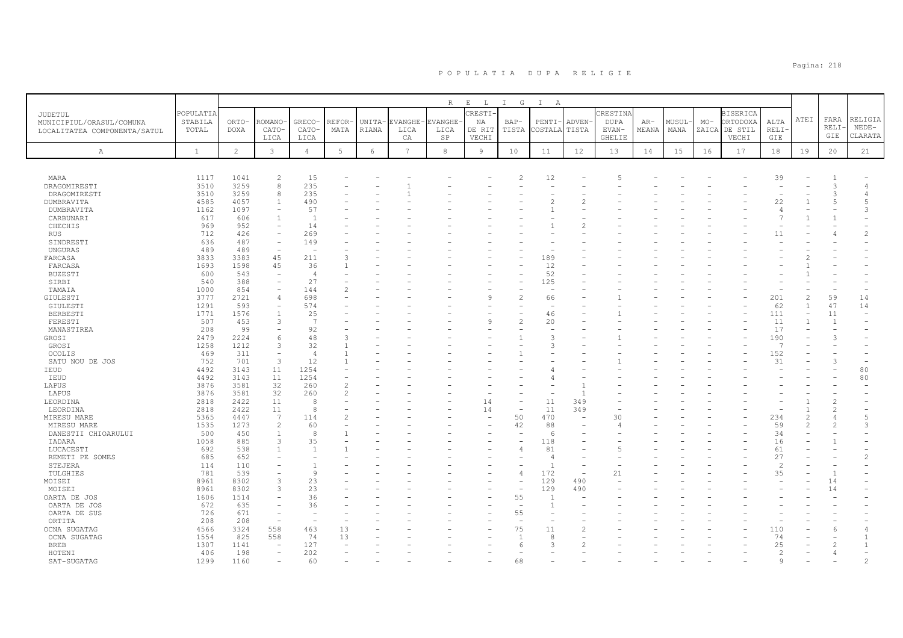| JUDETUL<br>MUNICIPIUL/ORASUL/COMUNA<br>LOCALITATEA COMPONENTA/SATUL | POPULATIA<br>STABILA<br>TOTAL | ORTO-<br><b>DOXA</b> | ROMANO<br>CATO-<br>LICA  | GRECO-<br>CATO-<br>LICA | REFOR<br>MATA | UNITA-<br>RIANA | EVANGHE<br>LICA<br>CA | $R_{\perp}$<br><b>EVANGHE</b><br>LICA<br>SP | $E$ $L$<br>CRESTI<br>ΝA<br>DE RIT<br>VECHI | $\mathbf{I}$<br>G<br>$BAP-$<br>TISTA | $\mathbb{I}$<br>A<br>PENTI-<br>COSTALA | ADVEN-<br>TISTA | CRESTINA<br><b>DUPA</b><br>EVAN-<br><b>GHELIE</b> | $AR-$<br>MEANA | MUSUL<br>MANA | $MO-$ | <b>BISERICA</b><br>ORTODOXA<br>ZAICA DE STIL<br>VECHI | ALTA<br><b>RELI</b><br>GIE | ATEI           | FARA<br><b>RELI</b><br>GIE | RELIGIA<br>$NEDE-$<br>CLARATA |
|---------------------------------------------------------------------|-------------------------------|----------------------|--------------------------|-------------------------|---------------|-----------------|-----------------------|---------------------------------------------|--------------------------------------------|--------------------------------------|----------------------------------------|-----------------|---------------------------------------------------|----------------|---------------|-------|-------------------------------------------------------|----------------------------|----------------|----------------------------|-------------------------------|
| A                                                                   | $\mathbf{1}$                  | $\overline{c}$       | 3                        | $\overline{4}$          | 5             | $\epsilon$      | $7\phantom{.0}$       | 8                                           | $\overline{9}$                             | 10                                   | 11                                     | 12              | 13                                                | 14             | 15            | 16    | 17                                                    | 18                         | 19             | 20                         | 21                            |
|                                                                     |                               |                      |                          |                         |               |                 |                       |                                             |                                            |                                      |                                        |                 |                                                   |                |               |       |                                                       |                            |                |                            |                               |
| MARA                                                                | 1117                          | 1041                 | $\overline{c}$           | 15                      |               |                 |                       |                                             |                                            | $\mathfrak{D}$                       | 12                                     |                 |                                                   |                |               |       |                                                       | 39                         |                |                            |                               |
| DRAGOMIRESTI                                                        | 3510                          | 3259                 | 8                        | 235                     |               |                 |                       |                                             |                                            |                                      |                                        |                 |                                                   |                |               |       |                                                       |                            |                | 3                          |                               |
| DRAGOMIRESTI                                                        | 3510                          | 3259                 | 8                        | 235                     |               |                 |                       |                                             |                                            |                                      |                                        |                 |                                                   |                |               |       |                                                       | $\overline{\phantom{a}}$   |                | 3                          | 4                             |
| DUMBRAVITA                                                          | 4585                          | 4057<br>1097         | 1                        | 490<br>57               |               |                 |                       |                                             |                                            |                                      | 2                                      |                 |                                                   |                |               |       |                                                       | 22<br>$\overline{4}$       |                | .5                         | $\overline{5}$<br>3           |
| DUMBRAVITA<br>CARBUNARI                                             | 1162<br>617                   | 606                  | $\overline{1}$           | $\overline{1}$          |               |                 |                       |                                             |                                            |                                      |                                        |                 |                                                   |                |               |       |                                                       | $\overline{7}$             |                | $\mathbf{1}$               |                               |
| CHECHIS                                                             | 969                           | 952                  |                          | 14                      |               |                 |                       |                                             |                                            |                                      |                                        |                 |                                                   |                |               |       |                                                       |                            |                |                            |                               |
| RUS                                                                 | 712                           | 426                  |                          | 269                     |               |                 |                       |                                             |                                            |                                      |                                        |                 |                                                   |                |               |       |                                                       | 11                         |                |                            | 2                             |
| SINDRESTI                                                           | 636                           | 487                  | $\overline{\phantom{a}}$ | 149                     |               |                 |                       |                                             |                                            |                                      |                                        |                 |                                                   |                |               |       |                                                       |                            |                |                            |                               |
| UNGURAS                                                             | 489                           | 489                  | $\sim$                   |                         |               |                 |                       |                                             |                                            |                                      |                                        |                 |                                                   |                |               |       |                                                       |                            |                |                            |                               |
| FARCASA                                                             | 3833                          | 3383                 | 45                       | 211                     |               |                 |                       |                                             |                                            |                                      | 189                                    |                 |                                                   |                |               |       |                                                       |                            |                |                            |                               |
| FARCASA                                                             | 1693                          | 1598                 | 45                       | 36                      |               |                 |                       |                                             |                                            |                                      | 12                                     |                 |                                                   |                |               |       |                                                       |                            |                |                            |                               |
| <b>BUZESTI</b>                                                      | 600                           | 543                  |                          | $\angle$                |               |                 |                       |                                             |                                            |                                      | 52                                     |                 |                                                   |                |               |       |                                                       |                            |                |                            |                               |
| SIRBI                                                               | 540                           | 388                  | $\overline{\phantom{0}}$ | 27                      |               |                 |                       |                                             |                                            |                                      | 125                                    |                 |                                                   |                |               |       |                                                       |                            |                |                            |                               |
| TAMAIA                                                              | 1000                          | 854                  | $\equiv$                 | 144                     |               |                 |                       |                                             |                                            |                                      | $\equiv$                               |                 |                                                   |                |               |       |                                                       |                            |                |                            |                               |
| GIULESTI                                                            | 3777                          | 2721                 | 4                        | 698                     |               |                 |                       |                                             |                                            | $\overline{\mathcal{L}}$             | 66                                     |                 |                                                   |                |               |       |                                                       | 201                        | $\overline{c}$ | 59                         | 14                            |
| GIULESTI                                                            | 1291                          | 593                  | $\overline{\phantom{0}}$ | 574                     |               |                 |                       |                                             |                                            |                                      | ۰                                      |                 |                                                   |                |               |       |                                                       | 62                         | $\mathbf{1}$   | 47                         | 14                            |
| BERBESTI                                                            | 1771                          | 1576                 |                          | 25                      |               |                 |                       |                                             |                                            |                                      | 46                                     |                 |                                                   |                |               |       |                                                       | 111                        |                | 11                         |                               |
| FERESTI                                                             | 507                           | 453                  | 3                        | 7                       |               |                 |                       |                                             |                                            | $\overline{c}$                       | 20                                     |                 |                                                   |                |               |       |                                                       | 11                         | 1              | $\overline{1}$             |                               |
| MANASTIREA                                                          | 208                           | 99                   |                          | 92                      |               |                 |                       |                                             |                                            |                                      |                                        |                 |                                                   |                |               |       |                                                       | 17                         |                |                            |                               |
| GROSI                                                               | 2479                          | 2224                 | 6                        | 48                      |               |                 |                       |                                             |                                            |                                      | 3                                      |                 |                                                   |                |               |       |                                                       | 190                        |                | P                          |                               |
| GROSI                                                               | 1258                          | 1212                 | 3                        | 32                      |               |                 |                       |                                             |                                            |                                      | 3                                      |                 |                                                   |                |               |       |                                                       | $\overline{7}$             |                |                            |                               |
| OCOLIS                                                              | 469                           | 311                  | $\overline{\phantom{m}}$ | $\overline{4}$          |               |                 |                       |                                             |                                            |                                      |                                        |                 |                                                   |                |               |       |                                                       | 152                        |                |                            |                               |
| SATU NOU DE JOS                                                     | 752                           | 701                  | 3                        | 12                      |               |                 |                       |                                             |                                            |                                      |                                        |                 |                                                   |                |               |       |                                                       | 31                         |                | 3                          |                               |
| IEUD                                                                | 4492                          | 3143                 | 11                       | 1254                    |               |                 |                       |                                             |                                            |                                      |                                        |                 |                                                   |                |               |       |                                                       |                            |                |                            | 80                            |
| IEUD                                                                | 4492                          | 3143                 | 11                       | 1254                    |               |                 |                       |                                             |                                            |                                      |                                        |                 |                                                   |                |               |       |                                                       |                            |                |                            | 80                            |
| LAPUS                                                               | 3876                          | 3581                 | 32                       | 260                     | $\mathcal{L}$ |                 |                       |                                             |                                            |                                      |                                        |                 |                                                   |                |               |       |                                                       |                            |                |                            |                               |
| LAPUS                                                               | 3876                          | 3581                 | 32                       | 260<br>8                |               |                 |                       |                                             |                                            | ۰                                    |                                        | $\overline{1}$  |                                                   |                |               |       |                                                       |                            |                |                            |                               |
| LEORDINA                                                            | 2818                          | 2422                 | 11<br>11                 | 8                       |               |                 |                       |                                             | 14                                         | $\overline{\phantom{a}}$             | 11<br>11                               | 349             |                                                   |                |               |       |                                                       |                            |                |                            |                               |
| LEORDINA<br>MIRESU MARE                                             | 2818<br>5365                  | 2422<br>4447         | 7                        | 114                     |               |                 |                       |                                             | 14                                         | 50                                   | 470                                    | 349             | 30                                                |                |               |       |                                                       | 234                        |                |                            | 5                             |
| MIRESU MARE                                                         | 1535                          | 1273                 | $\overline{c}$           | 60                      |               |                 |                       |                                             |                                            | 42                                   | 88                                     |                 |                                                   |                |               |       |                                                       | 59                         | $\mathfrak{D}$ | $\overline{c}$             | 3                             |
| DANESTII CHIOARULUI                                                 | 500                           | 450                  | $\overline{1}$           | 8                       |               |                 |                       |                                             |                                            |                                      | 6                                      |                 |                                                   |                |               |       |                                                       | 34                         |                |                            |                               |
| IADARA                                                              | 1058                          | 885                  | 3                        | 35                      |               |                 |                       |                                             |                                            |                                      | 118                                    |                 |                                                   |                |               |       |                                                       | 16                         |                |                            |                               |
| LUCACESTI                                                           | 692                           | 538                  |                          | $\overline{1}$          |               |                 |                       |                                             |                                            | 4                                    | 81                                     |                 |                                                   |                |               |       |                                                       | 61                         |                |                            |                               |
| REMETI PE SOMES                                                     | 685                           | 652                  | $\overline{\phantom{0}}$ |                         |               |                 |                       |                                             |                                            |                                      | $\overline{4}$                         |                 |                                                   |                |               |       |                                                       | 27                         |                |                            | $\mathfrak{D}$                |
| STEJERA                                                             | 114                           | 110                  |                          |                         |               |                 |                       |                                             |                                            |                                      |                                        |                 |                                                   |                |               |       |                                                       | $\overline{c}$             |                |                            |                               |
| TULGHIES                                                            | 781                           | 539                  |                          | Q                       |               |                 |                       |                                             |                                            | 4                                    | 172                                    | ٠               | 21                                                |                |               |       |                                                       | 35                         |                |                            |                               |
| MOISEI                                                              | 8961                          | 8302                 | 3                        | 23                      |               |                 |                       |                                             |                                            | ۰                                    | 129                                    | 490             |                                                   |                |               |       |                                                       |                            |                | 14                         |                               |
| MOISEI                                                              | 8961                          | 8302                 | 3                        | 23                      |               |                 |                       |                                             |                                            | $\overline{\phantom{a}}$             | 129                                    | 490             |                                                   |                |               |       |                                                       |                            |                | 14                         |                               |
| OARTA DE JOS                                                        | 1606                          | 1514                 |                          | 36                      |               |                 |                       |                                             |                                            | 55                                   |                                        |                 |                                                   |                |               |       |                                                       |                            |                |                            |                               |
| OARTA DE JOS                                                        | 672                           | 635                  | $\equiv$                 | 36                      |               |                 |                       |                                             |                                            | $\overline{\phantom{a}}$             |                                        |                 |                                                   |                |               |       |                                                       |                            |                |                            |                               |
| OARTA DE SUS                                                        | 726                           | 671                  | $\overline{\phantom{a}}$ |                         |               |                 |                       |                                             |                                            | 55                                   |                                        |                 |                                                   |                |               |       |                                                       |                            |                |                            |                               |
| ORTITA                                                              | 208                           | 208                  | $\overline{\phantom{a}}$ |                         |               |                 |                       |                                             |                                            |                                      |                                        |                 |                                                   |                |               |       |                                                       |                            |                |                            |                               |
| OCNA SUGATAG                                                        | 4566                          | 3324                 | 558                      | 463                     | 13            |                 |                       |                                             |                                            | 75                                   | 11                                     |                 |                                                   |                |               |       |                                                       | 110                        |                |                            | 4                             |
| OCNA SUGATAG                                                        | 1554                          | 825                  | 558                      | 74                      | 13            |                 |                       |                                             |                                            |                                      | 8                                      |                 |                                                   |                |               |       |                                                       | 74                         |                |                            |                               |
| <b>BREB</b>                                                         | 1307                          | 1141                 |                          | 127                     |               |                 |                       |                                             |                                            |                                      | 3                                      |                 |                                                   |                |               |       |                                                       | 25                         |                |                            | $\mathbf{1}$                  |
| HOTENI                                                              | 406                           | 198                  |                          | 202                     |               |                 |                       |                                             |                                            |                                      |                                        |                 |                                                   |                |               |       |                                                       | 2                          |                |                            |                               |
| SAT-SUGATAG                                                         | 1299                          | 1160                 |                          | 60                      |               |                 |                       |                                             |                                            | 68                                   |                                        |                 |                                                   |                |               |       |                                                       | $\mathbf{Q}$               |                |                            | $\mathfrak{D}$                |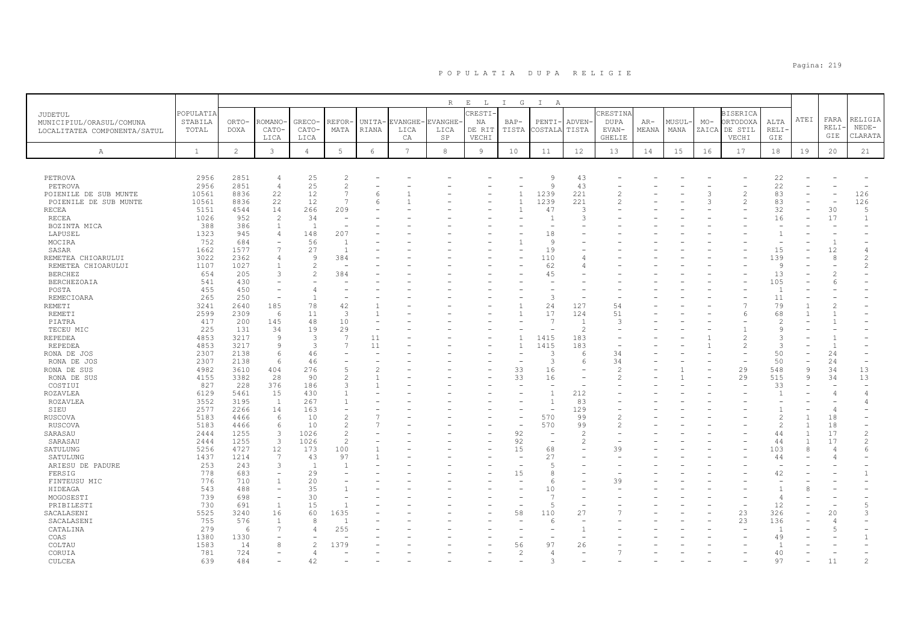|                                                |               |                |                          |                          |                     |                 |                 | R        | $E$ L          | I G                            | $\mathbb{I}$<br>A        |                          |                |       |       |       |                 |                          |              |                          |                |
|------------------------------------------------|---------------|----------------|--------------------------|--------------------------|---------------------|-----------------|-----------------|----------|----------------|--------------------------------|--------------------------|--------------------------|----------------|-------|-------|-------|-----------------|--------------------------|--------------|--------------------------|----------------|
| JUDETUL                                        | POPULATIA     |                |                          |                          |                     |                 |                 |          | CRESTI         |                                |                          |                          | CRESTINA       |       |       |       | <b>BISERICA</b> |                          |              |                          |                |
| MUNICIPIUL/ORASUL/COMUNA                       | STABILA       | ORTO-          | ROMANO                   | GRECO-                   | REFOR               | UNITA-          | <b>VANGHE</b>   | EVANGHE- | ΝA             | $BAP-$                         | PENTI-                   | ADVEN-                   | <b>DUPA</b>    | $AR-$ | MUSUL | $MO-$ | ORTODOXA        | ALTA                     | ATEI         | FARA                     | RELIGIA        |
| LOCALITATEA COMPONENTA/SATUL                   | TOTAL         | <b>DOXA</b>    | CATO-                    | CATO-                    | MATA                | RIANA           | LICA            | LICA     | DE RIT         | TISTA                          | COSTALA                  | TISTA                    | EVAN-          | MEANA | MANA  |       | ZAICA DE STIL   | <b>RELI</b>              |              | RELI                     | $NEDE-$        |
|                                                |               |                | LICA                     | LICA                     |                     |                 | CA              | SP       | VECHI          |                                |                          |                          | <b>GHELIE</b>  |       |       |       | VECHI           | GIE                      |              | GIE                      | CLARATA        |
| Α                                              | $\mathbf{1}$  | $\overline{c}$ | $\mathbf{3}$             | $\overline{4}$           | $5\phantom{.0}$     | $6\overline{6}$ | $7\phantom{.0}$ | 8        | $\overline{9}$ | 10                             | 11                       | 12                       | 13             | 14    | 15    | 16    | 17              | 18                       | 19           | 20                       | 21             |
|                                                |               |                |                          |                          |                     |                 |                 |          |                |                                |                          |                          |                |       |       |       |                 |                          |              |                          |                |
|                                                |               |                |                          |                          |                     |                 |                 |          |                |                                |                          |                          |                |       |       |       |                 |                          |              |                          |                |
| PETROVA                                        | 2956          | 2851           | $\overline{4}$           | 25<br>25                 | $\overline{2}$      |                 |                 |          |                |                                | 9<br>9                   | 43                       |                |       |       |       |                 | 22                       |              |                          |                |
| PETROVA                                        | 2956<br>10561 | 2851<br>8836   | $\overline{4}$<br>22     | 12                       | $\mathcal{L}$<br>7  | 6               |                 |          |                | $\mathbf{1}$                   | 1239                     | 43<br>221                | 2              |       |       | 3     | $\overline{c}$  | 22<br>83                 |              |                          | 126            |
| POIENILE DE SUB MUNTE<br>POIENILE DE SUB MUNTE | 10561         | 8836           | 22                       | 12                       | $\overline{7}$      | 6               |                 |          |                | $\mathbf{1}$                   | 1239                     | 221                      | 2              |       |       | 3     | $\overline{2}$  | 83                       |              |                          | 126            |
| <b>RECEA</b>                                   | 5151          | 4544           | 14                       | 266                      | 209                 |                 |                 |          |                | $\overline{1}$                 | 47                       | 3                        |                |       |       |       |                 | 32                       |              | 30                       | 5              |
| <b>RECEA</b>                                   | 1026          | 952            | $\mathfrak{D}$           | 34                       |                     |                 |                 |          |                |                                |                          | 3                        |                |       |       |       |                 | 16                       |              | 17                       | $\mathbf{1}$   |
| BOZINTA MICA                                   | 388           | 386            | $\mathbf{1}$             | $\overline{1}$           |                     |                 |                 |          |                |                                | $\overline{\phantom{a}}$ |                          |                |       |       |       |                 |                          |              |                          |                |
| LAPUSEL                                        | 1323          | 945            | $\overline{4}$           | 148                      | 207                 |                 |                 |          |                |                                | 18                       |                          |                |       |       |       |                 | $\mathbf{1}$             |              |                          |                |
| MOCIRA                                         | 752           | 684            |                          | 56                       |                     |                 |                 |          |                |                                | Q                        |                          |                |       |       |       |                 | $\overline{\phantom{a}}$ |              | $\overline{1}$           |                |
| SASAR                                          | 1662          | 1577           | $\overline{7}$           | 27                       | $\overline{1}$      |                 |                 |          |                |                                | 19                       |                          |                |       |       |       |                 | 15                       |              | 12                       | $\overline{4}$ |
| REMETEA CHIOARULUI                             | 3022          | 2362           | $\overline{4}$           | 9                        | 384                 |                 |                 |          |                |                                | 110                      | 4                        |                |       |       |       |                 | 139                      |              | 8                        | $\overline{c}$ |
| REMETEA CHIOARULUI                             | 1107          | 1027           | 1                        | $\overline{2}$           |                     |                 |                 |          |                |                                | 62                       | 4                        |                |       |       |       |                 | 9                        |              |                          | $\sqrt{2}$     |
| <b>BERCHEZ</b>                                 | 654           | 205            | $\mathcal{L}$            | $\mathcal{D}$            | 384                 |                 |                 |          |                |                                | 45                       |                          |                |       |       |       |                 | 13                       |              | $\mathcal{P}$            |                |
| <b>BERCHEZOAIA</b>                             | 541           | 430            |                          |                          |                     |                 |                 |          |                |                                |                          |                          |                |       |       |       |                 | 105                      |              | -6                       |                |
| POSTA                                          | 455           | 450            |                          | $\overline{4}$           |                     |                 |                 |          |                |                                |                          |                          |                |       |       |       |                 | $\mathbf{1}$             |              |                          |                |
| REMECIOARA                                     | 265           | 250            |                          | $\overline{1}$           |                     |                 |                 |          |                |                                | 3                        |                          |                |       |       |       |                 | 11                       |              |                          |                |
| <b>REMETI</b>                                  | 3241<br>2599  | 2640           | 185                      | 78<br>11                 | 42<br>$\mathcal{R}$ |                 |                 |          |                | $\mathbf{1}$<br>$\mathbf{1}$   | 24<br>17                 | 127<br>124               | 54<br>51       |       |       |       |                 | 79                       |              | $\overline{c}$           |                |
| <b>REMETI</b><br>PIATRA                        | 417           | 2309<br>200    | 6<br>145                 | 48                       | 10                  |                 |                 |          |                |                                | $\overline{7}$           | $\overline{1}$           | $\mathcal{R}$  |       |       |       | 6               | 68<br>$\mathfrak{D}$     |              |                          |                |
| TECEU MIC                                      | 225           | 131            | 34                       | 19                       | 29                  |                 |                 |          |                |                                |                          | $\overline{c}$           |                |       |       |       |                 | $\mathsf{Q}$             |              |                          |                |
| <b>REPEDEA</b>                                 | 4853          | 3217           | 9                        | 3                        | $\overline{7}$      | 11              |                 |          |                | $\mathbf{1}$                   | 1415                     | 183                      |                |       |       |       | $\overline{c}$  | 3                        |              |                          |                |
| REPEDEA                                        | 4853          | 3217           | 9                        | 3                        | $\overline{7}$      | 11              |                 |          |                | $\overline{1}$                 | 1415                     | 183                      |                |       |       |       | $\mathfrak{D}$  | $\mathcal{L}$            |              | $\overline{1}$           |                |
| RONA DE JOS                                    | 2307          | 2138           | 6                        | 46                       |                     |                 |                 |          |                | $\equiv$                       | 3                        | 6                        | 34             |       |       |       |                 | 50                       |              | 24                       |                |
| RONA DE JOS                                    | 2307          | 2138           | 6                        | 46                       |                     |                 |                 |          |                |                                | 3                        | 6                        | 34             |       |       |       |                 | 50                       | -            | 24                       |                |
| RONA DE SUS                                    | 4982          | 3610           | 404                      | 276                      | $\sqrt{2}$          | $\overline{c}$  |                 |          |                | 33                             | 16                       | $\sim$                   | 2              |       |       |       | 29              | 548                      | 9            | 34                       | 13             |
| RONA DE SUS                                    | 4155          | 3382           | 28                       | 90                       | $\overline{c}$      |                 |                 |          |                | 33                             | 16                       | ۰                        | 2              |       |       |       | 29              | 515                      | 9            | 34                       | 13             |
| COSTIUI                                        | 827           | 228            | 376                      | 186                      | $\mathcal{L}$       |                 |                 |          |                | $\equiv$                       | ÷                        | $\sim$                   |                |       |       |       | $\rightarrow$   | 33                       |              |                          |                |
| <b>ROZAVLEA</b>                                | 6129          | 5461           | 15                       | 430                      |                     |                 |                 |          |                |                                | $\mathbf{1}$             | 212                      |                |       |       |       |                 | $\overline{1}$           |              |                          | $\overline{4}$ |
| ROZAVLEA                                       | 3552          | 3195           | <sup>1</sup>             | 267                      |                     |                 |                 |          |                |                                | $\overline{1}$           | 83                       |                |       |       |       |                 |                          |              |                          | $\overline{4}$ |
| SIEU                                           | 2577          | 2266           | 14                       | 163                      |                     |                 |                 |          |                | ۰                              | ۰                        | 129                      |                |       |       |       |                 | $\overline{1}$           |              |                          |                |
| <b>RUSCOVA</b>                                 | 5183          | 4466           | 6                        | 1 O                      | $\mathcal{L}$       |                 |                 |          |                | $\overline{\phantom{m}}$       | 570                      | 99                       |                |       |       |       |                 | $\mathfrak{D}$           |              | 18                       |                |
| RUSCOVA                                        | 5183          | 4466           | 6                        | 10                       | 2                   | $\overline{7}$  |                 |          |                | ۰                              | 570                      | 99                       | $\mathfrak{D}$ |       |       |       |                 | $\overline{c}$           | $\mathbf{1}$ | 18                       |                |
| SARASAU                                        | 2444          | 1255           | 3                        | 1026                     | $\overline{2}$      |                 |                 |          |                | 92                             | ٠                        | $\overline{c}$           |                |       |       |       |                 | 44                       |              | 17                       | $\overline{c}$ |
| SARASAU                                        | 2444          | 1255           | $\overline{3}$           | 1026                     | $\overline{2}$      |                 |                 |          |                | 92                             | $\sim$                   | 2                        |                |       |       |       |                 | 44                       |              | 17                       | $\overline{c}$ |
| SATULUNG                                       | 5256<br>1437  | 4727<br>1214   | 12<br>7                  | 173                      | 100<br>97           |                 |                 |          |                | 15<br>$\overline{\phantom{a}}$ | 68<br>27                 | ٠                        | 39             |       |       |       |                 | 103                      | 8            | $\overline{\phantom{a}}$ | 6              |
| SATULUNG<br>ARIESU DE PADURE                   | 253           | 243            | 3                        | 43<br>$\overline{1}$     | $\overline{1}$      |                 |                 |          |                | ۰                              | 5                        |                          |                |       |       |       |                 | 44                       |              |                          |                |
| FERSIG                                         | 778           | 683            | $\overline{\phantom{a}}$ | 29                       |                     |                 |                 |          |                | 15                             | 8                        |                          |                |       |       |       |                 | 42                       |              |                          | $\mathbf{1}$   |
| FINTEUSU MIC                                   | 776           | 710            | $\mathbf{1}$             | 20                       |                     |                 |                 |          |                |                                | 6                        |                          | 39             |       |       |       |                 |                          |              |                          |                |
| HIDEAGA                                        | 543           | 488            | $\overline{\phantom{0}}$ | 35                       |                     |                 |                 |          |                |                                | 10                       |                          |                |       |       |       |                 | $\overline{1}$           |              |                          |                |
| MOGOSESTI                                      | 739           | 698            | $\equiv$                 | 30                       |                     |                 |                 |          |                |                                | $\overline{7}$           |                          |                |       |       |       |                 | $\Delta$                 |              |                          |                |
| PRIBILESTI                                     | 730           | 691            | $\overline{1}$           | 15                       |                     |                 |                 |          |                | ۰                              | 5                        | ۰                        |                |       |       |       | $\rightarrow$   | 12                       |              |                          | $\overline{5}$ |
| SACALASENI                                     | 5525          | 3240           | 16                       | 60                       | 1635                |                 |                 |          |                | 58                             | 110                      | 27                       |                |       |       |       | 23              | 326                      |              | 20                       | 3              |
| SACALASENI                                     | 755           | 576            | 1                        | 8                        |                     |                 |                 |          |                |                                | 6                        | $\overline{\phantom{a}}$ |                |       |       |       | 23              | 136                      |              | 4                        |                |
| CATALINA                                       | 279           | - 6            | $\overline{7}$           | $\overline{4}$           | 255                 |                 |                 |          |                |                                |                          | -1                       |                |       |       |       |                 | $\overline{1}$           |              | $5\overline{2}$          |                |
| COAS                                           | 1380          | 1330           | ۰                        | $\overline{\phantom{0}}$ |                     |                 |                 |          |                |                                | ۰                        | ۰                        |                |       |       |       |                 | 49                       |              |                          | $\overline{1}$ |
| COLTAU                                         | 1583          | 14             | 8                        | $\overline{c}$           | 1379                |                 |                 |          |                | 56                             | 97                       | 26                       |                |       |       |       |                 | $\overline{1}$           |              |                          |                |
| CORUIA                                         | 781           | 724            |                          | $\overline{4}$           |                     |                 |                 |          |                | $\overline{c}$                 | $\overline{4}$           |                          |                |       |       |       |                 | 40                       |              |                          |                |
| CULCEA                                         | 639           | 484            |                          | 42                       |                     |                 |                 |          |                |                                | 3                        |                          |                |       |       |       |                 | 97                       |              | 11                       | $\mathfrak{D}$ |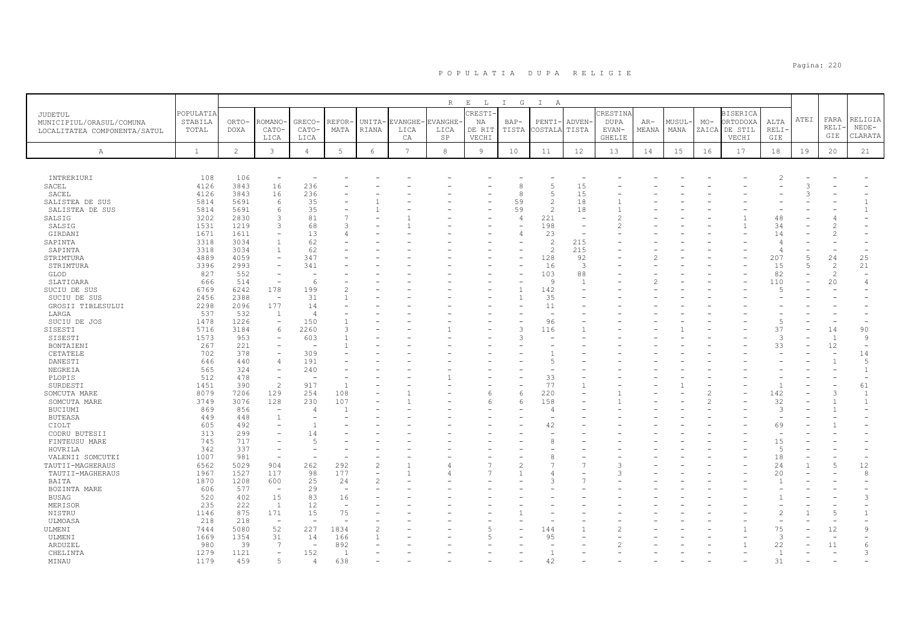|                              |              |                |                                     |                          |                          |                |                 | R              | $E$ $L$        | I G            | $\mathbb{I}$<br>A        |                          |               |       |        |       |                 |                          |      |                |                          |
|------------------------------|--------------|----------------|-------------------------------------|--------------------------|--------------------------|----------------|-----------------|----------------|----------------|----------------|--------------------------|--------------------------|---------------|-------|--------|-------|-----------------|--------------------------|------|----------------|--------------------------|
| JUDETUL                      | POPULATIA    |                |                                     |                          |                          |                |                 |                | CRESTI.        |                |                          |                          | CRESTINA      |       |        |       | <b>BISERICA</b> |                          |      |                | RELIGIA                  |
| MUNICIPIUL/ORASUL/COMUNA     | STABILA      | ORTO-          | ROMANO·                             | GRECO-                   | REFOR                    | UNITA-         | EVANGHE-        | <b>EVANGHE</b> | NA             | $BAP-$         | PENTI-                   | ADVEN-                   | <b>DUPA</b>   | $AR-$ | MUSUL- | $MO-$ | ORTODOXA        | ALTA                     | ATEI | FARA<br>RELI   | $NEDE-$                  |
| LOCALITATEA COMPONENTA/SATUL | TOTAL        | <b>DOXA</b>    | CATO-                               | CATO-                    | MATA                     | RIANA          | LICA            | LICA           | DE RIT         | TISTA          | COSTALA                  | TISTA                    | EVAN-         | MEANA | MANA   |       | ZAICA DE STIL   | RELI                     |      | GIE            | CLARATA                  |
|                              |              |                | LICA                                | LICA                     |                          |                | CA              | SP             | VECHI          |                |                          |                          | <b>GHELIE</b> |       |        |       | VECHI           | <b>GIE</b>               |      |                |                          |
| $\mathbb{A}$                 | $\mathbf{1}$ | $\overline{2}$ | $\mathbf{3}$                        | $\overline{4}$           | 5                        | 6              | $7\phantom{.0}$ | 8              | $\overline{9}$ | 10             | 11                       | 12                       | 13            | 14    | 15     | 16    | 17              | 18                       | 19   | 20             | 21                       |
|                              |              |                |                                     |                          |                          |                |                 |                |                |                |                          |                          |               |       |        |       |                 |                          |      |                |                          |
| INTRERIURI                   | 108          | 106            | $\overline{\phantom{m}}$            |                          |                          |                |                 |                |                |                |                          |                          |               |       |        |       |                 |                          |      |                |                          |
| SACEL                        | 4126         | 3843           | 16                                  | 236                      |                          |                |                 |                |                | 8              | 5                        | 15                       |               |       |        |       |                 |                          |      |                |                          |
| SACEL                        | 4126         | 3843           | 16                                  | 236                      |                          |                |                 |                |                | 8              | $\overline{5}$           | 15                       |               |       |        |       |                 |                          |      |                |                          |
| SALISTEA DE SUS              | 5814         | 5691           | 6                                   | 35                       |                          |                |                 |                |                | 59             | $\overline{c}$           | 18                       |               |       |        |       |                 |                          |      |                | $\mathbf{1}$             |
| SALISTEA DE SUS              | 5814         | 5691           | 6                                   | 35                       |                          |                |                 |                |                | 59             | $\overline{c}$           | 18                       |               |       |        |       |                 |                          |      |                | $\mathbf{1}$             |
| SALSIG                       | 3202         | 2830           | 3                                   | 81                       |                          |                |                 |                |                | $\overline{4}$ | 221                      | $\overline{\phantom{a}}$ |               |       |        |       |                 | 48                       |      |                |                          |
| SALSIG                       | 1531         | 1219           | 3                                   | 68                       | 3                        |                |                 |                |                |                | 198                      | $\sim$                   |               |       |        |       |                 | 34                       |      |                |                          |
| GIRDANI                      | 1671         | 1611           | $\overline{\phantom{a}}$            | 13                       | 4                        |                |                 |                |                | $\overline{4}$ | 23                       | $\overline{\phantom{0}}$ |               |       |        |       |                 | 14                       |      |                |                          |
| SAPINTA                      | 3318         | 3034           | $\overline{1}$                      | 62                       |                          |                |                 |                |                |                | $\overline{c}$           | 215                      |               |       |        |       |                 |                          |      |                |                          |
| SAPINTA                      | 3318<br>4889 | 3034<br>4059   | $\overline{1}$<br>$\qquad \qquad -$ | 62<br>347                |                          |                |                 |                |                |                | $\mathcal{L}$<br>128     | 215<br>92                |               |       |        |       |                 | 4<br>207                 | 5    | 24             | 25                       |
| STRIMTURA<br>STRIMTURA       | 3396         | 2993           | $\overline{\phantom{a}}$            | 341                      |                          |                |                 |                |                |                | 16                       | $\mathbf{3}$             |               |       |        |       |                 | 15                       | 5    | 2              | 21                       |
| GLOD                         | 827          | 552            | $\equiv$                            |                          |                          |                |                 |                |                |                | 103                      | 88                       |               |       |        |       |                 | 82                       |      | $\mathfrak{D}$ |                          |
| SLATIOARA                    | 666          | 514            | $\overline{\phantom{a}}$            | 6                        |                          |                |                 |                |                |                | $\overline{9}$           | $\overline{1}$           |               |       |        |       |                 | 110                      | L.   | 20             | $\overline{4}$           |
| SUCIU DE SUS                 | 6769         | 6242           | 178                                 | 199                      | 2                        |                |                 |                |                | $\overline{1}$ | 142                      |                          |               |       |        |       |                 | .5                       |      |                |                          |
| SUCIU DE SUS                 | 2456         | 2388           | $\overline{\phantom{a}}$            | 31                       |                          |                |                 |                |                | $\overline{1}$ | 35                       |                          |               |       |        |       |                 |                          |      |                |                          |
| GROSII TIBLESULUI            | 2298         | 2096           | 177                                 | 14                       |                          |                |                 |                |                |                | 11                       |                          |               |       |        |       |                 |                          |      |                |                          |
| LARGA                        | 537          | 532            | $\overline{1}$                      | $\overline{4}$           |                          |                |                 |                |                |                | $\overline{\phantom{a}}$ |                          |               |       |        |       |                 |                          |      |                |                          |
| SUCIU DE JOS                 | 1478         | 1226           | $\qquad \qquad -$                   | 150                      |                          |                |                 |                |                |                | 96                       |                          |               |       |        |       |                 | $\overline{5}$           |      |                |                          |
| SISESTI                      | 5716         | 3184           | 6                                   | 2260                     | $\mathcal{L}$            |                |                 |                |                | 3              | 116                      |                          |               |       |        |       |                 | 37                       |      | 14             | 90                       |
| SISESTI                      | 1573         | 953            |                                     | 603                      |                          |                |                 |                |                | 3              |                          |                          |               |       |        |       |                 | 3                        |      | $\overline{1}$ | 9                        |
| BONTAIENI                    | 267          | 221            | $\qquad \qquad -$                   | $\overline{\phantom{a}}$ |                          |                |                 |                |                |                | $\overline{\phantom{0}}$ |                          |               |       |        |       |                 | 33                       |      | 12             | $\overline{\phantom{a}}$ |
| CETATELE                     | 702          | 378            | $\overline{\phantom{a}}$            | 309                      |                          |                |                 |                |                |                |                          |                          |               |       |        |       |                 |                          |      |                | 14                       |
| DANESTI                      | 646          | 440            | $\overline{4}$                      | 191                      |                          |                |                 |                |                |                | $\overline{5}$           |                          |               |       |        |       |                 |                          |      |                | 5                        |
| NEGREIA                      | 565          | 324            | $\overline{\phantom{a}}$            | 240                      |                          |                |                 |                |                |                |                          |                          |               |       |        |       |                 |                          |      |                | $\mathbf{1}$             |
| PLOPIS                       | 512          | 478            | $\bar{\phantom{a}}$                 |                          |                          |                |                 |                |                |                | 33                       |                          |               |       |        |       |                 |                          |      |                | $\overline{\phantom{m}}$ |
| SURDESTI                     | 1451         | 390            | $\overline{c}$                      | 917                      |                          |                |                 |                |                |                | 77                       |                          |               |       |        |       |                 | $\overline{1}$           |      |                | 61                       |
| SOMCUTA MARE                 | 8079         | 7206           | 129                                 | 254                      | 108                      |                |                 |                | 6              | 6              | 220                      |                          |               |       |        |       |                 | 142                      |      | $\mathcal{R}$  | 1                        |
| SOMCUTA MARE                 | 3749         | 3076           | 128                                 | 230                      | 107                      |                |                 |                | 6              | 6              | 158                      |                          |               |       |        |       |                 | 32                       |      |                | $\mathbf{1}$             |
| BUCIUMI                      | 869          | 856            | $\sim$<br>$\overline{1}$            | $\overline{4}$           |                          |                |                 |                |                |                | $\overline{4}$           |                          |               |       |        |       |                 | 3                        |      |                |                          |
| <b>BUTEASA</b>               | 449<br>605   | 448<br>492     |                                     |                          |                          |                |                 |                |                |                |                          |                          |               |       |        |       |                 | $\overline{\phantom{a}}$ |      |                |                          |
| CIOLT<br>CODRU BUTESII       | 313          | 299            | $\overline{\phantom{0}}$            | 14                       |                          |                |                 |                |                |                | 42                       |                          |               |       |        |       |                 | 69                       |      |                |                          |
| FINTEUSU MARE                | 745          | 717            | $\overline{\phantom{a}}$            | $\overline{5}$           |                          |                |                 |                |                |                | 8                        |                          |               |       |        |       |                 | 15                       |      |                |                          |
| HOVRILA                      | 342          | 337            | $\equiv$                            |                          |                          |                |                 |                |                |                |                          |                          |               |       |        |       |                 | 5                        |      |                |                          |
| VALENII SOMCUTEI             | 1007         | 981            | $\sim$                              |                          |                          |                |                 |                |                |                | 8                        |                          |               |       |        |       |                 | 18                       |      |                |                          |
| TAUTII-MAGHERAUS             | 6562         | 5029           | 904                                 | 262                      | 292                      | $\overline{c}$ |                 |                |                | $\mathfrak{D}$ | $\overline{7}$           |                          | 3             |       |        |       |                 | 24                       |      | $\overline{5}$ | 12                       |
| TAUTII-MAGHERAUS             | 1967         | 1527           | 117                                 | 98                       | 177                      |                |                 |                |                |                |                          |                          |               |       |        |       |                 | 20                       |      |                | 8                        |
| BAITA                        | 1870         | 1208           | 600                                 | 25                       | 24                       | $\mathcal{D}$  |                 |                |                |                | $\mathcal{R}$            |                          |               |       |        |       |                 |                          |      |                |                          |
| BOZINTA MARE                 | 606          | 577            | $\sim$                              | 29                       | $\overline{\phantom{a}}$ |                |                 |                |                |                |                          |                          |               |       |        |       |                 |                          |      |                |                          |
| BUSAG                        | 520          | 402            | 15                                  | 83                       | 16                       |                |                 |                |                |                |                          |                          |               |       |        |       |                 |                          |      |                | 3                        |
| MERISOR                      | 235          | 222            | $\overline{1}$                      | 12                       |                          |                |                 |                |                |                |                          |                          |               |       |        |       |                 |                          |      |                |                          |
| NISTRU                       | 1146         | 875            | 171                                 | 15                       | 75                       |                |                 |                |                |                |                          |                          |               |       |        |       |                 | $\mathfrak{D}$           |      | $\overline{5}$ |                          |
| ULMOASA                      | 218          | 218            | $\overline{\phantom{a}}$            |                          |                          |                |                 |                |                |                |                          |                          |               |       |        |       |                 |                          |      |                |                          |
| ULMENI                       | 7444         | 5080           | 52                                  | 227                      | 1834                     |                |                 |                |                |                | 144                      |                          |               |       |        |       |                 | 75                       |      | 12             | 9                        |
| ULMENI                       | 1669         | 1354           | 31                                  | 14                       | 166                      |                |                 |                |                |                | 95                       |                          |               |       |        |       |                 | 3                        |      |                |                          |
| ARDUZEL                      | 980          | 39             | $7\phantom{.0}$                     | $\overline{\phantom{a}}$ | 892                      |                |                 |                |                |                |                          |                          |               |       |        |       |                 | 22                       |      | 11             | 6                        |
| CHELINTA                     | 1279         | 1121           | $\overline{\phantom{a}}$            | 152                      | $\overline{1}$           |                |                 |                |                |                | $\mathbf{1}$             |                          |               |       |        |       |                 | $\overline{1}$           |      |                | 3                        |
| MINAU                        | 1179         | 459            | 5                                   | $\overline{4}$           | 638                      |                |                 |                |                |                | 42                       |                          |               |       |        |       |                 | 31                       |      |                |                          |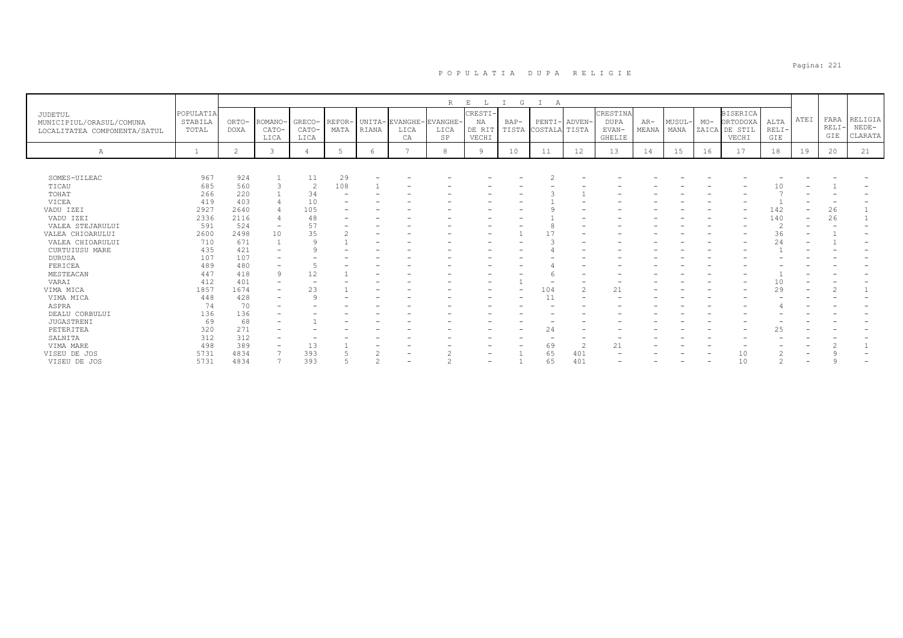|                              |              |                |                          |                |                |        |                | R               | $\mathbf{E}$<br>L | G<br>$\top$ | A                   |                |               |       |       |       |                 |         |      |                |         |
|------------------------------|--------------|----------------|--------------------------|----------------|----------------|--------|----------------|-----------------|-------------------|-------------|---------------------|----------------|---------------|-------|-------|-------|-----------------|---------|------|----------------|---------|
| JUDETUL                      | POPULATIA    |                |                          |                |                |        |                |                 | CRESTI-           |             |                     |                | CRESTINA      |       |       |       | <b>BISERICA</b> |         |      |                |         |
| MUNICIPIUL/ORASUL/COMUNA     | STABILA      | ORTO-          | ROMANO·                  | GRECO-         | REFOR-         |        | UNITA-EVANGHE- | <b>EVANGHE-</b> | NA                | $BAP-$      | PENTI-              | ADVEN-         | <b>DUPA</b>   | $AR-$ | MUSUL | $MO-$ | ORTODOXA        | ALTA    | ATEI | FARA           | RELIGIA |
| LOCALITATEA COMPONENTA/SATUL | TOTAL        | <b>DOXA</b>    | CATO-                    | CATO-          | MATA           | RIANA  | LICA           | LICA            | DE RIT            |             | TISTA COSTALA TISTA |                | EVAN-         | MEANA | MANA  |       | ZAICA DE STIL   | $RELI-$ |      | <b>RELI</b>    | $NEDE-$ |
|                              |              |                | LICA                     | LICA           |                |        | CA             | SP              | VECHI             |             |                     |                | <b>GHELIE</b> |       |       |       | VECHI           | GIE     |      | GIE            | CLARATA |
| Α                            | $\mathbf{1}$ | $\overline{c}$ | $\mathcal{R}$            | $\overline{4}$ | $\overline{5}$ | 6      | 7              | 8               | <b>Q</b>          | 10          | 11                  | 12             | 13            | 14    | 15    | 16    | 17              | 18      | 19   | 20             | 21      |
|                              |              |                |                          |                |                |        |                |                 |                   |             |                     |                |               |       |       |       |                 |         |      |                |         |
|                              |              |                |                          |                |                |        |                |                 |                   |             |                     |                |               |       |       |       |                 |         |      |                |         |
| SOMES-UILEAC                 | 967          | 924            |                          | 11             | 29             |        |                |                 |                   |             |                     |                |               |       |       |       |                 |         |      |                |         |
| TICAU                        | 685          | 560            |                          | 2              | 108            |        |                |                 |                   |             |                     |                |               |       |       |       |                 | 10      |      |                |         |
| TOHAT                        | 266          | 220            |                          | 34             |                |        |                |                 |                   |             |                     |                |               |       |       |       |                 |         |      |                |         |
| VICEA                        | 419          | 403            |                          | 10             |                |        |                |                 |                   |             |                     |                |               |       |       |       |                 |         |      |                |         |
| VADU IZEI                    | 2927         | 2640           |                          | 105            |                |        |                |                 |                   |             |                     |                |               |       |       |       |                 | 142     |      | 26             |         |
| VADU IZEI                    | 2336         | 2116           |                          | 48             |                |        |                |                 |                   |             |                     |                |               |       |       |       |                 | 140     |      | 26             |         |
| VALEA STEJARULUI             | 591          | 524            |                          | 57             |                |        |                |                 |                   |             |                     |                |               |       |       |       |                 |         |      |                |         |
| VALEA CHIOARULUI             | 2600         | 2498           | 10                       | 35             |                |        |                |                 |                   |             |                     |                |               |       |       |       |                 | 36      |      |                |         |
| VALEA CHIOARULUI             | 710          | 671            |                          |                |                |        |                |                 |                   |             |                     |                |               |       |       |       |                 | 24      |      |                |         |
| CURTUIUSU MARE               | 435          | 421            |                          |                |                |        |                |                 |                   |             |                     |                |               |       |       |       |                 |         |      |                |         |
| <b>DURUSA</b>                | 107          | 107            |                          |                |                |        |                |                 |                   |             |                     |                |               |       |       |       |                 |         |      |                |         |
| FERICEA                      | 489          | 480            | $\overline{\phantom{0}}$ |                |                |        |                |                 |                   |             |                     |                |               |       |       |       |                 |         |      |                |         |
| MESTEACAN                    | 447          | 418            | 9                        | 12             |                |        |                |                 |                   |             |                     |                |               |       |       |       |                 |         |      |                |         |
| VARAI                        | 412          | 401            | $\qquad \qquad -$        |                |                |        |                |                 |                   |             |                     |                |               |       |       |       |                 | 10      |      |                |         |
| VIMA MICA                    | 1857         | 1674           | $\qquad \qquad -$        | 23             |                |        |                |                 |                   | ۳           | 104                 | $\overline{2}$ | 21            |       |       |       |                 | 29      |      | $\overline{2}$ |         |
| VIMA MICA                    | 448          | 428            | $\overline{\phantom{0}}$ | $\Omega$       |                |        |                |                 |                   |             | 11                  |                |               |       |       |       |                 |         |      |                |         |
| ASPRA                        | 74           | 70             |                          |                |                |        |                |                 |                   |             |                     |                |               |       |       |       |                 |         |      |                |         |
| DEALU CORBULUI               | 136          | 136            |                          |                |                |        |                |                 |                   |             |                     |                |               |       |       |       |                 |         |      |                |         |
| <b>JUGASTRENI</b>            | 69           | 68             |                          |                |                |        |                |                 |                   |             |                     |                |               |       |       |       |                 |         |      |                |         |
| PETERITEA                    | 320          | 271            |                          |                |                |        |                |                 |                   |             | 24                  |                |               |       |       |       |                 |         |      |                |         |
| SALNITA                      | 312          | 312            |                          |                |                |        |                |                 |                   |             |                     |                |               |       |       |       |                 |         |      |                |         |
| VIMA MARE                    | 498          | 389            | $\overline{\phantom{0}}$ | 13             |                |        |                |                 |                   |             | 69                  | $\overline{c}$ | 21            |       |       |       |                 |         |      |                |         |
| VISEU DE JOS                 | 5731         | 4834           |                          | 393            |                |        |                |                 |                   |             | 65                  | 401            |               |       |       |       | 10              |         |      |                |         |
| VISEU DE JOS                 | 5731         | 4834           |                          | 393            |                | $\sim$ |                |                 |                   |             | 65                  | 401            |               |       |       |       | 10              |         |      |                |         |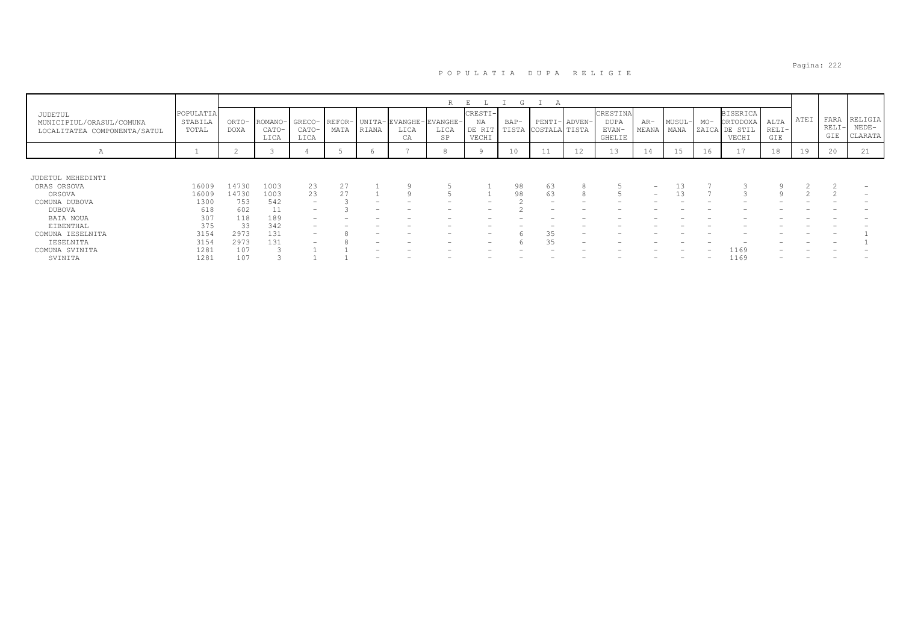|                                                                     |                               |                      |                          |                         |      |       |                                             | R          | E.                               | (7)             |                                |    |                                            |                          |                |       |                                                       |                        |      |                      |                               |
|---------------------------------------------------------------------|-------------------------------|----------------------|--------------------------|-------------------------|------|-------|---------------------------------------------|------------|----------------------------------|-----------------|--------------------------------|----|--------------------------------------------|--------------------------|----------------|-------|-------------------------------------------------------|------------------------|------|----------------------|-------------------------------|
| JUDETUL<br>MUNICIPIUL/ORASUL/COMUNA<br>LOCALITATEA COMPONENTA/SATUL | POPULATIA<br>STABILA<br>TOTAL | ORTO-<br><b>DOXA</b> | ROMANO-<br>CATO-<br>LICA | GRECO-<br>CATO-<br>LICA | MATA | RIANA | REFOR- UNITA-EVANGHE-EVANGHE-<br>LICA<br>CA | LICA<br>SP | CRESTI-<br>ΝA<br>DE RIT<br>VECHI | $BAP-$<br>TISTA | PENTI- ADVEN-<br>COSTALA TISTA |    | CRESTINA<br><b>DUPA</b><br>EVAN-<br>GHELIE | $AR-$<br>MEANA           | MUSUL-<br>MANA | $MO-$ | <b>BISERICA</b><br>ORTODOXA<br>ZAICA DE STIL<br>VECHI | ALTA<br>$RELI-$<br>GIE | ATEI | FARA<br>RELI-<br>GIE | RELIGIA<br>$NEDE-$<br>CLARATA |
| Α                                                                   |                               |                      |                          |                         |      | O     |                                             |            |                                  | 10              | -44                            | 12 | 13                                         | 14                       | 15             | 16    | $\sim$<br>$\perp$ /                                   | 18                     | 19   | 20                   | 21                            |
|                                                                     |                               |                      |                          |                         |      |       |                                             |            |                                  |                 |                                |    |                                            |                          |                |       |                                                       |                        |      |                      |                               |
| JUDETUL MEHEDINTI                                                   |                               |                      |                          |                         |      |       |                                             |            |                                  |                 |                                |    |                                            |                          |                |       |                                                       |                        |      |                      |                               |
| ORAS ORSOVA                                                         | 16009                         | 14730                | 1003                     | 23                      | 27   |       |                                             |            |                                  | 98              | 63                             |    |                                            | $\overline{\phantom{0}}$ |                |       |                                                       |                        |      |                      |                               |
| ORSOVA                                                              | 16009                         | 14730                | 1003                     | 23                      | 27   |       |                                             |            |                                  | 98              | 63                             |    |                                            | $-$                      |                |       |                                                       |                        |      |                      |                               |
| COMUNA DUBOVA                                                       | 1300                          | 753                  | 542                      | -                       |      |       |                                             |            |                                  |                 |                                |    |                                            |                          |                |       |                                                       |                        |      |                      |                               |
| DUBOVA                                                              | 618                           | 602                  | 11                       |                         |      |       |                                             |            |                                  |                 |                                |    |                                            |                          |                |       |                                                       |                        |      |                      |                               |
| <b>BAIA NOUA</b>                                                    | 307                           | 118                  | 189                      |                         |      |       |                                             |            |                                  |                 |                                |    |                                            |                          |                |       |                                                       |                        |      |                      |                               |
| EIBENTHAL                                                           | 375                           | 33                   | 342                      |                         |      |       |                                             |            |                                  |                 |                                |    |                                            |                          |                |       |                                                       |                        |      |                      |                               |
| COMUNA IESELNITA                                                    | 3154                          | 2973                 | 131                      | -                       |      |       |                                             |            | $\overline{\phantom{0}}$         |                 | 35                             |    |                                            |                          |                |       |                                                       |                        |      |                      |                               |
| IESELNITA                                                           | 3154                          | 2973                 | 131                      |                         |      |       |                                             |            | -                                |                 | 35                             |    |                                            |                          |                |       |                                                       |                        |      |                      |                               |
| COMUNA SVINITA                                                      | 1281                          | 107                  |                          |                         |      |       |                                             |            |                                  |                 |                                |    |                                            |                          |                |       | 1169                                                  |                        |      |                      |                               |
| SVINITA                                                             | 1281                          | 107                  |                          |                         |      |       |                                             |            |                                  |                 |                                |    |                                            |                          |                |       | 1169                                                  |                        |      |                      |                               |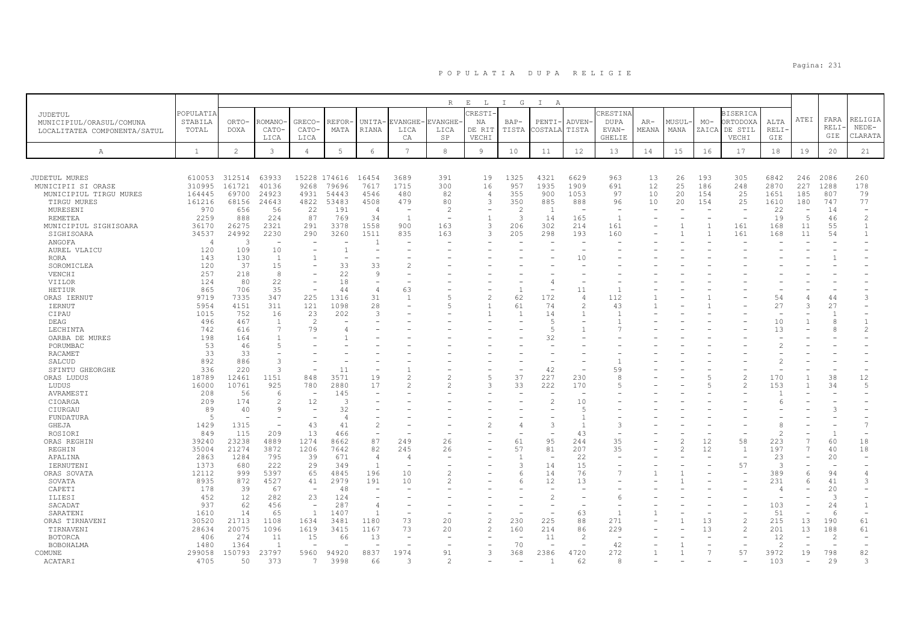|                                    |                  |                |                          |                          |                          |                          |                 | R              | $\mathbf{E}$<br>L. | $\mathbb{I}$<br>G | $\mathbb{I}$<br>A |                          |                          |              |        |              |                          |                          |      |                          |                          |
|------------------------------------|------------------|----------------|--------------------------|--------------------------|--------------------------|--------------------------|-----------------|----------------|--------------------|-------------------|-------------------|--------------------------|--------------------------|--------------|--------|--------------|--------------------------|--------------------------|------|--------------------------|--------------------------|
| JUDETUL                            | <b>POPULATIA</b> |                |                          |                          |                          |                          |                 |                | CRESTI             |                   |                   |                          | CRESTINA                 |              |        |              | <b>BISERICA</b>          |                          |      |                          |                          |
|                                    | STABILA          | ORTO-          | ROMANO-                  | GRECO-                   | REFOR                    | <b>UNITA</b>             | EVANGHE-        | EVANGHE        | ΝA                 | $BAP-$            | PENTI-            | <b>ADVEN</b>             | <b>DUPA</b>              | $AR-$        | MUSUL· | $MO-$        | <b>ORTODOXA</b>          | ALTA                     | ATEI | FARA                     | RELIGIA                  |
| MUNICIPIUL/ORASUL/COMUNA           | TOTAL            | <b>DOXA</b>    | CATO-                    | CATO-                    | MATA                     | <b>RIANA</b>             | LICA            | LICA           | DE RIT             | TISTA             | COSTALA           | TISTA                    | EVAN-                    | MEANA        | MANA   |              | ZAICA DE STIL            | RELI·                    |      | RELI·                    | $NEDE-$                  |
| LOCALITATEA COMPONENTA/SATUL       |                  |                | LICA                     | LICA                     |                          |                          | CA              | SP             | VECHI              |                   |                   |                          | <b>GHELIE</b>            |              |        |              | VECHI                    | GIE                      |      | GIE                      | CLARATA                  |
|                                    |                  |                |                          |                          |                          |                          |                 |                |                    |                   |                   |                          |                          |              |        |              |                          |                          |      |                          |                          |
| $\mathbb{A}$                       | $\mathbf{1}$     | $\overline{c}$ | $\mathbf{3}$             | $\overline{4}$           | $\mathbb 5$              | 6                        | $7\phantom{.0}$ | $_{\rm 8}$     | 9                  | 10                | 11                | 12                       | 13                       | 14           | 15     | 16           | 17                       | 18                       | 19   | 20                       | 21                       |
|                                    |                  |                |                          |                          |                          |                          |                 |                |                    |                   |                   |                          |                          |              |        |              |                          |                          |      |                          |                          |
| JUDETUL MURES                      | 610053           | 312514         | 63933                    |                          | 15228 174616             | 16454                    | 3689            | 391            | 19                 | 1325              | 4321              | 6629                     | 963                      | 13           | 26     | 193          | 305                      | 6842                     | 246  | 2086                     | 260                      |
| MUNICIPII SI ORASE                 | 310995           | 161721         | 40136                    | 9268                     | 79696                    | 7617                     | 1715            | 300            | 16                 | 957               | 1935              | 1909                     | 691                      | 12           | 25     | 186          | 248                      | 2870                     | 227  | 1288                     | 178                      |
| MUNICIPIUL TIRGU MURES             | 164445           | 69700          | 24923                    | 4931                     | 54443                    | 4546                     | 480             | 82             | $\overline{4}$     | 355               | 900               | 1053                     | 97                       | 10           | 20     | 154          | 25                       | 1651                     | 185  | 807                      | 79                       |
| TIRGU MURES                        | 161216           | 68156          | 24643                    | 4822                     | 53483                    | 4508                     | 479             | 80             | 3                  | 350               | 885               | 888                      | 96                       | 10           | 20     | 154          | 25                       | 1610                     | 180  | 747                      | 77                       |
| MURESENI                           | 970              | 656            | 56                       | 22                       | 191                      | $\overline{4}$           |                 | $\overline{c}$ |                    | $\overline{2}$    | $\overline{1}$    | $\overline{\phantom{a}}$ |                          |              |        |              | $\overline{\phantom{a}}$ | 22                       | ٠    | 14                       | $\overline{\phantom{m}}$ |
| <b>REMETEA</b>                     | 2259             | 888            | 224                      | 87                       | 769                      | 34                       | $\overline{1}$  | ٠              | $\overline{1}$     | 3                 | 14                | 165                      | $\overline{1}$           |              |        |              | $\sim$                   | 19                       | 5    | 46                       | $\overline{c}$           |
| MUNICIPIUL SIGHISOARA              | 36170            | 26275          | 2321                     | 291                      | 3378                     | 1558                     | 900             | 163            | 3                  | 206               | 302               | 214                      | 161                      |              |        |              | 161                      | 168                      | 11   | 55                       | 1                        |
| SIGHISOARA                         | 34537            | 24992          | 2230                     | 290                      | 3260                     | 1511                     | 835             | 163            | 3                  | 205               | 298               | 193                      | 160                      |              |        | $\mathbf{1}$ | 161                      | 168                      | 11   | 54                       | $\mathbf{1}$             |
| ANGOFA                             | $\overline{4}$   | $\mathcal{R}$  |                          |                          |                          |                          |                 |                |                    |                   |                   |                          |                          |              |        |              |                          |                          |      |                          |                          |
|                                    | 120              | 109            | 10                       | $\overline{\phantom{0}}$ | $\overline{1}$           | $\overline{\phantom{a}}$ |                 |                |                    |                   |                   |                          |                          |              |        |              |                          |                          |      |                          |                          |
| AUREL VLAICU                       |                  |                | $\overline{1}$           |                          | $\overline{\phantom{a}}$ |                          |                 |                |                    |                   |                   |                          |                          |              |        |              |                          |                          |      |                          |                          |
| <b>RORA</b>                        | 143              | 130            |                          |                          |                          |                          | $\mathfrak{D}$  |                |                    |                   |                   | 10                       |                          |              |        |              |                          |                          |      |                          |                          |
| SOROMICLEA                         | 120              | 37             | 15                       |                          | 33                       | 33<br>9                  |                 |                |                    |                   |                   |                          |                          |              |        |              |                          |                          |      |                          |                          |
| VENCHI                             | 257              | 218            | 8                        |                          | 22                       |                          |                 |                |                    |                   |                   |                          |                          |              |        |              |                          |                          |      |                          |                          |
| VIILOR                             | 124              | 80             | 22                       | $\overline{\phantom{0}}$ | 18                       | $\overline{\phantom{m}}$ |                 |                |                    |                   | 4                 |                          |                          |              |        |              |                          |                          |      |                          |                          |
| HETIUR                             | 865              | 706            | 35                       |                          | 44                       | $\overline{4}$           | 63              |                |                    |                   |                   | 11                       |                          |              |        |              |                          |                          |      |                          |                          |
| ORAS IERNUT                        | 9719             | 7335           | 347                      | 225                      | 1316                     | 31                       | $\mathbf{1}$    |                | $\mathfrak{D}$     | 62                | 172               | $\overline{4}$           | 112                      |              |        |              |                          | 54                       |      | 44                       | 3                        |
| <b>IERNUT</b>                      | 5954             | 4151           | 311                      | 121                      | 1098                     | 28                       |                 | 5              |                    | 61                | 74                | $\overline{c}$           | 43                       |              |        |              |                          | 27                       | 3    | 27                       |                          |
| CIPAU                              | 1015             | 752            | 16                       | 23                       | 202                      | 3                        |                 |                |                    | -1                | 14                | -1                       |                          |              |        |              |                          |                          |      | $\overline{1}$           |                          |
| DEAG                               | 496              | 467            | $\overline{1}$           | $\overline{\mathcal{L}}$ |                          |                          |                 |                |                    |                   | $\overline{5}$    |                          |                          |              |        |              |                          | 10                       |      |                          |                          |
| LECHINTA                           | 742              | 616            | $\overline{7}$           | 79                       | 4                        |                          |                 |                |                    |                   | 5                 |                          |                          |              |        |              |                          | 13                       |      |                          | $\overline{c}$           |
| OARBA DE MURES                     | 198              | 164            |                          |                          |                          |                          |                 |                |                    |                   | 32                |                          |                          |              |        |              |                          |                          |      |                          |                          |
| PORUMBAC                           | 53               | 46             | $\overline{5}$           |                          |                          |                          |                 |                |                    |                   |                   |                          |                          |              |        |              |                          | $\overline{c}$           |      |                          |                          |
| <b>RACAMET</b>                     | 33               | 33             |                          |                          |                          |                          |                 |                |                    |                   |                   |                          |                          |              |        |              |                          |                          |      |                          |                          |
| SALCUD                             | 892              | 886            | 3                        |                          |                          |                          |                 |                |                    |                   |                   |                          |                          |              |        |              |                          | $\overline{c}$           |      |                          |                          |
| SFINTU GHEORGHE                    | 336              | 220            | 3                        |                          | 11                       |                          |                 |                |                    |                   | 42                |                          | 59                       |              |        |              |                          |                          |      |                          |                          |
| ORAS LUDUS                         | 18789            | 12461          | 1151                     | 848                      | 3571                     | 19                       | $\overline{2}$  | 2              | $\overline{5}$     | 37                | 227               | 230                      | 8                        |              |        | 5            | $\overline{c}$           | 170                      |      | 38                       | 12                       |
| LUDUS                              | 16000            | 10761          | 925                      | 780                      | 2880                     | 17                       | $\overline{2}$  | 2              | 3                  | 33                | 222               | 170                      | 5                        |              |        |              | $\overline{c}$           | 153                      | 1    | 34                       | 5                        |
| AVRAMESTI                          | 208              | 56             | 6                        | $\overline{\phantom{m}}$ | 145                      |                          |                 |                |                    |                   |                   |                          |                          |              |        |              |                          |                          |      |                          |                          |
| CIOARGA                            | 209              | 174            | $\overline{c}$           | 12                       | 3                        |                          |                 |                |                    |                   | $\overline{c}$    | 10                       |                          |              |        |              |                          |                          |      |                          |                          |
| CIURGAU                            | 89               | 40             | 9                        | $\overline{\phantom{a}}$ | 32                       |                          |                 |                |                    |                   |                   | $\overline{5}$           |                          |              |        |              |                          |                          |      |                          |                          |
| FUNDATURA                          | -5               |                |                          |                          | $\overline{4}$           |                          |                 |                |                    |                   |                   | $\overline{1}$           |                          |              |        |              |                          |                          |      |                          |                          |
| GHEJA                              | 1429             | 1315           | $\overline{\phantom{a}}$ | 43                       | 41                       | $\overline{c}$           |                 |                |                    |                   | 3                 | $\overline{1}$           | 3                        |              |        |              |                          |                          |      |                          | 7                        |
| ROSIORI                            | 849              | 115            | 209                      | 13                       | 466                      | $\overline{\phantom{a}}$ |                 |                |                    |                   |                   | 43                       | $\overline{\phantom{a}}$ |              |        |              |                          | $\mathcal{L}$            |      | $\overline{1}$           |                          |
| ORAS REGHIN                        | 39240            | 23238          | 4889                     | 1274                     | 8662                     | 87                       | 249             | 26             |                    | 61                | 95                | 244                      | 35                       |              |        | 12           | 58                       | 223                      |      | 60                       | 18                       |
| REGHIN                             | 35004            | 21274          | 3872                     | 1206                     | 7642                     | 82                       | 245             | 26             |                    | 57                | 81                | 207                      | 35                       |              |        | 12           | $\overline{1}$           | 197                      | 7    | 40                       | 18                       |
| APALINA                            | 2863             | 1284           | 795                      | 39                       | 671                      | $\overline{4}$           | $\overline{4}$  |                |                    | $\overline{1}$    |                   | 22                       |                          |              |        |              |                          | 23                       |      | 20                       |                          |
| IERNUTENI                          | 1373             | 680            | 222                      | 29                       | 349                      | $\overline{1}$           |                 |                |                    | 3                 | 14                | 15                       |                          |              |        |              | 57                       | 3                        |      | $\overline{\phantom{a}}$ |                          |
| ORAS SOVATA                        | 12112            | 999            | 5397                     | 65                       | 4845                     | 196                      | 10              | $\mathfrak{D}$ |                    |                   | 14                | 76                       |                          |              |        |              |                          | 389                      | 6    | 94                       | $\overline{4}$           |
| SOVATA                             | 8935             | 872            | 4527                     | 41                       | 2979                     | 191                      | 10              | $\mathfrak{D}$ |                    |                   | 12                | 13                       |                          |              |        |              |                          | 231                      | 6    | 41                       | 3                        |
| CAPETI                             | 178              | 39             | 67                       | $\overline{\phantom{a}}$ | 48                       |                          |                 |                |                    |                   |                   |                          |                          |              |        |              |                          | -4                       |      | 20                       |                          |
| ILIESI                             | 452              | 12             | 282                      | 23                       | 124                      |                          |                 |                |                    |                   | $\mathfrak{D}$    |                          | 6                        |              |        |              |                          | $\overline{\phantom{a}}$ |      | 3                        |                          |
| SACADAT                            | 937              | 62             | 456                      | $\overline{\phantom{a}}$ | 287                      | $\overline{4}$           |                 |                |                    |                   |                   |                          |                          |              |        |              |                          | 103                      |      | 24                       | 1                        |
| SARATENI                           | 1610             | 14             | 65                       | $\overline{1}$           | 1407                     | $\overline{1}$           |                 |                |                    |                   |                   | 63                       |                          |              |        |              |                          | 51                       |      | -6                       |                          |
| ORAS TIRNAVENI                     | 30520            | 21713          | 1108                     | 1634                     | 3481                     | 1180                     | 73              | 20             | $\overline{c}$     | 230               | 225               | 88                       | 271                      |              |        | 13           | $\overline{\mathcal{L}}$ | 215                      | 13   | 190                      | 61                       |
| TIRNAVENI                          | 28634            | 20075          | 1096                     | 1619                     | 3415                     | 1167                     | 73              | 20             | $\overline{2}$     | 160               | 214               | 86                       | 229                      |              |        | 13           | $\overline{c}$           | 201                      | 13   | 188                      | 61                       |
|                                    | 406              | 274            | 11                       |                          |                          |                          |                 |                |                    |                   |                   | -2                       |                          |              |        |              |                          |                          |      |                          |                          |
| <b>BOTORCA</b><br><b>BOBOHALMA</b> | 1480             | 1364           | $\overline{1}$           | 15                       | 66                       | 13                       |                 |                |                    | 70                | 11                |                          | 42                       |              |        |              |                          | 12<br>$\mathcal{P}$      |      | 2                        |                          |
|                                    |                  |                |                          |                          |                          |                          |                 |                |                    |                   |                   |                          |                          |              |        |              |                          |                          |      |                          |                          |
| COMUNE                             | 299058           | 150793         | 23797                    | 5960                     | 94920                    | 8837                     | 1974            | 91             | 3                  | 368               | 2386              | 4720                     | 272                      | $\mathbf{1}$ | 1      |              | 57                       | 3972                     | 19   | 798                      | 82                       |
| ACATARI                            | 4705             | 50             | 373                      | 7                        | 3998                     | 66                       |                 | 2              |                    |                   |                   | 62                       | 8                        |              |        |              |                          | 103                      |      | 29                       |                          |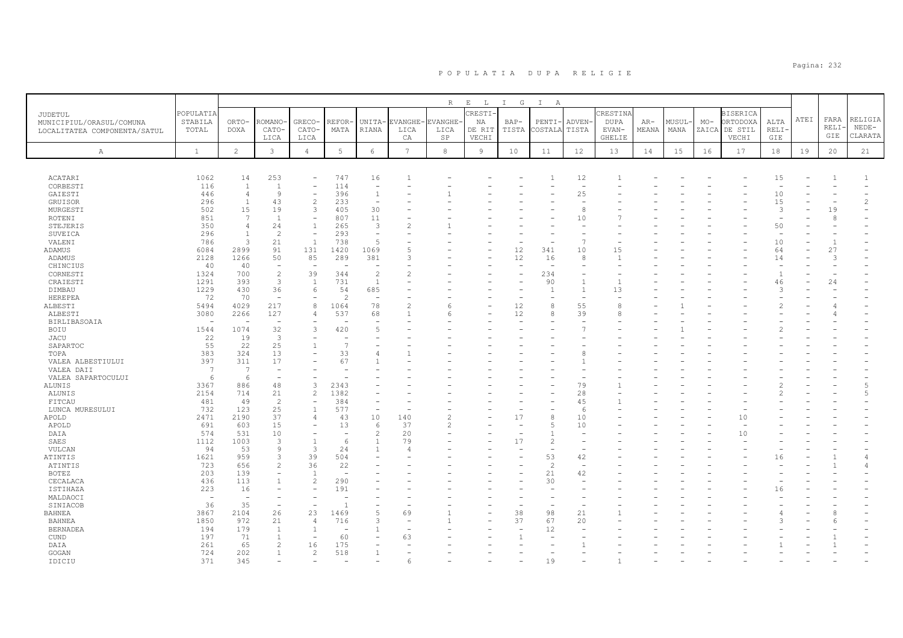|                                                                     |                               |                          |                          |                          |                          |                          |                  | $R_{\perp}$            | $E$ $L$                 | $I$ G         | $\mathbb{I}$<br>$\mathbb{A}$ |                          |                           |                |                |       |                                              |                          |      |                |                    |
|---------------------------------------------------------------------|-------------------------------|--------------------------|--------------------------|--------------------------|--------------------------|--------------------------|------------------|------------------------|-------------------------|---------------|------------------------------|--------------------------|---------------------------|----------------|----------------|-------|----------------------------------------------|--------------------------|------|----------------|--------------------|
| JUDETUL<br>MUNICIPIUL/ORASUL/COMUNA<br>LOCALITATEA COMPONENTA/SATUL | POPULATIA<br>STABILA<br>TOTAL | ORTO-<br>DOXA            | <b>COMANO</b><br>CATO-   | GRECO-<br>CATO-          | REFOR<br>MATA            | UNITA-<br>RIANA          | EVANGHE-<br>LICA | <b>EVANGHE</b><br>LICA | CRESTI-<br>NA<br>DE RIT | BAP-<br>TISTA | $PENTI-$<br>COSTALA          | ADVEN-<br>TISTA          | CRESTINA<br>DUPA<br>EVAN- | $AR-$<br>MEANA | MUSUL-<br>MANA | $MO-$ | <b>BISERICA</b><br>ORTODOXA<br>ZAICA DE STIL | ALTA<br>RELI·            | ATEI | FARA<br>RELI·  | RELIGIA<br>$NEDE-$ |
|                                                                     |                               |                          | LICA                     | LICA                     |                          |                          | СA               | SP                     | VECHI                   |               |                              |                          | GHELIE                    |                |                |       | VECHI                                        | GIE                      |      | GIE            | CLARATA            |
| Α                                                                   | $\mathbf{1}$                  | 2                        | $\mathbf{3}$             | $\overline{4}$           | 5                        | 6                        | $7\overline{ }$  | 8                      | $\overline{9}$          | 10            | 11                           | 12                       | 13                        | 14             | 15             | 16    | 17                                           | 18                       | 19   | 20             | 21                 |
| ACATARI                                                             | 1062                          | 14                       | 253                      | $\overline{a}$           | 747                      | 16                       |                  |                        |                         |               |                              | 12                       |                           |                |                |       |                                              | 15                       |      |                | $\mathbf{1}$       |
| CORBESTI                                                            | 116                           | $\mathbf{1}$             | $\mathbf{1}$             | $\overline{a}$           | 114                      | $\overline{\phantom{a}}$ |                  |                        |                         |               |                              | $\sim$                   |                           |                |                |       |                                              | $\overline{\phantom{a}}$ |      |                |                    |
| GAIESTI                                                             | 446                           | $\overline{4}$           | 9                        | $\overline{\phantom{a}}$ | 396                      | $\mathbf{1}$             |                  |                        |                         |               |                              | 25                       |                           |                |                |       |                                              | 10                       |      |                |                    |
| GRUISOR                                                             | 296                           | $\overline{1}$           | 43                       | $\overline{c}$           | 233                      | $\overline{a}$           |                  |                        |                         |               |                              | ÷                        |                           |                |                |       |                                              | 15                       |      |                | $\mathfrak{D}$     |
| MURGESTI                                                            | 502                           | 15                       | 19                       | 3                        | 405                      | 30                       |                  |                        |                         |               |                              | 8                        |                           |                |                |       |                                              | 3                        |      | 19             |                    |
| ROTENI                                                              | 851                           | 7                        | $\overline{1}$           | $\overline{\phantom{a}}$ | 807                      | 11                       |                  |                        |                         |               |                              | 10                       |                           |                |                |       |                                              | $\overline{\phantom{a}}$ |      | 8              |                    |
| STEJERIS                                                            | 350                           | $\overline{4}$           | 24                       | $\overline{1}$           | 265                      | 3                        |                  |                        |                         |               |                              |                          |                           |                |                |       |                                              | 50                       |      |                |                    |
| SUVEICA                                                             | 296                           | $\mathbf{1}$             | $\overline{c}$           | $\overline{\phantom{a}}$ | 293                      | $\overline{\phantom{a}}$ |                  |                        |                         |               |                              |                          |                           |                |                |       |                                              | $\overline{\phantom{m}}$ |      |                |                    |
| VALENI                                                              | 786                           | 3                        | 21                       | <sup>1</sup>             | 738                      | 5                        |                  |                        |                         |               |                              | E                        |                           |                |                |       |                                              | 10                       |      | $\overline{1}$ |                    |
| ADAMUS                                                              | 6084                          | 2899                     | 91                       | 131                      | 1420                     | 1069                     |                  |                        |                         | 12            | 341                          | 10                       | 15                        |                |                |       |                                              | 64                       |      | 27             |                    |
| ADAMUS                                                              | 2128                          | 1266                     | 50                       | 85                       | 289                      | 381                      | 3                |                        |                         | 12            | 16                           | 8                        |                           |                |                |       |                                              | 14                       |      | 3              |                    |
| CHINCIUS                                                            | 40                            | 40                       | $\overline{\phantom{a}}$ | $\overline{\phantom{0}}$ | $\overline{\phantom{0}}$ | $\overline{a}$           |                  |                        |                         | $\sim$        | $\sim$                       |                          |                           |                |                |       |                                              | $\equiv$                 |      |                |                    |
| CORNESTI                                                            | 1324                          | 700                      | $\sqrt{2}$               | 39                       | 344                      | $\overline{c}$           |                  |                        |                         |               | 234                          |                          |                           |                |                |       |                                              | $\mathbf{1}$             |      |                |                    |
| CRAIESTI                                                            | 1291                          | 393                      | $\overline{\mathbf{3}}$  | $\overline{1}$           | 731                      | $\overline{1}$           |                  |                        |                         |               | 90                           | $\overline{1}$           |                           |                |                |       |                                              | 46                       |      | 24             |                    |
| DIMBAU                                                              | 1229                          | 430                      | 36                       | 6                        | 54                       | 685                      |                  |                        |                         |               | $\mathbf{1}$                 | $\overline{1}$           | 13                        |                |                |       |                                              | 3                        |      |                |                    |
| HEREPEA                                                             | 72                            | 70                       | ÷,                       |                          | $\mathcal{L}$            | $\overline{\phantom{a}}$ |                  |                        |                         |               |                              | $\overline{\phantom{a}}$ |                           |                |                |       |                                              |                          |      |                |                    |
| ALBESTI                                                             | 5494                          | 4029                     | 217                      | 8                        | 1064                     | 78                       | 2                | 6                      |                         | 12            | 8                            | 55                       | 8                         |                |                |       |                                              | 2                        |      |                |                    |
| ALBESTI                                                             | 3080                          | 2266                     | 127                      | $\overline{4}$           | 537                      | 68                       |                  | 6                      |                         | 12            | 8                            | 39                       | 8                         |                |                |       |                                              |                          |      |                |                    |
| <b>BIRLIBASOAIA</b>                                                 |                               |                          |                          |                          |                          |                          |                  |                        |                         |               |                              |                          |                           |                |                |       |                                              |                          |      |                |                    |
| BOIU                                                                | 1544                          | 1074                     | 32                       | 3                        | 420                      | 5                        |                  |                        |                         |               |                              |                          |                           |                |                |       |                                              |                          |      |                |                    |
| <b>JACU</b>                                                         | 22                            | 19                       | 3                        |                          |                          |                          |                  |                        |                         |               |                              |                          |                           |                |                |       |                                              |                          |      |                |                    |
| SAPARTOC                                                            | 55                            | 22                       | 25                       |                          |                          |                          |                  |                        |                         |               |                              |                          |                           |                |                |       |                                              |                          |      |                |                    |
| TOPA                                                                | 383                           | 324                      | 13                       | $\overline{\phantom{a}}$ | 33                       | 4                        |                  |                        |                         |               |                              |                          |                           |                |                |       |                                              |                          |      |                |                    |
| VALEA ALBESTIULUI                                                   | 397                           | 311                      | 17                       |                          | 67                       |                          |                  |                        |                         |               |                              |                          |                           |                |                |       |                                              |                          |      |                |                    |
| VALEA DAII                                                          | -7                            | 7                        | $\overline{\phantom{a}}$ |                          |                          |                          |                  |                        |                         |               |                              |                          |                           |                |                |       |                                              |                          |      |                |                    |
| VALEA SAPARTOCULUI                                                  | 6                             | 6                        | ÷,                       |                          |                          |                          |                  |                        |                         |               |                              |                          |                           |                |                |       |                                              |                          |      |                |                    |
| ALUNIS                                                              | 3367                          | 886                      | 48                       | 3                        | 2343                     |                          |                  |                        |                         |               |                              | 79                       |                           |                |                |       |                                              |                          |      |                | 5                  |
| ALUNIS                                                              | 2154                          | 714                      | 21                       | 2                        | 1382                     |                          |                  |                        |                         |               |                              | 28                       |                           |                |                |       |                                              |                          |      |                | 5                  |
| FITCAU                                                              | 481                           | 49                       | $\overline{2}$           | $\overline{\phantom{a}}$ | 384                      |                          |                  |                        |                         |               |                              | 45                       |                           |                |                |       |                                              |                          |      |                |                    |
| LUNCA MURESULUI                                                     | 732                           | 123                      | 25                       | $\overline{1}$           | 577                      | $\overline{\phantom{a}}$ |                  |                        |                         |               |                              | -6                       |                           |                |                |       |                                              |                          |      |                |                    |
| APOLD                                                               | 2471                          | 2190                     | 37                       | 4                        | 43                       | 10                       | 140              | 2                      |                         | 17            | 8                            | 10                       |                           |                |                |       | 10                                           |                          |      |                |                    |
| APOLD                                                               | 691                           | 603                      | 15                       |                          | 13                       | 6                        | 37               |                        |                         |               | 5                            | 10                       |                           |                |                |       |                                              |                          |      |                |                    |
| DAIA                                                                | 574                           | 531                      | 10                       | $\overline{\phantom{a}}$ |                          | 2                        | 20               |                        |                         |               | $\mathbf{1}$                 |                          |                           |                |                |       | 10                                           |                          |      |                |                    |
| SAES                                                                | 1112                          | 1003                     | 3                        | $\overline{1}$           | 6                        | $\overline{1}$           | 79               |                        |                         | 17            | 2                            |                          |                           |                |                |       |                                              |                          |      |                |                    |
| VULCAN                                                              | 94                            | 53                       | 9                        | 3                        | 24                       |                          |                  |                        |                         |               | $\overline{\phantom{a}}$     |                          |                           |                |                |       |                                              |                          |      |                |                    |
| ATINTIS                                                             | 1621                          | 959                      | 3                        | 39                       | 504                      |                          |                  |                        |                         |               | 53                           | 42                       |                           |                |                |       |                                              | 16                       |      |                | $\overline{4}$     |
| ATINTIS                                                             | 723                           | 656                      | $\overline{c}$           | 36                       | 22                       |                          |                  |                        |                         |               | 2                            | $\overline{\phantom{a}}$ |                           |                |                |       |                                              |                          |      |                | 4                  |
| <b>BOTEZ</b>                                                        | 203                           | 139                      | $\overline{\phantom{0}}$ | $\overline{1}$           |                          |                          |                  |                        |                         |               | 21                           | 42                       |                           |                |                |       |                                              |                          |      |                |                    |
| CECALACA                                                            | 436                           | 113                      |                          | 2                        | 290                      |                          |                  |                        |                         |               | 30                           |                          |                           |                |                |       |                                              |                          |      |                |                    |
| ISTIHAZA                                                            | 223                           | 16                       |                          |                          | 191                      |                          |                  |                        |                         |               |                              |                          |                           |                |                |       |                                              | 16                       |      |                |                    |
| MALDAOCI                                                            | $\overline{\phantom{a}}$      | $\overline{\phantom{0}}$ |                          |                          |                          |                          |                  |                        |                         |               |                              |                          |                           |                |                |       |                                              |                          |      |                |                    |
| SINIACOB                                                            | 36                            | 35                       | $\overline{\phantom{0}}$ |                          |                          |                          |                  |                        |                         |               |                              |                          |                           |                |                |       |                                              |                          |      |                |                    |
| <b>BAHNEA</b>                                                       | 3867                          | 2104                     | 26                       | 23                       | 1469                     | 5                        | 69               |                        |                         | 38            | 98                           | 21                       |                           |                |                |       |                                              |                          |      | £              |                    |
| <b>BAHNEA</b>                                                       | 1850                          | 972                      | 21                       | $\overline{4}$           | 716                      | 3                        |                  |                        |                         | 37            | 67                           | 20                       |                           |                |                |       |                                              | -3                       |      |                |                    |
| <b>BERNADEA</b>                                                     | 194                           | 179                      | $\overline{1}$           | $\overline{1}$           |                          |                          |                  |                        |                         |               | 12                           |                          |                           |                |                |       |                                              |                          |      |                |                    |
| CUND                                                                | 197                           | 71                       | -1                       |                          | 60                       |                          | 63               |                        |                         |               |                              |                          |                           |                |                |       |                                              |                          |      |                |                    |
| DAIA                                                                | 261                           | 65                       | $\overline{c}$           | 16                       | 175                      |                          |                  |                        |                         |               |                              |                          |                           |                |                |       |                                              |                          |      |                |                    |
| GOGAN                                                               | 724                           | 202                      | $\mathbf{1}$             | $\overline{c}$           | 518                      | $\overline{1}$           |                  |                        |                         |               |                              |                          |                           |                |                |       |                                              |                          |      |                |                    |
| IDICIU                                                              | 371                           | 345                      |                          |                          |                          |                          |                  |                        |                         |               | 19                           |                          |                           |                |                |       |                                              |                          |      |                |                    |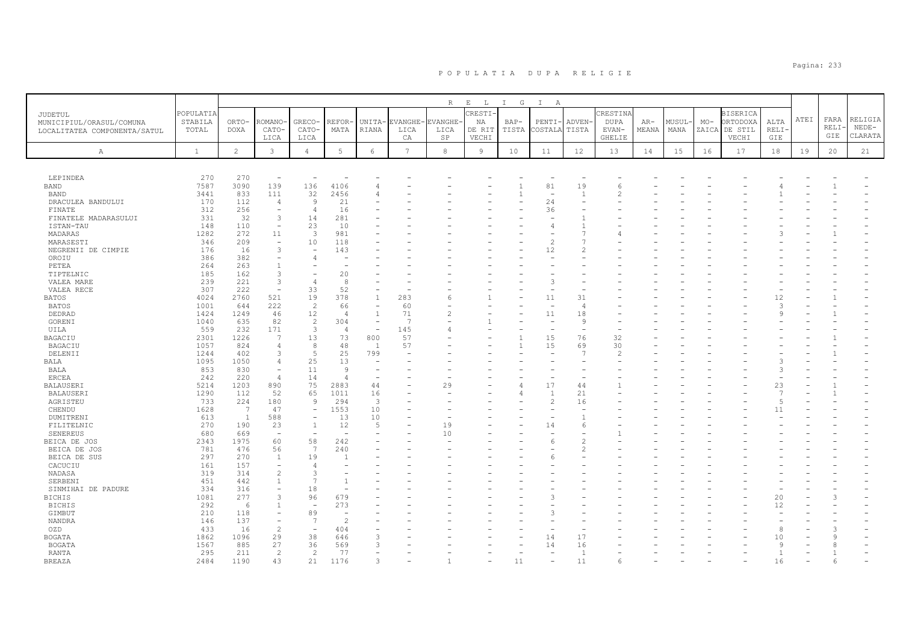|                                                                     |                               |                      |                          |                          |                          |                          |                              | R                            | $\mathbf{E}=-\mathbf{L}$         | I G             | $\mathbb{I}$<br>A        |                          |                                                   |                |                |       |                                                       |                     |      |                     |                               |
|---------------------------------------------------------------------|-------------------------------|----------------------|--------------------------|--------------------------|--------------------------|--------------------------|------------------------------|------------------------------|----------------------------------|-----------------|--------------------------|--------------------------|---------------------------------------------------|----------------|----------------|-------|-------------------------------------------------------|---------------------|------|---------------------|-------------------------------|
| JUDETUL<br>MUNICIPIUL/ORASUL/COMUNA<br>LOCALITATEA COMPONENTA/SATUL | POPULATIA<br>STABILA<br>TOTAL | ORTO-<br><b>DOXA</b> | ROMANO·<br>CATO-<br>LICA | GRECO-<br>CATO-<br>LICA  | REFOR<br>MATA            | UNITA-<br>RIANA          | <b>EVANGHE</b><br>LICA<br>CA | <b>EVANGHE</b><br>LICA<br>SP | CRESTI.<br>NA<br>DE RIT<br>VECHI | $BAP-$<br>TISTA | PENTI-<br>COSTALA        | ADVEN-<br>TISTA          | CRESTINA<br><b>DUPA</b><br>EVAN-<br><b>GHELIE</b> | $AR-$<br>MEANA | MUSUL-<br>MANA | $MO-$ | <b>BISERICA</b><br>ORTODOXA<br>ZAICA DE STIL<br>VECHI | ALTA<br>RELI<br>GIE | ATEI | FARA<br>RELI<br>GIE | RELIGIA<br>$NEDE-$<br>CLARATA |
| $\mathbb{A}$                                                        | <sup>1</sup>                  | $\overline{2}$       | $\mathbf{3}$             | $\overline{4}$           | 5                        | 6                        | $\overline{7}$               | 8                            | $\overline{9}$                   | 10              | 11                       | 12                       | 13                                                | 14             | 15             | 16    | 17                                                    | 18                  | 19   | 20                  | 21                            |
|                                                                     |                               |                      |                          |                          |                          |                          |                              |                              |                                  |                 |                          |                          |                                                   |                |                |       |                                                       |                     |      |                     |                               |
| LEPINDEA                                                            | 270                           | 270                  | $\overline{\phantom{m}}$ |                          |                          |                          |                              |                              |                                  |                 |                          |                          |                                                   |                |                |       |                                                       |                     |      |                     |                               |
| <b>BAND</b>                                                         | 7587                          | 3090                 | 139                      | 136                      | 4106                     | 4                        |                              |                              |                                  |                 | 81                       | 19                       | 6                                                 |                |                |       |                                                       |                     |      |                     |                               |
| <b>BAND</b>                                                         | 3441                          | 833                  | 111                      | 32                       | 2456                     |                          |                              |                              |                                  |                 | $\overline{\phantom{a}}$ | $\overline{1}$           |                                                   |                |                |       |                                                       |                     |      |                     |                               |
| DRACULEA BANDULUI                                                   | 170                           | 112                  | $\overline{4}$           | 9                        | 21                       |                          |                              |                              |                                  |                 | 24                       |                          |                                                   |                |                |       |                                                       |                     |      |                     |                               |
| FINATE                                                              | 312                           | 256                  | $\overline{\phantom{m}}$ | $\overline{4}$           | 16                       |                          |                              |                              |                                  |                 | 36                       |                          |                                                   |                |                |       |                                                       |                     |      |                     |                               |
| FINATELE MADARASULUI                                                | 331                           | 32                   | 3                        | 14                       | 281                      |                          |                              |                              |                                  |                 |                          |                          |                                                   |                |                |       |                                                       |                     |      |                     |                               |
| ISTAN-TAU                                                           | 148                           | 110                  | $\equiv$                 | 23                       | 10                       |                          |                              |                              |                                  |                 | 4                        |                          |                                                   |                |                |       |                                                       |                     |      |                     |                               |
| MADARAS                                                             | 1282                          | 272                  | 11                       | 3                        | 981                      |                          |                              |                              |                                  |                 | $\overline{\phantom{a}}$ | $\overline{1}$           |                                                   |                |                |       |                                                       |                     |      |                     |                               |
| MARASESTI                                                           | 346                           | 209                  | $\equiv$                 | 10                       | 118                      |                          |                              |                              |                                  |                 | $\overline{c}$           |                          |                                                   |                |                |       |                                                       |                     |      |                     |                               |
| NEGRENII DE CIMPIE                                                  | 176                           | 16                   | 3                        | $\overline{\phantom{a}}$ | 143                      |                          |                              |                              |                                  |                 | 12                       |                          |                                                   |                |                |       |                                                       |                     |      |                     |                               |
| OROIU                                                               | 386                           | 382                  | $\equiv$                 |                          |                          |                          |                              |                              |                                  |                 |                          |                          |                                                   |                |                |       |                                                       |                     |      |                     |                               |
| PETEA                                                               | 264                           | 263                  | $\overline{1}$           |                          |                          |                          |                              |                              |                                  |                 |                          |                          |                                                   |                |                |       |                                                       |                     |      |                     |                               |
| TIPTELNIC                                                           | 185                           | 162                  | 3                        |                          | 20                       |                          |                              |                              |                                  |                 |                          |                          |                                                   |                |                |       |                                                       |                     |      |                     |                               |
| VALEA MARE                                                          | 239                           | 221                  | 3                        | $\overline{4}$           | 8                        |                          |                              |                              |                                  |                 | 3                        |                          |                                                   |                |                |       |                                                       |                     |      |                     |                               |
| VALEA RECE                                                          | 307                           | 222                  | $\overline{\phantom{a}}$ | 33                       | 52                       |                          |                              |                              |                                  |                 |                          |                          |                                                   |                |                |       |                                                       |                     |      |                     |                               |
| <b>BATOS</b>                                                        | 4024                          | 2760                 | 521                      | 19                       | 378                      | $\overline{1}$           | 283                          | 6                            |                                  |                 | 11                       | 31                       |                                                   |                |                |       |                                                       | 12                  |      |                     |                               |
| BATOS                                                               | 1001                          | 644                  | 222                      | 2                        | 66                       | $\overline{\phantom{a}}$ | 60                           |                              |                                  |                 |                          | $\overline{4}$           |                                                   |                |                |       |                                                       | 3                   |      |                     |                               |
| DEDRAD                                                              | 1424                          | 1249                 | 46                       | 12                       | $\overline{4}$           | $\overline{1}$           | 71                           | $\mathfrak{D}$               |                                  |                 | 11                       | 18                       |                                                   |                |                |       |                                                       | q                   |      |                     |                               |
| GORENI                                                              | 1040                          | 635                  | 82                       | 2                        | 304                      | $\overline{\phantom{a}}$ | $\overline{7}$               |                              |                                  |                 | $\sim$                   | $\circ$                  |                                                   |                |                |       |                                                       |                     |      |                     |                               |
| UILA                                                                | 559                           | 232                  | 171                      | $\mathbf{3}$             | $\overline{4}$           | $\overline{\phantom{a}}$ | 145                          |                              |                                  |                 | $\overline{\phantom{a}}$ | $\overline{\phantom{a}}$ |                                                   |                |                |       |                                                       |                     |      |                     |                               |
| BAGACIU                                                             | 2301                          | 1226                 | 7                        | 13                       | 73                       | 800                      | 57                           |                              |                                  | $\mathbf{1}$    | 15                       | 76                       | 32                                                |                |                |       |                                                       |                     |      |                     |                               |
| BAGACIU                                                             | 1057                          | 824                  | $\overline{4}$           | 8                        | 48                       | <sup>1</sup>             | 57                           |                              |                                  | $\mathbf{1}$    | 15                       | 69                       | 30                                                |                |                |       |                                                       |                     |      |                     |                               |
| DELENII                                                             | 1244                          | 402                  | 3                        | 5                        | 25                       | 799                      |                              |                              |                                  |                 |                          | $\overline{7}$           | $\overline{2}$                                    |                |                |       |                                                       |                     |      |                     |                               |
| BALA                                                                | 1095                          | 1050                 | $\overline{4}$           | 25                       | 13                       | $\overline{\phantom{m}}$ |                              |                              |                                  |                 |                          |                          |                                                   |                |                |       |                                                       | $\mathcal{A}$       |      |                     |                               |
| BALA                                                                | 853                           | 830                  | $\overline{\phantom{a}}$ | 11                       | -9                       |                          |                              |                              |                                  |                 |                          |                          |                                                   |                |                |       |                                                       | 3                   |      |                     |                               |
| ERCEA                                                               | 242                           | 220                  | $\overline{4}$           | 14                       | $\Delta$                 | $\overline{\phantom{m}}$ |                              |                              |                                  |                 | $\overline{\phantom{a}}$ |                          |                                                   |                |                |       |                                                       |                     |      |                     |                               |
| BALAUSERI                                                           | 5214                          | 1203                 | 890                      | 75                       | 2883                     | 44                       |                              | 29                           |                                  |                 | 17                       | 44                       |                                                   |                |                |       |                                                       | 23                  |      |                     |                               |
| BALAUSERI                                                           | 1290                          | 112                  | 52                       | 65                       | 1011                     | 16                       |                              |                              |                                  |                 | $\mathbf{1}$             | 21                       |                                                   |                |                |       |                                                       | $\overline{7}$      |      |                     |                               |
| AGRISTEU                                                            | 733                           | 224                  | 180                      | $\overline{9}$           | 294                      | 3                        |                              |                              |                                  |                 | $\mathbf{2}$             | 16                       |                                                   |                |                |       |                                                       | $\overline{5}$      |      |                     |                               |
| CHENDU                                                              | 1628                          | 7                    | 47                       | $\equiv$                 | 1553                     | 10                       |                              |                              |                                  |                 | $\equiv$                 |                          |                                                   |                |                |       |                                                       | 11                  |      |                     |                               |
| DUMITRENI                                                           | 613                           | $\mathbf{1}$         | 588                      |                          | 13                       | 10                       |                              |                              |                                  |                 |                          |                          |                                                   |                |                |       |                                                       |                     |      |                     |                               |
| FILITELNIC                                                          | 270                           | 190                  | 23                       | $\overline{1}$           | 12                       | $\overline{5}$           |                              | 19                           |                                  |                 | 14                       | 6                        |                                                   |                |                |       |                                                       |                     |      |                     |                               |
| SENEREUS                                                            | 680                           | 669                  | $\overline{\phantom{a}}$ | $\overline{a}$           |                          |                          |                              | 10                           |                                  |                 |                          |                          |                                                   |                |                |       |                                                       |                     |      |                     |                               |
|                                                                     | 2343                          | 1975                 | 60                       | 58                       | 242                      |                          |                              |                              |                                  |                 | 6                        |                          |                                                   |                |                |       |                                                       |                     |      |                     |                               |
| BEICA DE JOS<br>BEICA DE JOS                                        | 781                           | 476                  | 56                       | 7                        | 240                      |                          |                              |                              |                                  |                 |                          | $\mathcal{D}$            |                                                   |                |                |       |                                                       |                     |      |                     |                               |
| BEICA DE SUS                                                        | 297                           | 270                  | $\mathbf{1}$             | 19                       |                          |                          |                              |                              |                                  |                 |                          |                          |                                                   |                |                |       |                                                       |                     |      |                     |                               |
| CACUCIU                                                             | 161                           | 157                  | $\overline{\phantom{a}}$ | $\overline{4}$           |                          |                          |                              |                              |                                  |                 |                          |                          |                                                   |                |                |       |                                                       |                     |      |                     |                               |
|                                                                     | 319                           | 314                  | $\overline{c}$           | 3                        |                          |                          |                              |                              |                                  |                 |                          |                          |                                                   |                |                |       |                                                       |                     |      |                     |                               |
| NADASA<br>SERBENI                                                   | 451                           | 442                  | $\mathbf{1}$             | $\overline{7}$           |                          |                          |                              |                              |                                  |                 |                          |                          |                                                   |                |                |       |                                                       |                     |      |                     |                               |
|                                                                     | 334                           | 316                  | $\equiv$                 | 18                       |                          |                          |                              |                              |                                  |                 |                          |                          |                                                   |                |                |       |                                                       |                     |      |                     |                               |
| SINMIHAI DE PADURE                                                  |                               |                      |                          |                          |                          |                          |                              |                              |                                  |                 | 3                        |                          |                                                   |                |                |       |                                                       |                     |      |                     |                               |
| <b>BICHIS</b>                                                       | 1081                          | 277                  | 3                        | 96                       | 679                      |                          |                              |                              |                                  |                 |                          |                          |                                                   |                |                |       |                                                       | 20                  |      |                     |                               |
| <b>BICHIS</b>                                                       | 292                           | 6                    | $\mathbf{1}$             | $\overline{a}$           | 273                      |                          |                              |                              |                                  |                 |                          |                          |                                                   |                |                |       |                                                       | 12                  |      |                     |                               |
| GIMBUT                                                              | 210                           | 118                  | $\overline{\phantom{a}}$ | 89                       | $\equiv$                 |                          |                              |                              |                                  |                 | $\mathcal{L}$            |                          |                                                   |                |                |       |                                                       |                     |      |                     |                               |
| NANDRA                                                              | 146                           | 137                  | $\equiv$                 | $\overline{7}$           | $\overline{\mathcal{L}}$ |                          |                              |                              |                                  |                 |                          |                          |                                                   |                |                |       |                                                       |                     |      |                     |                               |
| OZD                                                                 | 433                           | 16                   | $\overline{c}$           | $\overline{\phantom{m}}$ | 404                      |                          |                              |                              |                                  |                 |                          |                          |                                                   |                |                |       |                                                       | 8                   |      |                     |                               |
| <b>BOGATA</b>                                                       | 1862                          | 1096                 | 29                       | 38                       | 646                      | 3                        |                              |                              |                                  |                 | 14                       | 17                       |                                                   |                |                |       |                                                       | 10                  |      |                     |                               |
| <b>BOGATA</b>                                                       | 1567                          | 885                  | 27                       | 36                       | 569                      | $\mathcal{R}$            |                              |                              |                                  |                 | 14                       | 16                       |                                                   |                |                |       |                                                       | 9                   |      |                     |                               |
| RANTA                                                               | 295                           | 211                  | $\overline{c}$           | 2                        | 77                       |                          |                              |                              |                                  |                 |                          | $\overline{1}$           |                                                   |                |                |       |                                                       |                     |      |                     |                               |
| BREAZA                                                              | 2484                          | 1190                 | 43                       | 21                       | 1176                     |                          |                              |                              |                                  | 11              |                          | 11                       |                                                   |                |                |       |                                                       | 16                  |      |                     |                               |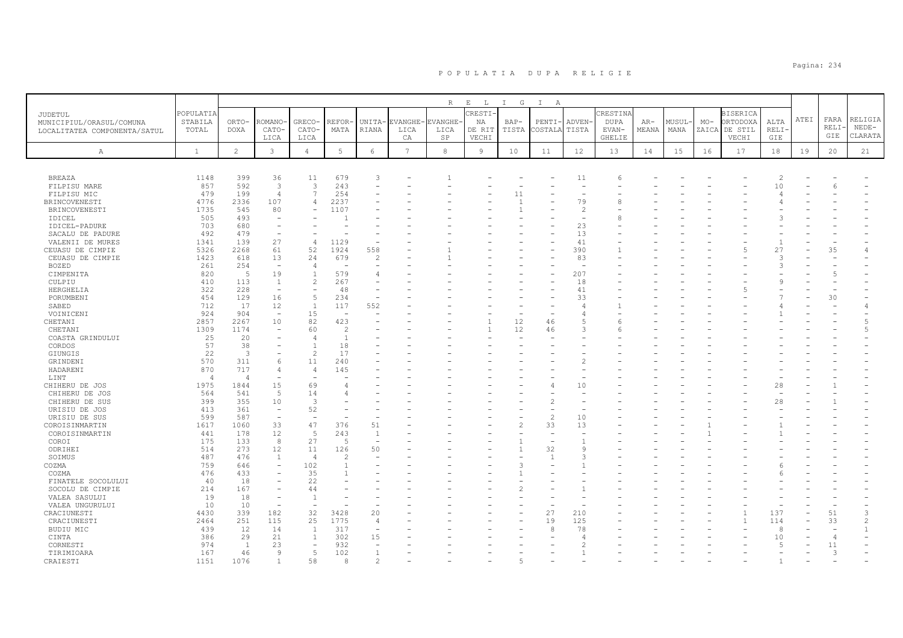| CRESTI-<br>POPULATIA<br>CRESTINA<br><b>BISERICA</b><br>JUDETUL<br>ATEI<br>FARA<br>RELIGIA<br>ORTODOXA<br>STABILA<br>ROMANO<br>GRECO-<br>MUSUL-<br>ORTO-<br>REFOR-<br>UNITA-<br><b>EVANGHE</b><br>EVANGHE-<br>NA<br>$BAP-$<br>PENTI-<br>ADVEN-<br><b>DUPA</b><br>$AR-$<br>$MO-$<br>ALTA<br>MUNICIPIUL/ORASUL/COMUNA<br>RELI-<br>$NEDE-$<br>TISTA<br>COSTALA<br>MEANA<br>ZAICA<br>DE STIL<br>RELI-<br>TOTAL<br><b>DOXA</b><br>CATO-<br>CATO-<br>MATA<br>RIANA<br>LICA<br>DE RIT<br>TISTA<br>EVAN-<br>MANA<br>LICA<br>LOCALITATEA COMPONENTA/SATUL<br>GIE<br>CLARATA<br>SP<br>VECHI<br><b>GHELIE</b><br>VECHI<br>GIE<br>LICA<br>LICA<br>CA<br>$\overline{2}$<br>$\mathfrak{Z}$<br>$5\phantom{.0}$<br>$7\overline{ }$<br>$^{\rm 8}$<br>12<br>6<br>9<br>10<br>11<br>15<br>18<br>20<br>21<br>$\mathbf{1}$<br>$\overline{4}$<br>13<br>14<br>16<br>17<br>19<br>A<br>36<br>11<br>679<br>11<br><b>BREAZA</b><br>1148<br>399<br>3<br>$\overline{c}$<br>$\epsilon$<br>3<br>243<br>857<br>592<br>$\mathbf{3}$<br>10<br>FILPISU MARE<br>$\overline{\phantom{a}}$<br>Б<br>199<br>$\overline{7}$<br>254<br>479<br>$\overline{4}$<br>11<br>FILPISU MIC<br>$\sim$<br>79<br>4776<br>2336<br>107<br>2237<br>BRINCOVENESTI<br>4<br>8<br>1735<br>545<br>80<br>1107<br>$\overline{c}$<br>BRINCOVENESTI<br>505<br>493<br>IDICEL<br>680<br>23<br>703<br>IDICEL-PADURE<br>479<br>13<br>492<br>SACALU DE PADURE<br>27<br>41<br>139<br>VALENII DE MURES<br>1341<br>$\overline{4}$<br>1129<br>$\overline{\phantom{a}}$<br>61<br>52<br>390<br>CEUASU DE CIMPIE<br>5326<br>2268<br>1924<br>558<br>$\overline{5}$<br>27<br>35<br>24<br>83<br>CEUASU DE CIMPIE<br>1423<br>618<br>13<br>679<br>$\overline{2}$<br>P<br>254<br>BOZED<br>261<br>$\overline{4}$<br>$\overline{\phantom{a}}$<br>÷.<br>5<br>19<br>207<br>820<br>$\mathbf{1}$<br>579<br>CIMPENITA<br>4<br>113<br>$\mathbf{2}$<br>410<br>267<br>18<br>CULPIU<br>1<br>322<br>228<br>41<br>48<br>HERGHELIA<br>$\overline{\phantom{a}}$<br>$\overline{\phantom{a}}$<br>$\overline{\phantom{0}}$<br>5<br>129<br>16<br>234<br>33<br>30<br>PORUMBENI<br>454<br>17<br>$\mathbf{1}$<br>712<br>12<br>117<br>552<br>SABED<br>$\overline{4}$<br>924<br>15<br>904<br>VOINICENI<br>$\overline{\phantom{a}}$<br>÷<br>$\angle$<br>82<br>423<br>12<br>2857<br>2267<br>10<br>5<br>CHETANI<br>46<br>6<br>1174<br>60<br>$\overline{c}$<br>12<br>3<br>1309<br>CHETANI<br>46<br>5<br>25<br>20<br>$\overline{1}$<br>COASTA GRINDULUI<br>$\overline{4}$<br>57<br>38<br>18<br>CORDOS<br>$\mathbf{1}$<br>22<br>$\overline{3}$<br>$\mathbf{2}$<br>17<br>GIUNGIS<br>11<br>570<br>311<br>240<br>GRINDENI<br>$\epsilon$<br>2<br>717<br>870<br>145<br>HADARENI<br>$\overline{4}$<br>$\overline{a}$<br>LINT<br>$\overline{4}$<br>$\overline{a}$<br>15<br>69<br>1975<br>1844<br>10<br>CHIHERU DE JOS<br>28<br>4<br>5<br>564<br>541<br>14<br>CHIHERU DE JOS<br>4<br>355<br>399<br>10<br>3<br>28<br>CHIHERU DE SUS<br>361<br>52<br>413<br>URISIU DE JOS<br>$\overline{\phantom{a}}$<br>587<br>$\overline{c}$<br>10<br>599<br>URISIU DE SUS<br>$\overline{\phantom{a}}$<br>$\overline{\phantom{a}}$<br>33<br>47<br>$\overline{c}$<br>33<br>13<br>1617<br>1060<br>376<br>51<br>COROISINMARTIN<br>12<br>5<br>243<br>441<br>178<br>$\overline{1}$<br>COROISINMARTIN<br>$\sim$<br>133<br>27<br>175<br>8<br>$\overline{5}$<br>COROI<br>÷<br>273<br>32<br>514<br>12<br>11<br>126<br>50<br>ODRIHEI<br>9<br>487<br>476<br>SOIMUS<br>1<br>$\mathcal{D}$<br>3<br>$\overline{4}$<br>$\overline{1}$<br>759<br>102<br>3<br>COZMA<br>646<br>$\overline{1}$<br>$\overline{\phantom{a}}$<br>476<br>433<br>35<br>COZMA<br>40<br>18<br>22<br>FINATELE SOCOLULUI<br>167<br>214<br>44<br>SOCOLU DE CIMPIE<br>19<br>18<br>VALEA SASULUI<br>$\mathbf{1}$<br>$\overline{\phantom{a}}$<br>10<br>10<br>VALEA UNGURULUI<br>$\overline{\phantom{a}}$<br>÷<br>339<br>182<br>32<br>3428<br>20<br>27<br>210<br>137<br>51<br>4430<br>3<br>CRACIUNESTI<br>251<br>115<br>25<br>1775<br>19<br>125<br>114<br>33<br>2464<br>$\overline{4}$<br>CRACIUNESTI<br>14<br>317<br>8<br>78<br>8<br>BUDIU MIC<br>439<br>12<br>1<br>$\overline{\phantom{0}}$<br>386<br>29<br>21<br>302<br>15<br>10<br>$\mathbf{1}$<br>CINTA<br>$\angle$<br>23<br>932<br>CORNESTI<br>974<br>1<br>$\overline{c}$<br>5<br>11<br>$\overline{\phantom{a}}$<br>$\overline{a}$<br>5<br>102<br>167<br>46<br>q<br>TIRIMIOARA<br>$\mathbf{1}$<br>3<br>2<br>5<br>$\overline{1}$<br>8 |          |      |      |    |  |             |                              |     |                   |  |  |  |  |  |
|-----------------------------------------------------------------------------------------------------------------------------------------------------------------------------------------------------------------------------------------------------------------------------------------------------------------------------------------------------------------------------------------------------------------------------------------------------------------------------------------------------------------------------------------------------------------------------------------------------------------------------------------------------------------------------------------------------------------------------------------------------------------------------------------------------------------------------------------------------------------------------------------------------------------------------------------------------------------------------------------------------------------------------------------------------------------------------------------------------------------------------------------------------------------------------------------------------------------------------------------------------------------------------------------------------------------------------------------------------------------------------------------------------------------------------------------------------------------------------------------------------------------------------------------------------------------------------------------------------------------------------------------------------------------------------------------------------------------------------------------------------------------------------------------------------------------------------------------------------------------------------------------------------------------------------------------------------------------------------------------------------------------------------------------------------------------------------------------------------------------------------------------------------------------------------------------------------------------------------------------------------------------------------------------------------------------------------------------------------------------------------------------------------------------------------------------------------------------------------------------------------------------------------------------------------------------------------------------------------------------------------------------------------------------------------------------------------------------------------------------------------------------------------------------------------------------------------------------------------------------------------------------------------------------------------------------------------------------------------------------------------------------------------------------------------------------------------------------------------------------------------------------------------------------------------------------------------------------------------------------------------------------------------------------------------------------------------------------------------------------------------------------------------------------------------------------------------------------------------------------------------------------------------------------------------------------------------------------------------------------------------------------------------------------------------------------------------------------------------------------------------------------------------------------------------------------------------------------------------------------------------------------------------------------------------------------------------------------------------------------------------------------------------------------------------------------------------------------------------------------------------------------------------------------------------------------------------------------------------------------------------------------------------------------------------------------------------------------------------------------------------------------------|----------|------|------|----|--|-------------|------------------------------|-----|-------------------|--|--|--|--|--|
|                                                                                                                                                                                                                                                                                                                                                                                                                                                                                                                                                                                                                                                                                                                                                                                                                                                                                                                                                                                                                                                                                                                                                                                                                                                                                                                                                                                                                                                                                                                                                                                                                                                                                                                                                                                                                                                                                                                                                                                                                                                                                                                                                                                                                                                                                                                                                                                                                                                                                                                                                                                                                                                                                                                                                                                                                                                                                                                                                                                                                                                                                                                                                                                                                                                                                                                                                                                                                                                                                                                                                                                                                                                                                                                                                                                                                                                                                                                                                                                                                                                                                                                                                                                                                                                                                                                                                                                               |          |      |      |    |  | $\mathbb R$ | $\mathbf{E}$<br>$\mathbb{L}$ | I G | $\mathbf{I}$<br>A |  |  |  |  |  |
|                                                                                                                                                                                                                                                                                                                                                                                                                                                                                                                                                                                                                                                                                                                                                                                                                                                                                                                                                                                                                                                                                                                                                                                                                                                                                                                                                                                                                                                                                                                                                                                                                                                                                                                                                                                                                                                                                                                                                                                                                                                                                                                                                                                                                                                                                                                                                                                                                                                                                                                                                                                                                                                                                                                                                                                                                                                                                                                                                                                                                                                                                                                                                                                                                                                                                                                                                                                                                                                                                                                                                                                                                                                                                                                                                                                                                                                                                                                                                                                                                                                                                                                                                                                                                                                                                                                                                                                               |          |      |      |    |  |             |                              |     |                   |  |  |  |  |  |
|                                                                                                                                                                                                                                                                                                                                                                                                                                                                                                                                                                                                                                                                                                                                                                                                                                                                                                                                                                                                                                                                                                                                                                                                                                                                                                                                                                                                                                                                                                                                                                                                                                                                                                                                                                                                                                                                                                                                                                                                                                                                                                                                                                                                                                                                                                                                                                                                                                                                                                                                                                                                                                                                                                                                                                                                                                                                                                                                                                                                                                                                                                                                                                                                                                                                                                                                                                                                                                                                                                                                                                                                                                                                                                                                                                                                                                                                                                                                                                                                                                                                                                                                                                                                                                                                                                                                                                                               |          |      |      |    |  |             |                              |     |                   |  |  |  |  |  |
|                                                                                                                                                                                                                                                                                                                                                                                                                                                                                                                                                                                                                                                                                                                                                                                                                                                                                                                                                                                                                                                                                                                                                                                                                                                                                                                                                                                                                                                                                                                                                                                                                                                                                                                                                                                                                                                                                                                                                                                                                                                                                                                                                                                                                                                                                                                                                                                                                                                                                                                                                                                                                                                                                                                                                                                                                                                                                                                                                                                                                                                                                                                                                                                                                                                                                                                                                                                                                                                                                                                                                                                                                                                                                                                                                                                                                                                                                                                                                                                                                                                                                                                                                                                                                                                                                                                                                                                               |          |      |      |    |  |             |                              |     |                   |  |  |  |  |  |
|                                                                                                                                                                                                                                                                                                                                                                                                                                                                                                                                                                                                                                                                                                                                                                                                                                                                                                                                                                                                                                                                                                                                                                                                                                                                                                                                                                                                                                                                                                                                                                                                                                                                                                                                                                                                                                                                                                                                                                                                                                                                                                                                                                                                                                                                                                                                                                                                                                                                                                                                                                                                                                                                                                                                                                                                                                                                                                                                                                                                                                                                                                                                                                                                                                                                                                                                                                                                                                                                                                                                                                                                                                                                                                                                                                                                                                                                                                                                                                                                                                                                                                                                                                                                                                                                                                                                                                                               |          |      |      |    |  |             |                              |     |                   |  |  |  |  |  |
|                                                                                                                                                                                                                                                                                                                                                                                                                                                                                                                                                                                                                                                                                                                                                                                                                                                                                                                                                                                                                                                                                                                                                                                                                                                                                                                                                                                                                                                                                                                                                                                                                                                                                                                                                                                                                                                                                                                                                                                                                                                                                                                                                                                                                                                                                                                                                                                                                                                                                                                                                                                                                                                                                                                                                                                                                                                                                                                                                                                                                                                                                                                                                                                                                                                                                                                                                                                                                                                                                                                                                                                                                                                                                                                                                                                                                                                                                                                                                                                                                                                                                                                                                                                                                                                                                                                                                                                               |          |      |      |    |  |             |                              |     |                   |  |  |  |  |  |
|                                                                                                                                                                                                                                                                                                                                                                                                                                                                                                                                                                                                                                                                                                                                                                                                                                                                                                                                                                                                                                                                                                                                                                                                                                                                                                                                                                                                                                                                                                                                                                                                                                                                                                                                                                                                                                                                                                                                                                                                                                                                                                                                                                                                                                                                                                                                                                                                                                                                                                                                                                                                                                                                                                                                                                                                                                                                                                                                                                                                                                                                                                                                                                                                                                                                                                                                                                                                                                                                                                                                                                                                                                                                                                                                                                                                                                                                                                                                                                                                                                                                                                                                                                                                                                                                                                                                                                                               |          |      |      |    |  |             |                              |     |                   |  |  |  |  |  |
|                                                                                                                                                                                                                                                                                                                                                                                                                                                                                                                                                                                                                                                                                                                                                                                                                                                                                                                                                                                                                                                                                                                                                                                                                                                                                                                                                                                                                                                                                                                                                                                                                                                                                                                                                                                                                                                                                                                                                                                                                                                                                                                                                                                                                                                                                                                                                                                                                                                                                                                                                                                                                                                                                                                                                                                                                                                                                                                                                                                                                                                                                                                                                                                                                                                                                                                                                                                                                                                                                                                                                                                                                                                                                                                                                                                                                                                                                                                                                                                                                                                                                                                                                                                                                                                                                                                                                                                               |          |      |      |    |  |             |                              |     |                   |  |  |  |  |  |
|                                                                                                                                                                                                                                                                                                                                                                                                                                                                                                                                                                                                                                                                                                                                                                                                                                                                                                                                                                                                                                                                                                                                                                                                                                                                                                                                                                                                                                                                                                                                                                                                                                                                                                                                                                                                                                                                                                                                                                                                                                                                                                                                                                                                                                                                                                                                                                                                                                                                                                                                                                                                                                                                                                                                                                                                                                                                                                                                                                                                                                                                                                                                                                                                                                                                                                                                                                                                                                                                                                                                                                                                                                                                                                                                                                                                                                                                                                                                                                                                                                                                                                                                                                                                                                                                                                                                                                                               |          |      |      |    |  |             |                              |     |                   |  |  |  |  |  |
|                                                                                                                                                                                                                                                                                                                                                                                                                                                                                                                                                                                                                                                                                                                                                                                                                                                                                                                                                                                                                                                                                                                                                                                                                                                                                                                                                                                                                                                                                                                                                                                                                                                                                                                                                                                                                                                                                                                                                                                                                                                                                                                                                                                                                                                                                                                                                                                                                                                                                                                                                                                                                                                                                                                                                                                                                                                                                                                                                                                                                                                                                                                                                                                                                                                                                                                                                                                                                                                                                                                                                                                                                                                                                                                                                                                                                                                                                                                                                                                                                                                                                                                                                                                                                                                                                                                                                                                               |          |      |      |    |  |             |                              |     |                   |  |  |  |  |  |
|                                                                                                                                                                                                                                                                                                                                                                                                                                                                                                                                                                                                                                                                                                                                                                                                                                                                                                                                                                                                                                                                                                                                                                                                                                                                                                                                                                                                                                                                                                                                                                                                                                                                                                                                                                                                                                                                                                                                                                                                                                                                                                                                                                                                                                                                                                                                                                                                                                                                                                                                                                                                                                                                                                                                                                                                                                                                                                                                                                                                                                                                                                                                                                                                                                                                                                                                                                                                                                                                                                                                                                                                                                                                                                                                                                                                                                                                                                                                                                                                                                                                                                                                                                                                                                                                                                                                                                                               |          |      |      |    |  |             |                              |     |                   |  |  |  |  |  |
|                                                                                                                                                                                                                                                                                                                                                                                                                                                                                                                                                                                                                                                                                                                                                                                                                                                                                                                                                                                                                                                                                                                                                                                                                                                                                                                                                                                                                                                                                                                                                                                                                                                                                                                                                                                                                                                                                                                                                                                                                                                                                                                                                                                                                                                                                                                                                                                                                                                                                                                                                                                                                                                                                                                                                                                                                                                                                                                                                                                                                                                                                                                                                                                                                                                                                                                                                                                                                                                                                                                                                                                                                                                                                                                                                                                                                                                                                                                                                                                                                                                                                                                                                                                                                                                                                                                                                                                               |          |      |      |    |  |             |                              |     |                   |  |  |  |  |  |
|                                                                                                                                                                                                                                                                                                                                                                                                                                                                                                                                                                                                                                                                                                                                                                                                                                                                                                                                                                                                                                                                                                                                                                                                                                                                                                                                                                                                                                                                                                                                                                                                                                                                                                                                                                                                                                                                                                                                                                                                                                                                                                                                                                                                                                                                                                                                                                                                                                                                                                                                                                                                                                                                                                                                                                                                                                                                                                                                                                                                                                                                                                                                                                                                                                                                                                                                                                                                                                                                                                                                                                                                                                                                                                                                                                                                                                                                                                                                                                                                                                                                                                                                                                                                                                                                                                                                                                                               |          |      |      |    |  |             |                              |     |                   |  |  |  |  |  |
|                                                                                                                                                                                                                                                                                                                                                                                                                                                                                                                                                                                                                                                                                                                                                                                                                                                                                                                                                                                                                                                                                                                                                                                                                                                                                                                                                                                                                                                                                                                                                                                                                                                                                                                                                                                                                                                                                                                                                                                                                                                                                                                                                                                                                                                                                                                                                                                                                                                                                                                                                                                                                                                                                                                                                                                                                                                                                                                                                                                                                                                                                                                                                                                                                                                                                                                                                                                                                                                                                                                                                                                                                                                                                                                                                                                                                                                                                                                                                                                                                                                                                                                                                                                                                                                                                                                                                                                               |          |      |      |    |  |             |                              |     |                   |  |  |  |  |  |
|                                                                                                                                                                                                                                                                                                                                                                                                                                                                                                                                                                                                                                                                                                                                                                                                                                                                                                                                                                                                                                                                                                                                                                                                                                                                                                                                                                                                                                                                                                                                                                                                                                                                                                                                                                                                                                                                                                                                                                                                                                                                                                                                                                                                                                                                                                                                                                                                                                                                                                                                                                                                                                                                                                                                                                                                                                                                                                                                                                                                                                                                                                                                                                                                                                                                                                                                                                                                                                                                                                                                                                                                                                                                                                                                                                                                                                                                                                                                                                                                                                                                                                                                                                                                                                                                                                                                                                                               |          |      |      |    |  |             |                              |     |                   |  |  |  |  |  |
|                                                                                                                                                                                                                                                                                                                                                                                                                                                                                                                                                                                                                                                                                                                                                                                                                                                                                                                                                                                                                                                                                                                                                                                                                                                                                                                                                                                                                                                                                                                                                                                                                                                                                                                                                                                                                                                                                                                                                                                                                                                                                                                                                                                                                                                                                                                                                                                                                                                                                                                                                                                                                                                                                                                                                                                                                                                                                                                                                                                                                                                                                                                                                                                                                                                                                                                                                                                                                                                                                                                                                                                                                                                                                                                                                                                                                                                                                                                                                                                                                                                                                                                                                                                                                                                                                                                                                                                               |          |      |      |    |  |             |                              |     |                   |  |  |  |  |  |
|                                                                                                                                                                                                                                                                                                                                                                                                                                                                                                                                                                                                                                                                                                                                                                                                                                                                                                                                                                                                                                                                                                                                                                                                                                                                                                                                                                                                                                                                                                                                                                                                                                                                                                                                                                                                                                                                                                                                                                                                                                                                                                                                                                                                                                                                                                                                                                                                                                                                                                                                                                                                                                                                                                                                                                                                                                                                                                                                                                                                                                                                                                                                                                                                                                                                                                                                                                                                                                                                                                                                                                                                                                                                                                                                                                                                                                                                                                                                                                                                                                                                                                                                                                                                                                                                                                                                                                                               |          |      |      |    |  |             |                              |     |                   |  |  |  |  |  |
|                                                                                                                                                                                                                                                                                                                                                                                                                                                                                                                                                                                                                                                                                                                                                                                                                                                                                                                                                                                                                                                                                                                                                                                                                                                                                                                                                                                                                                                                                                                                                                                                                                                                                                                                                                                                                                                                                                                                                                                                                                                                                                                                                                                                                                                                                                                                                                                                                                                                                                                                                                                                                                                                                                                                                                                                                                                                                                                                                                                                                                                                                                                                                                                                                                                                                                                                                                                                                                                                                                                                                                                                                                                                                                                                                                                                                                                                                                                                                                                                                                                                                                                                                                                                                                                                                                                                                                                               |          |      |      |    |  |             |                              |     |                   |  |  |  |  |  |
|                                                                                                                                                                                                                                                                                                                                                                                                                                                                                                                                                                                                                                                                                                                                                                                                                                                                                                                                                                                                                                                                                                                                                                                                                                                                                                                                                                                                                                                                                                                                                                                                                                                                                                                                                                                                                                                                                                                                                                                                                                                                                                                                                                                                                                                                                                                                                                                                                                                                                                                                                                                                                                                                                                                                                                                                                                                                                                                                                                                                                                                                                                                                                                                                                                                                                                                                                                                                                                                                                                                                                                                                                                                                                                                                                                                                                                                                                                                                                                                                                                                                                                                                                                                                                                                                                                                                                                                               |          |      |      |    |  |             |                              |     |                   |  |  |  |  |  |
|                                                                                                                                                                                                                                                                                                                                                                                                                                                                                                                                                                                                                                                                                                                                                                                                                                                                                                                                                                                                                                                                                                                                                                                                                                                                                                                                                                                                                                                                                                                                                                                                                                                                                                                                                                                                                                                                                                                                                                                                                                                                                                                                                                                                                                                                                                                                                                                                                                                                                                                                                                                                                                                                                                                                                                                                                                                                                                                                                                                                                                                                                                                                                                                                                                                                                                                                                                                                                                                                                                                                                                                                                                                                                                                                                                                                                                                                                                                                                                                                                                                                                                                                                                                                                                                                                                                                                                                               |          |      |      |    |  |             |                              |     |                   |  |  |  |  |  |
|                                                                                                                                                                                                                                                                                                                                                                                                                                                                                                                                                                                                                                                                                                                                                                                                                                                                                                                                                                                                                                                                                                                                                                                                                                                                                                                                                                                                                                                                                                                                                                                                                                                                                                                                                                                                                                                                                                                                                                                                                                                                                                                                                                                                                                                                                                                                                                                                                                                                                                                                                                                                                                                                                                                                                                                                                                                                                                                                                                                                                                                                                                                                                                                                                                                                                                                                                                                                                                                                                                                                                                                                                                                                                                                                                                                                                                                                                                                                                                                                                                                                                                                                                                                                                                                                                                                                                                                               |          |      |      |    |  |             |                              |     |                   |  |  |  |  |  |
|                                                                                                                                                                                                                                                                                                                                                                                                                                                                                                                                                                                                                                                                                                                                                                                                                                                                                                                                                                                                                                                                                                                                                                                                                                                                                                                                                                                                                                                                                                                                                                                                                                                                                                                                                                                                                                                                                                                                                                                                                                                                                                                                                                                                                                                                                                                                                                                                                                                                                                                                                                                                                                                                                                                                                                                                                                                                                                                                                                                                                                                                                                                                                                                                                                                                                                                                                                                                                                                                                                                                                                                                                                                                                                                                                                                                                                                                                                                                                                                                                                                                                                                                                                                                                                                                                                                                                                                               |          |      |      |    |  |             |                              |     |                   |  |  |  |  |  |
|                                                                                                                                                                                                                                                                                                                                                                                                                                                                                                                                                                                                                                                                                                                                                                                                                                                                                                                                                                                                                                                                                                                                                                                                                                                                                                                                                                                                                                                                                                                                                                                                                                                                                                                                                                                                                                                                                                                                                                                                                                                                                                                                                                                                                                                                                                                                                                                                                                                                                                                                                                                                                                                                                                                                                                                                                                                                                                                                                                                                                                                                                                                                                                                                                                                                                                                                                                                                                                                                                                                                                                                                                                                                                                                                                                                                                                                                                                                                                                                                                                                                                                                                                                                                                                                                                                                                                                                               |          |      |      |    |  |             |                              |     |                   |  |  |  |  |  |
|                                                                                                                                                                                                                                                                                                                                                                                                                                                                                                                                                                                                                                                                                                                                                                                                                                                                                                                                                                                                                                                                                                                                                                                                                                                                                                                                                                                                                                                                                                                                                                                                                                                                                                                                                                                                                                                                                                                                                                                                                                                                                                                                                                                                                                                                                                                                                                                                                                                                                                                                                                                                                                                                                                                                                                                                                                                                                                                                                                                                                                                                                                                                                                                                                                                                                                                                                                                                                                                                                                                                                                                                                                                                                                                                                                                                                                                                                                                                                                                                                                                                                                                                                                                                                                                                                                                                                                                               |          |      |      |    |  |             |                              |     |                   |  |  |  |  |  |
|                                                                                                                                                                                                                                                                                                                                                                                                                                                                                                                                                                                                                                                                                                                                                                                                                                                                                                                                                                                                                                                                                                                                                                                                                                                                                                                                                                                                                                                                                                                                                                                                                                                                                                                                                                                                                                                                                                                                                                                                                                                                                                                                                                                                                                                                                                                                                                                                                                                                                                                                                                                                                                                                                                                                                                                                                                                                                                                                                                                                                                                                                                                                                                                                                                                                                                                                                                                                                                                                                                                                                                                                                                                                                                                                                                                                                                                                                                                                                                                                                                                                                                                                                                                                                                                                                                                                                                                               |          |      |      |    |  |             |                              |     |                   |  |  |  |  |  |
|                                                                                                                                                                                                                                                                                                                                                                                                                                                                                                                                                                                                                                                                                                                                                                                                                                                                                                                                                                                                                                                                                                                                                                                                                                                                                                                                                                                                                                                                                                                                                                                                                                                                                                                                                                                                                                                                                                                                                                                                                                                                                                                                                                                                                                                                                                                                                                                                                                                                                                                                                                                                                                                                                                                                                                                                                                                                                                                                                                                                                                                                                                                                                                                                                                                                                                                                                                                                                                                                                                                                                                                                                                                                                                                                                                                                                                                                                                                                                                                                                                                                                                                                                                                                                                                                                                                                                                                               |          |      |      |    |  |             |                              |     |                   |  |  |  |  |  |
|                                                                                                                                                                                                                                                                                                                                                                                                                                                                                                                                                                                                                                                                                                                                                                                                                                                                                                                                                                                                                                                                                                                                                                                                                                                                                                                                                                                                                                                                                                                                                                                                                                                                                                                                                                                                                                                                                                                                                                                                                                                                                                                                                                                                                                                                                                                                                                                                                                                                                                                                                                                                                                                                                                                                                                                                                                                                                                                                                                                                                                                                                                                                                                                                                                                                                                                                                                                                                                                                                                                                                                                                                                                                                                                                                                                                                                                                                                                                                                                                                                                                                                                                                                                                                                                                                                                                                                                               |          |      |      |    |  |             |                              |     |                   |  |  |  |  |  |
|                                                                                                                                                                                                                                                                                                                                                                                                                                                                                                                                                                                                                                                                                                                                                                                                                                                                                                                                                                                                                                                                                                                                                                                                                                                                                                                                                                                                                                                                                                                                                                                                                                                                                                                                                                                                                                                                                                                                                                                                                                                                                                                                                                                                                                                                                                                                                                                                                                                                                                                                                                                                                                                                                                                                                                                                                                                                                                                                                                                                                                                                                                                                                                                                                                                                                                                                                                                                                                                                                                                                                                                                                                                                                                                                                                                                                                                                                                                                                                                                                                                                                                                                                                                                                                                                                                                                                                                               |          |      |      |    |  |             |                              |     |                   |  |  |  |  |  |
|                                                                                                                                                                                                                                                                                                                                                                                                                                                                                                                                                                                                                                                                                                                                                                                                                                                                                                                                                                                                                                                                                                                                                                                                                                                                                                                                                                                                                                                                                                                                                                                                                                                                                                                                                                                                                                                                                                                                                                                                                                                                                                                                                                                                                                                                                                                                                                                                                                                                                                                                                                                                                                                                                                                                                                                                                                                                                                                                                                                                                                                                                                                                                                                                                                                                                                                                                                                                                                                                                                                                                                                                                                                                                                                                                                                                                                                                                                                                                                                                                                                                                                                                                                                                                                                                                                                                                                                               |          |      |      |    |  |             |                              |     |                   |  |  |  |  |  |
|                                                                                                                                                                                                                                                                                                                                                                                                                                                                                                                                                                                                                                                                                                                                                                                                                                                                                                                                                                                                                                                                                                                                                                                                                                                                                                                                                                                                                                                                                                                                                                                                                                                                                                                                                                                                                                                                                                                                                                                                                                                                                                                                                                                                                                                                                                                                                                                                                                                                                                                                                                                                                                                                                                                                                                                                                                                                                                                                                                                                                                                                                                                                                                                                                                                                                                                                                                                                                                                                                                                                                                                                                                                                                                                                                                                                                                                                                                                                                                                                                                                                                                                                                                                                                                                                                                                                                                                               |          |      |      |    |  |             |                              |     |                   |  |  |  |  |  |
|                                                                                                                                                                                                                                                                                                                                                                                                                                                                                                                                                                                                                                                                                                                                                                                                                                                                                                                                                                                                                                                                                                                                                                                                                                                                                                                                                                                                                                                                                                                                                                                                                                                                                                                                                                                                                                                                                                                                                                                                                                                                                                                                                                                                                                                                                                                                                                                                                                                                                                                                                                                                                                                                                                                                                                                                                                                                                                                                                                                                                                                                                                                                                                                                                                                                                                                                                                                                                                                                                                                                                                                                                                                                                                                                                                                                                                                                                                                                                                                                                                                                                                                                                                                                                                                                                                                                                                                               |          |      |      |    |  |             |                              |     |                   |  |  |  |  |  |
|                                                                                                                                                                                                                                                                                                                                                                                                                                                                                                                                                                                                                                                                                                                                                                                                                                                                                                                                                                                                                                                                                                                                                                                                                                                                                                                                                                                                                                                                                                                                                                                                                                                                                                                                                                                                                                                                                                                                                                                                                                                                                                                                                                                                                                                                                                                                                                                                                                                                                                                                                                                                                                                                                                                                                                                                                                                                                                                                                                                                                                                                                                                                                                                                                                                                                                                                                                                                                                                                                                                                                                                                                                                                                                                                                                                                                                                                                                                                                                                                                                                                                                                                                                                                                                                                                                                                                                                               |          |      |      |    |  |             |                              |     |                   |  |  |  |  |  |
|                                                                                                                                                                                                                                                                                                                                                                                                                                                                                                                                                                                                                                                                                                                                                                                                                                                                                                                                                                                                                                                                                                                                                                                                                                                                                                                                                                                                                                                                                                                                                                                                                                                                                                                                                                                                                                                                                                                                                                                                                                                                                                                                                                                                                                                                                                                                                                                                                                                                                                                                                                                                                                                                                                                                                                                                                                                                                                                                                                                                                                                                                                                                                                                                                                                                                                                                                                                                                                                                                                                                                                                                                                                                                                                                                                                                                                                                                                                                                                                                                                                                                                                                                                                                                                                                                                                                                                                               |          |      |      |    |  |             |                              |     |                   |  |  |  |  |  |
|                                                                                                                                                                                                                                                                                                                                                                                                                                                                                                                                                                                                                                                                                                                                                                                                                                                                                                                                                                                                                                                                                                                                                                                                                                                                                                                                                                                                                                                                                                                                                                                                                                                                                                                                                                                                                                                                                                                                                                                                                                                                                                                                                                                                                                                                                                                                                                                                                                                                                                                                                                                                                                                                                                                                                                                                                                                                                                                                                                                                                                                                                                                                                                                                                                                                                                                                                                                                                                                                                                                                                                                                                                                                                                                                                                                                                                                                                                                                                                                                                                                                                                                                                                                                                                                                                                                                                                                               |          |      |      |    |  |             |                              |     |                   |  |  |  |  |  |
|                                                                                                                                                                                                                                                                                                                                                                                                                                                                                                                                                                                                                                                                                                                                                                                                                                                                                                                                                                                                                                                                                                                                                                                                                                                                                                                                                                                                                                                                                                                                                                                                                                                                                                                                                                                                                                                                                                                                                                                                                                                                                                                                                                                                                                                                                                                                                                                                                                                                                                                                                                                                                                                                                                                                                                                                                                                                                                                                                                                                                                                                                                                                                                                                                                                                                                                                                                                                                                                                                                                                                                                                                                                                                                                                                                                                                                                                                                                                                                                                                                                                                                                                                                                                                                                                                                                                                                                               |          |      |      |    |  |             |                              |     |                   |  |  |  |  |  |
|                                                                                                                                                                                                                                                                                                                                                                                                                                                                                                                                                                                                                                                                                                                                                                                                                                                                                                                                                                                                                                                                                                                                                                                                                                                                                                                                                                                                                                                                                                                                                                                                                                                                                                                                                                                                                                                                                                                                                                                                                                                                                                                                                                                                                                                                                                                                                                                                                                                                                                                                                                                                                                                                                                                                                                                                                                                                                                                                                                                                                                                                                                                                                                                                                                                                                                                                                                                                                                                                                                                                                                                                                                                                                                                                                                                                                                                                                                                                                                                                                                                                                                                                                                                                                                                                                                                                                                                               |          |      |      |    |  |             |                              |     |                   |  |  |  |  |  |
|                                                                                                                                                                                                                                                                                                                                                                                                                                                                                                                                                                                                                                                                                                                                                                                                                                                                                                                                                                                                                                                                                                                                                                                                                                                                                                                                                                                                                                                                                                                                                                                                                                                                                                                                                                                                                                                                                                                                                                                                                                                                                                                                                                                                                                                                                                                                                                                                                                                                                                                                                                                                                                                                                                                                                                                                                                                                                                                                                                                                                                                                                                                                                                                                                                                                                                                                                                                                                                                                                                                                                                                                                                                                                                                                                                                                                                                                                                                                                                                                                                                                                                                                                                                                                                                                                                                                                                                               |          |      |      |    |  |             |                              |     |                   |  |  |  |  |  |
|                                                                                                                                                                                                                                                                                                                                                                                                                                                                                                                                                                                                                                                                                                                                                                                                                                                                                                                                                                                                                                                                                                                                                                                                                                                                                                                                                                                                                                                                                                                                                                                                                                                                                                                                                                                                                                                                                                                                                                                                                                                                                                                                                                                                                                                                                                                                                                                                                                                                                                                                                                                                                                                                                                                                                                                                                                                                                                                                                                                                                                                                                                                                                                                                                                                                                                                                                                                                                                                                                                                                                                                                                                                                                                                                                                                                                                                                                                                                                                                                                                                                                                                                                                                                                                                                                                                                                                                               |          |      |      |    |  |             |                              |     |                   |  |  |  |  |  |
|                                                                                                                                                                                                                                                                                                                                                                                                                                                                                                                                                                                                                                                                                                                                                                                                                                                                                                                                                                                                                                                                                                                                                                                                                                                                                                                                                                                                                                                                                                                                                                                                                                                                                                                                                                                                                                                                                                                                                                                                                                                                                                                                                                                                                                                                                                                                                                                                                                                                                                                                                                                                                                                                                                                                                                                                                                                                                                                                                                                                                                                                                                                                                                                                                                                                                                                                                                                                                                                                                                                                                                                                                                                                                                                                                                                                                                                                                                                                                                                                                                                                                                                                                                                                                                                                                                                                                                                               |          |      |      |    |  |             |                              |     |                   |  |  |  |  |  |
|                                                                                                                                                                                                                                                                                                                                                                                                                                                                                                                                                                                                                                                                                                                                                                                                                                                                                                                                                                                                                                                                                                                                                                                                                                                                                                                                                                                                                                                                                                                                                                                                                                                                                                                                                                                                                                                                                                                                                                                                                                                                                                                                                                                                                                                                                                                                                                                                                                                                                                                                                                                                                                                                                                                                                                                                                                                                                                                                                                                                                                                                                                                                                                                                                                                                                                                                                                                                                                                                                                                                                                                                                                                                                                                                                                                                                                                                                                                                                                                                                                                                                                                                                                                                                                                                                                                                                                                               |          |      |      |    |  |             |                              |     |                   |  |  |  |  |  |
|                                                                                                                                                                                                                                                                                                                                                                                                                                                                                                                                                                                                                                                                                                                                                                                                                                                                                                                                                                                                                                                                                                                                                                                                                                                                                                                                                                                                                                                                                                                                                                                                                                                                                                                                                                                                                                                                                                                                                                                                                                                                                                                                                                                                                                                                                                                                                                                                                                                                                                                                                                                                                                                                                                                                                                                                                                                                                                                                                                                                                                                                                                                                                                                                                                                                                                                                                                                                                                                                                                                                                                                                                                                                                                                                                                                                                                                                                                                                                                                                                                                                                                                                                                                                                                                                                                                                                                                               |          |      |      |    |  |             |                              |     |                   |  |  |  |  |  |
|                                                                                                                                                                                                                                                                                                                                                                                                                                                                                                                                                                                                                                                                                                                                                                                                                                                                                                                                                                                                                                                                                                                                                                                                                                                                                                                                                                                                                                                                                                                                                                                                                                                                                                                                                                                                                                                                                                                                                                                                                                                                                                                                                                                                                                                                                                                                                                                                                                                                                                                                                                                                                                                                                                                                                                                                                                                                                                                                                                                                                                                                                                                                                                                                                                                                                                                                                                                                                                                                                                                                                                                                                                                                                                                                                                                                                                                                                                                                                                                                                                                                                                                                                                                                                                                                                                                                                                                               |          |      |      |    |  |             |                              |     |                   |  |  |  |  |  |
|                                                                                                                                                                                                                                                                                                                                                                                                                                                                                                                                                                                                                                                                                                                                                                                                                                                                                                                                                                                                                                                                                                                                                                                                                                                                                                                                                                                                                                                                                                                                                                                                                                                                                                                                                                                                                                                                                                                                                                                                                                                                                                                                                                                                                                                                                                                                                                                                                                                                                                                                                                                                                                                                                                                                                                                                                                                                                                                                                                                                                                                                                                                                                                                                                                                                                                                                                                                                                                                                                                                                                                                                                                                                                                                                                                                                                                                                                                                                                                                                                                                                                                                                                                                                                                                                                                                                                                                               |          |      |      |    |  |             |                              |     |                   |  |  |  |  |  |
|                                                                                                                                                                                                                                                                                                                                                                                                                                                                                                                                                                                                                                                                                                                                                                                                                                                                                                                                                                                                                                                                                                                                                                                                                                                                                                                                                                                                                                                                                                                                                                                                                                                                                                                                                                                                                                                                                                                                                                                                                                                                                                                                                                                                                                                                                                                                                                                                                                                                                                                                                                                                                                                                                                                                                                                                                                                                                                                                                                                                                                                                                                                                                                                                                                                                                                                                                                                                                                                                                                                                                                                                                                                                                                                                                                                                                                                                                                                                                                                                                                                                                                                                                                                                                                                                                                                                                                                               |          |      |      |    |  |             |                              |     |                   |  |  |  |  |  |
|                                                                                                                                                                                                                                                                                                                                                                                                                                                                                                                                                                                                                                                                                                                                                                                                                                                                                                                                                                                                                                                                                                                                                                                                                                                                                                                                                                                                                                                                                                                                                                                                                                                                                                                                                                                                                                                                                                                                                                                                                                                                                                                                                                                                                                                                                                                                                                                                                                                                                                                                                                                                                                                                                                                                                                                                                                                                                                                                                                                                                                                                                                                                                                                                                                                                                                                                                                                                                                                                                                                                                                                                                                                                                                                                                                                                                                                                                                                                                                                                                                                                                                                                                                                                                                                                                                                                                                                               |          |      |      |    |  |             |                              |     |                   |  |  |  |  |  |
|                                                                                                                                                                                                                                                                                                                                                                                                                                                                                                                                                                                                                                                                                                                                                                                                                                                                                                                                                                                                                                                                                                                                                                                                                                                                                                                                                                                                                                                                                                                                                                                                                                                                                                                                                                                                                                                                                                                                                                                                                                                                                                                                                                                                                                                                                                                                                                                                                                                                                                                                                                                                                                                                                                                                                                                                                                                                                                                                                                                                                                                                                                                                                                                                                                                                                                                                                                                                                                                                                                                                                                                                                                                                                                                                                                                                                                                                                                                                                                                                                                                                                                                                                                                                                                                                                                                                                                                               |          |      |      |    |  |             |                              |     |                   |  |  |  |  |  |
|                                                                                                                                                                                                                                                                                                                                                                                                                                                                                                                                                                                                                                                                                                                                                                                                                                                                                                                                                                                                                                                                                                                                                                                                                                                                                                                                                                                                                                                                                                                                                                                                                                                                                                                                                                                                                                                                                                                                                                                                                                                                                                                                                                                                                                                                                                                                                                                                                                                                                                                                                                                                                                                                                                                                                                                                                                                                                                                                                                                                                                                                                                                                                                                                                                                                                                                                                                                                                                                                                                                                                                                                                                                                                                                                                                                                                                                                                                                                                                                                                                                                                                                                                                                                                                                                                                                                                                                               |          |      |      |    |  |             |                              |     |                   |  |  |  |  |  |
|                                                                                                                                                                                                                                                                                                                                                                                                                                                                                                                                                                                                                                                                                                                                                                                                                                                                                                                                                                                                                                                                                                                                                                                                                                                                                                                                                                                                                                                                                                                                                                                                                                                                                                                                                                                                                                                                                                                                                                                                                                                                                                                                                                                                                                                                                                                                                                                                                                                                                                                                                                                                                                                                                                                                                                                                                                                                                                                                                                                                                                                                                                                                                                                                                                                                                                                                                                                                                                                                                                                                                                                                                                                                                                                                                                                                                                                                                                                                                                                                                                                                                                                                                                                                                                                                                                                                                                                               |          |      |      |    |  |             |                              |     |                   |  |  |  |  |  |
|                                                                                                                                                                                                                                                                                                                                                                                                                                                                                                                                                                                                                                                                                                                                                                                                                                                                                                                                                                                                                                                                                                                                                                                                                                                                                                                                                                                                                                                                                                                                                                                                                                                                                                                                                                                                                                                                                                                                                                                                                                                                                                                                                                                                                                                                                                                                                                                                                                                                                                                                                                                                                                                                                                                                                                                                                                                                                                                                                                                                                                                                                                                                                                                                                                                                                                                                                                                                                                                                                                                                                                                                                                                                                                                                                                                                                                                                                                                                                                                                                                                                                                                                                                                                                                                                                                                                                                                               | CRAIESTI | 1151 | 1076 | 58 |  |             |                              |     |                   |  |  |  |  |  |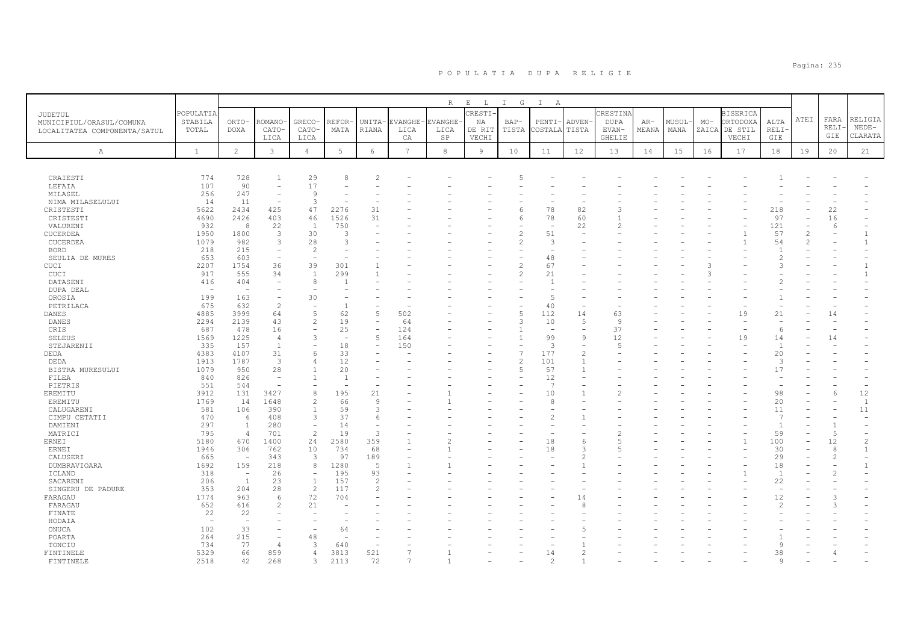|                                                                     |                               |                          |                          |                          |                          |                          |                       | $R_{\perp}$                  | $E$ $L$                         | $\mathbf{I}$<br>G | $\mathbb{I}$<br>A        |                 |                                                   |                |               |       |                                                       |                            |                |                            |                               |
|---------------------------------------------------------------------|-------------------------------|--------------------------|--------------------------|--------------------------|--------------------------|--------------------------|-----------------------|------------------------------|---------------------------------|-------------------|--------------------------|-----------------|---------------------------------------------------|----------------|---------------|-------|-------------------------------------------------------|----------------------------|----------------|----------------------------|-------------------------------|
| JUDETUL<br>MUNICIPIUL/ORASUL/COMUNA<br>LOCALITATEA COMPONENTA/SATUL | POPULATIA<br>STABILA<br>TOTAL | ORTO-<br><b>DOXA</b>     | ROMANO<br>CATO-<br>LICA  | GRECO-<br>CATO-<br>LICA  | REFOR<br>MATA            | UNITA-<br>RIANA          | EVANGHE<br>LICA<br>CA | <b>EVANGHE</b><br>LICA<br>SP | CRESTI<br>ΝA<br>DE RIT<br>VECHI | $BAP-$<br>TISTA   | PENTI-<br>COSTALA        | ADVEN-<br>TISTA | CRESTINA<br><b>DUPA</b><br>EVAN-<br><b>GHELIE</b> | $AR-$<br>MEANA | MUSUL<br>MANA | $MO-$ | <b>BISERICA</b><br>ORTODOXA<br>ZAICA DE STIL<br>VECHI | ALTA<br><b>RELI</b><br>GIE | ATEI           | FARA<br><b>RELI</b><br>GIE | RELIGIA<br>$NEDE-$<br>CLARATA |
| A                                                                   | $\mathbf{1}$                  | $\overline{c}$           | $\mathbf{3}$             | $\overline{4}$           | 5                        | $\epsilon$               | $7\phantom{.0}$       | 8                            | $\overline{9}$                  | 10                | 11                       | 12              | 13                                                | 14             | 15            | 16    | 17                                                    | 18                         | 19             | 20                         | 21                            |
|                                                                     |                               |                          |                          |                          |                          |                          |                       |                              |                                 |                   |                          |                 |                                                   |                |               |       |                                                       |                            |                |                            |                               |
| CRAIESTI                                                            | 774                           | 728                      | $\overline{1}$           | 29                       | 8                        | $\overline{c}$           |                       |                              |                                 |                   |                          |                 |                                                   |                |               |       |                                                       |                            |                |                            |                               |
| LEFAIA                                                              | 107                           | 90                       |                          | 17                       |                          |                          |                       |                              |                                 |                   |                          |                 |                                                   |                |               |       |                                                       |                            |                |                            |                               |
| MILASEL                                                             | 256                           | 247                      | $\overline{\phantom{a}}$ | 9                        |                          |                          |                       |                              |                                 |                   |                          |                 |                                                   |                |               |       |                                                       |                            |                |                            |                               |
| NIMA MILASELULUI                                                    | 14                            | 11                       |                          | 3                        |                          |                          |                       |                              |                                 |                   |                          |                 |                                                   |                |               |       |                                                       |                            |                |                            |                               |
| CRISTESTI                                                           | 5622                          | 2434                     | 425                      | 47                       | 2276                     | 31                       |                       |                              |                                 | 6                 | 78                       | 82              | 3                                                 |                |               |       |                                                       | 218                        |                | 22                         |                               |
| CRISTESTI                                                           | 4690                          | 2426                     | 403                      | 46                       | 1526                     | 31                       |                       |                              |                                 | 6                 | 78                       | 60              |                                                   |                |               |       |                                                       | 97                         |                | 16                         |                               |
| VALURENI                                                            | 932                           | 8                        | 22                       | 1                        | 750                      | $\overline{\phantom{a}}$ |                       |                              |                                 |                   | $\overline{\phantom{a}}$ | 22              |                                                   |                |               |       |                                                       | 121                        |                | -6                         |                               |
| CUCERDEA                                                            | 1950                          | 1800                     | 3                        | 30                       | 3                        |                          |                       |                              |                                 | $\overline{c}$    | 51                       |                 |                                                   |                |               |       |                                                       | 57                         | $\overline{2}$ |                            | $\mathbf{1}$                  |
| CUCERDEA                                                            | 1079                          | 982                      | 3                        | 28                       | 3                        |                          |                       |                              |                                 | $\mathfrak{D}$    | 3                        |                 |                                                   |                |               |       |                                                       | 54                         | $\mathfrak{D}$ |                            | $\mathbf{1}$                  |
| <b>BORD</b>                                                         | 218                           | 215                      | $\equiv$                 | 2                        |                          |                          |                       |                              |                                 |                   |                          |                 |                                                   |                |               |       |                                                       |                            |                |                            |                               |
| SEULIA DE MURES                                                     | 653                           | 603                      | $\overline{\phantom{0}}$ | $\equiv$                 |                          |                          |                       |                              |                                 |                   | 48                       |                 |                                                   |                |               |       |                                                       | $\mathcal{L}$              |                |                            |                               |
| CUCI                                                                | 2207                          | 1754                     | 36                       | 39                       | 301                      |                          |                       |                              |                                 | $\overline{c}$    | 67                       |                 |                                                   |                |               | ß     |                                                       | $\mathcal{L}$              |                |                            | $\mathbf{1}$                  |
| CUCI                                                                | 917                           | 555                      | 34                       | 1                        | 299                      |                          |                       |                              |                                 | $\overline{c}$    | 21                       |                 |                                                   |                |               | 3     |                                                       |                            |                |                            | $\mathbf{1}$                  |
| DATASENI                                                            | 416                           | 404                      |                          | 8                        |                          |                          |                       |                              |                                 |                   | 1                        |                 |                                                   |                |               |       |                                                       | 2                          |                |                            |                               |
| DUPA DEAL                                                           | $\overline{\phantom{0}}$      | $\overline{\phantom{a}}$ |                          |                          |                          |                          |                       |                              |                                 |                   | L.                       |                 |                                                   |                |               |       |                                                       |                            |                |                            |                               |
| OROSIA                                                              | 199                           | 163                      | $\equiv$                 | 30                       |                          |                          |                       |                              |                                 |                   | 5                        |                 |                                                   |                |               |       |                                                       |                            |                |                            |                               |
| PETRILACA                                                           | 675                           | 632                      | $\overline{c}$           |                          | f.                       |                          |                       |                              |                                 |                   | 40                       | ٠               |                                                   |                |               |       |                                                       |                            |                |                            |                               |
| DANES                                                               | 4885                          | 3999                     | 64                       | 5                        | 62                       | 5                        | 502                   |                              |                                 | 5                 | 112                      | 14              | 63                                                |                |               |       | 19                                                    | 21                         |                | 14                         |                               |
| DANES                                                               | 2294                          | 2139                     | 43                       | $\mathbf{2}$             | 19                       | $\overline{\phantom{m}}$ | 64                    |                              |                                 | $\mathcal{R}$     | 10                       | 5               | 9                                                 |                |               |       |                                                       |                            |                |                            |                               |
| CRIS                                                                | 687                           | 478                      | 16                       | $\overline{a}$           | 25                       | $\overline{\phantom{m}}$ | 124                   |                              |                                 |                   | $\overline{\phantom{a}}$ |                 | 37                                                |                |               |       |                                                       | -6                         |                |                            |                               |
| <b>SELEUS</b>                                                       | 1569                          | 1225                     | $\overline{4}$           | 3                        | $\overline{\phantom{a}}$ | 5                        | 164                   |                              |                                 |                   | 99                       | 9               | 12                                                |                |               |       | 19                                                    | 14                         |                | 14                         |                               |
| STEJARENII                                                          | 335                           | 157                      | 1                        |                          | 18                       |                          | 150                   |                              |                                 |                   | 3                        |                 |                                                   |                |               |       |                                                       | $\overline{1}$             |                |                            |                               |
| DEDA                                                                | 4383                          | 4107                     | 31                       | 6                        | 33                       |                          |                       |                              |                                 | $\overline{7}$    | 177                      | $\overline{2}$  |                                                   |                |               |       |                                                       | 20                         |                |                            |                               |
| DEDA                                                                | 1913                          | 1787                     | $\overline{3}$           | 4                        | 12                       |                          |                       |                              |                                 | $\overline{c}$    | 101                      | $\overline{1}$  |                                                   |                |               |       |                                                       | 3                          |                |                            |                               |
| BISTRA MURESULUI                                                    | 1079                          | 950                      | 28                       | $\mathbf{1}$             | 20                       |                          |                       |                              |                                 | 5                 | 57                       |                 |                                                   |                |               |       |                                                       | 17                         |                |                            |                               |
| FILEA                                                               | 840                           | 826                      | $\overline{\phantom{a}}$ | $\mathbf{1}$             | $\overline{1}$           |                          |                       |                              |                                 |                   | 12                       |                 |                                                   |                |               |       |                                                       |                            |                |                            |                               |
| PIETRIS                                                             | 551                           | 544                      | $\overline{\phantom{a}}$ |                          |                          |                          |                       |                              |                                 |                   | -7                       |                 |                                                   |                |               |       |                                                       |                            |                |                            |                               |
| EREMITU                                                             | 3912                          | 131                      | 3427                     | 8                        | 195                      | 21                       |                       |                              |                                 |                   | 10                       |                 |                                                   |                |               |       |                                                       | 98                         |                | 6                          | 12                            |
| EREMITU                                                             | 1769                          | 14                       | 1648                     | 2                        | 66                       | 9                        |                       |                              |                                 |                   | 8                        |                 |                                                   |                |               |       |                                                       | 20                         |                |                            | <sup>1</sup>                  |
| CALUGARENI                                                          | 581                           | 106                      | 390                      | $\overline{1}$           | 59                       | 3                        |                       |                              |                                 |                   |                          |                 |                                                   |                |               |       |                                                       | 11                         |                |                            | 11                            |
| CIMPU CETATII                                                       | 470                           | 6                        | 408                      | 3                        | 37                       | 6                        |                       |                              |                                 |                   | 2                        |                 |                                                   |                |               |       |                                                       | $\overline{7}$             |                |                            |                               |
| DAMIENI                                                             | 297                           | 1                        | 280                      | $\overline{\phantom{a}}$ | 14                       | $\overline{\phantom{m}}$ |                       |                              |                                 |                   |                          |                 |                                                   |                |               |       |                                                       | $\overline{1}$             |                | $\overline{1}$             |                               |
| MATRICI                                                             | 795                           | $\overline{4}$           | 701                      | 2                        | 19                       | 3                        |                       |                              |                                 |                   |                          |                 |                                                   |                |               |       |                                                       | 59                         |                | $\overline{5}$             | $\overline{\phantom{a}}$      |
| <b>ERNEI</b>                                                        | 5180                          | 670                      | 1400                     | 24                       | 2580                     | 359                      |                       |                              |                                 |                   | 18                       | 6               |                                                   |                |               |       |                                                       | 100                        |                | 12                         | $\overline{c}$                |
| ERNEI                                                               | 1946                          | 306                      | 762                      | 10                       | 734                      | 68                       |                       |                              |                                 |                   | 18                       | 3               |                                                   |                |               |       |                                                       | 30                         |                | 8                          | $\mathbf{1}$                  |
| CALUSERI                                                            | 665                           | $\overline{\phantom{a}}$ | 343                      | 3                        | 97                       | 189                      |                       |                              |                                 |                   |                          |                 |                                                   |                |               |       |                                                       | 29                         |                | 2                          | $\equiv$                      |
| DUMBRAVIOARA                                                        | 1692                          | 159                      | 218                      | 8                        | 1280                     | 5                        |                       |                              |                                 |                   |                          |                 |                                                   |                |               |       |                                                       | 18                         |                |                            | $\mathbf{1}$                  |
| ICLAND                                                              | 318                           | $\overline{\phantom{a}}$ | 26                       | $\overline{\phantom{a}}$ | 195                      | 93                       |                       |                              |                                 |                   |                          |                 |                                                   |                |               |       |                                                       | $\overline{1}$             |                |                            |                               |
| SACARENI                                                            | 206                           | <sup>1</sup>             | 23                       | 1                        | 157                      | $\overline{2}$           |                       |                              |                                 |                   |                          |                 |                                                   |                |               |       |                                                       | 22                         |                |                            |                               |
| SINGERU DE PADURE                                                   | 353                           | 204                      | 28                       | 2                        | 117                      | $\mathcal{P}$            |                       |                              |                                 |                   |                          |                 |                                                   |                |               |       |                                                       |                            |                |                            |                               |
| FARAGAU                                                             | 1774                          | 963                      | 6                        | 72                       | 704                      |                          |                       |                              |                                 |                   |                          | 14              |                                                   |                |               |       |                                                       | 12                         |                |                            |                               |
| FARAGAU                                                             | 652                           | 616                      | $\overline{c}$           | 21                       |                          |                          |                       |                              |                                 |                   |                          | 8               |                                                   |                |               |       |                                                       | $\mathfrak{D}$             |                |                            |                               |
| FINATE                                                              | 22                            | 22                       |                          |                          |                          |                          |                       |                              |                                 |                   |                          |                 |                                                   |                |               |       |                                                       |                            |                |                            |                               |
| HODAIA                                                              | <b>11</b>                     | $\overline{\phantom{a}}$ |                          |                          |                          |                          |                       |                              |                                 |                   |                          |                 |                                                   |                |               |       |                                                       |                            |                |                            |                               |
| ONUCA                                                               | 102                           | 33                       |                          |                          | 64                       |                          |                       |                              |                                 |                   |                          |                 |                                                   |                |               |       |                                                       |                            |                |                            |                               |
| POARTA                                                              | 264                           | 215                      | $\overline{\phantom{0}}$ | 48                       |                          |                          |                       |                              |                                 |                   |                          |                 |                                                   |                |               |       |                                                       |                            |                |                            |                               |
| TONCIU                                                              | 734                           | 77                       | $\overline{4}$           | 3                        | 640                      |                          |                       |                              |                                 |                   |                          |                 |                                                   |                |               |       |                                                       | 9                          |                |                            |                               |
| FINTINELE                                                           | 5329                          | 66                       | 859                      | $\overline{4}$           | 3813                     | 521                      |                       |                              |                                 |                   | 14                       |                 |                                                   |                |               |       |                                                       | 38                         |                |                            |                               |
| FINTINELE                                                           | 2518                          | 42                       | 268                      | 3                        | 2113                     | 72                       | $\overline{7}$        |                              |                                 |                   | $\mathcal{L}$            |                 |                                                   |                |               |       |                                                       | 9                          |                |                            |                               |
|                                                                     |                               |                          |                          |                          |                          |                          |                       |                              |                                 |                   |                          |                 |                                                   |                |               |       |                                                       |                            |                |                            |                               |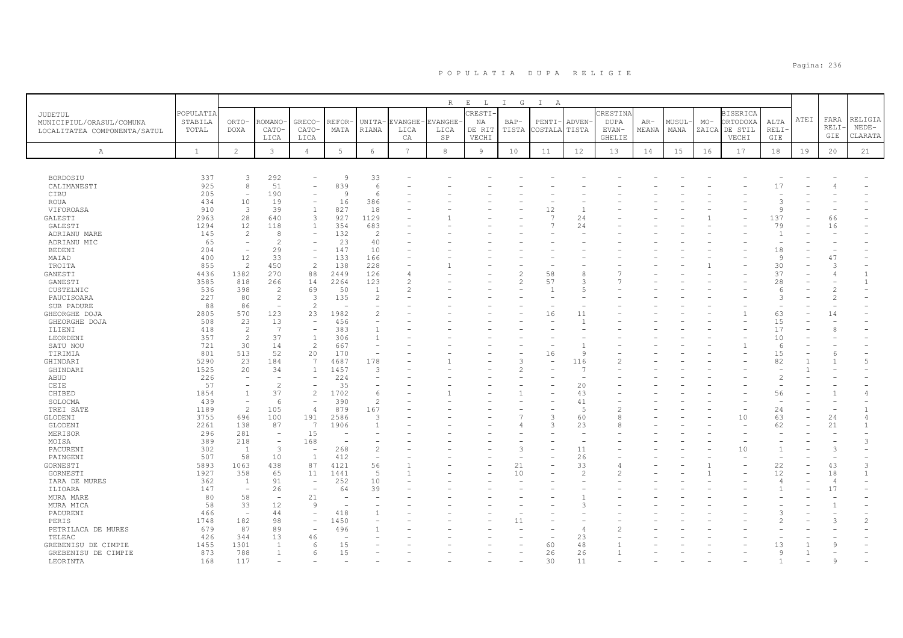|                                                                     |                               |                          |                          |                                          |               |                          |                       | R                     | $E$ $L$                         | $\mathbb{I}$<br>G | $\mathbb{I}$<br>A    |                       |                                                   |                |                |       |                                                       |                                   |      |                     |                               |
|---------------------------------------------------------------------|-------------------------------|--------------------------|--------------------------|------------------------------------------|---------------|--------------------------|-----------------------|-----------------------|---------------------------------|-------------------|----------------------|-----------------------|---------------------------------------------------|----------------|----------------|-------|-------------------------------------------------------|-----------------------------------|------|---------------------|-------------------------------|
| JUDETUL<br>MUNICIPIUL/ORASUL/COMUNA<br>LOCALITATEA COMPONENTA/SATUL | POPULATIA<br>STABILA<br>TOTAL | ORTO-<br><b>DOXA</b>     | ROMANO<br>CATO-<br>LICA  | GRECO-<br>CATO-<br>LICA                  | REFOR<br>MATA | UNITA-<br>RIANA          | EVANGHE<br>LICA<br>СA | VANGHE.<br>LICA<br>SP | CRESTI<br>NA<br>DE RIT<br>VECHI | $BAP-$<br>TISTA   | PENTI-<br>COSTALA    | <b>ADVEN</b><br>TISTA | CRESTINA<br><b>DUPA</b><br>EVAN-<br><b>GHELIE</b> | $AR-$<br>MEANA | MUSUL·<br>MANA | $MO-$ | <b>BISERICA</b><br>ORTODOXA<br>ZAICA DE STIL<br>VECHI | ALTA<br><b>RELI</b><br><b>GIE</b> | ATEI | FARA<br>RELI<br>GIE | RELIGIA<br>$NEDE-$<br>CLARATA |
| А                                                                   | $\mathbf{1}$                  | $\overline{c}$           | 3                        | $\overline{4}$                           | 5             | $\epsilon$               | 7                     | 8                     | 9                               | 10                | 11                   | 12                    | 13                                                | 14             | 15             | 16    | 17                                                    | 18                                | 19   | 20                  | 21                            |
|                                                                     |                               |                          |                          |                                          |               |                          |                       |                       |                                 |                   |                      |                       |                                                   |                |                |       |                                                       |                                   |      |                     |                               |
| BORDOSIU                                                            | 337                           | 3                        | 292                      |                                          | <sup>Q</sup>  | 33                       |                       |                       |                                 |                   |                      |                       |                                                   |                |                |       |                                                       |                                   |      |                     |                               |
| CALIMANESTI                                                         | 925                           | 8                        | 51                       |                                          | 839           | 6                        |                       |                       |                                 |                   |                      |                       |                                                   |                |                |       |                                                       | 17                                |      |                     |                               |
| CIBU                                                                | 205                           | $\sim$                   | 190                      |                                          | Q             | 6                        |                       |                       |                                 |                   |                      |                       |                                                   |                |                |       |                                                       |                                   |      |                     |                               |
| <b>ROUA</b>                                                         | 434                           | 10<br>$\overline{3}$     | 19<br>39                 | $\overline{\phantom{a}}$<br>$\mathbf{1}$ | 16            | 386                      |                       |                       |                                 |                   |                      |                       |                                                   |                |                |       |                                                       | 3<br>$\mathsf{Q}$                 |      |                     |                               |
| VIFOROASA<br>GALESTI                                                | 910<br>2963                   | 28                       | 640                      | 3                                        | 827<br>927    | 18<br>1129               |                       |                       |                                 |                   | 12<br>$\overline{7}$ | 24                    |                                                   |                |                |       |                                                       | 137                               |      | 66                  |                               |
| GALESTI                                                             | 1294                          | 12                       | 118                      | $\mathbf{1}$                             | 354           | 683                      |                       |                       |                                 |                   |                      | 24                    |                                                   |                |                |       |                                                       | 79                                |      | 16                  |                               |
| ADRIANU MARE                                                        | 145                           | $\overline{2}$           | 8                        |                                          | 132           | 2                        |                       |                       |                                 |                   |                      |                       |                                                   |                |                |       |                                                       | $\mathbf{1}$                      |      |                     |                               |
| ADRIANU MIC                                                         | 65                            |                          | $\overline{2}$           |                                          | 23            | 40                       |                       |                       |                                 |                   |                      |                       |                                                   |                |                |       |                                                       |                                   |      |                     |                               |
|                                                                     | 204                           | $\overline{\phantom{a}}$ | 29                       | $\overline{\phantom{a}}$                 | 147           | 10                       |                       |                       |                                 |                   |                      |                       |                                                   |                |                |       |                                                       | 18                                |      |                     |                               |
| <b>BEDENI</b>                                                       |                               |                          |                          | $\overline{\phantom{a}}$                 | 133           |                          |                       |                       |                                 |                   |                      |                       |                                                   |                |                |       |                                                       |                                   |      |                     |                               |
| MAIAD                                                               | 400<br>855                    | 12<br>$\overline{2}$     | 33<br>450                | 2                                        | 138           | 166<br>228               |                       |                       |                                 |                   |                      |                       |                                                   |                |                |       |                                                       | 9<br>30                           |      | 47<br>3             |                               |
| TROITA                                                              |                               |                          | 270                      |                                          |               | 126                      |                       |                       |                                 |                   |                      | 8                     |                                                   |                |                |       |                                                       | 37                                |      |                     | $\mathbf{1}$                  |
| GANESTI                                                             | 4436                          | 1382                     |                          | 88<br>14                                 | 2449<br>2264  | 123                      |                       |                       |                                 | 2                 | 58<br>57             | 3                     |                                                   |                |                |       |                                                       |                                   |      |                     | $\mathbf{1}$                  |
| GANESTI                                                             | 3585                          | 818                      | 266<br>$\overline{2}$    |                                          |               | $\overline{1}$           |                       |                       |                                 |                   |                      | Б                     |                                                   |                |                |       |                                                       | 28                                |      |                     |                               |
| CUSTELNIC                                                           | 536                           | 398                      | $\overline{c}$           | 69                                       | 50            | $\overline{2}$           |                       |                       |                                 |                   |                      |                       |                                                   |                |                |       |                                                       | -6<br>3                           |      |                     |                               |
| PAUCISOARA                                                          | 227                           | 80                       | $\overline{\phantom{a}}$ | 3<br>$\overline{c}$                      | 135           |                          |                       |                       |                                 |                   |                      |                       |                                                   |                |                |       |                                                       |                                   |      |                     |                               |
| SUB PADURE                                                          | 88                            | 86<br>570                |                          |                                          |               |                          |                       |                       |                                 |                   |                      | 11                    |                                                   |                |                |       |                                                       |                                   |      |                     |                               |
| GHEORGHE DOJA                                                       | 2805                          | 23                       | 123<br>13                | 23<br>$\overline{\phantom{m}}$           | 1982          |                          |                       |                       |                                 |                   | 16                   | $\overline{1}$        |                                                   |                |                |       |                                                       | 63                                |      | 14                  |                               |
| GHEORGHE DOJA                                                       | 508                           |                          | 7                        | $\overline{\phantom{m}}$                 | 456           |                          |                       |                       |                                 |                   |                      |                       |                                                   |                |                |       |                                                       | 15                                |      |                     |                               |
| ILIENI                                                              | 418                           | $\overline{c}$           |                          |                                          | 383           | $\mathbf{1}$             |                       |                       |                                 |                   |                      |                       |                                                   |                |                |       |                                                       | 17                                |      | 8                   |                               |
| LEORDENI                                                            | 357                           | $\overline{2}$           | 37                       | $\mathbf{1}$                             | 306           | $\mathbf{1}$             |                       |                       |                                 |                   |                      |                       |                                                   |                |                |       |                                                       | 10                                |      |                     |                               |
| SATU NOU                                                            | 721                           | 30                       | 14                       | 2                                        | 667           |                          |                       |                       |                                 |                   |                      |                       |                                                   |                |                |       |                                                       | 6                                 |      |                     |                               |
| TIRIMIA                                                             | 801                           | 513                      | 52                       | 20                                       | 170           | $\overline{\phantom{0}}$ |                       |                       |                                 |                   | 16                   | 9                     |                                                   |                |                |       |                                                       | 15                                |      |                     |                               |
| GHINDARI                                                            | 5290                          | 23                       | 184                      | 7                                        | 4687          | 178                      |                       |                       |                                 |                   |                      | 116                   |                                                   |                |                |       |                                                       | 82                                |      |                     | $\overline{5}$                |
| GHINDARI                                                            | 1525                          | 20                       | 34                       | $\mathbf{1}$                             | 1457          | 3                        |                       |                       |                                 |                   |                      |                       |                                                   |                |                |       |                                                       |                                   |      |                     |                               |
| ABUD                                                                | 226                           | $\sim$                   | $\overline{\phantom{a}}$ | $\overline{\phantom{a}}$                 | 224           |                          |                       |                       |                                 |                   |                      |                       |                                                   |                |                |       |                                                       | $\overline{c}$                    |      |                     |                               |
| CEIE                                                                | 57                            |                          | $\overline{c}$           |                                          | 35            |                          |                       |                       |                                 |                   |                      | 20                    |                                                   |                |                |       |                                                       |                                   |      |                     |                               |
| CHIBED                                                              | 1854                          | 1                        | 37                       | $\overline{c}$                           | 1702          | 6                        |                       |                       |                                 |                   |                      | 43                    |                                                   |                |                |       |                                                       | 56                                |      |                     |                               |
| SOLOCMA                                                             | 439                           | $\overline{\phantom{a}}$ | 6                        | $\overline{\phantom{a}}$                 | 390           | $\overline{c}$           |                       |                       |                                 |                   |                      | 41                    |                                                   |                |                |       |                                                       | $\overline{a}$                    |      |                     |                               |
| TREI SATE                                                           | 1189                          | $\overline{2}$           | 105                      | $\overline{4}$                           | 879           | 167                      |                       |                       |                                 |                   |                      | 5                     |                                                   |                |                |       |                                                       | 24                                |      |                     | -1                            |
| GLODENI                                                             | 3755                          | 696                      | 100                      | 191                                      | 2586          | 3                        |                       |                       |                                 |                   | 3                    | 60                    |                                                   |                |                |       | 10                                                    | 63                                |      | 24                  | 4                             |
| GLODENI                                                             | 2261                          | 138                      | 87                       | $\overline{7}$                           | 1906          | $\overline{1}$           |                       |                       |                                 |                   | 3                    | 23                    |                                                   |                |                |       |                                                       | 62                                |      | 21                  | $\mathbf{1}$                  |
| MERISOR                                                             | 296                           | 281                      | $\overline{\phantom{a}}$ | 15                                       |               |                          |                       |                       |                                 |                   |                      | ۰                     |                                                   |                |                |       |                                                       |                                   |      |                     |                               |
| MOISA                                                               | 389                           | 218                      | ÷,                       | 168                                      |               |                          |                       |                       |                                 |                   |                      |                       |                                                   |                |                |       |                                                       |                                   |      |                     | 3                             |
| PACURENI                                                            | 302                           | 1                        | 3                        | $\overline{\phantom{a}}$                 | 268           | $\overline{c}$           |                       |                       |                                 | 3                 |                      | 11                    |                                                   |                |                |       | 10                                                    | $\mathbf{1}$                      |      | 3                   |                               |
| PAINGENI                                                            | 507                           | 58                       | 10                       | $\mathbf{1}$                             | 412           | $\overline{\phantom{a}}$ |                       |                       |                                 |                   |                      | 26                    |                                                   |                |                |       |                                                       |                                   |      |                     |                               |
| GORNESTI                                                            | 5893                          | 1063                     | 438                      | 87                                       | 4121          | 56                       |                       |                       |                                 | 21                |                      | 33                    |                                                   |                |                |       |                                                       | 22                                |      | 43                  | 3                             |
| GORNESTI                                                            | 1927                          | 358                      | 65                       | 11                                       | 1441          | 5                        |                       |                       |                                 | 10                |                      | $\mathcal{D}$         |                                                   |                |                |       |                                                       | 12                                |      | 18                  | $\mathbf{1}$                  |
| IARA DE MURES                                                       | 362                           | 1                        | 91                       | $\overline{\phantom{a}}$                 | 252           | 10                       |                       |                       |                                 |                   |                      |                       |                                                   |                |                |       |                                                       |                                   |      | $\overline{4}$      |                               |
| ILIOARA                                                             | 147                           | $\overline{\phantom{a}}$ | 26                       |                                          | 64            | 39                       |                       |                       |                                 |                   |                      |                       |                                                   |                |                |       |                                                       |                                   |      | 17                  |                               |
| MURA MARE                                                           | 80                            | 58                       | $\sim$                   | 21                                       |               |                          |                       |                       |                                 |                   |                      |                       |                                                   |                |                |       |                                                       |                                   |      |                     |                               |
| MURA MICA                                                           | 58                            | 33                       | 12                       | 9                                        |               |                          |                       |                       |                                 |                   |                      |                       |                                                   |                |                |       |                                                       |                                   |      |                     |                               |
| PADURENI                                                            | 466                           | $\overline{\phantom{a}}$ | 44                       | $\overline{\phantom{a}}$                 | 418           |                          |                       |                       |                                 |                   |                      |                       |                                                   |                |                |       |                                                       | $\mathcal{A}$                     |      |                     |                               |
| PERIS                                                               | 1748                          | 182                      | 98                       |                                          | 1450          |                          |                       |                       |                                 | 11                |                      |                       |                                                   |                |                |       |                                                       |                                   |      |                     | 2                             |
| PETRILACA DE MURES                                                  | 679                           | 87                       | 89                       | $\overline{\phantom{a}}$                 | 496           |                          |                       |                       |                                 |                   |                      | $\overline{4}$        |                                                   |                |                |       |                                                       |                                   |      |                     |                               |
| TELEAC                                                              | 426                           | 344                      | 13                       | 46                                       |               |                          |                       |                       |                                 |                   |                      | 23                    |                                                   |                |                |       |                                                       |                                   |      |                     |                               |
| GREBENISU DE CIMPIE                                                 | 1455                          | 1301                     | $\overline{1}$           | -6                                       | 15            |                          |                       |                       |                                 |                   | 60                   | 48                    |                                                   |                |                |       |                                                       | 13                                |      |                     |                               |
| GREBENISU DE CIMPIE                                                 | 873                           | 788                      | $\mathbf{1}$             | 6                                        | 15            |                          |                       |                       |                                 |                   | 26                   | 26                    |                                                   |                |                |       |                                                       | 9                                 |      |                     |                               |
| LEORINTA                                                            | 168                           | 117                      |                          |                                          |               |                          |                       |                       |                                 |                   | 30                   | 11                    |                                                   |                |                |       |                                                       |                                   |      |                     |                               |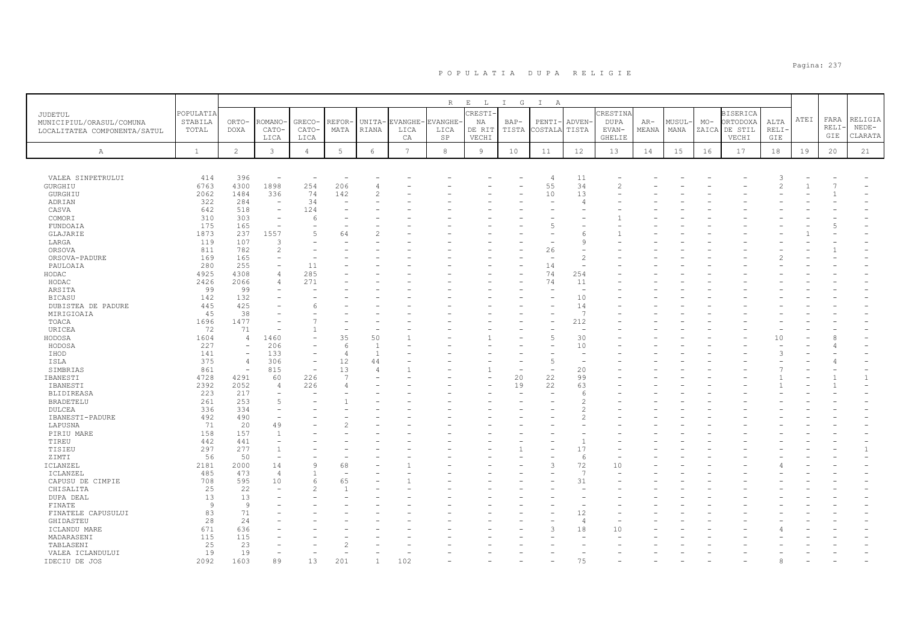|                                                          |                      |                          |                          |                          |            |                |      | R                 | $\mathbf{E}$<br>$\mathbb{L}$ | $\mathbf{I}$<br>$\mathbb{G}$ | $\mathbb{I}$<br>A        |                          |                  |       |       |       |                             |                     |      |       |              |
|----------------------------------------------------------|----------------------|--------------------------|--------------------------|--------------------------|------------|----------------|------|-------------------|------------------------------|------------------------------|--------------------------|--------------------------|------------------|-------|-------|-------|-----------------------------|---------------------|------|-------|--------------|
| JUDETUL                                                  | POPULATIA<br>STABILA | ORTO-                    | <b>ROMANO</b>            | GRECO-                   | REFOR      | UNITA-         |      | EVANGHE- EVANGHE· | CRESTI<br>ΝA                 | BAP-                         | PENTI·                   | ADVEN-                   | CRESTINA<br>DUPA | AR-   | MUSUL | $MO-$ | <b>BISERICA</b><br>ORTODOXA | ALTA                | ATEI | FARA  | RELIGIA      |
| MUNICIPIUL/ORASUL/COMUNA<br>LOCALITATEA COMPONENTA/SATUL | TOTAL                | <b>DOXA</b>              | CATO-                    | CATO-                    | MATA       | RIANA          | LICA | LICA              | DE RIT                       | TISTA                        | COSTALA                  | TISTA                    | EVAN-            | MEANA | MANA  |       | ZAICA DE STIL               | RELI·               |      | RELI· | $NEDE-$      |
|                                                          |                      |                          | LICA                     | LICA                     |            |                | CA   | $_{\rm SP}$       | VECHI                        |                              |                          |                          | <b>GHELIE</b>    |       |       |       | VECHI                       | GIE                 |      | GIE   | CLARATA      |
| $\mathbb{A}$                                             | $\mathbf{1}$         | $\overline{2}$           | $\mathbf{3}$             | $\overline{4}$           | 5          | $\epsilon$     | 7    | 8                 | $\overline{9}$               | 10                           | 11                       | 12                       | 13               | 14    | 15    | 16    | 17                          | 18                  | 19   | 20    | 21           |
|                                                          |                      |                          |                          |                          |            |                |      |                   |                              |                              |                          |                          |                  |       |       |       |                             |                     |      |       |              |
|                                                          |                      |                          |                          |                          |            |                |      |                   |                              |                              |                          |                          |                  |       |       |       |                             |                     |      |       |              |
| VALEA SINPETRULUI                                        | 414                  | 396                      | $\sim$                   |                          |            |                |      |                   |                              |                              | $\overline{4}$<br>55     | 11<br>34                 | $\mathfrak{D}$   |       |       |       |                             | 3<br>$\mathfrak{D}$ |      |       |              |
| GURGHIU                                                  | 6763<br>2062         | 4300<br>1484             | 1898<br>336              | 254<br>74                | 206<br>142 |                |      |                   |                              |                              | 10                       | 13                       |                  |       |       |       |                             |                     |      |       |              |
| GURGHIU<br>ADRIAN                                        | 322                  | 284                      | $\overline{\phantom{a}}$ | 34                       |            |                |      |                   |                              |                              |                          | $\overline{4}$           |                  |       |       |       |                             |                     |      |       |              |
| CASVA                                                    | 642                  | 518                      |                          | 124                      |            |                |      |                   |                              |                              |                          |                          |                  |       |       |       |                             |                     |      |       |              |
| COMORI                                                   | 310                  | 303                      |                          | -6                       |            |                |      |                   |                              |                              |                          |                          |                  |       |       |       |                             |                     |      |       |              |
| FUNDOAIA                                                 | 175                  | 165                      | $\sim$                   |                          |            |                |      |                   |                              |                              | 5                        |                          |                  |       |       |       |                             |                     |      |       |              |
| GLAJARIE                                                 | 1873                 | 237                      | 1557                     | $\overline{5}$           | 64         |                |      |                   |                              |                              |                          | Е                        |                  |       |       |       |                             |                     |      |       |              |
| LARGA                                                    | 119                  | 107                      | 3                        |                          |            |                |      |                   |                              |                              |                          | 9                        |                  |       |       |       |                             |                     |      |       |              |
| ORSOVA                                                   | 811                  | 782                      | $\overline{c}$           |                          |            |                |      |                   |                              |                              | 26                       |                          |                  |       |       |       |                             |                     |      |       |              |
| ORSOVA-PADURE                                            | 169                  | 165                      |                          |                          |            |                |      |                   |                              |                              | $\overline{\phantom{a}}$ |                          |                  |       |       |       |                             |                     |      |       |              |
| PAULOAIA                                                 | 280                  | 255                      |                          | 11                       |            |                |      |                   |                              |                              | 14                       |                          |                  |       |       |       |                             |                     |      |       |              |
| HODAC                                                    | 4925                 | 4308                     |                          | 285                      |            |                |      |                   |                              |                              | 74                       | 254                      |                  |       |       |       |                             |                     |      |       |              |
| HODAC                                                    | 2426                 | 2066                     |                          | 271                      |            |                |      |                   |                              |                              | 74                       | 11                       |                  |       |       |       |                             |                     |      |       |              |
| ARSITA                                                   | 99                   | 99                       |                          |                          |            |                |      |                   |                              |                              |                          | $\overline{\phantom{a}}$ |                  |       |       |       |                             |                     |      |       |              |
| <b>BICASU</b>                                            | 142                  | 132                      |                          |                          |            |                |      |                   |                              |                              |                          | 10                       |                  |       |       |       |                             |                     |      |       |              |
| DUBISTEA DE PADURE                                       | 445                  | 425                      |                          |                          |            |                |      |                   |                              |                              |                          | 14                       |                  |       |       |       |                             |                     |      |       |              |
| MIRIGIOAIA                                               | 45                   | 38                       |                          |                          |            |                |      |                   |                              |                              |                          | -7                       |                  |       |       |       |                             |                     |      |       |              |
| TOACA                                                    | 1696                 | 1477                     |                          |                          |            |                |      |                   |                              |                              |                          | 212                      |                  |       |       |       |                             |                     |      |       |              |
| URICEA                                                   | 72                   | 71                       |                          |                          |            |                |      |                   |                              |                              |                          | $\overline{\phantom{a}}$ |                  |       |       |       |                             |                     |      |       |              |
| HODOSA                                                   | 1604                 | $\overline{4}$           | 1460                     |                          | 35         | 50             |      |                   |                              |                              |                          | 30                       |                  |       |       |       |                             | 10                  |      |       |              |
| HODOSA                                                   | 227                  | $\overline{\phantom{a}}$ | 206                      |                          | -6         | $\mathbf{1}$   |      |                   |                              |                              |                          | 10                       |                  |       |       |       |                             |                     |      |       |              |
| IHOD                                                     | 141                  | $\overline{\phantom{0}}$ | 133                      |                          |            | $\overline{1}$ |      |                   |                              |                              |                          |                          |                  |       |       |       |                             | $\mathcal{L}$       |      |       |              |
| ISLA                                                     | 375                  | $\overline{4}$           | 306                      | $\overline{a}$           | 12         | 44             |      |                   |                              |                              | 5                        |                          |                  |       |       |       |                             |                     |      |       |              |
| SIMBRIAS                                                 | 861                  | $\overline{\phantom{a}}$ | 815                      | $\overline{\phantom{a}}$ | 13         |                |      |                   |                              |                              | $\overline{\phantom{a}}$ | 20                       |                  |       |       |       |                             |                     |      |       |              |
| IBANESTI                                                 | 4728                 | 4291                     | 60                       | 226                      |            |                |      |                   |                              | 20                           | 22                       | 99                       |                  |       |       |       |                             |                     |      |       | $\mathbf{1}$ |
| IBANESTI                                                 | 2392                 | 2052                     | $\overline{4}$           | 226                      |            |                |      |                   |                              | 19                           | 22                       | 63                       |                  |       |       |       |                             |                     |      |       |              |
| <b>BLIDIREASA</b>                                        | 223                  | 217                      |                          |                          |            |                |      |                   |                              |                              |                          | 6                        |                  |       |       |       |                             |                     |      |       |              |
| <b>BRADETELU</b>                                         | 261                  | 253                      | 5                        |                          |            |                |      |                   |                              |                              |                          |                          |                  |       |       |       |                             |                     |      |       |              |
| <b>DULCEA</b>                                            | 336                  | 334                      |                          |                          |            |                |      |                   |                              |                              |                          |                          |                  |       |       |       |                             |                     |      |       |              |
| IBANESTI-PADURE                                          | 492                  | 490                      |                          |                          |            |                |      |                   |                              |                              |                          |                          |                  |       |       |       |                             |                     |      |       |              |
| LAPUSNA                                                  | 71                   | 20                       | 49                       |                          |            |                |      |                   |                              |                              |                          |                          |                  |       |       |       |                             |                     |      |       |              |
| PIRIU MARE                                               | 158                  | 157                      |                          |                          |            |                |      |                   |                              |                              |                          |                          |                  |       |       |       |                             |                     |      |       |              |
| TIREU                                                    | 442                  | 441                      |                          |                          |            |                |      |                   |                              |                              |                          |                          |                  |       |       |       |                             |                     |      |       |              |
| TISIEU                                                   | 297                  | 277                      |                          |                          |            |                |      |                   |                              |                              |                          | 17                       |                  |       |       |       |                             |                     |      |       |              |
| ZIMTI                                                    | 56                   | 50                       | $\overline{\phantom{a}}$ |                          |            |                |      |                   |                              |                              |                          | 6                        |                  |       |       |       |                             |                     |      |       |              |
| ICLANZEL                                                 | 2181                 | 2000                     | 14                       | $\mathcal{Q}$            | 68         |                |      |                   |                              |                              |                          | 72                       | 10               |       |       |       |                             |                     |      |       |              |
| ICLANZEL                                                 | 485                  | 473                      | 4                        |                          |            |                |      |                   |                              |                              |                          | 7                        |                  |       |       |       |                             |                     |      |       |              |
| CAPUSU DE CIMPIE                                         | 708                  | 595                      | 10                       |                          | 65         |                |      |                   |                              |                              |                          | 31                       |                  |       |       |       |                             |                     |      |       |              |
| CHISALITA                                                | 25                   | 22                       |                          |                          |            |                |      |                   |                              |                              |                          |                          |                  |       |       |       |                             |                     |      |       |              |
| DUPA DEAL                                                | 13                   | 13                       |                          |                          |            |                |      |                   |                              |                              |                          |                          |                  |       |       |       |                             |                     |      |       |              |
| FINATE                                                   | $\overline{9}$       | $\overline{9}$           |                          |                          |            |                |      |                   |                              |                              |                          |                          |                  |       |       |       |                             |                     |      |       |              |
| FINATELE CAPUSULUI                                       | 83                   | 71                       |                          |                          |            |                |      |                   |                              |                              |                          | 12                       |                  |       |       |       |                             |                     |      |       |              |
| GHIDASTEU                                                | 28                   | 24                       |                          |                          |            |                |      |                   |                              |                              |                          | $\overline{4}$           |                  |       |       |       |                             |                     |      |       |              |
| <b>ICLANDU MARE</b>                                      | 671                  | 636                      |                          |                          |            |                |      |                   |                              |                              |                          | 18                       | 10               |       |       |       |                             |                     |      |       |              |
| MADARASENI                                               | 115                  | 115                      |                          |                          |            |                |      |                   |                              |                              |                          |                          |                  |       |       |       |                             |                     |      |       |              |
| TABLASENI                                                | 25                   | 23                       |                          |                          |            |                |      |                   |                              |                              |                          |                          |                  |       |       |       |                             |                     |      |       |              |
| VALEA ICLANDULUI                                         | 19                   | 19                       |                          |                          |            |                |      |                   |                              |                              |                          |                          |                  |       |       |       |                             |                     |      |       |              |
| IDECIU DE JOS                                            | 2092                 | 1603                     | 89                       | 13                       | 201        |                | 102  |                   |                              |                              |                          | 75                       |                  |       |       |       |                             |                     |      |       |              |
|                                                          |                      |                          |                          |                          |            |                |      |                   |                              |                              |                          |                          |                  |       |       |       |                             |                     |      |       |              |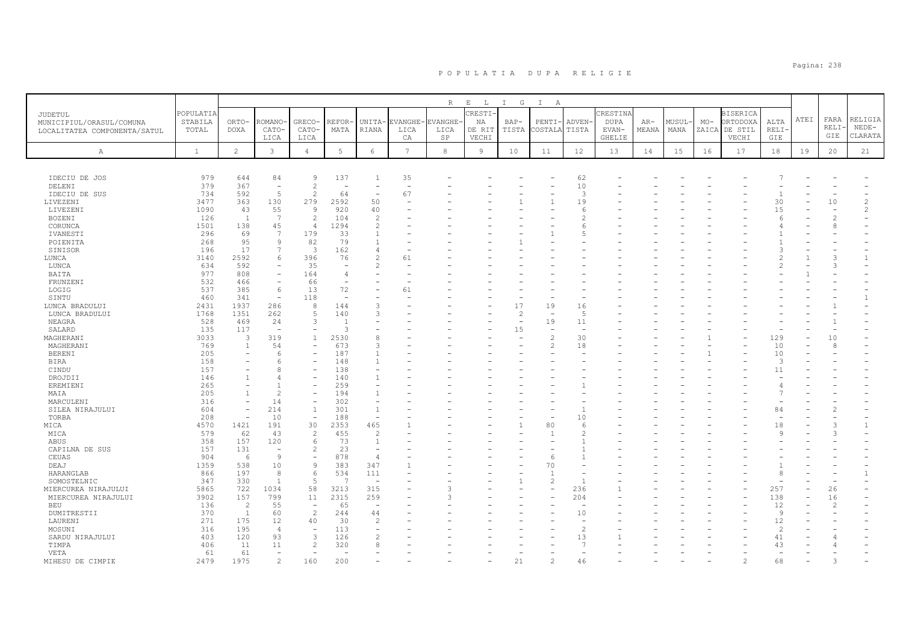|                              |              |                          |                          |                          |       |                          |          | R             | E<br>$\mathbb L$ | $\mathbb{I}$<br>$\mathbb{G}$ | $\mathbb{I}$<br>A |                          |               |       |        |       |                 |                |      |              |                    |
|------------------------------|--------------|--------------------------|--------------------------|--------------------------|-------|--------------------------|----------|---------------|------------------|------------------------------|-------------------|--------------------------|---------------|-------|--------|-------|-----------------|----------------|------|--------------|--------------------|
| JUDETUL                      | POPULATIA    |                          |                          |                          |       |                          |          |               | CRESTI-          |                              |                   |                          | CRESTINA      |       |        |       | <b>BISERICA</b> |                |      |              |                    |
| MUNICIPIUL/ORASUL/COMUNA     | STABILA      | ORTO-                    | ROMANO                   | GRECO-                   | REFOR | UNITA-                   | EVANGHE· | <b>VANGHE</b> | ΝA               | BAP-                         | PENTI-            | <b>ADVEN</b>             | DUPA          | AR-   | MUSUL· | $MO-$ | ORTODOXA        | ALTA           | ATEI | FARA         | RELIGIA            |
| LOCALITATEA COMPONENTA/SATUL | TOTAL        | <b>DOXA</b>              | CATO-                    | CATO-                    | MATA  | RIANA                    | LICA     | LICA          | DE RIT           | TISTA                        | COSTALA           | TISTA                    | EVAN-         | MEANA | MANA   |       | ZAICA DE STIL   | <b>RELI</b>    |      | RELI·<br>GIE | $NEDE-$<br>CLARATA |
|                              |              |                          | LICA                     | LICA                     |       |                          | СA       | $_{\rm SP}$   | VECHI            |                              |                   |                          | <b>GHELIE</b> |       |        |       | VECHI           | GIE            |      |              |                    |
| А                            | $\mathbf{1}$ | $\overline{c}$           | 3                        | $\overline{4}$           | 5     | $\epsilon$               | 7        | 8             | $\overline{9}$   | 10                           | 11                | 12                       | 13            | 14    | 15     | 16    | 17              | 18             | 19   | 20           | 21                 |
|                              |              |                          |                          |                          |       |                          |          |               |                  |                              |                   |                          |               |       |        |       |                 |                |      |              |                    |
|                              |              |                          |                          |                          |       |                          |          |               |                  |                              |                   |                          |               |       |        |       |                 |                |      |              |                    |
| IDECIU DE JOS                | 979          | 644                      | 84                       | 9                        | 137   | 1                        | 35       |               |                  |                              |                   | 62                       |               |       |        |       |                 |                |      |              |                    |
| DELENI                       | 379          | 367                      | $\overline{\phantom{a}}$ | 2                        |       |                          |          |               |                  |                              |                   | 10                       |               |       |        |       |                 |                |      |              |                    |
| IDECIU DE SUS                | 734          | 592                      | 5                        | 2                        | 64    | $\overline{\phantom{a}}$ | 67       |               |                  |                              |                   | 3                        |               |       |        |       |                 | $\mathbf{1}$   |      |              |                    |
| LIVEZENI                     | 3477         | 363                      | 130                      | 279                      | 2592  | 50                       |          |               |                  |                              |                   | 19                       |               |       |        |       |                 | 30             |      | 10           | $\overline{c}$     |
| LIVEZENI                     | 1090         | 43                       | 55                       | 9                        | 920   | 40                       |          |               |                  |                              |                   | -6                       |               |       |        |       |                 | 15             |      |              | 2                  |
| BOZENI                       | 126          | 1                        | 7                        | 2                        | 104   | $\overline{2}$           |          |               |                  |                              |                   |                          |               |       |        |       |                 |                |      |              |                    |
| CORUNCA                      | 1501         | 138                      | 45                       | $\overline{4}$           | 1294  | $\mathcal{L}$            |          |               |                  |                              |                   | Е                        |               |       |        |       |                 |                |      | 8            |                    |
| IVANESTI                     | 296          | 69                       | 7                        | 179                      | 33    | $\overline{1}$           |          |               |                  |                              |                   | Б                        |               |       |        |       |                 |                |      |              |                    |
| POIENITA                     | 268          | 95                       | 9                        | 82                       | 79    | $\overline{1}$           |          |               |                  |                              |                   |                          |               |       |        |       |                 |                |      |              |                    |
| SINISOR                      | 196          | 17                       | 7                        | 3                        | 162   | $\overline{4}$           |          |               |                  |                              |                   |                          |               |       |        |       |                 |                |      |              |                    |
| LUNCA                        | 3140         | 2592                     | 6                        | 396                      | 76    |                          | 61       |               |                  |                              |                   |                          |               |       |        |       |                 |                |      |              | -1                 |
| LUNCA                        | 634          | 592                      |                          | 35                       |       | $\mathcal{P}$            |          |               |                  |                              |                   |                          |               |       |        |       |                 | $\mathcal{L}$  |      |              |                    |
| BAITA                        | 977          | 808                      |                          | 164                      |       |                          |          |               |                  |                              |                   |                          |               |       |        |       |                 |                |      |              |                    |
| FRUNZENI                     | 532          | 466                      | $\overline{\phantom{a}}$ | 66                       |       |                          |          |               |                  |                              |                   |                          |               |       |        |       |                 |                |      |              |                    |
| LOGIG                        | 537          | 385                      | 6                        | 13                       | 72    |                          | 61       |               |                  |                              |                   |                          |               |       |        |       |                 |                |      |              |                    |
| SINTU                        | 460          | 341                      | $\overline{\phantom{a}}$ | 118                      |       |                          |          |               |                  |                              |                   |                          |               |       |        |       |                 |                |      |              | $\mathbf{1}$       |
| LUNCA BRADULUI               | 2431         | 1937                     | 286                      | 8                        | 144   | 3                        |          |               |                  | 17                           | 19                | 16                       |               |       |        |       |                 |                |      |              |                    |
| LUNCA BRADULUI               | 1768         | 1351                     | 262                      | $\overline{5}$           | 140   | $\mathcal{L}$            |          |               |                  | $\overline{c}$               |                   | 5                        |               |       |        |       |                 |                |      |              |                    |
| NEAGRA                       | 528          | 469                      | 24                       | 3                        |       |                          |          |               |                  | ÷                            | 19                | 11                       |               |       |        |       |                 |                |      |              |                    |
| SALARD                       | 135          | 117                      | $\overline{\phantom{a}}$ |                          | 3     |                          |          |               |                  | 15                           |                   |                          |               |       |        |       |                 |                |      |              |                    |
| MAGHERANI                    | 3033         | 3                        | 319                      | $\mathbf{1}$             | 2530  |                          |          |               |                  |                              | $\overline{2}$    | 30                       |               |       |        |       |                 | 129            |      | 10           |                    |
| MAGHERANI                    | 769          | 1                        | 54                       | $\overline{\phantom{a}}$ | 673   | 3                        |          |               |                  |                              | $\overline{2}$    | 18                       |               |       |        |       |                 | 10             |      | 8            |                    |
| <b>BERENI</b>                | 205          |                          |                          |                          | 187   |                          |          |               |                  |                              |                   |                          |               |       |        |       |                 | 10             |      |              |                    |
| <b>BIRA</b>                  | 158          |                          | 6                        |                          | 148   |                          |          |               |                  |                              |                   |                          |               |       |        |       |                 | 3              |      |              |                    |
| CINDU                        | 157          |                          |                          |                          | 138   |                          |          |               |                  |                              |                   |                          |               |       |        |       |                 | 11             |      |              |                    |
| DROJDII                      | 146          | $\overline{1}$           |                          |                          | 140   |                          |          |               |                  |                              |                   |                          |               |       |        |       |                 |                |      |              |                    |
| EREMIENI                     | 265          |                          |                          |                          | 259   |                          |          |               |                  |                              |                   |                          |               |       |        |       |                 |                |      |              |                    |
| MAIA                         | 205          | $\overline{1}$           | $\mathfrak{D}$           |                          | 194   | $\overline{1}$           |          |               |                  |                              |                   |                          |               |       |        |       |                 |                |      |              |                    |
| MARCULENI                    | 316          |                          | 14                       |                          | 302   |                          |          |               |                  |                              |                   |                          |               |       |        |       |                 |                |      |              |                    |
| SILEA NIRAJULUI              | 604          | $\overline{\phantom{a}}$ | 214                      | $\mathbf{1}$             | 301   | $\overline{1}$           |          |               |                  |                              |                   |                          |               |       |        |       |                 | 84             |      |              |                    |
| TORBA                        | 208          | $\overline{\phantom{a}}$ | 10                       | $\overline{\phantom{a}}$ | 188   | $\overline{\phantom{a}}$ |          |               |                  |                              |                   | 10                       |               |       |        |       |                 |                |      |              |                    |
| MICA                         | 4570         | 1421                     | 191                      | 30                       | 2353  | 465                      |          |               |                  |                              | 80                | 6                        |               |       |        |       |                 | 18             |      |              | $\mathbf{1}$       |
| MICA                         | 579          | 62                       | 43                       | $\overline{2}$           | 455   | $\overline{2}$           |          |               |                  |                              |                   |                          |               |       |        |       |                 | 9              |      |              |                    |
| ABUS                         | 358          | 157                      | 120                      | -6                       | 73    | $\overline{1}$           |          |               |                  |                              |                   |                          |               |       |        |       |                 |                |      |              |                    |
| CAPILNA DE SUS               | 157          | 131                      | $\overline{\phantom{a}}$ | $\mathcal{L}$            | 23    | $\overline{\phantom{a}}$ |          |               |                  |                              |                   |                          |               |       |        |       |                 |                |      |              |                    |
| CEUAS                        | 904          | 6                        | 9                        | $\overline{\phantom{a}}$ | 878   | $\overline{4}$           |          |               |                  |                              | 6                 |                          |               |       |        |       |                 |                |      |              |                    |
| DEAJ                         | 1359         | 538                      | 10                       | 9                        | 383   | 347                      |          |               |                  |                              | 70                |                          |               |       |        |       |                 |                |      |              |                    |
| HARANGLAB                    | 866          | 197                      | 8                        | 6                        | 534   | 111                      |          |               |                  |                              |                   |                          |               |       |        |       |                 | 8              |      |              | $\mathbf{1}$       |
| SOMOSTELNIC                  | 347          | 330                      | $\overline{1}$           | -5                       | ×,    | $\overline{\phantom{a}}$ |          |               |                  |                              | $\overline{2}$    |                          |               |       |        |       |                 |                |      |              |                    |
| MIERCUREA NIRAJULUI          | 5865         | 722                      | 1034                     | 58                       | 3213  | 315                      |          |               |                  |                              |                   | 236                      |               |       |        |       |                 | 257            |      | 26           |                    |
| MIERCUREA NIRAJULUI          | 3902         | 157                      | 799                      | 11                       | 2315  | 259                      |          |               |                  |                              |                   | 204                      |               |       |        |       |                 | 138            |      | 16           |                    |
| BEU                          | 136          | $\overline{2}$           | 55                       | $\overline{\phantom{a}}$ | 65    | $\overline{\phantom{a}}$ |          |               |                  |                              |                   | $\overline{\phantom{a}}$ |               |       |        |       |                 | 12             |      |              |                    |
| DUMITRESTII                  | 370          | $\mathbf{1}$             | 60                       | 2                        | 244   | 44                       |          |               |                  |                              |                   | 10                       |               |       |        |       |                 | $\overline{9}$ |      |              |                    |
| LAURENI                      | 271          | 175                      | 12                       | 40                       | 30    | $\mathcal{L}$            |          |               |                  |                              |                   |                          |               |       |        |       |                 | 12             |      |              |                    |
| MOSUNI                       | 316          | 195                      | $\overline{4}$           |                          | 113   |                          |          |               |                  |                              |                   | $\mathcal{D}$            |               |       |        |       |                 | $\overline{2}$ |      |              |                    |
| SARDU NIRAJULUI              | 403          | 120                      | 93                       | 3                        | 126   |                          |          |               |                  |                              |                   | 13                       |               |       |        |       |                 | 41             |      |              |                    |
| TIMPA                        | 406          | 11                       | 11                       | $\overline{c}$           | 320   |                          |          |               |                  |                              |                   |                          |               |       |        |       |                 | 43             |      |              |                    |
| VETA                         | 61           | 61                       |                          |                          |       |                          |          |               |                  |                              |                   |                          |               |       |        |       |                 |                |      |              |                    |
| MIHESU DE CIMPIE             | 2479         | 1975                     | $\overline{c}$           | 160                      | 200   |                          |          |               |                  | 21                           | $\overline{c}$    | 46                       |               |       |        |       | $\mathfrak{D}$  | 68             |      |              |                    |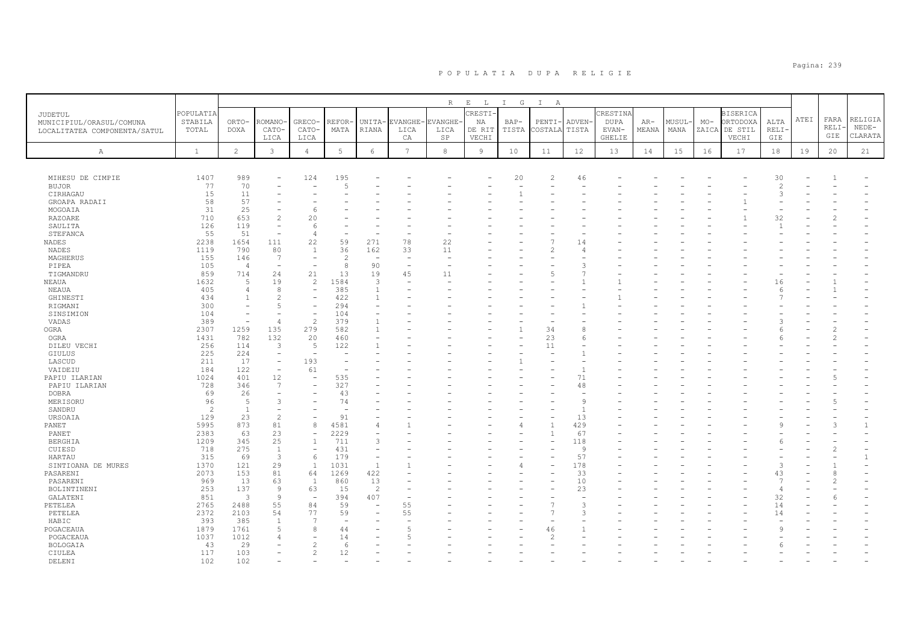|                                                                     |                               |                |                          |                                          |               |                               |                        | R                           | $E$ $L$                          | $\mathbb{I}$<br>$\mathbb{G}$ | $\mathbb{I}$<br>A |                          |                                     |              |                |       |                                                       |                      |             |                      |                               |
|---------------------------------------------------------------------|-------------------------------|----------------|--------------------------|------------------------------------------|---------------|-------------------------------|------------------------|-----------------------------|----------------------------------|------------------------------|-------------------|--------------------------|-------------------------------------|--------------|----------------|-------|-------------------------------------------------------|----------------------|-------------|----------------------|-------------------------------|
| JUDETUL<br>MUNICIPIUL/ORASUL/COMUNA<br>LOCALITATEA COMPONENTA/SATUL | POPULATIA<br>STABILA<br>TOTAL | ORTO-<br>DOXA  | ROMANO<br>CATO-<br>LICA  | GRECO-<br>CATO-<br>LICA                  | REFOR<br>MATA | UNITA-<br>RIANA               | EVANGHE-<br>LICA<br>СA | <b>VANGHE</b><br>LICA<br>SP | CRESTI-<br>NA<br>DE RIT<br>VECHI | BAP-<br>TISTA                | PENTI-<br>COSTALA | <b>ADVEN</b><br>TISTA    | CRESTINA<br>DUPA<br>EVAN-<br>GHELIE | AR-<br>MEANA | MUSUL-<br>MANA | $MO-$ | <b>BISERICA</b><br>ORTODOXA<br>ZAICA DE STIL<br>VECHI | ALTA<br>RELI·<br>GIE | <b>ATEI</b> | FARA<br>RELI·<br>GIE | RELIGIA<br>$NEDE-$<br>CLARATA |
| А                                                                   | $\mathbf{1}$                  | $\overline{c}$ | 3                        | $\overline{4}$                           | 5             | 6                             | 7                      | 8                           | 9                                | 10                           | 11                | 12                       | 13                                  | 14           | 15             | 16    | 17                                                    | 18                   | 19          | 20                   | 21                            |
|                                                                     |                               |                |                          |                                          |               |                               |                        |                             |                                  |                              |                   |                          |                                     |              |                |       |                                                       |                      |             |                      |                               |
| MIHESU DE CIMPIE                                                    | 1407                          | 989            |                          | 124                                      | 195           |                               |                        |                             |                                  | 20                           | $\overline{2}$    | 46                       |                                     |              |                |       |                                                       | 30                   |             |                      |                               |
| <b>BUJOR</b>                                                        | 77                            | 70             |                          |                                          | -5            |                               |                        |                             |                                  |                              |                   |                          |                                     |              |                |       |                                                       | $\overline{c}$       |             |                      |                               |
| CIRHAGAU                                                            | 15                            | 11             |                          |                                          |               |                               |                        |                             |                                  |                              |                   |                          |                                     |              |                |       |                                                       | 3                    |             |                      |                               |
| GROAPA RADAII                                                       | 58<br>31                      | 57<br>25       |                          |                                          |               |                               |                        |                             |                                  |                              |                   |                          |                                     |              |                |       |                                                       |                      |             |                      |                               |
| MOGOAIA<br><b>RAZOARE</b>                                           | 710                           | 653            | $\overline{c}$           | 20                                       |               |                               |                        |                             |                                  |                              |                   |                          |                                     |              |                |       |                                                       | 32                   |             |                      |                               |
| SAULITA                                                             | 126                           | 119            |                          |                                          |               |                               |                        |                             |                                  |                              |                   |                          |                                     |              |                |       |                                                       |                      |             |                      |                               |
| STEFANCA                                                            | 55                            | 51             | L,                       | $\overline{4}$                           |               |                               |                        |                             |                                  |                              |                   |                          |                                     |              |                |       |                                                       |                      |             |                      |                               |
| NADES                                                               | 2238                          | 1654           | 111                      | 22                                       | 59            | 271                           | 78                     | 22                          |                                  |                              |                   | 14                       |                                     |              |                |       |                                                       |                      |             |                      |                               |
| <b>NADES</b>                                                        | 1119                          | 790            | 80                       | $\overline{1}$                           | 36            | 162                           | 33                     | 11                          |                                  |                              | $\mathfrak{D}$    | $\Delta$                 |                                     |              |                |       |                                                       |                      |             |                      |                               |
| MAGHERUS                                                            | 155                           | 146            | 7                        | $\overline{\phantom{m}}$                 | $\mathcal{D}$ | $\overline{\phantom{a}}$      |                        |                             |                                  |                              |                   |                          |                                     |              |                |       |                                                       |                      |             |                      |                               |
| PIPEA                                                               | 105                           | $\overline{4}$ | $\overline{\phantom{a}}$ |                                          | 8             | 90                            |                        |                             |                                  |                              |                   | 3                        |                                     |              |                |       |                                                       |                      |             |                      |                               |
| TIGMANDRU                                                           | 859                           | 714            | 24                       | 21                                       | 13            | 19                            | 45                     | 11                          |                                  |                              | 5                 |                          |                                     |              |                |       |                                                       |                      |             |                      |                               |
| NEAUA                                                               | 1632                          | $\sqrt{2}$     | 19                       | 2                                        | 1584          | 3                             |                        |                             |                                  |                              |                   |                          |                                     |              |                |       |                                                       | 16                   |             |                      |                               |
| NEAUA                                                               | 405                           | 4              | 8                        | $\overline{\phantom{m}}$                 | 385           | $\mathbf{1}$                  |                        |                             |                                  |                              |                   |                          |                                     |              |                |       |                                                       | $\epsilon$           |             |                      |                               |
| GHINESTI                                                            | 434                           | $\overline{1}$ | 2                        |                                          | 422           | $\mathbf{1}$                  |                        |                             |                                  |                              |                   |                          |                                     |              |                |       |                                                       |                      |             |                      |                               |
| RIGMANI                                                             | 300                           |                | 5                        |                                          | 294           |                               |                        |                             |                                  |                              |                   |                          |                                     |              |                |       |                                                       |                      |             |                      |                               |
| SINSIMION                                                           | 104                           |                |                          | $\overline{\phantom{a}}$                 | 104           |                               |                        |                             |                                  |                              |                   |                          |                                     |              |                |       |                                                       |                      |             |                      |                               |
| VADAS                                                               | 389                           |                | 4                        | $\overline{c}$                           | 379           | $\overline{1}$                |                        |                             |                                  |                              |                   |                          |                                     |              |                |       |                                                       |                      |             |                      |                               |
| <b>OGRA</b>                                                         | 2307                          | 1259           | 135                      | 279                                      | 582           | $\overline{1}$                |                        |                             |                                  |                              | 34                | 8                        |                                     |              |                |       |                                                       |                      |             |                      |                               |
| OGRA                                                                | 1431                          | 782            | 132                      | 20                                       | 460           |                               |                        |                             |                                  |                              | 23                | 6                        |                                     |              |                |       |                                                       |                      |             |                      |                               |
| DILEU VECHI                                                         | 256                           | 114            | 3                        | 5                                        | 122           |                               |                        |                             |                                  |                              | 11                |                          |                                     |              |                |       |                                                       |                      |             |                      |                               |
| <b>GIULUS</b>                                                       | 225                           | 224            | $\overline{\phantom{a}}$ |                                          |               |                               |                        |                             |                                  |                              |                   |                          |                                     |              |                |       |                                                       |                      |             |                      |                               |
| LASCUD                                                              | 211                           | 17             | $\overline{\phantom{a}}$ | 193                                      |               |                               |                        |                             |                                  |                              |                   |                          |                                     |              |                |       |                                                       |                      |             |                      |                               |
| VAIDEIU                                                             | 184                           | 122            | $\overline{\phantom{a}}$ | 61                                       |               |                               |                        |                             |                                  |                              |                   | $\overline{1}$           |                                     |              |                |       |                                                       |                      |             |                      |                               |
| PAPIU ILARIAN                                                       | 1024                          | 401            | 12                       |                                          | 535           |                               |                        |                             |                                  |                              |                   | 71                       |                                     |              |                |       |                                                       |                      |             |                      |                               |
| PAPIU ILARIAN                                                       | 728                           | 346            | 7                        |                                          | 327           |                               |                        |                             |                                  |                              |                   | 48                       |                                     |              |                |       |                                                       |                      |             |                      |                               |
| <b>DOBRA</b>                                                        | 69                            | 26             |                          |                                          | 43            |                               |                        |                             |                                  |                              |                   |                          |                                     |              |                |       |                                                       |                      |             |                      |                               |
| MERISORU                                                            | 96                            | 5              | 3                        |                                          | 74            |                               |                        |                             |                                  |                              |                   | 9                        |                                     |              |                |       |                                                       |                      |             |                      |                               |
| SANDRU                                                              | 2                             | $\overline{1}$ |                          |                                          |               |                               |                        |                             |                                  |                              |                   | $\overline{1}$           |                                     |              |                |       |                                                       |                      |             |                      |                               |
| URSOAIA                                                             | 129                           | 23             | $\overline{c}$           |                                          | 91            |                               |                        |                             |                                  |                              |                   | 13                       |                                     |              |                |       |                                                       |                      |             |                      |                               |
| PANET                                                               | 5995                          | 873            | 81                       | 8                                        | 4581          | $\overline{4}$                |                        |                             |                                  |                              |                   | 429                      |                                     |              |                |       |                                                       |                      |             |                      | $\mathbf{1}$                  |
| PANET                                                               | 2383                          | 63<br>345      | 23<br>25                 | $\overline{\phantom{a}}$<br>$\mathbf{1}$ | 2229<br>711   | $\overline{\phantom{a}}$<br>3 |                        |                             |                                  |                              |                   | 67<br>118                |                                     |              |                |       |                                                       |                      |             |                      |                               |
| <b>BERGHIA</b><br>CUIESD                                            | 1209<br>718                   | 275            | $\mathbf{1}$             | $\overline{\phantom{a}}$                 | 431           | $\overline{\phantom{a}}$      |                        |                             |                                  |                              |                   | -9                       |                                     |              |                |       |                                                       |                      |             |                      |                               |
|                                                                     | 315                           | 69             | $\mathcal{B}$            | 6                                        | 179           | $\overline{\phantom{a}}$      |                        |                             |                                  |                              |                   | 57                       |                                     |              |                |       |                                                       |                      |             |                      | $\mathbf{1}$                  |
| HARTAU<br>SINTIOANA DE MURES                                        | 1370                          | 121            | 29                       | $\mathbf{1}$                             | 1031          | $\mathbf{1}$                  |                        |                             |                                  | 4                            |                   | 178                      |                                     |              |                |       |                                                       | 3                    |             |                      |                               |
| PASARENI                                                            | 2073                          | 153            | 81                       | 64                                       | 1269          | 422                           |                        |                             |                                  |                              |                   | 33                       |                                     |              |                |       |                                                       | 43                   |             |                      |                               |
| PASARENI                                                            | 969                           | 13             | 63                       | 1                                        | 860           | 13                            |                        |                             |                                  |                              |                   | 10                       |                                     |              |                |       |                                                       |                      |             |                      |                               |
| BOLINTINENI                                                         | 253                           | 137            | 9                        | 63                                       | 15            | 2                             |                        |                             |                                  |                              |                   | 23                       |                                     |              |                |       |                                                       | $\overline{4}$       |             |                      |                               |
| GALATENI                                                            | 851                           | $\overline{3}$ | $\overline{9}$           | $\overline{\phantom{a}}$                 | 394           | 407                           |                        |                             |                                  |                              |                   | $\overline{\phantom{a}}$ |                                     |              |                |       |                                                       | 32                   |             |                      |                               |
| PETELEA                                                             | 2765                          | 2488           | 55                       | 84                                       | 59            |                               | 55                     |                             |                                  |                              | 7                 | 3                        |                                     |              |                |       |                                                       | 14                   |             |                      |                               |
| PETELEA                                                             | 2372                          | 2103           | 54                       | 77                                       | 59            |                               | 55                     |                             |                                  |                              | 7                 | $\mathcal{R}$            |                                     |              |                |       |                                                       | 14                   |             |                      |                               |
| HABIC                                                               | 393                           | 385            | $\overline{1}$           | 7                                        |               |                               |                        |                             |                                  |                              |                   |                          |                                     |              |                |       |                                                       |                      |             |                      |                               |
| POGACEAUA                                                           | 1879                          | 1761           | $\overline{5}$           | 8                                        | 44            |                               |                        |                             |                                  |                              | 46                |                          |                                     |              |                |       |                                                       | q                    |             |                      |                               |
| POGACEAUA                                                           | 1037                          | 1012           |                          |                                          | 14            |                               |                        |                             |                                  |                              | $\mathcal{D}$     |                          |                                     |              |                |       |                                                       |                      |             |                      |                               |
| <b>BOLOGAIA</b>                                                     | 43                            | 29             |                          |                                          | -6            |                               |                        |                             |                                  |                              |                   |                          |                                     |              |                |       |                                                       |                      |             |                      |                               |
| CIULEA                                                              | 117                           | 103            |                          | $\mathcal{D}$                            | 12            |                               |                        |                             |                                  |                              |                   |                          |                                     |              |                |       |                                                       |                      |             |                      |                               |
| DELENT                                                              | 102                           | 102            |                          |                                          |               |                               |                        |                             |                                  |                              |                   |                          |                                     |              |                |       |                                                       |                      |             |                      |                               |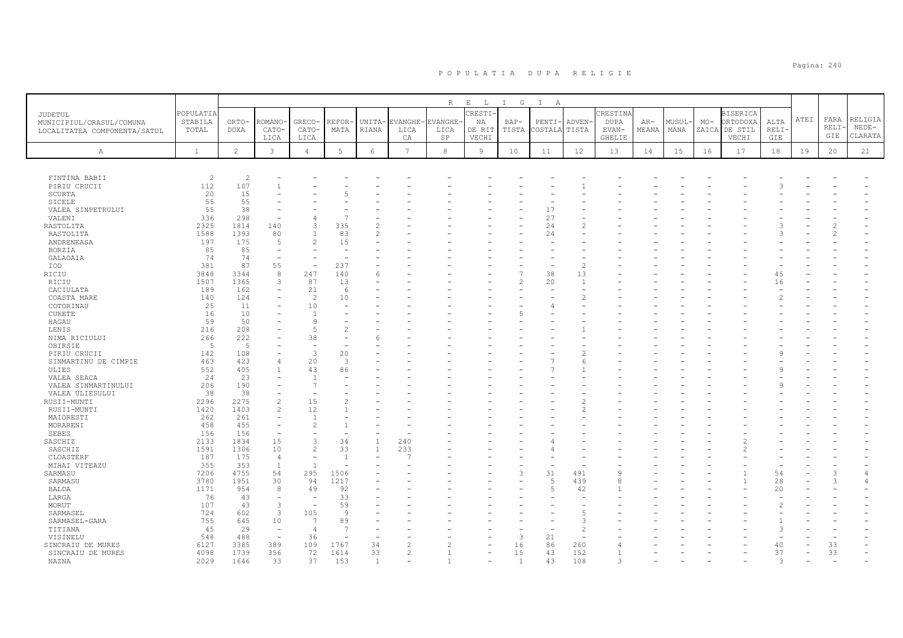|                                                                     |                               |                          |                          |                                |               |                 |                        | R                           | $E$ $L$                          | I G             | $\mathbb{I}$<br>A   |                       |                                     |                |                |       |                                                       |                      |             |                     |                               |
|---------------------------------------------------------------------|-------------------------------|--------------------------|--------------------------|--------------------------------|---------------|-----------------|------------------------|-----------------------------|----------------------------------|-----------------|---------------------|-----------------------|-------------------------------------|----------------|----------------|-------|-------------------------------------------------------|----------------------|-------------|---------------------|-------------------------------|
| JUDETUL<br>MUNICIPIUL/ORASUL/COMUNA<br>LOCALITATEA COMPONENTA/SATUL | POPULATIA<br>STABILA<br>TOTAL | ORTO-<br>DOXA            | ROMANO<br>CATO-<br>LICA  | GRECO-<br>CATO-<br>LICA        | REFOR<br>MATA | UNITA-<br>RIANA | EVANGHE-<br>LICA<br>СA | <b>VANGHE</b><br>LICA<br>SP | CRESTI-<br>NA<br>DE RIT<br>VECHI | $BAP-$<br>TISTA | $PENTI-$<br>COSTALA | <b>ADVEN</b><br>TISTA | CRESTINA<br>DUPA<br>EVAN-<br>GHELIE | $AR-$<br>MEANA | MUSUL-<br>MANA | $MO-$ | <b>BISERICA</b><br>ORTODOXA<br>ZAICA DE STIL<br>VECHI | ALTA<br>RELI·<br>GIE | <b>ATEI</b> | FARA<br>RELI<br>GIE | RELIGIA<br>$NEDE-$<br>CLARATA |
| A                                                                   | $\mathbf{1}$                  | $\overline{2}$           | 3                        | $\overline{4}$                 | 5             | 6               | 7                      | 8                           | 9                                | 10              | 11                  | 12                    | 13                                  | 14             | 15             | 16    | 17                                                    | 18                   | 19          | 20                  | 21                            |
|                                                                     |                               |                          |                          |                                |               |                 |                        |                             |                                  |                 |                     |                       |                                     |                |                |       |                                                       |                      |             |                     |                               |
| FINTINA BABII                                                       | $\overline{c}$                | $\overline{\mathcal{L}}$ |                          |                                |               |                 |                        |                             |                                  |                 |                     |                       |                                     |                |                |       |                                                       |                      |             |                     |                               |
| PIRIU CRUCII                                                        | 112                           | 107                      |                          |                                |               |                 |                        |                             |                                  |                 |                     |                       |                                     |                |                |       |                                                       |                      |             |                     |                               |
| SCURTA                                                              | 20                            | 15                       |                          |                                |               |                 |                        |                             |                                  |                 |                     |                       |                                     |                |                |       |                                                       |                      |             |                     |                               |
| <b>SICELE</b>                                                       | 55                            | 55                       |                          |                                |               |                 |                        |                             |                                  |                 |                     |                       |                                     |                |                |       |                                                       |                      |             |                     |                               |
| VALEA SINPETRULUI                                                   | 55                            | 38                       |                          |                                |               |                 |                        |                             |                                  |                 | 17                  |                       |                                     |                |                |       |                                                       |                      |             |                     |                               |
| VALENI                                                              | 336                           | 298                      |                          | $\overline{4}$                 |               |                 |                        |                             |                                  |                 | 27                  |                       |                                     |                |                |       |                                                       |                      |             |                     |                               |
| RASTOLITA                                                           | 2325                          | 1814                     | 140                      | 3                              | 335           |                 |                        |                             |                                  |                 | 24                  |                       |                                     |                |                |       |                                                       |                      |             |                     |                               |
| RASTOLITA                                                           | 1588                          | 1393                     | 80                       | $\overline{1}$                 | 83            |                 |                        |                             |                                  |                 | 24                  |                       |                                     |                |                |       |                                                       |                      |             |                     |                               |
| ANDRENEASA                                                          | 197                           | 175                      | 5                        | $\overline{c}$                 | 15            |                 |                        |                             |                                  |                 |                     |                       |                                     |                |                |       |                                                       |                      |             |                     |                               |
| BORZIA                                                              | 85                            | 85                       | $\overline{\phantom{a}}$ |                                |               |                 |                        |                             |                                  |                 |                     |                       |                                     |                |                |       |                                                       |                      |             |                     |                               |
| GALAOAIA                                                            | 74                            | 74                       |                          |                                |               |                 |                        |                             |                                  |                 |                     |                       |                                     |                |                |       |                                                       |                      |             |                     |                               |
| IOD                                                                 | 381                           | 87                       | 55                       |                                | 237           |                 |                        |                             |                                  |                 |                     | $\mathcal{D}$         |                                     |                |                |       |                                                       |                      |             |                     |                               |
| RICIU                                                               | 3848                          | 3344                     | 8                        | 247                            | 140           | -6              |                        |                             |                                  |                 | 38                  | 13                    |                                     |                |                |       |                                                       | 45                   |             |                     |                               |
| RICIU                                                               | 1507                          | 1365                     | 3                        | 87                             | 13            |                 |                        |                             |                                  | 2               | 20                  | $\mathbf{1}$          |                                     |                |                |       |                                                       | 16                   |             |                     |                               |
| CACIULATA                                                           | 189                           | 162                      |                          | 21                             | -6            |                 |                        |                             |                                  |                 |                     |                       |                                     |                |                |       |                                                       |                      |             |                     |                               |
| COASTA MARE                                                         | 140                           | 124                      |                          | 2                              | 10            |                 |                        |                             |                                  |                 |                     |                       |                                     |                |                |       |                                                       |                      |             |                     |                               |
| COTORINAU                                                           | 25                            | 11                       |                          | 10                             |               |                 |                        |                             |                                  |                 |                     |                       |                                     |                |                |       |                                                       |                      |             |                     |                               |
| <b>CURETE</b>                                                       | 16                            | 10                       |                          | -1                             |               |                 |                        |                             |                                  |                 |                     |                       |                                     |                |                |       |                                                       |                      |             |                     |                               |
| HAGAU                                                               | 59                            | 50                       |                          | Q                              |               |                 |                        |                             |                                  |                 |                     |                       |                                     |                |                |       |                                                       |                      |             |                     |                               |
| LENIS                                                               | 216                           | 208                      |                          | $\overline{5}$                 |               |                 |                        |                             |                                  |                 |                     |                       |                                     |                |                |       |                                                       |                      |             |                     |                               |
| NIMA RICIULUI                                                       | 266                           | 222                      |                          | 38                             |               |                 |                        |                             |                                  |                 |                     |                       |                                     |                |                |       |                                                       |                      |             |                     |                               |
| OBIRSIE                                                             | $\overline{5}$                | 5                        |                          |                                |               |                 |                        |                             |                                  |                 |                     |                       |                                     |                |                |       |                                                       |                      |             |                     |                               |
| PIRIU CRUCII                                                        | 142                           | 108                      |                          | 3                              | 20            |                 |                        |                             |                                  |                 |                     |                       |                                     |                |                |       |                                                       |                      |             |                     |                               |
| SINMARTINU DE CIMPIE                                                | 463                           | 423                      |                          | 20                             | 3             |                 |                        |                             |                                  |                 |                     | Е                     |                                     |                |                |       |                                                       |                      |             |                     |                               |
| ULIES                                                               | 552                           | 405                      | -1                       | 43                             | 86            |                 |                        |                             |                                  |                 |                     |                       |                                     |                |                |       |                                                       |                      |             |                     |                               |
| VALEA SEACA                                                         | 24                            | 23                       |                          | $\overline{1}$                 |               |                 |                        |                             |                                  |                 |                     |                       |                                     |                |                |       |                                                       |                      |             |                     |                               |
| VALEA SINMARTINULUI                                                 | 206                           | 190                      |                          | $\overline{7}$                 |               |                 |                        |                             |                                  |                 |                     |                       |                                     |                |                |       |                                                       |                      |             |                     |                               |
| VALEA ULIESULUI                                                     | 38                            | 38                       |                          |                                |               |                 |                        |                             |                                  |                 |                     |                       |                                     |                |                |       |                                                       |                      |             |                     |                               |
| RUSII-MUNTI                                                         | 2296                          | 2275                     | $\overline{2}$           | 15                             |               |                 |                        |                             |                                  |                 |                     |                       |                                     |                |                |       |                                                       |                      |             |                     |                               |
| RUSII-MUNTI                                                         | 1420                          | 1403                     | $\overline{2}$           | 12                             |               |                 |                        |                             |                                  |                 |                     |                       |                                     |                |                |       |                                                       |                      |             |                     |                               |
| MAIORESTI                                                           | 262                           | 261                      |                          | $\overline{1}$                 |               |                 |                        |                             |                                  |                 |                     |                       |                                     |                |                |       |                                                       |                      |             |                     |                               |
| MORARENI                                                            | 458                           | 455                      |                          |                                |               |                 |                        |                             |                                  |                 |                     |                       |                                     |                |                |       |                                                       |                      |             |                     |                               |
| <b>SEBES</b>                                                        | 156                           | 156                      | $\overline{\phantom{a}}$ |                                |               |                 |                        |                             |                                  |                 |                     |                       |                                     |                |                |       |                                                       |                      |             |                     |                               |
| SASCHIZ                                                             | 2133                          | 1834                     | 15                       | 3                              | 34            |                 | 240                    |                             |                                  |                 |                     |                       |                                     |                |                |       |                                                       |                      |             |                     |                               |
| SASCHIZ                                                             | 1591                          | 1306                     | 10                       | $\mathcal{L}$                  | 33            |                 | 233                    |                             |                                  |                 |                     |                       |                                     |                |                |       |                                                       |                      |             |                     |                               |
| CLOASTERF                                                           | 187                           | 175                      | $\overline{4}$           |                                | -1            |                 |                        |                             |                                  |                 |                     |                       |                                     |                |                |       |                                                       |                      |             |                     |                               |
| MIHAI VITEAZU                                                       | 355                           | 353                      | <sup>1</sup>             | $\overline{1}$                 |               |                 |                        |                             |                                  |                 |                     |                       |                                     |                |                |       |                                                       |                      |             |                     |                               |
| SARMASU                                                             | 7206                          | 4755                     | 54                       | 295                            | 1506          |                 |                        |                             |                                  | 3               | 31                  | 491                   | a                                   |                |                |       |                                                       | 54                   |             |                     |                               |
| SARMASU                                                             | 3780                          | 1951                     | 30                       | 94                             | 1217          |                 |                        |                             |                                  |                 | $\overline{5}$      | 439                   |                                     |                |                |       |                                                       | 28                   |             |                     | $\Delta$                      |
|                                                                     |                               |                          | 8                        |                                | 92            |                 |                        |                             |                                  |                 | 5                   |                       |                                     |                |                |       |                                                       |                      |             |                     |                               |
| <b>BALDA</b>                                                        | 1171                          | 954                      | $\equiv$                 | 49<br>$\overline{\phantom{m}}$ | 33            |                 |                        |                             |                                  |                 |                     | 42                    |                                     |                |                |       |                                                       | 20                   |             |                     |                               |
| LARGA                                                               | 76                            | 43                       |                          |                                |               |                 |                        |                             |                                  |                 |                     |                       |                                     |                |                |       |                                                       |                      |             |                     |                               |
| MORUT                                                               | 107                           | 43                       | 3                        |                                | 59            |                 |                        |                             |                                  |                 |                     |                       |                                     |                |                |       |                                                       | $\mathcal{L}$        |             |                     |                               |
| SARMASEL                                                            | 724                           | 602                      | $\mathbf{3}$             | 105                            | -9            |                 |                        |                             |                                  |                 |                     |                       |                                     |                |                |       |                                                       |                      |             |                     |                               |
| SARMASEL-GARA                                                       | 755                           | 645                      | 10                       | 7                              | 89            |                 |                        |                             |                                  |                 |                     |                       |                                     |                |                |       |                                                       |                      |             |                     |                               |
| TITIANA                                                             | 45                            | 29                       | $\overline{\phantom{a}}$ | $\overline{4}$                 |               |                 |                        |                             |                                  |                 |                     | $\mathcal{L}$         |                                     |                |                |       |                                                       | 3                    |             |                     |                               |
| VISINELU                                                            | 548                           | 488                      | $\sim$                   | 36                             |               |                 |                        |                             |                                  | 3               | 21                  |                       |                                     |                |                |       |                                                       |                      |             |                     |                               |
| SINCRAIU DE MURES                                                   | 6127                          | 3385                     | 389                      | 109                            | 1767          | 34              |                        |                             |                                  | 16              | 86                  | 260                   |                                     |                |                |       |                                                       | 40                   |             | 33                  |                               |
| SINCRAIU DE MURES                                                   | 4098                          | 1739                     | 356                      | 72                             | 1614          | 33              | $\mathfrak{D}$         |                             |                                  | 15              | 43                  | 152                   |                                     |                |                |       |                                                       | 37                   |             | 33                  |                               |
| NAZNA                                                               | 2029                          | 1646                     | 33                       | 37                             | 153           |                 |                        |                             |                                  |                 | 43                  | 108                   |                                     |                |                |       |                                                       | $\mathcal{R}$        |             |                     |                               |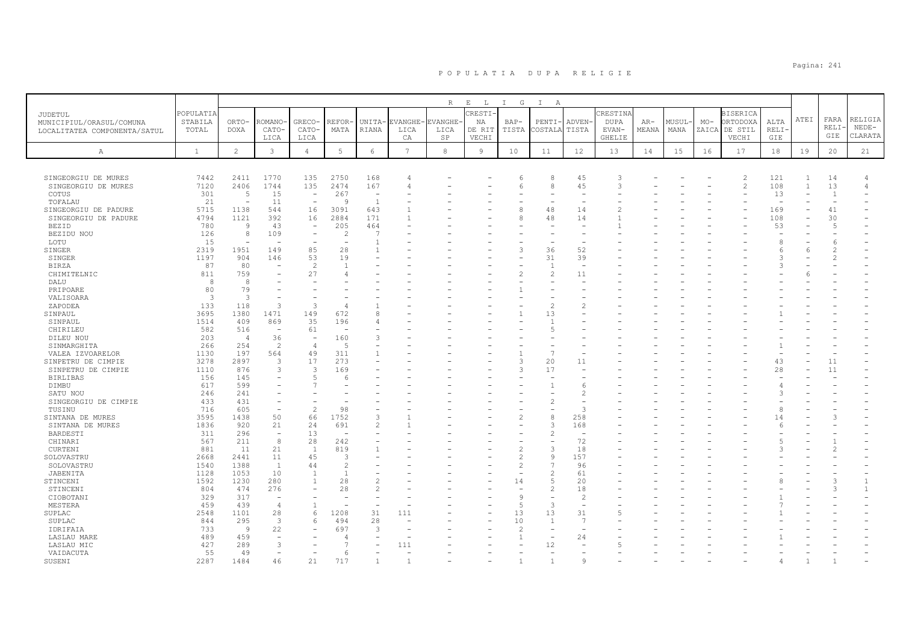|                                     |                      |                |                          |                                  |                      |                          |                | R          | $E$ L           | I G                      | $\mathbb{I}$<br>A                |                          |                         |       |        |       |                             |               |      |                |                    |
|-------------------------------------|----------------------|----------------|--------------------------|----------------------------------|----------------------|--------------------------|----------------|------------|-----------------|--------------------------|----------------------------------|--------------------------|-------------------------|-------|--------|-------|-----------------------------|---------------|------|----------------|--------------------|
| JUDETUL<br>MUNICIPIUL/ORASUL/COMUNA | POPULATIA<br>STABILA | ORTO-          | ROMANO                   | GRECO-                           | REFOR                | UNITA-                   | <b>EVANGHE</b> | EVANGHE-   | CRESTI<br>ΝA    | $BAP-$                   | PENTI-                           | ADVEN-                   | CRESTINA<br><b>DUPA</b> | $AR-$ | MUSUL· | $MO-$ | <b>BISERICA</b><br>ORTODOXA | ALTA          | ATEI | FARA           | RELIGIA            |
| LOCALITATEA COMPONENTA/SATUL        | TOTAL                | DOXA           | CATO-<br>LICA            | CATO-<br>LICA                    | MATA                 | RIANA                    | LICA<br>CA     | LICA<br>SP | DE RIT<br>VECHI | TISTA                    | COSTALA                          | TISTA                    | EVAN-<br><b>GHELIE</b>  | MEANA | MANA   |       | ZAICA DE STIL<br>VECHI      | RELI·<br>GIE  |      | RELI<br>GIE    | $NEDE-$<br>CLARATA |
| Α                                   | <sup>1</sup>         | $\overline{c}$ | $\mathbf{3}$             | $\overline{4}$                   | 5                    | $6\overline{6}$          | 7              | $^{\rm 8}$ | $\overline{9}$  | 10                       | 11                               | 12                       | 13                      | 14    | 15     | 16    | 17                          | 18            | 19   | 20             | 21                 |
|                                     |                      |                |                          |                                  |                      |                          |                |            |                 |                          |                                  |                          |                         |       |        |       |                             |               |      |                |                    |
| SINGEORGIU DE MURES                 | 7442                 | 2411           | 1770                     | 135                              | 2750                 | 168                      |                |            |                 | 6                        | 8                                | 45                       | 3                       |       |        |       | $\mathfrak{D}$              | 121           | -1   | 14             | $\overline{4}$     |
| SINGEORGIU DE MURES                 | 7120                 | 2406           | 1744                     | 135                              | 2474                 | 167                      | 4              |            |                 | F                        | 8                                | 45                       | 3                       |       |        |       | $\overline{c}$              | 108           | 1    | 13             | $\overline{4}$     |
| COTUS                               | 301                  | .5             | 15                       | $\overline{\phantom{a}}$         | 267                  | $\overline{\phantom{a}}$ |                |            |                 |                          | $\overline{\phantom{a}}$         | $\overline{\phantom{a}}$ |                         |       |        |       |                             | 13            |      | $\overline{1}$ |                    |
| TOFALAU                             | 21                   | $\sim$         | 11                       | $\sim$                           | <b>Q</b>             | $\mathbf{1}$             |                |            |                 |                          |                                  |                          |                         |       |        |       |                             |               |      |                |                    |
| SINGEORGIU DE PADURE                | 5715                 | 1138           | 544                      | 16                               | 3091                 | 643                      |                |            |                 | 8                        | 48                               | 14                       |                         |       |        |       |                             | 169           |      | 41             |                    |
| SINGEORGIU DE PADURE                | 4794                 | 1121           | 392                      | 16                               | 2884                 | 171                      |                |            |                 | 8                        | 48                               | 14                       |                         |       |        |       |                             | 108           |      | 30             |                    |
| <b>BEZID</b>                        | 780                  | $\overline{9}$ | 43                       | $\overline{\phantom{a}}$         | 205                  | 464                      |                |            |                 |                          | ÷                                |                          |                         |       |        |       |                             | 53            |      | $\overline{5}$ |                    |
| BEZIDU NOU                          | 126                  | 8              | 109                      | $\overline{\phantom{a}}$         | 2                    | 7                        |                |            |                 |                          |                                  |                          |                         |       |        |       |                             | $\mathcal{R}$ |      |                |                    |
| LOTU                                | 15                   | $\sim$         | ÷                        | $\overline{a}$                   |                      | $\overline{1}$           |                |            |                 | 3                        | $\overline{\phantom{a}}$         |                          |                         |       |        |       |                             |               |      | -6             |                    |
| SINGER                              | 2319<br>1197         | 1951           | 149<br>146               | 85<br>53                         | 28<br>19             |                          |                |            |                 |                          | 36<br>31                         | 52<br>39                 |                         |       |        |       |                             | 3             | 6    | $\mathcal{L}$  |                    |
| SINGER<br><b>BIRZA</b>              | 87                   | 904<br>80      |                          | $\mathcal{L}$                    |                      |                          |                |            |                 |                          | $\mathbf{1}$                     | ÷.                       |                         |       |        |       |                             | $\mathcal{A}$ |      |                |                    |
| CHIMITELNIC                         | 811                  | 759            |                          | 27                               |                      |                          |                |            |                 | $\mathfrak{D}$           | $\mathfrak{D}$                   | 11                       |                         |       |        |       |                             |               |      |                |                    |
| DALU                                | 8                    | $\beta$        |                          |                                  |                      |                          |                |            |                 |                          |                                  |                          |                         |       |        |       |                             |               |      |                |                    |
| PRIPOARE                            | 80                   | 79             |                          |                                  |                      |                          |                |            |                 |                          | ۰                                |                          |                         |       |        |       |                             |               |      |                |                    |
| VALISOARA                           | 3                    | 3              |                          |                                  |                      |                          |                |            |                 |                          |                                  |                          |                         |       |        |       |                             |               |      |                |                    |
| ZAPODEA                             | 133                  | 118            | 3                        | $\mathcal{R}$                    |                      |                          |                |            |                 |                          | $\overline{\mathcal{L}}$         | 2                        |                         |       |        |       |                             |               |      |                |                    |
| SINPAUL                             | 3695                 | 1380           | 1471                     | 149                              | 672                  | $\mathcal{R}$            |                |            |                 |                          | 13                               |                          |                         |       |        |       |                             |               |      |                |                    |
| SINPAUL                             | 1514                 | 409            | 869                      | 35                               | 196                  | 4                        |                |            |                 |                          | $\mathbf{1}$                     |                          |                         |       |        |       |                             |               |      |                |                    |
| CHIRILEU                            | 582                  | 516            | $\sim$                   | 61                               |                      |                          |                |            |                 |                          | $\overline{5}$                   |                          |                         |       |        |       |                             |               |      |                |                    |
| DILEU NOU                           | 203                  | $\overline{4}$ | 36                       | $\overline{\phantom{a}}$         | 160                  | 3                        |                |            |                 |                          |                                  |                          |                         |       |        |       |                             |               |      |                |                    |
| SINMARGHITA                         | 266                  | 254            | $\overline{c}$           | $\overline{4}$                   | - 5                  |                          |                |            |                 |                          |                                  |                          |                         |       |        |       |                             |               |      |                |                    |
| VALEA IZVOARELOR                    | 1130                 | 197            | 564                      | 49                               | 311                  |                          |                |            |                 |                          | $\overline{7}$                   |                          |                         |       |        |       |                             |               |      |                |                    |
| SINPETRU DE CIMPIE                  | 3278                 | 2897           | 3                        | 17                               | 273                  |                          |                |            |                 | 3                        | 20                               | 11                       |                         |       |        |       |                             | 43            |      | 11             |                    |
| SINPETRU DE CIMPIE                  | 1110                 | 876            | 3                        | 3                                | 169                  |                          |                |            |                 | 3                        | 17                               |                          |                         |       |        |       |                             | 28            |      | 11             |                    |
| <b>BIRLIBAS</b>                     | 156                  | 145            |                          | $\sqrt{2}$                       |                      |                          |                |            |                 |                          |                                  |                          |                         |       |        |       |                             |               |      |                |                    |
| DIMBU                               | 617                  | 599            |                          |                                  |                      |                          |                |            |                 |                          |                                  | -6                       |                         |       |        |       |                             |               |      |                |                    |
| SATU NOU                            | 246                  | 241            |                          |                                  |                      |                          |                |            |                 |                          |                                  | 2                        |                         |       |        |       |                             | $\mathcal{A}$ |      |                |                    |
| SINGEORGIU DE CIMPIE                | 433                  | 431            |                          |                                  |                      |                          |                |            |                 |                          | $\mathcal{D}$                    |                          |                         |       |        |       |                             |               |      |                |                    |
| TUSINU                              | 716                  | 605            | $\overline{\phantom{a}}$ | 2                                | 98                   |                          |                |            |                 |                          |                                  | 3                        |                         |       |        |       |                             | 8             |      |                |                    |
| SINTANA DE MURES                    | 3595                 | 1438           | 50                       | 66                               | 1752                 | 3                        |                |            |                 | $\overline{\mathcal{L}}$ | 8                                | 258                      |                         |       |        |       |                             | 14            |      | Э              |                    |
| SINTANA DE MURES                    | 1836                 | 920            | 21                       | 24                               | 691                  | $\mathfrak{D}$           |                |            |                 |                          | 3                                | 168                      |                         |       |        |       |                             | -6            |      |                |                    |
| BARDESTI                            | 311                  | 296            | $\overline{\phantom{0}}$ | 13                               |                      |                          |                |            |                 |                          | $\mathcal{P}$                    | $\overline{\phantom{a}}$ |                         |       |        |       |                             |               |      |                |                    |
| CHINARI                             | 567                  | 211            | 8                        | 28                               | 242                  |                          |                |            |                 |                          |                                  | 72                       |                         |       |        |       |                             |               |      |                |                    |
| CURTENI                             | 881                  | 11             | 21                       | $\overline{1}$                   | 819                  |                          |                |            |                 | $\overline{2}$           | $\mathcal{L}$                    | 18                       |                         |       |        |       |                             |               |      |                |                    |
| SOLOVASTRU                          | 2668                 | 2441           | 11                       | 45                               | 3                    |                          |                |            |                 | $\overline{2}$           | $\mathsf{Q}$                     | 157                      |                         |       |        |       |                             |               |      |                |                    |
| SOLOVASTRU                          | 1540                 | 1388           | <sup>1</sup>             | 44                               | $\mathcal{L}$        |                          |                |            |                 | $\mathfrak{D}$           | 7                                | 96                       |                         |       |        |       |                             |               |      |                |                    |
| JABENITA                            | 1128                 | 1053           | 10                       | $\overline{1}$<br>$\overline{1}$ | $\overline{1}$<br>28 | $\mathfrak{D}$           |                |            |                 |                          | $\overline{2}$<br>$\overline{5}$ | 61                       |                         |       |        |       |                             |               |      | $\mathcal{R}$  |                    |
| STINCENI                            | 1592<br>804          | 1230<br>474    | 280<br>276               |                                  | 28                   | $\mathcal{L}$            |                |            |                 | 14                       | $\overline{2}$                   | 20<br>18                 |                         |       |        |       |                             |               |      | $\mathcal{R}$  | $\mathbf{1}$       |
| STINCENI<br>CIOBOTANI               | 329                  | 317            | $\overline{\phantom{a}}$ |                                  |                      |                          |                |            |                 | $\mathsf{Q}$             | L.                               | $\overline{c}$           |                         |       |        |       |                             |               |      |                |                    |
| MESTERA                             | 459                  | 439            | 4                        | $\overline{1}$                   |                      |                          |                |            |                 | 5                        | 3                                |                          |                         |       |        |       |                             |               |      |                |                    |
| SUPLAC                              | 2548                 | 1101           | 28                       | 6                                | 1208                 | 31                       | 111            |            |                 | 13                       | 13                               | 31                       |                         |       |        |       |                             |               |      |                |                    |
| SUPLAC                              | 844                  | 295            | - 3                      | 6                                | 494                  | 28                       |                |            |                 | 10                       | 1                                | -7                       |                         |       |        |       |                             |               |      |                |                    |
| IDRIFAIA                            | 733                  | $\overline{9}$ | 22                       |                                  | 697                  | $\mathcal{R}$            |                |            |                 | $\mathcal{P}$            |                                  |                          |                         |       |        |       |                             |               |      |                |                    |
| LASLAU MARE                         | 489                  | 459            |                          |                                  |                      |                          |                |            |                 | $\overline{1}$           |                                  | 24                       |                         |       |        |       |                             |               |      |                |                    |
| LASLAU MIC                          | 427                  | 289            | 3                        |                                  |                      |                          | 111            |            |                 |                          | 12                               |                          |                         |       |        |       |                             |               |      |                |                    |
| VAIDACUTA                           | 55                   | 49             |                          |                                  | 6                    |                          |                |            |                 |                          |                                  |                          |                         |       |        |       |                             |               |      |                |                    |
| SUSENI                              | 2287                 | 1484           | 46                       | 21                               | 717                  | $\overline{1}$           |                |            |                 | $\mathbf{1}$             | $\mathbf{1}$                     | $\mathcal{Q}$            |                         |       |        |       |                             |               |      |                |                    |
|                                     |                      |                |                          |                                  |                      |                          |                |            |                 |                          |                                  |                          |                         |       |        |       |                             |               |      |                |                    |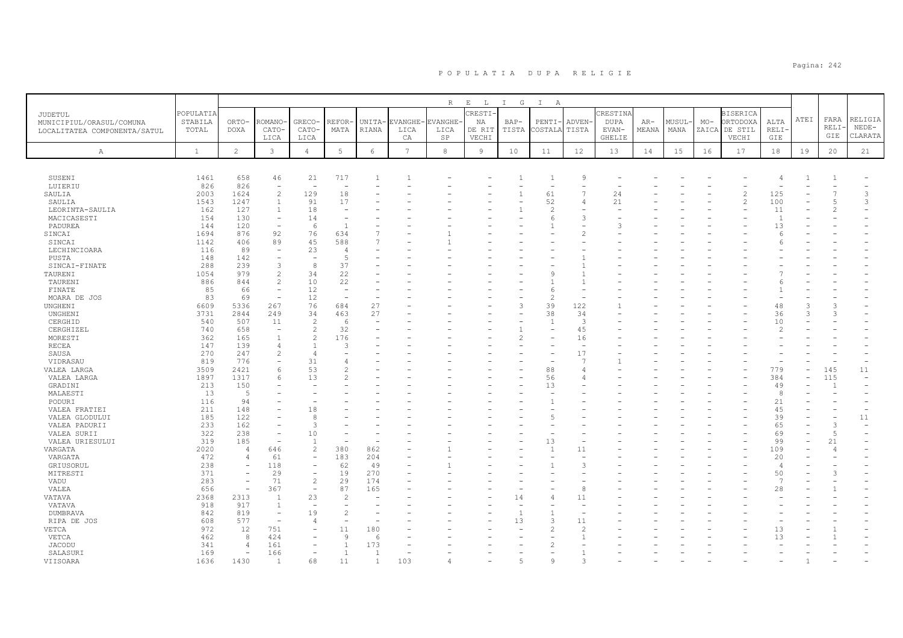|                                |                  |                          |                                  |                                        |                          |                          |                 | R              | $\mathbf{E}$<br>$\mathbb{L}$ | $I$ G                    | $\mathbb{I}$<br>A   |                                |               |       |       |       |                 |                      |      |                |                    |
|--------------------------------|------------------|--------------------------|----------------------------------|----------------------------------------|--------------------------|--------------------------|-----------------|----------------|------------------------------|--------------------------|---------------------|--------------------------------|---------------|-------|-------|-------|-----------------|----------------------|------|----------------|--------------------|
| JUDETUL                        | <b>POPULATIA</b> |                          |                                  |                                        |                          |                          |                 |                | RESTI-                       |                          |                     |                                | CRESTIN       |       |       |       | <b>BISERICA</b> |                      |      |                |                    |
| MUNICIPIUL/ORASUL/COMUNA       | STABILA          | ORTO-                    | ROMANO                           | GRECO-                                 | REFOR                    | UNITA-                   | EVANGHE         | <b>EVANGHE</b> | ΝA                           | $BAP-$                   | PENTI-              | ADVEN-                         | <b>DUPA</b>   | $AR-$ | MUSUL | $MO-$ | ORTODOXA        | ALTA                 | ATEI | FARA<br>RELI-  | RELIGIA            |
| LOCALITATEA COMPONENTA/SATUL   | TOTAL            | <b>DOXA</b>              | CATO-                            | CATO-                                  | MATA                     | RIANA                    | LICA            | LICA           | DE RIT                       | TISTA                    | COSTALA             | TISTA                          | EVAN-         | MEANA | MANA  | ZAICA | DE STIL         | RELI-                |      | GIE            | $NEDE-$<br>CLARATA |
|                                |                  |                          | LICA                             | LICA                                   |                          |                          | CA              | SP             | VECHI                        |                          |                     |                                | <b>GHELIE</b> |       |       |       | VECHI           | GIE                  |      |                |                    |
| $\mathbb{A}$                   | $\mathbf{1}$     | $\overline{2}$           | $\mathfrak{Z}$                   | $\overline{4}$                         | $5\phantom{.0}$          | 6                        | $7\phantom{.0}$ | 8              | 9                            | 10                       | 11                  | 12                             | 13            | 14    | 15    | 16    | 17              | 18                   | 19   | 20             | 21                 |
|                                |                  |                          |                                  |                                        |                          |                          |                 |                |                              |                          |                     |                                |               |       |       |       |                 |                      |      |                |                    |
|                                |                  |                          |                                  |                                        |                          |                          |                 |                |                              |                          |                     |                                |               |       |       |       |                 |                      |      |                |                    |
| SUSENI                         | 1461             | 658                      | 46                               | 21                                     | 717                      | 1                        |                 |                |                              |                          |                     | $\overline{9}$                 |               |       |       |       |                 | 4                    |      |                |                    |
| LUIERIU                        | 826              | 826                      | $\overline{\phantom{a}}$         | $\overline{\phantom{a}}$               | $\overline{\phantom{a}}$ |                          |                 |                |                              |                          | ÷                   |                                |               |       |       |       |                 |                      |      |                |                    |
| SAULIA                         | 2003             | 1624                     | $\overline{c}$                   | 129                                    | 18                       |                          |                 |                |                              | $\mathbf{1}$             | 61                  | $\overline{7}$                 | 24            |       |       |       | $\overline{c}$  | 125                  |      |                | 3                  |
| SAULIA                         | 1543             | 1247                     | $\overline{1}$                   | 91                                     | 17<br>٠                  |                          |                 |                |                              | $\overline{\phantom{0}}$ | 52                  | 4                              | 21            |       |       |       | $\mathcal{L}$   | 100                  |      |                | 3                  |
| LEORINTA-SAULIA<br>MACICASESTI | 162<br>154       | 127<br>130               | $\equiv$                         | 18<br>14                               | $\overline{\phantom{a}}$ |                          |                 |                |                              |                          | $\overline{c}$<br>6 | 3                              |               |       |       |       |                 | 11<br>$\overline{1}$ |      |                |                    |
| PADUREA                        | 144              | 120                      | $\overline{\phantom{a}}$         | 6                                      | $\overline{1}$           |                          |                 |                |                              |                          |                     |                                |               |       |       |       |                 | 13                   |      |                |                    |
| SINCAI                         | 1694             | 876                      | 92                               | 76                                     | 634                      |                          |                 |                |                              |                          |                     |                                |               |       |       |       |                 | 6                    |      |                |                    |
| SINCAI                         | 1142             | 406                      | 89                               | 45                                     | 588                      |                          |                 |                |                              |                          |                     |                                |               |       |       |       |                 | F                    |      |                |                    |
| LECHINCIOARA                   | 116              | 89                       | $\overline{\phantom{a}}$         | 23                                     | $\overline{4}$           |                          |                 |                |                              |                          |                     |                                |               |       |       |       |                 |                      |      |                |                    |
| PUSTA                          | 148              | 142                      |                                  |                                        | $\overline{2}$           |                          |                 |                |                              |                          |                     |                                |               |       |       |       |                 |                      |      |                |                    |
| SINCAI-FINATE                  | 288              | 239                      | 3                                | 8                                      | 37                       |                          |                 |                |                              |                          |                     |                                |               |       |       |       |                 |                      |      |                |                    |
| TAURENI                        | 1054             | 979                      | $\overline{c}$                   | 34                                     | 22                       |                          |                 |                |                              |                          |                     |                                |               |       |       |       |                 |                      |      |                |                    |
| TAURENI                        | 886              | 844                      | $\overline{c}$                   | 10                                     | 22                       |                          |                 |                |                              |                          |                     |                                |               |       |       |       |                 | F                    |      |                |                    |
| FINATE                         | 85               | 66                       | $\equiv$                         | 12                                     | $\sim$                   |                          |                 |                |                              |                          |                     |                                |               |       |       |       |                 |                      |      |                |                    |
| MOARA DE JOS                   | 83               | 69                       | $\overline{\phantom{a}}$         | 12                                     | $\overline{\phantom{a}}$ |                          |                 |                |                              | ۰                        | $\overline{2}$      | $\overline{\phantom{a}}$       |               |       |       |       |                 |                      |      |                |                    |
| UNGHENI                        | 6609             | 5336                     | 267                              | 76                                     | 684                      | 27                       |                 |                |                              | 3                        | 39                  | 122                            |               |       |       |       |                 | 48                   |      |                |                    |
| UNGHENI                        | 3731             | 2844                     | 249                              | 34                                     | 463                      | 27                       |                 |                |                              |                          | 38                  | 34                             |               |       |       |       |                 | 36                   |      |                |                    |
| CERGHID                        | 540              | 507                      | 11                               | 2                                      | -6                       |                          |                 |                |                              |                          | $\overline{1}$      | 3                              |               |       |       |       |                 | 10                   |      |                |                    |
| CERGHIZEL                      | 740              | 658                      | $\overline{\phantom{a}}$         | $\mathbf{2}$                           | 32                       |                          |                 |                |                              |                          |                     | 45                             |               |       |       |       |                 | 2                    |      |                |                    |
| MORESTI                        | 362              | 165                      | $\overline{1}$                   | 2                                      | 176                      |                          |                 |                |                              | $\overline{c}$           |                     | 16                             |               |       |       |       |                 |                      |      |                |                    |
| <b>RECEA</b>                   | 147<br>270       | 139<br>247               | $\overline{4}$<br>$\overline{c}$ | $\mathbf{1}$<br>$\overline{4}$         | 3                        |                          |                 |                |                              |                          |                     | $\overline{\phantom{a}}$<br>17 |               |       |       |       |                 |                      |      |                |                    |
| SAUSA<br>VIDRASAU              | 819              | 776                      |                                  | 31                                     | 4                        |                          |                 |                |                              |                          |                     | 7                              |               |       |       |       |                 |                      |      |                |                    |
| VALEA LARGA                    | 3509             | 2421                     | 6                                | 53                                     | $\overline{c}$           |                          |                 |                |                              |                          | 88                  | 4                              |               |       |       |       |                 | 779                  |      | 145            | 11                 |
| VALEA LARGA                    | 1897             | 1317                     | 6                                | 13                                     | $\mathcal{D}$            |                          |                 |                |                              |                          | 56                  | $\overline{4}$                 |               |       |       |       |                 | 384                  |      | 115            |                    |
| GRADINI                        | 213              | 150                      |                                  | ÷                                      |                          |                          |                 |                |                              |                          | 13                  |                                |               |       |       |       |                 | 49                   |      |                |                    |
| MALAESTI                       | 13               | -5                       |                                  |                                        |                          |                          |                 |                |                              |                          |                     |                                |               |       |       |       |                 | 8                    |      |                |                    |
| PODURI                         | 116              | 94                       |                                  |                                        |                          |                          |                 |                |                              |                          |                     |                                |               |       |       |       |                 | 21                   |      |                |                    |
| VALEA FRATIEI                  | 211              | 148                      |                                  | 18                                     |                          |                          |                 |                |                              |                          |                     |                                |               |       |       |       |                 | 45                   |      |                |                    |
| VALEA GLODULUI                 | 185              | 122                      |                                  | 8                                      |                          |                          |                 |                |                              |                          |                     |                                |               |       |       |       |                 | 39                   |      |                | 11                 |
| VALEA PADURII                  | 233              | 162                      |                                  | 3                                      |                          |                          |                 |                |                              |                          |                     |                                |               |       |       |       |                 | 65                   |      | 3              | $\rightarrow$      |
| VALEA SURII                    | 322              | 238                      | $\equiv$                         | 10                                     |                          |                          |                 |                |                              |                          |                     |                                |               |       |       |       |                 | 69                   |      | 5              |                    |
| VALEA URIESULUI                | 319              | 185                      |                                  | $\mathbf{1}$                           |                          |                          |                 |                |                              |                          | 13                  |                                |               |       |       |       |                 | 99                   |      | 21             |                    |
| VARGATA                        | 2020             | $\overline{4}$           | 646                              | $\overline{c}$                         | 380                      | 862                      |                 |                |                              |                          | $\overline{1}$      | 11                             |               |       |       |       |                 | 109                  |      | $\overline{4}$ |                    |
| VARGATA                        | 472              | $\overline{4}$           | 61                               | $\overline{\phantom{a}}$               | 183                      | 204                      |                 |                |                              |                          |                     |                                |               |       |       |       |                 | 20                   |      |                |                    |
| GRIUSORUL                      | 238<br>371       | $\overline{\phantom{a}}$ | 118<br>29                        | $\overline{\phantom{a}}$               | 62<br>19                 | 49<br>270                |                 |                |                              |                          |                     | 3                              |               |       |       |       |                 | $\overline{4}$       |      |                |                    |
| MITRESTI                       | 283              | $\overline{\phantom{a}}$ | 71                               | $\overline{\phantom{a}}$<br>$\sqrt{2}$ | 29                       | 174                      |                 |                |                              |                          |                     |                                |               |       |       |       |                 | 50<br>$\overline{7}$ |      |                |                    |
| VADU<br>VALEA                  | 656              | $\overline{\phantom{a}}$ | 367                              | $\overline{\phantom{a}}$               | 87                       | 165                      |                 |                |                              |                          |                     | 8                              |               |       |       |       |                 |                      |      |                |                    |
| VATAVA                         | 2368             | 2313                     | $\overline{1}$                   | 23                                     | $\overline{2}$           | $\overline{\phantom{0}}$ |                 |                |                              | 14                       |                     | 11                             |               |       |       |       |                 | 28                   |      |                |                    |
| VATAVA                         | 918              | 917                      | 1                                | $\overline{\phantom{a}}$               |                          |                          |                 |                |                              |                          |                     |                                |               |       |       |       |                 |                      |      |                |                    |
| <b>DUMBRAVA</b>                | 842              | 819                      | $\overline{\phantom{a}}$         | 19                                     | $\overline{c}$           |                          |                 |                |                              | $\overline{1}$           |                     | $\overline{\phantom{0}}$       |               |       |       |       |                 |                      |      |                |                    |
| RIPA DE JOS                    | 608              | 577                      |                                  | 4                                      |                          |                          |                 |                |                              | 13                       | 3                   | 11                             |               |       |       |       |                 |                      |      |                |                    |
| VETCA                          | 972              | 12                       | 751                              | $\overline{\phantom{a}}$               | 11                       | 180                      |                 |                |                              |                          |                     | $\mathcal{L}$                  |               |       |       |       |                 | 13                   |      |                |                    |
| VETCA                          | 462              | 8                        | 424                              | $\overline{\phantom{a}}$               | $\overline{9}$           | 6                        |                 |                |                              |                          |                     |                                |               |       |       |       |                 | 13                   |      |                |                    |
| <b>JACODU</b>                  | 341              | $\overline{4}$           | 161                              | $\overline{\phantom{a}}$               | 1                        | 173                      |                 |                |                              |                          |                     |                                |               |       |       |       |                 |                      |      |                |                    |
| SALASURI                       | 169              | $\overline{\phantom{a}}$ | 166                              | $\overline{\phantom{a}}$               | <sup>1</sup>             | $\mathbf{1}$             |                 |                |                              |                          |                     |                                |               |       |       |       |                 |                      |      |                |                    |
| <b>VTTSOARA</b>                | 1636             | 1430                     |                                  | 68                                     | 11                       |                          | 103             |                |                              |                          |                     |                                |               |       |       |       |                 |                      |      |                |                    |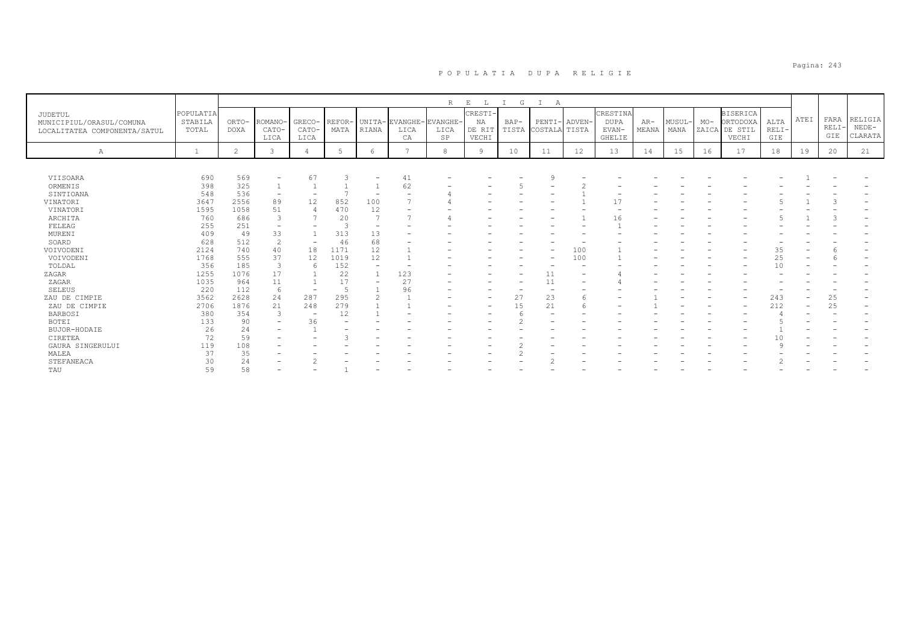|                                                                     |                               |                      |                          |                          |                |                          |                        | R                | E<br>L                                 | G                        | А                             |        |                                            |                |                      |       |                                                       |                        |      |                            |                               |
|---------------------------------------------------------------------|-------------------------------|----------------------|--------------------------|--------------------------|----------------|--------------------------|------------------------|------------------|----------------------------------------|--------------------------|-------------------------------|--------|--------------------------------------------|----------------|----------------------|-------|-------------------------------------------------------|------------------------|------|----------------------------|-------------------------------|
| JUDETUL<br>MUNICIPIUL/ORASUL/COMUNA<br>LOCALITATEA COMPONENTA/SATUL | POPULATIA<br>STABILA<br>TOTAL | ORTO-<br><b>DOXA</b> | ROMANO-<br>CATO-         | GRECO-<br>CATO-<br>LICA  | REFOR-<br>MATA | RIANA                    | UNITA-EVANGHE-<br>LICA | EVANGHE-<br>LICA | <b>CRESTI</b><br>NA<br>DE RIT<br>VECHI | $BAP-$                   | PENTI-<br>TISTA COSTALA TISTA | ADVEN- | CRESTINA<br>DUPA<br>EVAN-<br><b>GHELIE</b> | $AR-$<br>MEANA | <b>MUSUL</b><br>MANA | $MO-$ | <b>BISERICA</b><br>ORTODOXA<br>ZAICA DE STIL<br>VECHI | ALTA<br>$RELI-$<br>GIE | ATEI | FARA<br><b>RELI</b><br>GIE | RELIGIA<br>$NEDE-$<br>CLARATA |
|                                                                     |                               |                      | LICA                     |                          |                |                          | CA                     | SP               |                                        |                          |                               |        |                                            |                |                      |       |                                                       |                        |      |                            |                               |
| Α                                                                   | $\mathbf{1}$                  | $\overline{2}$       | 3                        | $\overline{4}$           | -5             | 6                        | $\mathcal{L}$          | 8                | 9                                      | 10                       | 11                            | 12     | 13                                         | 14             | 15                   | 16    | 17                                                    | 18                     | 19   | 20                         | 21                            |
|                                                                     |                               |                      |                          |                          |                |                          |                        |                  |                                        |                          |                               |        |                                            |                |                      |       |                                                       |                        |      |                            |                               |
| VIISOARA                                                            | 690                           | 569                  |                          | 67                       |                |                          | 41                     |                  |                                        |                          |                               |        |                                            |                |                      |       |                                                       |                        |      |                            |                               |
| ORMENIS                                                             | 398                           | 325                  |                          |                          |                |                          | 62                     |                  |                                        |                          |                               |        |                                            |                |                      |       |                                                       |                        |      |                            |                               |
| SINTIOANA                                                           | 548                           | 536                  | $\overline{\phantom{a}}$ |                          |                |                          |                        |                  |                                        |                          |                               |        |                                            |                |                      |       |                                                       |                        |      |                            |                               |
| VINATORI                                                            | 3647                          | 2556                 | 89                       | 12                       | 852            | 100                      |                        |                  |                                        |                          |                               |        | 17                                         |                |                      |       |                                                       |                        |      |                            |                               |
| VINATORI                                                            | 1595                          | 1058                 | 51                       |                          | 470            | 12                       |                        |                  |                                        |                          |                               |        |                                            |                |                      |       |                                                       |                        |      |                            |                               |
| ARCHITA                                                             | 760                           | 686                  | 3                        |                          | 20             | 7                        |                        |                  |                                        |                          |                               |        | 16                                         |                |                      |       |                                                       |                        |      |                            |                               |
| FELEAG                                                              | 255                           | 251                  | $\overline{\phantom{a}}$ |                          |                | $\overline{\phantom{0}}$ |                        |                  |                                        |                          |                               |        |                                            |                |                      |       |                                                       |                        |      |                            |                               |
| MURENI                                                              | 409                           | 49                   | 33                       |                          | 313            | 13                       |                        |                  |                                        |                          |                               |        |                                            |                |                      |       |                                                       |                        |      |                            |                               |
| SOARD                                                               | 628                           | 512                  | $\overline{2}$           | $\overline{\phantom{a}}$ | 46             | 68                       |                        |                  |                                        |                          |                               |        |                                            |                |                      |       |                                                       |                        |      |                            |                               |
| VOIVODENI                                                           | 2124                          | 740                  | 40                       | 18                       | 1171           | 12                       |                        |                  |                                        |                          |                               | 100    |                                            |                |                      |       |                                                       | 35                     |      |                            |                               |
| VOIVODENI                                                           | 1768                          | 555                  | 37                       | 12                       | 1019           | 12                       |                        |                  |                                        |                          |                               | 100    |                                            |                |                      |       |                                                       | 25                     |      |                            |                               |
| TOLDAL                                                              | 356                           | 185                  | 3                        | 6                        | 152            | $\overline{\phantom{0}}$ |                        |                  |                                        |                          |                               |        |                                            |                |                      |       |                                                       | 10                     |      |                            |                               |
| ZAGAR                                                               | 1255                          | 1076                 | 17                       |                          | 22             |                          | 123                    |                  |                                        |                          | 11                            |        |                                            |                |                      |       |                                                       |                        |      |                            |                               |
| ZAGAR                                                               | 1035                          | 964                  | 11                       |                          | 17             |                          | 27                     |                  |                                        | $\overline{\phantom{0}}$ | 11                            |        |                                            |                |                      |       |                                                       |                        |      |                            |                               |
| <b>SELEUS</b>                                                       | 220                           | 112                  | 6                        | $\overline{\phantom{a}}$ |                |                          | 96                     |                  |                                        |                          |                               |        |                                            |                |                      |       |                                                       |                        |      |                            |                               |
| ZAU DE CIMPIE                                                       | 3562                          | 2628                 | 24                       | 287                      | 295            | $\overline{2}$           |                        |                  | $\overline{\phantom{0}}$               | 27                       | 23                            |        |                                            |                |                      |       |                                                       | 243                    |      | 25                         |                               |
| ZAU DE CIMPIE                                                       | 2706                          | 1876                 | 21                       | 248                      | 279            |                          |                        |                  |                                        | 15                       | 21                            |        |                                            |                |                      |       |                                                       | 212                    |      | 25                         |                               |
| <b>BARBOSI</b>                                                      | 380                           | 354                  | 3                        | $\overline{\phantom{0}}$ | 12             |                          |                        |                  |                                        |                          |                               |        |                                            |                |                      |       |                                                       |                        |      |                            |                               |
| <b>BOTEI</b>                                                        | 133                           | 90                   | $\overline{\phantom{0}}$ | 36                       |                |                          |                        |                  |                                        |                          |                               |        |                                            |                |                      |       |                                                       |                        |      |                            |                               |
| BUJOR-HODAIE                                                        | 26                            | 24                   |                          |                          |                |                          |                        |                  |                                        |                          |                               |        |                                            |                |                      |       |                                                       |                        |      |                            |                               |
| CIRETEA                                                             | 72                            | 59                   |                          |                          |                |                          |                        |                  |                                        |                          |                               |        |                                            |                |                      |       |                                                       | 1 <sub>0</sub>         |      |                            |                               |
| GAURA SINGERULUI                                                    | 119                           | 108                  |                          |                          |                |                          |                        |                  |                                        |                          |                               |        |                                            |                |                      |       |                                                       |                        |      |                            |                               |
| MALEA                                                               | 37                            | 35                   |                          |                          |                |                          |                        |                  |                                        |                          |                               |        |                                            |                |                      |       |                                                       |                        |      |                            |                               |
| STEFANEACA                                                          | 30                            | 24                   | $\overline{\phantom{a}}$ | $\mathcal{L}$            |                |                          |                        |                  |                                        |                          |                               |        |                                            |                |                      |       |                                                       |                        |      |                            |                               |
| TAU                                                                 | 59                            | 58                   |                          |                          |                |                          |                        |                  |                                        |                          |                               |        |                                            |                |                      |       |                                                       |                        |      |                            |                               |
|                                                                     |                               |                      |                          |                          |                |                          |                        |                  |                                        |                          |                               |        |                                            |                |                      |       |                                                       |                        |      |                            |                               |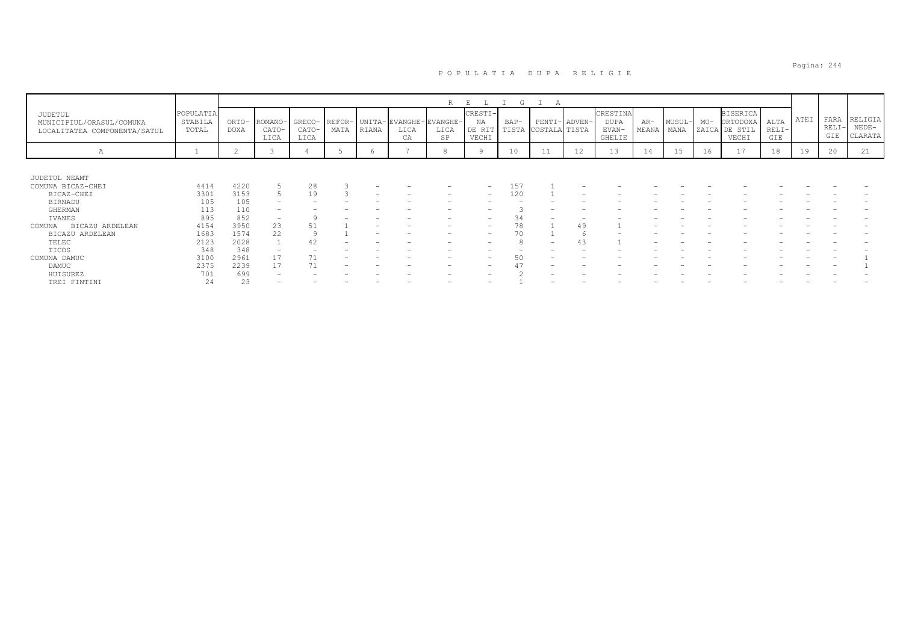|                                                                            |                               |                |                          |                         |      |       |                                             | R          | E<br>L                           | G    | A                   |               |                                     |                |                |       |                                                       |                        |      |                        |                               |
|----------------------------------------------------------------------------|-------------------------------|----------------|--------------------------|-------------------------|------|-------|---------------------------------------------|------------|----------------------------------|------|---------------------|---------------|-------------------------------------|----------------|----------------|-------|-------------------------------------------------------|------------------------|------|------------------------|-------------------------------|
| <b>JUDETUL</b><br>MUNICIPIUL/ORASUL/COMUNA<br>LOCALITATEA COMPONENTA/SATUL | POPULATIA<br>STABILA<br>TOTAL | ORTO-<br>DOXA  | ROMANO-<br>CATO-<br>LICA | GRECO-<br>CATO-<br>LICA | MATA | RIANA | REFOR- UNITA-EVANGHE-EVANGHE-<br>LICA<br>CA | LICA<br>SP | CRESTI-<br>ΝA<br>DE RIT<br>VECHI | BAP- | TISTA COSTALA TISTA | PENTI- ADVEN- | CRESTINA<br>DUPA<br>EVAN-<br>GHELIE | $AR-$<br>MEANA | MUSUL-<br>MANA | $MO-$ | <b>BISERICA</b><br>ORTODOXA<br>ZAICA DE STIL<br>VECHI | ALTA<br>$RELI-$<br>GIE | ATEI | FARA<br>$RELI-$<br>GIE | RELIGIA<br>$NEDE-$<br>CLARATA |
| А                                                                          |                               | $\overline{2}$ |                          |                         |      |       |                                             | 8          |                                  | 10   | 11                  | 12            | 13                                  | 14             | 15             | 16    | 17                                                    | 18                     | 19   | 20                     | 21                            |
|                                                                            |                               |                |                          |                         |      |       |                                             |            |                                  |      |                     |               |                                     |                |                |       |                                                       |                        |      |                        |                               |
| JUDETUL NEAMT                                                              |                               |                |                          |                         |      |       |                                             |            |                                  |      |                     |               |                                     |                |                |       |                                                       |                        |      |                        |                               |
| COMUNA BICAZ-CHEI                                                          | 4414                          | 4220           |                          | 28                      |      |       |                                             |            |                                  | 151  |                     |               |                                     |                |                |       |                                                       |                        |      |                        |                               |
| BICAZ-CHEI                                                                 | 3301                          | 3153           |                          | 19                      |      |       |                                             |            |                                  | 12C  |                     |               |                                     |                |                |       |                                                       |                        |      |                        |                               |
| BIRNADU                                                                    | 105                           | 105            |                          |                         |      |       |                                             |            |                                  |      |                     |               |                                     |                |                |       |                                                       |                        |      |                        |                               |
| GHERMAN                                                                    | 113                           | 110            |                          |                         |      |       |                                             |            |                                  |      |                     |               |                                     |                |                |       |                                                       |                        |      |                        |                               |
| IVANES                                                                     | 895                           | 852            | -                        |                         |      |       |                                             |            |                                  |      |                     |               |                                     |                |                |       |                                                       |                        |      |                        |                               |
| BICAZU ARDELEAN<br>COMUNA                                                  | 4154                          | 3950           | 23                       |                         |      |       |                                             |            |                                  | 78   |                     | 49            |                                     |                |                |       |                                                       |                        |      |                        |                               |
| BICAZU ARDELEAN                                                            | 1683                          | 1574           | 22                       |                         |      |       |                                             |            |                                  |      |                     |               |                                     |                |                |       |                                                       |                        |      |                        |                               |
| TELEC                                                                      | 2123                          | 2028           |                          |                         |      |       |                                             |            |                                  |      |                     |               |                                     |                |                |       |                                                       |                        |      |                        |                               |
| TICOS                                                                      | 348                           | 348            |                          |                         |      |       |                                             |            |                                  |      |                     |               |                                     |                |                |       |                                                       |                        |      |                        |                               |
| COMUNA DAMUC                                                               | 3100                          | 2961           | 17                       |                         |      |       |                                             |            |                                  |      |                     |               |                                     |                |                |       |                                                       |                        |      |                        |                               |
| DAMUC                                                                      | 2375                          | 2239           | 17                       |                         |      |       |                                             |            |                                  |      |                     |               |                                     |                |                |       |                                                       |                        |      |                        |                               |
| HUISUREZ                                                                   | 701                           | 699            |                          |                         |      |       |                                             |            |                                  |      |                     |               |                                     |                |                |       |                                                       |                        |      |                        |                               |
| TREI FINTINI                                                               | 24                            | 23             |                          |                         |      |       | -                                           |            |                                  |      |                     |               |                                     |                |                |       |                                                       |                        |      |                        |                               |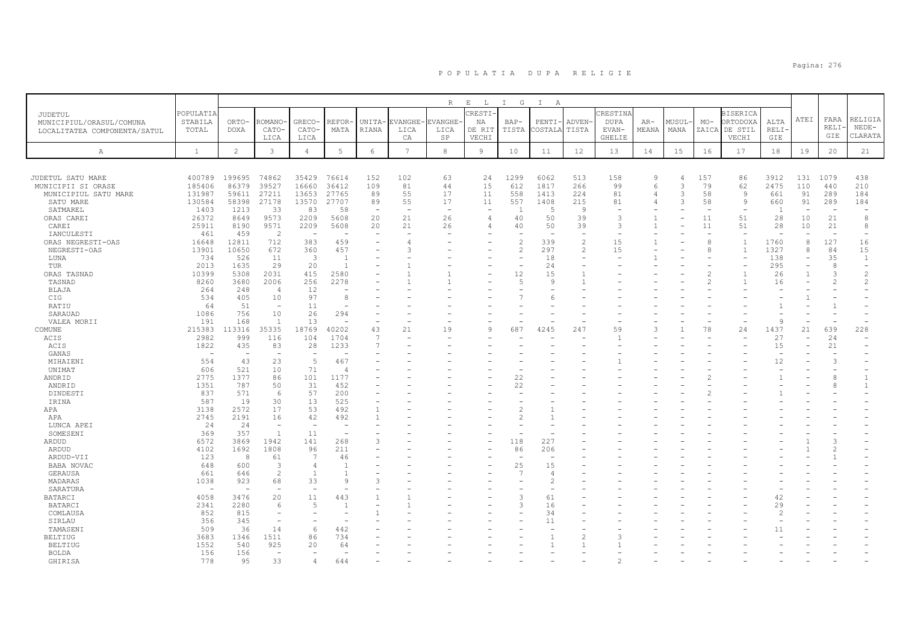|                              |                          |                |                          |                          |                       |                          |                 | R       | $\mathbb E$<br>L | I G            | $\mathbb{I}$<br>$\mathbb{A}$ |                |             |       |        |               |                 |                |                                      |               |                               |
|------------------------------|--------------------------|----------------|--------------------------|--------------------------|-----------------------|--------------------------|-----------------|---------|------------------|----------------|------------------------------|----------------|-------------|-------|--------|---------------|-----------------|----------------|--------------------------------------|---------------|-------------------------------|
| JUDETUL                      | POPULATIA                |                |                          |                          |                       |                          |                 |         | CRESTI           |                |                              |                | CRESTINA    |       |        |               | <b>BISERICA</b> |                |                                      |               |                               |
| MUNICIPIUL/ORASUL/COMUNA     | STABILA                  | ORTO-          | -OMANO                   | GRECO-                   | REFOR                 | UNITA-                   | EVANGHE-        | EVANGHE | NA               | $BAP-$         | PENTI-                       | ADVEN-         | <b>DUPA</b> | AR-   | MUSUL- | $MO-$         | ORTODOXA        | ALTA           | ATEI                                 | FARA          | RELIGIA                       |
| LOCALITATEA COMPONENTA/SATUL | TOTAL                    | <b>DOXA</b>    | CATO-                    | CATO-                    | MATA                  | RIANA                    | LICA            | LICA    | DE RIT           | TISTA          | COSTALA                      | TISTA          | EVAN-       | MEANA | MANA   |               | ZAICA DE STIL   | RELI-          |                                      | RELI-         | $NEDE-$                       |
|                              |                          |                | LICA                     | LICA                     |                       |                          | СA              | SP      | VECHI            |                |                              |                | GHELIE      |       |        |               | VECHI           | GIE            |                                      | GIE           | CLARATA                       |
| А                            | <sup>1</sup>             | $\overline{c}$ | $\mathbf{3}$             | $\overline{4}$           | 5                     | 6                        | $7\overline{ }$ | 8       | 9                | 10             | 11                           | 12             | 13          | 14    | 15     | 16            | 17              | 18             | 19                                   | 20            | 21                            |
|                              |                          |                |                          |                          |                       |                          |                 |         |                  |                |                              |                |             |       |        |               |                 |                |                                      |               |                               |
| JUDETUL SATU MARE            | 400789                   | 199695         | 74862                    | 35429                    | 76614                 | 152                      | 102             | 63      | 24               | 1299           | 6062                         | 513            | 158         | 9     | Δ      | 157           | 86              | 3912           | 131                                  | 1079          | 438                           |
| MUNICIPII SI ORASE           | 185406                   | 86379          | 39527                    | 16660                    | 36412                 | 109                      | 81              | 44      | 15               | 612            | 1817                         | 266            | 99          | 6     | 3      | 79            | 62              | 2475           | 110                                  | 440           | 210                           |
| MUNICIPIUL SATU MARE         | 131987                   | 59611          | 27211                    | 13653                    | 27765                 | 89                       | 55              | 17      | 11               | 558            | 1413                         | 224            | 81          |       | 3      | 58            | 9               | 661            | 91                                   | 289           | 184                           |
| SATU MARE                    | 130584                   | 58398          | 27178                    | 13570                    | 27707                 | 89                       | 55              | 17      | 11               | 557            | 1408                         | 215            | 81          |       | 3      | 58            | 9               | 660            | 91                                   | 289           | 184                           |
| SATMAREL                     | 1403                     | 1213           | 33                       | 83                       | 58                    | $\overline{\phantom{a}}$ |                 |         | ۰                | -1             | $\overline{5}$               | 9              |             |       |        |               |                 |                |                                      |               |                               |
| ORAS CAREI                   | 26372                    | 8649           | 9573                     | 2209                     | 5608                  | 20                       | 21              | 26      | 4                | 40             | 50                           | 39             | 3           |       |        | 11            | 51              | 28             | 10                                   | 21            | 8                             |
| CAREI                        | 25911                    | 8190           | 9571                     | 2209                     | 5608                  | 20                       | 21              | 26      | 4                | 40             | 50                           | 39             | 3           |       |        | 11            | 51              | 28             | 10                                   | 21            | 8                             |
| IANCULESTI                   | 461                      | 459            | $\overline{2}$           | $\overline{\phantom{a}}$ |                       | $\overline{\phantom{a}}$ |                 |         |                  |                |                              |                |             |       |        |               |                 |                |                                      |               | $\overline{\phantom{a}}$      |
| ORAS NEGRESTI-OAS            | 16648                    | 12811          | 712                      | 383                      | 459                   |                          |                 |         |                  | $\overline{c}$ | 339                          | $\overline{c}$ | 15          |       |        | 8             | $\overline{1}$  | 1760           | 8                                    | 127           | 16                            |
| NEGRESTI-OAS                 | 13901                    | 10650          | 672                      | 360                      | 457                   |                          | 3               |         |                  | $\overline{c}$ | 297                          | $\overline{2}$ | 15          |       |        | 8             | $\mathbf{1}$    | 1327           | 8                                    | 84            | 15                            |
| LUNA                         | 734                      | 526<br>1635    | 11                       | 3                        | - 1<br>$\overline{1}$ |                          |                 |         |                  |                | 18<br>24                     |                |             |       |        |               |                 | 138            | $\equiv$<br>$\overline{\phantom{a}}$ | 35<br>8       | 1<br>$\overline{\phantom{a}}$ |
| TUR                          | 2013                     |                | 29                       | 20                       |                       |                          |                 |         |                  |                |                              |                |             |       |        |               |                 | 295            |                                      | 3             | $\overline{c}$                |
| ORAS TASNAD<br>TASNAD        | 10399<br>8260            | 5308<br>3680   | 2031<br>2006             | 415<br>256               | 2580<br>2278          |                          |                 |         |                  | 12<br>.5       | 15<br>9                      |                |             |       |        | $\mathcal{D}$ |                 | 26<br>16       | 1                                    | $\mathcal{L}$ | 2                             |
| BLAJA                        | 264                      | 248            | 4                        | 12                       |                       |                          |                 |         |                  |                |                              |                |             |       |        |               |                 |                |                                      |               |                               |
| CIG                          | 534                      | 405            | 10                       | 97                       | 8                     |                          |                 |         |                  |                | 6                            |                |             |       |        |               |                 |                |                                      |               |                               |
| RATIU                        | 64                       | 51             | $\overline{\phantom{m}}$ | 11                       |                       |                          |                 |         |                  |                |                              |                |             |       |        |               |                 |                |                                      |               |                               |
| SARAUAD                      | 1086                     | 756            | 10                       | 26                       | 294                   |                          |                 |         |                  |                |                              |                |             |       |        |               |                 |                |                                      |               |                               |
| VALEA MORII                  | 191                      | 168            | $\overline{1}$           | 13                       |                       |                          |                 |         |                  |                |                              |                |             |       |        |               |                 | $\mathsf{Q}$   |                                      |               |                               |
| COMUNE                       | 215383                   | 113316         | 35335                    | 18769                    | 40202                 | 43                       | 21              | 19      | $\mathsf{Q}$     | 687            | 4245                         | 247            | 59          |       |        | 78            | 24              | 1437           | 21                                   | 639           | 228                           |
| ACIS                         | 2982                     | 999            | 116                      | 104                      | 1704                  | -7                       |                 |         |                  |                |                              |                |             |       |        |               |                 | 27             |                                      | 24            |                               |
| ACIS                         | 1822                     | 435            | 83                       | 28                       | 1233                  |                          |                 |         |                  |                |                              |                |             |       |        |               |                 | 15             |                                      | 21            |                               |
| GANAS                        |                          |                | $\overline{\phantom{a}}$ |                          |                       |                          |                 |         |                  |                |                              |                |             |       |        |               |                 |                |                                      |               |                               |
| MIHAIENI                     | 554                      | 43             | 23                       | 5                        | 467                   |                          |                 |         |                  |                |                              |                |             |       |        |               |                 | 12             |                                      |               |                               |
| UNIMAT                       | 606                      | 521            | 10                       | 71                       | $\overline{4}$        |                          |                 |         |                  |                |                              |                |             |       |        |               |                 |                |                                      |               |                               |
| ANDRID                       | 2775                     | 1377           | 86                       | 101                      | 1177                  |                          |                 |         |                  | 22             |                              |                |             |       |        |               |                 |                |                                      | 8             | 1                             |
| ANDRID                       | 1351                     | 787            | 50                       | 31                       | 452                   |                          |                 |         |                  | 22             |                              |                |             |       |        |               |                 |                |                                      | 8             | 1                             |
| DINDESTI                     | 837                      | 571            | 6                        | 57                       | 200                   |                          |                 |         |                  |                |                              |                |             |       |        |               |                 |                |                                      |               |                               |
| IRINA                        | 587                      | 19             | 30                       | 13                       | 525                   |                          |                 |         |                  |                |                              |                |             |       |        |               |                 |                |                                      |               |                               |
| APA                          | 3138                     | 2572           | 17                       | 53                       | 492                   |                          |                 |         |                  |                |                              |                |             |       |        |               |                 |                |                                      |               |                               |
| APA                          | 2745                     | 2191           | 16                       | 42                       | 492                   |                          |                 |         |                  |                |                              |                |             |       |        |               |                 |                |                                      |               |                               |
| LUNCA APEI                   | 24                       | 24             | $\overline{\phantom{a}}$ |                          |                       |                          |                 |         |                  |                |                              |                |             |       |        |               |                 |                |                                      |               |                               |
| SOMESENI                     | 369                      | 357            | $\mathbf{1}$             | 11                       | ۰                     |                          |                 |         |                  |                |                              |                |             |       |        |               |                 |                |                                      |               |                               |
| ARDUD                        | 6572                     | 3869           | 1942<br>1808             | 141                      | 268                   | 3                        |                 |         |                  | 118            | 227                          |                |             |       |        |               |                 |                |                                      |               |                               |
| ARDUD                        | 4102<br>123              | 1692<br>8      | 61                       | 96<br>$\overline{7}$     | 211<br>46             |                          |                 |         |                  | 86             | 206                          |                |             |       |        |               |                 |                |                                      |               |                               |
| ARDUD-VII<br>BABA NOVAC      | 648                      | 600            | 3                        | $\overline{4}$           |                       |                          |                 |         |                  | 25             | 15                           |                |             |       |        |               |                 |                |                                      |               |                               |
| GERAUSA                      | 661                      | 646            | $\overline{c}$           |                          |                       |                          |                 |         |                  | 7              | 4                            |                |             |       |        |               |                 |                |                                      |               |                               |
| MADARAS                      | 1038                     | 923            | 68                       | 33                       | $\mathsf{Q}$          | 3                        |                 |         |                  |                | $\mathfrak{D}$               |                |             |       |        |               |                 |                |                                      |               |                               |
| SARATURA                     | $\overline{\phantom{a}}$ |                |                          |                          |                       |                          |                 |         |                  |                |                              |                |             |       |        |               |                 |                |                                      |               |                               |
| <b>BATARCI</b>               | 4058                     | 3476           | 20                       | 11                       | 443                   |                          |                 |         |                  | З              | 61                           |                |             |       |        |               |                 | 42             |                                      |               |                               |
| BATARCI                      | 2341                     | 2280           | 6                        | $\overline{5}$           |                       |                          |                 |         |                  | 3              | 16                           |                |             |       |        |               |                 | 29             |                                      |               |                               |
| COMLAUSA                     | 852                      | 815            | $\overline{\phantom{a}}$ |                          |                       |                          |                 |         |                  |                | 34                           |                |             |       |        |               |                 | $\overline{c}$ |                                      |               |                               |
| SIRLAU                       | 356                      | 345            | $\overline{\phantom{a}}$ |                          |                       |                          |                 |         |                  |                | 11                           |                |             |       |        |               |                 |                |                                      |               |                               |
| TAMASENI                     | 509                      | 36             | 14                       | 6                        | 442                   |                          |                 |         |                  |                |                              |                |             |       |        |               |                 | 11             |                                      |               |                               |
| <b>BELTIUG</b>               | 3683                     | 1346           | 1511                     | 86                       | 734                   |                          |                 |         |                  |                |                              |                |             |       |        |               |                 |                |                                      |               |                               |
| <b>BELTIUG</b>               | 1552                     | 540            | 925                      | 20                       | 64                    |                          |                 |         |                  |                |                              |                |             |       |        |               |                 |                |                                      |               |                               |
| BOLDA                        | 156                      | 156            | $\overline{\phantom{m}}$ |                          |                       |                          |                 |         |                  |                |                              |                |             |       |        |               |                 |                |                                      |               |                               |
| GHIRISA                      | 778                      | 95             | 33                       | 4                        | 644                   |                          |                 |         |                  |                |                              |                |             |       |        |               |                 |                |                                      |               |                               |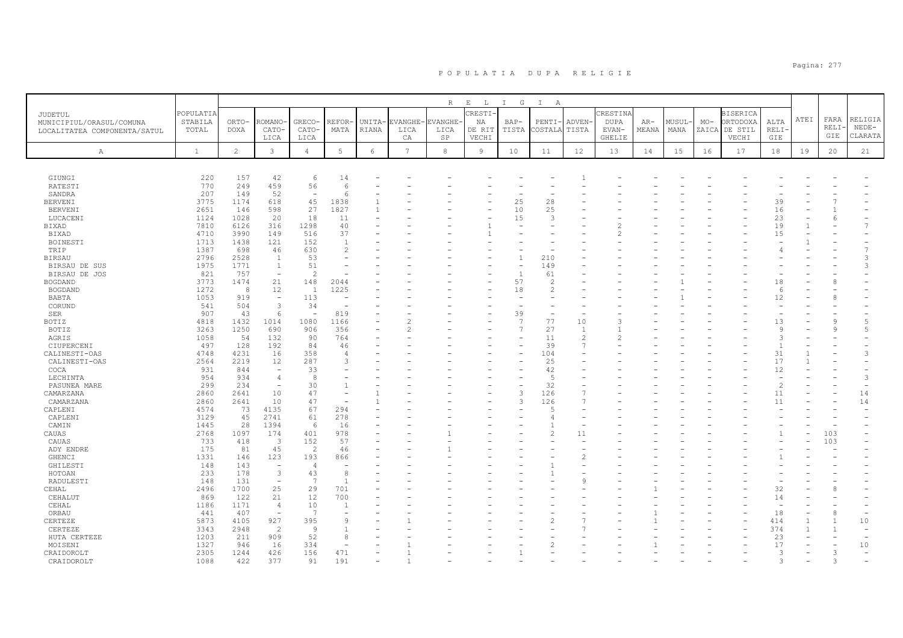|                              |              |                |                                 |                          |                |        |                 | $R_{\odot}$    | $\mathbf{E}=-\mathbf{L}$ | $\mathbb{I}$<br>G | $\mathbb{I}$<br>A             |                                            |                        |       |       |       |                        |                    |      |               |                          |
|------------------------------|--------------|----------------|---------------------------------|--------------------------|----------------|--------|-----------------|----------------|--------------------------|-------------------|-------------------------------|--------------------------------------------|------------------------|-------|-------|-------|------------------------|--------------------|------|---------------|--------------------------|
| JUDETUL                      | POPULATIA    |                |                                 |                          |                |        |                 |                | CRESTI.                  |                   |                               |                                            | CRESTINA               |       |       |       | <b>BISERICA</b>        |                    | ATEI | FARA          | RELIGIA                  |
| MUNICIPIUL/ORASUL/COMUNA     | STABILA      | ORTO-          | ROMANO                          | GRECO-                   | REFOR          | UNITA- | <b>EVANGHE</b>  | <b>EVANGHE</b> | ΝA                       | $BAP-$            | PENTI-                        | ADVEN-                                     | <b>DUPA</b>            | $AR-$ | MUSUL | $MO-$ | ORTODOXA               | ALTA               |      | RELI          | NEDE-                    |
| LOCALITATEA COMPONENTA/SATUL | TOTAL        | DOXA           | CATO-<br>LICA                   | CATO-<br>LICA            | MATA           | RIANA  | LICA<br>CA      | LICA<br>SP     | DE RIT<br>VECHI          | TISTA             | COSTALA                       | TISTA                                      | EVAN-<br><b>GHELIE</b> | MEANA | MANA  |       | ZAICA DE STIL<br>VECHI | RELI·<br>GIE       |      | GIE           | CLARATA                  |
|                              |              |                |                                 |                          |                |        |                 |                |                          |                   |                               |                                            |                        |       |       |       |                        |                    |      |               |                          |
| Α                            | $\mathbf{1}$ | $\overline{2}$ | 3                               | $\overline{4}$           | $\mathbf 5$    | 6      | $7\overline{ }$ | $_{\rm 8}$     | $\overline{9}$           | 10                | 11                            | 12                                         | 13                     | 14    | 15    | 16    | 17                     | 18                 | 19   | 20            | 21                       |
|                              |              |                |                                 |                          |                |        |                 |                |                          |                   |                               |                                            |                        |       |       |       |                        |                    |      |               |                          |
| GIUNGI                       | 220          | 157            | 42                              | 6                        | 14             |        |                 |                |                          |                   |                               |                                            |                        |       |       |       |                        |                    |      |               |                          |
| RATESTI                      | 770          | 249            | 459                             | 56                       | 6              |        |                 |                |                          |                   |                               |                                            |                        |       |       |       |                        |                    |      |               |                          |
| SANDRA                       | 207          | 149            | 52                              | $\overline{\phantom{a}}$ | 6              |        |                 |                |                          |                   |                               |                                            |                        |       |       |       |                        |                    |      |               |                          |
| <b>BERVENI</b>               | 3775         | 1174           | 618                             | 45                       | 1838           |        |                 |                |                          | 25                | 28                            |                                            |                        |       |       |       |                        | 39                 |      |               |                          |
| <b>BERVENI</b>               | 2651         | 146            | 598                             | 27                       | 1827           |        |                 |                |                          | 10                | 25                            |                                            |                        |       |       |       |                        | 16                 |      |               |                          |
| LUCACENI                     | 1124<br>7810 | 1028<br>6126   | 20<br>316                       | 18<br>1298               | 11<br>40       |        |                 |                |                          | 15                | 3<br>$\overline{\phantom{0}}$ |                                            |                        |       |       |       |                        | 23<br>19           |      |               | $\overline{7}$           |
| BIXAD<br>BIXAD               | 4710         | 3990           | 149                             | 516                      | 37             |        |                 |                |                          |                   |                               |                                            |                        |       |       |       |                        | 15                 |      |               |                          |
| BOINESTI                     | 1713         | 1438           | 121                             | 152                      | $\overline{1}$ |        |                 |                |                          |                   |                               |                                            |                        |       |       |       |                        |                    |      |               |                          |
| TRIP                         | 1387         | 698            | 46                              | 630                      | $\overline{c}$ |        |                 |                |                          |                   |                               |                                            |                        |       |       |       |                        |                    |      |               | $\overline{7}$           |
| <b>BIRSAU</b>                | 2796         | 2528           | $\mathbf{1}$                    | 53                       |                |        |                 |                |                          |                   | 210                           |                                            |                        |       |       |       |                        |                    |      |               | 3                        |
| BIRSAU DE SUS                | 1975         | 1771           | $\mathbf{1}$                    | 51                       |                |        |                 |                |                          |                   | 149                           |                                            |                        |       |       |       |                        |                    |      |               | 3                        |
| BIRSAU DE JOS                | 821          | 757            | $\overline{\phantom{a}}$        | $\overline{2}$           |                |        |                 |                |                          | $\overline{1}$    | 61                            |                                            |                        |       |       |       |                        |                    |      |               |                          |
| <b>BOGDAND</b>               | 3773         | 1474           | 21                              | 148                      | 2044           |        |                 |                |                          | 57                | $\overline{2}$                |                                            |                        |       |       |       |                        | 18                 |      |               |                          |
| <b>BOGDAND</b>               | 1272         | 8              | 12                              | $\overline{1}$           | 1225           |        |                 |                |                          | 18                | $\overline{c}$                |                                            |                        |       |       |       |                        | $\kappa$           |      |               |                          |
| BABTA                        | 1053         | 919            | $\overline{\phantom{a}}$        | 113                      |                |        |                 |                |                          |                   |                               |                                            |                        |       |       |       |                        | 12                 |      |               |                          |
| CORUND                       | 541          | 504            | 3                               | 34                       |                |        |                 |                |                          |                   |                               |                                            |                        |       |       |       |                        |                    |      |               |                          |
| SER                          | 907          | 43             | 6                               |                          | 819            |        |                 |                |                          | 39                |                               |                                            |                        |       |       |       |                        |                    |      |               |                          |
| BOTIZ                        | 4818         | 1432           | 1014                            | 1080                     | 1166           |        |                 |                |                          | $\overline{7}$    | 77                            | 10                                         | ٦                      |       |       |       |                        | 13                 |      | q             | $\overline{5}$           |
| BOTIZ                        | 3263         | 1250           | 690                             | 906                      | 356            |        |                 |                |                          | $\overline{7}$    | 27<br>11                      | $\overline{1}$                             |                        |       |       |       |                        | 9<br>$\mathcal{L}$ |      | - Q           | 5                        |
| AGRIS                        | 1058         | 54<br>128      | 132<br>192                      | 90                       | 764            |        |                 |                |                          |                   | 39                            | $\overline{\mathcal{L}}$<br>$\overline{ }$ |                        |       |       |       |                        | $\overline{1}$     |      |               |                          |
| CIUPERCENI<br>CALINESTI-OAS  | 497<br>4748  | 4231           | 16                              | 84<br>358                | 46<br>$\Delta$ |        |                 |                |                          |                   | 104                           |                                            |                        |       |       |       |                        | 31                 |      |               | 3                        |
| CALINESTI-OAS                | 2564         | 2219           | 12                              | 287                      | 3              |        |                 |                |                          |                   | 25                            |                                            |                        |       |       |       |                        | 17                 |      |               |                          |
| COCA                         | 931          | 844            | $\overline{\phantom{a}}$        | 33                       |                |        |                 |                |                          |                   | 42                            |                                            |                        |       |       |       |                        | 12                 |      |               |                          |
| LECHINTA                     | 954          | 934            | $\overline{4}$                  | -8                       |                |        |                 |                |                          |                   | $\overline{5}$                |                                            |                        |       |       |       |                        |                    |      |               | 3                        |
| PASUNEA MARE                 | 299          | 234            | $\overline{\phantom{a}}$        | 30                       |                |        |                 |                |                          |                   | 32                            |                                            |                        |       |       |       |                        | $\overline{2}$     |      |               | $\overline{\phantom{a}}$ |
| CAMARZANA                    | 2860         | 2641           | 10                              | 47                       |                |        |                 |                |                          | 3                 | 126                           |                                            |                        |       |       |       |                        | 11                 |      |               | 14                       |
| CAMARZANA                    | 2860         | 2641           | 10                              | 47                       |                |        |                 |                |                          | 3                 | 126                           |                                            |                        |       |       |       |                        | 11                 |      |               | 14                       |
| CAPLENI                      | 4574         | 73             | 4135                            | 67                       | 294            |        |                 |                |                          |                   | 5                             |                                            |                        |       |       |       |                        |                    |      |               |                          |
| CAPLENI                      | 3129         | 45             | 2741                            | 61                       | 278            |        |                 |                |                          |                   | $\overline{4}$                |                                            |                        |       |       |       |                        |                    |      |               |                          |
| CAMIN                        | 1445         | 28             | 1394                            | 6                        | 16             |        |                 |                |                          |                   |                               |                                            |                        |       |       |       |                        |                    |      |               |                          |
| CAUAS                        | 2768         | 1097           | 174                             | 401                      | 978            |        |                 |                |                          |                   | $\overline{c}$                | 11                                         |                        |       |       |       |                        |                    |      | 103           |                          |
| CAUAS                        | 733          | 418            | 3                               | 152                      | 57             |        |                 |                |                          |                   |                               |                                            |                        |       |       |       |                        |                    |      | 103           |                          |
| ADY ENDRE                    | 175          | 81             | 45                              | 2                        | 46             |        |                 |                |                          |                   |                               |                                            |                        |       |       |       |                        |                    |      |               |                          |
| GHENCI<br>GHILESTI           | 1331<br>148  | 146<br>143     | 123<br>$\overline{\phantom{a}}$ | 193<br>$\overline{4}$    | 866            |        |                 |                |                          |                   |                               |                                            |                        |       |       |       |                        |                    |      |               |                          |
| HOTOAN                       | 233          | 178            | 3                               | 43                       | 8              |        |                 |                |                          |                   |                               |                                            |                        |       |       |       |                        |                    |      |               |                          |
| RADULESTI                    | 148          | 131            | $\overline{\phantom{a}}$        | $\overline{7}$           | $\mathbf{1}$   |        |                 |                |                          |                   |                               | Q                                          |                        |       |       |       |                        |                    |      |               |                          |
| CEHAL                        | 2496         | 1700           | 25                              | 29                       | 701            |        |                 |                |                          |                   |                               |                                            |                        |       |       |       |                        | 32                 |      |               |                          |
| CEHALUT                      | 869          | 122            | 21                              | 12                       | 700            |        |                 |                |                          |                   |                               |                                            |                        |       |       |       |                        | 14                 |      |               |                          |
| CEHAL                        | 1186         | 1171           | $\overline{4}$                  | 10                       |                |        |                 |                |                          |                   |                               |                                            |                        |       |       |       |                        |                    |      |               |                          |
| ORBAU                        | 441          | 407            | $\overline{\phantom{a}}$        | 7                        |                |        |                 |                |                          |                   |                               |                                            |                        |       |       |       |                        | 18                 |      | 8             | $\overline{\phantom{a}}$ |
| CERTEZE                      | 5873         | 4105           | 927                             | 395                      | 9              |        |                 |                |                          |                   | 2                             |                                            |                        |       |       |       |                        | 414                |      | -1            | 10                       |
| CERTEZE                      | 3343         | 2948           | $\overline{c}$                  | $\overline{9}$           |                |        |                 |                |                          |                   |                               |                                            |                        |       |       |       |                        | 374                |      |               | $\overline{\phantom{m}}$ |
| HUTA CERTEZE                 | 1203         | 211            | 909                             | 52                       | 8              |        |                 |                |                          |                   |                               |                                            |                        |       |       |       |                        | 23                 |      |               |                          |
| MOISENI                      | 1327         | 946            | 16                              | 334                      |                |        |                 |                |                          |                   |                               |                                            |                        |       |       |       |                        | 17                 |      |               | 10                       |
| CRAIDOROLT                   | 2305         | 1244           | 426                             | 156                      | 471            |        |                 |                |                          |                   |                               |                                            |                        |       |       |       |                        | 3                  |      | 3             |                          |
| CRAIDOROLT                   | 1088         | 422            | 377                             | 91                       | 191            |        |                 |                |                          |                   |                               |                                            |                        |       |       |       |                        | 3                  |      | $\mathcal{L}$ |                          |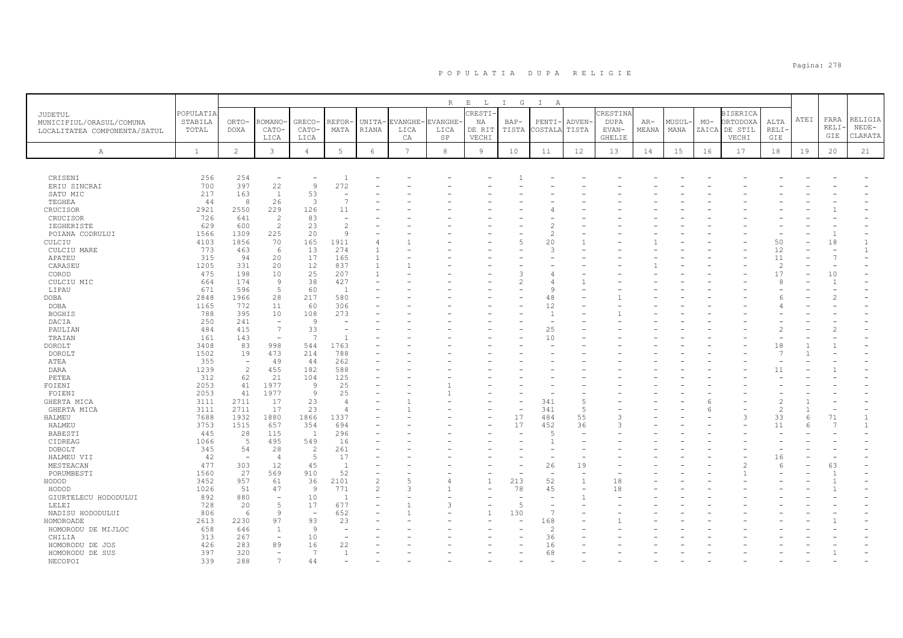|                              |              |                          |                          |                |                          |                |                 | $R_{\perp}$ | $E$ $L$ | I G    | $\mathbb{I}$<br>A        |                          |               |       |        |       |                 |                |      |                |              |
|------------------------------|--------------|--------------------------|--------------------------|----------------|--------------------------|----------------|-----------------|-------------|---------|--------|--------------------------|--------------------------|---------------|-------|--------|-------|-----------------|----------------|------|----------------|--------------|
| JUDETUL                      | POPULATIA    |                          |                          |                |                          |                |                 |             | CRESTI- |        |                          |                          | CRESTINA      |       |        |       | <b>BISERICA</b> |                |      |                |              |
| MUNICIPIUL/ORASUL/COMUNA     | STABILA      | ORTO-                    | ROMANO                   | GRECO-         | REFOR                    | UNITA-         | <b>EVANGHE</b>  | EVANGHE     | NA      | $BAP-$ | $PENTI -$                | <b>ADVEN</b>             | <b>DUPA</b>   | $AR-$ | MUSUL- | $MO-$ | ORTODOXA        | ALTA           | ATEI | FARA           | RELIGIA      |
| LOCALITATEA COMPONENTA/SATUL | TOTAL        | DOXA                     | CATO-                    | CATO-          | MATA                     | RIANA          | LICA            | LICA        | DE RIT  | TISTA  | COSTALA                  | TISTA                    | EVAN-         | MEANA | MANA   |       | ZAICA DE STIL   | <b>RELI</b>    |      | RELI           | $NEDE-$      |
|                              |              |                          | LICA                     | LICA           |                          |                | CA              | SP          | VECHI   |        |                          |                          | <b>GHELIE</b> |       |        |       | VECHI           | GIE            |      | GIE            | CLARATA      |
| Α                            | $\mathbf{1}$ | $\mathbf{2}$             | $\mathbf{3}$             | $\overline{4}$ | $5\phantom{.0}$          | $\epsilon$     | $7\overline{ }$ | 8           | 9       | 10     | 11                       | 12                       | 13            | 14    | 15     | 16    | 17              | 18             | 19   | 20             | 21           |
|                              |              |                          |                          |                |                          |                |                 |             |         |        |                          |                          |               |       |        |       |                 |                |      |                |              |
|                              |              |                          |                          |                |                          |                |                 |             |         |        |                          |                          |               |       |        |       |                 |                |      |                |              |
| CRISENI                      | 256          | 254                      | $\overline{\phantom{a}}$ |                |                          |                |                 |             |         |        |                          |                          |               |       |        |       |                 |                |      |                |              |
| ERIU SINCRAI                 | 700          | 397                      | 22                       | $\overline{9}$ | 272                      |                |                 |             |         |        |                          |                          |               |       |        |       |                 |                |      |                |              |
| SATU MIC                     | 217          | 163                      | $\overline{1}$           | 53             | $\overline{\phantom{a}}$ |                |                 |             |         |        |                          |                          |               |       |        |       |                 |                |      |                |              |
| TEGHEA                       | 44           | 8                        | 26                       | 3              | 7                        |                |                 |             |         |        |                          |                          |               |       |        |       |                 |                |      |                |              |
| CRUCISOR<br>CRUCISOR         | 2921<br>726  | 2550<br>641              | 229<br>$\overline{2}$    | 126<br>83      | 11                       |                |                 |             |         |        |                          |                          |               |       |        |       |                 |                |      |                |              |
| IEGHERISTE                   | 629          | 600                      | 2                        | 23             | $\overline{c}$           |                |                 |             |         |        | $\overline{c}$           |                          |               |       |        |       |                 |                |      |                |              |
| POIANA CODRULUI              | 1566         | 1309                     | 225                      | 20             | 9                        |                |                 |             |         |        | $\overline{2}$           |                          |               |       |        |       |                 |                |      |                |              |
| CULCIU                       | 4103         | 1856                     | 70                       | 165            | 1911                     | $\overline{4}$ |                 |             |         | 5      | 20                       |                          |               |       |        |       |                 | 50             |      | 18             | 1            |
| CULCIU MARE                  | 773          | 463                      | 6                        | 13             | 274                      |                |                 |             |         |        | 3                        |                          |               |       |        |       |                 | 12             |      |                | $\mathbf{1}$ |
| APATEU                       | 315          | 94                       | 20                       | 17             | 165                      |                |                 |             |         |        |                          |                          |               |       |        |       |                 | 11             |      |                |              |
| CARASEU                      | 1205         | 331                      | 20                       | 12             | 837                      |                |                 |             |         |        |                          |                          |               |       |        |       |                 | 2              |      |                |              |
| COROD                        | 475          | 198                      | 10                       | 25             | 207                      |                |                 |             |         |        |                          |                          |               |       |        |       |                 | 17             |      | 10             |              |
| CULCIU MIC                   | 664          | 174                      | 9                        | 38             | 427                      |                |                 |             |         |        | 4                        |                          |               |       |        |       |                 | 8              |      | $\overline{1}$ |              |
| LIPAU                        | 671          | 596                      | 5                        | 60             | $\overline{1}$           |                |                 |             |         |        | Q                        |                          |               |       |        |       |                 |                |      |                |              |
| <b>DOBA</b>                  | 2848         | 1966                     | 28                       | 217            | 580                      |                |                 |             |         |        | 48                       |                          |               |       |        |       |                 |                |      |                |              |
| <b>DOBA</b>                  | 1165         | 772                      | 11                       | 60             | 306                      |                |                 |             |         |        | 12                       |                          |               |       |        |       |                 |                |      |                |              |
| <b>BOGHIS</b>                | 788          | 395                      | 10                       | 108            | 273                      |                |                 |             |         |        | 1                        |                          |               |       |        |       |                 |                |      |                |              |
| DACIA                        | 250          | 241                      | $\overline{\phantom{a}}$ | 9              |                          |                |                 |             |         |        | $\overline{\phantom{a}}$ |                          |               |       |        |       |                 |                |      |                |              |
| PAULIAN                      | 484          | 415                      | 7                        | 33             |                          |                |                 |             |         |        | 25                       |                          |               |       |        |       |                 | $\mathcal{L}$  |      |                |              |
| TRAIAN                       | 161          | 143                      | ÷,                       | $\overline{7}$ |                          |                |                 |             |         |        | 10                       |                          |               |       |        |       |                 |                |      |                |              |
| DOROLT                       | 3408         | 83                       | 998                      | 544            | 1763                     |                |                 |             |         |        |                          |                          |               |       |        |       |                 | 18             |      |                |              |
| DOROLT                       | 1502         | 19                       | 473                      | 214            | 788                      |                |                 |             |         |        |                          |                          |               |       |        |       |                 | $\overline{7}$ |      |                |              |
| ATEA                         | 355          | $\overline{\phantom{m}}$ | 49                       | 44             | 262                      |                |                 |             |         |        |                          |                          |               |       |        |       |                 |                |      |                |              |
| DARA                         | 1239         | $\overline{c}$           | 455                      | 182            | 588                      |                |                 |             |         |        |                          |                          |               |       |        |       |                 | 11             |      |                |              |
| PETEA                        | 312          | 62                       | 21                       | 104            | 125                      |                |                 |             |         |        |                          |                          |               |       |        |       |                 |                |      |                |              |
| FOIENI                       | 2053         | 41                       | 1977                     | $\mathcal{Q}$  | 25                       |                |                 |             |         |        |                          |                          |               |       |        |       |                 |                |      |                |              |
| FOIENI                       | 2053         | 41                       | 1977                     | $\overline{9}$ | 25                       |                |                 |             |         |        |                          |                          |               |       |        |       |                 |                |      |                |              |
| GHERTA MICA                  | 3111         | 2711                     | 17                       | 23             |                          |                |                 |             |         |        | 341                      | 5                        |               |       |        |       |                 | $\mathcal{L}$  |      |                |              |
| GHERTA MICA                  | 3111         | 2711                     | 17                       | 23             | $\overline{4}$           |                |                 |             |         |        | 341                      | 5                        |               |       |        |       |                 | $\mathfrak{D}$ |      |                |              |
| HALMEU                       | 7688         | 1932                     | 1880                     | 1866           | 1337                     |                |                 |             |         | 17     | 484                      | 55                       | ς             |       |        |       | 3               | 33             |      | 71             | $\mathbf{1}$ |
| HALMEU                       | 3753         | 1515                     | 657                      | 354            | 694                      |                |                 |             |         | 17     | 452                      | 36                       | ς             |       |        |       |                 | 11             |      | 7              | $\mathbf{1}$ |
| BABESTI                      | 445          | 28                       | 115                      | $\overline{1}$ | 296                      |                |                 |             |         |        | 5                        |                          |               |       |        |       |                 |                |      |                |              |
| CIDREAG                      | 1066         | 5                        | 495                      | 549            | 16                       |                |                 |             |         |        | $\mathbf{1}$             |                          |               |       |        |       |                 |                |      |                |              |
| DOBOLT                       | 345          | 54                       | 28                       | $\mathcal{L}$  | 261                      |                |                 |             |         |        | ÷                        |                          |               |       |        |       |                 |                |      |                |              |
| HALMEU VII                   | 42           | $\overline{\phantom{a}}$ | $\overline{4}$           | $\overline{5}$ | 17                       |                |                 |             |         |        | $\overline{\phantom{0}}$ |                          |               |       |        |       |                 | 16             |      |                |              |
| MESTEACAN                    | 477          | 303                      | 12                       | 45             | $\overline{1}$           |                |                 |             |         |        | 26                       | 19                       |               |       |        |       |                 |                |      | 63             |              |
| PORUMBESTI                   | 1560         | 27                       | 569                      | 910            | 52                       |                |                 |             |         |        | $\overline{\phantom{a}}$ |                          |               |       |        |       |                 |                |      |                |              |
| HODOD                        | 3452         | 957                      | 61                       | 36             | 2101                     | $\overline{2}$ |                 |             | 1       | 213    | 52                       | -1                       | 18            |       |        |       |                 |                |      |                |              |
| HODOD                        | 1026         | 51                       | 47                       | $\overline{9}$ | 771                      | $\mathcal{P}$  | 3               |             |         | 78     | 45                       | $\overline{\phantom{0}}$ | 18            |       |        |       |                 |                |      |                |              |
| GIURTELECU HODODULUI         | 892          | 880                      | $\overline{\phantom{a}}$ | 10             |                          |                |                 |             |         |        |                          |                          |               |       |        |       |                 |                |      |                |              |
| LELEI                        | 728          | 20                       | 5                        | 17             | 677                      |                |                 | 3           |         | 5      | $\overline{\phantom{a}}$ |                          |               |       |        |       |                 |                |      |                |              |
| NADISU HODODULUI             | 806          | 6                        | 9                        | $\overline{a}$ | 652                      |                |                 |             |         | 130    | $\overline{7}$           |                          |               |       |        |       |                 |                |      |                |              |
| HOMOROADE                    | 2613         | 2230                     | 97                       | 93             | 23                       |                |                 |             |         |        | 168                      |                          |               |       |        |       |                 |                |      |                |              |
| HOMORODU DE MIJLOC           | 658          | 646                      | <sup>1</sup>             | Q              |                          |                |                 |             |         |        | $\mathcal{D}$            |                          |               |       |        |       |                 |                |      |                |              |
| CHILIA                       | 313          | 267                      | $\overline{\phantom{a}}$ | 10             |                          |                |                 |             |         |        | 36                       |                          |               |       |        |       |                 |                |      |                |              |
| HOMORODU DE JOS              | 426          | 283                      | 89                       | 16             | 22                       |                |                 |             |         |        | 16                       |                          |               |       |        |       |                 |                |      |                |              |
| HOMORODU DE SUS              | 397          | 320                      | $\overline{\phantom{a}}$ | $\overline{7}$ |                          |                |                 |             |         |        | 68                       |                          |               |       |        |       |                 |                |      |                |              |
| NECOPOI                      | 339          | 288                      | $\overline{7}$           | 44             |                          |                |                 |             |         |        |                          |                          |               |       |        |       |                 |                |      |                |              |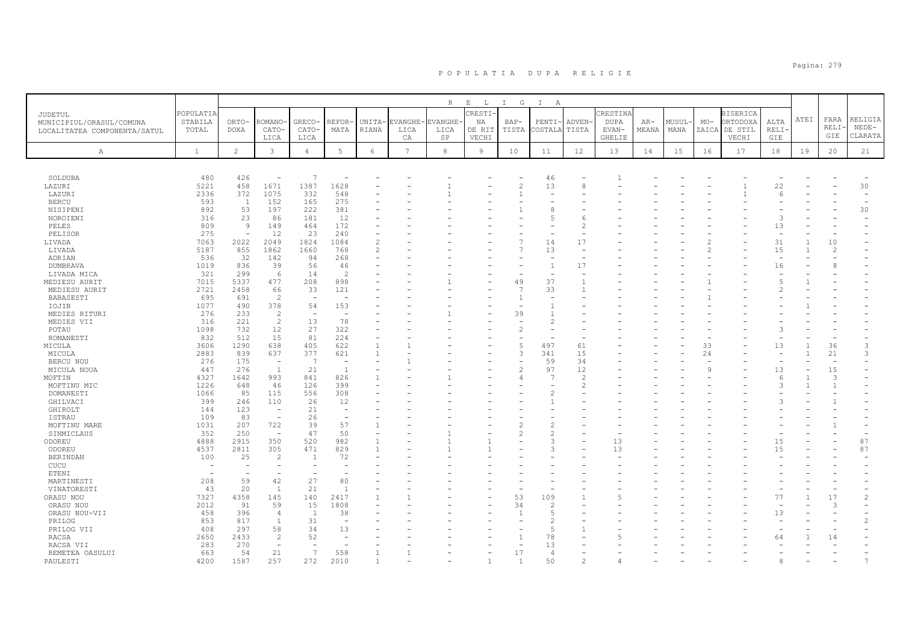|                              |                          |                               |                                 |                          |                                |                          |                 | $R_{\odot}$    | $\mathbf{E}$<br>$\mathbb{L}$ | I G    | $\mathbb{I}$<br>A        |                |               |       |       |         |                 |                                |      |               |                          |
|------------------------------|--------------------------|-------------------------------|---------------------------------|--------------------------|--------------------------------|--------------------------|-----------------|----------------|------------------------------|--------|--------------------------|----------------|---------------|-------|-------|---------|-----------------|--------------------------------|------|---------------|--------------------------|
| JUDETUL                      | POPULATIA                |                               |                                 |                          |                                |                          |                 |                | CRESTI                       |        |                          |                | CRESTINA      |       |       |         | <b>BISERICA</b> |                                |      |               |                          |
| MUNICIPIUL/ORASUL/COMUNA     | STABILA                  | ORTO-                         | -OMANO                          | GRECO-                   | REFOR                          | UNITA-                   | EVANGHE-        | <b>EVANGHE</b> | NA                           | $BAP-$ | PENTI-                   | ADVEN-         | <b>DUPA</b>   | $AR-$ | MUSUL | $MO-$   | <b>ORTODOXA</b> | ALTA                           | ATEI | FARA          | RELIGIA                  |
| LOCALITATEA COMPONENTA/SATUL | TOTAL                    | <b>DOXA</b>                   | CATO-                           | CATO-                    | MATA                           | RIANA                    | LICA            | LICA           | DE RIT                       | TISTA  | COSTALA                  | TISTA          | EVAN-         | MEANA | MANA  |         | ZAICA DE STIL   | RELI·                          |      | RELI·         | $NEDE-$                  |
|                              |                          |                               | LICA                            | LICA                     |                                |                          | CA              | SP             | VECHI                        |        |                          |                | <b>GHELIE</b> |       |       |         | VECHI           | GIE                            |      | GIE           | CLARATA                  |
| Α                            | $\mathbf{1}$             | $\overline{c}$                | $\mathbf{3}$                    | $\overline{4}$           | $5\phantom{.0}$                | 6                        | $7\overline{ }$ | 8              | 9                            | 10     | 11                       | 12             | 13            | 14    | 15    | 16      | 17              | 18                             | 19   | 20            | 21                       |
|                              |                          |                               |                                 |                          |                                |                          |                 |                |                              |        |                          |                |               |       |       |         |                 |                                |      |               |                          |
|                              |                          |                               |                                 |                          |                                |                          |                 |                |                              |        |                          |                |               |       |       |         |                 |                                |      |               |                          |
| SOLDUBA                      | 480                      | 426                           | $\overline{\phantom{a}}$        | -7                       |                                |                          |                 |                |                              |        | 46                       |                |               |       |       |         |                 |                                |      |               |                          |
| LAZURI                       | 5221                     | 458                           | 1671                            | 1387                     | 1628                           |                          |                 |                |                              |        | 13                       | 8              |               |       |       |         |                 | 22                             |      |               | 30                       |
| LAZURI                       | 2336                     | 372                           | 1075                            | 332                      | 548                            |                          |                 |                |                              |        | $\equiv$                 |                |               |       |       |         |                 | $\epsilon$                     |      |               | $\equiv$                 |
| <b>BERCU</b>                 | 593                      | $\overline{1}$                | 152                             | 165                      | 275                            |                          |                 |                |                              |        |                          |                |               |       |       |         |                 |                                |      |               | $\overline{\phantom{a}}$ |
| NISIPENI                     | 892                      | 53                            | 197                             | 222                      | 381                            |                          |                 |                |                              |        | 8<br>$\overline{5}$      |                |               |       |       |         |                 | $\mathcal{L}$                  |      |               | 30                       |
| NOROIENI                     | 316                      | 23                            | 86                              | 181                      | 12                             |                          |                 |                |                              |        |                          |                |               |       |       |         |                 |                                |      |               |                          |
| PELES                        | 809<br>275               | 9<br>$\overline{\phantom{a}}$ | 149<br>12                       | 464<br>23                | 172<br>240                     |                          |                 |                |                              |        |                          |                |               |       |       |         |                 | 13<br>$\overline{\phantom{a}}$ |      |               |                          |
| PELISOR<br>LIVADA            | 7063                     | 2022                          | 2049                            | 1824                     | 1084                           | $\overline{\mathcal{L}}$ |                 |                |                              |        | 14                       | 17             |               |       |       |         |                 | 31                             |      | 10            |                          |
| LIVADA                       | 5187                     | 855                           | 1862                            | 1660                     | 768                            | $\overline{\mathcal{L}}$ |                 |                |                              |        | 13                       |                |               |       |       |         |                 | 15                             |      | 2             |                          |
| ADRIAN                       | 536                      | 32                            | 142                             | 94                       | 268                            |                          |                 |                |                              |        |                          |                |               |       |       |         |                 |                                |      |               |                          |
| DUMBRAVA                     | 1019                     | 836                           | 39                              | 56                       | 46                             |                          |                 |                |                              |        | $\mathbf{1}$             | 17             |               |       |       |         |                 | 16                             |      |               |                          |
| LIVADA MICA                  | 321                      | 299                           | 6                               | 14                       | $\overline{c}$                 |                          |                 |                |                              |        |                          |                |               |       |       |         |                 |                                |      |               |                          |
| MEDIESU AURIT                | 7015                     | 5337                          | 477                             | 208                      | 898                            |                          |                 |                |                              | 49     | 37                       |                |               |       |       |         |                 | $\overline{5}$                 |      |               |                          |
| MEDIESU AURIT                | 2721                     | 2458                          | 66                              | 33                       | 121                            |                          |                 |                |                              | 7      | 33                       |                |               |       |       |         |                 |                                |      |               |                          |
| BABASESTI                    | 695                      | 691                           | $\overline{c}$                  | $\overline{\phantom{a}}$ |                                |                          |                 |                |                              |        | $\overline{\phantom{a}}$ |                |               |       |       |         |                 |                                |      |               |                          |
| IOJIB                        | 1077                     | 490                           | 378                             | 54                       | 153                            |                          |                 |                |                              |        |                          |                |               |       |       |         |                 |                                |      |               |                          |
| MEDIES RITURI                | 276                      | 233                           | $\overline{c}$                  | <b>1</b>                 | <b>1</b>                       |                          |                 |                |                              | 39     | -1                       |                |               |       |       |         |                 |                                |      |               |                          |
| MEDIES VII                   | 316                      | 221                           | $\overline{c}$                  | 13                       | 78                             |                          |                 |                |                              |        | $\mathfrak{D}$           |                |               |       |       |         |                 |                                |      |               |                          |
| POTAU                        | 1098                     | 732                           | 12                              | 27                       | 322                            |                          |                 |                |                              |        |                          |                |               |       |       |         |                 |                                |      |               |                          |
| ROMANESTI                    | 832                      | 512                           | 15                              | 81                       | 224                            |                          |                 |                |                              |        |                          |                |               |       |       |         |                 |                                |      |               |                          |
| MICULA                       | 3606                     | 1290                          | 638                             | 405                      | 622                            | $\overline{1}$           |                 |                |                              | 5      | 497                      | 61             |               |       |       | 33      |                 | 13                             |      | 36            | 3                        |
| MICULA                       | 2883                     | 839                           | 637                             | 377                      | 621                            | $\overline{1}$           |                 |                |                              | 3      | 341                      | 15             |               |       |       | 24      |                 |                                |      | 21            | 3                        |
| BERCU NOU                    | 276                      | 175                           | $\overline{\phantom{a}}$        | -7                       | $\overline{\phantom{a}}$       |                          |                 |                |                              |        | 59                       | 34             |               |       |       |         |                 |                                |      |               |                          |
| MICULA NOUA                  | 447                      | 276                           | <sup>1</sup>                    | 21                       | $\overline{1}$                 |                          |                 |                |                              |        | 97                       | 12             |               |       |       | $\circ$ |                 | 13                             |      | 15            |                          |
| MOFTIN                       | 4327                     | 1642                          | 993                             | 841                      | 826                            |                          |                 |                |                              |        |                          | $\overline{2}$ |               |       |       |         |                 | 6                              |      | $\mathcal{L}$ |                          |
| MOFTINU MIC                  | 1226                     | 648                           | 46                              | 126                      | 399                            |                          |                 |                |                              |        |                          |                |               |       |       |         |                 | 3                              |      | $\mathbf{1}$  |                          |
| DOMANESTI                    | 1066                     | 85                            | 115                             | 556                      | 308                            |                          |                 |                |                              |        | $\mathcal{L}$            |                |               |       |       |         |                 |                                |      |               |                          |
| GHILVACI                     | 399                      | 246                           | 110<br>$\overline{\phantom{a}}$ | 26                       | 12<br>$\overline{\phantom{a}}$ |                          |                 |                |                              |        |                          |                |               |       |       |         |                 |                                |      |               |                          |
| GHIROLT<br><b>ISTRAU</b>     | 144<br>109               | 123<br>83                     | $\equiv$                        | 21<br>26                 |                                |                          |                 |                |                              |        |                          |                |               |       |       |         |                 |                                |      |               |                          |
| MOFTINU MARE                 | 1031                     | 207                           | 722                             | 39                       | 57                             |                          |                 |                |                              |        |                          |                |               |       |       |         |                 |                                |      |               |                          |
| SINMICLAUS                   | 352                      | 250                           | $\overline{\phantom{m}}$        | 47                       | 50                             |                          |                 |                |                              |        | $\overline{c}$           |                |               |       |       |         |                 |                                |      |               |                          |
| ODOREU                       | 4888                     | 2915                          | 350                             | 520                      | 982                            |                          |                 |                |                              |        | $\mathcal{R}$            |                | 13            |       |       |         |                 | 15                             |      |               | 87                       |
| ODOREU                       | 4537                     | 2811                          | 305                             | 471                      | 829                            |                          |                 |                |                              |        | $\mathcal{L}$            |                | 13            |       |       |         |                 | 15                             |      |               | 87                       |
| <b>BERINDAN</b>              | 100                      | 25                            | $\overline{c}$                  | - 1                      | 72                             |                          |                 |                |                              |        |                          |                |               |       |       |         |                 |                                |      |               |                          |
| CUCU                         |                          |                               | $\overline{\phantom{0}}$        |                          | ۰                              |                          |                 |                |                              |        |                          |                |               |       |       |         |                 |                                |      |               |                          |
| ETENI                        | $\overline{\phantom{0}}$ |                               | $\equiv$                        |                          |                                |                          |                 |                |                              |        |                          |                |               |       |       |         |                 |                                |      |               |                          |
| MARTINESTI                   | 208                      | 59                            | 42                              | 27                       | 80                             |                          |                 |                |                              |        |                          |                |               |       |       |         |                 |                                |      |               |                          |
| VINATORESTI                  | 43                       | 20                            | $\overline{1}$                  | 21                       | - 1                            |                          |                 |                |                              |        |                          |                |               |       |       |         |                 |                                |      |               |                          |
| ORASU NOU                    | 7327                     | 4358                          | 145                             | 140                      | 2417                           |                          |                 |                |                              | 53     | 109                      |                |               |       |       |         |                 | 77                             |      | 17            | $\mathfrak{D}$           |
| ORASU NOU                    | 2012                     | 91                            | 59                              | 15                       | 1808                           |                          |                 |                |                              | 34     | 2                        |                |               |       |       |         |                 |                                |      | 3             |                          |
| ORASU NOU-VII                | 458                      | 396                           | 4                               | $\overline{1}$           | 38                             |                          |                 |                |                              |        | 5                        |                |               |       |       |         |                 | 13                             |      |               |                          |
| PRILOG                       | 853                      | 817                           | $\mathbf{1}$                    | 31                       |                                |                          |                 |                |                              |        | $\mathfrak{D}$           |                |               |       |       |         |                 |                                |      |               | $\overline{c}$           |
| PRILOG VII                   | 408                      | 297                           | 58                              | 34                       | 13                             |                          |                 |                |                              |        | 5                        |                |               |       |       |         |                 |                                |      |               |                          |
| RACSA                        | 2650                     | 2433                          | $\overline{2}$                  | 52                       |                                |                          |                 |                |                              |        | 78                       |                |               |       |       |         |                 | 64                             |      | 14            |                          |
| RACSA VII                    | 283                      | 270                           | $\equiv$                        |                          |                                |                          |                 |                |                              |        | 13                       |                |               |       |       |         |                 |                                |      |               |                          |
| REMETEA OASULUI              | 663                      | 54                            | 21                              | 7                        | 558                            |                          |                 |                |                              | 17     | $\overline{4}$           |                |               |       |       |         |                 |                                |      |               |                          |
| PAULESTI                     | 4200                     | 1587                          | 257                             | 272                      | 2010                           |                          |                 |                |                              |        | 50                       |                |               |       |       |         |                 |                                |      |               |                          |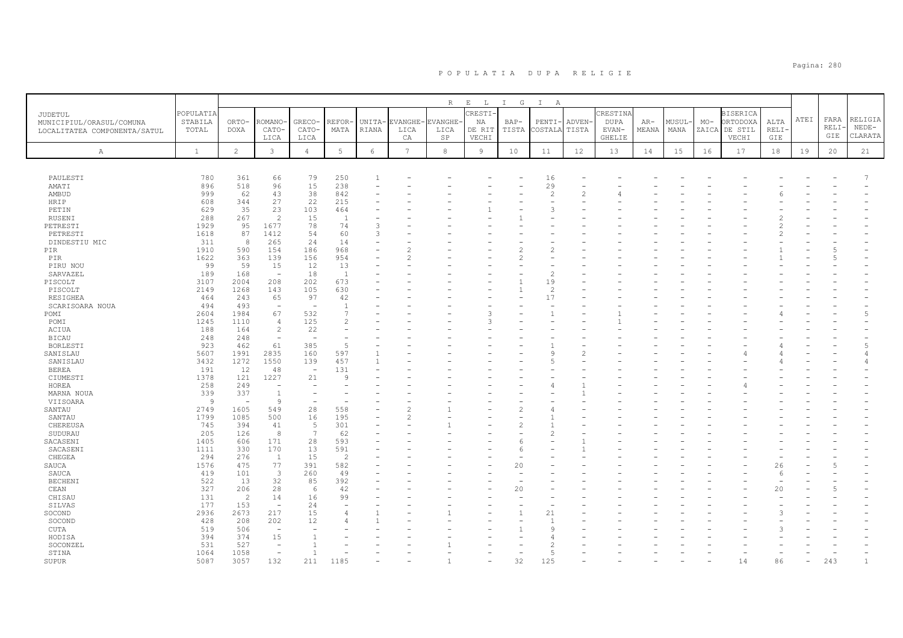|                                                                     |                               |                          |                          |                          |                |                 |                       | $R_{\perp}$            | $E$ $L$                 | I G           | $\mathbb{I}$<br>$\mathbb{A}$ |                       |                           |                |                |       |                                              |              |      |                      |                               |
|---------------------------------------------------------------------|-------------------------------|--------------------------|--------------------------|--------------------------|----------------|-----------------|-----------------------|------------------------|-------------------------|---------------|------------------------------|-----------------------|---------------------------|----------------|----------------|-------|----------------------------------------------|--------------|------|----------------------|-------------------------------|
| JUDETUL<br>MUNICIPIUL/ORASUL/COMUNA<br>LOCALITATEA COMPONENTA/SATUL | POPULATIA<br>STABILA<br>TOTAL | ORTO-<br><b>DOXA</b>     | <b>COMANO</b><br>CATO-   | GRECO-<br>CATO-          | REFOR<br>MATA  | UNITA-<br>RIANA | EVANGHE-<br>LICA      | <b>EVANGHE</b><br>LICA | CRESTI-<br>NA<br>DE RIT | BAP-<br>TISTA | $PENTI-$<br>COSTALA          | <b>ADVEN</b><br>TISTA | CRESTINA<br>DUPA<br>EVAN- | $AR-$<br>MEANA | MUSUL-<br>MANA | $MO-$ | <b>BISERICA</b><br>ORTODOXA<br>ZAICA DE STIL | ALTA<br>RELI | ATEI | FARA<br>RELI·<br>GIE | RELIGIA<br>$NEDE-$<br>CLARATA |
| Α                                                                   | $\mathbf{1}$                  | 2                        | LICA<br>$\mathbf{3}$     | LICA<br>$\overline{4}$   | 5              | 6               | СA<br>$7\overline{ }$ | SP<br>8                | VECHI<br>9              | 10            | 11                           | 12                    | GHELIE<br>13              | 14             | 15             | 16    | VECHI<br>17                                  | GIE<br>18    | 19   | 20                   | 21                            |
|                                                                     |                               |                          |                          |                          |                |                 |                       |                        |                         |               |                              |                       |                           |                |                |       |                                              |              |      |                      |                               |
| PAULESTI                                                            | 780                           | 361                      | 66                       | 79                       | 250            |                 |                       |                        |                         |               | 16                           |                       |                           |                |                |       |                                              |              |      |                      |                               |
| AMATI                                                               | 896                           | 518                      | 96                       | 15                       | 238            |                 |                       |                        |                         |               | 29                           |                       |                           |                |                |       |                                              |              |      |                      |                               |
| AMBUD                                                               | 999                           | 62                       | 43                       | 38                       | 842            |                 |                       |                        |                         |               | $\overline{2}$               | 2                     |                           |                |                |       |                                              |              |      |                      |                               |
| HRIP                                                                | 608                           | 344                      | 27                       | 22                       | 215            |                 |                       |                        |                         |               | $\sim$                       |                       |                           |                |                |       |                                              |              |      |                      |                               |
| PETIN                                                               | 629                           | 35                       | 23                       | 103                      | 464            |                 |                       |                        |                         |               | 3                            |                       |                           |                |                |       |                                              |              |      |                      |                               |
| RUSENI                                                              | 288                           | 267                      | $\overline{2}$           | 15                       | $\overline{1}$ |                 |                       |                        |                         |               |                              |                       |                           |                |                |       |                                              |              |      |                      |                               |
| PETRESTI                                                            | 1929                          | 95                       | 1677                     | 78                       | 74             | 3               |                       |                        |                         |               |                              |                       |                           |                |                |       |                                              |              |      |                      |                               |
| PETRESTI                                                            | 1618                          | 87                       | 1412                     | 54                       | 60             | 3               |                       |                        |                         |               |                              |                       |                           |                |                |       |                                              |              |      |                      |                               |
| DINDESTIU MIC                                                       | 311                           | 8                        | 265                      | 24                       | 14             |                 |                       |                        |                         |               |                              |                       |                           |                |                |       |                                              |              |      |                      |                               |
| PIR                                                                 | 1910                          | 590                      | 154                      | 186                      | 968            |                 |                       |                        |                         |               |                              |                       |                           |                |                |       |                                              |              |      | 5                    |                               |
| PIR                                                                 | 1622                          | 363                      | 139                      | 156                      | 954            |                 |                       |                        |                         |               |                              |                       |                           |                |                |       |                                              |              |      |                      |                               |
| PIRU NOU                                                            | 99                            | 59                       | 15                       | 12                       | 13             |                 |                       |                        |                         |               |                              |                       |                           |                |                |       |                                              |              |      |                      |                               |
| SARVAZEL                                                            | 189                           | 168                      | $\sim$                   | 18                       | <sup>1</sup>   |                 |                       |                        |                         |               | $\overline{c}$               |                       |                           |                |                |       |                                              |              |      |                      |                               |
| PISCOLT                                                             | 3107                          | 2004                     | 208                      | 202                      | 673            |                 |                       |                        |                         |               | 19                           |                       |                           |                |                |       |                                              |              |      |                      |                               |
| PISCOLT                                                             | 2149                          | 1268                     | 143                      | 105                      | 630            |                 |                       |                        |                         |               | $\overline{2}$               |                       |                           |                |                |       |                                              |              |      |                      |                               |
| <b>RESIGHEA</b>                                                     | 464                           | 243                      | 65                       | 97                       | 42             |                 |                       |                        |                         |               | 17                           |                       |                           |                |                |       |                                              |              |      |                      |                               |
| SCARISOARA NOUA                                                     | 494                           | 493                      | $\overline{\phantom{a}}$ |                          |                |                 |                       |                        |                         |               |                              |                       |                           |                |                |       |                                              |              |      |                      |                               |
| POMI                                                                | 2604                          | 1984                     | 67                       | 532                      | 7              |                 |                       |                        | 3                       |               |                              |                       |                           |                |                |       |                                              |              |      |                      | $\overline{5}$                |
| POMI                                                                | 1245                          | 1110                     | $\overline{4}$           | 125                      | $\overline{2}$ |                 |                       |                        | 3                       |               |                              |                       |                           |                |                |       |                                              |              |      |                      |                               |
| ACIUA                                                               | 188                           | 164                      | $\overline{c}$           | 22                       |                |                 |                       |                        |                         |               |                              |                       |                           |                |                |       |                                              |              |      |                      |                               |
| <b>BICAU</b>                                                        | 248                           | 248                      | $\overline{\phantom{a}}$ |                          |                |                 |                       |                        |                         |               |                              |                       |                           |                |                |       |                                              |              |      |                      |                               |
| BORLESTI                                                            | 923                           | 462                      | 61                       | 385                      | $\overline{5}$ |                 |                       |                        |                         |               |                              |                       |                           |                |                |       |                                              |              |      |                      | $\overline{5}$                |
| SANISLAU                                                            | 5607                          | 1991                     | 2835                     | 160                      | 597            |                 |                       |                        |                         |               | $\mathcal{Q}$                |                       |                           |                |                |       |                                              |              |      |                      | 4                             |
| SANISLAU                                                            | 3432                          | 1272                     | 1550                     | 139                      | 457            |                 |                       |                        |                         |               | 5                            |                       |                           |                |                |       |                                              |              |      |                      |                               |
| <b>BEREA</b>                                                        | 191                           | 12                       | 48                       | $\overline{\phantom{a}}$ | 131            |                 |                       |                        |                         |               |                              |                       |                           |                |                |       |                                              |              |      |                      |                               |
| CIUMESTI                                                            | 1378                          | 121                      | 1227                     | 21                       | $\mathsf{Q}$   |                 |                       |                        |                         |               |                              |                       |                           |                |                |       |                                              |              |      |                      |                               |
| HOREA                                                               | 258                           | 249                      | $\overline{\phantom{a}}$ |                          |                |                 |                       |                        |                         |               | 4                            |                       |                           |                |                |       |                                              |              |      |                      |                               |
| MARNA NOUA                                                          | 339                           | 337                      | 1                        |                          |                |                 |                       |                        |                         |               |                              |                       |                           |                |                |       |                                              |              |      |                      |                               |
| VIISOARA                                                            | $\overline{9}$                | $\overline{\phantom{a}}$ | $\overline{9}$           |                          |                |                 |                       |                        |                         |               |                              |                       |                           |                |                |       |                                              |              |      |                      |                               |
| SANTAU                                                              | 2749                          | 1605                     | 549                      | 28                       | 558            |                 |                       |                        |                         |               |                              |                       |                           |                |                |       |                                              |              |      |                      |                               |
| SANTAU                                                              | 1799                          | 1085                     | 500                      | 16                       | 195            |                 |                       |                        |                         |               |                              |                       |                           |                |                |       |                                              |              |      |                      |                               |
| CHEREUSA                                                            | 745                           | 394                      | 41                       | 5                        | 301            |                 |                       |                        |                         |               |                              |                       |                           |                |                |       |                                              |              |      |                      |                               |
| SUDURAU                                                             | 205                           | 126                      | 8                        | $\overline{7}$           | 62             |                 |                       |                        |                         |               | $\mathcal{D}$                |                       |                           |                |                |       |                                              |              |      |                      |                               |
| SACASENI                                                            | 1405                          | 606                      | 171                      | 28                       | 593            |                 |                       |                        |                         |               |                              |                       |                           |                |                |       |                                              |              |      |                      |                               |
| SACASENI                                                            | 1111                          | 330                      | 170                      | 13                       | 591            |                 |                       |                        |                         | Р             |                              |                       |                           |                |                |       |                                              |              |      |                      |                               |
| CHEGEA                                                              | 294                           | 276                      | $\overline{1}$           | 15                       | $\overline{2}$ |                 |                       |                        |                         |               |                              |                       |                           |                |                |       |                                              |              |      |                      |                               |
| SAUCA                                                               | 1576                          | 475                      | 77                       | 391                      | 582            |                 |                       |                        |                         | 20            |                              |                       |                           |                |                |       |                                              | 26           |      |                      |                               |
| SAUCA                                                               | 419                           | 101                      | $\overline{3}$           | 260                      | 49             |                 |                       |                        |                         |               |                              |                       |                           |                |                |       |                                              | 6            |      |                      |                               |
| <b>BECHENI</b>                                                      | 522                           | 13                       | 32                       | 85                       | 392            |                 |                       |                        |                         |               |                              |                       |                           |                |                |       |                                              |              |      |                      |                               |
| CEAN                                                                | 327                           | 206                      | 28                       | 6                        | 42             |                 |                       |                        |                         | 20            |                              |                       |                           |                |                |       |                                              | 20           |      |                      |                               |
| CHISAU                                                              | 131                           | $\overline{c}$           | 14                       | 16                       | 99             |                 |                       |                        |                         |               |                              |                       |                           |                |                |       |                                              |              |      |                      |                               |
| SILVAS                                                              | 177                           | 153                      | $\overline{\phantom{a}}$ | 24                       |                |                 |                       |                        |                         |               |                              |                       |                           |                |                |       |                                              |              |      |                      |                               |
|                                                                     |                               | 2673                     | 217                      | 15                       |                |                 |                       |                        |                         |               | 21                           |                       |                           |                |                |       |                                              |              |      |                      |                               |
| SOCOND<br>SOCOND                                                    | 2936<br>428                   | 208                      | 202                      | 12                       |                |                 |                       |                        |                         |               |                              |                       |                           |                |                |       |                                              |              |      |                      |                               |
|                                                                     | 519                           | 506                      | $\overline{\phantom{a}}$ |                          |                |                 |                       |                        |                         |               | 9                            |                       |                           |                |                |       |                                              |              |      |                      |                               |
| CUTA                                                                | 394                           | 374                      |                          |                          |                |                 |                       |                        |                         |               |                              |                       |                           |                |                |       |                                              |              |      |                      |                               |
| HODISA                                                              | 531                           | 527                      | 15<br>÷,                 |                          |                |                 |                       |                        |                         |               | 2                            |                       |                           |                |                |       |                                              |              |      |                      |                               |
| SOCONZEL                                                            |                               |                          | $\sim$                   |                          |                |                 |                       |                        |                         |               | $\overline{5}$               |                       |                           |                |                |       |                                              |              |      |                      |                               |
| STINA                                                               | 1064                          | 1058                     |                          |                          |                |                 |                       |                        |                         |               |                              |                       |                           |                |                |       |                                              |              |      |                      |                               |
| SUPUR                                                               | 5087                          | 3057                     | 132                      | 211                      | 1185           |                 |                       |                        |                         | 32            | 125                          |                       |                           |                |                |       |                                              | 86           |      | 243                  |                               |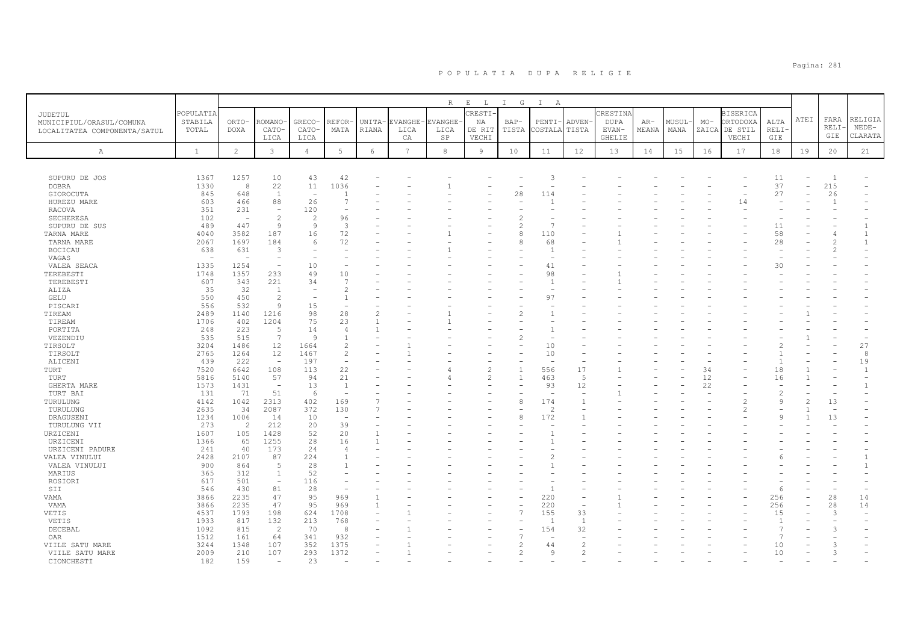|                              |                  |                                 |                                          |                          |                                |                 |                        | $R_{\perp}$     | $E$ $L$        | I G            | $\mathbb{I}$<br>A               |                          |                      |                |                |       |                           |                     |      |                |              |
|------------------------------|------------------|---------------------------------|------------------------------------------|--------------------------|--------------------------------|-----------------|------------------------|-----------------|----------------|----------------|---------------------------------|--------------------------|----------------------|----------------|----------------|-------|---------------------------|---------------------|------|----------------|--------------|
| JUDETUL                      | POPULATIA        |                                 |                                          |                          |                                |                 |                        |                 | CRESTI-        |                |                                 |                          | CRESTINA             |                |                |       | <b>BISERICA</b>           |                     | ATEI | FARA           | RELIGIA      |
| MUNICIPIUL/ORASUL/COMUNA     | STABILA<br>TOTAL | ORTO-<br>DOXA                   | ROMANO<br>CATO-                          | GRECO-<br>CATO-          | REFOR·<br>MATA                 | UNITA-<br>RIANA | <b>EVANGHE</b><br>LICA | EVANGHE<br>LICA | ΝA<br>DE RIT   | BAP-<br>TISTA  | PENTI-<br>COSTALA               | <b>ADVEN</b><br>TISTA    | <b>DUPA</b><br>EVAN- | $AR-$<br>MEANA | MUSUL-<br>MANA | $MO-$ | ORTODOXA<br>ZAICA DE STIL | ALTA<br><b>RELI</b> |      | RELI           | $NEDE-$      |
| LOCALITATEA COMPONENTA/SATUL |                  |                                 | LICA                                     | LICA                     |                                |                 | CA                     | SP              | VECHI          |                |                                 |                          | <b>GHELIE</b>        |                |                |       | VECHI                     | GIE                 |      | GIE            | CLARATA      |
|                              |                  |                                 |                                          |                          |                                |                 |                        |                 |                |                |                                 |                          |                      |                |                |       |                           |                     |      |                |              |
| Α                            | $\mathbf{1}$     | $\mathbf{2}$                    | $\mathbf{3}$                             | $\overline{4}$           | $5\phantom{.0}$                | $\epsilon$      | $7\overline{ }$        | 8               | 9              | 10             | 11                              | 12                       | 13                   | 14             | 15             | 16    | 17                        | 18                  | 19   | 20             | 21           |
|                              |                  |                                 |                                          |                          |                                |                 |                        |                 |                |                |                                 |                          |                      |                |                |       |                           |                     |      |                |              |
| SUPURU DE JOS                | 1367             | 1257                            | 10                                       | 43                       | 42                             |                 |                        |                 |                |                | 3                               |                          |                      |                |                |       |                           | 11                  |      | $\overline{1}$ |              |
| <b>DOBRA</b>                 | 1330             | 8                               | 22                                       | 11                       | 1036                           |                 |                        |                 |                |                |                                 |                          |                      |                |                |       |                           | 37                  |      | 215            |              |
| GIOROCUTA                    | 845              | 648                             | $\overline{1}$                           | $\overline{\phantom{a}}$ |                                |                 |                        |                 |                | 28             | 114                             |                          |                      |                |                |       |                           | 27                  |      | 26             |              |
| HUREZU MARE                  | 603              | 466                             | 88                                       | 26                       | 7                              |                 |                        |                 |                |                |                                 |                          |                      |                |                |       | 14                        |                     |      | 1              |              |
| RACOVA                       | 351              | 231                             | $\overline{\phantom{a}}$                 | 120                      |                                |                 |                        |                 |                |                |                                 |                          |                      |                |                |       |                           |                     |      |                |              |
| SECHERESA                    | 102              |                                 | $\overline{c}$                           | $\overline{c}$           | 96                             |                 |                        |                 |                |                |                                 |                          |                      |                |                |       |                           |                     |      |                |              |
| SUPURU DE SUS                | 489              | 447                             | 9                                        | 9                        | 3                              |                 |                        |                 |                | 2              | $\overline{1}$                  |                          |                      |                |                |       |                           | 11                  |      |                | $\mathbf{1}$ |
| TARNA MARE                   | 4040             | 3582                            | 187                                      | 16                       | 72                             |                 |                        |                 |                | 8              | 110                             |                          |                      |                |                |       |                           | 58                  |      |                | 1            |
| TARNA MARE                   | 2067             | 1697                            | 184                                      | 6                        | 72                             |                 |                        |                 |                | 8              | 68                              |                          |                      |                |                |       |                           | 28                  |      |                | 1            |
| <b>BOCICAU</b>               | 638<br>$\sim$    | 631<br>$\overline{\phantom{0}}$ | 3<br>÷,                                  |                          |                                |                 |                        |                 |                |                | $\mathbf{1}$<br>$\sim$          |                          |                      |                |                |       |                           |                     |      |                |              |
| VAGAS<br>VALEA SEACA         | 1335             | 1254                            | ÷,                                       | 10                       |                                |                 |                        |                 |                |                | 41                              |                          |                      |                |                |       |                           | 30                  |      |                |              |
| TEREBESTI                    | 1748             | 1357                            | 233                                      | 49                       | 10                             |                 |                        |                 |                |                | 98                              |                          |                      |                |                |       |                           |                     |      |                |              |
| TEREBESTI                    | 607              | 343                             | 221                                      | 34                       | -7                             |                 |                        |                 |                |                | 1                               |                          |                      |                |                |       |                           |                     |      |                |              |
| ALIZA                        | 35               | 32                              | $\overline{1}$                           | $\overline{a}$           | $\mathcal{L}$                  |                 |                        |                 |                |                | $\overline{\phantom{a}}$        |                          |                      |                |                |       |                           |                     |      |                |              |
| GELU                         | 550              | 450                             | $\overline{c}$                           |                          |                                |                 |                        |                 |                |                | 97                              |                          |                      |                |                |       |                           |                     |      |                |              |
| PISCARI                      | 556              | 532                             | $\overline{9}$                           | 15                       |                                |                 |                        |                 |                |                |                                 |                          |                      |                |                |       |                           |                     |      |                |              |
| TIREAM                       | 2489             | 1140                            | 1216                                     | 98                       | 28                             | $\overline{2}$  |                        |                 |                |                | $\mathbf{1}$                    |                          |                      |                |                |       |                           |                     |      |                |              |
| TIREAM                       | 1706             | 402                             | 1204                                     | 75                       | 23                             |                 |                        |                 |                |                |                                 |                          |                      |                |                |       |                           |                     |      |                |              |
| PORTITA                      | 248              | 223                             | 5                                        | 14                       | 4                              |                 |                        |                 |                |                | $\mathbf{1}$                    |                          |                      |                |                |       |                           |                     |      |                |              |
| VEZENDIU                     | 535              | 515                             | $\overline{7}$                           | Q                        |                                |                 |                        |                 |                |                | $\overline{\phantom{0}}$        |                          |                      |                |                |       |                           |                     |      |                |              |
| TIRSOLT                      | 3204             | 1486                            | 12                                       | 1664                     | $\overline{2}$                 |                 |                        |                 |                |                | 10                              |                          |                      |                |                |       |                           |                     |      |                | 27           |
| TIRSOLT                      | 2765             | 1264                            | 12                                       | 1467                     | $\overline{2}$                 |                 |                        |                 |                |                | 10                              |                          |                      |                |                |       |                           |                     |      |                | 8            |
| ALICENI                      | 439<br>7520      | 222<br>6642                     | $\overline{\phantom{a}}$<br>108          | 197<br>113               | $\overline{\phantom{a}}$<br>22 |                 |                        |                 | 2              | $\overline{1}$ | $\overline{\phantom{a}}$<br>556 | 17                       |                      |                |                | 34    |                           | 1<br>18             |      |                | 19<br>1      |
| TURT<br>TURT                 | 5816             | 5140                            | 57                                       | 94                       | 21                             |                 |                        |                 | $\overline{c}$ | $\overline{1}$ | 463                             | 5                        |                      |                |                | 12    |                           | 16                  |      |                |              |
| GHERTA MARE                  | 1573             | 1431                            | $\overline{\phantom{a}}$                 | 13                       | $\overline{1}$                 |                 |                        |                 |                | ۰              | 93                              | 12                       |                      |                |                | 22    |                           |                     |      |                | $\mathbf{1}$ |
| TURT BAI                     | 131              | 71                              | 51                                       | 6                        |                                |                 |                        |                 |                |                |                                 |                          |                      |                |                |       |                           | $\mathfrak{D}$      |      |                |              |
| TURULUNG                     | 4142             | 1042                            | 2313                                     | 402                      | 169                            |                 |                        |                 |                | 8              | 174                             |                          |                      |                |                |       |                           | $\mathsf{Q}$        | 2    | 13             |              |
| TURULUNG                     | 2635             | 34                              | 2087                                     | 372                      | 130                            |                 |                        |                 |                |                | $\mathcal{D}$                   |                          |                      |                |                |       |                           |                     |      |                |              |
| DRAGUSENI                    | 1234             | 1006                            | 14                                       | 10                       | $\overline{\phantom{0}}$       |                 |                        |                 |                | 8              | 172                             |                          |                      |                |                |       |                           |                     |      | 13             |              |
| TURULUNG VII                 | 273              | $\overline{c}$                  | 212                                      | 20                       | 39                             |                 |                        |                 |                |                |                                 |                          |                      |                |                |       |                           |                     |      |                |              |
| URZICENI                     | 1607             | 105                             | 1428                                     | 52                       | 20                             |                 |                        |                 |                |                |                                 |                          |                      |                |                |       |                           |                     |      |                |              |
| URZICENI                     | 1366             | 65                              | 1255                                     | 28                       | 16                             |                 |                        |                 |                |                |                                 |                          |                      |                |                |       |                           |                     |      |                |              |
| URZICENI PADURE              | 241              | 40                              | 173                                      | 24                       | $\overline{4}$                 |                 |                        |                 |                |                |                                 |                          |                      |                |                |       |                           |                     |      |                |              |
| VALEA VINULUI                | 2428             | 2107                            | 87                                       | 224                      |                                |                 |                        |                 |                |                |                                 |                          |                      |                |                |       |                           |                     |      |                | $\mathbf{1}$ |
| VALEA VINULUI                | 900              | 864                             | 5                                        | 28                       |                                |                 |                        |                 |                |                |                                 |                          |                      |                |                |       |                           |                     |      |                | $\mathbf{1}$ |
| MARIUS                       | 365<br>617       | 312<br>501                      | $\mathbf{1}$<br>$\overline{\phantom{a}}$ | 52<br>116                |                                |                 |                        |                 |                |                |                                 |                          |                      |                |                |       |                           |                     |      |                |              |
| ROSIORI<br>SII               | 546              | 430                             | 81                                       | 28                       |                                |                 |                        |                 |                |                | $\overline{1}$                  |                          |                      |                |                |       |                           | 6                   |      |                |              |
| VAMA                         | 3866             | 2235                            | 47                                       | 95                       | 969                            |                 |                        |                 |                |                | 220                             |                          |                      |                |                |       |                           | 256                 |      | 28             | 14           |
| VAMA                         | 3866             | 2235                            | 47                                       | 95                       | 969                            |                 |                        |                 |                |                | 220                             | ÷                        |                      |                |                |       |                           | 256                 |      | 28             | 14           |
| VETIS                        | 4537             | 1793                            | 198                                      | 624                      | 1708                           |                 |                        |                 |                | 7              | 155                             | 33                       |                      |                |                |       |                           | 15                  |      | 3              |              |
| VETIS                        | 1933             | 817                             | 132                                      | 213                      | 768                            |                 |                        |                 |                |                | - 1                             | <sup>1</sup>             |                      |                |                |       |                           | $\mathbf{1}$        |      |                |              |
| DECEBAL                      | 1092             | 815                             | $\overline{2}$                           | 70                       | 8                              |                 |                        |                 |                |                | 154                             | 32                       |                      |                |                |       |                           | $\overline{7}$      |      |                |              |
| OAR                          | 1512             | 161                             | 64                                       | 341                      | 932                            |                 |                        |                 |                |                | $\overline{\phantom{a}}$        | $\overline{\phantom{a}}$ |                      |                |                |       |                           | $\overline{7}$      |      |                |              |
| VIILE SATU MARE              | 3244             | 1348                            | 107                                      | 352                      | 1375                           |                 |                        |                 |                | $\overline{c}$ | 44                              | $\overline{c}$           |                      |                |                |       |                           | 10                  |      |                |              |
| VIILE SATU MARE              | 2009             | 210                             | 107                                      | 293                      | 1372                           |                 |                        |                 |                | 2              | 9                               | $\mathcal{D}$            |                      |                |                |       |                           | 10                  |      |                |              |
| CIONCHESTI                   | 182              | 159                             | ۰                                        | 23                       |                                |                 |                        |                 |                |                |                                 |                          |                      |                |                |       |                           |                     |      |                |              |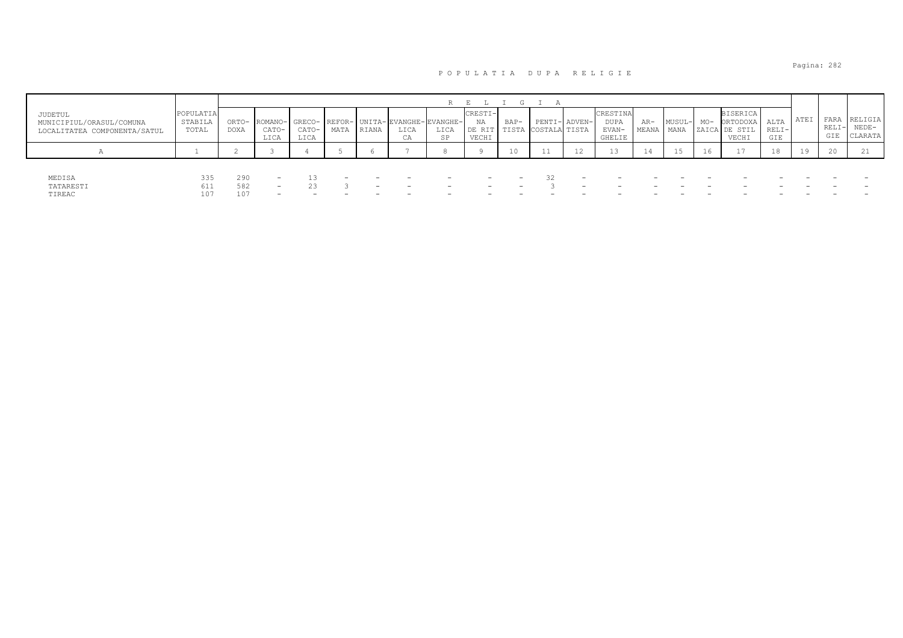| JUDETUL<br>MUNICIPIUL/ORASUL/COMUNA<br>LOCALITATEA COMPONENTA/SATUL | POPULATIA<br><b>STABILI</b><br>TOTAL | ORTO-<br>DOXA     | ROMANO-<br>CATO-<br>LICA | GRECO-<br>CATO-<br>LICA        | MATA                                                 | RIANA    | LICA<br>CA                                           | REFOR- UNITA- EVANGHE-EVANGHE-<br>LICA<br>SP | CRESTI-<br>NA<br>DE RIT<br>VECHI                                                 | BAP-<br>TISTA                                        | PENTI- ADVEN-<br>COSTALA TISTA |         | CRESTINA<br>DUPA<br>EVAN-<br><b>GHELIE</b> | $AR-$<br>MEANA | MUSUL-<br>MANA | $MO-$    | <b>BISERICA</b><br>ORTODOXA<br>ZAICA DE STIL<br>VECHI | ALTA<br>$RELI-$<br>GIE | ATEI | FARA<br>RELI<br>GIE | RELIGIA<br>$NEDE-$<br>CLARATA |
|---------------------------------------------------------------------|--------------------------------------|-------------------|--------------------------|--------------------------------|------------------------------------------------------|----------|------------------------------------------------------|----------------------------------------------|----------------------------------------------------------------------------------|------------------------------------------------------|--------------------------------|---------|--------------------------------------------|----------------|----------------|----------|-------------------------------------------------------|------------------------|------|---------------------|-------------------------------|
|                                                                     |                                      |                   |                          |                                |                                                      |          |                                                      |                                              |                                                                                  |                                                      |                                | 12      |                                            | 14             |                | 16.      |                                                       | 18                     | 19   | 20                  |                               |
| MEDISA<br>TATARESTI<br>TIREAC                                       | 335<br>611<br>107                    | 290<br>582<br>107 | $-$<br>$\sim$<br>$\sim$  | 23<br>$\overline{\phantom{0}}$ | $\overline{\phantom{0}}$<br>$\overline{\phantom{0}}$ | -<br>$-$ | $\overline{\phantom{0}}$<br>$\overline{\phantom{0}}$ | -<br>$\overline{\phantom{0}}$                | $\overline{\phantom{0}}$<br>$\overline{\phantom{0}}$<br>$\overline{\phantom{0}}$ | $\overline{\phantom{0}}$<br>$\overline{\phantom{0}}$ |                                | -<br>-- |                                            |                |                | <u>_</u> | $\overline{\phantom{0}}$                              |                        |      |                     |                               |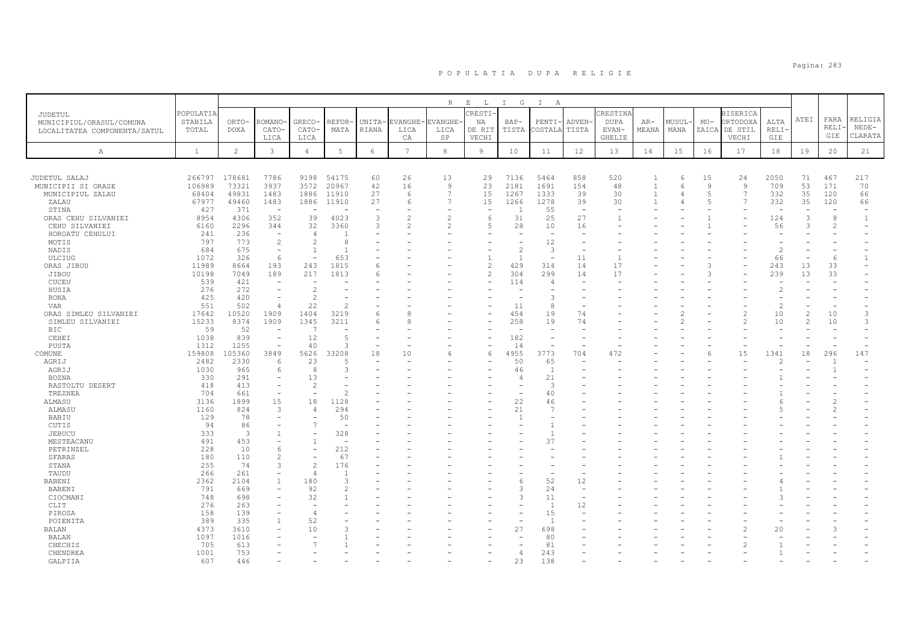|                                 |              |                |                                            |                                  |                |        |                 | $\mathbb R$    | $\mathbf{E}$<br>$\mathbb{L}$ | $\mathbbm{1}$<br>G | $\mathbb{I}$<br>A    |                          |                 |                |                |                |                  |                          |               |             |                |
|---------------------------------|--------------|----------------|--------------------------------------------|----------------------------------|----------------|--------|-----------------|----------------|------------------------------|--------------------|----------------------|--------------------------|-----------------|----------------|----------------|----------------|------------------|--------------------------|---------------|-------------|----------------|
| JUDETUL                         | POPULATIA    |                |                                            |                                  |                |        |                 |                | CRESTI-                      |                    |                      |                          | CRESTINA        |                |                |                | <b>BISERICA</b>  |                          | ATEI          | FARA        | RELIGIA        |
| MUNICIPIUL/ORASUL/COMUNA        | STABILA      | ORTO-          | ROMANO·                                    | GRECO-                           | REFOR-         | UNITA- | <b>EVANGHE</b>  | EVANGHE-       | ΝA                           | $BAP-$             | PENTI                | ADVEN-                   | <b>DUPA</b>     | AR-            | MUSUL·         | $MO-$          | ORTODOXA         | ALTA                     |               | <b>RELI</b> | $NEDE-$        |
| LOCALITATEA COMPONENTA/SATUL    | TOTAL        | DOXA           | CATO-<br>LICA                              | CATO-<br>LICA                    | MATA           | RIANA  | LICA<br>СA      | LICA<br>SP     | DE RIT<br>VECHI              | TISTA              | COSTALA              | TISTA                    | EVAN-<br>GHELIE | MEANA          | MANA           | ZAICA          | DE STIL<br>VECHI | RELI-<br>GIE             |               | GIE         | CLARATA        |
|                                 |              |                |                                            |                                  |                |        |                 |                |                              |                    |                      |                          |                 |                |                |                |                  |                          |               |             |                |
| $\mathbb{A}$                    | <sup>1</sup> | $\overline{2}$ | 3                                          | $\overline{4}$                   | 5              | 6      | $7\overline{ }$ | 8              | $\overline{9}$               | 10                 | 11                   | 12                       | 13              | 14             | 15             | 16             | 17               | 18                       | 19            | 20          | 21             |
|                                 |              |                |                                            |                                  |                |        |                 |                |                              |                    |                      |                          |                 |                |                |                |                  |                          |               |             |                |
| JUDETUL SALAJ                   | 266797       | 178681         | 7786                                       | 9198                             | 54175          | 60     | 26              | 13             | 29                           | 7136               | 5464                 | 858                      | 520             | -1             | 6              | 15             | 24               | 2050                     | 71            | 467         | 217            |
| MUNICIPII SI ORASE              | 106989       | 73321          | 3937                                       | 3572                             | 20967          | 42     | 16              | 9              | 23                           | 2181               | 1691                 | 154                      | 48              | $\overline{1}$ | 6              | $\mathcal{Q}$  | $\overline{9}$   | 709                      | 53            | 171         | 70             |
| MUNICIPIUL ZALAU                | 68404        | 49831          | 1483                                       | 1886                             | 11910          | 27     | 6               | $\overline{7}$ | 15                           | 1267               | 1333                 | 39                       | 30              | $\overline{1}$ | 4              | $\overline{5}$ | 7                | 332                      | 35            | 120         | 66             |
| ZALAU                           | 67977        | 49460          | 1483                                       | 1886                             | 11910          | 27     | 6               | $\overline{7}$ | 15                           | 1266               | 1278                 | 39                       | 30              |                |                | 5              | $\overline{7}$   | 332                      | 35            | 120         | 66             |
| STINA                           | 427          | 371            | <b>.</b>                                   |                                  |                |        |                 |                |                              | -1                 | 55                   | $\overline{a}$           |                 |                |                |                |                  | $\overline{\phantom{a}}$ |               |             |                |
| ORAS CEHU SILVANIEI             | 8954         | 4306           | 352                                        | 39                               | 4023           | 3      |                 | $\overline{c}$ | 6                            | 31                 | 25                   | 27                       |                 |                |                |                |                  | 124                      | 3             | 8           | $\overline{1}$ |
| CEHU SILVANIEI                  | 6160         | 2296           | 344                                        | 32                               | 3360           | 3      |                 |                | .5                           | 28                 | 10                   | 16                       |                 |                |                |                |                  | 56                       | 3             |             |                |
| HOROATU CEHULUI                 | 241          | 236            | $\overline{\phantom{a}}$                   | $\overline{4}$                   | -1             |        |                 |                |                              |                    |                      |                          |                 |                |                |                |                  |                          |               |             |                |
| MOTIS                           | 797          | 773<br>675     | $\overline{c}$<br>$\overline{\phantom{a}}$ | $\overline{c}$<br>$\overline{1}$ | 8<br>-1        |        |                 |                |                              | $\overline{c}$     | 12<br>3              | ÷,                       |                 |                |                |                |                  | $\overline{c}$           |               |             |                |
| NADIS<br>ULCIUG                 | 684<br>1072  | 326            | 6                                          | $\sim$                           | 653            |        |                 |                | $\mathbf{1}$                 | $\mathbf{1}$       |                      | 11                       | $\overline{1}$  |                |                |                |                  | 66                       |               | 6           | $\mathbf{1}$   |
| ORAS JIBOU                      | 11989        | 8664           | 193                                        | 243                              | 1815           | 6      |                 |                | $\mathfrak{D}$               | 429                | 314                  | 14                       | 17              |                |                | Р              |                  | 243                      | 13            | 33          |                |
| JIBOU                           | 10198        | 7049           | 189                                        | 217                              | 1813           | 6      |                 |                | 2                            | 304                | 299                  | 14                       | 17              |                |                | Р              |                  | 239                      | 13            | 33          |                |
| CUCEU                           | 539          | 421            |                                            | $\overline{\phantom{a}}$         |                |        |                 |                |                              | 114                | $\overline{4}$       |                          |                 |                |                |                |                  |                          |               |             |                |
| HUSIA                           | 276          | 272            |                                            | $\overline{2}$                   |                |        |                 |                |                              |                    |                      |                          |                 |                |                |                |                  | $\overline{c}$           |               |             |                |
| RONA                            | 425          | 420            |                                            | $\mathcal{L}$                    |                |        |                 |                |                              |                    | P                    |                          |                 |                |                |                |                  |                          |               |             |                |
| <b>VAR</b>                      | 551          | 502            | 4                                          | 22                               |                |        |                 |                |                              | 11                 | 8                    |                          |                 |                |                |                |                  | $\overline{c}$           |               |             |                |
| ORAS SIMLEU SILVANIEI           | 17642        | 10520          | 1909                                       | 1404                             | 3219           | 6      | 8               |                |                              | 454                | 19                   | 74                       |                 |                |                |                | $\mathcal{L}$    | 10                       | $\mathcal{L}$ | 10          | 3              |
| SIMLEU SILVANIEI                | 15233        | 8374           | 1909                                       | 1345                             | 3211           | 6      | 8               |                |                              | 258                | 19                   | 74                       |                 |                | $\overline{2}$ |                | $\overline{2}$   | 10                       | $\mathcal{L}$ | 10          | 3              |
| <b>BIC</b>                      | 59           | 52             |                                            | $\overline{7}$                   |                |        |                 |                |                              |                    |                      |                          |                 |                |                |                |                  |                          |               |             |                |
| CEHEI                           | 1038         | 839            | $\overline{\phantom{a}}$                   | 12                               | $\overline{5}$ |        |                 |                |                              | 182                |                      |                          |                 |                |                |                |                  |                          |               |             |                |
| PUSTA                           | 1312         | 1255           | $\overline{\phantom{a}}$                   | 40                               | n,             |        |                 |                |                              | 14                 |                      | $\overline{\phantom{a}}$ |                 |                |                |                |                  |                          |               |             |                |
| COMUNE                          | 159808       | 105360         | 3849                                       | 5626                             | 33208          | 18     | 10              |                |                              | 4955               | 3773                 | 704                      | 472             |                |                |                | 15               | 1341                     | 18            | 296         | 147            |
| AGRIJ                           | 2482         | 2330           | 6                                          | 23                               | 5              |        |                 |                |                              | 50                 | 65                   |                          |                 |                |                |                |                  |                          |               |             |                |
| AGRIJ                           | 1030         | 965            | 6                                          | 8<br>13                          |                |        |                 |                |                              | 46                 | $\mathbf{1}$         |                          |                 |                |                |                |                  |                          |               |             |                |
| <b>BOZNA</b><br>RASTOLTU DESERT | 330<br>418   | 291<br>413     | ۳                                          | 2                                |                |        |                 |                |                              | 4                  | 21<br>3              |                          |                 |                |                |                |                  |                          |               |             |                |
| TREZNEA                         | 704          | 661            | $\overline{\phantom{a}}$                   |                                  | 2              |        |                 |                |                              |                    | 40                   |                          |                 |                |                |                |                  |                          |               |             |                |
| ALMASU                          | 3136         | 1899           | 15                                         | 18                               | 1128           |        |                 |                |                              | 22                 | 46                   |                          |                 |                |                |                |                  |                          |               |             |                |
| ALMASU                          | 1160         | 824            | 3                                          | $\overline{4}$                   | 294            |        |                 |                |                              | 21                 | 7                    |                          |                 |                |                |                |                  |                          |               |             |                |
| BABIU                           | 129          | 78             | ۰                                          |                                  | 50             |        |                 |                |                              | $\overline{1}$     |                      |                          |                 |                |                |                |                  |                          |               |             |                |
| CUTIS                           | 94           | 86             |                                            | 7                                |                |        |                 |                |                              |                    |                      |                          |                 |                |                |                |                  |                          |               |             |                |
| JEBUCU                          | 333          | $\overline{3}$ |                                            |                                  | 328            |        |                 |                |                              |                    | -1                   |                          |                 |                |                |                |                  |                          |               |             |                |
| MESTEACANU                      | 491          | 453            |                                            | $\mathbf{1}$                     |                |        |                 |                |                              |                    | 37                   |                          |                 |                |                |                |                  |                          |               |             |                |
| PETRINZEL                       | 228          | 10             | 6                                          | $\overline{\phantom{a}}$         | 212            |        |                 |                |                              |                    |                      |                          |                 |                |                |                |                  |                          |               |             |                |
| <b>SFARAS</b>                   | 180          | 110            | $\mathfrak{D}$                             |                                  | 67             |        |                 |                |                              |                    |                      |                          |                 |                |                |                |                  |                          |               |             |                |
| STANA                           | 255          | 74             | 3                                          | $\mathfrak{D}$                   | 176            |        |                 |                |                              |                    |                      |                          |                 |                |                |                |                  |                          |               |             |                |
| TAUDU                           | 266          | 261            |                                            | $\overline{4}$                   |                |        |                 |                |                              |                    |                      |                          |                 |                |                |                |                  |                          |               |             |                |
| BABENI                          | 2362         | 2104           |                                            | 180                              | 3              |        |                 |                |                              | 6                  | 52                   | 12                       |                 |                |                |                |                  |                          |               |             |                |
| <b>BABENI</b>                   | 791          | 669            |                                            | 92                               |                |        |                 |                |                              | 3                  | 24                   |                          |                 |                |                |                |                  |                          |               |             |                |
| CIOCMANI                        | 748          | 698            |                                            | 32                               |                |        |                 |                |                              | 3                  | 11                   | $\overline{\phantom{a}}$ |                 |                |                |                |                  |                          |               |             |                |
| CLIT                            | 276          | 263            |                                            |                                  |                |        |                 |                |                              |                    | $\overline{1}$       | 12                       |                 |                |                |                |                  |                          |               |             |                |
| PIROSA<br>POIENITA              | 158<br>389   | 139<br>335     | $\mathbf{1}$                               | $\Delta$<br>52                   |                |        |                 |                |                              |                    | 15<br>$\overline{1}$ |                          |                 |                |                |                |                  |                          |               |             |                |
| BALAN                           | 4373         | 3610           |                                            | 10                               |                |        |                 |                |                              | 27                 | 698                  |                          |                 |                |                |                |                  | 20                       |               |             |                |
| BALAN                           | 1097         | 1016           |                                            |                                  |                |        |                 |                |                              |                    | 80                   |                          |                 |                |                |                |                  |                          |               |             |                |
| CHECHIS                         | 705          | 613            |                                            |                                  |                |        |                 |                |                              |                    | 81                   |                          |                 |                |                |                |                  |                          |               |             |                |
| CHENDREA                        | 1001         | 753            |                                            |                                  |                |        |                 |                |                              | $\overline{4}$     | 243                  |                          |                 |                |                |                |                  |                          |               |             |                |
| GALPTTA                         | 607          | 446            |                                            |                                  |                |        |                 |                |                              | 2.3                | 138                  |                          |                 |                |                |                |                  |                          |               |             |                |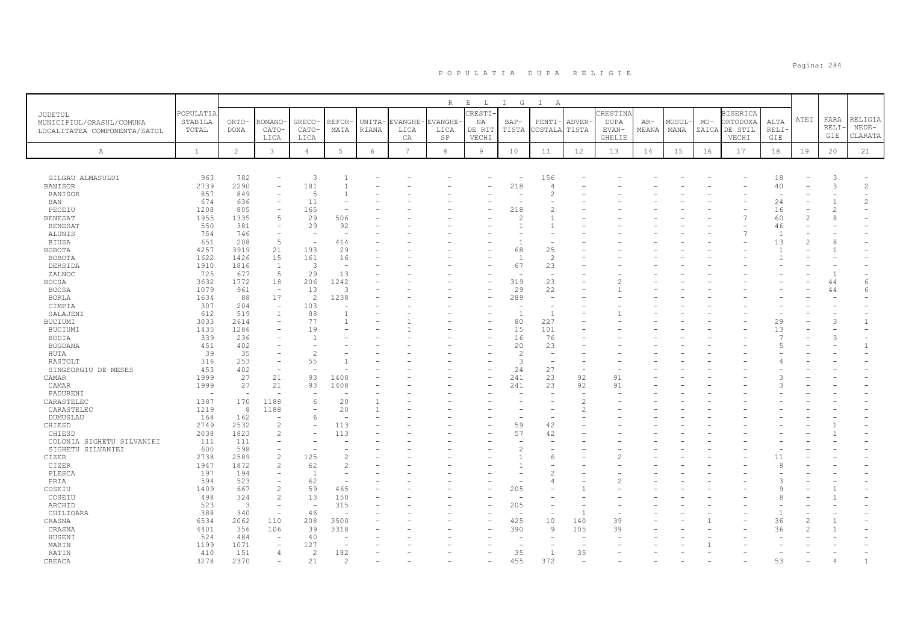|                                                                     |                               |                         |                          |                          |                          |                 |            | $R_{\parallel}$                | $\mathbf E$<br>L                | G<br>$\mathbb{I}$        | $\mathbb{I}$<br>A        |                 |                                            |                |               |       |                                                       |                      |                           |                            |                               |
|---------------------------------------------------------------------|-------------------------------|-------------------------|--------------------------|--------------------------|--------------------------|-----------------|------------|--------------------------------|---------------------------------|--------------------------|--------------------------|-----------------|--------------------------------------------|----------------|---------------|-------|-------------------------------------------------------|----------------------|---------------------------|----------------------------|-------------------------------|
| JUDETUL<br>MUNICIPIUL/ORASUL/COMUNA<br>LOCALITATEA COMPONENTA/SATUL | POPULATIA<br>STABILA<br>TOTAL | ORTO-<br><b>DOXA</b>    | ROMANO<br>CATO-<br>LICA  | GRECO-<br>CATO-<br>LICA  | REFOR-<br>MATA           | UNITA-<br>RIANA | LICA<br>CA | EVANGHE-EVANGHE-<br>LICA<br>SP | CRESTI<br>ΝA<br>DE RIT<br>VECHI | $BAP-$<br>TISTA          | PENTI-<br>COSTALA        | ADVEN-<br>TISTA | CRESTINA<br><b>DUPA</b><br>EVAN-<br>GHELIE | $AR-$<br>MEANA | MUSUL<br>MANA | $MO-$ | <b>BISERICA</b><br>ORTODOXA<br>ZAICA DE STIL<br>VECHI | ALTA<br>RELI-<br>GIE | ATEI                      | FARA<br><b>RELI</b><br>GIE | RELIGIA<br>$NEDE-$<br>CLARATA |
| $\mathbb{A}$                                                        | $\mathbf{1}$                  | $\overline{2}$          | 3                        | $\overline{4}$           | 5                        | $6\overline{6}$ | 7          | 8                              | $\overline{9}$                  | 10                       | 11                       | 12              | 13                                         | 14             | 15            | 16    | 17                                                    | 18                   | 19                        | 20                         | 21                            |
|                                                                     |                               |                         |                          |                          |                          |                 |            |                                |                                 |                          |                          |                 |                                            |                |               |       |                                                       |                      |                           |                            |                               |
|                                                                     |                               |                         |                          |                          |                          |                 |            |                                |                                 |                          |                          |                 |                                            |                |               |       |                                                       |                      |                           |                            |                               |
| GILGAU ALMASULUI                                                    | 963                           | 782                     |                          | 3                        |                          |                 |            |                                |                                 | $\overline{\phantom{0}}$ | 156                      |                 |                                            |                |               |       |                                                       | 18                   |                           | 3                          |                               |
| <b>BANISOR</b>                                                      | 2739                          | 2290                    | ÷                        | 181                      |                          |                 |            |                                |                                 | 218                      | 4                        |                 |                                            |                |               |       |                                                       | 40                   |                           | 3                          | $\overline{c}$                |
| BANISOR                                                             | 857<br>674                    | 849<br>636              |                          | 5<br>11                  |                          |                 |            |                                |                                 |                          | 2                        |                 |                                            |                |               |       |                                                       | 24                   |                           |                            | $\overline{c}$                |
| BAN<br>PECEIU                                                       | 1208                          | 805                     | $\overline{\phantom{0}}$ | 165                      |                          |                 |            |                                |                                 | 218                      | 2                        |                 |                                            |                |               |       |                                                       | 16                   |                           | $\overline{c}$             | $\equiv$                      |
| <b>BENESAT</b>                                                      | 1955                          | 1335                    | 5                        | 29                       | 506                      |                 |            |                                |                                 |                          |                          |                 |                                            |                |               |       |                                                       | 60                   | $\overline{c}$            | 8                          |                               |
| <b>BENESAT</b>                                                      | 550                           | 381                     | $\equiv$                 | 29                       | 92                       |                 |            |                                |                                 |                          |                          |                 |                                            |                |               |       |                                                       | 46                   |                           |                            |                               |
| ALUNIS                                                              | 754                           | 746                     | $\sim$                   |                          |                          |                 |            |                                |                                 |                          |                          |                 |                                            |                |               |       |                                                       | $\overline{1}$       |                           |                            |                               |
| <b>BIUSA</b>                                                        | 651                           | 208                     | 5                        | $\overline{\phantom{a}}$ | 414                      |                 |            |                                |                                 | $\overline{1}$           |                          |                 |                                            |                |               |       |                                                       | 13                   | $\overline{\mathfrak{Z}}$ | 8                          |                               |
| BOBOTA                                                              | 4257                          | 3919                    | 21                       | 193                      | 29                       |                 |            |                                |                                 | 68                       | 25                       |                 |                                            |                |               |       |                                                       | -1                   |                           |                            |                               |
| BOBOTA                                                              | 1622                          | 1426                    | 15                       | 161                      | 16                       |                 |            |                                |                                 | $\overline{1}$           | $\overline{c}$           |                 |                                            |                |               |       |                                                       | -1                   |                           |                            |                               |
| DERSIDA                                                             | 1910                          | 1816                    | 1                        | 3                        | $\overline{\phantom{a}}$ |                 |            |                                |                                 | 67                       | 23                       |                 |                                            |                |               |       |                                                       |                      |                           |                            |                               |
| ZALNOC                                                              | 725                           | 677                     | 5                        | 29                       | 13                       |                 |            |                                |                                 |                          | $\overline{\phantom{a}}$ |                 |                                            |                |               |       |                                                       |                      |                           |                            |                               |
| <b>BOCSA</b>                                                        | 3632                          | 1772                    | 18                       | 206                      | 1242                     |                 |            |                                |                                 | 319                      | 23                       |                 |                                            |                |               |       |                                                       |                      |                           | 44                         | 6                             |
| <b>BOCSA</b>                                                        | 1079                          | 961                     | $\sim$                   | 13                       | 3                        |                 |            |                                |                                 | 29                       | 22                       |                 |                                            |                |               |       |                                                       |                      |                           | 44                         | 6                             |
| <b>BORLA</b>                                                        | 1634                          | 88                      | 17                       | 2                        | 1238                     |                 |            |                                |                                 | 289                      |                          |                 |                                            |                |               |       |                                                       |                      |                           |                            |                               |
| CIMPIA                                                              | 307                           | 204                     | $\overline{\phantom{a}}$ | 103                      |                          |                 |            |                                |                                 |                          |                          |                 |                                            |                |               |       |                                                       |                      |                           |                            |                               |
| SALAJENI                                                            | 612                           | 519                     | $\mathbf{1}$             | 88                       |                          |                 |            |                                |                                 | $\overline{1}$           | $\mathbf{1}$             |                 |                                            |                |               |       |                                                       |                      |                           |                            |                               |
| BUCIUMI                                                             | 3033                          | 2614                    | $\overline{\phantom{a}}$ | 77                       |                          |                 |            |                                |                                 | 80                       | 227                      |                 |                                            |                |               |       |                                                       | 29                   |                           | 3                          | $\overline{1}$                |
| BUCIUMI                                                             | 1435                          | 1286                    |                          | 19                       |                          |                 |            |                                |                                 | 15                       | 101                      |                 |                                            |                |               |       |                                                       | 13                   |                           |                            |                               |
| <b>BODIA</b>                                                        | 339                           | 236                     |                          | $\mathbf{1}$             |                          |                 |            |                                |                                 | 16                       | 76                       |                 |                                            |                |               |       |                                                       | 7                    |                           | $\mathcal{R}$              |                               |
| <b>BOGDANA</b>                                                      | 451                           | 402                     |                          |                          |                          |                 |            |                                |                                 | 20                       | 23                       |                 |                                            |                |               |       |                                                       | -5                   |                           |                            | $\mathbf{1}$                  |
| HUTA                                                                | 39                            | 35                      |                          | $\overline{c}$           |                          |                 |            |                                |                                 | $\overline{c}$           | $\overline{\phantom{a}}$ |                 |                                            |                |               |       |                                                       |                      |                           |                            |                               |
| RASTOLT                                                             | 316                           | 253                     |                          | 55                       |                          |                 |            |                                |                                 | 3                        |                          |                 |                                            |                |               |       |                                                       |                      |                           |                            |                               |
| SINGEORGIU DE MESES                                                 | 453                           | 402                     |                          |                          |                          |                 |            |                                |                                 | 24                       | 27                       | ÷,              |                                            |                |               |       |                                                       |                      |                           |                            |                               |
| CAMAR                                                               | 1999                          | 27                      | 21                       | 93                       | 1408                     |                 |            |                                |                                 | 241                      | 23                       | 92              | 91                                         |                |               |       |                                                       |                      |                           |                            |                               |
| CAMAR                                                               | 1999                          | 27                      | 21                       | 93                       | 1408                     |                 |            |                                |                                 | 241                      | 23                       | 92              | 91                                         |                |               |       |                                                       | $\mathcal{A}$        |                           |                            |                               |
| PADURENI                                                            |                               |                         |                          |                          |                          |                 |            |                                |                                 |                          |                          |                 |                                            |                |               |       |                                                       |                      |                           |                            |                               |
| CARASTELEC                                                          | 1387                          | 170                     | 1188                     | 6                        | 20                       |                 |            |                                |                                 |                          |                          | 2               |                                            |                |               |       |                                                       |                      |                           |                            |                               |
| CARASTELEC                                                          | 1219                          | 8                       | 1188                     |                          | 20                       |                 |            |                                |                                 |                          |                          | 2               |                                            |                |               |       |                                                       |                      |                           |                            |                               |
| DUMUSLAU                                                            | 168                           | 162                     | $\overline{\phantom{m}}$ | 6                        | $\overline{\phantom{a}}$ |                 |            |                                |                                 |                          |                          |                 |                                            |                |               |       |                                                       |                      |                           |                            |                               |
| CHIESD                                                              | 2749                          | 2532                    | $\overline{c}$           | $\overline{\phantom{a}}$ | 113                      |                 |            |                                |                                 | 59<br>57                 | 42                       |                 |                                            |                |               |       |                                                       |                      |                           |                            |                               |
| CHIESD                                                              | 2038                          | 1823                    | $\overline{c}$           |                          | 113                      |                 |            |                                |                                 |                          | 42                       |                 |                                            |                |               |       |                                                       |                      |                           |                            |                               |
| COLONIA SIGHETU SILVANIEI                                           | 111<br>600                    | 111<br>598              | $\overline{\phantom{a}}$ |                          |                          |                 |            |                                |                                 | 2                        |                          |                 |                                            |                |               |       |                                                       |                      |                           |                            |                               |
| SIGHETU SILVANIEI                                                   |                               | 2589                    | $\overline{c}$           | 125                      |                          |                 |            |                                |                                 |                          |                          |                 |                                            |                |               |       |                                                       |                      |                           |                            |                               |
| CIZER<br>CIZER                                                      | 2738<br>1947                  | 1872                    | $\overline{2}$           | 62                       | $\mathcal{L}$            |                 |            |                                |                                 |                          | 6                        |                 |                                            |                |               |       |                                                       | 11<br>R              |                           |                            |                               |
| PLESCA                                                              | 197                           | 194                     | $\equiv$                 | $\overline{1}$           |                          |                 |            |                                |                                 |                          | 2                        |                 |                                            |                |               |       |                                                       |                      |                           |                            |                               |
| PRIA                                                                | 594                           | 523                     | $\overline{\phantom{m}}$ | 62                       |                          |                 |            |                                |                                 |                          |                          |                 |                                            |                |               |       |                                                       | 3                    |                           |                            |                               |
| COSEIU                                                              | 1409                          | 667                     | $\overline{c}$           | 59                       | 465                      |                 |            |                                |                                 | 205                      |                          |                 |                                            |                |               |       |                                                       | 9                    |                           |                            |                               |
| COSEIU                                                              | 498                           | 324                     | $\mathcal{D}$            | 13                       | 150                      |                 |            |                                |                                 |                          |                          |                 |                                            |                |               |       |                                                       | $\mathcal{R}$        |                           |                            |                               |
| ARCHID                                                              | 523                           | $\overline{\mathbf{3}}$ | $\sim$                   | $\sim$                   | 315                      |                 |            |                                |                                 | 205                      | ۰                        |                 |                                            |                |               |       |                                                       |                      |                           |                            |                               |
| CHILIOARA                                                           | 388                           | 340                     | $\overline{\phantom{a}}$ | 46                       |                          |                 |            |                                |                                 |                          |                          | $\overline{1}$  |                                            |                |               |       |                                                       | $\overline{1}$       |                           |                            |                               |
| CRASNA                                                              | 6534                          | 2062                    | 110                      | 208                      | 3500                     |                 |            |                                |                                 | 425                      | 10                       | 140             | 39                                         |                |               |       |                                                       | 36                   |                           |                            |                               |
| CRASNA                                                              | 4401                          | 356                     | 106                      | 39                       | 3318                     |                 |            |                                |                                 | 390                      | 9                        | 105             | 39                                         |                |               |       |                                                       | 36                   |                           |                            |                               |
| HUSENI                                                              | 524                           | 484                     | $\overline{\phantom{a}}$ | 40                       |                          |                 |            |                                |                                 |                          |                          |                 |                                            |                |               |       |                                                       |                      |                           |                            |                               |
| MARIN                                                               | 1199                          | 1071                    |                          | 127                      |                          |                 |            |                                |                                 |                          |                          |                 |                                            |                |               |       |                                                       |                      |                           |                            |                               |
| RATIN                                                               | 410                           | 151                     | 4                        | 2                        | 182                      |                 |            |                                |                                 | 35                       | 1                        | 35              |                                            |                |               |       |                                                       |                      |                           |                            |                               |
| CREACA                                                              | 3278                          | 2370                    |                          | 21                       | $\mathcal{D}$            |                 |            |                                |                                 | 455                      | 372                      |                 |                                            |                |               |       |                                                       | 53                   |                           |                            | $\mathbf{1}$                  |
|                                                                     |                               |                         |                          |                          |                          |                 |            |                                |                                 |                          |                          |                 |                                            |                |               |       |                                                       |                      |                           |                            |                               |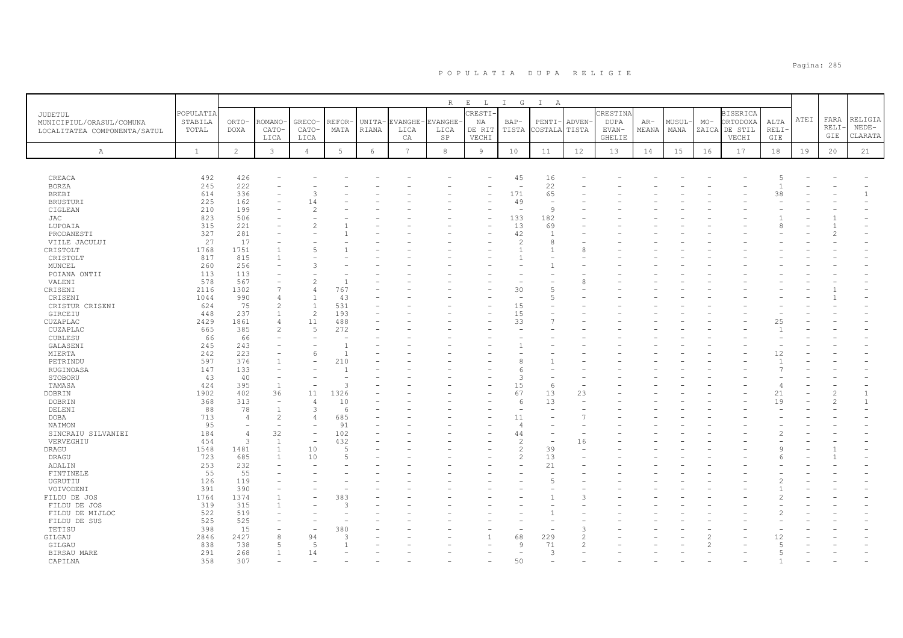|                                                                     |                               |                      |                          |                          |               |                 |                        |                            | $\mathbf{E}=-\mathbf{L}$ . |                          | $\mathbb{I}$             |                       |                                  |                |                |       |                                              |                |      |                      |                               |
|---------------------------------------------------------------------|-------------------------------|----------------------|--------------------------|--------------------------|---------------|-----------------|------------------------|----------------------------|----------------------------|--------------------------|--------------------------|-----------------------|----------------------------------|----------------|----------------|-------|----------------------------------------------|----------------|------|----------------------|-------------------------------|
| JUDETUL<br>MUNICIPIUL/ORASUL/COMUNA<br>LOCALITATEA COMPONENTA/SATUL | POPULATIA<br>STABILA<br>TOTAL | ORTO-<br><b>DOXA</b> | ROMANO-<br>CATO-         | GRECO-<br>CATO-          | REFOR<br>MATA | UNITA-<br>RIANA | <b>EVANGHE</b><br>LICA | R<br><b>VANGHE</b><br>LICA | CRESTI<br>NA<br>DE RIT     | I G<br>$BAP-$<br>TISTA   | A<br>PENTI-<br>COSTALA   | <b>ADVEN</b><br>TISTA | CRESTINA<br><b>DUPA</b><br>EVAN- | $AR-$<br>MEANA | MUSUL-<br>MANA | $MO-$ | <b>BISERICA</b><br>ORTODOXA<br>ZAICA DE STIL | ALTA<br>RELI   | ATEI | FARA<br>RELI·<br>GIE | RELIGIA<br>$NEDE-$<br>CLARATA |
| $\mathbb{A}$                                                        | $\mathbf{1}$                  | $\overline{2}$       | LICA<br>$\mathbf{3}$     | LICA<br>$\overline{4}$   | 5             | $\epsilon$      | CA<br>$\overline{7}$   | <b>SP</b><br>8             | VECHI<br>$\overline{9}$    | 10                       | 11                       | 12                    | <b>GHELIE</b><br>13              | 14             | 15             | 16    | VECHI<br>17                                  | GIE<br>18      | 19   | 20                   | 21                            |
|                                                                     |                               |                      |                          |                          |               |                 |                        |                            |                            |                          |                          |                       |                                  |                |                |       |                                              |                |      |                      |                               |
| CREACA                                                              | 492                           | 426                  |                          |                          |               |                 |                        |                            |                            | 45                       | 16                       |                       |                                  |                |                |       |                                              |                |      |                      |                               |
| <b>BORZA</b>                                                        | 245                           | 222                  |                          |                          |               |                 |                        |                            |                            | $\overline{\phantom{a}}$ | 22                       |                       |                                  |                |                |       |                                              | $\overline{1}$ |      |                      |                               |
| <b>BREBI</b>                                                        | 614                           | 336                  |                          | 3                        |               |                 |                        |                            |                            | 171                      | 65                       |                       |                                  |                |                |       |                                              | 38             |      |                      | $\mathbf{1}$                  |
| <b>BRUSTURI</b>                                                     | 225                           | 162                  |                          | 14                       |               |                 |                        |                            |                            | 49                       | $\sim$                   |                       |                                  |                |                |       |                                              |                |      |                      |                               |
| CIGLEAN                                                             | 210                           | 199                  |                          |                          |               |                 |                        |                            |                            | ۰                        | $\overline{9}$           |                       |                                  |                |                |       |                                              |                |      |                      |                               |
| <b>JAC</b>                                                          | 823                           | 506                  |                          |                          |               |                 |                        |                            | $\equiv$                   | 133                      | 182                      |                       |                                  |                |                |       |                                              |                |      |                      |                               |
| LUPOAIA                                                             | 315                           | 221                  |                          |                          |               |                 |                        |                            |                            | 13                       | 69                       |                       |                                  |                |                |       |                                              |                |      |                      |                               |
| PRODANESTI                                                          | 327                           | 281                  |                          |                          |               |                 |                        |                            |                            | 42                       | $\overline{1}$           |                       |                                  |                |                |       |                                              |                |      |                      |                               |
| VIILE JACULUI                                                       | 27                            | 17                   |                          |                          |               |                 |                        |                            |                            | $\mathfrak{D}$           | 8                        |                       |                                  |                |                |       |                                              |                |      |                      |                               |
| CRISTOLT                                                            | 1768                          | 1751                 |                          |                          |               |                 |                        |                            |                            |                          |                          | Я                     |                                  |                |                |       |                                              |                |      |                      |                               |
|                                                                     |                               |                      |                          |                          |               |                 |                        |                            |                            |                          |                          |                       |                                  |                |                |       |                                              |                |      |                      |                               |
| CRISTOLT                                                            | 817                           | 815                  |                          |                          |               |                 |                        |                            |                            |                          |                          |                       |                                  |                |                |       |                                              |                |      |                      |                               |
| MUNCEL                                                              | 260                           | 256                  |                          |                          |               |                 |                        |                            |                            |                          |                          |                       |                                  |                |                |       |                                              |                |      |                      |                               |
| POIANA ONTII                                                        | 113                           | 113                  |                          |                          |               |                 |                        |                            |                            |                          |                          |                       |                                  |                |                |       |                                              |                |      |                      |                               |
| VALENI                                                              | 578                           | 567                  |                          | $\mathcal{L}$            |               |                 |                        |                            |                            |                          |                          | 8                     |                                  |                |                |       |                                              |                |      |                      |                               |
| CRISENI                                                             | 2116                          | 1302                 |                          | $\overline{4}$           | 767           |                 |                        |                            |                            | 30                       | 5                        |                       |                                  |                |                |       |                                              |                |      |                      |                               |
| CRISENI                                                             | 1044                          | 990                  |                          | $\overline{1}$           | 43            |                 |                        |                            |                            |                          | 5                        |                       |                                  |                |                |       |                                              |                |      |                      |                               |
| CRISTUR CRISENI                                                     | 624                           | 75                   | 2                        | $\overline{1}$           | 531           |                 |                        |                            |                            | 15                       |                          |                       |                                  |                |                |       |                                              |                |      |                      |                               |
| GIRCEIU                                                             | 448                           | 237                  |                          | 2                        | 193           |                 |                        |                            |                            | 15                       |                          |                       |                                  |                |                |       |                                              |                |      |                      |                               |
| CUZAPLAC                                                            | 2429                          | 1861                 | 4                        | 11                       | 488           |                 |                        |                            |                            | 33                       |                          |                       |                                  |                |                |       |                                              | 25             |      |                      |                               |
| CUZAPLAC                                                            | 665                           | 385                  | 2                        | 5                        | 272           |                 |                        |                            |                            |                          |                          |                       |                                  |                |                |       |                                              | $\mathbf{1}$   |      |                      |                               |
| CUBLESU                                                             | 66                            | 66                   |                          |                          |               |                 |                        |                            |                            |                          |                          |                       |                                  |                |                |       |                                              |                |      |                      |                               |
| GALASENI                                                            | 245                           | 243                  |                          |                          |               |                 |                        |                            |                            |                          |                          |                       |                                  |                |                |       |                                              |                |      |                      |                               |
| MIERTA                                                              | 242                           | 223                  |                          | 6                        |               |                 |                        |                            |                            |                          |                          |                       |                                  |                |                |       |                                              | 12             |      |                      |                               |
|                                                                     |                               | 376                  |                          |                          |               |                 |                        |                            |                            |                          |                          |                       |                                  |                |                |       |                                              | $\mathbf{1}$   |      |                      |                               |
| PETRINDU                                                            | 597                           |                      |                          |                          | 210           |                 |                        |                            |                            |                          |                          |                       |                                  |                |                |       |                                              |                |      |                      |                               |
| RUGINOASA                                                           | 147                           | 133                  |                          |                          |               |                 |                        |                            |                            |                          |                          |                       |                                  |                |                |       |                                              |                |      |                      |                               |
| STOBORU                                                             | 43                            | 40                   |                          |                          |               |                 |                        |                            |                            | 3                        |                          |                       |                                  |                |                |       |                                              |                |      |                      |                               |
| TAMASA                                                              | 424                           | 395                  | 1                        |                          | 3             |                 |                        |                            |                            | 15                       | 6                        |                       |                                  |                |                |       |                                              | $\overline{4}$ |      |                      |                               |
| DOBRIN                                                              | 1902                          | 402                  | 36                       | 11                       | 1326          |                 |                        |                            |                            | 67                       | 13                       | 23                    |                                  |                |                |       |                                              | 21             |      |                      | $\mathbf{1}$                  |
| DOBRIN                                                              | 368                           | 313                  | $\overline{a}$           | $\overline{4}$           | 10            |                 |                        |                            |                            | 6                        | 13                       |                       |                                  |                |                |       |                                              | 19             |      |                      | $\mathbf{1}$                  |
| DELENI                                                              | 88                            | 78                   | $\mathbf{1}$             | $\overline{3}$           | 6             |                 |                        |                            |                            |                          |                          |                       |                                  |                |                |       |                                              |                |      |                      |                               |
| <b>DOBA</b>                                                         | 713                           | $\overline{4}$       | $\overline{\mathcal{L}}$ | $\overline{4}$           | 685           |                 |                        |                            |                            | 11                       |                          |                       |                                  |                |                |       |                                              |                |      |                      |                               |
| NAIMON                                                              | 95                            |                      |                          |                          | 91            |                 |                        |                            |                            | $\Delta$                 |                          |                       |                                  |                |                |       |                                              |                |      |                      |                               |
| SINCRAIU SILVANIEI                                                  | 184                           | 4                    | 32                       | $\overline{\phantom{a}}$ | 102           |                 |                        |                            |                            | 44                       | ۰                        |                       |                                  |                |                |       |                                              |                |      |                      |                               |
| VERVEGHIU                                                           | 454                           | 3                    | $\overline{1}$           |                          | 432           |                 |                        |                            |                            | 2                        |                          | 16                    |                                  |                |                |       |                                              |                |      |                      |                               |
| DRAGU                                                               | 1548                          | 1481                 | $\overline{1}$           | 10                       | - 5           |                 |                        |                            |                            | $\overline{\mathcal{L}}$ | 39                       |                       |                                  |                |                |       |                                              | Q              |      |                      |                               |
| DRAGU                                                               | 723                           | 685                  | $\mathbf{1}$             | 10                       |               |                 |                        |                            |                            | $\overline{c}$           | 13                       |                       |                                  |                |                |       |                                              |                |      |                      |                               |
| ADALIN                                                              | 253                           | 232                  |                          |                          |               |                 |                        |                            |                            |                          | 21                       |                       |                                  |                |                |       |                                              |                |      |                      |                               |
| FINTINELE                                                           | 55                            | 55                   |                          |                          |               |                 |                        |                            |                            |                          |                          |                       |                                  |                |                |       |                                              |                |      |                      |                               |
|                                                                     |                               |                      |                          |                          |               |                 |                        |                            |                            |                          | $\overline{2}$           |                       |                                  |                |                |       |                                              |                |      |                      |                               |
| UGRUTIU                                                             | 126                           | 119                  |                          |                          |               |                 |                        |                            |                            |                          |                          |                       |                                  |                |                |       |                                              |                |      |                      |                               |
| VOIVODENI                                                           | 391                           | 390                  |                          |                          |               |                 |                        |                            |                            |                          |                          |                       |                                  |                |                |       |                                              |                |      |                      |                               |
| FILDU DE JOS                                                        | 1764                          | 1374                 |                          |                          | 383           |                 |                        |                            |                            |                          |                          | р                     |                                  |                |                |       |                                              |                |      |                      |                               |
| FILDU DE JOS                                                        | 319                           | 315                  |                          |                          | 3             |                 |                        |                            |                            |                          |                          |                       |                                  |                |                |       |                                              |                |      |                      |                               |
| FILDU DE MIJLOC                                                     | 522                           | 519                  |                          |                          |               |                 |                        |                            |                            |                          |                          |                       |                                  |                |                |       |                                              |                |      |                      |                               |
| FILDU DE SUS                                                        | 525                           | 525                  |                          |                          |               |                 |                        |                            |                            |                          |                          |                       |                                  |                |                |       |                                              |                |      |                      |                               |
| TETISU                                                              | 398                           | 15                   |                          |                          | 380           |                 |                        |                            |                            |                          | $\overline{\phantom{a}}$ | 3                     |                                  |                |                |       |                                              |                |      |                      |                               |
| GILGAU                                                              | 2846                          | 2427                 | 8                        | 94                       | 3             |                 |                        |                            |                            | 68                       | 229                      | 2                     |                                  |                |                |       |                                              | 12             |      |                      |                               |
| GILGAU                                                              | 838                           | 738                  | 5                        | $\sqrt{2}$               |               |                 |                        |                            |                            | $\mathbf{Q}$             | 71                       |                       |                                  |                |                |       |                                              | $\overline{5}$ |      |                      |                               |
| BIRSAU MARE                                                         | 291                           | 268                  | 1                        | 14                       |               |                 |                        |                            |                            |                          | 3                        |                       |                                  |                |                |       |                                              | $\overline{5}$ |      |                      |                               |
| <b>CAPTINA</b>                                                      | 358                           | 307                  |                          |                          |               |                 |                        |                            |                            | 50                       |                          |                       |                                  |                |                |       |                                              |                |      |                      |                               |
|                                                                     |                               |                      |                          |                          |               |                 |                        |                            |                            |                          |                          |                       |                                  |                |                |       |                                              |                |      |                      |                               |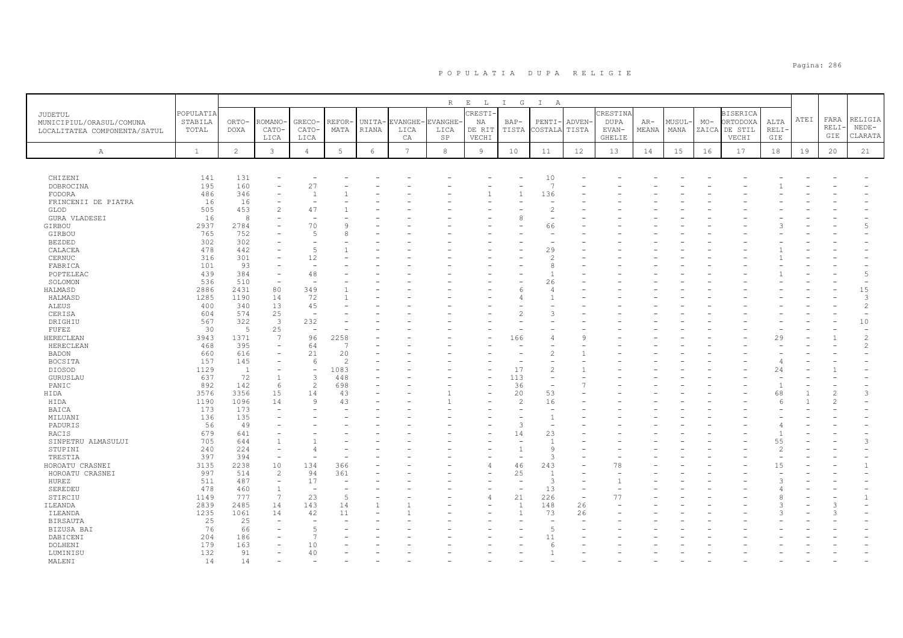|                                                                     |                               |                      |                                |                          |               |                 |                                      | R          | $\mathbf{E}$<br>$\mathbb L$     | $\mathbb{I}$<br>G | $\mathbb{I}$<br>A        |                          |                                     |                |               |       |                                                       |                      |      |                            |                               |
|---------------------------------------------------------------------|-------------------------------|----------------------|--------------------------------|--------------------------|---------------|-----------------|--------------------------------------|------------|---------------------------------|-------------------|--------------------------|--------------------------|-------------------------------------|----------------|---------------|-------|-------------------------------------------------------|----------------------|------|----------------------------|-------------------------------|
| JUDETUL<br>MUNICIPIUL/ORASUL/COMUNA<br>LOCALITATEA COMPONENTA/SATUL | POPULATIA<br>STABILA<br>TOTAL | ORTO-<br><b>DOXA</b> | <b>COMANO</b><br>CATO-<br>LICA | GRECO-<br>CATO-<br>LICA  | REFOR<br>MATA | UNITA-<br>RIANA | <b>EVANGHE-EVANGHE</b><br>LICA<br>СA | LICA<br>SP | CRESTI<br>ΝA<br>DE RIT<br>VECHI | $BAP-$<br>TISTA   | PENTI<br>COSTALA         | ADVEN-<br>TISTA          | CRESTINA<br>DUPA<br>EVAN-<br>GHELIE | $AR-$<br>MEANA | MUSUL<br>MANA | $MO-$ | <b>BISERICA</b><br>ORTODOXA<br>ZAICA DE STIL<br>VECHI | ALTA<br>RELI·<br>GIE | ATEI | FARA<br><b>RELI</b><br>GIE | RELIGIA<br>$NEDE-$<br>CLARATA |
| A                                                                   | $\mathbf{1}$                  | $\overline{c}$       | $\mathbf{3}$                   | $\overline{4}$           | 5             | 6               | 7                                    | 8          | $\overline{9}$                  | 10                | 11                       | 12                       | 13                                  | 14             | 15            | 16    | 17                                                    | 18                   | 19   | 20                         | 21                            |
|                                                                     |                               |                      |                                |                          |               |                 |                                      |            |                                 |                   |                          |                          |                                     |                |               |       |                                                       |                      |      |                            |                               |
| CHIZENI                                                             | 141                           | 131                  |                                |                          |               |                 |                                      |            |                                 |                   | 10                       |                          |                                     |                |               |       |                                                       |                      |      |                            |                               |
| DOBROCINA                                                           | 195                           | 160                  |                                | 27                       |               |                 |                                      |            |                                 |                   | 7                        |                          |                                     |                |               |       |                                                       |                      |      |                            |                               |
| FODORA                                                              | 486                           | 346                  |                                | $\mathbf{1}$             |               |                 |                                      |            |                                 | $\overline{1}$    | 136                      |                          |                                     |                |               |       |                                                       |                      |      |                            |                               |
| FRINCENII DE PIATRA                                                 | 16                            | 16                   |                                |                          |               |                 |                                      |            |                                 |                   | L.                       |                          |                                     |                |               |       |                                                       |                      |      |                            |                               |
| GLOD                                                                | 505                           | 453                  | $\overline{c}$                 | 47                       |               |                 |                                      |            |                                 |                   | $\overline{c}$           |                          |                                     |                |               |       |                                                       |                      |      |                            |                               |
| <b>GURA VLADESEI</b>                                                | 16                            | 8                    |                                |                          |               |                 |                                      |            |                                 | 8                 | ۰                        |                          |                                     |                |               |       |                                                       |                      |      |                            |                               |
| GIRBOU                                                              | 2937                          | 2784                 |                                | 70                       |               |                 |                                      |            |                                 |                   | 66                       |                          |                                     |                |               |       |                                                       |                      |      |                            | $\overline{5}$                |
| GIRBOU                                                              | 765                           | 752                  |                                | 5                        |               |                 |                                      |            |                                 |                   | $\overline{\phantom{a}}$ |                          |                                     |                |               |       |                                                       |                      |      |                            |                               |
| <b>BEZDED</b>                                                       | 302                           | 302                  |                                |                          |               |                 |                                      |            |                                 |                   |                          |                          |                                     |                |               |       |                                                       |                      |      |                            |                               |
| CALACEA                                                             | 478                           | 442                  |                                | $\overline{5}$           |               |                 |                                      |            |                                 |                   | 29                       |                          |                                     |                |               |       |                                                       |                      |      |                            |                               |
| CERNUC                                                              | 316                           | 301                  |                                | 12                       |               |                 |                                      |            |                                 |                   | $\overline{2}$           |                          |                                     |                |               |       |                                                       |                      |      |                            |                               |
| FABRICA                                                             | 101                           | 93                   |                                |                          |               |                 |                                      |            |                                 |                   | 8                        |                          |                                     |                |               |       |                                                       |                      |      |                            |                               |
| POPTELEAC                                                           | 439                           | 384                  |                                | 48                       |               |                 |                                      |            |                                 |                   |                          |                          |                                     |                |               |       |                                                       |                      |      |                            | 5                             |
| SOLOMON                                                             | 536                           | 510                  | $\overline{\phantom{0}}$       |                          |               |                 |                                      |            |                                 |                   | 26                       |                          |                                     |                |               |       |                                                       |                      |      |                            |                               |
| HALMASD                                                             | 2886                          | 2431                 | 80                             | 349                      |               |                 |                                      |            |                                 | 6                 | 4                        |                          |                                     |                |               |       |                                                       |                      |      |                            | 15                            |
|                                                                     |                               |                      |                                | 72                       |               |                 |                                      |            |                                 |                   |                          |                          |                                     |                |               |       |                                                       |                      |      |                            | 3                             |
| HALMASD                                                             | 1285                          | 1190                 | 14                             |                          |               |                 |                                      |            |                                 |                   |                          |                          |                                     |                |               |       |                                                       |                      |      |                            |                               |
| ALEUS                                                               | 400                           | 340                  | 13                             | 45                       |               |                 |                                      |            |                                 |                   |                          |                          |                                     |                |               |       |                                                       |                      |      |                            | $\overline{c}$                |
| CERISA                                                              | 604                           | 574                  | 25                             | ÷,                       |               |                 |                                      |            |                                 |                   | ς                        |                          |                                     |                |               |       |                                                       |                      |      |                            | $\overline{\phantom{0}}$      |
| DRIGHIU                                                             | 567                           | 322                  | $\overline{\mathbf{3}}$        | 232                      |               |                 |                                      |            |                                 |                   |                          |                          |                                     |                |               |       |                                                       |                      |      |                            | $10$                          |
| FUFEZ                                                               | 30                            | - 5                  | 25                             | $\sim$                   |               |                 |                                      |            |                                 |                   |                          |                          |                                     |                |               |       |                                                       |                      |      |                            | $\equiv$                      |
| HERECLEAN                                                           | 3943                          | 1371                 | 7                              | 96                       | 2258          |                 |                                      |            |                                 | 166               | 4                        | C                        |                                     |                |               |       |                                                       | 29                   |      |                            | $\overline{c}$                |
| HERECLEAN                                                           | 468                           | 395                  | $\overline{\phantom{m}}$       | 64                       | D.            |                 |                                      |            |                                 |                   |                          |                          |                                     |                |               |       |                                                       |                      |      |                            | 2                             |
| <b>BADON</b>                                                        | 660                           | 616                  | $\overline{\phantom{0}}$       | 21                       | 20            |                 |                                      |            |                                 |                   | 2                        |                          |                                     |                |               |       |                                                       |                      |      |                            |                               |
| <b>BOCSITA</b>                                                      | 157                           | 145                  |                                | 6                        | $\mathcal{D}$ |                 |                                      |            |                                 |                   |                          |                          |                                     |                |               |       |                                                       |                      |      |                            |                               |
| DIOSOD                                                              | 1129                          | <sup>1</sup>         |                                | $\overline{\phantom{a}}$ | 1083          |                 |                                      |            |                                 | 17                | $\overline{c}$           |                          |                                     |                |               |       |                                                       | 24                   |      |                            |                               |
| GURUSLAU                                                            | 637                           | 72                   |                                | 3                        | 448           |                 |                                      |            |                                 | 113               | ۰                        |                          |                                     |                |               |       |                                                       |                      |      |                            |                               |
| PANIC                                                               | 892                           | 142                  | 6                              | 2                        | 698           |                 |                                      |            |                                 | 36                | $\equiv$                 |                          |                                     |                |               |       |                                                       | $\mathbf{1}$         |      |                            |                               |
| HIDA                                                                | 3576                          | 3356                 | 15                             | 14                       | 43            |                 |                                      |            |                                 | 20                | 53                       |                          |                                     |                |               |       |                                                       | 68                   |      |                            | 3                             |
| HIDA                                                                | 1190                          | 1096                 | 14                             | $\overline{9}$           | 43            |                 |                                      |            |                                 | $\overline{c}$    | 16                       |                          |                                     |                |               |       |                                                       | -6                   |      |                            |                               |
| BAICA                                                               | 173                           | 173                  |                                |                          |               |                 |                                      |            |                                 |                   |                          |                          |                                     |                |               |       |                                                       |                      |      |                            |                               |
| MILUANI                                                             | 136                           | 135                  |                                |                          |               |                 |                                      |            |                                 |                   |                          |                          |                                     |                |               |       |                                                       |                      |      |                            |                               |
| PADURIS                                                             | 56                            | 49                   |                                |                          |               |                 |                                      |            |                                 | 3                 |                          |                          |                                     |                |               |       |                                                       |                      |      |                            |                               |
| RACIS                                                               | 679                           | 641                  |                                |                          |               |                 |                                      |            |                                 | 14                | 23                       |                          |                                     |                |               |       |                                                       | $\mathbf{1}$         |      |                            |                               |
|                                                                     |                               |                      |                                |                          |               |                 |                                      |            |                                 |                   |                          |                          |                                     |                |               |       |                                                       |                      |      |                            |                               |
| SINPETRU ALMASULUI                                                  | 705                           | 644                  |                                |                          |               |                 |                                      |            |                                 |                   |                          |                          |                                     |                |               |       |                                                       | 55                   |      |                            | 3                             |
| STUPINI                                                             | 240                           | 224                  | $\equiv$                       |                          |               |                 |                                      |            |                                 | $\overline{1}$    | 9                        |                          |                                     |                |               |       |                                                       | 2                    |      |                            |                               |
| TRESTIA                                                             | 397                           | 394                  |                                |                          |               |                 |                                      |            |                                 |                   | $\mathcal{R}$            |                          |                                     |                |               |       |                                                       |                      |      |                            |                               |
| HOROATU CRASNEI                                                     | 3135                          | 2238                 | 10                             | 134                      | 366           |                 |                                      |            | 4                               | 46                | 243                      |                          | 78                                  |                |               |       |                                                       | 15                   |      |                            | $\mathbf{1}$                  |
| HOROATU CRASNEI                                                     | 997                           | 514                  | $\overline{c}$                 | 94                       | 361           |                 |                                      |            |                                 | 25                | $\mathbf{1}$             |                          |                                     |                |               |       |                                                       |                      |      |                            |                               |
| HUREZ                                                               | 511                           | 487                  | $\overline{\phantom{m}}$       | 17                       |               |                 |                                      |            |                                 |                   | 3                        |                          |                                     |                |               |       |                                                       |                      |      |                            |                               |
| SEREDEU                                                             | 478                           | 460                  | 1                              |                          |               |                 |                                      |            |                                 |                   | 13                       |                          |                                     |                |               |       |                                                       |                      |      |                            |                               |
| STIRCIU                                                             | 1149                          | 777                  | 7                              | 23                       | $\sqrt{2}$    |                 |                                      |            |                                 | 21                | 226                      | $\overline{\phantom{a}}$ | 77                                  |                |               |       |                                                       | R                    |      |                            | $\mathbf{1}$                  |
| ILEANDA                                                             | 2839                          | 2485                 | 14                             | 143                      | 14            |                 |                                      |            |                                 | $\mathbf{1}$      | 148                      | 26                       |                                     |                |               |       |                                                       |                      |      |                            |                               |
| ILEANDA                                                             | 1235                          | 1061                 | 14                             | 42                       | 11            |                 |                                      |            |                                 | $\overline{1}$    | 73                       | 26                       |                                     |                |               |       |                                                       |                      |      |                            |                               |
| <b>BIRSAUTA</b>                                                     | 25                            | 25                   |                                |                          |               |                 |                                      |            |                                 |                   |                          |                          |                                     |                |               |       |                                                       |                      |      |                            |                               |
| BIZUSA BAI                                                          | 76                            | 66                   |                                | 5                        |               |                 |                                      |            |                                 |                   | 5                        |                          |                                     |                |               |       |                                                       |                      |      |                            |                               |
| DABICENI                                                            | 204                           | 186                  |                                | $\overline{7}$           |               |                 |                                      |            |                                 |                   | 11                       |                          |                                     |                |               |       |                                                       |                      |      |                            |                               |
|                                                                     | 179                           | 163                  |                                | 10                       |               |                 |                                      |            |                                 |                   | 6                        |                          |                                     |                |               |       |                                                       |                      |      |                            |                               |
| DOLHENI                                                             |                               |                      |                                |                          |               |                 |                                      |            |                                 |                   |                          |                          |                                     |                |               |       |                                                       |                      |      |                            |                               |
| LUMINISU                                                            | 132                           | 91                   |                                | 40                       |               |                 |                                      |            |                                 |                   |                          |                          |                                     |                |               |       |                                                       |                      |      |                            |                               |
| MALENT                                                              | 14                            | 14                   |                                |                          |               |                 |                                      |            |                                 |                   |                          |                          |                                     |                |               |       |                                                       |                      |      |                            |                               |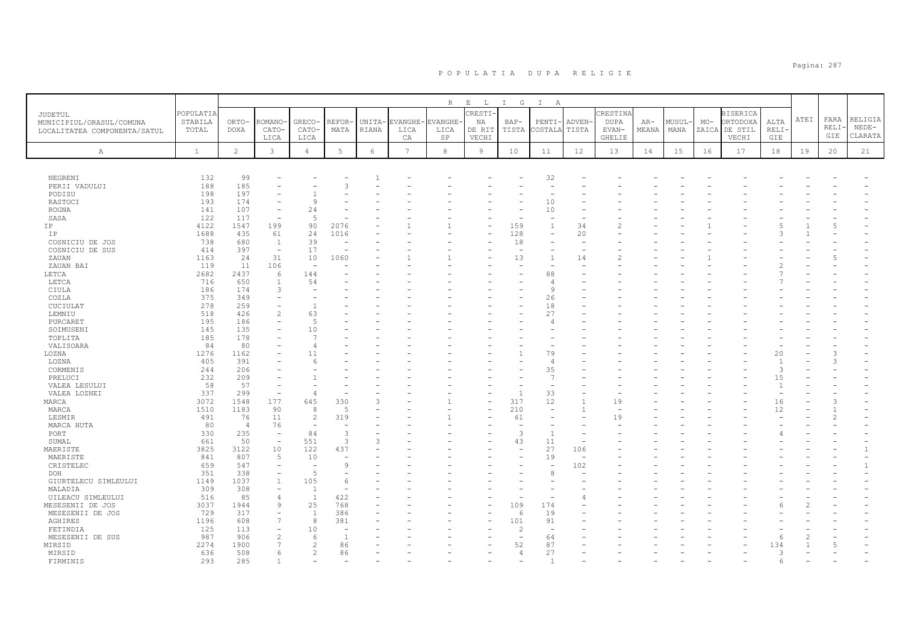|                                                                     |                               |                      |                                          |                          |                |                 |                                      | R          | $\mathbf{E}$<br>$\mathbb{L}$    | $\mathbb{I}$<br>$\mathbb{G}$ | $\mathbb{I}$<br>A        |                          |                                     |                |                |       |                                                       |                      |      |                      |                               |
|---------------------------------------------------------------------|-------------------------------|----------------------|------------------------------------------|--------------------------|----------------|-----------------|--------------------------------------|------------|---------------------------------|------------------------------|--------------------------|--------------------------|-------------------------------------|----------------|----------------|-------|-------------------------------------------------------|----------------------|------|----------------------|-------------------------------|
| JUDETUL<br>MUNICIPIUL/ORASUL/COMUNA<br>LOCALITATEA COMPONENTA/SATUL | POPULATIA<br>STABILA<br>TOTAL | ORTO-<br><b>DOXA</b> | <b>COMANO</b><br>CATO-<br>LICA           | GRECO-<br>CATO-<br>LICA  | REFOR<br>MATA  | UNITA-<br>RIANA | <b>EVANGHE-EVANGHE</b><br>LICA<br>СA | LICA<br>SP | CRESTI<br>ΝA<br>DE RIT<br>VECHI | $BAP-$<br>TISTA              | PENTI-<br>COSTALA        | ADVEN-<br>TISTA          | CRESTINA<br>DUPA<br>EVAN-<br>GHELIE | $AR-$<br>MEANA | MUSUL·<br>MANA | $MO-$ | <b>BISERICA</b><br>ORTODOXA<br>ZAICA DE STIL<br>VECHI | ALTA<br>RELI·<br>GIE | ATEI | FARA<br>RELI·<br>GIE | RELIGIA<br>$NEDE-$<br>CLARATA |
| $\mathbb{A}$                                                        | $\mathbf{1}$                  | $\overline{2}$       | $\mathbf{3}$                             | $\overline{4}$           | 5              | 6               | 7                                    | 8          | $\overline{9}$                  | 10                           | 11                       | 12                       | 13                                  | 14             | 15             | 16    | 17                                                    | 18                   | 19   | 20                   | 21                            |
|                                                                     |                               |                      |                                          |                          |                |                 |                                      |            |                                 |                              |                          |                          |                                     |                |                |       |                                                       |                      |      |                      |                               |
| NEGRENI                                                             | 132                           | 99                   |                                          |                          |                |                 |                                      |            |                                 |                              | 32                       |                          |                                     |                |                |       |                                                       |                      |      |                      |                               |
| PERII VADULUI                                                       | 188                           | 185                  |                                          |                          |                |                 |                                      |            |                                 |                              | $\overline{\phantom{a}}$ |                          |                                     |                |                |       |                                                       |                      |      |                      |                               |
| PODISU                                                              | 198                           | 197                  |                                          |                          |                |                 |                                      |            |                                 |                              |                          |                          |                                     |                |                |       |                                                       |                      |      |                      |                               |
| RASTOCI                                                             | 193                           | 174                  |                                          | Q                        |                |                 |                                      |            |                                 |                              | 10                       |                          |                                     |                |                |       |                                                       |                      |      |                      |                               |
| <b>ROGNA</b><br>SASA                                                | 141<br>122                    | 107<br>117           | $\overline{\phantom{m}}$                 | 24<br>5                  |                |                 |                                      |            |                                 |                              | 10<br>٠                  |                          |                                     |                |                |       |                                                       |                      |      |                      |                               |
| IP                                                                  | 4122                          | 1547                 | 199                                      | 90                       | 2076           |                 |                                      |            |                                 | 159                          | $\mathbf{1}$             | 34                       |                                     |                |                |       |                                                       |                      |      |                      |                               |
| IP                                                                  | 1688                          | 435                  | 61                                       | 24                       | 1016           |                 |                                      |            |                                 | 128                          | $\rightarrow$            | 20                       |                                     |                |                |       |                                                       |                      |      |                      |                               |
|                                                                     | 738                           | 680                  |                                          | 39                       |                |                 |                                      |            |                                 | 18                           |                          |                          |                                     |                |                |       |                                                       |                      |      |                      |                               |
| COSNICIU DE JOS<br>COSNICIU DE SUS                                  | 414                           | 397                  | $\mathbf{1}$<br>$\overline{\phantom{a}}$ | 17                       |                |                 |                                      |            |                                 | ÷                            |                          | $\overline{\phantom{a}}$ |                                     |                |                |       |                                                       |                      |      |                      |                               |
| ZAUAN                                                               | 1163                          | 24                   | 31                                       | 10                       | 1060           |                 |                                      |            |                                 | 13                           | $\mathbf{1}$             | 14                       |                                     |                |                |       |                                                       |                      |      |                      |                               |
| ZAUAN BAI                                                           | 119                           | 11                   | 106                                      | $\overline{\phantom{a}}$ |                |                 |                                      |            |                                 |                              |                          |                          |                                     |                |                |       |                                                       |                      |      |                      |                               |
| LETCA                                                               | 2682                          | 2437                 | 6                                        | 144                      |                |                 |                                      |            |                                 |                              | 88                       |                          |                                     |                |                |       |                                                       |                      |      |                      |                               |
| LETCA                                                               | 716                           | 650                  | $\overline{1}$                           | 54                       |                |                 |                                      |            |                                 |                              | $\Delta$                 |                          |                                     |                |                |       |                                                       |                      |      |                      |                               |
| CIULA                                                               | 186                           | 174                  | 3                                        |                          |                |                 |                                      |            |                                 |                              | 9                        |                          |                                     |                |                |       |                                                       |                      |      |                      |                               |
| COZLA                                                               | 375                           | 349                  |                                          |                          |                |                 |                                      |            |                                 |                              | 26                       |                          |                                     |                |                |       |                                                       |                      |      |                      |                               |
| CUCIULAT                                                            | 278                           | 259                  |                                          | $\overline{1}$           |                |                 |                                      |            |                                 |                              | 18                       |                          |                                     |                |                |       |                                                       |                      |      |                      |                               |
| LEMNIU                                                              | 518                           | 426                  | $\overline{c}$                           | 63                       |                |                 |                                      |            |                                 |                              | 27                       |                          |                                     |                |                |       |                                                       |                      |      |                      |                               |
| PURCARET                                                            | 195                           | 186                  |                                          | 5                        |                |                 |                                      |            |                                 |                              | 4                        |                          |                                     |                |                |       |                                                       |                      |      |                      |                               |
| SOIMUSENI                                                           | 145                           | 135                  |                                          | 10                       |                |                 |                                      |            |                                 |                              |                          |                          |                                     |                |                |       |                                                       |                      |      |                      |                               |
| TOPLITA                                                             | 185                           | 178                  |                                          | $\overline{7}$           |                |                 |                                      |            |                                 |                              |                          |                          |                                     |                |                |       |                                                       |                      |      |                      |                               |
| VALISOARA                                                           | 84                            | 80                   |                                          | $\overline{4}$           |                |                 |                                      |            |                                 |                              |                          |                          |                                     |                |                |       |                                                       |                      |      |                      |                               |
| LOZNA                                                               | 1276                          | 1162                 |                                          | 11                       |                |                 |                                      |            |                                 |                              | 79                       |                          |                                     |                |                |       |                                                       | 20                   |      |                      |                               |
| LOZNA                                                               | 405                           | 391                  |                                          |                          |                |                 |                                      |            |                                 |                              | 4                        |                          |                                     |                |                |       |                                                       | $\overline{1}$       |      |                      |                               |
| CORMENIS                                                            | 244                           | 206                  |                                          |                          |                |                 |                                      |            |                                 |                              | 35                       |                          |                                     |                |                |       |                                                       | 3                    |      |                      |                               |
| PRELUCI                                                             | 232                           | 209                  |                                          |                          |                |                 |                                      |            |                                 |                              | $\overline{7}$           |                          |                                     |                |                |       |                                                       | 15                   |      |                      |                               |
| VALEA LESULUI                                                       | 58                            | 57                   |                                          |                          |                |                 |                                      |            |                                 |                              |                          |                          |                                     |                |                |       |                                                       | $\overline{1}$       |      |                      |                               |
| VALEA LOZNEI                                                        | 337                           | 299                  | $\overline{\phantom{a}}$                 | $\overline{4}$           |                |                 |                                      |            |                                 |                              | 33                       |                          |                                     |                |                |       |                                                       |                      |      |                      |                               |
| MARCA                                                               | 3072                          | 1548                 | 177                                      | 645                      | 330            |                 |                                      |            |                                 | 317                          | 12                       |                          | 19                                  |                |                |       |                                                       | 16                   |      |                      |                               |
| MARCA                                                               | 1510                          | 1183                 | 90                                       | 8                        | $\overline{5}$ |                 |                                      |            |                                 | 210                          |                          |                          |                                     |                |                |       |                                                       | 12                   |      |                      |                               |
| LESMIR                                                              | 491                           | 76                   | 11                                       | 2                        | 319            |                 |                                      |            |                                 | 61                           |                          |                          | 19                                  |                |                |       |                                                       |                      |      |                      |                               |
| MARCA HUTA                                                          | 80                            | $\overline{4}$       | 76                                       |                          |                |                 |                                      |            |                                 |                              |                          |                          |                                     |                |                |       |                                                       |                      |      |                      |                               |
| PORT                                                                | 330                           | 235                  | $\overline{\phantom{a}}$                 | 84                       | 3              |                 |                                      |            |                                 | 3                            |                          |                          |                                     |                |                |       |                                                       |                      |      |                      |                               |
| SUMAL                                                               | 661                           | 50                   | $\overline{\phantom{a}}$                 | 551                      | 3              |                 |                                      |            |                                 | 43                           | 11                       |                          |                                     |                |                |       |                                                       |                      |      |                      |                               |
| MAERISTE                                                            | 3825                          | 3122                 | 10                                       | 122                      | 437            |                 |                                      |            |                                 | $\overline{\phantom{a}}$     | 27                       | 106                      |                                     |                |                |       |                                                       |                      |      |                      | $\mathbf{1}$                  |
| MAERISTE                                                            | 841                           | 807                  | 5                                        | 10                       |                |                 |                                      |            |                                 |                              | 19                       |                          |                                     |                |                |       |                                                       |                      |      |                      |                               |
| CRISTELEC                                                           | 659                           | 547                  | $\overline{\phantom{m}}$                 | $\overline{\phantom{a}}$ | 9              |                 |                                      |            |                                 |                              | L,                       | 102                      |                                     |                |                |       |                                                       |                      |      |                      | $\mathbf{1}$                  |
| DOH                                                                 | 351                           | 338                  |                                          | 5                        |                |                 |                                      |            |                                 |                              |                          |                          |                                     |                |                |       |                                                       |                      |      |                      |                               |
| GIURTELECU SIMLEULUI                                                | 1149                          | 1037                 |                                          | 105                      |                |                 |                                      |            |                                 |                              |                          |                          |                                     |                |                |       |                                                       |                      |      |                      |                               |
| MALADIA                                                             | 309                           | 308                  |                                          | $\mathbf{1}$             |                |                 |                                      |            |                                 |                              |                          |                          |                                     |                |                |       |                                                       |                      |      |                      |                               |
| UILEACU SIMLEULUI                                                   | 516                           | 85                   | $\Delta$                                 | $\overline{1}$           | 422            |                 |                                      |            |                                 |                              |                          |                          |                                     |                |                |       |                                                       |                      |      |                      |                               |
| MESESENII DE JOS                                                    | 3037                          | 1944                 | 9                                        | 25                       | 768            |                 |                                      |            |                                 | 109                          | 174                      |                          |                                     |                |                |       |                                                       |                      |      |                      |                               |
| MESESENII DE JOS                                                    | 729                           | 317                  |                                          | $\overline{1}$           | 386            |                 |                                      |            |                                 | 6                            | 19                       |                          |                                     |                |                |       |                                                       |                      |      |                      |                               |
| AGHIRES                                                             | 1196                          | 608                  | 7                                        | 8                        | 381            |                 |                                      |            |                                 | 101                          | 91                       |                          |                                     |                |                |       |                                                       |                      |      |                      |                               |
| FETINDIA                                                            | 125                           | 113                  |                                          | 10                       |                |                 |                                      |            |                                 | $\overline{c}$               | $\overline{\phantom{a}}$ |                          |                                     |                |                |       |                                                       |                      |      |                      |                               |
| MESESENII DE SUS                                                    | 987                           | 906                  |                                          | 6                        | $\overline{1}$ |                 |                                      |            |                                 |                              | 64                       |                          |                                     |                |                |       |                                                       | -6                   |      |                      |                               |
| MIRSID                                                              | 2274                          | 1900                 |                                          | 2                        | 86             |                 |                                      |            |                                 | 52                           | 87                       |                          |                                     |                |                |       |                                                       | 134                  |      |                      |                               |
| MIRSID                                                              | 636                           | 508                  | 6                                        | $\mathfrak{D}$           | 86             |                 |                                      |            |                                 | $\overline{4}$               | 27                       |                          |                                     |                |                |       |                                                       | 3                    |      |                      |                               |
| <b>FTRMTNTS</b>                                                     | 293                           | 285                  |                                          |                          |                |                 |                                      |            |                                 |                              |                          |                          |                                     |                |                |       |                                                       |                      |      |                      |                               |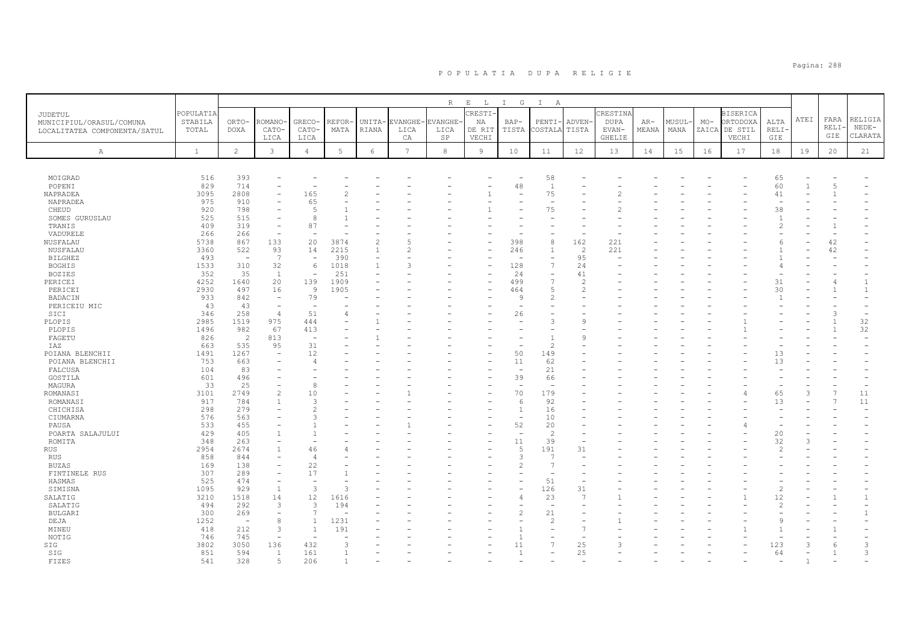| $I$ G<br>$\mathbb{A}$<br><b>CRESTI-</b><br>POPULATIA<br>CRESTIN<br><b>BISERICA</b><br>JUDETUL<br>FARA<br>RELIGIA<br>ATEI<br>ORTODOXA<br>STABILA<br>ORTO-<br>ROMANO<br>GRECO-<br>REFOR<br><b>EVANGHE</b><br><b>DUPA</b><br>MUSUL<br>$MO-$<br>ALTA<br><b>UNITA</b><br>EVANGHE<br>ΝA<br>$BAP-$<br>PENTI-<br><b>ADVEN</b><br>$AR-$<br>MUNICIPIUL/ORASUL/COMUNA<br>RELI·<br>$NEDE-$<br>TOTAL<br>DOXA<br>CATO-<br>CATO-<br>MATA<br>RIANA<br>LICA<br>LICA<br>DE RIT<br>TISTA<br>COSTALA<br>TISTA<br>EVAN-<br>MEANA<br>MANA<br>ZAICA<br>DE STIL<br>RELI-<br>LOCALITATEA COMPONENTA/SATUL<br>GIE<br>CLARATA<br>LICA<br>СA<br>SP<br>VECHI<br><b>GHELIE</b><br>VECHI<br>GIE<br>LICA<br>$\overline{2}$<br>$\mathbf{3}$<br>$5\phantom{.0}$<br>$\overline{7}$<br>$\overline{4}$<br>6<br>$^{\rm 8}$<br>9<br>12<br>$1\,8$<br>$\mathbf{1}$<br>10<br>11<br>13<br>14<br>15<br>16<br>17<br>19<br>20<br>21<br>$\mathbb{A}$<br>516<br>393<br>58<br>65<br>MOIGRAD<br>60<br>829<br>714<br>48<br>$\overline{1}$<br>POPENI<br>5<br>2808<br>165<br>75<br>3095<br>41<br>NAPRADEA<br>2<br>÷<br>910<br>65<br>975<br>NAPRADEA<br>$\overline{\phantom{a}}$<br>920<br>798<br>$\overline{5}$<br>75<br>CHEUD<br>38<br>515<br>525<br>8<br>SOMES GURUSLAU<br>319<br>87<br>409<br>2<br>TRANIS<br>266<br>266<br>VADURELE<br>867<br>20<br>$\overline{c}$<br>162<br>5738<br>133<br>5<br>398<br>8<br>221<br>42<br>NUSFALAU<br>3874<br>F<br>221<br>42<br>3360<br>522<br>93<br>14<br>2215<br>$\overline{c}$<br>NUSFALAU<br>$\mathbf{1}$<br>2<br>246<br>$\mathbf{1}$<br>7<br>95<br>493<br>390<br><b>BILGHEZ</b><br>$\overline{\phantom{a}}$<br>$\overline{\phantom{a}}$<br>$\overline{\phantom{0}}$<br>$\overline{\phantom{a}}$<br>$\overline{\phantom{a}}$<br>1533<br>310<br>32<br>6<br>1018<br>3<br>128<br>$\overline{7}$<br>24<br>1<br><b>BOGHIS</b><br>35<br>24<br>352<br>$\mathbf{1}$<br>251<br>41<br><b>BOZIES</b><br>$\overline{\phantom{a}}$<br>$\overline{\phantom{a}}$<br>20<br>139<br>1909<br>499<br>E<br>31<br>4252<br>1640<br>$\overline{c}$<br>PERICEI<br>2930<br>497<br>16<br>$\overline{9}$<br>1905<br>5<br>30<br>PERICEI<br>464<br>$\overline{2}$<br>842<br>79<br>BADACIN<br>933<br>9<br>$\overline{\phantom{a}}$<br>2<br>$\mathbf{1}$<br>43<br>43<br>PERICEIU MIC<br>$\overline{\phantom{m}}$<br>$\sim$<br>$\overline{\phantom{a}}$<br>51<br>258<br>346<br>$\overline{4}$<br>26<br>SICI<br>3<br>975<br>32<br>2985<br>1519<br>444<br>PLOPIS<br>3<br>9<br>32<br>982<br>67<br>413<br>1496<br>PLOPIS<br>813<br>FAGETU<br>826<br>$\overline{2}$<br>$\circ$<br>$\overline{\phantom{a}}$<br>31<br>663<br>535<br>95<br>IAZ<br>$\overline{c}$<br>12<br>50<br>1491<br>1267<br>149<br>13<br>POIANA BLENCHII<br>$\overline{\phantom{m}}$<br>753<br>663<br>11<br>62<br>13<br>POIANA BLENCHII<br>$\overline{4}$<br>104<br>83<br>21<br>FALCUSA<br>$\overline{\phantom{a}}$<br>39<br>601<br>496<br>66<br>GOSTILA<br>25<br>33<br>8<br>MAGURA<br>÷,<br>÷,<br>11<br>3101<br>2749<br>70<br>179<br>65<br>$\overline{7}$<br>ROMANASI<br>10<br>3<br>917<br>784<br>3<br>92<br>13<br>11<br>ROMANASI<br>6<br>279<br>$\overline{2}$<br>16<br>CHICHISA<br>298<br>$\mathbf{1}$<br>563<br>10<br>576<br>3<br>CIUMARNA<br>$\overline{\phantom{a}}$<br>533<br>455<br>52<br>20<br>$\mathbf{1}$<br>PAUSA<br>429<br>405<br>$\overline{1}$<br>2<br>20<br>POARTA SALAJULUI<br>÷,<br>11<br>348<br>263<br>39<br>32<br>ROMITA<br><b>RUS</b><br>2954<br>2674<br>46<br>5<br>191<br>31<br>2<br>3<br><b>RUS</b><br>858<br>844<br>$\overline{7}$<br>$\overline{4}$<br>22<br>138<br>$\overline{c}$<br><b>BUZAS</b><br>169<br>7<br>17<br>307<br>289<br>FINTINELE RUS<br>51<br>525<br>474<br>HASMAS<br>L,<br>÷<br>L.<br>$\overline{3}$<br>31<br>1095<br>929<br>$\overline{1}$<br>3<br>126<br>SIMISNA<br>2<br>3210<br>1518<br>14<br>12<br>23<br>SALATIG<br>1616<br>$\overline{4}$<br>7<br>12<br>$\mathbf{1}$<br>SALATIG<br>494<br>292<br>3<br>3<br>194<br>$\overline{c}$<br>$\overline{\phantom{a}}$<br>$\overline{c}$<br>300<br>269<br>7<br>21<br><b>BULGARI</b><br>$\overline{\phantom{a}}$<br>٠<br>۰<br>1252<br>8<br>1231<br>DEJA<br>$\overline{1}$<br>2<br>C<br>$\overline{\phantom{a}}$<br>418<br>212<br>$\overline{1}$<br>$\overline{1}$<br>3<br>191<br>7<br>MINEU<br>745<br>NOTIG<br>746<br>$\overline{1}$<br>25<br>3802<br>136<br>432<br>3<br>11<br>$\overline{1}$<br>123<br>3<br>SIG<br>3050<br>3<br>$\mathcal{L}$<br>6<br>25<br>3<br>SIG<br>851<br>594<br>161<br>$\overline{1}$<br>$\overline{1}$<br>64<br>$\overline{1}$<br>206<br>FIZES<br>541<br>328<br>5<br>$\overline{1}$<br>۳ |  |  |  |  |   |                             |              |  |  |  |  |  |
|------------------------------------------------------------------------------------------------------------------------------------------------------------------------------------------------------------------------------------------------------------------------------------------------------------------------------------------------------------------------------------------------------------------------------------------------------------------------------------------------------------------------------------------------------------------------------------------------------------------------------------------------------------------------------------------------------------------------------------------------------------------------------------------------------------------------------------------------------------------------------------------------------------------------------------------------------------------------------------------------------------------------------------------------------------------------------------------------------------------------------------------------------------------------------------------------------------------------------------------------------------------------------------------------------------------------------------------------------------------------------------------------------------------------------------------------------------------------------------------------------------------------------------------------------------------------------------------------------------------------------------------------------------------------------------------------------------------------------------------------------------------------------------------------------------------------------------------------------------------------------------------------------------------------------------------------------------------------------------------------------------------------------------------------------------------------------------------------------------------------------------------------------------------------------------------------------------------------------------------------------------------------------------------------------------------------------------------------------------------------------------------------------------------------------------------------------------------------------------------------------------------------------------------------------------------------------------------------------------------------------------------------------------------------------------------------------------------------------------------------------------------------------------------------------------------------------------------------------------------------------------------------------------------------------------------------------------------------------------------------------------------------------------------------------------------------------------------------------------------------------------------------------------------------------------------------------------------------------------------------------------------------------------------------------------------------------------------------------------------------------------------------------------------------------------------------------------------------------------------------------------------------------------------------------------------------------------------------------------------------------------------------------------------------------------------------------------------------------------------------------------------------------------------------------------------------------------------------------------------------------------------------------------------------------------------------------------------------------------------------------------------------------------------------------------------------------------------------------------------------------------------------------------------------------------------------------------------------------------------------------------------------------------------------------------------------------------------------------------------------------------------------------------------------------------------------------------------------------------------------------------------|--|--|--|--|---|-----------------------------|--------------|--|--|--|--|--|
|                                                                                                                                                                                                                                                                                                                                                                                                                                                                                                                                                                                                                                                                                                                                                                                                                                                                                                                                                                                                                                                                                                                                                                                                                                                                                                                                                                                                                                                                                                                                                                                                                                                                                                                                                                                                                                                                                                                                                                                                                                                                                                                                                                                                                                                                                                                                                                                                                                                                                                                                                                                                                                                                                                                                                                                                                                                                                                                                                                                                                                                                                                                                                                                                                                                                                                                                                                                                                                                                                                                                                                                                                                                                                                                                                                                                                                                                                                                                                                                                                                                                                                                                                                                                                                                                                                                                                                                                                                                                                                                  |  |  |  |  | R | $\mathbf{E}$<br>$\mathbb L$ | $\mathbb{I}$ |  |  |  |  |  |
|                                                                                                                                                                                                                                                                                                                                                                                                                                                                                                                                                                                                                                                                                                                                                                                                                                                                                                                                                                                                                                                                                                                                                                                                                                                                                                                                                                                                                                                                                                                                                                                                                                                                                                                                                                                                                                                                                                                                                                                                                                                                                                                                                                                                                                                                                                                                                                                                                                                                                                                                                                                                                                                                                                                                                                                                                                                                                                                                                                                                                                                                                                                                                                                                                                                                                                                                                                                                                                                                                                                                                                                                                                                                                                                                                                                                                                                                                                                                                                                                                                                                                                                                                                                                                                                                                                                                                                                                                                                                                                                  |  |  |  |  |   |                             |              |  |  |  |  |  |
|                                                                                                                                                                                                                                                                                                                                                                                                                                                                                                                                                                                                                                                                                                                                                                                                                                                                                                                                                                                                                                                                                                                                                                                                                                                                                                                                                                                                                                                                                                                                                                                                                                                                                                                                                                                                                                                                                                                                                                                                                                                                                                                                                                                                                                                                                                                                                                                                                                                                                                                                                                                                                                                                                                                                                                                                                                                                                                                                                                                                                                                                                                                                                                                                                                                                                                                                                                                                                                                                                                                                                                                                                                                                                                                                                                                                                                                                                                                                                                                                                                                                                                                                                                                                                                                                                                                                                                                                                                                                                                                  |  |  |  |  |   |                             |              |  |  |  |  |  |
|                                                                                                                                                                                                                                                                                                                                                                                                                                                                                                                                                                                                                                                                                                                                                                                                                                                                                                                                                                                                                                                                                                                                                                                                                                                                                                                                                                                                                                                                                                                                                                                                                                                                                                                                                                                                                                                                                                                                                                                                                                                                                                                                                                                                                                                                                                                                                                                                                                                                                                                                                                                                                                                                                                                                                                                                                                                                                                                                                                                                                                                                                                                                                                                                                                                                                                                                                                                                                                                                                                                                                                                                                                                                                                                                                                                                                                                                                                                                                                                                                                                                                                                                                                                                                                                                                                                                                                                                                                                                                                                  |  |  |  |  |   |                             |              |  |  |  |  |  |
|                                                                                                                                                                                                                                                                                                                                                                                                                                                                                                                                                                                                                                                                                                                                                                                                                                                                                                                                                                                                                                                                                                                                                                                                                                                                                                                                                                                                                                                                                                                                                                                                                                                                                                                                                                                                                                                                                                                                                                                                                                                                                                                                                                                                                                                                                                                                                                                                                                                                                                                                                                                                                                                                                                                                                                                                                                                                                                                                                                                                                                                                                                                                                                                                                                                                                                                                                                                                                                                                                                                                                                                                                                                                                                                                                                                                                                                                                                                                                                                                                                                                                                                                                                                                                                                                                                                                                                                                                                                                                                                  |  |  |  |  |   |                             |              |  |  |  |  |  |
|                                                                                                                                                                                                                                                                                                                                                                                                                                                                                                                                                                                                                                                                                                                                                                                                                                                                                                                                                                                                                                                                                                                                                                                                                                                                                                                                                                                                                                                                                                                                                                                                                                                                                                                                                                                                                                                                                                                                                                                                                                                                                                                                                                                                                                                                                                                                                                                                                                                                                                                                                                                                                                                                                                                                                                                                                                                                                                                                                                                                                                                                                                                                                                                                                                                                                                                                                                                                                                                                                                                                                                                                                                                                                                                                                                                                                                                                                                                                                                                                                                                                                                                                                                                                                                                                                                                                                                                                                                                                                                                  |  |  |  |  |   |                             |              |  |  |  |  |  |
|                                                                                                                                                                                                                                                                                                                                                                                                                                                                                                                                                                                                                                                                                                                                                                                                                                                                                                                                                                                                                                                                                                                                                                                                                                                                                                                                                                                                                                                                                                                                                                                                                                                                                                                                                                                                                                                                                                                                                                                                                                                                                                                                                                                                                                                                                                                                                                                                                                                                                                                                                                                                                                                                                                                                                                                                                                                                                                                                                                                                                                                                                                                                                                                                                                                                                                                                                                                                                                                                                                                                                                                                                                                                                                                                                                                                                                                                                                                                                                                                                                                                                                                                                                                                                                                                                                                                                                                                                                                                                                                  |  |  |  |  |   |                             |              |  |  |  |  |  |
|                                                                                                                                                                                                                                                                                                                                                                                                                                                                                                                                                                                                                                                                                                                                                                                                                                                                                                                                                                                                                                                                                                                                                                                                                                                                                                                                                                                                                                                                                                                                                                                                                                                                                                                                                                                                                                                                                                                                                                                                                                                                                                                                                                                                                                                                                                                                                                                                                                                                                                                                                                                                                                                                                                                                                                                                                                                                                                                                                                                                                                                                                                                                                                                                                                                                                                                                                                                                                                                                                                                                                                                                                                                                                                                                                                                                                                                                                                                                                                                                                                                                                                                                                                                                                                                                                                                                                                                                                                                                                                                  |  |  |  |  |   |                             |              |  |  |  |  |  |
|                                                                                                                                                                                                                                                                                                                                                                                                                                                                                                                                                                                                                                                                                                                                                                                                                                                                                                                                                                                                                                                                                                                                                                                                                                                                                                                                                                                                                                                                                                                                                                                                                                                                                                                                                                                                                                                                                                                                                                                                                                                                                                                                                                                                                                                                                                                                                                                                                                                                                                                                                                                                                                                                                                                                                                                                                                                                                                                                                                                                                                                                                                                                                                                                                                                                                                                                                                                                                                                                                                                                                                                                                                                                                                                                                                                                                                                                                                                                                                                                                                                                                                                                                                                                                                                                                                                                                                                                                                                                                                                  |  |  |  |  |   |                             |              |  |  |  |  |  |
|                                                                                                                                                                                                                                                                                                                                                                                                                                                                                                                                                                                                                                                                                                                                                                                                                                                                                                                                                                                                                                                                                                                                                                                                                                                                                                                                                                                                                                                                                                                                                                                                                                                                                                                                                                                                                                                                                                                                                                                                                                                                                                                                                                                                                                                                                                                                                                                                                                                                                                                                                                                                                                                                                                                                                                                                                                                                                                                                                                                                                                                                                                                                                                                                                                                                                                                                                                                                                                                                                                                                                                                                                                                                                                                                                                                                                                                                                                                                                                                                                                                                                                                                                                                                                                                                                                                                                                                                                                                                                                                  |  |  |  |  |   |                             |              |  |  |  |  |  |
|                                                                                                                                                                                                                                                                                                                                                                                                                                                                                                                                                                                                                                                                                                                                                                                                                                                                                                                                                                                                                                                                                                                                                                                                                                                                                                                                                                                                                                                                                                                                                                                                                                                                                                                                                                                                                                                                                                                                                                                                                                                                                                                                                                                                                                                                                                                                                                                                                                                                                                                                                                                                                                                                                                                                                                                                                                                                                                                                                                                                                                                                                                                                                                                                                                                                                                                                                                                                                                                                                                                                                                                                                                                                                                                                                                                                                                                                                                                                                                                                                                                                                                                                                                                                                                                                                                                                                                                                                                                                                                                  |  |  |  |  |   |                             |              |  |  |  |  |  |
|                                                                                                                                                                                                                                                                                                                                                                                                                                                                                                                                                                                                                                                                                                                                                                                                                                                                                                                                                                                                                                                                                                                                                                                                                                                                                                                                                                                                                                                                                                                                                                                                                                                                                                                                                                                                                                                                                                                                                                                                                                                                                                                                                                                                                                                                                                                                                                                                                                                                                                                                                                                                                                                                                                                                                                                                                                                                                                                                                                                                                                                                                                                                                                                                                                                                                                                                                                                                                                                                                                                                                                                                                                                                                                                                                                                                                                                                                                                                                                                                                                                                                                                                                                                                                                                                                                                                                                                                                                                                                                                  |  |  |  |  |   |                             |              |  |  |  |  |  |
|                                                                                                                                                                                                                                                                                                                                                                                                                                                                                                                                                                                                                                                                                                                                                                                                                                                                                                                                                                                                                                                                                                                                                                                                                                                                                                                                                                                                                                                                                                                                                                                                                                                                                                                                                                                                                                                                                                                                                                                                                                                                                                                                                                                                                                                                                                                                                                                                                                                                                                                                                                                                                                                                                                                                                                                                                                                                                                                                                                                                                                                                                                                                                                                                                                                                                                                                                                                                                                                                                                                                                                                                                                                                                                                                                                                                                                                                                                                                                                                                                                                                                                                                                                                                                                                                                                                                                                                                                                                                                                                  |  |  |  |  |   |                             |              |  |  |  |  |  |
|                                                                                                                                                                                                                                                                                                                                                                                                                                                                                                                                                                                                                                                                                                                                                                                                                                                                                                                                                                                                                                                                                                                                                                                                                                                                                                                                                                                                                                                                                                                                                                                                                                                                                                                                                                                                                                                                                                                                                                                                                                                                                                                                                                                                                                                                                                                                                                                                                                                                                                                                                                                                                                                                                                                                                                                                                                                                                                                                                                                                                                                                                                                                                                                                                                                                                                                                                                                                                                                                                                                                                                                                                                                                                                                                                                                                                                                                                                                                                                                                                                                                                                                                                                                                                                                                                                                                                                                                                                                                                                                  |  |  |  |  |   |                             |              |  |  |  |  |  |
|                                                                                                                                                                                                                                                                                                                                                                                                                                                                                                                                                                                                                                                                                                                                                                                                                                                                                                                                                                                                                                                                                                                                                                                                                                                                                                                                                                                                                                                                                                                                                                                                                                                                                                                                                                                                                                                                                                                                                                                                                                                                                                                                                                                                                                                                                                                                                                                                                                                                                                                                                                                                                                                                                                                                                                                                                                                                                                                                                                                                                                                                                                                                                                                                                                                                                                                                                                                                                                                                                                                                                                                                                                                                                                                                                                                                                                                                                                                                                                                                                                                                                                                                                                                                                                                                                                                                                                                                                                                                                                                  |  |  |  |  |   |                             |              |  |  |  |  |  |
|                                                                                                                                                                                                                                                                                                                                                                                                                                                                                                                                                                                                                                                                                                                                                                                                                                                                                                                                                                                                                                                                                                                                                                                                                                                                                                                                                                                                                                                                                                                                                                                                                                                                                                                                                                                                                                                                                                                                                                                                                                                                                                                                                                                                                                                                                                                                                                                                                                                                                                                                                                                                                                                                                                                                                                                                                                                                                                                                                                                                                                                                                                                                                                                                                                                                                                                                                                                                                                                                                                                                                                                                                                                                                                                                                                                                                                                                                                                                                                                                                                                                                                                                                                                                                                                                                                                                                                                                                                                                                                                  |  |  |  |  |   |                             |              |  |  |  |  |  |
|                                                                                                                                                                                                                                                                                                                                                                                                                                                                                                                                                                                                                                                                                                                                                                                                                                                                                                                                                                                                                                                                                                                                                                                                                                                                                                                                                                                                                                                                                                                                                                                                                                                                                                                                                                                                                                                                                                                                                                                                                                                                                                                                                                                                                                                                                                                                                                                                                                                                                                                                                                                                                                                                                                                                                                                                                                                                                                                                                                                                                                                                                                                                                                                                                                                                                                                                                                                                                                                                                                                                                                                                                                                                                                                                                                                                                                                                                                                                                                                                                                                                                                                                                                                                                                                                                                                                                                                                                                                                                                                  |  |  |  |  |   |                             |              |  |  |  |  |  |
|                                                                                                                                                                                                                                                                                                                                                                                                                                                                                                                                                                                                                                                                                                                                                                                                                                                                                                                                                                                                                                                                                                                                                                                                                                                                                                                                                                                                                                                                                                                                                                                                                                                                                                                                                                                                                                                                                                                                                                                                                                                                                                                                                                                                                                                                                                                                                                                                                                                                                                                                                                                                                                                                                                                                                                                                                                                                                                                                                                                                                                                                                                                                                                                                                                                                                                                                                                                                                                                                                                                                                                                                                                                                                                                                                                                                                                                                                                                                                                                                                                                                                                                                                                                                                                                                                                                                                                                                                                                                                                                  |  |  |  |  |   |                             |              |  |  |  |  |  |
|                                                                                                                                                                                                                                                                                                                                                                                                                                                                                                                                                                                                                                                                                                                                                                                                                                                                                                                                                                                                                                                                                                                                                                                                                                                                                                                                                                                                                                                                                                                                                                                                                                                                                                                                                                                                                                                                                                                                                                                                                                                                                                                                                                                                                                                                                                                                                                                                                                                                                                                                                                                                                                                                                                                                                                                                                                                                                                                                                                                                                                                                                                                                                                                                                                                                                                                                                                                                                                                                                                                                                                                                                                                                                                                                                                                                                                                                                                                                                                                                                                                                                                                                                                                                                                                                                                                                                                                                                                                                                                                  |  |  |  |  |   |                             |              |  |  |  |  |  |
|                                                                                                                                                                                                                                                                                                                                                                                                                                                                                                                                                                                                                                                                                                                                                                                                                                                                                                                                                                                                                                                                                                                                                                                                                                                                                                                                                                                                                                                                                                                                                                                                                                                                                                                                                                                                                                                                                                                                                                                                                                                                                                                                                                                                                                                                                                                                                                                                                                                                                                                                                                                                                                                                                                                                                                                                                                                                                                                                                                                                                                                                                                                                                                                                                                                                                                                                                                                                                                                                                                                                                                                                                                                                                                                                                                                                                                                                                                                                                                                                                                                                                                                                                                                                                                                                                                                                                                                                                                                                                                                  |  |  |  |  |   |                             |              |  |  |  |  |  |
|                                                                                                                                                                                                                                                                                                                                                                                                                                                                                                                                                                                                                                                                                                                                                                                                                                                                                                                                                                                                                                                                                                                                                                                                                                                                                                                                                                                                                                                                                                                                                                                                                                                                                                                                                                                                                                                                                                                                                                                                                                                                                                                                                                                                                                                                                                                                                                                                                                                                                                                                                                                                                                                                                                                                                                                                                                                                                                                                                                                                                                                                                                                                                                                                                                                                                                                                                                                                                                                                                                                                                                                                                                                                                                                                                                                                                                                                                                                                                                                                                                                                                                                                                                                                                                                                                                                                                                                                                                                                                                                  |  |  |  |  |   |                             |              |  |  |  |  |  |
|                                                                                                                                                                                                                                                                                                                                                                                                                                                                                                                                                                                                                                                                                                                                                                                                                                                                                                                                                                                                                                                                                                                                                                                                                                                                                                                                                                                                                                                                                                                                                                                                                                                                                                                                                                                                                                                                                                                                                                                                                                                                                                                                                                                                                                                                                                                                                                                                                                                                                                                                                                                                                                                                                                                                                                                                                                                                                                                                                                                                                                                                                                                                                                                                                                                                                                                                                                                                                                                                                                                                                                                                                                                                                                                                                                                                                                                                                                                                                                                                                                                                                                                                                                                                                                                                                                                                                                                                                                                                                                                  |  |  |  |  |   |                             |              |  |  |  |  |  |
|                                                                                                                                                                                                                                                                                                                                                                                                                                                                                                                                                                                                                                                                                                                                                                                                                                                                                                                                                                                                                                                                                                                                                                                                                                                                                                                                                                                                                                                                                                                                                                                                                                                                                                                                                                                                                                                                                                                                                                                                                                                                                                                                                                                                                                                                                                                                                                                                                                                                                                                                                                                                                                                                                                                                                                                                                                                                                                                                                                                                                                                                                                                                                                                                                                                                                                                                                                                                                                                                                                                                                                                                                                                                                                                                                                                                                                                                                                                                                                                                                                                                                                                                                                                                                                                                                                                                                                                                                                                                                                                  |  |  |  |  |   |                             |              |  |  |  |  |  |
|                                                                                                                                                                                                                                                                                                                                                                                                                                                                                                                                                                                                                                                                                                                                                                                                                                                                                                                                                                                                                                                                                                                                                                                                                                                                                                                                                                                                                                                                                                                                                                                                                                                                                                                                                                                                                                                                                                                                                                                                                                                                                                                                                                                                                                                                                                                                                                                                                                                                                                                                                                                                                                                                                                                                                                                                                                                                                                                                                                                                                                                                                                                                                                                                                                                                                                                                                                                                                                                                                                                                                                                                                                                                                                                                                                                                                                                                                                                                                                                                                                                                                                                                                                                                                                                                                                                                                                                                                                                                                                                  |  |  |  |  |   |                             |              |  |  |  |  |  |
|                                                                                                                                                                                                                                                                                                                                                                                                                                                                                                                                                                                                                                                                                                                                                                                                                                                                                                                                                                                                                                                                                                                                                                                                                                                                                                                                                                                                                                                                                                                                                                                                                                                                                                                                                                                                                                                                                                                                                                                                                                                                                                                                                                                                                                                                                                                                                                                                                                                                                                                                                                                                                                                                                                                                                                                                                                                                                                                                                                                                                                                                                                                                                                                                                                                                                                                                                                                                                                                                                                                                                                                                                                                                                                                                                                                                                                                                                                                                                                                                                                                                                                                                                                                                                                                                                                                                                                                                                                                                                                                  |  |  |  |  |   |                             |              |  |  |  |  |  |
|                                                                                                                                                                                                                                                                                                                                                                                                                                                                                                                                                                                                                                                                                                                                                                                                                                                                                                                                                                                                                                                                                                                                                                                                                                                                                                                                                                                                                                                                                                                                                                                                                                                                                                                                                                                                                                                                                                                                                                                                                                                                                                                                                                                                                                                                                                                                                                                                                                                                                                                                                                                                                                                                                                                                                                                                                                                                                                                                                                                                                                                                                                                                                                                                                                                                                                                                                                                                                                                                                                                                                                                                                                                                                                                                                                                                                                                                                                                                                                                                                                                                                                                                                                                                                                                                                                                                                                                                                                                                                                                  |  |  |  |  |   |                             |              |  |  |  |  |  |
|                                                                                                                                                                                                                                                                                                                                                                                                                                                                                                                                                                                                                                                                                                                                                                                                                                                                                                                                                                                                                                                                                                                                                                                                                                                                                                                                                                                                                                                                                                                                                                                                                                                                                                                                                                                                                                                                                                                                                                                                                                                                                                                                                                                                                                                                                                                                                                                                                                                                                                                                                                                                                                                                                                                                                                                                                                                                                                                                                                                                                                                                                                                                                                                                                                                                                                                                                                                                                                                                                                                                                                                                                                                                                                                                                                                                                                                                                                                                                                                                                                                                                                                                                                                                                                                                                                                                                                                                                                                                                                                  |  |  |  |  |   |                             |              |  |  |  |  |  |
|                                                                                                                                                                                                                                                                                                                                                                                                                                                                                                                                                                                                                                                                                                                                                                                                                                                                                                                                                                                                                                                                                                                                                                                                                                                                                                                                                                                                                                                                                                                                                                                                                                                                                                                                                                                                                                                                                                                                                                                                                                                                                                                                                                                                                                                                                                                                                                                                                                                                                                                                                                                                                                                                                                                                                                                                                                                                                                                                                                                                                                                                                                                                                                                                                                                                                                                                                                                                                                                                                                                                                                                                                                                                                                                                                                                                                                                                                                                                                                                                                                                                                                                                                                                                                                                                                                                                                                                                                                                                                                                  |  |  |  |  |   |                             |              |  |  |  |  |  |
|                                                                                                                                                                                                                                                                                                                                                                                                                                                                                                                                                                                                                                                                                                                                                                                                                                                                                                                                                                                                                                                                                                                                                                                                                                                                                                                                                                                                                                                                                                                                                                                                                                                                                                                                                                                                                                                                                                                                                                                                                                                                                                                                                                                                                                                                                                                                                                                                                                                                                                                                                                                                                                                                                                                                                                                                                                                                                                                                                                                                                                                                                                                                                                                                                                                                                                                                                                                                                                                                                                                                                                                                                                                                                                                                                                                                                                                                                                                                                                                                                                                                                                                                                                                                                                                                                                                                                                                                                                                                                                                  |  |  |  |  |   |                             |              |  |  |  |  |  |
|                                                                                                                                                                                                                                                                                                                                                                                                                                                                                                                                                                                                                                                                                                                                                                                                                                                                                                                                                                                                                                                                                                                                                                                                                                                                                                                                                                                                                                                                                                                                                                                                                                                                                                                                                                                                                                                                                                                                                                                                                                                                                                                                                                                                                                                                                                                                                                                                                                                                                                                                                                                                                                                                                                                                                                                                                                                                                                                                                                                                                                                                                                                                                                                                                                                                                                                                                                                                                                                                                                                                                                                                                                                                                                                                                                                                                                                                                                                                                                                                                                                                                                                                                                                                                                                                                                                                                                                                                                                                                                                  |  |  |  |  |   |                             |              |  |  |  |  |  |
|                                                                                                                                                                                                                                                                                                                                                                                                                                                                                                                                                                                                                                                                                                                                                                                                                                                                                                                                                                                                                                                                                                                                                                                                                                                                                                                                                                                                                                                                                                                                                                                                                                                                                                                                                                                                                                                                                                                                                                                                                                                                                                                                                                                                                                                                                                                                                                                                                                                                                                                                                                                                                                                                                                                                                                                                                                                                                                                                                                                                                                                                                                                                                                                                                                                                                                                                                                                                                                                                                                                                                                                                                                                                                                                                                                                                                                                                                                                                                                                                                                                                                                                                                                                                                                                                                                                                                                                                                                                                                                                  |  |  |  |  |   |                             |              |  |  |  |  |  |
|                                                                                                                                                                                                                                                                                                                                                                                                                                                                                                                                                                                                                                                                                                                                                                                                                                                                                                                                                                                                                                                                                                                                                                                                                                                                                                                                                                                                                                                                                                                                                                                                                                                                                                                                                                                                                                                                                                                                                                                                                                                                                                                                                                                                                                                                                                                                                                                                                                                                                                                                                                                                                                                                                                                                                                                                                                                                                                                                                                                                                                                                                                                                                                                                                                                                                                                                                                                                                                                                                                                                                                                                                                                                                                                                                                                                                                                                                                                                                                                                                                                                                                                                                                                                                                                                                                                                                                                                                                                                                                                  |  |  |  |  |   |                             |              |  |  |  |  |  |
|                                                                                                                                                                                                                                                                                                                                                                                                                                                                                                                                                                                                                                                                                                                                                                                                                                                                                                                                                                                                                                                                                                                                                                                                                                                                                                                                                                                                                                                                                                                                                                                                                                                                                                                                                                                                                                                                                                                                                                                                                                                                                                                                                                                                                                                                                                                                                                                                                                                                                                                                                                                                                                                                                                                                                                                                                                                                                                                                                                                                                                                                                                                                                                                                                                                                                                                                                                                                                                                                                                                                                                                                                                                                                                                                                                                                                                                                                                                                                                                                                                                                                                                                                                                                                                                                                                                                                                                                                                                                                                                  |  |  |  |  |   |                             |              |  |  |  |  |  |
|                                                                                                                                                                                                                                                                                                                                                                                                                                                                                                                                                                                                                                                                                                                                                                                                                                                                                                                                                                                                                                                                                                                                                                                                                                                                                                                                                                                                                                                                                                                                                                                                                                                                                                                                                                                                                                                                                                                                                                                                                                                                                                                                                                                                                                                                                                                                                                                                                                                                                                                                                                                                                                                                                                                                                                                                                                                                                                                                                                                                                                                                                                                                                                                                                                                                                                                                                                                                                                                                                                                                                                                                                                                                                                                                                                                                                                                                                                                                                                                                                                                                                                                                                                                                                                                                                                                                                                                                                                                                                                                  |  |  |  |  |   |                             |              |  |  |  |  |  |
|                                                                                                                                                                                                                                                                                                                                                                                                                                                                                                                                                                                                                                                                                                                                                                                                                                                                                                                                                                                                                                                                                                                                                                                                                                                                                                                                                                                                                                                                                                                                                                                                                                                                                                                                                                                                                                                                                                                                                                                                                                                                                                                                                                                                                                                                                                                                                                                                                                                                                                                                                                                                                                                                                                                                                                                                                                                                                                                                                                                                                                                                                                                                                                                                                                                                                                                                                                                                                                                                                                                                                                                                                                                                                                                                                                                                                                                                                                                                                                                                                                                                                                                                                                                                                                                                                                                                                                                                                                                                                                                  |  |  |  |  |   |                             |              |  |  |  |  |  |
|                                                                                                                                                                                                                                                                                                                                                                                                                                                                                                                                                                                                                                                                                                                                                                                                                                                                                                                                                                                                                                                                                                                                                                                                                                                                                                                                                                                                                                                                                                                                                                                                                                                                                                                                                                                                                                                                                                                                                                                                                                                                                                                                                                                                                                                                                                                                                                                                                                                                                                                                                                                                                                                                                                                                                                                                                                                                                                                                                                                                                                                                                                                                                                                                                                                                                                                                                                                                                                                                                                                                                                                                                                                                                                                                                                                                                                                                                                                                                                                                                                                                                                                                                                                                                                                                                                                                                                                                                                                                                                                  |  |  |  |  |   |                             |              |  |  |  |  |  |
|                                                                                                                                                                                                                                                                                                                                                                                                                                                                                                                                                                                                                                                                                                                                                                                                                                                                                                                                                                                                                                                                                                                                                                                                                                                                                                                                                                                                                                                                                                                                                                                                                                                                                                                                                                                                                                                                                                                                                                                                                                                                                                                                                                                                                                                                                                                                                                                                                                                                                                                                                                                                                                                                                                                                                                                                                                                                                                                                                                                                                                                                                                                                                                                                                                                                                                                                                                                                                                                                                                                                                                                                                                                                                                                                                                                                                                                                                                                                                                                                                                                                                                                                                                                                                                                                                                                                                                                                                                                                                                                  |  |  |  |  |   |                             |              |  |  |  |  |  |
|                                                                                                                                                                                                                                                                                                                                                                                                                                                                                                                                                                                                                                                                                                                                                                                                                                                                                                                                                                                                                                                                                                                                                                                                                                                                                                                                                                                                                                                                                                                                                                                                                                                                                                                                                                                                                                                                                                                                                                                                                                                                                                                                                                                                                                                                                                                                                                                                                                                                                                                                                                                                                                                                                                                                                                                                                                                                                                                                                                                                                                                                                                                                                                                                                                                                                                                                                                                                                                                                                                                                                                                                                                                                                                                                                                                                                                                                                                                                                                                                                                                                                                                                                                                                                                                                                                                                                                                                                                                                                                                  |  |  |  |  |   |                             |              |  |  |  |  |  |
|                                                                                                                                                                                                                                                                                                                                                                                                                                                                                                                                                                                                                                                                                                                                                                                                                                                                                                                                                                                                                                                                                                                                                                                                                                                                                                                                                                                                                                                                                                                                                                                                                                                                                                                                                                                                                                                                                                                                                                                                                                                                                                                                                                                                                                                                                                                                                                                                                                                                                                                                                                                                                                                                                                                                                                                                                                                                                                                                                                                                                                                                                                                                                                                                                                                                                                                                                                                                                                                                                                                                                                                                                                                                                                                                                                                                                                                                                                                                                                                                                                                                                                                                                                                                                                                                                                                                                                                                                                                                                                                  |  |  |  |  |   |                             |              |  |  |  |  |  |
|                                                                                                                                                                                                                                                                                                                                                                                                                                                                                                                                                                                                                                                                                                                                                                                                                                                                                                                                                                                                                                                                                                                                                                                                                                                                                                                                                                                                                                                                                                                                                                                                                                                                                                                                                                                                                                                                                                                                                                                                                                                                                                                                                                                                                                                                                                                                                                                                                                                                                                                                                                                                                                                                                                                                                                                                                                                                                                                                                                                                                                                                                                                                                                                                                                                                                                                                                                                                                                                                                                                                                                                                                                                                                                                                                                                                                                                                                                                                                                                                                                                                                                                                                                                                                                                                                                                                                                                                                                                                                                                  |  |  |  |  |   |                             |              |  |  |  |  |  |
|                                                                                                                                                                                                                                                                                                                                                                                                                                                                                                                                                                                                                                                                                                                                                                                                                                                                                                                                                                                                                                                                                                                                                                                                                                                                                                                                                                                                                                                                                                                                                                                                                                                                                                                                                                                                                                                                                                                                                                                                                                                                                                                                                                                                                                                                                                                                                                                                                                                                                                                                                                                                                                                                                                                                                                                                                                                                                                                                                                                                                                                                                                                                                                                                                                                                                                                                                                                                                                                                                                                                                                                                                                                                                                                                                                                                                                                                                                                                                                                                                                                                                                                                                                                                                                                                                                                                                                                                                                                                                                                  |  |  |  |  |   |                             |              |  |  |  |  |  |
|                                                                                                                                                                                                                                                                                                                                                                                                                                                                                                                                                                                                                                                                                                                                                                                                                                                                                                                                                                                                                                                                                                                                                                                                                                                                                                                                                                                                                                                                                                                                                                                                                                                                                                                                                                                                                                                                                                                                                                                                                                                                                                                                                                                                                                                                                                                                                                                                                                                                                                                                                                                                                                                                                                                                                                                                                                                                                                                                                                                                                                                                                                                                                                                                                                                                                                                                                                                                                                                                                                                                                                                                                                                                                                                                                                                                                                                                                                                                                                                                                                                                                                                                                                                                                                                                                                                                                                                                                                                                                                                  |  |  |  |  |   |                             |              |  |  |  |  |  |
|                                                                                                                                                                                                                                                                                                                                                                                                                                                                                                                                                                                                                                                                                                                                                                                                                                                                                                                                                                                                                                                                                                                                                                                                                                                                                                                                                                                                                                                                                                                                                                                                                                                                                                                                                                                                                                                                                                                                                                                                                                                                                                                                                                                                                                                                                                                                                                                                                                                                                                                                                                                                                                                                                                                                                                                                                                                                                                                                                                                                                                                                                                                                                                                                                                                                                                                                                                                                                                                                                                                                                                                                                                                                                                                                                                                                                                                                                                                                                                                                                                                                                                                                                                                                                                                                                                                                                                                                                                                                                                                  |  |  |  |  |   |                             |              |  |  |  |  |  |
|                                                                                                                                                                                                                                                                                                                                                                                                                                                                                                                                                                                                                                                                                                                                                                                                                                                                                                                                                                                                                                                                                                                                                                                                                                                                                                                                                                                                                                                                                                                                                                                                                                                                                                                                                                                                                                                                                                                                                                                                                                                                                                                                                                                                                                                                                                                                                                                                                                                                                                                                                                                                                                                                                                                                                                                                                                                                                                                                                                                                                                                                                                                                                                                                                                                                                                                                                                                                                                                                                                                                                                                                                                                                                                                                                                                                                                                                                                                                                                                                                                                                                                                                                                                                                                                                                                                                                                                                                                                                                                                  |  |  |  |  |   |                             |              |  |  |  |  |  |
|                                                                                                                                                                                                                                                                                                                                                                                                                                                                                                                                                                                                                                                                                                                                                                                                                                                                                                                                                                                                                                                                                                                                                                                                                                                                                                                                                                                                                                                                                                                                                                                                                                                                                                                                                                                                                                                                                                                                                                                                                                                                                                                                                                                                                                                                                                                                                                                                                                                                                                                                                                                                                                                                                                                                                                                                                                                                                                                                                                                                                                                                                                                                                                                                                                                                                                                                                                                                                                                                                                                                                                                                                                                                                                                                                                                                                                                                                                                                                                                                                                                                                                                                                                                                                                                                                                                                                                                                                                                                                                                  |  |  |  |  |   |                             |              |  |  |  |  |  |
|                                                                                                                                                                                                                                                                                                                                                                                                                                                                                                                                                                                                                                                                                                                                                                                                                                                                                                                                                                                                                                                                                                                                                                                                                                                                                                                                                                                                                                                                                                                                                                                                                                                                                                                                                                                                                                                                                                                                                                                                                                                                                                                                                                                                                                                                                                                                                                                                                                                                                                                                                                                                                                                                                                                                                                                                                                                                                                                                                                                                                                                                                                                                                                                                                                                                                                                                                                                                                                                                                                                                                                                                                                                                                                                                                                                                                                                                                                                                                                                                                                                                                                                                                                                                                                                                                                                                                                                                                                                                                                                  |  |  |  |  |   |                             |              |  |  |  |  |  |
|                                                                                                                                                                                                                                                                                                                                                                                                                                                                                                                                                                                                                                                                                                                                                                                                                                                                                                                                                                                                                                                                                                                                                                                                                                                                                                                                                                                                                                                                                                                                                                                                                                                                                                                                                                                                                                                                                                                                                                                                                                                                                                                                                                                                                                                                                                                                                                                                                                                                                                                                                                                                                                                                                                                                                                                                                                                                                                                                                                                                                                                                                                                                                                                                                                                                                                                                                                                                                                                                                                                                                                                                                                                                                                                                                                                                                                                                                                                                                                                                                                                                                                                                                                                                                                                                                                                                                                                                                                                                                                                  |  |  |  |  |   |                             |              |  |  |  |  |  |
|                                                                                                                                                                                                                                                                                                                                                                                                                                                                                                                                                                                                                                                                                                                                                                                                                                                                                                                                                                                                                                                                                                                                                                                                                                                                                                                                                                                                                                                                                                                                                                                                                                                                                                                                                                                                                                                                                                                                                                                                                                                                                                                                                                                                                                                                                                                                                                                                                                                                                                                                                                                                                                                                                                                                                                                                                                                                                                                                                                                                                                                                                                                                                                                                                                                                                                                                                                                                                                                                                                                                                                                                                                                                                                                                                                                                                                                                                                                                                                                                                                                                                                                                                                                                                                                                                                                                                                                                                                                                                                                  |  |  |  |  |   |                             |              |  |  |  |  |  |
|                                                                                                                                                                                                                                                                                                                                                                                                                                                                                                                                                                                                                                                                                                                                                                                                                                                                                                                                                                                                                                                                                                                                                                                                                                                                                                                                                                                                                                                                                                                                                                                                                                                                                                                                                                                                                                                                                                                                                                                                                                                                                                                                                                                                                                                                                                                                                                                                                                                                                                                                                                                                                                                                                                                                                                                                                                                                                                                                                                                                                                                                                                                                                                                                                                                                                                                                                                                                                                                                                                                                                                                                                                                                                                                                                                                                                                                                                                                                                                                                                                                                                                                                                                                                                                                                                                                                                                                                                                                                                                                  |  |  |  |  |   |                             |              |  |  |  |  |  |
|                                                                                                                                                                                                                                                                                                                                                                                                                                                                                                                                                                                                                                                                                                                                                                                                                                                                                                                                                                                                                                                                                                                                                                                                                                                                                                                                                                                                                                                                                                                                                                                                                                                                                                                                                                                                                                                                                                                                                                                                                                                                                                                                                                                                                                                                                                                                                                                                                                                                                                                                                                                                                                                                                                                                                                                                                                                                                                                                                                                                                                                                                                                                                                                                                                                                                                                                                                                                                                                                                                                                                                                                                                                                                                                                                                                                                                                                                                                                                                                                                                                                                                                                                                                                                                                                                                                                                                                                                                                                                                                  |  |  |  |  |   |                             |              |  |  |  |  |  |
|                                                                                                                                                                                                                                                                                                                                                                                                                                                                                                                                                                                                                                                                                                                                                                                                                                                                                                                                                                                                                                                                                                                                                                                                                                                                                                                                                                                                                                                                                                                                                                                                                                                                                                                                                                                                                                                                                                                                                                                                                                                                                                                                                                                                                                                                                                                                                                                                                                                                                                                                                                                                                                                                                                                                                                                                                                                                                                                                                                                                                                                                                                                                                                                                                                                                                                                                                                                                                                                                                                                                                                                                                                                                                                                                                                                                                                                                                                                                                                                                                                                                                                                                                                                                                                                                                                                                                                                                                                                                                                                  |  |  |  |  |   |                             |              |  |  |  |  |  |
|                                                                                                                                                                                                                                                                                                                                                                                                                                                                                                                                                                                                                                                                                                                                                                                                                                                                                                                                                                                                                                                                                                                                                                                                                                                                                                                                                                                                                                                                                                                                                                                                                                                                                                                                                                                                                                                                                                                                                                                                                                                                                                                                                                                                                                                                                                                                                                                                                                                                                                                                                                                                                                                                                                                                                                                                                                                                                                                                                                                                                                                                                                                                                                                                                                                                                                                                                                                                                                                                                                                                                                                                                                                                                                                                                                                                                                                                                                                                                                                                                                                                                                                                                                                                                                                                                                                                                                                                                                                                                                                  |  |  |  |  |   |                             |              |  |  |  |  |  |
|                                                                                                                                                                                                                                                                                                                                                                                                                                                                                                                                                                                                                                                                                                                                                                                                                                                                                                                                                                                                                                                                                                                                                                                                                                                                                                                                                                                                                                                                                                                                                                                                                                                                                                                                                                                                                                                                                                                                                                                                                                                                                                                                                                                                                                                                                                                                                                                                                                                                                                                                                                                                                                                                                                                                                                                                                                                                                                                                                                                                                                                                                                                                                                                                                                                                                                                                                                                                                                                                                                                                                                                                                                                                                                                                                                                                                                                                                                                                                                                                                                                                                                                                                                                                                                                                                                                                                                                                                                                                                                                  |  |  |  |  |   |                             |              |  |  |  |  |  |
|                                                                                                                                                                                                                                                                                                                                                                                                                                                                                                                                                                                                                                                                                                                                                                                                                                                                                                                                                                                                                                                                                                                                                                                                                                                                                                                                                                                                                                                                                                                                                                                                                                                                                                                                                                                                                                                                                                                                                                                                                                                                                                                                                                                                                                                                                                                                                                                                                                                                                                                                                                                                                                                                                                                                                                                                                                                                                                                                                                                                                                                                                                                                                                                                                                                                                                                                                                                                                                                                                                                                                                                                                                                                                                                                                                                                                                                                                                                                                                                                                                                                                                                                                                                                                                                                                                                                                                                                                                                                                                                  |  |  |  |  |   |                             |              |  |  |  |  |  |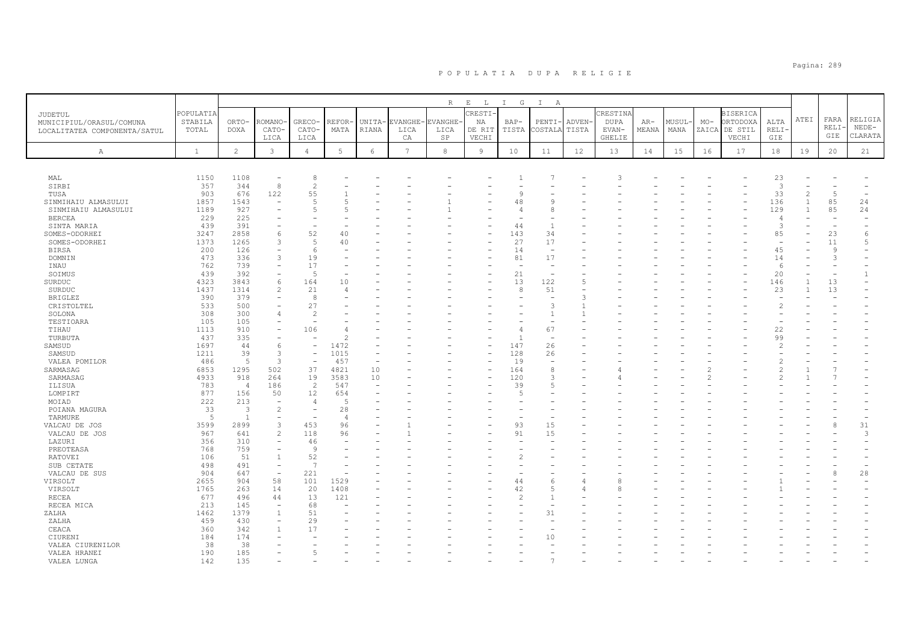|                              |              |                |                          |                          |                 |        |                 | R              | $\mathbf{E}$<br>$\mathbb{L}$ | I G            | $\mathbb{I}$<br>$\mathbb{A}$ |               |               |       |        |       |                 |             |                |                          |                |
|------------------------------|--------------|----------------|--------------------------|--------------------------|-----------------|--------|-----------------|----------------|------------------------------|----------------|------------------------------|---------------|---------------|-------|--------|-------|-----------------|-------------|----------------|--------------------------|----------------|
| JUDETUL                      | POPULATIA    |                |                          |                          |                 |        |                 |                | <b>RESTI</b>                 |                |                              |               | CRESTINA      |       |        |       | <b>BISERICA</b> |             |                |                          |                |
|                              | STABILA      | ORTO-          | ROMANO                   | GRECO-                   | REFOR-          | UNITA- | EVANGHE         | <b>EVANGHE</b> | ΝA                           | $BAP-$         | PENTI                        | ADVEN-        | <b>DUPA</b>   | AR-   | MUSUL· | $MO-$ | ORTODOXA        | ALTA        | ATEI           | FARA                     | RELIGIA        |
| MUNICIPIUL/ORASUL/COMUNA     | TOTAL        | <b>DOXA</b>    | CATO-                    | CATO-                    | MATA            | RIANA  | LICA            | LICA           | DE RIT                       | TISTA          | COSTALA                      | TISTA         | EVAN-         | MEANA | MANA   | ZAICA | DE STIL         | <b>RELI</b> |                | RELI·                    | $NEDE-$        |
| LOCALITATEA COMPONENTA/SATUL |              |                | LICA                     | LICA                     |                 |        | CA              | SP             | VECHI                        |                |                              |               | <b>GHELIE</b> |       |        |       | VECHI           | GIE         |                | GIE                      | CLARATA        |
|                              |              |                |                          |                          |                 |        |                 |                |                              |                |                              |               |               |       |        |       |                 |             |                |                          |                |
| $\mathbb{A}$                 | $\mathbf{1}$ | $\overline{c}$ | $\mathbf{3}$             | $\overline{4}$           | $5\phantom{.0}$ | 6      | $7\overline{ }$ | 8              | 9                            | 10             | 11                           | 12            | 13            | 14    | 15     | 16    | 17              | 18          | 19             | 20                       | 21             |
|                              |              |                |                          |                          |                 |        |                 |                |                              |                |                              |               |               |       |        |       |                 |             |                |                          |                |
| MAL                          | 1150         | 1108           |                          | 8                        |                 |        |                 |                |                              |                |                              |               |               |       |        |       |                 | 23          |                |                          |                |
| SIRBI                        | 357          | 344            | 8                        | $\overline{c}$           |                 |        |                 |                |                              |                |                              |               |               |       |        |       |                 | 3           |                |                          |                |
| TUSA                         | 903          | 676            | 122                      | 55                       |                 |        |                 |                |                              | 9              |                              |               |               |       |        |       |                 | 33          | $\mathfrak{D}$ | 5                        |                |
| SINMIHAIU ALMASULUI          | 1857         | 1543           |                          | 5                        |                 |        |                 |                |                              | 48             |                              |               |               |       |        |       |                 | 136         |                | 85                       | 24             |
| SINMIHAIU ALMASULUI          | 1189         | 927            |                          | 5                        |                 |        |                 |                |                              | 4              |                              |               |               |       |        |       |                 | 129         |                | 85                       | 24             |
| <b>BERCEA</b>                | 229          | 225            |                          | ٠                        |                 |        |                 |                |                              |                |                              |               |               |       |        |       |                 | $\angle$    |                | $\overline{\phantom{0}}$ |                |
| SINTA MARIA                  | 439          | 391            |                          | ٠                        |                 |        |                 |                |                              | 44             | -1                           |               |               |       |        |       |                 | 3           |                | $\overline{\phantom{a}}$ |                |
| SOMES-ODORHEI                | 3247         | 2858           | 6                        | 52                       | 40              |        |                 |                |                              | 143            | 34                           |               |               |       |        |       |                 | 85          |                | 23                       | 6              |
| SOMES-ODORHEI                | 1373         | 1265           |                          | 5                        | 40              |        |                 |                |                              | 27             | 17                           |               |               |       |        |       |                 |             |                | 11                       | $\overline{5}$ |
| <b>BIRSA</b>                 | 200          | 126            |                          | 6                        |                 |        |                 |                |                              | 14             | $\overline{\phantom{m}}$     |               |               |       |        |       |                 | 45          |                | 9                        |                |
| DOMNIN                       | 473          | 336            | 3                        | 19                       |                 |        |                 |                |                              | 81             | 17                           |               |               |       |        |       |                 | 14          |                | 3                        |                |
| INAU                         | 762          | 739            |                          | 17                       |                 |        |                 |                |                              | ۰              |                              |               |               |       |        |       |                 | -6          |                | $\rightarrow$            |                |
| SOIMUS                       | 439          | 392            |                          | 5                        |                 |        |                 |                |                              | 21             |                              |               |               |       |        |       |                 | 20          |                |                          | $\mathbf{1}$   |
| SURDUC                       | 4323         | 3843           | 6                        | 164                      | 10              |        |                 |                |                              | 13             | 122                          | 5             |               |       |        |       |                 | 146         |                | 13                       |                |
| SURDUC                       | 1437         | 1314           | $\mathcal{L}$            | 21                       | 4               |        |                 |                |                              | 8              | 51                           |               |               |       |        |       |                 | 23          |                | 13                       |                |
| <b>BRIGLEZ</b>               | 390          | 379            |                          | 8                        |                 |        |                 |                |                              |                |                              | $\mathcal{R}$ |               |       |        |       |                 |             |                |                          |                |
| CRISTOLTEL                   | 533          | 500            |                          | 27                       |                 |        |                 |                |                              |                | З                            |               |               |       |        |       |                 |             |                |                          |                |
| SOLONA                       | 308          | 300            |                          | $\overline{2}$           |                 |        |                 |                |                              |                |                              |               |               |       |        |       |                 |             |                |                          |                |
| TESTIOARA                    | 105          | 105            |                          |                          |                 |        |                 |                |                              |                |                              |               |               |       |        |       |                 |             |                |                          |                |
| TIHAU                        | 1113         | 910            |                          | 106                      |                 |        |                 |                |                              | $\overline{4}$ | 67                           |               |               |       |        |       |                 | 22          |                |                          |                |
| TURBUTA                      | 437          | 335            |                          |                          | 2               |        |                 |                |                              |                |                              |               |               |       |        |       |                 | 99          |                |                          |                |
| SAMSUD                       | 1697         | 44             | $\epsilon$               | $\overline{\phantom{0}}$ | 1472            |        |                 |                |                              | 147            | 26                           |               |               |       |        |       |                 |             |                |                          |                |
| SAMSUD                       | 1211         | 39             | 3                        | $\overline{\phantom{a}}$ | 1015            |        |                 |                |                              | 128            | 26                           |               |               |       |        |       |                 |             |                |                          |                |
| VALEA POMILOR                | 486          | 5              | $\mathcal{R}$            | $\overline{\phantom{0}}$ | 457             | ٠      |                 |                |                              | 19             | $\overline{\phantom{a}}$     |               |               |       |        |       |                 |             |                |                          |                |
| SARMASAG                     | 6853         | 1295           | 502                      | 37                       | 4821            | 10     |                 |                |                              | 164            | 8                            |               |               |       |        |       |                 |             |                |                          |                |
| SARMASAG                     | 4933         | 918            | 264                      | 19                       | 3583            | 10     |                 |                |                              | 120            | 3                            |               |               |       |        |       |                 |             |                |                          |                |
| ILISUA                       | 783          | $\overline{4}$ | 186                      | 2                        | 547             | ٠      |                 |                |                              | 39             |                              |               |               |       |        |       |                 |             |                |                          |                |
| LOMPIRT                      | 877          | 156            | 50                       | 12                       | 654             |        |                 |                |                              | $\overline{a}$ |                              |               |               |       |        |       |                 |             |                |                          |                |
| MOIAD                        | 222          | 213            | $\overline{\phantom{a}}$ | $\overline{4}$           | 5               |        |                 |                |                              |                |                              |               |               |       |        |       |                 |             |                |                          |                |
| POIANA MAGURA                | 33           | 3              | $\overline{2}$           | ٠                        | 28              |        |                 |                |                              |                |                              |               |               |       |        |       |                 |             |                |                          |                |
| TARMURE                      | 5            | $\overline{1}$ |                          | $\sim$                   | $\overline{4}$  |        |                 |                |                              |                |                              |               |               |       |        |       |                 |             |                |                          |                |
| VALCAU DE JOS                | 3599         | 2899           | 3                        | 453                      | 96              |        |                 |                |                              | 93             | 15                           |               |               |       |        |       |                 |             |                | 8                        | 31             |
| VALCAU DE JOS                | 967          | 641            | $\mathfrak{D}$           | 118                      | 96              |        |                 |                |                              | 91             | 15                           |               |               |       |        |       |                 |             |                |                          | 3              |
| LAZURI                       | 356          | 310            |                          | 46                       |                 |        |                 |                |                              |                |                              |               |               |       |        |       |                 |             |                |                          |                |
| PREOTEASA                    | 768          | 759            |                          | 9                        |                 |        |                 |                |                              |                |                              |               |               |       |        |       |                 |             |                |                          |                |
| <b>RATOVEI</b>               | 106          | 51             | $\overline{1}$           | 52                       |                 |        |                 |                |                              | $\overline{c}$ |                              |               |               |       |        |       |                 |             |                |                          |                |
| SUB CETATE                   | 498          | 491            | $\overline{\phantom{0}}$ | 7                        |                 |        |                 |                |                              |                |                              |               |               |       |        |       |                 |             |                |                          |                |
| VALCAU DE SUS                | 904          | 647            | $\overline{\phantom{a}}$ | 221                      |                 |        |                 |                |                              |                |                              |               |               |       |        |       |                 |             |                | 8                        | 28             |
| VIRSOLT                      | 2655         | 904            | 58                       | 101                      | 1529            |        |                 |                |                              | 44             | 6                            |               | 8             |       |        |       |                 |             |                |                          |                |
| VIRSOLT                      | 1765         | 263            | 14                       | 20                       | 1408            |        |                 |                |                              | 42             |                              |               | 8             |       |        |       |                 |             |                |                          |                |
| <b>RECEA</b>                 | 677          | 496            | 44                       | 13                       | 121             |        |                 |                |                              | $\overline{c}$ |                              |               |               |       |        |       |                 |             |                |                          |                |
| RECEA MICA                   | 213          | 145            |                          | 68                       |                 |        |                 |                |                              |                |                              |               |               |       |        |       |                 |             |                |                          |                |
| ZALHA                        | 1462         | 1379           | $\overline{1}$           | 51                       |                 |        |                 |                |                              |                | 31                           |               |               |       |        |       |                 |             |                |                          |                |
| ZALHA                        | 459          | 430            |                          | 29                       |                 |        |                 |                |                              |                |                              |               |               |       |        |       |                 |             |                |                          |                |
| CEACA                        | 360          | 342            |                          | 17                       |                 |        |                 |                |                              |                |                              |               |               |       |        |       |                 |             |                |                          |                |
| CIURENI                      | 184          | 174            |                          |                          |                 |        |                 |                |                              |                | 10                           |               |               |       |        |       |                 |             |                |                          |                |
| VALEA CIURENILOR             | 38           | 38             |                          |                          |                 |        |                 |                |                              |                |                              |               |               |       |        |       |                 |             |                |                          |                |
| VALEA HRANEI                 | 190          | 185            |                          | 5                        |                 |        |                 |                |                              |                |                              |               |               |       |        |       |                 |             |                |                          |                |
| VALEA LUNGA                  | 142          | 1.35           |                          |                          |                 |        |                 |                |                              |                |                              |               |               |       |        |       |                 |             |                |                          |                |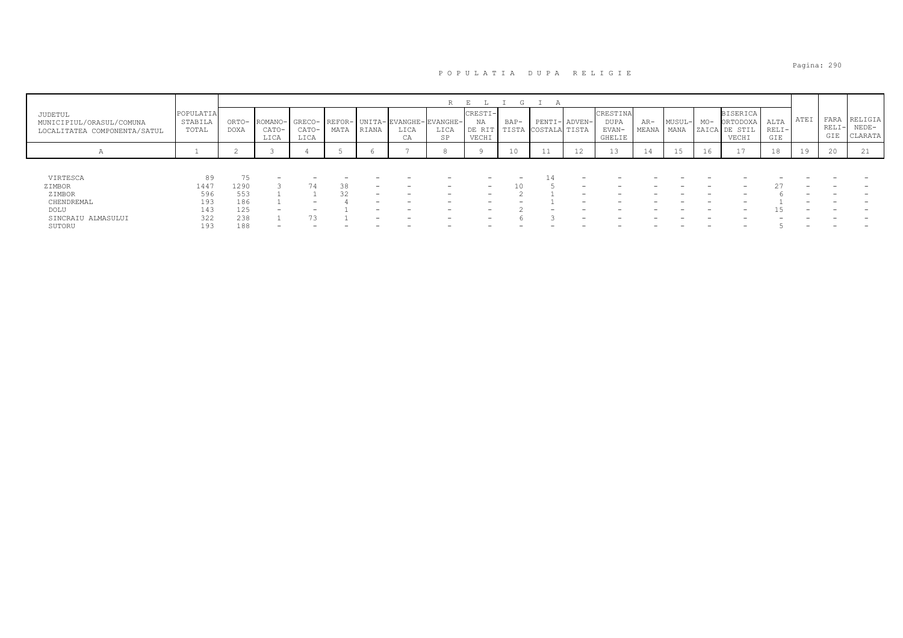|                                                                     |                               |               |               |                          |      |                          |                                                                            | $\mathbb{D}$ |                                  | G               |                   |               |                                     |                     |        |       |                                                       |                        |      |                        |                               |
|---------------------------------------------------------------------|-------------------------------|---------------|---------------|--------------------------|------|--------------------------|----------------------------------------------------------------------------|--------------|----------------------------------|-----------------|-------------------|---------------|-------------------------------------|---------------------|--------|-------|-------------------------------------------------------|------------------------|------|------------------------|-------------------------------|
| JUDETUL<br>MUNICIPIUL/ORASUL/COMUNA<br>LOCALITATEA COMPONENTA/SATUL | POPULATIA<br>STABILA<br>TOTAL | ORTO-<br>DOXA | CATO-<br>LICA | CATO-<br>LICA            | MATA | RIANA                    | ROMANO- GRECO- REFOR- UNITA-EVANGHE-EVANGHE-<br>LICA<br>$\sim$ $\pi$<br>UА | LICA<br>SP   | CRESTI-<br>NA<br>DE RIT<br>VECHI | $BAP-$<br>TISTA | COSTALA TISTA     | PENTI- ADVEN- | CRESTINA<br>DUPA<br>EVAN-<br>GHELIE | $AR-$<br>MEANA MANA | MUSUL- | $MO-$ | <b>BISERICA</b><br>ORTODOXA<br>ZAICA DE STIL<br>VECHI | ALTA<br>$RELI-$<br>GIE | ATEI | FARA<br>$RELI-$<br>GIE | RELIGIA<br>$NEDE-$<br>CLARATA |
| $\mathcal{A}$                                                       |                               |               |               |                          |      |                          |                                                                            |              |                                  | 10              | $-1$<br><b>TT</b> | 12            | ⊥⊃                                  | 14                  |        | 16    | 17                                                    | 18                     | 19   | 20                     |                               |
|                                                                     |                               |               |               |                          |      |                          |                                                                            |              |                                  |                 |                   |               |                                     |                     |        |       |                                                       |                        |      |                        |                               |
| VIRTESCA                                                            | 89                            |               |               |                          |      |                          |                                                                            |              | $\overline{\phantom{0}}$         | -               |                   |               |                                     |                     |        |       |                                                       |                        |      |                        |                               |
| ZIMBOR                                                              | 1447                          | 1290          |               |                          | 38   | $\overline{\phantom{0}}$ |                                                                            |              | -                                |                 |                   |               |                                     |                     |        |       |                                                       |                        |      |                        |                               |
| ZIMBOR                                                              | 596                           | 553           |               |                          |      | $\overline{\phantom{0}}$ |                                                                            |              |                                  |                 |                   |               |                                     |                     |        |       |                                                       |                        |      |                        |                               |
| CHENDREMAL                                                          | 193                           | 186           |               | $\overline{\phantom{0}}$ |      |                          |                                                                            |              |                                  |                 |                   |               |                                     |                     |        |       |                                                       |                        |      |                        |                               |
| DOLU                                                                | 143                           | 125           | -             |                          |      | $\overline{\phantom{0}}$ | $\overline{\phantom{0}}$                                                   |              | -                                |                 |                   |               |                                     |                     |        |       |                                                       |                        |      |                        |                               |
| SINCRAIU ALMASULUI                                                  | 322                           | 238           |               | 73                       |      | $\overline{\phantom{0}}$ |                                                                            |              | $\overline{\phantom{0}}$         |                 |                   | -             |                                     |                     |        |       |                                                       |                        |      |                        |                               |
| SUTORU                                                              | 193                           | 188           |               |                          |      |                          |                                                                            |              |                                  |                 |                   |               |                                     |                     |        |       |                                                       |                        |      |                        |                               |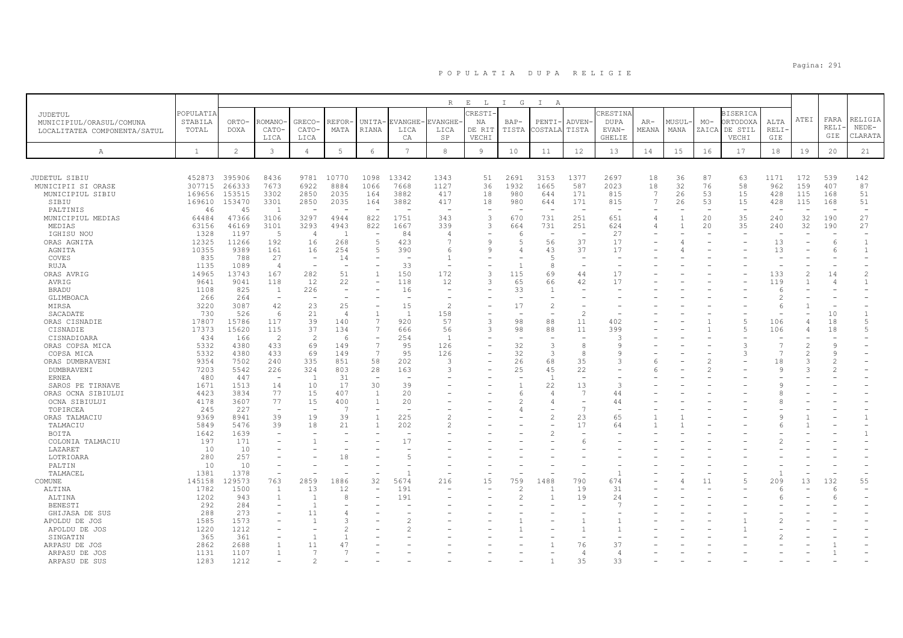|                                     |                  |                  |                          |                                |                          |                                               |                 | $\mathbb{R}$             | $\,$ E<br>$\mathbb{L}$   | I G            | $\mathbb{I}$<br>A        |                          |              |                |                |          |                          |                |                          |             |                  |
|-------------------------------------|------------------|------------------|--------------------------|--------------------------------|--------------------------|-----------------------------------------------|-----------------|--------------------------|--------------------------|----------------|--------------------------|--------------------------|--------------|----------------|----------------|----------|--------------------------|----------------|--------------------------|-------------|------------------|
| JUDETUL                             | POPULATIA        |                  |                          |                                |                          |                                               |                 |                          | CRESTI                   |                |                          |                          | RESTIN       |                |                |          | <b>BISERICA</b>          |                |                          |             |                  |
| MUNICIPIUL/ORASUL/COMUNA            | STABILA          | ORTO-            | ROMANO                   | GRECO-                         | <b>REFOR-</b>            | UNITA-                                        | EVANGHE-        | EVANGHE-                 | ΝA                       | BAP-           | PENTI·                   | <b>ADVEN</b>             | <b>DUPA</b>  | AR-            | MUSUL-         | $MO-$    | <b>RTODOXA</b>           | ALTA           | ATEI                     | FARA        | RELIGIA          |
| LOCALITATEA COMPONENTA/SATUL        | TOTAL            | <b>DOXA</b>      | CATO-                    | CATO-                          | MATA                     | RIANA                                         | LICA            | LICA                     | DE RIT                   | TISTA          | COSTALA TISTA            |                          | EVAN-        | MEANA          | MANA           | ZAICA    | DE STIL                  | RELI           |                          | RELI<br>GIE | NEDE-<br>CLARATA |
|                                     |                  |                  | LICA                     | LICA                           |                          |                                               | CA              | SP                       | VECHI                    |                |                          |                          | GHELIE       |                |                |          | VECHI                    | GIE            |                          |             |                  |
| A                                   | <sup>1</sup>     | $\overline{2}$   | 3                        | $\overline{4}$                 | $5\phantom{.0}$          | 6                                             | $7\phantom{.0}$ | $^{\rm 8}$               | $\overline{9}$           | 10             | 11                       | 12                       | 13           | 14             | 15             | 16       | 17                       | 18             | 19                       | 20          | 21               |
|                                     |                  |                  |                          |                                |                          |                                               |                 |                          |                          |                |                          |                          |              |                |                |          |                          |                |                          |             |                  |
|                                     |                  |                  |                          |                                |                          |                                               |                 |                          |                          |                |                          |                          |              |                |                |          |                          |                |                          |             |                  |
| JUDETUL SIBIU<br>MUNICIPII SI ORASE | 452873<br>307715 | 395906<br>266333 | 8436<br>7673             | 9781<br>6922                   | 10770<br>8884            | 1098<br>1066                                  | 13342<br>7668   | 1343<br>1127             | 51<br>36                 | 2691<br>1932   | 3153<br>1665             | 1377<br>587              | 2697<br>2023 | 18<br>18       | 36<br>32       | 87<br>76 | 63<br>58                 | 1171<br>962    | 172<br>159               | 539<br>407  | 142<br>87        |
| MUNICIPIUL SIBIU                    | 169656           | 153515           | 3302                     | 2850                           | 2035                     | 164                                           | 3882            | 417                      | 18                       | 980            | 644                      | 171                      | 815          | 7              | 26             | 53       | 15                       | 428            | 115                      | 168         | 51               |
| SIBIU                               | 169610           | 153470           | 3301                     | 2850                           | 2035                     | 164                                           | 3882            | 417                      | 18                       | 980            | 644                      | 171                      | 815          | 7              | 26             | 53       | 15                       | 428            | 115                      | 168         | 51               |
| PALTINIS                            | 46               | 45               | - 1                      | $\overline{a}$                 |                          |                                               |                 | $\overline{a}$           | $\overline{\phantom{a}}$ |                | $\overline{a}$           | <b>1</b>                 |              |                |                |          | $\overline{\phantom{a}}$ |                |                          |             |                  |
| MUNICIPIUL MEDIAS                   | 64484            | 47366            | 3106                     | 3297                           | 4944                     | 822                                           | 1751            | 343                      | 3                        | 670            | 731                      | 251                      | 651          | 4              | $\mathbf{1}$   | 20       | 35                       | 240            | 32                       | 190         | 27               |
| MEDIAS                              | 63156            | 46169            | 3101                     | 3293                           | 4943                     | 822                                           | 1667            | 339                      | 3                        | 664            | 731                      | 251                      | 624          | $\overline{4}$ | $\overline{1}$ | 20       | 35                       | 240            | 32                       | 190         | 27               |
| IGHISU NOU                          | 1328             | 1197             | -5                       | 4                              | $\overline{1}$           | $\overline{\phantom{0}}$                      | 84              | $\overline{4}$           |                          | 6              | $\overline{\phantom{a}}$ | $\sim$                   | 27           |                |                |          |                          |                |                          |             |                  |
| ORAS AGNITA                         | 12325            | 11266            | 192                      | 16                             | 268                      | 5                                             | 423             | $\overline{7}$           | 9                        | 5              | 56                       | 37                       | 17           |                |                |          | $\overline{\phantom{a}}$ | 13             |                          | -6          | $\mathbf{1}$     |
| AGNITA                              | 10355            | 9389             | 161                      | 16                             | 254                      | 5                                             | 390             | 6                        | 9                        | 4              | 43<br>.5                 | 37                       | 17           |                |                |          |                          | 13             |                          | -6          | -1               |
| COVES<br>RUJA                       | 835<br>1135      | 788<br>1089      | 27<br>$\overline{4}$     | $\overline{\phantom{a}}$<br>÷, | 14<br>$\sim$             | $\qquad \qquad -$<br>$\overline{\phantom{a}}$ | 33              | $\mathbf{1}$<br>$\sim$   | $\overline{\phantom{a}}$ |                | 8                        | $\overline{\phantom{a}}$ |              |                |                |          |                          |                |                          |             |                  |
| ORAS AVRIG                          | 14965            | 13743            | 167                      | 282                            | 51                       | $\mathbf{1}$                                  | 150             | 172                      | 3                        | 115            | 69                       | 44                       | 17           |                |                |          |                          | 133            | $\overline{\mathcal{L}}$ | 14          | $\mathfrak{D}$   |
| AVRIG                               | 9641             | 9041             | 118                      | 12                             | 22                       |                                               | 118             | 12                       | 3                        | 65             | 66                       | 42                       | 17           |                |                |          |                          | 119            |                          |             |                  |
| <b>BRADU</b>                        | 1108             | 825              | $\overline{1}$           | 226                            | $\overline{\phantom{a}}$ | $\overline{\phantom{0}}$                      | 16              | $\overline{\phantom{a}}$ |                          | 33             | $\overline{1}$           |                          |              |                |                |          |                          | -6             |                          |             |                  |
| GLIMBOACA                           | 266              | 264              | $\overline{\phantom{m}}$ |                                |                          |                                               |                 |                          |                          |                |                          |                          |              |                |                |          |                          | $\overline{2}$ |                          |             |                  |
| MIRSA                               | 3220             | 3087             | 42                       | 23                             | 25                       |                                               | 15              | $\mathfrak{D}$           |                          | 17             | $\overline{2}$           |                          |              |                |                |          |                          | -6             |                          |             |                  |
| SACADATE                            | 730              | 526              | 6                        | 21                             | $\overline{4}$           | $\mathbf{1}$                                  | $\overline{1}$  | 158                      |                          |                |                          | $\overline{\mathcal{L}}$ |              |                |                |          |                          |                |                          | 10          |                  |
| ORAS CISNADIE                       | 17807            | 15786            | 117                      | 39                             | 140                      | $\overline{7}$                                | 920             | 57                       | $\overline{3}$           | 98             | 88                       | 11                       | 402          |                |                |          | 5                        | 106            |                          | 18          | $\overline{5}$   |
| CISNADIE                            | 17373            | 15620            | 115<br>2                 | 37<br>$\overline{c}$           | 134<br>-6                | $7\phantom{.0}$<br>$\overline{\phantom{a}}$   | 666<br>254      | 56<br>$\overline{1}$     | 3                        | 98             | 88                       | 11                       | 399<br>3     |                |                |          | 5                        | 106            |                          | 18          | .5               |
| CISNADIOARA<br>ORAS COPSA MICA      | 434<br>5332      | 166<br>4380      | 433                      | 69                             | 149                      | $7\phantom{.0}$                               | 95              | 126                      |                          | 32             | 3                        | 8                        | 9            |                |                |          | 3                        | 7              | 2                        |             |                  |
| COPSA MICA                          | 5332             | 4380             | 433                      | 69                             | 149                      | 7                                             | 9.5             | 126                      |                          | 32             | 3                        | $\mathsf{R}$             | $\circ$      |                |                |          | 3                        | $\overline{7}$ | $\mathfrak{D}$           |             |                  |
| ORAS DUMBRAVENI                     | 9354             | 7502             | 240                      | 335                            | 851                      | 58                                            | 202             | 3                        |                          | 26             | 68                       | 35                       | 3            | 6              |                |          |                          | 18             | 3                        |             |                  |
| DUMBRAVENI                          | 7203             | 5542             | 226                      | 324                            | 803                      | 28                                            | 163             | 3                        |                          | 25             | 45                       | 22                       |              |                |                |          |                          | Q              |                          |             |                  |
| ERNEA                               | 480              | 447              |                          | $\overline{1}$                 | 31                       | $\overline{\phantom{a}}$                      |                 |                          |                          |                | $\overline{1}$           |                          |              |                |                |          |                          |                |                          |             |                  |
| SAROS PE TIRNAVE                    | 1671             | 1513             | 14                       | 10                             | 17                       | 30                                            | 39              |                          |                          |                | 22                       | 13                       | 3            |                |                |          |                          |                |                          |             |                  |
| ORAS OCNA SIBIULUI                  | 4423             | 3834             | 77                       | 15                             | 407                      | $\overline{1}$                                | 20              |                          |                          | 6              | $\overline{4}$           | -7                       | 44           |                |                |          |                          |                |                          |             |                  |
| OCNA SIBIULUI                       | 4178             | 3607             | 77                       | 15                             | 400                      | $\overline{1}$                                | 20              |                          |                          | $\overline{c}$ | 4                        |                          | 44           |                |                |          |                          |                |                          |             |                  |
| TOPIRCEA                            | 245<br>9369      | 227<br>8941      | 39                       | ٠<br>19                        | $\overline{7}$<br>39     | $\overline{\phantom{0}}$<br>$\mathbf{1}$      | 225             | 2                        |                          | 4              | 2                        | $\overline{7}$<br>23     | 65           |                |                |          |                          |                |                          |             |                  |
| ORAS TALMACIU<br>TALMACIU           | 5849             | 5476             | 39                       | 18                             | 21                       | $\mathbf{1}$                                  | 202             | $\mathfrak{D}$           |                          |                |                          | 17                       | 64           |                |                |          |                          |                |                          |             |                  |
| BOITA                               | 1642             | 1639             |                          |                                |                          |                                               |                 |                          |                          |                |                          |                          |              |                |                |          |                          |                |                          |             |                  |
| COLONIA TALMACIU                    | 197              | 171              |                          | $\mathbf{1}$                   |                          |                                               | 17              |                          |                          |                |                          | 6                        |              |                |                |          |                          |                |                          |             |                  |
| LAZARET                             | 10               | 10               |                          |                                | $\overline{\phantom{a}}$ |                                               |                 |                          |                          |                |                          |                          |              |                |                |          |                          |                |                          |             |                  |
| LOTRIOARA                           | 280              | 257              |                          |                                | 18                       |                                               | 5               |                          |                          |                |                          |                          |              |                |                |          |                          |                |                          |             |                  |
| PALTIN                              | 10               | 10               |                          |                                |                          |                                               |                 |                          |                          |                |                          |                          |              |                |                |          |                          |                |                          |             |                  |
| TALMACEL                            | 1381             | 1378             |                          |                                |                          |                                               |                 |                          |                          |                |                          |                          | $\mathbf{1}$ |                |                |          |                          |                |                          |             |                  |
| COMUNE                              | 145158           | 129573           | 763                      | 2859                           | 1886                     | 32                                            | 5674            | 216                      | 15                       | 759            | 1488                     | 790                      | 674          |                |                | 11       | 5                        | 209            | 13                       | 132         | 55               |
| ALTINA                              | 1782             | 1500             |                          | 13<br>$\overline{1}$           | 12<br>8                  |                                               | 191<br>191      |                          |                          | 2              |                          | 19                       | 31<br>2.4    |                |                |          |                          | -6             |                          | -6          |                  |
| ALTINA<br><b>BENESTI</b>            | 1202<br>292      | 943<br>284       |                          | $\mathbf{1}$                   |                          |                                               |                 |                          |                          | $\overline{c}$ |                          | 19                       | 7            |                |                |          |                          |                |                          |             |                  |
| GHIJASA DE SUS                      | 288              | 273              |                          | 11                             | $\angle$                 |                                               |                 |                          |                          |                |                          |                          |              |                |                |          |                          |                |                          |             |                  |
| APOLDU DE JOS                       | 1585             | 1573             |                          | -1                             | З                        |                                               |                 |                          |                          |                |                          |                          |              |                |                |          |                          |                |                          |             |                  |
| APOLDU DE JOS                       | 1220             | 1212             |                          |                                | $\mathcal{D}$            |                                               |                 |                          |                          |                |                          |                          |              |                |                |          |                          |                |                          |             |                  |
| SINGATIN                            | 365              | 361              |                          | $\overline{1}$                 | $\overline{1}$           |                                               |                 |                          |                          |                |                          |                          |              |                |                |          |                          |                |                          |             |                  |
| ARPASU DE JOS                       | 2862             | 2688             |                          | 11                             | 47                       |                                               |                 |                          |                          |                |                          | 76                       | 37           |                |                |          |                          |                |                          |             |                  |
| ARPASU DE JOS                       | 1131             | 1107             |                          | 7                              | -7                       |                                               |                 |                          |                          |                |                          | $\overline{4}$           | 4            |                |                |          |                          |                |                          |             |                  |
| ARPASU DE SUS                       | 1283             | 1212             |                          | $\overline{c}$                 |                          |                                               |                 |                          |                          | -              | $\mathbf{1}$             | 35                       | 33           |                |                |          |                          |                |                          |             |                  |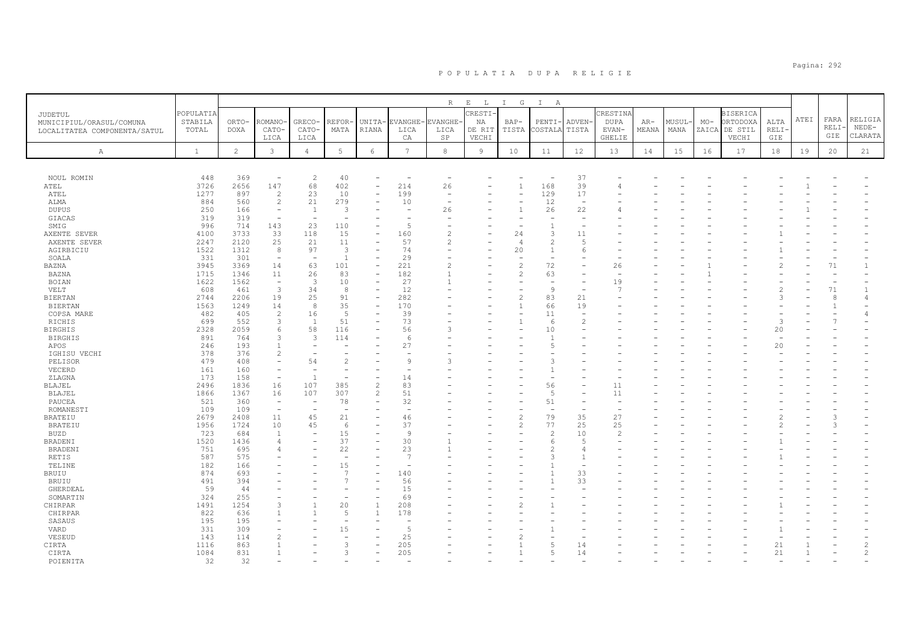|                                                                     |                               |                      |                                    |                                            |                               |                                  |                        | $R_{\perp}$                         | $\mathbf{E}=-\mathbf{L}$ .       | I G             | $\mathbb{I}$<br>A              |                          |                                                   |                |                |       |                                                       |                            |      |                     |                               |
|---------------------------------------------------------------------|-------------------------------|----------------------|------------------------------------|--------------------------------------------|-------------------------------|----------------------------------|------------------------|-------------------------------------|----------------------------------|-----------------|--------------------------------|--------------------------|---------------------------------------------------|----------------|----------------|-------|-------------------------------------------------------|----------------------------|------|---------------------|-------------------------------|
| JUDETUL<br>MUNICIPIUL/ORASUL/COMUNA<br>LOCALITATEA COMPONENTA/SATUL | POPULATIA<br>STABILA<br>TOTAL | ORTO-<br><b>DOXA</b> | <b>COMANO</b><br>CATO-<br>LICA     | GRECO-<br>CATO-<br>LICA                    | <b>REFOR</b><br>MATA          | UNITA-<br>RIANA                  | EVANGHE-<br>LICA<br>СA | <b>EVANGHE</b><br>LICA<br><b>SP</b> | CRESTI-<br>NA<br>DE RIT<br>VECHI | $BAP-$<br>TISTA | PENTI-<br>COSTALA              | <b>ADVEN</b><br>TISTA    | CRESTINA<br><b>DUPA</b><br>EVAN-<br><b>GHELIE</b> | $AR-$<br>MEANA | MUSUL-<br>MANA | $MO-$ | <b>BISERICA</b><br>ORTODOXA<br>ZAICA DE STIL<br>VECHI | ALTA<br><b>RELI</b><br>GIE | ATEI | FARA<br>RELI<br>GIE | RELIGIA<br>$NEDE-$<br>CLARATA |
| Α                                                                   | $\mathbf{1}$                  | $\overline{2}$       | $\mathbf{3}$                       | $\overline{4}$                             | 5                             | $\epsilon$                       | $\overline{7}$         | 8                                   | $\overline{9}$                   | 10              | 11                             | 12                       | 13                                                | 14             | 15             | 16    | 17                                                    | 18                         | 19   | 20                  | 21                            |
|                                                                     |                               |                      |                                    |                                            |                               |                                  |                        |                                     |                                  |                 |                                |                          |                                                   |                |                |       |                                                       |                            |      |                     |                               |
| NOUL ROMIN                                                          | 448                           | 369                  | $\overline{\phantom{a}}$           | $\overline{c}$                             | 40                            |                                  |                        |                                     |                                  |                 | $\overline{\phantom{a}}$       | 37                       |                                                   |                |                |       |                                                       |                            |      |                     |                               |
| ATEL                                                                | 3726                          | 2656                 | 147                                | 68                                         | 402                           | $\overline{\phantom{a}}$         | 214                    | 26                                  |                                  | $\overline{1}$  | 168                            | 39                       |                                                   |                |                |       |                                                       |                            |      |                     |                               |
| ATEL                                                                | 1277                          | 897                  | $\overline{c}$                     | 23                                         | 10                            | $\overline{a}$                   | 199                    | ۰                                   |                                  | ۳               | 129                            | 17                       |                                                   |                |                |       |                                                       |                            |      |                     |                               |
| ALMA                                                                | 884                           | 560                  | $\overline{c}$                     | 21                                         | 279                           | $\overline{\phantom{m}}$         | 10                     |                                     |                                  | ٠               | 12                             | $\overline{\phantom{a}}$ |                                                   |                |                |       |                                                       |                            |      |                     |                               |
| <b>DUPUS</b><br>GIACAS                                              | 250<br>319                    | 166<br>319           | $\overline{\phantom{a}}$<br>$\sim$ | $\overline{1}$<br>$\overline{\phantom{a}}$ | 3<br>$\overline{\phantom{a}}$ |                                  |                        | 26                                  |                                  |                 | 26<br>$\overline{\phantom{0}}$ | 22<br>÷                  |                                                   |                |                |       |                                                       |                            |      |                     |                               |
| SMIG                                                                | 996                           | 714                  | 143                                | 23                                         | 110                           |                                  |                        |                                     |                                  |                 | $\mathbf{1}$                   | $\overline{\phantom{a}}$ |                                                   |                |                |       |                                                       |                            |      |                     |                               |
| AXENTE SEVER                                                        | 4100                          | 3733                 | 33                                 | 118                                        | 15                            | $\overline{\phantom{m}}$         | 160                    |                                     |                                  | 24              | 3                              | 11                       |                                                   |                |                |       |                                                       |                            |      |                     |                               |
| AXENTE SEVER                                                        | 2247                          | 2120                 | 25                                 | 21                                         | 11                            |                                  | 57                     | 2                                   |                                  | $\overline{4}$  | $\overline{c}$                 | 5                        |                                                   |                |                |       |                                                       |                            |      |                     |                               |
| AGIRBICIU                                                           | 1522                          | 1312                 | 8                                  | 97                                         | $\overline{3}$                | $\overline{\phantom{m}}$         | 74                     |                                     |                                  | 20              | $\mathbf{1}$                   | -6                       |                                                   |                |                |       |                                                       |                            |      |                     |                               |
| SOALA                                                               | 331                           | 301                  | $\overline{\phantom{a}}$           |                                            |                               |                                  | 29                     |                                     |                                  |                 | $\overline{\phantom{a}}$       |                          |                                                   |                |                |       |                                                       |                            |      |                     |                               |
| BAZNA                                                               | 3945                          | 3369                 | 14                                 | 63                                         | 101                           | $\overline{\phantom{m}}$         | 221                    | 2                                   |                                  | $\mathfrak{D}$  | 72                             |                          | 26                                                |                |                |       |                                                       | $\mathcal{P}$              |      | 71                  | $\mathbf{1}$                  |
| BAZNA                                                               | 1715                          | 1346                 | 11                                 | 26                                         | 83                            | $\overline{\phantom{a}}$         | 182                    |                                     |                                  | $\overline{c}$  | 63                             |                          |                                                   |                |                |       |                                                       |                            |      |                     |                               |
| BOIAN                                                               | 1622                          | 1562                 | $\overline{\phantom{a}}$           | 3                                          | 10                            | $\overline{\phantom{a}}$         | 27                     |                                     |                                  |                 | $\overline{\phantom{a}}$       |                          | 19                                                |                |                |       |                                                       |                            |      |                     |                               |
| VELT                                                                | 608                           | 461                  | 3                                  | 34                                         | -8                            |                                  | 12                     |                                     |                                  |                 | Q                              |                          | 7                                                 |                |                |       |                                                       | $\mathfrak{D}$             |      | 71                  | $\mathbf{1}$                  |
| <b>BIERTAN</b>                                                      | 2744                          | 2206                 | 19                                 | 25                                         | 91                            | $\overline{\phantom{a}}$         | 282                    |                                     |                                  | $\overline{c}$  | 83                             | 21                       |                                                   |                |                |       |                                                       | $\mathcal{L}$              |      | 8                   | $\overline{4}$                |
| <b>BIERTAN</b>                                                      | 1563                          | 1249                 | 14                                 | 8                                          | 35                            |                                  | 170                    |                                     |                                  | $\mathbf{1}$    | 66                             | 19                       |                                                   |                |                |       |                                                       |                            |      | $\mathbf{1}$        |                               |
| COPSA MARE                                                          | 482                           | 405                  | $\overline{c}$                     | 16                                         | - 5                           | $\overline{\phantom{m}}$         | 39                     |                                     |                                  |                 | 11                             | $\overline{\phantom{a}}$ |                                                   |                |                |       |                                                       |                            |      |                     |                               |
| RICHIS                                                              | 699                           | 552                  | 3                                  | $\overline{1}$                             | 51                            |                                  | 73                     |                                     |                                  | $\overline{1}$  | 6                              | $\overline{c}$           |                                                   |                |                |       |                                                       | $\mathcal{L}$              |      |                     |                               |
| <b>BIRGHIS</b>                                                      | 2328                          | 2059                 | 6                                  | 58                                         | 116                           |                                  | 56                     | 3                                   |                                  |                 | 10                             |                          |                                                   |                |                |       |                                                       | 20                         |      |                     |                               |
| <b>BIRGHIS</b>                                                      | 891                           | 764                  | 3                                  | 3                                          | 114                           |                                  | 6                      |                                     |                                  |                 | $\mathbf{1}$                   |                          |                                                   |                |                |       |                                                       |                            |      |                     |                               |
| APOS                                                                | 246                           | 193                  | $\overline{1}$                     | $\overline{\phantom{a}}$                   |                               |                                  | 27                     |                                     |                                  |                 | 5                              |                          |                                                   |                |                |       |                                                       | 20                         |      |                     |                               |
| IGHISU VECHI                                                        | 378                           | 376                  | $\mathbf{2}$                       |                                            |                               |                                  |                        |                                     |                                  |                 |                                |                          |                                                   |                |                |       |                                                       |                            |      |                     |                               |
| PELISOR                                                             | 479                           | 408                  | $\overline{\phantom{0}}$           | 54                                         |                               |                                  | 9                      |                                     |                                  |                 | 3                              |                          |                                                   |                |                |       |                                                       |                            |      |                     |                               |
| VECERD                                                              | 161                           | 160                  | $\sim$                             |                                            |                               |                                  |                        |                                     |                                  |                 | $\mathbf{1}$                   |                          |                                                   |                |                |       |                                                       |                            |      |                     |                               |
| ZLAGNA                                                              | 173                           | 158                  | $\overline{\phantom{a}}$           | $\overline{1}$                             | $\overline{\phantom{0}}$      | $\overline{\phantom{m}}$         | 14                     |                                     |                                  |                 | $\overline{\phantom{a}}$       |                          |                                                   |                |                |       |                                                       |                            |      |                     |                               |
| BLAJEL                                                              | 2496<br>1866                  | 1836<br>1367         | 16<br>16                           | 107<br>107                                 | 385<br>307                    | $\overline{c}$<br>$\overline{c}$ | 83<br>51               |                                     |                                  |                 | 56<br>5                        |                          | 11<br>11                                          |                |                |       |                                                       |                            |      |                     |                               |
| <b>BLAJEL</b><br>PAUCEA                                             | 521                           | 360                  | $\overline{\phantom{a}}$           |                                            | 78                            | $\overline{a}$                   | 32                     |                                     |                                  |                 | 51                             |                          | $\overline{\phantom{a}}$                          |                |                |       |                                                       |                            |      |                     |                               |
| ROMANESTI                                                           | 109                           | 109                  | $\overline{\phantom{a}}$           |                                            |                               |                                  |                        |                                     |                                  |                 | $\overline{\phantom{a}}$       | $\overline{\phantom{a}}$ |                                                   |                |                |       |                                                       |                            |      |                     |                               |
| <b>BRATEIU</b>                                                      | 2679                          | 2408                 | 11                                 | 45                                         | 21                            |                                  | 46                     |                                     |                                  | $\overline{c}$  | 79                             | 35                       | 27                                                |                |                |       |                                                       |                            |      |                     |                               |
| BRATEIU                                                             | 1956                          | 1724                 | 10                                 | 45                                         | 6                             |                                  | 37                     |                                     |                                  | $\overline{c}$  | 77                             | 25                       | 25                                                |                |                |       |                                                       |                            |      |                     |                               |
| BUZD                                                                | 723                           | 684                  | $\mathbf{1}$                       | $\overline{\phantom{a}}$                   | 15                            |                                  | $\overline{9}$         |                                     |                                  |                 | $\overline{2}$                 | 10                       | $\overline{2}$                                    |                |                |       |                                                       |                            |      |                     |                               |
| <b>BRADENI</b>                                                      | 1520                          | 1436                 | $\overline{4}$                     |                                            | 37                            |                                  | 30                     |                                     |                                  |                 | 6                              | 5                        |                                                   |                |                |       |                                                       |                            |      |                     |                               |
| <b>BRADENI</b>                                                      | 751                           | 695                  | 4                                  |                                            | 22                            |                                  | 23                     |                                     |                                  |                 | $\overline{c}$                 | $\overline{4}$           |                                                   |                |                |       |                                                       |                            |      |                     |                               |
| RETIS                                                               | 587                           | 575                  |                                    |                                            |                               |                                  | - 7                    |                                     |                                  |                 | 3                              | $\mathbf{1}$             |                                                   |                |                |       |                                                       |                            |      |                     |                               |
| TELINE                                                              | 182                           | 166                  |                                    | $\overline{\phantom{0}}$                   | 15                            | $\overline{\phantom{a}}$         | $\sim$                 |                                     |                                  |                 | $\mathbf{1}$                   | $\overline{\phantom{0}}$ |                                                   |                |                |       |                                                       |                            |      |                     |                               |
| BRUIU                                                               | 874                           | 693                  |                                    |                                            | 7                             |                                  | 140                    |                                     |                                  |                 |                                | 33                       |                                                   |                |                |       |                                                       |                            |      |                     |                               |
| BRUIU                                                               | 491                           | 394                  |                                    |                                            |                               |                                  | 56                     |                                     |                                  |                 | $\mathbf{1}$                   | 33                       |                                                   |                |                |       |                                                       |                            |      |                     |                               |
| GHERDEAL                                                            | 59                            | 44                   |                                    |                                            |                               |                                  | 15                     |                                     |                                  |                 |                                |                          |                                                   |                |                |       |                                                       |                            |      |                     |                               |
| SOMARTIN                                                            | 324                           | 255                  | $\overline{\phantom{0}}$           |                                            | $\overline{\phantom{a}}$      |                                  | 69                     |                                     |                                  |                 |                                |                          |                                                   |                |                |       |                                                       |                            |      |                     |                               |
| CHIRPAR                                                             | 1491                          | 1254                 | 3                                  | $\mathbf{1}$                               | 20                            | -1                               | 208                    |                                     |                                  |                 |                                |                          |                                                   |                |                |       |                                                       |                            |      |                     |                               |
| CHIRPAR                                                             | 822                           | 636                  | $\mathbf{1}$                       |                                            | -5                            | $\overline{1}$                   | 178                    |                                     |                                  |                 |                                |                          |                                                   |                |                |       |                                                       |                            |      |                     |                               |
| SASAUS                                                              | 195                           | 195                  |                                    |                                            |                               |                                  |                        |                                     |                                  |                 |                                |                          |                                                   |                |                |       |                                                       |                            |      |                     |                               |
| VARD                                                                | 331                           | 309                  | $\overline{\phantom{0}}$           |                                            | 15                            |                                  | $\overline{5}$         |                                     |                                  |                 |                                |                          |                                                   |                |                |       |                                                       |                            |      |                     |                               |
| VESEUD                                                              | 143                           | 114                  | $\mathfrak{D}$                     |                                            |                               |                                  | 25                     |                                     |                                  |                 |                                |                          |                                                   |                |                |       |                                                       |                            |      |                     |                               |
| CIRTA                                                               | 1116                          | 863                  |                                    |                                            | 3                             |                                  | 205                    |                                     |                                  |                 | 5                              | 14                       |                                                   |                |                |       |                                                       | 21                         |      |                     | $\overline{c}$                |
| CIRTA                                                               | 1084                          | 831                  | $\mathbf{1}$                       |                                            | 3                             | $\overline{\phantom{m}}$         | 205                    |                                     |                                  | $\overline{1}$  | 5                              | 14                       |                                                   |                |                |       |                                                       | 21                         |      |                     | $\overline{c}$                |
| POTENTTA                                                            | 32                            | 32                   |                                    |                                            |                               |                                  |                        |                                     |                                  |                 |                                |                          |                                                   |                |                |       |                                                       |                            |      |                     |                               |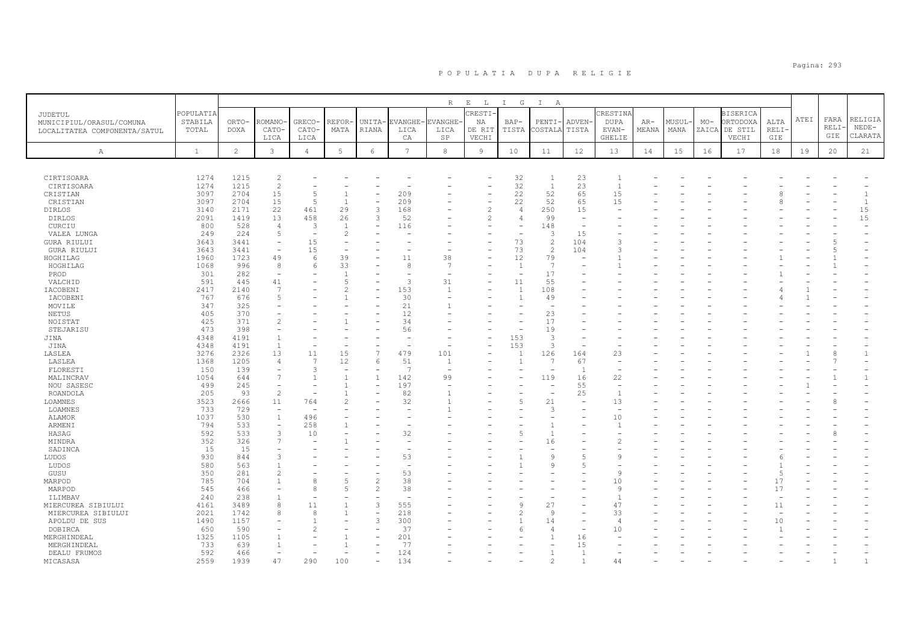|                              |                  |                       |                          |                                  |                      |                               |                        | $R_{\perp}$     | $E$ $L$                  | I G                      | $\mathbb{I}$<br>A        |                          |                                |                |                |       |                           |                     |      |      |                    |
|------------------------------|------------------|-----------------------|--------------------------|----------------------------------|----------------------|-------------------------------|------------------------|-----------------|--------------------------|--------------------------|--------------------------|--------------------------|--------------------------------|----------------|----------------|-------|---------------------------|---------------------|------|------|--------------------|
| JUDETUL                      | POPULATIA        |                       |                          |                                  |                      |                               |                        |                 | CRESTI-                  |                          |                          |                          | CRESTINA                       |                |                |       | <b>BISERICA</b>           |                     | ATEI | FARA | RELIGIA            |
| MUNICIPIUL/ORASUL/COMUNA     | STABILA<br>TOTAL | ORTO-<br><b>DOXA</b>  | <b>COMANO</b><br>CATO-   | GRECO-<br>CATO-                  | <b>REFOR</b><br>MATA | UNITA-<br>RIANA               | <b>EVANGHE</b><br>LICA | EVANGHE<br>LICA | NA<br>DE RIT             | $BAP-$<br>TISTA          | PENTI-<br>COSTALA        | <b>ADVEN</b><br>TISTA    | <b>DUPA</b><br>EVAN-           | $AR-$<br>MEANA | MUSUL-<br>MANA | $MO-$ | ORTODOXA<br>ZAICA DE STIL | ALTA<br><b>RELI</b> |      | RELI | $NEDE-$            |
| LOCALITATEA COMPONENTA/SATUL |                  |                       | LICA                     | LICA                             |                      |                               | CA                     | SP              | VECHI                    |                          |                          |                          | <b>GHELIE</b>                  |                |                |       | VECHI                     | GIE                 |      | GIE  | CLARATA            |
|                              |                  | $\mathbf{2}^{\prime}$ |                          |                                  | 5                    | $\epsilon$                    | $\overline{7}$         |                 |                          |                          |                          |                          |                                |                |                |       |                           |                     |      |      |                    |
| Α                            | $\mathbf{1}$     |                       | $\mathbf{3}$             | $\overline{4}$                   |                      |                               |                        | 8               | 9                        | 10                       | 11                       | 12                       | 13                             | 14             | 15             | 16    | 17                        | 18                  | 19   | 20   | 21                 |
|                              |                  |                       |                          |                                  |                      |                               |                        |                 |                          |                          |                          |                          |                                |                |                |       |                           |                     |      |      |                    |
| CIRTISOARA                   | 1274             | 1215                  | $\overline{c}$           |                                  |                      |                               |                        |                 |                          | 32                       | $\overline{1}$           | 23                       |                                |                |                |       |                           |                     |      |      |                    |
| CIRTISOARA                   | 1274             | 1215                  | $\mathbf{2}$             |                                  |                      |                               |                        |                 |                          | 32                       | $\overline{1}$           | 23                       | $\overline{1}$                 |                |                |       |                           |                     |      |      |                    |
| CRISTIAN                     | 3097             | 2704                  | 15                       | $\overline{5}$<br>$\overline{5}$ |                      |                               | 209                    |                 |                          | 22                       | 52                       | 65                       | 15                             |                |                |       |                           |                     |      |      | $\overline{1}$     |
| CRISTIAN<br><b>DIRLOS</b>    | 3097<br>3140     | 2704<br>2171          | 15<br>22                 | 461                              | 29                   | $\overline{\phantom{0}}$<br>3 | 209<br>168             |                 | $\overline{c}$           | 22<br>$\overline{4}$     | 52<br>250                | 65<br>15                 | 15                             |                |                |       |                           |                     |      |      | $\mathbf{1}$<br>15 |
| <b>DIRLOS</b>                | 2091             | 1419                  | 13                       | 458                              | 26                   | 3                             | 52                     |                 | 2                        | $\overline{4}$           | 99                       | $\overline{\phantom{a}}$ |                                |                |                |       |                           |                     |      |      | 15                 |
| CURCIU                       | 800              | 528                   | $\overline{4}$           | $\overline{3}$                   |                      | $\overline{a}$                | 116                    |                 |                          | ۳                        | 148                      | $\overline{\phantom{a}}$ |                                |                |                |       |                           |                     |      |      |                    |
| VALEA LUNGA                  | 249              | 224                   | 5                        |                                  |                      |                               |                        |                 |                          | ۰                        | 3                        | 15                       |                                |                |                |       |                           |                     |      |      |                    |
| <b>GURA RIULUI</b>           | 3643             | 3441                  | $\overline{\phantom{a}}$ | 15                               |                      |                               |                        |                 |                          | 73                       | $\mathbf{2}$             | 104                      | 3                              |                |                |       |                           |                     |      |      |                    |
| <b>GURA RIULUI</b>           | 3643             | 3441                  | $\equiv$                 | 15                               |                      |                               |                        |                 |                          | 73                       | 2                        | 104                      | ς                              |                |                |       |                           |                     |      |      |                    |
| HOGHILAG                     | 1960             | 1723                  | 49                       | 6                                | 39                   |                               | 11                     | 38              |                          | 12                       | 79                       |                          |                                |                |                |       |                           |                     |      |      |                    |
| HOGHILAG                     | 1068             | 996                   | 8                        | 6                                | 33                   |                               | 8                      | 7               |                          | $\overline{1}$           | $\overline{7}$           |                          |                                |                |                |       |                           |                     |      |      |                    |
| PROD                         | 301              | 282                   | $\sim$                   |                                  |                      |                               |                        |                 |                          | <u>.</u>                 | 17                       |                          |                                |                |                |       |                           |                     |      |      |                    |
| VALCHID                      | 591              | 445                   | 41                       |                                  | $\overline{5}$       |                               | $\mathcal{R}$          | 31              | $\overline{\phantom{0}}$ | 11                       | 55                       |                          |                                |                |                |       |                           |                     |      |      |                    |
| IACOBENI                     | 2417             | 2140                  | $\overline{7}$           |                                  | 2                    |                               | 153                    | -1              |                          | $\mathbf{1}$             | 108                      |                          |                                |                |                |       |                           |                     |      |      |                    |
| IACOBENI                     | 767              | 676                   | 5                        |                                  |                      |                               | 30                     |                 |                          | $\overline{1}$           | 49                       |                          |                                |                |                |       |                           |                     |      |      |                    |
| MOVILE                       | 347              | 325                   |                          |                                  |                      |                               | 21                     |                 |                          |                          |                          |                          |                                |                |                |       |                           |                     |      |      |                    |
| NETUS                        | 405              | 370                   | L,                       |                                  |                      |                               | 12                     |                 |                          |                          | 23                       |                          |                                |                |                |       |                           |                     |      |      |                    |
| NOISTAT                      | 425              | 371                   | $\overline{c}$           |                                  |                      |                               | 34                     |                 |                          |                          | 17                       |                          |                                |                |                |       |                           |                     |      |      |                    |
| STEJARISU                    | 473              | 398                   | L,                       |                                  |                      |                               | 56                     |                 |                          | $\overline{\phantom{0}}$ | 19                       |                          |                                |                |                |       |                           |                     |      |      |                    |
| JINA                         | 4348             | 4191                  | $\overline{1}$           |                                  |                      |                               |                        |                 |                          | 153                      | 3                        |                          |                                |                |                |       |                           |                     |      |      |                    |
| JINA                         | 4348             | 4191                  | 1                        |                                  |                      |                               |                        |                 | ۰                        | 153                      | 3                        | $\sim$                   |                                |                |                |       |                           |                     |      |      |                    |
| LASLEA                       | 3276             | 2326                  | 13                       | 11                               | 15                   | $\overline{7}$                | 479                    | 101             |                          | $\overline{1}$           | 126                      | 164                      | 23                             |                |                |       |                           |                     |      | 8    | $\mathbf{1}$       |
| LASLEA                       | 1368             | 1205                  | $\overline{4}$           | 7                                | 12                   | 6                             | 51<br>- 7              | $\overline{1}$  |                          | $\overline{1}$           | 7                        | 67                       | $\equiv$                       |                |                |       |                           |                     |      |      |                    |
| FLORESTI                     | 150              | 139<br>644            | ۰<br>7                   | 3                                |                      |                               |                        | 99              |                          |                          | 119                      | $\overline{1}$<br>16     |                                |                |                |       |                           |                     |      |      |                    |
| MALINCRAV<br>NOU SASESC      | 1054<br>499      | 245                   | $\overline{\phantom{0}}$ |                                  |                      |                               | 142<br>197             |                 |                          |                          | $\overline{\phantom{a}}$ | 55                       | 22<br>$\overline{\phantom{a}}$ |                |                |       |                           |                     |      |      |                    |
| ROANDOLA                     | 205              | 93                    | $\overline{c}$           |                                  |                      |                               | 82                     |                 |                          |                          | $\overline{\phantom{a}}$ | 25                       |                                |                |                |       |                           |                     |      |      |                    |
| <b>LOAMNES</b>               | 3523             | 2666                  | 11                       | 764                              |                      |                               | 32                     |                 |                          | 5                        | 21                       | $\overline{\phantom{a}}$ | 13                             |                |                |       |                           |                     |      |      |                    |
| LOAMNES                      | 733              | 729                   | $\sim$                   |                                  |                      |                               |                        |                 |                          |                          | 3                        |                          |                                |                |                |       |                           |                     |      |      |                    |
| ALAMOR                       | 1037             | 530                   | $\mathbf{1}$             | 496                              |                      |                               |                        |                 |                          |                          |                          |                          | 10                             |                |                |       |                           |                     |      |      |                    |
| ARMENI                       | 794              | 533                   | $\overline{\phantom{a}}$ | 258                              |                      |                               |                        |                 |                          |                          |                          |                          |                                |                |                |       |                           |                     |      |      |                    |
| HASAG                        | 592              | 533                   | 3                        | 10                               |                      |                               | 32                     |                 |                          | 5                        | $\mathbf{1}$             |                          |                                |                |                |       |                           |                     |      |      |                    |
| MINDRA                       | 352              | 326                   | $\overline{7}$           |                                  |                      |                               |                        |                 |                          |                          | 16                       |                          |                                |                |                |       |                           |                     |      |      |                    |
| SADINCA                      | 15               | 15                    | ۳                        |                                  |                      |                               |                        |                 |                          |                          | $\overline{\phantom{0}}$ |                          |                                |                |                |       |                           |                     |      |      |                    |
| LUDOS                        | 930              | 844                   | 3                        |                                  |                      |                               | 53                     |                 |                          |                          | Q                        | $\overline{2}$           | Q                              |                |                |       |                           |                     |      |      |                    |
| LUDOS                        | 580              | 563                   |                          |                                  |                      |                               |                        |                 |                          |                          | 9                        | $\overline{2}$           |                                |                |                |       |                           |                     |      |      |                    |
| GUSU                         | 350              | 281                   | $\overline{c}$           |                                  |                      |                               | 53                     |                 |                          |                          |                          |                          | $\mathbf{Q}$                   |                |                |       |                           | $\overline{5}$      |      |      |                    |
| MARPOD                       | 785              | 704                   | $\mathbf{1}$             |                                  |                      | $\overline{c}$                | 38                     |                 |                          |                          |                          |                          | 10                             |                |                |       |                           | 17                  |      |      |                    |
| MARPOD                       | 545              | 466                   | ۳                        | $\mathsf{R}$                     |                      | $\overline{c}$                | 38                     |                 |                          |                          |                          |                          | $\circ$                        |                |                |       |                           | 17                  |      |      |                    |
| ILIMBAV                      | 240              | 238                   | $\overline{1}$           |                                  |                      |                               |                        |                 |                          |                          |                          |                          |                                |                |                |       |                           |                     |      |      |                    |
| MIERCUREA SIBIULUI           | 4161             | 3489                  | 8                        | 11                               |                      | 3                             | 555                    |                 |                          | 9                        | 27                       |                          | 47                             |                |                |       |                           | 11                  |      |      |                    |
| MIERCUREA SIBIULUI           | 2021             | 1742                  | 8                        | 8                                |                      | $\overline{\phantom{a}}$      | 218                    |                 |                          |                          | 9                        |                          | 33                             |                |                |       |                           |                     |      |      |                    |
| APOLDU DE SUS                | 1490             | 1157                  |                          |                                  |                      | $\mathbf{3}$                  | 300                    |                 |                          |                          | 14                       |                          | $\overline{4}$                 |                |                |       |                           | 10                  |      |      |                    |
| DOBIRCA                      | 650              | 590                   |                          |                                  |                      |                               | 37                     |                 |                          | 6                        | $\overline{4}$           | $\overline{\phantom{a}}$ | 10                             |                |                |       |                           |                     |      |      |                    |
| MERGHINDEAL                  | 1325             | 1105                  |                          |                                  |                      |                               | 201                    |                 |                          |                          |                          | 16                       |                                |                |                |       |                           |                     |      |      |                    |
| MERGHINDEAL                  | 733              | 639                   |                          |                                  |                      |                               | 77                     |                 |                          |                          |                          | 15                       |                                |                |                |       |                           |                     |      |      |                    |
| DEALU FRUMOS                 | 592              | 466                   |                          |                                  |                      |                               | 124                    |                 |                          |                          |                          | $\overline{1}$           |                                |                |                |       |                           |                     |      |      |                    |
| MICASASA                     | 2559             | 1939                  | 47                       | 290                              | 100                  |                               | 134                    |                 |                          |                          |                          |                          | 44                             |                |                |       |                           |                     |      |      |                    |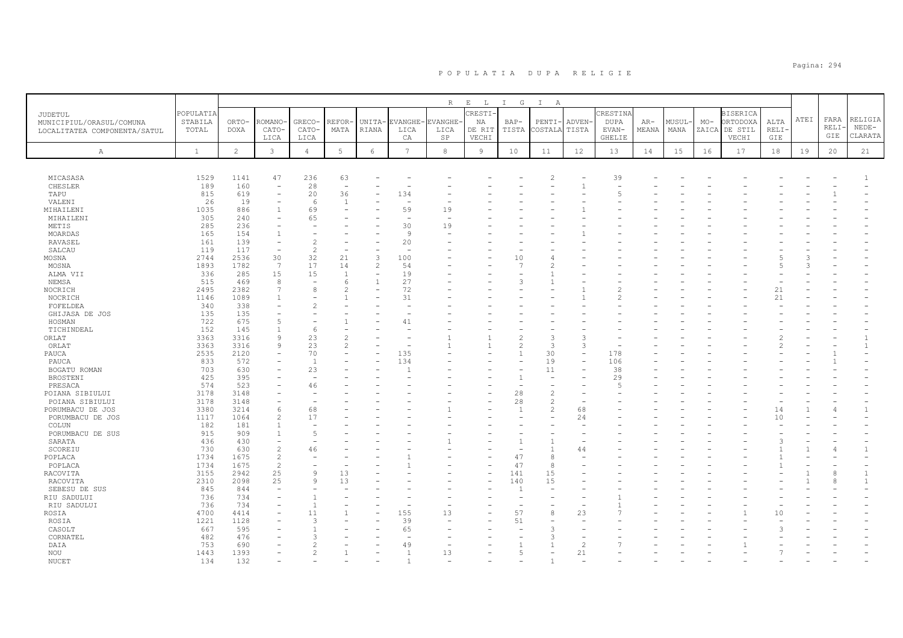|                              |              |                |                          |                          |                          |                          |                | $\mathbb R$ | $\mathbf E$<br>L | $\mathbb{I}$<br>G | $\mathbb{I}$<br>A |                          |                          |       |        |       |                 |       |      |             |                |
|------------------------------|--------------|----------------|--------------------------|--------------------------|--------------------------|--------------------------|----------------|-------------|------------------|-------------------|-------------------|--------------------------|--------------------------|-------|--------|-------|-----------------|-------|------|-------------|----------------|
| JUDETUL                      | POPULATIA    |                |                          |                          |                          |                          |                |             | CRESTI-          |                   |                   |                          | CRESTINA                 |       |        |       | <b>BISERICA</b> |       |      |             |                |
| MUNICIPIUL/ORASUL/COMUNA     | STABILA      | ORTO-          | ROMANO                   | GRECO-                   | REFOR-                   | UNITA-                   | <b>EVANGHE</b> | EVANGHE-    | ΝA               | BAP-              | PENTI             | ADVEN-                   | DUPA                     | AR-   | MUSUL- | $MO-$ | ORTODOXA        | ALTA  | ATEI | FARA        | RELIGIA        |
| LOCALITATEA COMPONENTA/SATUL | TOTAL        | <b>DOXA</b>    | CATO-                    | CATO-                    | MATA                     | RIANA                    | LICA           | LICA        | DE RIT           | TISTA             | COSTALA           | TISTA                    | EVAN-                    | MEANA | MANA   | ZAICA | DE STIL         | RELI- |      | <b>RELI</b> | $NEDE-$        |
|                              |              |                | LICA                     | LICA                     |                          |                          | CA             | SP          | VECHI            |                   |                   |                          | GHELIE                   |       |        |       | VECHI           | GIE   |      | GIE         | CLARATA        |
| $\mathbb{A}$                 | $\mathbf{1}$ | $\overline{c}$ | $\mathbf{3}$             | $\overline{4}$           | $5\phantom{.0}$          | 6                        | 7              | 8           | $\overline{9}$   | 10                | 11                | 12                       | 13                       | 14    | 15     | 16    | 17              | 18    | 19   | 20          | 21             |
|                              |              |                |                          |                          |                          |                          |                |             |                  |                   |                   |                          |                          |       |        |       |                 |       |      |             |                |
|                              |              |                |                          |                          |                          |                          |                |             |                  |                   |                   |                          |                          |       |        |       |                 |       |      |             |                |
| MICASASA                     | 1529         | 1141           | 47                       | 236                      | 63                       |                          |                |             |                  |                   |                   |                          | 39                       |       |        |       |                 |       |      |             |                |
| CHESLER                      | 189          | 160            | $\overline{a}$           | 28                       | $\overline{\phantom{a}}$ |                          |                |             |                  |                   |                   |                          | $\overline{\phantom{a}}$ |       |        |       |                 |       |      |             |                |
| TAPU                         | 815          | 619            |                          | 20                       | 36                       |                          | 134            |             |                  |                   |                   |                          | 5                        |       |        |       |                 |       |      |             |                |
| VALENI                       | 26           | 19             | $\equiv$                 | 6                        | $\overline{1}$           |                          |                |             |                  |                   |                   |                          |                          |       |        |       |                 |       |      |             |                |
| MIHAILENI                    | 1035         | 886            |                          | 69                       |                          |                          | 59             | 19          |                  |                   |                   |                          |                          |       |        |       |                 |       |      |             |                |
| MIHAILENI                    | 305          | 240<br>236     | $\overline{\phantom{a}}$ | 65                       |                          |                          | ÷<br>30        |             |                  |                   |                   |                          |                          |       |        |       |                 |       |      |             |                |
| METIS                        | 285          |                |                          |                          |                          |                          | 9              | 19          |                  |                   |                   |                          |                          |       |        |       |                 |       |      |             |                |
| MOARDAS                      | 165<br>161   | 154            |                          | $\overline{c}$           |                          |                          |                |             |                  |                   |                   |                          |                          |       |        |       |                 |       |      |             |                |
| RAVASEL                      | 119          | 139<br>117     | $\overline{\phantom{0}}$ | $\overline{c}$           |                          |                          | 20<br>÷,       |             |                  |                   |                   |                          |                          |       |        |       |                 |       |      |             |                |
| SALCAU<br>MOSNA              | 2744         | 2536           | 30                       | 32                       | 21                       | 3                        | 100            |             |                  | 10                |                   |                          |                          |       |        |       |                 |       |      |             |                |
| MOSNA                        | 1893         | 1782           | 7                        | 17                       | 14                       | $\overline{c}$           | 54             |             |                  | 7                 |                   |                          |                          |       |        |       |                 |       |      |             |                |
| ALMA VII                     | 336          | 285            | 15                       | 15                       | $\overline{1}$           |                          | 19             |             |                  |                   |                   |                          |                          |       |        |       |                 |       |      |             |                |
| NEMSA                        | 515          | 469            | 8                        | $\overline{\phantom{a}}$ | $\sqrt{2}$               | $\mathbf{1}$             | 27             |             |                  | $\mathcal{L}$     |                   |                          |                          |       |        |       |                 |       |      |             |                |
| NOCRICH                      | 2495         | 2382           | 7                        | 8                        | 2                        | $\overline{\phantom{a}}$ | 72             |             |                  |                   |                   |                          |                          |       |        |       |                 | 21    |      |             |                |
| NOCRICH                      | 1146         | 1089           |                          |                          |                          |                          | 31             |             |                  |                   |                   |                          |                          |       |        |       |                 | 21    |      |             |                |
| FOFELDEA                     | 340          | 338            |                          | $\overline{2}$           |                          |                          |                |             |                  |                   |                   |                          |                          |       |        |       |                 |       |      |             |                |
| GHIJASA DE JOS               | 135          | 135            |                          | $\overline{\phantom{a}}$ |                          |                          |                |             |                  |                   |                   |                          |                          |       |        |       |                 |       |      |             |                |
| HOSMAN                       | 722          | 675            | 5                        |                          |                          |                          | 41             |             |                  |                   |                   |                          |                          |       |        |       |                 |       |      |             |                |
| TICHINDEAL                   | 152          | 145            |                          | 6                        |                          |                          |                |             |                  |                   |                   |                          |                          |       |        |       |                 |       |      |             |                |
| ORLAT                        | 3363         | 3316           | 9                        | 23                       | $\overline{c}$           |                          |                |             |                  | $\mathfrak{D}$    |                   | $\mathcal{R}$            |                          |       |        |       |                 |       |      |             |                |
| ORLAT                        | 3363         | 3316           | $\mathsf{Q}$             | 23                       | $\overline{2}$           |                          |                |             |                  | $\mathfrak{D}$    | 3                 | 3                        |                          |       |        |       |                 |       |      |             | $\mathbf{1}$   |
| PAUCA                        | 2535         | 2120           |                          | 70                       |                          | $\overline{\phantom{0}}$ | 135            |             |                  | $\mathbf{1}$      | 30                | $\overline{\phantom{a}}$ | 178                      |       |        |       |                 |       |      |             |                |
| PAUCA                        | 833          | 572            |                          | $\overline{1}$           |                          |                          | 134            |             |                  |                   | 19                |                          | 106                      |       |        |       |                 |       |      |             |                |
| BOGATU ROMAN                 | 703          | 630            |                          | 23                       |                          |                          |                |             |                  |                   | 11                | $\overline{\phantom{a}}$ | 38                       |       |        |       |                 |       |      |             |                |
| <b>BROSTENI</b>              | 425          | 395            |                          |                          |                          |                          |                |             |                  | $\overline{1}$    |                   |                          | 29                       |       |        |       |                 |       |      |             |                |
| PRESACA                      | 574          | 523            |                          | 46                       |                          |                          |                |             |                  |                   |                   |                          | $\overline{2}$           |       |        |       |                 |       |      |             |                |
| POIANA SIBIULUI              | 3178         | 3148           |                          |                          |                          |                          |                |             |                  | 28                |                   |                          |                          |       |        |       |                 |       |      |             |                |
| POIANA SIBIULUI              | 3178         | 3148           |                          |                          |                          |                          |                |             |                  | 28                | $\mathcal{L}$     | $\overline{\phantom{a}}$ |                          |       |        |       |                 |       |      |             |                |
| PORUMBACU DE JOS             | 3380         | 3214           | 6                        | 68                       |                          |                          |                |             |                  | $\mathbf{1}$      | $\mathfrak{D}$    | 68                       |                          |       |        |       |                 | 14    |      |             | $\mathbf{1}$   |
| PORUMBACU DE JOS             | 1117         | 1064           | $\overline{c}$           | 17                       |                          |                          |                |             |                  |                   |                   | 24                       |                          |       |        |       |                 | 10    |      |             |                |
| COLUN                        | 182          | 181            |                          |                          |                          |                          |                |             |                  |                   |                   |                          |                          |       |        |       |                 |       |      |             |                |
| PORUMBACU DE SUS             | 915          | 909            |                          | 5                        |                          |                          |                |             |                  |                   |                   |                          |                          |       |        |       |                 |       |      |             |                |
| SARATA                       | 436          | 430            |                          |                          |                          |                          |                |             |                  |                   |                   |                          |                          |       |        |       |                 |       |      |             |                |
| SCOREIU                      | 730          | 630            | $\overline{2}$           | 46                       |                          |                          |                |             |                  |                   |                   | 44                       |                          |       |        |       |                 |       |      | 4           | $\overline{1}$ |
| POPLACA                      | 1734         | 1675           | $\mathfrak{D}$           |                          |                          |                          |                |             |                  | 47                | 8                 |                          |                          |       |        |       |                 |       |      |             |                |
| POPLACA                      | 1734         | 1675           | $\overline{c}$           |                          |                          |                          |                |             |                  | 47                | 8                 |                          |                          |       |        |       |                 |       |      |             |                |
| RACOVITA                     | 3155         | 2942           | 25                       | 9                        | 13                       |                          |                |             |                  | 141               | 15                |                          |                          |       |        |       |                 |       |      | 8           | $\mathbf{1}$   |
| RACOVITA                     | 2310         | 2098           | 25                       | 9                        | 13                       |                          |                |             |                  | 140               | 15                |                          |                          |       |        |       |                 |       |      | 8           | $\overline{1}$ |
| SEBESU DE SUS                | 845          | 844            |                          |                          |                          |                          |                |             |                  |                   |                   |                          |                          |       |        |       |                 |       |      |             |                |
| RIU SADULUI                  | 736          | 734            |                          | $\overline{1}$           |                          |                          |                |             |                  |                   |                   |                          |                          |       |        |       |                 |       |      |             |                |
| RIU SADULUI                  | 736          | 734            |                          | $\mathbf{1}$             |                          |                          |                |             |                  |                   | $\mathcal{R}$     |                          |                          |       |        |       |                 |       |      |             |                |
| ROSIA                        | 4700<br>1221 | 4414<br>1128   |                          | 11<br>3                  |                          |                          | 155<br>39      | 13          |                  | 57<br>51          |                   | 23                       |                          |       |        |       |                 | 10    |      |             |                |
| ROSIA<br>CASOLT              | 667          | 595            |                          | $\mathbf{1}$             |                          |                          | 65             |             |                  |                   |                   |                          |                          |       |        |       |                 |       |      |             |                |
| CORNATEL                     | 482          | 476            |                          | 3                        |                          |                          |                |             |                  |                   |                   |                          |                          |       |        |       |                 |       |      |             |                |
| DAIA                         | 753          | 690            |                          | $\overline{2}$           |                          |                          | 49             |             |                  |                   |                   | $\overline{c}$           |                          |       |        |       |                 |       |      |             |                |
| NOU                          | 1443         | 1393           |                          | $\overline{c}$           |                          |                          | $\overline{1}$ | 13          |                  | 5                 |                   | 21                       |                          |       |        |       |                 |       |      |             |                |
| <b>NUCET</b>                 | 1.34         | 132            |                          |                          |                          |                          |                |             |                  |                   |                   |                          |                          |       |        |       |                 |       |      |             |                |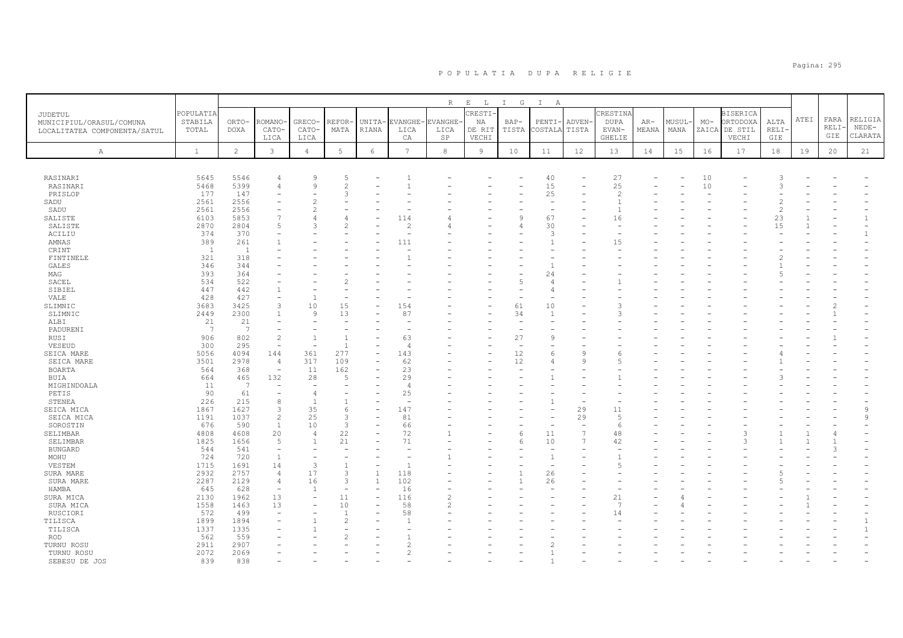|                                                                                                                                                                                                                                                                                                                                                                  |                                                                                                                                                                                                                                                          |                                                                                                                                                                                                                                                                    |                                                                                                                                                                              |                                                                                                                                      |                                                                          |                                |                                                                                                         | $R_{\perp}$                 | $E$ $L$                         | $\mathbb{I}$<br>G                    | $\mathbb{I}$<br>A                                                                                                |                                                                              |                                                                                |                |                |                                        |                                                       |                                                                   |      |                     |                                                              |
|------------------------------------------------------------------------------------------------------------------------------------------------------------------------------------------------------------------------------------------------------------------------------------------------------------------------------------------------------------------|----------------------------------------------------------------------------------------------------------------------------------------------------------------------------------------------------------------------------------------------------------|--------------------------------------------------------------------------------------------------------------------------------------------------------------------------------------------------------------------------------------------------------------------|------------------------------------------------------------------------------------------------------------------------------------------------------------------------------|--------------------------------------------------------------------------------------------------------------------------------------|--------------------------------------------------------------------------|--------------------------------|---------------------------------------------------------------------------------------------------------|-----------------------------|---------------------------------|--------------------------------------|------------------------------------------------------------------------------------------------------------------|------------------------------------------------------------------------------|--------------------------------------------------------------------------------|----------------|----------------|----------------------------------------|-------------------------------------------------------|-------------------------------------------------------------------|------|---------------------|--------------------------------------------------------------|
| JUDETUL<br>MUNICIPIUL/ORASUL/COMUNA<br>LOCALITATEA COMPONENTA/SATUL                                                                                                                                                                                                                                                                                              | POPULATIA<br>STABILA<br>TOTAL                                                                                                                                                                                                                            | ORTO-<br><b>DOXA</b>                                                                                                                                                                                                                                               | ROMANO<br>CATO-<br>LICA                                                                                                                                                      | GRECO-<br>CATO-<br>LICA                                                                                                              | REFOR<br>MATA                                                            | UNITA-<br><b>RIANA</b>         | <b>EVANGHE</b><br>LICA<br>СA                                                                            | <b>VANGHE</b><br>LICA<br>SP | CRESTI<br>ΝA<br>DE RIT<br>VECHI | BAP-<br>TISTA                        | PENTI-<br>COSTALA                                                                                                | <b>ADVEN</b><br>TISTA                                                        | CRESTINA<br><b>DUPA</b><br>EVAN-<br>GHELIE                                     | $AR-$<br>MEANA | MUSUL·<br>MANA | $MO-$                                  | <b>BISERICA</b><br>ORTODOXA<br>ZAICA DE STIL<br>VECHI | ALTA<br>RELI·<br>GIE                                              | ATEI | FARA<br>RELI<br>GIE | RELIGIA<br>$NEDE-$<br>CLARATA                                |
| A                                                                                                                                                                                                                                                                                                                                                                | $\mathbf{1}$                                                                                                                                                                                                                                             | $\overline{c}$                                                                                                                                                                                                                                                     | $\mathbf{3}$                                                                                                                                                                 | $\overline{4}$                                                                                                                       | 5                                                                        | $\epsilon$                     | 7                                                                                                       | 8                           | 9                               | 10                                   | 11                                                                                                               | 12                                                                           | 13                                                                             | 14             | 15             | 16                                     | 17                                                    | 18                                                                | 19   | 20                  | 21                                                           |
| RASINARI<br>RASINARI<br>PRISLOP<br>SADU<br>SADU<br>SALISTE<br>SALISTE<br>ACILIU<br>AMNAS<br>CRINT<br>FINTINELE<br>GALES<br>MAG<br>SACEL<br>SIBIEL<br>VALE<br>SLIMNIC<br>SLIMNIC<br>ALBI<br>PADURENI<br>RUSI<br>VESEUD<br>SEICA MARE<br>SEICA MARE<br>BOARTA<br><b>BUIA</b><br>MIGHINDOALA<br>PETIS<br>STENEA<br>SEICA MICA<br>SEICA MICA<br>SOROSTIN<br>SELIMBAR | 5645<br>5468<br>177<br>2561<br>2561<br>6103<br>2870<br>374<br>389<br>- 1<br>321<br>346<br>393<br>534<br>447<br>428<br>3683<br>2449<br>21<br>$\overline{7}$<br>906<br>300<br>5056<br>3501<br>564<br>664<br>11<br>90<br>226<br>1867<br>1191<br>676<br>4808 | 5546<br>5399<br>147<br>2556<br>2556<br>5853<br>2804<br>370<br>261<br>$\overline{1}$<br>318<br>344<br>364<br>522<br>442<br>427<br>3425<br>2300<br>21<br>7<br>802<br>295<br>4094<br>2978<br>368<br>465<br>$\overline{7}$<br>61<br>215<br>1627<br>1037<br>590<br>4608 | 4<br>$\overline{5}$<br>3<br>1<br>$\overline{c}$<br>۰<br>144<br>$\overline{4}$<br>$\overline{\phantom{a}}$<br>132<br>۰<br>۰<br>8<br>3<br>$\overline{c}$<br>$\mathbf{1}$<br>20 | Q<br>9<br>$\overline{2}$<br>$\mathcal{D}$<br>10<br>9<br>361<br>317<br>11<br>28<br>$\overline{1}$<br>35<br>25<br>10<br>$\overline{4}$ | $\mathcal{P}$<br>Κ<br>15<br>13<br>277<br>109<br>162<br>6<br>3<br>3<br>22 |                                | 114<br>111<br>154<br>87<br>63<br>143<br>62<br>23<br>29<br>$\overline{A}$<br>25<br>147<br>81<br>66<br>72 |                             |                                 | 5<br>61<br>34<br>27<br>12<br>12<br>6 | 40<br>15<br>25<br>٠<br>67<br>30<br>3<br>1<br>24<br>4<br>Δ<br>10<br>$\mathbf{1}$<br>$\mathcal{Q}$<br>6<br>4<br>11 | $\mathcal{Q}$<br>9<br>29<br>29<br>$\overline{\phantom{a}}$<br>$\overline{7}$ | 27<br>25<br>$\overline{2}$<br>16<br>15<br>3<br>11<br>$\overline{5}$<br>6<br>48 |                |                | 10<br>$10$<br>$\overline{\phantom{a}}$ |                                                       | $\mathcal{A}$<br>$\mathcal{L}$<br>$\overline{c}$<br>2<br>23<br>15 |      |                     | $\mathbf{1}$<br>$\mathbf{1}$<br>$\mathsf{Q}$<br>$\mathsf{Q}$ |
| SELIMBAR<br><b>BUNGARD</b><br>MOHU<br>VESTEM<br>SURA MARE<br>SURA MARE<br>HAMBA<br>SURA MICA<br>SURA MICA<br>RUSCIORI<br>TILISCA<br>TILISCA<br><b>ROD</b><br>TURNU ROSU                                                                                                                                                                                          | 1825<br>544<br>724<br>1715<br>2932<br>2287<br>645<br>2130<br>1558<br>572<br>1899<br>1337<br>562<br>2911                                                                                                                                                  | 1656<br>541<br>720<br>1691<br>2757<br>2129<br>628<br>1962<br>1463<br>499<br>1894<br>1335<br>559<br>2907                                                                                                                                                            | 5<br>$\equiv$<br>$\overline{1}$<br>14<br>4<br>$\overline{4}$<br>$\overline{\phantom{a}}$<br>13<br>13                                                                         | $\overline{1}$<br>3<br>17<br>16<br>$\overline{1}$                                                                                    | 21<br>3<br>3<br>11<br>10                                                 | $\overline{1}$<br>$\mathbf{1}$ | 71<br>118<br>102<br>16<br>116<br>58<br>58                                                               |                             |                                 | 6                                    | 10<br>۰<br>26<br>26                                                                                              | 7                                                                            | 42<br>21<br>7<br>14                                                            |                |                |                                        |                                                       |                                                                   |      |                     | 1<br>$\mathbf{1}$                                            |
| TURNU ROSU<br>SEBESU DE JOS                                                                                                                                                                                                                                                                                                                                      | 2072<br>839                                                                                                                                                                                                                                              | 2069<br>838                                                                                                                                                                                                                                                        |                                                                                                                                                                              |                                                                                                                                      |                                                                          |                                |                                                                                                         |                             |                                 |                                      |                                                                                                                  |                                                                              |                                                                                |                |                |                                        |                                                       |                                                                   |      |                     |                                                              |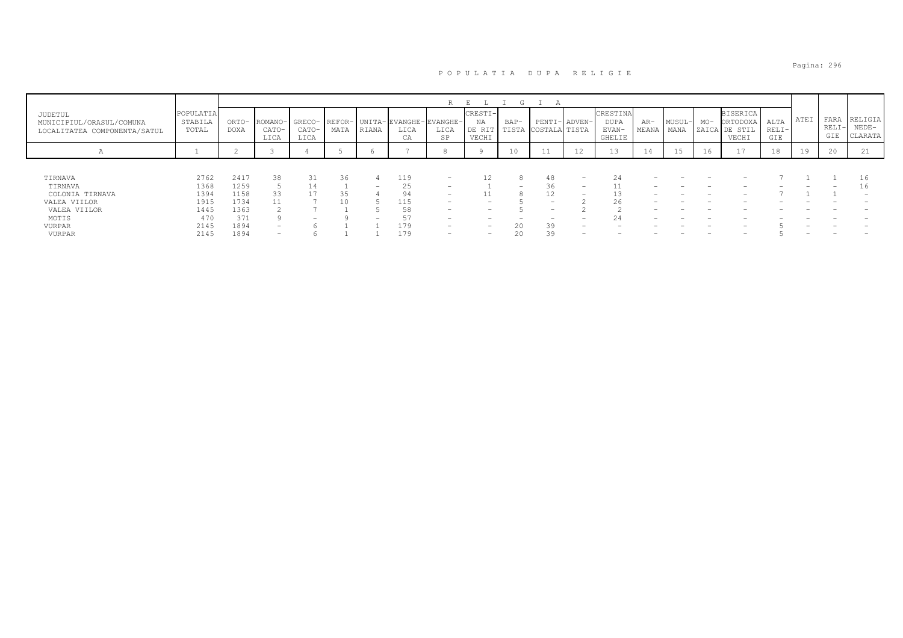#### Pagina: 296

## P O P U L A T I A D U P A R E L I G I E

|                                                                     |                               |               |                          |                          |      |                          |                              | R                                                  | Ε                                | G                        |                          |                          |                                            |                |                |                |                                                 |                        |      |                        |                               |
|---------------------------------------------------------------------|-------------------------------|---------------|--------------------------|--------------------------|------|--------------------------|------------------------------|----------------------------------------------------|----------------------------------|--------------------------|--------------------------|--------------------------|--------------------------------------------|----------------|----------------|----------------|-------------------------------------------------|------------------------|------|------------------------|-------------------------------|
| JUDETUL<br>MUNICIPIUL/ORASUL/COMUNA<br>LOCALITATEA COMPONENTA/SATUL | POPULATIA<br>STABILA<br>TOTAL | ORTO-<br>DOXA | ROMANO-<br>CATO-<br>LICA | CATO-<br>LICA            | MATA | RIANA                    | LICA<br>$\sim$ $\sim$<br>UA. | GRECO- REFOR- UNITA-EVANGHE-EVANGHE-<br>LICA<br>SP | CRESTI-<br>ΝA<br>DE RIT<br>VECHI | $BAP-$<br>TISTA          | COSTALA TISTA            | PENTI- ADVEN-            | CRESTINA<br><b>DUPA</b><br>EVAN-<br>GHELIE | $AR-$<br>MEANA | MUSUL-<br>MANA | $MO-$<br>ZAICA | <b>BISERICA</b><br>ORTODOXA<br>DE STIL<br>VECHI | ALTA<br>$RELI-$<br>GIE | ATEI | FARA<br>$RELI-$<br>GIE | RELIGIA<br>$NEDE-$<br>CLARATA |
| А                                                                   |                               |               |                          |                          |      |                          |                              |                                                    |                                  | 10                       | <b>++</b>                | 12                       |                                            | 14             | ∸              | 16             | 17                                              | 18                     | 19   | 20                     | $4 +$                         |
|                                                                     |                               |               |                          |                          |      |                          |                              |                                                    |                                  |                          |                          |                          |                                            |                |                |                |                                                 |                        |      |                        |                               |
| TIRNAVA                                                             | 2762                          | 2417          | 38                       | 31                       | 36   |                          | 119                          | $\overline{\phantom{0}}$                           | 12                               |                          | 48                       | $\overline{\phantom{0}}$ | 24                                         |                |                |                |                                                 |                        |      |                        |                               |
| TIRNAVA                                                             | 1368                          | 1259          |                          | 14                       |      | $\overline{\phantom{0}}$ | 25                           | -                                                  |                                  | $\overline{\phantom{0}}$ | 36                       | $\overline{\phantom{0}}$ | ᆂᆂ                                         |                |                |                |                                                 |                        |      |                        |                               |
| COLONIA TIRNAVA                                                     | 1394                          | 1158          | 33                       |                          |      |                          |                              | $\overline{\phantom{0}}$                           | ⊥⊥                               |                          | 12                       | $\overline{\phantom{0}}$ | 13                                         |                | -              |                |                                                 |                        |      |                        | $\overline{\phantom{0}}$      |
| VALEA VIILOR                                                        | 1915                          | 1734          |                          |                          | 10   |                          | 115                          | -                                                  | $\overline{\phantom{0}}$         |                          | $\overline{\phantom{0}}$ |                          | 26                                         |                |                |                |                                                 |                        |      |                        |                               |
| VALEA VIILOR                                                        | 1445                          | 1363          |                          |                          |      |                          |                              | -                                                  | $\overline{\phantom{0}}$         |                          | $\overline{\phantom{0}}$ |                          |                                            |                |                |                |                                                 |                        |      |                        |                               |
| MOTIS                                                               | 470                           | 371           |                          | $\overline{\phantom{0}}$ |      | $\overline{\phantom{0}}$ | 51                           | -                                                  | $\overline{\phantom{0}}$         |                          |                          | $\overline{\phantom{0}}$ | 24                                         |                |                |                |                                                 |                        |      |                        |                               |
| VURPAR                                                              | 2145                          | 1894          | -                        |                          |      |                          | 179                          | -                                                  | $\overline{\phantom{0}}$         | 20                       | 39                       | -                        |                                            |                |                |                |                                                 |                        |      |                        |                               |
| VURPAR                                                              | 2145                          | 1894          | -                        |                          |      |                          | 179                          | $\overline{\phantom{0}}$                           | $\overline{\phantom{0}}$         |                          | 39                       |                          |                                            |                |                |                |                                                 |                        |      |                        |                               |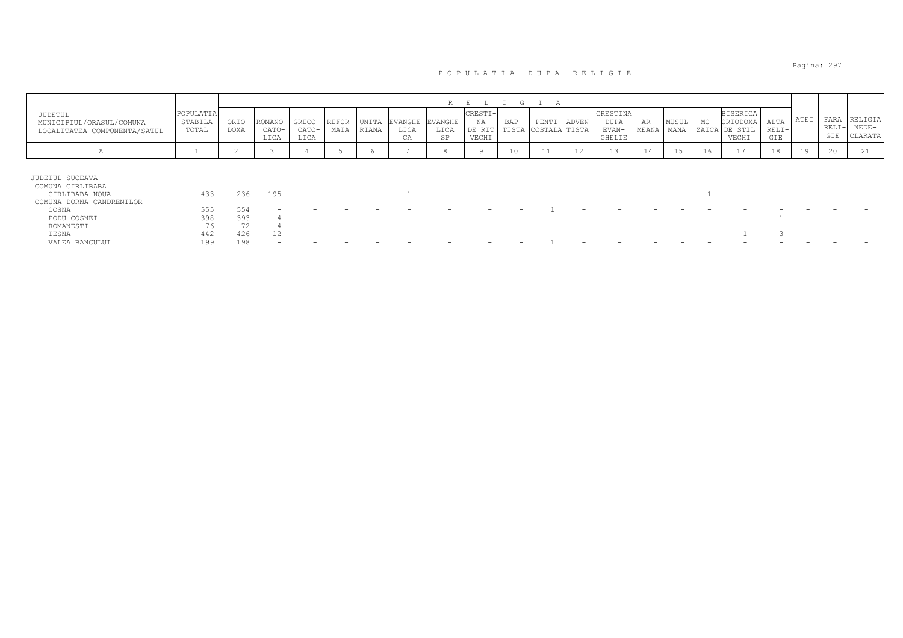|                                                                                   |                               |                      |                          |                         |      |       |                                             | R          | E.                               | G               | $\Delta$                       |    |                                     |              |                |       |                                                       |                        |      |                        |                               |
|-----------------------------------------------------------------------------------|-------------------------------|----------------------|--------------------------|-------------------------|------|-------|---------------------------------------------|------------|----------------------------------|-----------------|--------------------------------|----|-------------------------------------|--------------|----------------|-------|-------------------------------------------------------|------------------------|------|------------------------|-------------------------------|
| JUDETUL<br>MUNICIPIUL/ORASUL/COMUNA<br>LOCALITATEA COMPONENTA/SATUL               | POPULATIA<br>STABILA<br>TOTAL | ORTO-<br><b>DOXA</b> | ROMANO-<br>CATO-<br>LICA | GRECO-<br>CATO-<br>LICA | MATA | RIANA | REFOR- UNITA-EVANGHE-EVANGHE-<br>LICA<br>CA | LICA<br>SP | CRESTI-<br>NA<br>DE RIT<br>VECHI | $BAP-$<br>TISTA | PENTI- ADVEN-<br>COSTALA TISTA |    | CRESTINA<br>DUPA<br>EVAN-<br>GHELIE | AR-<br>MEANA | MUSUL-<br>MANA | $MO-$ | <b>BISERICA</b><br>ORTODOXA<br>ZAICA DE STIL<br>VECHI | ALTA<br>$RELI-$<br>GIE | ATEI | FARA<br>$RELI-$<br>GIE | RELIGIA<br>$NEDE-$<br>CLARATA |
| А                                                                                 |                               | ∼                    |                          |                         |      |       |                                             |            |                                  | 10              | <b>++</b>                      | 12 | IJ                                  | 14           | 15             | 16    | $\perp$ /                                             | 18                     | 19   | 20                     | 21                            |
| JUDETUL SUCEAVA<br>COMUNA CIRLIBABA<br>CIRLIBABA NOUA<br>COMUNA DORNA CANDRENILOR | 433                           | 236                  | 195                      |                         |      |       |                                             |            |                                  |                 |                                |    |                                     |              |                |       |                                                       |                        |      |                        |                               |
| COSNA                                                                             | 555                           | 554                  |                          |                         |      |       |                                             |            |                                  |                 |                                |    |                                     |              |                |       |                                                       |                        |      |                        |                               |
| PODU COSNEI                                                                       | 398                           | 393                  |                          |                         |      |       |                                             |            |                                  |                 |                                |    |                                     |              |                |       |                                                       |                        |      |                        |                               |
| ROMANESTI                                                                         | 76                            |                      |                          |                         |      |       |                                             |            |                                  |                 |                                |    |                                     |              |                |       |                                                       |                        |      |                        |                               |
| TESNA                                                                             | 442                           | 426                  | 12                       |                         |      |       |                                             |            |                                  |                 |                                |    |                                     |              |                |       |                                                       |                        |      |                        |                               |
| VALEA BANCULUI                                                                    | 199                           | 198                  |                          |                         |      |       |                                             |            |                                  | -               |                                |    |                                     |              |                |       |                                                       |                        |      |                        |                               |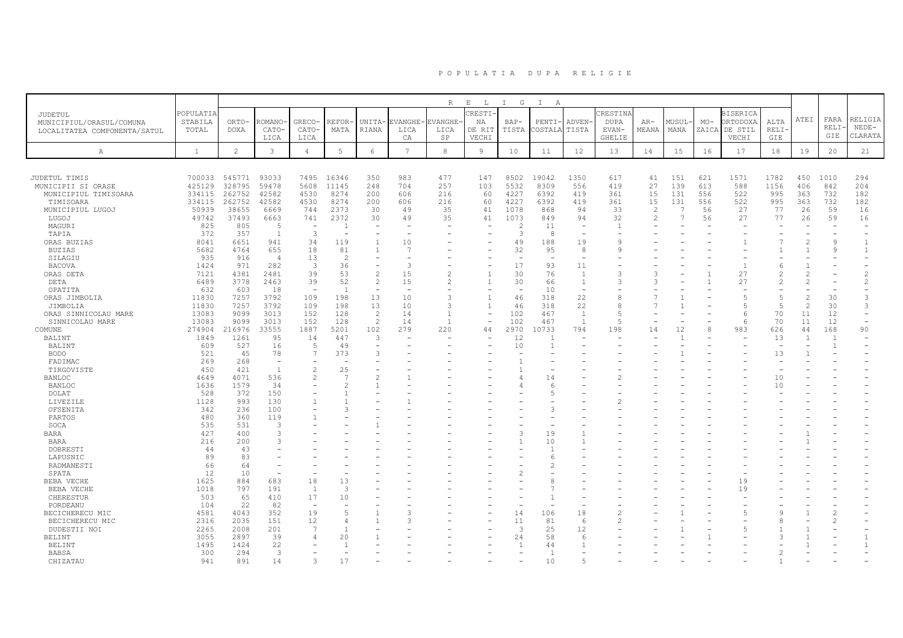|                                                                     |                               |                      |                          |                          |                |                              |                              | R                            | $\mathbf{E}$<br>$\mathbb{L}$    | I G             | $\mathbb{I}$<br>A |                          |                                           |                          |               |                |                                                 |                            |                |                          |                               |
|---------------------------------------------------------------------|-------------------------------|----------------------|--------------------------|--------------------------|----------------|------------------------------|------------------------------|------------------------------|---------------------------------|-----------------|-------------------|--------------------------|-------------------------------------------|--------------------------|---------------|----------------|-------------------------------------------------|----------------------------|----------------|--------------------------|-------------------------------|
| JUDETUL<br>MUNICIPIUL/ORASUL/COMUNA<br>LOCALITATEA COMPONENTA/SATUL | POPULATIA<br>STABILA<br>TOTAL | ORTO-<br><b>DOXA</b> | ROMANO<br>CATO-<br>LICA  | GRECO-<br>CATO-<br>LICA  | REFOR-<br>MATA | <b>UNITA</b><br><b>RIANA</b> | <b>EVANGHE</b><br>LICA<br>CA | <b>CVANGHE</b><br>LICA<br>SP | RESTI-<br>ΝA<br>DE RIT<br>VECHI | $BAP-$<br>TISTA | PENTI-<br>COSTALA | ADVEN<br>TISTA           | RESTINA<br><b>DUPA</b><br>EVAN-<br>GHELIE | $AR-$<br>MEANA           | MUSUL<br>MANA | $MO-$<br>ZAICA | <b>BISERICA</b><br>ORTODOXA<br>DE STIL<br>VECHI | ALTA<br><b>RELI</b><br>GIE | ATEI           | FARA<br>RELI<br>GIE      | RELIGIA<br>$NEDE-$<br>CLARATA |
| Α                                                                   | $\mathbf{1}$                  | $\overline{c}$       | $\mathbf{3}$             | $\overline{4}$           | 5              | 6                            | $7\overline{ }$              | $^{\rm 8}$                   | $\overline{9}$                  | 10              | 11                | 12                       | 13                                        | 14                       | 15            | 16             | 17                                              | 18                         | 19             | 20                       | 21                            |
|                                                                     |                               |                      |                          |                          |                |                              |                              |                              |                                 |                 |                   |                          |                                           |                          |               |                |                                                 |                            |                |                          |                               |
| JUDETUL TIMIS                                                       | 700033                        | 545771               | 93033                    | 7495                     | 16346          | 350                          | 983                          | 477                          | 147                             | 8502            | 19042             | 1350                     | 617                                       | 41                       | 151           | 621            | 1571                                            | 1782                       | 450            | 1010                     | 294                           |
| MUNICIPII SI ORASE                                                  | 425129                        | 328795               | 59478                    | 5608                     | 11145          | 248                          | 704                          | 257                          | 103                             | 5532            | 8309              | 556                      | 419                                       | 27                       | 139           | 613            | 588                                             | 1156                       | 406            | 842                      | 204                           |
| MUNICIPIUL TIMISOARA                                                | 334115                        | 262752               | 42582                    | 4530                     | 8274           | 200                          | 606                          | 216                          | 60                              | 4227            | 6392              | 419                      | 361                                       | 15                       | 131           | 556            | 522                                             | 995                        | 363            | 732                      | 182                           |
| TIMISOARA                                                           | 334115                        | 262752               | 42582                    | 4530                     | 8274           | 200                          | 606                          | 216                          | 60                              | 4227            | 6392              | 419                      | 361                                       | 15                       | 131           | 556            | 522                                             | 995                        | 363            | 732                      | 182                           |
| MUNICIPIUL LUGOJ                                                    | 50939                         | 38655                | 6669                     | 744                      | 2373           | 30                           | 49                           | 35                           | 41                              | 1078            | 868               | 94                       | 33                                        | $\overline{c}$           | $\mathcal{L}$ | 56             | 27                                              | 77                         | 26             | 59                       | 16                            |
| LUGOJ                                                               | 49742                         | 37493                | 6663                     | 741                      | 2372           | 30                           | 49                           | 35                           | 41                              | 1073            | 849               | 94                       | 32                                        | $\overline{c}$           |               | 56             | 27                                              | 77                         | 26             | 59                       | 16                            |
| MAGURI                                                              | 825                           | 805                  | 5                        | $\overline{\phantom{a}}$ | -1             | $\overline{\phantom{a}}$     | ٠                            |                              |                                 |                 | 11                | $\overline{\phantom{a}}$ | $\overline{1}$                            |                          |               |                |                                                 |                            |                | $\overline{\phantom{m}}$ |                               |
| TAPIA                                                               | 372                           | 357                  | $\overline{1}$           | $\overline{3}$           |                |                              |                              |                              |                                 | 3               | 8                 | $\overline{a}$           |                                           |                          |               |                |                                                 |                            |                |                          |                               |
| ORAS BUZIAS                                                         | 8041                          | 6651                 | 941                      | 34                       | 119            | $\mathbf{1}$                 | 10                           |                              |                                 | 49              | 188               | 19                       | $\circ$                                   |                          |               |                |                                                 | $\overline{7}$             | 2              | 9                        | $\mathbf{1}$                  |
| BUZIAS                                                              | 5682                          | 4764                 | 655                      | 18                       | 81             |                              | $\overline{7}$               |                              |                                 | 32              | 95                | -8                       | Q                                         |                          |               |                |                                                 |                            |                | 9                        | $\mathbf{1}$                  |
| SILAGIU                                                             | 935                           | 916                  | $\overline{4}$           | 13                       | -2             | $\overline{\phantom{a}}$     | ۰                            |                              |                                 |                 | <b>.</b>          | $\overline{\phantom{a}}$ |                                           |                          |               |                |                                                 |                            |                |                          |                               |
| <b>BACOVA</b>                                                       | 1424                          | 971                  | 282                      | 3                        | 36             | $\overline{\phantom{a}}$     | 3                            |                              |                                 | 17              | 93                | 11                       |                                           |                          |               |                |                                                 | 6                          |                |                          |                               |
| ORAS DETA                                                           | 7121                          | 4381                 | 2481                     | 39                       | 53             | $\overline{c}$               | 15                           | $\overline{c}$               |                                 | 30              | 76                | $\mathbf{1}$             |                                           | 3                        |               |                | 27                                              | $\overline{c}$             |                |                          | $\overline{c}$                |
| DETA                                                                | 6489                          | 3778                 | 2463                     | 39                       | 52             | $\overline{c}$               | 15                           | $\overline{c}$               |                                 | 30              | 66                | $\mathbf{1}$             |                                           | 3                        |               |                | 27                                              | $\overline{c}$             |                |                          | 2                             |
| OPATITA                                                             | 632                           | 603                  | 18                       | $\sim$                   | $\overline{1}$ | $\sim$                       | $\overline{\phantom{a}}$     |                              |                                 |                 | 10                | $\overline{a}$           |                                           |                          |               |                |                                                 |                            |                |                          |                               |
| ORAS JIMBOLIA                                                       | 11830                         | 7257                 | 3792                     | 109                      | 198            | 13                           | 10                           | 3                            | $\overline{1}$                  | 46              | 318               | 22                       | 8                                         | 7                        |               |                |                                                 | 5                          | $\overline{c}$ | 30                       | 3                             |
| JIMBOLIA                                                            | 11830                         | 7257                 | 3792                     | 109                      | 198            | 13                           | 10                           | 3                            |                                 | 46              | 318               | 22                       | 8                                         |                          |               |                |                                                 | 5                          | $\overline{c}$ | 30                       | 3                             |
| ORAS SINNICOLAU MARE                                                | 13083                         | 9099                 | 3013                     | 152                      | 128            | 2                            | 14                           | $\overline{1}$               |                                 | 102             | 467               | 1                        | $\overline{5}$                            | $\overline{\phantom{a}}$ |               |                | 6                                               | 70                         | 11             | 12                       |                               |
| SINNICOLAU MARE                                                     | 13083                         | 9099                 | 3013                     | 152                      | 128            | $\overline{2}$               | 14                           | $\overline{1}$               | $\overline{\phantom{a}}$        | 102             | 467               | <sup>1</sup>             | $\overline{5}$                            | L.                       |               |                | 6                                               | 70                         | 11             | 12                       | $\equiv$                      |
| COMUNE                                                              | 274904                        | 216976               | 33555                    | 1887                     | 5201           | 102                          | 279                          | 220                          | 44                              | 2970            | 10733             | 794                      | 198                                       | 14                       | 12            | 8              | 983                                             | 626                        | 44             | 168                      | 90                            |
| BALINT                                                              | 1849                          | 1261                 | 95                       | 14                       | 447            | 3                            |                              |                              |                                 | 12              |                   |                          |                                           |                          |               |                |                                                 | 13                         | $\overline{1}$ | $\overline{1}$           |                               |
| BALINT                                                              | 609                           | 527                  | 16                       | 5                        | 49             | $\overline{\phantom{a}}$     |                              |                              |                                 | 10              |                   |                          |                                           |                          |               |                |                                                 | $\sim$                     |                | $\overline{1}$           |                               |
| <b>BODO</b>                                                         | 521                           | 45                   | 78                       | 7                        | 373            | 3                            |                              |                              |                                 |                 |                   |                          |                                           |                          |               |                |                                                 | 13                         |                |                          |                               |
| FADIMAC                                                             | 269                           | 268                  | $\overline{\phantom{a}}$ | $\overline{\phantom{0}}$ |                |                              |                              |                              |                                 |                 |                   |                          |                                           |                          |               |                |                                                 |                            |                |                          |                               |
| TIRGOVISTE                                                          | 450                           | 421                  | 1                        | $\mathfrak{D}$           | 25             |                              |                              |                              |                                 |                 |                   |                          |                                           |                          |               |                |                                                 |                            |                |                          |                               |
| <b>BANLOC</b>                                                       | 4649                          | 4071                 | 536                      | $\overline{\mathcal{L}}$ | $\overline{7}$ | $\overline{\mathcal{L}}$     |                              |                              |                                 |                 | 14                |                          |                                           |                          |               |                |                                                 | 10                         |                |                          |                               |
| <b>BANLOC</b>                                                       | 1636                          | 1579                 | 34                       | $\rightarrow$            |                |                              |                              |                              |                                 |                 | 6                 |                          |                                           |                          |               |                |                                                 | 10                         |                |                          |                               |
| DOLAT                                                               | 528                           | 372                  | 150                      |                          |                |                              |                              |                              |                                 |                 |                   |                          |                                           |                          |               |                |                                                 |                            |                |                          |                               |
| LIVEZILE                                                            | 1128                          | 993                  | 130                      | $\overline{1}$           |                |                              |                              |                              |                                 |                 |                   |                          |                                           |                          |               |                |                                                 |                            |                |                          |                               |
| OFSENITA                                                            | 342                           | 236                  | 100                      |                          | ς              |                              |                              |                              |                                 |                 | 3                 |                          |                                           |                          |               |                |                                                 |                            |                |                          |                               |
| PARTOS                                                              | 480                           | 360                  | 119                      |                          |                |                              |                              |                              |                                 |                 |                   |                          |                                           |                          |               |                |                                                 |                            |                |                          |                               |
| SOCA                                                                | 535                           | 531                  | 3                        |                          |                |                              |                              |                              |                                 |                 |                   |                          |                                           |                          |               |                |                                                 |                            |                |                          |                               |
| <b>BARA</b>                                                         | 427                           | 400                  | 3                        |                          |                |                              |                              |                              |                                 | 3               | 19                |                          |                                           |                          |               |                |                                                 |                            |                |                          |                               |
| BARA                                                                | 216                           | 200                  | 3                        |                          |                |                              |                              |                              |                                 |                 | 10                |                          |                                           |                          |               |                |                                                 |                            |                |                          |                               |
| DOBRESTI                                                            | 44                            | 43                   |                          |                          |                |                              |                              |                              |                                 |                 |                   |                          |                                           |                          |               |                |                                                 |                            |                |                          |                               |
| LAPUSNIC                                                            | 89                            | 83                   |                          |                          |                |                              |                              |                              |                                 |                 | 6                 |                          |                                           |                          |               |                |                                                 |                            |                |                          |                               |
| RADMANESTI                                                          | 66                            | 64                   |                          |                          |                |                              |                              |                              |                                 |                 | 2                 |                          |                                           |                          |               |                |                                                 |                            |                |                          |                               |
| SPATA                                                               | 12                            | 10                   | $\overline{\phantom{a}}$ | $\overline{\phantom{0}}$ |                |                              |                              |                              |                                 |                 |                   |                          |                                           |                          |               |                |                                                 |                            |                |                          |                               |
| BEBA VECHE                                                          | 1625                          | 884                  | 683                      | 18                       | 13             |                              |                              |                              |                                 |                 |                   |                          |                                           |                          |               |                | 19                                              |                            |                |                          |                               |
| BEBA VECHE                                                          | 1018                          | 797                  | 191                      | <sup>1</sup>             | $\overline{3}$ |                              |                              |                              |                                 |                 |                   |                          |                                           |                          |               |                | 19                                              |                            |                |                          |                               |
| CHERESTUR                                                           | 503                           | 65                   | 410                      | 17                       | 10             |                              |                              |                              |                                 |                 |                   |                          |                                           |                          |               |                |                                                 |                            |                |                          |                               |
| PORDEANU                                                            | 104                           | 22                   | 82                       | $\overline{a}$           |                |                              |                              |                              |                                 |                 |                   |                          |                                           |                          |               |                |                                                 |                            |                |                          |                               |
| BECICHERECU MIC                                                     | 4581                          | 4043                 | 352                      | 19                       | 5              |                              | 3                            |                              |                                 | 14              | 106               | 18                       |                                           |                          |               |                |                                                 | $\mathbf{Q}$               |                | 2                        |                               |
| BECICHERECU MIC                                                     | 2316                          | 2035                 | 151                      | 12                       | $\overline{4}$ |                              | 3                            |                              |                                 | 11              | 81                | 6                        |                                           |                          |               |                |                                                 | 8                          |                |                          |                               |
| DUDESTII NOI                                                        | 2265                          | 2008                 | 201                      | 7                        | $\overline{1}$ |                              |                              |                              |                                 | 3               | 25                | 12                       |                                           |                          |               |                |                                                 |                            |                |                          |                               |
| <b>BELINT</b>                                                       | 3055                          | 2897                 | 39                       | 4                        | 20             |                              |                              |                              |                                 | 24              | 58                | $\epsilon$               |                                           |                          |               |                |                                                 |                            |                |                          | -1                            |
| <b>BELINT</b>                                                       | 1495                          | 1424                 | 22                       |                          |                |                              |                              |                              |                                 |                 | 44                |                          |                                           |                          |               |                |                                                 |                            |                |                          | $\overline{1}$                |
| <b>BABSA</b>                                                        | 300                           | 294                  | 3                        |                          |                |                              |                              |                              |                                 |                 | -1                |                          |                                           |                          |               |                |                                                 |                            |                |                          |                               |
| CHIZATAU                                                            | 941                           | 891                  | 14                       |                          | 17             |                              |                              |                              |                                 |                 | 10                |                          |                                           |                          |               |                |                                                 |                            |                |                          |                               |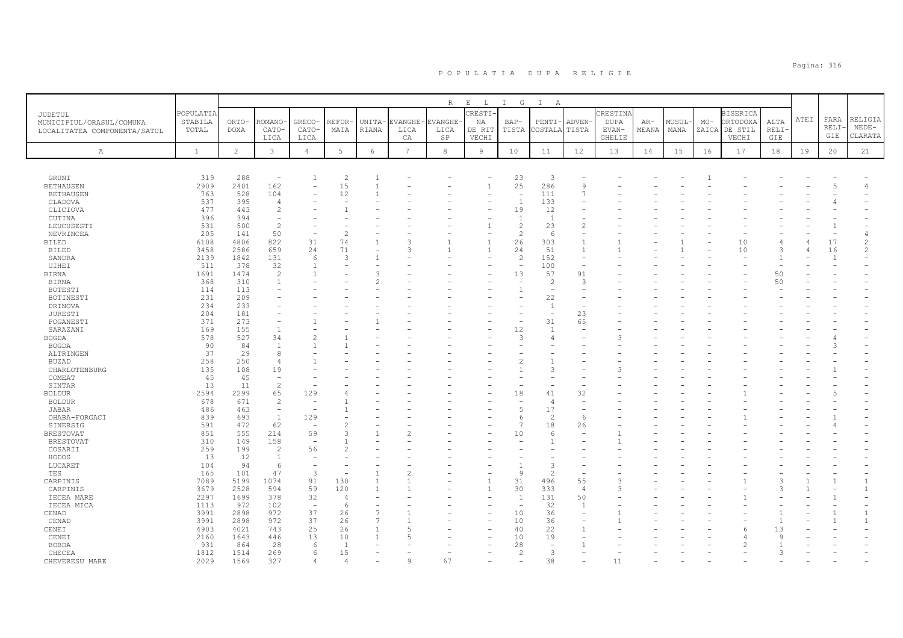|                                |              |                |                          |                          |                |                 |                 | R              | $\mathbf{E}=-\mathbf{L}$       | I G                      | $\mathbb{I}$<br>A        |                          |               |       |        |       |                 |               |      |                |                                |
|--------------------------------|--------------|----------------|--------------------------|--------------------------|----------------|-----------------|-----------------|----------------|--------------------------------|--------------------------|--------------------------|--------------------------|---------------|-------|--------|-------|-----------------|---------------|------|----------------|--------------------------------|
| JUDETUL                        | POPULATIA    |                |                          |                          |                |                 |                 |                | CRESTI.                        |                          |                          |                          | CRESTINA      |       |        |       | <b>BISERICA</b> |               |      |                |                                |
| MUNICIPIUL/ORASUL/COMUNA       | STABILA      | ORTO-          | ROMANO·                  | GRECO-                   | REFOR          | UNITA-          | <b>EVANGHE</b>  | <b>EVANGHE</b> | NA                             | $BAP-$                   | PENTI-                   | ADVEN-                   | <b>DUPA</b>   | $AR-$ | MUSUL- | $MO-$ | ORTODOXA        | ALTA          | ATEI | FARA<br>RELI   | RELIGIA<br>$NEDE-$             |
| LOCALITATEA COMPONENTA/SATUL   | TOTAL        | DOXA           | CATO-                    | CATO-                    | MATA           | RIANA           | LICA            | LICA           | DE RIT                         | TISTA                    | COSTALA                  | TISTA                    | EVAN-         | MEANA | MANA   |       | ZAICA DE STIL   | RELI·         |      | GIE            | CLARATA                        |
|                                |              |                | LICA                     | LICA                     |                |                 | CA              | SP             | VECHI                          |                          |                          |                          | <b>GHELIE</b> |       |        |       | VECHI           | GIE           |      |                |                                |
| $\mathbb{A}$                   | $\mathbf{1}$ | $\overline{2}$ | $\mathbf{3}$             | $\overline{4}$           | $\mathbf 5$    | $6\overline{6}$ | $7\overline{ }$ | $^{\rm 8}$     | $\overline{9}$                 | 10                       | 11                       | 12                       | 13            | 14    | 15     | 16    | 17              | 18            | 19   | 20             | 21                             |
|                                |              |                |                          |                          |                |                 |                 |                |                                |                          |                          |                          |               |       |        |       |                 |               |      |                |                                |
|                                |              |                |                          |                          |                |                 |                 |                |                                |                          |                          |                          |               |       |        |       |                 |               |      |                |                                |
| GRUNI                          | 319          | 288            | $\overline{\phantom{a}}$ | 1                        | $\overline{2}$ | -1              |                 |                |                                | 23                       | 3                        |                          |               |       |        |       |                 |               |      |                |                                |
| <b>BETHAUSEN</b>               | 2909         | 2401           | 162                      | $\overline{\phantom{0}}$ | 15             | $\overline{1}$  |                 |                | $\mathbf{1}$                   | 25<br>÷,                 | 286                      | $\circ$                  |               |       |        |       |                 |               |      |                | 4                              |
| <b>BETHAUSEN</b><br>CLADOVA    | 763<br>537   | 528<br>395     | 104<br>$\overline{4}$    |                          | 12             |                 |                 |                |                                | $\overline{1}$           | 111<br>133               |                          |               |       |        |       |                 |               |      |                |                                |
| CLICIOVA                       | 477          | 443            | $\overline{c}$           |                          |                |                 |                 |                |                                | 19                       | 12                       |                          |               |       |        |       |                 |               |      |                |                                |
| CUTINA                         | 396          | 394            | $\overline{\phantom{a}}$ |                          |                |                 |                 |                |                                | $\overline{1}$           | $\overline{1}$           |                          |               |       |        |       |                 |               |      |                |                                |
| LEUCUSESTI                     | 531          | 500            | $\overline{c}$           |                          |                |                 |                 |                | 1                              | $\overline{c}$           | 23                       | $\overline{c}$           |               |       |        |       |                 |               |      |                |                                |
| NEVRINCEA                      | 205          | 141            | 50                       |                          | $\mathfrak{D}$ |                 |                 |                |                                | $\overline{c}$           | -6                       |                          |               |       |        |       |                 |               |      |                |                                |
| <b>BILED</b>                   | 6108         | 4806           | 822                      | 31                       | 74             | $\overline{1}$  | 3               |                | $\mathbf{1}$                   | 26                       | 303                      | $\mathbf{1}$             |               |       |        |       | 10              |               |      | 17             | $\overline{c}$                 |
| <b>BILED</b>                   | 3458         | 2586           | 659                      | 24                       | 71             |                 | 3               |                | $\overline{1}$                 | 24                       | 51                       | $\overline{1}$           |               |       |        |       | 10              | $\mathcal{L}$ |      | 16             | $\overline{c}$                 |
| SANDRA                         | 2139         | 1842           | 131                      | 6                        | 3              |                 |                 |                |                                | $\overline{c}$           | 152                      | $\overline{\phantom{a}}$ |               |       |        |       |                 |               |      | $\overline{1}$ |                                |
| UIHEI                          | 511          | 378            | 32                       | -1                       |                |                 |                 |                |                                |                          | 100                      |                          |               |       |        |       |                 |               |      |                |                                |
| <b>BIRNA</b>                   | 1691         | 1474           | $\overline{c}$           |                          |                | 3               |                 |                |                                | 13                       | 57                       | 91                       |               |       |        |       |                 | 50            |      |                |                                |
| <b>BIRNA</b>                   | 368          | 310            | 1                        |                          |                |                 |                 |                |                                |                          | $\overline{2}$           | -3                       |               |       |        |       |                 | 50            |      |                |                                |
| BOTESTI                        | 114          | 113<br>209     |                          |                          |                |                 |                 |                |                                | $\overline{1}$           | $\overline{\phantom{a}}$ |                          |               |       |        |       |                 |               |      |                |                                |
| BOTINESTI<br>DRINOVA           | 231<br>234   | 233            |                          |                          |                |                 |                 |                |                                |                          | 22<br>$\mathbf{1}$       |                          |               |       |        |       |                 |               |      |                |                                |
| JURESTI                        | 204          | 181            |                          |                          |                |                 |                 |                |                                |                          |                          | 23                       |               |       |        |       |                 |               |      |                |                                |
| POGANESTI                      | 371          | 273            |                          |                          |                |                 |                 |                |                                |                          | 31                       | 65                       |               |       |        |       |                 |               |      |                |                                |
| SARAZANI                       | 169          | 155            | $\overline{1}$           |                          |                |                 |                 |                |                                | 12                       | -1                       |                          |               |       |        |       |                 |               |      |                |                                |
| <b>BOGDA</b>                   | 578          | 527            | 34                       |                          |                |                 |                 |                |                                | 3                        | $\overline{4}$           |                          |               |       |        |       |                 |               |      |                |                                |
| <b>BOGDA</b>                   | 90           | 84             | $\overline{1}$           | -1                       |                |                 |                 |                |                                |                          |                          |                          |               |       |        |       |                 |               |      |                |                                |
| ALTRINGEN                      | 37           | 29             | 8                        |                          |                |                 |                 |                |                                |                          |                          |                          |               |       |        |       |                 |               |      |                |                                |
| BUZAD                          | 258          | 250            | $\overline{4}$           |                          |                |                 |                 |                |                                |                          |                          |                          |               |       |        |       |                 |               |      |                |                                |
| CHARLOTENBURG                  | 135          | 108            | 19                       |                          |                |                 |                 |                |                                |                          | 3                        |                          |               |       |        |       |                 |               |      |                |                                |
| COMEAT                         | 45           | 45             | ۰                        |                          |                |                 |                 |                |                                |                          |                          |                          |               |       |        |       |                 |               |      |                |                                |
| SINTAR                         | 13           | 11<br>2299     | $\overline{c}$<br>65     |                          |                |                 |                 |                |                                | 18                       | $\overline{\phantom{a}}$ |                          |               |       |        |       |                 |               |      |                |                                |
| <b>BOLDUR</b><br><b>BOLDUR</b> | 2594<br>678  | 671            | $\overline{c}$           | 129                      |                |                 |                 |                |                                | $\overline{\phantom{a}}$ | 41<br>$\overline{4}$     | 32                       |               |       |        |       |                 |               |      |                |                                |
| JABAR                          | 486          | 463            | $\overline{\phantom{a}}$ |                          |                |                 |                 |                |                                | 5                        | 17                       |                          |               |       |        |       |                 |               |      |                |                                |
| OHABA-FORGACI                  | 839          | 693            | $\mathbf{1}$             | 129                      |                |                 |                 |                |                                | -6                       | $\overline{2}$           | -6                       |               |       |        |       |                 |               |      |                |                                |
| SINERSIG                       | 591          | 472            | 62                       |                          | 2              |                 |                 |                |                                |                          | 18                       | 26                       |               |       |        |       |                 |               |      |                |                                |
| <b>BRESTOVAT</b>               | 851          | 555            | 214                      | 59                       | ς              |                 |                 |                |                                | 10                       | $\epsilon$               |                          |               |       |        |       |                 |               |      |                |                                |
| <b>BRESTOVAT</b>               | 310          | 149            | 158                      |                          |                |                 |                 |                |                                |                          |                          |                          |               |       |        |       |                 |               |      |                |                                |
| COSARII                        | 259          | 199            | $\overline{c}$           | 56                       | $\mathfrak{D}$ |                 |                 |                |                                |                          |                          |                          |               |       |        |       |                 |               |      |                |                                |
| HODOS                          | 13           | 12             | 1                        |                          |                |                 |                 |                |                                |                          |                          |                          |               |       |        |       |                 |               |      |                |                                |
| LUCARET                        | 104          | 94             | 6                        |                          |                |                 |                 |                |                                |                          | 3                        |                          |               |       |        |       |                 |               |      |                |                                |
| TES                            | 165          | 101            | 47                       | 3                        |                |                 |                 |                |                                | <sup>o</sup>             | $\overline{c}$           |                          | 3             |       |        |       |                 |               |      |                |                                |
| CARPINIS<br>CARPINIS           | 7089<br>3679 | 5199<br>2528   | 1074<br>594              | 91<br>59                 | 130<br>120     | $\mathbf{1}$    |                 |                | $\mathbf{1}$<br>$\overline{1}$ | 31<br>30                 | 496<br>333               | 55<br>$\overline{4}$     | 3             |       |        |       |                 | $\mathcal{L}$ |      |                | $\overline{1}$<br>$\mathbf{1}$ |
| IECEA MARE                     | 2297         | 1699           | 378                      | 32                       | $\Delta$       |                 |                 |                |                                | $\mathbf{1}$             | 131                      | 50                       |               |       |        |       |                 |               |      |                |                                |
| IECEA MICA                     | 1113         | 972            | 102                      | $\overline{\phantom{a}}$ | 6              |                 |                 |                |                                |                          | 32                       | $\overline{1}$           |               |       |        |       |                 |               |      |                |                                |
| CENAD                          | 3991         | 2898           | 972                      | 37                       | 26             | $\overline{7}$  |                 |                | ۰                              | 10                       | 36                       |                          |               |       |        |       |                 |               |      |                | $\mathbf{1}$                   |
| CENAD                          | 3991         | 2898           | 972                      | 37                       | 26             | 7               |                 |                |                                | 10                       | 36                       |                          |               |       |        |       |                 |               |      |                | -1                             |
| CENEI                          | 4903         | 4021           | 743                      | 25                       | 26             | $\overline{1}$  | 5               |                |                                | 40                       | 22                       |                          |               |       |        |       |                 | 13            |      |                |                                |
| CENEI                          | 2160         | 1643           | 446                      | 13                       | 10             | $\mathbf{1}$    |                 |                |                                | 10                       | 19                       |                          |               |       |        |       |                 |               |      |                |                                |
| <b>BOBDA</b>                   | 931          | 864            | 28                       | 6                        | $\overline{1}$ |                 |                 |                |                                | 28                       | $\overline{\phantom{a}}$ |                          |               |       |        |       |                 |               |      |                |                                |
| CHECEA                         | 1812         | 1514           | 269                      | 6                        | 15             |                 |                 |                |                                | $\overline{2}$           | 3                        |                          |               |       |        |       |                 |               |      |                |                                |
| CHEVERESU MARE                 | 2029         | 1569           | 327                      | $\Delta$                 | $\Delta$       |                 | $\mathsf{Q}$    | 67             |                                | ۰                        | 38                       |                          | 11            |       |        |       |                 |               |      |                |                                |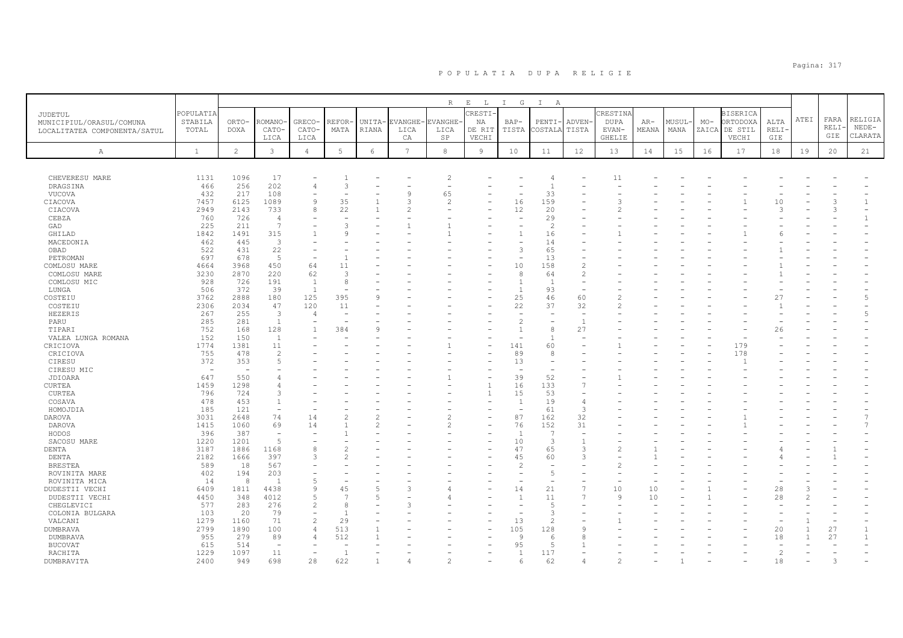|                                                                            |                               |                      |                          |                        |                          |                 |                      | R                        | $E$ $L$                 | I G                      | $\mathbb{I}$<br>A        |                          |                                  |                |                |       |                                              |                     |      |                      |                          |
|----------------------------------------------------------------------------|-------------------------------|----------------------|--------------------------|------------------------|--------------------------|-----------------|----------------------|--------------------------|-------------------------|--------------------------|--------------------------|--------------------------|----------------------------------|----------------|----------------|-------|----------------------------------------------|---------------------|------|----------------------|--------------------------|
| <b>JUDETUL</b><br>MUNICIPIUL/ORASUL/COMUNA<br>LOCALITATEA COMPONENTA/SATUL | POPULATIA<br>STABILA<br>TOTAL | ORTO-<br><b>DOXA</b> | <b>COMANO</b><br>CATO-   | GRECO-<br>CATO-        | REFOR·<br>MATA           | UNITA-<br>RIANA | EVANGHE-<br>LICA     | EVANGHE<br>LICA          | CRESTI-<br>NA<br>DE RIT | $BAP-$<br>TISTA          | PENTI-<br>COSTALA        | <b>ADVEN</b><br>TISTA    | CRESTINA<br><b>DUPA</b><br>EVAN- | $AR-$<br>MEANA | MUSUL-<br>MANA | $MO-$ | <b>BISERICA</b><br>ORTODOXA<br>ZAICA DE STIL | ALTA<br><b>RELI</b> | ATEI | FARA<br>RELI·<br>GIE | RELIGIA<br>$NEDE-$       |
| Α                                                                          | $\mathbf{1}$                  | $\mathbf{2}^{\circ}$ | LICA<br>$\mathbf{3}$     | LICA<br>$\overline{4}$ | $\mathbbm{5}$            | $\epsilon$      | CA<br>$\overline{7}$ | SP<br>8                  | VECHI<br>9              | 10                       | 11                       | 12                       | <b>GHELIE</b><br>13              | 14             | 15             | 16    | VECHI<br>17                                  | GIE<br>18           | 19   | 20                   | CLARATA<br>21            |
|                                                                            |                               |                      |                          |                        |                          |                 |                      |                          |                         |                          |                          |                          |                                  |                |                |       |                                              |                     |      |                      |                          |
| CHEVERESU MARE                                                             | 1131                          | 1096                 | 17                       |                        |                          |                 |                      | $\overline{c}$           |                         |                          | $\overline{4}$           |                          | 11                               |                |                |       |                                              |                     |      |                      |                          |
| DRAGSINA                                                                   | 466                           | 256                  | 202                      | $\overline{4}$         | 3                        |                 |                      |                          |                         |                          | $\mathbf{1}$             |                          |                                  |                |                |       |                                              |                     |      |                      |                          |
| VUCOVA                                                                     | 432                           | 217                  | 108                      |                        |                          |                 | a                    | 65                       |                         | ۰                        | 33                       |                          |                                  |                |                |       |                                              |                     |      |                      |                          |
| CIACOVA                                                                    | 7457                          | 6125                 | 1089                     | 9                      | 35                       |                 |                      | $\overline{\mathcal{L}}$ |                         | 16                       | 159                      |                          | 3                                |                |                |       |                                              | 10                  |      |                      | $\mathbf{1}$             |
| CIACOVA                                                                    | 2949                          | 2143                 | 733                      | 8                      | 22                       |                 |                      |                          |                         | 12                       | 20                       |                          |                                  |                |                |       |                                              | $\mathcal{L}$       |      |                      | $\overline{\phantom{a}}$ |
| CEBZA                                                                      | 760                           | 726                  | $\overline{4}$           |                        |                          |                 |                      |                          |                         | ٠                        | 29                       |                          |                                  |                |                |       |                                              |                     |      |                      | $\mathbf{1}$             |
| GAD                                                                        | 225                           | 211                  | $\overline{7}$           |                        |                          |                 |                      |                          |                         |                          | $\mathfrak{D}$           |                          |                                  |                |                |       |                                              |                     |      |                      |                          |
| GHILAD                                                                     | 1842                          | 1491                 | 315                      |                        | Q                        |                 |                      |                          |                         |                          | 16                       |                          |                                  |                |                |       |                                              |                     |      |                      |                          |
| MACEDONIA                                                                  | 462                           | 445                  | $\overline{3}$           |                        |                          |                 |                      |                          |                         |                          | 14                       |                          |                                  |                |                |       |                                              |                     |      |                      |                          |
| OBAD                                                                       | 522                           | 431                  | 22                       |                        |                          |                 |                      |                          |                         | 3                        | 65                       |                          |                                  |                |                |       |                                              |                     |      |                      |                          |
| PETROMAN                                                                   | 697                           | 678                  | 5                        |                        |                          |                 |                      |                          |                         |                          | 13                       |                          |                                  |                |                |       |                                              |                     |      |                      |                          |
| COMLOSU MARE                                                               | 4664                          | 3968                 | 450                      | 64                     | 11                       |                 |                      |                          |                         | 10                       | 158                      | $\overline{c}$           |                                  |                |                |       |                                              |                     |      |                      |                          |
| COMLOSU MARE                                                               | 3230                          | 2870                 | 220                      | 62                     | $\mathcal{R}$            |                 |                      |                          |                         | 8                        | 64                       | $\overline{c}$           |                                  |                |                |       |                                              |                     |      |                      |                          |
| COMLOSU MIC                                                                | 928                           | 726                  | 191                      | $\overline{1}$         | 8                        |                 |                      |                          |                         | $\overline{1}$           | $\overline{1}$           | ÷.                       |                                  |                |                |       |                                              |                     |      |                      |                          |
| LUNGA                                                                      | 506                           | 372                  | 39                       | $\overline{1}$         |                          |                 |                      |                          |                         | $\overline{1}$           | 93                       |                          |                                  |                |                |       |                                              |                     |      |                      |                          |
| COSTEIU                                                                    | 3762                          | 2888                 | 180                      | 125                    | 395                      | 9               |                      |                          |                         | 25                       | 46                       | 60                       |                                  |                |                |       |                                              | 27                  |      |                      | .5                       |
| COSTEIU                                                                    | 2306                          | 2034                 | 47                       | 120                    | 11                       |                 |                      |                          |                         | 22                       | 37                       | 32                       | 2                                |                |                |       |                                              |                     |      |                      |                          |
| HEZERIS                                                                    | 267                           | 255                  | $\mathbf{3}$             | $\overline{4}$         | $\overline{\phantom{0}}$ |                 |                      |                          |                         | $\overline{\phantom{a}}$ | $\sim$                   | $\overline{\phantom{a}}$ |                                  |                |                |       |                                              |                     |      |                      | $\overline{5}$           |
| PARU                                                                       | 285                           | 281                  | $\mathbf{1}$             |                        |                          |                 |                      |                          |                         | $\overline{c}$           |                          | $\overline{1}$           |                                  |                |                |       |                                              |                     |      |                      |                          |
| TIPARI                                                                     | 752                           | 168                  | 128                      |                        | 384                      | Q               |                      |                          |                         | $\overline{1}$           | 8                        | 27                       |                                  |                |                |       |                                              | 26                  |      |                      |                          |
| VALEA LUNGA ROMANA                                                         | 152                           | 150                  | $\mathbf{1}$             |                        |                          |                 |                      |                          |                         |                          | $\mathbf{1}$             |                          |                                  |                |                |       |                                              |                     |      |                      |                          |
| CRICIOVA                                                                   | 1774                          | 1381                 | 11                       |                        |                          |                 |                      |                          |                         | 141                      | 60                       |                          |                                  |                |                |       | 179                                          |                     |      |                      |                          |
| CRICIOVA                                                                   | 755                           | 478                  | $\overline{c}$           |                        |                          |                 |                      |                          |                         | 89                       | 8                        |                          |                                  |                |                |       | 178                                          |                     |      |                      |                          |
| CIRESU                                                                     | 372                           | 353                  | $\overline{2}$           |                        |                          |                 |                      |                          |                         | 13                       | $\overline{\phantom{0}}$ |                          |                                  |                |                |       |                                              |                     |      |                      |                          |
| CIRESU MIC                                                                 | $\overline{\phantom{a}}$      |                      |                          |                        |                          |                 |                      |                          |                         |                          |                          |                          |                                  |                |                |       |                                              |                     |      |                      |                          |
| JDIOARA                                                                    | 647                           | 550                  |                          |                        |                          |                 |                      |                          |                         | 39                       | 52                       |                          |                                  |                |                |       |                                              |                     |      |                      |                          |
| CURTEA                                                                     | 1459                          | 1298                 | 4                        |                        |                          |                 |                      |                          | $\mathbf{1}$            | 16                       | 133                      | $\overline{1}$           |                                  |                |                |       |                                              |                     |      |                      |                          |
| <b>CURTEA</b>                                                              | 796                           | 724                  | 3                        |                        |                          |                 |                      |                          | $\mathbf{1}$            | 15                       | 53                       |                          |                                  |                |                |       |                                              |                     |      |                      |                          |
| COSAVA                                                                     | 478                           | 453                  | $\mathbf{1}$             |                        |                          |                 |                      |                          |                         | 1                        | 19                       | 4                        |                                  |                |                |       |                                              |                     |      |                      |                          |
| HOMOJDIA                                                                   | 185                           | 121                  | ÷,                       |                        |                          |                 |                      |                          |                         | $\overline{\phantom{a}}$ | 61                       | 3                        |                                  |                |                |       |                                              |                     |      |                      |                          |
| DAROVA                                                                     | 3031                          | 2648                 | 74                       | 14                     |                          | $\mathcal{L}$   |                      | 2                        | ۰                       | 87                       | 162                      | 32                       |                                  |                |                |       |                                              |                     |      |                      | $\overline{7}$           |
|                                                                            |                               | 1060                 | 69                       | 14                     |                          |                 |                      |                          |                         | 76                       | 152                      | 31                       |                                  |                |                |       |                                              |                     |      |                      | $\overline{7}$           |
| DAROVA<br>HODOS                                                            | 1415<br>396                   | 387                  | $\overline{\phantom{a}}$ |                        |                          |                 |                      |                          |                         | $\overline{1}$           | $\overline{7}$           | ÷                        |                                  |                |                |       |                                              |                     |      |                      |                          |
| SACOSU MARE                                                                | 1220                          | 1201                 | 5                        |                        |                          |                 |                      |                          |                         | 10                       | 3                        | $\mathbf{1}$             |                                  |                |                |       |                                              |                     |      |                      |                          |
|                                                                            | 3187                          |                      | 1168                     | 8                      |                          |                 |                      |                          |                         | 47                       | 65                       | 3                        |                                  |                |                |       |                                              |                     |      |                      |                          |
| DENTA                                                                      | 2182                          | 1886<br>1666         | 397                      | $\mathcal{L}$          |                          |                 |                      |                          |                         | 45                       | 60                       | 3                        |                                  |                |                |       |                                              |                     |      |                      |                          |
| DENTA<br><b>BRESTEA</b>                                                    | 589                           | 18                   | 567                      |                        |                          |                 |                      |                          |                         | $\mathfrak{D}$           | $\overline{a}$           |                          |                                  |                |                |       |                                              |                     |      |                      |                          |
|                                                                            | 402                           | 194                  | 203                      |                        |                          |                 |                      |                          |                         |                          | 5                        |                          |                                  |                |                |       |                                              |                     |      |                      |                          |
| ROVINITA MARE                                                              |                               | 8                    | <sup>1</sup>             | $\overline{5}$         |                          |                 |                      |                          |                         |                          | $\overline{\phantom{a}}$ |                          |                                  |                |                |       |                                              |                     |      |                      |                          |
| ROVINITA MICA                                                              | 14                            |                      |                          | $\mathcal{Q}$          |                          | 5               |                      |                          |                         |                          |                          | $\overline{7}$           |                                  |                |                |       |                                              |                     |      |                      |                          |
| DUDESTII VECHI                                                             | 6409                          | 1811                 | 4438                     |                        | 45                       |                 |                      |                          |                         | 14                       | 21                       | $\overline{1}$           | 10                               | 10             |                |       |                                              | 28                  |      |                      |                          |
| DUDESTII VECHI                                                             | 4450                          | 348                  | 4012                     | $\overline{5}$         |                          | .5              |                      |                          |                         | $\overline{1}$           | 11                       |                          | $\mathsf{Q}$                     | 10             |                |       |                                              | 28                  |      |                      |                          |
| CHEGLEVICI                                                                 | 577                           | 283                  | 276                      | $\overline{c}$         |                          |                 |                      |                          |                         |                          | $\overline{5}$           |                          |                                  |                |                |       |                                              |                     |      |                      |                          |
| COLONIA BULGARA                                                            | 103                           | 20                   | 79                       |                        |                          |                 |                      |                          |                         |                          | 3                        |                          |                                  |                |                |       |                                              |                     |      |                      |                          |
| VALCANI                                                                    | 1279                          | 1160                 | 71                       | 2                      | 29                       |                 |                      |                          |                         | 13                       | $\mathfrak{D}$           |                          |                                  |                |                |       |                                              |                     |      |                      |                          |
| DUMBRAVA                                                                   | 2799                          | 1890                 | 100                      | $\overline{4}$         | 513                      |                 |                      |                          |                         | 105                      | 128                      | q                        |                                  |                |                |       |                                              | 20                  |      | 27                   | $\mathbf{1}$             |
| DUMBRAVA                                                                   | 955                           | 279                  | 89                       | 4                      | 512                      |                 |                      |                          |                         | 9                        | -6                       |                          |                                  |                |                |       |                                              | 18                  |      | 27                   | 1                        |
| <b>BUCOVAT</b>                                                             | 615                           | 514                  | $\overline{\phantom{a}}$ |                        |                          |                 |                      |                          |                         | 95                       | $\overline{5}$           |                          |                                  |                |                |       |                                              | $\sim$              |      |                      |                          |
| RACHITA                                                                    | 1229                          | 1097                 | 11                       |                        |                          |                 |                      |                          |                         | $\overline{1}$           | 117                      |                          |                                  |                |                |       |                                              | $\overline{c}$      |      |                      |                          |
| DUMBRAVITA                                                                 | 2400                          | 949                  | 698                      | 28                     | 622                      |                 |                      |                          |                         | 6                        | 62                       |                          |                                  |                |                |       |                                              | 18                  |      |                      |                          |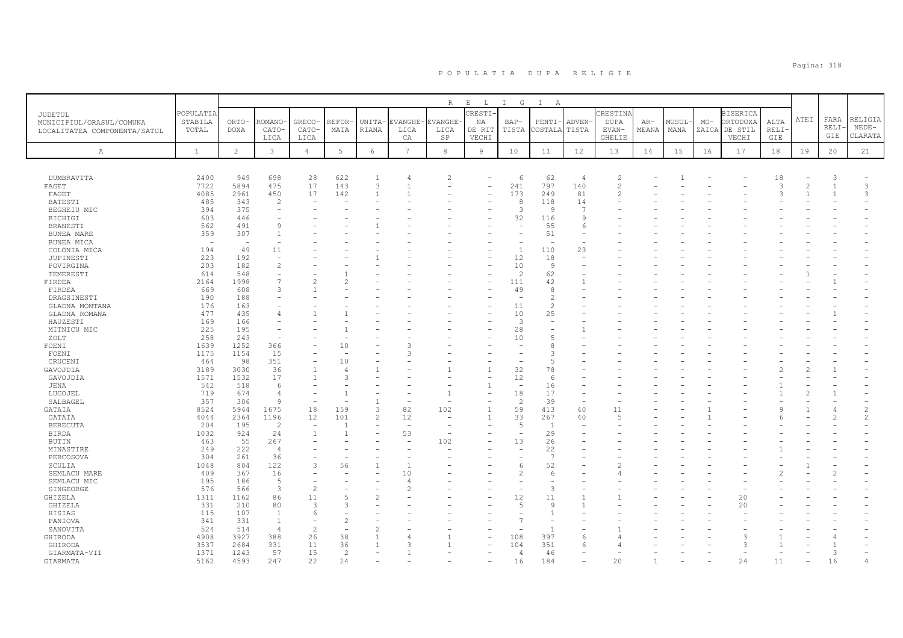|                                     |              |                |                          |                          |                |                   |                                  | $R_{\odot}$    | $\mathbf{E}=-\mathbf{L}$ | $\mathbb{I}$<br>G        | $\mathbb{I}$<br>A |                |                                  |       |       |       |                 |                     |                |                   |         |
|-------------------------------------|--------------|----------------|--------------------------|--------------------------|----------------|-------------------|----------------------------------|----------------|--------------------------|--------------------------|-------------------|----------------|----------------------------------|-------|-------|-------|-----------------|---------------------|----------------|-------------------|---------|
|                                     | POPULATIA    |                |                          |                          |                |                   |                                  |                | RESTI                    |                          |                   |                | CRESTINA                         |       |       |       | <b>BISERICA</b> |                     |                |                   |         |
| JUDETUL<br>MUNICIPIUL/ORASUL/COMUNA | STABILA      | ORTO-          | <b>COMANO</b>            | <b>GRECO</b>             | REFOR          | UNITA-            | EVANGHE                          | VANGHE         | ΝA                       | BAP-                     | PENTI             | ADVEN-         | <b>DUPA</b>                      | AR-   | MUSUL | $MO-$ | ORTODOXA        | ALTA                | ATEI           | FARA              | RELIGIA |
| LOCALITATEA COMPONENTA/SATUL        | TOTAL        | <b>DOXA</b>    | CATO-                    | CATO·                    | MATA           | RIANA             | LICA                             | LICA           | DE RIT                   | TISTA                    | COSTALA           | TISTA          | EVAN-                            | MEANA | MANA  | ZAICA | DE STIL         | <b>RELI</b>         |                | RELI              | $NEDE-$ |
|                                     |              |                | LICA                     | LICA                     |                |                   | CA                               | SP             | VECHI                    |                          |                   |                | <b>GHELIE</b>                    |       |       |       | VECHI           | GIE                 |                | GIE               | CLARATA |
|                                     |              |                |                          |                          |                |                   |                                  |                |                          |                          |                   |                |                                  |       |       |       |                 |                     |                |                   |         |
| $\mathbb{A}$                        | <sup>1</sup> | $\overline{2}$ | 3                        | $\overline{4}$           | 5              | 6                 | 7                                | 8              | $\overline{9}$           | 10                       | 11                | 12             | 13                               | 14    | 15    | 16    | 17              | 18                  | 19             | 20                | 21      |
|                                     |              |                |                          |                          |                |                   |                                  |                |                          |                          |                   |                |                                  |       |       |       |                 |                     |                |                   |         |
|                                     |              |                |                          |                          |                |                   |                                  |                |                          |                          |                   | $\overline{4}$ |                                  |       |       |       |                 |                     |                |                   |         |
| DUMBRAVITA                          | 2400         | 949            | 698                      | 28                       | 622            | $\mathbf{1}$      | $\overline{4}$<br>$\overline{1}$ | $\overline{c}$ |                          | 6                        | 62                |                | $\overline{c}$<br>$\overline{c}$ |       |       |       |                 | 18<br>$\mathcal{L}$ | $\overline{c}$ | 3<br>$\mathbf{1}$ | 3       |
| FAGET                               | 7722         | 5894<br>2961   | 475<br>450               | 17                       | 143<br>142     | 3<br>$\mathbf{1}$ |                                  |                |                          | 241<br>173               | 797<br>249        | 140<br>81      | $\overline{c}$                   |       |       |       |                 | $\mathcal{R}$       |                |                   | 3       |
| FAGET                               | 4085         | 343            | $\overline{c}$           | 17<br>٠                  |                |                   |                                  |                |                          | 8                        | 118               | 14             |                                  |       |       |       |                 |                     |                |                   |         |
| BATESTI<br>BEGHEIU MIC              | 485<br>394   | 375            |                          |                          |                |                   |                                  |                |                          | 3                        | <b>Q</b>          | 7              |                                  |       |       |       |                 |                     |                |                   |         |
| <b>BICHIGI</b>                      | 603          | 446            |                          |                          |                |                   |                                  |                |                          | 32                       | 116               | Q              |                                  |       |       |       |                 |                     |                |                   |         |
| BRANESTI                            | 562          | 491            | $\alpha$                 |                          |                |                   |                                  |                |                          |                          | 55                | 6              |                                  |       |       |       |                 |                     |                |                   |         |
| BUNEA MARE                          | 359          | 307            |                          |                          |                |                   |                                  |                |                          | $\overline{\phantom{a}}$ | 51                |                |                                  |       |       |       |                 |                     |                |                   |         |
| BUNEA MICA                          | $\sim$       |                |                          |                          |                |                   |                                  |                |                          |                          |                   |                |                                  |       |       |       |                 |                     |                |                   |         |
| COLONIA MICA                        | 194          | 49             | 11                       |                          |                |                   |                                  |                |                          | $\overline{1}$           | 110               | 23             |                                  |       |       |       |                 |                     |                |                   |         |
| JUPINESTI                           | 223          | 192            | $\overline{\phantom{a}}$ |                          |                |                   |                                  |                |                          | 12                       | 18                |                |                                  |       |       |       |                 |                     |                |                   |         |
| POVIRGINA                           | 203          | 182            | $\mathfrak{D}$           |                          |                |                   |                                  |                |                          | 10                       | 9                 |                |                                  |       |       |       |                 |                     |                |                   |         |
| TEMERESTI                           | 614          | 548            | $\equiv$                 |                          |                |                   |                                  |                |                          | $\mathcal{L}$            | 62                |                |                                  |       |       |       |                 |                     |                |                   |         |
| FIRDEA                              | 2164         | 1998           | $\overline{7}$           | $\mathcal{L}$            |                |                   |                                  |                |                          | 111                      | 42                |                |                                  |       |       |       |                 |                     |                |                   |         |
| FIRDEA                              | 669          | 608            | 3                        |                          |                |                   |                                  |                |                          | 49                       | 8                 |                |                                  |       |       |       |                 |                     |                |                   |         |
| DRAGSINESTI                         | 190          | 188            |                          |                          |                |                   |                                  |                |                          |                          | $\mathcal{L}$     |                |                                  |       |       |       |                 |                     |                |                   |         |
| GLADNA MONTANA                      | 176          | 163            |                          |                          |                |                   |                                  |                |                          | 11                       | $\mathfrak{D}$    |                |                                  |       |       |       |                 |                     |                |                   |         |
| GLADNA ROMANA                       | 477          | 435            |                          |                          |                |                   |                                  |                |                          | 10                       | 25                |                |                                  |       |       |       |                 |                     |                |                   |         |
| HAUZESTI                            | 169          | 166            |                          |                          |                |                   |                                  |                |                          | 3                        |                   |                |                                  |       |       |       |                 |                     |                |                   |         |
| MITNICU MIC                         | 225          | 195            |                          |                          |                |                   |                                  |                |                          | 28                       |                   |                |                                  |       |       |       |                 |                     |                |                   |         |
| ZOLT                                | 258          | 243            |                          |                          |                |                   |                                  |                |                          | 10                       | $\overline{5}$    |                |                                  |       |       |       |                 |                     |                |                   |         |
| FOENI                               | 1639         | 1252           | 366                      |                          | 10             |                   | 3                                |                |                          |                          | 8                 |                |                                  |       |       |       |                 |                     |                |                   |         |
| FOENI                               | 1175         | 1154           | 15                       |                          |                |                   | 3                                |                |                          |                          |                   |                |                                  |       |       |       |                 |                     |                |                   |         |
| CRUCENI                             | 464          | 98             | 351                      | $\overline{\phantom{a}}$ | 10             |                   |                                  |                |                          |                          | 5                 |                |                                  |       |       |       |                 |                     |                |                   |         |
| GAVOJDIA                            | 3189         | 3030           | 36                       | $\mathbf{1}$             | $\angle$       |                   |                                  |                | $\overline{1}$           | 32                       | 78                |                |                                  |       |       |       |                 |                     |                |                   |         |
| GAVOJDIA                            | 1571         | 1532           | 17                       | $\mathbf{1}$             | 3              |                   |                                  |                |                          | 12                       | -6                |                |                                  |       |       |       |                 |                     |                |                   |         |
| JENA                                | 542          | 518            | -6                       |                          |                |                   |                                  |                | -1                       |                          | 16                |                |                                  |       |       |       |                 |                     |                |                   |         |
| LUGOJEL                             | 719          | 674            | $\overline{4}$           |                          |                |                   |                                  |                |                          | 18                       | 17                |                |                                  |       |       |       |                 |                     |                |                   |         |
| SALBAGEL                            | 357          | 306            | -9                       |                          |                |                   |                                  |                |                          | $\overline{c}$           | 39                |                |                                  |       |       |       |                 |                     |                |                   |         |
| GATAIA                              | 8524         | 5944           | 1675                     | 18                       | 159            | 3                 | 82                               | 102            |                          | 59                       | 413               | 40             | 11                               |       |       |       |                 |                     |                |                   |         |
| GATAIA                              | 4044         | 2364           | 1196                     | 12                       | 101            | 2                 | 12                               |                | -1                       | 33                       | 267               | 40             | 5                                |       |       |       |                 |                     |                |                   | 2       |
| <b>BERECUTA</b>                     | 204          | 195            | $\overline{2}$           | $\overline{\phantom{a}}$ | $\overline{1}$ |                   | ÷,                               |                |                          | 5                        | $\overline{1}$    |                |                                  |       |       |       |                 |                     |                |                   |         |
| <b>BIRDA</b>                        | 1032         | 924            | 24                       | 1                        |                |                   | 53                               |                |                          |                          | 29                |                |                                  |       |       |       |                 |                     |                |                   |         |
| BUTIN                               | 463          | 55             | 267                      |                          |                |                   | $\overline{\phantom{a}}$         | 102            |                          | 13                       | 26                |                |                                  |       |       |       |                 |                     |                |                   |         |
| MINASTIRE                           | 249          | 222            | $\overline{4}$           |                          |                |                   |                                  |                |                          |                          | 22                |                |                                  |       |       |       |                 |                     |                |                   |         |
| PERCOSOVA                           | 304          | 261            | 36                       |                          |                |                   |                                  |                |                          |                          | -7                |                |                                  |       |       |       |                 |                     |                |                   |         |
| SCULIA                              | 1048         | 804            | 122                      | 3                        | 56             |                   | $\mathbf{1}$                     |                |                          | 6                        | 52                |                |                                  |       |       |       |                 |                     |                |                   |         |
| SEMLACU MARE                        | 409          | 367            | 16                       | $\overline{\phantom{a}}$ |                |                   | 10                               |                |                          | $\overline{c}$           | -6                |                |                                  |       |       |       |                 |                     |                |                   |         |
| SEMLACU MIC                         | 195          | 186            | 5                        |                          |                |                   | $\overline{4}$                   |                |                          |                          |                   |                |                                  |       |       |       |                 |                     |                |                   |         |
| SINGEORGE                           | 576          | 566            | 3                        | $\overline{c}$           |                |                   |                                  |                |                          |                          | 3                 |                |                                  |       |       |       |                 |                     |                |                   |         |
| GHIZELA                             | 1311         | 1162           | 86                       | 11                       | 5              | $\overline{2}$    |                                  |                |                          | 12                       | 11                |                |                                  |       |       |       | 20              |                     |                |                   |         |
| GHIZELA                             | 331          | 210            | 80                       | 3                        |                |                   |                                  |                |                          | $\overline{5}$           | $\alpha$          |                |                                  |       |       |       | 20              |                     |                |                   |         |
| HISIAS                              | 115          | 107            | $\overline{1}$           | 6                        |                |                   |                                  |                |                          |                          |                   |                |                                  |       |       |       |                 |                     |                |                   |         |
| PANIOVA                             | 341          | 331            | $\overline{1}$           | $\overline{\phantom{a}}$ |                |                   |                                  |                |                          |                          |                   |                |                                  |       |       |       |                 |                     |                |                   |         |
| SANOVITA                            | 524          | 514            | $\overline{4}$           | $\mathbf{2}$             |                | $\overline{2}$    |                                  |                |                          |                          | $\overline{1}$    |                |                                  |       |       |       |                 |                     |                |                   |         |
| GHIRODA                             | 4908         | 3927           | 388                      | 26                       | 38             |                   |                                  |                |                          | 108                      | 397               |                |                                  |       |       |       | 3               |                     |                |                   |         |
| GHIRODA                             | 3537         | 2684           | 331                      | 11                       | 36             |                   |                                  |                |                          | 104                      | 351               | -6             |                                  |       |       |       | 3               |                     |                |                   |         |
| GIARMATA-VII                        | 1371         | 1243           | 57                       | 15                       | $\mathcal{L}$  |                   |                                  |                |                          | $\overline{4}$           | 46                |                |                                  |       |       |       |                 |                     |                | 3                 |         |
| GIARMATA                            | 5162         | 4593           | 247                      | 22                       | 24             |                   |                                  |                |                          | 16                       | 184               |                | 20                               |       |       |       | 24              | 11                  |                | 16                |         |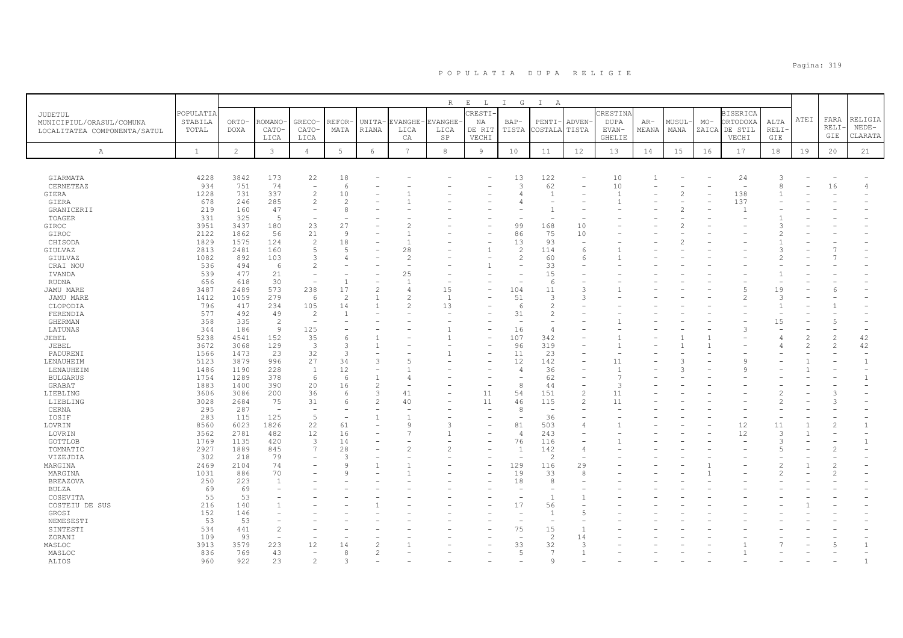|                              |              |                |                |                          |                 |                |                | R              | $\,$ E<br>$\mathbb{L}$ | $\mathbb{I}$<br>G                          | $\mathbb{I}$<br>A |                          |                    |       |                |       |                            |               |                |                |                          |
|------------------------------|--------------|----------------|----------------|--------------------------|-----------------|----------------|----------------|----------------|------------------------|--------------------------------------------|-------------------|--------------------------|--------------------|-------|----------------|-------|----------------------------|---------------|----------------|----------------|--------------------------|
| JUDETUL                      | POPULATIA    |                |                |                          |                 |                |                |                | RESTI-                 |                                            |                   |                          | CRESTINA           |       |                |       | <b>BISERICA</b>            |               |                |                |                          |
| MUNICIPIUL/ORASUL/COMUNA     | STABILA      | ORTO-          | <b>ROMANO</b>  | <b>GRECO</b>             | REFOR           | UNITA-         | <b>EVANGHE</b> | <b>EVANGHE</b> | ΝA                     | BAP-                                       | PENTI             | ADVEN-                   | <b>DUPA</b>        | AR-   | MUSUL          | $MO-$ | ORTODOXA                   | ALTA          | ATEI           | FARA           | RELIGIA                  |
| LOCALITATEA COMPONENTA/SATUL | TOTAL        | <b>DOXA</b>    | CATO-          | CATO-                    | MATA            | <b>RIANA</b>   | LICA           | LICA           | DE RIT                 | TISTA                                      | COSTALA           | TISTA                    | EVAN-              | MEANA | MANA           | ZAICA | DE STIL                    | <b>RELI</b>   |                | RELI           | $NEDE-$                  |
|                              |              |                | LICA           | LICA                     |                 |                | CA             | SP             | VECHI                  |                                            |                   |                          | <b>GHELIE</b>      |       |                |       | VECHI                      | GIE           |                | GIE            | CLARATA                  |
| Α                            | <sup>1</sup> | $\overline{2}$ | 3              | $\overline{4}$           | $5\phantom{.0}$ | 6              | $\overline{7}$ | $^{\rm 8}$     | 9                      | 10                                         | 11                | 12                       | 13                 | 14    | 15             | 16    | 17                         | 18            | 19             | 20             | 21                       |
|                              |              |                |                |                          |                 |                |                |                |                        |                                            |                   |                          |                    |       |                |       |                            |               |                |                |                          |
|                              |              |                |                |                          |                 |                |                |                |                        |                                            |                   |                          |                    |       |                |       |                            |               |                |                |                          |
| GIARMATA                     | 4228         | 3842           | 173            | 22                       | 18              |                |                |                |                        | 13                                         | 122               |                          | 10                 |       |                |       | 24                         |               |                |                |                          |
| CERNETEAZ                    | 934          | 751            | 74             | $\overline{\phantom{a}}$ | 6               |                |                |                |                        | 3                                          | 62                | $\overline{\phantom{a}}$ | 10                 |       |                |       | $\overline{\phantom{a}}$   |               |                | 16             | 4                        |
| GIERA                        | 1228         | 731            | 337            | $\overline{c}$           | 10              |                |                |                |                        |                                            | $\overline{1}$    |                          | $\overline{1}$     |       | $\overline{2}$ |       | 138                        |               |                |                |                          |
| GIERA                        | 678          | 246            | 285            | 2                        | 2               |                |                |                |                        |                                            |                   |                          |                    |       |                |       | 137                        |               |                |                |                          |
| GRANICERII                   | 219          | 160            | 47             |                          | 8               |                |                |                |                        |                                            |                   |                          |                    |       |                |       | -1                         |               |                |                |                          |
| TOAGER                       | 331          | 325            | - 5            |                          |                 |                |                |                |                        |                                            |                   |                          |                    |       |                |       |                            |               |                |                |                          |
| GIROC                        | 3951         | 3437           | 180            | 23                       | 27              |                |                |                |                        | 99                                         | 168               | 10                       |                    |       |                |       |                            |               |                |                |                          |
| GIROC                        | 2122         | 1862           | 56             | 21                       | 9               |                |                |                |                        | 86                                         | 75                | 10                       |                    |       |                |       |                            |               |                |                |                          |
| CHISODA                      | 1829         | 1575           | 124            | 2                        | 18              |                |                |                |                        | 13                                         | 93                |                          |                    |       |                |       |                            |               |                |                |                          |
| GIULVAZ                      | 2813         | 2481           | 160            | 5<br>3                   | $\overline{5}$  |                | 28             |                |                        | $\mathfrak{D}$                             | 114               | 6                        |                    |       |                |       |                            |               |                |                |                          |
| GIULVAZ<br>CRAI NOU          | 1082<br>536  | 892<br>494     | 103<br>-6      | $\mathfrak{D}$           |                 |                | 2              |                |                        | $\overline{c}$<br>$\overline{\phantom{m}}$ | 60<br>33          | 6                        |                    |       |                |       |                            |               |                |                |                          |
| IVANDA                       | 539          | 477            | 21             | $\overline{\phantom{0}}$ |                 |                | 25             |                |                        |                                            | 15                |                          |                    |       |                |       |                            |               |                |                |                          |
| RUDNA                        | 656          | 618            | 30             | $\equiv$                 | -1              |                |                |                |                        |                                            | -6                |                          |                    |       |                |       |                            |               |                |                |                          |
| JAMU MARE                    | 3487         | 2489           | 573            | 238                      | 17              | $\overline{2}$ | 4              | 15             |                        | 104                                        | 11                | 3                        |                    |       |                |       | 5                          | 19            |                | h              |                          |
| JAMU MARE                    | 1412         | 1059           | 279            | 6                        | $\overline{c}$  | 1              | 2              | $\overline{1}$ |                        | 51                                         | 3                 | 3                        |                    |       |                |       | $\overline{c}$             | $\mathcal{L}$ |                |                |                          |
| CLOPODIA                     | 796          | 417            | 234            | 105                      | 14              | 1              | 2              | 13             |                        | 6                                          | $\mathcal{L}$     |                          |                    |       |                |       |                            | -1            |                |                |                          |
| FERENDIA                     | 577          | 492            | 49             | 2                        | $\overline{1}$  |                |                |                |                        | 31                                         | $\mathcal{L}$     |                          |                    |       |                |       |                            |               |                |                |                          |
| GHERMAN                      | 358          | 335            | $\overline{c}$ |                          |                 |                |                |                |                        |                                            |                   |                          |                    |       |                |       |                            | 15            |                | 5              |                          |
| LATUNAS                      | 344          | 186            | $\overline{9}$ | 125                      |                 |                |                |                |                        | 16                                         |                   |                          |                    |       |                |       | 3                          |               |                | ٠              |                          |
| JEBEL                        | 5238         | 4541           | 152            | 35                       | -6              |                |                |                |                        | 107                                        | 342               |                          |                    |       |                |       |                            |               |                | $\overline{c}$ | 42                       |
| JEBEL                        | 3672         | 3068           | 129            | 3                        | $\mathcal{L}$   | $\overline{1}$ |                |                |                        | 96                                         | 319               |                          |                    |       |                |       |                            |               | $\overline{2}$ | $\overline{c}$ | 42                       |
| PADURENI                     | 1566         | 1473           | 23             | 32                       | 3               |                |                |                |                        | 11                                         | 23                |                          |                    |       |                |       |                            |               |                |                | $\overline{\phantom{0}}$ |
| <b>LENAUHEIM</b>             | 5123         | 3879<br>1190   | 996            | 27                       | 34              | 3              |                |                |                        | $12 \overline{ }$<br>$\overline{a}$        | 142               |                          | 11<br>$\mathbf{1}$ |       | 3              |       | $\mathbf Q$<br>$\mathbf Q$ |               |                |                | -1                       |
| LENAUHEIM<br><b>BULGARUS</b> | 1486<br>1754 | 1289           | 228<br>378     | <sup>1</sup><br>6        | 12<br>6         | $\overline{1}$ | 4              |                |                        |                                            | 36<br>62          |                          | $\overline{7}$     |       |                |       |                            |               |                |                | $\mathbf{1}$             |
| GRABAT                       | 1883         | 1400           | 390            | 20                       | 16              | 2              |                |                |                        | 8                                          | 44                | $\overline{\phantom{a}}$ | 3                  |       |                |       |                            |               |                |                |                          |
| LIEBLING                     | 3606         | 3086           | 200            | 36                       | 6               | 3              | 41             |                | 11                     | 54                                         | 151               | 2                        | 11                 |       |                |       |                            |               |                | 3              |                          |
| LIEBLING                     | 3028         | 2684           | 75             | 31                       | -6              | $\overline{2}$ | 40             |                | 11                     | 46                                         | 115               | 2                        | 11                 |       |                |       |                            |               |                | 3              |                          |
| CERNA                        | 295          | 287            | $\sim$         | $\overline{\phantom{a}}$ |                 |                |                |                |                        | 8                                          |                   |                          |                    |       |                |       |                            |               |                |                |                          |
| IOSIF                        | 283          | 115            | 125            | 5                        |                 | $\overline{1}$ |                |                |                        |                                            | 36                |                          |                    |       |                |       |                            |               |                |                |                          |
| LOVRIN                       | 8560         | 6023           | 1826           | 22                       | 61              |                |                |                |                        | 81                                         | 503               | 4                        |                    |       |                |       | 12                         | 11            |                | $\overline{c}$ | $\overline{1}$           |
| LOVRIN                       | 3562         | 2781           | 482            | 12                       | 16              |                |                |                |                        | $\overline{4}$                             | 243               | $\overline{\phantom{a}}$ |                    |       |                |       | 12                         |               |                |                |                          |
| GOTTLOB                      | 1769         | 1135           | 420            | 3                        | 14              |                |                |                |                        | 76                                         | 116               |                          |                    |       |                |       |                            |               |                |                | $\overline{1}$           |
| TOMNATIC                     | 2927         | 1889           | 845            | $\overline{7}$           | 28              |                |                |                |                        | $\overline{1}$                             | 142               | $\overline{4}$           |                    |       |                |       |                            |               |                | $\overline{c}$ |                          |
| VIZEJDIA                     | 302          | 218            | 79             |                          | P               |                |                |                |                        |                                            | $\mathcal{L}$     |                          |                    |       |                |       |                            |               |                |                |                          |
| MARGINA                      | 2469         | 2104           | 74             |                          | -9              |                |                |                |                        | 129                                        | 116               | 29                       |                    |       |                |       |                            |               |                | $\mathfrak{D}$ |                          |
| MARGINA                      | 1031         | 886            | 70             |                          |                 |                |                |                |                        | 19                                         | 33                | 8                        |                    |       |                |       |                            |               |                | 2              |                          |
| <b>BREAZOVA</b>              | 250          | 223            | $\overline{1}$ |                          |                 |                |                |                |                        | 18                                         | -8                |                          |                    |       |                |       |                            |               |                |                |                          |
| BULZA<br>COSEVITA            | 69<br>55     | 69<br>53       |                |                          |                 |                |                |                |                        | $\overline{\phantom{m}}$                   | J.                |                          |                    |       |                |       |                            |               |                |                |                          |
| COSTEIU DE SUS               | 216          | 140            |                |                          |                 |                |                |                |                        | 17                                         | 56                |                          |                    |       |                |       |                            |               |                |                |                          |
| GROSI                        | 152          | 146            |                |                          |                 |                |                |                |                        |                                            | $\overline{1}$    | $\overline{5}$           |                    |       |                |       |                            |               |                |                |                          |
| NEMESESTI                    | 53           | 53             |                |                          |                 |                |                |                |                        |                                            |                   |                          |                    |       |                |       |                            |               |                |                |                          |
| SINTESTI                     | 534          | 441            | $\overline{c}$ |                          |                 |                |                |                |                        | 75                                         | 15                | $\overline{1}$           |                    |       |                |       |                            |               |                |                |                          |
| ZORANI                       | 109          | 93             |                |                          |                 |                |                |                |                        |                                            | $\overline{2}$    | 14                       |                    |       |                |       |                            |               |                |                |                          |
| MASLOC                       | 3913         | 3579           | 223            | 12                       | 14              | $\overline{2}$ |                |                |                        | 33                                         | 32                | 3                        |                    |       |                |       |                            |               |                | 5              | $\mathbf{1}$             |
| MASLOC                       | 836          | 769            | 43             |                          | 8               | $\overline{c}$ |                |                |                        | 5                                          | 7                 | $\mathbf{1}$             |                    |       |                |       |                            |               |                |                |                          |
| ALTOS                        | 960          | 922            | 23             |                          | $\mathcal{L}$   |                |                |                |                        |                                            |                   |                          |                    |       |                |       |                            |               |                |                |                          |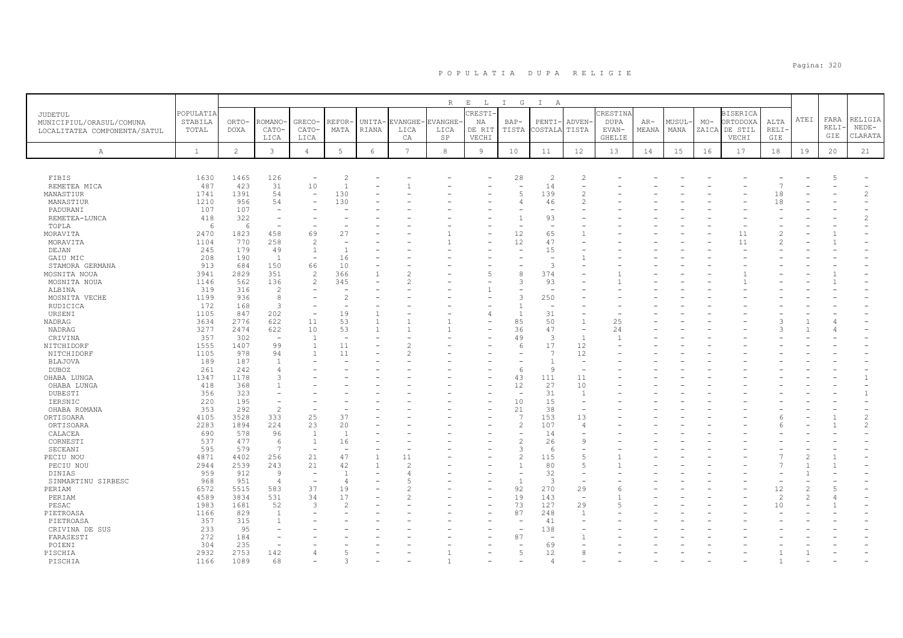|                              |              |                |                          |                                  |                          |              |                | $\, {\mathbb R}$ | $\mathbf{E}$<br>$\mathbb{L}$ | $\mathbb{I}$<br>G              | $\mathbb{I}$<br>A              |                          |                        |              |       |                |                  |                |      |                |                |
|------------------------------|--------------|----------------|--------------------------|----------------------------------|--------------------------|--------------|----------------|------------------|------------------------------|--------------------------------|--------------------------------|--------------------------|------------------------|--------------|-------|----------------|------------------|----------------|------|----------------|----------------|
| JUDETUL                      | POPULATIA    |                |                          |                                  |                          |              |                |                  | CRESTI-                      |                                |                                |                          | CRESTINA               |              |       |                | <b>BISERICA</b>  |                | ATEI | FARA           | RELIGIA        |
| MUNICIPIUL/ORASUL/COMUNA     | STABILA      | ORTO-          | ROMANO                   | GRECO-                           | REFOR-                   | UNITA-       | <b>EVANGHE</b> | <b>EVANGHE</b>   | ΝA                           | $BAP-$                         | PENTI                          | ADVEN-                   | DUPA                   | AR-<br>MEANA | MUSUL | $MO-$<br>ZAICA | ORTODOXA         | ALTA           |      | RELI-          | $NEDE-$        |
| LOCALITATEA COMPONENTA/SATUL | TOTAL        | <b>DOXA</b>    | CATO-<br>LICA            | CATO-<br>LICA                    | MATA                     | <b>RIANA</b> | LICA<br>CA     | LICA<br>SP       | DE RIT<br>VECHI              | TISTA                          | COSTALA                        | TISTA                    | EVAN-<br><b>GHELIE</b> |              | MANA  |                | DE STIL<br>VECHI | RELI-<br>GIE   |      | GIE            | CLARATA        |
|                              |              |                |                          |                                  |                          |              |                |                  |                              |                                |                                |                          |                        |              |       |                |                  |                |      |                |                |
| $\mathbb{A}$                 | $\mathbf{1}$ | $\overline{2}$ | 3                        | $\overline{4}$                   | 5                        | 6            | $\overline{7}$ | 8                | $\overline{9}$               | 10                             | 11                             | 12                       | 13                     | 14           | 15    | 16             | 17               | 18             | 19   | 20             | 21             |
|                              |              |                |                          |                                  |                          |              |                |                  |                              |                                |                                |                          |                        |              |       |                |                  |                |      |                |                |
| <b>FIBIS</b>                 | 1630         | 1465           | 126                      | $\overline{\phantom{0}}$         | $\overline{2}$           |              |                |                  |                              | 28                             | $\overline{2}$                 | $\overline{c}$           |                        |              |       |                |                  |                |      | $\overline{5}$ |                |
| REMETEA MICA                 | 487          | 423            | 31                       | 10                               | $\overline{1}$           |              |                |                  |                              | $\overline{\phantom{a}}$       | 14                             | $\overline{\phantom{m}}$ |                        |              |       |                |                  | $\overline{7}$ |      |                |                |
| MANASTIUR                    | 1741         | 1391           | 54                       | $\overline{\phantom{a}}$         | 130                      |              |                |                  |                              | $\overline{2}$                 | 139                            | $\overline{c}$           |                        |              |       |                |                  | 18             |      |                |                |
| MANASTIUR                    | 1210         | 956            | 54                       | $\overline{\phantom{a}}$         | 130                      |              |                |                  |                              | $\overline{4}$                 | 46                             | $\overline{c}$           |                        |              |       |                |                  | 18             |      |                |                |
| PADURANI                     | 107          | 107            | $\overline{\phantom{a}}$ |                                  |                          |              |                |                  |                              |                                |                                |                          |                        |              |       |                |                  |                |      |                |                |
| REMETEA-LUNCA                | 418          | 322            | $\overline{\phantom{a}}$ |                                  |                          |              |                |                  |                              | $\mathbf{1}$                   | 93                             |                          |                        |              |       |                |                  |                |      |                |                |
| TOPLA                        | 6            | 6<br>1823      | $\sim$<br>458            | 69                               | 27                       |              |                |                  |                              | 12                             | $\overline{\phantom{a}}$<br>65 | $\mathbf{1}$             |                        |              |       |                | 11               |                |      |                |                |
| MORAVITA<br>MORAVITA         | 2470<br>1104 | 770            | 258                      | $\mathfrak{D}$                   |                          |              |                |                  |                              | 12                             | 47                             |                          |                        |              |       |                | 11               |                |      |                |                |
| DEJAN                        | 245          | 179            | 49                       | 1                                | $\mathbf{1}$             |              |                |                  |                              |                                | 15                             |                          |                        |              |       |                |                  |                |      |                |                |
| GAIU MIC                     | 208          | 190            | $\mathbf{1}$             | $\overline{\phantom{0}}$         | 16                       |              |                |                  |                              |                                | $\overline{\phantom{a}}$       |                          |                        |              |       |                |                  |                |      |                |                |
| STAMORA GERMANA              | 913          | 684            | 150                      | 66                               | 10                       |              |                |                  |                              |                                | $\mathcal{R}$                  |                          |                        |              |       |                |                  |                |      |                |                |
| MOSNITA NOUA                 | 3941         | 2829           | 351                      | 2                                | 366                      |              |                |                  |                              | 8                              | 374                            |                          |                        |              |       |                |                  |                |      |                |                |
| MOSNITA NOUA                 | 1146         | 562            | 136                      | 2                                | 345                      |              |                |                  |                              | 3                              | 93                             |                          |                        |              |       |                |                  |                |      |                |                |
| ALBINA                       | 319          | 316            | $\overline{2}$           |                                  |                          |              |                |                  |                              |                                |                                |                          |                        |              |       |                |                  |                |      |                |                |
| MOSNITA VECHE                | 1199         | 936            | 8                        |                                  |                          |              |                |                  |                              | 3                              | 250                            |                          |                        |              |       |                |                  |                |      |                |                |
| RUDICICA<br>URSENI           | 172<br>1105  | 168<br>847     | -3<br>202                | $\overline{\phantom{a}}$         | 19                       |              |                |                  |                              | $\mathbf{1}$<br>$\overline{1}$ | 31                             |                          |                        |              |       |                |                  |                |      |                |                |
| NADRAG                       | 3634         | 2776           | 622                      | 11                               | 53                       |              |                |                  |                              | 85                             | 50                             | $\mathbf{1}$             | 25                     |              |       |                |                  |                |      |                |                |
| NADRAG                       | 3277         | 2474           | 622                      | 10                               | 53                       | $\mathbf{1}$ |                |                  |                              | 36                             | 47                             | $\overline{\phantom{a}}$ | 24                     |              |       |                |                  |                |      |                |                |
| CRIVINA                      | 357          | 302            | $\overline{\phantom{a}}$ | $\overline{1}$                   | $\overline{\phantom{a}}$ |              |                |                  |                              | 49                             | 3                              | $\overline{1}$           |                        |              |       |                |                  |                |      |                |                |
| NITCHIDORF                   | 1555         | 1407           | 99                       | $\mathbf{1}$                     | 11                       |              |                |                  |                              | 6                              | 17                             | 12                       |                        |              |       |                |                  |                |      |                |                |
| NITCHIDORF                   | 1105         | 978            | 94                       | $\overline{1}$                   | 11                       |              |                |                  |                              |                                | $\overline{1}$                 | 12                       |                        |              |       |                |                  |                |      |                |                |
| <b>BLAJOVA</b>               | 189          | 187            | $\overline{1}$           |                                  |                          |              |                |                  |                              |                                | -1                             | $\equiv$                 |                        |              |       |                |                  |                |      |                |                |
| <b>DUBOZ</b>                 | 261          | 242            | 3                        |                                  |                          |              |                |                  |                              | 6                              | $\circ$                        | $\overline{\phantom{a}}$ |                        |              |       |                |                  |                |      |                |                |
| OHABA LUNGA<br>OHABA LUNGA   | 1347<br>418  | 1178<br>368    |                          |                                  |                          |              |                |                  |                              | 43<br>12                       | 111<br>27                      | 11<br>10                 |                        |              |       |                |                  |                |      |                |                |
| DUBESTI                      | 356          | 323            |                          |                                  |                          |              |                |                  |                              | $\overline{\phantom{a}}$       | 31                             | $\overline{1}$           |                        |              |       |                |                  |                |      |                |                |
| IERSNIC                      | 220          | 195            |                          |                                  |                          |              |                |                  |                              | 10                             | 15                             | $\equiv$                 |                        |              |       |                |                  |                |      |                |                |
| OHABA ROMANA                 | 353          | 292            | $\overline{\mathcal{L}}$ |                                  |                          |              |                |                  |                              | 21                             | 38                             | $\equiv$                 |                        |              |       |                |                  |                |      |                |                |
| ORTISOARA                    | 4105         | 3528           | 333                      | 25                               | 37                       |              |                |                  |                              | $\overline{7}$                 | 153                            | 13                       |                        |              |       |                |                  |                |      |                | $\mathfrak{D}$ |
| ORTISOARA                    | 2283         | 1894           | 224                      | 23                               | 20                       |              |                |                  |                              | $\overline{c}$                 | 107                            | $\overline{4}$           |                        |              |       |                |                  |                |      |                | $\mathfrak{D}$ |
| CALACEA                      | 690          | 578            | 96                       | <sup>1</sup>                     | $\overline{1}$           |              |                |                  |                              |                                | 14                             |                          |                        |              |       |                |                  |                |      |                |                |
| CORNESTI<br>SECEANI          | 537<br>595   | 477<br>579     | 6<br>$\overline{7}$      | $\overline{1}$<br>$\overline{a}$ | 16                       |              |                |                  |                              | $\overline{c}$<br>3            | 26<br>-6                       | 9                        |                        |              |       |                |                  |                |      |                |                |
| PECIU NOU                    | 4871         | 4402           | 256                      | 21                               | 47                       |              | 11             |                  |                              | $\overline{c}$                 | 115                            | 5                        |                        |              |       |                |                  |                |      |                |                |
| PECIU NOU                    | 2944         | 2539           | 243                      | 21                               | 42                       |              | $\mathcal{D}$  |                  |                              | $\mathbf{1}$                   | 80                             | 5                        |                        |              |       |                |                  |                |      |                |                |
| DINIAS                       | 959          | 912            | 9                        | $\overline{\phantom{a}}$         | $\overline{1}$           |              |                |                  |                              |                                | 32                             | $\overline{\phantom{m}}$ |                        |              |       |                |                  |                |      |                |                |
| SINMARTINU SIRBESC           | 968          | 951            | $\overline{4}$           | $\sim$                           | $\overline{4}$           |              |                |                  |                              | $\overline{1}$                 | $\mathcal{R}$                  | $\equiv$                 |                        |              |       |                |                  |                |      |                |                |
| PERIAM                       | 6572         | 5515           | 583                      | 37                               | 19                       |              |                |                  |                              | 92                             | 270                            | 29                       | 6                      |              |       |                |                  | 12             |      |                |                |
| PERIAM                       | 4589         | 3834           | 531                      | 34                               | 17                       |              |                |                  |                              | 19                             | 143                            | $\overline{\phantom{a}}$ |                        |              |       |                |                  | $\overline{c}$ |      |                |                |
| PESAC                        | 1983         | 1681           | 52                       | 3                                | 2                        |              |                |                  |                              | 73                             | 127                            | 29                       | 5                      |              |       |                |                  | 10             |      |                |                |
| PIETROASA                    | 1166         | 829<br>315     | $\overline{1}$           |                                  |                          |              |                |                  |                              | 87                             | 248                            | 1                        |                        |              |       |                |                  |                |      |                |                |
| PIETROASA<br>CRIVINA DE SUS  | 357<br>233   | 95             |                          |                                  |                          |              |                |                  |                              | $\overline{\phantom{0}}$       | 41<br>138                      | ٠                        |                        |              |       |                |                  |                |      |                |                |
| FARASESTI                    | 272          | 184            |                          |                                  |                          |              |                |                  |                              | 87                             |                                |                          |                        |              |       |                |                  |                |      |                |                |
| POIENI                       | 304          | 235            |                          |                                  |                          |              |                |                  |                              |                                | 69                             |                          |                        |              |       |                |                  |                |      |                |                |
| PISCHIA                      | 2932         | 2753           | 142                      |                                  |                          |              |                |                  |                              | 5                              | 12                             | 8                        |                        |              |       |                |                  |                |      |                |                |
| PISCHIA                      | 1166         | 1089           | 68                       |                                  |                          |              |                |                  |                              |                                | $\overline{4}$                 |                          |                        |              |       |                |                  |                |      |                |                |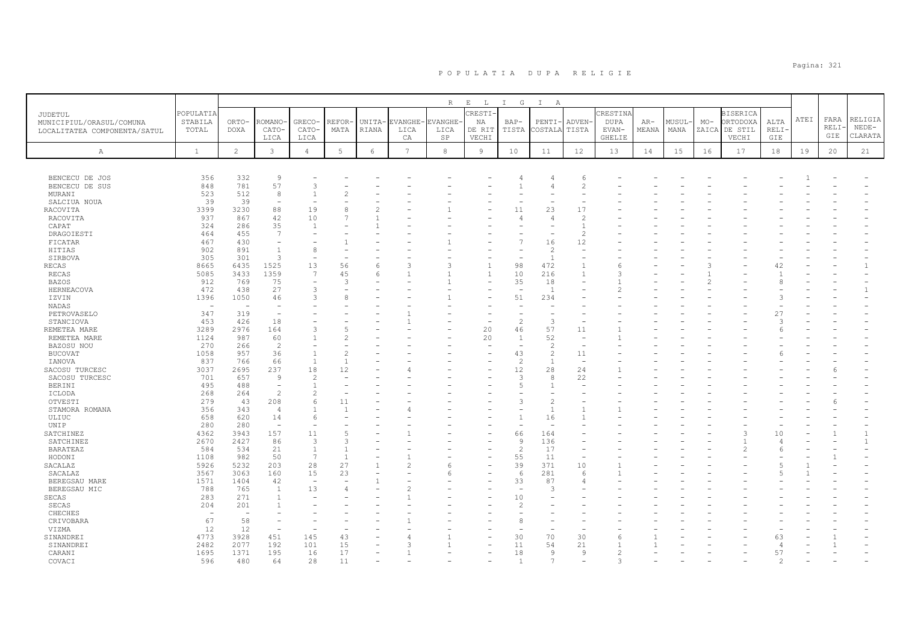|                              |                          |                |                          |                          |               |                        |                 | R                      | $\mathbf{E}^-$<br>L      | I G                      | $\mathbb{I}$<br>A                |                          |                      |                |               |       |                           |                     |      |       |              |
|------------------------------|--------------------------|----------------|--------------------------|--------------------------|---------------|------------------------|-----------------|------------------------|--------------------------|--------------------------|----------------------------------|--------------------------|----------------------|----------------|---------------|-------|---------------------------|---------------------|------|-------|--------------|
| JUDETUL                      | POPULATIA                |                |                          |                          |               |                        |                 |                        | CRESTI-                  |                          |                                  |                          | CRESTINA             |                |               |       | <b>BISERICA</b>           |                     | ATEI | FARA  | RELIGIA      |
| MUNICIPIUL/ORASUL/COMUNA     | STABILA<br>TOTAL         | ORTO-<br>DOXA  | <b>ROMANO</b><br>CATO-   | GRECO-<br>CATO-          | REFOR<br>MATA | UNITA-<br><b>RIANA</b> | EVANGHE<br>LICA | <b>EVANGHE</b><br>LICA | ΝA<br>DE RIT             | $BAP-$<br>TISTA          | PENTI-<br>COSTALA                | ADVEN-<br>TISTA          | <b>DUPA</b><br>EVAN- | $AR-$<br>MEANA | MUSUL<br>MANA | $MO-$ | ORTODOXA<br>ZAICA DE STIL | ALTA<br><b>RELI</b> |      | RELI· | $NEDE-$      |
| LOCALITATEA COMPONENTA/SATUL |                          |                | LICA                     | LICA                     |               |                        | CA              | $_{\rm SP}$            | VECHI                    |                          |                                  |                          | GHELIE               |                |               |       | VECHI                     | ${\tt GIE}$         |      | GIE   | CLARATA      |
|                              |                          |                |                          |                          |               |                        |                 |                        |                          |                          |                                  |                          |                      |                |               |       |                           |                     |      |       |              |
| A                            | $\mathbf{1}$             | $\overline{c}$ | $\mathbf{3}$             | $\overline{4}$           | $\mathbb 5$   | 6                      | $7\phantom{.0}$ | 8                      | 9                        | 10                       | 11                               | 12                       | 13                   | 14             | 15            | 16    | 17                        | 18                  | 19   | 20    | 21           |
|                              |                          |                |                          |                          |               |                        |                 |                        |                          |                          |                                  |                          |                      |                |               |       |                           |                     |      |       |              |
| BENCECU DE JOS               | 356                      | 332            | 9                        |                          |               |                        |                 |                        |                          | 4                        |                                  | -6                       |                      |                |               |       |                           |                     |      |       |              |
| BENCECU DE SUS               | 848                      | 781            | 57                       | 3                        |               |                        |                 |                        |                          |                          | $\overline{4}$                   | $\overline{c}$           |                      |                |               |       |                           |                     |      |       |              |
| MURANI                       | 523                      | 512            | 8                        |                          |               |                        |                 |                        |                          |                          |                                  |                          |                      |                |               |       |                           |                     |      |       |              |
| SALCIUA NOUA                 | 39                       | 39             | $\overline{\phantom{a}}$ |                          |               |                        |                 |                        |                          |                          |                                  |                          |                      |                |               |       |                           |                     |      |       |              |
| RACOVITA                     | 3399                     | 3230           | 88                       | 19                       | 8             |                        |                 |                        |                          | 11                       | 23                               | 17                       |                      |                |               |       |                           |                     |      |       |              |
| RACOVITA                     | 937                      | 867            | 42                       | 10                       |               |                        |                 |                        |                          | 4                        | $\overline{4}$                   |                          |                      |                |               |       |                           |                     |      |       |              |
| CAPAT                        | 324                      | 286<br>455     | 35<br>$7\phantom{.0}$    | -1                       |               |                        |                 |                        |                          |                          |                                  |                          |                      |                |               |       |                           |                     |      |       |              |
| DRAGOIESTI<br>FICATAR        | 464<br>467               | 430            | $\overline{\phantom{a}}$ |                          |               |                        |                 |                        |                          |                          | 16                               | $\mathcal{D}$<br>12      |                      |                |               |       |                           |                     |      |       |              |
| HITIAS                       | 902                      | 891            | $\overline{1}$           | 8                        |               |                        |                 |                        |                          |                          | $\overline{2}$                   |                          |                      |                |               |       |                           |                     |      |       |              |
| SIRBOVA                      | 305                      | 301            | 3                        |                          |               |                        |                 |                        |                          | $\overline{\phantom{a}}$ | $\overline{1}$                   |                          |                      |                |               |       |                           |                     |      |       |              |
| RECAS                        | 8665                     | 6435           | 1525                     | 13                       | 56            | 6                      | 3               | 3                      | $\overline{1}$           | 98                       | 472                              |                          |                      |                |               |       |                           | 42                  |      |       |              |
| RECAS                        | 5085                     | 3433           | 1359                     | 7                        | 45            | 6                      |                 |                        | $\overline{1}$           | 10                       | 216                              |                          | Κ                    |                |               |       |                           | $\overline{1}$      |      |       |              |
| BAZOS                        | 912                      | 769            | 75                       |                          | 3             |                        |                 |                        |                          | 35                       | 18                               |                          |                      |                |               |       |                           | 8                   |      |       |              |
| HERNEACOVA                   | 472                      | 438            | 27                       | 3                        |               |                        |                 |                        |                          | $\overline{\phantom{a}}$ | 1                                |                          |                      |                |               |       |                           |                     |      |       |              |
| IZVIN                        | 1396                     | 1050           | 46                       | $\mathcal{R}$            | Ŕ             |                        |                 |                        |                          | 51                       | 234                              |                          |                      |                |               |       |                           | $\mathcal{L}$       |      |       |              |
| NADAS                        | $\overline{\phantom{a}}$ | ÷,             | $\overline{\phantom{a}}$ |                          |               |                        |                 |                        |                          |                          |                                  |                          |                      |                |               |       |                           |                     |      |       |              |
| PETROVASELO                  | 347                      | 319            | $\overline{\phantom{a}}$ |                          |               |                        |                 |                        |                          |                          |                                  |                          |                      |                |               |       |                           | 27                  |      |       |              |
| STANCIOVA                    | 453                      | 426            | 18                       |                          |               |                        |                 |                        | $\overline{\phantom{a}}$ | $\overline{c}$           | 3                                |                          |                      |                |               |       |                           |                     |      |       |              |
| REMETEA MARE                 | 3289                     | 2976           | 164                      |                          |               |                        |                 |                        | 20                       | 46                       | 57                               | 11                       |                      |                |               |       |                           |                     |      |       |              |
| REMETEA MARE                 | 1124                     | 987            | 60                       |                          |               |                        |                 |                        | 20                       | $\overline{1}$           | 52                               | $\overline{\phantom{a}}$ |                      |                |               |       |                           |                     |      |       |              |
| BAZOSU NOU                   | 270                      | 266            | $\overline{c}$           |                          |               |                        |                 |                        |                          |                          | $\overline{2}$                   |                          |                      |                |               |       |                           |                     |      |       |              |
| <b>BUCOVAT</b>               | 1058                     | 957            | 36                       |                          |               |                        |                 |                        |                          | 43                       | $\overline{c}$<br>$\overline{1}$ | 11                       |                      |                |               |       |                           |                     |      |       |              |
| IANOVA<br>SACOSU TURCESC     | 837<br>3037              | 766<br>2695    | 66<br>237                | -1<br>18                 | 12            |                        |                 |                        |                          | $\overline{2}$<br>12     | 28                               | 24                       |                      |                |               |       |                           |                     |      |       |              |
| SACOSU TURCESC               | 701                      | 657            | $\overline{9}$           | $\mathcal{D}$            |               |                        |                 |                        |                          | 3                        | 8                                | 22                       |                      |                |               |       |                           |                     |      |       |              |
| <b>BERINI</b>                | 495                      | 488            | $\overline{\phantom{a}}$ |                          |               |                        |                 |                        |                          | $\overline{5}$           | $\mathbf{1}$                     |                          |                      |                |               |       |                           |                     |      |       |              |
| ICLODA                       | 268                      | 264            | $\overline{c}$           | $\overline{c}$           |               |                        |                 |                        |                          |                          |                                  |                          |                      |                |               |       |                           |                     |      |       |              |
| OTVESTI                      | 279                      | 43             | 208                      | 6                        | 11            |                        |                 |                        |                          | 3                        | $\overline{c}$                   |                          |                      |                |               |       |                           |                     |      |       |              |
| STAMORA ROMANA               | 356                      | 343            | $\overline{4}$           |                          |               |                        |                 |                        |                          |                          | $\mathbf{1}$                     |                          |                      |                |               |       |                           |                     |      |       |              |
| ULIUC                        | 658                      | 620            | 14                       | 6                        |               |                        |                 |                        |                          | $\overline{1}$           | 16                               |                          |                      |                |               |       |                           |                     |      |       |              |
| UNIP                         | 280                      | 280            | $\overline{\phantom{a}}$ |                          |               |                        |                 |                        |                          |                          |                                  |                          |                      |                |               |       |                           |                     |      |       |              |
| SATCHINEZ                    | 4362                     | 3943           | 157                      | 11                       |               |                        |                 |                        |                          | 66                       | 164                              |                          |                      |                |               |       |                           | 10                  |      |       | $\mathbf{1}$ |
| SATCHINEZ                    | 2670                     | 2427           | 86                       | $\mathcal{R}$            |               |                        |                 |                        |                          | $\mathsf{Q}$             | 136                              |                          |                      |                |               |       |                           |                     |      |       | $\mathbf{1}$ |
| <b>BARATEAZ</b>              | 584                      | 534            | 21                       | $\overline{1}$           |               |                        |                 |                        |                          | $\overline{c}$           | 17                               |                          |                      |                |               |       | 2                         |                     |      |       |              |
| HODONI                       | 1108<br>5926             | 982<br>5232    | 50<br>203                | $\overline{7}$<br>28     | 27            |                        |                 |                        |                          | 55<br>39                 | 11<br>371                        | 10                       |                      |                |               |       |                           |                     |      |       |              |
| SACALAZ<br>SACALAZ           | 3567                     | 3063           | 160                      | 15                       | 23            |                        |                 | 6                      |                          | 6                        | 281                              | 6                        |                      |                |               |       |                           |                     |      |       |              |
| BEREGSAU MARE                | 1571                     | 1404           | 42                       | $\overline{\phantom{a}}$ |               |                        |                 |                        |                          | 33                       | 87                               | $\overline{\mathcal{L}}$ |                      |                |               |       |                           |                     |      |       |              |
| BEREGSAU MIC                 | 788                      | 765            | $\mathbf{1}$             | 13                       |               |                        |                 |                        |                          | $\sim$                   | 3                                |                          |                      |                |               |       |                           |                     |      |       |              |
| SECAS                        | 283                      | 271            | $\overline{1}$           |                          |               |                        |                 |                        |                          | 10                       |                                  |                          |                      |                |               |       |                           |                     |      |       |              |
| SECAS                        | 204                      | 201            |                          |                          |               |                        |                 |                        |                          | 2                        |                                  |                          |                      |                |               |       |                           |                     |      |       |              |
| CHECHES                      | $\overline{\phantom{a}}$ | $\sim$         |                          |                          |               |                        |                 |                        |                          |                          |                                  |                          |                      |                |               |       |                           |                     |      |       |              |
| CRIVOBARA                    | 67                       | 58             |                          |                          |               |                        |                 |                        |                          |                          |                                  |                          |                      |                |               |       |                           |                     |      |       |              |
| VIZMA                        | 12                       | 12             | $\sim$                   |                          |               |                        |                 |                        |                          |                          |                                  |                          |                      |                |               |       |                           |                     |      |       |              |
| SINANDREI                    | 4773                     | 3928           | 451                      | 145                      | 43            |                        |                 |                        |                          | 30                       | 70                               | 30                       |                      |                |               |       |                           | 63                  |      |       |              |
| SINANDREI                    | 2482                     | 2077           | 192                      | 101                      | 15            |                        |                 |                        | $\overline{\phantom{a}}$ | 11                       | 54                               | 21                       |                      |                |               |       |                           | $\overline{4}$      |      |       |              |
| CARANI                       | 1695                     | 1371           | 195                      | 16                       | 17            |                        |                 |                        |                          | 18                       | $\overline{9}$                   | 9                        |                      |                |               |       |                           | 57                  |      |       |              |
| COVACI                       | 596                      | 480            | 64                       | 28                       | 11            |                        |                 |                        |                          | $\overline{1}$           | 7                                |                          | 3                    |                |               |       |                           | $\mathfrak{D}$      |      |       |              |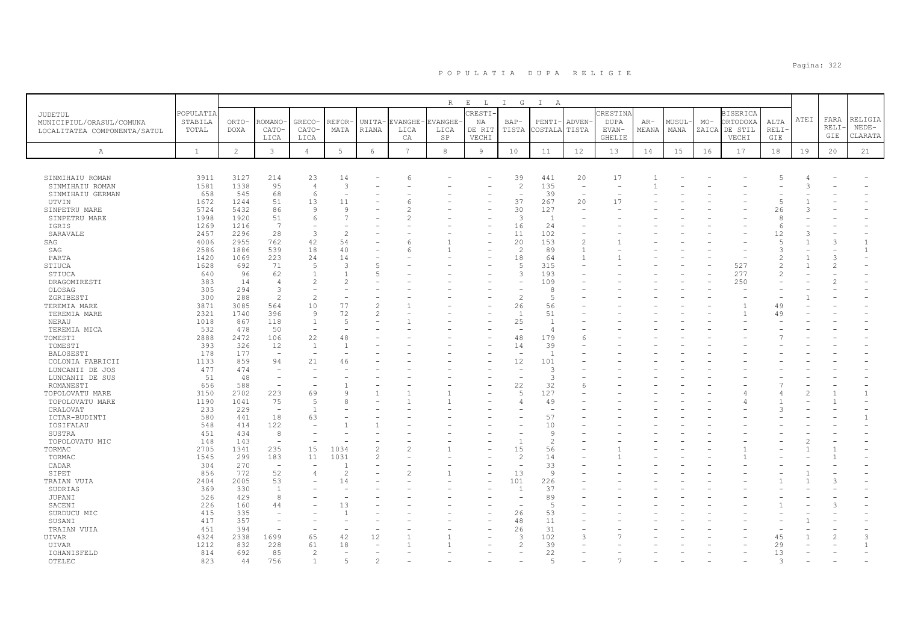|                              |              |                |                          |                               |               |                 |         | $R_{\perp}$   | $E$ $L$ | $\mathbb{I}$<br>$\mathbb{G}$ | $\mathbb{I}$<br>A        |                          |                          |       |        |       |                 |                |      |              |                    |
|------------------------------|--------------|----------------|--------------------------|-------------------------------|---------------|-----------------|---------|---------------|---------|------------------------------|--------------------------|--------------------------|--------------------------|-------|--------|-------|-----------------|----------------|------|--------------|--------------------|
| JUDETUL                      | POPULATIA    |                |                          |                               |               |                 |         |               | CRESTI  |                              |                          |                          | CRESTINA                 |       |        |       | <b>BISERICA</b> |                |      |              |                    |
| MUNICIPIUL/ORASUL/COMUNA     | STABILA      | ORTO-          | ROMANO                   | GRECO-                        | REFOR         | UNITA-          | EVANGHE | <b>VANGHE</b> | ΝA      | BAP-                         | PENTI-                   | <b>ADVEN</b>             | <b>DUPA</b>              | $AR-$ | MUSUL· | $MO-$ | ORTODOXA        | ALTA           | ATEI | FARA<br>RELI | RELIGIA<br>$NEDE-$ |
| LOCALITATEA COMPONENTA/SATUL | TOTAL        | <b>DOXA</b>    | CATO-                    | CATO-                         | MATA          | <b>RIANA</b>    | LICA    | LICA          | DE RIT  | TISTA                        | COSTALA                  | TISTA                    | EVAN-                    | MEANA | MANA   |       | ZAICA DE STIL   | <b>RELI</b>    |      | GIE          | CLARATA            |
|                              |              |                | LICA                     | LICA                          |               |                 | СA      | SP            | VECHI   |                              |                          |                          | GHELIE                   |       |        |       | VECHI           | GIE            |      |              |                    |
| $\mathbb{A}$                 | $\mathbf{1}$ | $\overline{c}$ | 3                        | $\overline{4}$                | 5             | $\epsilon$      | 7       | 8             | 9       | 10                           | 11                       | 12                       | 13                       | 14    | 15     | 16    | 17              | 18             | 19   | 20           | 21                 |
|                              |              |                |                          |                               |               |                 |         |               |         |                              |                          |                          |                          |       |        |       |                 |                |      |              |                    |
| SINMIHAIU ROMAN              | 3911         | 3127           | 214                      | 23                            | 14            |                 | 6       |               |         | 39                           | 441                      | 20                       | 17                       |       |        |       |                 |                |      |              |                    |
| SINMIHAIU ROMAN              | 1581         | 1338           | 95                       | $\overline{4}$                | 3             |                 |         |               |         | $\overline{c}$               | 135                      | $\overline{\phantom{0}}$ |                          |       |        |       |                 |                |      |              |                    |
| SINMIHAIU GERMAN             | 658          | 545            | 68                       | 6                             |               |                 |         |               |         | $\overline{\phantom{a}}$     | 39                       | $\overline{\phantom{a}}$ | $\overline{\phantom{a}}$ |       |        |       |                 |                |      |              |                    |
| UTVIN                        | 1672         | 1244           | 51                       | 13                            | 11            |                 |         |               |         | 37                           | 267                      | 20                       | 17                       |       |        |       |                 | $\overline{5}$ |      |              |                    |
| SINPETRU MARE                | 5724         | 5432           | 86                       | -9                            | 9             |                 |         |               |         | 30                           | 127                      | $\overline{\phantom{0}}$ |                          |       |        |       |                 | 26             |      |              |                    |
| SINPETRU MARE                | 1998         | 1920           | 51                       | 6                             |               |                 |         |               |         | 3                            | $\overline{1}$           |                          |                          |       |        |       |                 | 8              |      |              |                    |
| IGRIS                        | 1269         | 1216           | 7                        | $\overline{\phantom{m}}$      |               |                 |         |               |         | 16                           | 24                       |                          |                          |       |        |       |                 | $\epsilon$     |      |              |                    |
| SARAVALE                     | 2457         | 2296           | 28                       | 3                             | 2             |                 |         |               |         | 11                           | 102                      |                          |                          |       |        |       |                 | 12             |      |              |                    |
| SAG                          | 4006         | 2955           | 762                      | 42                            | 54            |                 |         |               |         | 20                           | 153                      | $\overline{c}$           |                          |       |        |       |                 | $\overline{5}$ |      | G.           | 1                  |
| SAG                          | 2586         | 1886           | 539                      | 18                            | 40            |                 |         |               |         | $\overline{\phantom{a}}$     | 89                       | $\overline{1}$           |                          |       |        |       |                 | $\mathcal{L}$  |      |              | $\mathbf{1}$       |
| PARTA                        | 1420         | 1069           | 223                      | 24                            | 14            |                 |         |               |         | 18                           | 64                       | $\overline{1}$           |                          |       |        |       |                 | $\mathfrak{D}$ |      |              |                    |
| STIUCA                       | 1628         | 692            | 71                       | $\overline{5}$                | $\mathcal{A}$ |                 |         |               |         | 5                            | 315                      |                          |                          |       |        |       | 527             | 2              |      |              |                    |
| STIUCA                       | 640          | 96             | 62                       | $\overline{1}$                |               | $5\overline{2}$ |         |               |         | 3                            | 193                      |                          |                          |       |        |       | 277             | $\mathcal{L}$  |      |              |                    |
| DRAGOMIRESTI                 | 383          | 14             | 4                        | $\overline{2}$                |               |                 |         |               |         |                              | 109                      |                          |                          |       |        |       | 250             |                |      |              |                    |
| OLOSAG                       | 305          | 294            | -3                       | $\mathcal{L}$                 |               |                 |         |               |         |                              | 8                        |                          |                          |       |        |       |                 |                |      |              |                    |
| ZGRIBESTI                    | 300          | 288            | $\overline{c}$           | 10                            |               | $\mathcal{D}$   |         |               |         | $\overline{c}$               | 5                        |                          |                          |       |        |       |                 |                |      |              |                    |
| TEREMIA MARE                 | 3871<br>2321 | 3085<br>1740   | 564<br>396               | 9                             | 77<br>72      | 2               |         |               |         | 26<br>1                      | 56<br>51                 |                          |                          |       |        |       |                 | 49<br>49       |      |              |                    |
| TEREMIA MARE<br>NERAU        | 1018         | 867            | 118                      | $\mathbf{1}$                  | -5            |                 |         |               |         | 25                           | $\overline{1}$           |                          |                          |       |        |       |                 |                |      |              |                    |
| TEREMIA MICA                 | 532          | 478            | 50                       | $\overline{a}$                |               |                 |         |               |         |                              | $\overline{4}$           |                          |                          |       |        |       |                 |                |      |              |                    |
| TOMESTI                      | 2888         | 2472           | 106                      | 22                            | 48            |                 |         |               |         | 48                           | 179                      | Е                        |                          |       |        |       |                 |                |      |              |                    |
| TOMESTI                      | 393          | 326            | 12                       | $\overline{1}$                | -1            |                 |         |               |         | 14                           | 39                       |                          |                          |       |        |       |                 |                |      |              |                    |
| BALOSESTI                    | 178          | 177            | $\overline{\phantom{a}}$ | $\overline{\phantom{a}}$      |               |                 |         |               |         | $\overline{\phantom{a}}$     | 1                        |                          |                          |       |        |       |                 |                |      |              |                    |
| COLONIA FABRICII             | 1133         | 859            | 94                       | 21                            | 46            |                 |         |               |         | 12                           | 101                      |                          |                          |       |        |       |                 |                |      |              |                    |
| LUNCANII DE JOS              | 477          | 474            |                          |                               |               |                 |         |               |         | ۰                            | 3                        |                          |                          |       |        |       |                 |                |      |              |                    |
| LUNCANII DE SUS              | 51           | 48             | $\overline{\phantom{a}}$ |                               |               |                 |         |               |         |                              | 3                        |                          |                          |       |        |       |                 |                |      |              |                    |
| ROMANESTI                    | 656          | 588            | $\overline{\phantom{a}}$ |                               |               |                 |         |               |         | 22                           | 32                       | Е                        |                          |       |        |       |                 |                |      |              |                    |
| TOPOLOVATU MARE              | 3150         | 2702           | 223                      | 69                            | 9             |                 |         |               |         | 5                            | 127                      |                          |                          |       |        |       |                 |                |      |              | $\mathbf{1}$       |
| TOPOLOVATU MARE              | 1190         | 1041           | 75                       | -5                            |               |                 |         |               |         | 4                            | 49                       |                          |                          |       |        |       |                 |                |      |              |                    |
| CRALOVAT                     | 233          | 229            | $\overline{\phantom{a}}$ | $\overline{1}$                |               |                 |         |               |         |                              | $\overline{\phantom{a}}$ |                          |                          |       |        |       |                 |                |      |              |                    |
| ICTAR-BUDINTI                | 580          | 441            | 18                       | 63                            |               |                 |         |               |         |                              | 57                       |                          |                          |       |        |       |                 |                |      |              |                    |
| IOSIFALAU                    | 548          | 414            | 122                      |                               |               |                 |         |               |         |                              | 10                       |                          |                          |       |        |       |                 |                |      |              |                    |
| SUSTRA                       | 451          | 434            | 8                        |                               |               |                 |         |               |         |                              | 9                        |                          |                          |       |        |       |                 |                |      |              |                    |
| TOPOLOVATU MIC               | 148          | 143            | $\overline{\phantom{a}}$ |                               |               |                 |         |               |         |                              | $\overline{2}$           |                          |                          |       |        |       |                 |                |      |              |                    |
| TORMAC                       | 2705         | 1341           | 235                      | 15                            | 1034          |                 |         |               |         | 15                           | 56                       |                          |                          |       |        |       |                 |                |      |              |                    |
| TORMAC                       | 1545         | 299            | 183                      | 11                            | 1031          |                 |         |               |         | $\mathfrak{D}$               | 14                       |                          |                          |       |        |       |                 |                |      |              |                    |
| CADAR                        | 304          | 270            | $\overline{\phantom{a}}$ |                               |               |                 |         |               |         |                              | 33                       |                          |                          |       |        |       |                 |                |      |              |                    |
| SIPET                        | 856          | 772            | 52                       | $\overline{4}$                |               |                 |         |               |         | 13                           | $\overline{9}$           |                          |                          |       |        |       |                 |                |      |              |                    |
| TRAIAN VUIA                  | 2404         | 2005           | 53                       |                               | 14            |                 |         |               |         | 101                          | 226                      |                          |                          |       |        |       |                 |                |      |              |                    |
| SUDRIAS                      | 369          | 330            | <sup>1</sup>             |                               |               |                 |         |               |         | $\overline{1}$               | 37                       |                          |                          |       |        |       |                 |                |      |              |                    |
| JUPANI                       | 526          | 429            | 8                        |                               |               |                 |         |               |         |                              | 89                       |                          |                          |       |        |       |                 |                |      |              |                    |
| SACENI                       | 226          | 160            | 44                       |                               | 13            |                 |         |               |         | ۰                            | 5                        |                          |                          |       |        |       |                 |                |      |              |                    |
| SURDUCU MIC                  | 415          | 335            |                          |                               |               |                 |         |               |         | 26                           | 53                       |                          |                          |       |        |       |                 |                |      |              |                    |
| SUSANI                       | 417          | 357            |                          |                               |               |                 |         |               |         | 48                           | 11                       |                          |                          |       |        |       |                 |                |      |              |                    |
| TRAIAN VUIA                  | 451          | 394            |                          |                               |               |                 |         |               |         | 26                           | 31                       |                          |                          |       |        |       |                 |                |      |              |                    |
| <b>UIVAR</b>                 | 4324         | 2338           | 1699                     | 65                            | 42            | 12              |         |               |         | 3<br>2                       | 102                      |                          |                          |       |        |       |                 | 45             |      |              | 3                  |
| <b>UIVAR</b>                 | 1212         | 832            | 228                      | 61                            | 18            |                 |         |               |         |                              | 39                       |                          |                          |       |        |       |                 | 29             |      |              | $\mathbf{1}$       |
| IOHANISFELD                  | 814          | 692            | 85                       | $\mathcal{D}$<br>$\mathbf{1}$ |               |                 |         |               |         |                              | 22<br>$\overline{5}$     |                          |                          |       |        |       |                 | 13<br>3        |      |              |                    |
| OTELEC                       | 823          | 44             | 756                      |                               |               | $\mathcal{L}$   |         |               |         |                              |                          |                          |                          |       |        |       |                 |                |      |              |                    |